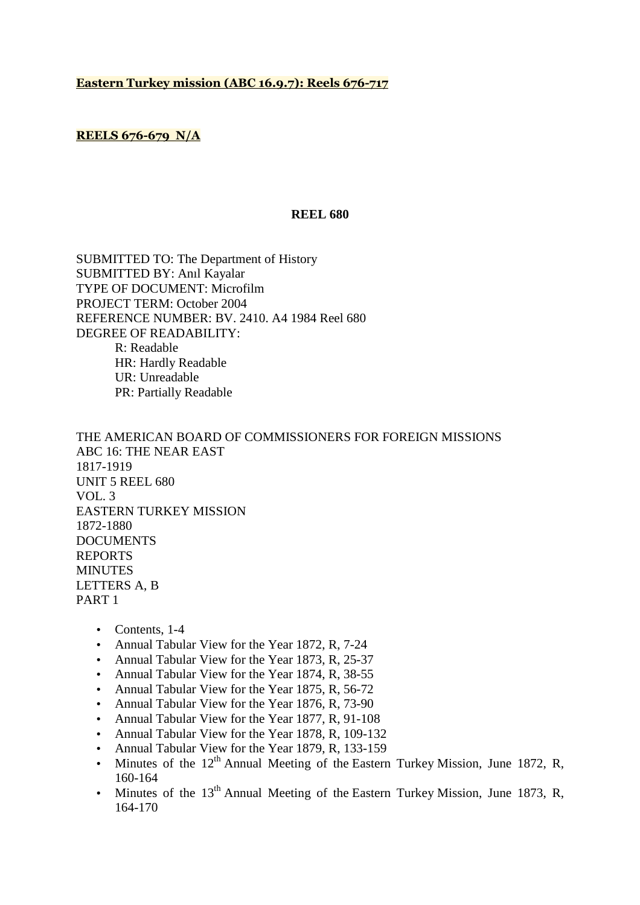### **Eastern Turkey mission (ABC 16.9.7): Reels 676-717**

# **REELS 676-679 N/A**

#### **REEL 680**

SUBMITTED TO: The Department of History SUBMITTED BY: Anıl Kayalar TYPE OF DOCUMENT: Microfilm PROJECT TERM: October 2004 REFERENCE NUMBER: BV. 2410. A4 1984 Reel 680 DEGREE OF READABILITY: R: Readable HR: Hardly Readable UR: Unreadable PR: Partially Readable

THE AMERICAN BOARD OF COMMISSIONERS FOR FOREIGN MISSIONS ABC 16: THE NEAR EAST 1817-1919 UNIT 5 REEL 680 VOL. 3 EASTERN TURKEY MISSION 1872-1880 DOCUMENTS REPORTS MINUTES LETTERS A, B PART 1

- Contents, 1-4
- Annual Tabular View for the Year 1872, R, 7-24
- Annual Tabular View for the Year 1873, R, 25-37
- Annual Tabular View for the Year 1874, R, 38-55
- Annual Tabular View for the Year 1875, R, 56-72
- Annual Tabular View for the Year 1876, R, 73-90
- Annual Tabular View for the Year 1877, R, 91-108
- Annual Tabular View for the Year 1878, R, 109-132
- Annual Tabular View for the Year 1879, R, 133-159
- Minutes of the  $12<sup>th</sup>$  Annual Meeting of the Eastern Turkey Mission, June 1872, R, 160-164
- Minutes of the  $13<sup>th</sup>$  Annual Meeting of the Eastern Turkey Mission, June 1873, R, 164-170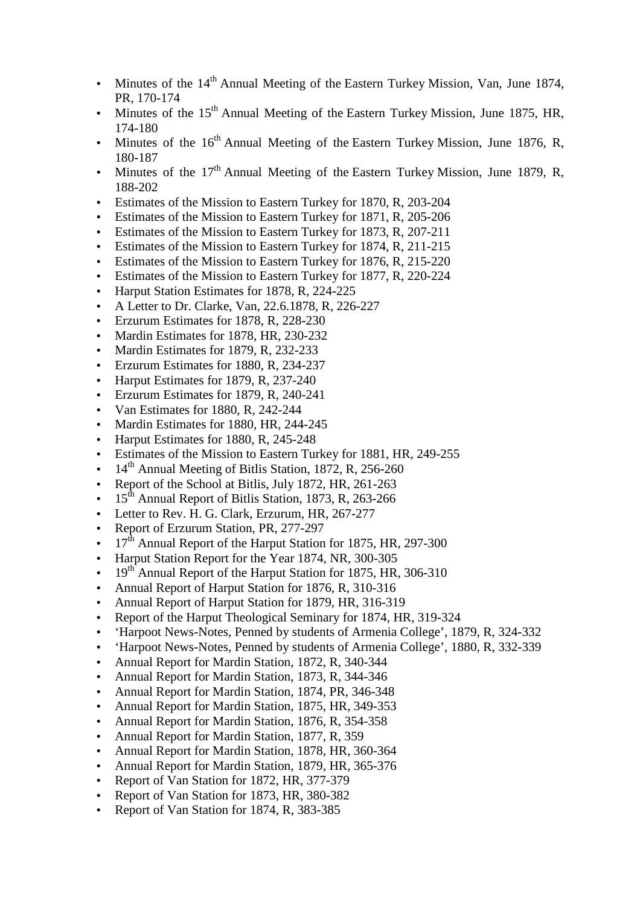- Minutes of the  $14<sup>th</sup>$  Annual Meeting of the Eastern Turkey Mission, Van, June 1874, PR, 170-174
- Minutes of the 15<sup>th</sup> Annual Meeting of the Eastern Turkey Mission, June 1875, HR, 174-180
- Minutes of the  $16<sup>th</sup>$  Annual Meeting of the Eastern Turkey Mission, June 1876, R, 180-187
- Minutes of the  $17<sup>th</sup>$  Annual Meeting of the Eastern Turkey Mission, June 1879, R, 188-202
- Estimates of the Mission to Eastern Turkey for 1870, R, 203-204
- Estimates of the Mission to Eastern Turkey for 1871, R, 205-206
- Estimates of the Mission to Eastern Turkey for 1873, R, 207-211
- Estimates of the Mission to Eastern Turkey for 1874, R, 211-215
- Estimates of the Mission to Eastern Turkey for 1876, R, 215-220
- Estimates of the Mission to Eastern Turkey for 1877, R, 220-224
- Harput Station Estimates for 1878, R, 224-225
- A Letter to Dr. Clarke, Van, 22.6.1878, R, 226-227
- Erzurum Estimates for 1878, R, 228-230
- Mardin Estimates for 1878, HR, 230-232
- Mardin Estimates for 1879, R, 232-233
- Erzurum Estimates for 1880, R, 234-237
- Harput Estimates for 1879, R, 237-240
- Erzurum Estimates for 1879, R, 240-241
- Van Estimates for 1880, R, 242-244
- Mardin Estimates for 1880, HR, 244-245
- Harput Estimates for 1880, R, 245-248
- Estimates of the Mission to Eastern Turkey for 1881, HR, 249-255
- $14<sup>th</sup>$  Annual Meeting of Bitlis Station, 1872, R, 256-260
- Report of the School at Bitlis, July 1872, HR, 261-263
- 15<sup>th</sup> Annual Report of Bitlis Station, 1873, R, 263-266
- Letter to Rev. H. G. Clark, Erzurum, HR, 267-277
- Report of Erzurum Station, PR, 277-297
- 17<sup>th</sup> Annual Report of the Harput Station for 1875, HR, 297-300
- Harput Station Report for the Year 1874, NR, 300-305
- $19<sup>th</sup>$  Annual Report of the Harput Station for 1875, HR, 306-310
- Annual Report of Harput Station for 1876, R, 310-316
- Annual Report of Harput Station for 1879, HR, 316-319
- Report of the Harput Theological Seminary for 1874, HR, 319-324
- 'Harpoot News-Notes, Penned by students of Armenia College', 1879, R, 324-332
- 'Harpoot News-Notes, Penned by students of Armenia College', 1880, R, 332-339
- Annual Report for Mardin Station, 1872, R, 340-344
- Annual Report for Mardin Station, 1873, R, 344-346
- Annual Report for Mardin Station, 1874, PR, 346-348
- Annual Report for Mardin Station, 1875, HR, 349-353
- Annual Report for Mardin Station, 1876, R, 354-358
- Annual Report for Mardin Station, 1877, R, 359
- Annual Report for Mardin Station, 1878, HR, 360-364
- Annual Report for Mardin Station, 1879, HR, 365-376
- Report of Van Station for 1872, HR, 377-379
- Report of Van Station for 1873, HR, 380-382
- Report of Van Station for 1874, R, 383-385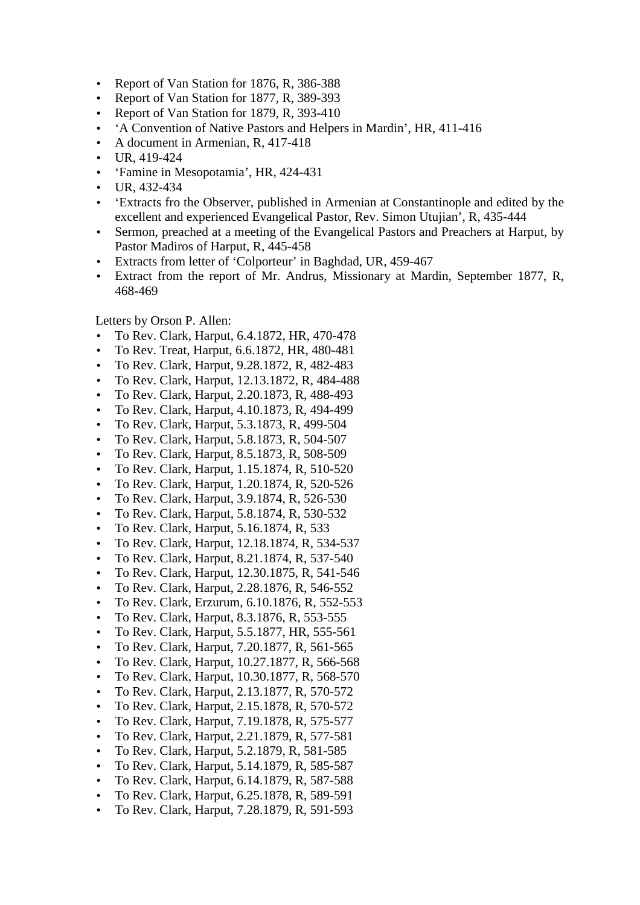- Report of Van Station for 1876, R, 386-388
- Report of Van Station for 1877, R, 389-393
- Report of Van Station for 1879, R, 393-410
- 'A Convention of Native Pastors and Helpers in Mardin', HR, 411-416
- A document in Armenian, R, 417-418
- UR, 419-424
- 'Famine in Mesopotamia', HR, 424-431
- UR, 432-434
- 'Extracts fro the Observer, published in Armenian at Constantinople and edited by the excellent and experienced Evangelical Pastor, Rev. Simon Utujian', R, 435-444
- Sermon, preached at a meeting of the Evangelical Pastors and Preachers at Harput, by Pastor Madiros of Harput, R, 445-458
- Extracts from letter of 'Colporteur' in Baghdad, UR, 459-467
- Extract from the report of Mr. Andrus, Missionary at Mardin, September 1877, R, 468-469

Letters by Orson P. Allen:

- To Rev. Clark, Harput, 6.4.1872, HR, 470-478
- To Rev. Treat, Harput, 6.6.1872, HR, 480-481
- To Rev. Clark, Harput, 9.28.1872, R, 482-483
- To Rev. Clark, Harput, 12.13.1872, R, 484-488
- To Rev. Clark, Harput, 2.20.1873, R, 488-493
- To Rev. Clark, Harput, 4.10.1873, R, 494-499
- To Rev. Clark, Harput, 5.3.1873, R, 499-504
- To Rev. Clark, Harput, 5.8.1873, R, 504-507
- To Rev. Clark, Harput, 8.5.1873, R, 508-509
- To Rev. Clark, Harput, 1.15.1874, R, 510-520
- To Rev. Clark, Harput, 1.20.1874, R, 520-526
- To Rev. Clark, Harput, 3.9.1874, R, 526-530
- To Rev. Clark, Harput, 5.8.1874, R, 530-532
- To Rev. Clark, Harput, 5.16.1874, R, 533
- To Rev. Clark, Harput, 12.18.1874, R, 534-537
- To Rev. Clark, Harput, 8.21.1874, R, 537-540
- To Rev. Clark, Harput, 12.30.1875, R, 541-546
- To Rev. Clark, Harput, 2.28.1876, R, 546-552
- To Rev. Clark, Erzurum, 6.10.1876, R, 552-553
- To Rev. Clark, Harput, 8.3.1876, R, 553-555
- To Rev. Clark, Harput, 5.5.1877, HR, 555-561
- To Rev. Clark, Harput, 7.20.1877, R, 561-565
- To Rev. Clark, Harput, 10.27.1877, R, 566-568
- To Rev. Clark, Harput, 10.30.1877, R, 568-570
- To Rev. Clark, Harput, 2.13.1877, R, 570-572
- To Rev. Clark, Harput, 2.15.1878, R, 570-572
- To Rev. Clark, Harput, 7.19.1878, R, 575-577
- To Rev. Clark, Harput, 2.21.1879, R, 577-581
- To Rev. Clark, Harput, 5.2.1879, R, 581-585
- To Rev. Clark, Harput, 5.14.1879, R, 585-587
- To Rev. Clark, Harput, 6.14.1879, R, 587-588
- To Rev. Clark, Harput, 6.25.1878, R, 589-591
- To Rev. Clark, Harput, 7.28.1879, R, 591-593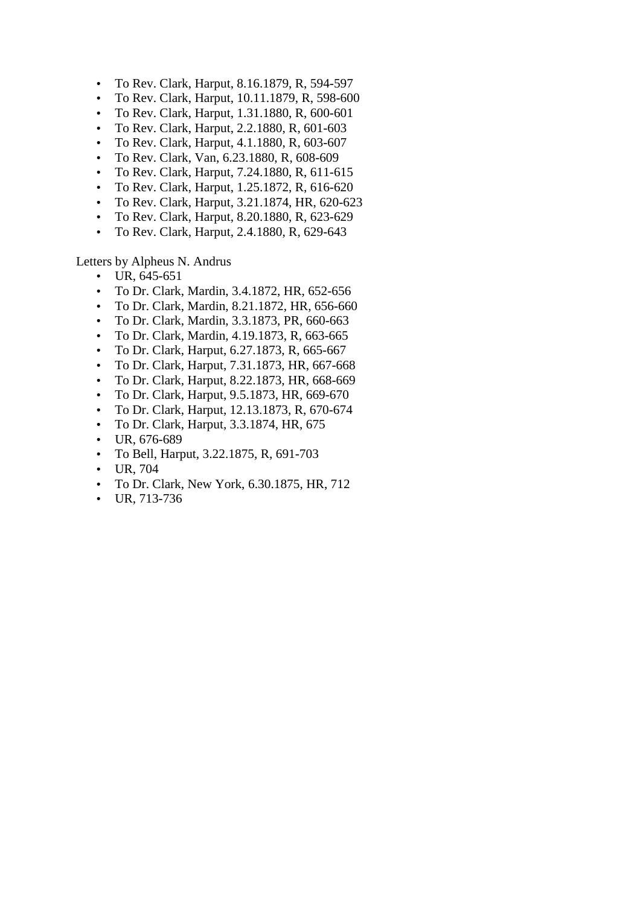- To Rev. Clark, Harput, 8.16.1879, R, 594-597
- To Rev. Clark, Harput, 10.11.1879, R, 598-600
- To Rev. Clark, Harput, 1.31.1880, R, 600-601
- To Rev. Clark, Harput, 2.2.1880, R, 601-603
- To Rev. Clark, Harput, 4.1.1880, R, 603-607
- To Rev. Clark, Van, 6.23.1880, R, 608-609
- To Rev. Clark, Harput, 7.24.1880, R, 611-615
- To Rev. Clark, Harput, 1.25.1872, R, 616-620
- To Rev. Clark, Harput, 3.21.1874, HR, 620-623
- To Rev. Clark, Harput, 8.20.1880, R, 623-629
- To Rev. Clark, Harput, 2.4.1880, R, 629-643

Letters by Alpheus N. Andrus

- UR, 645-651
- To Dr. Clark, Mardin, 3.4.1872, HR, 652-656
- To Dr. Clark, Mardin, 8.21.1872, HR, 656-660
- To Dr. Clark, Mardin, 3.3.1873, PR, 660-663
- To Dr. Clark, Mardin, 4.19.1873, R, 663-665
- To Dr. Clark, Harput, 6.27.1873, R, 665-667
- To Dr. Clark, Harput, 7.31.1873, HR, 667-668
- To Dr. Clark, Harput, 8.22.1873, HR, 668-669
- To Dr. Clark, Harput, 9.5.1873, HR, 669-670
- To Dr. Clark, Harput, 12.13.1873, R, 670-674
- To Dr. Clark, Harput, 3.3.1874, HR, 675
- UR, 676-689
- To Bell, Harput, 3.22.1875, R, 691-703
- UR, 704
- To Dr. Clark, New York, 6.30.1875, HR, 712
- UR, 713-736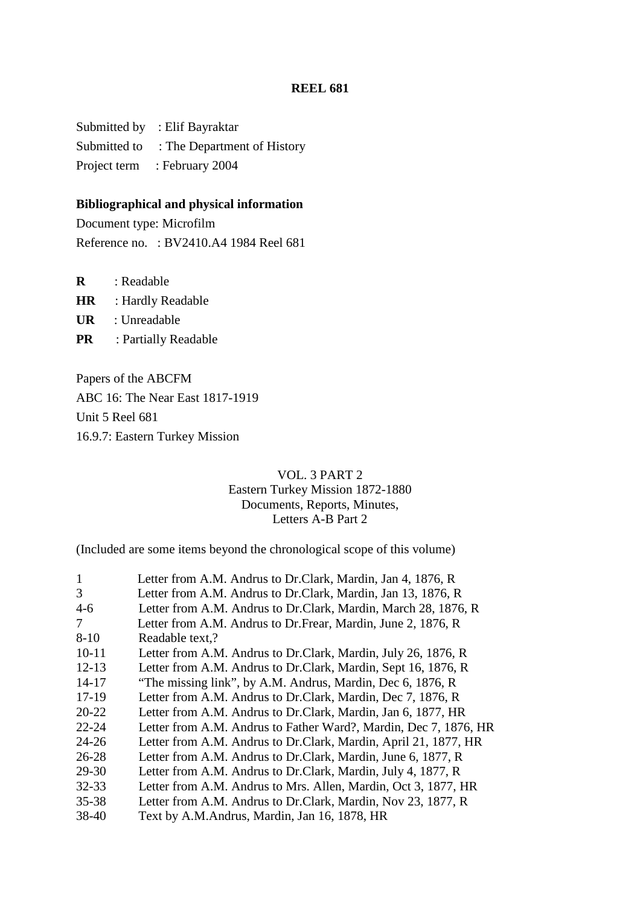Submitted by : Elif Bayraktar Submitted to : The Department of History Project term : February 2004

#### **Bibliographical and physical information**

Document type: Microfilm Reference no. : BV2410.A4 1984 Reel 681

**R** : Readable

**HR** : Hardly Readable

**UR** : Unreadable

**PR** : Partially Readable

Papers of the ABCFM ABC 16: The Near East 1817-1919 Unit 5 Reel 681 16.9.7: Eastern Turkey Mission

## VOL. 3 PART 2 Eastern Turkey Mission 1872-1880 Documents, Reports, Minutes, Letters A-B Part 2

(Included are some items beyond the chronological scope of this volume)

| $\mathbf{1}$ | Letter from A.M. Andrus to Dr.Clark, Mardin, Jan 4, 1876, R      |
|--------------|------------------------------------------------------------------|
| 3            | Letter from A.M. Andrus to Dr.Clark, Mardin, Jan 13, 1876, R     |
| $4-6$        | Letter from A.M. Andrus to Dr.Clark, Mardin, March 28, 1876, R   |
| 7            | Letter from A.M. Andrus to Dr. Frear, Mardin, June 2, 1876, R    |
| $8 - 10$     | Readable text,?                                                  |
| $10-11$      | Letter from A.M. Andrus to Dr.Clark, Mardin, July 26, 1876, R    |
| $12 - 13$    | Letter from A.M. Andrus to Dr.Clark, Mardin, Sept 16, 1876, R    |
| $14 - 17$    | "The missing link", by A.M. Andrus, Mardin, Dec 6, 1876, R       |
| $17-19$      | Letter from A.M. Andrus to Dr.Clark, Mardin, Dec 7, 1876, R      |
| $20 - 22$    | Letter from A.M. Andrus to Dr.Clark, Mardin, Jan 6, 1877, HR     |
| $22 - 24$    | Letter from A.M. Andrus to Father Ward?, Mardin, Dec 7, 1876, HR |
| $24 - 26$    | Letter from A.M. Andrus to Dr.Clark, Mardin, April 21, 1877, HR  |
| $26 - 28$    | Letter from A.M. Andrus to Dr.Clark, Mardin, June 6, 1877, R.    |
| 29-30        | Letter from A.M. Andrus to Dr.Clark, Mardin, July 4, 1877, R     |
| 32-33        | Letter from A.M. Andrus to Mrs. Allen, Mardin, Oct 3, 1877, HR   |
| 35-38        | Letter from A.M. Andrus to Dr.Clark, Mardin, Nov 23, 1877, R     |
| 38-40        | Text by A.M.Andrus, Mardin, Jan 16, 1878, HR                     |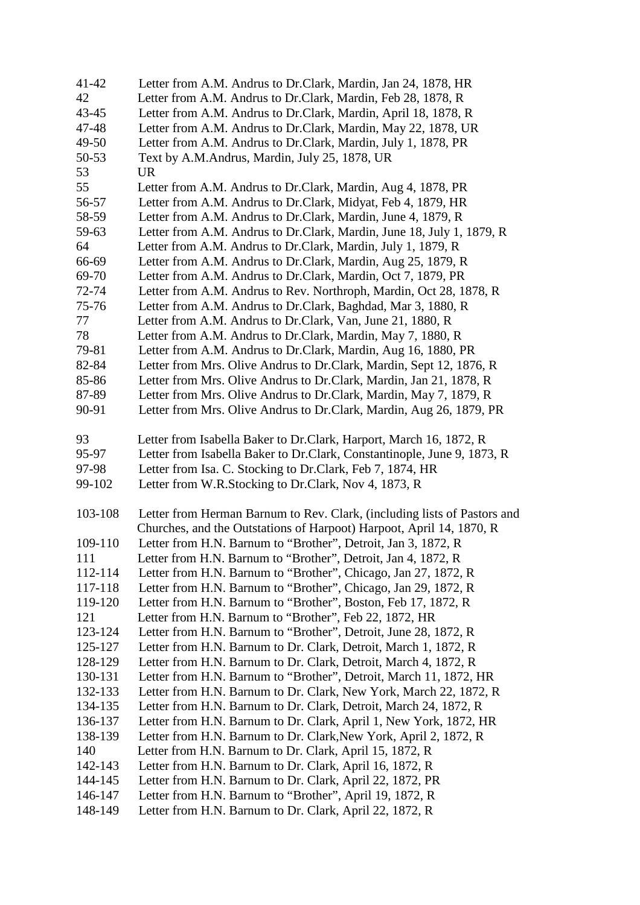| 41-42   | Letter from A.M. Andrus to Dr.Clark, Mardin, Jan 24, 1878, HR            |
|---------|--------------------------------------------------------------------------|
| 42      | Letter from A.M. Andrus to Dr.Clark, Mardin, Feb 28, 1878, R             |
| 43-45   | Letter from A.M. Andrus to Dr.Clark, Mardin, April 18, 1878, R           |
| 47-48   | Letter from A.M. Andrus to Dr.Clark, Mardin, May 22, 1878, UR            |
| 49-50   | Letter from A.M. Andrus to Dr.Clark, Mardin, July 1, 1878, PR            |
| 50-53   | Text by A.M.Andrus, Mardin, July 25, 1878, UR                            |
| 53      | <b>UR</b>                                                                |
| 55      | Letter from A.M. Andrus to Dr.Clark, Mardin, Aug 4, 1878, PR             |
| 56-57   | Letter from A.M. Andrus to Dr.Clark, Midyat, Feb 4, 1879, HR             |
| 58-59   | Letter from A.M. Andrus to Dr.Clark, Mardin, June 4, 1879, R             |
| 59-63   | Letter from A.M. Andrus to Dr.Clark, Mardin, June 18, July 1, 1879, R    |
| 64      | Letter from A.M. Andrus to Dr.Clark, Mardin, July 1, 1879, R             |
| 66-69   | Letter from A.M. Andrus to Dr.Clark, Mardin, Aug 25, 1879, R             |
| 69-70   | Letter from A.M. Andrus to Dr.Clark, Mardin, Oct 7, 1879, PR             |
| 72-74   | Letter from A.M. Andrus to Rev. Northroph, Mardin, Oct 28, 1878, R       |
| 75-76   | Letter from A.M. Andrus to Dr.Clark, Baghdad, Mar 3, 1880, R             |
| 77      | Letter from A.M. Andrus to Dr.Clark, Van, June 21, 1880, R               |
| 78      | Letter from A.M. Andrus to Dr.Clark, Mardin, May 7, 1880, R              |
| 79-81   | Letter from A.M. Andrus to Dr.Clark, Mardin, Aug 16, 1880, PR            |
| 82-84   | Letter from Mrs. Olive Andrus to Dr. Clark, Mardin, Sept 12, 1876, R     |
| 85-86   | Letter from Mrs. Olive Andrus to Dr. Clark, Mardin, Jan 21, 1878, R      |
| 87-89   | Letter from Mrs. Olive Andrus to Dr. Clark, Mardin, May 7, 1879, R       |
| 90-91   | Letter from Mrs. Olive Andrus to Dr. Clark, Mardin, Aug 26, 1879, PR     |
| 93      | Letter from Isabella Baker to Dr.Clark, Harport, March 16, 1872, R       |
| 95-97   | Letter from Isabella Baker to Dr.Clark, Constantinople, June 9, 1873, R  |
| 97-98   | Letter from Isa. C. Stocking to Dr. Clark, Feb 7, 1874, HR               |
| 99-102  | Letter from W.R.Stocking to Dr.Clark, Nov 4, 1873, R                     |
| 103-108 | Letter from Herman Barnum to Rev. Clark, (including lists of Pastors and |
|         | Churches, and the Outstations of Harpoot) Harpoot, April 14, 1870, R     |
| 109-110 | Letter from H.N. Barnum to "Brother", Detroit, Jan 3, 1872, R            |
| 111     | Letter from H.N. Barnum to "Brother", Detroit, Jan 4, 1872, R            |
| 112-114 | Letter from H.N. Barnum to "Brother", Chicago, Jan 27, 1872, R           |
| 117-118 | Letter from H.N. Barnum to "Brother", Chicago, Jan 29, 1872, R           |
| 119-120 | Letter from H.N. Barnum to "Brother", Boston, Feb 17, 1872, R            |
| 121     | Letter from H.N. Barnum to "Brother", Feb 22, 1872, HR                   |
| 123-124 | Letter from H.N. Barnum to "Brother", Detroit, June 28, 1872, R          |
| 125-127 | Letter from H.N. Barnum to Dr. Clark, Detroit, March 1, 1872, R          |
| 128-129 | Letter from H.N. Barnum to Dr. Clark, Detroit, March 4, 1872, R          |
| 130-131 | Letter from H.N. Barnum to "Brother", Detroit, March 11, 1872, HR        |
| 132-133 | Letter from H.N. Barnum to Dr. Clark, New York, March 22, 1872, R        |
| 134-135 | Letter from H.N. Barnum to Dr. Clark, Detroit, March 24, 1872, R         |
| 136-137 | Letter from H.N. Barnum to Dr. Clark, April 1, New York, 1872, HR        |
| 138-139 | Letter from H.N. Barnum to Dr. Clark, New York, April 2, 1872, R         |
| 140     | Letter from H.N. Barnum to Dr. Clark, April 15, 1872, R                  |
| 142-143 | Letter from H.N. Barnum to Dr. Clark, April 16, 1872, R                  |
| 144-145 | Letter from H.N. Barnum to Dr. Clark, April 22, 1872, PR                 |
| 146-147 | Letter from H.N. Barnum to "Brother", April 19, 1872, R                  |
| 148-149 | Letter from H.N. Barnum to Dr. Clark, April 22, 1872, R                  |
|         |                                                                          |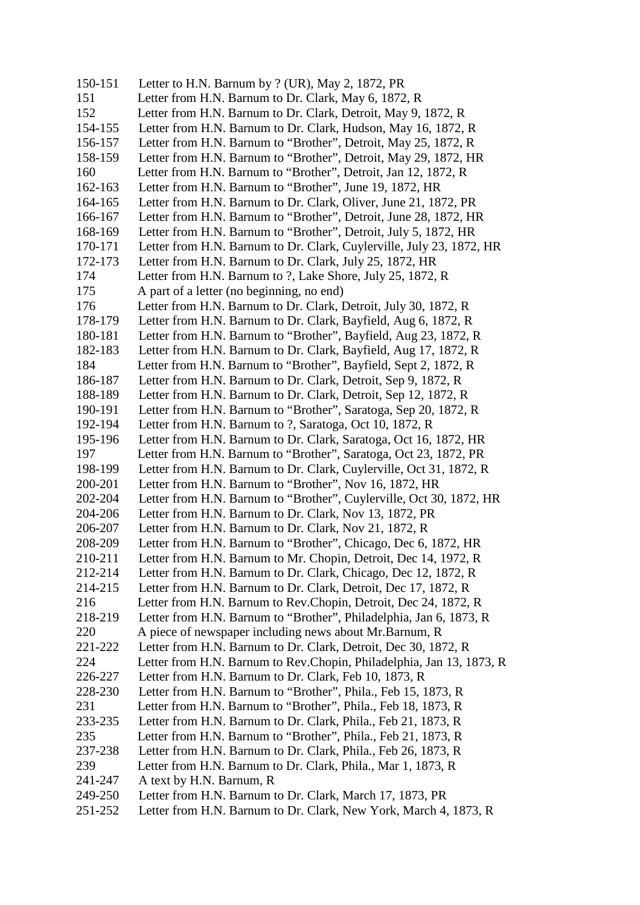150-151 Letter to H.N. Barnum by ? (UR), May 2, 1872, PR 151 Letter from H.N. Barnum to Dr. Clark, May 6, 1872, R 152 Letter from H.N. Barnum to Dr. Clark, Detroit, May 9, 1872, R 154-155 Letter from H.N. Barnum to Dr. Clark, Hudson, May 16, 1872, R 156-157 Letter from H.N. Barnum to "Brother", Detroit, May 25, 1872, R 158-159 Letter from H.N. Barnum to "Brother", Detroit, May 29, 1872, HR 160 Letter from H.N. Barnum to "Brother", Detroit, Jan 12, 1872, R 162-163 Letter from H.N. Barnum to "Brother", June 19, 1872, HR 164-165 Letter from H.N. Barnum to Dr. Clark, Oliver, June 21, 1872, PR 166-167 Letter from H.N. Barnum to "Brother", Detroit, June 28, 1872, HR 168-169 Letter from H.N. Barnum to "Brother", Detroit, July 5, 1872, HR 170-171 Letter from H.N. Barnum to Dr. Clark, Cuylerville, July 23, 1872, HR 172-173 Letter from H.N. Barnum to Dr. Clark, July 25, 1872, HR 174 Letter from H.N. Barnum to ?, Lake Shore, July 25, 1872, R 175 A part of a letter (no beginning, no end) 176 Letter from H.N. Barnum to Dr. Clark, Detroit, July 30, 1872, R 178-179 Letter from H.N. Barnum to Dr. Clark, Bayfield, Aug 6, 1872, R 180-181 Letter from H.N. Barnum to "Brother", Bayfield, Aug 23, 1872, R 182-183 Letter from H.N. Barnum to Dr. Clark, Bayfield, Aug 17, 1872, R 184 Letter from H.N. Barnum to "Brother", Bayfield, Sept 2, 1872, R 186-187 Letter from H.N. Barnum to Dr. Clark, Detroit, Sep 9, 1872, R 188-189 Letter from H.N. Barnum to Dr. Clark, Detroit, Sep 12, 1872, R 190-191 Letter from H.N. Barnum to "Brother", Saratoga, Sep 20, 1872, R 192-194 Letter from H.N. Barnum to ?, Saratoga, Oct 10, 1872, R 195-196 Letter from H.N. Barnum to Dr. Clark, Saratoga, Oct 16, 1872, HR 197 Letter from H.N. Barnum to "Brother", Saratoga, Oct 23, 1872, PR 198-199 Letter from H.N. Barnum to Dr. Clark, Cuylerville, Oct 31, 1872, R 200-201 Letter from H.N. Barnum to "Brother", Nov 16, 1872, HR 202-204 Letter from H.N. Barnum to "Brother", Cuylerville, Oct 30, 1872, HR 204-206 Letter from H.N. Barnum to Dr. Clark, Nov 13, 1872, PR 206-207 Letter from H.N. Barnum to Dr. Clark, Nov 21, 1872, R 208-209 Letter from H.N. Barnum to "Brother", Chicago, Dec 6, 1872, HR 210-211 Letter from H.N. Barnum to Mr. Chopin, Detroit, Dec 14, 1972, R 212-214 Letter from H.N. Barnum to Dr. Clark, Chicago, Dec 12, 1872, R 214-215 Letter from H.N. Barnum to Dr. Clark, Detroit, Dec 17, 1872, R 216 Letter from H.N. Barnum to Rev.Chopin, Detroit, Dec 24, 1872, R 218-219 Letter from H.N. Barnum to "Brother", Philadelphia, Jan 6, 1873, R 220 A piece of newspaper including news about Mr.Barnum, R 221-222 Letter from H.N. Barnum to Dr. Clark, Detroit, Dec 30, 1872, R 224 Letter from H.N. Barnum to Rev.Chopin, Philadelphia, Jan 13, 1873, R 226-227 Letter from H.N. Barnum to Dr. Clark, Feb 10, 1873, R 228-230 Letter from H.N. Barnum to "Brother", Phila., Feb 15, 1873, R 231 Letter from H.N. Barnum to "Brother", Phila., Feb 18, 1873, R 233-235 Letter from H.N. Barnum to Dr. Clark, Phila., Feb 21, 1873, R 235 Letter from H.N. Barnum to "Brother", Phila., Feb 21, 1873, R 237-238 Letter from H.N. Barnum to Dr. Clark, Phila., Feb 26, 1873, R 239 Letter from H.N. Barnum to Dr. Clark, Phila., Mar 1, 1873, R 241-247 A text by H.N. Barnum, R 249-250 Letter from H.N. Barnum to Dr. Clark, March 17, 1873, PR 251-252 Letter from H.N. Barnum to Dr. Clark, New York, March 4, 1873, R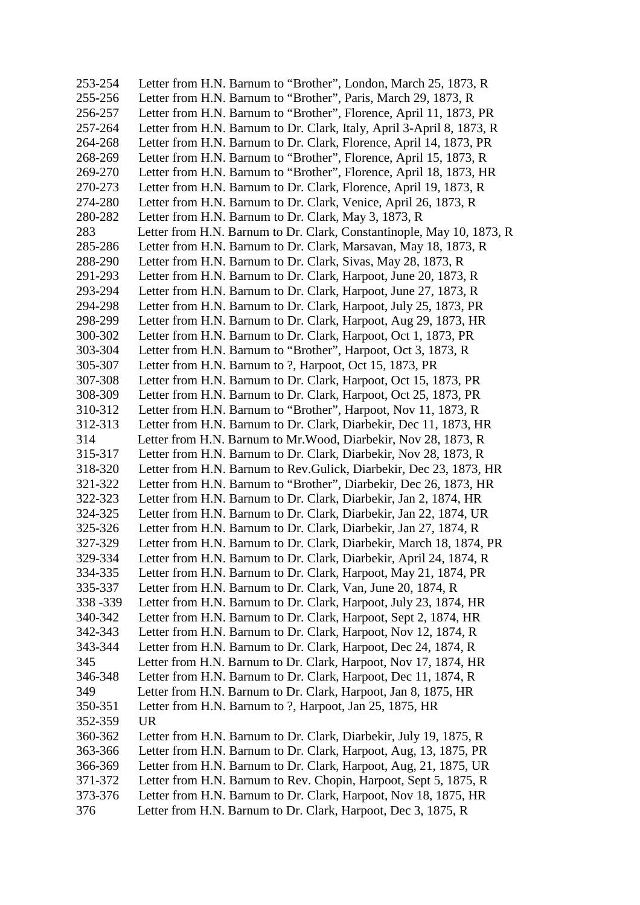253-254 Letter from H.N. Barnum to "Brother", London, March 25, 1873, R 255-256 Letter from H.N. Barnum to "Brother", Paris, March 29, 1873, R 256-257 Letter from H.N. Barnum to "Brother", Florence, April 11, 1873, PR 257-264 Letter from H.N. Barnum to Dr. Clark, Italy, April 3-April 8, 1873, R 264-268 Letter from H.N. Barnum to Dr. Clark, Florence, April 14, 1873, PR 268-269 Letter from H.N. Barnum to "Brother", Florence, April 15, 1873, R 269-270 Letter from H.N. Barnum to "Brother", Florence, April 18, 1873, HR 270-273 Letter from H.N. Barnum to Dr. Clark, Florence, April 19, 1873, R 274-280 Letter from H.N. Barnum to Dr. Clark, Venice, April 26, 1873, R 280-282 Letter from H.N. Barnum to Dr. Clark, May 3, 1873, R 283 Letter from H.N. Barnum to Dr. Clark, Constantinople, May 10, 1873, R 285-286 Letter from H.N. Barnum to Dr. Clark, Marsavan, May 18, 1873, R 288-290 Letter from H.N. Barnum to Dr. Clark, Sivas, May 28, 1873, R 291-293 Letter from H.N. Barnum to Dr. Clark, Harpoot, June 20, 1873, R 293-294 Letter from H.N. Barnum to Dr. Clark, Harpoot, June 27, 1873, R 294-298 Letter from H.N. Barnum to Dr. Clark, Harpoot, July 25, 1873, PR 298-299 Letter from H.N. Barnum to Dr. Clark, Harpoot, Aug 29, 1873, HR 300-302 Letter from H.N. Barnum to Dr. Clark, Harpoot, Oct 1, 1873, PR 303-304 Letter from H.N. Barnum to "Brother", Harpoot, Oct 3, 1873, R 305-307 Letter from H.N. Barnum to ?, Harpoot, Oct 15, 1873, PR 307-308 Letter from H.N. Barnum to Dr. Clark, Harpoot, Oct 15, 1873, PR 308-309 Letter from H.N. Barnum to Dr. Clark, Harpoot, Oct 25, 1873, PR 310-312 Letter from H.N. Barnum to "Brother", Harpoot, Nov 11, 1873, R 312-313 Letter from H.N. Barnum to Dr. Clark, Diarbekir, Dec 11, 1873, HR 314 Letter from H.N. Barnum to Mr. Wood, Diarbekir, Nov 28, 1873, R<br>315-317 Letter from H.N. Barnum to Dr. Clark, Diarbekir, Nov 28, 1873, R Letter from H.N. Barnum to Dr. Clark, Diarbekir, Nov 28, 1873, R 318-320 Letter from H.N. Barnum to Rev.Gulick, Diarbekir, Dec 23, 1873, HR 321-322 Letter from H.N. Barnum to "Brother", Diarbekir, Dec 26, 1873, HR 322-323 Letter from H.N. Barnum to Dr. Clark, Diarbekir, Jan 2, 1874, HR 324-325 Letter from H.N. Barnum to Dr. Clark, Diarbekir, Jan 22, 1874, UR 325-326 Letter from H.N. Barnum to Dr. Clark, Diarbekir, Jan 27, 1874, R 327-329 Letter from H.N. Barnum to Dr. Clark, Diarbekir, March 18, 1874, PR 329-334 Letter from H.N. Barnum to Dr. Clark, Diarbekir, April 24, 1874, R 334-335 Letter from H.N. Barnum to Dr. Clark, Harpoot, May 21, 1874, PR 335-337 Letter from H.N. Barnum to Dr. Clark, Van, June 20, 1874, R 338 -339 Letter from H.N. Barnum to Dr. Clark, Harpoot, July 23, 1874, HR 340-342 Letter from H.N. Barnum to Dr. Clark, Harpoot, Sept 2, 1874, HR 342-343 Letter from H.N. Barnum to Dr. Clark, Harpoot, Nov 12, 1874, R 343-344 Letter from H.N. Barnum to Dr. Clark, Harpoot, Dec 24, 1874, R 345 Letter from H.N. Barnum to Dr. Clark, Harpoot, Nov 17, 1874, HR 346-348 Letter from H.N. Barnum to Dr. Clark, Harpoot, Dec 11, 1874, R 349 Letter from H.N. Barnum to Dr. Clark, Harpoot, Jan 8, 1875, HR 350-351 Letter from H.N. Barnum to ?, Harpoot, Jan 25, 1875, HR 352-359 UR 360-362 Letter from H.N. Barnum to Dr. Clark, Diarbekir, July 19, 1875, R 363-366 Letter from H.N. Barnum to Dr. Clark, Harpoot, Aug, 13, 1875, PR 366-369 Letter from H.N. Barnum to Dr. Clark, Harpoot, Aug, 21, 1875, UR 371-372 Letter from H.N. Barnum to Rev. Chopin, Harpoot, Sept 5, 1875, R 373-376 Letter from H.N. Barnum to Dr. Clark, Harpoot, Nov 18, 1875, HR 376 Letter from H.N. Barnum to Dr. Clark, Harpoot, Dec 3, 1875, R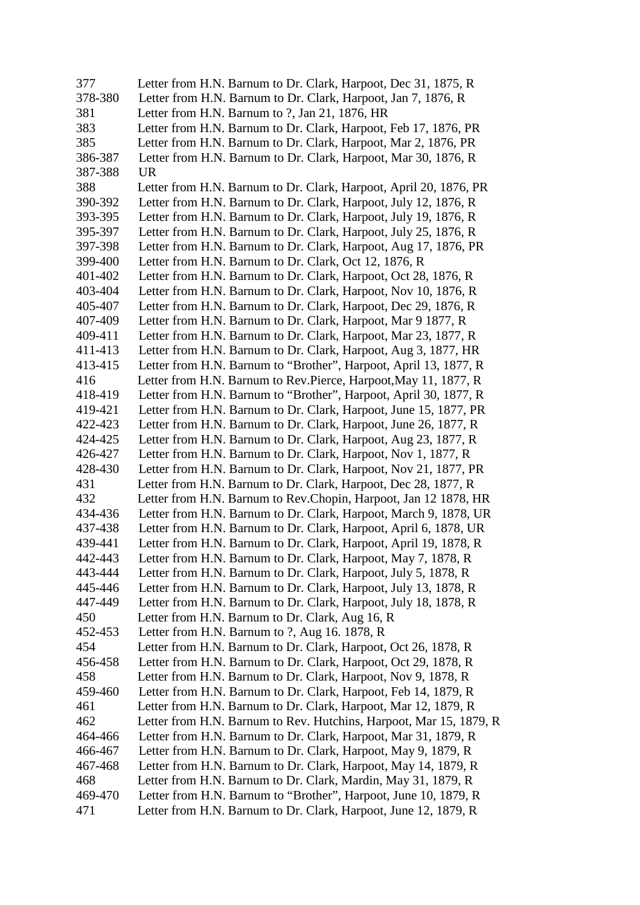| 377     | Letter from H.N. Barnum to Dr. Clark, Harpoot, Dec 31, 1875, R     |
|---------|--------------------------------------------------------------------|
| 378-380 | Letter from H.N. Barnum to Dr. Clark, Harpoot, Jan 7, 1876, R      |
| 381     | Letter from H.N. Barnum to ?, Jan 21, 1876, HR                     |
| 383     | Letter from H.N. Barnum to Dr. Clark, Harpoot, Feb 17, 1876, PR    |
| 385     | Letter from H.N. Barnum to Dr. Clark, Harpoot, Mar 2, 1876, PR     |
| 386-387 | Letter from H.N. Barnum to Dr. Clark, Harpoot, Mar 30, 1876, R     |
| 387-388 | <b>UR</b>                                                          |
| 388     | Letter from H.N. Barnum to Dr. Clark, Harpoot, April 20, 1876, PR  |
| 390-392 | Letter from H.N. Barnum to Dr. Clark, Harpoot, July 12, 1876, R    |
| 393-395 | Letter from H.N. Barnum to Dr. Clark, Harpoot, July 19, 1876, R    |
| 395-397 | Letter from H.N. Barnum to Dr. Clark, Harpoot, July 25, 1876, R.   |
| 397-398 | Letter from H.N. Barnum to Dr. Clark, Harpoot, Aug 17, 1876, PR    |
| 399-400 | Letter from H.N. Barnum to Dr. Clark, Oct 12, 1876, R              |
| 401-402 | Letter from H.N. Barnum to Dr. Clark, Harpoot, Oct 28, 1876, R     |
| 403-404 | Letter from H.N. Barnum to Dr. Clark, Harpoot, Nov 10, 1876, R     |
| 405-407 | Letter from H.N. Barnum to Dr. Clark, Harpoot, Dec 29, 1876, R.    |
| 407-409 | Letter from H.N. Barnum to Dr. Clark, Harpoot, Mar 9 1877, R       |
| 409-411 | Letter from H.N. Barnum to Dr. Clark, Harpoot, Mar 23, 1877, R     |
| 411-413 | Letter from H.N. Barnum to Dr. Clark, Harpoot, Aug 3, 1877, HR     |
| 413-415 | Letter from H.N. Barnum to "Brother", Harpoot, April 13, 1877, R   |
| 416     | Letter from H.N. Barnum to Rev.Pierce, Harpoot, May 11, 1877, R    |
| 418-419 | Letter from H.N. Barnum to "Brother", Harpoot, April 30, 1877, R   |
| 419-421 | Letter from H.N. Barnum to Dr. Clark, Harpoot, June 15, 1877, PR   |
| 422-423 | Letter from H.N. Barnum to Dr. Clark, Harpoot, June 26, 1877, R    |
| 424-425 | Letter from H.N. Barnum to Dr. Clark, Harpoot, Aug 23, 1877, R     |
| 426-427 | Letter from H.N. Barnum to Dr. Clark, Harpoot, Nov 1, 1877, R      |
| 428-430 | Letter from H.N. Barnum to Dr. Clark, Harpoot, Nov 21, 1877, PR    |
| 431     | Letter from H.N. Barnum to Dr. Clark, Harpoot, Dec 28, 1877, R     |
| 432     | Letter from H.N. Barnum to Rev.Chopin, Harpoot, Jan 12 1878, HR    |
| 434-436 | Letter from H.N. Barnum to Dr. Clark, Harpoot, March 9, 1878, UR   |
| 437-438 | Letter from H.N. Barnum to Dr. Clark, Harpoot, April 6, 1878, UR   |
| 439-441 | Letter from H.N. Barnum to Dr. Clark, Harpoot, April 19, 1878, R   |
| 442-443 | Letter from H.N. Barnum to Dr. Clark, Harpoot, May 7, 1878, R      |
| 443-444 | Letter from H.N. Barnum to Dr. Clark, Harpoot, July 5, 1878, R     |
| 445-446 | Letter from H.N. Barnum to Dr. Clark, Harpoot, July 13, 1878, R    |
| 447-449 | Letter from H.N. Barnum to Dr. Clark, Harpoot, July 18, 1878, R    |
| 450     | Letter from H.N. Barnum to Dr. Clark, Aug 16, R                    |
| 452-453 | Letter from H.N. Barnum to ?, Aug 16. 1878, R                      |
| 454     | Letter from H.N. Barnum to Dr. Clark, Harpoot, Oct 26, 1878, R     |
| 456-458 | Letter from H.N. Barnum to Dr. Clark, Harpoot, Oct 29, 1878, R     |
| 458     | Letter from H.N. Barnum to Dr. Clark, Harpoot, Nov 9, 1878, R      |
| 459-460 | Letter from H.N. Barnum to Dr. Clark, Harpoot, Feb 14, 1879, R     |
| 461     | Letter from H.N. Barnum to Dr. Clark, Harpoot, Mar 12, 1879, R     |
| 462     | Letter from H.N. Barnum to Rev. Hutchins, Harpoot, Mar 15, 1879, R |
| 464-466 | Letter from H.N. Barnum to Dr. Clark, Harpoot, Mar 31, 1879, R     |
| 466-467 | Letter from H.N. Barnum to Dr. Clark, Harpoot, May 9, 1879, R      |
| 467-468 | Letter from H.N. Barnum to Dr. Clark, Harpoot, May 14, 1879, R     |
| 468     | Letter from H.N. Barnum to Dr. Clark, Mardin, May 31, 1879, R      |
| 469-470 | Letter from H.N. Barnum to "Brother", Harpoot, June 10, 1879, R    |
| 471     | Letter from H.N. Barnum to Dr. Clark, Harpoot, June 12, 1879, R    |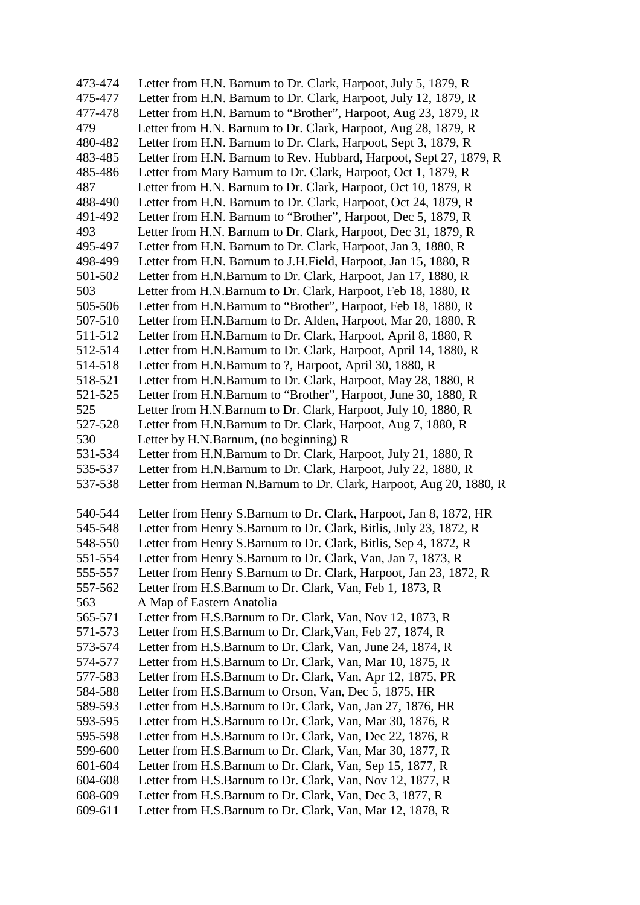| 473-474            | Letter from H.N. Barnum to Dr. Clark, Harpoot, July 5, 1879, R                                                         |
|--------------------|------------------------------------------------------------------------------------------------------------------------|
| 475-477            | Letter from H.N. Barnum to Dr. Clark, Harpoot, July 12, 1879, R                                                        |
| 477-478            | Letter from H.N. Barnum to "Brother", Harpoot, Aug 23, 1879, R                                                         |
| 479                | Letter from H.N. Barnum to Dr. Clark, Harpoot, Aug 28, 1879, R                                                         |
| 480-482            | Letter from H.N. Barnum to Dr. Clark, Harpoot, Sept 3, 1879, R                                                         |
| 483-485            | Letter from H.N. Barnum to Rev. Hubbard, Harpoot, Sept 27, 1879, R                                                     |
| 485-486            | Letter from Mary Barnum to Dr. Clark, Harpoot, Oct 1, 1879, R                                                          |
| 487                | Letter from H.N. Barnum to Dr. Clark, Harpoot, Oct 10, 1879, R                                                         |
| 488-490            | Letter from H.N. Barnum to Dr. Clark, Harpoot, Oct 24, 1879, R                                                         |
| 491-492            | Letter from H.N. Barnum to "Brother", Harpoot, Dec 5, 1879, R                                                          |
| 493                | Letter from H.N. Barnum to Dr. Clark, Harpoot, Dec 31, 1879, R                                                         |
| 495-497            | Letter from H.N. Barnum to Dr. Clark, Harpoot, Jan 3, 1880, R                                                          |
| 498-499            | Letter from H.N. Barnum to J.H.Field, Harpoot, Jan 15, 1880, R                                                         |
| 501-502            | Letter from H.N.Barnum to Dr. Clark, Harpoot, Jan 17, 1880, R                                                          |
| 503                | Letter from H.N.Barnum to Dr. Clark, Harpoot, Feb 18, 1880, R                                                          |
| 505-506            | Letter from H.N.Barnum to "Brother", Harpoot, Feb 18, 1880, R                                                          |
| 507-510            | Letter from H.N.Barnum to Dr. Alden, Harpoot, Mar 20, 1880, R                                                          |
| 511-512            | Letter from H.N.Barnum to Dr. Clark, Harpoot, April 8, 1880, R                                                         |
| 512-514            | Letter from H.N.Barnum to Dr. Clark, Harpoot, April 14, 1880, R                                                        |
| 514-518            | Letter from H.N.Barnum to ?, Harpoot, April 30, 1880, R                                                                |
| 518-521            | Letter from H.N.Barnum to Dr. Clark, Harpoot, May 28, 1880, R                                                          |
| 521-525            | Letter from H.N.Barnum to "Brother", Harpoot, June 30, 1880, R                                                         |
| 525                | Letter from H.N.Barnum to Dr. Clark, Harpoot, July 10, 1880, R                                                         |
| 527-528            | Letter from H.N.Barnum to Dr. Clark, Harpoot, Aug 7, 1880, R                                                           |
| 530                | Letter by H.N.Barnum, (no beginning) R                                                                                 |
| 531-534            | Letter from H.N.Barnum to Dr. Clark, Harpoot, July 21, 1880, R                                                         |
| 535-537            | Letter from H.N.Barnum to Dr. Clark, Harpoot, July 22, 1880, R                                                         |
| 537-538            | Letter from Herman N.Barnum to Dr. Clark, Harpoot, Aug 20, 1880, R                                                     |
|                    |                                                                                                                        |
| 540-544            | Letter from Henry S.Barnum to Dr. Clark, Harpoot, Jan 8, 1872, HR                                                      |
| 545-548            | Letter from Henry S.Barnum to Dr. Clark, Bitlis, July 23, 1872, R                                                      |
| 548-550            | Letter from Henry S.Barnum to Dr. Clark, Bitlis, Sep 4, 1872, R                                                        |
| 551-554            | Letter from Henry S.Barnum to Dr. Clark, Van, Jan 7, 1873, R                                                           |
| 555-557            | Letter from Henry S.Barnum to Dr. Clark, Harpoot, Jan 23, 1872, R                                                      |
| 557-562            | Letter from H.S.Barnum to Dr. Clark, Van, Feb 1, 1873, R                                                               |
| 563                | A Map of Eastern Anatolia                                                                                              |
| 565-571            |                                                                                                                        |
| 571-573            | Letter from H.S.Barnum to Dr. Clark, Van, Nov 12, 1873, R                                                              |
|                    | Letter from H.S.Barnum to Dr. Clark, Van, Feb 27, 1874, R                                                              |
| 573-574            | Letter from H.S.Barnum to Dr. Clark, Van, June 24, 1874, R                                                             |
| 574-577            | Letter from H.S.Barnum to Dr. Clark, Van, Mar 10, 1875, R                                                              |
| 577-583            | Letter from H.S.Barnum to Dr. Clark, Van, Apr 12, 1875, PR                                                             |
| 584-588            | Letter from H.S.Barnum to Orson, Van, Dec 5, 1875, HR                                                                  |
| 589-593            | Letter from H.S.Barnum to Dr. Clark, Van, Jan 27, 1876, HR                                                             |
| 593-595            | Letter from H.S.Barnum to Dr. Clark, Van, Mar 30, 1876, R                                                              |
| 595-598            | Letter from H.S.Barnum to Dr. Clark, Van, Dec 22, 1876, R                                                              |
| 599-600            | Letter from H.S.Barnum to Dr. Clark, Van, Mar 30, 1877, R                                                              |
| 601-604            | Letter from H.S.Barnum to Dr. Clark, Van, Sep 15, 1877, R                                                              |
| 604-608            | Letter from H.S.Barnum to Dr. Clark, Van, Nov 12, 1877, R                                                              |
| 608-609<br>609-611 | Letter from H.S.Barnum to Dr. Clark, Van, Dec 3, 1877, R.<br>Letter from H.S.Barnum to Dr. Clark, Van, Mar 12, 1878, R |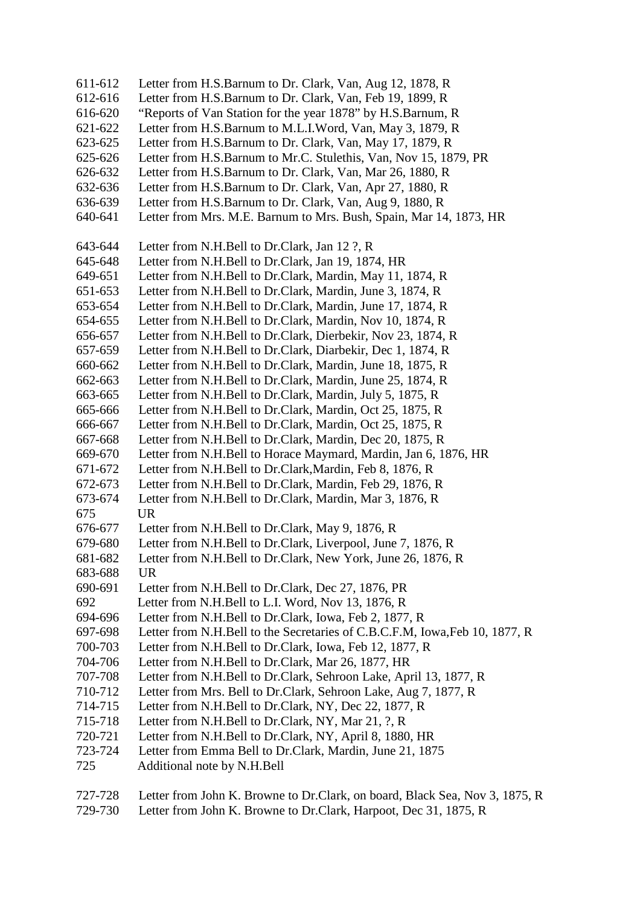- 611-612 Letter from H.S.Barnum to Dr. Clark, Van, Aug 12, 1878, R
- 612-616 Letter from H.S.Barnum to Dr. Clark, Van, Feb 19, 1899, R
- 616-620 "Reports of Van Station for the year 1878" by H.S.Barnum, R
- 621-622 Letter from H.S.Barnum to M.L.I.Word, Van, May 3, 1879, R
- 623-625 Letter from H.S.Barnum to Dr. Clark, Van, May 17, 1879, R
- 625-626 Letter from H.S.Barnum to Mr.C. Stulethis, Van, Nov 15, 1879, PR
- 626-632 Letter from H.S.Barnum to Dr. Clark, Van, Mar 26, 1880, R
- 632-636 Letter from H.S.Barnum to Dr. Clark, Van, Apr 27, 1880, R
- 636-639 Letter from H.S.Barnum to Dr. Clark, Van, Aug 9, 1880, R
- 640-641 Letter from Mrs. M.E. Barnum to Mrs. Bush, Spain, Mar 14, 1873, HR
- 643-644 Letter from N.H.Bell to Dr.Clark, Jan 12 ?, R
- 645-648 Letter from N.H.Bell to Dr.Clark, Jan 19, 1874, HR
- 649-651 Letter from N.H.Bell to Dr.Clark, Mardin, May 11, 1874, R
- 651-653 Letter from N.H.Bell to Dr.Clark, Mardin, June 3, 1874, R
- 653-654 Letter from N.H.Bell to Dr.Clark, Mardin, June 17, 1874, R
- 654-655 Letter from N.H.Bell to Dr.Clark, Mardin, Nov 10, 1874, R
- 656-657 Letter from N.H.Bell to Dr.Clark, Dierbekir, Nov 23, 1874, R
- 657-659 Letter from N.H.Bell to Dr.Clark, Diarbekir, Dec 1, 1874, R
- 660-662 Letter from N.H.Bell to Dr.Clark, Mardin, June 18, 1875, R
- 662-663 Letter from N.H.Bell to Dr.Clark, Mardin, June 25, 1874, R
- 663-665 Letter from N.H.Bell to Dr.Clark, Mardin, July 5, 1875, R
- 665-666 Letter from N.H.Bell to Dr.Clark, Mardin, Oct 25, 1875, R
- 666-667 Letter from N.H.Bell to Dr.Clark, Mardin, Oct 25, 1875, R
- 667-668 Letter from N.H.Bell to Dr.Clark, Mardin, Dec 20, 1875, R
- 669-670 Letter from N.H.Bell to Horace Maymard, Mardin, Jan 6, 1876, HR
- 671-672 Letter from N.H.Bell to Dr.Clark,Mardin, Feb 8, 1876, R
- 672-673 Letter from N.H.Bell to Dr.Clark, Mardin, Feb 29, 1876, R
- 673-674 Letter from N.H.Bell to Dr.Clark, Mardin, Mar 3, 1876, R 675 UR
- 
- 676-677 Letter from N.H.Bell to Dr.Clark, May 9, 1876, R
- 679-680 Letter from N.H.Bell to Dr.Clark, Liverpool, June 7, 1876, R
- 681-682 Letter from N.H.Bell to Dr.Clark, New York, June 26, 1876, R 683-688 UR
- 690-691 Letter from N.H.Bell to Dr.Clark, Dec 27, 1876, PR
- 692 Letter from N.H.Bell to L.I. Word, Nov 13, 1876, R
- 694-696 Letter from N.H.Bell to Dr.Clark, Iowa, Feb 2, 1877, R
- 697-698 Letter from N.H.Bell to the Secretaries of C.B.C.F.M, Iowa,Feb 10, 1877, R
- 700-703 Letter from N.H.Bell to Dr.Clark, Iowa, Feb 12, 1877, R
- 704-706 Letter from N.H.Bell to Dr.Clark, Mar 26, 1877, HR
- 707-708 Letter from N.H.Bell to Dr.Clark, Sehroon Lake, April 13, 1877, R
- 710-712 Letter from Mrs. Bell to Dr.Clark, Sehroon Lake, Aug 7, 1877, R
- 714-715 Letter from N.H.Bell to Dr.Clark, NY, Dec 22, 1877, R
- 715-718 Letter from N.H.Bell to Dr.Clark, NY, Mar 21, ?, R
- 720-721 Letter from N.H.Bell to Dr.Clark, NY, April 8, 1880, HR
- 723-724 Letter from Emma Bell to Dr.Clark, Mardin, June 21, 1875
- 725 Additional note by N.H.Bell
- 727-728 Letter from John K. Browne to Dr.Clark, on board, Black Sea, Nov 3, 1875, R
- 729-730 Letter from John K. Browne to Dr.Clark, Harpoot, Dec 31, 1875, R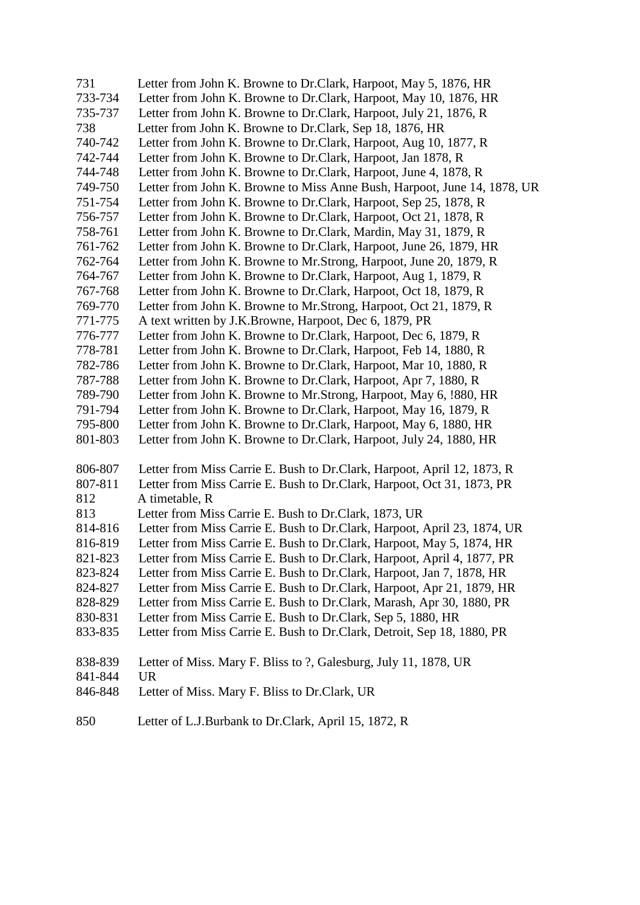| 731     | Letter from John K. Browne to Dr.Clark, Harpoot, May 5, 1876, HR         |
|---------|--------------------------------------------------------------------------|
| 733-734 | Letter from John K. Browne to Dr.Clark, Harpoot, May 10, 1876, HR        |
| 735-737 | Letter from John K. Browne to Dr.Clark, Harpoot, July 21, 1876, R        |
| 738     | Letter from John K. Browne to Dr.Clark, Sep 18, 1876, HR                 |
| 740-742 | Letter from John K. Browne to Dr.Clark, Harpoot, Aug 10, 1877, R         |
| 742-744 | Letter from John K. Browne to Dr.Clark, Harpoot, Jan 1878, R             |
| 744-748 | Letter from John K. Browne to Dr.Clark, Harpoot, June 4, 1878, R         |
| 749-750 | Letter from John K. Browne to Miss Anne Bush, Harpoot, June 14, 1878, UR |
| 751-754 | Letter from John K. Browne to Dr.Clark, Harpoot, Sep 25, 1878, R         |
| 756-757 | Letter from John K. Browne to Dr.Clark, Harpoot, Oct 21, 1878, R         |
| 758-761 | Letter from John K. Browne to Dr.Clark, Mardin, May 31, 1879, R          |
| 761-762 | Letter from John K. Browne to Dr.Clark, Harpoot, June 26, 1879, HR       |
| 762-764 | Letter from John K. Browne to Mr. Strong, Harpoot, June 20, 1879, R      |
| 764-767 | Letter from John K. Browne to Dr.Clark, Harpoot, Aug 1, 1879, R          |
| 767-768 | Letter from John K. Browne to Dr.Clark, Harpoot, Oct 18, 1879, R         |
| 769-770 | Letter from John K. Browne to Mr.Strong, Harpoot, Oct 21, 1879, R.       |
| 771-775 | A text written by J.K.Browne, Harpoot, Dec 6, 1879, PR                   |
| 776-777 | Letter from John K. Browne to Dr.Clark, Harpoot, Dec 6, 1879, R          |
| 778-781 | Letter from John K. Browne to Dr.Clark, Harpoot, Feb 14, 1880, R         |
| 782-786 | Letter from John K. Browne to Dr.Clark, Harpoot, Mar 10, 1880, R         |
| 787-788 | Letter from John K. Browne to Dr.Clark, Harpoot, Apr 7, 1880, R          |
| 789-790 | Letter from John K. Browne to Mr. Strong, Harpoot, May 6, 1880, HR       |
| 791-794 | Letter from John K. Browne to Dr.Clark, Harpoot, May 16, 1879, R         |
| 795-800 | Letter from John K. Browne to Dr.Clark, Harpoot, May 6, 1880, HR         |
| 801-803 | Letter from John K. Browne to Dr.Clark, Harpoot, July 24, 1880, HR       |
| 806-807 | Letter from Miss Carrie E. Bush to Dr. Clark, Harpoot, April 12, 1873, R |
| 807-811 | Letter from Miss Carrie E. Bush to Dr.Clark, Harpoot, Oct 31, 1873, PR   |
| 812     | A timetable, R                                                           |
| 813     | Letter from Miss Carrie E. Bush to Dr.Clark, 1873, UR                    |
| 814-816 | Letter from Miss Carrie E. Bush to Dr.Clark, Harpoot, April 23, 1874, UR |
| 816-819 | Letter from Miss Carrie E. Bush to Dr.Clark, Harpoot, May 5, 1874, HR    |
| 821-823 | Letter from Miss Carrie E. Bush to Dr.Clark, Harpoot, April 4, 1877, PR  |
| 823-824 | Letter from Miss Carrie E. Bush to Dr. Clark, Harpoot, Jan 7, 1878, HR   |
| 824-827 | Letter from Miss Carrie E. Bush to Dr.Clark, Harpoot, Apr 21, 1879, HR   |
| 828-829 | Letter from Miss Carrie E. Bush to Dr.Clark, Marash, Apr 30, 1880, PR    |
| 830-831 | Letter from Miss Carrie E. Bush to Dr.Clark, Sep 5, 1880, HR             |
| 833-835 | Letter from Miss Carrie E. Bush to Dr.Clark, Detroit, Sep 18, 1880, PR   |
| 838-839 | Letter of Miss. Mary F. Bliss to ?, Galesburg, July 11, 1878, UR         |
| 841-844 | <b>UR</b>                                                                |
| 846-848 | Letter of Miss. Mary F. Bliss to Dr. Clark, UR                           |
|         |                                                                          |

850 Letter of L.J.Burbank to Dr.Clark, April 15, 1872, R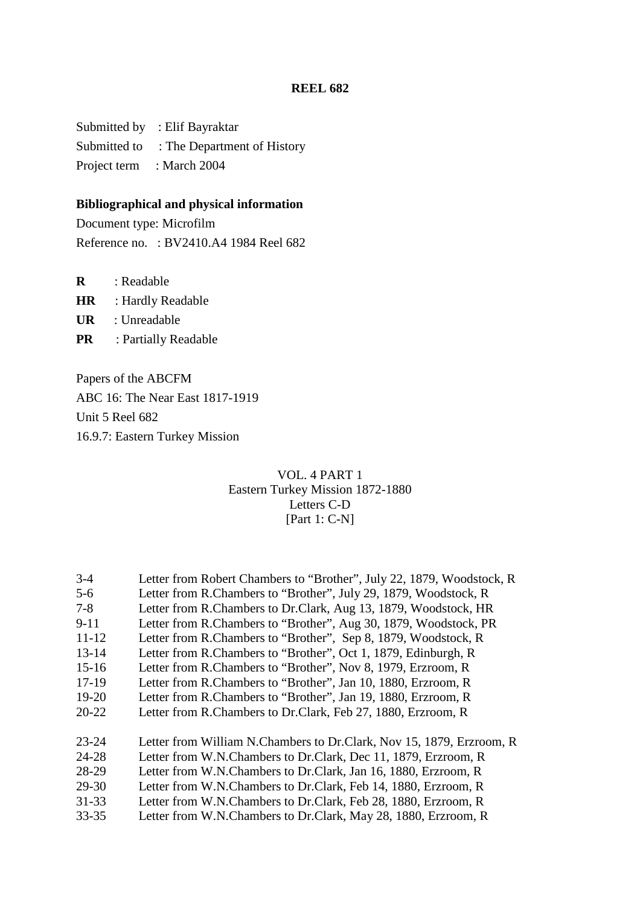Submitted by : Elif Bayraktar Submitted to : The Department of History Project term : March 2004

# **Bibliographical and physical information**

Document type: Microfilm Reference no. : BV2410.A4 1984 Reel 682

**R** : Readable

**HR** : Hardly Readable

**UR** : Unreadable

**PR** : Partially Readable

Papers of the ABCFM ABC 16: The Near East 1817-1919 Unit 5 Reel 682 16.9.7: Eastern Turkey Mission

## VOL. 4 PART 1 Eastern Turkey Mission 1872-1880 Letters C-D [Part 1: C-N]

| $3 - 4$   | Letter from Robert Chambers to "Brother", July 22, 1879, Woodstock, R |
|-----------|-----------------------------------------------------------------------|
| $5 - 6$   | Letter from R.Chambers to "Brother", July 29, 1879, Woodstock, R      |
| $7 - 8$   | Letter from R.Chambers to Dr.Clark, Aug 13, 1879, Woodstock, HR       |
| $9 - 11$  | Letter from R.Chambers to "Brother", Aug 30, 1879, Woodstock, PR      |
| $11 - 12$ | Letter from R.Chambers to "Brother", Sep 8, 1879, Woodstock, R        |
| $13 - 14$ | Letter from R.Chambers to "Brother", Oct 1, 1879, Edinburgh, R        |
| $15-16$   | Letter from R.Chambers to "Brother", Nov 8, 1979, Erzroom, R.         |
| $17-19$   | Letter from R.Chambers to "Brother", Jan 10, 1880, Erzroom, R.        |
| $19-20$   | Letter from R.Chambers to "Brother", Jan 19, 1880, Erzroom, R.        |
| $20 - 22$ | Letter from R.Chambers to Dr.Clark, Feb 27, 1880, Erzroom, R.         |
| $23 - 24$ | Letter from William N.Chambers to Dr.Clark, Nov 15, 1879, Erzroom, R. |
| $24 - 28$ | Letter from W.N.Chambers to Dr.Clark, Dec 11, 1879, Erzroom, R        |
| 28-29     | Letter from W.N.Chambers to Dr.Clark, Jan 16, 1880, Erzroom, R        |
| 29-30     | Letter from W.N.Chambers to Dr.Clark, Feb 14, 1880, Erzroom, R        |
| $31 - 33$ | Letter from W.N.Chambers to Dr.Clark, Feb 28, 1880, Erzroom, R        |
| $33 - 35$ | Letter from W.N.Chambers to Dr.Clark, May 28, 1880, Erzroom, R        |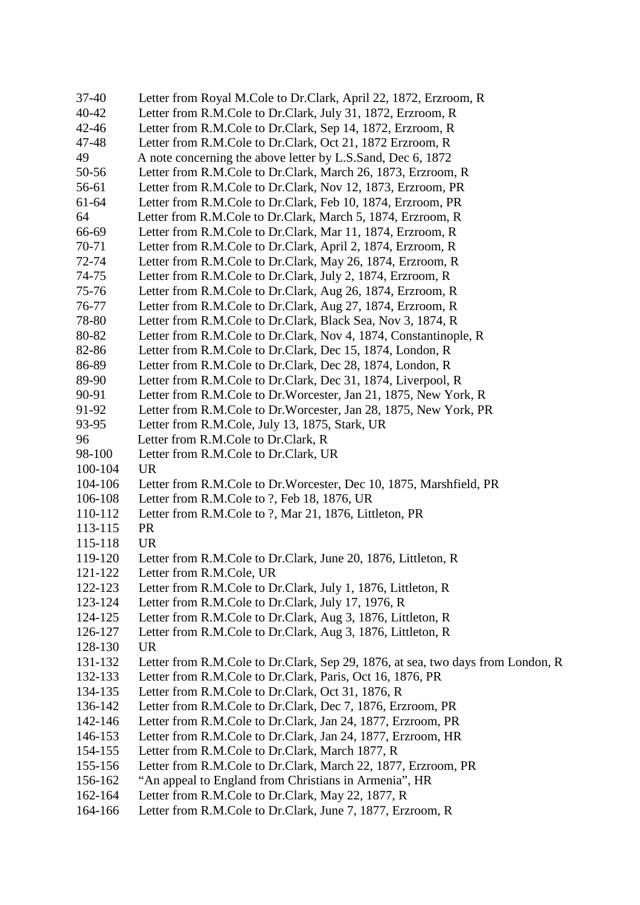| $37 - 40$ | Letter from Royal M.Cole to Dr.Clark, April 22, 1872, Erzroom, R                |
|-----------|---------------------------------------------------------------------------------|
| 40-42     | Letter from R.M.Cole to Dr.Clark, July 31, 1872, Erzroom, R                     |
| $42 - 46$ | Letter from R.M.Cole to Dr.Clark, Sep 14, 1872, Erzroom, R                      |
| 47-48     | Letter from R.M.Cole to Dr.Clark, Oct 21, 1872 Erzroom, R                       |
| 49        | A note concerning the above letter by L.S.Sand, Dec 6, 1872                     |
| 50-56     | Letter from R.M.Cole to Dr.Clark, March 26, 1873, Erzroom, R                    |
| 56-61     | Letter from R.M.Cole to Dr.Clark, Nov 12, 1873, Erzroom, PR                     |
| 61-64     | Letter from R.M.Cole to Dr.Clark, Feb 10, 1874, Erzroom, PR                     |
| 64        | Letter from R.M.Cole to Dr.Clark, March 5, 1874, Erzroom, R                     |
| 66-69     | Letter from R.M.Cole to Dr.Clark, Mar 11, 1874, Erzroom, R.                     |
| 70-71     | Letter from R.M.Cole to Dr.Clark, April 2, 1874, Erzroom, R                     |
| 72-74     | Letter from R.M.Cole to Dr.Clark, May 26, 1874, Erzroom, R.                     |
| 74-75     | Letter from R.M.Cole to Dr.Clark, July 2, 1874, Erzroom, R                      |
| 75-76     | Letter from R.M.Cole to Dr.Clark, Aug 26, 1874, Erzroom, R                      |
| 76-77     | Letter from R.M.Cole to Dr.Clark, Aug 27, 1874, Erzroom, R                      |
| 78-80     | Letter from R.M.Cole to Dr.Clark, Black Sea, Nov 3, 1874, R                     |
| 80-82     | Letter from R.M.Cole to Dr.Clark, Nov 4, 1874, Constantinople, R                |
| 82-86     | Letter from R.M.Cole to Dr.Clark, Dec 15, 1874, London, R                       |
| 86-89     | Letter from R.M.Cole to Dr.Clark, Dec 28, 1874, London, R                       |
| 89-90     | Letter from R.M.Cole to Dr.Clark, Dec 31, 1874, Liverpool, R                    |
| 90-91     | Letter from R.M.Cole to Dr.Worcester, Jan 21, 1875, New York, R                 |
| 91-92     | Letter from R.M.Cole to Dr.Worcester, Jan 28, 1875, New York, PR                |
| 93-95     | Letter from R.M.Cole, July 13, 1875, Stark, UR                                  |
| 96        | Letter from R.M.Cole to Dr.Clark, R                                             |
| 98-100    | Letter from R.M.Cole to Dr.Clark, UR                                            |
| 100-104   | <b>UR</b>                                                                       |
| 104-106   | Letter from R.M.Cole to Dr.Worcester, Dec 10, 1875, Marshfield, PR              |
| 106-108   | Letter from R.M.Cole to ?, Feb 18, 1876, UR                                     |
| 110-112   | Letter from R.M.Cole to ?, Mar 21, 1876, Littleton, PR                          |
| 113-115   | <b>PR</b>                                                                       |
| 115-118   | <b>UR</b>                                                                       |
| 119-120   | Letter from R.M.Cole to Dr.Clark, June 20, 1876, Littleton, R                   |
| 121-122   | Letter from R.M.Cole, UR                                                        |
| 122-123   | Letter from R.M.Cole to Dr.Clark, July 1, 1876, Littleton, R                    |
| 123-124   | Letter from R.M.Cole to Dr.Clark, July 17, 1976, R                              |
| 124-125   | Letter from R.M.Cole to Dr.Clark, Aug 3, 1876, Littleton, R                     |
| 126-127   | Letter from R.M.Cole to Dr.Clark, Aug 3, 1876, Littleton, R                     |
| 128-130   | <b>UR</b>                                                                       |
| 131-132   | Letter from R.M.Cole to Dr.Clark, Sep 29, 1876, at sea, two days from London, R |
| 132-133   | Letter from R.M.Cole to Dr.Clark, Paris, Oct 16, 1876, PR                       |
| 134-135   | Letter from R.M.Cole to Dr.Clark, Oct 31, 1876, R                               |
| 136-142   | Letter from R.M.Cole to Dr.Clark, Dec 7, 1876, Erzroom, PR                      |
| 142-146   | Letter from R.M.Cole to Dr.Clark, Jan 24, 1877, Erzroom, PR                     |
| 146-153   | Letter from R.M.Cole to Dr.Clark, Jan 24, 1877, Erzroom, HR                     |
| 154-155   | Letter from R.M.Cole to Dr.Clark, March 1877, R                                 |
| 155-156   | Letter from R.M.Cole to Dr.Clark, March 22, 1877, Erzroom, PR                   |
| 156-162   | "An appeal to England from Christians in Armenia", HR                           |
| 162-164   | Letter from R.M.Cole to Dr.Clark, May 22, 1877, R                               |
| 164-166   | Letter from R.M.Cole to Dr.Clark, June 7, 1877, Erzroom, R                      |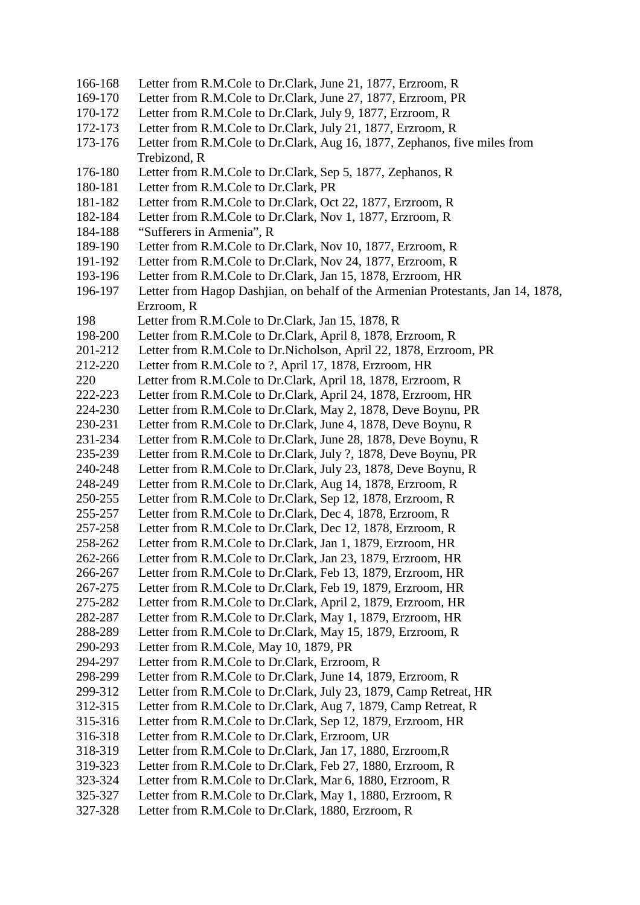- 166-168 Letter from R.M.Cole to Dr.Clark, June 21, 1877, Erzroom, R
- 169-170 Letter from R.M.Cole to Dr.Clark, June 27, 1877, Erzroom, PR
- 170-172 Letter from R.M.Cole to Dr.Clark, July 9, 1877, Erzroom, R
- 172-173 Letter from R.M.Cole to Dr.Clark, July 21, 1877, Erzroom, R
- 173-176 Letter from R.M.Cole to Dr.Clark, Aug 16, 1877, Zephanos, five miles from Trebizond, R
- 176-180 Letter from R.M.Cole to Dr.Clark, Sep 5, 1877, Zephanos, R
- 180-181 Letter from R.M.Cole to Dr.Clark, PR
- 181-182 Letter from R.M.Cole to Dr.Clark, Oct 22, 1877, Erzroom, R
- 182-184 Letter from R.M.Cole to Dr.Clark, Nov 1, 1877, Erzroom, R
- 184-188 "Sufferers in Armenia", R
- 189-190 Letter from R.M.Cole to Dr.Clark, Nov 10, 1877, Erzroom, R
- 191-192 Letter from R.M.Cole to Dr.Clark, Nov 24, 1877, Erzroom, R
- 193-196 Letter from R.M.Cole to Dr.Clark, Jan 15, 1878, Erzroom, HR
- 196-197 Letter from Hagop Dashjian, on behalf of the Armenian Protestants, Jan 14, 1878, Erzroom, R
- 198 Letter from R.M.Cole to Dr.Clark, Jan 15, 1878, R
- 198-200 Letter from R.M.Cole to Dr.Clark, April 8, 1878, Erzroom, R
- 201-212 Letter from R.M.Cole to Dr.Nicholson, April 22, 1878, Erzroom, PR
- 212-220 Letter from R.M.Cole to ?, April 17, 1878, Erzroom, HR
- 220 Letter from R.M.Cole to Dr.Clark, April 18, 1878, Erzroom, R
- 222-223 Letter from R.M.Cole to Dr.Clark, April 24, 1878, Erzroom, HR
- 224-230 Letter from R.M.Cole to Dr.Clark, May 2, 1878, Deve Boynu, PR
- 230-231 Letter from R.M.Cole to Dr.Clark, June 4, 1878, Deve Boynu, R
- 231-234 Letter from R.M.Cole to Dr.Clark, June 28, 1878, Deve Boynu, R
- 235-239 Letter from R.M.Cole to Dr.Clark, July ?, 1878, Deve Boynu, PR
- 240-248 Letter from R.M.Cole to Dr.Clark, July 23, 1878, Deve Boynu, R
- 248-249 Letter from R.M.Cole to Dr.Clark, Aug 14, 1878, Erzroom, R
- 250-255 Letter from R.M.Cole to Dr.Clark, Sep 12, 1878, Erzroom, R
- 255-257 Letter from R.M.Cole to Dr.Clark, Dec 4, 1878, Erzroom, R
- 257-258 Letter from R.M.Cole to Dr.Clark, Dec 12, 1878, Erzroom, R 258-262 Letter from R.M.Cole to Dr.Clark, Jan 1, 1879, Erzroom, HR
- 262-266 Letter from R.M.Cole to Dr.Clark, Jan 23, 1879, Erzroom, HR
- 266-267 Letter from R.M.Cole to Dr.Clark, Feb 13, 1879, Erzroom, HR
- 267-275 Letter from R.M.Cole to Dr.Clark, Feb 19, 1879, Erzroom, HR
- 275-282 Letter from R.M.Cole to Dr.Clark, April 2, 1879, Erzroom, HR
- 282-287 Letter from R.M.Cole to Dr.Clark, May 1, 1879, Erzroom, HR
- 288-289 Letter from R.M.Cole to Dr.Clark, May 15, 1879, Erzroom, R
- 290-293 Letter from R.M.Cole, May 10, 1879, PR
- 294-297 Letter from R.M.Cole to Dr.Clark, Erzroom, R
- 298-299 Letter from R.M.Cole to Dr.Clark, June 14, 1879, Erzroom, R
- 299-312 Letter from R.M.Cole to Dr.Clark, July 23, 1879, Camp Retreat, HR
- 312-315 Letter from R.M.Cole to Dr.Clark, Aug 7, 1879, Camp Retreat, R
- 315-316 Letter from R.M.Cole to Dr.Clark, Sep 12, 1879, Erzroom, HR
- 316-318 Letter from R.M.Cole to Dr.Clark, Erzroom, UR
- 318-319 Letter from R.M.Cole to Dr.Clark, Jan 17, 1880, Erzroom,R
- 319-323 Letter from R.M.Cole to Dr.Clark, Feb 27, 1880, Erzroom, R
- 323-324 Letter from R.M.Cole to Dr.Clark, Mar 6, 1880, Erzroom, R
- 325-327 Letter from R.M.Cole to Dr.Clark, May 1, 1880, Erzroom, R
- 327-328 Letter from R.M.Cole to Dr.Clark, 1880, Erzroom, R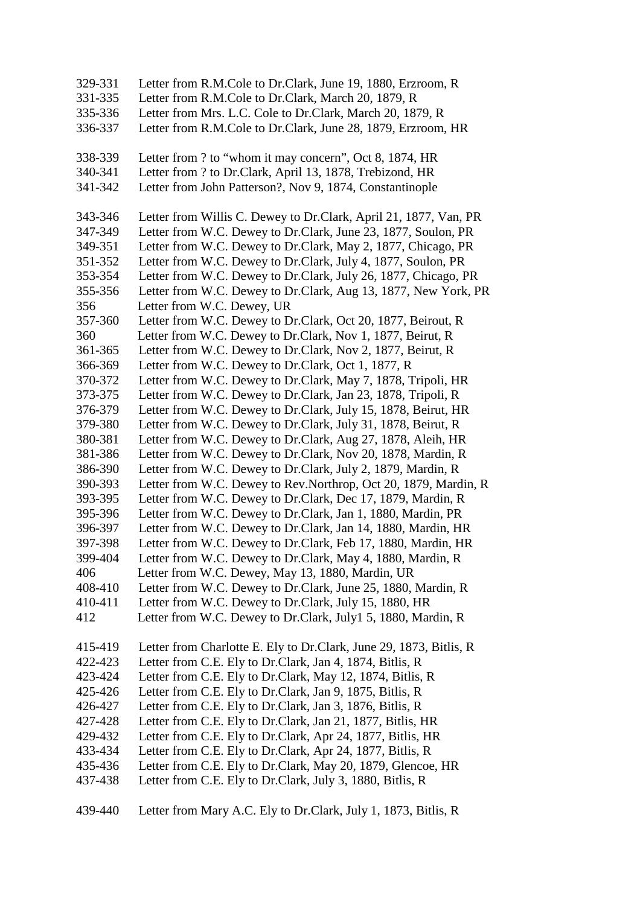329-331 Letter from R.M.Cole to Dr.Clark, June 19, 1880, Erzroom, R 331-335 Letter from R.M.Cole to Dr.Clark, March 20, 1879, R 335-336 Letter from Mrs. L.C. Cole to Dr.Clark, March 20, 1879, R 336-337 Letter from R.M.Cole to Dr.Clark, June 28, 1879, Erzroom, HR 338-339 Letter from ? to "whom it may concern", Oct 8, 1874, HR 340-341 Letter from ? to Dr.Clark, April 13, 1878, Trebizond, HR 341-342 Letter from John Patterson?, Nov 9, 1874, Constantinople 343-346 Letter from Willis C. Dewey to Dr.Clark, April 21, 1877, Van, PR 347-349 Letter from W.C. Dewey to Dr.Clark, June 23, 1877, Soulon, PR 349-351 Letter from W.C. Dewey to Dr.Clark, May 2, 1877, Chicago, PR 351-352 Letter from W.C. Dewey to Dr.Clark, July 4, 1877, Soulon, PR 353-354 Letter from W.C. Dewey to Dr.Clark, July 26, 1877, Chicago, PR 355-356 Letter from W.C. Dewey to Dr.Clark, Aug 13, 1877, New York, PR 356 Letter from W.C. Dewey, UR 357-360 Letter from W.C. Dewey to Dr.Clark, Oct 20, 1877, Beirout, R 360 Letter from W.C. Dewey to Dr.Clark, Nov 1, 1877, Beirut, R 361-365 Letter from W.C. Dewey to Dr.Clark, Nov 2, 1877, Beirut, R 366-369 Letter from W.C. Dewey to Dr.Clark, Oct 1, 1877, R 370-372 Letter from W.C. Dewey to Dr.Clark, May 7, 1878, Tripoli, HR 373-375 Letter from W.C. Dewey to Dr.Clark, Jan 23, 1878, Tripoli, R 376-379 Letter from W.C. Dewey to Dr.Clark, July 15, 1878, Beirut, HR 379-380 Letter from W.C. Dewey to Dr.Clark, July 31, 1878, Beirut, R 380-381 Letter from W.C. Dewey to Dr.Clark, Aug 27, 1878, Aleih, HR 381-386 Letter from W.C. Dewey to Dr.Clark, Nov 20, 1878, Mardin, R 386-390 Letter from W.C. Dewey to Dr.Clark, July 2, 1879, Mardin, R 390-393 Letter from W.C. Dewey to Rev.Northrop, Oct 20, 1879, Mardin, R 393-395 Letter from W.C. Dewey to Dr.Clark, Dec 17, 1879, Mardin, R 395-396 Letter from W.C. Dewey to Dr.Clark, Jan 1, 1880, Mardin, PR 396-397 Letter from W.C. Dewey to Dr.Clark, Jan 14, 1880, Mardin, HR 397-398 Letter from W.C. Dewey to Dr.Clark, Feb 17, 1880, Mardin, HR 399-404 Letter from W.C. Dewey to Dr.Clark, May 4, 1880, Mardin, R 406 Letter from W.C. Dewey, May 13, 1880, Mardin, UR 408-410 Letter from W.C. Dewey to Dr.Clark, June 25, 1880, Mardin, R 410-411 Letter from W.C. Dewey to Dr.Clark, July 15, 1880, HR 412 Letter from W.C. Dewey to Dr.Clark, July1 5, 1880, Mardin, R 415-419 Letter from Charlotte E. Ely to Dr.Clark, June 29, 1873, Bitlis, R 422-423 Letter from C.E. Ely to Dr.Clark, Jan 4, 1874, Bitlis, R 423-424 Letter from C.E. Ely to Dr.Clark, May 12, 1874, Bitlis, R 425-426 Letter from C.E. Ely to Dr.Clark, Jan 9, 1875, Bitlis, R 426-427 Letter from C.E. Ely to Dr.Clark, Jan 3, 1876, Bitlis, R 427-428 Letter from C.E. Ely to Dr.Clark, Jan 21, 1877, Bitlis, HR 429-432 Letter from C.E. Ely to Dr.Clark, Apr 24, 1877, Bitlis, HR 433-434 Letter from C.E. Ely to Dr.Clark, Apr 24, 1877, Bitlis, R 435-436 Letter from C.E. Ely to Dr.Clark, May 20, 1879, Glencoe, HR 437-438 Letter from C.E. Ely to Dr.Clark, July 3, 1880, Bitlis, R 439-440 Letter from Mary A.C. Ely to Dr.Clark, July 1, 1873, Bitlis, R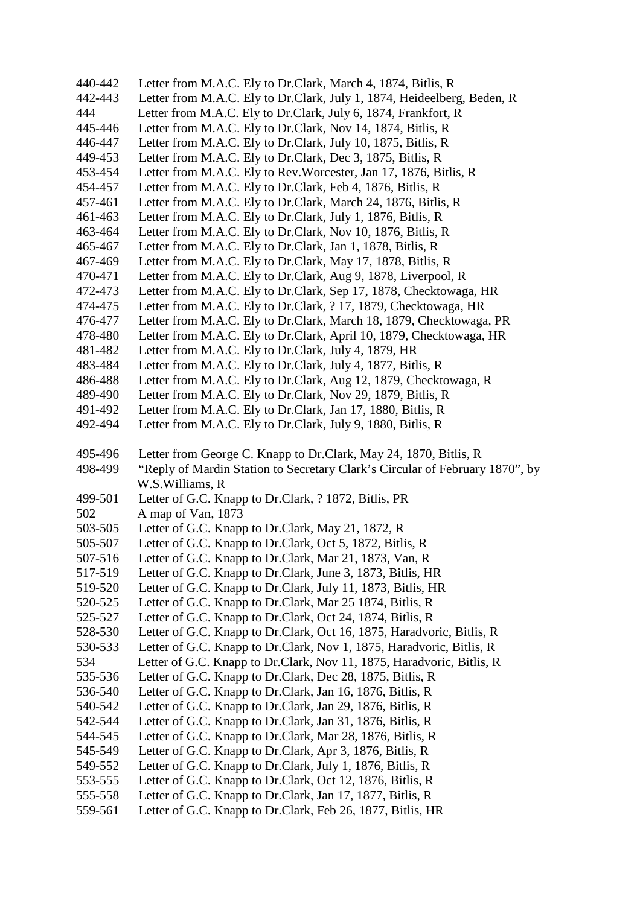440-442 Letter from M.A.C. Ely to Dr.Clark, March 4, 1874, Bitlis, R 442-443 Letter from M.A.C. Ely to Dr.Clark, July 1, 1874, Heideelberg, Beden, R 444 Letter from M.A.C. Ely to Dr.Clark, July 6, 1874, Frankfort, R 445-446 Letter from M.A.C. Ely to Dr.Clark, Nov 14, 1874, Bitlis, R 446-447 Letter from M.A.C. Ely to Dr.Clark, July 10, 1875, Bitlis, R 449-453 Letter from M.A.C. Ely to Dr.Clark, Dec 3, 1875, Bitlis, R 453-454 Letter from M.A.C. Ely to Rev.Worcester, Jan 17, 1876, Bitlis, R 454-457 Letter from M.A.C. Ely to Dr.Clark, Feb 4, 1876, Bitlis, R 457-461 Letter from M.A.C. Ely to Dr.Clark, March 24, 1876, Bitlis, R 461-463 Letter from M.A.C. Ely to Dr.Clark, July 1, 1876, Bitlis, R 463-464 Letter from M.A.C. Ely to Dr.Clark, Nov 10, 1876, Bitlis, R 465-467 Letter from M.A.C. Ely to Dr.Clark, Jan 1, 1878, Bitlis, R 467-469 Letter from M.A.C. Ely to Dr.Clark, May 17, 1878, Bitlis, R 470-471 Letter from M.A.C. Ely to Dr.Clark, Aug 9, 1878, Liverpool, R 472-473 Letter from M.A.C. Ely to Dr.Clark, Sep 17, 1878, Checktowaga, HR 474-475 Letter from M.A.C. Ely to Dr.Clark, ? 17, 1879, Checktowaga, HR 476-477 Letter from M.A.C. Ely to Dr.Clark, March 18, 1879, Checktowaga, PR 478-480 Letter from M.A.C. Ely to Dr.Clark, April 10, 1879, Checktowaga, HR 481-482 Letter from M.A.C. Ely to Dr.Clark, July 4, 1879, HR 483-484 Letter from M.A.C. Ely to Dr.Clark, July 4, 1877, Bitlis, R 486-488 Letter from M.A.C. Ely to Dr.Clark, Aug 12, 1879, Checktowaga, R 489-490 Letter from M.A.C. Ely to Dr.Clark, Nov 29, 1879, Bitlis, R 491-492 Letter from M.A.C. Ely to Dr.Clark, Jan 17, 1880, Bitlis, R 492-494 Letter from M.A.C. Ely to Dr.Clark, July 9, 1880, Bitlis, R 495-496 Letter from George C. Knapp to Dr.Clark, May 24, 1870, Bitlis, R 498-499 "Reply of Mardin Station to Secretary Clark's Circular of February 1870", by W.S.Williams, R 499-501 Letter of G.C. Knapp to Dr.Clark, ? 1872, Bitlis, PR 502 A map of Van, 1873 503-505 Letter of G.C. Knapp to Dr.Clark, May 21, 1872, R 505-507 Letter of G.C. Knapp to Dr.Clark, Oct 5, 1872, Bitlis, R 507-516 Letter of G.C. Knapp to Dr.Clark, Mar 21, 1873, Van, R 517-519 Letter of G.C. Knapp to Dr.Clark, June 3, 1873, Bitlis, HR 519-520 Letter of G.C. Knapp to Dr.Clark, July 11, 1873, Bitlis, HR 520-525 Letter of G.C. Knapp to Dr.Clark, Mar 25 1874, Bitlis, R 525-527 Letter of G.C. Knapp to Dr.Clark, Oct 24, 1874, Bitlis, R 528-530 Letter of G.C. Knapp to Dr.Clark, Oct 16, 1875, Haradvoric, Bitlis, R 530-533 Letter of G.C. Knapp to Dr.Clark, Nov 1, 1875, Haradvoric, Bitlis, R 534 Letter of G.C. Knapp to Dr.Clark, Nov 11, 1875, Haradvoric, Bitlis, R 535-536 Letter of G.C. Knapp to Dr.Clark, Dec 28, 1875, Bitlis, R 536-540 Letter of G.C. Knapp to Dr.Clark, Jan 16, 1876, Bitlis, R 540-542 Letter of G.C. Knapp to Dr.Clark, Jan 29, 1876, Bitlis, R 542-544 Letter of G.C. Knapp to Dr.Clark, Jan 31, 1876, Bitlis, R 544-545 Letter of G.C. Knapp to Dr.Clark, Mar 28, 1876, Bitlis, R 545-549 Letter of G.C. Knapp to Dr.Clark, Apr 3, 1876, Bitlis, R 549-552 Letter of G.C. Knapp to Dr.Clark, July 1, 1876, Bitlis, R 553-555 Letter of G.C. Knapp to Dr.Clark, Oct 12, 1876, Bitlis, R 555-558 Letter of G.C. Knapp to Dr.Clark, Jan 17, 1877, Bitlis, R 559-561 Letter of G.C. Knapp to Dr.Clark, Feb 26, 1877, Bitlis, HR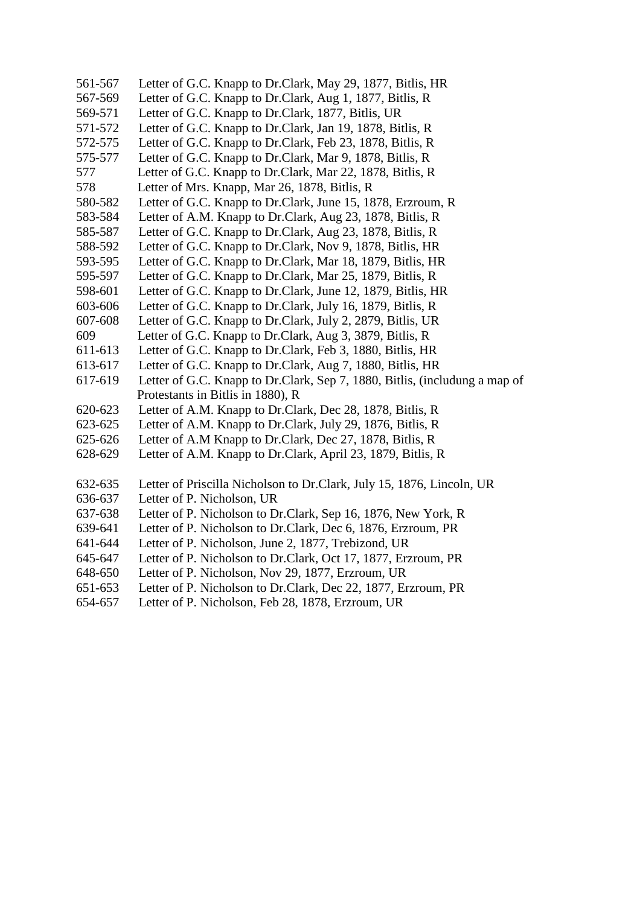- 561-567 Letter of G.C. Knapp to Dr.Clark, May 29, 1877, Bitlis, HR
- 567-569 Letter of G.C. Knapp to Dr.Clark, Aug 1, 1877, Bitlis, R
- 569-571 Letter of G.C. Knapp to Dr.Clark, 1877, Bitlis, UR
- 571-572 Letter of G.C. Knapp to Dr.Clark, Jan 19, 1878, Bitlis, R
- 572-575 Letter of G.C. Knapp to Dr.Clark, Feb 23, 1878, Bitlis, R
- 575-577 Letter of G.C. Knapp to Dr.Clark, Mar 9, 1878, Bitlis, R
- 577 Letter of G.C. Knapp to Dr.Clark, Mar 22, 1878, Bitlis, R
- 578 Letter of Mrs. Knapp, Mar 26, 1878, Bitlis, R
- 580-582 Letter of G.C. Knapp to Dr.Clark, June 15, 1878, Erzroum, R
- 583-584 Letter of A.M. Knapp to Dr.Clark, Aug 23, 1878, Bitlis, R
- 585-587 Letter of G.C. Knapp to Dr.Clark, Aug 23, 1878, Bitlis, R
- 588-592 Letter of G.C. Knapp to Dr.Clark, Nov 9, 1878, Bitlis, HR 593-595 Letter of G.C. Knapp to Dr.Clark, Mar 18, 1879, Bitlis, HR
- 595-597 Letter of G.C. Knapp to Dr.Clark, Mar 25, 1879, Bitlis, R
- 598-601 Letter of G.C. Knapp to Dr.Clark, June 12, 1879, Bitlis, HR
- 603-606 Letter of G.C. Knapp to Dr.Clark, July 16, 1879, Bitlis, R
- 607-608 Letter of G.C. Knapp to Dr.Clark, July 2, 2879, Bitlis, UR
- 609 Letter of G.C. Knapp to Dr.Clark, Aug 3, 3879, Bitlis, R
- 611-613 Letter of G.C. Knapp to Dr.Clark, Feb 3, 1880, Bitlis, HR
- 613-617 Letter of G.C. Knapp to Dr.Clark, Aug 7, 1880, Bitlis, HR
- 617-619 Letter of G.C. Knapp to Dr.Clark, Sep 7, 1880, Bitlis, (includung a map of Protestants in Bitlis in 1880), R
- 620-623 Letter of A.M. Knapp to Dr.Clark, Dec 28, 1878, Bitlis, R
- 623-625 Letter of A.M. Knapp to Dr.Clark, July 29, 1876, Bitlis, R
- 625-626 Letter of A.M Knapp to Dr.Clark, Dec 27, 1878, Bitlis, R
- 628-629 Letter of A.M. Knapp to Dr.Clark, April 23, 1879, Bitlis, R
- 632-635 Letter of Priscilla Nicholson to Dr.Clark, July 15, 1876, Lincoln, UR
- 636-637 Letter of P. Nicholson, UR
- 637-638 Letter of P. Nicholson to Dr.Clark, Sep 16, 1876, New York, R
- 639-641 Letter of P. Nicholson to Dr.Clark, Dec 6, 1876, Erzroum, PR
- 641-644 Letter of P. Nicholson, June 2, 1877, Trebizond, UR
- 645-647 Letter of P. Nicholson to Dr.Clark, Oct 17, 1877, Erzroum, PR
- 648-650 Letter of P. Nicholson, Nov 29, 1877, Erzroum, UR
- 651-653 Letter of P. Nicholson to Dr.Clark, Dec 22, 1877, Erzroum, PR
- 654-657 Letter of P. Nicholson, Feb 28, 1878, Erzroum, UR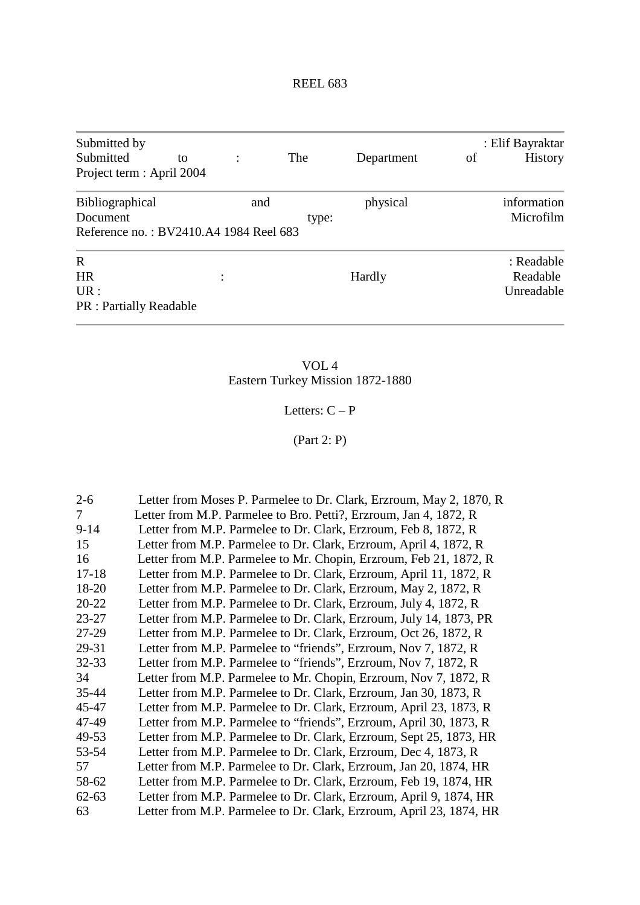| Submitted by<br>Submitted<br>Project term : April 2004                       | to |     | The   | Department | of | : Elif Bayraktar<br><b>History</b>   |
|------------------------------------------------------------------------------|----|-----|-------|------------|----|--------------------------------------|
| <b>Bibliographical</b><br>Document<br>Reference no.: BV2410.A4 1984 Reel 683 |    | and | type: | physical   |    | information<br>Microfilm             |
| $\mathbf R$<br><b>HR</b><br>UR:<br><b>PR</b> : Partially Readable            |    |     |       | Hardly     |    | : Readable<br>Readable<br>Unreadable |

VOL 4 Eastern Turkey Mission 1872-1880

# Letters:  $C - P$

(Part 2: P)

| $2 - 6$   | Letter from Moses P. Parmelee to Dr. Clark, Erzroum, May 2, 1870, R |
|-----------|---------------------------------------------------------------------|
| 7         | Letter from M.P. Parmelee to Bro. Petti?, Erzroum, Jan 4, 1872, R   |
| $9 - 14$  | Letter from M.P. Parmelee to Dr. Clark, Erzroum, Feb 8, 1872, R     |
| 15        | Letter from M.P. Parmelee to Dr. Clark, Erzroum, April 4, 1872, R   |
| 16        | Letter from M.P. Parmelee to Mr. Chopin, Erzroum, Feb 21, 1872, R   |
| $17 - 18$ | Letter from M.P. Parmelee to Dr. Clark, Erzroum, April 11, 1872, R  |
| 18-20     | Letter from M.P. Parmelee to Dr. Clark, Erzroum, May 2, 1872, R     |
| $20 - 22$ | Letter from M.P. Parmelee to Dr. Clark, Erzroum, July 4, 1872, R    |
| 23-27     | Letter from M.P. Parmelee to Dr. Clark, Erzroum, July 14, 1873, PR  |
| 27-29     | Letter from M.P. Parmelee to Dr. Clark, Erzroum, Oct 26, 1872, R.   |
| 29-31     | Letter from M.P. Parmelee to "friends", Erzroum, Nov 7, 1872, R     |
| $32 - 33$ | Letter from M.P. Parmelee to "friends", Erzroum, Nov 7, 1872, R     |
| 34        | Letter from M.P. Parmelee to Mr. Chopin, Erzroum, Nov 7, 1872, R    |
| 35-44     | Letter from M.P. Parmelee to Dr. Clark, Erzroum, Jan 30, 1873, R    |
| 45-47     | Letter from M.P. Parmelee to Dr. Clark, Erzroum, April 23, 1873, R  |
| 47-49     | Letter from M.P. Parmelee to "friends", Erzroum, April 30, 1873, R  |
| 49-53     | Letter from M.P. Parmelee to Dr. Clark, Erzroum, Sept 25, 1873, HR  |
| 53-54     | Letter from M.P. Parmelee to Dr. Clark, Erzroum, Dec 4, 1873, R     |
| 57        | Letter from M.P. Parmelee to Dr. Clark, Erzroum, Jan 20, 1874, HR   |
| 58-62     | Letter from M.P. Parmelee to Dr. Clark, Erzroum, Feb 19, 1874, HR   |
| $62 - 63$ | Letter from M.P. Parmelee to Dr. Clark, Erzroum, April 9, 1874, HR  |
| 63        | Letter from M.P. Parmelee to Dr. Clark, Erzroum, April 23, 1874, HR |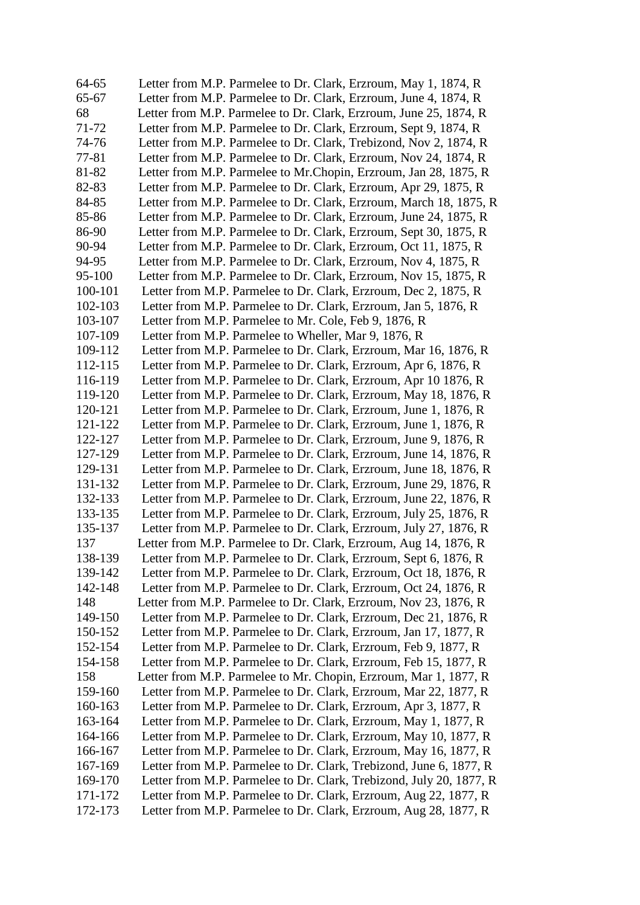| 64-65   | Letter from M.P. Parmelee to Dr. Clark, Erzroum, May 1, 1874, R     |
|---------|---------------------------------------------------------------------|
| 65-67   | Letter from M.P. Parmelee to Dr. Clark, Erzroum, June 4, 1874, R    |
| 68      | Letter from M.P. Parmelee to Dr. Clark, Erzroum, June 25, 1874, R   |
| 71-72   | Letter from M.P. Parmelee to Dr. Clark, Erzroum, Sept 9, 1874, R    |
| 74-76   | Letter from M.P. Parmelee to Dr. Clark, Trebizond, Nov 2, 1874, R   |
| 77-81   | Letter from M.P. Parmelee to Dr. Clark, Erzroum, Nov 24, 1874, R    |
| 81-82   | Letter from M.P. Parmelee to Mr.Chopin, Erzroum, Jan 28, 1875, R    |
| 82-83   | Letter from M.P. Parmelee to Dr. Clark, Erzroum, Apr 29, 1875, R    |
| 84-85   | Letter from M.P. Parmelee to Dr. Clark, Erzroum, March 18, 1875, R  |
| 85-86   | Letter from M.P. Parmelee to Dr. Clark, Erzroum, June 24, 1875, R   |
| 86-90   | Letter from M.P. Parmelee to Dr. Clark, Erzroum, Sept 30, 1875, R   |
| 90-94   | Letter from M.P. Parmelee to Dr. Clark, Erzroum, Oct 11, 1875, R    |
| 94-95   | Letter from M.P. Parmelee to Dr. Clark, Erzroum, Nov 4, 1875, R     |
| 95-100  | Letter from M.P. Parmelee to Dr. Clark, Erzroum, Nov 15, 1875, R    |
| 100-101 | Letter from M.P. Parmelee to Dr. Clark, Erzroum, Dec 2, 1875, R     |
| 102-103 | Letter from M.P. Parmelee to Dr. Clark, Erzroum, Jan 5, 1876, R     |
| 103-107 | Letter from M.P. Parmelee to Mr. Cole, Feb 9, 1876, R               |
| 107-109 | Letter from M.P. Parmelee to Wheller, Mar 9, 1876, R                |
| 109-112 | Letter from M.P. Parmelee to Dr. Clark, Erzroum, Mar 16, 1876, R    |
| 112-115 | Letter from M.P. Parmelee to Dr. Clark, Erzroum, Apr 6, 1876, R     |
| 116-119 | Letter from M.P. Parmelee to Dr. Clark, Erzroum, Apr 10 1876, R     |
| 119-120 | Letter from M.P. Parmelee to Dr. Clark, Erzroum, May 18, 1876, R    |
| 120-121 | Letter from M.P. Parmelee to Dr. Clark, Erzroum, June 1, 1876, R    |
| 121-122 | Letter from M.P. Parmelee to Dr. Clark, Erzroum, June 1, 1876, R    |
| 122-127 | Letter from M.P. Parmelee to Dr. Clark, Erzroum, June 9, 1876, R    |
| 127-129 | Letter from M.P. Parmelee to Dr. Clark, Erzroum, June 14, 1876, R   |
| 129-131 | Letter from M.P. Parmelee to Dr. Clark, Erzroum, June 18, 1876, R   |
| 131-132 | Letter from M.P. Parmelee to Dr. Clark, Erzroum, June 29, 1876, R   |
| 132-133 | Letter from M.P. Parmelee to Dr. Clark, Erzroum, June 22, 1876, R   |
| 133-135 | Letter from M.P. Parmelee to Dr. Clark, Erzroum, July 25, 1876, R   |
| 135-137 | Letter from M.P. Parmelee to Dr. Clark, Erzroum, July 27, 1876, R   |
| 137     | Letter from M.P. Parmelee to Dr. Clark, Erzroum, Aug 14, 1876, R    |
| 138-139 | Letter from M.P. Parmelee to Dr. Clark, Erzroum, Sept 6, 1876, R    |
| 139-142 | Letter from M.P. Parmelee to Dr. Clark, Erzroum, Oct 18, 1876, R    |
| 142-148 | Letter from M.P. Parmelee to Dr. Clark, Erzroum, Oct 24, 1876, R    |
| 148     | Letter from M.P. Parmelee to Dr. Clark, Erzroum, Nov 23, 1876, R    |
| 149-150 | Letter from M.P. Parmelee to Dr. Clark, Erzroum, Dec 21, 1876, R    |
| 150-152 | Letter from M.P. Parmelee to Dr. Clark, Erzroum, Jan 17, 1877, R    |
| 152-154 | Letter from M.P. Parmelee to Dr. Clark, Erzroum, Feb 9, 1877, R     |
| 154-158 | Letter from M.P. Parmelee to Dr. Clark, Erzroum, Feb 15, 1877, R    |
| 158     | Letter from M.P. Parmelee to Mr. Chopin, Erzroum, Mar 1, 1877, R    |
| 159-160 | Letter from M.P. Parmelee to Dr. Clark, Erzroum, Mar 22, 1877, R    |
| 160-163 | Letter from M.P. Parmelee to Dr. Clark, Erzroum, Apr 3, 1877, R     |
| 163-164 | Letter from M.P. Parmelee to Dr. Clark, Erzroum, May 1, 1877, R     |
| 164-166 | Letter from M.P. Parmelee to Dr. Clark, Erzroum, May 10, 1877, R    |
| 166-167 | Letter from M.P. Parmelee to Dr. Clark, Erzroum, May 16, 1877, R    |
| 167-169 | Letter from M.P. Parmelee to Dr. Clark, Trebizond, June 6, 1877, R  |
| 169-170 | Letter from M.P. Parmelee to Dr. Clark, Trebizond, July 20, 1877, R |
| 171-172 | Letter from M.P. Parmelee to Dr. Clark, Erzroum, Aug 22, 1877, R    |
| 172-173 | Letter from M.P. Parmelee to Dr. Clark, Erzroum, Aug 28, 1877, R    |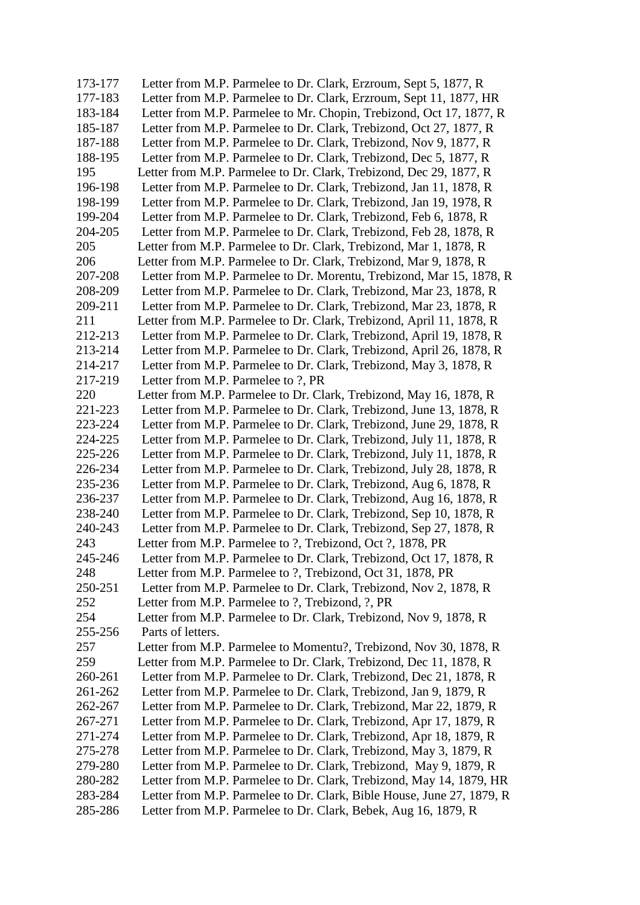173-177 Letter from M.P. Parmelee to Dr. Clark, Erzroum, Sept 5, 1877, R 177-183 Letter from M.P. Parmelee to Dr. Clark, Erzroum, Sept 11, 1877, HR 183-184 Letter from M.P. Parmelee to Mr. Chopin, Trebizond, Oct 17, 1877, R 185-187 Letter from M.P. Parmelee to Dr. Clark, Trebizond, Oct 27, 1877, R 187-188 Letter from M.P. Parmelee to Dr. Clark, Trebizond, Nov 9, 1877, R 188-195 Letter from M.P. Parmelee to Dr. Clark, Trebizond, Dec 5, 1877, R 195 Letter from M.P. Parmelee to Dr. Clark, Trebizond, Dec 29, 1877, R 196-198 Letter from M.P. Parmelee to Dr. Clark, Trebizond, Jan 11, 1878, R 198-199 Letter from M.P. Parmelee to Dr. Clark, Trebizond, Jan 19, 1978, R 199-204 Letter from M.P. Parmelee to Dr. Clark, Trebizond, Feb 6, 1878, R 204-205 Letter from M.P. Parmelee to Dr. Clark, Trebizond, Feb 28, 1878, R 205 Letter from M.P. Parmelee to Dr. Clark, Trebizond, Mar 1, 1878, R 206 Letter from M.P. Parmelee to Dr. Clark, Trebizond, Mar 9, 1878, R 207-208 Letter from M.P. Parmelee to Dr. Morentu, Trebizond, Mar 15, 1878, R 208-209 Letter from M.P. Parmelee to Dr. Clark, Trebizond, Mar 23, 1878, R 209-211 Letter from M.P. Parmelee to Dr. Clark, Trebizond, Mar 23, 1878, R 211 Letter from M.P. Parmelee to Dr. Clark, Trebizond, April 11, 1878, R 212-213 Letter from M.P. Parmelee to Dr. Clark, Trebizond, April 19, 1878, R 213-214 Letter from M.P. Parmelee to Dr. Clark, Trebizond, April 26, 1878, R 214-217 Letter from M.P. Parmelee to Dr. Clark, Trebizond, May 3, 1878, R 217-219 Letter from M.P. Parmelee to ?, PR 220 Letter from M.P. Parmelee to Dr. Clark, Trebizond, May 16, 1878, R 221-223 Letter from M.P. Parmelee to Dr. Clark, Trebizond, June 13, 1878, R 223-224 Letter from M.P. Parmelee to Dr. Clark, Trebizond, June 29, 1878, R 224-225 Letter from M.P. Parmelee to Dr. Clark, Trebizond, July 11, 1878, R 225-226 Letter from M.P. Parmelee to Dr. Clark, Trebizond, July 11, 1878, R 226-234 Letter from M.P. Parmelee to Dr. Clark, Trebizond, July 28, 1878, R 235-236 Letter from M.P. Parmelee to Dr. Clark, Trebizond, Aug 6, 1878, R 236-237 Letter from M.P. Parmelee to Dr. Clark, Trebizond, Aug 16, 1878, R 238-240 Letter from M.P. Parmelee to Dr. Clark, Trebizond, Sep 10, 1878, R 240-243 Letter from M.P. Parmelee to Dr. Clark, Trebizond, Sep 27, 1878, R 243 Letter from M.P. Parmelee to ?, Trebizond, Oct ?, 1878, PR 245-246 Letter from M.P. Parmelee to Dr. Clark, Trebizond, Oct 17, 1878, R 248 Letter from M.P. Parmelee to ?, Trebizond, Oct 31, 1878, PR 250-251 Letter from M.P. Parmelee to Dr. Clark, Trebizond, Nov 2, 1878, R 252 Letter from M.P. Parmelee to ?, Trebizond, ?, PR 254 Letter from M.P. Parmelee to Dr. Clark, Trebizond, Nov 9, 1878, R 255-256 Parts of letters. 257 Letter from M.P. Parmelee to Momentu?, Trebizond, Nov 30, 1878, R 259 Letter from M.P. Parmelee to Dr. Clark, Trebizond, Dec 11, 1878, R 260-261 Letter from M.P. Parmelee to Dr. Clark, Trebizond, Dec 21, 1878, R 261-262 Letter from M.P. Parmelee to Dr. Clark, Trebizond, Jan 9, 1879, R 262-267 Letter from M.P. Parmelee to Dr. Clark, Trebizond, Mar 22, 1879, R 267-271 Letter from M.P. Parmelee to Dr. Clark, Trebizond, Apr 17, 1879, R 271-274 Letter from M.P. Parmelee to Dr. Clark, Trebizond, Apr 18, 1879, R 275-278 Letter from M.P. Parmelee to Dr. Clark, Trebizond, May 3, 1879, R 279-280 Letter from M.P. Parmelee to Dr. Clark, Trebizond, May 9, 1879, R 280-282 Letter from M.P. Parmelee to Dr. Clark, Trebizond, May 14, 1879, HR 283-284 Letter from M.P. Parmelee to Dr. Clark, Bible House, June 27, 1879, R 285-286 Letter from M.P. Parmelee to Dr. Clark, Bebek, Aug 16, 1879, R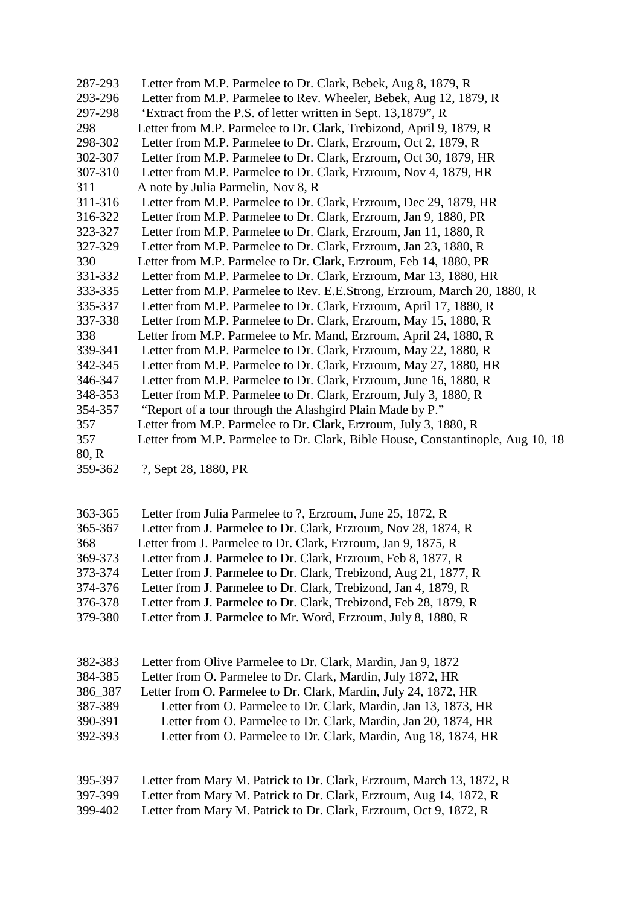| 287-293 | Letter from M.P. Parmelee to Dr. Clark, Bebek, Aug 8, 1879, R                   |
|---------|---------------------------------------------------------------------------------|
| 293-296 | Letter from M.P. Parmelee to Rev. Wheeler, Bebek, Aug 12, 1879, R               |
| 297-298 | 'Extract from the P.S. of letter written in Sept. 13,1879", R                   |
| 298     | Letter from M.P. Parmelee to Dr. Clark, Trebizond, April 9, 1879, R             |
| 298-302 | Letter from M.P. Parmelee to Dr. Clark, Erzroum, Oct 2, 1879, R                 |
| 302-307 | Letter from M.P. Parmelee to Dr. Clark, Erzroum, Oct 30, 1879, HR               |
| 307-310 | Letter from M.P. Parmelee to Dr. Clark, Erzroum, Nov 4, 1879, HR                |
| 311     | A note by Julia Parmelin, Nov 8, R                                              |
| 311-316 | Letter from M.P. Parmelee to Dr. Clark, Erzroum, Dec 29, 1879, HR               |
| 316-322 | Letter from M.P. Parmelee to Dr. Clark, Erzroum, Jan 9, 1880, PR                |
| 323-327 | Letter from M.P. Parmelee to Dr. Clark, Erzroum, Jan 11, 1880, R                |
| 327-329 | Letter from M.P. Parmelee to Dr. Clark, Erzroum, Jan 23, 1880, R                |
| 330     | Letter from M.P. Parmelee to Dr. Clark, Erzroum, Feb 14, 1880, PR               |
| 331-332 | Letter from M.P. Parmelee to Dr. Clark, Erzroum, Mar 13, 1880, HR               |
| 333-335 | Letter from M.P. Parmelee to Rev. E.E.Strong, Erzroum, March 20, 1880, R        |
| 335-337 | Letter from M.P. Parmelee to Dr. Clark, Erzroum, April 17, 1880, R              |
| 337-338 | Letter from M.P. Parmelee to Dr. Clark, Erzroum, May 15, 1880, R                |
| 338     | Letter from M.P. Parmelee to Mr. Mand, Erzroum, April 24, 1880, R               |
| 339-341 | Letter from M.P. Parmelee to Dr. Clark, Erzroum, May 22, 1880, R                |
| 342-345 | Letter from M.P. Parmelee to Dr. Clark, Erzroum, May 27, 1880, HR               |
| 346-347 | Letter from M.P. Parmelee to Dr. Clark, Erzroum, June 16, 1880, R               |
| 348-353 | Letter from M.P. Parmelee to Dr. Clark, Erzroum, July 3, 1880, R                |
| 354-357 | "Report of a tour through the Alashgird Plain Made by P."                       |
| 357     | Letter from M.P. Parmelee to Dr. Clark, Erzroum, July 3, 1880, R                |
| 357     | Letter from M.P. Parmelee to Dr. Clark, Bible House, Constantinople, Aug 10, 18 |
| 80, R   |                                                                                 |
| 359-362 | ?, Sept 28, 1880, PR                                                            |

| 363-365 | Letter from Julia Parmelee to ?, Erzroum, June 25, 1872, R       |
|---------|------------------------------------------------------------------|
| 365-367 | Letter from J. Parmelee to Dr. Clark, Erzroum, Nov 28, 1874, R.  |
| 368     | Letter from J. Parmelee to Dr. Clark, Erzroum, Jan 9, 1875, R.   |
| 369-373 | Letter from J. Parmelee to Dr. Clark, Erzroum, Feb 8, 1877, R.   |
| 373-374 | Letter from J. Parmelee to Dr. Clark, Trebizond, Aug 21, 1877, R |
| 374-376 | Letter from J. Parmelee to Dr. Clark, Trebizond, Jan 4, 1879, R. |
| 376-378 | Letter from J. Parmelee to Dr. Clark, Trebizond, Feb 28, 1879, R |
| 379-380 | Letter from J. Parmelee to Mr. Word, Erzroum, July 8, 1880, R    |
|         |                                                                  |

| 382-383 | Letter from Olive Parmelee to Dr. Clark, Mardin, Jan 9, 1872          |
|---------|-----------------------------------------------------------------------|
| 384-385 | Letter from O. Parmelee to Dr. Clark, Mardin, July 1872, HR           |
| 386 387 | Letter from O. Parmelee to Dr. Clark, Mardin, July 24, 1872, HR       |
| 387-389 | Letter from O. Parmelee to Dr. Clark, Mardin, Jan 13, 1873, HR        |
| 390-391 | Letter from O. Parmelee to Dr. Clark, Mardin, Jan 20, 1874, HR        |
| 392-393 | Letter from O. Parmelee to Dr. Clark, Mardin, Aug 18, 1874, HR        |
|         |                                                                       |
|         |                                                                       |
| 395-397 | Letter from Mary M. Patrick to Dr. Clark, Erzroum, March 13, 1872, R. |
| 397-399 | Letter from Mary M. Patrick to Dr. Clark, Erzroum, Aug 14, 1872, R.   |
| 399-402 | Letter from Mary M. Patrick to Dr. Clark, Erzroum, Oct 9, 1872, R     |

Letter from Mary M. Patrick to Dr. Clark, Erzroum, Oct 9, 1872, R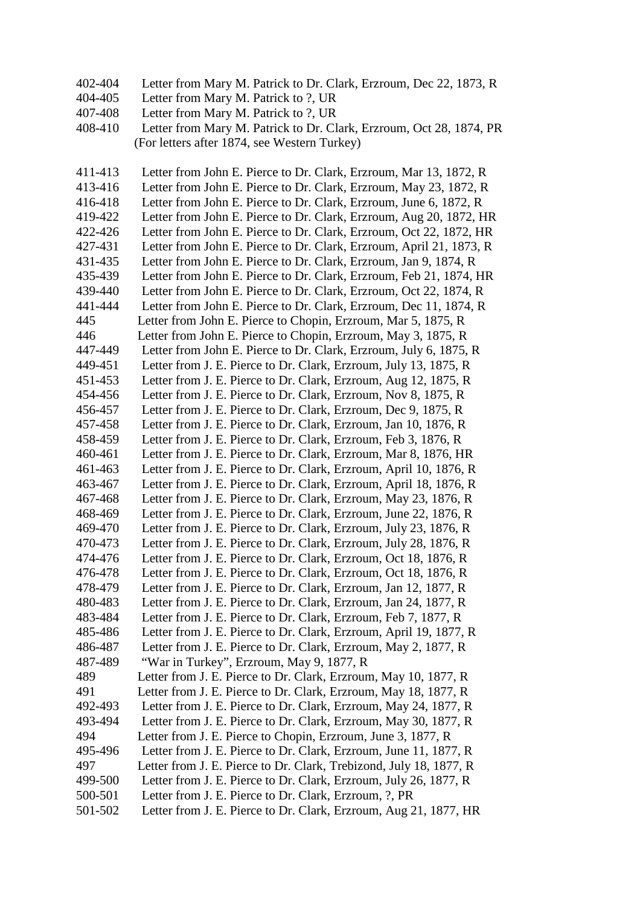- 402-404 Letter from Mary M. Patrick to Dr. Clark, Erzroum, Dec 22, 1873, R
- 404-405 Letter from Mary M. Patrick to ?, UR
- 407-408 Letter from Mary M. Patrick to ?, UR
- 408-410 Letter from Mary M. Patrick to Dr. Clark, Erzroum, Oct 28, 1874, PR (For letters after 1874, see Western Turkey)
- 411-413 Letter from John E. Pierce to Dr. Clark, Erzroum, Mar 13, 1872, R 413-416 Letter from John E. Pierce to Dr. Clark, Erzroum, May 23, 1872, R 416-418 Letter from John E. Pierce to Dr. Clark, Erzroum, June 6, 1872, R 419-422 Letter from John E. Pierce to Dr. Clark, Erzroum, Aug 20, 1872, HR 422-426 Letter from John E. Pierce to Dr. Clark, Erzroum, Oct 22, 1872, HR 427-431 Letter from John E. Pierce to Dr. Clark, Erzroum, April 21, 1873, R 431-435 Letter from John E. Pierce to Dr. Clark, Erzroum, Jan 9, 1874, R 435-439 Letter from John E. Pierce to Dr. Clark, Erzroum, Feb 21, 1874, HR 439-440 Letter from John E. Pierce to Dr. Clark, Erzroum, Oct 22, 1874, R 441-444 Letter from John E. Pierce to Dr. Clark, Erzroum, Dec 11, 1874, R 445 Letter from John E. Pierce to Chopin, Erzroum, Mar 5, 1875, R 446 Letter from John E. Pierce to Chopin, Erzroum, May 3, 1875, R 447-449 Letter from John E. Pierce to Dr. Clark, Erzroum, July 6, 1875, R 449-451 Letter from J. E. Pierce to Dr. Clark, Erzroum, July 13, 1875, R 451-453 Letter from J. E. Pierce to Dr. Clark, Erzroum, Aug 12, 1875, R 454-456 Letter from J. E. Pierce to Dr. Clark, Erzroum, Nov 8, 1875, R 456-457 Letter from J. E. Pierce to Dr. Clark, Erzroum, Dec 9, 1875, R 457-458 Letter from J. E. Pierce to Dr. Clark, Erzroum, Jan 10, 1876, R 458-459 Letter from J. E. Pierce to Dr. Clark, Erzroum, Feb 3, 1876, R 460-461 Letter from J. E. Pierce to Dr. Clark, Erzroum, Mar 8, 1876, HR 461-463 Letter from J. E. Pierce to Dr. Clark, Erzroum, April 10, 1876, R 463-467 Letter from J. E. Pierce to Dr. Clark, Erzroum, April 18, 1876, R 467-468 Letter from J. E. Pierce to Dr. Clark, Erzroum, May 23, 1876, R 468-469 Letter from J. E. Pierce to Dr. Clark, Erzroum, June 22, 1876, R 469-470 Letter from J. E. Pierce to Dr. Clark, Erzroum, July 23, 1876, R 470-473 Letter from J. E. Pierce to Dr. Clark, Erzroum, July 28, 1876, R 474-476 Letter from J. E. Pierce to Dr. Clark, Erzroum, Oct 18, 1876, R 476-478 Letter from J. E. Pierce to Dr. Clark, Erzroum, Oct 18, 1876, R 478-479 Letter from J. E. Pierce to Dr. Clark, Erzroum, Jan 12, 1877, R 480-483 Letter from J. E. Pierce to Dr. Clark, Erzroum, Jan 24, 1877, R 483-484 Letter from J. E. Pierce to Dr. Clark, Erzroum, Feb 7, 1877, R 485-486 Letter from J. E. Pierce to Dr. Clark, Erzroum, April 19, 1877, R 486-487 Letter from J. E. Pierce to Dr. Clark, Erzroum, May 2, 1877, R 487-489 "War in Turkey", Erzroum, May 9, 1877, R 489 Letter from J. E. Pierce to Dr. Clark, Erzroum, May 10, 1877, R 491 Letter from J. E. Pierce to Dr. Clark, Erzroum, May 18, 1877, R 492-493 Letter from J. E. Pierce to Dr. Clark, Erzroum, May 24, 1877, R 493-494 Letter from J. E. Pierce to Dr. Clark, Erzroum, May 30, 1877, R 494 Letter from J. E. Pierce to Chopin, Erzroum, June 3, 1877, R 495-496 Letter from J. E. Pierce to Dr. Clark, Erzroum, June 11, 1877, R 497 Letter from J. E. Pierce to Dr. Clark, Trebizond, July 18, 1877, R 499-500 Letter from J. E. Pierce to Dr. Clark, Erzroum, July 26, 1877, R 500-501 Letter from J. E. Pierce to Dr. Clark, Erzroum, ?, PR 501-502 Letter from J. E. Pierce to Dr. Clark, Erzroum, Aug 21, 1877, HR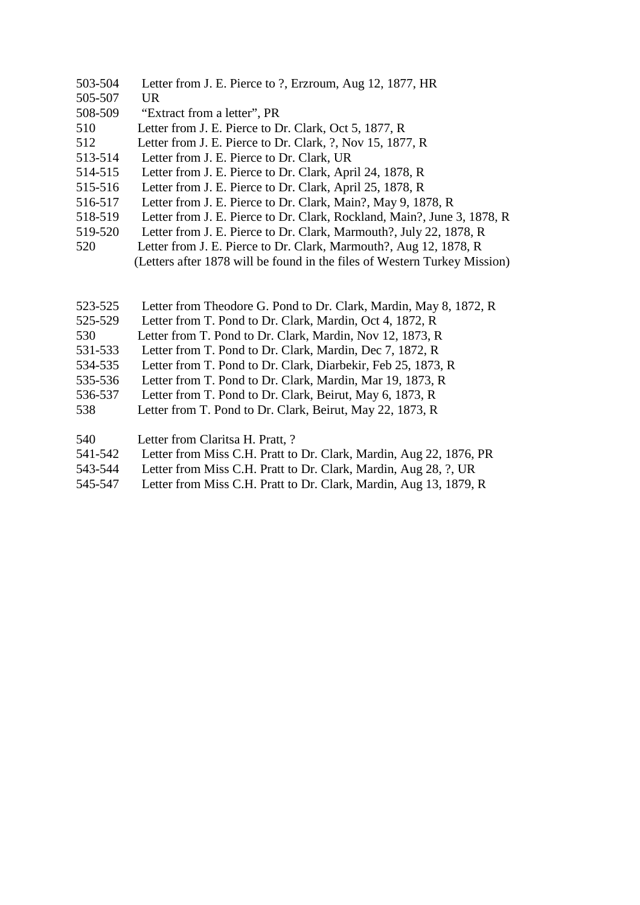- 503-504 Letter from J. E. Pierce to ?, Erzroum, Aug 12, 1877, HR
- 505-507 UR
- 508-509 "Extract from a letter", PR
- 510 Letter from J. E. Pierce to Dr. Clark, Oct 5, 1877, R
- 512 Letter from J. E. Pierce to Dr. Clark, ?, Nov 15, 1877, R
- 513-514 Letter from J. E. Pierce to Dr. Clark, UR
- 514-515 Letter from J. E. Pierce to Dr. Clark, April 24, 1878, R
- 515-516 Letter from J. E. Pierce to Dr. Clark, April 25, 1878, R
- 516-517 Letter from J. E. Pierce to Dr. Clark, Main?, May 9, 1878, R
- 518-519 Letter from J. E. Pierce to Dr. Clark, Rockland, Main?, June 3, 1878, R
- 519-520 Letter from J. E. Pierce to Dr. Clark, Marmouth?, July 22, 1878, R
- 520 Letter from J. E. Pierce to Dr. Clark, Marmouth?, Aug 12, 1878, R (Letters after 1878 will be found in the files of Western Turkey Mission)
- 523-525 Letter from Theodore G. Pond to Dr. Clark, Mardin, May 8, 1872, R
- 525-529 Letter from T. Pond to Dr. Clark, Mardin, Oct 4, 1872, R
- 530 Letter from T. Pond to Dr. Clark, Mardin, Nov 12, 1873, R
- 531-533 Letter from T. Pond to Dr. Clark, Mardin, Dec 7, 1872, R
- 534-535 Letter from T. Pond to Dr. Clark, Diarbekir, Feb 25, 1873, R
- 535-536 Letter from T. Pond to Dr. Clark, Mardin, Mar 19, 1873, R
- 536-537 Letter from T. Pond to Dr. Clark, Beirut, May 6, 1873, R
- 538 Letter from T. Pond to Dr. Clark, Beirut, May 22, 1873, R
- 540 Letter from Claritsa H. Pratt, ?<br>541-542 Letter from Miss C.H. Pratt to
- Letter from Miss C.H. Pratt to Dr. Clark, Mardin, Aug 22, 1876, PR
- 543-544 Letter from Miss C.H. Pratt to Dr. Clark, Mardin, Aug 28, ?, UR
- 545-547 Letter from Miss C.H. Pratt to Dr. Clark, Mardin, Aug 13, 1879, R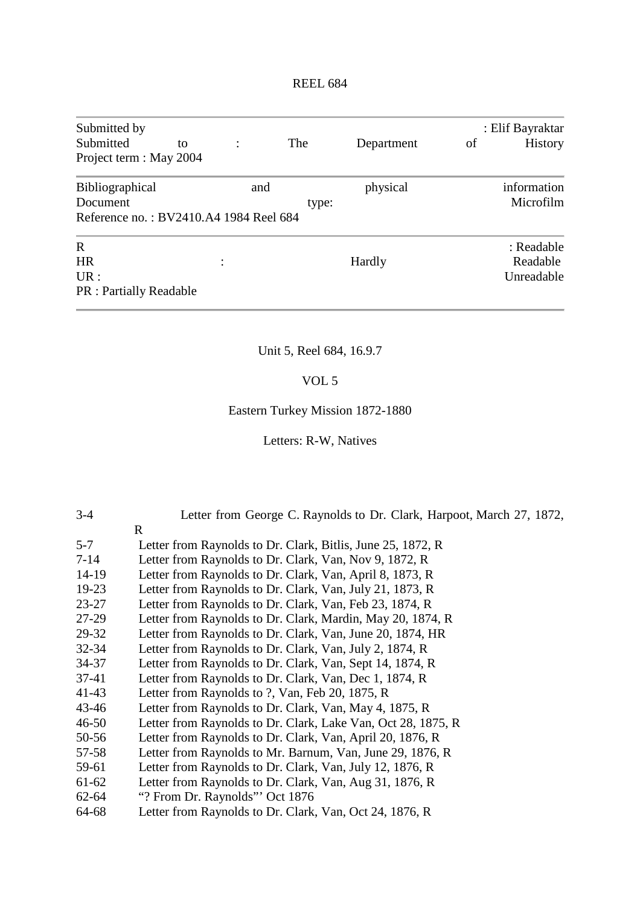| Submitted by<br>Submitted<br>Project term : May 2004                  | to |         | The   | Department | of | : Elif Bayraktar<br><b>History</b>   |
|-----------------------------------------------------------------------|----|---------|-------|------------|----|--------------------------------------|
| Bibliographical<br>Document<br>Reference no.: BV2410.A4 1984 Reel 684 |    | and     | type: | physical   |    | information<br>Microfilm             |
| R<br><b>HR</b><br>UR:<br><b>PR</b> : Partially Readable               |    | $\cdot$ |       | Hardly     |    | : Readable<br>Readable<br>Unreadable |

# Unit 5, Reel 684, 16.9.7

# VOL 5

# Eastern Turkey Mission 1872-1880

Letters: R-W, Natives

| $3-4$     | Letter from George C. Raynolds to Dr. Clark, Harpoot, March 27, 1872, |
|-----------|-----------------------------------------------------------------------|
|           | $\mathbf{R}$                                                          |
| $5 - 7$   | Letter from Raynolds to Dr. Clark, Bitlis, June 25, 1872, R           |
| $7 - 14$  | Letter from Raynolds to Dr. Clark, Van, Nov 9, 1872, R                |
| 14-19     | Letter from Raynolds to Dr. Clark, Van, April 8, 1873, R              |
| $19-23$   | Letter from Raynolds to Dr. Clark, Van, July 21, 1873, R              |
| $23 - 27$ | Letter from Raynolds to Dr. Clark, Van, Feb 23, 1874, R               |
| 27-29     | Letter from Raynolds to Dr. Clark, Mardin, May 20, 1874, R            |
| 29-32     | Letter from Raynolds to Dr. Clark, Van, June 20, 1874, HR             |
| $32 - 34$ | Letter from Raynolds to Dr. Clark, Van, July 2, 1874, R               |
| $34 - 37$ | Letter from Raynolds to Dr. Clark, Van, Sept 14, 1874, R              |
| $37-41$   | Letter from Raynolds to Dr. Clark, Van, Dec 1, 1874, R                |
| $41 - 43$ | Letter from Raynolds to ?, Van, Feb 20, 1875, R                       |
| $43 - 46$ | Letter from Raynolds to Dr. Clark, Van, May 4, 1875, R                |
| $46 - 50$ | Letter from Raynolds to Dr. Clark, Lake Van, Oct 28, 1875, R          |
| 50-56     | Letter from Raynolds to Dr. Clark, Van, April 20, 1876, R             |
| 57-58     | Letter from Raynolds to Mr. Barnum, Van, June 29, 1876, R             |
| 59-61     | Letter from Raynolds to Dr. Clark, Van, July 12, 1876, R              |
| 61-62     | Letter from Raynolds to Dr. Clark, Van, Aug 31, 1876, R               |
| $62 - 64$ | "? From Dr. Raynolds" Oct 1876                                        |
| 64-68     | Letter from Raynolds to Dr. Clark, Van, Oct 24, 1876, R               |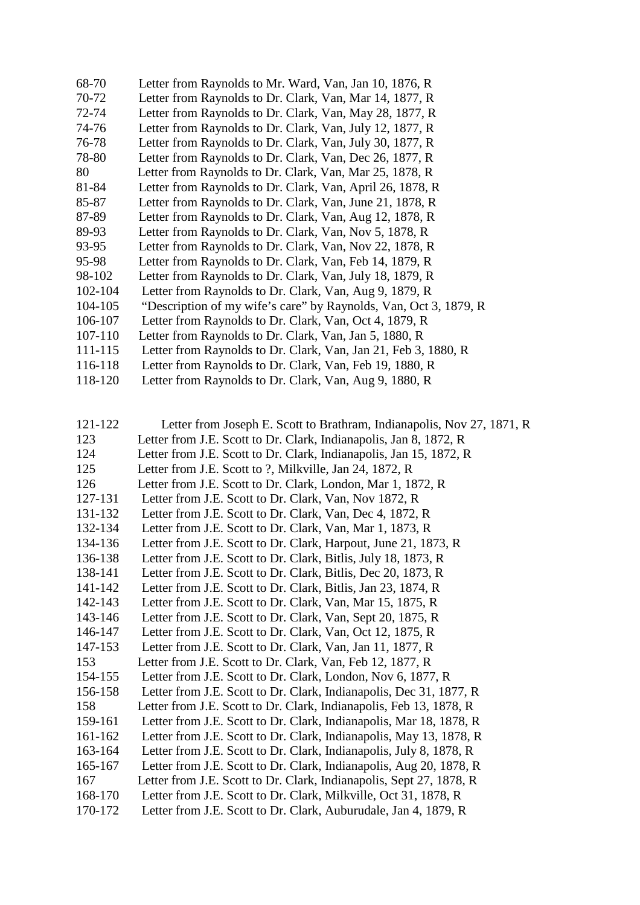| 68-70   | Letter from Raynolds to Mr. Ward, Van, Jan 10, 1876, R                             |
|---------|------------------------------------------------------------------------------------|
| 70-72   | Letter from Raynolds to Dr. Clark, Van, Mar 14, 1877, R                            |
| 72-74   | Letter from Raynolds to Dr. Clark, Van, May 28, 1877, R                            |
| 74-76   | Letter from Raynolds to Dr. Clark, Van, July 12, 1877, R                           |
| 76-78   | Letter from Raynolds to Dr. Clark, Van, July 30, 1877, R                           |
| 78-80   | Letter from Raynolds to Dr. Clark, Van, Dec 26, 1877, R                            |
| 80      | Letter from Raynolds to Dr. Clark, Van, Mar 25, 1878, R                            |
| 81-84   | Letter from Raynolds to Dr. Clark, Van, April 26, 1878, R                          |
| 85-87   | Letter from Raynolds to Dr. Clark, Van, June 21, 1878, R                           |
| 87-89   | Letter from Raynolds to Dr. Clark, Van, Aug 12, 1878, R                            |
| 89-93   | Letter from Raynolds to Dr. Clark, Van, Nov 5, 1878, R                             |
| 93-95   | Letter from Raynolds to Dr. Clark, Van, Nov 22, 1878, R                            |
| 95-98   | Letter from Raynolds to Dr. Clark, Van, Feb 14, 1879, R                            |
| 98-102  | Letter from Raynolds to Dr. Clark, Van, July 18, 1879, R                           |
| 102-104 | Letter from Raynolds to Dr. Clark, Van, Aug 9, 1879, R                             |
| 104-105 | "Description of my wife's care" by Raynolds, Van, Oct 3, 1879, R                   |
| 106-107 | Letter from Raynolds to Dr. Clark, Van, Oct 4, 1879, R                             |
| 107-110 | Letter from Raynolds to Dr. Clark, Van, Jan 5, 1880, R                             |
| 111-115 | Letter from Raynolds to Dr. Clark, Van, Jan 21, Feb 3, 1880, R                     |
| 116-118 | Letter from Raynolds to Dr. Clark, Van, Feb 19, 1880, R                            |
| 110 100 | Letter from Develle to Dr. Clerk $U_{\alpha\mu}$ , $\Lambda_{\nu\alpha}$ 0, 1000 D |

118-120 Letter from Raynolds to Dr. Clark, Van, Aug 9, 1880, R

| 121-122 | Letter from Joseph E. Scott to Brathram, Indianapolis, Nov 27, 1871, R |
|---------|------------------------------------------------------------------------|
| 123     | Letter from J.E. Scott to Dr. Clark, Indianapolis, Jan 8, 1872, R      |
| 124     | Letter from J.E. Scott to Dr. Clark, Indianapolis, Jan 15, 1872, R.    |
| 125     | Letter from J.E. Scott to ?, Milkville, Jan 24, 1872, R                |
| 126     | Letter from J.E. Scott to Dr. Clark, London, Mar 1, 1872, R            |
| 127-131 | Letter from J.E. Scott to Dr. Clark, Van, Nov 1872, R                  |
| 131-132 | Letter from J.E. Scott to Dr. Clark, Van, Dec 4, 1872, R               |
| 132-134 | Letter from J.E. Scott to Dr. Clark, Van, Mar 1, 1873, R               |
| 134-136 | Letter from J.E. Scott to Dr. Clark, Harpout, June 21, 1873, R         |
| 136-138 | Letter from J.E. Scott to Dr. Clark, Bitlis, July 18, 1873, R          |
| 138-141 | Letter from J.E. Scott to Dr. Clark, Bitlis, Dec 20, 1873, R           |
| 141-142 | Letter from J.E. Scott to Dr. Clark, Bitlis, Jan 23, 1874, R           |
| 142-143 | Letter from J.E. Scott to Dr. Clark, Van, Mar 15, 1875, R              |
| 143-146 | Letter from J.E. Scott to Dr. Clark, Van, Sept 20, 1875, R             |
| 146-147 | Letter from J.E. Scott to Dr. Clark, Van, Oct 12, 1875, R              |
| 147-153 | Letter from J.E. Scott to Dr. Clark, Van, Jan 11, 1877, R              |
| 153     | Letter from J.E. Scott to Dr. Clark, Van, Feb 12, 1877, R              |
| 154-155 | Letter from J.E. Scott to Dr. Clark, London, Nov 6, 1877, R            |
| 156-158 | Letter from J.E. Scott to Dr. Clark, Indianapolis, Dec 31, 1877, R     |
| 158     | Letter from J.E. Scott to Dr. Clark, Indianapolis, Feb 13, 1878, R     |
| 159-161 | Letter from J.E. Scott to Dr. Clark, Indianapolis, Mar 18, 1878, R     |
| 161-162 | Letter from J.E. Scott to Dr. Clark, Indianapolis, May 13, 1878, R     |
| 163-164 | Letter from J.E. Scott to Dr. Clark, Indianapolis, July 8, 1878, R     |
| 165-167 | Letter from J.E. Scott to Dr. Clark, Indianapolis, Aug 20, 1878, R     |
| 167     | Letter from J.E. Scott to Dr. Clark, Indianapolis, Sept 27, 1878, R    |
| 168-170 | Letter from J.E. Scott to Dr. Clark, Milkville, Oct 31, 1878, R        |
| 170-172 | Letter from J.E. Scott to Dr. Clark, Auburudale, Jan 4, 1879, R        |
|         |                                                                        |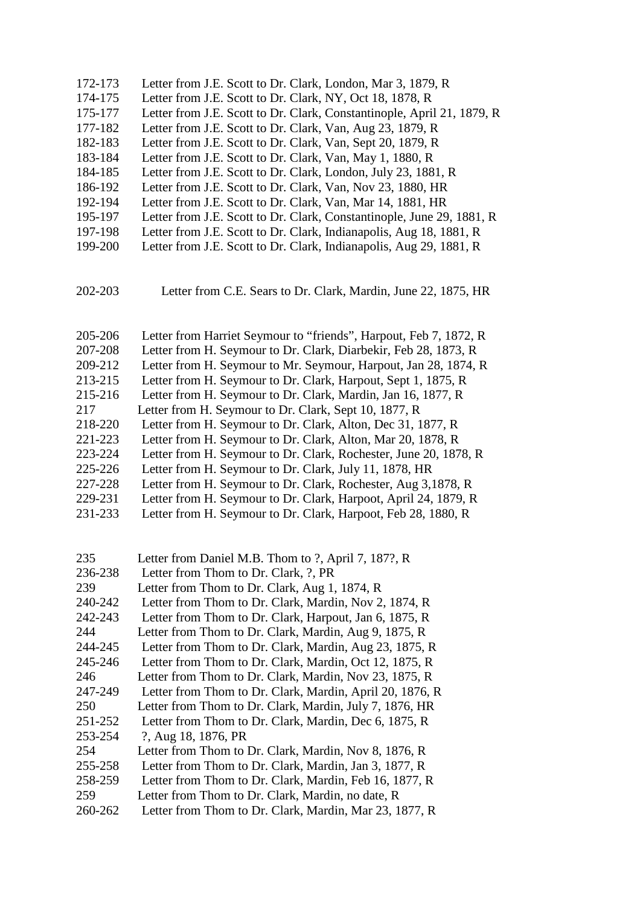172-173 Letter from J.E. Scott to Dr. Clark, London, Mar 3, 1879, R 174-175 Letter from J.E. Scott to Dr. Clark, NY, Oct 18, 1878, R 175-177 Letter from J.E. Scott to Dr. Clark, Constantinople, April 21, 1879, R 177-182 Letter from J.E. Scott to Dr. Clark, Van, Aug 23, 1879, R 182-183 Letter from J.E. Scott to Dr. Clark, Van, Sept 20, 1879, R 183-184 Letter from J.E. Scott to Dr. Clark, Van, May 1, 1880, R 184-185 Letter from J.E. Scott to Dr. Clark, London, July 23, 1881, R 186-192 Letter from J.E. Scott to Dr. Clark, Van, Nov 23, 1880, HR 192-194 Letter from J.E. Scott to Dr. Clark, Van, Mar 14, 1881, HR 195-197 Letter from J.E. Scott to Dr. Clark, Constantinople, June 29, 1881, R 197-198 Letter from J.E. Scott to Dr. Clark, Indianapolis, Aug 18, 1881, R 199-200 Letter from J.E. Scott to Dr. Clark, Indianapolis, Aug 29, 1881, R 202-203 Letter from C.E. Sears to Dr. Clark, Mardin, June 22, 1875, HR 205-206 Letter from Harriet Seymour to "friends", Harpout, Feb 7, 1872, R 207-208 Letter from H. Seymour to Dr. Clark, Diarbekir, Feb 28, 1873, R 209-212 Letter from H. Seymour to Mr. Seymour, Harpout, Jan 28, 1874, R 213-215 Letter from H. Seymour to Dr. Clark, Harpout, Sept 1, 1875, R 215-216 Letter from H. Seymour to Dr. Clark, Mardin, Jan 16, 1877, R 217 Letter from H. Seymour to Dr. Clark, Sept 10, 1877, R 218-220 Letter from H. Seymour to Dr. Clark, Alton, Dec 31, 1877, R 221-223 Letter from H. Seymour to Dr. Clark, Alton, Mar 20, 1878, R 223-224 Letter from H. Seymour to Dr. Clark, Rochester, June 20, 1878, R 225-226 Letter from H. Seymour to Dr. Clark, July 11, 1878, HR 227-228 Letter from H. Seymour to Dr. Clark, Rochester, Aug 3,1878, R 229-231 Letter from H. Seymour to Dr. Clark, Harpoot, April 24, 1879, R 231-233 Letter from H. Seymour to Dr. Clark, Harpoot, Feb 28, 1880, R 235 Letter from Daniel M.B. Thom to ?, April 7, 187?, R 236-238 Letter from Thom to Dr. Clark, ?, PR 239 Letter from Thom to Dr. Clark, Aug 1, 1874, R 240-242 Letter from Thom to Dr. Clark, Mardin, Nov 2, 1874, R 242-243 Letter from Thom to Dr. Clark, Harpout, Jan 6, 1875, R 244 Letter from Thom to Dr. Clark, Mardin, Aug 9, 1875, R 244-245 Letter from Thom to Dr. Clark, Mardin, Aug 23, 1875, R 245-246 Letter from Thom to Dr. Clark, Mardin, Oct 12, 1875, R 246 Letter from Thom to Dr. Clark, Mardin, Nov 23, 1875, R 247-249 Letter from Thom to Dr. Clark, Mardin, April 20, 1876, R 250 Letter from Thom to Dr. Clark, Mardin, July 7, 1876, HR 251-252 Letter from Thom to Dr. Clark, Mardin, Dec 6, 1875, R 253-254 ?, Aug 18, 1876, PR 254 Letter from Thom to Dr. Clark, Mardin, Nov 8, 1876, R 255-258 Letter from Thom to Dr. Clark, Mardin, Jan 3, 1877, R 258-259 Letter from Thom to Dr. Clark, Mardin, Feb 16, 1877, R 259 Letter from Thom to Dr. Clark, Mardin, no date, R 260-262 Letter from Thom to Dr. Clark, Mardin, Mar 23, 1877, R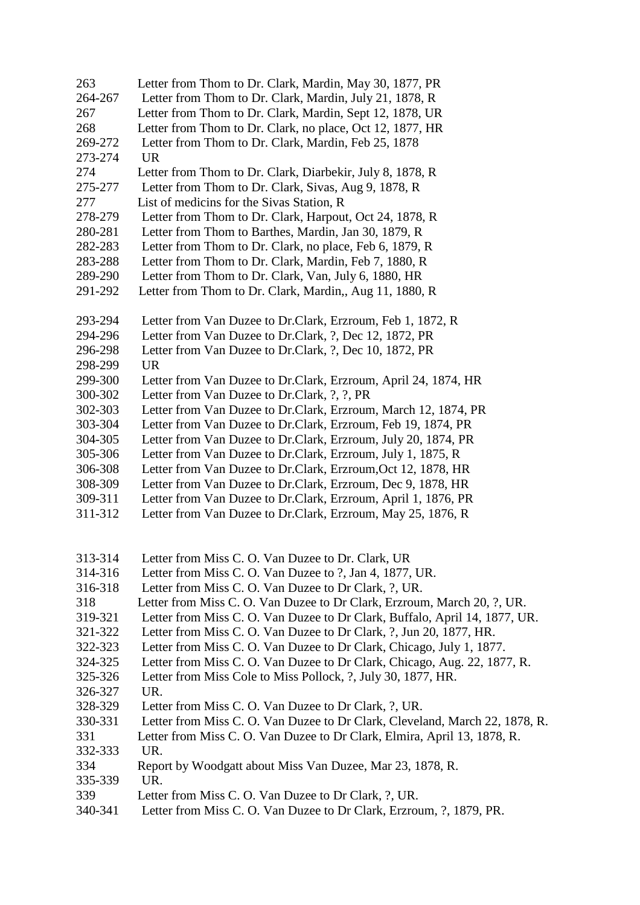| 263                | Letter from Thom to Dr. Clark, Mardin, May 30, 1877, PR                                                                                    |
|--------------------|--------------------------------------------------------------------------------------------------------------------------------------------|
| 264-267            | Letter from Thom to Dr. Clark, Mardin, July 21, 1878, R                                                                                    |
| 267                | Letter from Thom to Dr. Clark, Mardin, Sept 12, 1878, UR                                                                                   |
| 268                | Letter from Thom to Dr. Clark, no place, Oct 12, 1877, HR                                                                                  |
| 269-272            | Letter from Thom to Dr. Clark, Mardin, Feb 25, 1878                                                                                        |
| 273-274            | <b>UR</b>                                                                                                                                  |
| 274                | Letter from Thom to Dr. Clark, Diarbekir, July 8, 1878, R                                                                                  |
| 275-277            | Letter from Thom to Dr. Clark, Sivas, Aug 9, 1878, R                                                                                       |
| 277                | List of medicins for the Sivas Station, R                                                                                                  |
| 278-279            | Letter from Thom to Dr. Clark, Harpout, Oct 24, 1878, R                                                                                    |
| 280-281            | Letter from Thom to Barthes, Mardin, Jan 30, 1879, R                                                                                       |
| 282-283            | Letter from Thom to Dr. Clark, no place, Feb 6, 1879, R                                                                                    |
| 283-288            | Letter from Thom to Dr. Clark, Mardin, Feb 7, 1880, R                                                                                      |
| 289-290            | Letter from Thom to Dr. Clark, Van, July 6, 1880, HR                                                                                       |
| 291-292            | Letter from Thom to Dr. Clark, Mardin,, Aug 11, 1880, R                                                                                    |
| 293-294            | Letter from Van Duzee to Dr.Clark, Erzroum, Feb 1, 1872, R                                                                                 |
| 294-296            | Letter from Van Duzee to Dr.Clark, ?, Dec 12, 1872, PR                                                                                     |
| 296-298            | Letter from Van Duzee to Dr.Clark, ?, Dec 10, 1872, PR                                                                                     |
| 298-299            | <b>UR</b>                                                                                                                                  |
| 299-300            | Letter from Van Duzee to Dr.Clark, Erzroum, April 24, 1874, HR                                                                             |
| 300-302            | Letter from Van Duzee to Dr.Clark, ?, ?, PR                                                                                                |
| 302-303            | Letter from Van Duzee to Dr. Clark, Erzroum, March 12, 1874, PR                                                                            |
| 303-304            | Letter from Van Duzee to Dr.Clark, Erzroum, Feb 19, 1874, PR                                                                               |
| 304-305            | Letter from Van Duzee to Dr.Clark, Erzroum, July 20, 1874, PR                                                                              |
| 305-306            | Letter from Van Duzee to Dr.Clark, Erzroum, July 1, 1875, R                                                                                |
| 306-308            | Letter from Van Duzee to Dr.Clark, Erzroum, Oct 12, 1878, HR                                                                               |
| 308-309            | Letter from Van Duzee to Dr.Clark, Erzroum, Dec 9, 1878, HR                                                                                |
| 309-311            | Letter from Van Duzee to Dr.Clark, Erzroum, April 1, 1876, PR                                                                              |
| 311-312            | Letter from Van Duzee to Dr.Clark, Erzroum, May 25, 1876, R                                                                                |
|                    |                                                                                                                                            |
| 313-314            | Letter from Miss C. O. Van Duzee to Dr. Clark, UR                                                                                          |
| 314-316            | Letter from Miss C. O. Van Duzee to ?, Jan 4, 1877, UR.                                                                                    |
| 316-318            | Letter from Miss C. O. Van Duzee to Dr Clark, ?, UR.                                                                                       |
| 318                | Letter from Miss C. O. Van Duzee to Dr Clark, Erzroum, March 20, ?, UR.                                                                    |
| 319-321            | Letter from Miss C. O. Van Duzee to Dr Clark, Buffalo, April 14, 1877, UR.                                                                 |
| 321-322<br>322-323 | Letter from Miss C. O. Van Duzee to Dr Clark, ?, Jun 20, 1877, HR.<br>Letter from Miss C. O. Van Duzee to Dr Clark, Chicago, July 1, 1877. |
| 324-325            | Letter from Miss C. O. Van Duzee to Dr Clark, Chicago, Aug. 22, 1877, R.                                                                   |
| 325-326            |                                                                                                                                            |
| 326-327            | Letter from Miss Cole to Miss Pollock, ?, July 30, 1877, HR.<br>UR.                                                                        |
| 328-329            | Letter from Miss C. O. Van Duzee to Dr Clark, ?, UR.                                                                                       |
| 330-331            | Letter from Miss C. O. Van Duzee to Dr Clark, Cleveland, March 22, 1878, R.                                                                |
| 331                |                                                                                                                                            |
| 332-333            | Letter from Miss C. O. Van Duzee to Dr Clark, Elmira, April 13, 1878, R.<br>UR.                                                            |
| 334                | Report by Woodgatt about Miss Van Duzee, Mar 23, 1878, R.                                                                                  |
| 335-339            | UR.                                                                                                                                        |
| 339                | Letter from Miss C. O. Van Duzee to Dr Clark, ?, UR.                                                                                       |
|                    |                                                                                                                                            |

340-341 Letter from Miss C. O. Van Duzee to Dr Clark, Erzroum, ?, 1879, PR.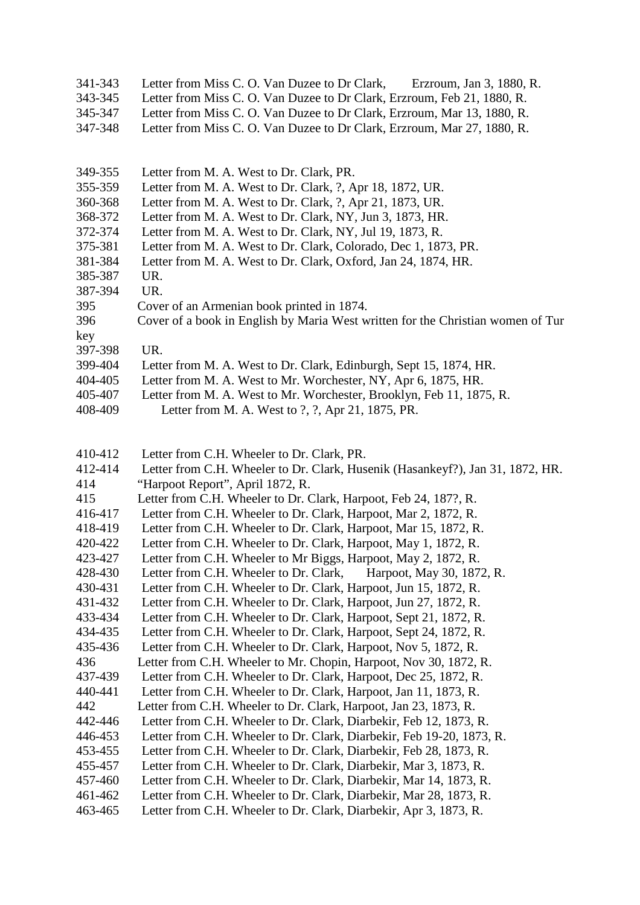| 341-343 | Letter from Miss C. O. Van Duzee to Dr Clark,                           | Erzroum, Jan 3, 1880, R. |
|---------|-------------------------------------------------------------------------|--------------------------|
| 343-345 | Letter from Miss C. O. Van Duzee to Dr Clark, Erzroum, Feb 21, 1880, R. |                          |
| 345-347 | Letter from Miss C. O. Van Duzee to Dr Clark, Erzroum, Mar 13, 1880, R. |                          |
| 347-348 | Letter from Miss C. O. Van Duzee to Dr Clark, Erzroum, Mar 27, 1880, R. |                          |

- 349-355 Letter from M. A. West to Dr. Clark, PR.
- 355-359 Letter from M. A. West to Dr. Clark, ?, Apr 18, 1872, UR.
- 360-368 Letter from M. A. West to Dr. Clark, ?, Apr 21, 1873, UR.
- 368-372 Letter from M. A. West to Dr. Clark, NY, Jun 3, 1873, HR.
- 372-374 Letter from M. A. West to Dr. Clark, NY, Jul 19, 1873, R.
- 375-381 Letter from M. A. West to Dr. Clark, Colorado, Dec 1, 1873, PR.
- 381-384 Letter from M. A. West to Dr. Clark, Oxford, Jan 24, 1874, HR.
- 385-387 UR.
- 387-394 UR.
- 395 Cover of an Armenian book printed in 1874.
- 396 Cover of a book in English by Maria West written for the Christian women of Tur
- key 397-398 UR.
- 399-404 Letter from M. A. West to Dr. Clark, Edinburgh, Sept 15, 1874, HR.
- 404-405 Letter from M. A. West to Mr. Worchester, NY, Apr 6, 1875, HR.
- 405-407 Letter from M. A. West to Mr. Worchester, Brooklyn, Feb 11, 1875, R.
- 408-409 Letter from M. A. West to ?, ?, Apr 21, 1875, PR.
- 410-412 Letter from C.H. Wheeler to Dr. Clark, PR.
- 412-414 Letter from C.H. Wheeler to Dr. Clark, Husenik (Hasankeyf?), Jan 31, 1872, HR.
- 414 "Harpoot Report", April 1872, R.
- 415 Letter from C.H. Wheeler to Dr. Clark, Harpoot, Feb 24, 187?, R.
- 416-417 Letter from C.H. Wheeler to Dr. Clark, Harpoot, Mar 2, 1872, R.
- 418-419 Letter from C.H. Wheeler to Dr. Clark, Harpoot, Mar 15, 1872, R.
- 420-422 Letter from C.H. Wheeler to Dr. Clark, Harpoot, May 1, 1872, R.
- 423-427 Letter from C.H. Wheeler to Mr Biggs, Harpoot, May 2, 1872, R.
- 428-430 Letter from C.H. Wheeler to Dr. Clark, Harpoot, May 30, 1872, R.
- 430-431 Letter from C.H. Wheeler to Dr. Clark, Harpoot, Jun 15, 1872, R.
- 431-432 Letter from C.H. Wheeler to Dr. Clark, Harpoot, Jun 27, 1872, R.
- 433-434 Letter from C.H. Wheeler to Dr. Clark, Harpoot, Sept 21, 1872, R.
- 434-435 Letter from C.H. Wheeler to Dr. Clark, Harpoot, Sept 24, 1872, R.
- 435-436 Letter from C.H. Wheeler to Dr. Clark, Harpoot, Nov 5, 1872, R.
- 436 Letter from C.H. Wheeler to Mr. Chopin, Harpoot, Nov 30, 1872, R.
- 437-439 Letter from C.H. Wheeler to Dr. Clark, Harpoot, Dec 25, 1872, R.
- 440-441 Letter from C.H. Wheeler to Dr. Clark, Harpoot, Jan 11, 1873, R.
- 442 Letter from C.H. Wheeler to Dr. Clark, Harpoot, Jan 23, 1873, R.
- 442-446 Letter from C.H. Wheeler to Dr. Clark, Diarbekir, Feb 12, 1873, R.
- 446-453 Letter from C.H. Wheeler to Dr. Clark, Diarbekir, Feb 19-20, 1873, R.
- 453-455 Letter from C.H. Wheeler to Dr. Clark, Diarbekir, Feb 28, 1873, R.
- 455-457 Letter from C.H. Wheeler to Dr. Clark, Diarbekir, Mar 3, 1873, R.
- 457-460 Letter from C.H. Wheeler to Dr. Clark, Diarbekir, Mar 14, 1873, R.
- 461-462 Letter from C.H. Wheeler to Dr. Clark, Diarbekir, Mar 28, 1873, R.
- 463-465 Letter from C.H. Wheeler to Dr. Clark, Diarbekir, Apr 3, 1873, R.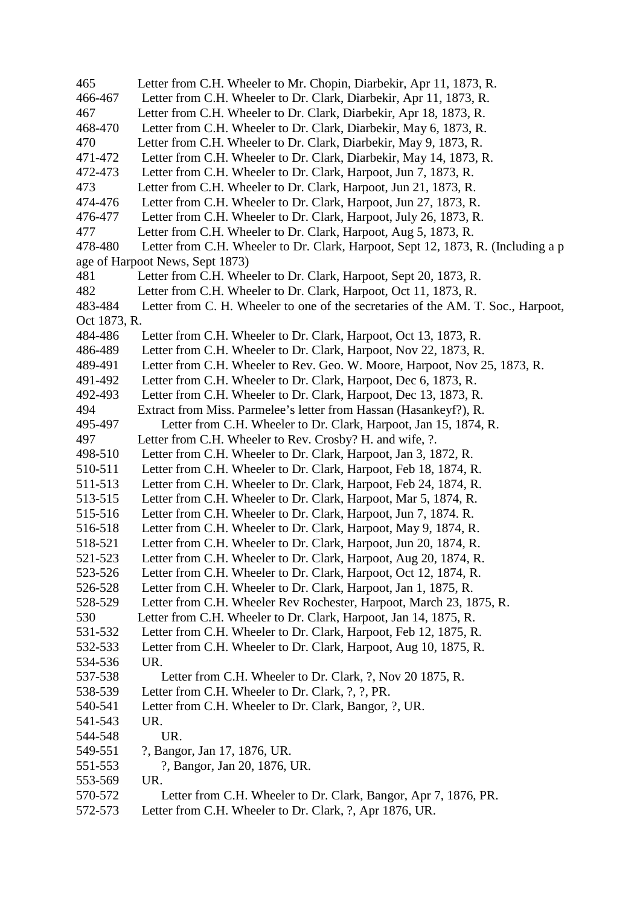465 Letter from C.H. Wheeler to Mr. Chopin, Diarbekir, Apr 11, 1873, R. 466-467 Letter from C.H. Wheeler to Dr. Clark, Diarbekir, Apr 11, 1873, R. 467 Letter from C.H. Wheeler to Dr. Clark, Diarbekir, Apr 18, 1873, R. 468-470 Letter from C.H. Wheeler to Dr. Clark, Diarbekir, May 6, 1873, R. 470 Letter from C.H. Wheeler to Dr. Clark, Diarbekir, May 9, 1873, R. 471-472 Letter from C.H. Wheeler to Dr. Clark, Diarbekir, May 14, 1873, R. 472-473 Letter from C.H. Wheeler to Dr. Clark, Harpoot, Jun 7, 1873, R. 473 Letter from C.H. Wheeler to Dr. Clark, Harpoot, Jun 21, 1873, R. 474-476 Letter from C.H. Wheeler to Dr. Clark, Harpoot, Jun 27, 1873, R. 476-477 Letter from C.H. Wheeler to Dr. Clark, Harpoot, July 26, 1873, R. 477 Letter from C.H. Wheeler to Dr. Clark, Harpoot, Aug 5, 1873, R. 478-480 Letter from C.H. Wheeler to Dr. Clark, Harpoot, Sept 12, 1873, R. (Including a p age of Harpoot News, Sept 1873) 481 Letter from C.H. Wheeler to Dr. Clark, Harpoot, Sept 20, 1873, R. 482 Letter from C.H. Wheeler to Dr. Clark, Harpoot, Oct 11, 1873, R. 483-484 Letter from C. H. Wheeler to one of the secretaries of the AM. T. Soc., Harpoot, Oct 1873, R. 484-486 Letter from C.H. Wheeler to Dr. Clark, Harpoot, Oct 13, 1873, R. 486-489 Letter from C.H. Wheeler to Dr. Clark, Harpoot, Nov 22, 1873, R. 489-491 Letter from C.H. Wheeler to Rev. Geo. W. Moore, Harpoot, Nov 25, 1873, R. 491-492 Letter from C.H. Wheeler to Dr. Clark, Harpoot, Dec 6, 1873, R. 492-493 Letter from C.H. Wheeler to Dr. Clark, Harpoot, Dec 13, 1873, R. 494 Extract from Miss. Parmelee's letter from Hassan (Hasankeyf?), R. 495-497 Letter from C.H. Wheeler to Dr. Clark, Harpoot, Jan 15, 1874, R. 497 Letter from C.H. Wheeler to Rev. Crosby? H. and wife, ?. 498-510 Letter from C.H. Wheeler to Dr. Clark, Harpoot, Jan 3, 1872, R. 510-511 Letter from C.H. Wheeler to Dr. Clark, Harpoot, Feb 18, 1874, R. 511-513 Letter from C.H. Wheeler to Dr. Clark, Harpoot, Feb 24, 1874, R. 513-515 Letter from C.H. Wheeler to Dr. Clark, Harpoot, Mar 5, 1874, R. 515-516 Letter from C.H. Wheeler to Dr. Clark, Harpoot, Jun 7, 1874. R. 516-518 Letter from C.H. Wheeler to Dr. Clark, Harpoot, May 9, 1874, R. 518-521 Letter from C.H. Wheeler to Dr. Clark, Harpoot, Jun 20, 1874, R. 521-523 Letter from C.H. Wheeler to Dr. Clark, Harpoot, Aug 20, 1874, R. 523-526 Letter from C.H. Wheeler to Dr. Clark, Harpoot, Oct 12, 1874, R. 526-528 Letter from C.H. Wheeler to Dr. Clark, Harpoot, Jan 1, 1875, R. 528-529 Letter from C.H. Wheeler Rev Rochester, Harpoot, March 23, 1875, R. 530 Letter from C.H. Wheeler to Dr. Clark, Harpoot, Jan 14, 1875, R. 531-532 Letter from C.H. Wheeler to Dr. Clark, Harpoot, Feb 12, 1875, R. 532-533 Letter from C.H. Wheeler to Dr. Clark, Harpoot, Aug 10, 1875, R. 534-536 UR. 537-538 Letter from C.H. Wheeler to Dr. Clark, ?, Nov 20 1875, R. 538-539 Letter from C.H. Wheeler to Dr. Clark, ?, ?, PR. 540-541 Letter from C.H. Wheeler to Dr. Clark, Bangor, ?, UR. 541-543 UR. 544-548 UR. 549-551 ?, Bangor, Jan 17, 1876, UR. 551-553 ?, Bangor, Jan 20, 1876, UR. 553-569 UR. 570-572 Letter from C.H. Wheeler to Dr. Clark, Bangor, Apr 7, 1876, PR. 572-573 Letter from C.H. Wheeler to Dr. Clark, ?, Apr 1876, UR.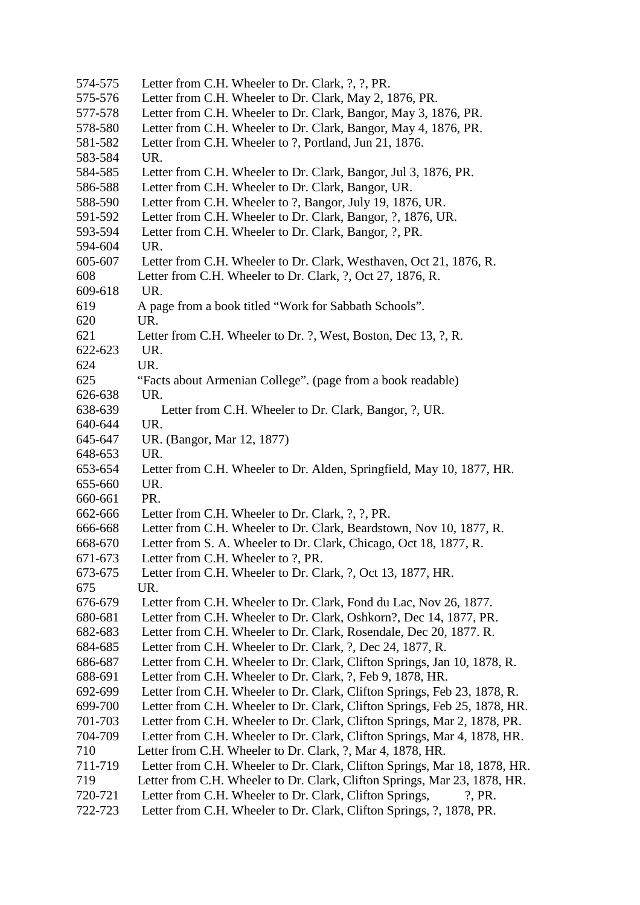| Letter from C.H. Wheeler to Dr. Clark, ?, ?, PR.                          |
|---------------------------------------------------------------------------|
| Letter from C.H. Wheeler to Dr. Clark, May 2, 1876, PR.                   |
| Letter from C.H. Wheeler to Dr. Clark, Bangor, May 3, 1876, PR.           |
| Letter from C.H. Wheeler to Dr. Clark, Bangor, May 4, 1876, PR.           |
| Letter from C.H. Wheeler to ?, Portland, Jun 21, 1876.                    |
| UR.                                                                       |
| Letter from C.H. Wheeler to Dr. Clark, Bangor, Jul 3, 1876, PR.           |
| Letter from C.H. Wheeler to Dr. Clark, Bangor, UR.                        |
| Letter from C.H. Wheeler to ?, Bangor, July 19, 1876, UR.                 |
| Letter from C.H. Wheeler to Dr. Clark, Bangor, ?, 1876, UR.               |
| Letter from C.H. Wheeler to Dr. Clark, Bangor, ?, PR.                     |
| UR.                                                                       |
| Letter from C.H. Wheeler to Dr. Clark, Westhaven, Oct 21, 1876, R.        |
| Letter from C.H. Wheeler to Dr. Clark, ?, Oct 27, 1876, R.                |
| UR.                                                                       |
| A page from a book titled "Work for Sabbath Schools".                     |
| UR.                                                                       |
| Letter from C.H. Wheeler to Dr. ?, West, Boston, Dec 13, ?, R.            |
| UR.                                                                       |
| UR.                                                                       |
| "Facts about Armenian College". (page from a book readable)               |
| UR.                                                                       |
| Letter from C.H. Wheeler to Dr. Clark, Bangor, ?, UR.                     |
| UR.                                                                       |
| UR. (Bangor, Mar 12, 1877)                                                |
| UR.                                                                       |
| Letter from C.H. Wheeler to Dr. Alden, Springfield, May 10, 1877, HR.     |
| UR.                                                                       |
| PR.                                                                       |
| Letter from C.H. Wheeler to Dr. Clark, ?, ?, PR.                          |
| Letter from C.H. Wheeler to Dr. Clark, Beardstown, Nov 10, 1877, R.       |
| Letter from S. A. Wheeler to Dr. Clark, Chicago, Oct 18, 1877, R.         |
| Letter from C.H. Wheeler to ?, PR.                                        |
| Letter from C.H. Wheeler to Dr. Clark, ?, Oct 13, 1877, HR.               |
| UR.                                                                       |
| Letter from C.H. Wheeler to Dr. Clark, Fond du Lac, Nov 26, 1877.         |
| Letter from C.H. Wheeler to Dr. Clark, Oshkorn?, Dec 14, 1877, PR.        |
| Letter from C.H. Wheeler to Dr. Clark, Rosendale, Dec 20, 1877. R.        |
| Letter from C.H. Wheeler to Dr. Clark, ?, Dec 24, 1877, R.                |
| Letter from C.H. Wheeler to Dr. Clark, Clifton Springs, Jan 10, 1878, R.  |
| Letter from C.H. Wheeler to Dr. Clark, ?, Feb 9, 1878, HR.                |
| Letter from C.H. Wheeler to Dr. Clark, Clifton Springs, Feb 23, 1878, R.  |
| Letter from C.H. Wheeler to Dr. Clark, Clifton Springs, Feb 25, 1878, HR. |
| Letter from C.H. Wheeler to Dr. Clark, Clifton Springs, Mar 2, 1878, PR.  |
| Letter from C.H. Wheeler to Dr. Clark, Clifton Springs, Mar 4, 1878, HR.  |
| Letter from C.H. Wheeler to Dr. Clark, ?, Mar 4, 1878, HR.                |
| Letter from C.H. Wheeler to Dr. Clark, Clifton Springs, Mar 18, 1878, HR. |
| Letter from C.H. Wheeler to Dr. Clark, Clifton Springs, Mar 23, 1878, HR. |
| Letter from C.H. Wheeler to Dr. Clark, Clifton Springs,<br>$?$ , PR.      |
| Letter from C.H. Wheeler to Dr. Clark, Clifton Springs, ?, 1878, PR.      |
|                                                                           |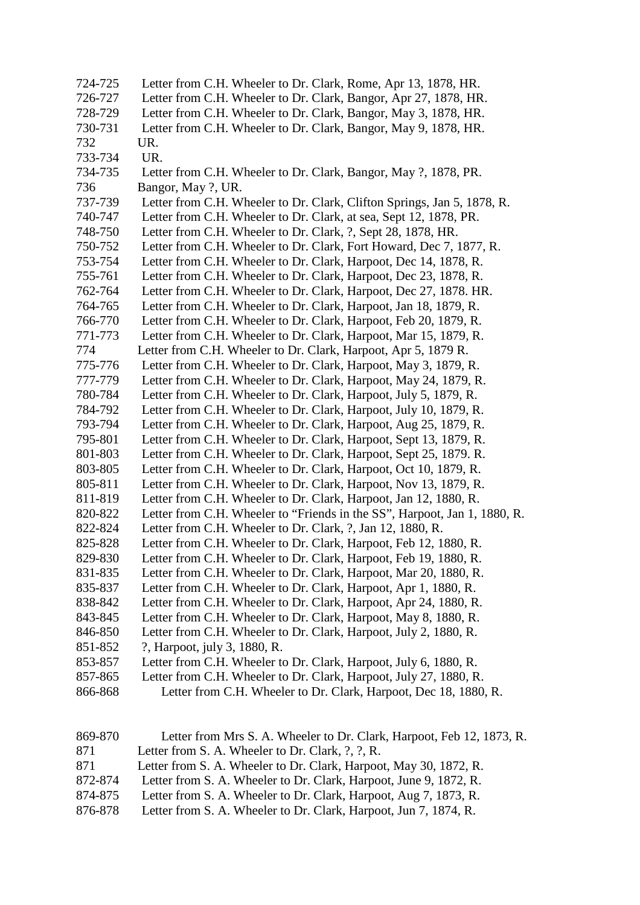- 724-725 Letter from C.H. Wheeler to Dr. Clark, Rome, Apr 13, 1878, HR. 726-727 Letter from C.H. Wheeler to Dr. Clark, Bangor, Apr 27, 1878, HR. 728-729 Letter from C.H. Wheeler to Dr. Clark, Bangor, May 3, 1878, HR. 730-731 Letter from C.H. Wheeler to Dr. Clark, Bangor, May 9, 1878, HR. 732 UR. 733-734 UR. 734-735 Letter from C.H. Wheeler to Dr. Clark, Bangor, May ?, 1878, PR. 736 Bangor, May ?, UR. 737-739 Letter from C.H. Wheeler to Dr. Clark, Clifton Springs, Jan 5, 1878, R. 740-747 Letter from C.H. Wheeler to Dr. Clark, at sea, Sept 12, 1878, PR. 748-750 Letter from C.H. Wheeler to Dr. Clark, ?, Sept 28, 1878, HR. 750-752 Letter from C.H. Wheeler to Dr. Clark, Fort Howard, Dec 7, 1877, R. 753-754 Letter from C.H. Wheeler to Dr. Clark, Harpoot, Dec 14, 1878, R. 755-761 Letter from C.H. Wheeler to Dr. Clark, Harpoot, Dec 23, 1878, R. 762-764 Letter from C.H. Wheeler to Dr. Clark, Harpoot, Dec 27, 1878. HR. 764-765 Letter from C.H. Wheeler to Dr. Clark, Harpoot, Jan 18, 1879, R. 766-770 Letter from C.H. Wheeler to Dr. Clark, Harpoot, Feb 20, 1879, R. 771-773 Letter from C.H. Wheeler to Dr. Clark, Harpoot, Mar 15, 1879, R. 774 Letter from C.H. Wheeler to Dr. Clark, Harpoot, Apr 5, 1879 R. 775-776 Letter from C.H. Wheeler to Dr. Clark, Harpoot, May 3, 1879, R. 777-779 Letter from C.H. Wheeler to Dr. Clark, Harpoot, May 24, 1879, R. 780-784 Letter from C.H. Wheeler to Dr. Clark, Harpoot, July 5, 1879, R. 784-792 Letter from C.H. Wheeler to Dr. Clark, Harpoot, July 10, 1879, R. 793-794 Letter from C.H. Wheeler to Dr. Clark, Harpoot, Aug 25, 1879, R. 795-801 Letter from C.H. Wheeler to Dr. Clark, Harpoot, Sept 13, 1879, R. 801-803 Letter from C.H. Wheeler to Dr. Clark, Harpoot, Sept 25, 1879. R. 803-805 Letter from C.H. Wheeler to Dr. Clark, Harpoot, Oct 10, 1879, R. 805-811 Letter from C.H. Wheeler to Dr. Clark, Harpoot, Nov 13, 1879, R. 811-819 Letter from C.H. Wheeler to Dr. Clark, Harpoot, Jan 12, 1880, R. 820-822 Letter from C.H. Wheeler to "Friends in the SS", Harpoot, Jan 1, 1880, R. 822-824 Letter from C.H. Wheeler to Dr. Clark, ?, Jan 12, 1880, R. 825-828 Letter from C.H. Wheeler to Dr. Clark, Harpoot, Feb 12, 1880, R. 829-830 Letter from C.H. Wheeler to Dr. Clark, Harpoot, Feb 19, 1880, R. 831-835 Letter from C.H. Wheeler to Dr. Clark, Harpoot, Mar 20, 1880, R. 835-837 Letter from C.H. Wheeler to Dr. Clark, Harpoot, Apr 1, 1880, R. 838-842 Letter from C.H. Wheeler to Dr. Clark, Harpoot, Apr 24, 1880, R. 843-845 Letter from C.H. Wheeler to Dr. Clark, Harpoot, May 8, 1880, R. 846-850 Letter from C.H. Wheeler to Dr. Clark, Harpoot, July 2, 1880, R. 851-852 ?, Harpoot, july 3, 1880, R. 853-857 Letter from C.H. Wheeler to Dr. Clark, Harpoot, July 6, 1880, R. 857-865 Letter from C.H. Wheeler to Dr. Clark, Harpoot, July 27, 1880, R. 866-868 Letter from C.H. Wheeler to Dr. Clark, Harpoot, Dec 18, 1880, R. 869-870 Letter from Mrs S. A. Wheeler to Dr. Clark, Harpoot, Feb 12, 1873, R. 871 Letter from S. A. Wheeler to Dr. Clark, ?, ?, R.
- 871 Letter from S. A. Wheeler to Dr. Clark, Harpoot, May 30, 1872, R.
- 872-874 Letter from S. A. Wheeler to Dr. Clark, Harpoot, June 9, 1872, R.
- 874-875 Letter from S. A. Wheeler to Dr. Clark, Harpoot, Aug 7, 1873, R.
- 876-878 Letter from S. A. Wheeler to Dr. Clark, Harpoot, Jun 7, 1874, R.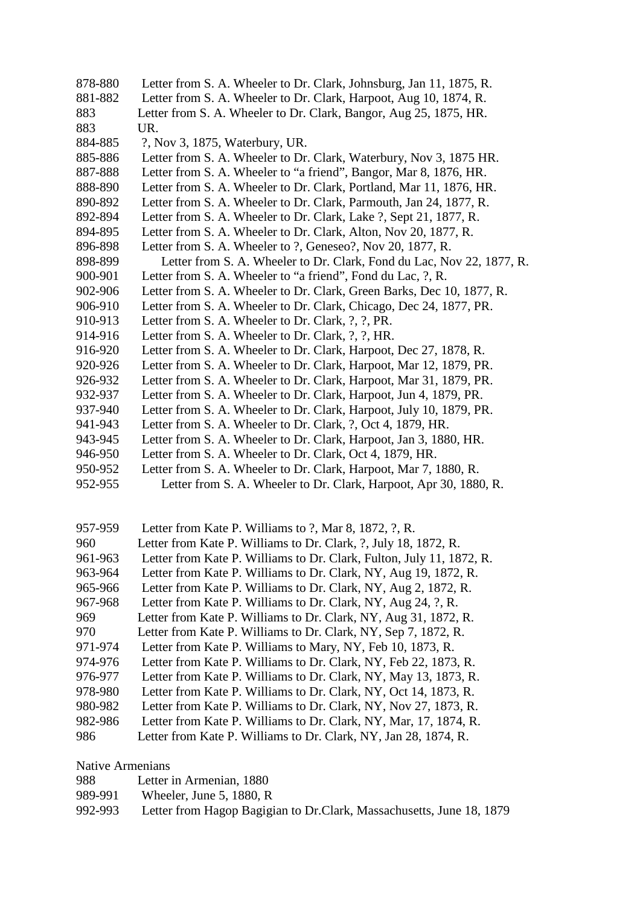- 878-880 Letter from S. A. Wheeler to Dr. Clark, Johnsburg, Jan 11, 1875, R. 881-882 Letter from S. A. Wheeler to Dr. Clark, Harpoot, Aug 10, 1874, R. 883 Letter from S. A. Wheeler to Dr. Clark, Bangor, Aug 25, 1875, HR. 883 UR. 884-885 ?, Nov 3, 1875, Waterbury, UR. 885-886 Letter from S. A. Wheeler to Dr. Clark, Waterbury, Nov 3, 1875 HR. 887-888 Letter from S. A. Wheeler to "a friend", Bangor, Mar 8, 1876, HR. 888-890 Letter from S. A. Wheeler to Dr. Clark, Portland, Mar 11, 1876, HR. 890-892 Letter from S. A. Wheeler to Dr. Clark, Parmouth, Jan 24, 1877, R. 892-894 Letter from S. A. Wheeler to Dr. Clark, Lake ?, Sept 21, 1877, R. 894-895 Letter from S. A. Wheeler to Dr. Clark, Alton, Nov 20, 1877, R. 896-898 Letter from S. A. Wheeler to ?, Geneseo?, Nov 20, 1877, R. 898-899 Letter from S. A. Wheeler to Dr. Clark, Fond du Lac, Nov 22, 1877, R. 900-901 Letter from S. A. Wheeler to "a friend", Fond du Lac, ?, R. 902-906 Letter from S. A. Wheeler to Dr. Clark, Green Barks, Dec 10, 1877, R. 906-910 Letter from S. A. Wheeler to Dr. Clark, Chicago, Dec 24, 1877, PR. 910-913 Letter from S. A. Wheeler to Dr. Clark, ?, ?, PR. 914-916 Letter from S. A. Wheeler to Dr. Clark, ?, ?, HR. 916-920 Letter from S. A. Wheeler to Dr. Clark, Harpoot, Dec 27, 1878, R. 920-926 Letter from S. A. Wheeler to Dr. Clark, Harpoot, Mar 12, 1879, PR. 926-932 Letter from S. A. Wheeler to Dr. Clark, Harpoot, Mar 31, 1879, PR. 932-937 Letter from S. A. Wheeler to Dr. Clark, Harpoot, Jun 4, 1879, PR. 937-940 Letter from S. A. Wheeler to Dr. Clark, Harpoot, July 10, 1879, PR. 941-943 Letter from S. A. Wheeler to Dr. Clark, ?, Oct 4, 1879, HR. 943-945 Letter from S. A. Wheeler to Dr. Clark, Harpoot, Jan 3, 1880, HR.
- 946-950 Letter from S. A. Wheeler to Dr. Clark, Oct 4, 1879, HR.
- 950-952 Letter from S. A. Wheeler to Dr. Clark, Harpoot, Mar 7, 1880, R.
- 952-955 Letter from S. A. Wheeler to Dr. Clark, Harpoot, Apr 30, 1880, R.

| 957-959 | Letter from Kate P. Williams to ?, Mar 8, 1872, ?, R.                |
|---------|----------------------------------------------------------------------|
| 960     | Letter from Kate P. Williams to Dr. Clark, ?, July 18, 1872, R.      |
| 961-963 | Letter from Kate P. Williams to Dr. Clark, Fulton, July 11, 1872, R. |
| 963-964 | Letter from Kate P. Williams to Dr. Clark, NY, Aug 19, 1872, R.      |
| 965-966 | Letter from Kate P. Williams to Dr. Clark, NY, Aug 2, 1872, R.       |
| 967-968 | Letter from Kate P. Williams to Dr. Clark, NY, Aug 24, ?, R.         |
| 969     | Letter from Kate P. Williams to Dr. Clark, NY, Aug 31, 1872, R.      |
| 970     | Letter from Kate P. Williams to Dr. Clark, NY, Sep 7, 1872, R.       |
| 971-974 | Letter from Kate P. Williams to Mary, NY, Feb 10, 1873, R.           |
| 974-976 | Letter from Kate P. Williams to Dr. Clark, NY, Feb 22, 1873, R.      |
| 976-977 | Letter from Kate P. Williams to Dr. Clark, NY, May 13, 1873, R.      |
| 978-980 | Letter from Kate P. Williams to Dr. Clark, NY, Oct 14, 1873, R.      |
| 980-982 | Letter from Kate P. Williams to Dr. Clark, NY, Nov 27, 1873, R.      |
| 982-986 | Letter from Kate P. Williams to Dr. Clark, NY, Mar, 17, 1874, R.     |
| 986     | Letter from Kate P. Williams to Dr. Clark, NY, Jan 28, 1874, R.      |

Native Armenians

| 988 | Letter in Armenian, 1880 |
|-----|--------------------------|
|-----|--------------------------|

- 989-991 Wheeler, June 5, 1880, R
- 992-993 Letter from Hagop Bagigian to Dr.Clark, Massachusetts, June 18, 1879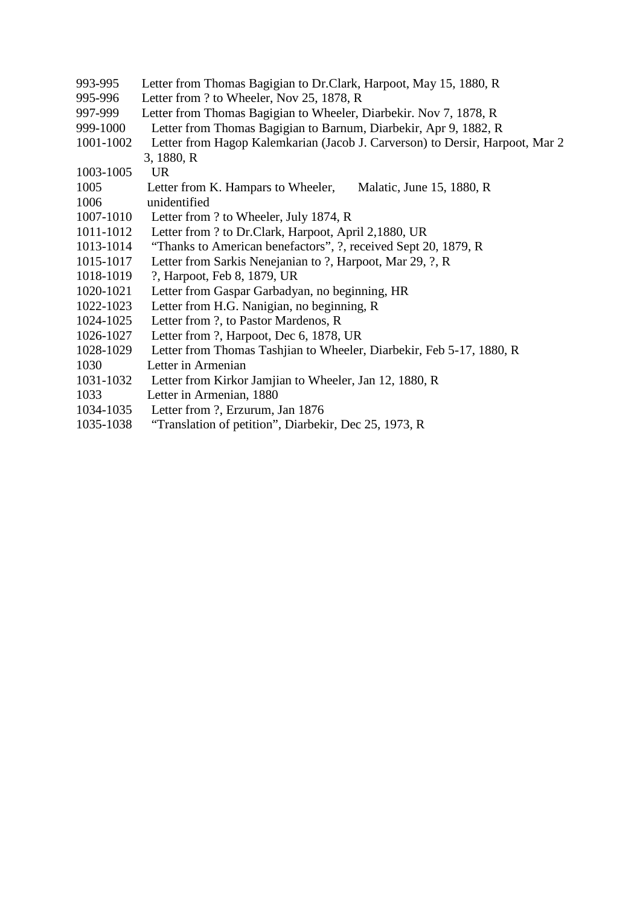- 993-995 Letter from Thomas Bagigian to Dr.Clark, Harpoot, May 15, 1880, R
- 995-996 Letter from ? to Wheeler, Nov 25, 1878, R
- 997-999 Letter from Thomas Bagigian to Wheeler, Diarbekir. Nov 7, 1878, R
- 999-1000 Letter from Thomas Bagigian to Barnum, Diarbekir, Apr 9, 1882, R
- 1001-1002 Letter from Hagop Kalemkarian (Jacob J. Carverson) to Dersir, Harpoot, Mar 2
- 3, 1880, R
- 1003-1005 UR
- 1005 Letter from K. Hampars to Wheeler, Malatic, June 15, 1880, R
- 1006 unidentified
- 1007-1010 Letter from ? to Wheeler, July 1874, R
- 1011-1012 Letter from ? to Dr.Clark, Harpoot, April 2,1880, UR
- 1013-1014 "Thanks to American benefactors", ?, received Sept 20, 1879, R
- 1015-1017 Letter from Sarkis Nenejanian to ?, Harpoot, Mar 29, ?, R<br>1018-1019 ?, Harpoot, Feb 8, 1879, UR
- ?, Harpoot, Feb 8, 1879, UR
- 1020-1021 Letter from Gaspar Garbadyan, no beginning, HR
- 1022-1023 Letter from H.G. Nanigian, no beginning, R
- 1024-1025 Letter from ?, to Pastor Mardenos, R
- 1026-1027 Letter from ?, Harpoot, Dec 6, 1878, UR
- 1028-1029 Letter from Thomas Tashjian to Wheeler, Diarbekir, Feb 5-17, 1880, R
- 1030 Letter in Armenian
- 1031-1032 Letter from Kirkor Jamjian to Wheeler, Jan 12, 1880, R
- 1033 Letter in Armenian, 1880
- 1034-1035 Letter from ?, Erzurum, Jan 1876
- 1035-1038 "Translation of petition", Diarbekir, Dec 25, 1973, R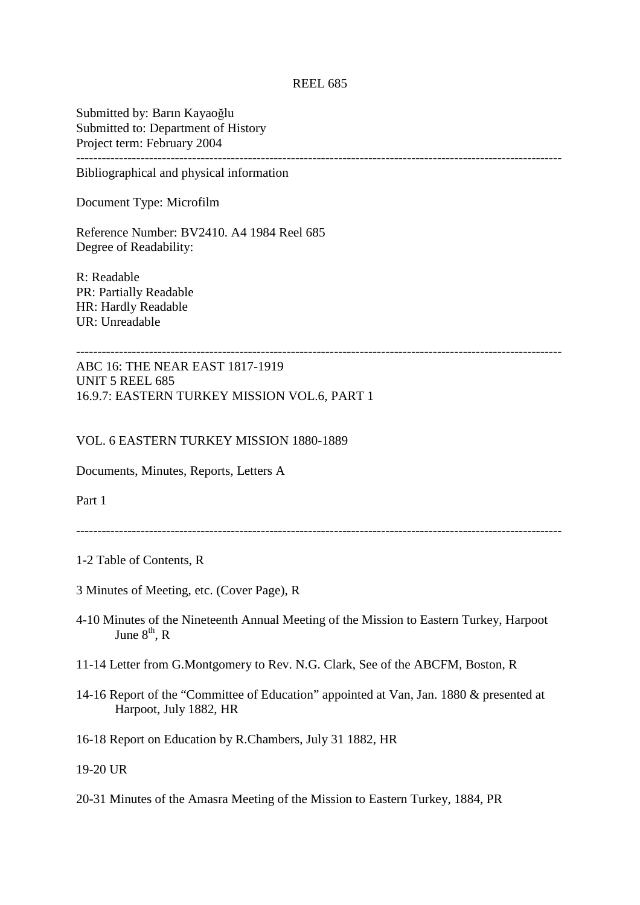Submitted by: Barın Kayaoğlu Submitted to: Department of History Project term: February 2004 -----------------------------------------------------------------------------------------------------------------

Bibliographical and physical information

Document Type: Microfilm

Reference Number: BV2410. A4 1984 Reel 685 Degree of Readability:

R: Readable PR: Partially Readable HR: Hardly Readable UR: Unreadable

-----------------------------------------------------------------------------------------------------------------

ABC 16: THE NEAR EAST 1817-1919 UNIT 5 REEL 685 16.9.7: EASTERN TURKEY MISSION VOL.6, PART 1

#### VOL. 6 EASTERN TURKEY MISSION 1880-1889

Documents, Minutes, Reports, Letters A

Part 1

- 1-2 Table of Contents, R
- 3 Minutes of Meeting, etc. (Cover Page), R
- 4-10 Minutes of the Nineteenth Annual Meeting of the Mission to Eastern Turkey, Harpoot June  $8<sup>th</sup>$ , R
- 11-14 Letter from G.Montgomery to Rev. N.G. Clark, See of the ABCFM, Boston, R
- 14-16 Report of the "Committee of Education" appointed at Van, Jan. 1880 & presented at Harpoot, July 1882, HR
- 16-18 Report on Education by R.Chambers, July 31 1882, HR

19-20 UR

20-31 Minutes of the Amasra Meeting of the Mission to Eastern Turkey, 1884, PR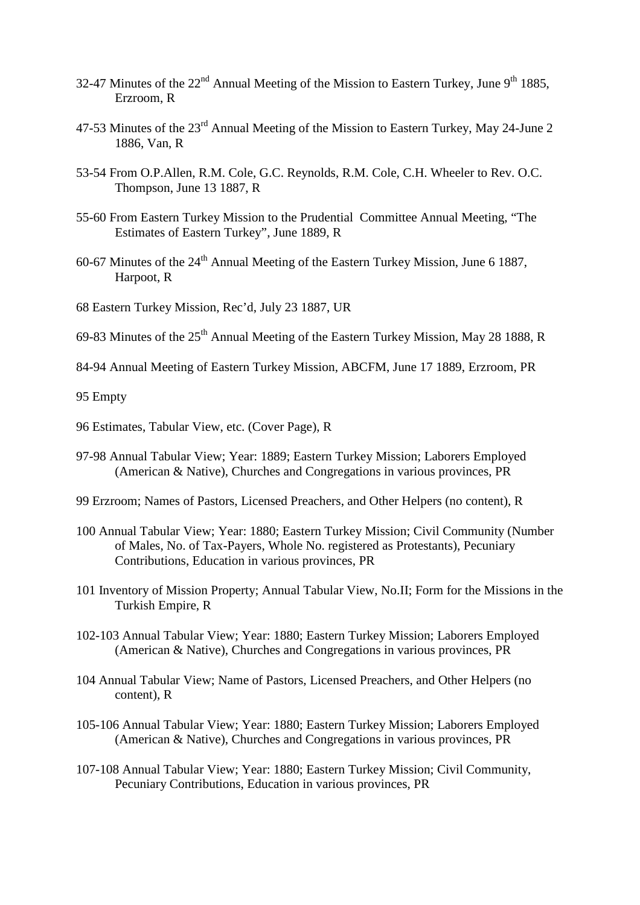- 32-47 Minutes of the  $22<sup>nd</sup>$  Annual Meeting of the Mission to Eastern Turkey, June 9<sup>th</sup> 1885, Erzroom, R
- 47-53 Minutes of the 23rd Annual Meeting of the Mission to Eastern Turkey, May 24-June 2 1886, Van, R
- 53-54 From O.P.Allen, R.M. Cole, G.C. Reynolds, R.M. Cole, C.H. Wheeler to Rev. O.C. Thompson, June 13 1887, R
- 55-60 From Eastern Turkey Mission to the Prudential Committee Annual Meeting, "The Estimates of Eastern Turkey", June 1889, R
- 60-67 Minutes of the  $24<sup>th</sup>$  Annual Meeting of the Eastern Turkey Mission, June 6 1887, Harpoot, R
- 68 Eastern Turkey Mission, Rec'd, July 23 1887, UR
- 69-83 Minutes of the  $25<sup>th</sup>$  Annual Meeting of the Eastern Turkey Mission, May 28 1888, R
- 84-94 Annual Meeting of Eastern Turkey Mission, ABCFM, June 17 1889, Erzroom, PR

95 Empty

- 96 Estimates, Tabular View, etc. (Cover Page), R
- 97-98 Annual Tabular View; Year: 1889; Eastern Turkey Mission; Laborers Employed (American & Native), Churches and Congregations in various provinces, PR
- 99 Erzroom; Names of Pastors, Licensed Preachers, and Other Helpers (no content), R
- 100 Annual Tabular View; Year: 1880; Eastern Turkey Mission; Civil Community (Number of Males, No. of Tax-Payers, Whole No. registered as Protestants), Pecuniary Contributions, Education in various provinces, PR
- 101 Inventory of Mission Property; Annual Tabular View, No.II; Form for the Missions in the Turkish Empire, R
- 102-103 Annual Tabular View; Year: 1880; Eastern Turkey Mission; Laborers Employed (American & Native), Churches and Congregations in various provinces, PR
- 104 Annual Tabular View; Name of Pastors, Licensed Preachers, and Other Helpers (no content), R
- 105-106 Annual Tabular View; Year: 1880; Eastern Turkey Mission; Laborers Employed (American & Native), Churches and Congregations in various provinces, PR
- 107-108 Annual Tabular View; Year: 1880; Eastern Turkey Mission; Civil Community, Pecuniary Contributions, Education in various provinces, PR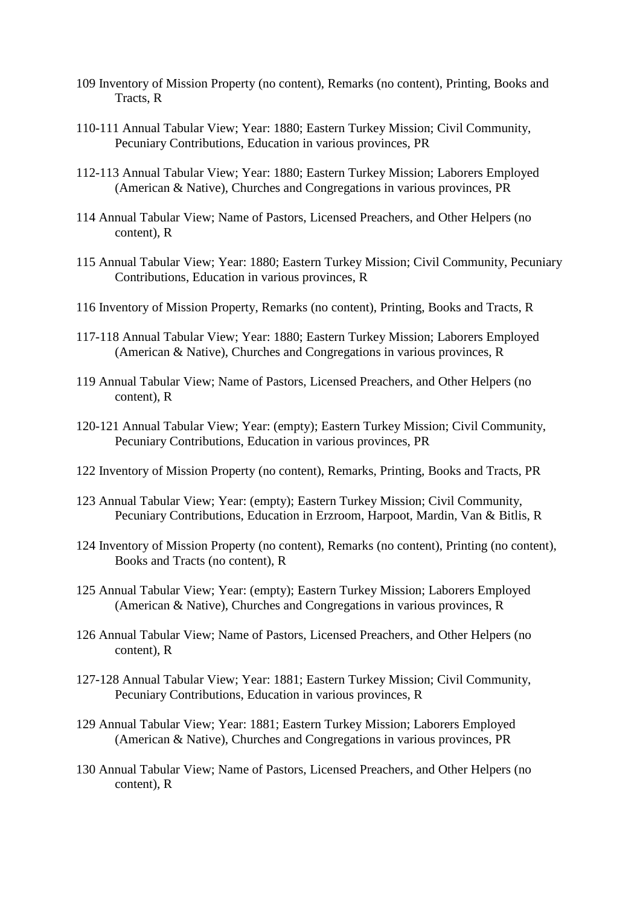- 109 Inventory of Mission Property (no content), Remarks (no content), Printing, Books and Tracts, R
- 110-111 Annual Tabular View; Year: 1880; Eastern Turkey Mission; Civil Community, Pecuniary Contributions, Education in various provinces, PR
- 112-113 Annual Tabular View; Year: 1880; Eastern Turkey Mission; Laborers Employed (American & Native), Churches and Congregations in various provinces, PR
- 114 Annual Tabular View; Name of Pastors, Licensed Preachers, and Other Helpers (no content), R
- 115 Annual Tabular View; Year: 1880; Eastern Turkey Mission; Civil Community, Pecuniary Contributions, Education in various provinces, R
- 116 Inventory of Mission Property, Remarks (no content), Printing, Books and Tracts, R
- 117-118 Annual Tabular View; Year: 1880; Eastern Turkey Mission; Laborers Employed (American & Native), Churches and Congregations in various provinces, R
- 119 Annual Tabular View; Name of Pastors, Licensed Preachers, and Other Helpers (no content), R
- 120-121 Annual Tabular View; Year: (empty); Eastern Turkey Mission; Civil Community, Pecuniary Contributions, Education in various provinces, PR
- 122 Inventory of Mission Property (no content), Remarks, Printing, Books and Tracts, PR
- 123 Annual Tabular View; Year: (empty); Eastern Turkey Mission; Civil Community, Pecuniary Contributions, Education in Erzroom, Harpoot, Mardin, Van & Bitlis, R
- 124 Inventory of Mission Property (no content), Remarks (no content), Printing (no content), Books and Tracts (no content), R
- 125 Annual Tabular View; Year: (empty); Eastern Turkey Mission; Laborers Employed (American & Native), Churches and Congregations in various provinces, R
- 126 Annual Tabular View; Name of Pastors, Licensed Preachers, and Other Helpers (no content), R
- 127-128 Annual Tabular View; Year: 1881; Eastern Turkey Mission; Civil Community, Pecuniary Contributions, Education in various provinces, R
- 129 Annual Tabular View; Year: 1881; Eastern Turkey Mission; Laborers Employed (American & Native), Churches and Congregations in various provinces, PR
- 130 Annual Tabular View; Name of Pastors, Licensed Preachers, and Other Helpers (no content), R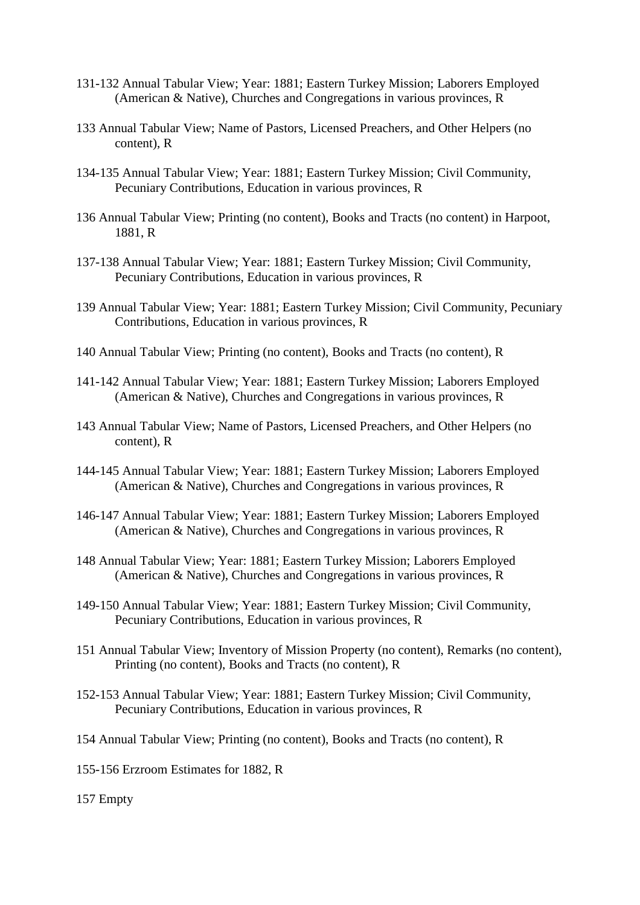- 131-132 Annual Tabular View; Year: 1881; Eastern Turkey Mission; Laborers Employed (American & Native), Churches and Congregations in various provinces, R
- 133 Annual Tabular View; Name of Pastors, Licensed Preachers, and Other Helpers (no content), R
- 134-135 Annual Tabular View; Year: 1881; Eastern Turkey Mission; Civil Community, Pecuniary Contributions, Education in various provinces, R
- 136 Annual Tabular View; Printing (no content), Books and Tracts (no content) in Harpoot, 1881, R
- 137-138 Annual Tabular View; Year: 1881; Eastern Turkey Mission; Civil Community, Pecuniary Contributions, Education in various provinces, R
- 139 Annual Tabular View; Year: 1881; Eastern Turkey Mission; Civil Community, Pecuniary Contributions, Education in various provinces, R
- 140 Annual Tabular View; Printing (no content), Books and Tracts (no content), R
- 141-142 Annual Tabular View; Year: 1881; Eastern Turkey Mission; Laborers Employed (American & Native), Churches and Congregations in various provinces, R
- 143 Annual Tabular View; Name of Pastors, Licensed Preachers, and Other Helpers (no content), R
- 144-145 Annual Tabular View; Year: 1881; Eastern Turkey Mission; Laborers Employed (American & Native), Churches and Congregations in various provinces, R
- 146-147 Annual Tabular View; Year: 1881; Eastern Turkey Mission; Laborers Employed (American & Native), Churches and Congregations in various provinces, R
- 148 Annual Tabular View; Year: 1881; Eastern Turkey Mission; Laborers Employed (American & Native), Churches and Congregations in various provinces, R
- 149-150 Annual Tabular View; Year: 1881; Eastern Turkey Mission; Civil Community, Pecuniary Contributions, Education in various provinces, R
- 151 Annual Tabular View; Inventory of Mission Property (no content), Remarks (no content), Printing (no content), Books and Tracts (no content), R
- 152-153 Annual Tabular View; Year: 1881; Eastern Turkey Mission; Civil Community, Pecuniary Contributions, Education in various provinces, R
- 154 Annual Tabular View; Printing (no content), Books and Tracts (no content), R
- 155-156 Erzroom Estimates for 1882, R
- 157 Empty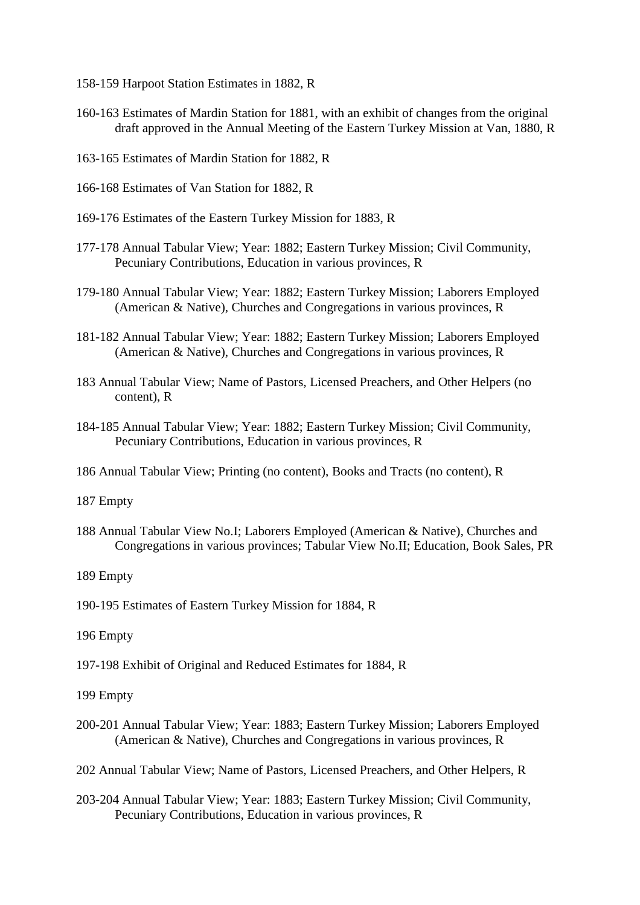- 158-159 Harpoot Station Estimates in 1882, R
- 160-163 Estimates of Mardin Station for 1881, with an exhibit of changes from the original draft approved in the Annual Meeting of the Eastern Turkey Mission at Van, 1880, R
- 163-165 Estimates of Mardin Station for 1882, R
- 166-168 Estimates of Van Station for 1882, R
- 169-176 Estimates of the Eastern Turkey Mission for 1883, R
- 177-178 Annual Tabular View; Year: 1882; Eastern Turkey Mission; Civil Community, Pecuniary Contributions, Education in various provinces, R
- 179-180 Annual Tabular View; Year: 1882; Eastern Turkey Mission; Laborers Employed (American & Native), Churches and Congregations in various provinces, R
- 181-182 Annual Tabular View; Year: 1882; Eastern Turkey Mission; Laborers Employed (American & Native), Churches and Congregations in various provinces, R
- 183 Annual Tabular View; Name of Pastors, Licensed Preachers, and Other Helpers (no content), R
- 184-185 Annual Tabular View; Year: 1882; Eastern Turkey Mission; Civil Community, Pecuniary Contributions, Education in various provinces, R
- 186 Annual Tabular View; Printing (no content), Books and Tracts (no content), R
- 187 Empty
- 188 Annual Tabular View No.I; Laborers Employed (American & Native), Churches and Congregations in various provinces; Tabular View No.II; Education, Book Sales, PR
- 189 Empty

190-195 Estimates of Eastern Turkey Mission for 1884, R

- 196 Empty
- 197-198 Exhibit of Original and Reduced Estimates for 1884, R
- 199 Empty
- 200-201 Annual Tabular View; Year: 1883; Eastern Turkey Mission; Laborers Employed (American & Native), Churches and Congregations in various provinces, R
- 202 Annual Tabular View; Name of Pastors, Licensed Preachers, and Other Helpers, R
- 203-204 Annual Tabular View; Year: 1883; Eastern Turkey Mission; Civil Community, Pecuniary Contributions, Education in various provinces, R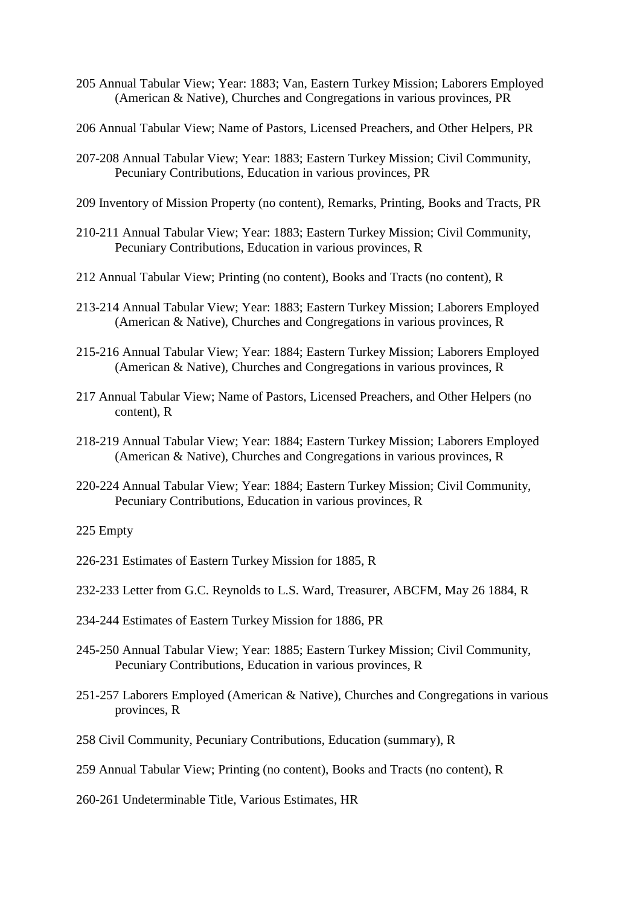- 205 Annual Tabular View; Year: 1883; Van, Eastern Turkey Mission; Laborers Employed (American & Native), Churches and Congregations in various provinces, PR
- 206 Annual Tabular View; Name of Pastors, Licensed Preachers, and Other Helpers, PR
- 207-208 Annual Tabular View; Year: 1883; Eastern Turkey Mission; Civil Community, Pecuniary Contributions, Education in various provinces, PR
- 209 Inventory of Mission Property (no content), Remarks, Printing, Books and Tracts, PR
- 210-211 Annual Tabular View; Year: 1883; Eastern Turkey Mission; Civil Community, Pecuniary Contributions, Education in various provinces, R
- 212 Annual Tabular View; Printing (no content), Books and Tracts (no content), R
- 213-214 Annual Tabular View; Year: 1883; Eastern Turkey Mission; Laborers Employed (American & Native), Churches and Congregations in various provinces, R
- 215-216 Annual Tabular View; Year: 1884; Eastern Turkey Mission; Laborers Employed (American & Native), Churches and Congregations in various provinces, R
- 217 Annual Tabular View; Name of Pastors, Licensed Preachers, and Other Helpers (no content), R
- 218-219 Annual Tabular View; Year: 1884; Eastern Turkey Mission; Laborers Employed (American & Native), Churches and Congregations in various provinces, R
- 220-224 Annual Tabular View; Year: 1884; Eastern Turkey Mission; Civil Community, Pecuniary Contributions, Education in various provinces, R

- 226-231 Estimates of Eastern Turkey Mission for 1885, R
- 232-233 Letter from G.C. Reynolds to L.S. Ward, Treasurer, ABCFM, May 26 1884, R
- 234-244 Estimates of Eastern Turkey Mission for 1886, PR
- 245-250 Annual Tabular View; Year: 1885; Eastern Turkey Mission; Civil Community, Pecuniary Contributions, Education in various provinces, R
- 251-257 Laborers Employed (American & Native), Churches and Congregations in various provinces, R
- 258 Civil Community, Pecuniary Contributions, Education (summary), R
- 259 Annual Tabular View; Printing (no content), Books and Tracts (no content), R
- 260-261 Undeterminable Title, Various Estimates, HR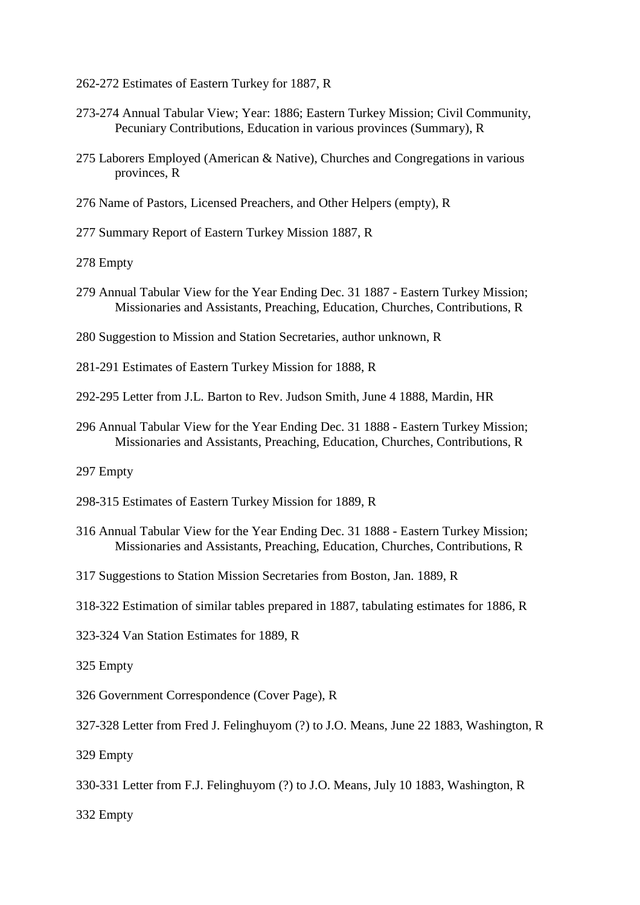- 262-272 Estimates of Eastern Turkey for 1887, R
- 273-274 Annual Tabular View; Year: 1886; Eastern Turkey Mission; Civil Community, Pecuniary Contributions, Education in various provinces (Summary), R
- 275 Laborers Employed (American & Native), Churches and Congregations in various provinces, R
- 276 Name of Pastors, Licensed Preachers, and Other Helpers (empty), R
- 277 Summary Report of Eastern Turkey Mission 1887, R
- 278 Empty
- 279 Annual Tabular View for the Year Ending Dec. 31 1887 Eastern Turkey Mission; Missionaries and Assistants, Preaching, Education, Churches, Contributions, R
- 280 Suggestion to Mission and Station Secretaries, author unknown, R
- 281-291 Estimates of Eastern Turkey Mission for 1888, R
- 292-295 Letter from J.L. Barton to Rev. Judson Smith, June 4 1888, Mardin, HR
- 296 Annual Tabular View for the Year Ending Dec. 31 1888 Eastern Turkey Mission; Missionaries and Assistants, Preaching, Education, Churches, Contributions, R
- 297 Empty
- 298-315 Estimates of Eastern Turkey Mission for 1889, R
- 316 Annual Tabular View for the Year Ending Dec. 31 1888 Eastern Turkey Mission; Missionaries and Assistants, Preaching, Education, Churches, Contributions, R
- 317 Suggestions to Station Mission Secretaries from Boston, Jan. 1889, R
- 318-322 Estimation of similar tables prepared in 1887, tabulating estimates for 1886, R
- 323-324 Van Station Estimates for 1889, R
- 325 Empty
- 326 Government Correspondence (Cover Page), R
- 327-328 Letter from Fred J. Felinghuyom (?) to J.O. Means, June 22 1883, Washington, R
- 329 Empty
- 330-331 Letter from F.J. Felinghuyom (?) to J.O. Means, July 10 1883, Washington, R
- 332 Empty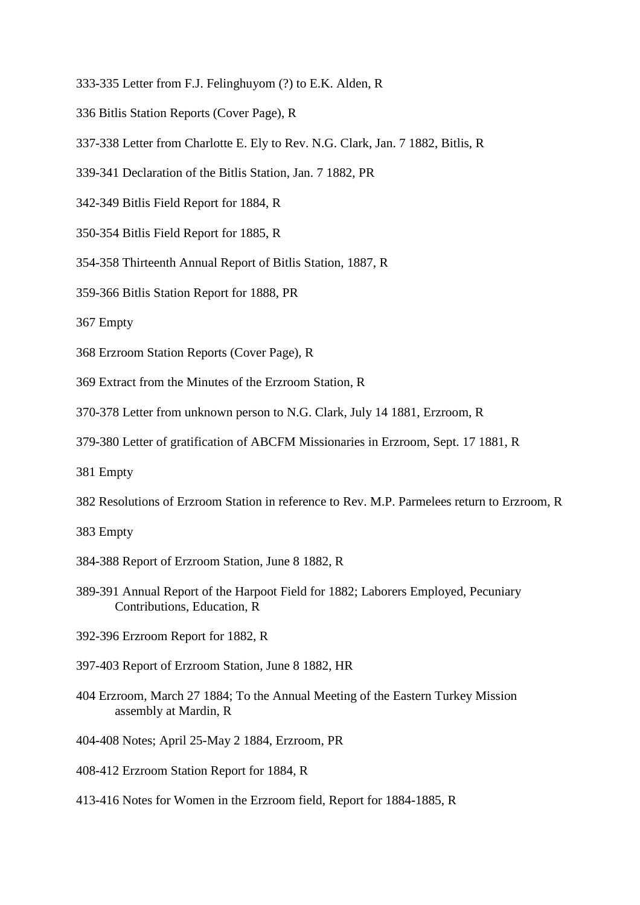- 333-335 Letter from F.J. Felinghuyom (?) to E.K. Alden, R
- 336 Bitlis Station Reports (Cover Page), R
- 337-338 Letter from Charlotte E. Ely to Rev. N.G. Clark, Jan. 7 1882, Bitlis, R
- 339-341 Declaration of the Bitlis Station, Jan. 7 1882, PR
- 342-349 Bitlis Field Report for 1884, R
- 350-354 Bitlis Field Report for 1885, R
- 354-358 Thirteenth Annual Report of Bitlis Station, 1887, R
- 359-366 Bitlis Station Report for 1888, PR
- 367 Empty
- 368 Erzroom Station Reports (Cover Page), R
- 369 Extract from the Minutes of the Erzroom Station, R
- 370-378 Letter from unknown person to N.G. Clark, July 14 1881, Erzroom, R
- 379-380 Letter of gratification of ABCFM Missionaries in Erzroom, Sept. 17 1881, R
- 381 Empty
- 382 Resolutions of Erzroom Station in reference to Rev. M.P. Parmelees return to Erzroom, R
- 383 Empty
- 384-388 Report of Erzroom Station, June 8 1882, R
- 389-391 Annual Report of the Harpoot Field for 1882; Laborers Employed, Pecuniary Contributions, Education, R
- 392-396 Erzroom Report for 1882, R
- 397-403 Report of Erzroom Station, June 8 1882, HR
- 404 Erzroom, March 27 1884; To the Annual Meeting of the Eastern Turkey Mission assembly at Mardin, R
- 404-408 Notes; April 25-May 2 1884, Erzroom, PR
- 408-412 Erzroom Station Report for 1884, R
- 413-416 Notes for Women in the Erzroom field, Report for 1884-1885, R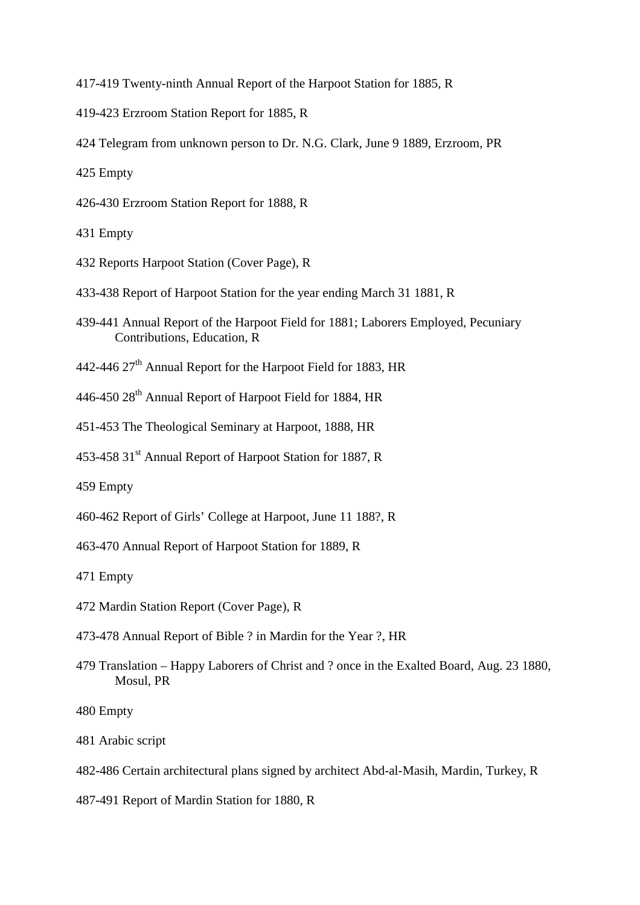417-419 Twenty-ninth Annual Report of the Harpoot Station for 1885, R

- 419-423 Erzroom Station Report for 1885, R
- 424 Telegram from unknown person to Dr. N.G. Clark, June 9 1889, Erzroom, PR

425 Empty

426-430 Erzroom Station Report for 1888, R

431 Empty

- 432 Reports Harpoot Station (Cover Page), R
- 433-438 Report of Harpoot Station for the year ending March 31 1881, R
- 439-441 Annual Report of the Harpoot Field for 1881; Laborers Employed, Pecuniary Contributions, Education, R
- 442-446 27<sup>th</sup> Annual Report for the Harpoot Field for 1883, HR
- 446-450 28<sup>th</sup> Annual Report of Harpoot Field for 1884, HR
- 451-453 The Theological Seminary at Harpoot, 1888, HR
- 453-458 31<sup>st</sup> Annual Report of Harpoot Station for 1887, R

459 Empty

- 460-462 Report of Girls' College at Harpoot, June 11 188?, R
- 463-470 Annual Report of Harpoot Station for 1889, R

471 Empty

- 472 Mardin Station Report (Cover Page), R
- 473-478 Annual Report of Bible ? in Mardin for the Year ?, HR
- 479 Translation Happy Laborers of Christ and ? once in the Exalted Board, Aug. 23 1880, Mosul, PR

- 481 Arabic script
- 482-486 Certain architectural plans signed by architect Abd-al-Masih, Mardin, Turkey, R
- 487-491 Report of Mardin Station for 1880, R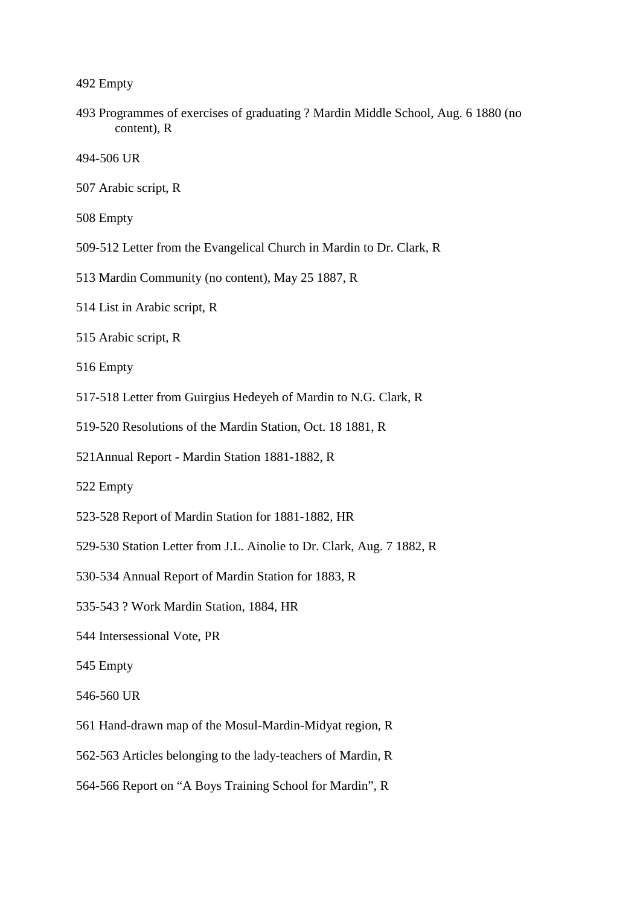493 Programmes of exercises of graduating ? Mardin Middle School, Aug. 6 1880 (no content), R

494-506 UR

507 Arabic script, R

508 Empty

- 509-512 Letter from the Evangelical Church in Mardin to Dr. Clark, R
- 513 Mardin Community (no content), May 25 1887, R
- 514 List in Arabic script, R
- 515 Arabic script, R

- 517-518 Letter from Guirgius Hedeyeh of Mardin to N.G. Clark, R
- 519-520 Resolutions of the Mardin Station, Oct. 18 1881, R
- 521Annual Report Mardin Station 1881-1882, R
- 522 Empty
- 523-528 Report of Mardin Station for 1881-1882, HR
- 529-530 Station Letter from J.L. Ainolie to Dr. Clark, Aug. 7 1882, R
- 530-534 Annual Report of Mardin Station for 1883, R
- 535-543 ? Work Mardin Station, 1884, HR
- 544 Intersessional Vote, PR
- 545 Empty
- 546-560 UR
- 561 Hand-drawn map of the Mosul-Mardin-Midyat region, R
- 562-563 Articles belonging to the lady-teachers of Mardin, R
- 564-566 Report on "A Boys Training School for Mardin", R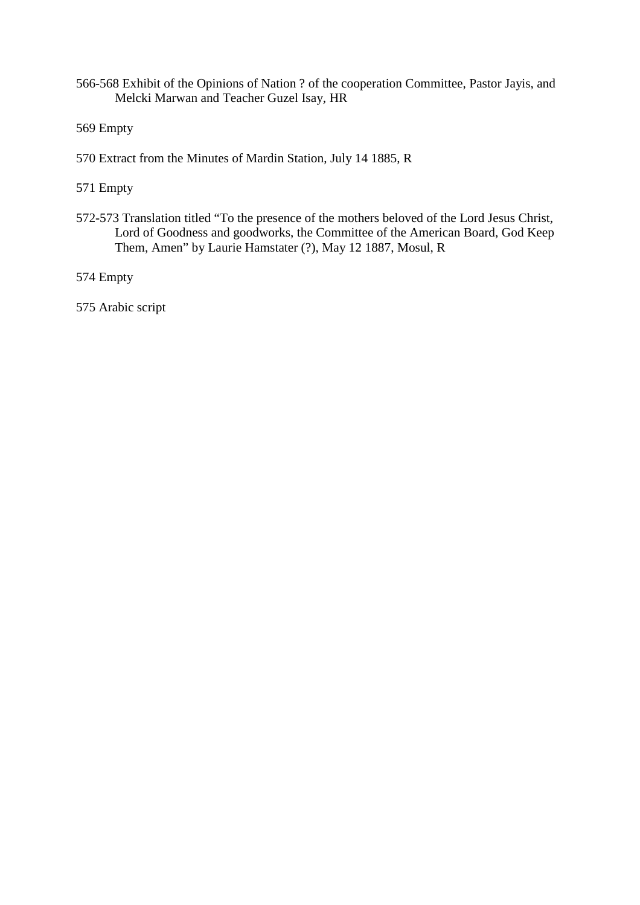- 566-568 Exhibit of the Opinions of Nation ? of the cooperation Committee, Pastor Jayis, and Melcki Marwan and Teacher Guzel Isay, HR
- 569 Empty
- 570 Extract from the Minutes of Mardin Station, July 14 1885, R
- 571 Empty
- 572-573 Translation titled "To the presence of the mothers beloved of the Lord Jesus Christ, Lord of Goodness and goodworks, the Committee of the American Board, God Keep Them, Amen" by Laurie Hamstater (?), May 12 1887, Mosul, R
- 574 Empty
- 575 Arabic script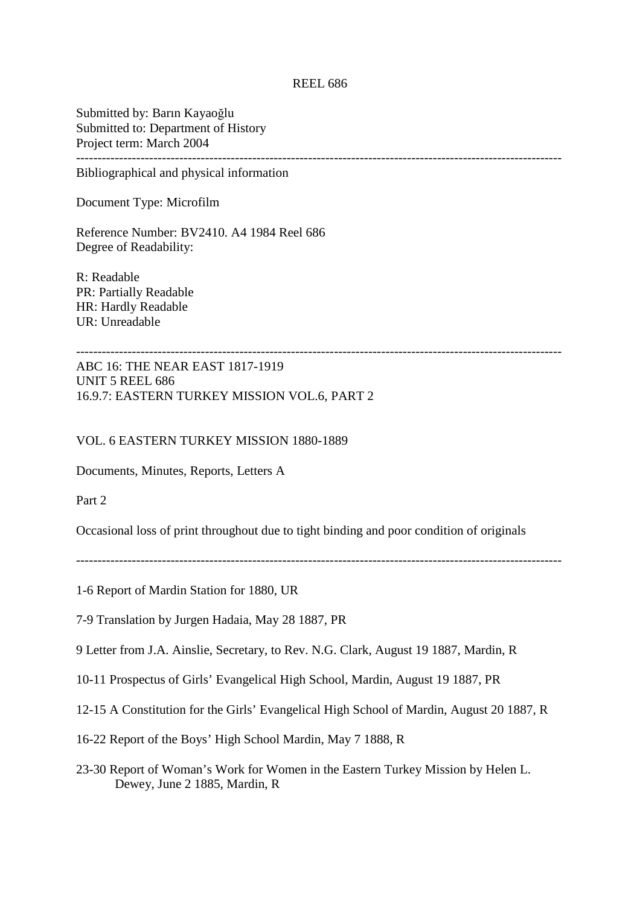#### REEL 686

Submitted by: Barın Kayaoğlu Submitted to: Department of History Project term: March 2004 -----------------------------------------------------------------------------------------------------------------

Bibliographical and physical information

Document Type: Microfilm

Reference Number: BV2410. A4 1984 Reel 686 Degree of Readability:

R: Readable PR: Partially Readable HR: Hardly Readable UR: Unreadable

-----------------------------------------------------------------------------------------------------------------

ABC 16: THE NEAR EAST 1817-1919 UNIT 5 REEL 686 16.9.7: EASTERN TURKEY MISSION VOL.6, PART 2

### VOL. 6 EASTERN TURKEY MISSION 1880-1889

Documents, Minutes, Reports, Letters A

Part 2

Occasional loss of print throughout due to tight binding and poor condition of originals

-----------------------------------------------------------------------------------------------------------------

- 1-6 Report of Mardin Station for 1880, UR
- 7-9 Translation by Jurgen Hadaia, May 28 1887, PR

9 Letter from J.A. Ainslie, Secretary, to Rev. N.G. Clark, August 19 1887, Mardin, R

- 10-11 Prospectus of Girls' Evangelical High School, Mardin, August 19 1887, PR
- 12-15 A Constitution for the Girls' Evangelical High School of Mardin, August 20 1887, R
- 16-22 Report of the Boys' High School Mardin, May 7 1888, R
- 23-30 Report of Woman's Work for Women in the Eastern Turkey Mission by Helen L. Dewey, June 2 1885, Mardin, R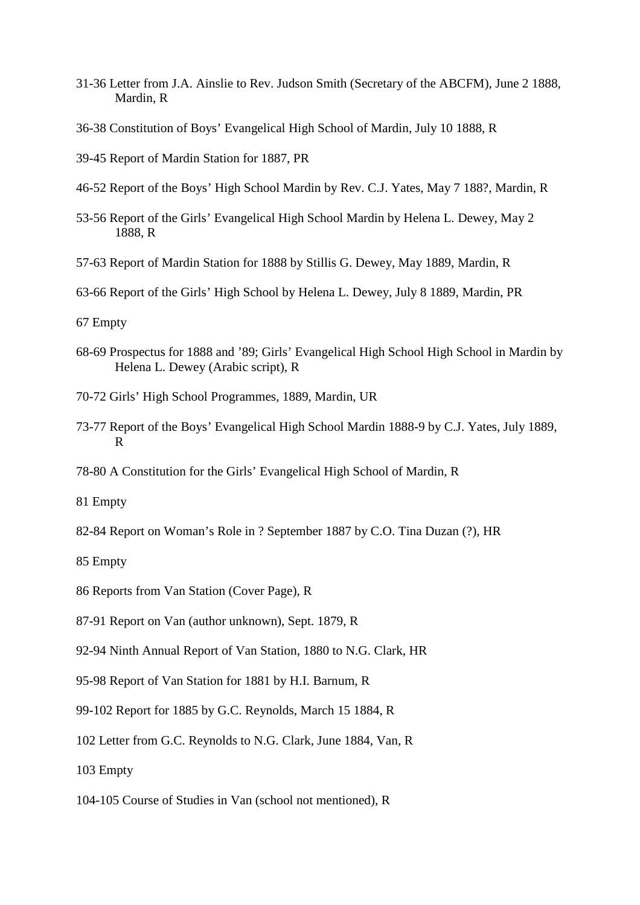- 31-36 Letter from J.A. Ainslie to Rev. Judson Smith (Secretary of the ABCFM), June 2 1888, Mardin, R
- 36-38 Constitution of Boys' Evangelical High School of Mardin, July 10 1888, R
- 39-45 Report of Mardin Station for 1887, PR
- 46-52 Report of the Boys' High School Mardin by Rev. C.J. Yates, May 7 188?, Mardin, R
- 53-56 Report of the Girls' Evangelical High School Mardin by Helena L. Dewey, May 2 1888, R
- 57-63 Report of Mardin Station for 1888 by Stillis G. Dewey, May 1889, Mardin, R
- 63-66 Report of the Girls' High School by Helena L. Dewey, July 8 1889, Mardin, PR

- 68-69 Prospectus for 1888 and '89; Girls' Evangelical High School High School in Mardin by Helena L. Dewey (Arabic script), R
- 70-72 Girls' High School Programmes, 1889, Mardin, UR
- 73-77 Report of the Boys' Evangelical High School Mardin 1888-9 by C.J. Yates, July 1889, R
- 78-80 A Constitution for the Girls' Evangelical High School of Mardin, R
- 81 Empty
- 82-84 Report on Woman's Role in ? September 1887 by C.O. Tina Duzan (?), HR
- 85 Empty
- 86 Reports from Van Station (Cover Page), R
- 87-91 Report on Van (author unknown), Sept. 1879, R
- 92-94 Ninth Annual Report of Van Station, 1880 to N.G. Clark, HR
- 95-98 Report of Van Station for 1881 by H.I. Barnum, R
- 99-102 Report for 1885 by G.C. Reynolds, March 15 1884, R
- 102 Letter from G.C. Reynolds to N.G. Clark, June 1884, Van, R
- 103 Empty
- 104-105 Course of Studies in Van (school not mentioned), R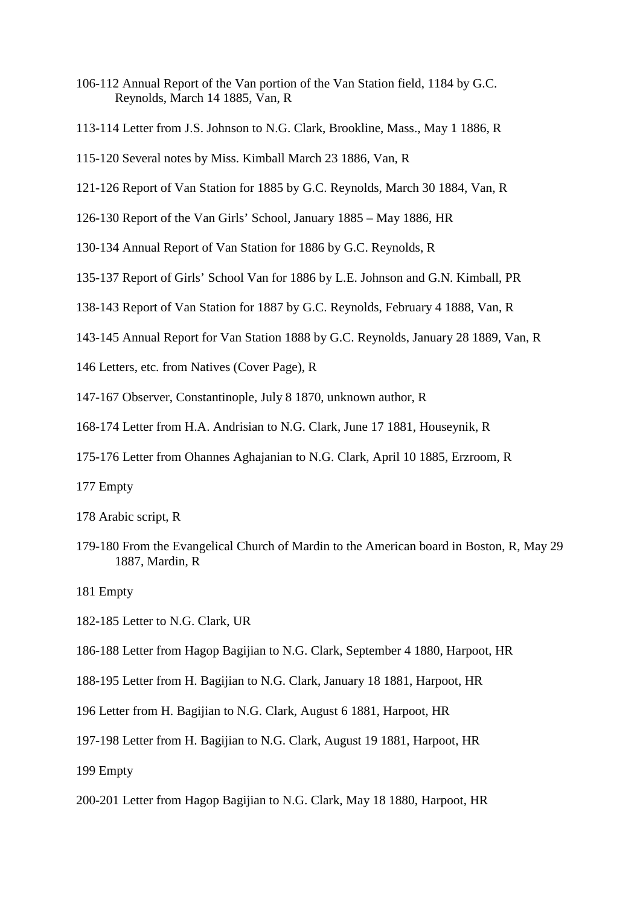- 106-112 Annual Report of the Van portion of the Van Station field, 1184 by G.C. Reynolds, March 14 1885, Van, R
- 113-114 Letter from J.S. Johnson to N.G. Clark, Brookline, Mass., May 1 1886, R
- 115-120 Several notes by Miss. Kimball March 23 1886, Van, R
- 121-126 Report of Van Station for 1885 by G.C. Reynolds, March 30 1884, Van, R
- 126-130 Report of the Van Girls' School, January 1885 May 1886, HR
- 130-134 Annual Report of Van Station for 1886 by G.C. Reynolds, R
- 135-137 Report of Girls' School Van for 1886 by L.E. Johnson and G.N. Kimball, PR
- 138-143 Report of Van Station for 1887 by G.C. Reynolds, February 4 1888, Van, R
- 143-145 Annual Report for Van Station 1888 by G.C. Reynolds, January 28 1889, Van, R
- 146 Letters, etc. from Natives (Cover Page), R
- 147-167 Observer, Constantinople, July 8 1870, unknown author, R
- 168-174 Letter from H.A. Andrisian to N.G. Clark, June 17 1881, Houseynik, R
- 175-176 Letter from Ohannes Aghajanian to N.G. Clark, April 10 1885, Erzroom, R
- 177 Empty
- 178 Arabic script, R
- 179-180 From the Evangelical Church of Mardin to the American board in Boston, R, May 29 1887, Mardin, R
- 181 Empty
- 182-185 Letter to N.G. Clark, UR
- 186-188 Letter from Hagop Bagijian to N.G. Clark, September 4 1880, Harpoot, HR
- 188-195 Letter from H. Bagijian to N.G. Clark, January 18 1881, Harpoot, HR
- 196 Letter from H. Bagijian to N.G. Clark, August 6 1881, Harpoot, HR
- 197-198 Letter from H. Bagijian to N.G. Clark, August 19 1881, Harpoot, HR
- 199 Empty
- 200-201 Letter from Hagop Bagijian to N.G. Clark, May 18 1880, Harpoot, HR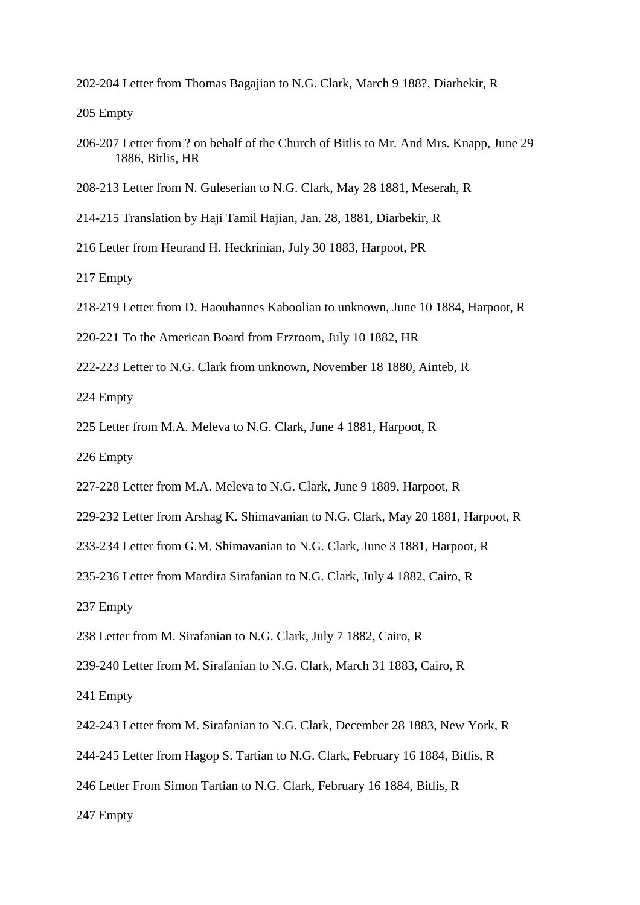202-204 Letter from Thomas Bagajian to N.G. Clark, March 9 188?, Diarbekir, R

205 Empty

- 206-207 Letter from ? on behalf of the Church of Bitlis to Mr. And Mrs. Knapp, June 29 1886, Bitlis, HR
- 208-213 Letter from N. Guleserian to N.G. Clark, May 28 1881, Meserah, R
- 214-215 Translation by Haji Tamil Hajian, Jan. 28, 1881, Diarbekir, R
- 216 Letter from Heurand H. Heckrinian, July 30 1883, Harpoot, PR

217 Empty

- 218-219 Letter from D. Haouhannes Kaboolian to unknown, June 10 1884, Harpoot, R
- 220-221 To the American Board from Erzroom, July 10 1882, HR
- 222-223 Letter to N.G. Clark from unknown, November 18 1880, Ainteb, R

224 Empty

225 Letter from M.A. Meleva to N.G. Clark, June 4 1881, Harpoot, R

226 Empty

- 227-228 Letter from M.A. Meleva to N.G. Clark, June 9 1889, Harpoot, R
- 229-232 Letter from Arshag K. Shimavanian to N.G. Clark, May 20 1881, Harpoot, R
- 233-234 Letter from G.M. Shimavanian to N.G. Clark, June 3 1881, Harpoot, R
- 235-236 Letter from Mardira Sirafanian to N.G. Clark, July 4 1882, Cairo, R

237 Empty

238 Letter from M. Sirafanian to N.G. Clark, July 7 1882, Cairo, R

239-240 Letter from M. Sirafanian to N.G. Clark, March 31 1883, Cairo, R

241 Empty

242-243 Letter from M. Sirafanian to N.G. Clark, December 28 1883, New York, R

244-245 Letter from Hagop S. Tartian to N.G. Clark, February 16 1884, Bitlis, R

246 Letter From Simon Tartian to N.G. Clark, February 16 1884, Bitlis, R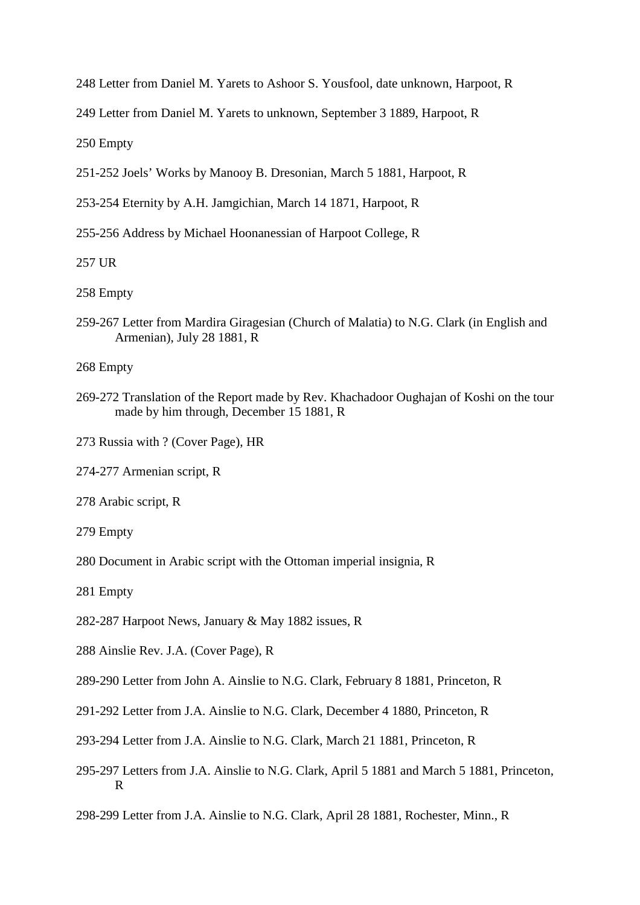248 Letter from Daniel M. Yarets to Ashoor S. Yousfool, date unknown, Harpoot, R

249 Letter from Daniel M. Yarets to unknown, September 3 1889, Harpoot, R

250 Empty

251-252 Joels' Works by Manooy B. Dresonian, March 5 1881, Harpoot, R

253-254 Eternity by A.H. Jamgichian, March 14 1871, Harpoot, R

255-256 Address by Michael Hoonanessian of Harpoot College, R

257 UR

258 Empty

259-267 Letter from Mardira Giragesian (Church of Malatia) to N.G. Clark (in English and Armenian), July 28 1881, R

268 Empty

- 269-272 Translation of the Report made by Rev. Khachadoor Oughajan of Koshi on the tour made by him through, December 15 1881, R
- 273 Russia with ? (Cover Page), HR
- 274-277 Armenian script, R

278 Arabic script, R

- 279 Empty
- 280 Document in Arabic script with the Ottoman imperial insignia, R
- 281 Empty
- 282-287 Harpoot News, January & May 1882 issues, R
- 288 Ainslie Rev. J.A. (Cover Page), R
- 289-290 Letter from John A. Ainslie to N.G. Clark, February 8 1881, Princeton, R
- 291-292 Letter from J.A. Ainslie to N.G. Clark, December 4 1880, Princeton, R
- 293-294 Letter from J.A. Ainslie to N.G. Clark, March 21 1881, Princeton, R
- 295-297 Letters from J.A. Ainslie to N.G. Clark, April 5 1881 and March 5 1881, Princeton, R

298-299 Letter from J.A. Ainslie to N.G. Clark, April 28 1881, Rochester, Minn., R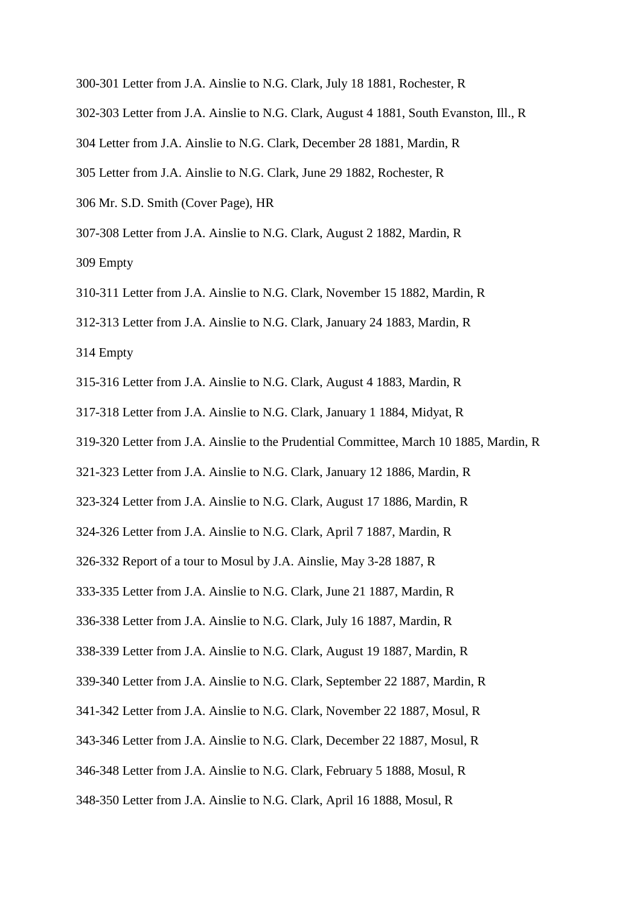300-301 Letter from J.A. Ainslie to N.G. Clark, July 18 1881, Rochester, R 302-303 Letter from J.A. Ainslie to N.G. Clark, August 4 1881, South Evanston, Ill., R 304 Letter from J.A. Ainslie to N.G. Clark, December 28 1881, Mardin, R 305 Letter from J.A. Ainslie to N.G. Clark, June 29 1882, Rochester, R 306 Mr. S.D. Smith (Cover Page), HR 307-308 Letter from J.A. Ainslie to N.G. Clark, August 2 1882, Mardin, R 309 Empty

310-311 Letter from J.A. Ainslie to N.G. Clark, November 15 1882, Mardin, R

312-313 Letter from J.A. Ainslie to N.G. Clark, January 24 1883, Mardin, R

314 Empty

- 315-316 Letter from J.A. Ainslie to N.G. Clark, August 4 1883, Mardin, R
- 317-318 Letter from J.A. Ainslie to N.G. Clark, January 1 1884, Midyat, R
- 319-320 Letter from J.A. Ainslie to the Prudential Committee, March 10 1885, Mardin, R

321-323 Letter from J.A. Ainslie to N.G. Clark, January 12 1886, Mardin, R

323-324 Letter from J.A. Ainslie to N.G. Clark, August 17 1886, Mardin, R

324-326 Letter from J.A. Ainslie to N.G. Clark, April 7 1887, Mardin, R

326-332 Report of a tour to Mosul by J.A. Ainslie, May 3-28 1887, R

333-335 Letter from J.A. Ainslie to N.G. Clark, June 21 1887, Mardin, R

336-338 Letter from J.A. Ainslie to N.G. Clark, July 16 1887, Mardin, R

338-339 Letter from J.A. Ainslie to N.G. Clark, August 19 1887, Mardin, R

339-340 Letter from J.A. Ainslie to N.G. Clark, September 22 1887, Mardin, R

341-342 Letter from J.A. Ainslie to N.G. Clark, November 22 1887, Mosul, R

343-346 Letter from J.A. Ainslie to N.G. Clark, December 22 1887, Mosul, R

346-348 Letter from J.A. Ainslie to N.G. Clark, February 5 1888, Mosul, R

348-350 Letter from J.A. Ainslie to N.G. Clark, April 16 1888, Mosul, R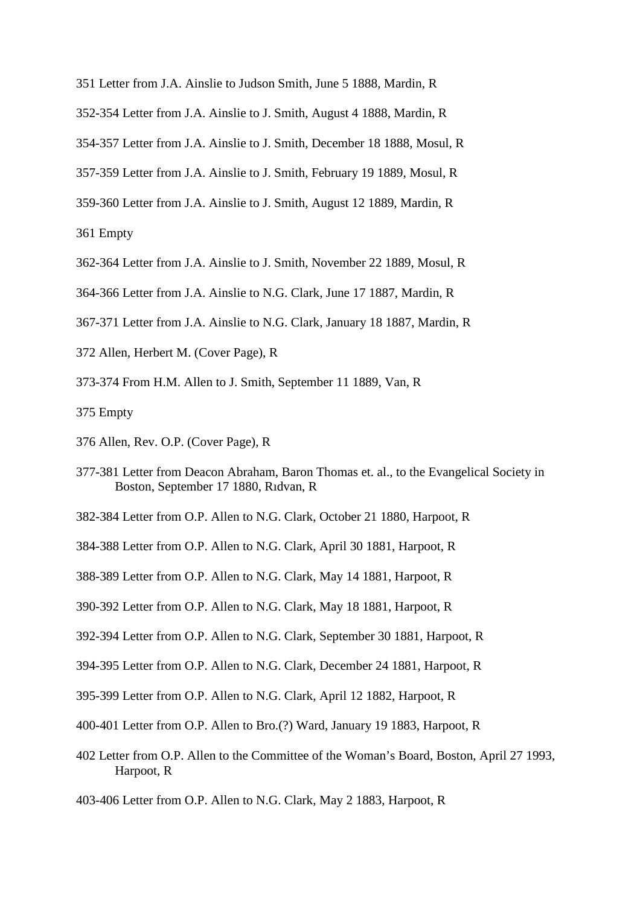- 351 Letter from J.A. Ainslie to Judson Smith, June 5 1888, Mardin, R
- 352-354 Letter from J.A. Ainslie to J. Smith, August 4 1888, Mardin, R
- 354-357 Letter from J.A. Ainslie to J. Smith, December 18 1888, Mosul, R
- 357-359 Letter from J.A. Ainslie to J. Smith, February 19 1889, Mosul, R
- 359-360 Letter from J.A. Ainslie to J. Smith, August 12 1889, Mardin, R

- 362-364 Letter from J.A. Ainslie to J. Smith, November 22 1889, Mosul, R
- 364-366 Letter from J.A. Ainslie to N.G. Clark, June 17 1887, Mardin, R
- 367-371 Letter from J.A. Ainslie to N.G. Clark, January 18 1887, Mardin, R
- 372 Allen, Herbert M. (Cover Page), R
- 373-374 From H.M. Allen to J. Smith, September 11 1889, Van, R
- 375 Empty
- 376 Allen, Rev. O.P. (Cover Page), R
- 377-381 Letter from Deacon Abraham, Baron Thomas et. al., to the Evangelical Society in Boston, September 17 1880, Rıdvan, R
- 382-384 Letter from O.P. Allen to N.G. Clark, October 21 1880, Harpoot, R
- 384-388 Letter from O.P. Allen to N.G. Clark, April 30 1881, Harpoot, R
- 388-389 Letter from O.P. Allen to N.G. Clark, May 14 1881, Harpoot, R
- 390-392 Letter from O.P. Allen to N.G. Clark, May 18 1881, Harpoot, R
- 392-394 Letter from O.P. Allen to N.G. Clark, September 30 1881, Harpoot, R
- 394-395 Letter from O.P. Allen to N.G. Clark, December 24 1881, Harpoot, R
- 395-399 Letter from O.P. Allen to N.G. Clark, April 12 1882, Harpoot, R
- 400-401 Letter from O.P. Allen to Bro.(?) Ward, January 19 1883, Harpoot, R
- 402 Letter from O.P. Allen to the Committee of the Woman's Board, Boston, April 27 1993, Harpoot, R
- 403-406 Letter from O.P. Allen to N.G. Clark, May 2 1883, Harpoot, R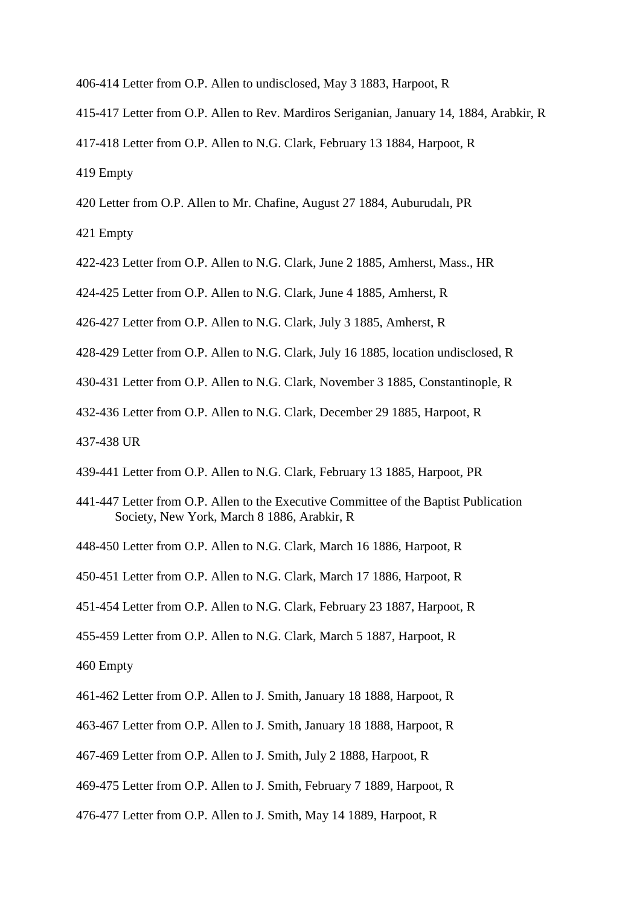- 406-414 Letter from O.P. Allen to undisclosed, May 3 1883, Harpoot, R
- 415-417 Letter from O.P. Allen to Rev. Mardiros Seriganian, January 14, 1884, Arabkir, R
- 417-418 Letter from O.P. Allen to N.G. Clark, February 13 1884, Harpoot, R
- 419 Empty
- 420 Letter from O.P. Allen to Mr. Chafine, August 27 1884, Auburudalı, PR
- 421 Empty
- 422-423 Letter from O.P. Allen to N.G. Clark, June 2 1885, Amherst, Mass., HR
- 424-425 Letter from O.P. Allen to N.G. Clark, June 4 1885, Amherst, R
- 426-427 Letter from O.P. Allen to N.G. Clark, July 3 1885, Amherst, R
- 428-429 Letter from O.P. Allen to N.G. Clark, July 16 1885, location undisclosed, R
- 430-431 Letter from O.P. Allen to N.G. Clark, November 3 1885, Constantinople, R
- 432-436 Letter from O.P. Allen to N.G. Clark, December 29 1885, Harpoot, R
- 437-438 UR
- 439-441 Letter from O.P. Allen to N.G. Clark, February 13 1885, Harpoot, PR
- 441-447 Letter from O.P. Allen to the Executive Committee of the Baptist Publication Society, New York, March 8 1886, Arabkir, R
- 448-450 Letter from O.P. Allen to N.G. Clark, March 16 1886, Harpoot, R
- 450-451 Letter from O.P. Allen to N.G. Clark, March 17 1886, Harpoot, R
- 451-454 Letter from O.P. Allen to N.G. Clark, February 23 1887, Harpoot, R
- 455-459 Letter from O.P. Allen to N.G. Clark, March 5 1887, Harpoot, R

- 461-462 Letter from O.P. Allen to J. Smith, January 18 1888, Harpoot, R
- 463-467 Letter from O.P. Allen to J. Smith, January 18 1888, Harpoot, R
- 467-469 Letter from O.P. Allen to J. Smith, July 2 1888, Harpoot, R
- 469-475 Letter from O.P. Allen to J. Smith, February 7 1889, Harpoot, R
- 476-477 Letter from O.P. Allen to J. Smith, May 14 1889, Harpoot, R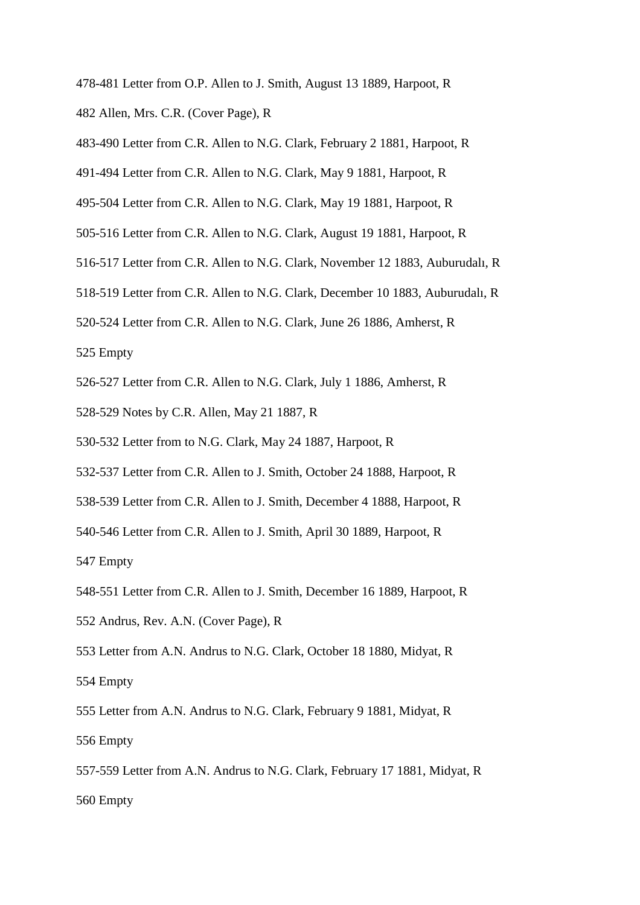- 478-481 Letter from O.P. Allen to J. Smith, August 13 1889, Harpoot, R
- 482 Allen, Mrs. C.R. (Cover Page), R
- 483-490 Letter from C.R. Allen to N.G. Clark, February 2 1881, Harpoot, R
- 491-494 Letter from C.R. Allen to N.G. Clark, May 9 1881, Harpoot, R
- 495-504 Letter from C.R. Allen to N.G. Clark, May 19 1881, Harpoot, R
- 505-516 Letter from C.R. Allen to N.G. Clark, August 19 1881, Harpoot, R
- 516-517 Letter from C.R. Allen to N.G. Clark, November 12 1883, Auburudalı, R
- 518-519 Letter from C.R. Allen to N.G. Clark, December 10 1883, Auburudalı, R
- 520-524 Letter from C.R. Allen to N.G. Clark, June 26 1886, Amherst, R

- 526-527 Letter from C.R. Allen to N.G. Clark, July 1 1886, Amherst, R
- 528-529 Notes by C.R. Allen, May 21 1887, R
- 530-532 Letter from to N.G. Clark, May 24 1887, Harpoot, R
- 532-537 Letter from C.R. Allen to J. Smith, October 24 1888, Harpoot, R
- 538-539 Letter from C.R. Allen to J. Smith, December 4 1888, Harpoot, R
- 540-546 Letter from C.R. Allen to J. Smith, April 30 1889, Harpoot, R

- 548-551 Letter from C.R. Allen to J. Smith, December 16 1889, Harpoot, R
- 552 Andrus, Rev. A.N. (Cover Page), R
- 553 Letter from A.N. Andrus to N.G. Clark, October 18 1880, Midyat, R 554 Empty
- 555 Letter from A.N. Andrus to N.G. Clark, February 9 1881, Midyat, R 556 Empty
- 557-559 Letter from A.N. Andrus to N.G. Clark, February 17 1881, Midyat, R 560 Empty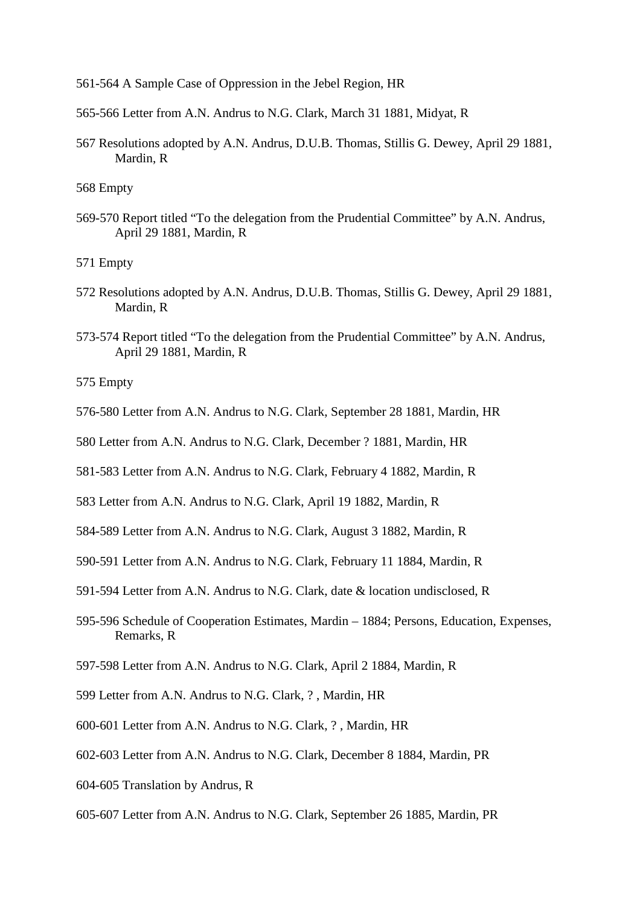561-564 A Sample Case of Oppression in the Jebel Region, HR

565-566 Letter from A.N. Andrus to N.G. Clark, March 31 1881, Midyat, R

567 Resolutions adopted by A.N. Andrus, D.U.B. Thomas, Stillis G. Dewey, April 29 1881, Mardin, R

568 Empty

569-570 Report titled "To the delegation from the Prudential Committee" by A.N. Andrus, April 29 1881, Mardin, R

571 Empty

- 572 Resolutions adopted by A.N. Andrus, D.U.B. Thomas, Stillis G. Dewey, April 29 1881, Mardin, R
- 573-574 Report titled "To the delegation from the Prudential Committee" by A.N. Andrus, April 29 1881, Mardin, R

- 576-580 Letter from A.N. Andrus to N.G. Clark, September 28 1881, Mardin, HR
- 580 Letter from A.N. Andrus to N.G. Clark, December ? 1881, Mardin, HR
- 581-583 Letter from A.N. Andrus to N.G. Clark, February 4 1882, Mardin, R
- 583 Letter from A.N. Andrus to N.G. Clark, April 19 1882, Mardin, R
- 584-589 Letter from A.N. Andrus to N.G. Clark, August 3 1882, Mardin, R
- 590-591 Letter from A.N. Andrus to N.G. Clark, February 11 1884, Mardin, R
- 591-594 Letter from A.N. Andrus to N.G. Clark, date & location undisclosed, R
- 595-596 Schedule of Cooperation Estimates, Mardin 1884; Persons, Education, Expenses, Remarks, R
- 597-598 Letter from A.N. Andrus to N.G. Clark, April 2 1884, Mardin, R
- 599 Letter from A.N. Andrus to N.G. Clark, ? , Mardin, HR
- 600-601 Letter from A.N. Andrus to N.G. Clark, ? , Mardin, HR
- 602-603 Letter from A.N. Andrus to N.G. Clark, December 8 1884, Mardin, PR
- 604-605 Translation by Andrus, R
- 605-607 Letter from A.N. Andrus to N.G. Clark, September 26 1885, Mardin, PR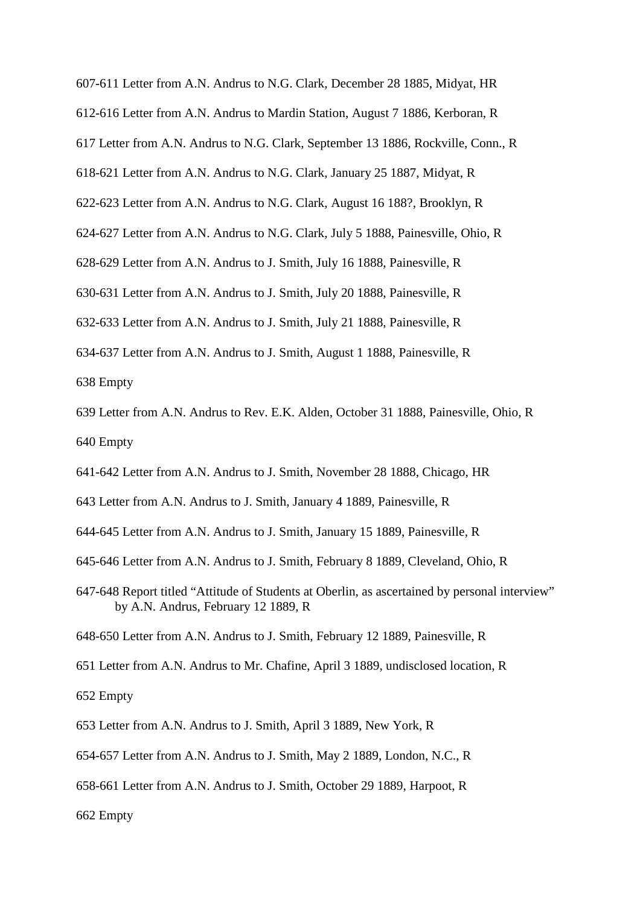- 607-611 Letter from A.N. Andrus to N.G. Clark, December 28 1885, Midyat, HR
- 612-616 Letter from A.N. Andrus to Mardin Station, August 7 1886, Kerboran, R
- 617 Letter from A.N. Andrus to N.G. Clark, September 13 1886, Rockville, Conn., R
- 618-621 Letter from A.N. Andrus to N.G. Clark, January 25 1887, Midyat, R
- 622-623 Letter from A.N. Andrus to N.G. Clark, August 16 188?, Brooklyn, R
- 624-627 Letter from A.N. Andrus to N.G. Clark, July 5 1888, Painesville, Ohio, R
- 628-629 Letter from A.N. Andrus to J. Smith, July 16 1888, Painesville, R
- 630-631 Letter from A.N. Andrus to J. Smith, July 20 1888, Painesville, R
- 632-633 Letter from A.N. Andrus to J. Smith, July 21 1888, Painesville, R
- 634-637 Letter from A.N. Andrus to J. Smith, August 1 1888, Painesville, R 638 Empty
- 639 Letter from A.N. Andrus to Rev. E.K. Alden, October 31 1888, Painesville, Ohio, R 640 Empty
- 641-642 Letter from A.N. Andrus to J. Smith, November 28 1888, Chicago, HR
- 643 Letter from A.N. Andrus to J. Smith, January 4 1889, Painesville, R
- 644-645 Letter from A.N. Andrus to J. Smith, January 15 1889, Painesville, R
- 645-646 Letter from A.N. Andrus to J. Smith, February 8 1889, Cleveland, Ohio, R
- 647-648 Report titled "Attitude of Students at Oberlin, as ascertained by personal interview" by A.N. Andrus, February 12 1889, R
- 648-650 Letter from A.N. Andrus to J. Smith, February 12 1889, Painesville, R
- 651 Letter from A.N. Andrus to Mr. Chafine, April 3 1889, undisclosed location, R
- 652 Empty
- 653 Letter from A.N. Andrus to J. Smith, April 3 1889, New York, R
- 654-657 Letter from A.N. Andrus to J. Smith, May 2 1889, London, N.C., R
- 658-661 Letter from A.N. Andrus to J. Smith, October 29 1889, Harpoot, R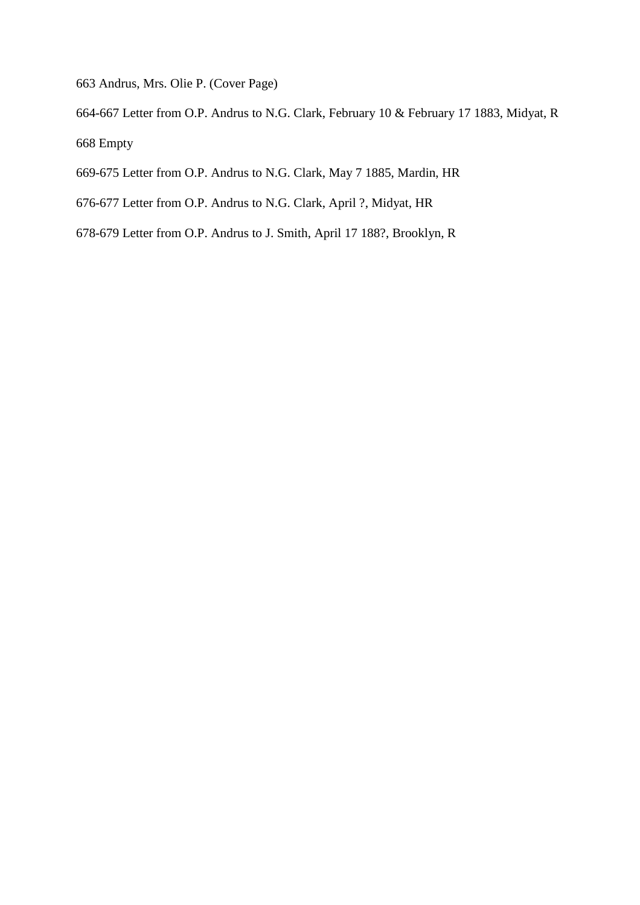663 Andrus, Mrs. Olie P. (Cover Page)

664-667 Letter from O.P. Andrus to N.G. Clark, February 10 & February 17 1883, Midyat, R 668 Empty

669-675 Letter from O.P. Andrus to N.G. Clark, May 7 1885, Mardin, HR

- 676-677 Letter from O.P. Andrus to N.G. Clark, April ?, Midyat, HR
- 678-679 Letter from O.P. Andrus to J. Smith, April 17 188?, Brooklyn, R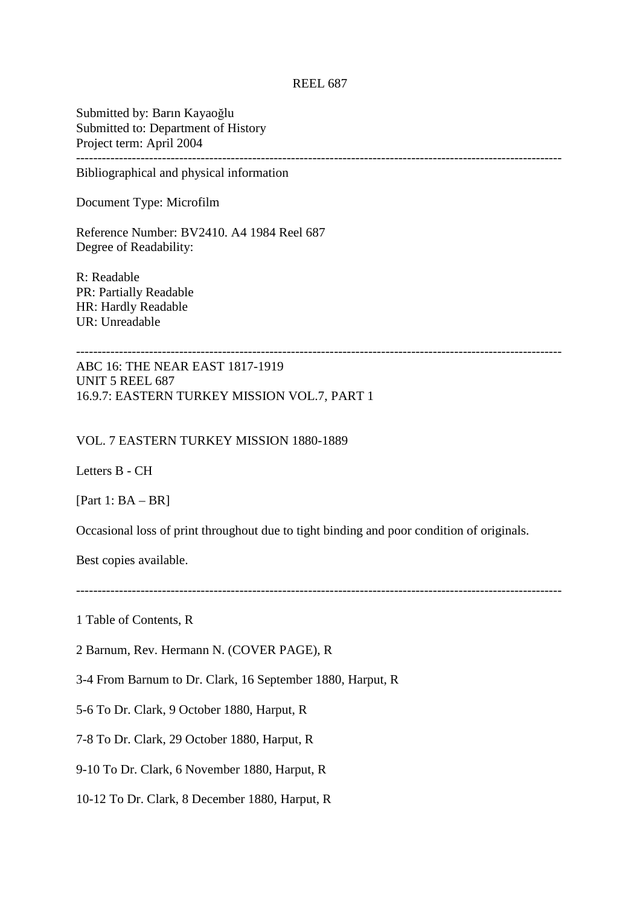## REEL 687

Submitted by: Barın Kayaoğlu Submitted to: Department of History Project term: April 2004 -----------------------------------------------------------------------------------------------------------------

Bibliographical and physical information

Document Type: Microfilm

Reference Number: BV2410. A4 1984 Reel 687 Degree of Readability:

R: Readable PR: Partially Readable HR: Hardly Readable UR: Unreadable

ABC 16: THE NEAR EAST 1817-1919 UNIT 5 REEL 687 16.9.7: EASTERN TURKEY MISSION VOL.7, PART 1

### VOL. 7 EASTERN TURKEY MISSION 1880-1889

Letters B - CH

[Part 1: BA – BR]

Occasional loss of print throughout due to tight binding and poor condition of originals.

Best copies available.

-----------------------------------------------------------------------------------------------------------------

1 Table of Contents, R

2 Barnum, Rev. Hermann N. (COVER PAGE), R

3-4 From Barnum to Dr. Clark, 16 September 1880, Harput, R

5-6 To Dr. Clark, 9 October 1880, Harput, R

7-8 To Dr. Clark, 29 October 1880, Harput, R

9-10 To Dr. Clark, 6 November 1880, Harput, R

10-12 To Dr. Clark, 8 December 1880, Harput, R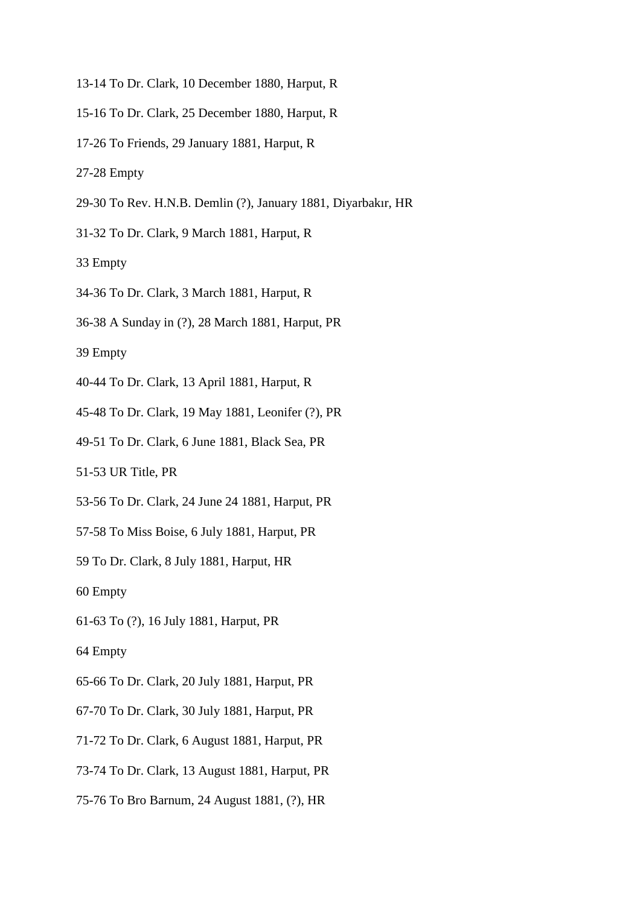- 13-14 To Dr. Clark, 10 December 1880, Harput, R
- 15-16 To Dr. Clark, 25 December 1880, Harput, R
- 17-26 To Friends, 29 January 1881, Harput, R
- 27-28 Empty
- 29-30 To Rev. H.N.B. Demlin (?), January 1881, Diyarbakır, HR
- 31-32 To Dr. Clark, 9 March 1881, Harput, R
- 33 Empty
- 34-36 To Dr. Clark, 3 March 1881, Harput, R
- 36-38 A Sunday in (?), 28 March 1881, Harput, PR
- 39 Empty
- 40-44 To Dr. Clark, 13 April 1881, Harput, R
- 45-48 To Dr. Clark, 19 May 1881, Leonifer (?), PR
- 49-51 To Dr. Clark, 6 June 1881, Black Sea, PR
- 51-53 UR Title, PR
- 53-56 To Dr. Clark, 24 June 24 1881, Harput, PR
- 57-58 To Miss Boise, 6 July 1881, Harput, PR
- 59 To Dr. Clark, 8 July 1881, Harput, HR
- 60 Empty
- 61-63 To (?), 16 July 1881, Harput, PR
- 64 Empty
- 65-66 To Dr. Clark, 20 July 1881, Harput, PR
- 67-70 To Dr. Clark, 30 July 1881, Harput, PR
- 71-72 To Dr. Clark, 6 August 1881, Harput, PR
- 73-74 To Dr. Clark, 13 August 1881, Harput, PR
- 75-76 To Bro Barnum, 24 August 1881, (?), HR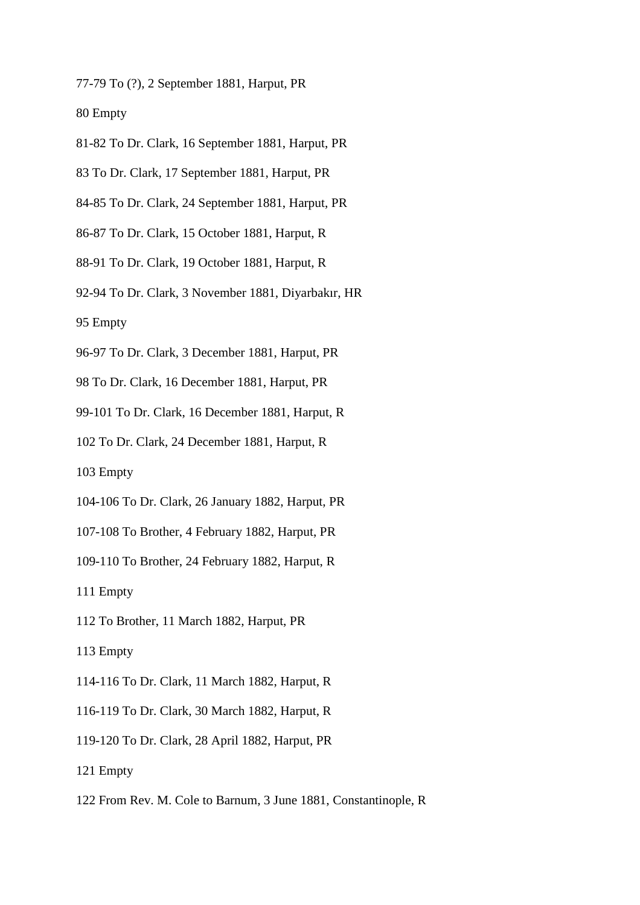77-79 To (?), 2 September 1881, Harput, PR

80 Empty

- 81-82 To Dr. Clark, 16 September 1881, Harput, PR
- 83 To Dr. Clark, 17 September 1881, Harput, PR
- 84-85 To Dr. Clark, 24 September 1881, Harput, PR
- 86-87 To Dr. Clark, 15 October 1881, Harput, R
- 88-91 To Dr. Clark, 19 October 1881, Harput, R
- 92-94 To Dr. Clark, 3 November 1881, Diyarbakır, HR

95 Empty

- 96-97 To Dr. Clark, 3 December 1881, Harput, PR
- 98 To Dr. Clark, 16 December 1881, Harput, PR
- 99-101 To Dr. Clark, 16 December 1881, Harput, R
- 102 To Dr. Clark, 24 December 1881, Harput, R

103 Empty

- 104-106 To Dr. Clark, 26 January 1882, Harput, PR
- 107-108 To Brother, 4 February 1882, Harput, PR
- 109-110 To Brother, 24 February 1882, Harput, R

111 Empty

112 To Brother, 11 March 1882, Harput, PR

- 114-116 To Dr. Clark, 11 March 1882, Harput, R
- 116-119 To Dr. Clark, 30 March 1882, Harput, R
- 119-120 To Dr. Clark, 28 April 1882, Harput, PR
- 121 Empty
- 122 From Rev. M. Cole to Barnum, 3 June 1881, Constantinople, R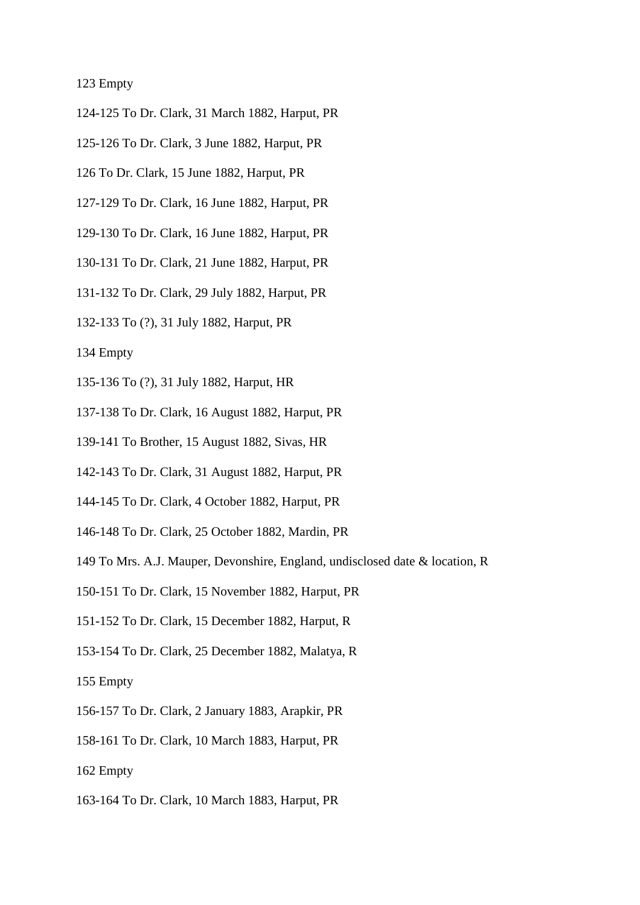- 124-125 To Dr. Clark, 31 March 1882, Harput, PR
- 125-126 To Dr. Clark, 3 June 1882, Harput, PR
- 126 To Dr. Clark, 15 June 1882, Harput, PR
- 127-129 To Dr. Clark, 16 June 1882, Harput, PR
- 129-130 To Dr. Clark, 16 June 1882, Harput, PR
- 130-131 To Dr. Clark, 21 June 1882, Harput, PR
- 131-132 To Dr. Clark, 29 July 1882, Harput, PR
- 132-133 To (?), 31 July 1882, Harput, PR

- 135-136 To (?), 31 July 1882, Harput, HR
- 137-138 To Dr. Clark, 16 August 1882, Harput, PR
- 139-141 To Brother, 15 August 1882, Sivas, HR
- 142-143 To Dr. Clark, 31 August 1882, Harput, PR
- 144-145 To Dr. Clark, 4 October 1882, Harput, PR
- 146-148 To Dr. Clark, 25 October 1882, Mardin, PR
- 149 To Mrs. A.J. Mauper, Devonshire, England, undisclosed date & location, R
- 150-151 To Dr. Clark, 15 November 1882, Harput, PR
- 151-152 To Dr. Clark, 15 December 1882, Harput, R
- 153-154 To Dr. Clark, 25 December 1882, Malatya, R
- 155 Empty
- 156-157 To Dr. Clark, 2 January 1883, Arapkir, PR
- 158-161 To Dr. Clark, 10 March 1883, Harput, PR
- 162 Empty
- 163-164 To Dr. Clark, 10 March 1883, Harput, PR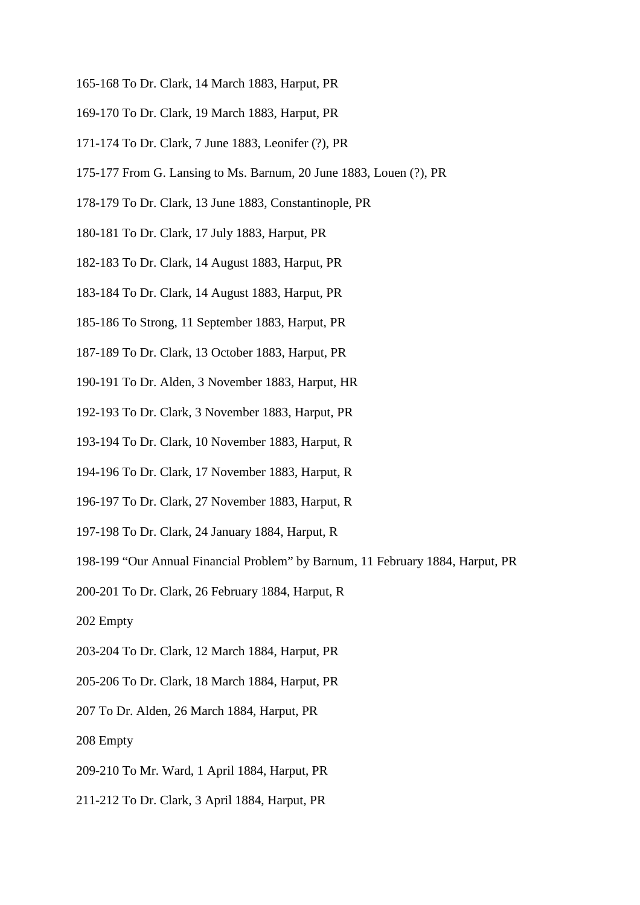- 165-168 To Dr. Clark, 14 March 1883, Harput, PR
- 169-170 To Dr. Clark, 19 March 1883, Harput, PR
- 171-174 To Dr. Clark, 7 June 1883, Leonifer (?), PR
- 175-177 From G. Lansing to Ms. Barnum, 20 June 1883, Louen (?), PR
- 178-179 To Dr. Clark, 13 June 1883, Constantinople, PR
- 180-181 To Dr. Clark, 17 July 1883, Harput, PR
- 182-183 To Dr. Clark, 14 August 1883, Harput, PR
- 183-184 To Dr. Clark, 14 August 1883, Harput, PR
- 185-186 To Strong, 11 September 1883, Harput, PR
- 187-189 To Dr. Clark, 13 October 1883, Harput, PR
- 190-191 To Dr. Alden, 3 November 1883, Harput, HR
- 192-193 To Dr. Clark, 3 November 1883, Harput, PR
- 193-194 To Dr. Clark, 10 November 1883, Harput, R
- 194-196 To Dr. Clark, 17 November 1883, Harput, R
- 196-197 To Dr. Clark, 27 November 1883, Harput, R
- 197-198 To Dr. Clark, 24 January 1884, Harput, R
- 198-199 "Our Annual Financial Problem" by Barnum, 11 February 1884, Harput, PR
- 200-201 To Dr. Clark, 26 February 1884, Harput, R
- 202 Empty
- 203-204 To Dr. Clark, 12 March 1884, Harput, PR
- 205-206 To Dr. Clark, 18 March 1884, Harput, PR
- 207 To Dr. Alden, 26 March 1884, Harput, PR
- 208 Empty
- 209-210 To Mr. Ward, 1 April 1884, Harput, PR
- 211-212 To Dr. Clark, 3 April 1884, Harput, PR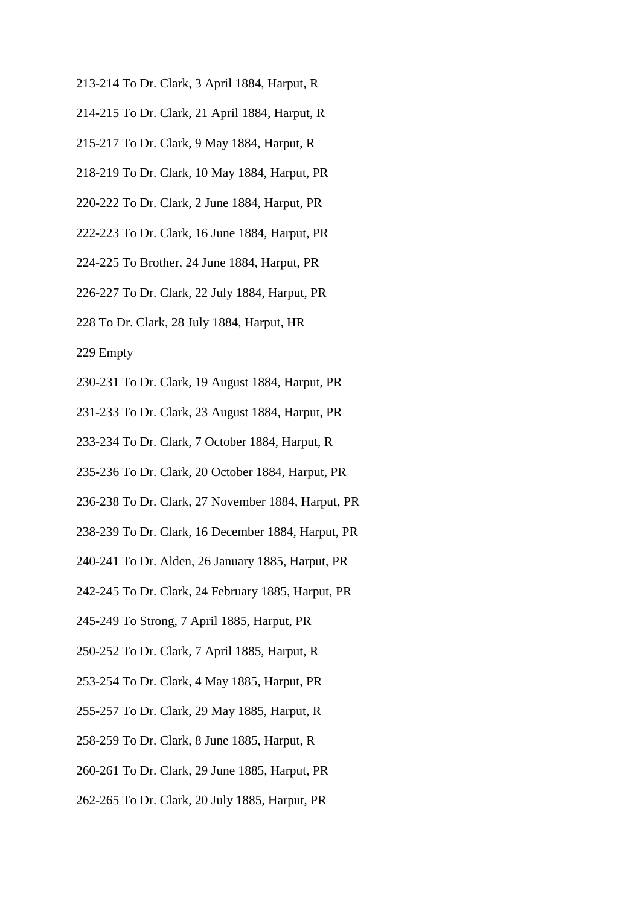- 213-214 To Dr. Clark, 3 April 1884, Harput, R
- 214-215 To Dr. Clark, 21 April 1884, Harput, R
- 215-217 To Dr. Clark, 9 May 1884, Harput, R
- 218-219 To Dr. Clark, 10 May 1884, Harput, PR
- 220-222 To Dr. Clark, 2 June 1884, Harput, PR
- 222-223 To Dr. Clark, 16 June 1884, Harput, PR
- 224-225 To Brother, 24 June 1884, Harput, PR
- 226-227 To Dr. Clark, 22 July 1884, Harput, PR
- 228 To Dr. Clark, 28 July 1884, Harput, HR
- 229 Empty
- 230-231 To Dr. Clark, 19 August 1884, Harput, PR
- 231-233 To Dr. Clark, 23 August 1884, Harput, PR
- 233-234 To Dr. Clark, 7 October 1884, Harput, R
- 235-236 To Dr. Clark, 20 October 1884, Harput, PR
- 236-238 To Dr. Clark, 27 November 1884, Harput, PR
- 238-239 To Dr. Clark, 16 December 1884, Harput, PR
- 240-241 To Dr. Alden, 26 January 1885, Harput, PR
- 242-245 To Dr. Clark, 24 February 1885, Harput, PR
- 245-249 To Strong, 7 April 1885, Harput, PR
- 250-252 To Dr. Clark, 7 April 1885, Harput, R
- 253-254 To Dr. Clark, 4 May 1885, Harput, PR
- 255-257 To Dr. Clark, 29 May 1885, Harput, R
- 258-259 To Dr. Clark, 8 June 1885, Harput, R
- 260-261 To Dr. Clark, 29 June 1885, Harput, PR
- 262-265 To Dr. Clark, 20 July 1885, Harput, PR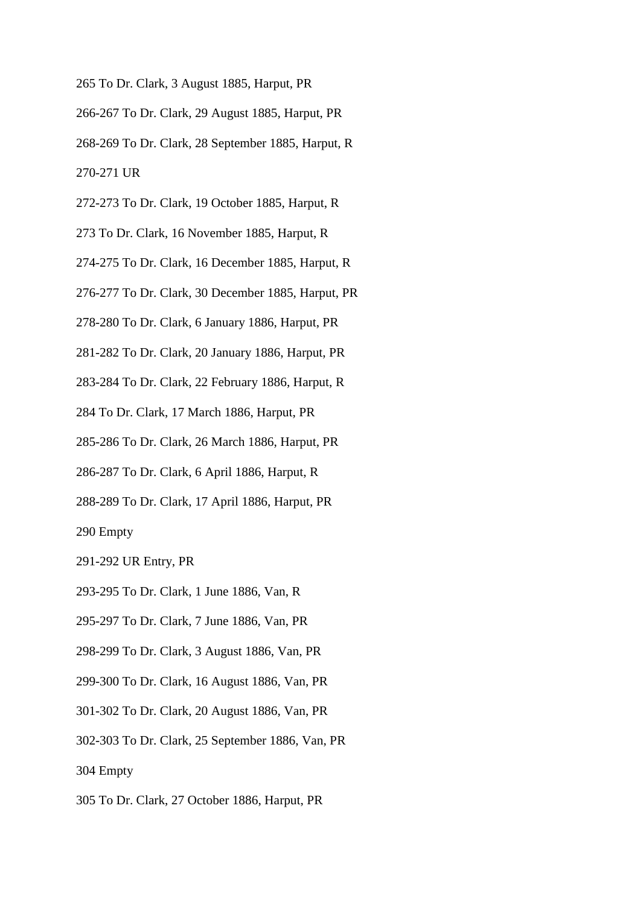- 265 To Dr. Clark, 3 August 1885, Harput, PR
- 266-267 To Dr. Clark, 29 August 1885, Harput, PR
- 268-269 To Dr. Clark, 28 September 1885, Harput, R 270-271 UR
- 272-273 To Dr. Clark, 19 October 1885, Harput, R
- 273 To Dr. Clark, 16 November 1885, Harput, R
- 274-275 To Dr. Clark, 16 December 1885, Harput, R
- 276-277 To Dr. Clark, 30 December 1885, Harput, PR
- 278-280 To Dr. Clark, 6 January 1886, Harput, PR
- 281-282 To Dr. Clark, 20 January 1886, Harput, PR
- 283-284 To Dr. Clark, 22 February 1886, Harput, R
- 284 To Dr. Clark, 17 March 1886, Harput, PR
- 285-286 To Dr. Clark, 26 March 1886, Harput, PR
- 286-287 To Dr. Clark, 6 April 1886, Harput, R
- 288-289 To Dr. Clark, 17 April 1886, Harput, PR
- 290 Empty
- 291-292 UR Entry, PR
- 293-295 To Dr. Clark, 1 June 1886, Van, R
- 295-297 To Dr. Clark, 7 June 1886, Van, PR
- 298-299 To Dr. Clark, 3 August 1886, Van, PR
- 299-300 To Dr. Clark, 16 August 1886, Van, PR
- 301-302 To Dr. Clark, 20 August 1886, Van, PR
- 302-303 To Dr. Clark, 25 September 1886, Van, PR
- 304 Empty
- 305 To Dr. Clark, 27 October 1886, Harput, PR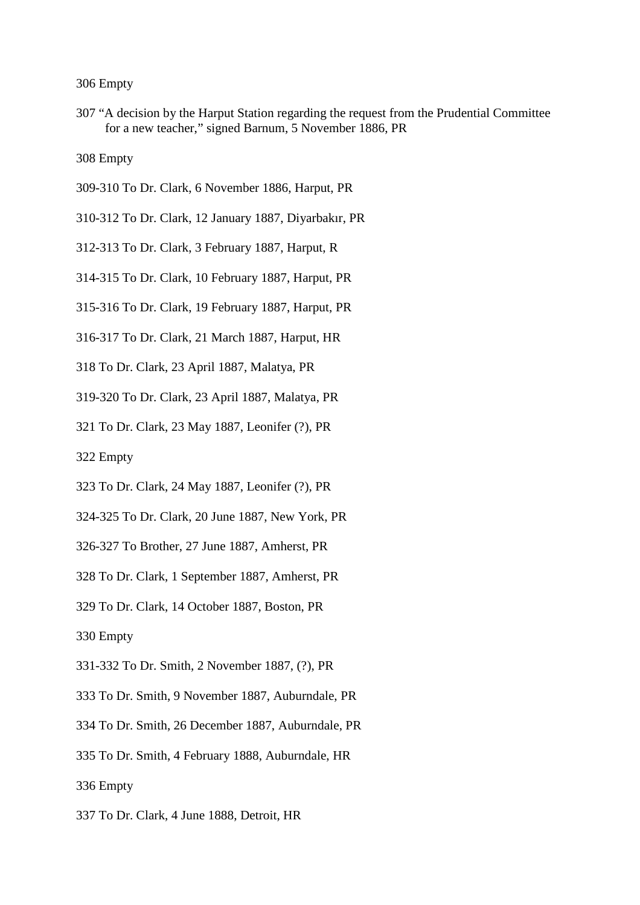307 "A decision by the Harput Station regarding the request from the Prudential Committee for a new teacher," signed Barnum, 5 November 1886, PR

- 309-310 To Dr. Clark, 6 November 1886, Harput, PR
- 310-312 To Dr. Clark, 12 January 1887, Diyarbakır, PR
- 312-313 To Dr. Clark, 3 February 1887, Harput, R
- 314-315 To Dr. Clark, 10 February 1887, Harput, PR
- 315-316 To Dr. Clark, 19 February 1887, Harput, PR
- 316-317 To Dr. Clark, 21 March 1887, Harput, HR
- 318 To Dr. Clark, 23 April 1887, Malatya, PR
- 319-320 To Dr. Clark, 23 April 1887, Malatya, PR
- 321 To Dr. Clark, 23 May 1887, Leonifer (?), PR
- 322 Empty
- 323 To Dr. Clark, 24 May 1887, Leonifer (?), PR
- 324-325 To Dr. Clark, 20 June 1887, New York, PR
- 326-327 To Brother, 27 June 1887, Amherst, PR
- 328 To Dr. Clark, 1 September 1887, Amherst, PR
- 329 To Dr. Clark, 14 October 1887, Boston, PR
- 330 Empty
- 331-332 To Dr. Smith, 2 November 1887, (?), PR
- 333 To Dr. Smith, 9 November 1887, Auburndale, PR
- 334 To Dr. Smith, 26 December 1887, Auburndale, PR
- 335 To Dr. Smith, 4 February 1888, Auburndale, HR
- 336 Empty
- 337 To Dr. Clark, 4 June 1888, Detroit, HR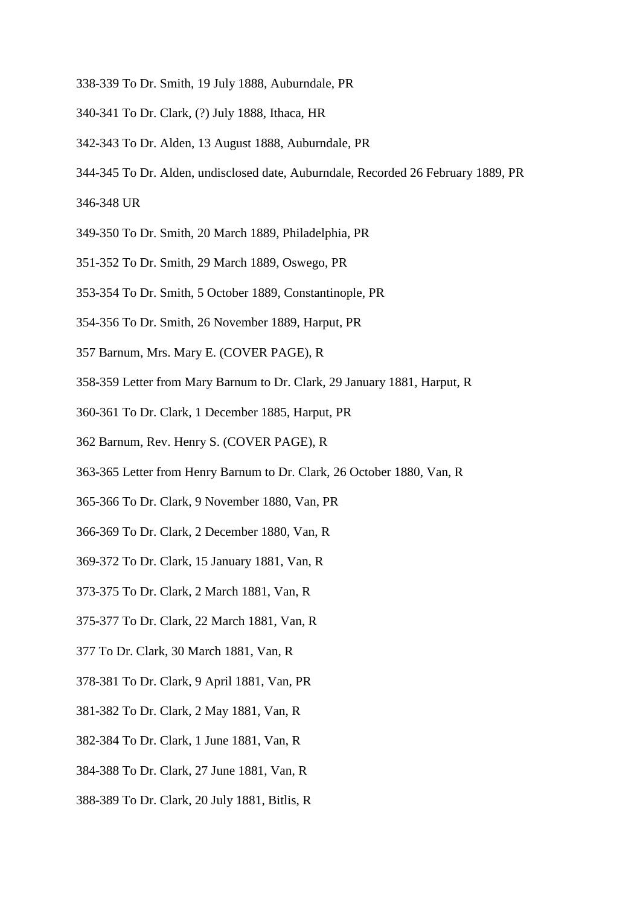- 338-339 To Dr. Smith, 19 July 1888, Auburndale, PR
- 340-341 To Dr. Clark, (?) July 1888, Ithaca, HR
- 342-343 To Dr. Alden, 13 August 1888, Auburndale, PR
- 344-345 To Dr. Alden, undisclosed date, Auburndale, Recorded 26 February 1889, PR
- 346-348 UR
- 349-350 To Dr. Smith, 20 March 1889, Philadelphia, PR
- 351-352 To Dr. Smith, 29 March 1889, Oswego, PR
- 353-354 To Dr. Smith, 5 October 1889, Constantinople, PR
- 354-356 To Dr. Smith, 26 November 1889, Harput, PR
- 357 Barnum, Mrs. Mary E. (COVER PAGE), R
- 358-359 Letter from Mary Barnum to Dr. Clark, 29 January 1881, Harput, R
- 360-361 To Dr. Clark, 1 December 1885, Harput, PR
- 362 Barnum, Rev. Henry S. (COVER PAGE), R
- 363-365 Letter from Henry Barnum to Dr. Clark, 26 October 1880, Van, R
- 365-366 To Dr. Clark, 9 November 1880, Van, PR
- 366-369 To Dr. Clark, 2 December 1880, Van, R
- 369-372 To Dr. Clark, 15 January 1881, Van, R
- 373-375 To Dr. Clark, 2 March 1881, Van, R
- 375-377 To Dr. Clark, 22 March 1881, Van, R
- 377 To Dr. Clark, 30 March 1881, Van, R
- 378-381 To Dr. Clark, 9 April 1881, Van, PR
- 381-382 To Dr. Clark, 2 May 1881, Van, R
- 382-384 To Dr. Clark, 1 June 1881, Van, R
- 384-388 To Dr. Clark, 27 June 1881, Van, R
- 388-389 To Dr. Clark, 20 July 1881, Bitlis, R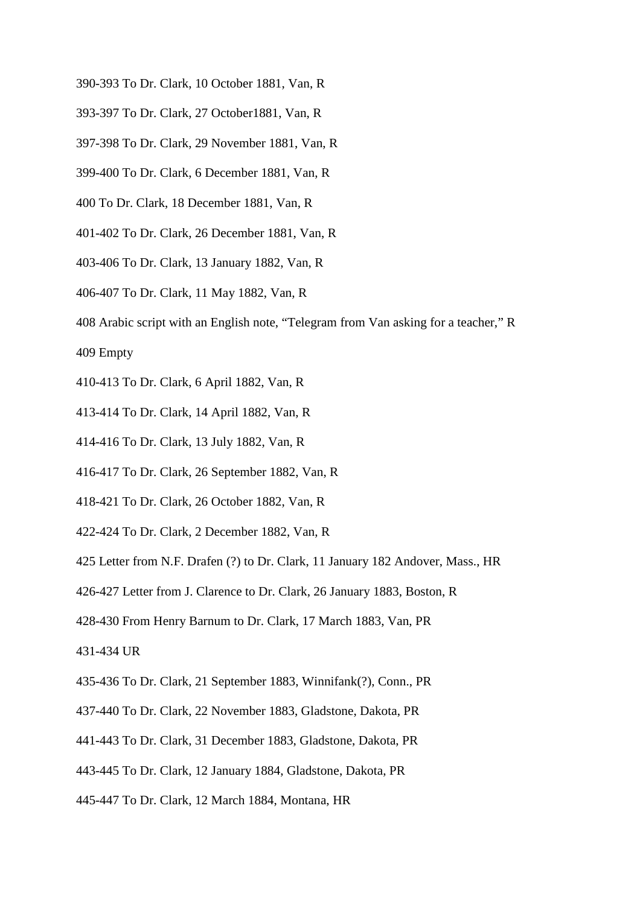- 390-393 To Dr. Clark, 10 October 1881, Van, R
- 393-397 To Dr. Clark, 27 October1881, Van, R
- 397-398 To Dr. Clark, 29 November 1881, Van, R
- 399-400 To Dr. Clark, 6 December 1881, Van, R
- 400 To Dr. Clark, 18 December 1881, Van, R
- 401-402 To Dr. Clark, 26 December 1881, Van, R
- 403-406 To Dr. Clark, 13 January 1882, Van, R
- 406-407 To Dr. Clark, 11 May 1882, Van, R
- 408 Arabic script with an English note, "Telegram from Van asking for a teacher," R

- 410-413 To Dr. Clark, 6 April 1882, Van, R
- 413-414 To Dr. Clark, 14 April 1882, Van, R
- 414-416 To Dr. Clark, 13 July 1882, Van, R
- 416-417 To Dr. Clark, 26 September 1882, Van, R
- 418-421 To Dr. Clark, 26 October 1882, Van, R
- 422-424 To Dr. Clark, 2 December 1882, Van, R
- 425 Letter from N.F. Drafen (?) to Dr. Clark, 11 January 182 Andover, Mass., HR
- 426-427 Letter from J. Clarence to Dr. Clark, 26 January 1883, Boston, R
- 428-430 From Henry Barnum to Dr. Clark, 17 March 1883, Van, PR

431-434 UR

- 435-436 To Dr. Clark, 21 September 1883, Winnifank(?), Conn., PR
- 437-440 To Dr. Clark, 22 November 1883, Gladstone, Dakota, PR
- 441-443 To Dr. Clark, 31 December 1883, Gladstone, Dakota, PR
- 443-445 To Dr. Clark, 12 January 1884, Gladstone, Dakota, PR
- 445-447 To Dr. Clark, 12 March 1884, Montana, HR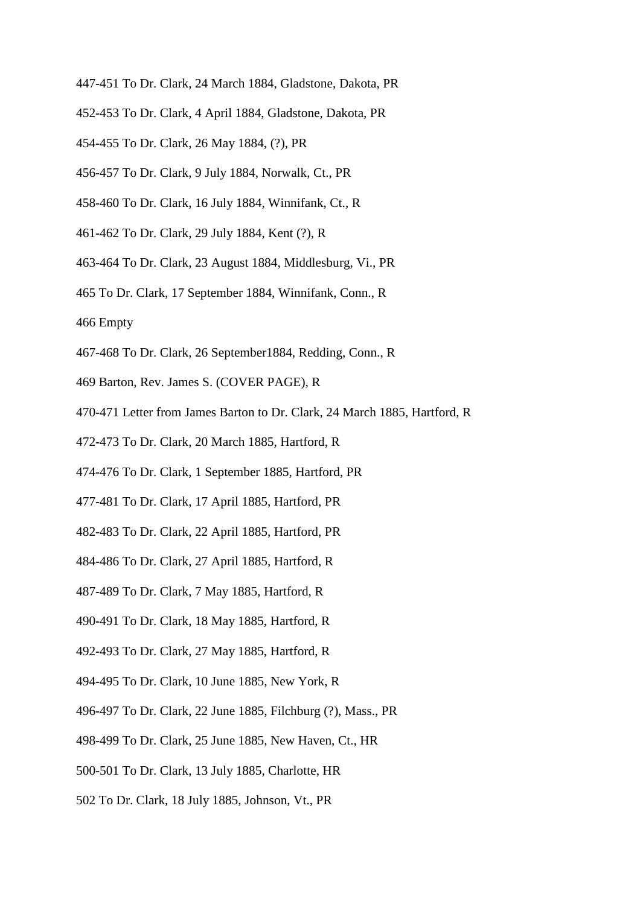- 447-451 To Dr. Clark, 24 March 1884, Gladstone, Dakota, PR
- 452-453 To Dr. Clark, 4 April 1884, Gladstone, Dakota, PR
- 454-455 To Dr. Clark, 26 May 1884, (?), PR
- 456-457 To Dr. Clark, 9 July 1884, Norwalk, Ct., PR
- 458-460 To Dr. Clark, 16 July 1884, Winnifank, Ct., R
- 461-462 To Dr. Clark, 29 July 1884, Kent (?), R
- 463-464 To Dr. Clark, 23 August 1884, Middlesburg, Vi., PR
- 465 To Dr. Clark, 17 September 1884, Winnifank, Conn., R
- 466 Empty
- 467-468 To Dr. Clark, 26 September1884, Redding, Conn., R
- 469 Barton, Rev. James S. (COVER PAGE), R
- 470-471 Letter from James Barton to Dr. Clark, 24 March 1885, Hartford, R
- 472-473 To Dr. Clark, 20 March 1885, Hartford, R
- 474-476 To Dr. Clark, 1 September 1885, Hartford, PR
- 477-481 To Dr. Clark, 17 April 1885, Hartford, PR
- 482-483 To Dr. Clark, 22 April 1885, Hartford, PR
- 484-486 To Dr. Clark, 27 April 1885, Hartford, R
- 487-489 To Dr. Clark, 7 May 1885, Hartford, R
- 490-491 To Dr. Clark, 18 May 1885, Hartford, R
- 492-493 To Dr. Clark, 27 May 1885, Hartford, R
- 494-495 To Dr. Clark, 10 June 1885, New York, R
- 496-497 To Dr. Clark, 22 June 1885, Filchburg (?), Mass., PR
- 498-499 To Dr. Clark, 25 June 1885, New Haven, Ct., HR
- 500-501 To Dr. Clark, 13 July 1885, Charlotte, HR
- 502 To Dr. Clark, 18 July 1885, Johnson, Vt., PR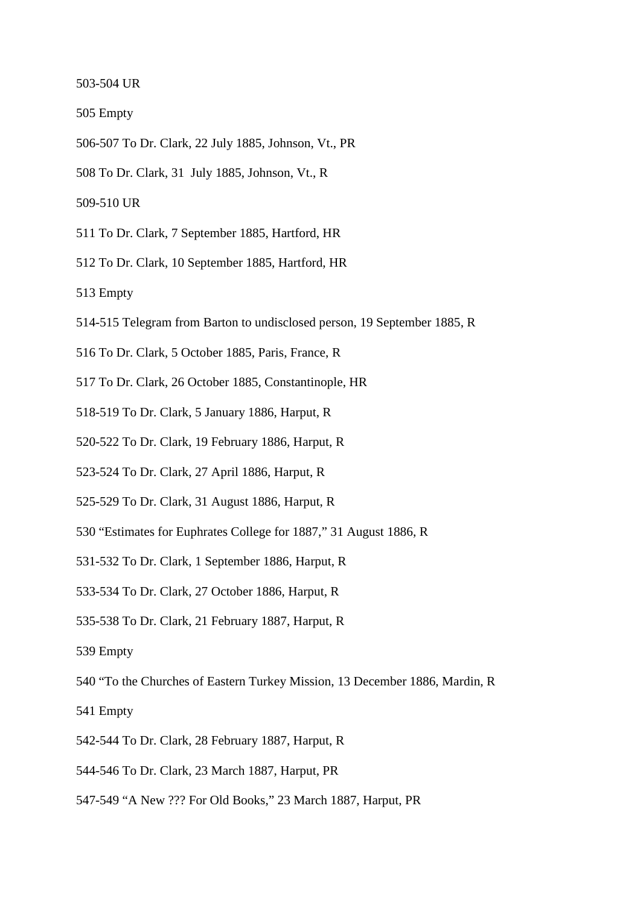503-504 UR

- 505 Empty
- 506-507 To Dr. Clark, 22 July 1885, Johnson, Vt., PR

508 To Dr. Clark, 31 July 1885, Johnson, Vt., R

509-510 UR

- 511 To Dr. Clark, 7 September 1885, Hartford, HR
- 512 To Dr. Clark, 10 September 1885, Hartford, HR

- 514-515 Telegram from Barton to undisclosed person, 19 September 1885, R
- 516 To Dr. Clark, 5 October 1885, Paris, France, R
- 517 To Dr. Clark, 26 October 1885, Constantinople, HR
- 518-519 To Dr. Clark, 5 January 1886, Harput, R
- 520-522 To Dr. Clark, 19 February 1886, Harput, R
- 523-524 To Dr. Clark, 27 April 1886, Harput, R
- 525-529 To Dr. Clark, 31 August 1886, Harput, R
- 530 "Estimates for Euphrates College for 1887," 31 August 1886, R
- 531-532 To Dr. Clark, 1 September 1886, Harput, R
- 533-534 To Dr. Clark, 27 October 1886, Harput, R
- 535-538 To Dr. Clark, 21 February 1887, Harput, R
- 539 Empty
- 540 "To the Churches of Eastern Turkey Mission, 13 December 1886, Mardin, R
- 541 Empty
- 542-544 To Dr. Clark, 28 February 1887, Harput, R
- 544-546 To Dr. Clark, 23 March 1887, Harput, PR
- 547-549 "A New ??? For Old Books," 23 March 1887, Harput, PR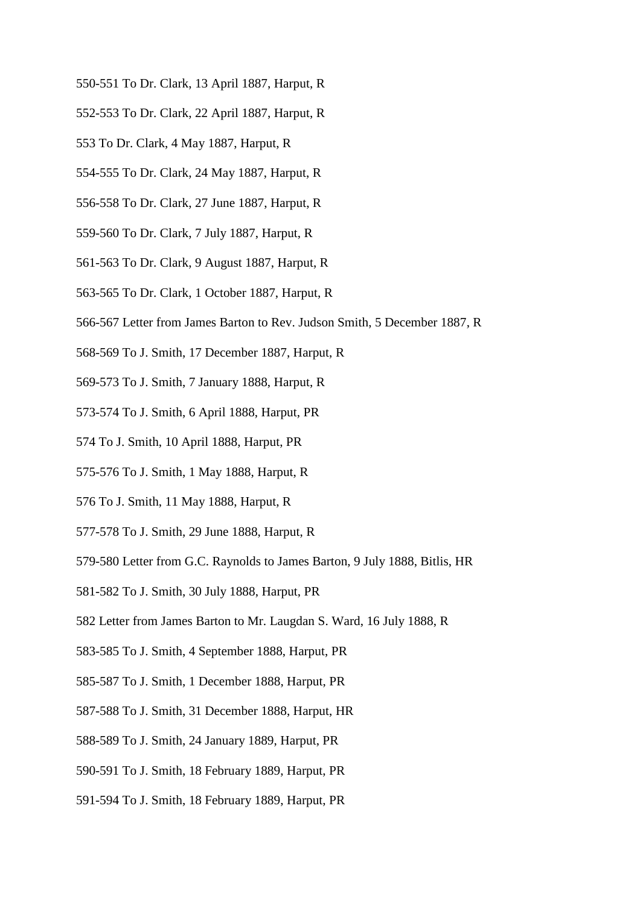- 550-551 To Dr. Clark, 13 April 1887, Harput, R
- 552-553 To Dr. Clark, 22 April 1887, Harput, R
- 553 To Dr. Clark, 4 May 1887, Harput, R
- 554-555 To Dr. Clark, 24 May 1887, Harput, R
- 556-558 To Dr. Clark, 27 June 1887, Harput, R
- 559-560 To Dr. Clark, 7 July 1887, Harput, R
- 561-563 To Dr. Clark, 9 August 1887, Harput, R
- 563-565 To Dr. Clark, 1 October 1887, Harput, R
- 566-567 Letter from James Barton to Rev. Judson Smith, 5 December 1887, R
- 568-569 To J. Smith, 17 December 1887, Harput, R
- 569-573 To J. Smith, 7 January 1888, Harput, R
- 573-574 To J. Smith, 6 April 1888, Harput, PR
- 574 To J. Smith, 10 April 1888, Harput, PR
- 575-576 To J. Smith, 1 May 1888, Harput, R
- 576 To J. Smith, 11 May 1888, Harput, R
- 577-578 To J. Smith, 29 June 1888, Harput, R
- 579-580 Letter from G.C. Raynolds to James Barton, 9 July 1888, Bitlis, HR
- 581-582 To J. Smith, 30 July 1888, Harput, PR
- 582 Letter from James Barton to Mr. Laugdan S. Ward, 16 July 1888, R
- 583-585 To J. Smith, 4 September 1888, Harput, PR
- 585-587 To J. Smith, 1 December 1888, Harput, PR
- 587-588 To J. Smith, 31 December 1888, Harput, HR
- 588-589 To J. Smith, 24 January 1889, Harput, PR
- 590-591 To J. Smith, 18 February 1889, Harput, PR
- 591-594 To J. Smith, 18 February 1889, Harput, PR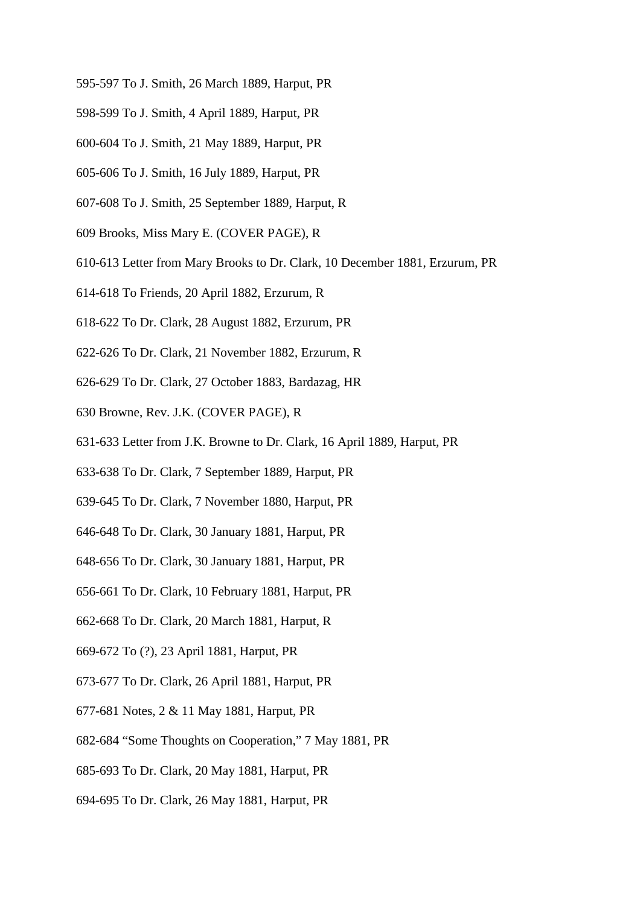- 595-597 To J. Smith, 26 March 1889, Harput, PR
- 598-599 To J. Smith, 4 April 1889, Harput, PR
- 600-604 To J. Smith, 21 May 1889, Harput, PR
- 605-606 To J. Smith, 16 July 1889, Harput, PR
- 607-608 To J. Smith, 25 September 1889, Harput, R
- 609 Brooks, Miss Mary E. (COVER PAGE), R
- 610-613 Letter from Mary Brooks to Dr. Clark, 10 December 1881, Erzurum, PR
- 614-618 To Friends, 20 April 1882, Erzurum, R
- 618-622 To Dr. Clark, 28 August 1882, Erzurum, PR
- 622-626 To Dr. Clark, 21 November 1882, Erzurum, R
- 626-629 To Dr. Clark, 27 October 1883, Bardazag, HR
- 630 Browne, Rev. J.K. (COVER PAGE), R
- 631-633 Letter from J.K. Browne to Dr. Clark, 16 April 1889, Harput, PR
- 633-638 To Dr. Clark, 7 September 1889, Harput, PR
- 639-645 To Dr. Clark, 7 November 1880, Harput, PR
- 646-648 To Dr. Clark, 30 January 1881, Harput, PR
- 648-656 To Dr. Clark, 30 January 1881, Harput, PR
- 656-661 To Dr. Clark, 10 February 1881, Harput, PR
- 662-668 To Dr. Clark, 20 March 1881, Harput, R
- 669-672 To (?), 23 April 1881, Harput, PR
- 673-677 To Dr. Clark, 26 April 1881, Harput, PR
- 677-681 Notes, 2 & 11 May 1881, Harput, PR
- 682-684 "Some Thoughts on Cooperation," 7 May 1881, PR
- 685-693 To Dr. Clark, 20 May 1881, Harput, PR
- 694-695 To Dr. Clark, 26 May 1881, Harput, PR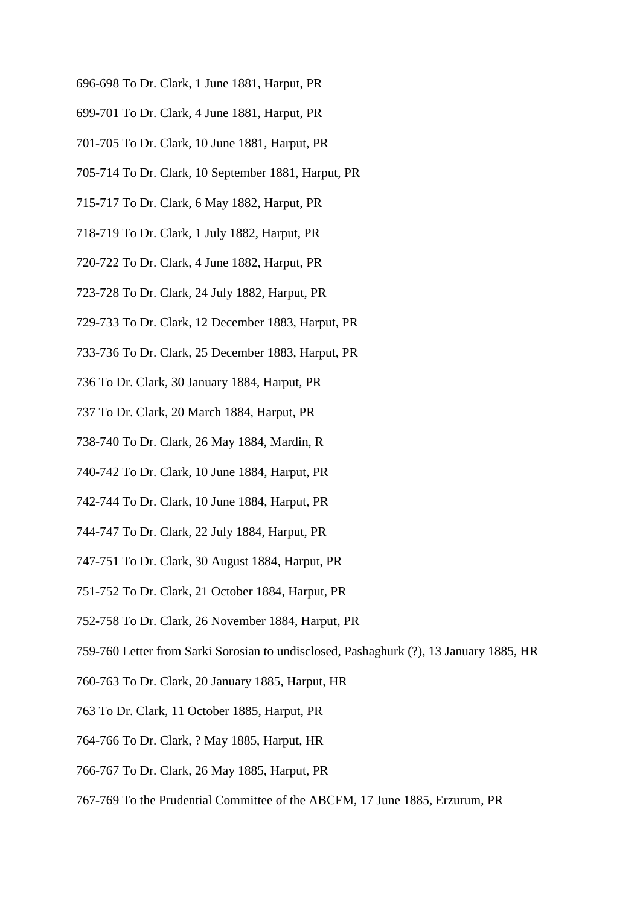- 696-698 To Dr. Clark, 1 June 1881, Harput, PR
- 699-701 To Dr. Clark, 4 June 1881, Harput, PR
- 701-705 To Dr. Clark, 10 June 1881, Harput, PR
- 705-714 To Dr. Clark, 10 September 1881, Harput, PR
- 715-717 To Dr. Clark, 6 May 1882, Harput, PR
- 718-719 To Dr. Clark, 1 July 1882, Harput, PR
- 720-722 To Dr. Clark, 4 June 1882, Harput, PR
- 723-728 To Dr. Clark, 24 July 1882, Harput, PR
- 729-733 To Dr. Clark, 12 December 1883, Harput, PR
- 733-736 To Dr. Clark, 25 December 1883, Harput, PR
- 736 To Dr. Clark, 30 January 1884, Harput, PR
- 737 To Dr. Clark, 20 March 1884, Harput, PR
- 738-740 To Dr. Clark, 26 May 1884, Mardin, R
- 740-742 To Dr. Clark, 10 June 1884, Harput, PR
- 742-744 To Dr. Clark, 10 June 1884, Harput, PR
- 744-747 To Dr. Clark, 22 July 1884, Harput, PR
- 747-751 To Dr. Clark, 30 August 1884, Harput, PR
- 751-752 To Dr. Clark, 21 October 1884, Harput, PR
- 752-758 To Dr. Clark, 26 November 1884, Harput, PR
- 759-760 Letter from Sarki Sorosian to undisclosed, Pashaghurk (?), 13 January 1885, HR
- 760-763 To Dr. Clark, 20 January 1885, Harput, HR
- 763 To Dr. Clark, 11 October 1885, Harput, PR
- 764-766 To Dr. Clark, ? May 1885, Harput, HR
- 766-767 To Dr. Clark, 26 May 1885, Harput, PR
- 767-769 To the Prudential Committee of the ABCFM, 17 June 1885, Erzurum, PR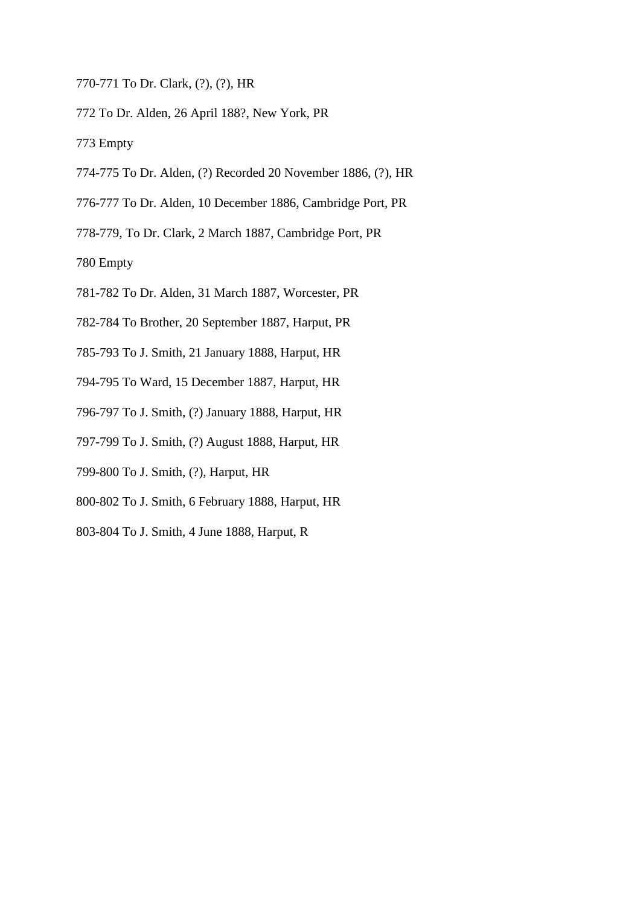- 770-771 To Dr. Clark, (?), (?), HR
- 772 To Dr. Alden, 26 April 188?, New York, PR

773 Empty

- 774-775 To Dr. Alden, (?) Recorded 20 November 1886, (?), HR
- 776-777 To Dr. Alden, 10 December 1886, Cambridge Port, PR
- 778-779, To Dr. Clark, 2 March 1887, Cambridge Port, PR

780 Empty

- 781-782 To Dr. Alden, 31 March 1887, Worcester, PR
- 782-784 To Brother, 20 September 1887, Harput, PR
- 785-793 To J. Smith, 21 January 1888, Harput, HR
- 794-795 To Ward, 15 December 1887, Harput, HR
- 796-797 To J. Smith, (?) January 1888, Harput, HR
- 797-799 To J. Smith, (?) August 1888, Harput, HR
- 799-800 To J. Smith, (?), Harput, HR
- 800-802 To J. Smith, 6 February 1888, Harput, HR
- 803-804 To J. Smith, 4 June 1888, Harput, R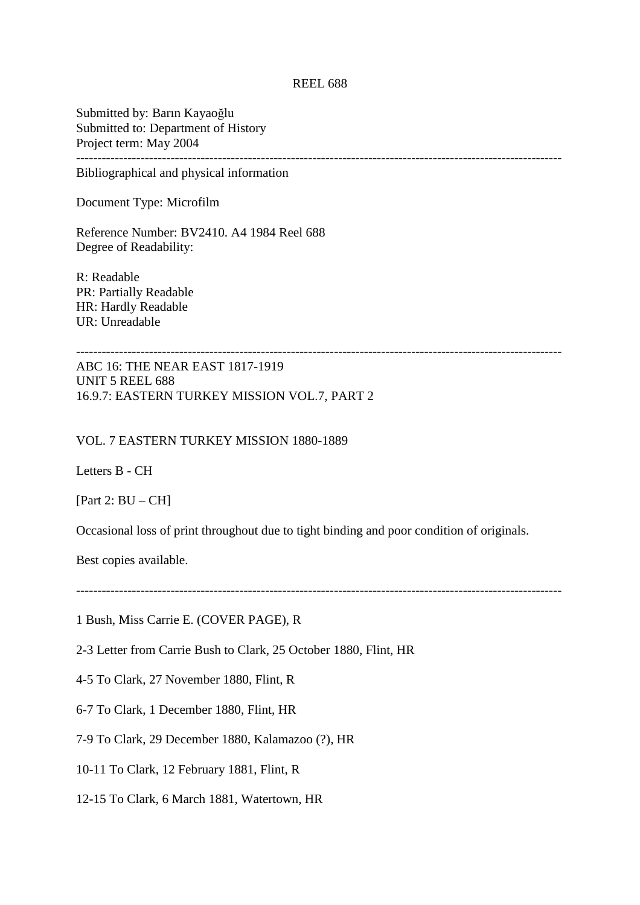## REEL 688

Submitted by: Barın Kayaoğlu Submitted to: Department of History Project term: May 2004 -----------------------------------------------------------------------------------------------------------------

Bibliographical and physical information

Document Type: Microfilm

Reference Number: BV2410. A4 1984 Reel 688 Degree of Readability:

R: Readable PR: Partially Readable HR: Hardly Readable UR: Unreadable

ABC 16: THE NEAR EAST 1817-1919 UNIT 5 REEL 688 16.9.7: EASTERN TURKEY MISSION VOL.7, PART 2

### VOL. 7 EASTERN TURKEY MISSION 1880-1889

Letters B - CH

[Part 2:  $BU - CH$ ]

Occasional loss of print throughout due to tight binding and poor condition of originals.

Best copies available.

-----------------------------------------------------------------------------------------------------------------

1 Bush, Miss Carrie E. (COVER PAGE), R

2-3 Letter from Carrie Bush to Clark, 25 October 1880, Flint, HR

4-5 To Clark, 27 November 1880, Flint, R

6-7 To Clark, 1 December 1880, Flint, HR

7-9 To Clark, 29 December 1880, Kalamazoo (?), HR

10-11 To Clark, 12 February 1881, Flint, R

12-15 To Clark, 6 March 1881, Watertown, HR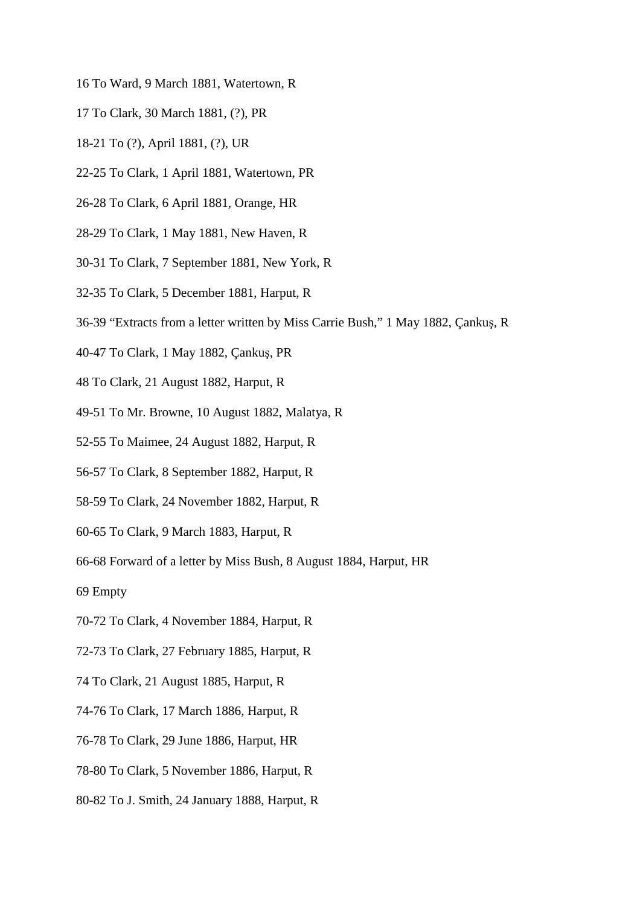- 16 To Ward, 9 March 1881, Watertown, R
- 17 To Clark, 30 March 1881, (?), PR
- 18-21 To (?), April 1881, (?), UR
- 22-25 To Clark, 1 April 1881, Watertown, PR
- 26-28 To Clark, 6 April 1881, Orange, HR
- 28-29 To Clark, 1 May 1881, New Haven, R
- 30-31 To Clark, 7 September 1881, New York, R
- 32-35 To Clark, 5 December 1881, Harput, R
- 36-39 "Extracts from a letter written by Miss Carrie Bush," 1 May 1882, Çankuş, R
- 40-47 To Clark, 1 May 1882, Çankuş, PR
- 48 To Clark, 21 August 1882, Harput, R
- 49-51 To Mr. Browne, 10 August 1882, Malatya, R
- 52-55 To Maimee, 24 August 1882, Harput, R
- 56-57 To Clark, 8 September 1882, Harput, R
- 58-59 To Clark, 24 November 1882, Harput, R
- 60-65 To Clark, 9 March 1883, Harput, R
- 66-68 Forward of a letter by Miss Bush, 8 August 1884, Harput, HR
- 69 Empty
- 70-72 To Clark, 4 November 1884, Harput, R
- 72-73 To Clark, 27 February 1885, Harput, R
- 74 To Clark, 21 August 1885, Harput, R
- 74-76 To Clark, 17 March 1886, Harput, R
- 76-78 To Clark, 29 June 1886, Harput, HR
- 78-80 To Clark, 5 November 1886, Harput, R
- 80-82 To J. Smith, 24 January 1888, Harput, R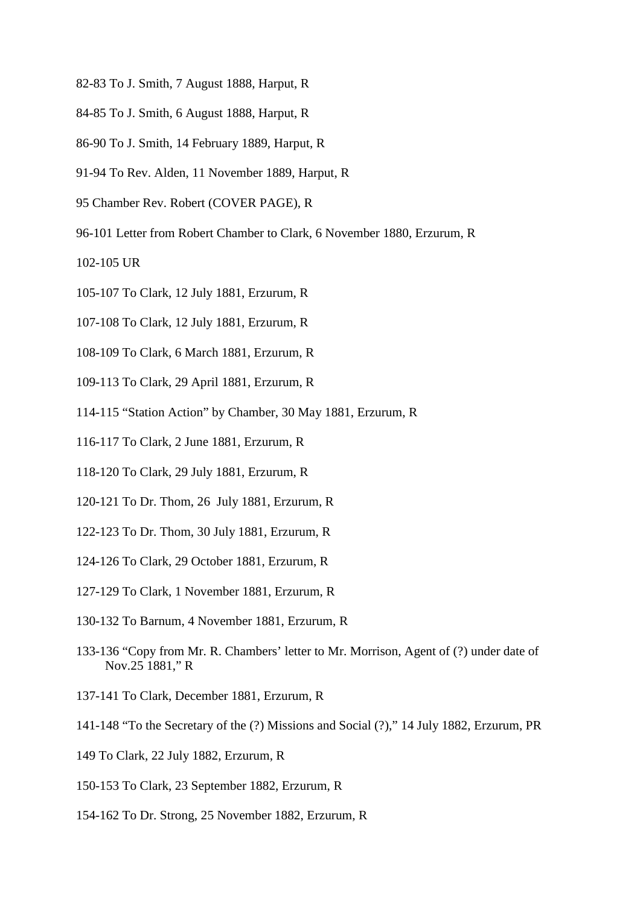- 82-83 To J. Smith, 7 August 1888, Harput, R
- 84-85 To J. Smith, 6 August 1888, Harput, R
- 86-90 To J. Smith, 14 February 1889, Harput, R
- 91-94 To Rev. Alden, 11 November 1889, Harput, R
- 95 Chamber Rev. Robert (COVER PAGE), R
- 96-101 Letter from Robert Chamber to Clark, 6 November 1880, Erzurum, R
- 102-105 UR
- 105-107 To Clark, 12 July 1881, Erzurum, R
- 107-108 To Clark, 12 July 1881, Erzurum, R
- 108-109 To Clark, 6 March 1881, Erzurum, R
- 109-113 To Clark, 29 April 1881, Erzurum, R
- 114-115 "Station Action" by Chamber, 30 May 1881, Erzurum, R
- 116-117 To Clark, 2 June 1881, Erzurum, R
- 118-120 To Clark, 29 July 1881, Erzurum, R
- 120-121 To Dr. Thom, 26 July 1881, Erzurum, R
- 122-123 To Dr. Thom, 30 July 1881, Erzurum, R
- 124-126 To Clark, 29 October 1881, Erzurum, R
- 127-129 To Clark, 1 November 1881, Erzurum, R
- 130-132 To Barnum, 4 November 1881, Erzurum, R
- 133-136 "Copy from Mr. R. Chambers' letter to Mr. Morrison, Agent of (?) under date of Nov.25 1881," R
- 137-141 To Clark, December 1881, Erzurum, R
- 141-148 "To the Secretary of the (?) Missions and Social (?)," 14 July 1882, Erzurum, PR
- 149 To Clark, 22 July 1882, Erzurum, R
- 150-153 To Clark, 23 September 1882, Erzurum, R
- 154-162 To Dr. Strong, 25 November 1882, Erzurum, R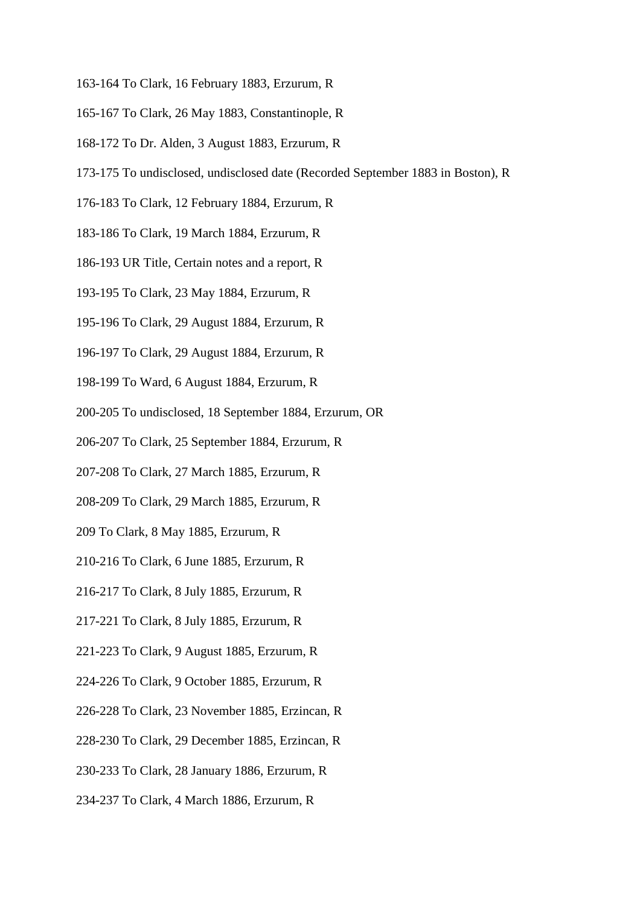- 163-164 To Clark, 16 February 1883, Erzurum, R
- 165-167 To Clark, 26 May 1883, Constantinople, R
- 168-172 To Dr. Alden, 3 August 1883, Erzurum, R
- 173-175 To undisclosed, undisclosed date (Recorded September 1883 in Boston), R
- 176-183 To Clark, 12 February 1884, Erzurum, R
- 183-186 To Clark, 19 March 1884, Erzurum, R
- 186-193 UR Title, Certain notes and a report, R
- 193-195 To Clark, 23 May 1884, Erzurum, R
- 195-196 To Clark, 29 August 1884, Erzurum, R
- 196-197 To Clark, 29 August 1884, Erzurum, R
- 198-199 To Ward, 6 August 1884, Erzurum, R
- 200-205 To undisclosed, 18 September 1884, Erzurum, OR
- 206-207 To Clark, 25 September 1884, Erzurum, R
- 207-208 To Clark, 27 March 1885, Erzurum, R
- 208-209 To Clark, 29 March 1885, Erzurum, R
- 209 To Clark, 8 May 1885, Erzurum, R
- 210-216 To Clark, 6 June 1885, Erzurum, R
- 216-217 To Clark, 8 July 1885, Erzurum, R
- 217-221 To Clark, 8 July 1885, Erzurum, R
- 221-223 To Clark, 9 August 1885, Erzurum, R
- 224-226 To Clark, 9 October 1885, Erzurum, R
- 226-228 To Clark, 23 November 1885, Erzincan, R
- 228-230 To Clark, 29 December 1885, Erzincan, R
- 230-233 To Clark, 28 January 1886, Erzurum, R
- 234-237 To Clark, 4 March 1886, Erzurum, R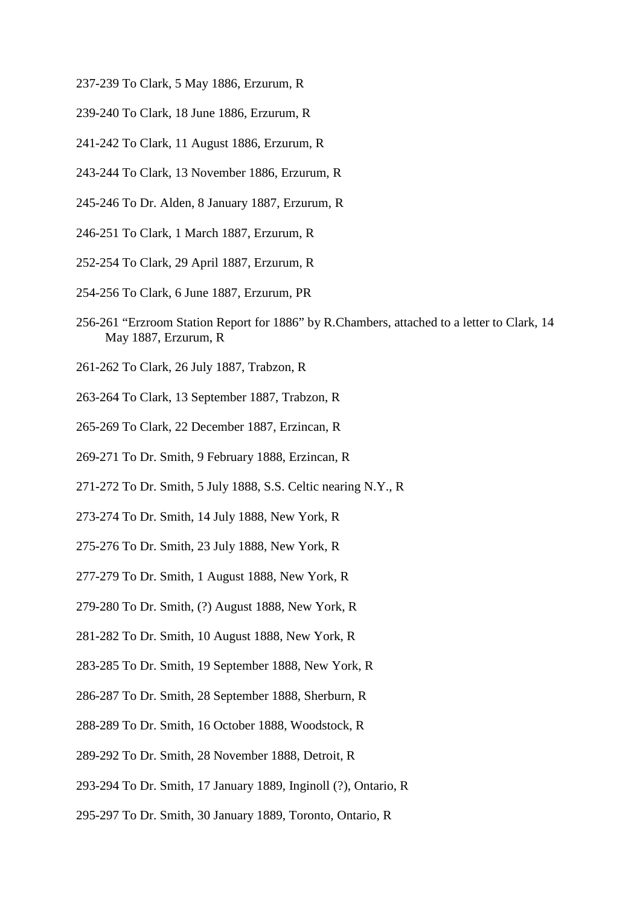- 237-239 To Clark, 5 May 1886, Erzurum, R
- 239-240 To Clark, 18 June 1886, Erzurum, R
- 241-242 To Clark, 11 August 1886, Erzurum, R
- 243-244 To Clark, 13 November 1886, Erzurum, R
- 245-246 To Dr. Alden, 8 January 1887, Erzurum, R
- 246-251 To Clark, 1 March 1887, Erzurum, R
- 252-254 To Clark, 29 April 1887, Erzurum, R
- 254-256 To Clark, 6 June 1887, Erzurum, PR
- 256-261 "Erzroom Station Report for 1886" by R.Chambers, attached to a letter to Clark, 14 May 1887, Erzurum, R
- 261-262 To Clark, 26 July 1887, Trabzon, R
- 263-264 To Clark, 13 September 1887, Trabzon, R
- 265-269 To Clark, 22 December 1887, Erzincan, R
- 269-271 To Dr. Smith, 9 February 1888, Erzincan, R
- 271-272 To Dr. Smith, 5 July 1888, S.S. Celtic nearing N.Y., R
- 273-274 To Dr. Smith, 14 July 1888, New York, R
- 275-276 To Dr. Smith, 23 July 1888, New York, R
- 277-279 To Dr. Smith, 1 August 1888, New York, R
- 279-280 To Dr. Smith, (?) August 1888, New York, R
- 281-282 To Dr. Smith, 10 August 1888, New York, R
- 283-285 To Dr. Smith, 19 September 1888, New York, R
- 286-287 To Dr. Smith, 28 September 1888, Sherburn, R
- 288-289 To Dr. Smith, 16 October 1888, Woodstock, R
- 289-292 To Dr. Smith, 28 November 1888, Detroit, R
- 293-294 To Dr. Smith, 17 January 1889, Inginoll (?), Ontario, R
- 295-297 To Dr. Smith, 30 January 1889, Toronto, Ontario, R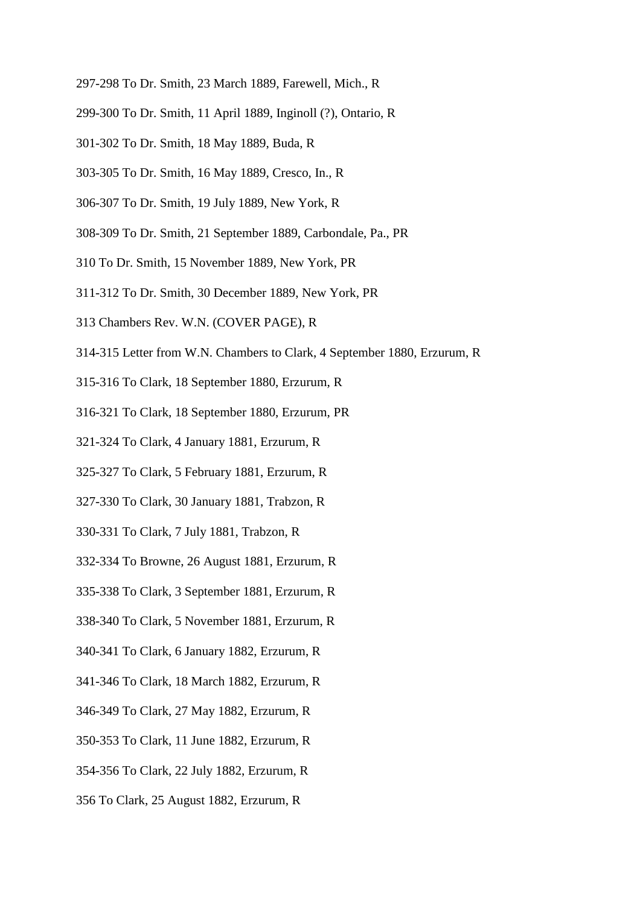- 297-298 To Dr. Smith, 23 March 1889, Farewell, Mich., R
- 299-300 To Dr. Smith, 11 April 1889, Inginoll (?), Ontario, R
- 301-302 To Dr. Smith, 18 May 1889, Buda, R
- 303-305 To Dr. Smith, 16 May 1889, Cresco, In., R
- 306-307 To Dr. Smith, 19 July 1889, New York, R
- 308-309 To Dr. Smith, 21 September 1889, Carbondale, Pa., PR
- 310 To Dr. Smith, 15 November 1889, New York, PR
- 311-312 To Dr. Smith, 30 December 1889, New York, PR
- 313 Chambers Rev. W.N. (COVER PAGE), R
- 314-315 Letter from W.N. Chambers to Clark, 4 September 1880, Erzurum, R
- 315-316 To Clark, 18 September 1880, Erzurum, R
- 316-321 To Clark, 18 September 1880, Erzurum, PR
- 321-324 To Clark, 4 January 1881, Erzurum, R
- 325-327 To Clark, 5 February 1881, Erzurum, R
- 327-330 To Clark, 30 January 1881, Trabzon, R
- 330-331 To Clark, 7 July 1881, Trabzon, R
- 332-334 To Browne, 26 August 1881, Erzurum, R
- 335-338 To Clark, 3 September 1881, Erzurum, R
- 338-340 To Clark, 5 November 1881, Erzurum, R
- 340-341 To Clark, 6 January 1882, Erzurum, R
- 341-346 To Clark, 18 March 1882, Erzurum, R
- 346-349 To Clark, 27 May 1882, Erzurum, R
- 350-353 To Clark, 11 June 1882, Erzurum, R
- 354-356 To Clark, 22 July 1882, Erzurum, R
- 356 To Clark, 25 August 1882, Erzurum, R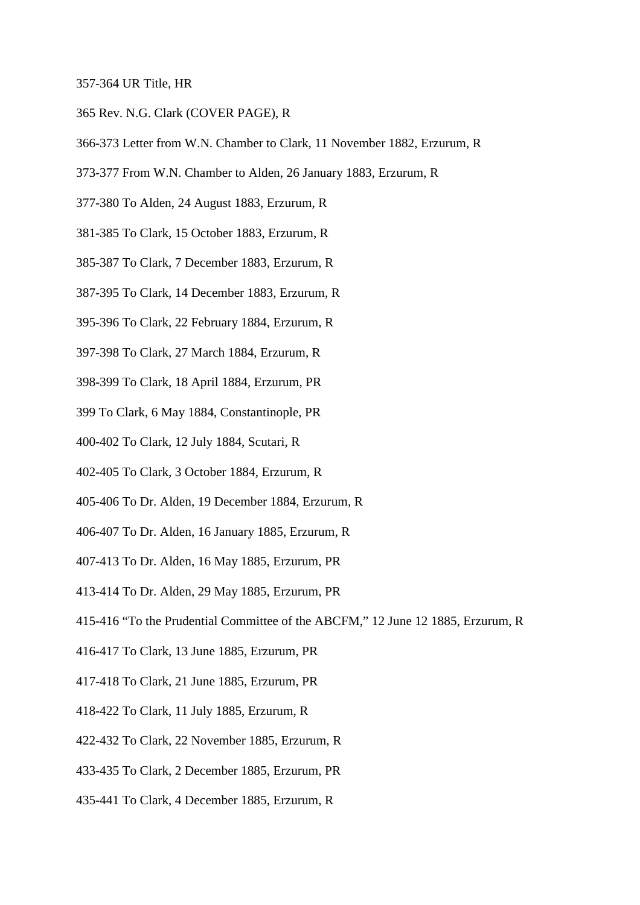#### 357-364 UR Title, HR

- 365 Rev. N.G. Clark (COVER PAGE), R
- 366-373 Letter from W.N. Chamber to Clark, 11 November 1882, Erzurum, R
- 373-377 From W.N. Chamber to Alden, 26 January 1883, Erzurum, R
- 377-380 To Alden, 24 August 1883, Erzurum, R
- 381-385 To Clark, 15 October 1883, Erzurum, R
- 385-387 To Clark, 7 December 1883, Erzurum, R
- 387-395 To Clark, 14 December 1883, Erzurum, R
- 395-396 To Clark, 22 February 1884, Erzurum, R
- 397-398 To Clark, 27 March 1884, Erzurum, R
- 398-399 To Clark, 18 April 1884, Erzurum, PR
- 399 To Clark, 6 May 1884, Constantinople, PR
- 400-402 To Clark, 12 July 1884, Scutari, R
- 402-405 To Clark, 3 October 1884, Erzurum, R
- 405-406 To Dr. Alden, 19 December 1884, Erzurum, R
- 406-407 To Dr. Alden, 16 January 1885, Erzurum, R
- 407-413 To Dr. Alden, 16 May 1885, Erzurum, PR
- 413-414 To Dr. Alden, 29 May 1885, Erzurum, PR
- 415-416 "To the Prudential Committee of the ABCFM," 12 June 12 1885, Erzurum, R
- 416-417 To Clark, 13 June 1885, Erzurum, PR
- 417-418 To Clark, 21 June 1885, Erzurum, PR
- 418-422 To Clark, 11 July 1885, Erzurum, R
- 422-432 To Clark, 22 November 1885, Erzurum, R
- 433-435 To Clark, 2 December 1885, Erzurum, PR
- 435-441 To Clark, 4 December 1885, Erzurum, R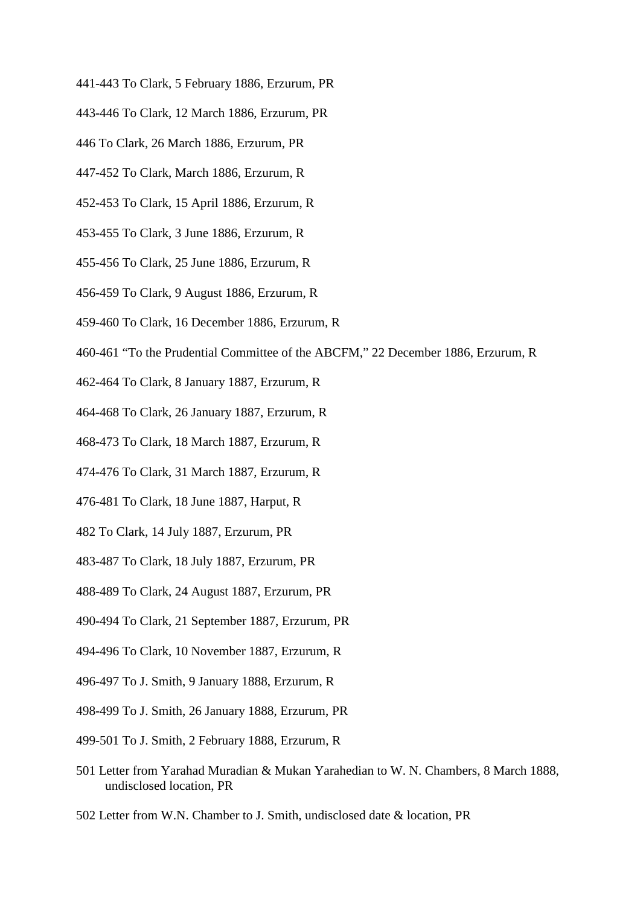- 441-443 To Clark, 5 February 1886, Erzurum, PR
- 443-446 To Clark, 12 March 1886, Erzurum, PR
- 446 To Clark, 26 March 1886, Erzurum, PR
- 447-452 To Clark, March 1886, Erzurum, R
- 452-453 To Clark, 15 April 1886, Erzurum, R
- 453-455 To Clark, 3 June 1886, Erzurum, R
- 455-456 To Clark, 25 June 1886, Erzurum, R
- 456-459 To Clark, 9 August 1886, Erzurum, R
- 459-460 To Clark, 16 December 1886, Erzurum, R
- 460-461 "To the Prudential Committee of the ABCFM," 22 December 1886, Erzurum, R
- 462-464 To Clark, 8 January 1887, Erzurum, R
- 464-468 To Clark, 26 January 1887, Erzurum, R
- 468-473 To Clark, 18 March 1887, Erzurum, R
- 474-476 To Clark, 31 March 1887, Erzurum, R
- 476-481 To Clark, 18 June 1887, Harput, R
- 482 To Clark, 14 July 1887, Erzurum, PR
- 483-487 To Clark, 18 July 1887, Erzurum, PR
- 488-489 To Clark, 24 August 1887, Erzurum, PR
- 490-494 To Clark, 21 September 1887, Erzurum, PR
- 494-496 To Clark, 10 November 1887, Erzurum, R
- 496-497 To J. Smith, 9 January 1888, Erzurum, R
- 498-499 To J. Smith, 26 January 1888, Erzurum, PR
- 499-501 To J. Smith, 2 February 1888, Erzurum, R
- 501 Letter from Yarahad Muradian & Mukan Yarahedian to W. N. Chambers, 8 March 1888, undisclosed location, PR
- 502 Letter from W.N. Chamber to J. Smith, undisclosed date & location, PR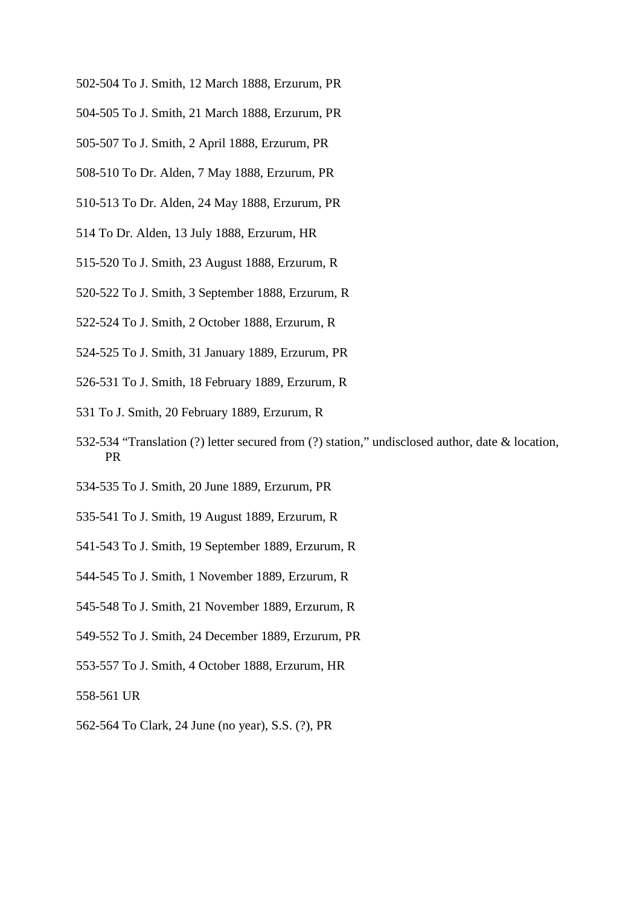- 502-504 To J. Smith, 12 March 1888, Erzurum, PR
- 504-505 To J. Smith, 21 March 1888, Erzurum, PR
- 505-507 To J. Smith, 2 April 1888, Erzurum, PR
- 508-510 To Dr. Alden, 7 May 1888, Erzurum, PR
- 510-513 To Dr. Alden, 24 May 1888, Erzurum, PR
- 514 To Dr. Alden, 13 July 1888, Erzurum, HR
- 515-520 To J. Smith, 23 August 1888, Erzurum, R
- 520-522 To J. Smith, 3 September 1888, Erzurum, R
- 522-524 To J. Smith, 2 October 1888, Erzurum, R
- 524-525 To J. Smith, 31 January 1889, Erzurum, PR
- 526-531 To J. Smith, 18 February 1889, Erzurum, R
- 531 To J. Smith, 20 February 1889, Erzurum, R
- 532-534 "Translation (?) letter secured from (?) station," undisclosed author, date & location, PR
- 534-535 To J. Smith, 20 June 1889, Erzurum, PR
- 535-541 To J. Smith, 19 August 1889, Erzurum, R
- 541-543 To J. Smith, 19 September 1889, Erzurum, R
- 544-545 To J. Smith, 1 November 1889, Erzurum, R
- 545-548 To J. Smith, 21 November 1889, Erzurum, R
- 549-552 To J. Smith, 24 December 1889, Erzurum, PR
- 553-557 To J. Smith, 4 October 1888, Erzurum, HR
- 558-561 UR
- 562-564 To Clark, 24 June (no year), S.S. (?), PR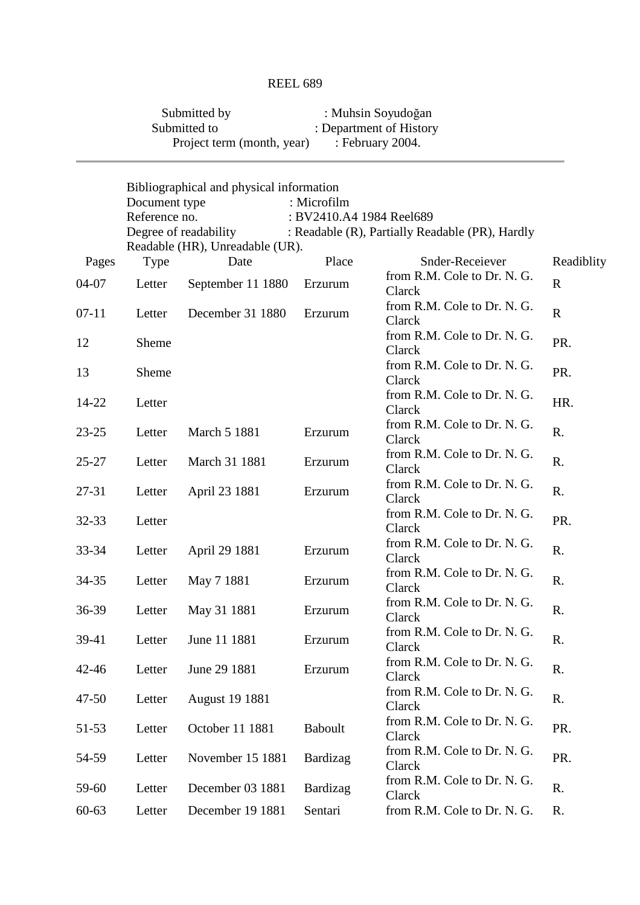| Submitted by               | : Muhsin Soyudoğan      |
|----------------------------|-------------------------|
| Submitted to               | : Department of History |
| Project term (month, year) | : February $2004$ .     |

|           |               | Bibliographical and physical information |                          |                                                 |             |
|-----------|---------------|------------------------------------------|--------------------------|-------------------------------------------------|-------------|
|           | Document type |                                          | : Microfilm              |                                                 |             |
|           | Reference no. |                                          | : BV2410.A4 1984 Reel689 |                                                 |             |
|           |               | Degree of readability                    |                          | : Readable (R), Partially Readable (PR), Hardly |             |
|           |               | Readable (HR), Unreadable (UR).          |                          |                                                 |             |
| Pages     | <b>Type</b>   | Date                                     | Place                    | Snder-Receiever                                 | Readiblity  |
| 04-07     | Letter        | September 11 1880                        | Erzurum                  | from R.M. Cole to Dr. N. G.<br>Clarck           | $\mathbf R$ |
| $07-11$   | Letter        | December 31 1880                         | Erzurum                  | from R.M. Cole to Dr. N. G.<br>Clarck           | $\mathbf R$ |
| 12        | Sheme         |                                          |                          | from R.M. Cole to Dr. N. G.<br>Clarck           | PR.         |
| 13        | Sheme         |                                          |                          | from R.M. Cole to Dr. N. G.<br>Clarck           | PR.         |
| 14-22     | Letter        |                                          |                          | from R.M. Cole to Dr. N. G.<br>Clarck           | HR.         |
| $23 - 25$ | Letter        | <b>March 5 1881</b>                      | Erzurum                  | from R.M. Cole to Dr. N. G.<br>Clarck           | R.          |
| $25 - 27$ | Letter        | March 31 1881                            | Erzurum                  | from R.M. Cole to Dr. N. G.<br>Clarck           | R.          |
| $27 - 31$ | Letter        | April 23 1881                            | Erzurum                  | from R.M. Cole to Dr. N. G.<br>Clarck           | R.          |
| 32-33     | Letter        |                                          |                          | from R.M. Cole to Dr. N. G.<br>Clarck           | PR.         |
| 33-34     | Letter        | April 29 1881                            | Erzurum                  | from R.M. Cole to Dr. N. G.<br>Clarck           | R.          |
| 34-35     | Letter        | May 7 1881                               | Erzurum                  | from R.M. Cole to Dr. N. G.<br>Clarck           | R.          |
| 36-39     | Letter        | May 31 1881                              | Erzurum                  | from R.M. Cole to Dr. N. G.<br>Clarck           | R.          |
| 39-41     | Letter        | June 11 1881                             | Erzurum                  | from R.M. Cole to Dr. N. G.<br>Clarck           | R.          |
| 42-46     | Letter        | June 29 1881                             | Erzurum                  | from R.M. Cole to Dr. N. G.<br>Clarck           | R.          |
| $47 - 50$ | Letter        | <b>August 19 1881</b>                    |                          | from R.M. Cole to Dr. N. G.<br>Clarck           | R.          |
| 51-53     | Letter        | October 11 1881                          | <b>Baboult</b>           | from R.M. Cole to Dr. N. G.<br>Clarck           | PR.         |
| 54-59     | Letter        | November 15 1881                         | Bardizag                 | from R.M. Cole to Dr. N. G.<br>Clarck           | PR.         |
| 59-60     | Letter        | December 03 1881                         | Bardizag                 | from R.M. Cole to Dr. N. G.<br>Clarck           | R.          |
| $60 - 63$ | Letter        | December 19 1881                         | Sentari                  | from R.M. Cole to Dr. N. G.                     | R.          |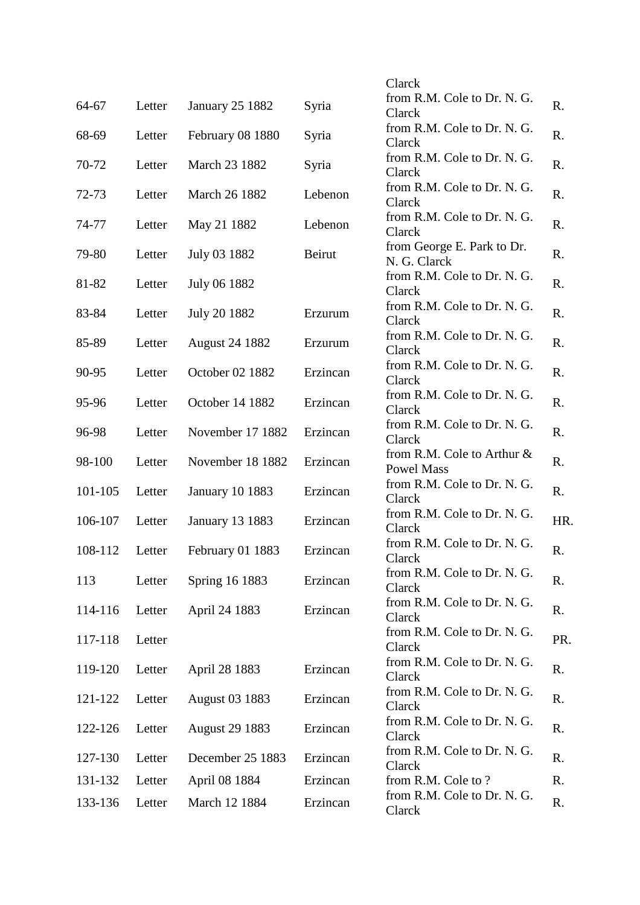|         |        |                        |          | Clarck                                             |     |
|---------|--------|------------------------|----------|----------------------------------------------------|-----|
| 64-67   | Letter | <b>January 25 1882</b> | Syria    | from R.M. Cole to Dr. N. G.                        | R.  |
|         |        |                        |          | Clarck<br>from R.M. Cole to Dr. N. G.              |     |
| 68-69   | Letter | February 08 1880       | Syria    | Clarck                                             | R.  |
| 70-72   | Letter | March 23 1882          | Syria    | from R.M. Cole to Dr. N. G.<br>Clarck              | R.  |
| 72-73   | Letter | March 26 1882          | Lebenon  | from R.M. Cole to Dr. N. G.<br>Clarck              | R.  |
| 74-77   | Letter | May 21 1882            | Lebenon  | from R.M. Cole to Dr. N. G.<br>Clarck              | R.  |
| 79-80   | Letter | July 03 1882           | Beirut   | from George E. Park to Dr.<br>N. G. Clarck         | R.  |
| 81-82   | Letter | July 06 1882           |          | from R.M. Cole to Dr. N. G.<br>Clarck              | R.  |
| 83-84   | Letter | July 20 1882           | Erzurum  | from R.M. Cole to Dr. N. G.<br>Clarck              | R.  |
| 85-89   | Letter | <b>August 24 1882</b>  | Erzurum  | from R.M. Cole to Dr. N. G.<br>Clarck              | R.  |
| 90-95   | Letter | October 02 1882        | Erzincan | from R.M. Cole to Dr. N. G.<br>Clarck              | R.  |
| 95-96   | Letter | October 14 1882        | Erzincan | from R.M. Cole to Dr. N. G.<br>Clarck              | R.  |
| 96-98   | Letter | November 17 1882       | Erzincan | from R.M. Cole to Dr. N. G.<br>Clarck              | R.  |
| 98-100  | Letter | November 18 1882       | Erzincan | from R.M. Cole to Arthur $\&$<br><b>Powel Mass</b> | R.  |
| 101-105 | Letter | <b>January 10 1883</b> | Erzincan | from R.M. Cole to Dr. N. G.<br>Clarck              | R.  |
| 106-107 | Letter | <b>January 13 1883</b> | Erzincan | from R.M. Cole to Dr. N. G.<br>Clarck              | HR. |
| 108-112 | Letter | February 01 1883       | Erzincan | from R.M. Cole to Dr. N. G.<br>Clarck              | R.  |
| 113     | Letter | Spring 16 1883         | Erzincan | from R.M. Cole to Dr. N. G.<br>Clarck              | R.  |
| 114-116 | Letter | April 24 1883          | Erzincan | from R.M. Cole to Dr. N. G.<br>Clarck              | R.  |
| 117-118 | Letter |                        |          | from R.M. Cole to Dr. N. G.<br>Clarck              | PR. |
| 119-120 | Letter | April 28 1883          | Erzincan | from R.M. Cole to Dr. N. G.<br>Clarck              | R.  |
| 121-122 | Letter | <b>August 03 1883</b>  | Erzincan | from R.M. Cole to Dr. N. G.<br>Clarck              | R.  |
| 122-126 | Letter | <b>August 29 1883</b>  | Erzincan | from R.M. Cole to Dr. N. G.<br>Clarck              | R.  |
| 127-130 | Letter | December 25 1883       | Erzincan | from R.M. Cole to Dr. N. G.<br>Clarck              | R.  |
| 131-132 | Letter | April 08 1884          | Erzincan | from R.M. Cole to?                                 | R.  |
| 133-136 | Letter | March 12 1884          | Erzincan | from R.M. Cole to Dr. N. G.<br>Clarck              | R.  |
|         |        |                        |          |                                                    |     |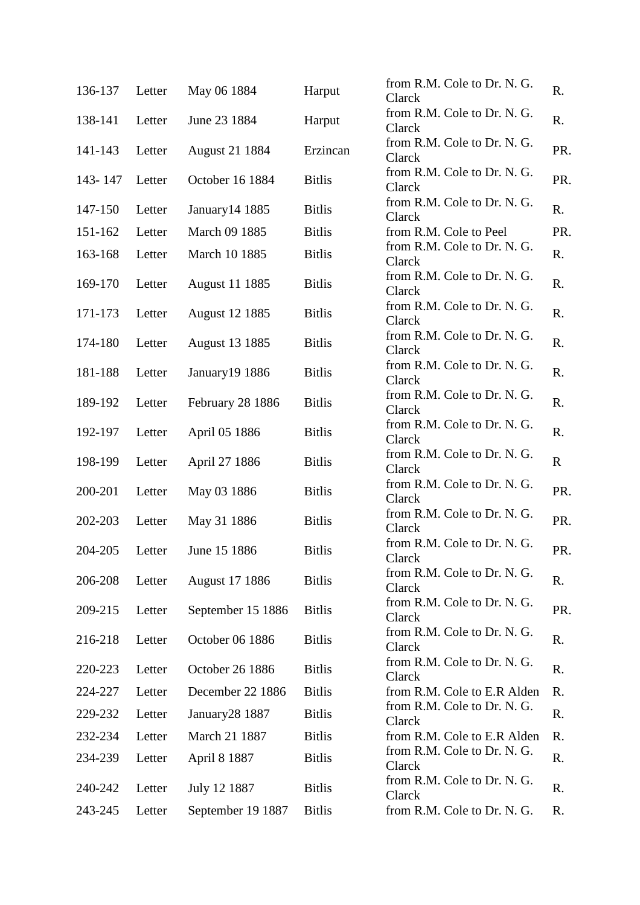| 136-137 | Letter | May 06 1884           | Harput        | from R.M. Cole to Dr. N. G.<br>Clarck | R.          |
|---------|--------|-----------------------|---------------|---------------------------------------|-------------|
| 138-141 | Letter | June 23 1884          | Harput        | from R.M. Cole to Dr. N. G.<br>Clarck | R.          |
| 141-143 | Letter | <b>August 21 1884</b> | Erzincan      | from R.M. Cole to Dr. N. G.<br>Clarck | PR.         |
| 143-147 | Letter | October 16 1884       | <b>Bitlis</b> | from R.M. Cole to Dr. N. G.<br>Clarck | PR.         |
| 147-150 | Letter | January 14 1885       | <b>Bitlis</b> | from R.M. Cole to Dr. N. G.<br>Clarck | R.          |
| 151-162 | Letter | March 09 1885         | <b>Bitlis</b> | from R.M. Cole to Peel                | PR.         |
| 163-168 | Letter | March 10 1885         | <b>Bitlis</b> | from R.M. Cole to Dr. N. G.<br>Clarck | R.          |
| 169-170 | Letter | <b>August 11 1885</b> | <b>Bitlis</b> | from R.M. Cole to Dr. N. G.<br>Clarck | R.          |
| 171-173 | Letter | <b>August 12 1885</b> | <b>Bitlis</b> | from R.M. Cole to Dr. N. G.<br>Clarck | R.          |
| 174-180 | Letter | <b>August 13 1885</b> | <b>Bitlis</b> | from R.M. Cole to Dr. N. G.<br>Clarck | R.          |
| 181-188 | Letter | January19 1886        | <b>Bitlis</b> | from R.M. Cole to Dr. N. G.<br>Clarck | R.          |
| 189-192 | Letter | February 28 1886      | <b>Bitlis</b> | from R.M. Cole to Dr. N. G.<br>Clarck | R.          |
| 192-197 | Letter | April 05 1886         | <b>Bitlis</b> | from R.M. Cole to Dr. N. G.<br>Clarck | R.          |
| 198-199 | Letter | April 27 1886         | <b>Bitlis</b> | from R.M. Cole to Dr. N. G.<br>Clarck | $\mathbf R$ |
| 200-201 | Letter | May 03 1886           | <b>Bitlis</b> | from R.M. Cole to Dr. N. G.<br>Clarck | PR.         |
| 202-203 | Letter | May 31 1886           | <b>Bitlis</b> | from R.M. Cole to Dr. N. G.<br>Clarck | PR.         |
| 204-205 | Letter | June 15 1886          | <b>Bitlis</b> | from R.M. Cole to Dr. N. G.<br>Clarck | PR.         |
| 206-208 | Letter | <b>August 17 1886</b> | <b>Bitlis</b> | from R.M. Cole to Dr. N. G.<br>Clarck | R.          |
| 209-215 | Letter | September 15 1886     | <b>Bitlis</b> | from R.M. Cole to Dr. N. G.<br>Clarck | PR.         |
| 216-218 | Letter | October 06 1886       | <b>Bitlis</b> | from R.M. Cole to Dr. N. G.<br>Clarck | R.          |
| 220-223 | Letter | October 26 1886       | <b>Bitlis</b> | from R.M. Cole to Dr. N. G.<br>Clarck | R.          |
| 224-227 | Letter | December 22 1886      | <b>Bitlis</b> | from R.M. Cole to E.R Alden           | R.          |
| 229-232 | Letter | January28 1887        | <b>Bitlis</b> | from R.M. Cole to Dr. N. G.<br>Clarck | R.          |
| 232-234 | Letter | March 21 1887         | <b>Bitlis</b> | from R.M. Cole to E.R Alden           | R.          |
| 234-239 | Letter | April 8 1887          | <b>Bitlis</b> | from R.M. Cole to Dr. N. G.<br>Clarck | R.          |
| 240-242 | Letter | July 12 1887          | <b>Bitlis</b> | from R.M. Cole to Dr. N. G.<br>Clarck | R.          |
| 243-245 | Letter | September 19 1887     | <b>Bitlis</b> | from R.M. Cole to Dr. N. G.           | R.          |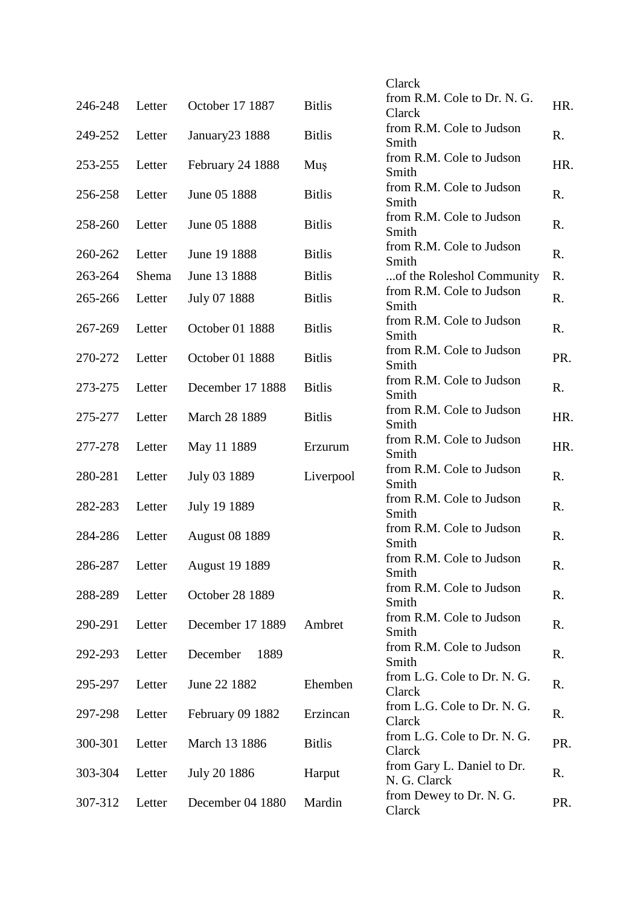|         |        |                       |               | Clarck                                     |     |
|---------|--------|-----------------------|---------------|--------------------------------------------|-----|
| 246-248 | Letter | October 17 1887       | <b>Bitlis</b> | from R.M. Cole to Dr. N. G.<br>Clarck      | HR. |
| 249-252 | Letter | January23 1888        | <b>Bitlis</b> | from R.M. Cole to Judson<br>Smith          | R.  |
| 253-255 | Letter | February 24 1888      | Muş           | from R.M. Cole to Judson<br>Smith          | HR. |
| 256-258 | Letter | June 05 1888          | <b>Bitlis</b> | from R.M. Cole to Judson<br>Smith          | R.  |
| 258-260 | Letter | June 05 1888          | <b>Bitlis</b> | from R.M. Cole to Judson<br>Smith          | R.  |
| 260-262 | Letter | June 19 1888          | <b>Bitlis</b> | from R.M. Cole to Judson<br>Smith          | R.  |
| 263-264 | Shema  | June 13 1888          | <b>Bitlis</b> | of the Roleshol Community                  | R.  |
| 265-266 | Letter | July 07 1888          | <b>Bitlis</b> | from R.M. Cole to Judson<br>Smith          | R.  |
| 267-269 | Letter | October 01 1888       | <b>Bitlis</b> | from R.M. Cole to Judson<br>Smith          | R.  |
| 270-272 | Letter | October 01 1888       | <b>Bitlis</b> | from R.M. Cole to Judson<br>Smith          | PR. |
| 273-275 | Letter | December 17 1888      | <b>Bitlis</b> | from R.M. Cole to Judson<br>Smith          | R.  |
| 275-277 | Letter | March 28 1889         | <b>Bitlis</b> | from R.M. Cole to Judson<br>Smith          | HR. |
| 277-278 | Letter | May 11 1889           | Erzurum       | from R.M. Cole to Judson<br>Smith          | HR. |
| 280-281 | Letter | July 03 1889          | Liverpool     | from R.M. Cole to Judson<br>Smith          | R.  |
| 282-283 | Letter | July 19 1889          |               | from R.M. Cole to Judson<br>Smith          | R.  |
| 284-286 | Letter | <b>August 08 1889</b> |               | from R.M. Cole to Judson<br>Smith          | R.  |
| 286-287 | Letter | <b>August 19 1889</b> |               | from R.M. Cole to Judson<br>Smith          | R.  |
| 288-289 | Letter | October 28 1889       |               | from R.M. Cole to Judson<br>Smith          | R.  |
| 290-291 | Letter | December 17 1889      | Ambret        | from R.M. Cole to Judson<br>Smith          | R.  |
| 292-293 | Letter | December<br>1889      |               | from R.M. Cole to Judson<br>Smith          | R.  |
| 295-297 | Letter | June 22 1882          | Ehemben       | from L.G. Cole to Dr. N.G.<br>Clarck       | R.  |
| 297-298 | Letter | February 09 1882      | Erzincan      | from L.G. Cole to Dr. N. G.<br>Clarck      | R.  |
| 300-301 | Letter | March 13 1886         | <b>Bitlis</b> | from L.G. Cole to Dr. N.G.<br>Clarck       | PR. |
| 303-304 | Letter | July 20 1886          | Harput        | from Gary L. Daniel to Dr.<br>N. G. Clarck | R.  |
| 307-312 | Letter | December 04 1880      | Mardin        | from Dewey to Dr. N. G.<br>Clarck          | PR. |
|         |        |                       |               |                                            |     |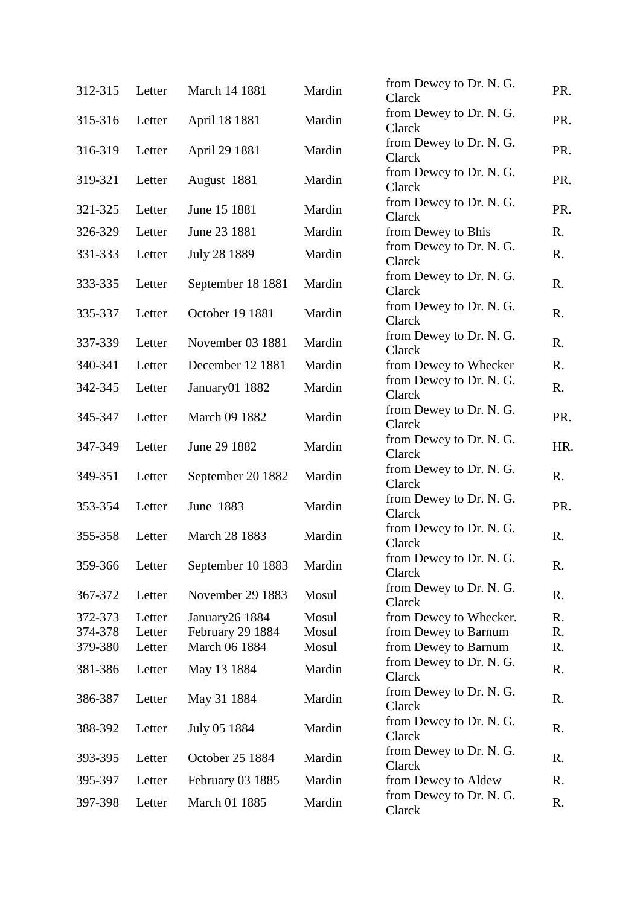| 312-315 | Letter | March 14 1881           | Mardin | from Dewey to Dr. N. G.<br>Clarck | PR. |
|---------|--------|-------------------------|--------|-----------------------------------|-----|
| 315-316 | Letter | April 18 1881           | Mardin | from Dewey to Dr. N. G.<br>Clarck | PR. |
| 316-319 | Letter | April 29 1881           | Mardin | from Dewey to Dr. N. G.<br>Clarck | PR. |
| 319-321 | Letter | August 1881             | Mardin | from Dewey to Dr. N. G.<br>Clarck | PR. |
| 321-325 | Letter | June 15 1881            | Mardin | from Dewey to Dr. N. G.<br>Clarck | PR. |
| 326-329 | Letter | June 23 1881            | Mardin | from Dewey to Bhis                | R.  |
| 331-333 | Letter | July 28 1889            | Mardin | from Dewey to Dr. N. G.<br>Clarck | R.  |
| 333-335 | Letter | September 18 1881       | Mardin | from Dewey to Dr. N. G.<br>Clarck | R.  |
| 335-337 | Letter | October 19 1881         | Mardin | from Dewey to Dr. N. G.<br>Clarck | R.  |
| 337-339 | Letter | November 03 1881        | Mardin | from Dewey to Dr. N. G.<br>Clarck | R.  |
| 340-341 | Letter | December 12 1881        | Mardin | from Dewey to Whecker             | R.  |
| 342-345 | Letter | January01 1882          | Mardin | from Dewey to Dr. N. G.<br>Clarck | R.  |
| 345-347 | Letter | March 09 1882           | Mardin | from Dewey to Dr. N. G.<br>Clarck | PR. |
| 347-349 | Letter | June 29 1882            | Mardin | from Dewey to Dr. N. G.<br>Clarck | HR. |
| 349-351 | Letter | September 20 1882       | Mardin | from Dewey to Dr. N. G.<br>Clarck | R.  |
| 353-354 | Letter | June 1883               | Mardin | from Dewey to Dr. N. G.<br>Clarck | PR. |
| 355-358 | Letter | March 28 1883           | Mardin | from Dewey to Dr. N. G.<br>Clarck | R.  |
| 359-366 | Letter | September 10 1883       | Mardin | from Dewey to Dr. N. G.<br>Clarck | R.  |
| 367-372 | Letter | November 29 1883        | Mosul  | from Dewey to Dr. N. G.<br>Clarck | R.  |
| 372-373 | Letter | January26 1884          | Mosul  | from Dewey to Whecker.            | R.  |
| 374-378 | Letter | February 29 1884        | Mosul  | from Dewey to Barnum              | R.  |
| 379-380 | Letter | March 06 1884           | Mosul  | from Dewey to Barnum              | R.  |
| 381-386 | Letter | May 13 1884             | Mardin | from Dewey to Dr. N. G.<br>Clarck | R.  |
| 386-387 | Letter | May 31 1884             | Mardin | from Dewey to Dr. N. G.<br>Clarck | R.  |
| 388-392 | Letter | July 05 1884            | Mardin | from Dewey to Dr. N. G.<br>Clarck | R.  |
| 393-395 | Letter | October 25 1884         | Mardin | from Dewey to Dr. N. G.<br>Clarck | R.  |
| 395-397 | Letter | <b>February 03 1885</b> | Mardin | from Dewey to Aldew               | R.  |
| 397-398 | Letter | March 01 1885           | Mardin | from Dewey to Dr. N. G.<br>Clarck | R.  |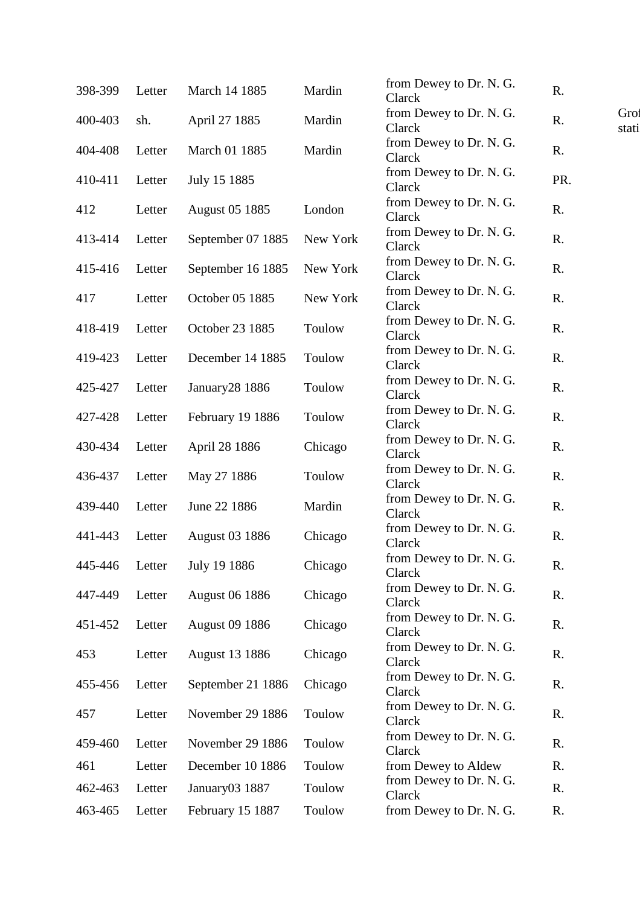| 398-399 | Letter | March 14 1885         | Mardin   | from Dewey to Dr. N. G.<br>Clarck                            | R.  |               |
|---------|--------|-----------------------|----------|--------------------------------------------------------------|-----|---------------|
| 400-403 | sh.    | April 27 1885         | Mardin   | from Dewey to Dr. N. G.<br>Clarck                            | R.  | Grot<br>stati |
| 404-408 | Letter | March 01 1885         | Mardin   | from Dewey to Dr. N. G.<br>Clarck                            | R.  |               |
| 410-411 | Letter | July 15 1885          |          | from Dewey to Dr. N. G.<br>Clarck                            | PR. |               |
| 412     | Letter | <b>August 05 1885</b> | London   | from Dewey to Dr. N. G.<br>Clarck                            | R.  |               |
| 413-414 | Letter | September 07 1885     | New York | from Dewey to Dr. N. G.<br>Clarck                            | R.  |               |
| 415-416 | Letter | September 16 1885     | New York | from Dewey to Dr. N. G.<br>Clarck                            | R.  |               |
| 417     | Letter | October 05 1885       | New York | from Dewey to Dr. N. G.<br>Clarck                            | R.  |               |
| 418-419 | Letter | October 23 1885       | Toulow   | from Dewey to Dr. N. G.<br>Clarck                            | R.  |               |
| 419-423 | Letter | December 14 1885      | Toulow   | from Dewey to Dr. N. G.<br>Clarck                            | R.  |               |
| 425-427 | Letter | January28 1886        | Toulow   | from Dewey to Dr. N. G.<br>Clarck                            | R.  |               |
| 427-428 | Letter | February 19 1886      | Toulow   | from Dewey to Dr. N. G.<br>Clarck                            | R.  |               |
| 430-434 | Letter | April 28 1886         | Chicago  | from Dewey to Dr. N. G.<br>Clarck                            | R.  |               |
| 436-437 | Letter | May 27 1886           | Toulow   | from Dewey to Dr. N. G.<br>Clarck                            | R.  |               |
| 439-440 | Letter | June 22 1886          | Mardin   | from Dewey to Dr. N. G.<br>Clarck                            | R.  |               |
| 441-443 | Letter | <b>August 03 1886</b> | Chicago  | from Dewey to Dr. N. G.<br>Clarck                            | R.  |               |
| 445-446 | Letter | July 19 1886          | Chicago  | from Dewey to Dr. N. G.<br>Clarck                            | R.  |               |
| 447-449 | Letter | <b>August 06 1886</b> | Chicago  | from Dewey to Dr. N. G.<br>Clarck<br>from Dewey to Dr. N. G. | R.  |               |
| 451-452 | Letter | <b>August 09 1886</b> | Chicago  | Clarck<br>from Dewey to Dr. N. G.                            | R.  |               |
| 453     | Letter | <b>August 13 1886</b> | Chicago  | Clarck<br>from Dewey to Dr. N. G.                            | R.  |               |
| 455-456 | Letter | September 21 1886     | Chicago  | Clarck<br>from Dewey to Dr. N. G.                            | R.  |               |
| 457     | Letter | November 29 1886      | Toulow   | Clarck<br>from Dewey to Dr. N. G.                            | R.  |               |
| 459-460 | Letter | November 29 1886      | Toulow   | Clarck                                                       | R.  |               |
| 461     | Letter | December 10 1886      | Toulow   | from Dewey to Aldew                                          | R.  |               |
| 462-463 | Letter | January03 1887        | Toulow   | from Dewey to Dr. N. G.<br>Clarck                            | R.  |               |
| 463-465 | Letter | February 15 1887      | Toulow   | from Dewey to Dr. N. G.                                      | R.  |               |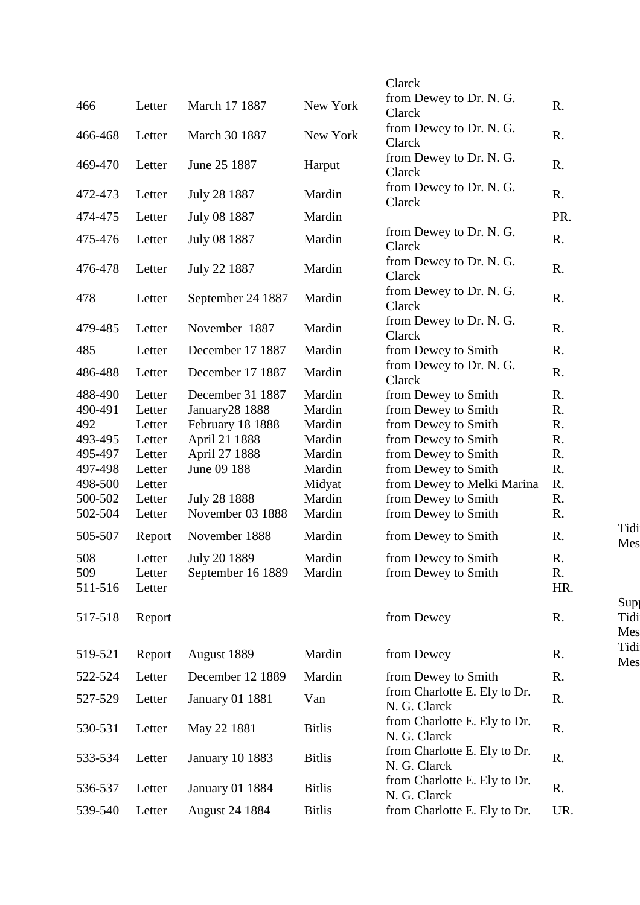|                |                  |                        |               | Clarck<br>from Dewey to Dr. N. G.            |                          |
|----------------|------------------|------------------------|---------------|----------------------------------------------|--------------------------|
| 466            | Letter           | March 17 1887          | New York      | Clarck                                       | R.                       |
| 466-468        | Letter           | March 30 1887          | New York      | from Dewey to Dr. N. G.<br>Clarck            | R.                       |
| 469-470        | Letter           | June 25 1887           | Harput        | from Dewey to Dr. N. G.<br>Clarck            | R.                       |
| 472-473        | Letter           | July 28 1887           | Mardin        | from Dewey to Dr. N. G.<br>Clarck            | R.                       |
| 474-475        | Letter           | July 08 1887           | Mardin        |                                              | PR.                      |
| 475-476        | Letter           | July 08 1887           | Mardin        | from Dewey to Dr. N. G.<br>Clarck            | R.                       |
| 476-478        | Letter           | July 22 1887           | Mardin        | from Dewey to Dr. N. G.<br>Clarck            | R.                       |
| 478            | Letter           | September 24 1887      | Mardin        | from Dewey to Dr. N. G.<br>Clarck            | R.                       |
| 479-485        | Letter           | November 1887          | Mardin        | from Dewey to Dr. N. G.<br>Clarck            | R.                       |
| 485            | Letter           | December 17 1887       | Mardin        | from Dewey to Smith                          | R.                       |
| 486-488        | Letter           | December 17 1887       | Mardin        | from Dewey to Dr. N. G.<br>Clarck            | R.                       |
| 488-490        | Letter           | December 31 1887       | Mardin        | from Dewey to Smith                          | R.                       |
| 490-491        | Letter           | January28 1888         | Mardin        | from Dewey to Smith                          | R.                       |
| 492            | Letter           | February 18 1888       | Mardin        | from Dewey to Smith                          | R.                       |
| 493-495        | Letter           | April 21 1888          | Mardin        | from Dewey to Smith                          | R.                       |
| 495-497        | Letter           | April 27 1888          | Mardin        | from Dewey to Smith                          | R.                       |
| 497-498        | Letter           | June 09 188            | Mardin        | from Dewey to Smith                          | R.                       |
| 498-500        | Letter           |                        | Midyat        | from Dewey to Melki Marina                   | R.                       |
| 500-502        | Letter           | July 28 1888           | Mardin        | from Dewey to Smith                          | R.                       |
| 502-504        | Letter           | November 03 1888       | Mardin        | from Dewey to Smith                          | R.                       |
| 505-507        | Report           | November 1888          | Mardin        | from Dewey to Smith                          | Tidi<br>R.<br>Mes        |
| 508            | Letter           | July 20 1889           | Mardin        | from Dewey to Smith                          | R.                       |
| 509<br>511-516 | Letter<br>Letter | September 16 1889      | Mardin        | from Dewey to Smith                          | R.<br>HR.                |
| 517-518        | Report           |                        |               | from Dewey                                   | Sup<br>Tidi<br>R.<br>Mes |
| 519-521        | Report           | August 1889            | Mardin        | from Dewey                                   | Tidi<br>R.<br>Mes        |
| 522-524        | Letter           | December 12 1889       | Mardin        | from Dewey to Smith                          | R.                       |
| 527-529        | Letter           | <b>January 01 1881</b> | Van           | from Charlotte E. Ely to Dr.<br>N. G. Clarck | R.                       |
| 530-531        | Letter           | May 22 1881            | <b>Bitlis</b> | from Charlotte E. Ely to Dr.<br>N. G. Clarck | R.                       |
| 533-534        | Letter           | <b>January 10 1883</b> | <b>Bitlis</b> | from Charlotte E. Ely to Dr.<br>N. G. Clarck | R.                       |
| 536-537        | Letter           | <b>January 01 1884</b> | <b>Bitlis</b> | from Charlotte E. Ely to Dr.<br>N. G. Clarck | R.                       |
| 539-540        | Letter           | <b>August 24 1884</b>  | <b>Bitlis</b> | from Charlotte E. Ely to Dr.                 | UR.                      |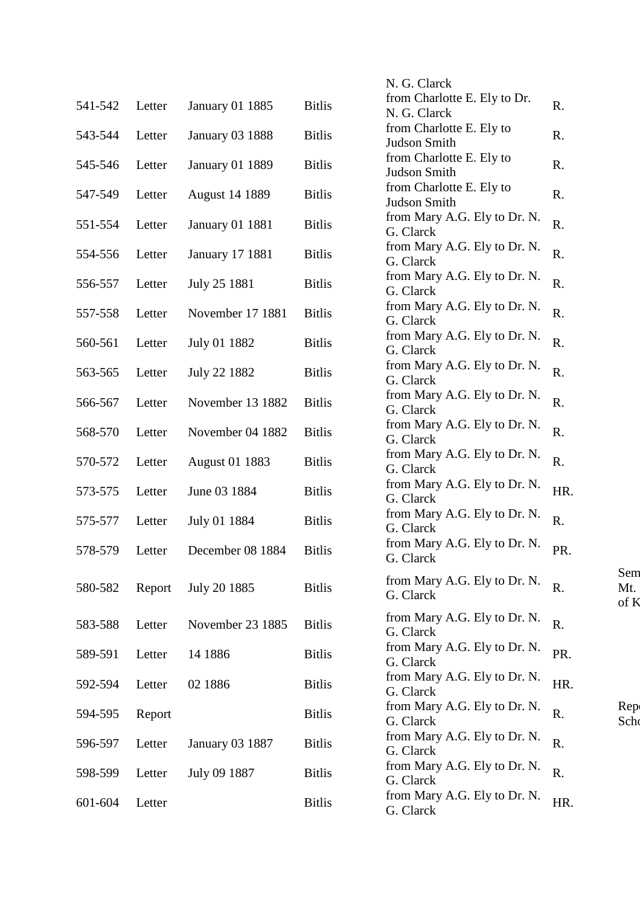|         |        |                        |               | N. G. Clarck                                 |     |                    |
|---------|--------|------------------------|---------------|----------------------------------------------|-----|--------------------|
| 541-542 | Letter | <b>January 01 1885</b> | <b>Bitlis</b> | from Charlotte E. Ely to Dr.<br>N. G. Clarck | R.  |                    |
| 543-544 | Letter | <b>January 03 1888</b> | <b>Bitlis</b> | from Charlotte E. Ely to<br>Judson Smith     | R.  |                    |
| 545-546 | Letter | <b>January 01 1889</b> | <b>Bitlis</b> | from Charlotte E. Ely to<br>Judson Smith     | R.  |                    |
| 547-549 | Letter | <b>August 14 1889</b>  | <b>Bitlis</b> | from Charlotte E. Ely to<br>Judson Smith     | R.  |                    |
| 551-554 | Letter | <b>January 01 1881</b> | <b>Bitlis</b> | from Mary A.G. Ely to Dr. N.<br>G. Clarck    | R.  |                    |
| 554-556 | Letter | <b>January 17 1881</b> | <b>Bitlis</b> | from Mary A.G. Ely to Dr. N.<br>G. Clarck    | R.  |                    |
| 556-557 | Letter | July 25 1881           | <b>Bitlis</b> | from Mary A.G. Ely to Dr. N.<br>G. Clarck    | R.  |                    |
| 557-558 | Letter | November 17 1881       | <b>Bitlis</b> | from Mary A.G. Ely to Dr. N.<br>G. Clarck    | R.  |                    |
| 560-561 | Letter | July 01 1882           | <b>Bitlis</b> | from Mary A.G. Ely to Dr. N.<br>G. Clarck    | R.  |                    |
| 563-565 | Letter | July 22 1882           | <b>Bitlis</b> | from Mary A.G. Ely to Dr. N.<br>G. Clarck    | R.  |                    |
| 566-567 | Letter | November 13 1882       | <b>Bitlis</b> | from Mary A.G. Ely to Dr. N.<br>G. Clarck    | R.  |                    |
| 568-570 | Letter | November 04 1882       | <b>Bitlis</b> | from Mary A.G. Ely to Dr. N.<br>G. Clarck    | R.  |                    |
| 570-572 | Letter | <b>August 01 1883</b>  | <b>Bitlis</b> | from Mary A.G. Ely to Dr. N.<br>G. Clarck    | R.  |                    |
| 573-575 | Letter | June 03 1884           | <b>Bitlis</b> | from Mary A.G. Ely to Dr. N.<br>G. Clarck    | HR. |                    |
| 575-577 | Letter | July 01 1884           | <b>Bitlis</b> | from Mary A.G. Ely to Dr. N.<br>G. Clarck    | R.  |                    |
| 578-579 | Letter | December 08 1884       | <b>Bitlis</b> | from Mary A.G. Ely to Dr. N.<br>G. Clarck    | PR. |                    |
| 580-582 | Report | July 20 1885           | <b>Bitlis</b> | from Mary A.G. Ely to Dr. N.<br>G. Clarck    | R.  | Sem<br>Mt.<br>of K |
| 583-588 | Letter | November 23 1885       | <b>Bitlis</b> | from Mary A.G. Ely to Dr. N.<br>G. Clarck    | R.  |                    |
| 589-591 | Letter | 14 1886                | <b>Bitlis</b> | from Mary A.G. Ely to Dr. N.<br>G. Clarck    | PR. |                    |
| 592-594 | Letter | 02 1886                | <b>Bitlis</b> | from Mary A.G. Ely to Dr. N.<br>G. Clarck    | HR. |                    |
| 594-595 | Report |                        | <b>Bitlis</b> | from Mary A.G. Ely to Dr. N.<br>G. Clarck    | R.  | Rep<br>Scho        |
| 596-597 | Letter | <b>January 03 1887</b> | <b>Bitlis</b> | from Mary A.G. Ely to Dr. N.<br>G. Clarck    | R.  |                    |
| 598-599 | Letter | July 09 1887           | <b>Bitlis</b> | from Mary A.G. Ely to Dr. N.<br>G. Clarck    | R.  |                    |
| 601-604 | Letter |                        | <b>Bitlis</b> | from Mary A.G. Ely to Dr. N.<br>G. Clarck    | HR. |                    |
|         |        |                        |               |                                              |     |                    |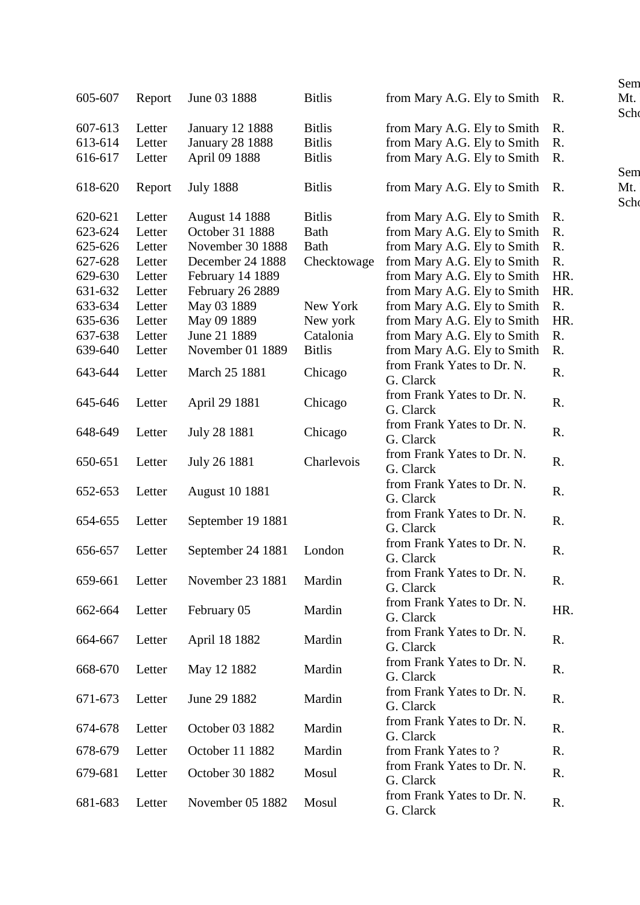|         |        |                        |               |                                | Sem               |
|---------|--------|------------------------|---------------|--------------------------------|-------------------|
| 605-607 | Report | June 03 1888           | <b>Bitlis</b> | from Mary A.G. Ely to Smith    | Mt.<br>R.<br>Scho |
| 607-613 | Letter | <b>January 12 1888</b> | <b>Bitlis</b> | from Mary A.G. Ely to Smith    | R.                |
| 613-614 | Letter | <b>January 28 1888</b> | <b>Bitlis</b> | from Mary A.G. Ely to Smith    | R.                |
| 616-617 | Letter | April 09 1888          | <b>Bitlis</b> | from Mary A.G. Ely to Smith    | R.                |
|         |        |                        |               |                                | Sem               |
| 618-620 | Report | <b>July 1888</b>       | <b>Bitlis</b> | from Mary A.G. Ely to Smith R. | Mt.<br>Schd       |
| 620-621 | Letter | <b>August 14 1888</b>  | <b>Bitlis</b> | from Mary A.G. Ely to Smith    | R.                |
| 623-624 | Letter | October 31 1888        | <b>Bath</b>   | from Mary A.G. Ely to Smith    | R.                |
| 625-626 | Letter | November 30 1888       | <b>Bath</b>   | from Mary A.G. Ely to Smith    | R.                |
| 627-628 | Letter | December 24 1888       | Checktowage   | from Mary A.G. Ely to Smith    | R.                |
|         |        |                        |               |                                |                   |
| 629-630 | Letter | February 14 1889       |               | from Mary A.G. Ely to Smith    | HR.               |
| 631-632 | Letter | February 26 2889       |               | from Mary A.G. Ely to Smith    | HR.               |
| 633-634 | Letter | May 03 1889            | New York      | from Mary A.G. Ely to Smith    | R.                |
| 635-636 | Letter | May 09 1889            | New york      | from Mary A.G. Ely to Smith    | HR.               |
| 637-638 | Letter | June 21 1889           | Catalonia     | from Mary A.G. Ely to Smith    | R.                |
| 639-640 | Letter | November 01 1889       | <b>Bitlis</b> | from Mary A.G. Ely to Smith    | R.                |
|         |        |                        |               | from Frank Yates to Dr. N.     |                   |
| 643-644 | Letter | March 25 1881          | Chicago       | G. Clarck                      | R.                |
|         |        |                        |               | from Frank Yates to Dr. N.     |                   |
| 645-646 | Letter | April 29 1881          | Chicago       | G. Clarck                      | R.                |
|         |        |                        |               | from Frank Yates to Dr. N.     |                   |
| 648-649 | Letter | July 28 1881           | Chicago       |                                | R.                |
|         |        |                        |               | G. Clarck                      |                   |
| 650-651 | Letter | July 26 1881           | Charlevois    | from Frank Yates to Dr. N.     | R.                |
|         |        |                        |               | G. Clarck                      |                   |
| 652-653 | Letter | <b>August 10 1881</b>  |               | from Frank Yates to Dr. N.     | R.                |
|         |        |                        |               | G. Clarck                      |                   |
| 654-655 | Letter | September 19 1881      |               | from Frank Yates to Dr. N.     | R.                |
|         |        |                        |               | G. Clarck                      |                   |
|         |        |                        |               | from Frank Yates to Dr. N.     |                   |
| 656-657 | Letter | September 24 1881      | London        | G. Clarck                      | R.                |
|         |        |                        |               | from Frank Yates to Dr. N.     |                   |
| 659-661 | Letter | November 23 1881       | Mardin        | G. Clarck                      | R.                |
|         |        |                        |               | from Frank Yates to Dr. N.     |                   |
| 662-664 | Letter | February 05            | Mardin        | G. Clarck                      | HR.               |
|         |        |                        |               |                                |                   |
| 664-667 | Letter | April 18 1882          | Mardin        | from Frank Yates to Dr. N.     | R.                |
|         |        |                        |               | G. Clarck                      |                   |
| 668-670 | Letter | May 12 1882            | Mardin        | from Frank Yates to Dr. N.     | R.                |
|         |        |                        |               | G. Clarck                      |                   |
| 671-673 | Letter | June 29 1882           | Mardin        | from Frank Yates to Dr. N.     | R.                |
|         |        |                        |               | G. Clarck                      |                   |
|         |        |                        |               | from Frank Yates to Dr. N.     |                   |
| 674-678 | Letter | October 03 1882        | Mardin        | G. Clarck                      | R.                |
| 678-679 | Letter | October 11 1882        | Mardin        | from Frank Yates to?           | R.                |
|         |        |                        |               | from Frank Yates to Dr. N.     |                   |
| 679-681 | Letter | October 30 1882        | Mosul         | G. Clarck                      | R.                |
|         |        |                        |               |                                |                   |
| 681-683 | Letter | November 05 1882       | Mosul         | from Frank Yates to Dr. N.     | R.                |
|         |        |                        |               | G. Clarck                      |                   |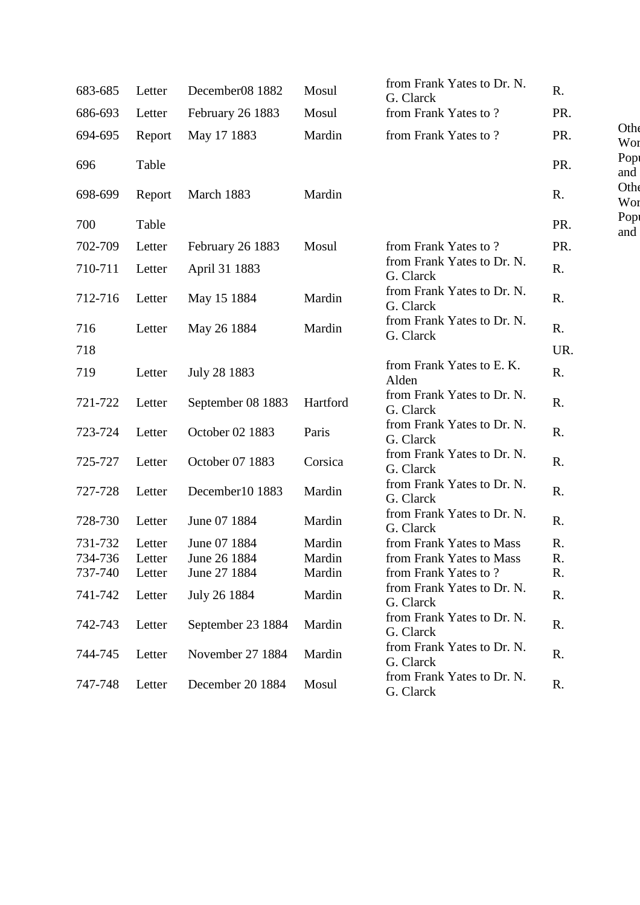| 683-685 | Letter | December08 1882   | Mosul    | from Frank Yates to Dr. N.<br>G. Clarck | R.  |             |
|---------|--------|-------------------|----------|-----------------------------------------|-----|-------------|
| 686-693 | Letter | February 26 1883  | Mosul    | from Frank Yates to?                    | PR. |             |
| 694-695 | Report | May 17 1883       | Mardin   | from Frank Yates to?                    | PR. | Othe<br>Wor |
| 696     | Table  |                   |          |                                         | PR. | Popt<br>and |
| 698-699 | Report | March 1883        | Mardin   |                                         | R.  | Othe<br>Wor |
| 700     | Table  |                   |          |                                         | PR. | Pop<br>and  |
| 702-709 | Letter | February 26 1883  | Mosul    | from Frank Yates to?                    | PR. |             |
| 710-711 | Letter | April 31 1883     |          | from Frank Yates to Dr. N.<br>G. Clarck | R.  |             |
| 712-716 | Letter | May 15 1884       | Mardin   | from Frank Yates to Dr. N.<br>G. Clarck | R.  |             |
| 716     | Letter | May 26 1884       | Mardin   | from Frank Yates to Dr. N.<br>G. Clarck | R.  |             |
| 718     |        |                   |          |                                         | UR. |             |
| 719     | Letter | July 28 1883      |          | from Frank Yates to E.K.<br>Alden       | R.  |             |
| 721-722 | Letter | September 08 1883 | Hartford | from Frank Yates to Dr. N.<br>G. Clarck | R.  |             |
| 723-724 | Letter | October 02 1883   | Paris    | from Frank Yates to Dr. N.<br>G. Clarck | R.  |             |
| 725-727 | Letter | October 07 1883   | Corsica  | from Frank Yates to Dr. N.<br>G. Clarck | R.  |             |
| 727-728 | Letter | December10 1883   | Mardin   | from Frank Yates to Dr. N.<br>G. Clarck | R.  |             |
| 728-730 | Letter | June 07 1884      | Mardin   | from Frank Yates to Dr. N.<br>G. Clarck | R.  |             |
| 731-732 | Letter | June 07 1884      | Mardin   | from Frank Yates to Mass                | R.  |             |
| 734-736 | Letter | June 26 1884      | Mardin   | from Frank Yates to Mass                | R.  |             |
| 737-740 | Letter | June 27 1884      | Mardin   | from Frank Yates to ?                   | R.  |             |
| 741-742 | Letter | July 26 1884      | Mardin   | from Frank Yates to Dr. N.<br>G. Clarck | R.  |             |
| 742-743 | Letter | September 23 1884 | Mardin   | from Frank Yates to Dr. N.<br>G. Clarck | R.  |             |
| 744-745 | Letter | November 27 1884  | Mardin   | from Frank Yates to Dr. N.<br>G. Clarck | R.  |             |
| 747-748 | Letter | December 20 1884  | Mosul    | from Frank Yates to Dr. N.<br>G. Clarck | R.  |             |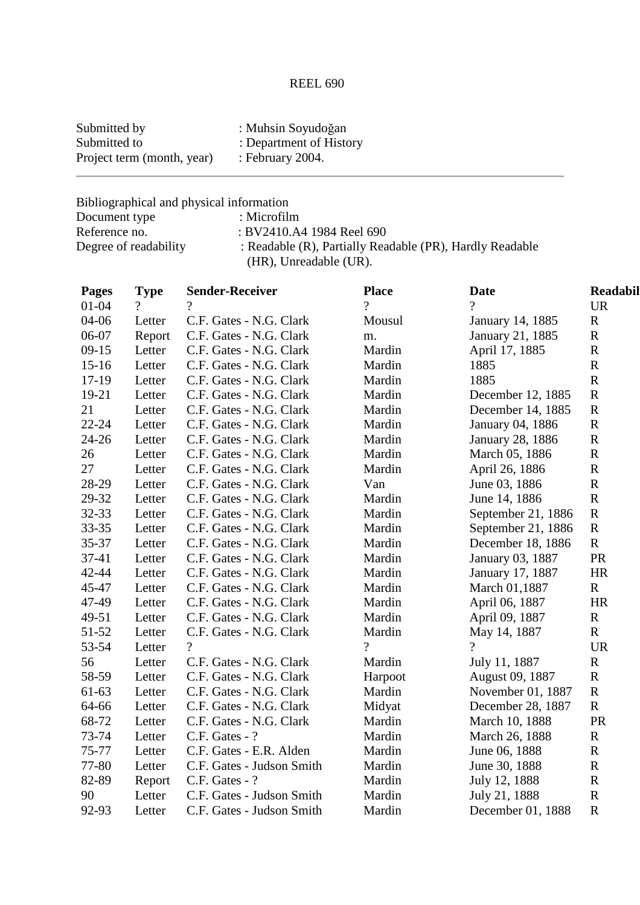# REEL 690

| Submitted by               | : Muhsin Soyudoğan      |
|----------------------------|-------------------------|
| Submitted to               | : Department of History |
| Project term (month, year) | : February $2004$ .     |

Bibliographical and physical information

| Document type         | : Microfilm                                                                        |
|-----------------------|------------------------------------------------------------------------------------|
| Reference no.         | : BV2410.A4 1984 Reel 690                                                          |
| Degree of readability | : Readable (R), Partially Readable (PR), Hardly Readable<br>(HR), Unreadable (UR). |

| <b>Pages</b> | <b>Type</b> | <b>Sender-Receiver</b>    | <b>Place</b> | <b>Date</b>             | <b>Readabil</b> |
|--------------|-------------|---------------------------|--------------|-------------------------|-----------------|
| $01 - 04$    | $\gamma$    | ?                         | $\gamma$     | $\gamma$                | <b>UR</b>       |
| 04-06        | Letter      | C.F. Gates - N.G. Clark   | Mousul       | January 14, 1885        | $\mathbf R$     |
| 06-07        | Report      | C.F. Gates - N.G. Clark   | m.           | January 21, 1885        | ${\bf R}$       |
| $09-15$      | Letter      | C.F. Gates - N.G. Clark   | Mardin       | April 17, 1885          | $\mathbf R$     |
| $15 - 16$    | Letter      | C.F. Gates - N.G. Clark   | Mardin       | 1885                    | $\mathbf R$     |
| $17-19$      | Letter      | C.F. Gates - N.G. Clark   | Mardin       | 1885                    | $\mathbf R$     |
| 19-21        | Letter      | C.F. Gates - N.G. Clark   | Mardin       | December 12, 1885       | ${\bf R}$       |
| 21           | Letter      | C.F. Gates - N.G. Clark   | Mardin       | December 14, 1885       | $\mathbf R$     |
| $22 - 24$    | Letter      | C.F. Gates - N.G. Clark   | Mardin       | January 04, 1886        | $\mathbf R$     |
| $24 - 26$    | Letter      | C.F. Gates - N.G. Clark   | Mardin       | <b>January 28, 1886</b> | ${\bf R}$       |
| 26           | Letter      | C.F. Gates - N.G. Clark   | Mardin       | March 05, 1886          | $\mathbf R$     |
| 27           | Letter      | C.F. Gates - N.G. Clark   | Mardin       | April 26, 1886          | $\mathbf R$     |
| 28-29        | Letter      | C.F. Gates - N.G. Clark   | Van          | June 03, 1886           | $\mathbf R$     |
| 29-32        | Letter      | C.F. Gates - N.G. Clark   | Mardin       | June 14, 1886           | $\mathbf R$     |
| 32-33        | Letter      | C.F. Gates - N.G. Clark   | Mardin       | September 21, 1886      | $\mathbf R$     |
| $33 - 35$    | Letter      | C.F. Gates - N.G. Clark   | Mardin       | September 21, 1886      | ${\bf R}$       |
| 35-37        | Letter      | C.F. Gates - N.G. Clark   | Mardin       | December 18, 1886       | $\mathbf R$     |
| $37 - 41$    | Letter      | C.F. Gates - N.G. Clark   | Mardin       | January 03, 1887        | PR              |
| 42-44        | Letter      | C.F. Gates - N.G. Clark   | Mardin       | January 17, 1887        | <b>HR</b>       |
| 45-47        | Letter      | C.F. Gates - N.G. Clark   | Mardin       | March 01,1887           | $\mathbf R$     |
| 47-49        | Letter      | C.F. Gates - N.G. Clark   | Mardin       | April 06, 1887          | <b>HR</b>       |
| 49-51        | Letter      | C.F. Gates - N.G. Clark   | Mardin       | April 09, 1887          | $\mathbf R$     |
| 51-52        | Letter      | C.F. Gates - N.G. Clark   | Mardin       | May 14, 1887            | $\mathbf R$     |
| 53-54        | Letter      | $\gamma$                  | $\gamma$     | $\gamma$                | <b>UR</b>       |
| 56           | Letter      | C.F. Gates - N.G. Clark   | Mardin       | July 11, 1887           | $\mathbf R$     |
| 58-59        | Letter      | C.F. Gates - N.G. Clark   | Harpoot      | August 09, 1887         | $\mathbf R$     |
| 61-63        | Letter      | C.F. Gates - N.G. Clark   | Mardin       | November 01, 1887       | $\mathbf R$     |
| 64-66        | Letter      | C.F. Gates - N.G. Clark   | Midyat       | December 28, 1887       | $\mathbf R$     |
| 68-72        | Letter      | C.F. Gates - N.G. Clark   | Mardin       | March 10, 1888          | PR              |
| 73-74        | Letter      | C.F. Gates - ?            | Mardin       | March 26, 1888          | $\mathbf R$     |
| 75-77        | Letter      | C.F. Gates - E.R. Alden   | Mardin       | June 06, 1888           | $\mathbf R$     |
| 77-80        | Letter      | C.F. Gates - Judson Smith | Mardin       | June 30, 1888           | $\mathbf R$     |
| 82-89        | Report      | C.F. Gates - ?            | Mardin       | July 12, 1888           | $\mathbf R$     |
| 90           | Letter      | C.F. Gates - Judson Smith | Mardin       | July 21, 1888           | $\mathbf R$     |
| 92-93        | Letter      | C.F. Gates - Judson Smith | Mardin       | December 01, 1888       | $\mathbf R$     |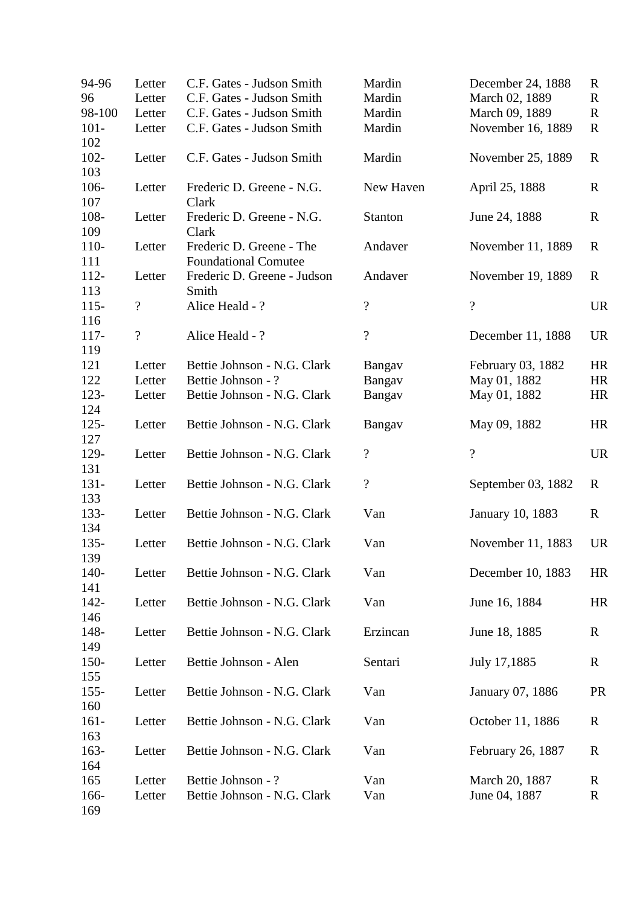| 94-96          | Letter                   | C.F. Gates - Judson Smith                               | Mardin                   | December 24, 1888        | $\mathbb{R}$ |
|----------------|--------------------------|---------------------------------------------------------|--------------------------|--------------------------|--------------|
| 96             | Letter                   | C.F. Gates - Judson Smith                               | Mardin                   | March 02, 1889           | $\mathbf R$  |
| 98-100         | Letter                   | C.F. Gates - Judson Smith                               | Mardin                   | March 09, 1889           | $\mathbf R$  |
| $101 -$<br>102 | Letter                   | C.F. Gates - Judson Smith                               | Mardin                   | November 16, 1889        | R            |
| $102 -$<br>103 | Letter                   | C.F. Gates - Judson Smith                               | Mardin                   | November 25, 1889        | R            |
| 106-<br>107    | Letter                   | Frederic D. Greene - N.G.<br>Clark                      | New Haven                | April 25, 1888           | $\mathbf R$  |
| 108-<br>109    | Letter                   | Frederic D. Greene - N.G.<br>Clark                      | Stanton                  | June 24, 1888            | $\mathbf R$  |
| $110-$<br>111  | Letter                   | Frederic D. Greene - The<br><b>Foundational Comutee</b> | Andaver                  | November 11, 1889        | R            |
| $112 -$<br>113 | Letter                   | Frederic D. Greene - Judson<br>Smith                    | Andaver                  | November 19, 1889        | R            |
| $115 -$<br>116 | $\boldsymbol{?}$         | Alice Heald - ?                                         | $\overline{\mathcal{L}}$ | $\overline{\mathcal{L}}$ | <b>UR</b>    |
| $117 -$<br>119 | $\overline{\mathcal{C}}$ | Alice Heald - ?                                         | $\overline{\mathcal{L}}$ | December 11, 1888        | <b>UR</b>    |
| 121            | Letter                   | Bettie Johnson - N.G. Clark                             | Bangav                   | February 03, 1882        | <b>HR</b>    |
| 122            | Letter                   | Bettie Johnson - ?                                      | Bangav                   | May 01, 1882             | HR           |
| $123 -$<br>124 | Letter                   | Bettie Johnson - N.G. Clark                             | Bangav                   | May 01, 1882             | HR           |
| $125 -$<br>127 | Letter                   | Bettie Johnson - N.G. Clark                             | Bangav                   | May 09, 1882             | HR           |
| 129-<br>131    | Letter                   | Bettie Johnson - N.G. Clark                             | $\overline{\mathcal{L}}$ | $\overline{?}$           | <b>UR</b>    |
| $131 -$<br>133 | Letter                   | Bettie Johnson - N.G. Clark                             | $\boldsymbol{?}$         | September 03, 1882       | $\mathbf R$  |
| 133-<br>134    | Letter                   | Bettie Johnson - N.G. Clark                             | Van                      | January 10, 1883         | $\mathbf R$  |
| $135 -$<br>139 | Letter                   | Bettie Johnson - N.G. Clark                             | Van                      | November 11, 1883        | <b>UR</b>    |
| $140-$<br>141  | Letter                   | Bettie Johnson - N.G. Clark                             | Van                      | December 10, 1883        | HR           |
| $142 -$<br>146 | Letter                   | Bettie Johnson - N.G. Clark                             | Van                      | June 16, 1884            | HR           |
| 148-<br>149    | Letter                   | Bettie Johnson - N.G. Clark                             | Erzincan                 | June 18, 1885            | $\mathbf R$  |
| $150 -$<br>155 | Letter                   | Bettie Johnson - Alen                                   | Sentari                  | July 17,1885             | $\mathbf R$  |
| $155 -$<br>160 | Letter                   | Bettie Johnson - N.G. Clark                             | Van                      | January 07, 1886         | <b>PR</b>    |
| $161 -$<br>163 | Letter                   | Bettie Johnson - N.G. Clark                             | Van                      | October 11, 1886         | $\mathbf R$  |
| $163-$<br>164  | Letter                   | Bettie Johnson - N.G. Clark                             | Van                      | February 26, 1887        | R            |
| 165            | Letter                   | Bettie Johnson - ?                                      | Van                      | March 20, 1887           | $\mathbf R$  |
| 166-<br>169    | Letter                   | Bettie Johnson - N.G. Clark                             | Van                      | June 04, 1887            | R            |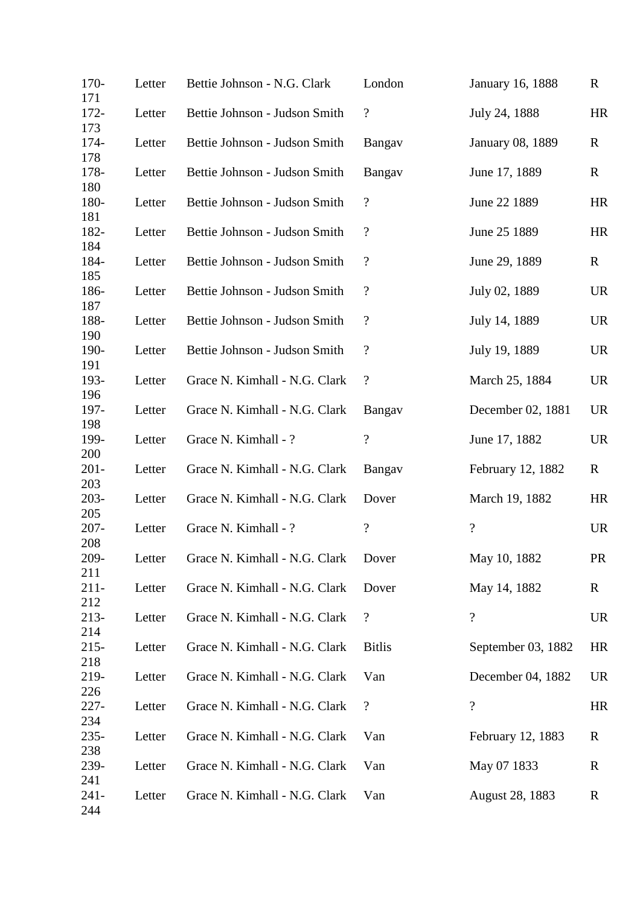| $170-$<br>171  | Letter | Bettie Johnson - N.G. Clark   | London                     | January 16, 1888        | $\mathbf R$ |
|----------------|--------|-------------------------------|----------------------------|-------------------------|-------------|
| $172 -$<br>173 | Letter | Bettie Johnson - Judson Smith | $\boldsymbol{?}$           | July 24, 1888           | HR          |
| 174-<br>178    | Letter | Bettie Johnson - Judson Smith | Bangav                     | <b>January 08, 1889</b> | $\mathbf R$ |
| 178-<br>180    | Letter | Bettie Johnson - Judson Smith | Bangav                     | June 17, 1889           | $\mathbf R$ |
| 180-<br>181    | Letter | Bettie Johnson - Judson Smith | $\boldsymbol{?}$           | June 22 1889            | HR          |
| 182-<br>184    | Letter | Bettie Johnson - Judson Smith | $\boldsymbol{?}$           | June 25 1889            | HR          |
| 184-<br>185    | Letter | Bettie Johnson - Judson Smith | $\boldsymbol{?}$           | June 29, 1889           | $\mathbf R$ |
| 186-<br>187    | Letter | Bettie Johnson - Judson Smith | $\overline{\mathcal{L}}$   | July 02, 1889           | <b>UR</b>   |
| 188-<br>190    | Letter | Bettie Johnson - Judson Smith | $\boldsymbol{?}$           | July 14, 1889           | <b>UR</b>   |
| 190-<br>191    | Letter | Bettie Johnson - Judson Smith | $\cdot$                    | July 19, 1889           | <b>UR</b>   |
| 193-<br>196    | Letter | Grace N. Kimhall - N.G. Clark | $\overline{\mathcal{L}}$   | March 25, 1884          | <b>UR</b>   |
| 197-<br>198    | Letter | Grace N. Kimhall - N.G. Clark | Bangav                     | December 02, 1881       | <b>UR</b>   |
| 199-<br>200    | Letter | Grace N. Kimhall - ?          | $\overline{?}$             | June 17, 1882           | <b>UR</b>   |
| $201 -$<br>203 | Letter | Grace N. Kimhall - N.G. Clark | Bangay                     | February 12, 1882       | $\mathbf R$ |
| $203 -$<br>205 | Letter | Grace N. Kimhall - N.G. Clark | Dover                      | March 19, 1882          | HR          |
| $207 -$<br>208 | Letter | Grace N. Kimhall - ?          | $\boldsymbol{\mathcal{C}}$ | $\overline{?}$          | <b>UR</b>   |
| 209-<br>211    | Letter | Grace N. Kimhall - N.G. Clark | Dover                      | May 10, 1882            | <b>PR</b>   |
| $211-$<br>212  | Letter | Grace N. Kimhall - N.G. Clark | Dover                      | May 14, 1882            | R           |
| $213-$<br>214  | Letter | Grace N. Kimhall - N.G. Clark | $\overline{\mathcal{L}}$   | $\overline{?}$          | <b>UR</b>   |
| $215 -$<br>218 | Letter | Grace N. Kimhall - N.G. Clark | <b>Bitlis</b>              | September 03, 1882      | HR          |
| 219-<br>226    | Letter | Grace N. Kimhall - N.G. Clark | Van                        | December 04, 1882       | <b>UR</b>   |
| $227 -$<br>234 | Letter | Grace N. Kimhall - N.G. Clark | $\boldsymbol{?}$           | $\overline{?}$          | HR          |
| $235 -$<br>238 | Letter | Grace N. Kimhall - N.G. Clark | Van                        | February 12, 1883       | R           |
| 239-<br>241    | Letter | Grace N. Kimhall - N.G. Clark | Van                        | May 07 1833             | R           |
| $241 -$<br>244 | Letter | Grace N. Kimhall - N.G. Clark | Van                        | August 28, 1883         | $\mathbf R$ |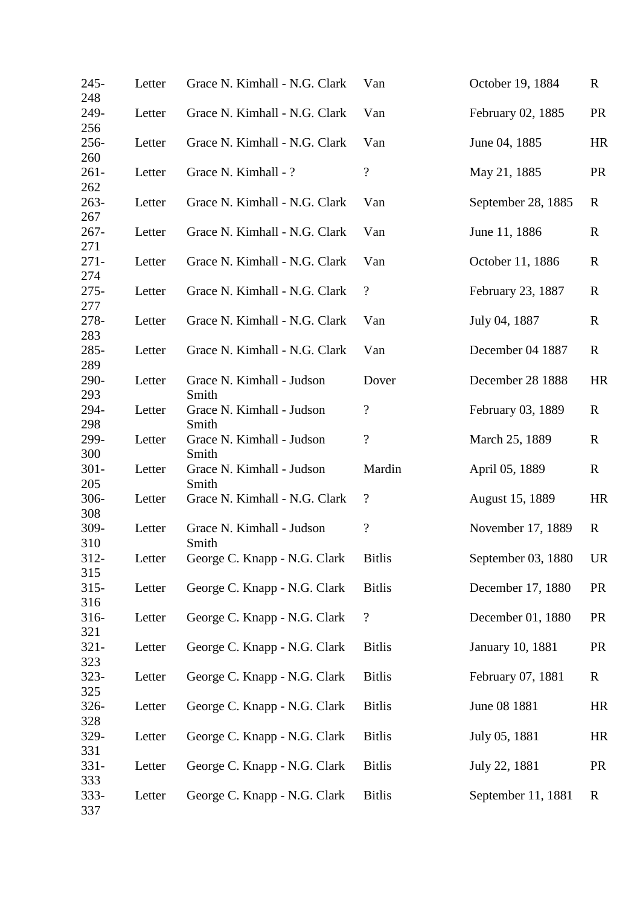| $245 -$<br>248 | Letter | Grace N. Kimhall - N.G. Clark      | Van                        | October 19, 1884   | $\mathbf R$  |
|----------------|--------|------------------------------------|----------------------------|--------------------|--------------|
| 249-<br>256    | Letter | Grace N. Kimhall - N.G. Clark      | Van                        | February 02, 1885  | <b>PR</b>    |
| 256-<br>260    | Letter | Grace N. Kimhall - N.G. Clark      | Van                        | June 04, 1885      | HR           |
| $261 -$<br>262 | Letter | Grace N. Kimhall - ?               | $\boldsymbol{?}$           | May 21, 1885       | <b>PR</b>    |
| $263-$<br>267  | Letter | Grace N. Kimhall - N.G. Clark      | Van                        | September 28, 1885 | R            |
| $267 -$<br>271 | Letter | Grace N. Kimhall - N.G. Clark      | Van                        | June 11, 1886      | $\mathbf R$  |
| $271 -$<br>274 | Letter | Grace N. Kimhall - N.G. Clark      | Van                        | October 11, 1886   | $\mathbb{R}$ |
| $275 -$<br>277 | Letter | Grace N. Kimhall - N.G. Clark      | $\boldsymbol{?}$           | February 23, 1887  | R            |
| 278-<br>283    | Letter | Grace N. Kimhall - N.G. Clark      | Van                        | July 04, 1887      | $\mathbf R$  |
| 285-<br>289    | Letter | Grace N. Kimhall - N.G. Clark      | Van                        | December 04 1887   | R            |
| 290-<br>293    | Letter | Grace N. Kimhall - Judson<br>Smith | Dover                      | December 28 1888   | HR           |
| 294-<br>298    | Letter | Grace N. Kimhall - Judson<br>Smith | $\boldsymbol{\mathcal{C}}$ | February 03, 1889  | R            |
| 299-<br>300    | Letter | Grace N. Kimhall - Judson<br>Smith | $\overline{?}$             | March 25, 1889     | R            |
| $301 -$<br>205 | Letter | Grace N. Kimhall - Judson<br>Smith | Mardin                     | April 05, 1889     | $\mathbf R$  |
| $306 -$<br>308 | Letter | Grace N. Kimhall - N.G. Clark      | $\boldsymbol{?}$           | August 15, 1889    | HR           |
| $309 -$<br>310 | Letter | Grace N. Kimhall - Judson<br>Smith | $\boldsymbol{\mathcal{C}}$ | November 17, 1889  | R            |
| $312 -$<br>315 | Letter | George C. Knapp - N.G. Clark       | <b>Bitlis</b>              | September 03, 1880 | <b>UR</b>    |
| $315 -$<br>316 | Letter | George C. Knapp - N.G. Clark       | <b>Bitlis</b>              | December 17, 1880  | <b>PR</b>    |
| 316-<br>321    | Letter | George C. Knapp - N.G. Clark       | $\boldsymbol{?}$           | December 01, 1880  | <b>PR</b>    |
| $321 -$<br>323 | Letter | George C. Knapp - N.G. Clark       | <b>Bitlis</b>              | January 10, 1881   | <b>PR</b>    |
| $323 -$<br>325 | Letter | George C. Knapp - N.G. Clark       | <b>Bitlis</b>              | February 07, 1881  | $\mathbf R$  |
| 326-<br>328    | Letter | George C. Knapp - N.G. Clark       | <b>Bitlis</b>              | June 08 1881       | HR           |
| 329-<br>331    | Letter | George C. Knapp - N.G. Clark       | <b>Bitlis</b>              | July 05, 1881      | HR           |
| $331 -$<br>333 | Letter | George C. Knapp - N.G. Clark       | <b>Bitlis</b>              | July 22, 1881      | <b>PR</b>    |
| 333-<br>337    | Letter | George C. Knapp - N.G. Clark       | <b>Bitlis</b>              | September 11, 1881 | $\mathbf R$  |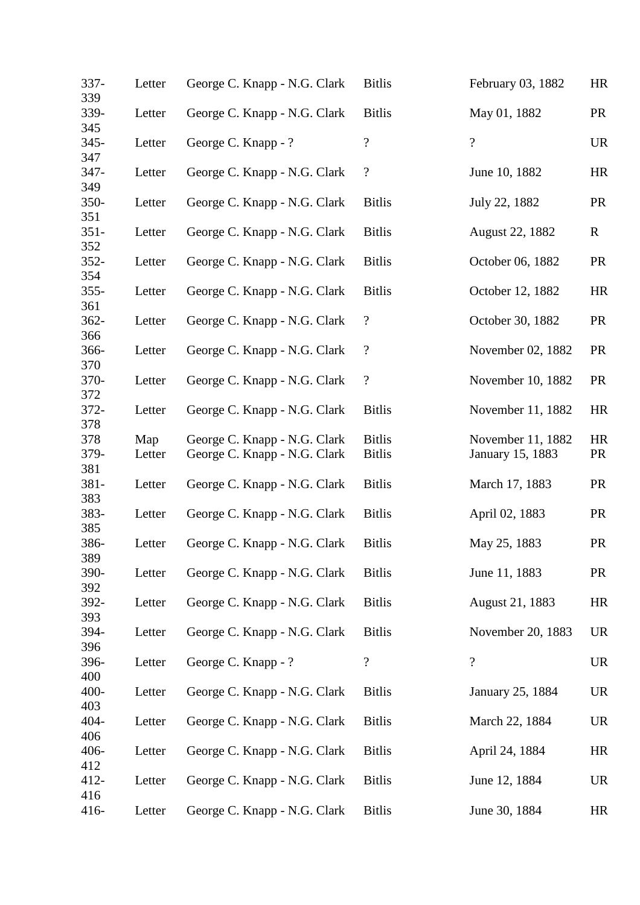| 337-<br>339    | Letter | George C. Knapp - N.G. Clark | <b>Bitlis</b>    | February 03, 1882        | HR          |
|----------------|--------|------------------------------|------------------|--------------------------|-------------|
| 339-<br>345    | Letter | George C. Knapp - N.G. Clark | <b>Bitlis</b>    | May 01, 1882             | <b>PR</b>   |
| $345 -$<br>347 | Letter | George C. Knapp - ?          | $\overline{?}$   | $\overline{?}$           | <b>UR</b>   |
| 347-<br>349    | Letter | George C. Knapp - N.G. Clark | $\boldsymbol{?}$ | June 10, 1882            | HR          |
| $350 -$<br>351 | Letter | George C. Knapp - N.G. Clark | <b>Bitlis</b>    | July 22, 1882            | <b>PR</b>   |
| $351 -$<br>352 | Letter | George C. Knapp - N.G. Clark | <b>Bitlis</b>    | August 22, 1882          | $\mathbf R$ |
| $352 -$<br>354 | Letter | George C. Knapp - N.G. Clark | <b>Bitlis</b>    | October 06, 1882         | <b>PR</b>   |
| $355 -$<br>361 | Letter | George C. Knapp - N.G. Clark | <b>Bitlis</b>    | October 12, 1882         | HR          |
| $362 -$<br>366 | Letter | George C. Knapp - N.G. Clark | $\boldsymbol{?}$ | October 30, 1882         | <b>PR</b>   |
| 366-<br>370    | Letter | George C. Knapp - N.G. Clark | $\boldsymbol{?}$ | November 02, 1882        | <b>PR</b>   |
| 370-<br>372    | Letter | George C. Knapp - N.G. Clark | $\boldsymbol{?}$ | November 10, 1882        | <b>PR</b>   |
| 372-<br>378    | Letter | George C. Knapp - N.G. Clark | <b>Bitlis</b>    | November 11, 1882        | HR          |
| 378            | Map    | George C. Knapp - N.G. Clark | <b>Bitlis</b>    | November 11, 1882        | HR          |
| 379-<br>381    | Letter | George C. Knapp - N.G. Clark | <b>Bitlis</b>    | January 15, 1883         | <b>PR</b>   |
| $381 -$<br>383 | Letter | George C. Knapp - N.G. Clark | <b>Bitlis</b>    | March 17, 1883           | <b>PR</b>   |
| 383-<br>385    | Letter | George C. Knapp - N.G. Clark | <b>Bitlis</b>    | April 02, 1883           | <b>PR</b>   |
| 386-<br>389    | Letter | George C. Knapp - N.G. Clark | <b>Bitlis</b>    | May 25, 1883             | <b>PR</b>   |
| 390-<br>392    | Letter | George C. Knapp - N.G. Clark | <b>Bitlis</b>    | June 11, 1883            | <b>PR</b>   |
| 392-<br>393    | Letter | George C. Knapp - N.G. Clark | <b>Bitlis</b>    | August 21, 1883          | HR          |
| 394-<br>396    | Letter | George C. Knapp - N.G. Clark | <b>Bitlis</b>    | November 20, 1883        | <b>UR</b>   |
| 396-<br>400    | Letter | George C. Knapp - ?          | $\boldsymbol{?}$ | $\overline{\mathcal{L}}$ | <b>UR</b>   |
| 400-<br>403    | Letter | George C. Knapp - N.G. Clark | <b>Bitlis</b>    | January 25, 1884         | <b>UR</b>   |
| 404-<br>406    | Letter | George C. Knapp - N.G. Clark | <b>Bitlis</b>    | March 22, 1884           | <b>UR</b>   |
| 406-<br>412    | Letter | George C. Knapp - N.G. Clark | <b>Bitlis</b>    | April 24, 1884           | HR          |
| $412 -$<br>416 | Letter | George C. Knapp - N.G. Clark | <b>Bitlis</b>    | June 12, 1884            | <b>UR</b>   |
| 416-           | Letter | George C. Knapp - N.G. Clark | <b>Bitlis</b>    | June 30, 1884            | HR          |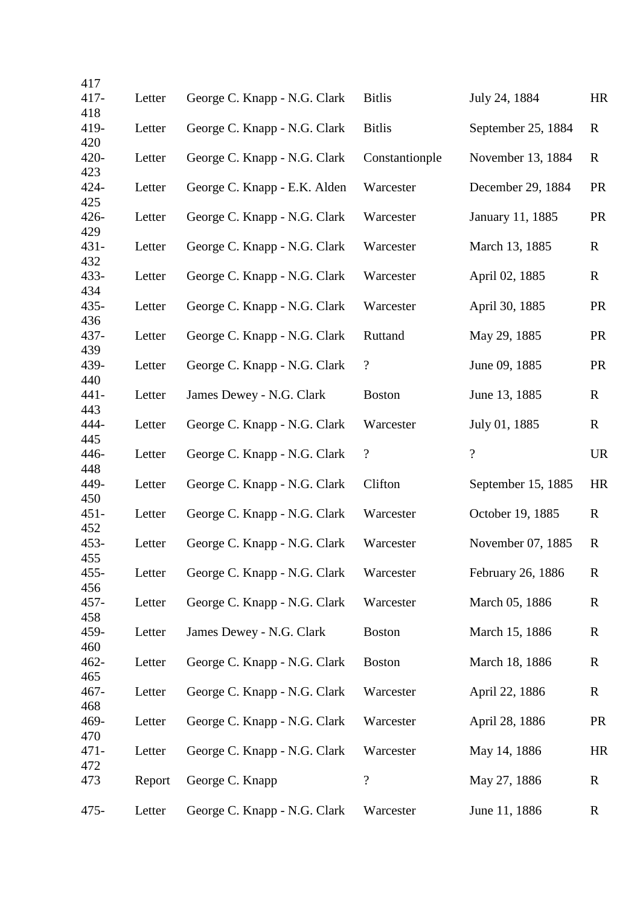| 417            |        |                              |                          |                    |             |
|----------------|--------|------------------------------|--------------------------|--------------------|-------------|
| $417 -$        | Letter | George C. Knapp - N.G. Clark | <b>Bitlis</b>            | July 24, 1884      | HR          |
| 418<br>419-    | Letter | George C. Knapp - N.G. Clark | <b>Bitlis</b>            | September 25, 1884 | $\mathbf R$ |
| 420            |        |                              |                          |                    |             |
| 420-<br>423    | Letter | George C. Knapp - N.G. Clark | Constantionple           | November 13, 1884  | $\mathbf R$ |
| 424-           | Letter | George C. Knapp - E.K. Alden | Warcester                | December 29, 1884  | <b>PR</b>   |
| 425<br>$426 -$ | Letter | George C. Knapp - N.G. Clark | Warcester                | January 11, 1885   | <b>PR</b>   |
| 429            |        |                              |                          |                    |             |
| 431-<br>432    | Letter | George C. Knapp - N.G. Clark | Warcester                | March 13, 1885     | $\mathbf R$ |
| 433-           | Letter | George C. Knapp - N.G. Clark | Warcester                | April 02, 1885     | $\mathbf R$ |
| 434<br>$435 -$ | Letter | George C. Knapp - N.G. Clark | Warcester                | April 30, 1885     | <b>PR</b>   |
| 436            |        |                              |                          |                    |             |
| 437-<br>439    | Letter | George C. Knapp - N.G. Clark | Ruttand                  | May 29, 1885       | <b>PR</b>   |
| 439-           | Letter | George C. Knapp - N.G. Clark | $\boldsymbol{?}$         | June 09, 1885      | <b>PR</b>   |
| 440<br>$441 -$ | Letter | James Dewey - N.G. Clark     | <b>Boston</b>            | June 13, 1885      | $\mathbf R$ |
| 443            |        |                              |                          |                    |             |
| 444-<br>445    | Letter | George C. Knapp - N.G. Clark | Warcester                | July 01, 1885      | $\mathbf R$ |
| 446-           | Letter | George C. Knapp - N.G. Clark | $\boldsymbol{?}$         | $\overline{?}$     | <b>UR</b>   |
| 448<br>449-    | Letter | George C. Knapp - N.G. Clark | Clifton                  | September 15, 1885 | HR          |
| 450<br>$451 -$ | Letter | George C. Knapp - N.G. Clark | Warcester                | October 19, 1885   | $\mathbf R$ |
| 452            |        |                              |                          |                    |             |
| $453 -$<br>455 | Letter | George C. Knapp - N.G. Clark | Warcester                | November 07, 1885  | $\mathbf R$ |
| $455 -$        | Letter | George C. Knapp - N.G. Clark | Warcester                | February 26, 1886  | $\mathbf R$ |
| 456<br>$457 -$ | Letter | George C. Knapp - N.G. Clark | Warcester                | March 05, 1886     | $\mathbf R$ |
| 458            |        |                              |                          |                    |             |
| 459-<br>460    | Letter | James Dewey - N.G. Clark     | <b>Boston</b>            | March 15, 1886     | $\mathbf R$ |
| $462 -$        | Letter | George C. Knapp - N.G. Clark | <b>Boston</b>            | March 18, 1886     | $\mathbf R$ |
| 465<br>$467 -$ | Letter | George C. Knapp - N.G. Clark | Warcester                | April 22, 1886     | $\mathbf R$ |
| 468<br>469-    | Letter | George C. Knapp - N.G. Clark | Warcester                | April 28, 1886     | <b>PR</b>   |
| 470            |        |                              |                          |                    |             |
| $471 -$<br>472 | Letter | George C. Knapp - N.G. Clark | Warcester                | May 14, 1886       | <b>HR</b>   |
| 473            | Report | George C. Knapp              | $\overline{\mathcal{L}}$ | May 27, 1886       | $\mathbf R$ |
| $475 -$        | Letter | George C. Knapp - N.G. Clark | Warcester                | June 11, 1886      | $\mathbf R$ |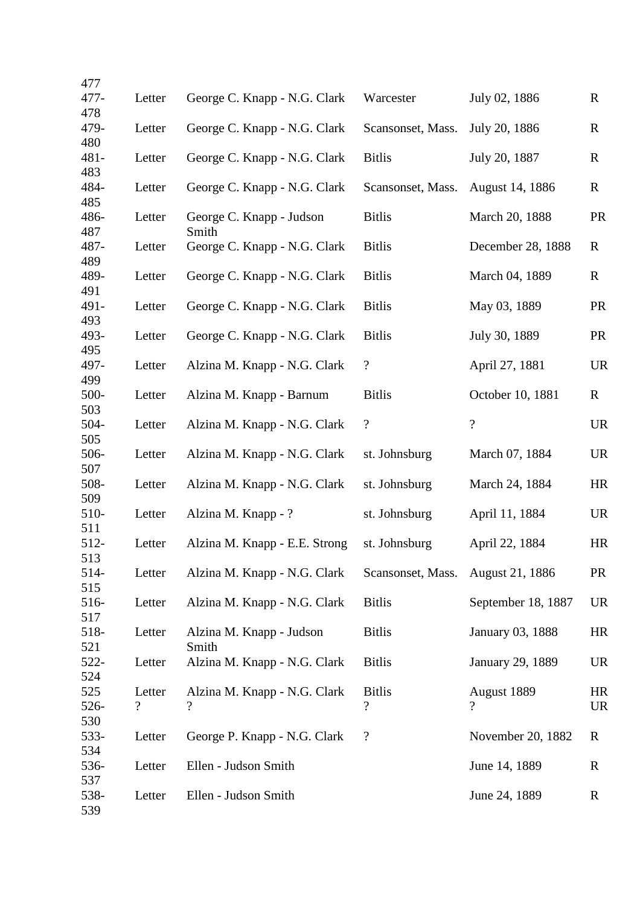| 477         |                |                               |                          |                          |             |
|-------------|----------------|-------------------------------|--------------------------|--------------------------|-------------|
| 477-        | Letter         | George C. Knapp - N.G. Clark  | Warcester                | July 02, 1886            | $\mathbf R$ |
| 478         |                |                               |                          |                          |             |
| 479-        | Letter         | George C. Knapp - N.G. Clark  | Scansonset, Mass.        | July 20, 1886            | $\mathbf R$ |
| 480<br>481- | Letter         | George C. Knapp - N.G. Clark  | <b>Bitlis</b>            | July 20, 1887            | $\mathbf R$ |
| 483         |                |                               |                          |                          |             |
| 484-        | Letter         | George C. Knapp - N.G. Clark  | Scansonset, Mass.        | August 14, 1886          | $\mathbf R$ |
| 485         |                |                               |                          |                          |             |
| 486-        | Letter         | George C. Knapp - Judson      | <b>Bitlis</b>            | March 20, 1888           | <b>PR</b>   |
| 487         |                | Smith                         |                          |                          |             |
| 487-        | Letter         | George C. Knapp - N.G. Clark  | <b>Bitlis</b>            | December 28, 1888        | $\mathbf R$ |
| 489         |                |                               |                          |                          |             |
| 489-        | Letter         | George C. Knapp - N.G. Clark  | <b>Bitlis</b>            | March 04, 1889           | $\mathbf R$ |
| 491<br>491- |                |                               |                          | May 03, 1889             |             |
| 493         | Letter         | George C. Knapp - N.G. Clark  | <b>Bitlis</b>            |                          | <b>PR</b>   |
| 493-        | Letter         | George C. Knapp - N.G. Clark  | <b>Bitlis</b>            | July 30, 1889            | <b>PR</b>   |
| 495         |                |                               |                          |                          |             |
| 497-        | Letter         | Alzina M. Knapp - N.G. Clark  | $\boldsymbol{?}$         | April 27, 1881           | <b>UR</b>   |
| 499         |                |                               |                          |                          |             |
| 500-        | Letter         | Alzina M. Knapp - Barnum      | <b>Bitlis</b>            | October 10, 1881         | $\mathbf R$ |
| 503         |                |                               |                          |                          |             |
| 504-        | Letter         | Alzina M. Knapp - N.G. Clark  | $\boldsymbol{?}$         | $\overline{?}$           | <b>UR</b>   |
| 505<br>506- | Letter         | Alzina M. Knapp - N.G. Clark  | st. Johnsburg            | March 07, 1884           | <b>UR</b>   |
| 507         |                |                               |                          |                          |             |
| 508-        | Letter         | Alzina M. Knapp - N.G. Clark  | st. Johnsburg            | March 24, 1884           | HR          |
| 509         |                |                               |                          |                          |             |
| 510-        | Letter         | Alzina M. Knapp - ?           | st. Johnsburg            | April 11, 1884           | <b>UR</b>   |
| 511         |                |                               |                          |                          |             |
| 512-        | Letter         | Alzina M. Knapp - E.E. Strong | st. Johnsburg            | April 22, 1884           | HR          |
| 513         |                |                               |                          |                          |             |
| 514-<br>515 | Letter         | Alzina M. Knapp - N.G. Clark  | Scansonset, Mass.        | August 21, 1886          | <b>PR</b>   |
| 516-        | Letter         | Alzina M. Knapp - N.G. Clark  | <b>Bitlis</b>            | September 18, 1887       | <b>UR</b>   |
| 517         |                |                               |                          |                          |             |
| 518-        | Letter         | Alzina M. Knapp - Judson      | <b>Bitlis</b>            | January 03, 1888         | HR          |
| 521         |                | Smith                         |                          |                          |             |
| 522-        | Letter         | Alzina M. Knapp - N.G. Clark  | <b>Bitlis</b>            | January 29, 1889         | <b>UR</b>   |
| 524         |                |                               |                          |                          |             |
| 525         | Letter         | Alzina M. Knapp - N.G. Clark  | <b>Bitlis</b>            | August 1889              | HR          |
| 526-<br>530 | $\overline{?}$ | $\gamma$                      | $\overline{\mathcal{C}}$ | $\overline{\mathcal{L}}$ | <b>UR</b>   |
| 533-        | Letter         | George P. Knapp - N.G. Clark  | $\overline{\mathcal{L}}$ | November 20, 1882        | R           |
| 534         |                |                               |                          |                          |             |
| 536-        | Letter         | Ellen - Judson Smith          |                          | June 14, 1889            | $\mathbf R$ |
| 537         |                |                               |                          |                          |             |
| 538-        | Letter         | Ellen - Judson Smith          |                          | June 24, 1889            | $\mathbf R$ |
| 539         |                |                               |                          |                          |             |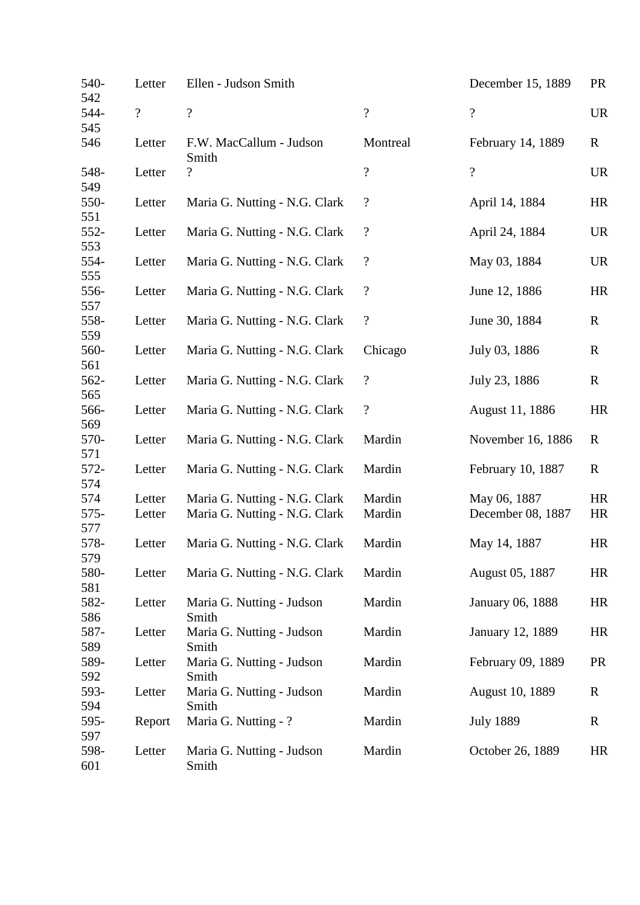| 540-<br>542   | Letter         | Ellen - Judson Smith               |                            | December 15, 1889       | <b>PR</b>   |
|---------------|----------------|------------------------------------|----------------------------|-------------------------|-------------|
| 544-<br>545   | $\overline{?}$ | $\overline{\mathcal{L}}$           | $\overline{\mathcal{L}}$   | $\overline{?}$          | <b>UR</b>   |
| 546           | Letter         | F.W. MacCallum - Judson<br>Smith   | Montreal                   | February 14, 1889       | $\mathbf R$ |
| 548-<br>549   | Letter         | $\overline{\cdot}$                 | $\overline{\mathcal{L}}$   | $\overline{?}$          | <b>UR</b>   |
| 550-<br>551   | Letter         | Maria G. Nutting - N.G. Clark      | $\boldsymbol{\mathcal{C}}$ | April 14, 1884          | <b>HR</b>   |
| 552-<br>553   | Letter         | Maria G. Nutting - N.G. Clark      | $\boldsymbol{\mathcal{C}}$ | April 24, 1884          | <b>UR</b>   |
| 554-<br>555   | Letter         | Maria G. Nutting - N.G. Clark      | $\boldsymbol{?}$           | May 03, 1884            | <b>UR</b>   |
| 556-<br>557   | Letter         | Maria G. Nutting - N.G. Clark      | $\boldsymbol{?}$           | June 12, 1886           | HR          |
| 558-<br>559   | Letter         | Maria G. Nutting - N.G. Clark      | $\overline{\mathcal{L}}$   | June 30, 1884           | $\mathbf R$ |
| 560-          | Letter         | Maria G. Nutting - N.G. Clark      | Chicago                    | July 03, 1886           | $\mathbf R$ |
| 561<br>562-   | Letter         | Maria G. Nutting - N.G. Clark      | $\boldsymbol{?}$           | July 23, 1886           | $\mathbf R$ |
| 565<br>566-   | Letter         | Maria G. Nutting - N.G. Clark      | $\overline{\mathcal{L}}$   | August 11, 1886         | HR          |
| 569<br>570-   | Letter         | Maria G. Nutting - N.G. Clark      | Mardin                     | November 16, 1886       | R           |
| 571<br>572-   | Letter         | Maria G. Nutting - N.G. Clark      | Mardin                     | February 10, 1887       | $\mathbf R$ |
| 574<br>574    | Letter         | Maria G. Nutting - N.G. Clark      | Mardin                     | May 06, 1887            | HR          |
| $575-$<br>577 | Letter         | Maria G. Nutting - N.G. Clark      | Mardin                     | December 08, 1887       | HR          |
| 578-<br>579   | Letter         | Maria G. Nutting - N.G. Clark      | Mardin                     | May 14, 1887            | <b>HR</b>   |
| 580-<br>581   | Letter         | Maria G. Nutting - N.G. Clark      | Mardin                     | August 05, 1887         | HR          |
| 582-<br>586   | Letter         | Maria G. Nutting - Judson<br>Smith | Mardin                     | <b>January 06, 1888</b> | HR          |
| 587-<br>589   | Letter         | Maria G. Nutting - Judson<br>Smith | Mardin                     | January 12, 1889        | HR          |
| 589-<br>592   | Letter         | Maria G. Nutting - Judson<br>Smith | Mardin                     | February 09, 1889       | <b>PR</b>   |
| 593-<br>594   | Letter         | Maria G. Nutting - Judson<br>Smith | Mardin                     | August 10, 1889         | $\mathbf R$ |
| 595-<br>597   | Report         | Maria G. Nutting - ?               | Mardin                     | <b>July 1889</b>        | $\mathbf R$ |
| 598-<br>601   | Letter         | Maria G. Nutting - Judson<br>Smith | Mardin                     | October 26, 1889        | HR          |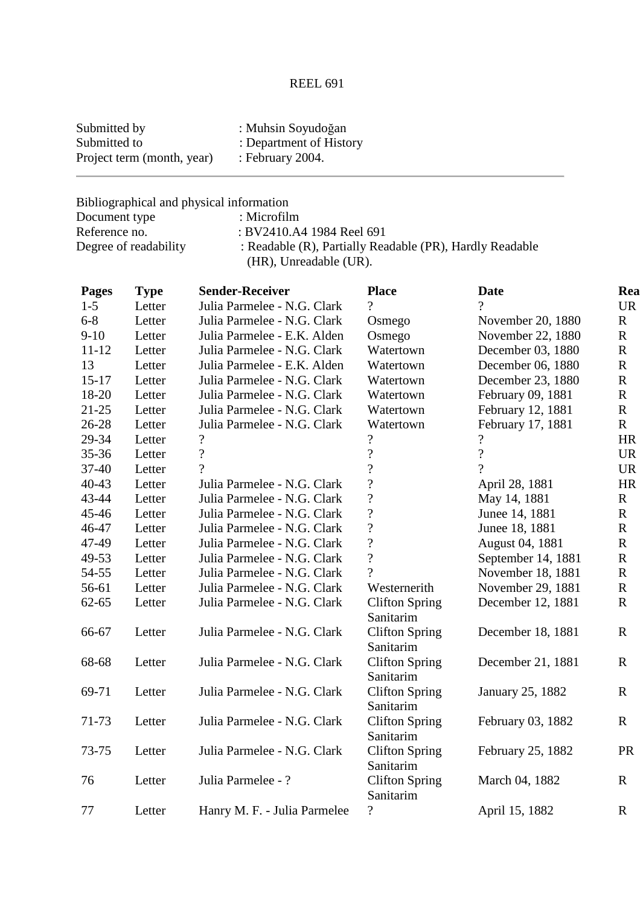# REEL 691

| Submitted by               | : Muhsin Soyudoğan      |
|----------------------------|-------------------------|
| Submitted to               | : Department of History |
| Project term (month, year) | : February $2004$ .     |

Bibliographical and physical information<br>Document type : Microfilm Document type<br>Reference no. Reference no. : BV2410.A4 1984 Reel 691<br>Degree of readability : Readable (R), Partially Rea : Readable (R), Partially Readable (PR), Hardly Readable (HR), Unreadable (UR).

| <b>Pages</b> | <b>Type</b> | <b>Sender-Receiver</b>       | <b>Place</b>                       | <b>Date</b>              | Rea         |
|--------------|-------------|------------------------------|------------------------------------|--------------------------|-------------|
| $1-5$        | Letter      | Julia Parmelee - N.G. Clark  | $\gamma$                           | $\gamma$                 | <b>UR</b>   |
| $6 - 8$      | Letter      | Julia Parmelee - N.G. Clark  | Osmego                             | November 20, 1880        | $\mathbf R$ |
| $9-10$       | Letter      | Julia Parmelee - E.K. Alden  | Osmego                             | November 22, 1880        | $\mathbf R$ |
| $11 - 12$    | Letter      | Julia Parmelee - N.G. Clark  | Watertown                          | December 03, 1880        | $\mathbf R$ |
| 13           | Letter      | Julia Parmelee - E.K. Alden  | Watertown                          | December 06, 1880        | $\mathbf R$ |
| $15 - 17$    | Letter      | Julia Parmelee - N.G. Clark  | Watertown                          | December 23, 1880        | $\mathbf R$ |
| 18-20        | Letter      | Julia Parmelee - N.G. Clark  | Watertown                          | February 09, 1881        | $\mathbf R$ |
| $21 - 25$    | Letter      | Julia Parmelee - N.G. Clark  | Watertown                          | February 12, 1881        | $\mathbf R$ |
| 26-28        | Letter      | Julia Parmelee - N.G. Clark  | Watertown                          | February 17, 1881        | $\mathbf R$ |
| 29-34        | Letter      | $\overline{\mathcal{C}}$     | $\overline{\mathcal{L}}$           | $\overline{\mathcal{L}}$ | HR          |
| $35 - 36$    | Letter      | $\overline{\mathcal{L}}$     | $\overline{\mathcal{L}}$           | $\overline{\mathcal{L}}$ | <b>UR</b>   |
| 37-40        | Letter      | $\overline{?}$               | $\overline{?}$                     | $\gamma$                 | <b>UR</b>   |
| $40 - 43$    | Letter      | Julia Parmelee - N.G. Clark  | $\overline{\mathcal{L}}$           | April 28, 1881           | $\rm{HR}$   |
| 43-44        | Letter      | Julia Parmelee - N.G. Clark  | $\boldsymbol{?}$                   | May 14, 1881             | $\mathbf R$ |
| 45-46        | Letter      | Julia Parmelee - N.G. Clark  | $\overline{?}$                     | Junee 14, 1881           | $\mathbf R$ |
| 46-47        | Letter      | Julia Parmelee - N.G. Clark  | $\overline{\mathcal{L}}$           | Junee 18, 1881           | $\mathbf R$ |
| 47-49        | Letter      | Julia Parmelee - N.G. Clark  | $\overline{?}$                     | August 04, 1881          | $\mathbf R$ |
| 49-53        | Letter      | Julia Parmelee - N.G. Clark  | $\overline{?}$                     | September 14, 1881       | $\mathbf R$ |
| 54-55        | Letter      | Julia Parmelee - N.G. Clark  | $\gamma$                           | November 18, 1881        | $\mathbf R$ |
| 56-61        | Letter      | Julia Parmelee - N.G. Clark  | Westernerith                       | November 29, 1881        | $\mathbf R$ |
| $62 - 65$    | Letter      | Julia Parmelee - N.G. Clark  | <b>Clifton Spring</b>              | December 12, 1881        | $\mathbf R$ |
|              |             |                              | Sanitarim                          |                          |             |
| 66-67        | Letter      | Julia Parmelee - N.G. Clark  | <b>Clifton Spring</b>              | December 18, 1881        | $\mathbf R$ |
|              |             |                              | Sanitarim                          |                          |             |
| 68-68        | Letter      | Julia Parmelee - N.G. Clark  | <b>Clifton Spring</b><br>Sanitarim | December 21, 1881        | $\mathbf R$ |
| 69-71        | Letter      | Julia Parmelee - N.G. Clark  | <b>Clifton Spring</b>              | January 25, 1882         | $\mathbf R$ |
| 71-73        | Letter      | Julia Parmelee - N.G. Clark  | Sanitarim<br><b>Clifton Spring</b> | February 03, 1882        | $\mathbf R$ |
|              |             |                              | Sanitarim                          |                          |             |
| 73-75        | Letter      | Julia Parmelee - N.G. Clark  | <b>Clifton Spring</b><br>Sanitarim | February 25, 1882        | PR          |
| 76           | Letter      | Julia Parmelee - ?           | <b>Clifton Spring</b>              | March 04, 1882           | $\mathbf R$ |
|              |             |                              | Sanitarim                          |                          |             |
| 77           | Letter      | Hanry M. F. - Julia Parmelee | $\overline{?}$                     | April 15, 1882           | $\mathbf R$ |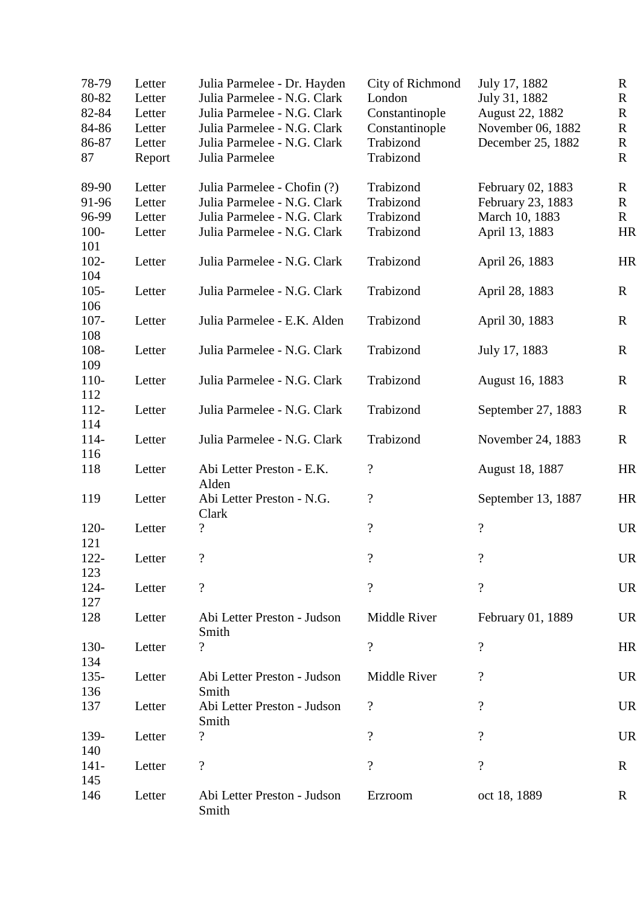| 78-79<br>80-82<br>82-84<br>84-86<br>86-87<br>87 | Letter<br>Letter<br>Letter<br>Letter<br>Letter<br>Report | Julia Parmelee - Dr. Hayden<br>Julia Parmelee - N.G. Clark<br>Julia Parmelee - N.G. Clark<br>Julia Parmelee - N.G. Clark<br>Julia Parmelee - N.G. Clark<br>Julia Parmelee | City of Richmond<br>London<br>Constantinople<br>Constantinople<br>Trabizond<br>Trabizond | July 17, 1882<br>July 31, 1882<br>August 22, 1882<br>November 06, 1882<br>December 25, 1882 | $\mathbf R$<br>$\mathbf R$<br>$\mathbf R$<br>$\mathbf R$<br>$\mathbf R$<br>$\mathbf{R}$ |
|-------------------------------------------------|----------------------------------------------------------|---------------------------------------------------------------------------------------------------------------------------------------------------------------------------|------------------------------------------------------------------------------------------|---------------------------------------------------------------------------------------------|-----------------------------------------------------------------------------------------|
| 89-90                                           | Letter                                                   | Julia Parmelee - Chofin (?)                                                                                                                                               | Trabizond                                                                                | February 02, 1883                                                                           | R                                                                                       |
| 91-96                                           | Letter                                                   | Julia Parmelee - N.G. Clark                                                                                                                                               | Trabizond                                                                                | February 23, 1883                                                                           | $\mathbf R$                                                                             |
| 96-99                                           | Letter                                                   | Julia Parmelee - N.G. Clark                                                                                                                                               | Trabizond                                                                                | March 10, 1883                                                                              | $\mathbf R$                                                                             |
| $100 -$                                         | Letter                                                   | Julia Parmelee - N.G. Clark                                                                                                                                               | Trabizond                                                                                | April 13, 1883                                                                              | HR                                                                                      |
| 101<br>$102 -$                                  | Letter                                                   | Julia Parmelee - N.G. Clark                                                                                                                                               | Trabizond                                                                                | April 26, 1883                                                                              | HR                                                                                      |
| 104<br>$105 -$                                  | Letter                                                   | Julia Parmelee - N.G. Clark                                                                                                                                               | Trabizond                                                                                | April 28, 1883                                                                              | $\mathbf R$                                                                             |
| 106                                             |                                                          |                                                                                                                                                                           |                                                                                          |                                                                                             |                                                                                         |
| $107 -$                                         | Letter                                                   | Julia Parmelee - E.K. Alden                                                                                                                                               | Trabizond                                                                                | April 30, 1883                                                                              | $\mathbf R$                                                                             |
| 108<br>108-                                     | Letter                                                   | Julia Parmelee - N.G. Clark                                                                                                                                               | Trabizond                                                                                | July 17, 1883                                                                               | $\mathbf R$                                                                             |
| 109                                             |                                                          |                                                                                                                                                                           |                                                                                          |                                                                                             |                                                                                         |
| 110-<br>112                                     | Letter                                                   | Julia Parmelee - N.G. Clark                                                                                                                                               | Trabizond                                                                                | August 16, 1883                                                                             | $\mathbf R$                                                                             |
| 112-                                            | Letter                                                   | Julia Parmelee - N.G. Clark                                                                                                                                               | Trabizond                                                                                | September 27, 1883                                                                          | $\mathbf R$                                                                             |
| 114<br>$114-$                                   | Letter                                                   | Julia Parmelee - N.G. Clark                                                                                                                                               | Trabizond                                                                                | November 24, 1883                                                                           | $\mathbf R$                                                                             |
| 116                                             |                                                          |                                                                                                                                                                           |                                                                                          |                                                                                             |                                                                                         |
| 118                                             | Letter                                                   | Abi Letter Preston - E.K.<br>Alden                                                                                                                                        | $\overline{\mathcal{C}}$                                                                 | August 18, 1887                                                                             | HR                                                                                      |
| 119                                             | Letter                                                   | Abi Letter Preston - N.G.<br>Clark                                                                                                                                        | $\overline{\mathcal{C}}$                                                                 | September 13, 1887                                                                          | HR                                                                                      |
| $120 -$                                         | Letter                                                   | $\overline{\cdot}$                                                                                                                                                        | $\overline{\mathcal{L}}$                                                                 | $\overline{\mathcal{L}}$                                                                    | <b>UR</b>                                                                               |
| 121                                             |                                                          |                                                                                                                                                                           |                                                                                          |                                                                                             |                                                                                         |
| $122 -$                                         | Letter                                                   |                                                                                                                                                                           | $\overline{\mathcal{L}}$                                                                 |                                                                                             | <b>UR</b>                                                                               |
| 123                                             |                                                          |                                                                                                                                                                           |                                                                                          |                                                                                             |                                                                                         |
| $124 -$<br>127                                  | Letter                                                   | $\overline{\mathcal{C}}$                                                                                                                                                  | $\overline{\mathcal{L}}$                                                                 | $\overline{\mathcal{L}}$                                                                    | <b>UR</b>                                                                               |
| 128                                             | Letter                                                   | Abi Letter Preston - Judson<br>Smith                                                                                                                                      | Middle River                                                                             | February 01, 1889                                                                           | <b>UR</b>                                                                               |
| $130-$                                          | Letter                                                   | $\overline{\mathcal{L}}$                                                                                                                                                  | $\overline{\mathcal{L}}$                                                                 | $\overline{\mathcal{L}}$                                                                    | HR                                                                                      |
| 134                                             |                                                          |                                                                                                                                                                           |                                                                                          |                                                                                             |                                                                                         |
| $135 -$                                         | Letter                                                   | Abi Letter Preston - Judson                                                                                                                                               | Middle River                                                                             | $\overline{\mathcal{C}}$                                                                    | <b>UR</b>                                                                               |
| 136                                             |                                                          | Smith                                                                                                                                                                     |                                                                                          |                                                                                             |                                                                                         |
| 137                                             | Letter                                                   | Abi Letter Preston - Judson<br>Smith                                                                                                                                      | $\overline{\mathcal{C}}$                                                                 | $\overline{\mathcal{L}}$                                                                    | <b>UR</b>                                                                               |
| 139-                                            | Letter                                                   | $\overline{\cdot}$                                                                                                                                                        | $\overline{\cdot}$                                                                       | $\overline{?}$                                                                              | <b>UR</b>                                                                               |
| 140                                             |                                                          |                                                                                                                                                                           |                                                                                          |                                                                                             |                                                                                         |
| $141 -$                                         | Letter                                                   | $\overline{\mathcal{L}}$                                                                                                                                                  | $\overline{\mathcal{L}}$                                                                 | $\overline{\mathcal{L}}$                                                                    | $\mathbf R$                                                                             |
| 145                                             |                                                          |                                                                                                                                                                           |                                                                                          |                                                                                             |                                                                                         |
| 146                                             | Letter                                                   | Abi Letter Preston - Judson<br>Smith                                                                                                                                      | Erzroom                                                                                  | oct 18, 1889                                                                                | $\mathbf R$                                                                             |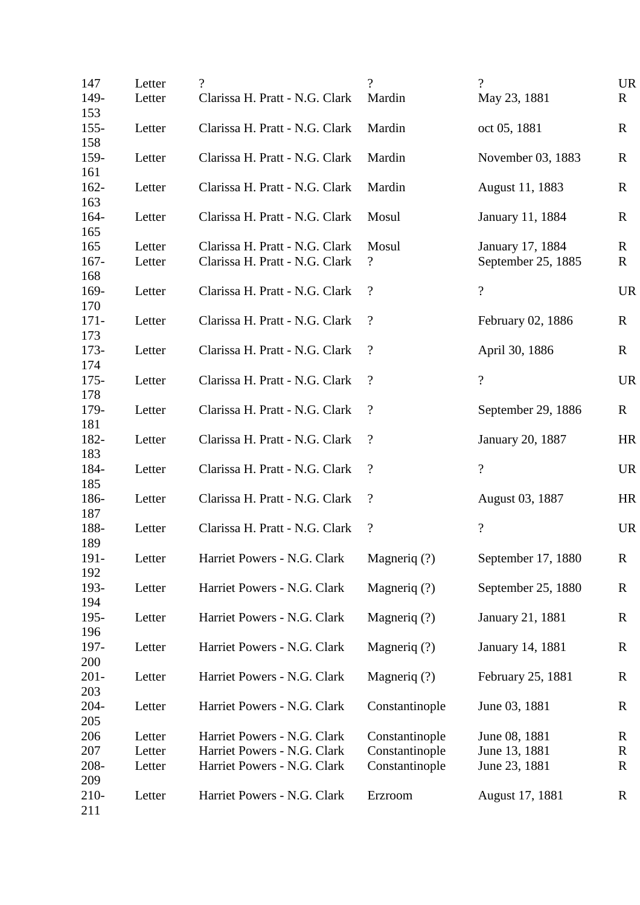| 147            | Letter | $\gamma$                       | $\gamma$                   | $\gamma$                               | <b>UR</b>        |
|----------------|--------|--------------------------------|----------------------------|----------------------------------------|------------------|
| 149-           | Letter | Clarissa H. Pratt - N.G. Clark | Mardin                     | May 23, 1881                           | $\mathbf{R}$     |
| 153            |        |                                |                            |                                        |                  |
| $155 -$<br>158 | Letter | Clarissa H. Pratt - N.G. Clark | Mardin                     | oct 05, 1881                           | $\mathbf R$      |
| 159-           | Letter | Clarissa H. Pratt - N.G. Clark | Mardin                     | November 03, 1883                      | $\mathbf R$      |
| 161            |        |                                |                            |                                        |                  |
| $162 -$        | Letter | Clarissa H. Pratt - N.G. Clark | Mardin                     | August 11, 1883                        | R                |
| 163            |        |                                |                            |                                        |                  |
| $164 -$        | Letter | Clarissa H. Pratt - N.G. Clark | Mosul                      | January 11, 1884                       | $\mathbf R$      |
| 165<br>165     | Letter | Clarissa H. Pratt - N.G. Clark | Mosul                      |                                        |                  |
| $167 -$        | Letter | Clarissa H. Pratt - N.G. Clark | $\overline{\mathcal{L}}$   | January 17, 1884<br>September 25, 1885 | R<br>$\mathbf R$ |
| 168            |        |                                |                            |                                        |                  |
| 169-           | Letter | Clarissa H. Pratt - N.G. Clark | $\boldsymbol{\mathcal{P}}$ | $\overline{\mathcal{L}}$               | <b>UR</b>        |
| 170            |        |                                |                            |                                        |                  |
| $171 -$        | Letter | Clarissa H. Pratt - N.G. Clark | $\boldsymbol{\mathcal{P}}$ | February 02, 1886                      | $\mathbf R$      |
| 173            |        |                                |                            |                                        |                  |
| $173-$         | Letter | Clarissa H. Pratt - N.G. Clark | $\gamma$                   | April 30, 1886                         | $\mathbf{R}$     |
| 174<br>$175 -$ | Letter | Clarissa H. Pratt - N.G. Clark | $\overline{\mathcal{L}}$   | $\overline{\mathcal{L}}$               | <b>UR</b>        |
| 178            |        |                                |                            |                                        |                  |
| 179-           | Letter | Clarissa H. Pratt - N.G. Clark | $\gamma$                   | September 29, 1886                     | $\mathbf{R}$     |
| 181            |        |                                |                            |                                        |                  |
| 182-           | Letter | Clarissa H. Pratt - N.G. Clark | $\overline{\mathcal{L}}$   | January 20, 1887                       | HR               |
| 183            |        |                                |                            |                                        |                  |
| 184-           | Letter | Clarissa H. Pratt - N.G. Clark | $\boldsymbol{\mathcal{P}}$ | $\overline{?}$                         | <b>UR</b>        |
| 185<br>186-    | Letter | Clarissa H. Pratt - N.G. Clark | $\boldsymbol{?}$           | August 03, 1887                        | HR               |
| 187            |        |                                |                            |                                        |                  |
| 188-           | Letter | Clarissa H. Pratt - N.G. Clark | $\overline{\mathcal{L}}$   | $\overline{?}$                         | <b>UR</b>        |
| 189            |        |                                |                            |                                        |                  |
| 191-           | Letter | Harriet Powers - N.G. Clark    | Magneriq (?)               | September 17, 1880                     | $\mathbf R$      |
| 192            |        |                                |                            |                                        |                  |
| 193-           | Letter | Harriet Powers - N.G. Clark    | Magneriq (?)               | September 25, 1880                     | $\mathbf R$      |
| 194<br>$195 -$ | Letter | Harriet Powers - N.G. Clark    | Magneriq (?)               | January 21, 1881                       | R                |
| 196            |        |                                |                            |                                        |                  |
| 197-           | Letter | Harriet Powers - N.G. Clark    | Magneriq (?)               | January 14, 1881                       | $\mathbf R$      |
| 200            |        |                                |                            |                                        |                  |
| $201 -$        | Letter | Harriet Powers - N.G. Clark    | Magneriq (?)               | February 25, 1881                      | $\mathbf R$      |
| 203            |        |                                |                            |                                        |                  |
| $204 -$        | Letter | Harriet Powers - N.G. Clark    | Constantinople             | June 03, 1881                          | $\mathbf R$      |
| 205<br>206     | Letter | Harriet Powers - N.G. Clark    | Constantinople             | June 08, 1881                          | $\mathbf R$      |
| 207            | Letter | Harriet Powers - N.G. Clark    | Constantinople             | June 13, 1881                          | R                |
| 208-           | Letter | Harriet Powers - N.G. Clark    | Constantinople             | June 23, 1881                          | $\mathbf R$      |
| 209            |        |                                |                            |                                        |                  |
| $210 -$        | Letter | Harriet Powers - N.G. Clark    | Erzroom                    | August 17, 1881                        | $\mathbf R$      |
| 211            |        |                                |                            |                                        |                  |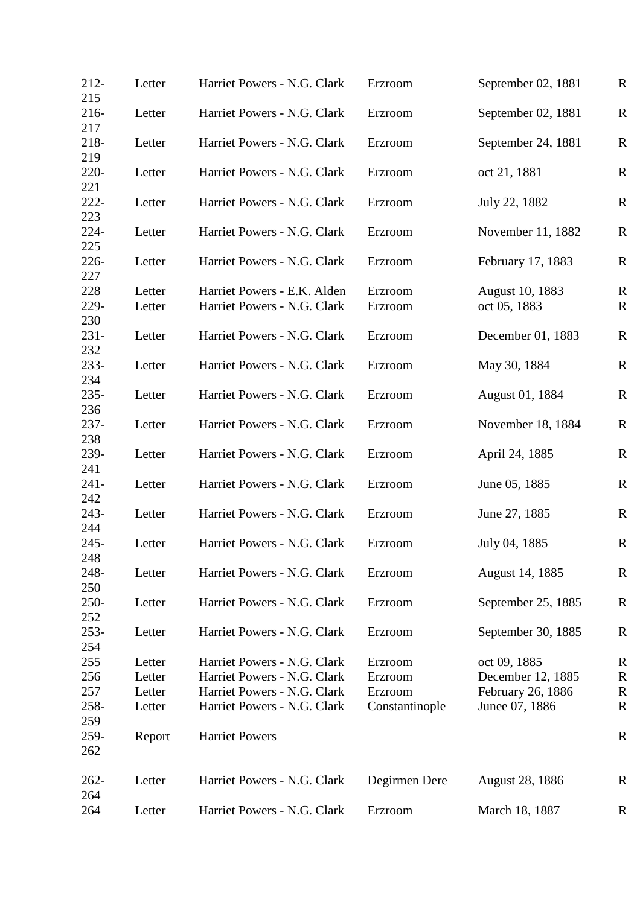| $212 -$<br>215 | Letter | Harriet Powers - N.G. Clark | Erzroom                       | September 02, 1881     | $\mathbf R$ |
|----------------|--------|-----------------------------|-------------------------------|------------------------|-------------|
| $216 -$<br>217 | Letter | Harriet Powers - N.G. Clark | September 02, 1881<br>Erzroom |                        | $\mathbf R$ |
| 218-<br>219    | Letter | Harriet Powers - N.G. Clark | Erzroom                       | September 24, 1881     | $\mathbf R$ |
| $220 -$<br>221 | Letter | Harriet Powers - N.G. Clark | Erzroom                       | oct 21, 1881           | $\mathbf R$ |
| $222 -$<br>223 | Letter | Harriet Powers - N.G. Clark | Erzroom                       | July 22, 1882          | $\mathbf R$ |
| 224-<br>225    | Letter | Harriet Powers - N.G. Clark | Erzroom                       | November 11, 1882      | $\mathbf R$ |
| 226-<br>227    | Letter | Harriet Powers - N.G. Clark | Erzroom                       | February 17, 1883      | $\mathbf R$ |
| 228            | Letter | Harriet Powers - E.K. Alden | Erzroom                       | August 10, 1883        | $\mathbf R$ |
| 229-<br>230    | Letter | Harriet Powers - N.G. Clark | Erzroom                       | oct 05, 1883           | $\mathbf R$ |
| $231 -$<br>232 | Letter | Harriet Powers - N.G. Clark | Erzroom                       | December 01, 1883      | $\mathbf R$ |
| 233-<br>234    | Letter | Harriet Powers - N.G. Clark | Erzroom                       | May 30, 1884           | $\mathbf R$ |
| $235 -$<br>236 | Letter | Harriet Powers - N.G. Clark | Erzroom                       | August 01, 1884        | $\mathbf R$ |
| $237 -$<br>238 | Letter | Harriet Powers - N.G. Clark | Erzroom                       | November 18, 1884      | $\mathbf R$ |
| 239-<br>241    | Letter | Harriet Powers - N.G. Clark | Erzroom                       | April 24, 1885         | $\mathbf R$ |
| $241 -$<br>242 | Letter | Harriet Powers - N.G. Clark | Erzroom                       | June 05, 1885          | $\mathbf R$ |
| 243-<br>244    | Letter | Harriet Powers - N.G. Clark | Erzroom                       | June 27, 1885          | $\mathbf R$ |
| $245 -$<br>248 | Letter | Harriet Powers - N.G. Clark | Erzroom                       | July 04, 1885          | $\mathbf R$ |
| 248-<br>250    | Letter | Harriet Powers - N.G. Clark | Erzroom                       | August 14, 1885        | $\mathbf R$ |
| 250-<br>252    | Letter | Harriet Powers - N.G. Clark | Erzroom                       | September 25, 1885     | $\mathbf R$ |
| $253 -$<br>254 | Letter | Harriet Powers - N.G. Clark | Erzroom                       | September 30, 1885     | $\mathbf R$ |
| 255            | Letter | Harriet Powers - N.G. Clark | Erzroom                       | oct 09, 1885           | $\mathbf R$ |
| 256            | Letter | Harriet Powers - N.G. Clark | Erzroom                       | December 12, 1885      | $\mathbf R$ |
| 257            | Letter | Harriet Powers - N.G. Clark | Erzroom                       | February 26, 1886      | ${\bf R}$   |
| 258-<br>259    | Letter | Harriet Powers - N.G. Clark | Constantinople                | Junee 07, 1886         | $\mathbf R$ |
| 259-<br>262    | Report | <b>Harriet Powers</b>       |                               |                        | $\mathbf R$ |
| $262 -$<br>264 | Letter | Harriet Powers - N.G. Clark | Degirmen Dere                 | <b>August 28, 1886</b> | R           |
| 264            | Letter | Harriet Powers - N.G. Clark | Erzroom                       | March 18, 1887         | $\mathbf R$ |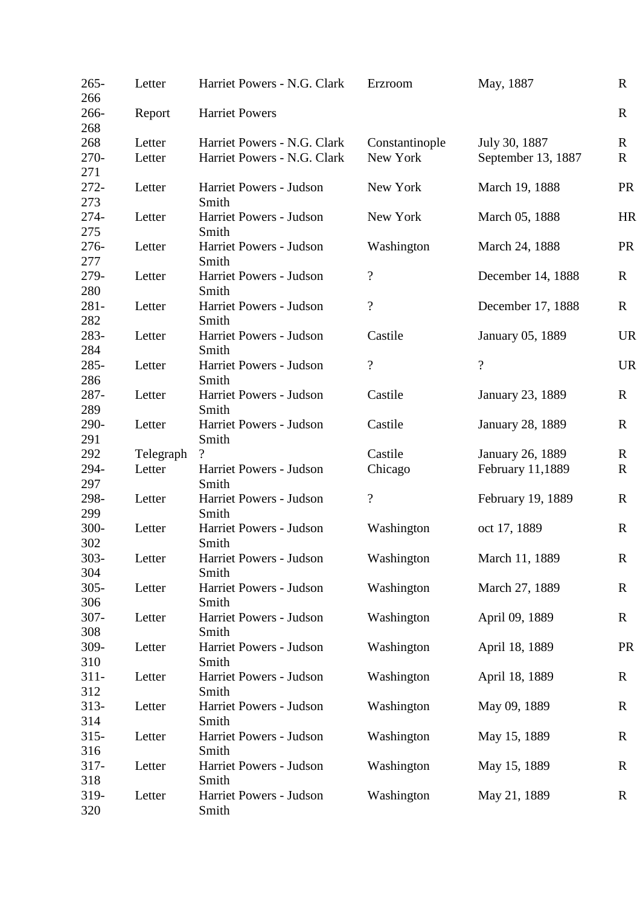| $265 -$<br>266 | Letter    | Harriet Powers - N.G. Clark      | Erzroom                  | May, 1887               | $\mathbf R$  |
|----------------|-----------|----------------------------------|--------------------------|-------------------------|--------------|
| 266-<br>268    | Report    | <b>Harriet Powers</b>            |                          |                         | $\mathbf R$  |
| 268            | Letter    | Harriet Powers - N.G. Clark      | Constantinople           | July 30, 1887           | $\mathbf R$  |
| $270-$<br>271  | Letter    | Harriet Powers - N.G. Clark      | New York                 | September 13, 1887      | $\mathbf R$  |
| $272 -$<br>273 | Letter    | Harriet Powers - Judson<br>Smith | New York                 | March 19, 1888          | <b>PR</b>    |
| $274-$<br>275  | Letter    | Harriet Powers - Judson<br>Smith | New York                 | March 05, 1888          | HR           |
| $276 -$<br>277 | Letter    | Harriet Powers - Judson<br>Smith | Washington               | March 24, 1888          | <b>PR</b>    |
| 279-           | Letter    | Harriet Powers - Judson          | $\overline{\mathcal{L}}$ | December 14, 1888       | $\mathbf{R}$ |
| 280            |           | Smith                            |                          |                         |              |
| $281 -$<br>282 | Letter    | Harriet Powers - Judson<br>Smith | $\overline{\mathcal{C}}$ | December 17, 1888       | $\mathbf R$  |
| 283-           | Letter    | Harriet Powers - Judson          | Castile                  | January 05, 1889        | <b>UR</b>    |
| 284            |           | Smith                            |                          |                         |              |
| 285-           | Letter    | Harriet Powers - Judson          | $\overline{\mathcal{L}}$ | $\overline{?}$          | <b>UR</b>    |
| 286            |           | Smith                            |                          |                         |              |
| 287-           | Letter    | Harriet Powers - Judson          | Castile                  | January 23, 1889        | $\mathbf R$  |
| 289            |           | Smith                            |                          |                         |              |
| 290-           | Letter    | Harriet Powers - Judson          | Castile                  | <b>January 28, 1889</b> | $\mathbf R$  |
| 291            |           | Smith                            |                          |                         |              |
| 292            | Telegraph | $\gamma$                         | Castile                  | January 26, 1889        | R            |
| 294-           | Letter    | Harriet Powers - Judson          | Chicago                  | February 11,1889        | $\mathbf R$  |
| 297            |           | Smith                            |                          |                         |              |
| 298-           | Letter    | Harriet Powers - Judson          | $\overline{\mathcal{L}}$ | February 19, 1889       | $\mathbf R$  |
| 299            |           | Smith                            |                          |                         |              |
| 300-           | Letter    | Harriet Powers - Judson          | Washington               | oct 17, 1889            | $\mathbf{R}$ |
| 302            |           | Smith                            |                          |                         |              |
| $303 -$        | Letter    | Harriet Powers - Judson          | Washington               | March 11, 1889          | $\mathbf R$  |
| 304            |           | Smith                            |                          |                         |              |
| $305 -$<br>306 | Letter    | Harriet Powers - Judson<br>Smith | Washington               | March 27, 1889          | $\mathbf{R}$ |
| $307 -$        | Letter    | Harriet Powers - Judson          | Washington               | April 09, 1889          | $\mathbf R$  |
| 308            |           | Smith                            |                          |                         |              |
| 309-           | Letter    | Harriet Powers - Judson          | Washington               | April 18, 1889          | <b>PR</b>    |
| 310            |           | Smith                            |                          |                         |              |
| $311 -$        | Letter    | Harriet Powers - Judson          | Washington               | April 18, 1889          | $\mathbf R$  |
| 312            |           | Smith                            |                          |                         |              |
| $313-$         | Letter    | Harriet Powers - Judson          | Washington               | May 09, 1889            | $\mathbf R$  |
| 314            |           | Smith                            |                          |                         |              |
| $315 -$        | Letter    | Harriet Powers - Judson          | Washington               | May 15, 1889            | $\mathbf R$  |
| 316            |           | Smith                            |                          |                         |              |
| $317 -$        | Letter    | Harriet Powers - Judson          | Washington               | May 15, 1889            | R            |
| 318            |           | Smith                            |                          |                         |              |
| 319-           | Letter    | Harriet Powers - Judson          | Washington               | May 21, 1889            | $\mathbf R$  |
| 320            |           | Smith                            |                          |                         |              |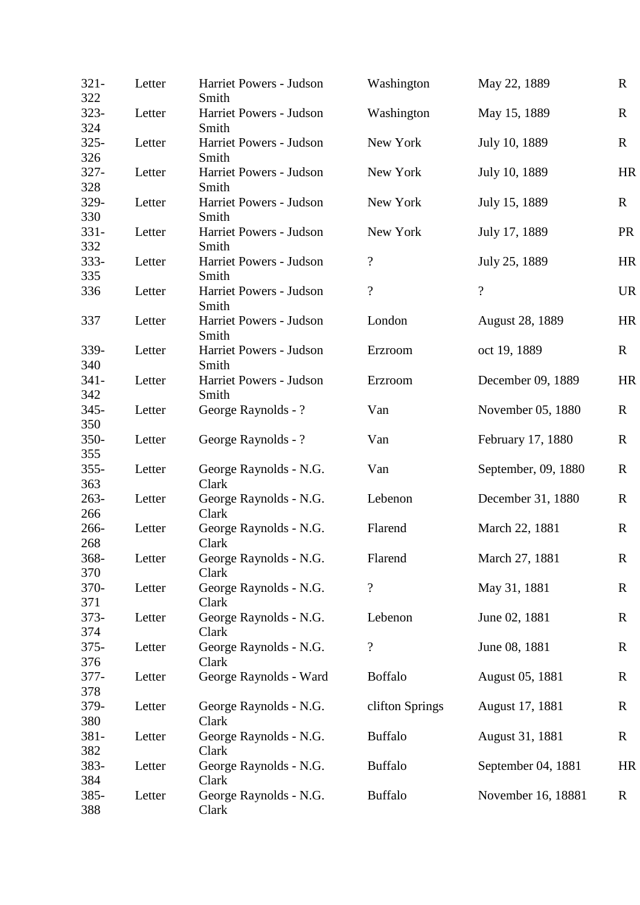| $321 -$<br>322 | Letter | Harriet Powers - Judson<br>Smith | Washington               | May 22, 1889             | $\mathbf{R}$ |
|----------------|--------|----------------------------------|--------------------------|--------------------------|--------------|
| $323 -$<br>324 | Letter | Harriet Powers - Judson<br>Smith | Washington               | May 15, 1889             | $\mathbf R$  |
| $325 -$<br>326 | Letter | Harriet Powers - Judson<br>Smith | New York                 | July 10, 1889            | $\mathbf{R}$ |
| $327 -$<br>328 | Letter | Harriet Powers - Judson<br>Smith | New York                 | July 10, 1889            | HR           |
| 329-<br>330    | Letter | Harriet Powers - Judson<br>Smith | New York                 | July 15, 1889            | $\mathbf{R}$ |
| $331 -$<br>332 | Letter | Harriet Powers - Judson<br>Smith | New York                 | July 17, 1889            | <b>PR</b>    |
| $333 -$<br>335 | Letter | Harriet Powers - Judson<br>Smith | $\overline{\mathcal{L}}$ | July 25, 1889            | HR           |
| 336            | Letter | Harriet Powers - Judson<br>Smith | $\overline{?}$           | $\overline{\mathcal{L}}$ | <b>UR</b>    |
| 337            | Letter | Harriet Powers - Judson<br>Smith | London                   | <b>August 28, 1889</b>   | HR           |
| 339-<br>340    | Letter | Harriet Powers - Judson<br>Smith | Erzroom                  | oct 19, 1889             | $\bf{R}$     |
| $341 -$<br>342 | Letter | Harriet Powers - Judson<br>Smith | Erzroom                  | December 09, 1889        | HR           |
| $345 -$<br>350 | Letter | George Raynolds - ?              | Van                      | November 05, 1880        | $\mathbf R$  |
| 350-<br>355    | Letter | George Raynolds - ?              | Van                      | February 17, 1880        | $\mathbf R$  |
| $355 -$<br>363 | Letter | George Raynolds - N.G.<br>Clark  | Van                      | September, 09, 1880      | $\mathbf R$  |
| $263-$<br>266  | Letter | George Raynolds - N.G.<br>Clark  | Lebenon                  | December 31, 1880        | $\mathbf R$  |
| 266-<br>268    | Letter | George Raynolds - N.G.<br>Clark  | Flarend                  | March 22, 1881           | $\mathbf{R}$ |
| 368-<br>370    | Letter | George Raynolds - N.G.<br>Clark  | Flarend                  | March 27, 1881           | $\mathbf R$  |
| 370-<br>371    | Letter | George Raynolds - N.G.<br>Clark  | $\overline{\mathcal{L}}$ | May 31, 1881             | $\mathbf R$  |
| $373-$<br>374  | Letter | George Raynolds - N.G.<br>Clark  | Lebenon                  | June 02, 1881            | R            |
| $375 -$<br>376 | Letter | George Raynolds - N.G.<br>Clark  | $\overline{\mathcal{C}}$ | June 08, 1881            | $\mathbf R$  |
| $377 -$<br>378 | Letter | George Raynolds - Ward           | <b>Boffalo</b>           | August 05, 1881          | $\mathbf R$  |
| 379-<br>380    | Letter | George Raynolds - N.G.<br>Clark  | clifton Springs          | August 17, 1881          | $\mathbf R$  |
| 381-<br>382    | Letter | George Raynolds - N.G.<br>Clark  | <b>Buffalo</b>           | August 31, 1881          | $\mathbf R$  |
| 383-<br>384    | Letter | George Raynolds - N.G.<br>Clark  | <b>Buffalo</b>           | September 04, 1881       | HR           |
| 385-<br>388    | Letter | George Raynolds - N.G.<br>Clark  | <b>Buffalo</b>           | November 16, 18881       | $\mathbf R$  |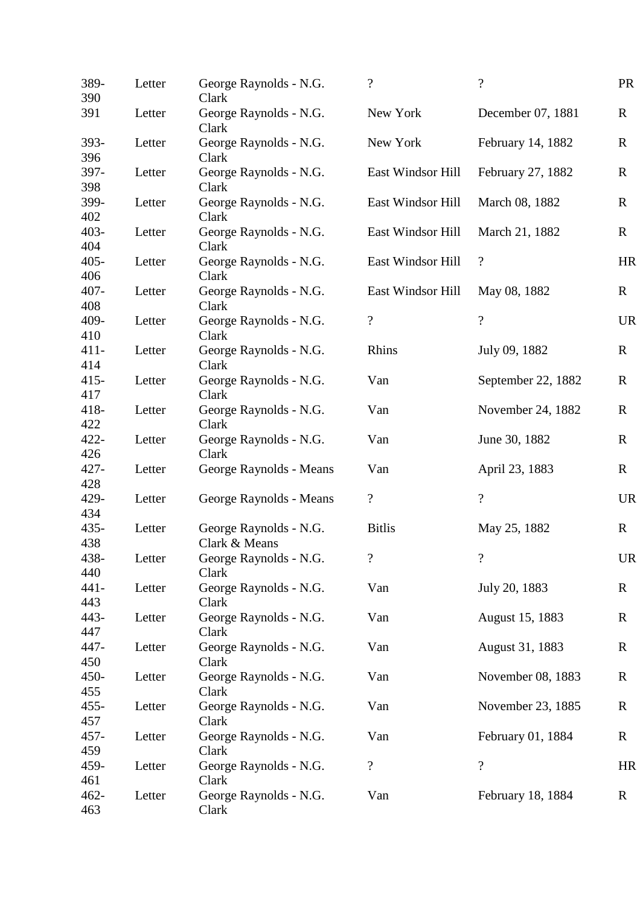| 389-<br>390    | Letter | George Raynolds - N.G.<br>Clark         | $\overline{\mathcal{C}}$ | $\overline{?}$           | <b>PR</b>    |
|----------------|--------|-----------------------------------------|--------------------------|--------------------------|--------------|
| 391            | Letter | George Raynolds - N.G.<br>Clark         | New York                 | December 07, 1881        | $\mathbf R$  |
| 393-<br>396    | Letter | George Raynolds - N.G.<br>Clark         | New York                 | February 14, 1882        | $\mathbf R$  |
| 397-<br>398    | Letter | George Raynolds - N.G.<br>Clark         | East Windsor Hill        | February 27, 1882        | $\mathbf R$  |
| 399-<br>402    | Letter | George Raynolds - N.G.<br>Clark         | East Windsor Hill        | March 08, 1882           | $\mathbf R$  |
| $403 -$<br>404 | Letter | George Raynolds - N.G.<br>Clark         | East Windsor Hill        | March 21, 1882           | $\mathbf R$  |
| $405 -$<br>406 | Letter | George Raynolds - N.G.<br>Clark         | East Windsor Hill        | $\boldsymbol{?}$         | HR           |
| $407 -$<br>408 | Letter | George Raynolds - N.G.<br>Clark         | East Windsor Hill        | May 08, 1882             | $\mathbf{R}$ |
| 409-<br>410    | Letter | George Raynolds - N.G.<br>Clark         | $\overline{\mathcal{C}}$ | $\overline{\mathcal{L}}$ | <b>UR</b>    |
| $411 -$<br>414 | Letter | George Raynolds - N.G.<br>Clark         | Rhins                    | July 09, 1882            | $\mathbf{R}$ |
| $415 -$<br>417 | Letter | George Raynolds - N.G.<br>Clark         | Van                      | September 22, 1882       | $\mathbf R$  |
| 418-<br>422    | Letter | George Raynolds - N.G.<br>Clark         | Van                      | November 24, 1882        | $\mathbf R$  |
| $422 -$<br>426 | Letter | George Raynolds - N.G.<br>Clark         | Van                      | June 30, 1882            | $\mathbf R$  |
| $427 -$<br>428 | Letter | George Raynolds - Means                 | Van                      | April 23, 1883           | $\mathbf{R}$ |
| 429-<br>434    | Letter | George Raynolds - Means                 | $\overline{\mathcal{C}}$ | $\overline{\mathcal{L}}$ | <b>UR</b>    |
| $435 -$<br>438 | Letter | George Raynolds - N.G.<br>Clark & Means | <b>Bitlis</b>            | May 25, 1882             | $\mathbf R$  |
| 438-<br>440    | Letter | George Raynolds - N.G.<br>Clark         | $\overline{\mathcal{L}}$ | $\overline{?}$           | <b>UR</b>    |
| $441 -$<br>443 | Letter | George Raynolds - N.G.<br>Clark         | Van                      | July 20, 1883            | $\mathbf R$  |
| 443-<br>447    | Letter | George Raynolds - N.G.<br>Clark         | Van                      | August 15, 1883          | $\mathbf R$  |
| 447-<br>450    | Letter | George Raynolds - N.G.<br>Clark         | Van                      | August 31, 1883          | $\mathbf R$  |
| 450-<br>455    | Letter | George Raynolds - N.G.<br>Clark         | Van                      | November 08, 1883        | $\mathbf R$  |
| $455 -$<br>457 | Letter | George Raynolds - N.G.<br>Clark         | Van                      | November 23, 1885        | $\mathbf R$  |
| $457 -$<br>459 | Letter | George Raynolds - N.G.<br>Clark         | Van                      | February 01, 1884        | $\mathbf R$  |
| 459-<br>461    | Letter | George Raynolds - N.G.<br>Clark         | $\overline{\mathcal{C}}$ | $\overline{\mathcal{L}}$ | HR           |
| $462 -$<br>463 | Letter | George Raynolds - N.G.<br>Clark         | Van                      | February 18, 1884        | $\mathbf R$  |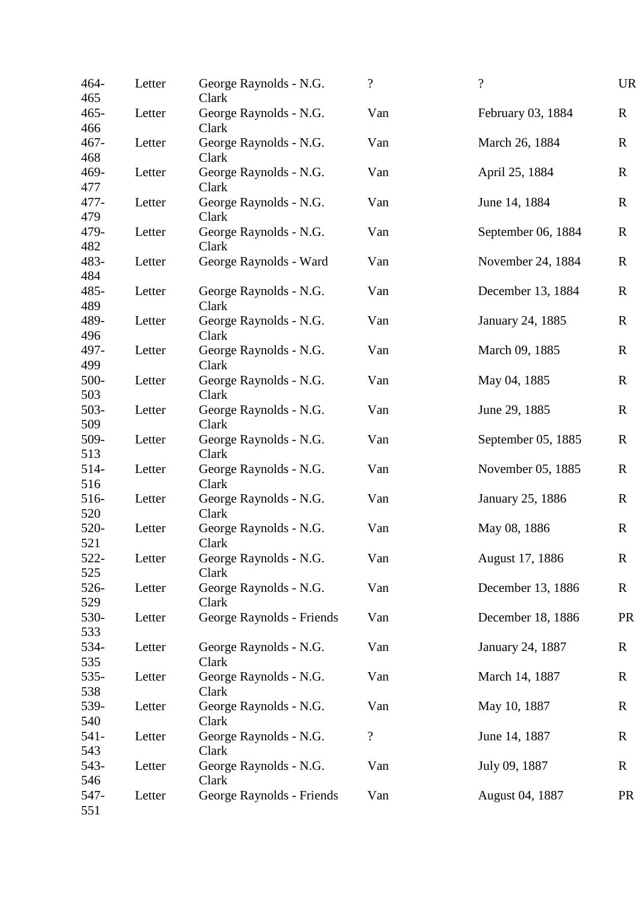| 464-<br>465        | Letter | George Raynolds - N.G.<br>Clark    | $\overline{\mathcal{L}}$ | $\gamma$           | <b>UR</b>   |
|--------------------|--------|------------------------------------|--------------------------|--------------------|-------------|
| $465 -$<br>466     | Letter | George Raynolds - N.G.<br>Clark    | Van                      | February 03, 1884  | $\mathbf R$ |
| $467 -$<br>468     | Letter | George Raynolds - N.G.<br>Clark    | Van                      | March 26, 1884     | $\mathbf R$ |
| 469-<br>477        | Letter | George Raynolds - N.G.<br>Clark    | Van                      | April 25, 1884     | $\mathbf R$ |
| 477-<br>479        | Letter | George Raynolds - N.G.<br>Clark    | Van                      | June 14, 1884      | $\mathbf R$ |
| 479-<br>482        | Letter | George Raynolds - N.G.<br>Clark    | Van                      | September 06, 1884 | $\mathbf R$ |
| 483-<br>484        | Letter | George Raynolds - Ward             | Van                      | November 24, 1884  | $\mathbf R$ |
| 485-               | Letter | George Raynolds - N.G.             | Van                      | December 13, 1884  | $\mathbf R$ |
| 489<br>489-        | Letter | Clark<br>George Raynolds - N.G.    | Van                      | January 24, 1885   | $\mathbf R$ |
| 496<br>497-        | Letter | Clark<br>George Raynolds - N.G.    | Van                      | March 09, 1885     | $\mathbf R$ |
| 499<br>500-        | Letter | Clark<br>George Raynolds - N.G.    | Van                      | May 04, 1885       | $\mathbf R$ |
| 503<br>$503 -$     | Letter | Clark<br>George Raynolds - N.G.    | Van                      | June 29, 1885      | $\mathbf R$ |
| 509<br>509-        | Letter | Clark<br>George Raynolds - N.G.    | Van                      | September 05, 1885 | $\mathbf R$ |
| 513<br>$514-$      | Letter | Clark<br>George Raynolds - N.G.    | Van                      | November 05, 1885  | $\mathbf R$ |
| 516<br>516-        | Letter | Clark<br>George Raynolds - N.G.    | Van                      | January 25, 1886   | R           |
| 520<br>520-        | Letter | Clark<br>George Raynolds - N.G.    | Van                      | May 08, 1886       | $\mathbf R$ |
| 521<br>522-        | Letter | Clark<br>George Raynolds - N.G.    | Van                      | August 17, 1886    | $\mathbf R$ |
| 525<br>526-        | Letter | Clark<br>George Raynolds - N.G.    | Van                      | December 13, 1886  | $\mathbf R$ |
| 529<br>530-        | Letter | Clark<br>George Raynolds - Friends | Van                      | December 18, 1886  | <b>PR</b>   |
| 533<br>534-<br>535 | Letter | George Raynolds - N.G.<br>Clark    | Van                      | January 24, 1887   | $\mathbf R$ |
| 535-<br>538        | Letter | George Raynolds - N.G.<br>Clark    | Van                      | March 14, 1887     | $\mathbf R$ |
| 539-<br>540        | Letter | George Raynolds - N.G.<br>Clark    | Van                      | May 10, 1887       | $\mathbf R$ |
| $541 -$<br>543     | Letter | George Raynolds - N.G.<br>Clark    | $\overline{\mathcal{L}}$ | June 14, 1887      | $\mathbf R$ |
| 543-<br>546        | Letter | George Raynolds - N.G.<br>Clark    | Van                      | July 09, 1887      | $\mathbf R$ |
| 547-<br>551        | Letter | George Raynolds - Friends          | Van                      | August 04, 1887    | <b>PR</b>   |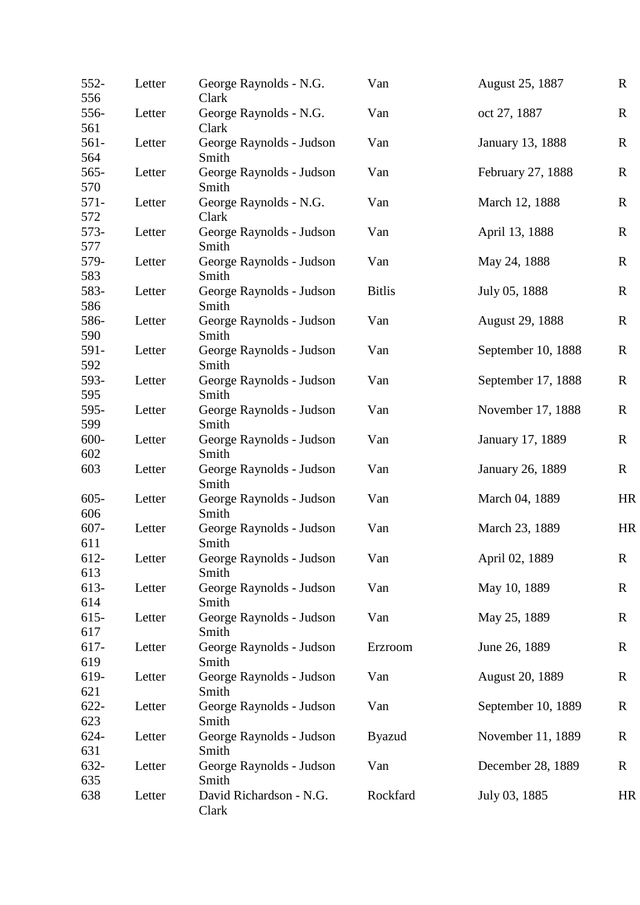| 552-<br>556    | Letter | George Raynolds - N.G.<br>Clark   | Van           | August 25, 1887        | $\mathbf R$ |
|----------------|--------|-----------------------------------|---------------|------------------------|-------------|
| 556-<br>561    | Letter | George Raynolds - N.G.<br>Clark   | Van           | oct 27, 1887           | $\mathbf R$ |
| 561-<br>564    | Letter | George Raynolds - Judson<br>Smith | Van           | January 13, 1888       | $\mathbf R$ |
| $565 -$<br>570 | Letter | George Raynolds - Judson<br>Smith | Van           | February 27, 1888      | $\mathbf R$ |
| $571 -$<br>572 | Letter | George Raynolds - N.G.<br>Clark   | Van           | March 12, 1888         | $\mathbf R$ |
| 573-<br>577    | Letter | George Raynolds - Judson<br>Smith | Van           | April 13, 1888         | $\mathbf R$ |
| 579-<br>583    | Letter | George Raynolds - Judson<br>Smith | Van           | May 24, 1888           | $\mathbf R$ |
| 583-           | Letter | George Raynolds - Judson          | <b>Bitlis</b> | July 05, 1888          | $\mathbf R$ |
| 586<br>586-    | Letter | Smith<br>George Raynolds - Judson | Van           | <b>August 29, 1888</b> | $\mathbf R$ |
| 590<br>591-    | Letter | Smith<br>George Raynolds - Judson | Van           | September 10, 1888     | $\mathbf R$ |
| 592<br>593-    | Letter | Smith<br>George Raynolds - Judson | Van           | September 17, 1888     | $\mathbf R$ |
| 595<br>595-    | Letter | Smith<br>George Raynolds - Judson | Van           | November 17, 1888      | $\mathbf R$ |
| 599<br>600-    | Letter | Smith<br>George Raynolds - Judson | Van           | January 17, 1889       | $\mathbf R$ |
| 602<br>603     | Letter | Smith<br>George Raynolds - Judson | Van           | January 26, 1889       | $\mathbf R$ |
| $605 -$        | Letter | Smith<br>George Raynolds - Judson | Van           | March 04, 1889         | HR          |
| 606<br>$607 -$ | Letter | Smith<br>George Raynolds - Judson | Van           | March 23, 1889         | HR          |
| 611<br>612-    | Letter | Smith<br>George Raynolds - Judson | Van           | April 02, 1889         | $\mathbf R$ |
| 613            |        | Smith                             |               |                        |             |
| 613-<br>614    | Letter | George Raynolds - Judson<br>Smith | Van           | May 10, 1889           | $\mathbf R$ |
| $615 -$<br>617 | Letter | George Raynolds - Judson<br>Smith | Van           | May 25, 1889           | $\mathbf R$ |
| 617-<br>619    | Letter | George Raynolds - Judson<br>Smith | Erzroom       | June 26, 1889          | $\mathbf R$ |
| 619-<br>621    | Letter | George Raynolds - Judson<br>Smith | Van           | <b>August 20, 1889</b> | $\mathbf R$ |
| $622 -$<br>623 | Letter | George Raynolds - Judson<br>Smith | Van           | September 10, 1889     | R           |
| 624-<br>631    | Letter | George Raynolds - Judson<br>Smith | <b>Byazud</b> | November 11, 1889      | $\mathbf R$ |
| 632-<br>635    | Letter | George Raynolds - Judson<br>Smith | Van           | December 28, 1889      | $\mathbf R$ |
| 638            | Letter | David Richardson - N.G.<br>Clark  | Rockfard      | July 03, 1885          | HR          |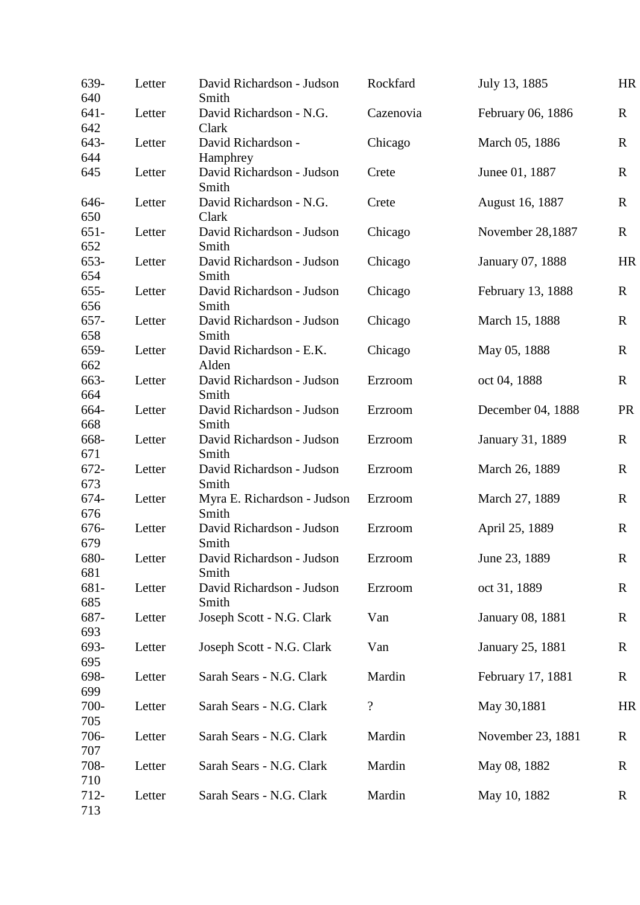| 639-<br>640           | Letter | David Richardson - Judson<br>Smith   | Rockfard                 | July 13, 1885     | HR           |
|-----------------------|--------|--------------------------------------|--------------------------|-------------------|--------------|
| $641 -$<br>642        | Letter | David Richardson - N.G.<br>Clark     | Cazenovia                | February 06, 1886 | $\mathbf R$  |
| 643-                  | Letter | David Richardson -                   | Chicago                  | March 05, 1886    | $\mathbf R$  |
| 644                   |        | Hamphrey                             |                          |                   |              |
| 645                   | Letter | David Richardson - Judson<br>Smith   | Crete                    | Junee 01, 1887    | $\mathbf R$  |
| 646-<br>650           | Letter | David Richardson - N.G.<br>Clark     | Crete                    | August 16, 1887   | $\mathbf{R}$ |
| $651 -$<br>652        | Letter | David Richardson - Judson<br>Smith   | Chicago                  | November 28,1887  | $\mathbf R$  |
| 653-                  | Letter | David Richardson - Judson            | Chicago                  | January 07, 1888  | HR           |
| 654<br>$655 -$        | Letter | Smith<br>David Richardson - Judson   | Chicago                  | February 13, 1888 | $\mathbf R$  |
| 656<br>657-           | Letter | Smith<br>David Richardson - Judson   | Chicago                  | March 15, 1888    | $\mathbf R$  |
| 658<br>659-           | Letter | Smith<br>David Richardson - E.K.     | Chicago                  | May 05, 1888      | $\mathbf R$  |
| 662<br>663-           | Letter | Alden<br>David Richardson - Judson   | Erzroom                  | oct 04, 1888      | $\mathbf R$  |
| 664                   |        | Smith                                |                          |                   |              |
| 664-<br>668           | Letter | David Richardson - Judson<br>Smith   | Erzroom                  | December 04, 1888 | PR           |
| 668-<br>671           | Letter | David Richardson - Judson<br>Smith   | Erzroom                  | January 31, 1889  | $\mathbf R$  |
| 672-                  | Letter | David Richardson - Judson            | Erzroom                  | March 26, 1889    | $\mathbf R$  |
| 673<br>674-           | Letter | Smith<br>Myra E. Richardson - Judson | Erzroom                  | March 27, 1889    | $\mathbf R$  |
| 676<br>676-           | Letter | Smith<br>David Richardson - Judson   | Erzroom                  | April 25, 1889    | $\mathbf R$  |
| 679<br>680-           | Letter | Smith<br>David Richardson - Judson   | Erzroom                  | June 23, 1889     | $\mathbf R$  |
| 681<br>681-           | Letter | Smith<br>David Richardson - Judson   | Erzroom                  | oct 31, 1889      | $\mathbf R$  |
| 685                   |        | Smith                                |                          |                   |              |
| 687-<br>693           | Letter | Joseph Scott - N.G. Clark            | Van                      | January 08, 1881  | $\mathbf R$  |
| 693-<br>695           | Letter | Joseph Scott - N.G. Clark            | Van                      | January 25, 1881  | $\mathbf R$  |
| 698-<br>699           | Letter | Sarah Sears - N.G. Clark             | Mardin                   | February 17, 1881 | $\mathbf R$  |
| 700-<br>705           | Letter | Sarah Sears - N.G. Clark             | $\overline{\mathcal{L}}$ | May 30,1881       | HR           |
| 706-<br>707           | Letter | Sarah Sears - N.G. Clark             | Mardin                   | November 23, 1881 | R            |
| 708-                  | Letter | Sarah Sears - N.G. Clark             | Mardin                   | May 08, 1882      | $\mathbf R$  |
| 710<br>$712 -$<br>713 | Letter | Sarah Sears - N.G. Clark             | Mardin                   | May 10, 1882      | $\mathbf R$  |
|                       |        |                                      |                          |                   |              |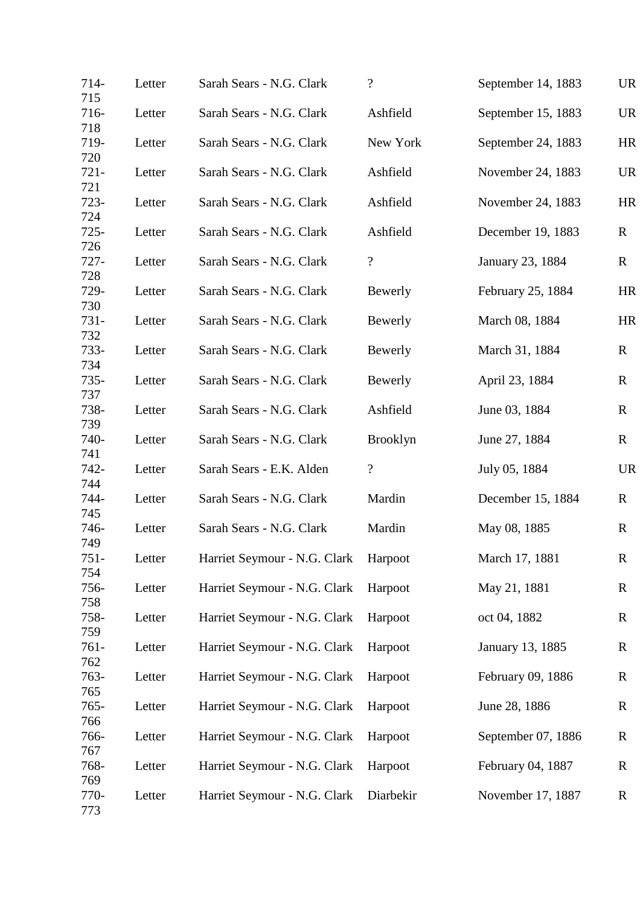| $714-$<br>715  | Letter | Sarah Sears - N.G. Clark     | $\overline{?}$           | September 14, 1883 | <b>UR</b>   |
|----------------|--------|------------------------------|--------------------------|--------------------|-------------|
| 716-<br>718    | Letter | Sarah Sears - N.G. Clark     | Ashfield                 | September 15, 1883 | <b>UR</b>   |
| 719-<br>720    | Letter | Sarah Sears - N.G. Clark     | New York                 | September 24, 1883 | HR          |
| $721 -$<br>721 | Letter | Sarah Sears - N.G. Clark     | Ashfield                 | November 24, 1883  | <b>UR</b>   |
| $723-$<br>724  | Letter | Sarah Sears - N.G. Clark     | Ashfield                 | November 24, 1883  | HR          |
| $725 -$<br>726 | Letter | Sarah Sears - N.G. Clark     | Ashfield                 | December 19, 1883  | $\mathbf R$ |
| $727 -$<br>728 | Letter | Sarah Sears - N.G. Clark     | $\overline{\cdot}$       | January 23, 1884   | $\mathbf R$ |
| 729-<br>730    | Letter | Sarah Sears - N.G. Clark     | Bewerly                  | February 25, 1884  | HR          |
| 731-<br>732    | Letter | Sarah Sears - N.G. Clark     | Bewerly                  | March 08, 1884     | HR          |
| 733-<br>734    | Letter | Sarah Sears - N.G. Clark     | Bewerly                  | March 31, 1884     | $\mathbf R$ |
| $735 -$<br>737 | Letter | Sarah Sears - N.G. Clark     | Bewerly                  | April 23, 1884     | $\mathbf R$ |
| 738-<br>739    | Letter | Sarah Sears - N.G. Clark     | Ashfield                 | June 03, 1884      | $\mathbf R$ |
| 740-<br>741    | Letter | Sarah Sears - N.G. Clark     | <b>Brooklyn</b>          | June 27, 1884      | $\mathbf R$ |
| $742 -$<br>744 | Letter | Sarah Sears - E.K. Alden     | $\overline{\mathcal{L}}$ | July 05, 1884      | <b>UR</b>   |
| 744-<br>745    | Letter | Sarah Sears - N.G. Clark     | Mardin                   | December 15, 1884  | $\mathbf R$ |
| 746-<br>749    | Letter | Sarah Sears - N.G. Clark     | Mardin                   | May 08, 1885       | $\mathbf R$ |
| $751 -$<br>754 | Letter | Harriet Seymour - N.G. Clark | Harpoot                  | March 17, 1881     | $\mathbf R$ |
| 756-<br>758    | Letter | Harriet Seymour - N.G. Clark | Harpoot                  | May 21, 1881       | $\mathbf R$ |
| 758-<br>759    | Letter | Harriet Seymour - N.G. Clark | Harpoot                  | oct 04, 1882       | $\mathbf R$ |
| $761 -$<br>762 | Letter | Harriet Seymour - N.G. Clark | Harpoot                  | January 13, 1885   | $\mathbf R$ |
| $763-$<br>765  | Letter | Harriet Seymour - N.G. Clark | Harpoot                  | February 09, 1886  | $\mathbf R$ |
| $765 -$<br>766 | Letter | Harriet Seymour - N.G. Clark | Harpoot                  | June 28, 1886      | $\mathbf R$ |
| 766-<br>767    | Letter | Harriet Seymour - N.G. Clark | Harpoot                  | September 07, 1886 | $\mathbf R$ |
| 768-<br>769    | Letter | Harriet Seymour - N.G. Clark | Harpoot                  | February 04, 1887  | $\mathbf R$ |
| 770-<br>773    | Letter | Harriet Seymour - N.G. Clark | Diarbekir                | November 17, 1887  | $\mathbf R$ |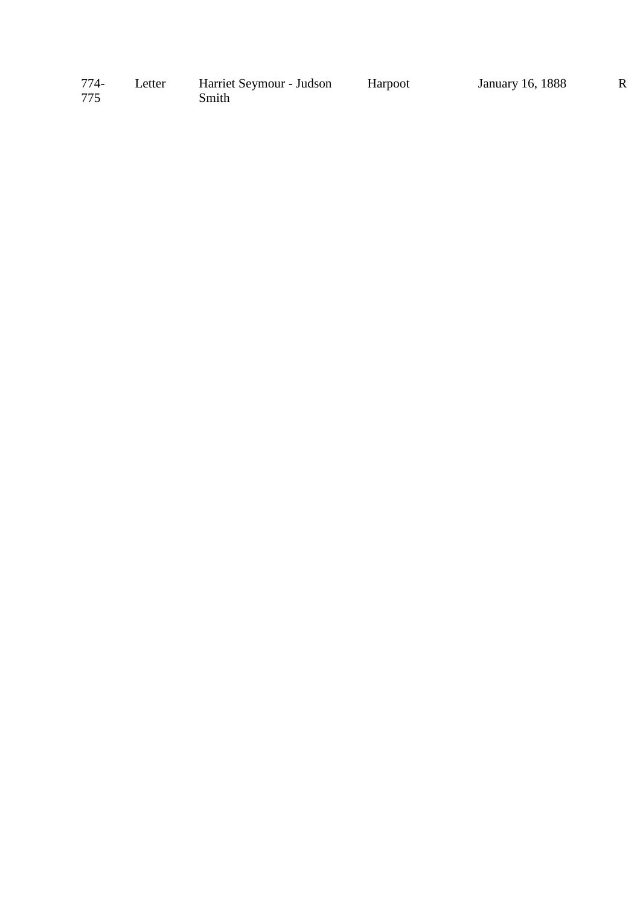| 774- | Letter | Harriet Seymour - Judson | Harpoot | January 16, 1888 |  |
|------|--------|--------------------------|---------|------------------|--|
| 775  |        | Smith                    |         |                  |  |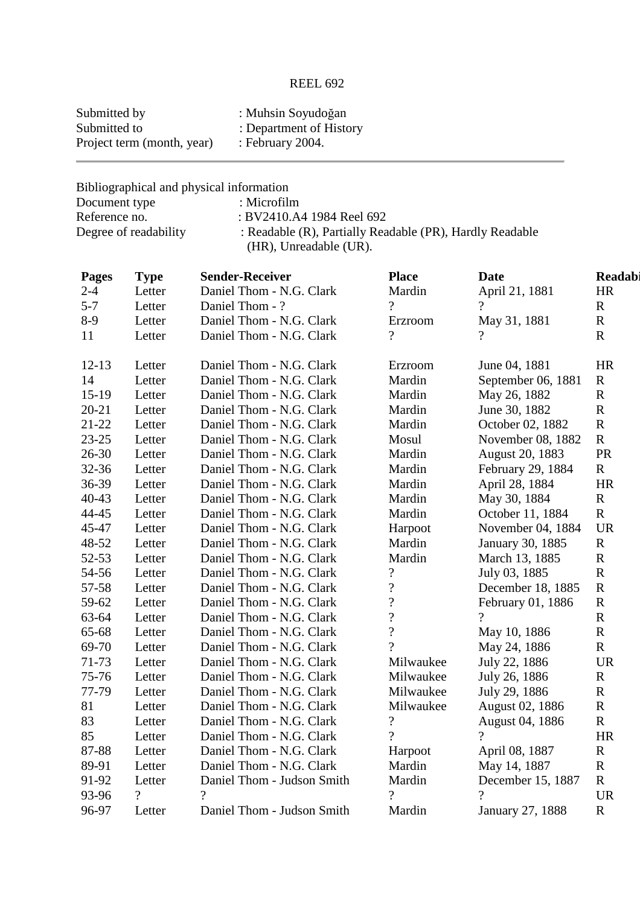| Submitted by               | : Muhsin Soyudoğan      |
|----------------------------|-------------------------|
| Submitted to               | : Department of History |
| Project term (month, year) | : February 2004.        |

Bibliographical and physical information

| Document type         | : Microfilm                                              |
|-----------------------|----------------------------------------------------------|
| Reference no.         | : BV2410.A4 1984 Reel 692                                |
| Degree of readability | : Readable (R), Partially Readable (PR), Hardly Readable |
|                       | (HR), Unreadable (UR).                                   |

| <b>Pages</b> | <b>Type</b> | <b>Sender-Receiver</b>     | <b>Place</b>             | <b>Date</b>        | Readabi     |
|--------------|-------------|----------------------------|--------------------------|--------------------|-------------|
| $2 - 4$      | Letter      | Daniel Thom - N.G. Clark   | Mardin                   | April 21, 1881     | HR          |
| $5 - 7$      | Letter      | Daniel Thom - ?            | $\overline{?}$           | $\gamma$           | $\mathbf R$ |
| $8-9$        | Letter      | Daniel Thom - N.G. Clark   | Erzroom                  | May 31, 1881       | ${\bf R}$   |
| 11           | Letter      | Daniel Thom - N.G. Clark   | $\overline{?}$           |                    | $\mathbf R$ |
|              |             |                            |                          |                    |             |
| $12 - 13$    | Letter      | Daniel Thom - N.G. Clark   | Erzroom                  | June 04, 1881      | <b>HR</b>   |
| 14           | Letter      | Daniel Thom - N.G. Clark   | Mardin                   | September 06, 1881 | $\mathbf R$ |
| $15-19$      | Letter      | Daniel Thom - N.G. Clark   | Mardin                   | May 26, 1882       | $\mathbf R$ |
| $20 - 21$    | Letter      | Daniel Thom - N.G. Clark   | Mardin                   | June 30, 1882      | $\mathbf R$ |
| $21 - 22$    | Letter      | Daniel Thom - N.G. Clark   | Mardin                   | October 02, 1882   | ${\bf R}$   |
| $23 - 25$    | Letter      | Daniel Thom - N.G. Clark   | Mosul                    | November 08, 1882  | $\mathbf R$ |
| $26 - 30$    | Letter      | Daniel Thom - N.G. Clark   | Mardin                   | August 20, 1883    | PR          |
| 32-36        | Letter      | Daniel Thom - N.G. Clark   | Mardin                   | February 29, 1884  | $\mathbf R$ |
| 36-39        | Letter      | Daniel Thom - N.G. Clark   | Mardin                   | April 28, 1884     | <b>HR</b>   |
| $40 - 43$    | Letter      | Daniel Thom - N.G. Clark   | Mardin                   | May 30, 1884       | $\mathbf R$ |
| 44-45        | Letter      | Daniel Thom - N.G. Clark   | Mardin                   | October 11, 1884   | $\mathbf R$ |
| 45-47        | Letter      | Daniel Thom - N.G. Clark   | Harpoot                  | November 04, 1884  | <b>UR</b>   |
| 48-52        | Letter      | Daniel Thom - N.G. Clark   | Mardin                   | January 30, 1885   | $\mathbf R$ |
| 52-53        | Letter      | Daniel Thom - N.G. Clark   | Mardin                   | March 13, 1885     | ${\bf R}$   |
| 54-56        | Letter      | Daniel Thom - N.G. Clark   | $\overline{\mathcal{C}}$ | July 03, 1885      | $\mathbf R$ |
| 57-58        | Letter      | Daniel Thom - N.G. Clark   | $\overline{\mathcal{L}}$ | December 18, 1885  | $\mathbf R$ |
| 59-62        | Letter      | Daniel Thom - N.G. Clark   | $\overline{\mathcal{C}}$ | February 01, 1886  | $\mathbf R$ |
| 63-64        | Letter      | Daniel Thom - N.G. Clark   | $\overline{\mathcal{L}}$ | $\gamma$           | $\mathbf R$ |
| 65-68        | Letter      | Daniel Thom - N.G. Clark   | $\overline{?}$           | May 10, 1886       | ${\bf R}$   |
| 69-70        | Letter      | Daniel Thom - N.G. Clark   | ?                        | May 24, 1886       | $\mathbf R$ |
| 71-73        | Letter      | Daniel Thom - N.G. Clark   | Milwaukee                | July 22, 1886      | <b>UR</b>   |
| 75-76        | Letter      | Daniel Thom - N.G. Clark   | Milwaukee                | July 26, 1886      | $\mathbf R$ |
| 77-79        | Letter      | Daniel Thom - N.G. Clark   | Milwaukee                | July 29, 1886      | $\mathbf R$ |
| 81           | Letter      | Daniel Thom - N.G. Clark   | Milwaukee                | August 02, 1886    | $\mathbf R$ |
| 83           | Letter      | Daniel Thom - N.G. Clark   | $\overline{\mathcal{L}}$ | August 04, 1886    | $\mathbf R$ |
| 85           | Letter      | Daniel Thom - N.G. Clark   | $\gamma$                 | $\gamma$           | HR          |
| 87-88        | Letter      | Daniel Thom - N.G. Clark   | Harpoot                  | April 08, 1887     | $\mathbf R$ |
| 89-91        | Letter      | Daniel Thom - N.G. Clark   | Mardin                   | May 14, 1887       | $\mathbf R$ |
| 91-92        | Letter      | Daniel Thom - Judson Smith | Mardin                   | December 15, 1887  | $\mathbf R$ |
| 93-96        | $\gamma$    | $\overline{?}$             | $\overline{?}$           | $\overline{?}$     | <b>UR</b>   |
| 96-97        | Letter      | Daniel Thom - Judson Smith | Mardin                   | January 27, 1888   | $\mathbf R$ |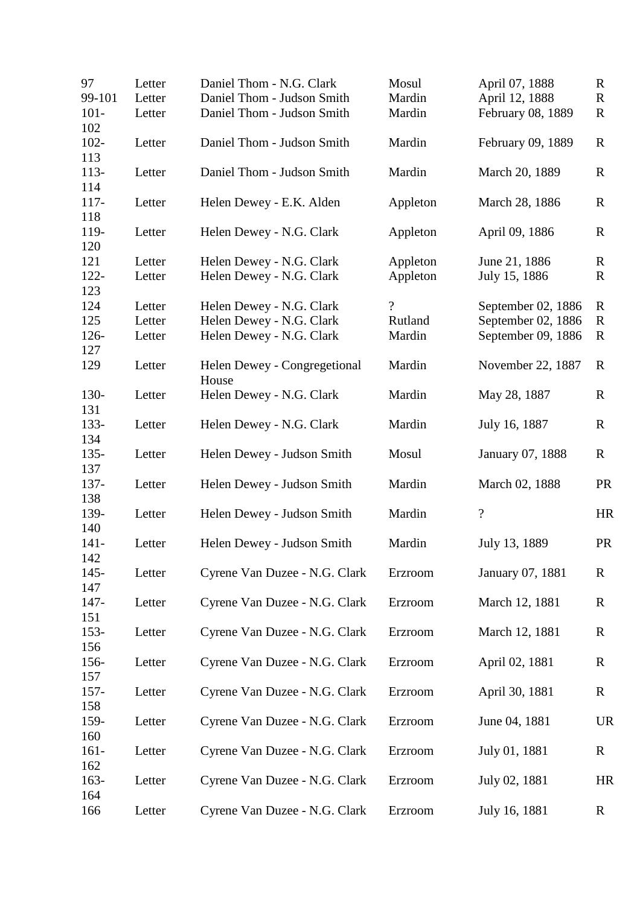| 97             | Letter | Daniel Thom - N.G. Clark              | Mosul              | April 07, 1888           | $\mathbf R$ |
|----------------|--------|---------------------------------------|--------------------|--------------------------|-------------|
| 99-101         | Letter | Daniel Thom - Judson Smith            | Mardin             | April 12, 1888           | $\mathbf R$ |
| $101 -$<br>102 | Letter | Daniel Thom - Judson Smith            | Mardin             | February 08, 1889        | $\mathbf R$ |
| $102 -$<br>113 | Letter | Daniel Thom - Judson Smith            | Mardin             | February 09, 1889        | $\mathbf R$ |
| $113-$<br>114  | Letter | Daniel Thom - Judson Smith            | Mardin             | March 20, 1889           | $\mathbf R$ |
| $117 -$<br>118 | Letter | Helen Dewey - E.K. Alden              | Appleton           | March 28, 1886           | $\mathbf R$ |
| 119-<br>120    | Letter | Helen Dewey - N.G. Clark              | Appleton           | April 09, 1886           | $\mathbf R$ |
| 121            | Letter | Helen Dewey - N.G. Clark              | Appleton           | June 21, 1886            | $\mathbf R$ |
| $122 -$        | Letter | Helen Dewey - N.G. Clark              | Appleton           | July 15, 1886            | $\mathbf R$ |
| 123<br>124     | Letter | Helen Dewey - N.G. Clark              | $\overline{\cdot}$ | September 02, 1886       | $\mathbf R$ |
| 125            | Letter | Helen Dewey - N.G. Clark              | Rutland            | September 02, 1886       | $\mathbf R$ |
| 126-           | Letter | Helen Dewey - N.G. Clark              | Mardin             | September 09, 1886       | R           |
| 127<br>129     | Letter | Helen Dewey - Congregetional<br>House | Mardin             | November 22, 1887        | $\mathbf R$ |
| 130-<br>131    | Letter | Helen Dewey - N.G. Clark              | Mardin             | May 28, 1887             | $\mathbf R$ |
| 133-<br>134    | Letter | Helen Dewey - N.G. Clark              | Mardin             | July 16, 1887            | $\mathbf R$ |
| $135 -$<br>137 | Letter | Helen Dewey - Judson Smith            | Mosul              | January 07, 1888         | $\mathbf R$ |
| 137-<br>138    | Letter | Helen Dewey - Judson Smith            | Mardin             | March 02, 1888           | <b>PR</b>   |
| 139-<br>140    | Letter | Helen Dewey - Judson Smith            | Mardin             | $\overline{\mathcal{L}}$ | <b>HR</b>   |
| $141 -$<br>142 | Letter | Helen Dewey - Judson Smith            | Mardin             | July 13, 1889            | <b>PR</b>   |
| $145 -$<br>147 | Letter | Cyrene Van Duzee - N.G. Clark         | Erzroom            | January 07, 1881         | $\mathbf R$ |
| $147 -$<br>151 | Letter | Cyrene Van Duzee - N.G. Clark         | Erzroom            | March 12, 1881           | $\mathbf R$ |
| $153 -$<br>156 | Letter | Cyrene Van Duzee - N.G. Clark         | Erzroom            | March 12, 1881           | R           |
| 156-<br>157    | Letter | Cyrene Van Duzee - N.G. Clark         | Erzroom            | April 02, 1881           | $\mathbf R$ |
| $157 -$<br>158 | Letter | Cyrene Van Duzee - N.G. Clark         | Erzroom            | April 30, 1881           | $\mathbf R$ |
| 159-<br>160    | Letter | Cyrene Van Duzee - N.G. Clark         | Erzroom            | June 04, 1881            | <b>UR</b>   |
| $161 -$<br>162 | Letter | Cyrene Van Duzee - N.G. Clark         | Erzroom            | July 01, 1881            | $\mathbf R$ |
| $163-$<br>164  | Letter | Cyrene Van Duzee - N.G. Clark         | Erzroom            | July 02, 1881            | HR          |
| 166            | Letter | Cyrene Van Duzee - N.G. Clark         | Erzroom            | July 16, 1881            | $\mathbf R$ |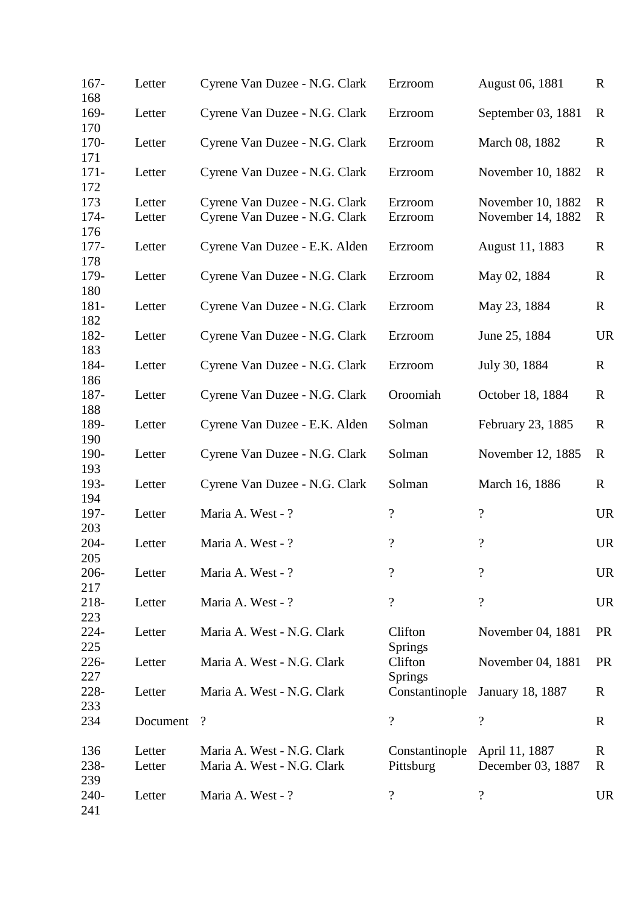| $167 -$<br>168       | Letter           | Cyrene Van Duzee - N.G. Clark                                  | Erzroom                     | August 06, 1881                        | $\mathbf R$                |
|----------------------|------------------|----------------------------------------------------------------|-----------------------------|----------------------------------------|----------------------------|
| 169-<br>170          | Letter           | Cyrene Van Duzee - N.G. Clark                                  | Erzroom                     | September 03, 1881                     | $\mathbb{R}$               |
| $170-$<br>171        | Letter           | Cyrene Van Duzee - N.G. Clark                                  | Erzroom                     | March 08, 1882                         | $\mathbf R$                |
| $171 -$<br>172       | Letter           | Cyrene Van Duzee - N.G. Clark                                  | Erzroom                     | November 10, 1882                      | $\mathbf R$                |
| 173<br>174-          | Letter<br>Letter | Cyrene Van Duzee - N.G. Clark<br>Cyrene Van Duzee - N.G. Clark | Erzroom<br>Erzroom          | November 10, 1882<br>November 14, 1882 | $\mathbf R$<br>$\mathbf R$ |
| 176<br>$177-$<br>178 | Letter           | Cyrene Van Duzee - E.K. Alden                                  | Erzroom                     | August 11, 1883                        | $\mathbf R$                |
| 179-<br>180          | Letter           | Cyrene Van Duzee - N.G. Clark                                  | Erzroom                     | May 02, 1884                           | $\mathbf R$                |
| $181 -$<br>182       | Letter           | Cyrene Van Duzee - N.G. Clark                                  | Erzroom                     | May 23, 1884                           | $\mathbf R$                |
| 182-<br>183          | Letter           | Cyrene Van Duzee - N.G. Clark                                  | Erzroom                     | June 25, 1884                          | <b>UR</b>                  |
| 184-<br>186          | Letter           | Cyrene Van Duzee - N.G. Clark                                  | Erzroom                     | July 30, 1884                          | $\mathbf R$                |
| 187-<br>188          | Letter           | Cyrene Van Duzee - N.G. Clark                                  | Oroomiah                    | October 18, 1884                       | $\mathbf R$                |
| 189-<br>190          | Letter           | Cyrene Van Duzee - E.K. Alden                                  | Solman                      | February 23, 1885                      | R                          |
| 190-<br>193          | Letter           | Cyrene Van Duzee - N.G. Clark                                  | Solman                      | November 12, 1885                      | $\mathbb{R}$               |
| 193-<br>194          | Letter           | Cyrene Van Duzee - N.G. Clark                                  | Solman                      | March 16, 1886                         | $\mathbf R$                |
| 197-<br>203          | Letter           | Maria A. West - ?                                              | $\overline{\mathcal{L}}$    | $\overline{\mathcal{L}}$               | <b>UR</b>                  |
| 204-<br>205          | Letter           | Maria A. West - ?                                              | $\overline{\mathcal{L}}$    | $\ddot{?}$                             | <b>UR</b>                  |
| $206 -$<br>217       | Letter           | Maria A. West - ?                                              | $\overline{\mathcal{C}}$    | $\overline{\mathcal{L}}$               | <b>UR</b>                  |
| 218-<br>223          | Letter           | Maria A. West - ?                                              | $\overline{\mathcal{L}}$    | $\overline{\mathcal{L}}$               | <b>UR</b>                  |
| $224 -$<br>225       | Letter           | Maria A. West - N.G. Clark                                     | Clifton<br>Springs          | November 04, 1881                      | <b>PR</b>                  |
| $226 -$<br>227       | Letter           | Maria A. West - N.G. Clark                                     | Clifton<br>Springs          | November 04, 1881                      | <b>PR</b>                  |
| 228-<br>233          | Letter           | Maria A. West - N.G. Clark                                     | Constantinople              | <b>January 18, 1887</b>                | R                          |
| 234                  | Document         | $\boldsymbol{\mathcal{C}}$                                     | $\overline{\mathcal{L}}$    | $\overline{\mathcal{C}}$               | R                          |
| 136<br>238-<br>239   | Letter<br>Letter | Maria A. West - N.G. Clark<br>Maria A. West - N.G. Clark       | Constantinople<br>Pittsburg | April 11, 1887<br>December 03, 1887    | R<br>$\mathbf R$           |
| $240-$<br>241        | Letter           | Maria A. West - ?                                              | $\overline{\mathcal{L}}$    | $\overline{\mathcal{C}}$               | <b>UR</b>                  |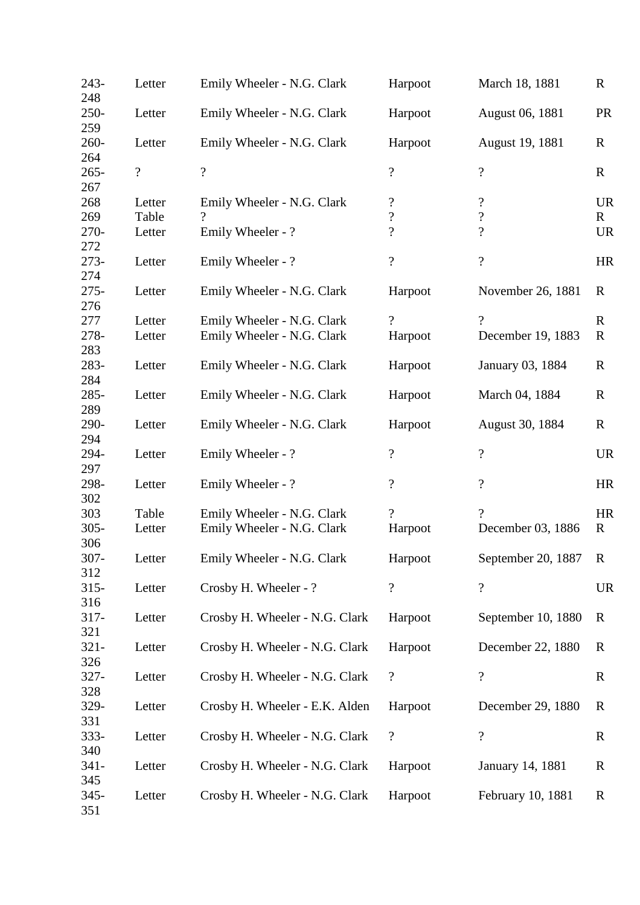| $243-$<br>248  | Letter          | Emily Wheeler - N.G. Clark                             | Harpoot                                                | March 18, 1881                                       | $\mathbf R$               |
|----------------|-----------------|--------------------------------------------------------|--------------------------------------------------------|------------------------------------------------------|---------------------------|
| $250 -$<br>259 | Letter          | Emily Wheeler - N.G. Clark                             | Harpoot                                                | August 06, 1881                                      | <b>PR</b>                 |
| $260 -$<br>264 | Letter          | Emily Wheeler - N.G. Clark                             | Harpoot                                                | August 19, 1881                                      | $\mathbf R$               |
| $265 -$<br>267 | $\overline{?}$  | $\overline{\mathcal{L}}$                               | $\overline{\mathcal{L}}$                               | $\overline{\mathcal{L}}$                             | $\mathbf R$               |
| 268<br>269     | Letter<br>Table | Emily Wheeler - N.G. Clark<br>$\overline{\mathcal{C}}$ | $\boldsymbol{\mathcal{C}}$<br>$\overline{\mathcal{L}}$ | $\overline{\mathcal{L}}$<br>$\overline{\mathcal{L}}$ | <b>UR</b><br>$\mathbf{R}$ |
| 270-<br>272    | Letter          | Emily Wheeler - ?                                      | $\overline{\mathcal{L}}$                               | $\overline{\mathcal{L}}$                             | <b>UR</b>                 |
| 273-<br>274    | Letter          | Emily Wheeler - ?                                      | $\overline{\mathcal{L}}$                               | $\overline{\cdot}$                                   | <b>HR</b>                 |
| $275 -$<br>276 | Letter          | Emily Wheeler - N.G. Clark                             | Harpoot                                                | November 26, 1881                                    | R                         |
| 277            | Letter          | Emily Wheeler - N.G. Clark                             | $\overline{?}$                                         | $\gamma$                                             | $\mathbf R$               |
| 278-<br>283    | Letter          | Emily Wheeler - N.G. Clark                             | Harpoot                                                | December 19, 1883                                    | $\mathbf R$               |
| 283-<br>284    | Letter          | Emily Wheeler - N.G. Clark                             | Harpoot                                                | January 03, 1884                                     | $\mathbf R$               |
| 285-<br>289    | Letter          | Emily Wheeler - N.G. Clark                             | Harpoot                                                | March 04, 1884                                       | $\mathbf R$               |
| 290-<br>294    | Letter          | Emily Wheeler - N.G. Clark                             | Harpoot                                                | August 30, 1884                                      | $\mathbf R$               |
| 294-<br>297    | Letter          | Emily Wheeler - ?                                      | $\overline{\mathcal{L}}$                               | $\ddot{?}$                                           | <b>UR</b>                 |
| 298-<br>302    | Letter          | Emily Wheeler - ?                                      | $\overline{\mathcal{L}}$                               | $\overline{\mathcal{L}}$                             | <b>HR</b>                 |
| 303            | Table           | Emily Wheeler - N.G. Clark                             | $\gamma$                                               | $\gamma$                                             | <b>HR</b>                 |
| $305 -$<br>306 | Letter          | Emily Wheeler - N.G. Clark                             | Harpoot                                                | December 03, 1886                                    | $\mathbf R$               |
| $307 -$<br>312 | Letter          | Emily Wheeler - N.G. Clark                             | Harpoot                                                | September 20, 1887                                   | $\mathbf R$               |
| $315 -$<br>316 | Letter          | Crosby H. Wheeler - ?                                  | $\overline{\mathcal{L}}$                               | $\overline{\mathcal{L}}$                             | <b>UR</b>                 |
| $317 -$<br>321 | Letter          | Crosby H. Wheeler - N.G. Clark                         | Harpoot                                                | September 10, 1880                                   | $\mathbf R$               |
| $321 -$<br>326 | Letter          | Crosby H. Wheeler - N.G. Clark                         | Harpoot                                                | December 22, 1880                                    | R                         |
| $327 -$<br>328 | Letter          | Crosby H. Wheeler - N.G. Clark                         | $\boldsymbol{\mathcal{C}}$                             | $\overline{\mathcal{L}}$                             | R                         |
| 329-<br>331    | Letter          | Crosby H. Wheeler - E.K. Alden                         | Harpoot                                                | December 29, 1880                                    | $\mathbf R$               |
| $333 -$<br>340 | Letter          | Crosby H. Wheeler - N.G. Clark                         | $\boldsymbol{?}$                                       | $\boldsymbol{?}$                                     | R                         |
| $341 -$<br>345 | Letter          | Crosby H. Wheeler - N.G. Clark                         | Harpoot                                                | January 14, 1881                                     | $\mathbf R$               |
| $345 -$<br>351 | Letter          | Crosby H. Wheeler - N.G. Clark                         | Harpoot                                                | February 10, 1881                                    | $\mathbf R$               |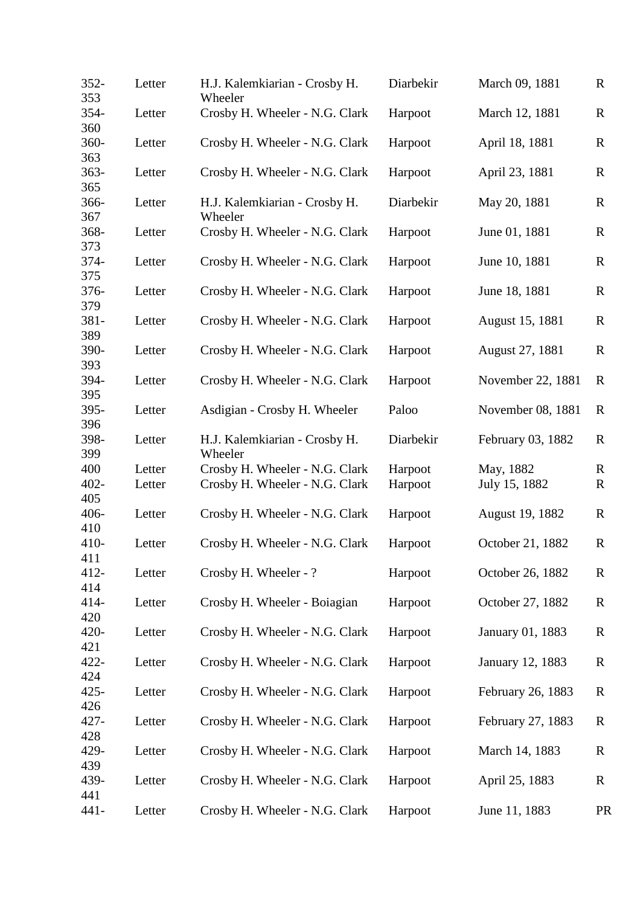| $352 -$<br>353 | Letter | H.J. Kalemkiarian - Crosby H.<br>Wheeler | Diarbekir | March 09, 1881    | $\mathbf R$  |
|----------------|--------|------------------------------------------|-----------|-------------------|--------------|
| 354-<br>360    | Letter | Crosby H. Wheeler - N.G. Clark           | Harpoot   | March 12, 1881    | $\mathbf R$  |
| 360-<br>363    | Letter | Crosby H. Wheeler - N.G. Clark           | Harpoot   | April 18, 1881    | $\mathbf R$  |
| $363 -$<br>365 | Letter | Crosby H. Wheeler - N.G. Clark           | Harpoot   | April 23, 1881    | $\mathbf R$  |
| 366-<br>367    | Letter | H.J. Kalemkiarian - Crosby H.<br>Wheeler | Diarbekir | May 20, 1881      | $\mathbf R$  |
| 368-<br>373    | Letter | Crosby H. Wheeler - N.G. Clark           | Harpoot   | June 01, 1881     | $\mathbf R$  |
| 374-<br>375    | Letter | Crosby H. Wheeler - N.G. Clark           | Harpoot   | June 10, 1881     | $\mathbb{R}$ |
| 376-<br>379    | Letter | Crosby H. Wheeler - N.G. Clark           | Harpoot   | June 18, 1881     | $\mathbf R$  |
| 381-<br>389    | Letter | Crosby H. Wheeler - N.G. Clark           | Harpoot   | August 15, 1881   | $\mathbf R$  |
| 390-<br>393    | Letter | Crosby H. Wheeler - N.G. Clark           | Harpoot   | August 27, 1881   | $\mathbf R$  |
| 394-<br>395    | Letter | Crosby H. Wheeler - N.G. Clark           | Harpoot   | November 22, 1881 | $\mathbf R$  |
| 395-<br>396    | Letter | Asdigian - Crosby H. Wheeler             | Paloo     | November 08, 1881 | $\mathbb{R}$ |
| 398-<br>399    | Letter | H.J. Kalemkiarian - Crosby H.<br>Wheeler | Diarbekir | February 03, 1882 | $\mathbf R$  |
| 400            | Letter | Crosby H. Wheeler - N.G. Clark           | Harpoot   | May, 1882         | R            |
| $402 -$<br>405 | Letter | Crosby H. Wheeler - N.G. Clark           | Harpoot   | July 15, 1882     | $\mathbf R$  |
| $406 -$<br>410 | Letter | Crosby H. Wheeler - N.G. Clark           | Harpoot   | August 19, 1882   | $\mathbb{R}$ |
| $410-$<br>411  | Letter | Crosby H. Wheeler - N.G. Clark           | Harpoot   | October 21, 1882  | $\mathbb{R}$ |
| $412 -$<br>414 | Letter | Crosby H. Wheeler - ?                    | Harpoot   | October 26, 1882  | $\mathbf R$  |
| $414-$<br>420  | Letter | Crosby H. Wheeler - Boiagian             | Harpoot   | October 27, 1882  | $\mathbb{R}$ |
| 420-<br>421    | Letter | Crosby H. Wheeler - N.G. Clark           | Harpoot   | January 01, 1883  | $\mathbf R$  |
| $422 -$<br>424 | Letter | Crosby H. Wheeler - N.G. Clark           | Harpoot   | January 12, 1883  | $\mathbf R$  |
| $425 -$<br>426 | Letter | Crosby H. Wheeler - N.G. Clark           | Harpoot   | February 26, 1883 | $\mathbf R$  |
| 427-<br>428    | Letter | Crosby H. Wheeler - N.G. Clark           | Harpoot   | February 27, 1883 | $\mathbf R$  |
| 429-<br>439    | Letter | Crosby H. Wheeler - N.G. Clark           | Harpoot   | March 14, 1883    | $\mathbf R$  |
| 439-<br>441    | Letter | Crosby H. Wheeler - N.G. Clark           | Harpoot   | April 25, 1883    | $\mathbf R$  |
| $441 -$        | Letter | Crosby H. Wheeler - N.G. Clark           | Harpoot   | June 11, 1883     | <b>PR</b>    |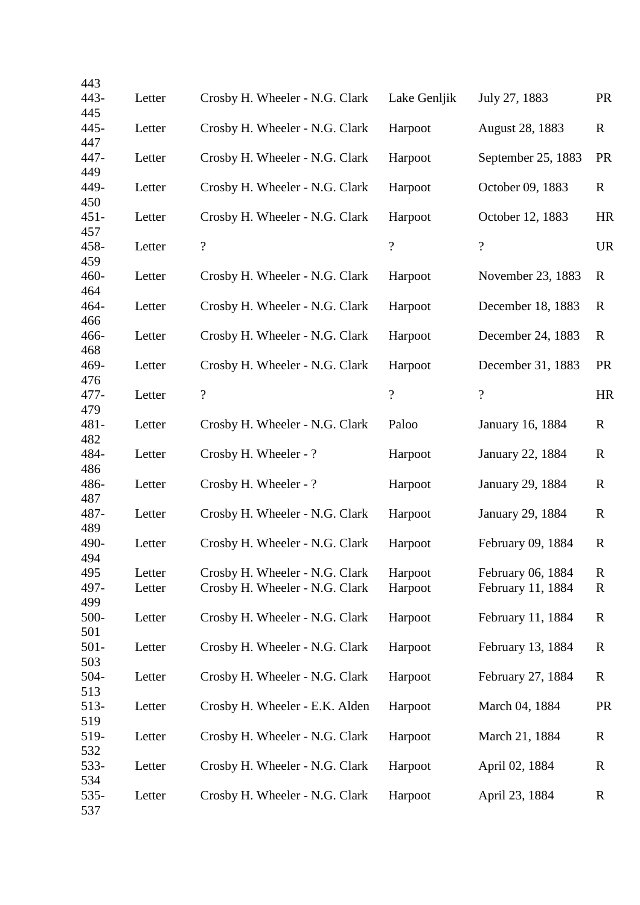| 443                   |                  |                                                                  |                          |                                        |                  |
|-----------------------|------------------|------------------------------------------------------------------|--------------------------|----------------------------------------|------------------|
| 443-                  | Letter           | Crosby H. Wheeler - N.G. Clark                                   | Lake Genljik             | July 27, 1883                          | <b>PR</b>        |
| 445<br>$445 -$        | Letter           | Crosby H. Wheeler - N.G. Clark                                   | Harpoot                  | August 28, 1883                        | $\mathbf R$      |
| 447<br>447-           | Letter           | Crosby H. Wheeler - N.G. Clark                                   | Harpoot                  | September 25, 1883                     | <b>PR</b>        |
| 449<br>449-           | Letter           | Crosby H. Wheeler - N.G. Clark                                   | Harpoot                  | October 09, 1883                       | $\mathbf R$      |
| 450<br>$451 -$        | Letter           | Crosby H. Wheeler - N.G. Clark                                   | Harpoot                  | October 12, 1883                       | HR               |
| 457<br>458-           | Letter           | $\boldsymbol{?}$                                                 | $\overline{\mathcal{L}}$ | $\overline{\cdot}$                     | <b>UR</b>        |
| 459<br>$460 -$        | Letter           | Crosby H. Wheeler - N.G. Clark                                   | Harpoot                  | November 23, 1883                      | R                |
| 464<br>464-           | Letter           | Crosby H. Wheeler - N.G. Clark                                   | Harpoot                  | December 18, 1883                      | $\mathbf R$      |
| 466<br>466-           | Letter           | Crosby H. Wheeler - N.G. Clark                                   | Harpoot                  | December 24, 1883                      | $\mathbf R$      |
| 468<br>469-           | Letter           | Crosby H. Wheeler - N.G. Clark                                   | Harpoot                  | December 31, 1883                      | <b>PR</b>        |
| 476<br>477-           | Letter           | $\boldsymbol{?}$                                                 | $\overline{\mathcal{L}}$ | $\overline{\cdot}$                     | HR               |
| 479<br>$481 -$        | Letter           | Crosby H. Wheeler - N.G. Clark                                   | Paloo                    | January 16, 1884                       | $\mathbf R$      |
| 482<br>484-           | Letter           | Crosby H. Wheeler - ?                                            | Harpoot                  | <b>January 22, 1884</b>                | $\mathbf R$      |
| 486<br>486-<br>487    | Letter           | Crosby H. Wheeler - ?                                            | Harpoot                  | <b>January 29, 1884</b>                | $\mathbf R$      |
| 487-<br>489           | Letter           | Crosby H. Wheeler - N.G. Clark                                   | Harpoot                  | January 29, 1884                       | $\mathbf R$      |
| 490-<br>494           | Letter           | Crosby H. Wheeler - N.G. Clark                                   | Harpoot                  | February 09, 1884                      | $\mathbf R$      |
| 495<br>497-           | Letter<br>Letter | Crosby H. Wheeler - N.G. Clark<br>Crosby H. Wheeler - N.G. Clark | Harpoot<br>Harpoot       | February 06, 1884<br>February 11, 1884 | R<br>$\mathbf R$ |
| 499<br>500-           | Letter           | Crosby H. Wheeler - N.G. Clark                                   | Harpoot                  | February 11, 1884                      | R                |
| 501<br>$501 -$<br>503 | Letter           | Crosby H. Wheeler - N.G. Clark                                   | Harpoot                  | February 13, 1884                      | $\mathbf R$      |
| 504-<br>513           | Letter           | Crosby H. Wheeler - N.G. Clark                                   | Harpoot                  | February 27, 1884                      | $\mathbf R$      |
| 513-<br>519           | Letter           | Crosby H. Wheeler - E.K. Alden                                   | Harpoot                  | March 04, 1884                         | <b>PR</b>        |
| 519-<br>532           | Letter           | Crosby H. Wheeler - N.G. Clark                                   | Harpoot                  | March 21, 1884                         | $\mathbf R$      |
| 533-<br>534           | Letter           | Crosby H. Wheeler - N.G. Clark                                   | Harpoot                  | April 02, 1884                         | R                |
| 535-<br>537           | Letter           | Crosby H. Wheeler - N.G. Clark                                   | Harpoot                  | April 23, 1884                         | $\mathbf R$      |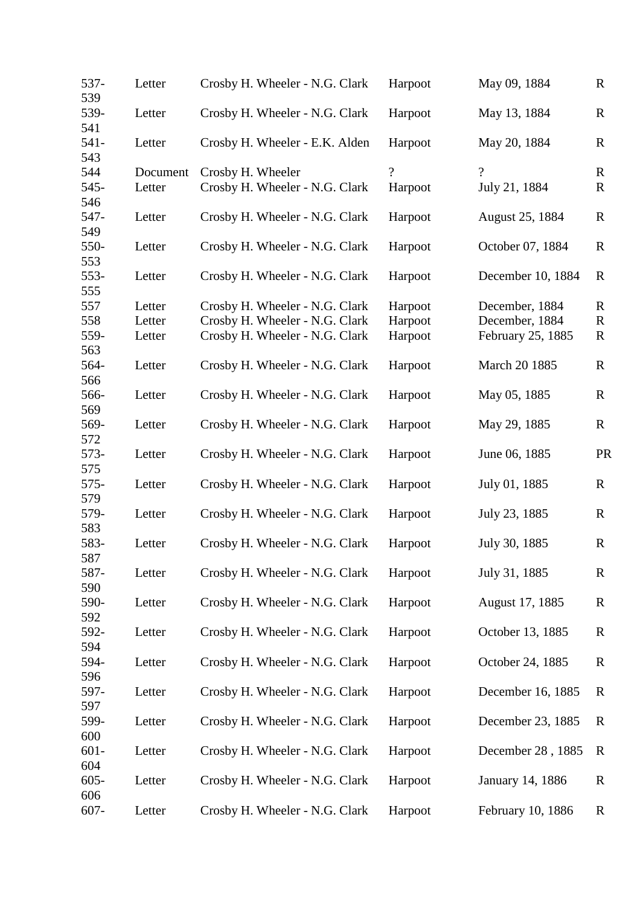| 537-<br>539    | Letter   | Crosby H. Wheeler - N.G. Clark | Harpoot  | May 09, 1884      | $\mathbb{R}$ |
|----------------|----------|--------------------------------|----------|-------------------|--------------|
| 539-<br>541    | Letter   | Crosby H. Wheeler - N.G. Clark | Harpoot  | May 13, 1884      | $\mathbf R$  |
| $541 -$<br>543 | Letter   | Crosby H. Wheeler - E.K. Alden | Harpoot  | May 20, 1884      | $\mathbf R$  |
| 544            | Document | Crosby H. Wheeler              | $\gamma$ | $\gamma$          | $\mathbf R$  |
| $545 -$<br>546 | Letter   | Crosby H. Wheeler - N.G. Clark | Harpoot  | July 21, 1884     | $\mathbf R$  |
| 547-<br>549    | Letter   | Crosby H. Wheeler - N.G. Clark | Harpoot  | August 25, 1884   | $\mathbf R$  |
| 550-<br>553    | Letter   | Crosby H. Wheeler - N.G. Clark | Harpoot  | October 07, 1884  | $\mathbf R$  |
| 553-<br>555    | Letter   | Crosby H. Wheeler - N.G. Clark | Harpoot  | December 10, 1884 | $\mathbf R$  |
| 557            | Letter   | Crosby H. Wheeler - N.G. Clark | Harpoot  | December, 1884    | $\mathbf R$  |
| 558            | Letter   | Crosby H. Wheeler - N.G. Clark | Harpoot  | December, 1884    | $\mathbf R$  |
| 559-<br>563    | Letter   | Crosby H. Wheeler - N.G. Clark | Harpoot  | February 25, 1885 | $\mathbf R$  |
| 564-<br>566    | Letter   | Crosby H. Wheeler - N.G. Clark | Harpoot  | March 20 1885     | $\mathbb{R}$ |
| 566-<br>569    | Letter   | Crosby H. Wheeler - N.G. Clark | Harpoot  | May 05, 1885      | $\mathbf R$  |
| 569-<br>572    | Letter   | Crosby H. Wheeler - N.G. Clark | Harpoot  | May 29, 1885      | $\mathbf R$  |
| $573-$<br>575  | Letter   | Crosby H. Wheeler - N.G. Clark | Harpoot  | June 06, 1885     | <b>PR</b>    |
| $575-$<br>579  | Letter   | Crosby H. Wheeler - N.G. Clark | Harpoot  | July 01, 1885     | $\mathbf R$  |
| 579-<br>583    | Letter   | Crosby H. Wheeler - N.G. Clark | Harpoot  | July 23, 1885     | $\mathbf R$  |
| 583-<br>587    | Letter   | Crosby H. Wheeler - N.G. Clark | Harpoot  | July 30, 1885     | $\mathbf R$  |
| 587-<br>590    | Letter   | Crosby H. Wheeler - N.G. Clark | Harpoot  | July 31, 1885     | $\mathbb{R}$ |
| 590-<br>592    | Letter   | Crosby H. Wheeler - N.G. Clark | Harpoot  | August 17, 1885   | $\mathbf R$  |
| 592-<br>594    | Letter   | Crosby H. Wheeler - N.G. Clark | Harpoot  | October 13, 1885  | $\mathbf R$  |
| 594-<br>596    | Letter   | Crosby H. Wheeler - N.G. Clark | Harpoot  | October 24, 1885  | $\mathbf R$  |
| 597-<br>597    | Letter   | Crosby H. Wheeler - N.G. Clark | Harpoot  | December 16, 1885 | $\mathbf R$  |
| 599-<br>600    | Letter   | Crosby H. Wheeler - N.G. Clark | Harpoot  | December 23, 1885 | R            |
| $601 -$<br>604 | Letter   | Crosby H. Wheeler - N.G. Clark | Harpoot  | December 28, 1885 | $\mathbf R$  |
| $605 -$<br>606 | Letter   | Crosby H. Wheeler - N.G. Clark | Harpoot  | January 14, 1886  | $\mathbf R$  |
| $607 -$        | Letter   | Crosby H. Wheeler - N.G. Clark | Harpoot  | February 10, 1886 | $\mathbf R$  |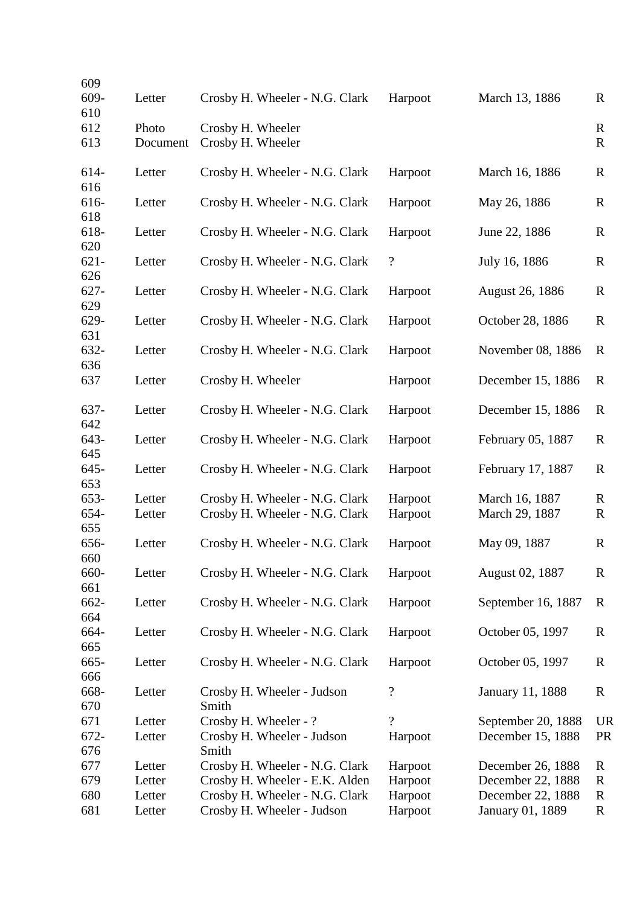| 609            |                  |                                                              |                            |                                       |                  |
|----------------|------------------|--------------------------------------------------------------|----------------------------|---------------------------------------|------------------|
| 609-<br>610    | Letter           | Crosby H. Wheeler - N.G. Clark                               | Harpoot                    | March 13, 1886                        | $\mathbf R$      |
| 612            | Photo            | Crosby H. Wheeler                                            |                            |                                       | R                |
| 613            | Document         | Crosby H. Wheeler                                            |                            |                                       | $\mathbf R$      |
| 614-<br>616    | Letter           | Crosby H. Wheeler - N.G. Clark                               | Harpoot                    | March 16, 1886                        | $\mathbf R$      |
| 616-<br>618    | Letter           | Crosby H. Wheeler - N.G. Clark                               | Harpoot                    | May 26, 1886                          | $\mathbf R$      |
| 618-<br>620    | Letter           | Crosby H. Wheeler - N.G. Clark                               | Harpoot                    | June 22, 1886                         | $\mathbf R$      |
| $621 -$<br>626 | Letter           | Crosby H. Wheeler - N.G. Clark                               | $\boldsymbol{?}$           | July 16, 1886                         | $\mathbb{R}$     |
| $627 -$<br>629 | Letter           | Crosby H. Wheeler - N.G. Clark                               | Harpoot                    | August 26, 1886                       | $\mathbf R$      |
| 629-<br>631    | Letter           | Crosby H. Wheeler - N.G. Clark                               | Harpoot                    | October 28, 1886                      | $\mathbf R$      |
| 632-<br>636    | Letter           | Crosby H. Wheeler - N.G. Clark                               | Harpoot                    | November 08, 1886                     | $\mathbb{R}$     |
| 637            | Letter           | Crosby H. Wheeler                                            | Harpoot                    | December 15, 1886                     | $\mathbb{R}$     |
| 637-<br>642    | Letter           | Crosby H. Wheeler - N.G. Clark                               | Harpoot                    | December 15, 1886                     | $\mathbb{R}$     |
| 643-<br>645    | Letter           | Crosby H. Wheeler - N.G. Clark                               | Harpoot                    | February 05, 1887                     | $\mathbf R$      |
| $645 -$<br>653 | Letter           | Crosby H. Wheeler - N.G. Clark                               | Harpoot                    | February 17, 1887                     | $\mathbf R$      |
| 653-           | Letter           | Crosby H. Wheeler - N.G. Clark                               | Harpoot                    | March 16, 1887                        | R                |
| 654-<br>655    | Letter           | Crosby H. Wheeler - N.G. Clark                               | Harpoot                    | March 29, 1887                        | $\mathbf R$      |
| 656-<br>660    | Letter           | Crosby H. Wheeler - N.G. Clark                               | Harpoot                    | May 09, 1887                          | $\mathbf R$      |
| 660-<br>661    | Letter           | Crosby H. Wheeler - N.G. Clark                               | Harpoot                    | August 02, 1887                       | R                |
| 662-<br>664    | Letter           | Crosby H. Wheeler - N.G. Clark                               | Harpoot                    | September 16, 1887                    | R                |
| 664-<br>665    | Letter           | Crosby H. Wheeler - N.G. Clark                               | Harpoot                    | October 05, 1997                      | R                |
| 665-<br>666    | Letter           | Crosby H. Wheeler - N.G. Clark                               | Harpoot                    | October 05, 1997                      | $\mathbf R$      |
| 668-<br>670    | Letter           | Crosby H. Wheeler - Judson<br>Smith                          | $\boldsymbol{\mathcal{C}}$ | <b>January 11, 1888</b>               | $\mathbf R$      |
| 671            | Letter           | Crosby H. Wheeler - ?                                        | $\overline{\mathcal{L}}$   | September 20, 1888                    | <b>UR</b>        |
| 672-<br>676    | Letter           | Crosby H. Wheeler - Judson<br>Smith                          | Harpoot                    | December 15, 1888                     | <b>PR</b>        |
| 677            | Letter           | Crosby H. Wheeler - N.G. Clark                               | Harpoot                    | December 26, 1888                     | R                |
| 679            | Letter           | Crosby H. Wheeler - E.K. Alden                               | Harpoot                    | December 22, 1888                     | R                |
| 680<br>681     | Letter<br>Letter | Crosby H. Wheeler - N.G. Clark<br>Crosby H. Wheeler - Judson | Harpoot<br>Harpoot         | December 22, 1888<br>January 01, 1889 | R<br>$\mathbf R$ |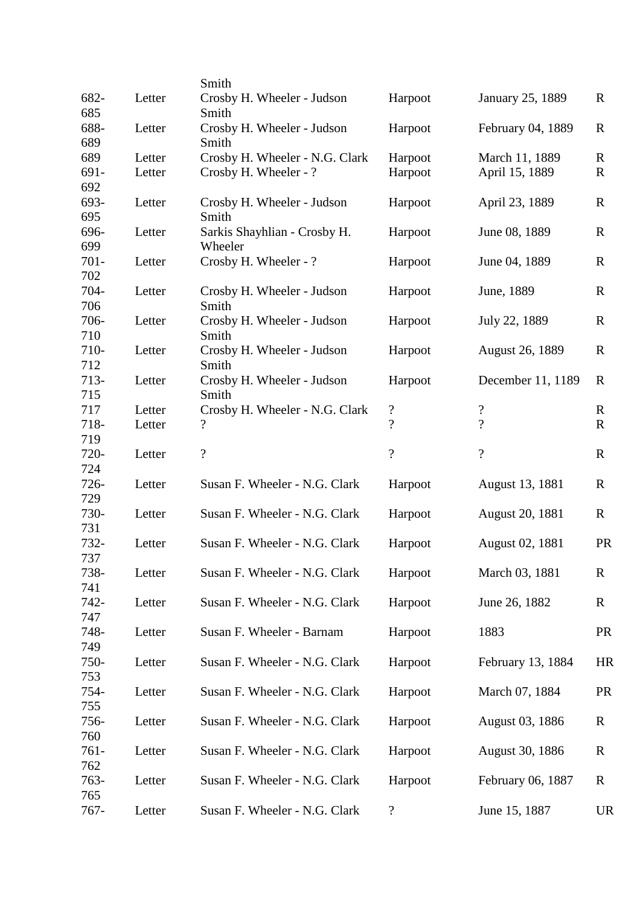|         |        | Smith                          |                            |                          |              |
|---------|--------|--------------------------------|----------------------------|--------------------------|--------------|
| 682-    | Letter | Crosby H. Wheeler - Judson     | Harpoot                    | January 25, 1889         | $\mathbb{R}$ |
| 685     |        | Smith                          |                            |                          |              |
| 688-    | Letter | Crosby H. Wheeler - Judson     | Harpoot                    | February 04, 1889        | $\mathbf R$  |
| 689     |        | Smith                          |                            |                          |              |
| 689     | Letter | Crosby H. Wheeler - N.G. Clark | Harpoot                    | March 11, 1889           | $\mathbb{R}$ |
| 691-    | Letter | Crosby H. Wheeler - ?          | Harpoot                    | April 15, 1889           | $\mathbf R$  |
| 692     |        |                                |                            |                          |              |
| 693-    | Letter | Crosby H. Wheeler - Judson     | Harpoot                    | April 23, 1889           | $\mathbf R$  |
| 695     |        | Smith                          |                            |                          |              |
| 696-    | Letter | Sarkis Shayhlian - Crosby H.   | Harpoot                    | June 08, 1889            | $\mathbb{R}$ |
| 699     |        | Wheeler                        |                            |                          |              |
| $701 -$ | Letter | Crosby H. Wheeler - ?          | Harpoot                    | June 04, 1889            | $\mathbb{R}$ |
| 702     |        |                                |                            |                          |              |
| 704-    | Letter | Crosby H. Wheeler - Judson     | Harpoot                    | June, 1889               | $\mathbf R$  |
| 706     |        | Smith                          |                            |                          |              |
| 706-    | Letter | Crosby H. Wheeler - Judson     | Harpoot                    | July 22, 1889            | $\mathbf R$  |
| 710     |        | Smith                          |                            |                          |              |
| 710-    | Letter | Crosby H. Wheeler - Judson     | Harpoot                    | <b>August 26, 1889</b>   | $\mathbf R$  |
| 712     |        | Smith                          |                            |                          |              |
| $713-$  | Letter | Crosby H. Wheeler - Judson     | Harpoot                    | December 11, 1189        | $\mathbb{R}$ |
| 715     |        | Smith                          |                            |                          |              |
| 717     | Letter | Crosby H. Wheeler - N.G. Clark | $\boldsymbol{\mathcal{C}}$ | $\boldsymbol{?}$         | $\mathbf R$  |
| 718-    | Letter | $\boldsymbol{?}$               | $\overline{\mathcal{L}}$   | $\overline{?}$           | $\mathbf R$  |
| 719     |        |                                |                            |                          |              |
| 720-    | Letter | $\boldsymbol{?}$               | $\overline{\mathcal{L}}$   | $\overline{\mathcal{L}}$ | $\mathbb{R}$ |
| 724     |        |                                |                            |                          |              |
| $726 -$ | Letter | Susan F. Wheeler - N.G. Clark  | Harpoot                    | August 13, 1881          | $\mathbf R$  |
| 729     |        |                                |                            |                          |              |
| 730-    | Letter | Susan F. Wheeler - N.G. Clark  | Harpoot                    | August 20, 1881          | $\mathbf R$  |
| 731     |        |                                |                            |                          |              |
| 732-    | Letter | Susan F. Wheeler - N.G. Clark  | Harpoot                    | August 02, 1881          | <b>PR</b>    |
| 737     |        |                                |                            |                          |              |
| 738-    | Letter | Susan F. Wheeler - N.G. Clark  | Harpoot                    | March 03, 1881           | $\mathbf R$  |
| 741     |        |                                |                            |                          |              |
| $742 -$ | Letter | Susan F. Wheeler - N.G. Clark  | Harpoot                    | June 26, 1882            | R            |
| 747     |        |                                |                            |                          |              |
| 748-    | Letter | Susan F. Wheeler - Barnam      | Harpoot                    | 1883                     | <b>PR</b>    |
| 749     |        |                                |                            |                          |              |
| 750-    | Letter | Susan F. Wheeler - N.G. Clark  | Harpoot                    | February 13, 1884        | HR           |
| 753     |        |                                |                            |                          |              |
| 754-    | Letter | Susan F. Wheeler - N.G. Clark  | Harpoot                    | March 07, 1884           | <b>PR</b>    |
| 755     |        |                                |                            |                          |              |
| 756-    | Letter | Susan F. Wheeler - N.G. Clark  | Harpoot                    | August 03, 1886          | R            |
| 760     |        |                                |                            |                          |              |
| $761 -$ | Letter | Susan F. Wheeler - N.G. Clark  | Harpoot                    | August 30, 1886          | R            |
| 762     |        |                                |                            |                          |              |
| 763-    | Letter | Susan F. Wheeler - N.G. Clark  | Harpoot                    | February 06, 1887        | $\mathbf R$  |
| 765     |        |                                |                            |                          |              |
| $767 -$ | Letter | Susan F. Wheeler - N.G. Clark  | $\boldsymbol{\mathcal{P}}$ | June 15, 1887            | <b>UR</b>    |
|         |        |                                |                            |                          |              |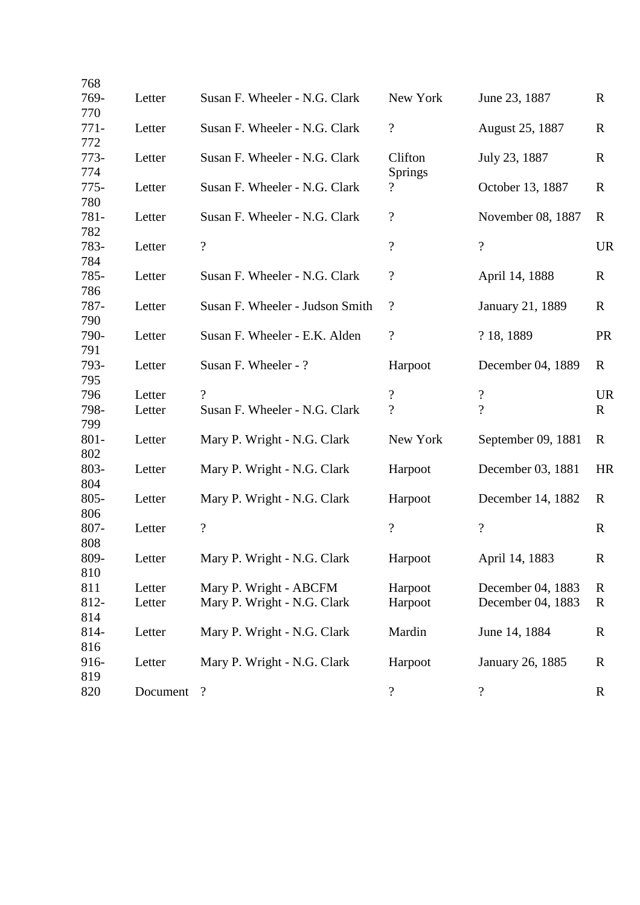| 768            |          |                                 |                            |                            |              |
|----------------|----------|---------------------------------|----------------------------|----------------------------|--------------|
| 769-<br>770    | Letter   | Susan F. Wheeler - N.G. Clark   | New York                   | June 23, 1887              | $\mathbf R$  |
| $771-$<br>772  | Letter   | Susan F. Wheeler - N.G. Clark   | $\overline{\cdot}$         | August 25, 1887            | R            |
| $773-$<br>774  | Letter   | Susan F. Wheeler - N.G. Clark   | Clifton<br>Springs         | July 23, 1887              | $\mathbf R$  |
| $775-$<br>780  | Letter   | Susan F. Wheeler - N.G. Clark   | $\overline{\mathcal{L}}$   | October 13, 1887           | $\mathbf R$  |
| 781-<br>782    | Letter   | Susan F. Wheeler - N.G. Clark   | $\overline{\mathcal{L}}$   | November 08, 1887          | $\mathbf R$  |
| 783-<br>784    | Letter   | $\overline{?}$                  | $\overline{\mathcal{L}}$   | $\overline{\mathcal{L}}$   | <b>UR</b>    |
| 785-<br>786    | Letter   | Susan F. Wheeler - N.G. Clark   | $\boldsymbol{\mathcal{C}}$ | April 14, 1888             | R            |
| 787-<br>790    | Letter   | Susan F. Wheeler - Judson Smith | $\overline{\mathcal{L}}$   | January 21, 1889           | $\mathbf R$  |
| 790-<br>791    | Letter   | Susan F. Wheeler - E.K. Alden   | $\overline{\mathcal{L}}$   | ? 18, 1889                 | <b>PR</b>    |
| 793-<br>795    | Letter   | Susan F. Wheeler - ?            | Harpoot                    | December 04, 1889          | $\mathbf R$  |
| 796            | Letter   | $\gamma$                        | $\overline{\mathcal{L}}$   | $\boldsymbol{\mathcal{C}}$ | <b>UR</b>    |
| 798-<br>799    | Letter   | Susan F. Wheeler - N.G. Clark   | $\overline{\mathcal{L}}$   | $\overline{\mathcal{L}}$   | $\mathbf{R}$ |
| $801 -$<br>802 | Letter   | Mary P. Wright - N.G. Clark     | New York                   | September 09, 1881         | R            |
| 803-<br>804    | Letter   | Mary P. Wright - N.G. Clark     | Harpoot                    | December 03, 1881          | <b>HR</b>    |
| $805 -$<br>806 | Letter   | Mary P. Wright - N.G. Clark     | Harpoot                    | December 14, 1882          | R            |
| 807-<br>808    | Letter   | $\boldsymbol{?}$                | $\overline{\cdot}$         | $\ddot{?}$                 | $\mathbf R$  |
| 809-<br>810    | Letter   | Mary P. Wright - N.G. Clark     | Harpoot                    | April 14, 1883             | $\mathbf R$  |
| 811            | Letter   | Mary P. Wright - ABCFM          | Harpoot                    | December 04, 1883          | R            |
| 812-<br>814    | Letter   | Mary P. Wright - N.G. Clark     | Harpoot                    | December 04, 1883          | $\mathbf R$  |
| 814-<br>816    | Letter   | Mary P. Wright - N.G. Clark     | Mardin                     | June 14, 1884              | $\mathbf R$  |
| 916-<br>819    | Letter   | Mary P. Wright - N.G. Clark     | Harpoot                    | January 26, 1885           | $\mathbf R$  |
| 820            | Document | $\overline{\mathcal{L}}$        | $\boldsymbol{\mathcal{C}}$ | ?                          | $\mathbf R$  |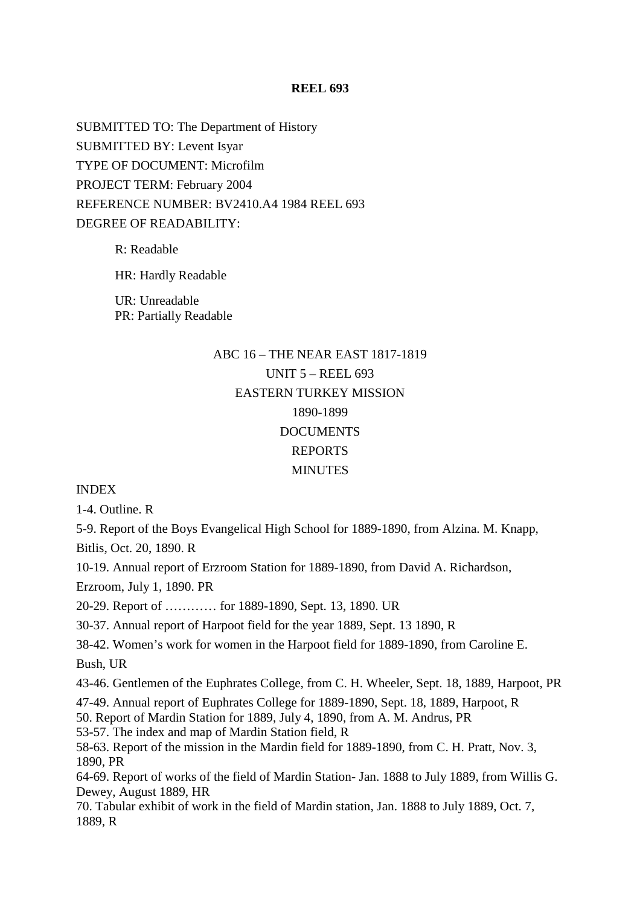SUBMITTED TO: The Department of History SUBMITTED BY: Levent Isyar TYPE OF DOCUMENT: Microfilm PROJECT TERM: February 2004 REFERENCE NUMBER: BV2410.A4 1984 REEL 693 DEGREE OF READABILITY:

R: Readable

HR: Hardly Readable

UR: Unreadable PR: Partially Readable

## ABC 16 – THE NEAR EAST 1817-1819 UNIT 5 – REEL 693 EASTERN TURKEY MISSION 1890-1899 **DOCUMENTS** REPORTS MINUTES

#### INDEX

1-4. Outline. R

5-9. Report of the Boys Evangelical High School for 1889-1890, from Alzina. M. Knapp,

Bitlis, Oct. 20, 1890. R

10-19. Annual report of Erzroom Station for 1889-1890, from David A. Richardson,

Erzroom, July 1, 1890. PR

20-29. Report of ………… for 1889-1890, Sept. 13, 1890. UR

30-37. Annual report of Harpoot field for the year 1889, Sept. 13 1890, R

38-42. Women's work for women in the Harpoot field for 1889-1890, from Caroline E.

Bush, UR

43-46. Gentlemen of the Euphrates College, from C. H. Wheeler, Sept. 18, 1889, Harpoot, PR

47-49. Annual report of Euphrates College for 1889-1890, Sept. 18, 1889, Harpoot, R

50. Report of Mardin Station for 1889, July 4, 1890, from A. M. Andrus, PR

53-57. The index and map of Mardin Station field, R

58-63. Report of the mission in the Mardin field for 1889-1890, from C. H. Pratt, Nov. 3, 1890, PR

64-69. Report of works of the field of Mardin Station- Jan. 1888 to July 1889, from Willis G. Dewey, August 1889, HR

70. Tabular exhibit of work in the field of Mardin station, Jan. 1888 to July 1889, Oct. 7, 1889, R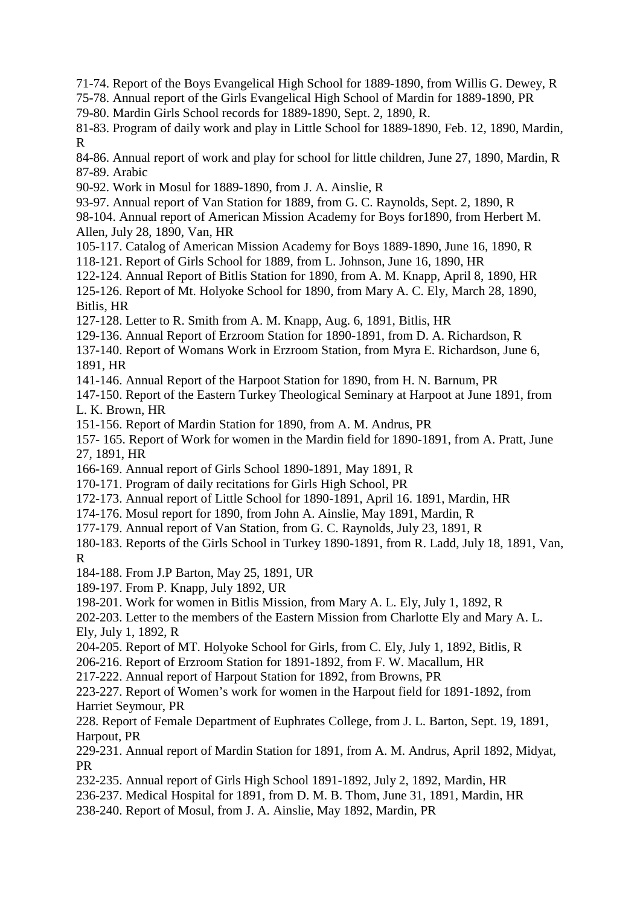71-74. Report of the Boys Evangelical High School for 1889-1890, from Willis G. Dewey, R

75-78. Annual report of the Girls Evangelical High School of Mardin for 1889-1890, PR

79-80. Mardin Girls School records for 1889-1890, Sept. 2, 1890, R.

81-83. Program of daily work and play in Little School for 1889-1890, Feb. 12, 1890, Mardin, R

84-86. Annual report of work and play for school for little children, June 27, 1890, Mardin, R 87-89. Arabic

90-92. Work in Mosul for 1889-1890, from J. A. Ainslie, R

93-97. Annual report of Van Station for 1889, from G. C. Raynolds, Sept. 2, 1890, R

98-104. Annual report of American Mission Academy for Boys for1890, from Herbert M. Allen, July 28, 1890, Van, HR

105-117. Catalog of American Mission Academy for Boys 1889-1890, June 16, 1890, R

118-121. Report of Girls School for 1889, from L. Johnson, June 16, 1890, HR

122-124. Annual Report of Bitlis Station for 1890, from A. M. Knapp, April 8, 1890, HR 125-126. Report of Mt. Holyoke School for 1890, from Mary A. C. Ely, March 28, 1890, Bitlis, HR

127-128. Letter to R. Smith from A. M. Knapp, Aug. 6, 1891, Bitlis, HR

129-136. Annual Report of Erzroom Station for 1890-1891, from D. A. Richardson, R

137-140. Report of Womans Work in Erzroom Station, from Myra E. Richardson, June 6, 1891, HR

141-146. Annual Report of the Harpoot Station for 1890, from H. N. Barnum, PR

147-150. Report of the Eastern Turkey Theological Seminary at Harpoot at June 1891, from L. K. Brown, HR

151-156. Report of Mardin Station for 1890, from A. M. Andrus, PR

157- 165. Report of Work for women in the Mardin field for 1890-1891, from A. Pratt, June 27, 1891, HR

166-169. Annual report of Girls School 1890-1891, May 1891, R

170-171. Program of daily recitations for Girls High School, PR

172-173. Annual report of Little School for 1890-1891, April 16. 1891, Mardin, HR

174-176. Mosul report for 1890, from John A. Ainslie, May 1891, Mardin, R

177-179. Annual report of Van Station, from G. C. Raynolds, July 23, 1891, R

180-183. Reports of the Girls School in Turkey 1890-1891, from R. Ladd, July 18, 1891, Van, R

184-188. From J.P Barton, May 25, 1891, UR

189-197. From P. Knapp, July 1892, UR

198-201. Work for women in Bitlis Mission, from Mary A. L. Ely, July 1, 1892, R

202-203. Letter to the members of the Eastern Mission from Charlotte Ely and Mary A. L. Ely, July 1, 1892, R

204-205. Report of MT. Holyoke School for Girls, from C. Ely, July 1, 1892, Bitlis, R

206-216. Report of Erzroom Station for 1891-1892, from F. W. Macallum, HR

217-222. Annual report of Harpout Station for 1892, from Browns, PR

223-227. Report of Women's work for women in the Harpout field for 1891-1892, from Harriet Seymour, PR

228. Report of Female Department of Euphrates College, from J. L. Barton, Sept. 19, 1891, Harpout, PR

229-231. Annual report of Mardin Station for 1891, from A. M. Andrus, April 1892, Midyat, PR

232-235. Annual report of Girls High School 1891-1892, July 2, 1892, Mardin, HR

236-237. Medical Hospital for 1891, from D. M. B. Thom, June 31, 1891, Mardin, HR

238-240. Report of Mosul, from J. A. Ainslie, May 1892, Mardin, PR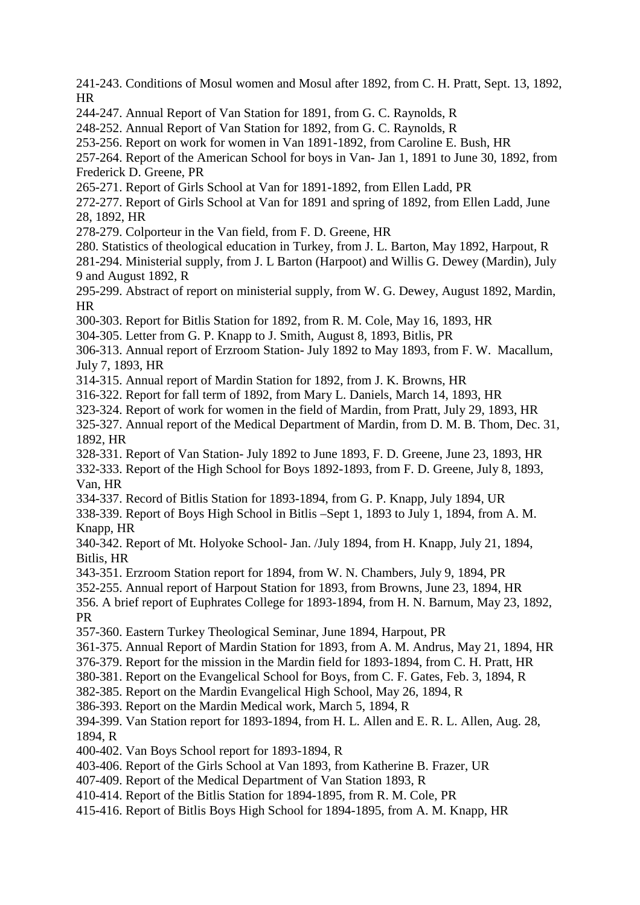241-243. Conditions of Mosul women and Mosul after 1892, from C. H. Pratt, Sept. 13, 1892, HR

244-247. Annual Report of Van Station for 1891, from G. C. Raynolds, R

248-252. Annual Report of Van Station for 1892, from G. C. Raynolds, R

253-256. Report on work for women in Van 1891-1892, from Caroline E. Bush, HR

257-264. Report of the American School for boys in Van- Jan 1, 1891 to June 30, 1892, from Frederick D. Greene, PR

265-271. Report of Girls School at Van for 1891-1892, from Ellen Ladd, PR

272-277. Report of Girls School at Van for 1891 and spring of 1892, from Ellen Ladd, June 28, 1892, HR

278-279. Colporteur in the Van field, from F. D. Greene, HR

280. Statistics of theological education in Turkey, from J. L. Barton, May 1892, Harpout, R

281-294. Ministerial supply, from J. L Barton (Harpoot) and Willis G. Dewey (Mardin), July 9 and August 1892, R

295-299. Abstract of report on ministerial supply, from W. G. Dewey, August 1892, Mardin, **HR** 

300-303. Report for Bitlis Station for 1892, from R. M. Cole, May 16, 1893, HR

304-305. Letter from G. P. Knapp to J. Smith, August 8, 1893, Bitlis, PR

306-313. Annual report of Erzroom Station- July 1892 to May 1893, from F. W. Macallum, July 7, 1893, HR

314-315. Annual report of Mardin Station for 1892, from J. K. Browns, HR

316-322. Report for fall term of 1892, from Mary L. Daniels, March 14, 1893, HR

323-324. Report of work for women in the field of Mardin, from Pratt, July 29, 1893, HR

325-327. Annual report of the Medical Department of Mardin, from D. M. B. Thom, Dec. 31, 1892, HR

328-331. Report of Van Station- July 1892 to June 1893, F. D. Greene, June 23, 1893, HR 332-333. Report of the High School for Boys 1892-1893, from F. D. Greene, July 8, 1893, Van, HR

334-337. Record of Bitlis Station for 1893-1894, from G. P. Knapp, July 1894, UR

338-339. Report of Boys High School in Bitlis –Sept 1, 1893 to July 1, 1894, from A. M. Knapp, HR

340-342. Report of Mt. Holyoke School- Jan. /July 1894, from H. Knapp, July 21, 1894, Bitlis, HR

343-351. Erzroom Station report for 1894, from W. N. Chambers, July 9, 1894, PR

352-255. Annual report of Harpout Station for 1893, from Browns, June 23, 1894, HR

356. A brief report of Euphrates College for 1893-1894, from H. N. Barnum, May 23, 1892, PR

357-360. Eastern Turkey Theological Seminar, June 1894, Harpout, PR

361-375. Annual Report of Mardin Station for 1893, from A. M. Andrus, May 21, 1894, HR

376-379. Report for the mission in the Mardin field for 1893-1894, from C. H. Pratt, HR

380-381. Report on the Evangelical School for Boys, from C. F. Gates, Feb. 3, 1894, R

382-385. Report on the Mardin Evangelical High School, May 26, 1894, R

386-393. Report on the Mardin Medical work, March 5, 1894, R

394-399. Van Station report for 1893-1894, from H. L. Allen and E. R. L. Allen, Aug. 28, 1894, R

400-402. Van Boys School report for 1893-1894, R

403-406. Report of the Girls School at Van 1893, from Katherine B. Frazer, UR

407-409. Report of the Medical Department of Van Station 1893, R

410-414. Report of the Bitlis Station for 1894-1895, from R. M. Cole, PR

415-416. Report of Bitlis Boys High School for 1894-1895, from A. M. Knapp, HR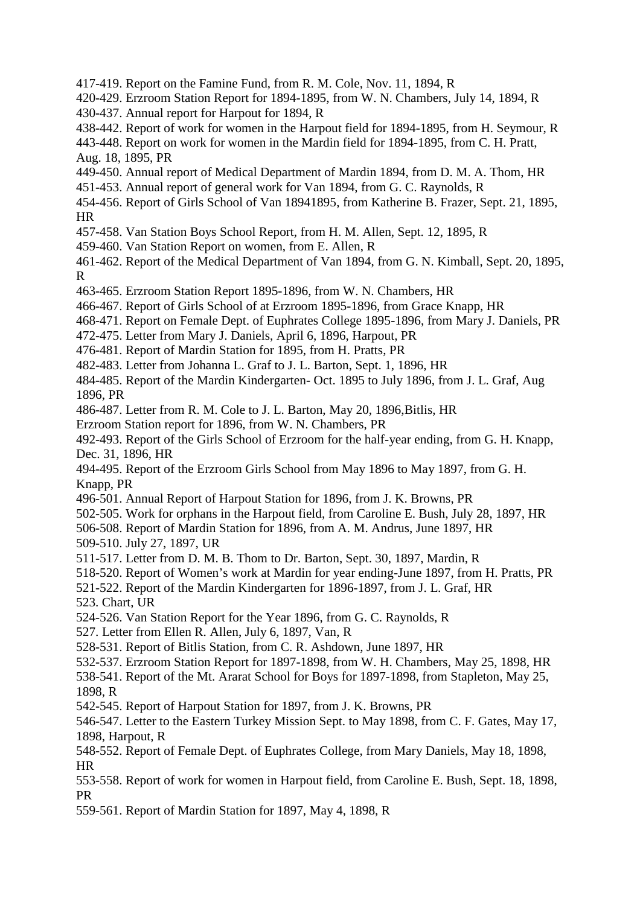417-419. Report on the Famine Fund, from R. M. Cole, Nov. 11, 1894, R 420-429. Erzroom Station Report for 1894-1895, from W. N. Chambers, July 14, 1894, R 430-437. Annual report for Harpout for 1894, R 438-442. Report of work for women in the Harpout field for 1894-1895, from H. Seymour, R 443-448. Report on work for women in the Mardin field for 1894-1895, from C. H. Pratt, Aug. 18, 1895, PR 449-450. Annual report of Medical Department of Mardin 1894, from D. M. A. Thom, HR 451-453. Annual report of general work for Van 1894, from G. C. Raynolds, R 454-456. Report of Girls School of Van 18941895, from Katherine B. Frazer, Sept. 21, 1895, HR 457-458. Van Station Boys School Report, from H. M. Allen, Sept. 12, 1895, R 459-460. Van Station Report on women, from E. Allen, R 461-462. Report of the Medical Department of Van 1894, from G. N. Kimball, Sept. 20, 1895, R 463-465. Erzroom Station Report 1895-1896, from W. N. Chambers, HR 466-467. Report of Girls School of at Erzroom 1895-1896, from Grace Knapp, HR 468-471. Report on Female Dept. of Euphrates College 1895-1896, from Mary J. Daniels, PR 472-475. Letter from Mary J. Daniels, April 6, 1896, Harpout, PR 476-481. Report of Mardin Station for 1895, from H. Pratts, PR 482-483. Letter from Johanna L. Graf to J. L. Barton, Sept. 1, 1896, HR 484-485. Report of the Mardin Kindergarten- Oct. 1895 to July 1896, from J. L. Graf, Aug 1896, PR 486-487. Letter from R. M. Cole to J. L. Barton, May 20, 1896,Bitlis, HR Erzroom Station report for 1896, from W. N. Chambers, PR 492-493. Report of the Girls School of Erzroom for the half-year ending, from G. H. Knapp, Dec. 31, 1896, HR 494-495. Report of the Erzroom Girls School from May 1896 to May 1897, from G. H. Knapp, PR 496-501. Annual Report of Harpout Station for 1896, from J. K. Browns, PR 502-505. Work for orphans in the Harpout field, from Caroline E. Bush, July 28, 1897, HR 506-508. Report of Mardin Station for 1896, from A. M. Andrus, June 1897, HR 509-510. July 27, 1897, UR 511-517. Letter from D. M. B. Thom to Dr. Barton, Sept. 30, 1897, Mardin, R 518-520. Report of Women's work at Mardin for year ending-June 1897, from H. Pratts, PR 521-522. Report of the Mardin Kindergarten for 1896-1897, from J. L. Graf, HR 523. Chart, UR 524-526. Van Station Report for the Year 1896, from G. C. Raynolds, R 527. Letter from Ellen R. Allen, July 6, 1897, Van, R 528-531. Report of Bitlis Station, from C. R. Ashdown, June 1897, HR 532-537. Erzroom Station Report for 1897-1898, from W. H. Chambers, May 25, 1898, HR 538-541. Report of the Mt. Ararat School for Boys for 1897-1898, from Stapleton, May 25, 1898, R 542-545. Report of Harpout Station for 1897, from J. K. Browns, PR 546-547. Letter to the Eastern Turkey Mission Sept. to May 1898, from C. F. Gates, May 17, 1898, Harpout, R 548-552. Report of Female Dept. of Euphrates College, from Mary Daniels, May 18, 1898, HR 553-558. Report of work for women in Harpout field, from Caroline E. Bush, Sept. 18, 1898, PR 559-561. Report of Mardin Station for 1897, May 4, 1898, R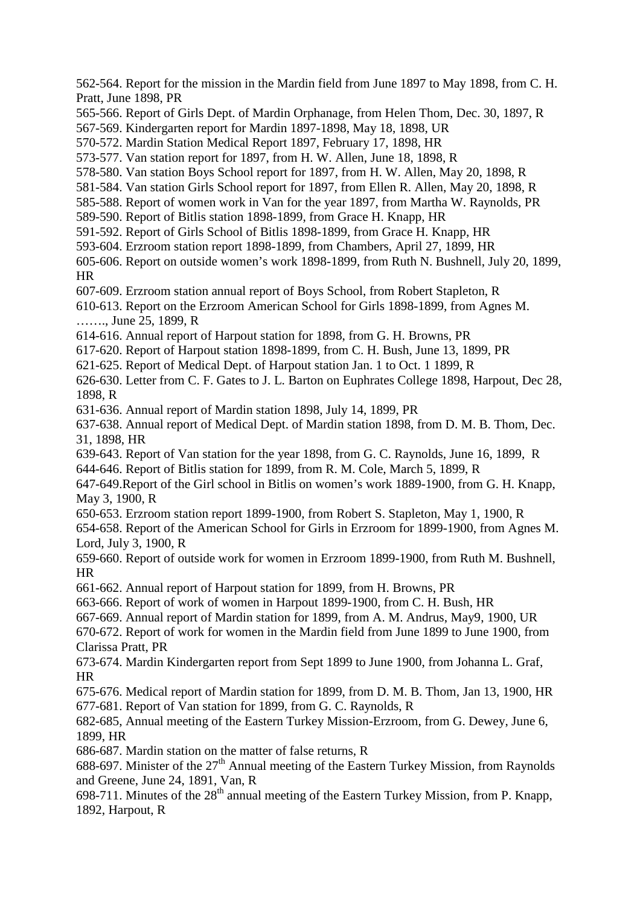562-564. Report for the mission in the Mardin field from June 1897 to May 1898, from C. H. Pratt, June 1898, PR 565-566. Report of Girls Dept. of Mardin Orphanage, from Helen Thom, Dec. 30, 1897, R 567-569. Kindergarten report for Mardin 1897-1898, May 18, 1898, UR 570-572. Mardin Station Medical Report 1897, February 17, 1898, HR 573-577. Van station report for 1897, from H. W. Allen, June 18, 1898, R 578-580. Van station Boys School report for 1897, from H. W. Allen, May 20, 1898, R 581-584. Van station Girls School report for 1897, from Ellen R. Allen, May 20, 1898, R 585-588. Report of women work in Van for the year 1897, from Martha W. Raynolds, PR 589-590. Report of Bitlis station 1898-1899, from Grace H. Knapp, HR 591-592. Report of Girls School of Bitlis 1898-1899, from Grace H. Knapp, HR 593-604. Erzroom station report 1898-1899, from Chambers, April 27, 1899, HR 605-606. Report on outside women's work 1898-1899, from Ruth N. Bushnell, July 20, 1899, HR 607-609. Erzroom station annual report of Boys School, from Robert Stapleton, R 610-613. Report on the Erzroom American School for Girls 1898-1899, from Agnes M. ……., June 25, 1899, R 614-616. Annual report of Harpout station for 1898, from G. H. Browns, PR 617-620. Report of Harpout station 1898-1899, from C. H. Bush, June 13, 1899, PR 621-625. Report of Medical Dept. of Harpout station Jan. 1 to Oct. 1 1899, R 626-630. Letter from C. F. Gates to J. L. Barton on Euphrates College 1898, Harpout, Dec 28, 1898, R 631-636. Annual report of Mardin station 1898, July 14, 1899, PR 637-638. Annual report of Medical Dept. of Mardin station 1898, from D. M. B. Thom, Dec. 31, 1898, HR 639-643. Report of Van station for the year 1898, from G. C. Raynolds, June 16, 1899, R 644-646. Report of Bitlis station for 1899, from R. M. Cole, March 5, 1899, R 647-649.Report of the Girl school in Bitlis on women's work 1889-1900, from G. H. Knapp, May 3, 1900, R 650-653. Erzroom station report 1899-1900, from Robert S. Stapleton, May 1, 1900, R 654-658. Report of the American School for Girls in Erzroom for 1899-1900, from Agnes M. Lord, July 3, 1900, R 659-660. Report of outside work for women in Erzroom 1899-1900, from Ruth M. Bushnell, HR 661-662. Annual report of Harpout station for 1899, from H. Browns, PR 663-666. Report of work of women in Harpout 1899-1900, from C. H. Bush, HR 667-669. Annual report of Mardin station for 1899, from A. M. Andrus, May9, 1900, UR 670-672. Report of work for women in the Mardin field from June 1899 to June 1900, from Clarissa Pratt, PR 673-674. Mardin Kindergarten report from Sept 1899 to June 1900, from Johanna L. Graf, HR 675-676. Medical report of Mardin station for 1899, from D. M. B. Thom, Jan 13, 1900, HR 677-681. Report of Van station for 1899, from G. C. Raynolds, R 682-685, Annual meeting of the Eastern Turkey Mission-Erzroom, from G. Dewey, June 6, 1899, HR 686-687. Mardin station on the matter of false returns, R 688-697. Minister of the  $27<sup>th</sup>$  Annual meeting of the Eastern Turkey Mission, from Raynolds and Greene, June 24, 1891, Van, R 698-711. Minutes of the  $28<sup>th</sup>$  annual meeting of the Eastern Turkey Mission, from P. Knapp, 1892, Harpout, R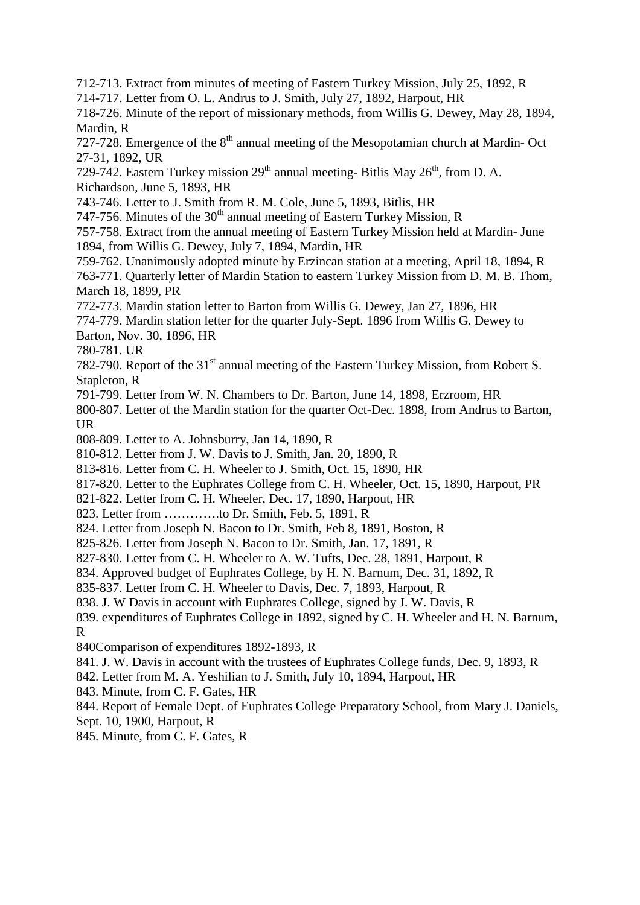712-713. Extract from minutes of meeting of Eastern Turkey Mission, July 25, 1892, R

714-717. Letter from O. L. Andrus to J. Smith, July 27, 1892, Harpout, HR

718-726. Minute of the report of missionary methods, from Willis G. Dewey, May 28, 1894, Mardin, R

727-728. Emergence of the  $8<sup>th</sup>$  annual meeting of the Mesopotamian church at Mardin-Oct 27-31, 1892, UR

729-742. Eastern Turkey mission  $29<sup>th</sup>$  annual meeting- Bitlis May  $26<sup>th</sup>$ , from D. A. Richardson, June 5, 1893, HR

743-746. Letter to J. Smith from R. M. Cole, June 5, 1893, Bitlis, HR

747-756. Minutes of the  $30<sup>th</sup>$  annual meeting of Eastern Turkey Mission, R

757-758. Extract from the annual meeting of Eastern Turkey Mission held at Mardin- June 1894, from Willis G. Dewey, July 7, 1894, Mardin, HR

759-762. Unanimously adopted minute by Erzincan station at a meeting, April 18, 1894, R

763-771. Quarterly letter of Mardin Station to eastern Turkey Mission from D. M. B. Thom, March 18, 1899, PR

772-773. Mardin station letter to Barton from Willis G. Dewey, Jan 27, 1896, HR

774-779. Mardin station letter for the quarter July-Sept. 1896 from Willis G. Dewey to

Barton, Nov. 30, 1896, HR

780-781. UR

782-790. Report of the 31<sup>st</sup> annual meeting of the Eastern Turkey Mission, from Robert S. Stapleton, R

791-799. Letter from W. N. Chambers to Dr. Barton, June 14, 1898, Erzroom, HR

800-807. Letter of the Mardin station for the quarter Oct-Dec. 1898, from Andrus to Barton, UR

808-809. Letter to A. Johnsburry, Jan 14, 1890, R

810-812. Letter from J. W. Davis to J. Smith, Jan. 20, 1890, R

813-816. Letter from C. H. Wheeler to J. Smith, Oct. 15, 1890, HR

817-820. Letter to the Euphrates College from C. H. Wheeler, Oct. 15, 1890, Harpout, PR

821-822. Letter from C. H. Wheeler, Dec. 17, 1890, Harpout, HR

823. Letter from ………….to Dr. Smith, Feb. 5, 1891, R

824. Letter from Joseph N. Bacon to Dr. Smith, Feb 8, 1891, Boston, R

825-826. Letter from Joseph N. Bacon to Dr. Smith, Jan. 17, 1891, R

827-830. Letter from C. H. Wheeler to A. W. Tufts, Dec. 28, 1891, Harpout, R

834. Approved budget of Euphrates College, by H. N. Barnum, Dec. 31, 1892, R

835-837. Letter from C. H. Wheeler to Davis, Dec. 7, 1893, Harpout, R

838. J. W Davis in account with Euphrates College, signed by J. W. Davis, R

839. expenditures of Euphrates College in 1892, signed by C. H. Wheeler and H. N. Barnum, R

840Comparison of expenditures 1892-1893, R

841. J. W. Davis in account with the trustees of Euphrates College funds, Dec. 9, 1893, R

842. Letter from M. A. Yeshilian to J. Smith, July 10, 1894, Harpout, HR

843. Minute, from C. F. Gates, HR

844. Report of Female Dept. of Euphrates College Preparatory School, from Mary J. Daniels, Sept. 10, 1900, Harpout, R

845. Minute, from C. F. Gates, R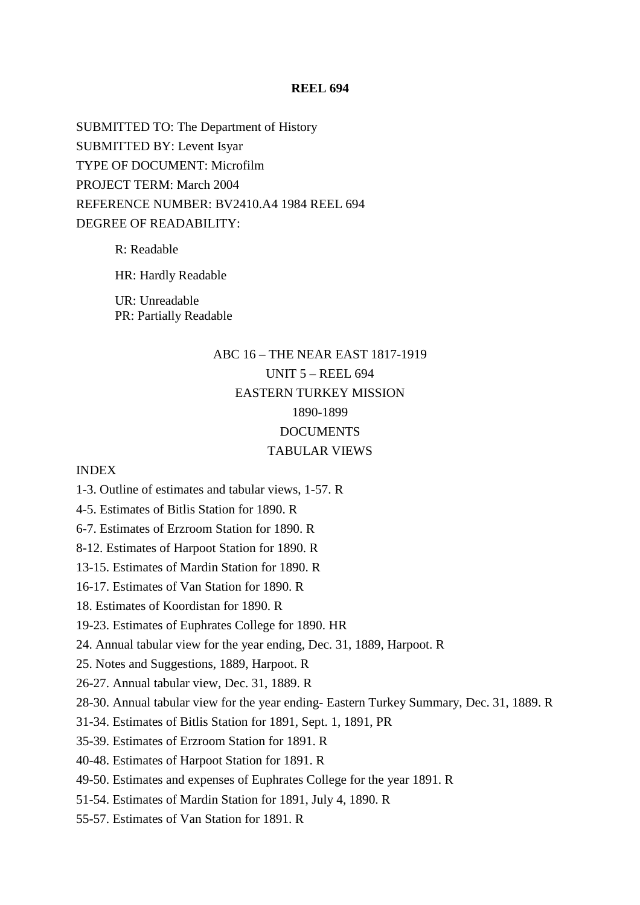SUBMITTED TO: The Department of History SUBMITTED BY: Levent Isyar TYPE OF DOCUMENT: Microfilm PROJECT TERM: March 2004 REFERENCE NUMBER: BV2410.A4 1984 REEL 694 DEGREE OF READABILITY:

> R: Readable HR: Hardly Readable

UR: Unreadable PR: Partially Readable

### ABC 16 – THE NEAR EAST 1817-1919 UNIT 5 – REEL 694 EASTERN TURKEY MISSION 1890-1899 **DOCUMENTS** TABULAR VIEWS

### INDEX

- 1-3. Outline of estimates and tabular views, 1-57. R
- 4-5. Estimates of Bitlis Station for 1890. R
- 6-7. Estimates of Erzroom Station for 1890. R
- 8-12. Estimates of Harpoot Station for 1890. R
- 13-15. Estimates of Mardin Station for 1890. R
- 16-17. Estimates of Van Station for 1890. R
- 18. Estimates of Koordistan for 1890. R
- 19-23. Estimates of Euphrates College for 1890. HR
- 24. Annual tabular view for the year ending, Dec. 31, 1889, Harpoot. R
- 25. Notes and Suggestions, 1889, Harpoot. R
- 26-27. Annual tabular view, Dec. 31, 1889. R
- 28-30. Annual tabular view for the year ending- Eastern Turkey Summary, Dec. 31, 1889. R
- 31-34. Estimates of Bitlis Station for 1891, Sept. 1, 1891, PR
- 35-39. Estimates of Erzroom Station for 1891. R
- 40-48. Estimates of Harpoot Station for 1891. R
- 49-50. Estimates and expenses of Euphrates College for the year 1891. R
- 51-54. Estimates of Mardin Station for 1891, July 4, 1890. R
- 55-57. Estimates of Van Station for 1891. R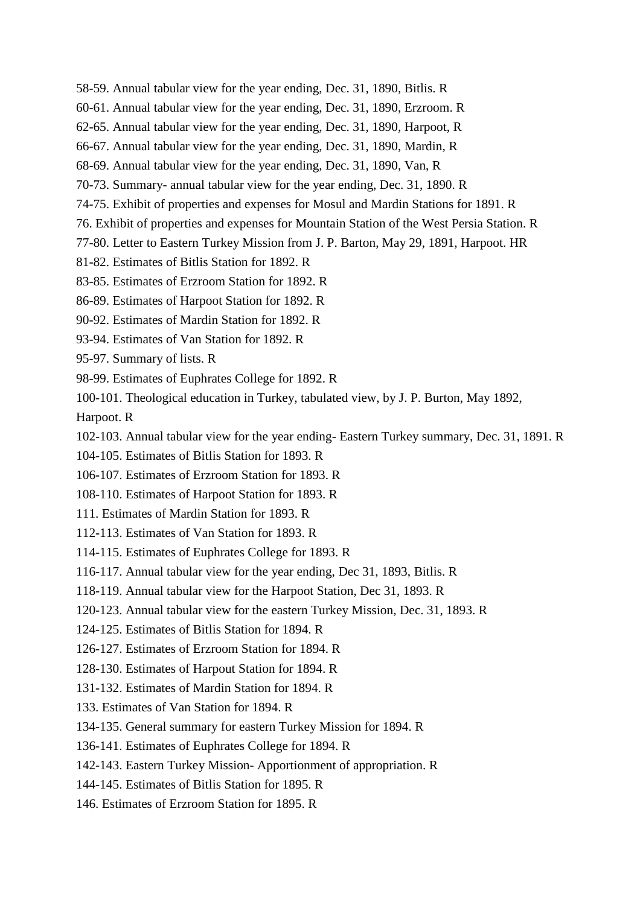- 58-59. Annual tabular view for the year ending, Dec. 31, 1890, Bitlis. R
- 60-61. Annual tabular view for the year ending, Dec. 31, 1890, Erzroom. R
- 62-65. Annual tabular view for the year ending, Dec. 31, 1890, Harpoot, R
- 66-67. Annual tabular view for the year ending, Dec. 31, 1890, Mardin, R
- 68-69. Annual tabular view for the year ending, Dec. 31, 1890, Van, R
- 70-73. Summary- annual tabular view for the year ending, Dec. 31, 1890. R
- 74-75. Exhibit of properties and expenses for Mosul and Mardin Stations for 1891. R
- 76. Exhibit of properties and expenses for Mountain Station of the West Persia Station. R
- 77-80. Letter to Eastern Turkey Mission from J. P. Barton, May 29, 1891, Harpoot. HR
- 81-82. Estimates of Bitlis Station for 1892. R
- 83-85. Estimates of Erzroom Station for 1892. R
- 86-89. Estimates of Harpoot Station for 1892. R
- 90-92. Estimates of Mardin Station for 1892. R
- 93-94. Estimates of Van Station for 1892. R
- 95-97. Summary of lists. R
- 98-99. Estimates of Euphrates College for 1892. R
- 100-101. Theological education in Turkey, tabulated view, by J. P. Burton, May 1892,

Harpoot. R

- 102-103. Annual tabular view for the year ending- Eastern Turkey summary, Dec. 31, 1891. R
- 104-105. Estimates of Bitlis Station for 1893. R
- 106-107. Estimates of Erzroom Station for 1893. R
- 108-110. Estimates of Harpoot Station for 1893. R
- 111. Estimates of Mardin Station for 1893. R
- 112-113. Estimates of Van Station for 1893. R
- 114-115. Estimates of Euphrates College for 1893. R
- 116-117. Annual tabular view for the year ending, Dec 31, 1893, Bitlis. R
- 118-119. Annual tabular view for the Harpoot Station, Dec 31, 1893. R
- 120-123. Annual tabular view for the eastern Turkey Mission, Dec. 31, 1893. R
- 124-125. Estimates of Bitlis Station for 1894. R
- 126-127. Estimates of Erzroom Station for 1894. R
- 128-130. Estimates of Harpout Station for 1894. R
- 131-132. Estimates of Mardin Station for 1894. R
- 133. Estimates of Van Station for 1894. R
- 134-135. General summary for eastern Turkey Mission for 1894. R
- 136-141. Estimates of Euphrates College for 1894. R
- 142-143. Eastern Turkey Mission- Apportionment of appropriation. R
- 144-145. Estimates of Bitlis Station for 1895. R
- 146. Estimates of Erzroom Station for 1895. R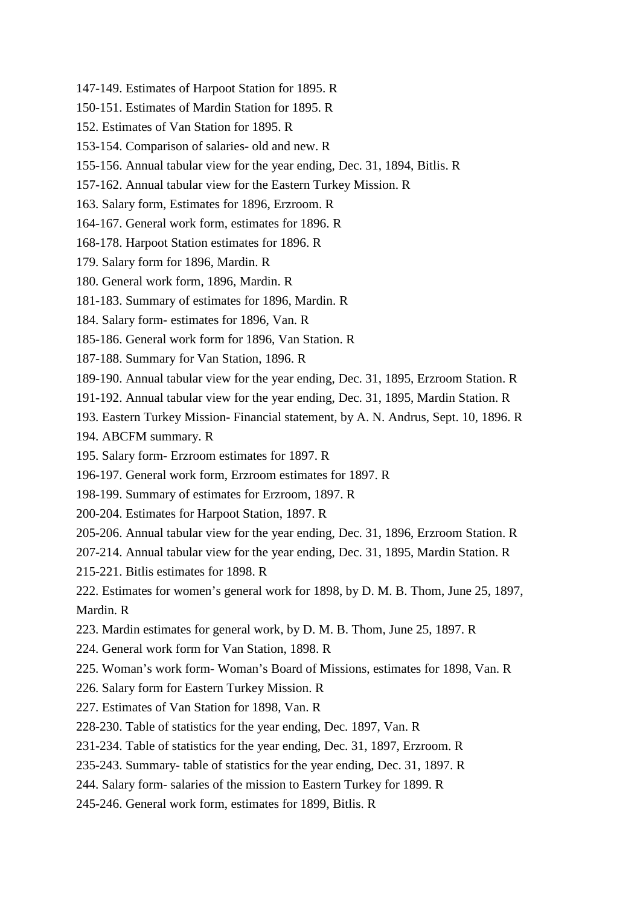- 147-149. Estimates of Harpoot Station for 1895. R
- 150-151. Estimates of Mardin Station for 1895. R
- 152. Estimates of Van Station for 1895. R
- 153-154. Comparison of salaries- old and new. R
- 155-156. Annual tabular view for the year ending, Dec. 31, 1894, Bitlis. R
- 157-162. Annual tabular view for the Eastern Turkey Mission. R
- 163. Salary form, Estimates for 1896, Erzroom. R
- 164-167. General work form, estimates for 1896. R
- 168-178. Harpoot Station estimates for 1896. R
- 179. Salary form for 1896, Mardin. R
- 180. General work form, 1896, Mardin. R
- 181-183. Summary of estimates for 1896, Mardin. R
- 184. Salary form- estimates for 1896, Van. R
- 185-186. General work form for 1896, Van Station. R
- 187-188. Summary for Van Station, 1896. R
- 189-190. Annual tabular view for the year ending, Dec. 31, 1895, Erzroom Station. R
- 191-192. Annual tabular view for the year ending, Dec. 31, 1895, Mardin Station. R
- 193. Eastern Turkey Mission- Financial statement, by A. N. Andrus, Sept. 10, 1896. R
- 194. ABCFM summary. R
- 195. Salary form- Erzroom estimates for 1897. R
- 196-197. General work form, Erzroom estimates for 1897. R
- 198-199. Summary of estimates for Erzroom, 1897. R
- 200-204. Estimates for Harpoot Station, 1897. R
- 205-206. Annual tabular view for the year ending, Dec. 31, 1896, Erzroom Station. R
- 207-214. Annual tabular view for the year ending, Dec. 31, 1895, Mardin Station. R
- 215-221. Bitlis estimates for 1898. R
- 222. Estimates for women's general work for 1898, by D. M. B. Thom, June 25, 1897, Mardin. R
- 223. Mardin estimates for general work, by D. M. B. Thom, June 25, 1897. R
- 224. General work form for Van Station, 1898. R
- 225. Woman's work form- Woman's Board of Missions, estimates for 1898, Van. R
- 226. Salary form for Eastern Turkey Mission. R
- 227. Estimates of Van Station for 1898, Van. R
- 228-230. Table of statistics for the year ending, Dec. 1897, Van. R
- 231-234. Table of statistics for the year ending, Dec. 31, 1897, Erzroom. R
- 235-243. Summary- table of statistics for the year ending, Dec. 31, 1897. R
- 244. Salary form- salaries of the mission to Eastern Turkey for 1899. R
- 245-246. General work form, estimates for 1899, Bitlis. R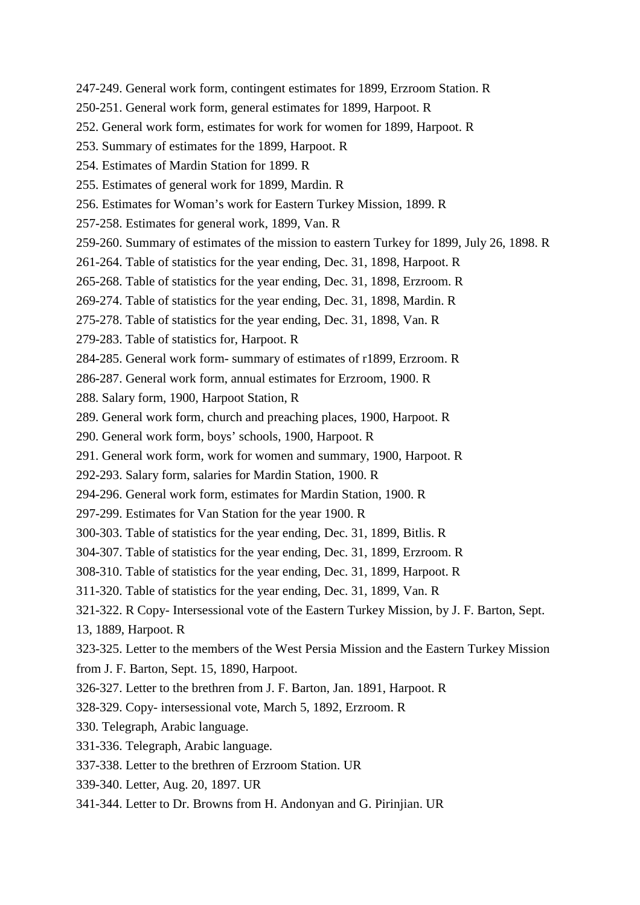- 247-249. General work form, contingent estimates for 1899, Erzroom Station. R
- 250-251. General work form, general estimates for 1899, Harpoot. R
- 252. General work form, estimates for work for women for 1899, Harpoot. R
- 253. Summary of estimates for the 1899, Harpoot. R
- 254. Estimates of Mardin Station for 1899. R
- 255. Estimates of general work for 1899, Mardin. R
- 256. Estimates for Woman's work for Eastern Turkey Mission, 1899. R
- 257-258. Estimates for general work, 1899, Van. R
- 259-260. Summary of estimates of the mission to eastern Turkey for 1899, July 26, 1898. R
- 261-264. Table of statistics for the year ending, Dec. 31, 1898, Harpoot. R
- 265-268. Table of statistics for the year ending, Dec. 31, 1898, Erzroom. R
- 269-274. Table of statistics for the year ending, Dec. 31, 1898, Mardin. R
- 275-278. Table of statistics for the year ending, Dec. 31, 1898, Van. R
- 279-283. Table of statistics for, Harpoot. R
- 284-285. General work form- summary of estimates of r1899, Erzroom. R
- 286-287. General work form, annual estimates for Erzroom, 1900. R
- 288. Salary form, 1900, Harpoot Station, R
- 289. General work form, church and preaching places, 1900, Harpoot. R
- 290. General work form, boys' schools, 1900, Harpoot. R
- 291. General work form, work for women and summary, 1900, Harpoot. R
- 292-293. Salary form, salaries for Mardin Station, 1900. R
- 294-296. General work form, estimates for Mardin Station, 1900. R
- 297-299. Estimates for Van Station for the year 1900. R
- 300-303. Table of statistics for the year ending, Dec. 31, 1899, Bitlis. R
- 304-307. Table of statistics for the year ending, Dec. 31, 1899, Erzroom. R
- 308-310. Table of statistics for the year ending, Dec. 31, 1899, Harpoot. R
- 311-320. Table of statistics for the year ending, Dec. 31, 1899, Van. R
- 321-322. R Copy- Intersessional vote of the Eastern Turkey Mission, by J. F. Barton, Sept.
- 13, 1889, Harpoot. R
- 323-325. Letter to the members of the West Persia Mission and the Eastern Turkey Mission
- from J. F. Barton, Sept. 15, 1890, Harpoot.
- 326-327. Letter to the brethren from J. F. Barton, Jan. 1891, Harpoot. R
- 328-329. Copy- intersessional vote, March 5, 1892, Erzroom. R
- 330. Telegraph, Arabic language.
- 331-336. Telegraph, Arabic language.
- 337-338. Letter to the brethren of Erzroom Station. UR
- 339-340. Letter, Aug. 20, 1897. UR
- 341-344. Letter to Dr. Browns from H. Andonyan and G. Pirinjian. UR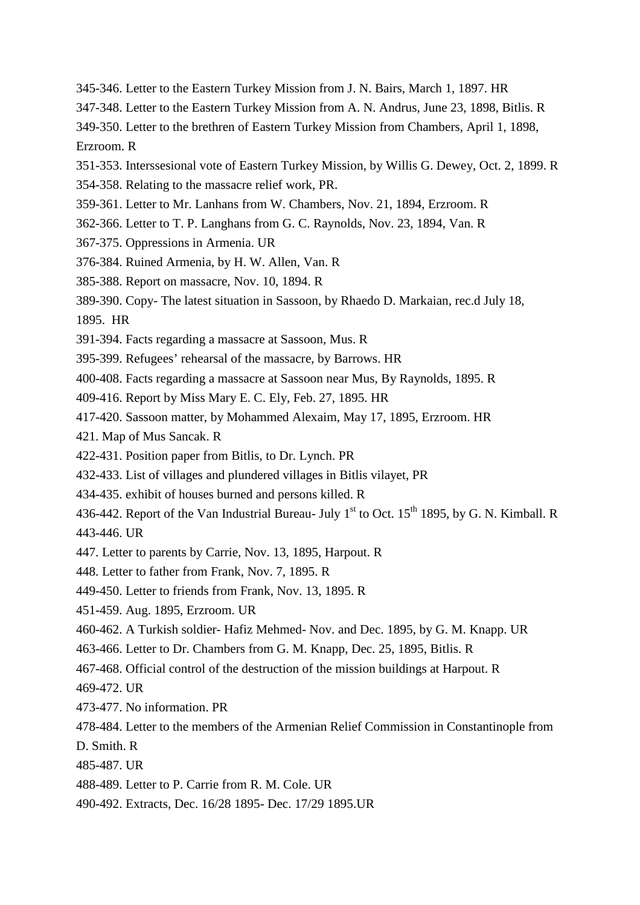- 345-346. Letter to the Eastern Turkey Mission from J. N. Bairs, March 1, 1897. HR
- 347-348. Letter to the Eastern Turkey Mission from A. N. Andrus, June 23, 1898, Bitlis. R
- 349-350. Letter to the brethren of Eastern Turkey Mission from Chambers, April 1, 1898,

Erzroom. R

- 351-353. Interssesional vote of Eastern Turkey Mission, by Willis G. Dewey, Oct. 2, 1899. R
- 354-358. Relating to the massacre relief work, PR.
- 359-361. Letter to Mr. Lanhans from W. Chambers, Nov. 21, 1894, Erzroom. R
- 362-366. Letter to T. P. Langhans from G. C. Raynolds, Nov. 23, 1894, Van. R
- 367-375. Oppressions in Armenia. UR
- 376-384. Ruined Armenia, by H. W. Allen, Van. R
- 385-388. Report on massacre, Nov. 10, 1894. R
- 389-390. Copy- The latest situation in Sassoon, by Rhaedo D. Markaian, rec.d July 18,
- 1895. HR
- 391-394. Facts regarding a massacre at Sassoon, Mus. R
- 395-399. Refugees' rehearsal of the massacre, by Barrows. HR
- 400-408. Facts regarding a massacre at Sassoon near Mus, By Raynolds, 1895. R
- 409-416. Report by Miss Mary E. C. Ely, Feb. 27, 1895. HR
- 417-420. Sassoon matter, by Mohammed Alexaim, May 17, 1895, Erzroom. HR
- 421. Map of Mus Sancak. R
- 422-431. Position paper from Bitlis, to Dr. Lynch. PR
- 432-433. List of villages and plundered villages in Bitlis vilayet, PR
- 434-435. exhibit of houses burned and persons killed. R
- 436-442. Report of the Van Industrial Bureau- July  $1<sup>st</sup>$  to Oct. 15<sup>th</sup> 1895, by G. N. Kimball. R 443-446. UR
- 447. Letter to parents by Carrie, Nov. 13, 1895, Harpout. R
- 448. Letter to father from Frank, Nov. 7, 1895. R
- 449-450. Letter to friends from Frank, Nov. 13, 1895. R
- 451-459. Aug. 1895, Erzroom. UR
- 460-462. A Turkish soldier- Hafiz Mehmed- Nov. and Dec. 1895, by G. M. Knapp. UR
- 463-466. Letter to Dr. Chambers from G. M. Knapp, Dec. 25, 1895, Bitlis. R
- 467-468. Official control of the destruction of the mission buildings at Harpout. R
- 469-472. UR
- 473-477. No information. PR
- 478-484. Letter to the members of the Armenian Relief Commission in Constantinople from
- D. Smith. R
- 485-487. UR
- 488-489. Letter to P. Carrie from R. M. Cole. UR
- 490-492. Extracts, Dec. 16/28 1895- Dec. 17/29 1895.UR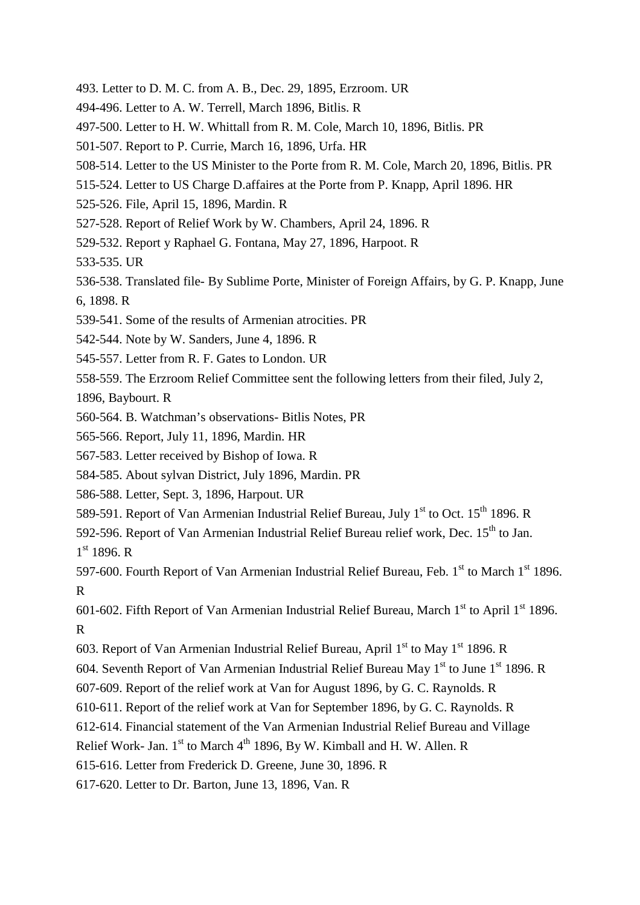- 493. Letter to D. M. C. from A. B., Dec. 29, 1895, Erzroom. UR
- 494-496. Letter to A. W. Terrell, March 1896, Bitlis. R
- 497-500. Letter to H. W. Whittall from R. M. Cole, March 10, 1896, Bitlis. PR
- 501-507. Report to P. Currie, March 16, 1896, Urfa. HR
- 508-514. Letter to the US Minister to the Porte from R. M. Cole, March 20, 1896, Bitlis. PR
- 515-524. Letter to US Charge D.affaires at the Porte from P. Knapp, April 1896. HR

525-526. File, April 15, 1896, Mardin. R

- 527-528. Report of Relief Work by W. Chambers, April 24, 1896. R
- 529-532. Report y Raphael G. Fontana, May 27, 1896, Harpoot. R
- 533-535. UR
- 536-538. Translated file- By Sublime Porte, Minister of Foreign Affairs, by G. P. Knapp, June 6, 1898. R
- 539-541. Some of the results of Armenian atrocities. PR
- 542-544. Note by W. Sanders, June 4, 1896. R
- 545-557. Letter from R. F. Gates to London. UR
- 558-559. The Erzroom Relief Committee sent the following letters from their filed, July 2,

1896, Baybourt. R

- 560-564. B. Watchman's observations- Bitlis Notes, PR
- 565-566. Report, July 11, 1896, Mardin. HR
- 567-583. Letter received by Bishop of Iowa. R
- 584-585. About sylvan District, July 1896, Mardin. PR
- 586-588. Letter, Sept. 3, 1896, Harpout. UR
- 589-591. Report of Van Armenian Industrial Relief Bureau, July 1st to Oct. 15<sup>th</sup> 1896. R

592-596. Report of Van Armenian Industrial Relief Bureau relief work, Dec. 15<sup>th</sup> to Jan.

1 st 1896. R

597-600. Fourth Report of Van Armenian Industrial Relief Bureau, Feb.  $1<sup>st</sup>$  to March  $1<sup>st</sup>$  1896. R

601-602. Fifth Report of Van Armenian Industrial Relief Bureau, March  $1<sup>st</sup>$  to April  $1<sup>st</sup>$  1896. R

- 603. Report of Van Armenian Industrial Relief Bureau, April  $1<sup>st</sup>$  to May  $1<sup>st</sup>$  1896. R
- 604. Seventh Report of Van Armenian Industrial Relief Bureau May  $1<sup>st</sup>$  to June  $1<sup>st</sup> 1896$ . R
- 607-609. Report of the relief work at Van for August 1896, by G. C. Raynolds. R

610-611. Report of the relief work at Van for September 1896, by G. C. Raynolds. R

612-614. Financial statement of the Van Armenian Industrial Relief Bureau and Village

Relief Work- Jan. 1st to March 4<sup>th</sup> 1896, By W. Kimball and H. W. Allen. R

615-616. Letter from Frederick D. Greene, June 30, 1896. R

617-620. Letter to Dr. Barton, June 13, 1896, Van. R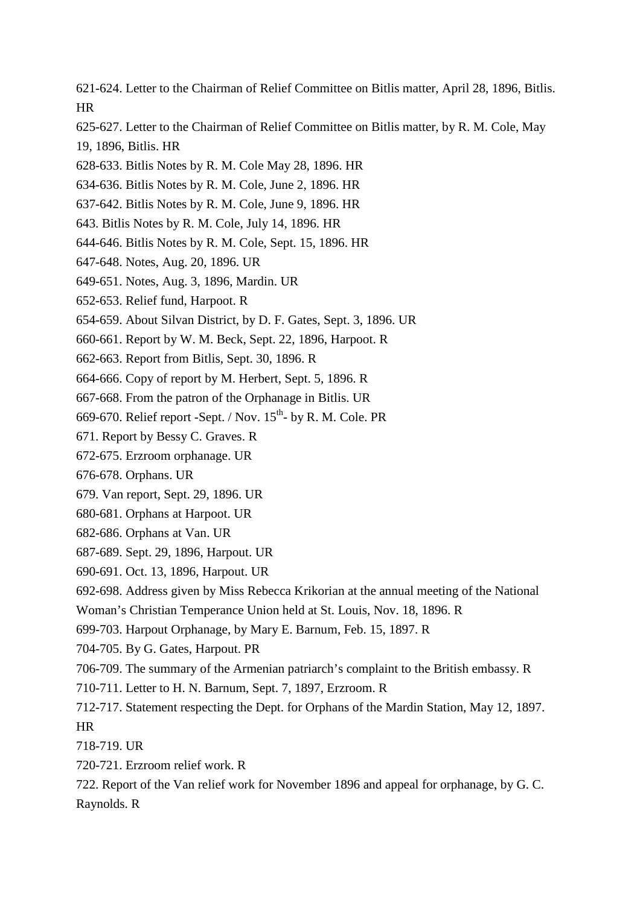- 621-624. Letter to the Chairman of Relief Committee on Bitlis matter, April 28, 1896, Bitlis. HR
- 625-627. Letter to the Chairman of Relief Committee on Bitlis matter, by R. M. Cole, May 19, 1896, Bitlis. HR
- 628-633. Bitlis Notes by R. M. Cole May 28, 1896. HR
- 634-636. Bitlis Notes by R. M. Cole, June 2, 1896. HR
- 637-642. Bitlis Notes by R. M. Cole, June 9, 1896. HR
- 643. Bitlis Notes by R. M. Cole, July 14, 1896. HR
- 644-646. Bitlis Notes by R. M. Cole, Sept. 15, 1896. HR
- 647-648. Notes, Aug. 20, 1896. UR
- 649-651. Notes, Aug. 3, 1896, Mardin. UR
- 652-653. Relief fund, Harpoot. R
- 654-659. About Silvan District, by D. F. Gates, Sept. 3, 1896. UR
- 660-661. Report by W. M. Beck, Sept. 22, 1896, Harpoot. R
- 662-663. Report from Bitlis, Sept. 30, 1896. R
- 664-666. Copy of report by M. Herbert, Sept. 5, 1896. R
- 667-668. From the patron of the Orphanage in Bitlis. UR
- 669-670. Relief report -Sept. / Nov.  $15^{th}$  by R. M. Cole. PR
- 671. Report by Bessy C. Graves. R
- 672-675. Erzroom orphanage. UR
- 676-678. Orphans. UR
- 679. Van report, Sept. 29, 1896. UR
- 680-681. Orphans at Harpoot. UR
- 682-686. Orphans at Van. UR
- 687-689. Sept. 29, 1896, Harpout. UR
- 690-691. Oct. 13, 1896, Harpout. UR
- 692-698. Address given by Miss Rebecca Krikorian at the annual meeting of the National
- Woman's Christian Temperance Union held at St. Louis, Nov. 18, 1896. R
- 699-703. Harpout Orphanage, by Mary E. Barnum, Feb. 15, 1897. R
- 704-705. By G. Gates, Harpout. PR
- 706-709. The summary of the Armenian patriarch's complaint to the British embassy. R
- 710-711. Letter to H. N. Barnum, Sept. 7, 1897, Erzroom. R
- 712-717. Statement respecting the Dept. for Orphans of the Mardin Station, May 12, 1897. HR
- 718-719. UR
- 720-721. Erzroom relief work. R
- 722. Report of the Van relief work for November 1896 and appeal for orphanage, by G. C. Raynolds. R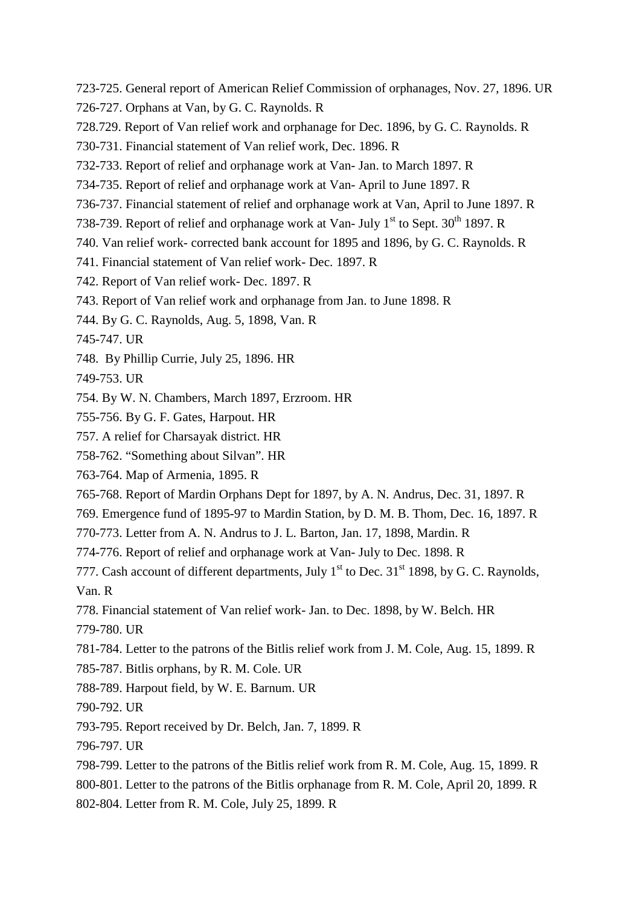- 723-725. General report of American Relief Commission of orphanages, Nov. 27, 1896. UR
- 726-727. Orphans at Van, by G. C. Raynolds. R
- 728.729. Report of Van relief work and orphanage for Dec. 1896, by G. C. Raynolds. R
- 730-731. Financial statement of Van relief work, Dec. 1896. R
- 732-733. Report of relief and orphanage work at Van- Jan. to March 1897. R
- 734-735. Report of relief and orphanage work at Van- April to June 1897. R
- 736-737. Financial statement of relief and orphanage work at Van, April to June 1897. R
- 738-739. Report of relief and orphanage work at Van- July  $1<sup>st</sup>$  to Sept. 30<sup>th</sup> 1897. R
- 740. Van relief work- corrected bank account for 1895 and 1896, by G. C. Raynolds. R
- 741. Financial statement of Van relief work- Dec. 1897. R
- 742. Report of Van relief work- Dec. 1897. R
- 743. Report of Van relief work and orphanage from Jan. to June 1898. R
- 744. By G. C. Raynolds, Aug. 5, 1898, Van. R
- 745-747. UR
- 748. By Phillip Currie, July 25, 1896. HR
- 749-753. UR
- 754. By W. N. Chambers, March 1897, Erzroom. HR
- 755-756. By G. F. Gates, Harpout. HR
- 757. A relief for Charsayak district. HR
- 758-762. "Something about Silvan". HR
- 763-764. Map of Armenia, 1895. R
- 765-768. Report of Mardin Orphans Dept for 1897, by A. N. Andrus, Dec. 31, 1897. R
- 769. Emergence fund of 1895-97 to Mardin Station, by D. M. B. Thom, Dec. 16, 1897. R
- 770-773. Letter from A. N. Andrus to J. L. Barton, Jan. 17, 1898, Mardin. R
- 774-776. Report of relief and orphanage work at Van- July to Dec. 1898. R
- 777. Cash account of different departments, July  $1<sup>st</sup>$  to Dec. 31 $<sup>st</sup>$  1898, by G. C. Raynolds,</sup> Van. R
- 778. Financial statement of Van relief work- Jan. to Dec. 1898, by W. Belch. HR
- 779-780. UR
- 781-784. Letter to the patrons of the Bitlis relief work from J. M. Cole, Aug. 15, 1899. R
- 785-787. Bitlis orphans, by R. M. Cole. UR
- 788-789. Harpout field, by W. E. Barnum. UR
- 790-792. UR
- 793-795. Report received by Dr. Belch, Jan. 7, 1899. R
- 796-797. UR
- 798-799. Letter to the patrons of the Bitlis relief work from R. M. Cole, Aug. 15, 1899. R
- 800-801. Letter to the patrons of the Bitlis orphanage from R. M. Cole, April 20, 1899. R
- 802-804. Letter from R. M. Cole, July 25, 1899. R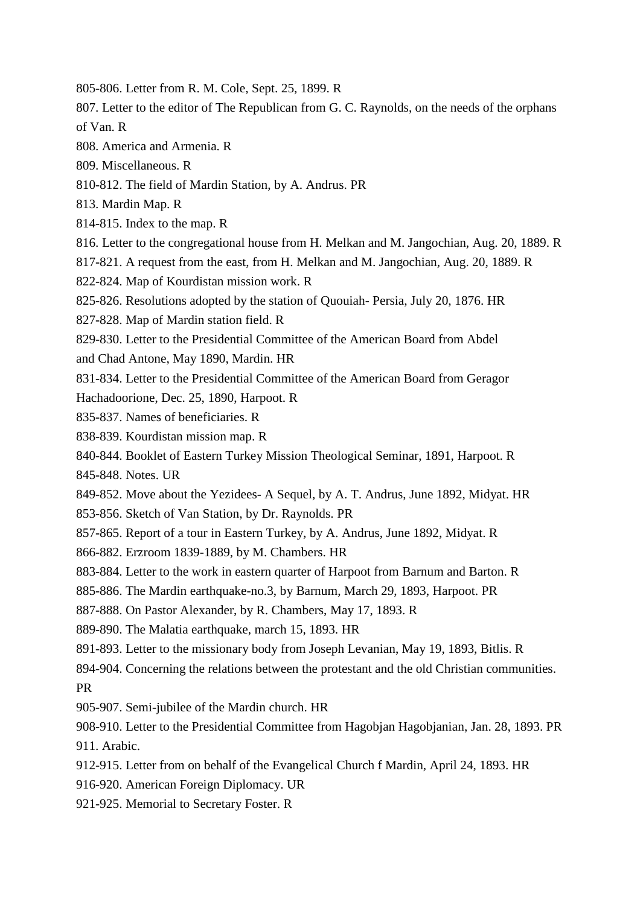- 805-806. Letter from R. M. Cole, Sept. 25, 1899. R
- 807. Letter to the editor of The Republican from G. C. Raynolds, on the needs of the orphans of Van. R
- 808. America and Armenia. R
- 809. Miscellaneous. R
- 810-812. The field of Mardin Station, by A. Andrus. PR
- 813. Mardin Map. R
- 814-815. Index to the map. R
- 816. Letter to the congregational house from H. Melkan and M. Jangochian, Aug. 20, 1889. R
- 817-821. A request from the east, from H. Melkan and M. Jangochian, Aug. 20, 1889. R
- 822-824. Map of Kourdistan mission work. R
- 825-826. Resolutions adopted by the station of Quouiah- Persia, July 20, 1876. HR
- 827-828. Map of Mardin station field. R
- 829-830. Letter to the Presidential Committee of the American Board from Abdel
- and Chad Antone, May 1890, Mardin. HR
- 831-834. Letter to the Presidential Committee of the American Board from Geragor
- Hachadoorione, Dec. 25, 1890, Harpoot. R
- 835-837. Names of beneficiaries. R
- 838-839. Kourdistan mission map. R
- 840-844. Booklet of Eastern Turkey Mission Theological Seminar, 1891, Harpoot. R
- 845-848. Notes. UR
- 849-852. Move about the Yezidees- A Sequel, by A. T. Andrus, June 1892, Midyat. HR
- 853-856. Sketch of Van Station, by Dr. Raynolds. PR
- 857-865. Report of a tour in Eastern Turkey, by A. Andrus, June 1892, Midyat. R
- 866-882. Erzroom 1839-1889, by M. Chambers. HR
- 883-884. Letter to the work in eastern quarter of Harpoot from Barnum and Barton. R
- 885-886. The Mardin earthquake-no.3, by Barnum, March 29, 1893, Harpoot. PR
- 887-888. On Pastor Alexander, by R. Chambers, May 17, 1893. R
- 889-890. The Malatia earthquake, march 15, 1893. HR
- 891-893. Letter to the missionary body from Joseph Levanian, May 19, 1893, Bitlis. R
- 894-904. Concerning the relations between the protestant and the old Christian communities. PR
- 905-907. Semi-jubilee of the Mardin church. HR
- 908-910. Letter to the Presidential Committee from Hagobjan Hagobjanian, Jan. 28, 1893. PR 911. Arabic.
- 912-915. Letter from on behalf of the Evangelical Church f Mardin, April 24, 1893. HR
- 916-920. American Foreign Diplomacy. UR
- 921-925. Memorial to Secretary Foster. R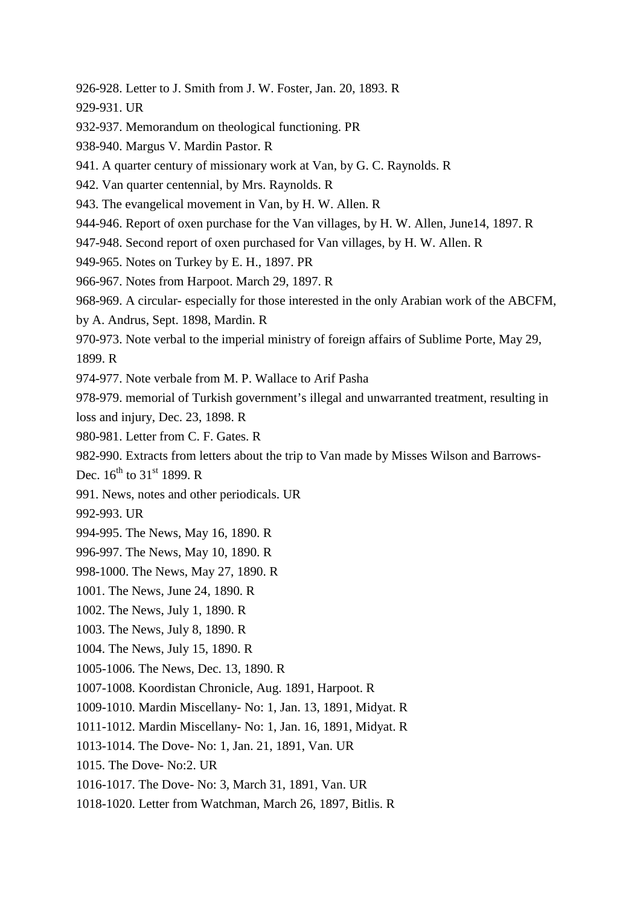- 926-928. Letter to J. Smith from J. W. Foster, Jan. 20, 1893. R
- 929-931. UR
- 932-937. Memorandum on theological functioning. PR
- 938-940. Margus V. Mardin Pastor. R
- 941. A quarter century of missionary work at Van, by G. C. Raynolds. R
- 942. Van quarter centennial, by Mrs. Raynolds. R
- 943. The evangelical movement in Van, by H. W. Allen. R
- 944-946. Report of oxen purchase for the Van villages, by H. W. Allen, June14, 1897. R
- 947-948. Second report of oxen purchased for Van villages, by H. W. Allen. R
- 949-965. Notes on Turkey by E. H., 1897. PR
- 966-967. Notes from Harpoot. March 29, 1897. R
- 968-969. A circular- especially for those interested in the only Arabian work of the ABCFM,
- by A. Andrus, Sept. 1898, Mardin. R
- 970-973. Note verbal to the imperial ministry of foreign affairs of Sublime Porte, May 29,
- 1899. R
- 974-977. Note verbale from M. P. Wallace to Arif Pasha
- 978-979. memorial of Turkish government's illegal and unwarranted treatment, resulting in
- loss and injury, Dec. 23, 1898. R
- 980-981. Letter from C. F. Gates. R
- 982-990. Extracts from letters about the trip to Van made by Misses Wilson and Barrows-
- Dec.  $16^{th}$  to  $31^{st}$  1899. R
- 991. News, notes and other periodicals. UR
- 992-993. UR
- 994-995. The News, May 16, 1890. R
- 996-997. The News, May 10, 1890. R
- 998-1000. The News, May 27, 1890. R
- 1001. The News, June 24, 1890. R
- 1002. The News, July 1, 1890. R
- 1003. The News, July 8, 1890. R
- 1004. The News, July 15, 1890. R
- 1005-1006. The News, Dec. 13, 1890. R
- 1007-1008. Koordistan Chronicle, Aug. 1891, Harpoot. R
- 1009-1010. Mardin Miscellany- No: 1, Jan. 13, 1891, Midyat. R
- 1011-1012. Mardin Miscellany- No: 1, Jan. 16, 1891, Midyat. R
- 1013-1014. The Dove- No: 1, Jan. 21, 1891, Van. UR
- 1015. The Dove- No:2. UR
- 1016-1017. The Dove- No: 3, March 31, 1891, Van. UR
- 1018-1020. Letter from Watchman, March 26, 1897, Bitlis. R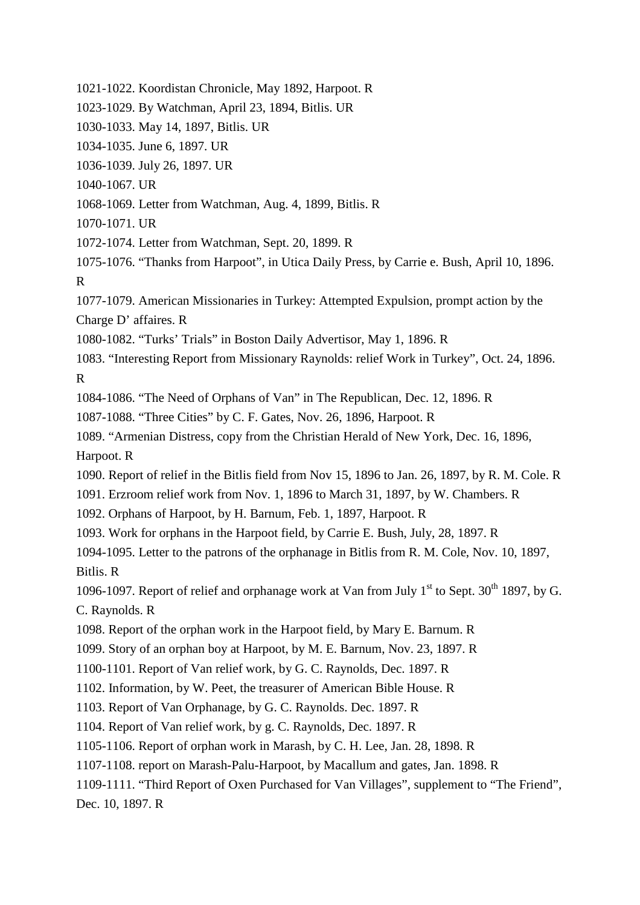1021-1022. Koordistan Chronicle, May 1892, Harpoot. R

1023-1029. By Watchman, April 23, 1894, Bitlis. UR

1030-1033. May 14, 1897, Bitlis. UR

1034-1035. June 6, 1897. UR

1036-1039. July 26, 1897. UR

1040-1067. UR

1068-1069. Letter from Watchman, Aug. 4, 1899, Bitlis. R

1070-1071. UR

1072-1074. Letter from Watchman, Sept. 20, 1899. R

1075-1076. "Thanks from Harpoot", in Utica Daily Press, by Carrie e. Bush, April 10, 1896. R

1077-1079. American Missionaries in Turkey: Attempted Expulsion, prompt action by the Charge D' affaires. R

1080-1082. "Turks' Trials" in Boston Daily Advertisor, May 1, 1896. R

1083. "Interesting Report from Missionary Raynolds: relief Work in Turkey", Oct. 24, 1896. R

1084-1086. "The Need of Orphans of Van" in The Republican, Dec. 12, 1896. R

1087-1088. "Three Cities" by C. F. Gates, Nov. 26, 1896, Harpoot. R

1089. "Armenian Distress, copy from the Christian Herald of New York, Dec. 16, 1896, Harpoot. R

1090. Report of relief in the Bitlis field from Nov 15, 1896 to Jan. 26, 1897, by R. M. Cole. R

1091. Erzroom relief work from Nov. 1, 1896 to March 31, 1897, by W. Chambers. R

1092. Orphans of Harpoot, by H. Barnum, Feb. 1, 1897, Harpoot. R

1093. Work for orphans in the Harpoot field, by Carrie E. Bush, July, 28, 1897. R

1094-1095. Letter to the patrons of the orphanage in Bitlis from R. M. Cole, Nov. 10, 1897, Bitlis. R

1096-1097. Report of relief and orphanage work at Van from July  $1<sup>st</sup>$  to Sept. 30<sup>th</sup> 1897, by G. C. Raynolds. R

1098. Report of the orphan work in the Harpoot field, by Mary E. Barnum. R

1099. Story of an orphan boy at Harpoot, by M. E. Barnum, Nov. 23, 1897. R

1100-1101. Report of Van relief work, by G. C. Raynolds, Dec. 1897. R

1102. Information, by W. Peet, the treasurer of American Bible House. R

1103. Report of Van Orphanage, by G. C. Raynolds. Dec. 1897. R

1104. Report of Van relief work, by g. C. Raynolds, Dec. 1897. R

1105-1106. Report of orphan work in Marash, by C. H. Lee, Jan. 28, 1898. R

1107-1108. report on Marash-Palu-Harpoot, by Macallum and gates, Jan. 1898. R

1109-1111. "Third Report of Oxen Purchased for Van Villages", supplement to "The Friend", Dec. 10, 1897. R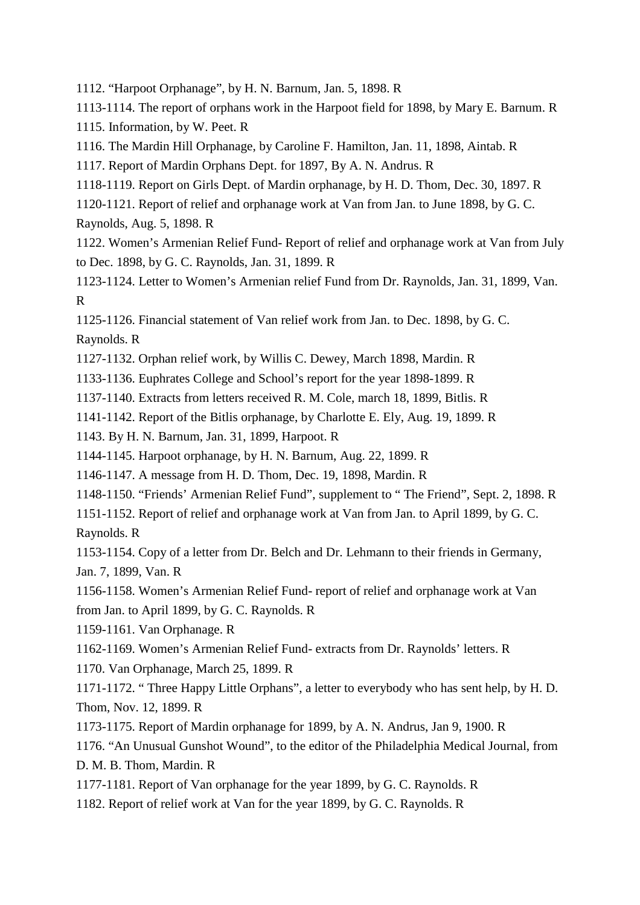1112. "Harpoot Orphanage", by H. N. Barnum, Jan. 5, 1898. R

1113-1114. The report of orphans work in the Harpoot field for 1898, by Mary E. Barnum. R

1115. Information, by W. Peet. R

1116. The Mardin Hill Orphanage, by Caroline F. Hamilton, Jan. 11, 1898, Aintab. R

1117. Report of Mardin Orphans Dept. for 1897, By A. N. Andrus. R

1118-1119. Report on Girls Dept. of Mardin orphanage, by H. D. Thom, Dec. 30, 1897. R

1120-1121. Report of relief and orphanage work at Van from Jan. to June 1898, by G. C. Raynolds, Aug. 5, 1898. R

1122. Women's Armenian Relief Fund- Report of relief and orphanage work at Van from July to Dec. 1898, by G. C. Raynolds, Jan. 31, 1899. R

1123-1124. Letter to Women's Armenian relief Fund from Dr. Raynolds, Jan. 31, 1899, Van. R

1125-1126. Financial statement of Van relief work from Jan. to Dec. 1898, by G. C. Raynolds. R

1127-1132. Orphan relief work, by Willis C. Dewey, March 1898, Mardin. R

1133-1136. Euphrates College and School's report for the year 1898-1899. R

1137-1140. Extracts from letters received R. M. Cole, march 18, 1899, Bitlis. R

1141-1142. Report of the Bitlis orphanage, by Charlotte E. Ely, Aug. 19, 1899. R

1143. By H. N. Barnum, Jan. 31, 1899, Harpoot. R

1144-1145. Harpoot orphanage, by H. N. Barnum, Aug. 22, 1899. R

1146-1147. A message from H. D. Thom, Dec. 19, 1898, Mardin. R

1148-1150. "Friends' Armenian Relief Fund", supplement to " The Friend", Sept. 2, 1898. R

1151-1152. Report of relief and orphanage work at Van from Jan. to April 1899, by G. C. Raynolds. R

1153-1154. Copy of a letter from Dr. Belch and Dr. Lehmann to their friends in Germany, Jan. 7, 1899, Van. R

1156-1158. Women's Armenian Relief Fund- report of relief and orphanage work at Van from Jan. to April 1899, by G. C. Raynolds. R

1159-1161. Van Orphanage. R

1162-1169. Women's Armenian Relief Fund- extracts from Dr. Raynolds' letters. R

1170. Van Orphanage, March 25, 1899. R

1171-1172. " Three Happy Little Orphans", a letter to everybody who has sent help, by H. D. Thom, Nov. 12, 1899. R

1173-1175. Report of Mardin orphanage for 1899, by A. N. Andrus, Jan 9, 1900. R

1176. "An Unusual Gunshot Wound", to the editor of the Philadelphia Medical Journal, from D. M. B. Thom, Mardin. R

1177-1181. Report of Van orphanage for the year 1899, by G. C. Raynolds. R

1182. Report of relief work at Van for the year 1899, by G. C. Raynolds. R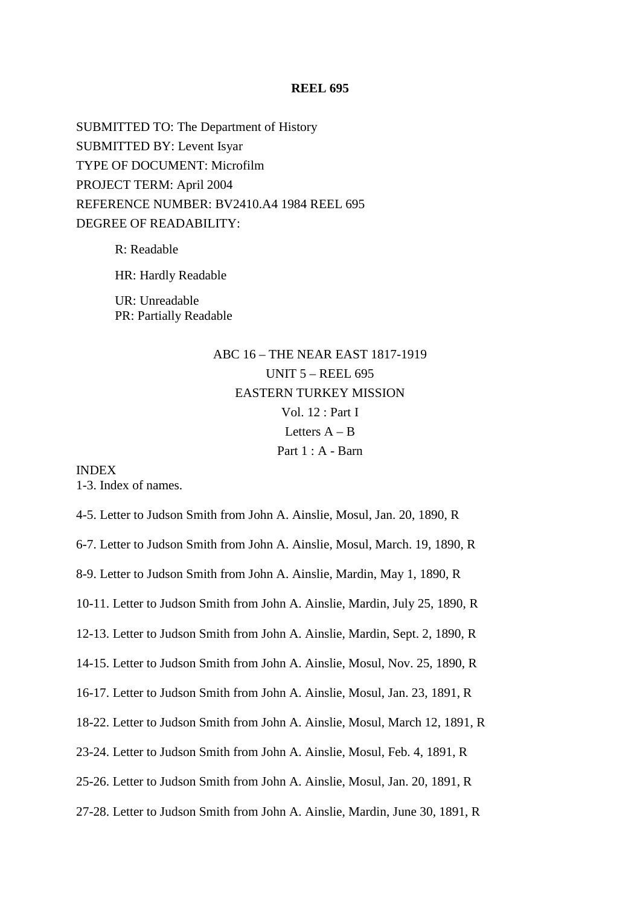SUBMITTED TO: The Department of History SUBMITTED BY: Levent Isyar TYPE OF DOCUMENT: Microfilm PROJECT TERM: April 2004 REFERENCE NUMBER: BV2410.A4 1984 REEL 695 DEGREE OF READABILITY:

> R: Readable HR: Hardly Readable UR: Unreadable PR: Partially Readable

# ABC 16 – THE NEAR EAST 1817-1919 UNIT 5 – REEL 695 EASTERN TURKEY MISSION Vol. 12 : Part I Letters  $A - B$ Part 1 : A - Barn

INDEX 1-3. Index of names.

4-5. Letter to Judson Smith from John A. Ainslie, Mosul, Jan. 20, 1890, R

6-7. Letter to Judson Smith from John A. Ainslie, Mosul, March. 19, 1890, R

8-9. Letter to Judson Smith from John A. Ainslie, Mardin, May 1, 1890, R

10-11. Letter to Judson Smith from John A. Ainslie, Mardin, July 25, 1890, R

12-13. Letter to Judson Smith from John A. Ainslie, Mardin, Sept. 2, 1890, R

14-15. Letter to Judson Smith from John A. Ainslie, Mosul, Nov. 25, 1890, R

16-17. Letter to Judson Smith from John A. Ainslie, Mosul, Jan. 23, 1891, R

18-22. Letter to Judson Smith from John A. Ainslie, Mosul, March 12, 1891, R

23-24. Letter to Judson Smith from John A. Ainslie, Mosul, Feb. 4, 1891, R

25-26. Letter to Judson Smith from John A. Ainslie, Mosul, Jan. 20, 1891, R

27-28. Letter to Judson Smith from John A. Ainslie, Mardin, June 30, 1891, R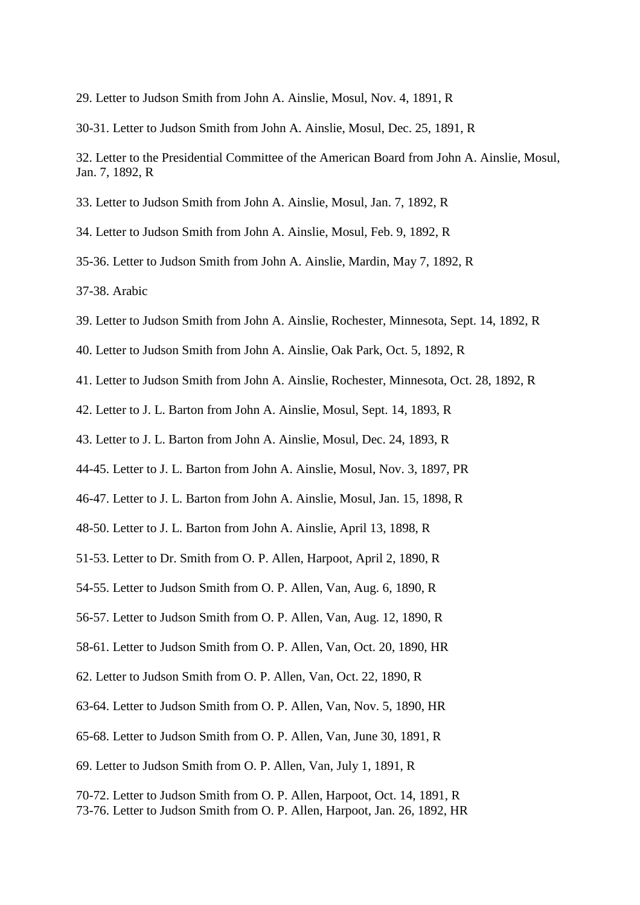29. Letter to Judson Smith from John A. Ainslie, Mosul, Nov. 4, 1891, R

30-31. Letter to Judson Smith from John A. Ainslie, Mosul, Dec. 25, 1891, R

32. Letter to the Presidential Committee of the American Board from John A. Ainslie, Mosul, Jan. 7, 1892, R

33. Letter to Judson Smith from John A. Ainslie, Mosul, Jan. 7, 1892, R

34. Letter to Judson Smith from John A. Ainslie, Mosul, Feb. 9, 1892, R

35-36. Letter to Judson Smith from John A. Ainslie, Mardin, May 7, 1892, R

37-38. Arabic

39. Letter to Judson Smith from John A. Ainslie, Rochester, Minnesota, Sept. 14, 1892, R

40. Letter to Judson Smith from John A. Ainslie, Oak Park, Oct. 5, 1892, R

41. Letter to Judson Smith from John A. Ainslie, Rochester, Minnesota, Oct. 28, 1892, R

42. Letter to J. L. Barton from John A. Ainslie, Mosul, Sept. 14, 1893, R

43. Letter to J. L. Barton from John A. Ainslie, Mosul, Dec. 24, 1893, R

44-45. Letter to J. L. Barton from John A. Ainslie, Mosul, Nov. 3, 1897, PR

46-47. Letter to J. L. Barton from John A. Ainslie, Mosul, Jan. 15, 1898, R

48-50. Letter to J. L. Barton from John A. Ainslie, April 13, 1898, R

51-53. Letter to Dr. Smith from O. P. Allen, Harpoot, April 2, 1890, R

54-55. Letter to Judson Smith from O. P. Allen, Van, Aug. 6, 1890, R

56-57. Letter to Judson Smith from O. P. Allen, Van, Aug. 12, 1890, R

58-61. Letter to Judson Smith from O. P. Allen, Van, Oct. 20, 1890, HR

62. Letter to Judson Smith from O. P. Allen, Van, Oct. 22, 1890, R

63-64. Letter to Judson Smith from O. P. Allen, Van, Nov. 5, 1890, HR

65-68. Letter to Judson Smith from O. P. Allen, Van, June 30, 1891, R

69. Letter to Judson Smith from O. P. Allen, Van, July 1, 1891, R

70-72. Letter to Judson Smith from O. P. Allen, Harpoot, Oct. 14, 1891, R 73-76. Letter to Judson Smith from O. P. Allen, Harpoot, Jan. 26, 1892, HR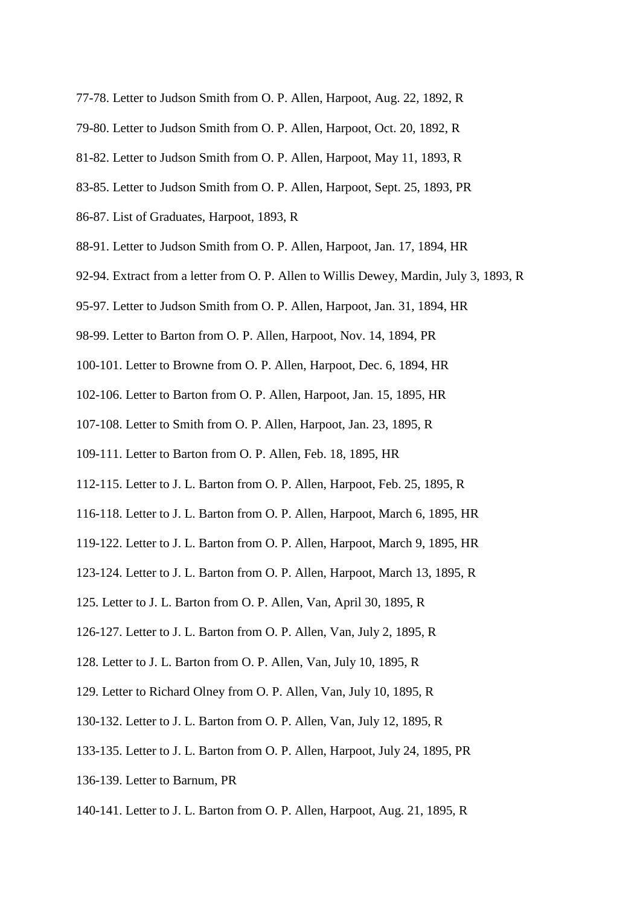- 77-78. Letter to Judson Smith from O. P. Allen, Harpoot, Aug. 22, 1892, R
- 79-80. Letter to Judson Smith from O. P. Allen, Harpoot, Oct. 20, 1892, R
- 81-82. Letter to Judson Smith from O. P. Allen, Harpoot, May 11, 1893, R
- 83-85. Letter to Judson Smith from O. P. Allen, Harpoot, Sept. 25, 1893, PR
- 86-87. List of Graduates, Harpoot, 1893, R
- 88-91. Letter to Judson Smith from O. P. Allen, Harpoot, Jan. 17, 1894, HR
- 92-94. Extract from a letter from O. P. Allen to Willis Dewey, Mardin, July 3, 1893, R
- 95-97. Letter to Judson Smith from O. P. Allen, Harpoot, Jan. 31, 1894, HR
- 98-99. Letter to Barton from O. P. Allen, Harpoot, Nov. 14, 1894, PR
- 100-101. Letter to Browne from O. P. Allen, Harpoot, Dec. 6, 1894, HR
- 102-106. Letter to Barton from O. P. Allen, Harpoot, Jan. 15, 1895, HR
- 107-108. Letter to Smith from O. P. Allen, Harpoot, Jan. 23, 1895, R
- 109-111. Letter to Barton from O. P. Allen, Feb. 18, 1895, HR
- 112-115. Letter to J. L. Barton from O. P. Allen, Harpoot, Feb. 25, 1895, R
- 116-118. Letter to J. L. Barton from O. P. Allen, Harpoot, March 6, 1895, HR
- 119-122. Letter to J. L. Barton from O. P. Allen, Harpoot, March 9, 1895, HR
- 123-124. Letter to J. L. Barton from O. P. Allen, Harpoot, March 13, 1895, R
- 125. Letter to J. L. Barton from O. P. Allen, Van, April 30, 1895, R
- 126-127. Letter to J. L. Barton from O. P. Allen, Van, July 2, 1895, R
- 128. Letter to J. L. Barton from O. P. Allen, Van, July 10, 1895, R
- 129. Letter to Richard Olney from O. P. Allen, Van, July 10, 1895, R
- 130-132. Letter to J. L. Barton from O. P. Allen, Van, July 12, 1895, R
- 133-135. Letter to J. L. Barton from O. P. Allen, Harpoot, July 24, 1895, PR
- 136-139. Letter to Barnum, PR
- 140-141. Letter to J. L. Barton from O. P. Allen, Harpoot, Aug. 21, 1895, R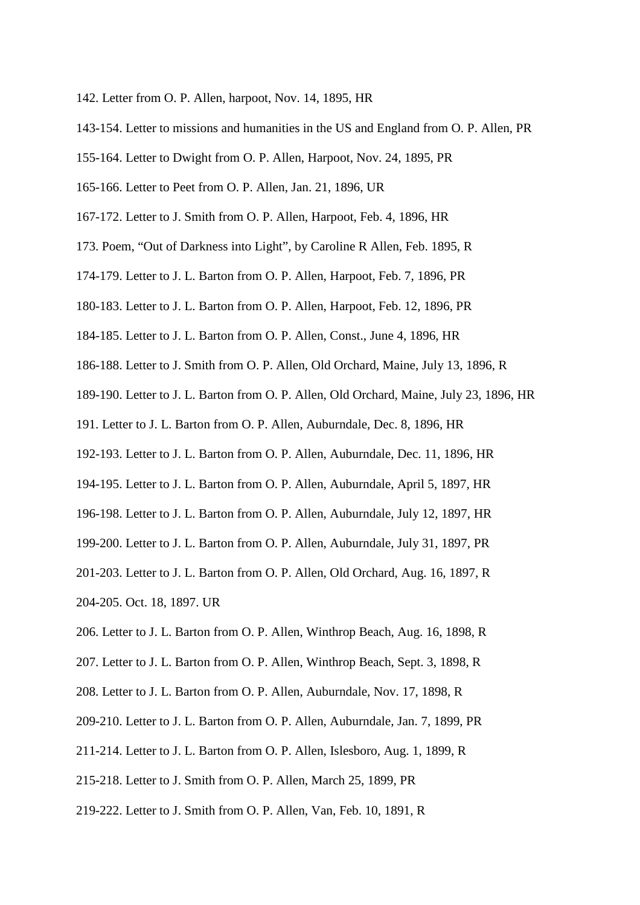- 142. Letter from O. P. Allen, harpoot, Nov. 14, 1895, HR
- 143-154. Letter to missions and humanities in the US and England from O. P. Allen, PR
- 155-164. Letter to Dwight from O. P. Allen, Harpoot, Nov. 24, 1895, PR
- 165-166. Letter to Peet from O. P. Allen, Jan. 21, 1896, UR
- 167-172. Letter to J. Smith from O. P. Allen, Harpoot, Feb. 4, 1896, HR
- 173. Poem, "Out of Darkness into Light", by Caroline R Allen, Feb. 1895, R
- 174-179. Letter to J. L. Barton from O. P. Allen, Harpoot, Feb. 7, 1896, PR
- 180-183. Letter to J. L. Barton from O. P. Allen, Harpoot, Feb. 12, 1896, PR
- 184-185. Letter to J. L. Barton from O. P. Allen, Const., June 4, 1896, HR
- 186-188. Letter to J. Smith from O. P. Allen, Old Orchard, Maine, July 13, 1896, R
- 189-190. Letter to J. L. Barton from O. P. Allen, Old Orchard, Maine, July 23, 1896, HR
- 191. Letter to J. L. Barton from O. P. Allen, Auburndale, Dec. 8, 1896, HR
- 192-193. Letter to J. L. Barton from O. P. Allen, Auburndale, Dec. 11, 1896, HR
- 194-195. Letter to J. L. Barton from O. P. Allen, Auburndale, April 5, 1897, HR
- 196-198. Letter to J. L. Barton from O. P. Allen, Auburndale, July 12, 1897, HR
- 199-200. Letter to J. L. Barton from O. P. Allen, Auburndale, July 31, 1897, PR
- 201-203. Letter to J. L. Barton from O. P. Allen, Old Orchard, Aug. 16, 1897, R
- 204-205. Oct. 18, 1897. UR
- 206. Letter to J. L. Barton from O. P. Allen, Winthrop Beach, Aug. 16, 1898, R
- 207. Letter to J. L. Barton from O. P. Allen, Winthrop Beach, Sept. 3, 1898, R
- 208. Letter to J. L. Barton from O. P. Allen, Auburndale, Nov. 17, 1898, R
- 209-210. Letter to J. L. Barton from O. P. Allen, Auburndale, Jan. 7, 1899, PR
- 211-214. Letter to J. L. Barton from O. P. Allen, Islesboro, Aug. 1, 1899, R
- 215-218. Letter to J. Smith from O. P. Allen, March 25, 1899, PR
- 219-222. Letter to J. Smith from O. P. Allen, Van, Feb. 10, 1891, R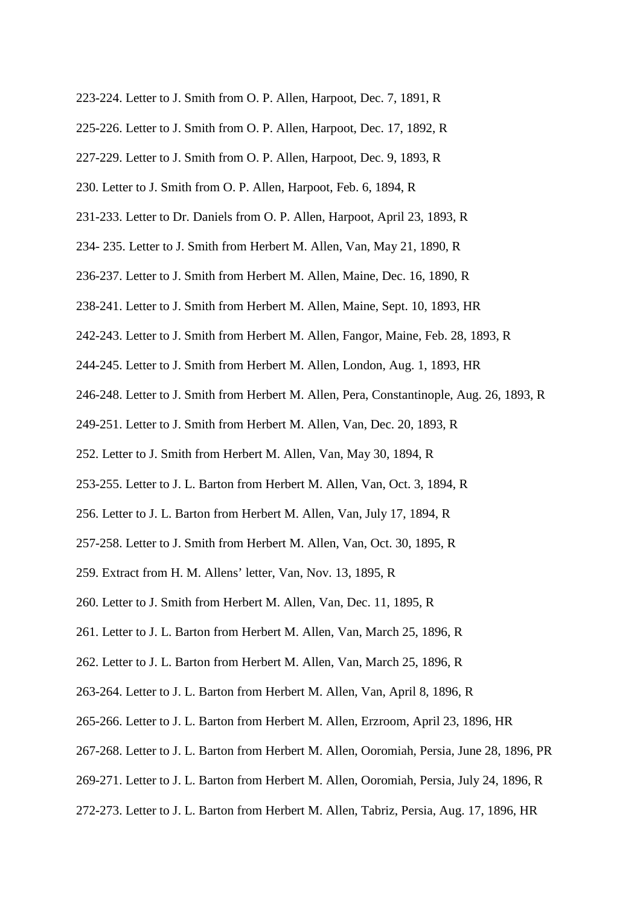- 223-224. Letter to J. Smith from O. P. Allen, Harpoot, Dec. 7, 1891, R
- 225-226. Letter to J. Smith from O. P. Allen, Harpoot, Dec. 17, 1892, R
- 227-229. Letter to J. Smith from O. P. Allen, Harpoot, Dec. 9, 1893, R
- 230. Letter to J. Smith from O. P. Allen, Harpoot, Feb. 6, 1894, R
- 231-233. Letter to Dr. Daniels from O. P. Allen, Harpoot, April 23, 1893, R
- 234- 235. Letter to J. Smith from Herbert M. Allen, Van, May 21, 1890, R
- 236-237. Letter to J. Smith from Herbert M. Allen, Maine, Dec. 16, 1890, R
- 238-241. Letter to J. Smith from Herbert M. Allen, Maine, Sept. 10, 1893, HR
- 242-243. Letter to J. Smith from Herbert M. Allen, Fangor, Maine, Feb. 28, 1893, R
- 244-245. Letter to J. Smith from Herbert M. Allen, London, Aug. 1, 1893, HR
- 246-248. Letter to J. Smith from Herbert M. Allen, Pera, Constantinople, Aug. 26, 1893, R
- 249-251. Letter to J. Smith from Herbert M. Allen, Van, Dec. 20, 1893, R
- 252. Letter to J. Smith from Herbert M. Allen, Van, May 30, 1894, R
- 253-255. Letter to J. L. Barton from Herbert M. Allen, Van, Oct. 3, 1894, R
- 256. Letter to J. L. Barton from Herbert M. Allen, Van, July 17, 1894, R
- 257-258. Letter to J. Smith from Herbert M. Allen, Van, Oct. 30, 1895, R
- 259. Extract from H. M. Allens' letter, Van, Nov. 13, 1895, R
- 260. Letter to J. Smith from Herbert M. Allen, Van, Dec. 11, 1895, R
- 261. Letter to J. L. Barton from Herbert M. Allen, Van, March 25, 1896, R
- 262. Letter to J. L. Barton from Herbert M. Allen, Van, March 25, 1896, R
- 263-264. Letter to J. L. Barton from Herbert M. Allen, Van, April 8, 1896, R
- 265-266. Letter to J. L. Barton from Herbert M. Allen, Erzroom, April 23, 1896, HR
- 267-268. Letter to J. L. Barton from Herbert M. Allen, Ooromiah, Persia, June 28, 1896, PR
- 269-271. Letter to J. L. Barton from Herbert M. Allen, Ooromiah, Persia, July 24, 1896, R
- 272-273. Letter to J. L. Barton from Herbert M. Allen, Tabriz, Persia, Aug. 17, 1896, HR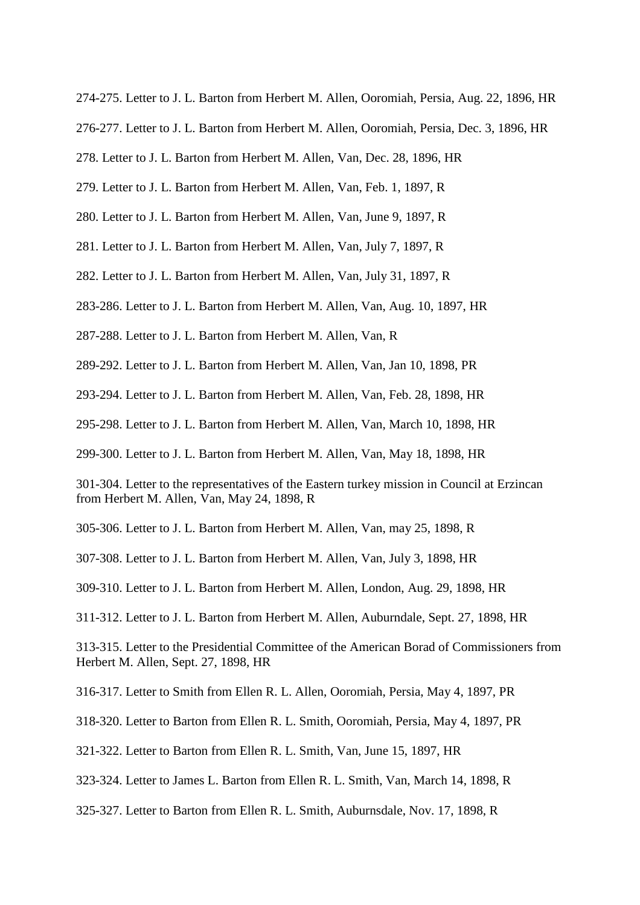274-275. Letter to J. L. Barton from Herbert M. Allen, Ooromiah, Persia, Aug. 22, 1896, HR

276-277. Letter to J. L. Barton from Herbert M. Allen, Ooromiah, Persia, Dec. 3, 1896, HR

278. Letter to J. L. Barton from Herbert M. Allen, Van, Dec. 28, 1896, HR

279. Letter to J. L. Barton from Herbert M. Allen, Van, Feb. 1, 1897, R

280. Letter to J. L. Barton from Herbert M. Allen, Van, June 9, 1897, R

281. Letter to J. L. Barton from Herbert M. Allen, Van, July 7, 1897, R

282. Letter to J. L. Barton from Herbert M. Allen, Van, July 31, 1897, R

283-286. Letter to J. L. Barton from Herbert M. Allen, Van, Aug. 10, 1897, HR

287-288. Letter to J. L. Barton from Herbert M. Allen, Van, R

289-292. Letter to J. L. Barton from Herbert M. Allen, Van, Jan 10, 1898, PR

293-294. Letter to J. L. Barton from Herbert M. Allen, Van, Feb. 28, 1898, HR

295-298. Letter to J. L. Barton from Herbert M. Allen, Van, March 10, 1898, HR

299-300. Letter to J. L. Barton from Herbert M. Allen, Van, May 18, 1898, HR

301-304. Letter to the representatives of the Eastern turkey mission in Council at Erzincan from Herbert M. Allen, Van, May 24, 1898, R

305-306. Letter to J. L. Barton from Herbert M. Allen, Van, may 25, 1898, R

307-308. Letter to J. L. Barton from Herbert M. Allen, Van, July 3, 1898, HR

309-310. Letter to J. L. Barton from Herbert M. Allen, London, Aug. 29, 1898, HR

311-312. Letter to J. L. Barton from Herbert M. Allen, Auburndale, Sept. 27, 1898, HR

313-315. Letter to the Presidential Committee of the American Borad of Commissioners from Herbert M. Allen, Sept. 27, 1898, HR

316-317. Letter to Smith from Ellen R. L. Allen, Ooromiah, Persia, May 4, 1897, PR

318-320. Letter to Barton from Ellen R. L. Smith, Ooromiah, Persia, May 4, 1897, PR

321-322. Letter to Barton from Ellen R. L. Smith, Van, June 15, 1897, HR

323-324. Letter to James L. Barton from Ellen R. L. Smith, Van, March 14, 1898, R

325-327. Letter to Barton from Ellen R. L. Smith, Auburnsdale, Nov. 17, 1898, R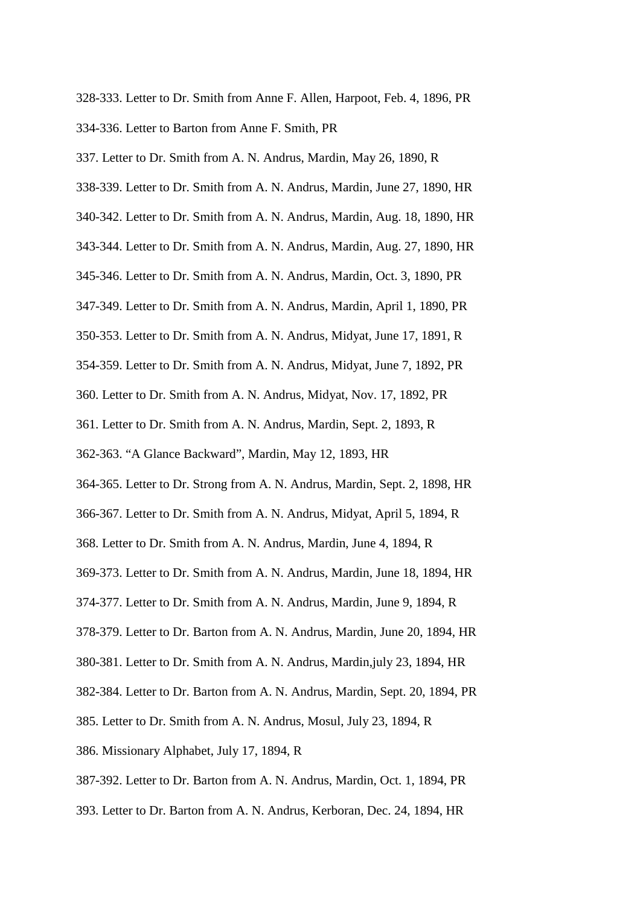- 328-333. Letter to Dr. Smith from Anne F. Allen, Harpoot, Feb. 4, 1896, PR 334-336. Letter to Barton from Anne F. Smith, PR
- 337. Letter to Dr. Smith from A. N. Andrus, Mardin, May 26, 1890, R
- 338-339. Letter to Dr. Smith from A. N. Andrus, Mardin, June 27, 1890, HR
- 340-342. Letter to Dr. Smith from A. N. Andrus, Mardin, Aug. 18, 1890, HR
- 343-344. Letter to Dr. Smith from A. N. Andrus, Mardin, Aug. 27, 1890, HR
- 345-346. Letter to Dr. Smith from A. N. Andrus, Mardin, Oct. 3, 1890, PR
- 347-349. Letter to Dr. Smith from A. N. Andrus, Mardin, April 1, 1890, PR
- 350-353. Letter to Dr. Smith from A. N. Andrus, Midyat, June 17, 1891, R
- 354-359. Letter to Dr. Smith from A. N. Andrus, Midyat, June 7, 1892, PR
- 360. Letter to Dr. Smith from A. N. Andrus, Midyat, Nov. 17, 1892, PR
- 361. Letter to Dr. Smith from A. N. Andrus, Mardin, Sept. 2, 1893, R
- 362-363. "A Glance Backward", Mardin, May 12, 1893, HR
- 364-365. Letter to Dr. Strong from A. N. Andrus, Mardin, Sept. 2, 1898, HR
- 366-367. Letter to Dr. Smith from A. N. Andrus, Midyat, April 5, 1894, R
- 368. Letter to Dr. Smith from A. N. Andrus, Mardin, June 4, 1894, R
- 369-373. Letter to Dr. Smith from A. N. Andrus, Mardin, June 18, 1894, HR
- 374-377. Letter to Dr. Smith from A. N. Andrus, Mardin, June 9, 1894, R
- 378-379. Letter to Dr. Barton from A. N. Andrus, Mardin, June 20, 1894, HR
- 380-381. Letter to Dr. Smith from A. N. Andrus, Mardin,july 23, 1894, HR
- 382-384. Letter to Dr. Barton from A. N. Andrus, Mardin, Sept. 20, 1894, PR
- 385. Letter to Dr. Smith from A. N. Andrus, Mosul, July 23, 1894, R
- 386. Missionary Alphabet, July 17, 1894, R
- 387-392. Letter to Dr. Barton from A. N. Andrus, Mardin, Oct. 1, 1894, PR
- 393. Letter to Dr. Barton from A. N. Andrus, Kerboran, Dec. 24, 1894, HR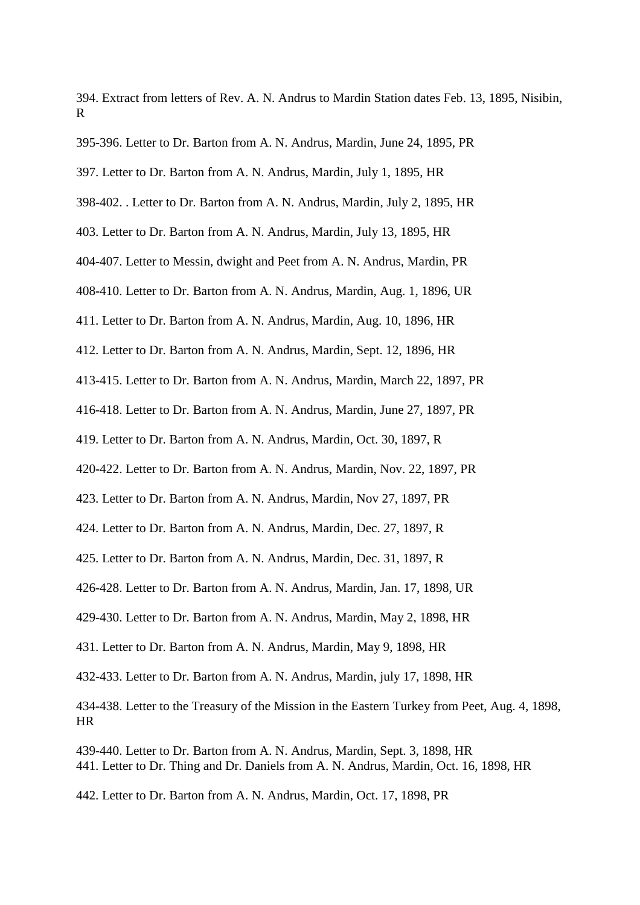394. Extract from letters of Rev. A. N. Andrus to Mardin Station dates Feb. 13, 1895, Nisibin, R

- 395-396. Letter to Dr. Barton from A. N. Andrus, Mardin, June 24, 1895, PR
- 397. Letter to Dr. Barton from A. N. Andrus, Mardin, July 1, 1895, HR
- 398-402. . Letter to Dr. Barton from A. N. Andrus, Mardin, July 2, 1895, HR
- 403. Letter to Dr. Barton from A. N. Andrus, Mardin, July 13, 1895, HR
- 404-407. Letter to Messin, dwight and Peet from A. N. Andrus, Mardin, PR
- 408-410. Letter to Dr. Barton from A. N. Andrus, Mardin, Aug. 1, 1896, UR
- 411. Letter to Dr. Barton from A. N. Andrus, Mardin, Aug. 10, 1896, HR
- 412. Letter to Dr. Barton from A. N. Andrus, Mardin, Sept. 12, 1896, HR
- 413-415. Letter to Dr. Barton from A. N. Andrus, Mardin, March 22, 1897, PR
- 416-418. Letter to Dr. Barton from A. N. Andrus, Mardin, June 27, 1897, PR
- 419. Letter to Dr. Barton from A. N. Andrus, Mardin, Oct. 30, 1897, R
- 420-422. Letter to Dr. Barton from A. N. Andrus, Mardin, Nov. 22, 1897, PR
- 423. Letter to Dr. Barton from A. N. Andrus, Mardin, Nov 27, 1897, PR
- 424. Letter to Dr. Barton from A. N. Andrus, Mardin, Dec. 27, 1897, R
- 425. Letter to Dr. Barton from A. N. Andrus, Mardin, Dec. 31, 1897, R
- 426-428. Letter to Dr. Barton from A. N. Andrus, Mardin, Jan. 17, 1898, UR
- 429-430. Letter to Dr. Barton from A. N. Andrus, Mardin, May 2, 1898, HR
- 431. Letter to Dr. Barton from A. N. Andrus, Mardin, May 9, 1898, HR
- 432-433. Letter to Dr. Barton from A. N. Andrus, Mardin, july 17, 1898, HR
- 434-438. Letter to the Treasury of the Mission in the Eastern Turkey from Peet, Aug. 4, 1898, HR
- 439-440. Letter to Dr. Barton from A. N. Andrus, Mardin, Sept. 3, 1898, HR 441. Letter to Dr. Thing and Dr. Daniels from A. N. Andrus, Mardin, Oct. 16, 1898, HR
- 442. Letter to Dr. Barton from A. N. Andrus, Mardin, Oct. 17, 1898, PR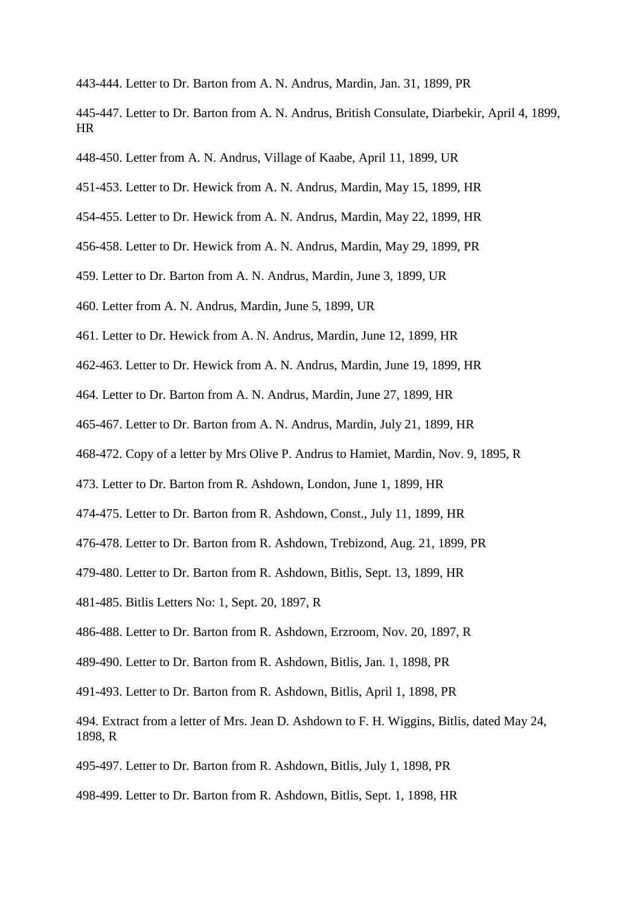- 443-444. Letter to Dr. Barton from A. N. Andrus, Mardin, Jan. 31, 1899, PR
- 445-447. Letter to Dr. Barton from A. N. Andrus, British Consulate, Diarbekir, April 4, 1899, HR
- 448-450. Letter from A. N. Andrus, Village of Kaabe, April 11, 1899, UR
- 451-453. Letter to Dr. Hewick from A. N. Andrus, Mardin, May 15, 1899, HR
- 454-455. Letter to Dr. Hewick from A. N. Andrus, Mardin, May 22, 1899, HR
- 456-458. Letter to Dr. Hewick from A. N. Andrus, Mardin, May 29, 1899, PR
- 459. Letter to Dr. Barton from A. N. Andrus, Mardin, June 3, 1899, UR
- 460. Letter from A. N. Andrus, Mardin, June 5, 1899, UR
- 461. Letter to Dr. Hewick from A. N. Andrus, Mardin, June 12, 1899, HR
- 462-463. Letter to Dr. Hewick from A. N. Andrus, Mardin, June 19, 1899, HR
- 464. Letter to Dr. Barton from A. N. Andrus, Mardin, June 27, 1899, HR
- 465-467. Letter to Dr. Barton from A. N. Andrus, Mardin, July 21, 1899, HR
- 468-472. Copy of a letter by Mrs Olive P. Andrus to Hamiet, Mardin, Nov. 9, 1895, R
- 473. Letter to Dr. Barton from R. Ashdown, London, June 1, 1899, HR
- 474-475. Letter to Dr. Barton from R. Ashdown, Const., July 11, 1899, HR
- 476-478. Letter to Dr. Barton from R. Ashdown, Trebizond, Aug. 21, 1899, PR
- 479-480. Letter to Dr. Barton from R. Ashdown, Bitlis, Sept. 13, 1899, HR
- 481-485. Bitlis Letters No: 1, Sept. 20, 1897, R
- 486-488. Letter to Dr. Barton from R. Ashdown, Erzroom, Nov. 20, 1897, R
- 489-490. Letter to Dr. Barton from R. Ashdown, Bitlis, Jan. 1, 1898, PR
- 491-493. Letter to Dr. Barton from R. Ashdown, Bitlis, April 1, 1898, PR
- 494. Extract from a letter of Mrs. Jean D. Ashdown to F. H. Wiggins, Bitlis, dated May 24, 1898, R
- 495-497. Letter to Dr. Barton from R. Ashdown, Bitlis, July 1, 1898, PR
- 498-499. Letter to Dr. Barton from R. Ashdown, Bitlis, Sept. 1, 1898, HR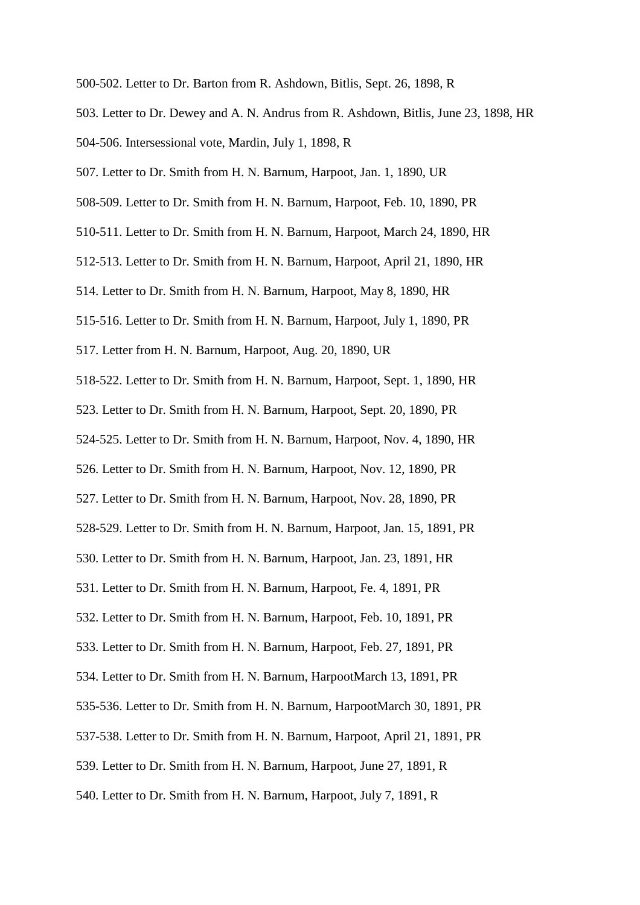- 500-502. Letter to Dr. Barton from R. Ashdown, Bitlis, Sept. 26, 1898, R
- 503. Letter to Dr. Dewey and A. N. Andrus from R. Ashdown, Bitlis, June 23, 1898, HR
- 504-506. Intersessional vote, Mardin, July 1, 1898, R
- 507. Letter to Dr. Smith from H. N. Barnum, Harpoot, Jan. 1, 1890, UR
- 508-509. Letter to Dr. Smith from H. N. Barnum, Harpoot, Feb. 10, 1890, PR
- 510-511. Letter to Dr. Smith from H. N. Barnum, Harpoot, March 24, 1890, HR
- 512-513. Letter to Dr. Smith from H. N. Barnum, Harpoot, April 21, 1890, HR
- 514. Letter to Dr. Smith from H. N. Barnum, Harpoot, May 8, 1890, HR
- 515-516. Letter to Dr. Smith from H. N. Barnum, Harpoot, July 1, 1890, PR
- 517. Letter from H. N. Barnum, Harpoot, Aug. 20, 1890, UR
- 518-522. Letter to Dr. Smith from H. N. Barnum, Harpoot, Sept. 1, 1890, HR
- 523. Letter to Dr. Smith from H. N. Barnum, Harpoot, Sept. 20, 1890, PR
- 524-525. Letter to Dr. Smith from H. N. Barnum, Harpoot, Nov. 4, 1890, HR
- 526. Letter to Dr. Smith from H. N. Barnum, Harpoot, Nov. 12, 1890, PR
- 527. Letter to Dr. Smith from H. N. Barnum, Harpoot, Nov. 28, 1890, PR
- 528-529. Letter to Dr. Smith from H. N. Barnum, Harpoot, Jan. 15, 1891, PR
- 530. Letter to Dr. Smith from H. N. Barnum, Harpoot, Jan. 23, 1891, HR
- 531. Letter to Dr. Smith from H. N. Barnum, Harpoot, Fe. 4, 1891, PR
- 532. Letter to Dr. Smith from H. N. Barnum, Harpoot, Feb. 10, 1891, PR
- 533. Letter to Dr. Smith from H. N. Barnum, Harpoot, Feb. 27, 1891, PR
- 534. Letter to Dr. Smith from H. N. Barnum, HarpootMarch 13, 1891, PR
- 535-536. Letter to Dr. Smith from H. N. Barnum, HarpootMarch 30, 1891, PR
- 537-538. Letter to Dr. Smith from H. N. Barnum, Harpoot, April 21, 1891, PR
- 539. Letter to Dr. Smith from H. N. Barnum, Harpoot, June 27, 1891, R
- 540. Letter to Dr. Smith from H. N. Barnum, Harpoot, July 7, 1891, R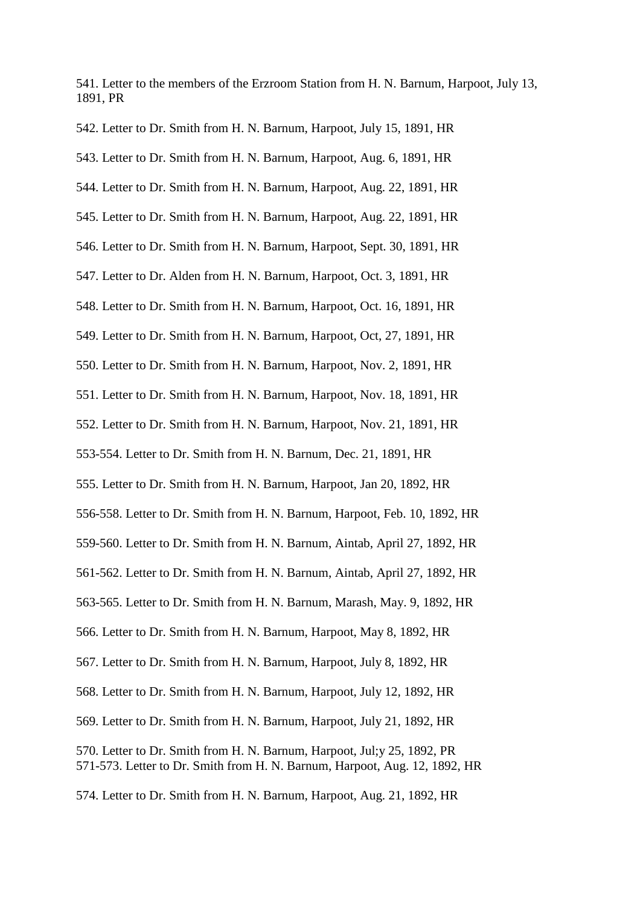541. Letter to the members of the Erzroom Station from H. N. Barnum, Harpoot, July 13, 1891, PR

542. Letter to Dr. Smith from H. N. Barnum, Harpoot, July 15, 1891, HR

543. Letter to Dr. Smith from H. N. Barnum, Harpoot, Aug. 6, 1891, HR

544. Letter to Dr. Smith from H. N. Barnum, Harpoot, Aug. 22, 1891, HR

545. Letter to Dr. Smith from H. N. Barnum, Harpoot, Aug. 22, 1891, HR

546. Letter to Dr. Smith from H. N. Barnum, Harpoot, Sept. 30, 1891, HR

547. Letter to Dr. Alden from H. N. Barnum, Harpoot, Oct. 3, 1891, HR

548. Letter to Dr. Smith from H. N. Barnum, Harpoot, Oct. 16, 1891, HR

549. Letter to Dr. Smith from H. N. Barnum, Harpoot, Oct, 27, 1891, HR

550. Letter to Dr. Smith from H. N. Barnum, Harpoot, Nov. 2, 1891, HR

551. Letter to Dr. Smith from H. N. Barnum, Harpoot, Nov. 18, 1891, HR

552. Letter to Dr. Smith from H. N. Barnum, Harpoot, Nov. 21, 1891, HR

553-554. Letter to Dr. Smith from H. N. Barnum, Dec. 21, 1891, HR

555. Letter to Dr. Smith from H. N. Barnum, Harpoot, Jan 20, 1892, HR

556-558. Letter to Dr. Smith from H. N. Barnum, Harpoot, Feb. 10, 1892, HR

559-560. Letter to Dr. Smith from H. N. Barnum, Aintab, April 27, 1892, HR

561-562. Letter to Dr. Smith from H. N. Barnum, Aintab, April 27, 1892, HR

563-565. Letter to Dr. Smith from H. N. Barnum, Marash, May. 9, 1892, HR

566. Letter to Dr. Smith from H. N. Barnum, Harpoot, May 8, 1892, HR

567. Letter to Dr. Smith from H. N. Barnum, Harpoot, July 8, 1892, HR

568. Letter to Dr. Smith from H. N. Barnum, Harpoot, July 12, 1892, HR

569. Letter to Dr. Smith from H. N. Barnum, Harpoot, July 21, 1892, HR

570. Letter to Dr. Smith from H. N. Barnum, Harpoot, Jul;y 25, 1892, PR 571-573. Letter to Dr. Smith from H. N. Barnum, Harpoot, Aug. 12, 1892, HR

574. Letter to Dr. Smith from H. N. Barnum, Harpoot, Aug. 21, 1892, HR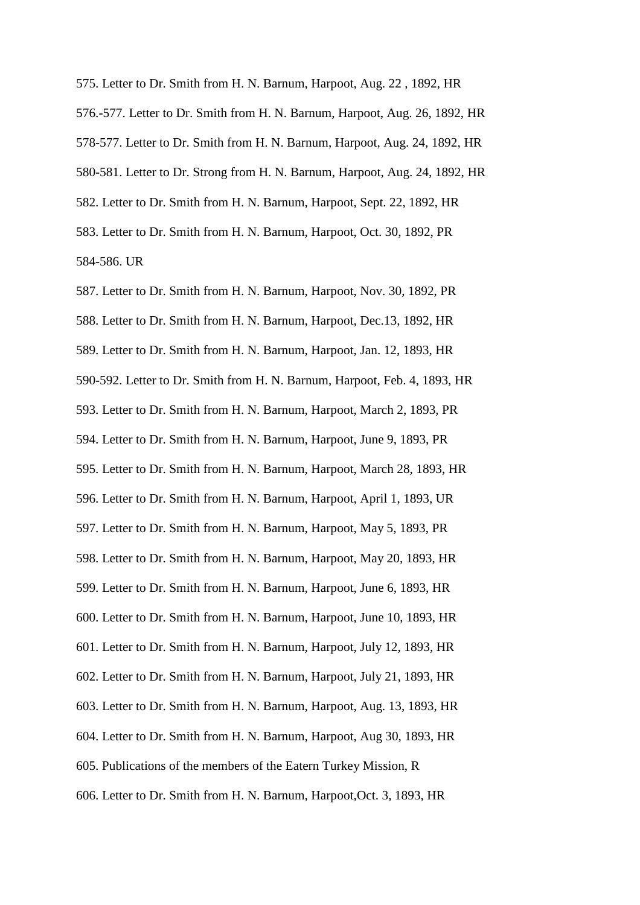575. Letter to Dr. Smith from H. N. Barnum, Harpoot, Aug. 22 , 1892, HR 576.-577. Letter to Dr. Smith from H. N. Barnum, Harpoot, Aug. 26, 1892, HR 578-577. Letter to Dr. Smith from H. N. Barnum, Harpoot, Aug. 24, 1892, HR 580-581. Letter to Dr. Strong from H. N. Barnum, Harpoot, Aug. 24, 1892, HR 582. Letter to Dr. Smith from H. N. Barnum, Harpoot, Sept. 22, 1892, HR 583. Letter to Dr. Smith from H. N. Barnum, Harpoot, Oct. 30, 1892, PR 584-586. UR

587. Letter to Dr. Smith from H. N. Barnum, Harpoot, Nov. 30, 1892, PR 588. Letter to Dr. Smith from H. N. Barnum, Harpoot, Dec.13, 1892, HR 589. Letter to Dr. Smith from H. N. Barnum, Harpoot, Jan. 12, 1893, HR 590-592. Letter to Dr. Smith from H. N. Barnum, Harpoot, Feb. 4, 1893, HR 593. Letter to Dr. Smith from H. N. Barnum, Harpoot, March 2, 1893, PR 594. Letter to Dr. Smith from H. N. Barnum, Harpoot, June 9, 1893, PR 595. Letter to Dr. Smith from H. N. Barnum, Harpoot, March 28, 1893, HR 596. Letter to Dr. Smith from H. N. Barnum, Harpoot, April 1, 1893, UR 597. Letter to Dr. Smith from H. N. Barnum, Harpoot, May 5, 1893, PR 598. Letter to Dr. Smith from H. N. Barnum, Harpoot, May 20, 1893, HR 599. Letter to Dr. Smith from H. N. Barnum, Harpoot, June 6, 1893, HR 600. Letter to Dr. Smith from H. N. Barnum, Harpoot, June 10, 1893, HR 601. Letter to Dr. Smith from H. N. Barnum, Harpoot, July 12, 1893, HR 602. Letter to Dr. Smith from H. N. Barnum, Harpoot, July 21, 1893, HR 603. Letter to Dr. Smith from H. N. Barnum, Harpoot, Aug. 13, 1893, HR 604. Letter to Dr. Smith from H. N. Barnum, Harpoot, Aug 30, 1893, HR 605. Publications of the members of the Eatern Turkey Mission, R 606. Letter to Dr. Smith from H. N. Barnum, Harpoot,Oct. 3, 1893, HR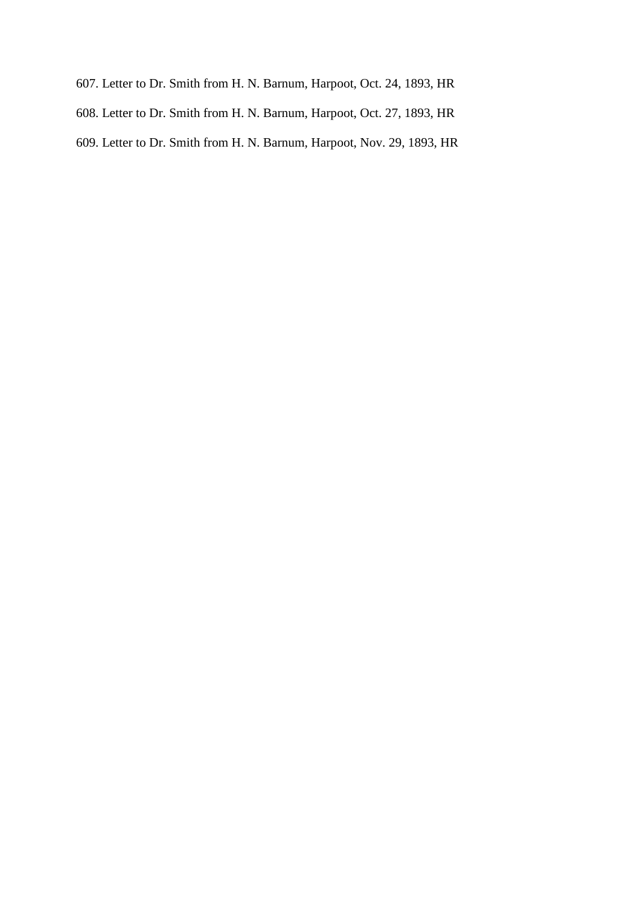- 607. Letter to Dr. Smith from H. N. Barnum, Harpoot, Oct. 24, 1893, HR
- 608. Letter to Dr. Smith from H. N. Barnum, Harpoot, Oct. 27, 1893, HR
- 609. Letter to Dr. Smith from H. N. Barnum, Harpoot, Nov. 29, 1893, HR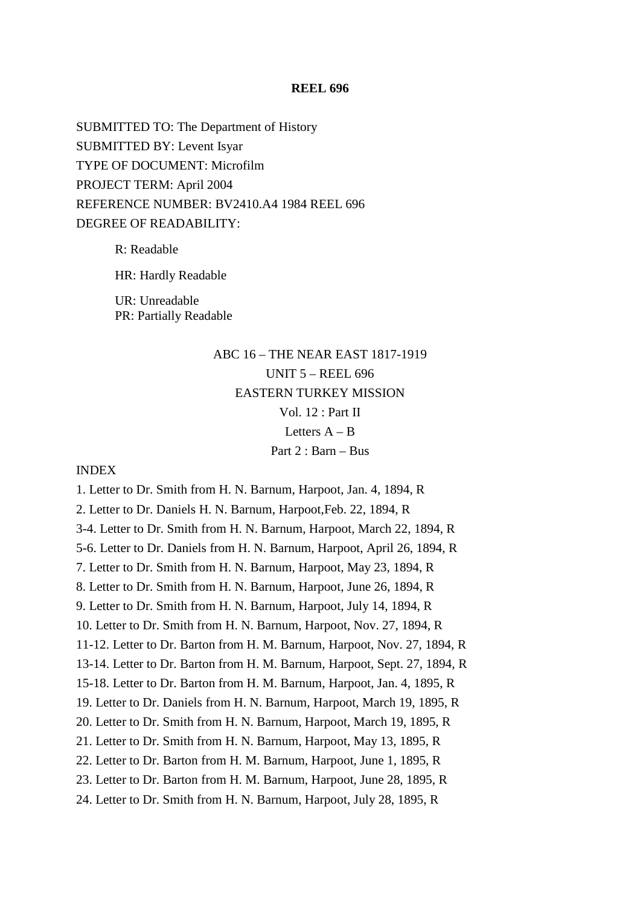## **REEL 696**

SUBMITTED TO: The Department of History SUBMITTED BY: Levent Isyar TYPE OF DOCUMENT: Microfilm PROJECT TERM: April 2004 REFERENCE NUMBER: BV2410.A4 1984 REEL 696 DEGREE OF READABILITY:

> R: Readable HR: Hardly Readable UR: Unreadable PR: Partially Readable

# ABC 16 – THE NEAR EAST 1817-1919 UNIT 5 – REEL 696 EASTERN TURKEY MISSION Vol. 12 : Part II Letters  $A - B$ Part 2 : Barn – Bus

## INDEX

1. Letter to Dr. Smith from H. N. Barnum, Harpoot, Jan. 4, 1894, R 2. Letter to Dr. Daniels H. N. Barnum, Harpoot,Feb. 22, 1894, R 3-4. Letter to Dr. Smith from H. N. Barnum, Harpoot, March 22, 1894, R 5-6. Letter to Dr. Daniels from H. N. Barnum, Harpoot, April 26, 1894, R 7. Letter to Dr. Smith from H. N. Barnum, Harpoot, May 23, 1894, R 8. Letter to Dr. Smith from H. N. Barnum, Harpoot, June 26, 1894, R 9. Letter to Dr. Smith from H. N. Barnum, Harpoot, July 14, 1894, R 10. Letter to Dr. Smith from H. N. Barnum, Harpoot, Nov. 27, 1894, R 11-12. Letter to Dr. Barton from H. M. Barnum, Harpoot, Nov. 27, 1894, R 13-14. Letter to Dr. Barton from H. M. Barnum, Harpoot, Sept. 27, 1894, R 15-18. Letter to Dr. Barton from H. M. Barnum, Harpoot, Jan. 4, 1895, R 19. Letter to Dr. Daniels from H. N. Barnum, Harpoot, March 19, 1895, R 20. Letter to Dr. Smith from H. N. Barnum, Harpoot, March 19, 1895, R 21. Letter to Dr. Smith from H. N. Barnum, Harpoot, May 13, 1895, R 22. Letter to Dr. Barton from H. M. Barnum, Harpoot, June 1, 1895, R 23. Letter to Dr. Barton from H. M. Barnum, Harpoot, June 28, 1895, R 24. Letter to Dr. Smith from H. N. Barnum, Harpoot, July 28, 1895, R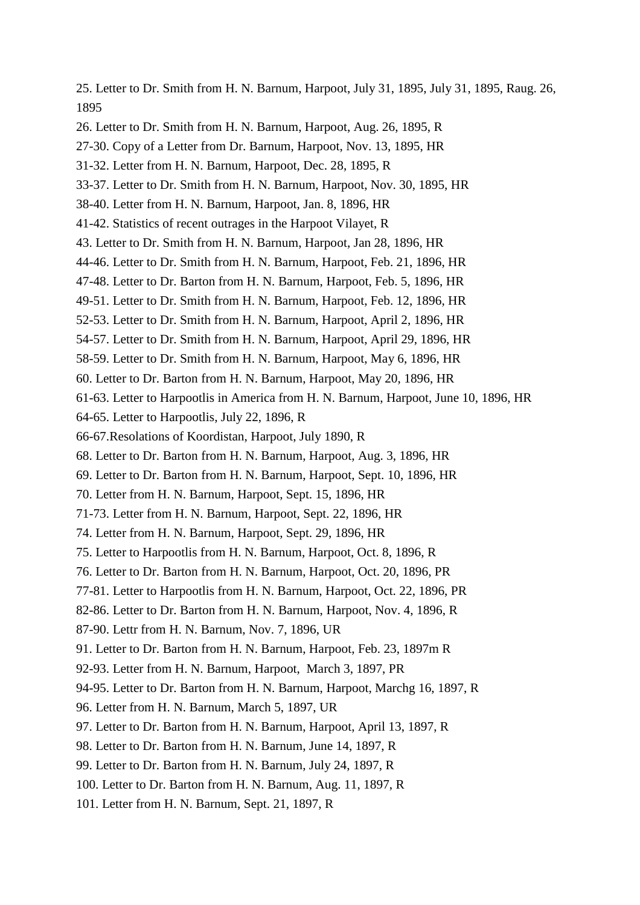25. Letter to Dr. Smith from H. N. Barnum, Harpoot, July 31, 1895, July 31, 1895, Raug. 26, 1895 26. Letter to Dr. Smith from H. N. Barnum, Harpoot, Aug. 26, 1895, R 27-30. Copy of a Letter from Dr. Barnum, Harpoot, Nov. 13, 1895, HR 31-32. Letter from H. N. Barnum, Harpoot, Dec. 28, 1895, R 33-37. Letter to Dr. Smith from H. N. Barnum, Harpoot, Nov. 30, 1895, HR 38-40. Letter from H. N. Barnum, Harpoot, Jan. 8, 1896, HR 41-42. Statistics of recent outrages in the Harpoot Vilayet, R 43. Letter to Dr. Smith from H. N. Barnum, Harpoot, Jan 28, 1896, HR 44-46. Letter to Dr. Smith from H. N. Barnum, Harpoot, Feb. 21, 1896, HR 47-48. Letter to Dr. Barton from H. N. Barnum, Harpoot, Feb. 5, 1896, HR 49-51. Letter to Dr. Smith from H. N. Barnum, Harpoot, Feb. 12, 1896, HR 52-53. Letter to Dr. Smith from H. N. Barnum, Harpoot, April 2, 1896, HR 54-57. Letter to Dr. Smith from H. N. Barnum, Harpoot, April 29, 1896, HR 58-59. Letter to Dr. Smith from H. N. Barnum, Harpoot, May 6, 1896, HR 60. Letter to Dr. Barton from H. N. Barnum, Harpoot, May 20, 1896, HR 61-63. Letter to Harpootlis in America from H. N. Barnum, Harpoot, June 10, 1896, HR 64-65. Letter to Harpootlis, July 22, 1896, R 66-67.Resolations of Koordistan, Harpoot, July 1890, R 68. Letter to Dr. Barton from H. N. Barnum, Harpoot, Aug. 3, 1896, HR 69. Letter to Dr. Barton from H. N. Barnum, Harpoot, Sept. 10, 1896, HR 70. Letter from H. N. Barnum, Harpoot, Sept. 15, 1896, HR 71-73. Letter from H. N. Barnum, Harpoot, Sept. 22, 1896, HR 74. Letter from H. N. Barnum, Harpoot, Sept. 29, 1896, HR 75. Letter to Harpootlis from H. N. Barnum, Harpoot, Oct. 8, 1896, R 76. Letter to Dr. Barton from H. N. Barnum, Harpoot, Oct. 20, 1896, PR 77-81. Letter to Harpootlis from H. N. Barnum, Harpoot, Oct. 22, 1896, PR 82-86. Letter to Dr. Barton from H. N. Barnum, Harpoot, Nov. 4, 1896, R 87-90. Lettr from H. N. Barnum, Nov. 7, 1896, UR 91. Letter to Dr. Barton from H. N. Barnum, Harpoot, Feb. 23, 1897m R 92-93. Letter from H. N. Barnum, Harpoot, March 3, 1897, PR 94-95. Letter to Dr. Barton from H. N. Barnum, Harpoot, Marchg 16, 1897, R 96. Letter from H. N. Barnum, March 5, 1897, UR 97. Letter to Dr. Barton from H. N. Barnum, Harpoot, April 13, 1897, R 98. Letter to Dr. Barton from H. N. Barnum, June 14, 1897, R 99. Letter to Dr. Barton from H. N. Barnum, July 24, 1897, R 100. Letter to Dr. Barton from H. N. Barnum, Aug. 11, 1897, R

101. Letter from H. N. Barnum, Sept. 21, 1897, R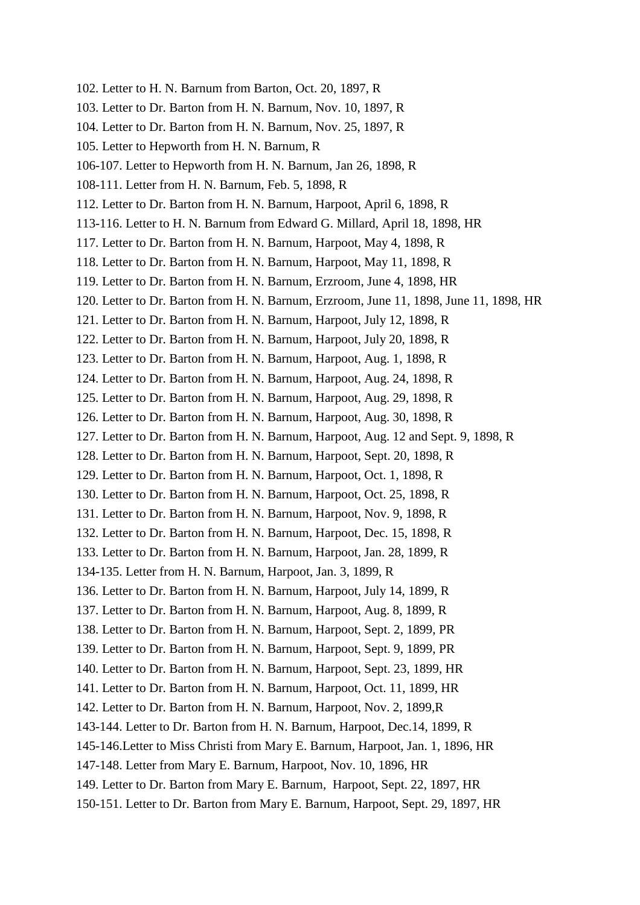- 102. Letter to H. N. Barnum from Barton, Oct. 20, 1897, R
- 103. Letter to Dr. Barton from H. N. Barnum, Nov. 10, 1897, R
- 104. Letter to Dr. Barton from H. N. Barnum, Nov. 25, 1897, R
- 105. Letter to Hepworth from H. N. Barnum, R
- 106-107. Letter to Hepworth from H. N. Barnum, Jan 26, 1898, R
- 108-111. Letter from H. N. Barnum, Feb. 5, 1898, R
- 112. Letter to Dr. Barton from H. N. Barnum, Harpoot, April 6, 1898, R
- 113-116. Letter to H. N. Barnum from Edward G. Millard, April 18, 1898, HR
- 117. Letter to Dr. Barton from H. N. Barnum, Harpoot, May 4, 1898, R
- 118. Letter to Dr. Barton from H. N. Barnum, Harpoot, May 11, 1898, R
- 119. Letter to Dr. Barton from H. N. Barnum, Erzroom, June 4, 1898, HR
- 120. Letter to Dr. Barton from H. N. Barnum, Erzroom, June 11, 1898, June 11, 1898, HR
- 121. Letter to Dr. Barton from H. N. Barnum, Harpoot, July 12, 1898, R
- 122. Letter to Dr. Barton from H. N. Barnum, Harpoot, July 20, 1898, R
- 123. Letter to Dr. Barton from H. N. Barnum, Harpoot, Aug. 1, 1898, R
- 124. Letter to Dr. Barton from H. N. Barnum, Harpoot, Aug. 24, 1898, R
- 125. Letter to Dr. Barton from H. N. Barnum, Harpoot, Aug. 29, 1898, R
- 126. Letter to Dr. Barton from H. N. Barnum, Harpoot, Aug. 30, 1898, R
- 127. Letter to Dr. Barton from H. N. Barnum, Harpoot, Aug. 12 and Sept. 9, 1898, R
- 128. Letter to Dr. Barton from H. N. Barnum, Harpoot, Sept. 20, 1898, R
- 129. Letter to Dr. Barton from H. N. Barnum, Harpoot, Oct. 1, 1898, R
- 130. Letter to Dr. Barton from H. N. Barnum, Harpoot, Oct. 25, 1898, R
- 131. Letter to Dr. Barton from H. N. Barnum, Harpoot, Nov. 9, 1898, R
- 132. Letter to Dr. Barton from H. N. Barnum, Harpoot, Dec. 15, 1898, R
- 133. Letter to Dr. Barton from H. N. Barnum, Harpoot, Jan. 28, 1899, R
- 134-135. Letter from H. N. Barnum, Harpoot, Jan. 3, 1899, R
- 136. Letter to Dr. Barton from H. N. Barnum, Harpoot, July 14, 1899, R
- 137. Letter to Dr. Barton from H. N. Barnum, Harpoot, Aug. 8, 1899, R
- 138. Letter to Dr. Barton from H. N. Barnum, Harpoot, Sept. 2, 1899, PR
- 139. Letter to Dr. Barton from H. N. Barnum, Harpoot, Sept. 9, 1899, PR
- 140. Letter to Dr. Barton from H. N. Barnum, Harpoot, Sept. 23, 1899, HR
- 141. Letter to Dr. Barton from H. N. Barnum, Harpoot, Oct. 11, 1899, HR
- 142. Letter to Dr. Barton from H. N. Barnum, Harpoot, Nov. 2, 1899,R
- 143-144. Letter to Dr. Barton from H. N. Barnum, Harpoot, Dec.14, 1899, R
- 145-146.Letter to Miss Christi from Mary E. Barnum, Harpoot, Jan. 1, 1896, HR
- 147-148. Letter from Mary E. Barnum, Harpoot, Nov. 10, 1896, HR
- 149. Letter to Dr. Barton from Mary E. Barnum, Harpoot, Sept. 22, 1897, HR
- 150-151. Letter to Dr. Barton from Mary E. Barnum, Harpoot, Sept. 29, 1897, HR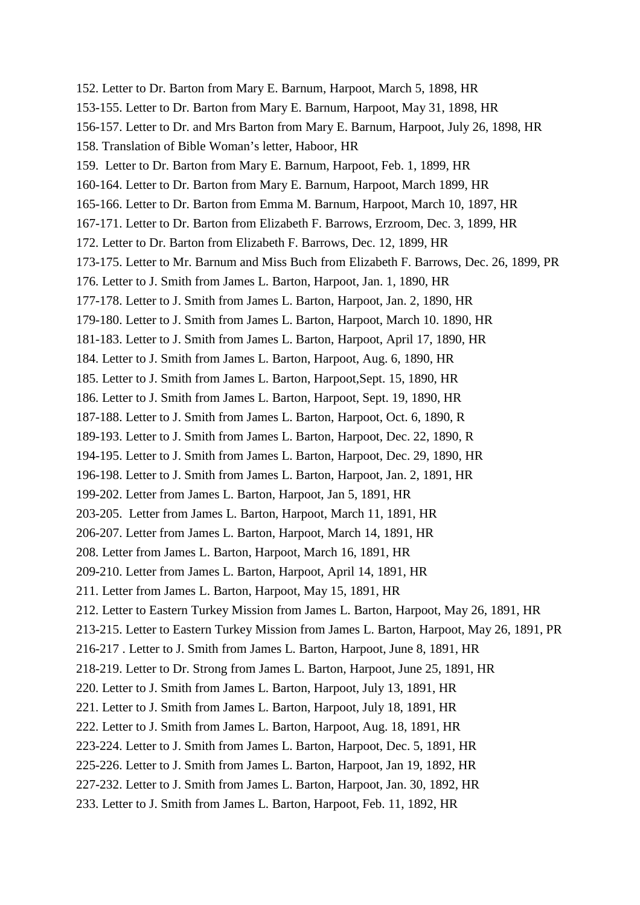152. Letter to Dr. Barton from Mary E. Barnum, Harpoot, March 5, 1898, HR 153-155. Letter to Dr. Barton from Mary E. Barnum, Harpoot, May 31, 1898, HR 156-157. Letter to Dr. and Mrs Barton from Mary E. Barnum, Harpoot, July 26, 1898, HR 158. Translation of Bible Woman's letter, Haboor, HR 159. Letter to Dr. Barton from Mary E. Barnum, Harpoot, Feb. 1, 1899, HR 160-164. Letter to Dr. Barton from Mary E. Barnum, Harpoot, March 1899, HR 165-166. Letter to Dr. Barton from Emma M. Barnum, Harpoot, March 10, 1897, HR 167-171. Letter to Dr. Barton from Elizabeth F. Barrows, Erzroom, Dec. 3, 1899, HR 172. Letter to Dr. Barton from Elizabeth F. Barrows, Dec. 12, 1899, HR 173-175. Letter to Mr. Barnum and Miss Buch from Elizabeth F. Barrows, Dec. 26, 1899, PR 176. Letter to J. Smith from James L. Barton, Harpoot, Jan. 1, 1890, HR 177-178. Letter to J. Smith from James L. Barton, Harpoot, Jan. 2, 1890, HR 179-180. Letter to J. Smith from James L. Barton, Harpoot, March 10. 1890, HR 181-183. Letter to J. Smith from James L. Barton, Harpoot, April 17, 1890, HR 184. Letter to J. Smith from James L. Barton, Harpoot, Aug. 6, 1890, HR 185. Letter to J. Smith from James L. Barton, Harpoot,Sept. 15, 1890, HR 186. Letter to J. Smith from James L. Barton, Harpoot, Sept. 19, 1890, HR 187-188. Letter to J. Smith from James L. Barton, Harpoot, Oct. 6, 1890, R 189-193. Letter to J. Smith from James L. Barton, Harpoot, Dec. 22, 1890, R 194-195. Letter to J. Smith from James L. Barton, Harpoot, Dec. 29, 1890, HR 196-198. Letter to J. Smith from James L. Barton, Harpoot, Jan. 2, 1891, HR 199-202. Letter from James L. Barton, Harpoot, Jan 5, 1891, HR 203-205. Letter from James L. Barton, Harpoot, March 11, 1891, HR 206-207. Letter from James L. Barton, Harpoot, March 14, 1891, HR 208. Letter from James L. Barton, Harpoot, March 16, 1891, HR 209-210. Letter from James L. Barton, Harpoot, April 14, 1891, HR 211. Letter from James L. Barton, Harpoot, May 15, 1891, HR 212. Letter to Eastern Turkey Mission from James L. Barton, Harpoot, May 26, 1891, HR 213-215. Letter to Eastern Turkey Mission from James L. Barton, Harpoot, May 26, 1891, PR 216-217 . Letter to J. Smith from James L. Barton, Harpoot, June 8, 1891, HR 218-219. Letter to Dr. Strong from James L. Barton, Harpoot, June 25, 1891, HR 220. Letter to J. Smith from James L. Barton, Harpoot, July 13, 1891, HR 221. Letter to J. Smith from James L. Barton, Harpoot, July 18, 1891, HR 222. Letter to J. Smith from James L. Barton, Harpoot, Aug. 18, 1891, HR 223-224. Letter to J. Smith from James L. Barton, Harpoot, Dec. 5, 1891, HR 225-226. Letter to J. Smith from James L. Barton, Harpoot, Jan 19, 1892, HR 227-232. Letter to J. Smith from James L. Barton, Harpoot, Jan. 30, 1892, HR 233. Letter to J. Smith from James L. Barton, Harpoot, Feb. 11, 1892, HR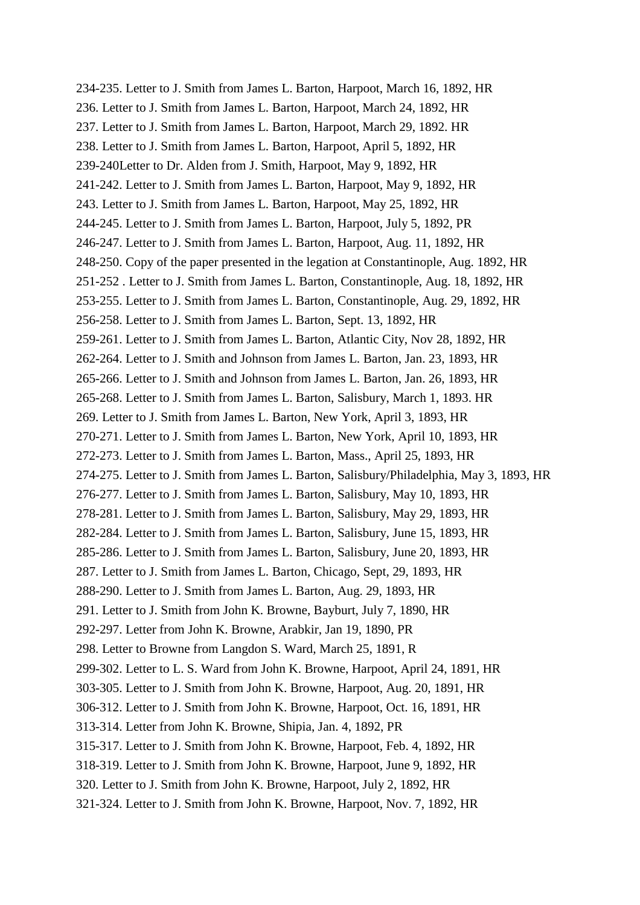234-235. Letter to J. Smith from James L. Barton, Harpoot, March 16, 1892, HR 236. Letter to J. Smith from James L. Barton, Harpoot, March 24, 1892, HR 237. Letter to J. Smith from James L. Barton, Harpoot, March 29, 1892. HR 238. Letter to J. Smith from James L. Barton, Harpoot, April 5, 1892, HR 239-240Letter to Dr. Alden from J. Smith, Harpoot, May 9, 1892, HR 241-242. Letter to J. Smith from James L. Barton, Harpoot, May 9, 1892, HR 243. Letter to J. Smith from James L. Barton, Harpoot, May 25, 1892, HR 244-245. Letter to J. Smith from James L. Barton, Harpoot, July 5, 1892, PR 246-247. Letter to J. Smith from James L. Barton, Harpoot, Aug. 11, 1892, HR 248-250. Copy of the paper presented in the legation at Constantinople, Aug. 1892, HR 251-252 . Letter to J. Smith from James L. Barton, Constantinople, Aug. 18, 1892, HR 253-255. Letter to J. Smith from James L. Barton, Constantinople, Aug. 29, 1892, HR 256-258. Letter to J. Smith from James L. Barton, Sept. 13, 1892, HR 259-261. Letter to J. Smith from James L. Barton, Atlantic City, Nov 28, 1892, HR 262-264. Letter to J. Smith and Johnson from James L. Barton, Jan. 23, 1893, HR 265-266. Letter to J. Smith and Johnson from James L. Barton, Jan. 26, 1893, HR 265-268. Letter to J. Smith from James L. Barton, Salisbury, March 1, 1893. HR 269. Letter to J. Smith from James L. Barton, New York, April 3, 1893, HR 270-271. Letter to J. Smith from James L. Barton, New York, April 10, 1893, HR 272-273. Letter to J. Smith from James L. Barton, Mass., April 25, 1893, HR 274-275. Letter to J. Smith from James L. Barton, Salisbury/Philadelphia, May 3, 1893, HR 276-277. Letter to J. Smith from James L. Barton, Salisbury, May 10, 1893, HR 278-281. Letter to J. Smith from James L. Barton, Salisbury, May 29, 1893, HR 282-284. Letter to J. Smith from James L. Barton, Salisbury, June 15, 1893, HR 285-286. Letter to J. Smith from James L. Barton, Salisbury, June 20, 1893, HR 287. Letter to J. Smith from James L. Barton, Chicago, Sept, 29, 1893, HR 288-290. Letter to J. Smith from James L. Barton, Aug. 29, 1893, HR 291. Letter to J. Smith from John K. Browne, Bayburt, July 7, 1890, HR 292-297. Letter from John K. Browne, Arabkir, Jan 19, 1890, PR 298. Letter to Browne from Langdon S. Ward, March 25, 1891, R 299-302. Letter to L. S. Ward from John K. Browne, Harpoot, April 24, 1891, HR 303-305. Letter to J. Smith from John K. Browne, Harpoot, Aug. 20, 1891, HR 306-312. Letter to J. Smith from John K. Browne, Harpoot, Oct. 16, 1891, HR 313-314. Letter from John K. Browne, Shipia, Jan. 4, 1892, PR 315-317. Letter to J. Smith from John K. Browne, Harpoot, Feb. 4, 1892, HR 318-319. Letter to J. Smith from John K. Browne, Harpoot, June 9, 1892, HR 320. Letter to J. Smith from John K. Browne, Harpoot, July 2, 1892, HR 321-324. Letter to J. Smith from John K. Browne, Harpoot, Nov. 7, 1892, HR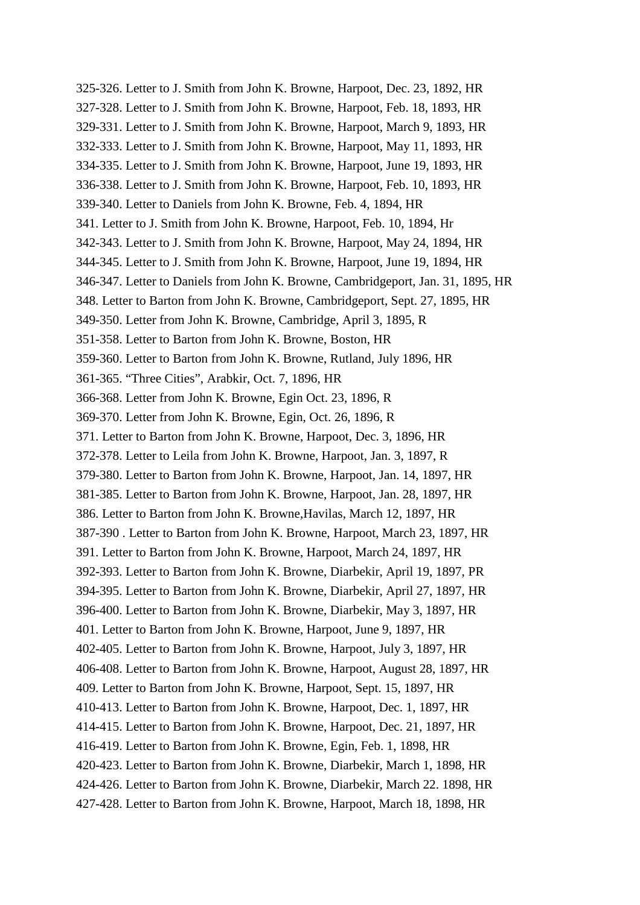325-326. Letter to J. Smith from John K. Browne, Harpoot, Dec. 23, 1892, HR 327-328. Letter to J. Smith from John K. Browne, Harpoot, Feb. 18, 1893, HR 329-331. Letter to J. Smith from John K. Browne, Harpoot, March 9, 1893, HR 332-333. Letter to J. Smith from John K. Browne, Harpoot, May 11, 1893, HR 334-335. Letter to J. Smith from John K. Browne, Harpoot, June 19, 1893, HR 336-338. Letter to J. Smith from John K. Browne, Harpoot, Feb. 10, 1893, HR 339-340. Letter to Daniels from John K. Browne, Feb. 4, 1894, HR 341. Letter to J. Smith from John K. Browne, Harpoot, Feb. 10, 1894, Hr 342-343. Letter to J. Smith from John K. Browne, Harpoot, May 24, 1894, HR 344-345. Letter to J. Smith from John K. Browne, Harpoot, June 19, 1894, HR 346-347. Letter to Daniels from John K. Browne, Cambridgeport, Jan. 31, 1895, HR 348. Letter to Barton from John K. Browne, Cambridgeport, Sept. 27, 1895, HR 349-350. Letter from John K. Browne, Cambridge, April 3, 1895, R 351-358. Letter to Barton from John K. Browne, Boston, HR 359-360. Letter to Barton from John K. Browne, Rutland, July 1896, HR 361-365. "Three Cities", Arabkir, Oct. 7, 1896, HR 366-368. Letter from John K. Browne, Egin Oct. 23, 1896, R 369-370. Letter from John K. Browne, Egin, Oct. 26, 1896, R 371. Letter to Barton from John K. Browne, Harpoot, Dec. 3, 1896, HR 372-378. Letter to Leila from John K. Browne, Harpoot, Jan. 3, 1897, R 379-380. Letter to Barton from John K. Browne, Harpoot, Jan. 14, 1897, HR 381-385. Letter to Barton from John K. Browne, Harpoot, Jan. 28, 1897, HR 386. Letter to Barton from John K. Browne,Havilas, March 12, 1897, HR 387-390 . Letter to Barton from John K. Browne, Harpoot, March 23, 1897, HR 391. Letter to Barton from John K. Browne, Harpoot, March 24, 1897, HR 392-393. Letter to Barton from John K. Browne, Diarbekir, April 19, 1897, PR 394-395. Letter to Barton from John K. Browne, Diarbekir, April 27, 1897, HR 396-400. Letter to Barton from John K. Browne, Diarbekir, May 3, 1897, HR 401. Letter to Barton from John K. Browne, Harpoot, June 9, 1897, HR 402-405. Letter to Barton from John K. Browne, Harpoot, July 3, 1897, HR 406-408. Letter to Barton from John K. Browne, Harpoot, August 28, 1897, HR 409. Letter to Barton from John K. Browne, Harpoot, Sept. 15, 1897, HR 410-413. Letter to Barton from John K. Browne, Harpoot, Dec. 1, 1897, HR 414-415. Letter to Barton from John K. Browne, Harpoot, Dec. 21, 1897, HR 416-419. Letter to Barton from John K. Browne, Egin, Feb. 1, 1898, HR 420-423. Letter to Barton from John K. Browne, Diarbekir, March 1, 1898, HR 424-426. Letter to Barton from John K. Browne, Diarbekir, March 22. 1898, HR 427-428. Letter to Barton from John K. Browne, Harpoot, March 18, 1898, HR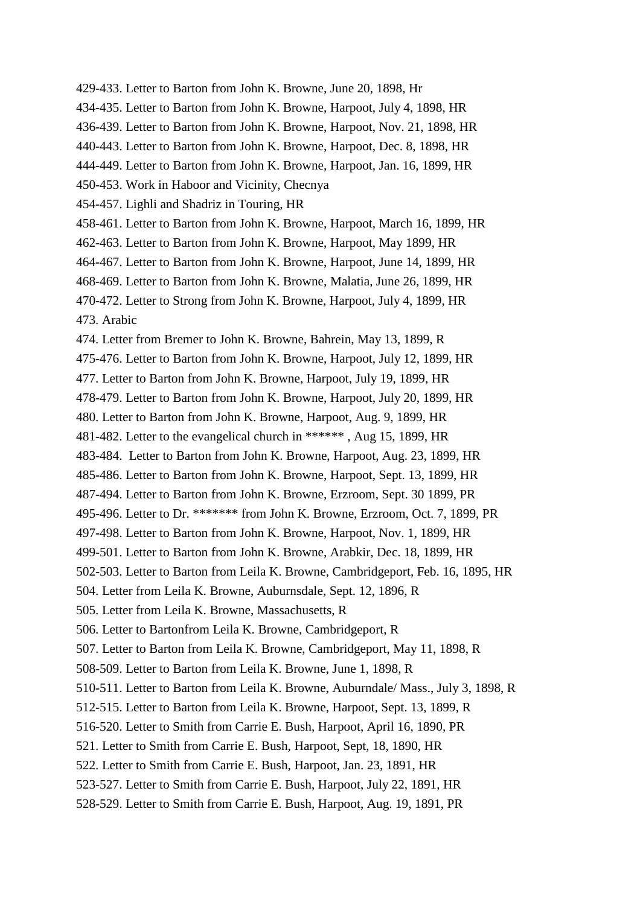429-433. Letter to Barton from John K. Browne, June 20, 1898, Hr 434-435. Letter to Barton from John K. Browne, Harpoot, July 4, 1898, HR 436-439. Letter to Barton from John K. Browne, Harpoot, Nov. 21, 1898, HR 440-443. Letter to Barton from John K. Browne, Harpoot, Dec. 8, 1898, HR 444-449. Letter to Barton from John K. Browne, Harpoot, Jan. 16, 1899, HR 450-453. Work in Haboor and Vicinity, Checnya 454-457. Lighli and Shadriz in Touring, HR 458-461. Letter to Barton from John K. Browne, Harpoot, March 16, 1899, HR 462-463. Letter to Barton from John K. Browne, Harpoot, May 1899, HR 464-467. Letter to Barton from John K. Browne, Harpoot, June 14, 1899, HR 468-469. Letter to Barton from John K. Browne, Malatia, June 26, 1899, HR 470-472. Letter to Strong from John K. Browne, Harpoot, July 4, 1899, HR 473. Arabic 474. Letter from Bremer to John K. Browne, Bahrein, May 13, 1899, R 475-476. Letter to Barton from John K. Browne, Harpoot, July 12, 1899, HR 477. Letter to Barton from John K. Browne, Harpoot, July 19, 1899, HR 478-479. Letter to Barton from John K. Browne, Harpoot, July 20, 1899, HR 480. Letter to Barton from John K. Browne, Harpoot, Aug. 9, 1899, HR 481-482. Letter to the evangelical church in \*\*\*\*\*\* , Aug 15, 1899, HR 483-484. Letter to Barton from John K. Browne, Harpoot, Aug. 23, 1899, HR 485-486. Letter to Barton from John K. Browne, Harpoot, Sept. 13, 1899, HR 487-494. Letter to Barton from John K. Browne, Erzroom, Sept. 30 1899, PR 495-496. Letter to Dr. \*\*\*\*\*\*\* from John K. Browne, Erzroom, Oct. 7, 1899, PR 497-498. Letter to Barton from John K. Browne, Harpoot, Nov. 1, 1899, HR 499-501. Letter to Barton from John K. Browne, Arabkir, Dec. 18, 1899, HR 502-503. Letter to Barton from Leila K. Browne, Cambridgeport, Feb. 16, 1895, HR 504. Letter from Leila K. Browne, Auburnsdale, Sept. 12, 1896, R 505. Letter from Leila K. Browne, Massachusetts, R 506. Letter to Bartonfrom Leila K. Browne, Cambridgeport, R 507. Letter to Barton from Leila K. Browne, Cambridgeport, May 11, 1898, R 508-509. Letter to Barton from Leila K. Browne, June 1, 1898, R 510-511. Letter to Barton from Leila K. Browne, Auburndale/ Mass., July 3, 1898, R 512-515. Letter to Barton from Leila K. Browne, Harpoot, Sept. 13, 1899, R 516-520. Letter to Smith from Carrie E. Bush, Harpoot, April 16, 1890, PR 521. Letter to Smith from Carrie E. Bush, Harpoot, Sept, 18, 1890, HR 522. Letter to Smith from Carrie E. Bush, Harpoot, Jan. 23, 1891, HR 523-527. Letter to Smith from Carrie E. Bush, Harpoot, July 22, 1891, HR 528-529. Letter to Smith from Carrie E. Bush, Harpoot, Aug. 19, 1891, PR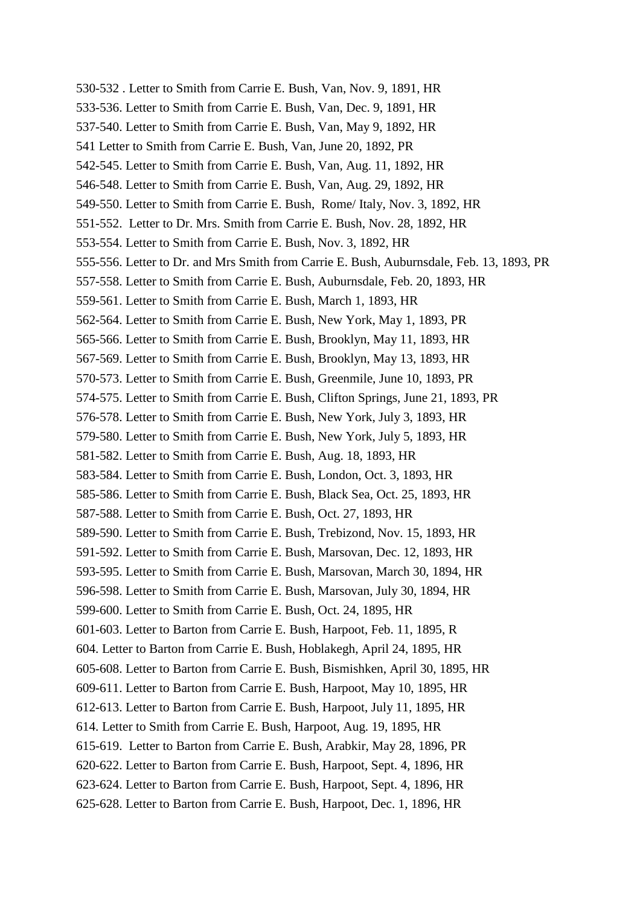530-532 . Letter to Smith from Carrie E. Bush, Van, Nov. 9, 1891, HR 533-536. Letter to Smith from Carrie E. Bush, Van, Dec. 9, 1891, HR 537-540. Letter to Smith from Carrie E. Bush, Van, May 9, 1892, HR 541 Letter to Smith from Carrie E. Bush, Van, June 20, 1892, PR 542-545. Letter to Smith from Carrie E. Bush, Van, Aug. 11, 1892, HR 546-548. Letter to Smith from Carrie E. Bush, Van, Aug. 29, 1892, HR 549-550. Letter to Smith from Carrie E. Bush, Rome/ Italy, Nov. 3, 1892, HR 551-552. Letter to Dr. Mrs. Smith from Carrie E. Bush, Nov. 28, 1892, HR 553-554. Letter to Smith from Carrie E. Bush, Nov. 3, 1892, HR 555-556. Letter to Dr. and Mrs Smith from Carrie E. Bush, Auburnsdale, Feb. 13, 1893, PR 557-558. Letter to Smith from Carrie E. Bush, Auburnsdale, Feb. 20, 1893, HR 559-561. Letter to Smith from Carrie E. Bush, March 1, 1893, HR 562-564. Letter to Smith from Carrie E. Bush, New York, May 1, 1893, PR 565-566. Letter to Smith from Carrie E. Bush, Brooklyn, May 11, 1893, HR 567-569. Letter to Smith from Carrie E. Bush, Brooklyn, May 13, 1893, HR 570-573. Letter to Smith from Carrie E. Bush, Greenmile, June 10, 1893, PR 574-575. Letter to Smith from Carrie E. Bush, Clifton Springs, June 21, 1893, PR 576-578. Letter to Smith from Carrie E. Bush, New York, July 3, 1893, HR 579-580. Letter to Smith from Carrie E. Bush, New York, July 5, 1893, HR 581-582. Letter to Smith from Carrie E. Bush, Aug. 18, 1893, HR 583-584. Letter to Smith from Carrie E. Bush, London, Oct. 3, 1893, HR 585-586. Letter to Smith from Carrie E. Bush, Black Sea, Oct. 25, 1893, HR 587-588. Letter to Smith from Carrie E. Bush, Oct. 27, 1893, HR 589-590. Letter to Smith from Carrie E. Bush, Trebizond, Nov. 15, 1893, HR 591-592. Letter to Smith from Carrie E. Bush, Marsovan, Dec. 12, 1893, HR 593-595. Letter to Smith from Carrie E. Bush, Marsovan, March 30, 1894, HR 596-598. Letter to Smith from Carrie E. Bush, Marsovan, July 30, 1894, HR 599-600. Letter to Smith from Carrie E. Bush, Oct. 24, 1895, HR 601-603. Letter to Barton from Carrie E. Bush, Harpoot, Feb. 11, 1895, R 604. Letter to Barton from Carrie E. Bush, Hoblakegh, April 24, 1895, HR 605-608. Letter to Barton from Carrie E. Bush, Bismishken, April 30, 1895, HR 609-611. Letter to Barton from Carrie E. Bush, Harpoot, May 10, 1895, HR 612-613. Letter to Barton from Carrie E. Bush, Harpoot, July 11, 1895, HR 614. Letter to Smith from Carrie E. Bush, Harpoot, Aug. 19, 1895, HR 615-619. Letter to Barton from Carrie E. Bush, Arabkir, May 28, 1896, PR 620-622. Letter to Barton from Carrie E. Bush, Harpoot, Sept. 4, 1896, HR 623-624. Letter to Barton from Carrie E. Bush, Harpoot, Sept. 4, 1896, HR 625-628. Letter to Barton from Carrie E. Bush, Harpoot, Dec. 1, 1896, HR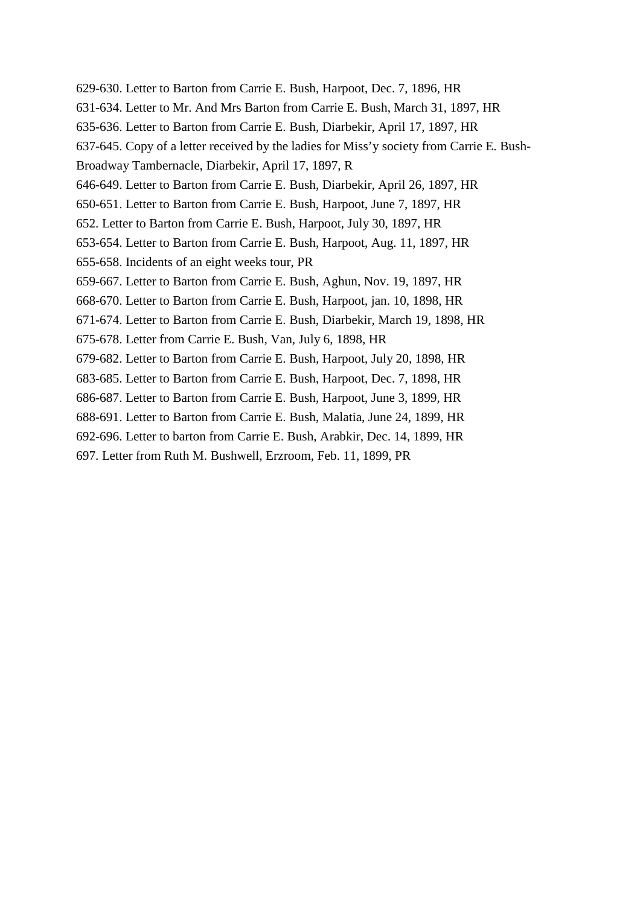629-630. Letter to Barton from Carrie E. Bush, Harpoot, Dec. 7, 1896, HR 631-634. Letter to Mr. And Mrs Barton from Carrie E. Bush, March 31, 1897, HR 635-636. Letter to Barton from Carrie E. Bush, Diarbekir, April 17, 1897, HR 637-645. Copy of a letter received by the ladies for Miss'y society from Carrie E. Bush-Broadway Tambernacle, Diarbekir, April 17, 1897, R 646-649. Letter to Barton from Carrie E. Bush, Diarbekir, April 26, 1897, HR 650-651. Letter to Barton from Carrie E. Bush, Harpoot, June 7, 1897, HR 652. Letter to Barton from Carrie E. Bush, Harpoot, July 30, 1897, HR 653-654. Letter to Barton from Carrie E. Bush, Harpoot, Aug. 11, 1897, HR 655-658. Incidents of an eight weeks tour, PR 659-667. Letter to Barton from Carrie E. Bush, Aghun, Nov. 19, 1897, HR 668-670. Letter to Barton from Carrie E. Bush, Harpoot, jan. 10, 1898, HR 671-674. Letter to Barton from Carrie E. Bush, Diarbekir, March 19, 1898, HR 675-678. Letter from Carrie E. Bush, Van, July 6, 1898, HR 679-682. Letter to Barton from Carrie E. Bush, Harpoot, July 20, 1898, HR 683-685. Letter to Barton from Carrie E. Bush, Harpoot, Dec. 7, 1898, HR 686-687. Letter to Barton from Carrie E. Bush, Harpoot, June 3, 1899, HR 688-691. Letter to Barton from Carrie E. Bush, Malatia, June 24, 1899, HR 692-696. Letter to barton from Carrie E. Bush, Arabkir, Dec. 14, 1899, HR 697. Letter from Ruth M. Bushwell, Erzroom, Feb. 11, 1899, PR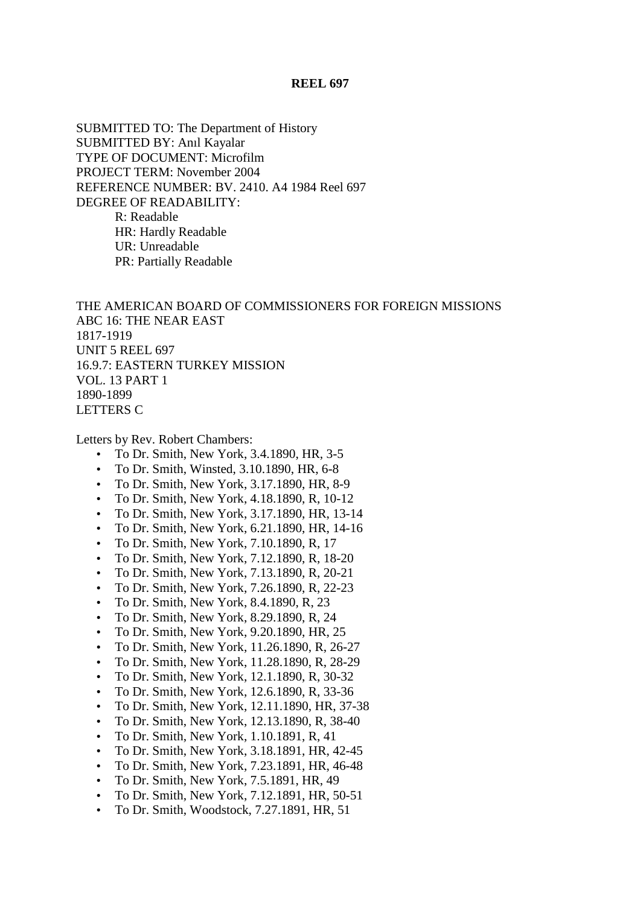#### **REEL 697**

SUBMITTED TO: The Department of History SUBMITTED BY: Anıl Kayalar TYPE OF DOCUMENT: Microfilm PROJECT TERM: November 2004 REFERENCE NUMBER: BV. 2410. A4 1984 Reel 697 DEGREE OF READABILITY: R: Readable HR: Hardly Readable UR: Unreadable PR: Partially Readable

THE AMERICAN BOARD OF COMMISSIONERS FOR FOREIGN MISSIONS ABC 16: THE NEAR EAST 1817-1919 UNIT 5 REEL 697 16.9.7: EASTERN TURKEY MISSION VOL. 13 PART 1 1890-1899 LETTERS C

Letters by Rev. Robert Chambers:

- To Dr. Smith, New York, 3.4.1890, HR, 3-5
- To Dr. Smith, Winsted, 3.10.1890, HR, 6-8
- To Dr. Smith, New York, 3.17.1890, HR, 8-9
- To Dr. Smith, New York, 4.18.1890, R, 10-12
- To Dr. Smith, New York, 3.17.1890, HR, 13-14
- To Dr. Smith, New York, 6.21.1890, HR, 14-16
- To Dr. Smith, New York, 7.10.1890, R, 17
- To Dr. Smith, New York, 7.12.1890, R, 18-20
- To Dr. Smith, New York, 7.13.1890, R, 20-21
- To Dr. Smith, New York, 7.26.1890, R, 22-23
- To Dr. Smith, New York, 8.4.1890, R, 23
- To Dr. Smith, New York, 8.29.1890, R, 24
- To Dr. Smith, New York, 9.20.1890, HR, 25
- To Dr. Smith, New York, 11.26.1890, R, 26-27
- To Dr. Smith, New York, 11.28.1890, R, 28-29
- To Dr. Smith, New York, 12.1.1890, R, 30-32
- To Dr. Smith, New York, 12.6.1890, R, 33-36
- To Dr. Smith, New York, 12.11.1890, HR, 37-38
- To Dr. Smith, New York, 12.13.1890, R, 38-40
- To Dr. Smith, New York, 1.10.1891, R, 41
- To Dr. Smith, New York, 3.18.1891, HR, 42-45
- To Dr. Smith, New York, 7.23.1891, HR, 46-48
- To Dr. Smith, New York, 7.5.1891, HR, 49
- To Dr. Smith, New York, 7.12.1891, HR, 50-51
- To Dr. Smith, Woodstock, 7.27.1891, HR, 51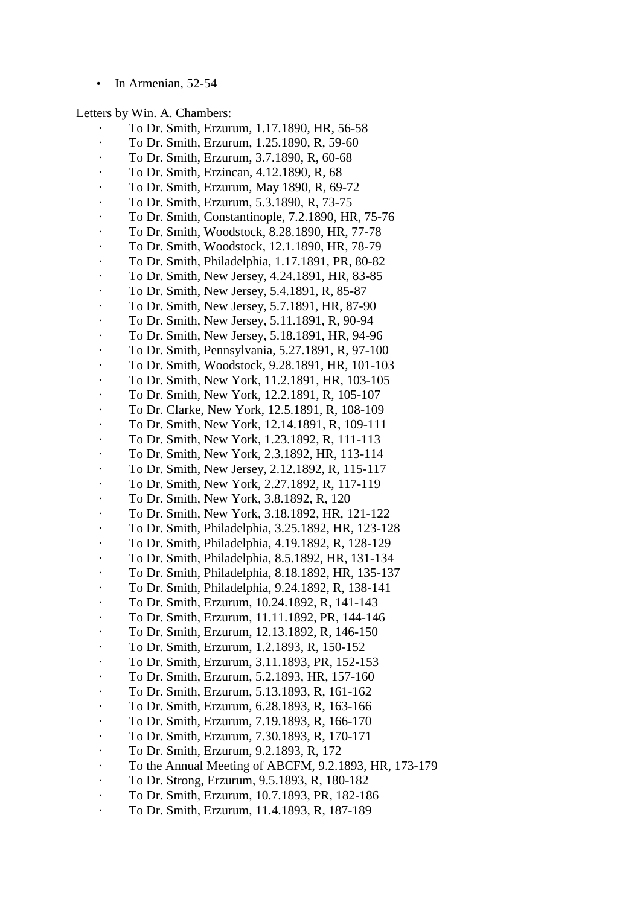In Armenian, 52-54

Letters by Win. A. Chambers:

- · To Dr. Smith, Erzurum, 1.17.1890, HR, 56-58
- · To Dr. Smith, Erzurum, 1.25.1890, R, 59-60
- · To Dr. Smith, Erzurum, 3.7.1890, R, 60-68
- · To Dr. Smith, Erzincan, 4.12.1890, R, 68
- · To Dr. Smith, Erzurum, May 1890, R, 69-72
- · To Dr. Smith, Erzurum, 5.3.1890, R, 73-75
- · To Dr. Smith, Constantinople, 7.2.1890, HR, 75-76
- · To Dr. Smith, Woodstock, 8.28.1890, HR, 77-78
- · To Dr. Smith, Woodstock, 12.1.1890, HR, 78-79
- · To Dr. Smith, Philadelphia, 1.17.1891, PR, 80-82
- · To Dr. Smith, New Jersey, 4.24.1891, HR, 83-85
- · To Dr. Smith, New Jersey, 5.4.1891, R, 85-87
- · To Dr. Smith, New Jersey, 5.7.1891, HR, 87-90
- · To Dr. Smith, New Jersey, 5.11.1891, R, 90-94
- · To Dr. Smith, New Jersey, 5.18.1891, HR, 94-96
- · To Dr. Smith, Pennsylvania, 5.27.1891, R, 97-100
- · To Dr. Smith, Woodstock, 9.28.1891, HR, 101-103
- · To Dr. Smith, New York, 11.2.1891, HR, 103-105
- · To Dr. Smith, New York, 12.2.1891, R, 105-107
- · To Dr. Clarke, New York, 12.5.1891, R, 108-109
- · To Dr. Smith, New York, 12.14.1891, R, 109-111
- · To Dr. Smith, New York, 1.23.1892, R, 111-113
- · To Dr. Smith, New York, 2.3.1892, HR, 113-114 · To Dr. Smith, New Jersey, 2.12.1892, R, 115-117
- · To Dr. Smith, New York, 2.27.1892, R, 117-119
- 
- · To Dr. Smith, New York, 3.8.1892, R, 120
- · To Dr. Smith, New York, 3.18.1892, HR, 121-122
- · To Dr. Smith, Philadelphia, 3.25.1892, HR, 123-128
- · To Dr. Smith, Philadelphia, 4.19.1892, R, 128-129
- · To Dr. Smith, Philadelphia, 8.5.1892, HR, 131-134
- · To Dr. Smith, Philadelphia, 8.18.1892, HR, 135-137
- · To Dr. Smith, Philadelphia, 9.24.1892, R, 138-141
- · To Dr. Smith, Erzurum, 10.24.1892, R, 141-143
- · To Dr. Smith, Erzurum, 11.11.1892, PR, 144-146
- · To Dr. Smith, Erzurum, 12.13.1892, R, 146-150
- · To Dr. Smith, Erzurum, 1.2.1893, R, 150-152
- · To Dr. Smith, Erzurum, 3.11.1893, PR, 152-153
- · To Dr. Smith, Erzurum, 5.2.1893, HR, 157-160
- · To Dr. Smith, Erzurum, 5.13.1893, R, 161-162
- · To Dr. Smith, Erzurum, 6.28.1893, R, 163-166
- · To Dr. Smith, Erzurum, 7.19.1893, R, 166-170
- · To Dr. Smith, Erzurum, 7.30.1893, R, 170-171
- · To Dr. Smith, Erzurum, 9.2.1893, R, 172
- · To the Annual Meeting of ABCFM, 9.2.1893, HR, 173-179
- · To Dr. Strong, Erzurum, 9.5.1893, R, 180-182
- · To Dr. Smith, Erzurum, 10.7.1893, PR, 182-186
- · To Dr. Smith, Erzurum, 11.4.1893, R, 187-189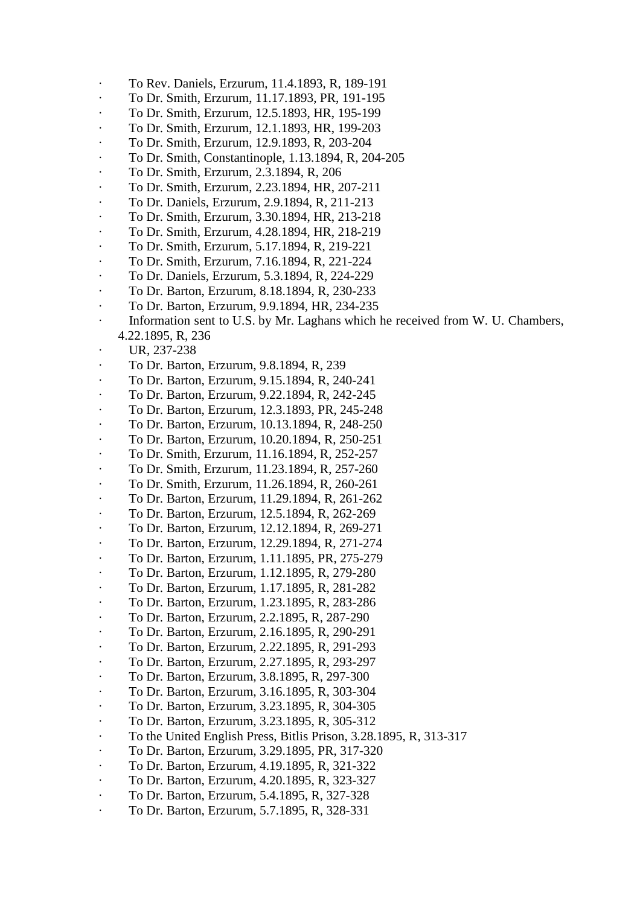- · To Rev. Daniels, Erzurum, 11.4.1893, R, 189-191
- · To Dr. Smith, Erzurum, 11.17.1893, PR, 191-195
- · To Dr. Smith, Erzurum, 12.5.1893, HR, 195-199
- · To Dr. Smith, Erzurum, 12.1.1893, HR, 199-203
- · To Dr. Smith, Erzurum, 12.9.1893, R, 203-204
- · To Dr. Smith, Constantinople, 1.13.1894, R, 204-205
- · To Dr. Smith, Erzurum, 2.3.1894, R, 206
- · To Dr. Smith, Erzurum, 2.23.1894, HR, 207-211
- · To Dr. Daniels, Erzurum, 2.9.1894, R, 211-213
- · To Dr. Smith, Erzurum, 3.30.1894, HR, 213-218
- · To Dr. Smith, Erzurum, 4.28.1894, HR, 218-219
- · To Dr. Smith, Erzurum, 5.17.1894, R, 219-221
- · To Dr. Smith, Erzurum, 7.16.1894, R, 221-224
- · To Dr. Daniels, Erzurum, 5.3.1894, R, 224-229
- · To Dr. Barton, Erzurum, 8.18.1894, R, 230-233
- · To Dr. Barton, Erzurum, 9.9.1894, HR, 234-235
- · Information sent to U.S. by Mr. Laghans which he received from W. U. Chambers,
- 4.22.1895, R, 236
	- UR, 237-238
- · To Dr. Barton, Erzurum, 9.8.1894, R, 239
- · To Dr. Barton, Erzurum, 9.15.1894, R, 240-241
- · To Dr. Barton, Erzurum, 9.22.1894, R, 242-245
- · To Dr. Barton, Erzurum, 12.3.1893, PR, 245-248
- · To Dr. Barton, Erzurum, 10.13.1894, R, 248-250
- · To Dr. Barton, Erzurum, 10.20.1894, R, 250-251
- · To Dr. Smith, Erzurum, 11.16.1894, R, 252-257
- · To Dr. Smith, Erzurum, 11.23.1894, R, 257-260
- · To Dr. Smith, Erzurum, 11.26.1894, R, 260-261
- · To Dr. Barton, Erzurum, 11.29.1894, R, 261-262
- · To Dr. Barton, Erzurum, 12.5.1894, R, 262-269
- · To Dr. Barton, Erzurum, 12.12.1894, R, 269-271
- · To Dr. Barton, Erzurum, 12.29.1894, R, 271-274
- · To Dr. Barton, Erzurum, 1.11.1895, PR, 275-279
- · To Dr. Barton, Erzurum, 1.12.1895, R, 279-280
- · To Dr. Barton, Erzurum, 1.17.1895, R, 281-282
- · To Dr. Barton, Erzurum, 1.23.1895, R, 283-286
- · To Dr. Barton, Erzurum, 2.2.1895, R, 287-290
- · To Dr. Barton, Erzurum, 2.16.1895, R, 290-291
- · To Dr. Barton, Erzurum, 2.22.1895, R, 291-293
- · To Dr. Barton, Erzurum, 2.27.1895, R, 293-297
- · To Dr. Barton, Erzurum, 3.8.1895, R, 297-300
- · To Dr. Barton, Erzurum, 3.16.1895, R, 303-304
- · To Dr. Barton, Erzurum, 3.23.1895, R, 304-305
- · To Dr. Barton, Erzurum, 3.23.1895, R, 305-312
- · To the United English Press, Bitlis Prison, 3.28.1895, R, 313-317
- · To Dr. Barton, Erzurum, 3.29.1895, PR, 317-320
- · To Dr. Barton, Erzurum, 4.19.1895, R, 321-322
- · To Dr. Barton, Erzurum, 4.20.1895, R, 323-327
- · To Dr. Barton, Erzurum, 5.4.1895, R, 327-328
- · To Dr. Barton, Erzurum, 5.7.1895, R, 328-331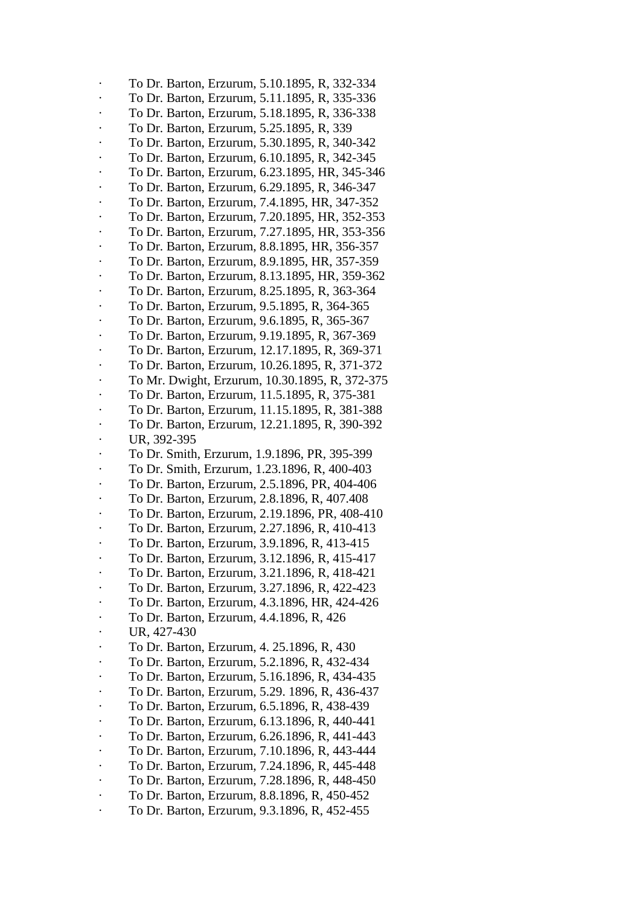· To Dr. Barton, Erzurum, 5.10.1895, R, 332-334 · To Dr. Barton, Erzurum, 5.11.1895, R, 335-336 · To Dr. Barton, Erzurum, 5.18.1895, R, 336-338 · To Dr. Barton, Erzurum, 5.25.1895, R, 339 · To Dr. Barton, Erzurum, 5.30.1895, R, 340-342 · To Dr. Barton, Erzurum, 6.10.1895, R, 342-345 · To Dr. Barton, Erzurum, 6.23.1895, HR, 345-346 · To Dr. Barton, Erzurum, 6.29.1895, R, 346-347 · To Dr. Barton, Erzurum, 7.4.1895, HR, 347-352 · To Dr. Barton, Erzurum, 7.20.1895, HR, 352-353 · To Dr. Barton, Erzurum, 7.27.1895, HR, 353-356 · To Dr. Barton, Erzurum, 8.8.1895, HR, 356-357 · To Dr. Barton, Erzurum, 8.9.1895, HR, 357-359 · To Dr. Barton, Erzurum, 8.13.1895, HR, 359-362 · To Dr. Barton, Erzurum, 8.25.1895, R, 363-364 · To Dr. Barton, Erzurum, 9.5.1895, R, 364-365 · To Dr. Barton, Erzurum, 9.6.1895, R, 365-367 · To Dr. Barton, Erzurum, 9.19.1895, R, 367-369 · To Dr. Barton, Erzurum, 12.17.1895, R, 369-371 · To Dr. Barton, Erzurum, 10.26.1895, R, 371-372 · To Mr. Dwight, Erzurum, 10.30.1895, R, 372-375 · To Dr. Barton, Erzurum, 11.5.1895, R, 375-381 · To Dr. Barton, Erzurum, 11.15.1895, R, 381-388 · To Dr. Barton, Erzurum, 12.21.1895, R, 390-392 UR, 392-395 · To Dr. Smith, Erzurum, 1.9.1896, PR, 395-399 · To Dr. Smith, Erzurum, 1.23.1896, R, 400-403 · To Dr. Barton, Erzurum, 2.5.1896, PR, 404-406 · To Dr. Barton, Erzurum, 2.8.1896, R, 407.408 · To Dr. Barton, Erzurum, 2.19.1896, PR, 408-410 · To Dr. Barton, Erzurum, 2.27.1896, R, 410-413 · To Dr. Barton, Erzurum, 3.9.1896, R, 413-415 · To Dr. Barton, Erzurum, 3.12.1896, R, 415-417 · To Dr. Barton, Erzurum, 3.21.1896, R, 418-421 · To Dr. Barton, Erzurum, 3.27.1896, R, 422-423 · To Dr. Barton, Erzurum, 4.3.1896, HR, 424-426 · To Dr. Barton, Erzurum, 4.4.1896, R, 426 UR, 427-430 · To Dr. Barton, Erzurum, 4. 25.1896, R, 430 · To Dr. Barton, Erzurum, 5.2.1896, R, 432-434 · To Dr. Barton, Erzurum, 5.16.1896, R, 434-435 · To Dr. Barton, Erzurum, 5.29. 1896, R, 436-437 · To Dr. Barton, Erzurum, 6.5.1896, R, 438-439 · To Dr. Barton, Erzurum, 6.13.1896, R, 440-441 · To Dr. Barton, Erzurum, 6.26.1896, R, 441-443 · To Dr. Barton, Erzurum, 7.10.1896, R, 443-444 · To Dr. Barton, Erzurum, 7.24.1896, R, 445-448 · To Dr. Barton, Erzurum, 7.28.1896, R, 448-450 · To Dr. Barton, Erzurum, 8.8.1896, R, 450-452 · To Dr. Barton, Erzurum, 9.3.1896, R, 452-455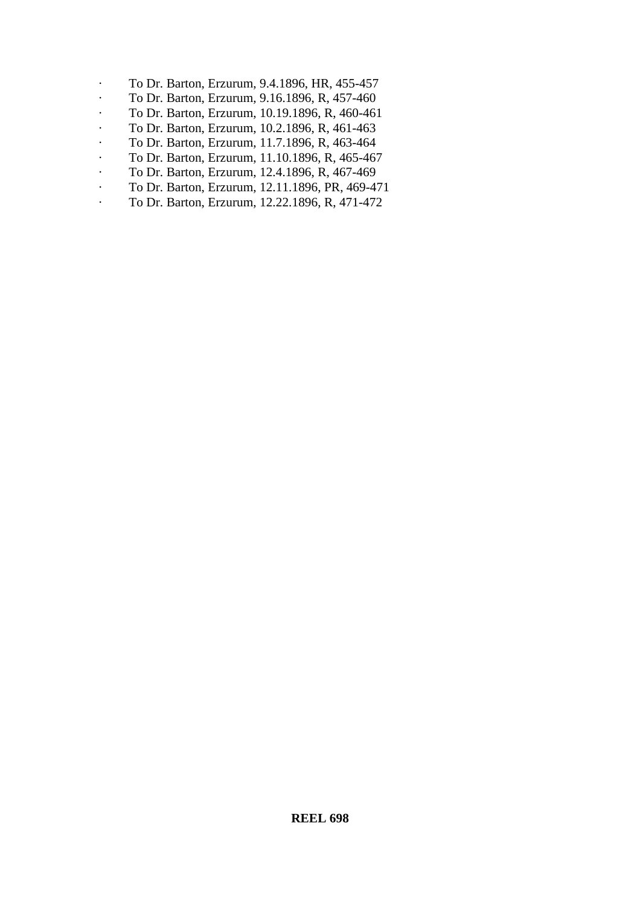- · To Dr. Barton, Erzurum, 9.4.1896, HR, 455-457
- · To Dr. Barton, Erzurum, 9.16.1896, R, 457-460
- · To Dr. Barton, Erzurum, 10.19.1896, R, 460-461
- · To Dr. Barton, Erzurum, 10.2.1896, R, 461-463
- · To Dr. Barton, Erzurum, 11.7.1896, R, 463-464
- · To Dr. Barton, Erzurum, 11.10.1896, R, 465-467
- · To Dr. Barton, Erzurum, 12.4.1896, R, 467-469
- · To Dr. Barton, Erzurum, 12.11.1896, PR, 469-471
- · To Dr. Barton, Erzurum, 12.22.1896, R, 471-472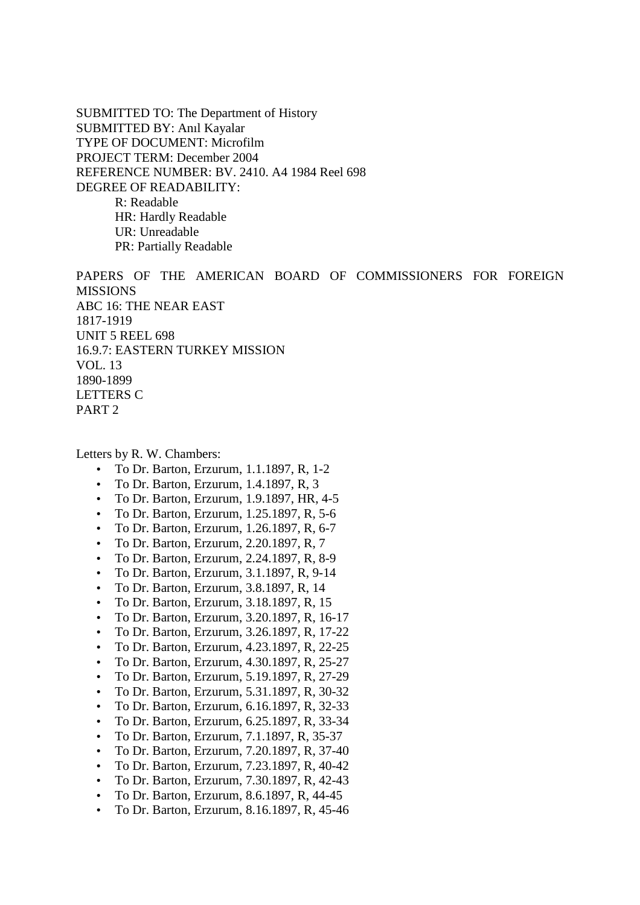SUBMITTED TO: The Department of History SUBMITTED BY: Anıl Kayalar TYPE OF DOCUMENT: Microfilm PROJECT TERM: December 2004 REFERENCE NUMBER: BV. 2410. A4 1984 Reel 698 DEGREE OF READABILITY: R: Readable HR: Hardly Readable UR: Unreadable PR: Partially Readable

PAPERS OF THE AMERICAN BOARD OF COMMISSIONERS FOR FOREIGN MISSIONS ABC 16: THE NEAR EAST 1817-1919 UNIT 5 REEL 698 16.9.7: EASTERN TURKEY MISSION VOL. 13 1890-1899 LETTERS C PART 2

Letters by R. W. Chambers:

- To Dr. Barton, Erzurum, 1.1.1897, R, 1-2
- To Dr. Barton, Erzurum, 1.4.1897, R, 3
- To Dr. Barton, Erzurum, 1.9.1897, HR, 4-5
- To Dr. Barton, Erzurum, 1.25.1897, R, 5-6
- To Dr. Barton, Erzurum, 1.26.1897, R, 6-7
- To Dr. Barton, Erzurum, 2.20.1897, R, 7
- To Dr. Barton, Erzurum, 2.24.1897, R, 8-9
- To Dr. Barton, Erzurum, 3.1.1897, R, 9-14
- To Dr. Barton, Erzurum, 3.8.1897, R, 14
- To Dr. Barton, Erzurum, 3.18.1897, R, 15
- To Dr. Barton, Erzurum, 3.20.1897, R, 16-17
- To Dr. Barton, Erzurum, 3.26.1897, R, 17-22
- To Dr. Barton, Erzurum, 4.23.1897, R, 22-25
- To Dr. Barton, Erzurum, 4.30.1897, R, 25-27
- To Dr. Barton, Erzurum, 5.19.1897, R, 27-29
- To Dr. Barton, Erzurum, 5.31.1897, R, 30-32
- To Dr. Barton, Erzurum, 6.16.1897, R, 32-33
- To Dr. Barton, Erzurum, 6.25.1897, R, 33-34
- To Dr. Barton, Erzurum, 7.1.1897, R, 35-37
- To Dr. Barton, Erzurum, 7.20.1897, R, 37-40
- To Dr. Barton, Erzurum, 7.23.1897, R, 40-42
- To Dr. Barton, Erzurum, 7.30.1897, R, 42-43
- To Dr. Barton, Erzurum, 8.6.1897, R, 44-45
- To Dr. Barton, Erzurum, 8.16.1897, R, 45-46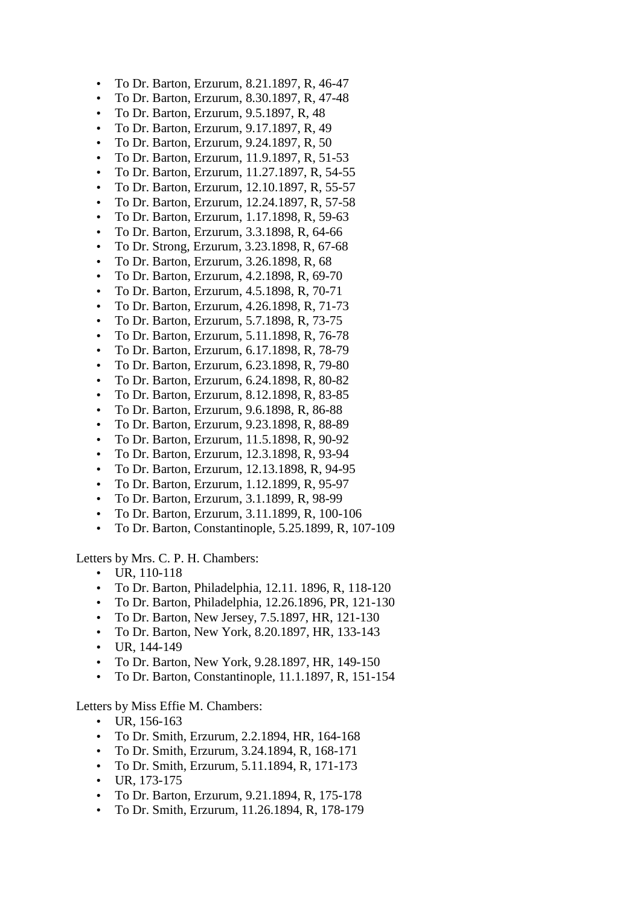- To Dr. Barton, Erzurum, 8.21.1897, R, 46-47
- To Dr. Barton, Erzurum, 8.30.1897, R, 47-48
- To Dr. Barton, Erzurum, 9.5.1897, R, 48
- To Dr. Barton, Erzurum, 9.17.1897, R, 49
- To Dr. Barton, Erzurum, 9.24.1897, R, 50
- To Dr. Barton, Erzurum, 11.9.1897, R, 51-53
- To Dr. Barton, Erzurum, 11.27.1897, R, 54-55
- To Dr. Barton, Erzurum, 12.10.1897, R, 55-57
- To Dr. Barton, Erzurum, 12.24.1897, R, 57-58
- To Dr. Barton, Erzurum, 1.17.1898, R, 59-63
- To Dr. Barton, Erzurum, 3.3.1898, R, 64-66
- To Dr. Strong, Erzurum, 3.23.1898, R, 67-68
- To Dr. Barton, Erzurum, 3.26.1898, R, 68
- To Dr. Barton, Erzurum, 4.2.1898, R, 69-70
- To Dr. Barton, Erzurum, 4.5.1898, R, 70-71
- To Dr. Barton, Erzurum, 4.26.1898, R, 71-73
- To Dr. Barton, Erzurum, 5.7.1898, R, 73-75
- To Dr. Barton, Erzurum, 5.11.1898, R, 76-78
- To Dr. Barton, Erzurum, 6.17.1898, R, 78-79
- To Dr. Barton, Erzurum, 6.23.1898, R, 79-80
- To Dr. Barton, Erzurum, 6.24.1898, R, 80-82
- To Dr. Barton, Erzurum, 8.12.1898, R, 83-85
- To Dr. Barton, Erzurum, 9.6.1898, R, 86-88
- To Dr. Barton, Erzurum, 9.23.1898, R, 88-89
- To Dr. Barton, Erzurum, 11.5.1898, R, 90-92
- To Dr. Barton, Erzurum, 12.3.1898, R, 93-94
- To Dr. Barton, Erzurum, 12.13.1898, R, 94-95
- To Dr. Barton, Erzurum, 1.12.1899, R, 95-97
- To Dr. Barton, Erzurum, 3.1.1899, R, 98-99
- To Dr. Barton, Erzurum, 3.11.1899, R, 100-106
- To Dr. Barton, Constantinople, 5.25.1899, R, 107-109

Letters by Mrs. C. P. H. Chambers:

- UR, 110-118
- To Dr. Barton, Philadelphia, 12.11. 1896, R, 118-120
- To Dr. Barton, Philadelphia, 12.26.1896, PR, 121-130
- To Dr. Barton, New Jersey, 7.5.1897, HR, 121-130
- To Dr. Barton, New York, 8.20.1897, HR, 133-143
- UR, 144-149
- To Dr. Barton, New York, 9.28.1897, HR, 149-150
- To Dr. Barton, Constantinople, 11.1.1897, R, 151-154

Letters by Miss Effie M. Chambers:

- UR, 156-163
- To Dr. Smith, Erzurum, 2.2.1894, HR, 164-168
- To Dr. Smith, Erzurum, 3.24.1894, R, 168-171
- To Dr. Smith, Erzurum, 5.11.1894, R, 171-173
- UR, 173-175
- To Dr. Barton, Erzurum, 9.21.1894, R, 175-178
- To Dr. Smith, Erzurum, 11.26.1894, R, 178-179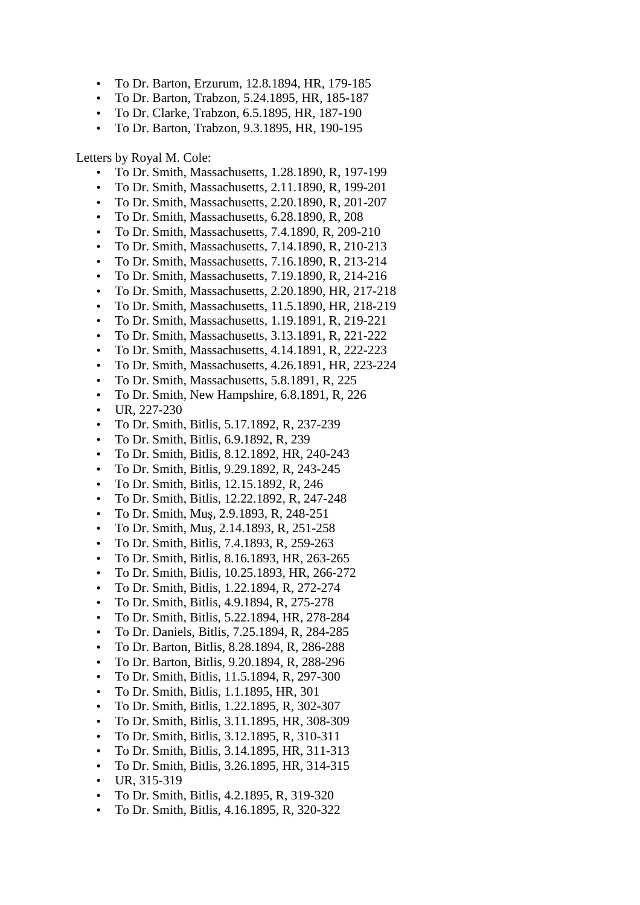- To Dr. Barton, Erzurum, 12.8.1894, HR, 179-185
- To Dr. Barton, Trabzon, 5.24.1895, HR, 185-187
- To Dr. Clarke, Trabzon, 6.5.1895, HR, 187-190
- To Dr. Barton, Trabzon, 9.3.1895, HR, 190-195

#### Letters by Royal M. Cole:

- To Dr. Smith, Massachusetts, 1.28.1890, R, 197-199
- To Dr. Smith, Massachusetts, 2.11.1890, R, 199-201
- To Dr. Smith, Massachusetts, 2.20.1890, R, 201-207
- To Dr. Smith, Massachusetts, 6.28.1890, R, 208
- To Dr. Smith, Massachusetts, 7.4.1890, R, 209-210
- To Dr. Smith, Massachusetts, 7.14.1890, R, 210-213
- To Dr. Smith, Massachusetts, 7.16.1890, R, 213-214
- To Dr. Smith, Massachusetts, 7.19.1890, R, 214-216
- To Dr. Smith, Massachusetts, 2.20.1890, HR, 217-218
- To Dr. Smith, Massachusetts, 11.5.1890, HR, 218-219
- To Dr. Smith, Massachusetts, 1.19.1891, R, 219-221
- To Dr. Smith, Massachusetts, 3.13.1891, R, 221-222
- To Dr. Smith, Massachusetts, 4.14.1891, R, 222-223
- To Dr. Smith, Massachusetts, 4.26.1891, HR, 223-224
- To Dr. Smith, Massachusetts, 5.8.1891, R, 225
- To Dr. Smith, New Hampshire, 6.8.1891, R, 226
- UR, 227-230
- To Dr. Smith, Bitlis, 5.17.1892, R, 237-239
- To Dr. Smith, Bitlis, 6.9.1892, R, 239
- To Dr. Smith, Bitlis, 8.12.1892, HR, 240-243
- To Dr. Smith, Bitlis, 9.29.1892, R, 243-245
- To Dr. Smith, Bitlis, 12.15.1892, R, 246
- To Dr. Smith, Bitlis, 12.22.1892, R, 247-248
- To Dr. Smith, Muş, 2.9.1893, R, 248-251
- To Dr. Smith, Muş, 2.14.1893, R, 251-258
- To Dr. Smith, Bitlis, 7.4.1893, R, 259-263
- To Dr. Smith, Bitlis, 8.16.1893, HR, 263-265
- To Dr. Smith, Bitlis, 10.25.1893, HR, 266-272
- To Dr. Smith, Bitlis, 1.22.1894, R, 272-274
- To Dr. Smith, Bitlis, 4.9.1894, R, 275-278
- To Dr. Smith, Bitlis, 5.22.1894, HR, 278-284
- To Dr. Daniels, Bitlis, 7.25.1894, R, 284-285
- To Dr. Barton, Bitlis, 8.28.1894, R, 286-288
- To Dr. Barton, Bitlis, 9.20.1894, R, 288-296
- To Dr. Smith, Bitlis, 11.5.1894, R, 297-300
- To Dr. Smith, Bitlis, 1.1.1895, HR, 301
- To Dr. Smith, Bitlis, 1.22.1895, R, 302-307
- To Dr. Smith, Bitlis, 3.11.1895, HR, 308-309
- To Dr. Smith, Bitlis, 3.12.1895, R, 310-311
- To Dr. Smith, Bitlis, 3.14.1895, HR, 311-313
- To Dr. Smith, Bitlis, 3.26.1895, HR, 314-315
- UR, 315-319
- To Dr. Smith, Bitlis, 4.2.1895, R, 319-320
- To Dr. Smith, Bitlis, 4.16.1895, R, 320-322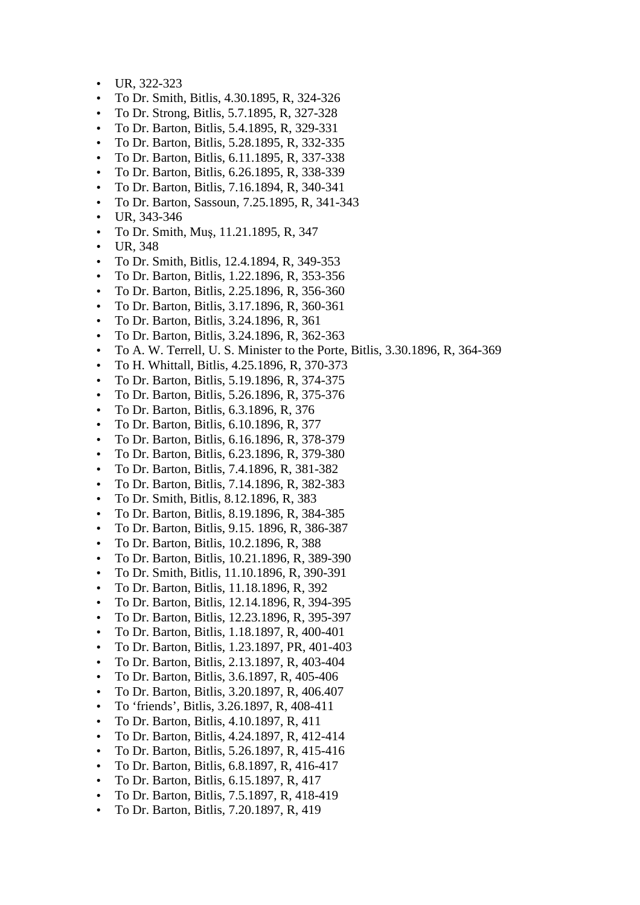- UR, 322-323
- To Dr. Smith, Bitlis, 4.30.1895, R, 324-326
- To Dr. Strong, Bitlis, 5.7.1895, R, 327-328
- To Dr. Barton, Bitlis, 5.4.1895, R, 329-331
- To Dr. Barton, Bitlis, 5.28.1895, R, 332-335
- To Dr. Barton, Bitlis, 6.11.1895, R, 337-338
- To Dr. Barton, Bitlis, 6.26.1895, R, 338-339
- To Dr. Barton, Bitlis, 7.16.1894, R, 340-341
- To Dr. Barton, Sassoun, 7.25.1895, R, 341-343
- UR, 343-346
- To Dr. Smith, Muş, 11.21.1895, R, 347
- UR, 348
- To Dr. Smith, Bitlis, 12.4.1894, R, 349-353
- To Dr. Barton, Bitlis, 1.22.1896, R, 353-356
- To Dr. Barton, Bitlis, 2.25.1896, R, 356-360
- To Dr. Barton, Bitlis, 3.17.1896, R, 360-361
- To Dr. Barton, Bitlis, 3.24.1896, R, 361
- To Dr. Barton, Bitlis, 3.24.1896, R, 362-363
- To A. W. Terrell, U. S. Minister to the Porte, Bitlis, 3.30.1896, R, 364-369
- To H. Whittall, Bitlis, 4.25.1896, R, 370-373
- To Dr. Barton, Bitlis, 5.19.1896, R, 374-375
- To Dr. Barton, Bitlis, 5.26.1896, R, 375-376
- To Dr. Barton, Bitlis, 6.3.1896, R, 376
- To Dr. Barton, Bitlis, 6.10.1896, R, 377
- To Dr. Barton, Bitlis, 6.16.1896, R, 378-379
- To Dr. Barton, Bitlis, 6.23.1896, R, 379-380
- To Dr. Barton, Bitlis, 7.4.1896, R, 381-382
- To Dr. Barton, Bitlis, 7.14.1896, R, 382-383
- To Dr. Smith, Bitlis, 8.12.1896, R, 383
- To Dr. Barton, Bitlis, 8.19.1896, R, 384-385
- To Dr. Barton, Bitlis, 9.15. 1896, R, 386-387
- To Dr. Barton, Bitlis, 10.2.1896, R, 388
- To Dr. Barton, Bitlis, 10.21.1896, R, 389-390
- To Dr. Smith, Bitlis, 11.10.1896, R, 390-391
- To Dr. Barton, Bitlis, 11.18.1896, R, 392
- To Dr. Barton, Bitlis, 12.14.1896, R, 394-395
- To Dr. Barton, Bitlis, 12.23.1896, R, 395-397
- To Dr. Barton, Bitlis, 1.18.1897, R, 400-401
- To Dr. Barton, Bitlis, 1.23.1897, PR, 401-403
- To Dr. Barton, Bitlis, 2.13.1897, R, 403-404
- To Dr. Barton, Bitlis, 3.6.1897, R, 405-406
- To Dr. Barton, Bitlis, 3.20.1897, R, 406.407
- To 'friends', Bitlis, 3.26.1897, R, 408-411
- To Dr. Barton, Bitlis, 4.10.1897, R, 411
- To Dr. Barton, Bitlis, 4.24.1897, R, 412-414
- To Dr. Barton, Bitlis, 5.26.1897, R, 415-416
- To Dr. Barton, Bitlis, 6.8.1897, R, 416-417
- To Dr. Barton, Bitlis, 6.15.1897, R, 417
- To Dr. Barton, Bitlis, 7.5.1897, R, 418-419
- To Dr. Barton, Bitlis, 7.20.1897, R, 419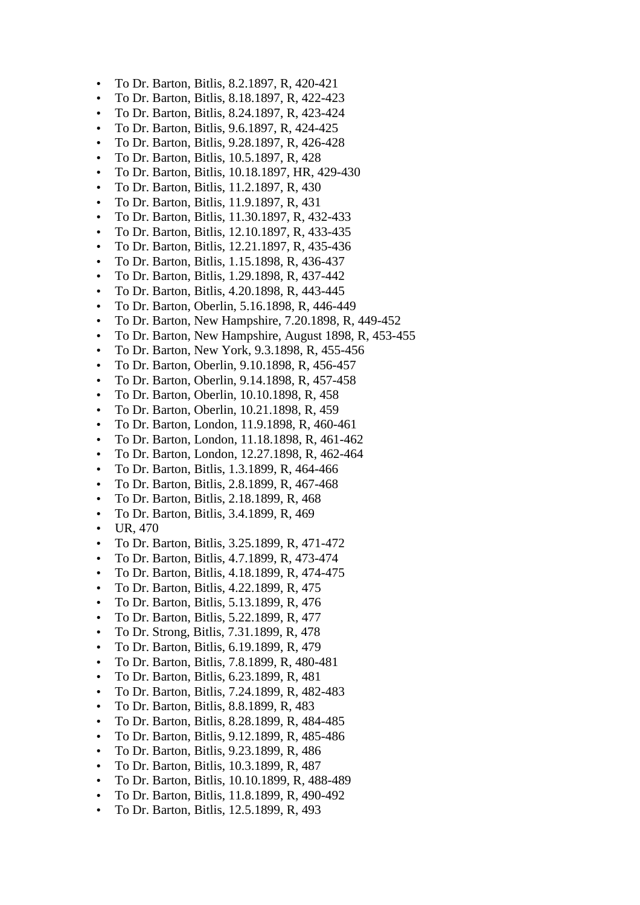- To Dr. Barton, Bitlis, 8.2.1897, R, 420-421
- To Dr. Barton, Bitlis, 8.18.1897, R, 422-423
- To Dr. Barton, Bitlis, 8.24.1897, R, 423-424
- To Dr. Barton, Bitlis, 9.6.1897, R, 424-425
- To Dr. Barton, Bitlis, 9.28.1897, R, 426-428
- To Dr. Barton, Bitlis, 10.5.1897, R, 428
- To Dr. Barton, Bitlis, 10.18.1897, HR, 429-430
- To Dr. Barton, Bitlis, 11.2.1897, R, 430
- To Dr. Barton, Bitlis, 11.9.1897, R, 431
- To Dr. Barton, Bitlis, 11.30.1897, R, 432-433
- To Dr. Barton, Bitlis, 12.10.1897, R, 433-435
- To Dr. Barton, Bitlis, 12.21.1897, R, 435-436
- To Dr. Barton, Bitlis, 1.15.1898, R, 436-437
- To Dr. Barton, Bitlis, 1.29.1898, R, 437-442
- To Dr. Barton, Bitlis, 4.20.1898, R, 443-445
- To Dr. Barton, Oberlin, 5.16.1898, R, 446-449
- To Dr. Barton, New Hampshire, 7.20.1898, R, 449-452
- To Dr. Barton, New Hampshire, August 1898, R, 453-455
- To Dr. Barton, New York, 9.3.1898, R, 455-456
- To Dr. Barton, Oberlin, 9.10.1898, R, 456-457
- To Dr. Barton, Oberlin, 9.14.1898, R, 457-458
- To Dr. Barton, Oberlin, 10.10.1898, R, 458
- To Dr. Barton, Oberlin, 10.21.1898, R, 459
- To Dr. Barton, London, 11.9.1898, R, 460-461
- To Dr. Barton, London, 11.18.1898, R, 461-462
- To Dr. Barton, London, 12.27.1898, R, 462-464
- To Dr. Barton, Bitlis, 1.3.1899, R, 464-466
- To Dr. Barton, Bitlis, 2.8.1899, R, 467-468
- To Dr. Barton, Bitlis, 2.18.1899, R, 468
- To Dr. Barton, Bitlis, 3.4.1899, R, 469
- UR, 470
- To Dr. Barton, Bitlis, 3.25.1899, R, 471-472
- To Dr. Barton, Bitlis, 4.7.1899, R, 473-474
- To Dr. Barton, Bitlis, 4.18.1899, R, 474-475
- To Dr. Barton, Bitlis, 4.22.1899, R, 475
- To Dr. Barton, Bitlis, 5.13.1899, R, 476
- To Dr. Barton, Bitlis, 5.22.1899, R, 477
- To Dr. Strong, Bitlis, 7.31.1899, R, 478
- To Dr. Barton, Bitlis, 6.19.1899, R, 479
- To Dr. Barton, Bitlis, 7.8.1899, R, 480-481
- To Dr. Barton, Bitlis, 6.23.1899, R, 481
- To Dr. Barton, Bitlis, 7.24.1899, R, 482-483
- To Dr. Barton, Bitlis, 8.8.1899, R, 483
- To Dr. Barton, Bitlis, 8.28.1899, R, 484-485
- To Dr. Barton, Bitlis, 9.12.1899, R, 485-486
- To Dr. Barton, Bitlis, 9.23.1899, R, 486
- To Dr. Barton, Bitlis, 10.3.1899, R, 487
- To Dr. Barton, Bitlis, 10.10.1899, R, 488-489
- To Dr. Barton, Bitlis, 11.8.1899, R, 490-492
- To Dr. Barton, Bitlis, 12.5.1899, R, 493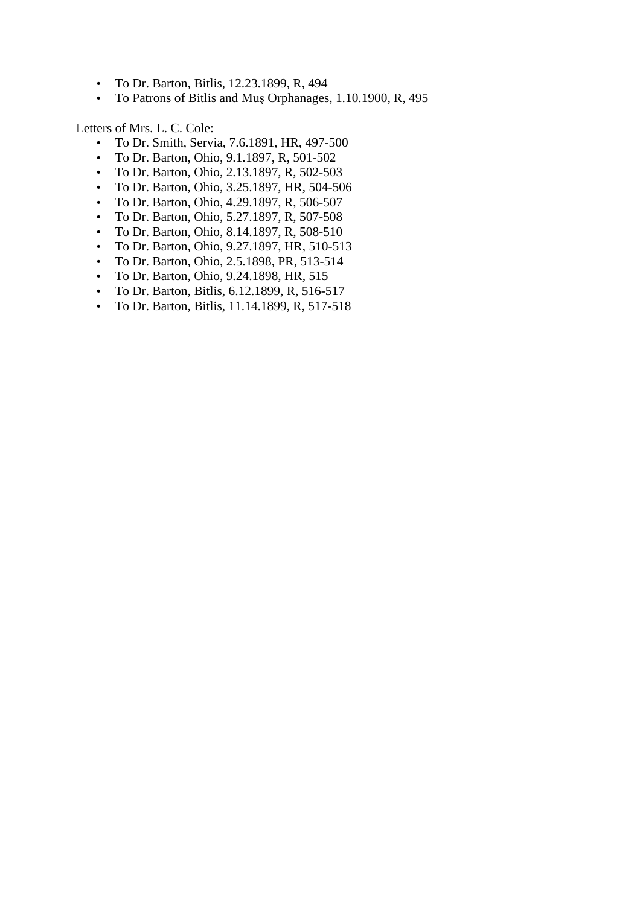- To Dr. Barton, Bitlis, 12.23.1899, R, 494
- To Patrons of Bitlis and Muş Orphanages, 1.10.1900, R, 495

Letters of Mrs. L. C. Cole:

- To Dr. Smith, Servia, 7.6.1891, HR, 497-500
- To Dr. Barton, Ohio, 9.1.1897, R, 501-502
- To Dr. Barton, Ohio, 2.13.1897, R, 502-503
- To Dr. Barton, Ohio, 3.25.1897, HR, 504-506
- To Dr. Barton, Ohio, 4.29.1897, R, 506-507
- To Dr. Barton, Ohio, 5.27.1897, R, 507-508
- To Dr. Barton, Ohio, 8.14.1897, R, 508-510
- To Dr. Barton, Ohio, 9.27.1897, HR, 510-513
- To Dr. Barton, Ohio, 2.5.1898, PR, 513-514
- To Dr. Barton, Ohio, 9.24.1898, HR, 515
- To Dr. Barton, Bitlis, 6.12.1899, R, 516-517
- To Dr. Barton, Bitlis, 11.14.1899, R, 517-518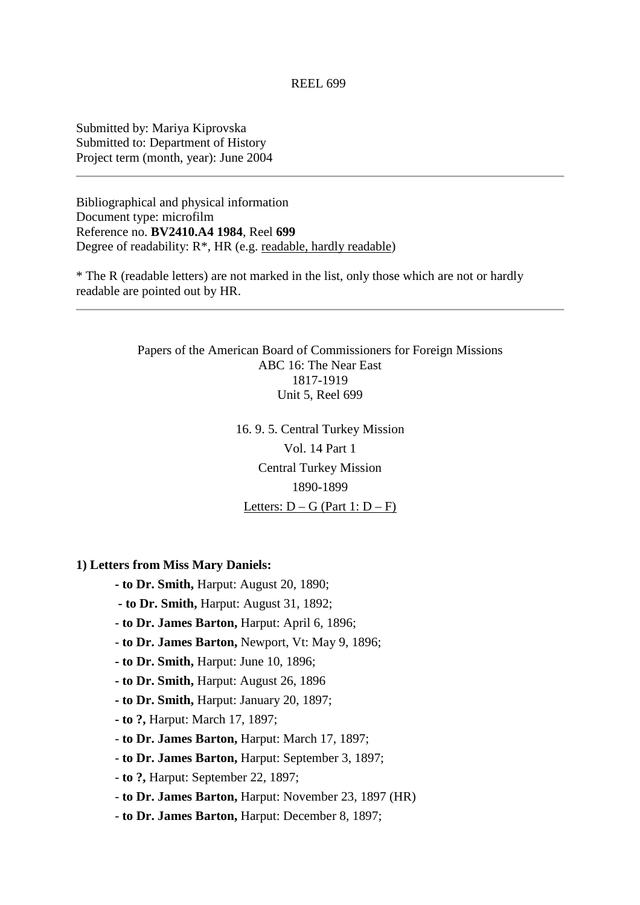### REEL 699

Submitted by: Mariya Kiprovska Submitted to: Department of History Project term (month, year): June 2004

Bibliographical and physical information Document type: microfilm Reference no. **BV2410.A4 1984**, Reel **699** Degree of readability:  $R^*$ , HR (e.g. readable, hardly readable)

\* The R (readable letters) are not marked in the list, only those which are not or hardly readable are pointed out by HR.

> Papers of the American Board of Commissioners for Foreign Missions ABC 16: The Near East 1817-1919 Unit 5, Reel 699

> > 16. 9. 5. Central Turkey Mission Vol. 14 Part 1 Central Turkey Mission 1890-1899 Letters:  $D - G$  (Part 1:  $D - F$ )

**1) Letters from Miss Mary Daniels:**

 **- to Dr. Smith,** Harput: August 20, 1890;

- **to Dr. Smith,** Harput: August 31, 1892;
- **to Dr. James Barton,** Harput: April 6, 1896;
- **to Dr. James Barton,** Newport, Vt: May 9, 1896;
- **to Dr. Smith,** Harput: June 10, 1896;
- **to Dr. Smith,** Harput: August 26, 1896
- **to Dr. Smith,** Harput: January 20, 1897;
- **to ?,** Harput: March 17, 1897;
- **to Dr. James Barton,** Harput: March 17, 1897;
- **to Dr. James Barton,** Harput: September 3, 1897;
- **to ?,** Harput: September 22, 1897;
- **to Dr. James Barton,** Harput: November 23, 1897 (HR)
- **to Dr. James Barton,** Harput: December 8, 1897;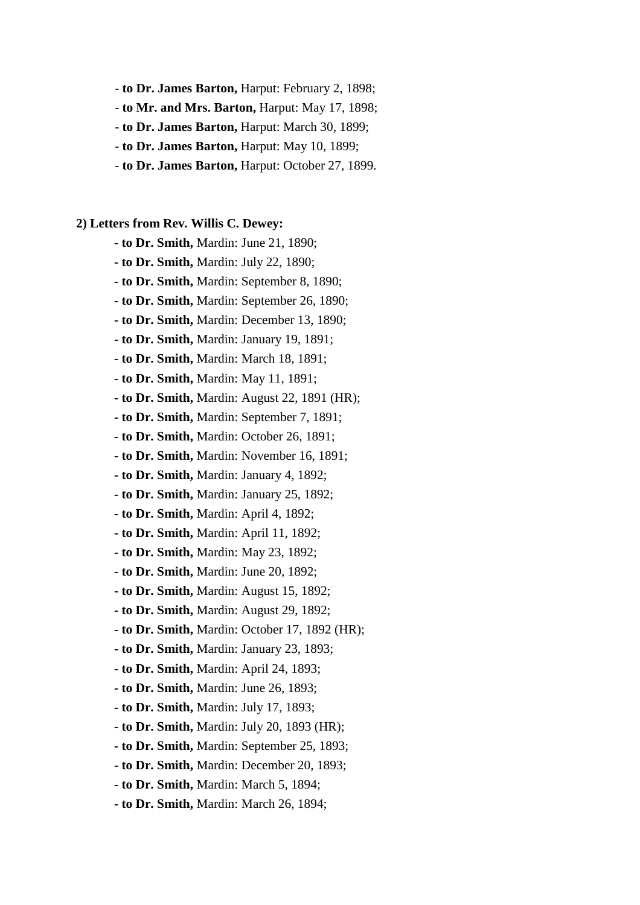- **to Dr. James Barton,** Harput: February 2, 1898;
- **to Mr. and Mrs. Barton,** Harput: May 17, 1898;
- **to Dr. James Barton,** Harput: March 30, 1899;
- **to Dr. James Barton,** Harput: May 10, 1899;
- **to Dr. James Barton,** Harput: October 27, 1899.
- **2) Letters from Rev. Willis C. Dewey:**
	- **to Dr. Smith,** Mardin: June 21, 1890;
	- **to Dr. Smith,** Mardin: July 22, 1890;
	- **to Dr. Smith,** Mardin: September 8, 1890;
	- **to Dr. Smith,** Mardin: September 26, 1890;
	- **to Dr. Smith,** Mardin: December 13, 1890;
	- **to Dr. Smith,** Mardin: January 19, 1891;
	- **to Dr. Smith,** Mardin: March 18, 1891;
	- **to Dr. Smith,** Mardin: May 11, 1891;
	- **to Dr. Smith,** Mardin: August 22, 1891 (HR);
	- **to Dr. Smith,** Mardin: September 7, 1891;
	- **to Dr. Smith,** Mardin: October 26, 1891;
	- **to Dr. Smith,** Mardin: November 16, 1891;
	- **to Dr. Smith,** Mardin: January 4, 1892;
	- **to Dr. Smith,** Mardin: January 25, 1892;
	- **to Dr. Smith,** Mardin: April 4, 1892;
	- **to Dr. Smith,** Mardin: April 11, 1892;
	- **to Dr. Smith,** Mardin: May 23, 1892;
	- **to Dr. Smith,** Mardin: June 20, 1892;
	- **to Dr. Smith,** Mardin: August 15, 1892;
	- **to Dr. Smith,** Mardin: August 29, 1892;
	- **to Dr. Smith,** Mardin: October 17, 1892 (HR);
	- **to Dr. Smith,** Mardin: January 23, 1893;
	- **to Dr. Smith,** Mardin: April 24, 1893;
	- **to Dr. Smith,** Mardin: June 26, 1893;
	- **to Dr. Smith,** Mardin: July 17, 1893;
	- **to Dr. Smith,** Mardin: July 20, 1893 (HR);
	- **to Dr. Smith,** Mardin: September 25, 1893;
	- **to Dr. Smith,** Mardin: December 20, 1893;
	- **to Dr. Smith,** Mardin: March 5, 1894;
	- **to Dr. Smith,** Mardin: March 26, 1894;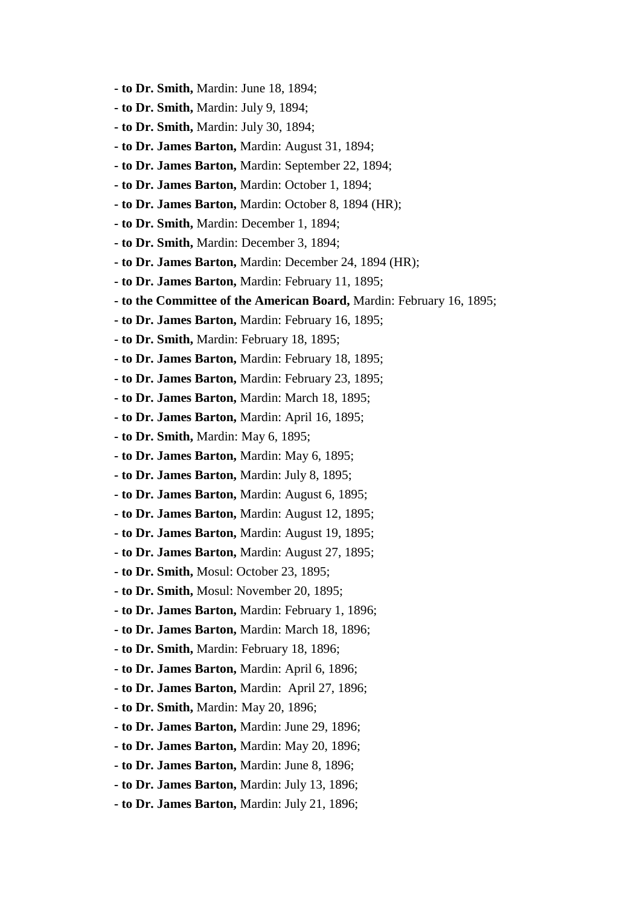- **to Dr. Smith,** Mardin: June 18, 1894;
- **to Dr. Smith,** Mardin: July 9, 1894;
- **to Dr. Smith,** Mardin: July 30, 1894;
- **to Dr. James Barton,** Mardin: August 31, 1894;
- **to Dr. James Barton,** Mardin: September 22, 1894;
- **to Dr. James Barton,** Mardin: October 1, 1894;
- **to Dr. James Barton,** Mardin: October 8, 1894 (HR);
- **to Dr. Smith,** Mardin: December 1, 1894;
- **to Dr. Smith,** Mardin: December 3, 1894;
- **to Dr. James Barton,** Mardin: December 24, 1894 (HR);
- **to Dr. James Barton,** Mardin: February 11, 1895;
- **to the Committee of the American Board,** Mardin: February 16, 1895;
- **to Dr. James Barton,** Mardin: February 16, 1895;
- **to Dr. Smith,** Mardin: February 18, 1895;
- **to Dr. James Barton,** Mardin: February 18, 1895;
- **to Dr. James Barton,** Mardin: February 23, 1895;
- **to Dr. James Barton,** Mardin: March 18, 1895;
- **to Dr. James Barton,** Mardin: April 16, 1895;
- **to Dr. Smith,** Mardin: May 6, 1895;
- **to Dr. James Barton,** Mardin: May 6, 1895;
- **to Dr. James Barton,** Mardin: July 8, 1895;
- **to Dr. James Barton,** Mardin: August 6, 1895;
- **to Dr. James Barton,** Mardin: August 12, 1895;
- **to Dr. James Barton,** Mardin: August 19, 1895;
- **to Dr. James Barton,** Mardin: August 27, 1895;
- **to Dr. Smith,** Mosul: October 23, 1895;
- **to Dr. Smith,** Mosul: November 20, 1895;
- **to Dr. James Barton,** Mardin: February 1, 1896;
- **to Dr. James Barton,** Mardin: March 18, 1896;
- **to Dr. Smith,** Mardin: February 18, 1896;
- **to Dr. James Barton,** Mardin: April 6, 1896;
- **to Dr. James Barton,** Mardin: April 27, 1896;
- **to Dr. Smith,** Mardin: May 20, 1896;
- **to Dr. James Barton,** Mardin: June 29, 1896;
- **to Dr. James Barton,** Mardin: May 20, 1896;
- **to Dr. James Barton,** Mardin: June 8, 1896;
- **to Dr. James Barton,** Mardin: July 13, 1896;
- **to Dr. James Barton,** Mardin: July 21, 1896;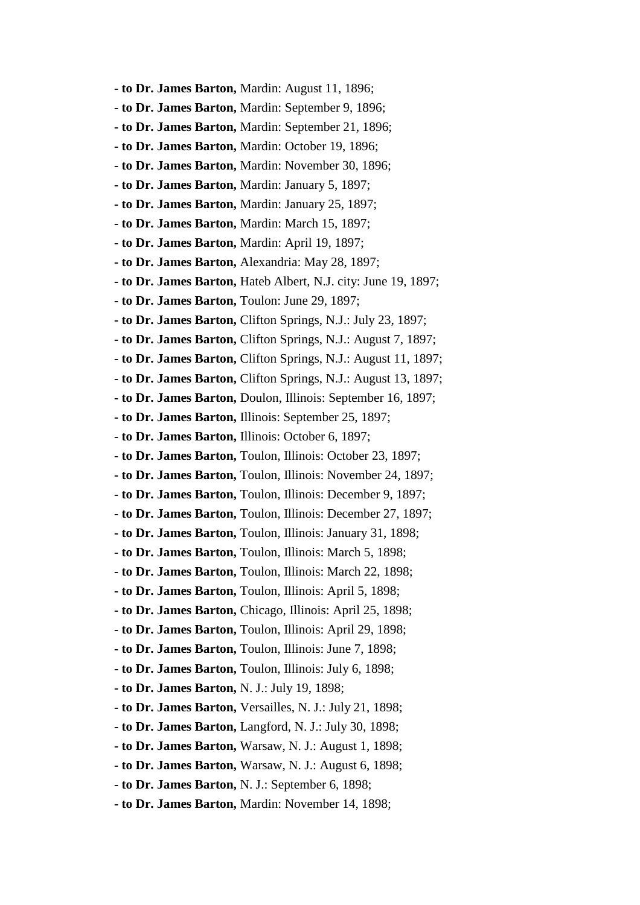- **to Dr. James Barton,** Mardin: August 11, 1896;
- **to Dr. James Barton,** Mardin: September 9, 1896;
- **to Dr. James Barton,** Mardin: September 21, 1896;
- **to Dr. James Barton,** Mardin: October 19, 1896;
- **to Dr. James Barton,** Mardin: November 30, 1896;
- **to Dr. James Barton,** Mardin: January 5, 1897;
- **to Dr. James Barton,** Mardin: January 25, 1897;
- **to Dr. James Barton,** Mardin: March 15, 1897;
- **to Dr. James Barton,** Mardin: April 19, 1897;
- **to Dr. James Barton,** Alexandria: May 28, 1897;
- **to Dr. James Barton,** Hateb Albert, N.J. city: June 19, 1897;
- **to Dr. James Barton,** Toulon: June 29, 1897;
- **to Dr. James Barton,** Clifton Springs, N.J.: July 23, 1897;
- **to Dr. James Barton,** Clifton Springs, N.J.: August 7, 1897;
- **to Dr. James Barton,** Clifton Springs, N.J.: August 11, 1897;
- **to Dr. James Barton,** Clifton Springs, N.J.: August 13, 1897;
- **to Dr. James Barton,** Doulon, Illinois: September 16, 1897;
- **to Dr. James Barton,** Illinois: September 25, 1897;
- **to Dr. James Barton,** Illinois: October 6, 1897;
- **to Dr. James Barton,** Toulon, Illinois: October 23, 1897;
- **to Dr. James Barton,** Toulon, Illinois: November 24, 1897;
- **to Dr. James Barton,** Toulon, Illinois: December 9, 1897;
- **to Dr. James Barton,** Toulon, Illinois: December 27, 1897;
- **to Dr. James Barton,** Toulon, Illinois: January 31, 1898;
- **to Dr. James Barton,** Toulon, Illinois: March 5, 1898;
- **to Dr. James Barton,** Toulon, Illinois: March 22, 1898;
- **to Dr. James Barton,** Toulon, Illinois: April 5, 1898;
- **to Dr. James Barton,** Chicago, Illinois: April 25, 1898;
- **to Dr. James Barton,** Toulon, Illinois: April 29, 1898;
- **to Dr. James Barton,** Toulon, Illinois: June 7, 1898;
- **to Dr. James Barton,** Toulon, Illinois: July 6, 1898;
- **to Dr. James Barton,** N. J.: July 19, 1898;
- **to Dr. James Barton,** Versailles, N. J.: July 21, 1898;
- **to Dr. James Barton,** Langford, N. J.: July 30, 1898;
- **to Dr. James Barton,** Warsaw, N. J.: August 1, 1898;
- **to Dr. James Barton,** Warsaw, N. J.: August 6, 1898;
- **to Dr. James Barton,** N. J.: September 6, 1898;
- **to Dr. James Barton,** Mardin: November 14, 1898;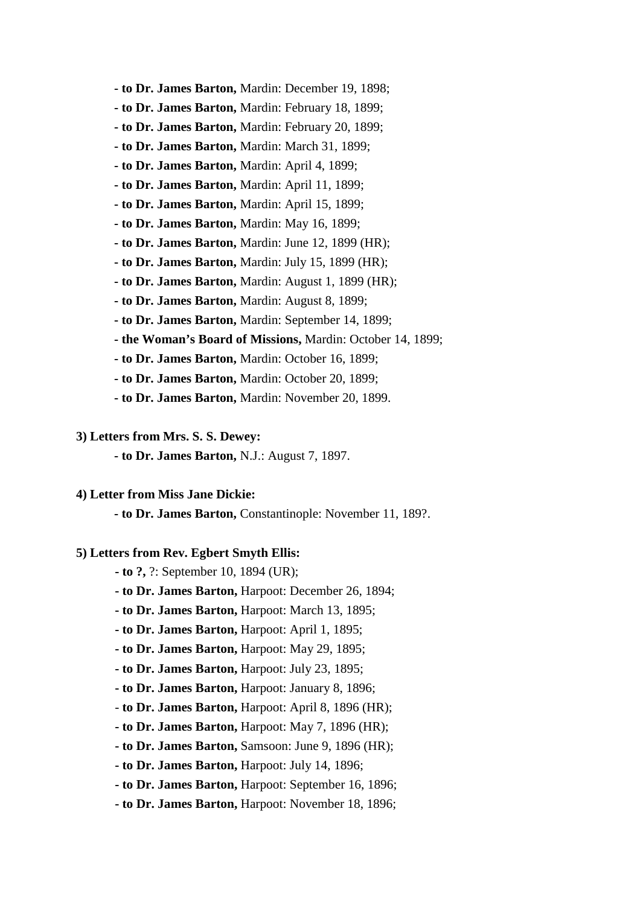- **to Dr. James Barton,** Mardin: December 19, 1898;
- **to Dr. James Barton,** Mardin: February 18, 1899;
- **to Dr. James Barton,** Mardin: February 20, 1899;
- **to Dr. James Barton,** Mardin: March 31, 1899;
- **to Dr. James Barton,** Mardin: April 4, 1899;
- **to Dr. James Barton,** Mardin: April 11, 1899;
- **to Dr. James Barton,** Mardin: April 15, 1899;
- **to Dr. James Barton,** Mardin: May 16, 1899;
- **to Dr. James Barton,** Mardin: June 12, 1899 (HR);
- **to Dr. James Barton,** Mardin: July 15, 1899 (HR);
- **to Dr. James Barton,** Mardin: August 1, 1899 (HR);
- **to Dr. James Barton,** Mardin: August 8, 1899;
- **to Dr. James Barton,** Mardin: September 14, 1899;
- **the Woman's Board of Missions,** Mardin: October 14, 1899;
- **to Dr. James Barton,** Mardin: October 16, 1899;
- **to Dr. James Barton,** Mardin: October 20, 1899;
- **to Dr. James Barton,** Mardin: November 20, 1899.

#### **3) Letters from Mrs. S. S. Dewey:**

**- to Dr. James Barton,** N.J.: August 7, 1897.

## **4) Letter from Miss Jane Dickie:**

**- to Dr. James Barton,** Constantinople: November 11, 189?.

## **5) Letters from Rev. Egbert Smyth Ellis:**

- **to ?,** ?: September 10, 1894 (UR);
- **to Dr. James Barton,** Harpoot: December 26, 1894;
- **to Dr. James Barton,** Harpoot: March 13, 1895;
- **to Dr. James Barton,** Harpoot: April 1, 1895;
- **to Dr. James Barton,** Harpoot: May 29, 1895;
- **to Dr. James Barton,** Harpoot: July 23, 1895;
- **to Dr. James Barton,** Harpoot: January 8, 1896;
- - **to Dr. James Barton,** Harpoot: April 8, 1896 (HR);
- **to Dr. James Barton,** Harpoot: May 7, 1896 (HR);
- **to Dr. James Barton,** Samsoon: June 9, 1896 (HR);
- **to Dr. James Barton,** Harpoot: July 14, 1896;
- **to Dr. James Barton,** Harpoot: September 16, 1896;
- **to Dr. James Barton,** Harpoot: November 18, 1896;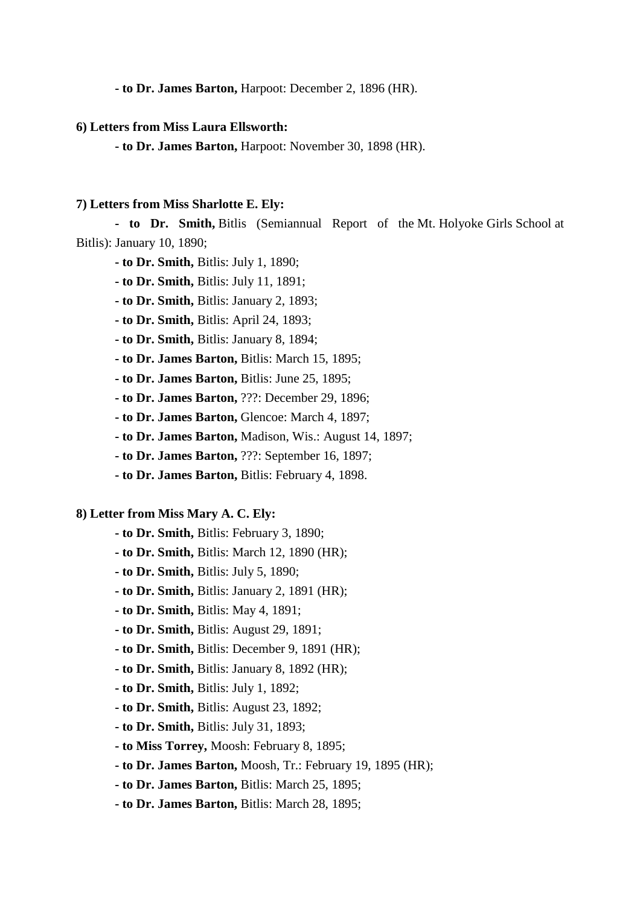**- to Dr. James Barton,** Harpoot: December 2, 1896 (HR).

## **6) Letters from Miss Laura Ellsworth:**

 **- to Dr. James Barton,** Harpoot: November 30, 1898 (HR).

### **7) Letters from Miss Sharlotte E. Ely:**

 **- to Dr. Smith,** Bitlis (Semiannual Report of the Mt. Holyoke Girls School at Bitlis): January 10, 1890;

- **to Dr. Smith,** Bitlis: July 1, 1890;
- **to Dr. Smith,** Bitlis: July 11, 1891;
- **to Dr. Smith,** Bitlis: January 2, 1893;
- **to Dr. Smith,** Bitlis: April 24, 1893;
- **to Dr. Smith,** Bitlis: January 8, 1894;
- **to Dr. James Barton,** Bitlis: March 15, 1895;
- **to Dr. James Barton,** Bitlis: June 25, 1895;
- **to Dr. James Barton,** ???: December 29, 1896;
- **to Dr. James Barton,** Glencoe: March 4, 1897;
- **to Dr. James Barton,** Madison, Wis.: August 14, 1897;
- **to Dr. James Barton,** ???: September 16, 1897;
- **to Dr. James Barton,** Bitlis: February 4, 1898.

## **8) Letter from Miss Mary A. C. Ely:**

- **to Dr. Smith,** Bitlis: February 3, 1890;
- **to Dr. Smith,** Bitlis: March 12, 1890 (HR);
- **to Dr. Smith,** Bitlis: July 5, 1890;
- **to Dr. Smith,** Bitlis: January 2, 1891 (HR);
- **to Dr. Smith,** Bitlis: May 4, 1891;
- **to Dr. Smith,** Bitlis: August 29, 1891;
- **to Dr. Smith,** Bitlis: December 9, 1891 (HR);
- **to Dr. Smith,** Bitlis: January 8, 1892 (HR);
- **to Dr. Smith,** Bitlis: July 1, 1892;
- **to Dr. Smith,** Bitlis: August 23, 1892;
- **to Dr. Smith,** Bitlis: July 31, 1893;
- **to Miss Torrey,** Moosh: February 8, 1895;
- **to Dr. James Barton,** Moosh, Tr.: February 19, 1895 (HR);
- **to Dr. James Barton,** Bitlis: March 25, 1895;
- **to Dr. James Barton,** Bitlis: March 28, 1895;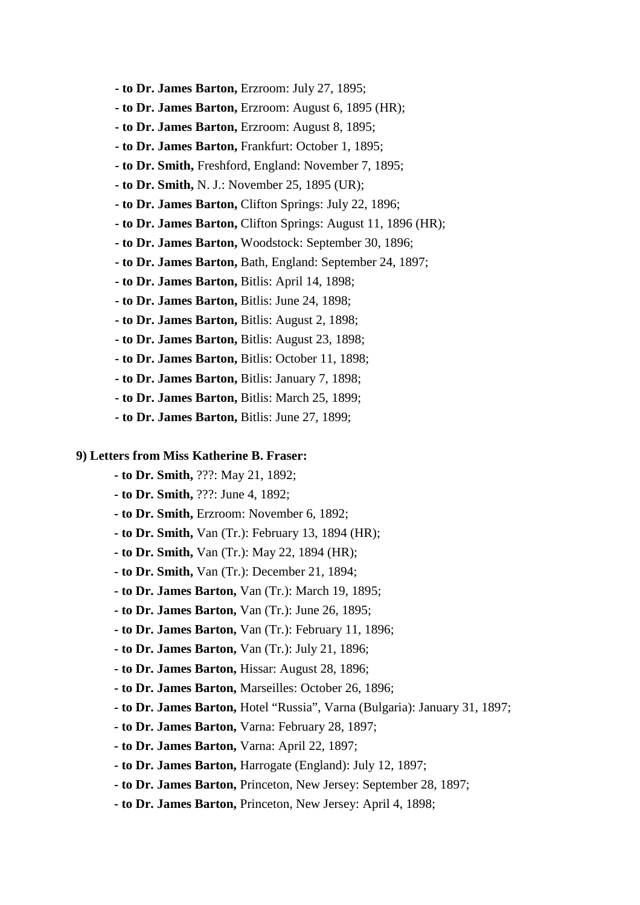- **to Dr. James Barton,** Erzroom: July 27, 1895;
- **to Dr. James Barton,** Erzroom: August 6, 1895 (HR);
- **to Dr. James Barton,** Erzroom: August 8, 1895;
- **to Dr. James Barton,** Frankfurt: October 1, 1895;
- **to Dr. Smith,** Freshford, England: November 7, 1895;
- **to Dr. Smith,** N. J.: November 25, 1895 (UR);
- **to Dr. James Barton,** Clifton Springs: July 22, 1896;
- **to Dr. James Barton,** Clifton Springs: August 11, 1896 (HR);
- **to Dr. James Barton,** Woodstock: September 30, 1896;
- **to Dr. James Barton,** Bath, England: September 24, 1897;
- **to Dr. James Barton,** Bitlis: April 14, 1898;
- **to Dr. James Barton,** Bitlis: June 24, 1898;
- **to Dr. James Barton,** Bitlis: August 2, 1898;
- **to Dr. James Barton,** Bitlis: August 23, 1898;
- **to Dr. James Barton,** Bitlis: October 11, 1898;
- **to Dr. James Barton,** Bitlis: January 7, 1898;
- **to Dr. James Barton,** Bitlis: March 25, 1899;
- **to Dr. James Barton,** Bitlis: June 27, 1899;

## **9) Letters from Miss Katherine B. Fraser:**

- **to Dr. Smith,** ???: May 21, 1892;
- **to Dr. Smith,** ???: June 4, 1892;
- **to Dr. Smith,** Erzroom: November 6, 1892;
- **to Dr. Smith,** Van (Tr.): February 13, 1894 (HR);
- **to Dr. Smith,** Van (Tr.): May 22, 1894 (HR);
- **to Dr. Smith,** Van (Tr.): December 21, 1894;
- **to Dr. James Barton,** Van (Tr.): March 19, 1895;
- **to Dr. James Barton,** Van (Tr.): June 26, 1895;
- **to Dr. James Barton,** Van (Tr.): February 11, 1896;
- **to Dr. James Barton,** Van (Tr.): July 21, 1896;
- **to Dr. James Barton,** Hissar: August 28, 1896;
- **to Dr. James Barton,** Marseilles: October 26, 1896;
- **to Dr. James Barton,** Hotel "Russia", Varna (Bulgaria): January 31, 1897;
- **to Dr. James Barton,** Varna: February 28, 1897;
- **to Dr. James Barton,** Varna: April 22, 1897;
- **to Dr. James Barton,** Harrogate (England): July 12, 1897;
- **to Dr. James Barton,** Princeton, New Jersey: September 28, 1897;
- **to Dr. James Barton,** Princeton, New Jersey: April 4, 1898;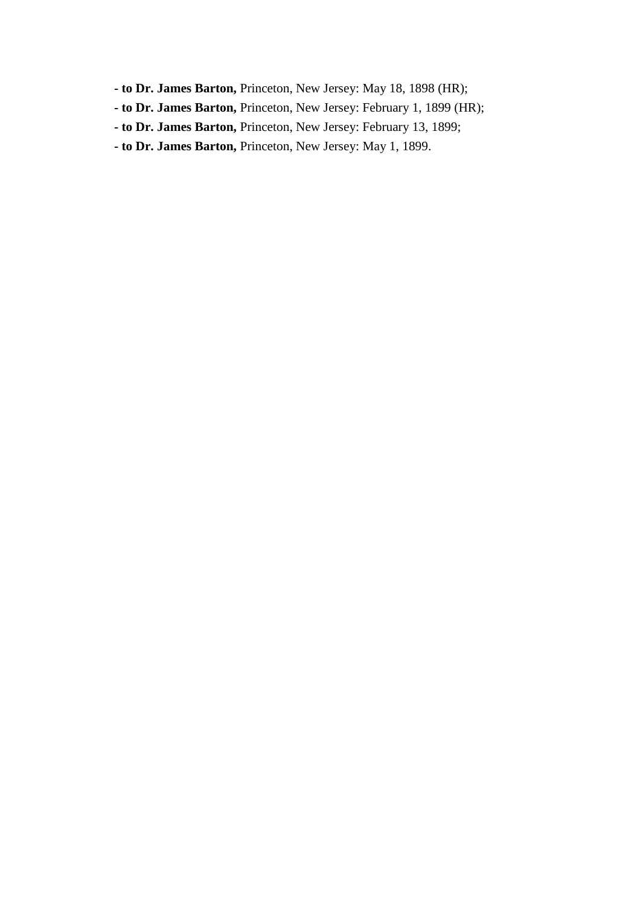- **to Dr. James Barton,** Princeton, New Jersey: May 18, 1898 (HR);
- **to Dr. James Barton,** Princeton, New Jersey: February 1, 1899 (HR);
- **to Dr. James Barton,** Princeton, New Jersey: February 13, 1899;
- **to Dr. James Barton,** Princeton, New Jersey: May 1, 1899.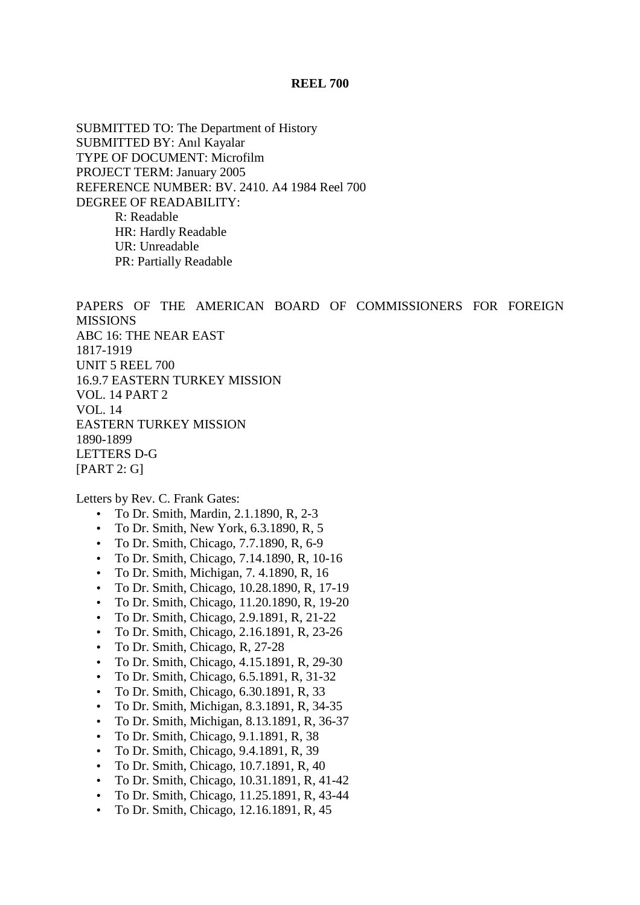## **REEL 700**

SUBMITTED TO: The Department of History SUBMITTED BY: Anıl Kayalar TYPE OF DOCUMENT: Microfilm PROJECT TERM: January 2005 REFERENCE NUMBER: BV. 2410. A4 1984 Reel 700 DEGREE OF READABILITY: R: Readable HR: Hardly Readable UR: Unreadable PR: Partially Readable

PAPERS OF THE AMERICAN BOARD OF COMMISSIONERS FOR FOREIGN MISSIONS ABC 16: THE NEAR EAST 1817-1919 UNIT 5 REEL 700 16.9.7 EASTERN TURKEY MISSION VOL. 14 PART 2 VOL. 14 EASTERN TURKEY MISSION 1890-1899 LETTERS D-G [PART 2: G]

Letters by Rev. C. Frank Gates:

- To Dr. Smith, Mardin, 2.1.1890, R, 2-3
- To Dr. Smith, New York, 6.3.1890, R, 5
- To Dr. Smith, Chicago, 7.7.1890, R, 6-9
- To Dr. Smith, Chicago, 7.14.1890, R, 10-16
- To Dr. Smith, Michigan, 7. 4.1890, R, 16
- To Dr. Smith, Chicago, 10.28.1890, R, 17-19
- To Dr. Smith, Chicago, 11.20.1890, R, 19-20
- To Dr. Smith, Chicago, 2.9.1891, R, 21-22
- To Dr. Smith, Chicago, 2.16.1891, R, 23-26
- To Dr. Smith, Chicago, R, 27-28
- To Dr. Smith, Chicago, 4.15.1891, R, 29-30
- To Dr. Smith, Chicago, 6.5.1891, R, 31-32
- To Dr. Smith, Chicago, 6.30.1891, R, 33
- To Dr. Smith, Michigan, 8.3.1891, R, 34-35
- To Dr. Smith, Michigan, 8.13.1891, R, 36-37
- To Dr. Smith, Chicago, 9.1.1891, R, 38
- To Dr. Smith, Chicago, 9.4.1891, R, 39
- To Dr. Smith, Chicago, 10.7.1891, R, 40
- To Dr. Smith, Chicago, 10.31.1891, R, 41-42
- To Dr. Smith, Chicago, 11.25.1891, R, 43-44
- To Dr. Smith, Chicago, 12.16.1891, R, 45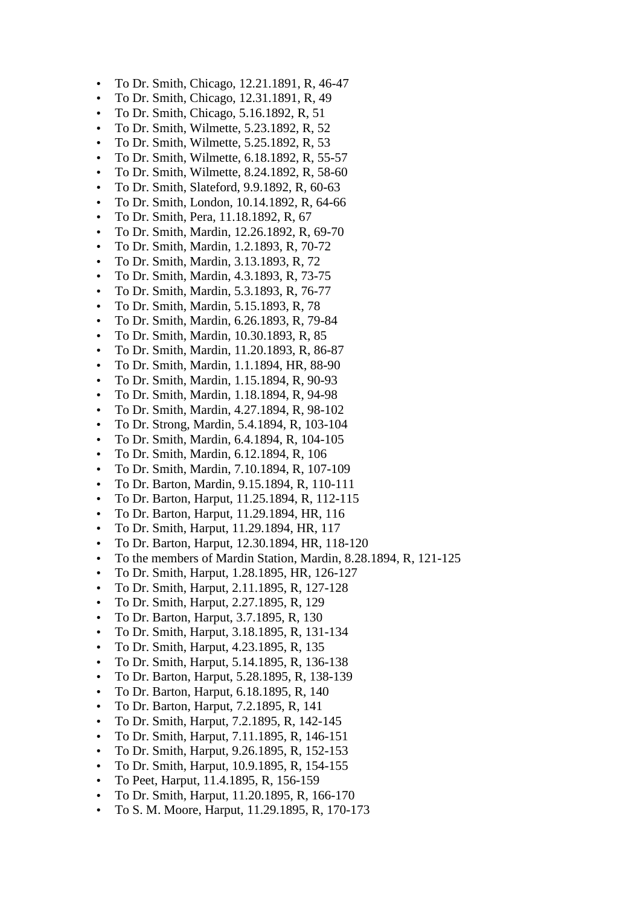- To Dr. Smith, Chicago, 12.21.1891, R, 46-47
- To Dr. Smith, Chicago, 12.31.1891, R, 49
- To Dr. Smith, Chicago, 5.16.1892, R, 51
- To Dr. Smith, Wilmette, 5.23.1892, R, 52
- To Dr. Smith, Wilmette, 5.25.1892, R, 53
- To Dr. Smith, Wilmette, 6.18.1892, R, 55-57
- To Dr. Smith, Wilmette, 8.24.1892, R, 58-60
- To Dr. Smith, Slateford, 9.9.1892, R, 60-63
- To Dr. Smith, London, 10.14.1892, R, 64-66
- To Dr. Smith, Pera, 11.18.1892, R, 67
- To Dr. Smith, Mardin, 12.26.1892, R, 69-70
- To Dr. Smith, Mardin, 1.2.1893, R, 70-72
- To Dr. Smith, Mardin, 3.13.1893, R, 72
- To Dr. Smith, Mardin, 4.3.1893, R, 73-75
- To Dr. Smith, Mardin, 5.3.1893, R, 76-77
- To Dr. Smith, Mardin, 5.15.1893, R, 78
- To Dr. Smith, Mardin, 6.26.1893, R, 79-84
- To Dr. Smith, Mardin, 10.30.1893, R, 85
- To Dr. Smith, Mardin, 11.20.1893, R, 86-87
- To Dr. Smith, Mardin, 1.1.1894, HR, 88-90
- To Dr. Smith, Mardin, 1.15.1894, R, 90-93
- To Dr. Smith, Mardin, 1.18.1894, R, 94-98
- To Dr. Smith, Mardin, 4.27.1894, R, 98-102
- To Dr. Strong, Mardin, 5.4.1894, R, 103-104
- To Dr. Smith, Mardin, 6.4.1894, R, 104-105
- To Dr. Smith, Mardin, 6.12.1894, R, 106
- To Dr. Smith, Mardin, 7.10.1894, R, 107-109
- To Dr. Barton, Mardin, 9.15.1894, R, 110-111
- To Dr. Barton, Harput, 11.25.1894, R, 112-115
- To Dr. Barton, Harput, 11.29.1894, HR, 116
- To Dr. Smith, Harput, 11.29.1894, HR, 117
- To Dr. Barton, Harput, 12.30.1894, HR, 118-120
- To the members of Mardin Station, Mardin, 8.28.1894, R, 121-125
- To Dr. Smith, Harput, 1.28.1895, HR, 126-127
- To Dr. Smith, Harput, 2.11.1895, R, 127-128
- To Dr. Smith, Harput, 2.27.1895, R, 129
- To Dr. Barton, Harput, 3.7.1895, R, 130
- To Dr. Smith, Harput, 3.18.1895, R, 131-134
- To Dr. Smith, Harput, 4.23.1895, R, 135
- To Dr. Smith, Harput, 5.14.1895, R, 136-138
- To Dr. Barton, Harput, 5.28.1895, R, 138-139
- To Dr. Barton, Harput, 6.18.1895, R, 140
- To Dr. Barton, Harput, 7.2.1895, R, 141
- To Dr. Smith, Harput, 7.2.1895, R, 142-145
- To Dr. Smith, Harput, 7.11.1895, R, 146-151
- To Dr. Smith, Harput, 9.26.1895, R, 152-153
- To Dr. Smith, Harput, 10.9.1895, R, 154-155
- To Peet, Harput, 11.4.1895, R, 156-159
- To Dr. Smith, Harput, 11.20.1895, R, 166-170
- To S. M. Moore, Harput, 11.29.1895, R, 170-173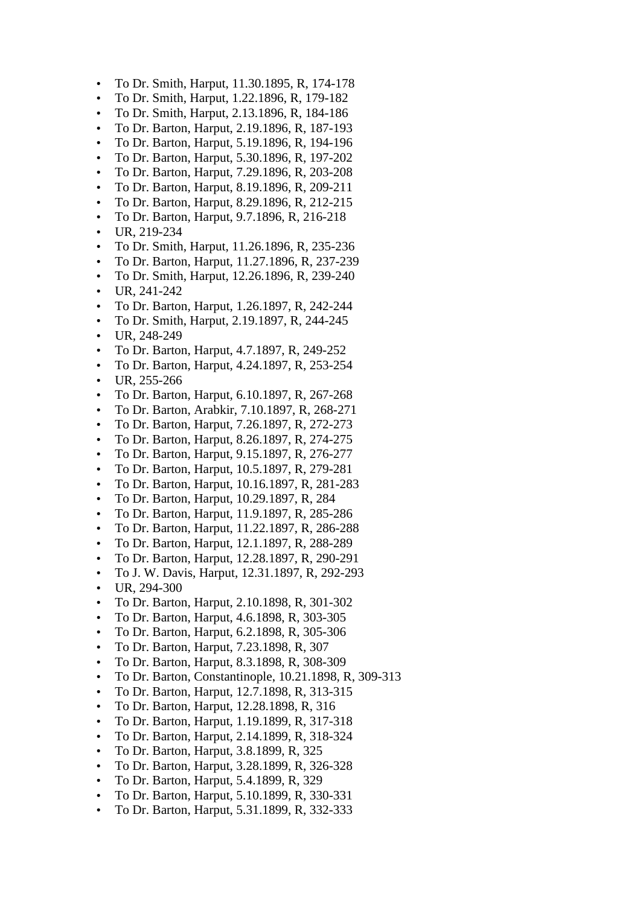- To Dr. Smith, Harput, 11.30.1895, R, 174-178
- To Dr. Smith, Harput, 1.22.1896, R, 179-182
- To Dr. Smith, Harput, 2.13.1896, R, 184-186
- To Dr. Barton, Harput, 2.19.1896, R, 187-193
- To Dr. Barton, Harput, 5.19.1896, R, 194-196
- To Dr. Barton, Harput, 5.30.1896, R, 197-202
- To Dr. Barton, Harput, 7.29.1896, R, 203-208
- To Dr. Barton, Harput, 8.19.1896, R, 209-211
- To Dr. Barton, Harput, 8.29.1896, R, 212-215
- To Dr. Barton, Harput, 9.7.1896, R, 216-218
- UR, 219-234
- To Dr. Smith, Harput, 11.26.1896, R, 235-236
- To Dr. Barton, Harput, 11.27.1896, R, 237-239
- To Dr. Smith, Harput, 12.26.1896, R, 239-240
- $\bullet$  UR, 241-242
- To Dr. Barton, Harput, 1.26.1897, R, 242-244
- To Dr. Smith, Harput, 2.19.1897, R, 244-245
- UR, 248-249
- To Dr. Barton, Harput, 4.7.1897, R, 249-252
- To Dr. Barton, Harput, 4.24.1897, R, 253-254
- $\bullet$  UR, 255-266
- To Dr. Barton, Harput, 6.10.1897, R, 267-268
- To Dr. Barton, Arabkir, 7.10.1897, R, 268-271
- To Dr. Barton, Harput, 7.26.1897, R, 272-273
- To Dr. Barton, Harput, 8.26.1897, R, 274-275
- To Dr. Barton, Harput, 9.15.1897, R, 276-277
- To Dr. Barton, Harput, 10.5.1897, R, 279-281
- To Dr. Barton, Harput, 10.16.1897, R, 281-283
- To Dr. Barton, Harput, 10.29.1897, R, 284
- To Dr. Barton, Harput, 11.9.1897, R, 285-286
- To Dr. Barton, Harput, 11.22.1897, R, 286-288
- To Dr. Barton, Harput, 12.1.1897, R, 288-289
- To Dr. Barton, Harput, 12.28.1897, R, 290-291
- To J. W. Davis, Harput, 12.31.1897, R, 292-293
- UR, 294-300
- To Dr. Barton, Harput, 2.10.1898, R, 301-302
- To Dr. Barton, Harput, 4.6.1898, R, 303-305
- To Dr. Barton, Harput, 6.2.1898, R, 305-306
- To Dr. Barton, Harput, 7.23.1898, R, 307
- To Dr. Barton, Harput, 8.3.1898, R, 308-309
- To Dr. Barton, Constantinople, 10.21.1898, R, 309-313
- To Dr. Barton, Harput, 12.7.1898, R, 313-315
- To Dr. Barton, Harput, 12.28.1898, R, 316
- To Dr. Barton, Harput, 1.19.1899, R, 317-318
- To Dr. Barton, Harput, 2.14.1899, R, 318-324
- To Dr. Barton, Harput, 3.8.1899, R, 325
- To Dr. Barton, Harput, 3.28.1899, R, 326-328
- To Dr. Barton, Harput, 5.4.1899, R, 329
- To Dr. Barton, Harput, 5.10.1899, R, 330-331
- To Dr. Barton, Harput, 5.31.1899, R, 332-333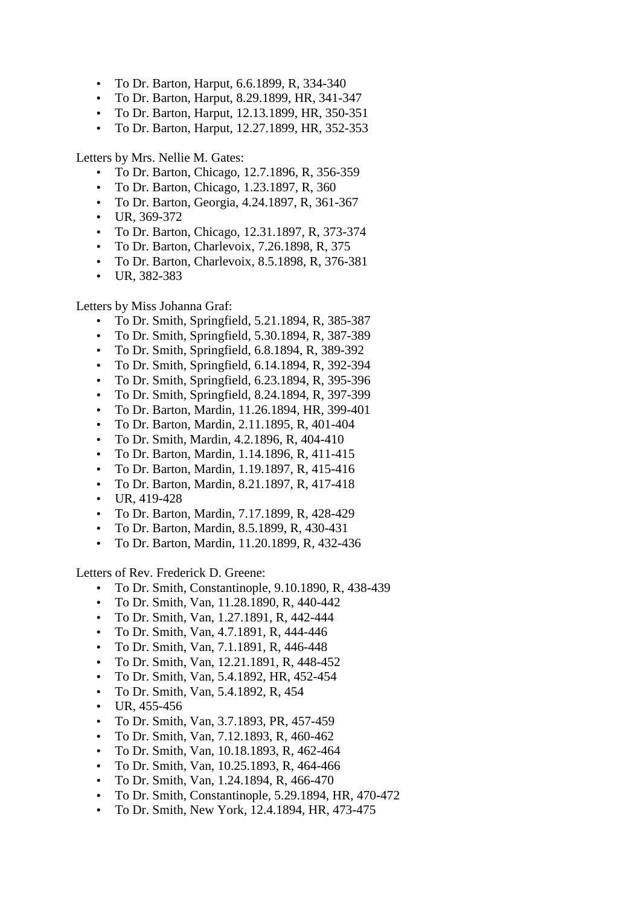- To Dr. Barton, Harput, 6.6.1899, R, 334-340
- To Dr. Barton, Harput, 8.29.1899, HR, 341-347
- To Dr. Barton, Harput, 12.13.1899, HR, 350-351
- To Dr. Barton, Harput, 12.27.1899, HR, 352-353

Letters by Mrs. Nellie M. Gates:

- To Dr. Barton, Chicago, 12.7.1896, R, 356-359
- To Dr. Barton, Chicago, 1.23.1897, R, 360
- To Dr. Barton, Georgia, 4.24.1897, R, 361-367
- UR, 369-372
- To Dr. Barton, Chicago, 12.31.1897, R, 373-374
- To Dr. Barton, Charlevoix, 7.26.1898, R, 375
- To Dr. Barton, Charlevoix, 8.5.1898, R, 376-381
- UR, 382-383

Letters by Miss Johanna Graf:

- To Dr. Smith, Springfield, 5.21.1894, R, 385-387
- To Dr. Smith, Springfield, 5.30.1894, R, 387-389
- To Dr. Smith, Springfield, 6.8.1894, R, 389-392
- To Dr. Smith, Springfield, 6.14.1894, R, 392-394
- To Dr. Smith, Springfield, 6.23.1894, R, 395-396
- To Dr. Smith, Springfield, 8.24.1894, R, 397-399
- To Dr. Barton, Mardin, 11.26.1894, HR, 399-401
- To Dr. Barton, Mardin, 2.11.1895, R, 401-404
- To Dr. Smith, Mardin, 4.2.1896, R, 404-410
- To Dr. Barton, Mardin, 1.14.1896, R, 411-415
- To Dr. Barton, Mardin, 1.19.1897, R, 415-416
- To Dr. Barton, Mardin, 8.21.1897, R, 417-418
- UR, 419-428
- To Dr. Barton, Mardin, 7.17.1899, R, 428-429
- To Dr. Barton, Mardin, 8.5.1899, R, 430-431
- To Dr. Barton, Mardin, 11.20.1899, R, 432-436

Letters of Rev. Frederick D. Greene:

- To Dr. Smith, Constantinople, 9.10.1890, R, 438-439
- To Dr. Smith, Van, 11.28.1890, R, 440-442
- To Dr. Smith, Van, 1.27.1891, R, 442-444
- To Dr. Smith, Van, 4.7.1891, R, 444-446
- To Dr. Smith, Van, 7.1.1891, R, 446-448
- To Dr. Smith, Van, 12.21.1891, R, 448-452
- To Dr. Smith, Van, 5.4.1892, HR, 452-454
- To Dr. Smith, Van, 5.4.1892, R, 454
- UR, 455-456
- To Dr. Smith, Van, 3.7.1893, PR, 457-459
- To Dr. Smith, Van, 7.12.1893, R, 460-462
- To Dr. Smith, Van, 10.18.1893, R, 462-464
- To Dr. Smith, Van, 10.25.1893, R, 464-466
- To Dr. Smith, Van, 1.24.1894, R, 466-470
- To Dr. Smith, Constantinople, 5.29.1894, HR, 470-472
- To Dr. Smith, New York, 12.4.1894, HR, 473-475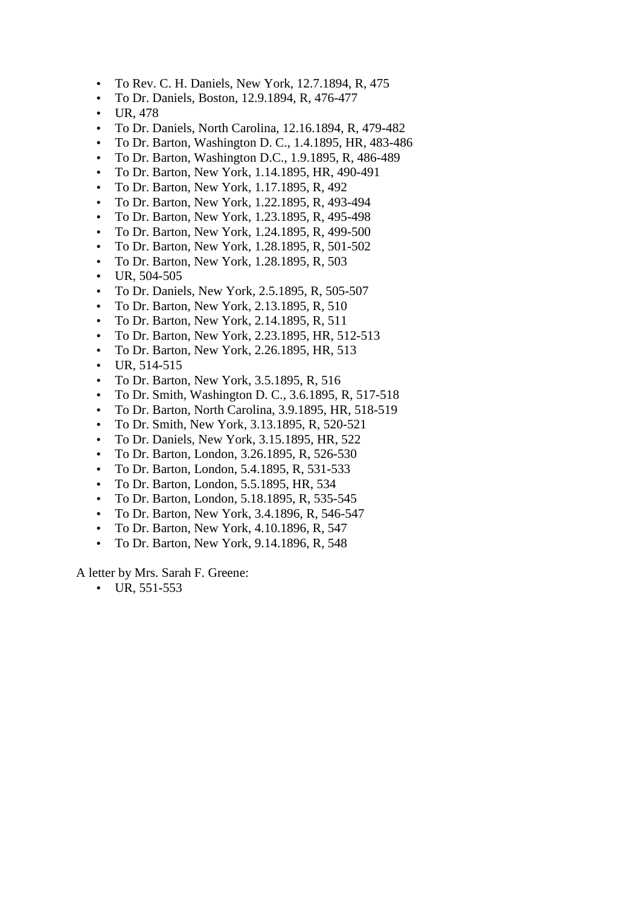- To Rev. C. H. Daniels, New York, 12.7.1894, R, 475
- To Dr. Daniels, Boston, 12.9.1894, R, 476-477
- UR, 478
- To Dr. Daniels, North Carolina, 12.16.1894, R, 479-482
- To Dr. Barton, Washington D. C., 1.4.1895, HR, 483-486
- To Dr. Barton, Washington D.C., 1.9.1895, R, 486-489
- To Dr. Barton, New York, 1.14.1895, HR, 490-491
- To Dr. Barton, New York, 1.17.1895, R, 492
- To Dr. Barton, New York, 1.22.1895, R, 493-494
- To Dr. Barton, New York, 1.23.1895, R, 495-498
- To Dr. Barton, New York, 1.24.1895, R, 499-500
- To Dr. Barton, New York, 1.28.1895, R, 501-502
- To Dr. Barton, New York, 1.28.1895, R, 503
- UR, 504-505
- To Dr. Daniels, New York, 2.5.1895, R, 505-507
- To Dr. Barton, New York, 2.13.1895, R, 510
- To Dr. Barton, New York, 2.14.1895, R, 511
- To Dr. Barton, New York, 2.23.1895, HR, 512-513
- To Dr. Barton, New York, 2.26.1895, HR, 513
- $\bullet$  UR, 514-515
- To Dr. Barton, New York, 3.5.1895, R, 516
- To Dr. Smith, Washington D. C., 3.6.1895, R, 517-518
- To Dr. Barton, North Carolina, 3.9.1895, HR, 518-519
- To Dr. Smith, New York, 3.13.1895, R, 520-521
- To Dr. Daniels, New York, 3.15.1895, HR, 522
- To Dr. Barton, London, 3.26.1895, R, 526-530
- To Dr. Barton, London, 5.4.1895, R, 531-533
- To Dr. Barton, London, 5.5.1895, HR, 534
- To Dr. Barton, London, 5.18.1895, R, 535-545
- To Dr. Barton, New York, 3.4.1896, R, 546-547
- To Dr. Barton, New York, 4.10.1896, R, 547
- To Dr. Barton, New York, 9.14.1896, R, 548

A letter by Mrs. Sarah F. Greene:

 $\bullet$  UR, 551-553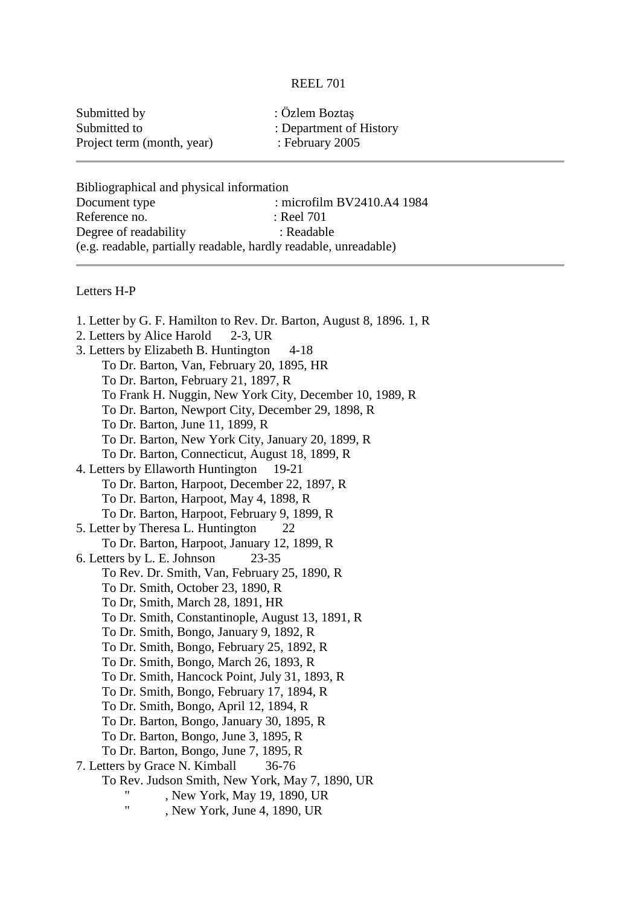## REEL 701

| Submitted by               | : Özlem Boztaş          |
|----------------------------|-------------------------|
| Submitted to               | : Department of History |
| Project term (month, year) | : February $2005$       |

Bibliographical and physical information Document type : microfilm BV2410.A4 1984 Reference no. : Reel 701 Degree of readability : Readable (e.g. readable, partially readable, hardly readable, unreadable)

## Letters H-P

1. Letter by G. F. Hamilton to Rev. Dr. Barton, August 8, 1896. 1, R 2. Letters by Alice Harold 2-3, UR 3. Letters by Elizabeth B. Huntington 4-18 To Dr. Barton, Van, February 20, 1895, HR To Dr. Barton, February 21, 1897, R To Frank H. Nuggin, New York City, December 10, 1989, R To Dr. Barton, Newport City, December 29, 1898, R To Dr. Barton, June 11, 1899, R To Dr. Barton, New York City, January 20, 1899, R To Dr. Barton, Connecticut, August 18, 1899, R 4. Letters by Ellaworth Huntington 19-21 To Dr. Barton, Harpoot, December 22, 1897, R To Dr. Barton, Harpoot, May 4, 1898, R To Dr. Barton, Harpoot, February 9, 1899, R 5. Letter by Theresa L. Huntington 22 To Dr. Barton, Harpoot, January 12, 1899, R 6. Letters by L. E. Johnson 23-35 To Rev. Dr. Smith, Van, February 25, 1890, R To Dr. Smith, October 23, 1890, R To Dr, Smith, March 28, 1891, HR To Dr. Smith, Constantinople, August 13, 1891, R To Dr. Smith, Bongo, January 9, 1892, R To Dr. Smith, Bongo, February 25, 1892, R To Dr. Smith, Bongo, March 26, 1893, R To Dr. Smith, Hancock Point, July 31, 1893, R To Dr. Smith, Bongo, February 17, 1894, R To Dr. Smith, Bongo, April 12, 1894, R To Dr. Barton, Bongo, January 30, 1895, R To Dr. Barton, Bongo, June 3, 1895, R To Dr. Barton, Bongo, June 7, 1895, R 7. Letters by Grace N. Kimball 36-76 To Rev. Judson Smith, New York, May 7, 1890, UR . New York, May 19, 1890, UR , New York, June 4, 1890, UR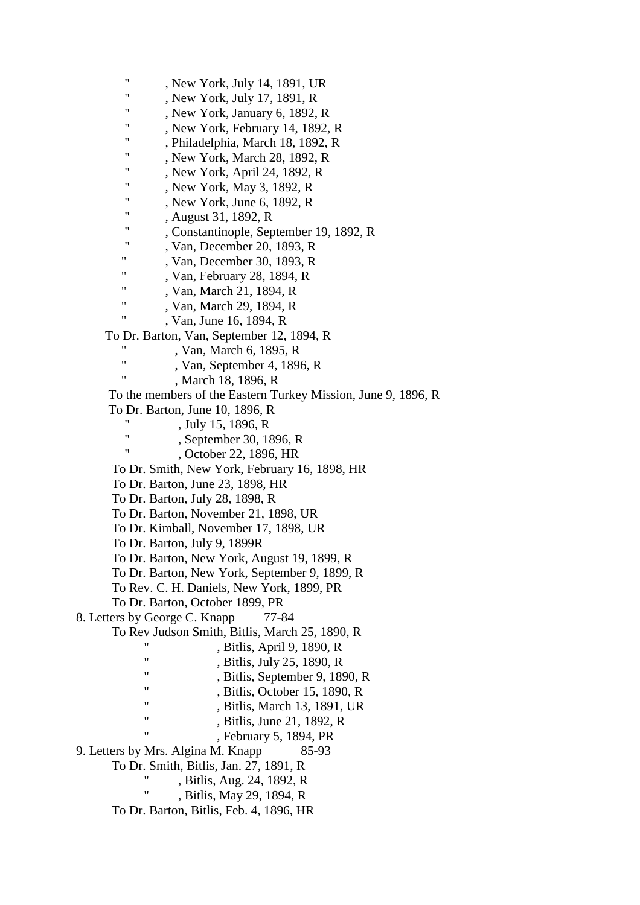" , New York, July 14, 1891, UR " , New York, July 17, 1891, R " , New York, January 6, 1892, R " , New York, February 14, 1892, R " , Philadelphia, March 18, 1892, R , New York, March 28, 1892, R , New York, April 24, 1892, R , New York, May 3, 1892, R , New York, June 6, 1892, R " , August 31, 1892, R ", Constantinople, September 19, 1892, R , Van, December 20, 1893, R " , Van, December 30, 1893, R " , Van, February 28, 1894, R " , Van, March 21, 1894, R ", Van, March 29, 1894, R , Van, June 16, 1894, R To Dr. Barton, Van, September 12, 1894, R , Van, March 6, 1895, R ", Van, September 4, 1896, R , March 18, 1896, R To the members of the Eastern Turkey Mission, June 9, 1896, R To Dr. Barton, June 10, 1896, R , July 15, 1896, R ", September 30, 1896, R , October 22, 1896, HR To Dr. Smith, New York, February 16, 1898, HR To Dr. Barton, June 23, 1898, HR To Dr. Barton, July 28, 1898, R To Dr. Barton, November 21, 1898, UR To Dr. Kimball, November 17, 1898, UR To Dr. Barton, July 9, 1899R To Dr. Barton, New York, August 19, 1899, R To Dr. Barton, New York, September 9, 1899, R To Rev. C. H. Daniels, New York, 1899, PR To Dr. Barton, October 1899, PR 8. Letters by George C. Knapp 77-84 To Rev Judson Smith, Bitlis, March 25, 1890, R , Bitlis, April 9, 1890, R ", Bitlis, July 25, 1890, R  $\frac{1}{18}$ , Bitlis, September 9, 1890, R  $\ddot{\text{B}}$  , Bitlis, October 15, 1890, R  $\frac{1}{10}$ , Bitlis, March 13, 1891, UR ", Bitlis, June 21,  $1892$ , R , February 5, 1894, PR 9. Letters by Mrs. Algina M. Knapp 85-93 To Dr. Smith, Bitlis, Jan. 27, 1891, R ", Bitlis, Aug. 24, 1892, R . Bitlis, May 29, 1894, R To Dr. Barton, Bitlis, Feb. 4, 1896, HR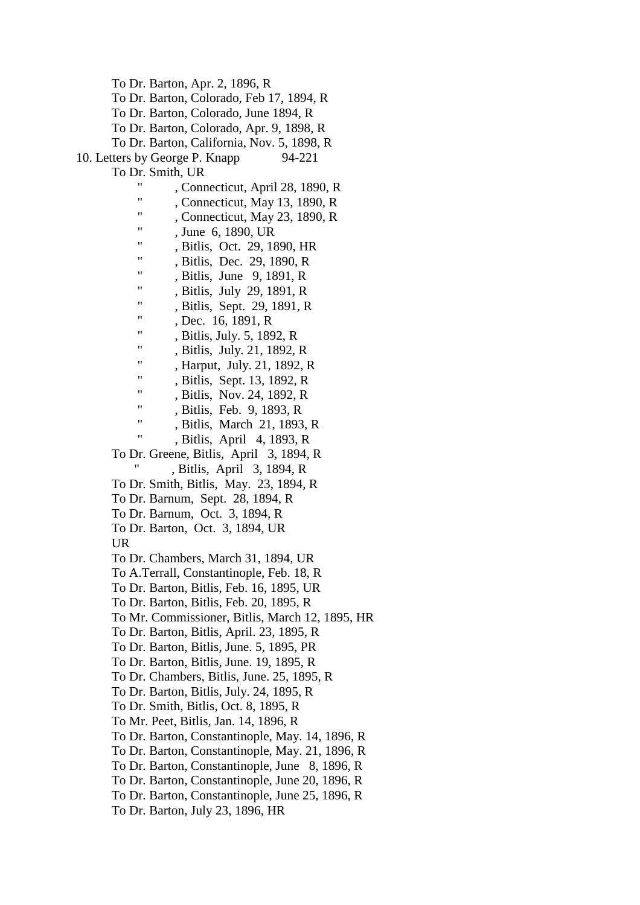To Dr. Barton, Apr. 2, 1896, R

To Dr. Barton, Colorado, Feb 17, 1894, R

To Dr. Barton, Colorado, June 1894, R

To Dr. Barton, Colorado, Apr. 9, 1898, R

To Dr. Barton, California, Nov. 5, 1898, R

10. Letters by George P. Knapp 94-221

To Dr. Smith, UR

- ", Connecticut, April 28, 1890, R
- ", Connecticut, May 13, 1890, R
- ", Connecticut, May 23, 1890, R
- ", June 6, 1890, UR
- , Bitlis, Oct. 29, 1890, HR
- " , Bitlis, Dec. 29, 1890, R
- " , Bitlis, June 9, 1891, R
- " , Bitlis, July 29, 1891, R
- ", Bitlis, Sept. 29, 1891, R
- , Dec. 16, 1891, R
- " , Bitlis, July. 5, 1892, R
- , Bitlis, July. 21, 1892, R
- ", Harput, July. 21, 1892, R
- ", Bitlis, Sept. 13, 1892, R
- . Bitlis, Nov. 24, 1892, R
- " , Bitlis, Feb. 9, 1893, R
- " , Bitlis, March 21, 1893, R
- " , Bitlis, April 4, 1893, R

 To Dr. Greene, Bitlis, April 3, 1894, R , Bitlis, April 3, 1894, R

- To Dr. Smith, Bitlis, May. 23, 1894, R
- To Dr. Barnum, Sept. 28, 1894, R
- To Dr. Barnum, Oct. 3, 1894, R
- To Dr. Barton, Oct. 3, 1894, UR

UR

- To Dr. Chambers, March 31, 1894, UR
- To A.Terrall, Constantinople, Feb. 18, R
- To Dr. Barton, Bitlis, Feb. 16, 1895, UR
- To Dr. Barton, Bitlis, Feb. 20, 1895, R
- To Mr. Commissioner, Bitlis, March 12, 1895, HR
- To Dr. Barton, Bitlis, April. 23, 1895, R
- To Dr. Barton, Bitlis, June. 5, 1895, PR
- To Dr. Barton, Bitlis, June. 19, 1895, R
- To Dr. Chambers, Bitlis, June. 25, 1895, R
- To Dr. Barton, Bitlis, July. 24, 1895, R
- To Dr. Smith, Bitlis, Oct. 8, 1895, R
- To Mr. Peet, Bitlis, Jan. 14, 1896, R
- To Dr. Barton, Constantinople, May. 14, 1896, R
- To Dr. Barton, Constantinople, May. 21, 1896, R
- To Dr. Barton, Constantinople, June 8, 1896, R
- To Dr. Barton, Constantinople, June 20, 1896, R
- To Dr. Barton, Constantinople, June 25, 1896, R
- To Dr. Barton, July 23, 1896, HR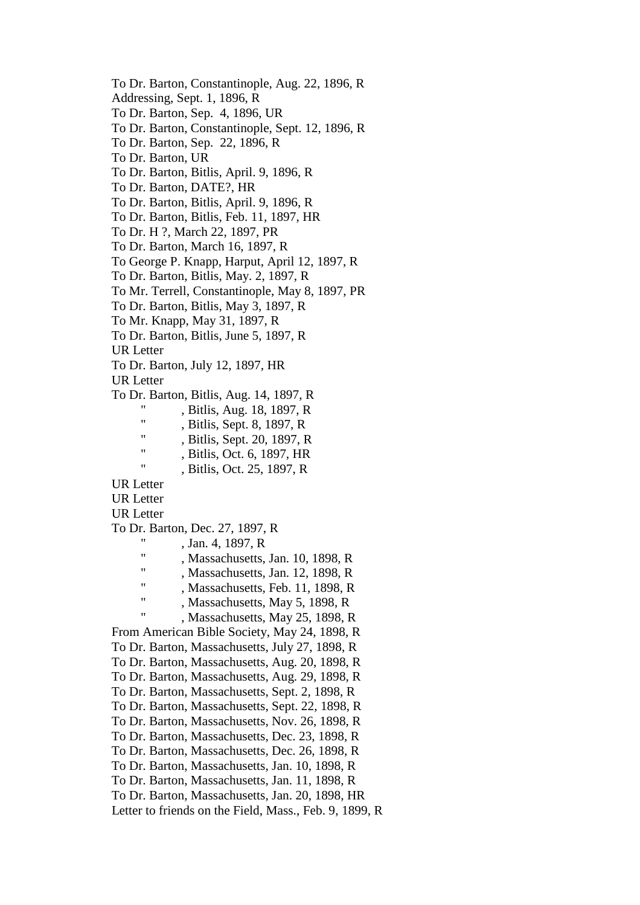To Dr. Barton, Constantinople, Aug. 22, 1896, R Addressing, Sept. 1, 1896, R To Dr. Barton, Sep. 4, 1896, UR To Dr. Barton, Constantinople, Sept. 12, 1896, R To Dr. Barton, Sep. 22, 1896, R To Dr. Barton, UR To Dr. Barton, Bitlis, April. 9, 1896, R To Dr. Barton, DATE?, HR To Dr. Barton, Bitlis, April. 9, 1896, R To Dr. Barton, Bitlis, Feb. 11, 1897, HR To Dr. H ?, March 22, 1897, PR To Dr. Barton, March 16, 1897, R To George P. Knapp, Harput, April 12, 1897, R To Dr. Barton, Bitlis, May. 2, 1897, R To Mr. Terrell, Constantinople, May 8, 1897, PR To Dr. Barton, Bitlis, May 3, 1897, R To Mr. Knapp, May 31, 1897, R To Dr. Barton, Bitlis, June 5, 1897, R UR Letter To Dr. Barton, July 12, 1897, HR UR Letter To Dr. Barton, Bitlis, Aug. 14, 1897, R ", Bitlis, Aug.  $18, 1897, R$ , Bitlis, Sept. 8, 1897, R ", Bitlis, Sept. 20, 1897, R , Bitlis, Oct. 6, 1897, HR " , Bitlis, Oct. 25, 1897, R UR Letter UR Letter UR Letter To Dr. Barton, Dec. 27, 1897, R , Jan. 4, 1897, R ", Massachusetts, Jan.  $10, 1898, R$ , Massachusetts, Jan. 12, 1898, R ", Massachusetts, Feb. 11, 1898, R , Massachusetts, May 5, 1898, R " , Massachusetts, May 25, 1898, R From American Bible Society, May 24, 1898, R To Dr. Barton, Massachusetts, July 27, 1898, R To Dr. Barton, Massachusetts, Aug. 20, 1898, R To Dr. Barton, Massachusetts, Aug. 29, 1898, R To Dr. Barton, Massachusetts, Sept. 2, 1898, R To Dr. Barton, Massachusetts, Sept. 22, 1898, R To Dr. Barton, Massachusetts, Nov. 26, 1898, R To Dr. Barton, Massachusetts, Dec. 23, 1898, R To Dr. Barton, Massachusetts, Dec. 26, 1898, R To Dr. Barton, Massachusetts, Jan. 10, 1898, R To Dr. Barton, Massachusetts, Jan. 11, 1898, R To Dr. Barton, Massachusetts, Jan. 20, 1898, HR Letter to friends on the Field, Mass., Feb. 9, 1899, R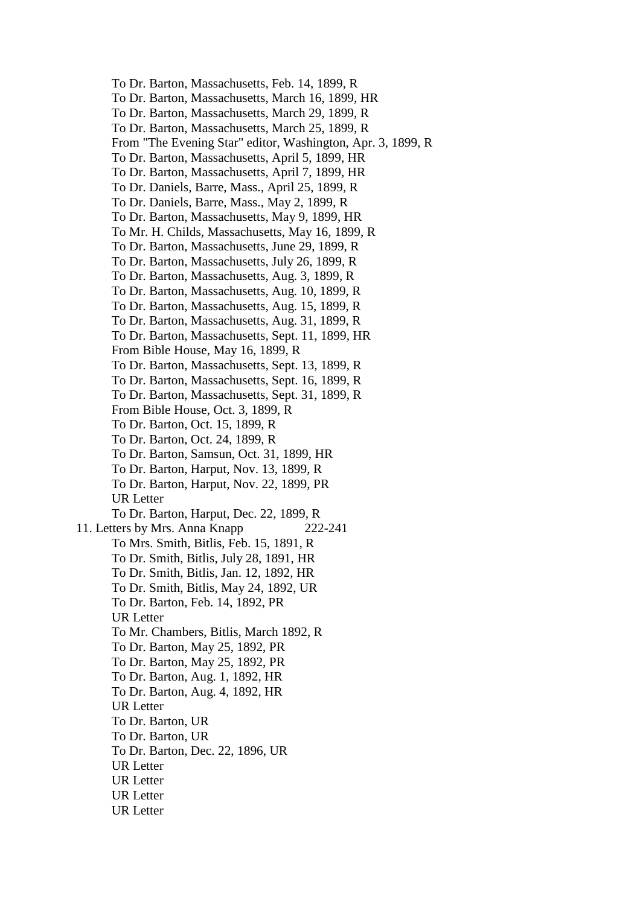To Dr. Barton, Massachusetts, Feb. 14, 1899, R To Dr. Barton, Massachusetts, March 16, 1899, HR To Dr. Barton, Massachusetts, March 29, 1899, R To Dr. Barton, Massachusetts, March 25, 1899, R From "The Evening Star" editor, Washington, Apr. 3, 1899, R To Dr. Barton, Massachusetts, April 5, 1899, HR To Dr. Barton, Massachusetts, April 7, 1899, HR To Dr. Daniels, Barre, Mass., April 25, 1899, R To Dr. Daniels, Barre, Mass., May 2, 1899, R To Dr. Barton, Massachusetts, May 9, 1899, HR To Mr. H. Childs, Massachusetts, May 16, 1899, R To Dr. Barton, Massachusetts, June 29, 1899, R To Dr. Barton, Massachusetts, July 26, 1899, R To Dr. Barton, Massachusetts, Aug. 3, 1899, R To Dr. Barton, Massachusetts, Aug. 10, 1899, R To Dr. Barton, Massachusetts, Aug. 15, 1899, R To Dr. Barton, Massachusetts, Aug. 31, 1899, R To Dr. Barton, Massachusetts, Sept. 11, 1899, HR From Bible House, May 16, 1899, R To Dr. Barton, Massachusetts, Sept. 13, 1899, R To Dr. Barton, Massachusetts, Sept. 16, 1899, R To Dr. Barton, Massachusetts, Sept. 31, 1899, R From Bible House, Oct. 3, 1899, R To Dr. Barton, Oct. 15, 1899, R To Dr. Barton, Oct. 24, 1899, R To Dr. Barton, Samsun, Oct. 31, 1899, HR To Dr. Barton, Harput, Nov. 13, 1899, R To Dr. Barton, Harput, Nov. 22, 1899, PR UR Letter To Dr. Barton, Harput, Dec. 22, 1899, R 11. Letters by Mrs. Anna Knapp 222-241 To Mrs. Smith, Bitlis, Feb. 15, 1891, R To Dr. Smith, Bitlis, July 28, 1891, HR To Dr. Smith, Bitlis, Jan. 12, 1892, HR To Dr. Smith, Bitlis, May 24, 1892, UR To Dr. Barton, Feb. 14, 1892, PR UR Letter To Mr. Chambers, Bitlis, March 1892, R To Dr. Barton, May 25, 1892, PR To Dr. Barton, May 25, 1892, PR To Dr. Barton, Aug. 1, 1892, HR To Dr. Barton, Aug. 4, 1892, HR UR Letter To Dr. Barton, UR To Dr. Barton, UR To Dr. Barton, Dec. 22, 1896, UR UR Letter UR Letter UR Letter UR Letter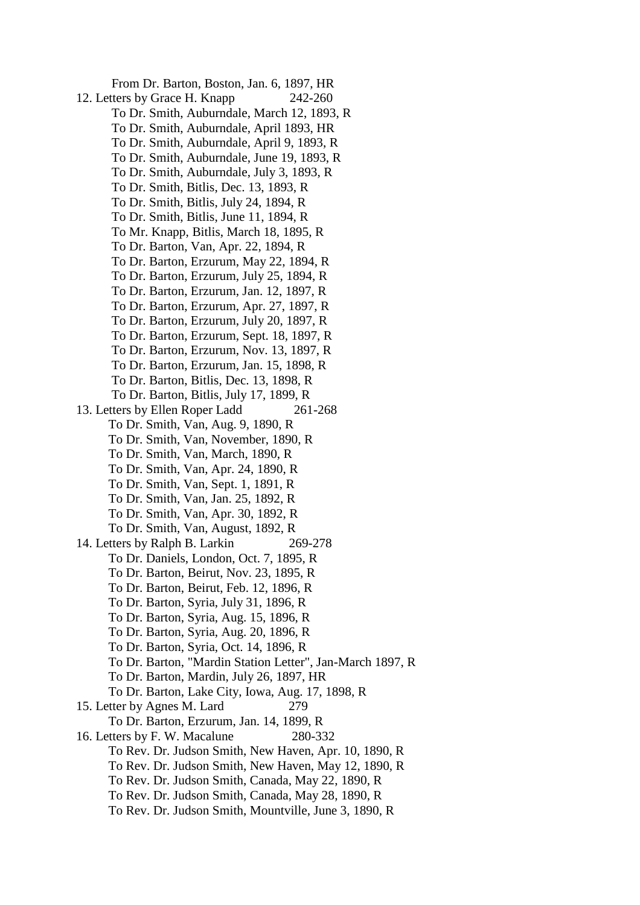From Dr. Barton, Boston, Jan. 6, 1897, HR 12. Letters by Grace H. Knapp 242-260 To Dr. Smith, Auburndale, March 12, 1893, R To Dr. Smith, Auburndale, April 1893, HR To Dr. Smith, Auburndale, April 9, 1893, R To Dr. Smith, Auburndale, June 19, 1893, R To Dr. Smith, Auburndale, July 3, 1893, R To Dr. Smith, Bitlis, Dec. 13, 1893, R To Dr. Smith, Bitlis, July 24, 1894, R To Dr. Smith, Bitlis, June 11, 1894, R To Mr. Knapp, Bitlis, March 18, 1895, R To Dr. Barton, Van, Apr. 22, 1894, R To Dr. Barton, Erzurum, May 22, 1894, R To Dr. Barton, Erzurum, July 25, 1894, R To Dr. Barton, Erzurum, Jan. 12, 1897, R To Dr. Barton, Erzurum, Apr. 27, 1897, R To Dr. Barton, Erzurum, July 20, 1897, R To Dr. Barton, Erzurum, Sept. 18, 1897, R To Dr. Barton, Erzurum, Nov. 13, 1897, R To Dr. Barton, Erzurum, Jan. 15, 1898, R To Dr. Barton, Bitlis, Dec. 13, 1898, R To Dr. Barton, Bitlis, July 17, 1899, R 13. Letters by Ellen Roper Ladd 261-268 To Dr. Smith, Van, Aug. 9, 1890, R To Dr. Smith, Van, November, 1890, R To Dr. Smith, Van, March, 1890, R To Dr. Smith, Van, Apr. 24, 1890, R To Dr. Smith, Van, Sept. 1, 1891, R To Dr. Smith, Van, Jan. 25, 1892, R To Dr. Smith, Van, Apr. 30, 1892, R To Dr. Smith, Van, August, 1892, R 14. Letters by Ralph B. Larkin 269-278 To Dr. Daniels, London, Oct. 7, 1895, R To Dr. Barton, Beirut, Nov. 23, 1895, R To Dr. Barton, Beirut, Feb. 12, 1896, R To Dr. Barton, Syria, July 31, 1896, R To Dr. Barton, Syria, Aug. 15, 1896, R To Dr. Barton, Syria, Aug. 20, 1896, R To Dr. Barton, Syria, Oct. 14, 1896, R To Dr. Barton, "Mardin Station Letter", Jan-March 1897, R To Dr. Barton, Mardin, July 26, 1897, HR To Dr. Barton, Lake City, Iowa, Aug. 17, 1898, R 15. Letter by Agnes M. Lard 279 To Dr. Barton, Erzurum, Jan. 14, 1899, R 16. Letters by F. W. Macalune 280-332 To Rev. Dr. Judson Smith, New Haven, Apr. 10, 1890, R To Rev. Dr. Judson Smith, New Haven, May 12, 1890, R To Rev. Dr. Judson Smith, Canada, May 22, 1890, R To Rev. Dr. Judson Smith, Canada, May 28, 1890, R To Rev. Dr. Judson Smith, Mountville, June 3, 1890, R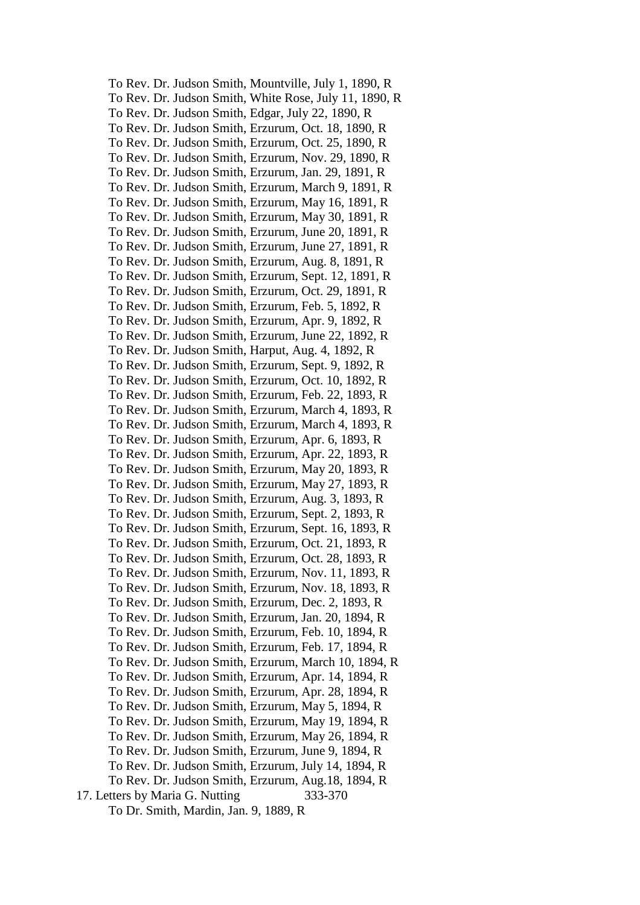To Rev. Dr. Judson Smith, Mountville, July 1, 1890, R To Rev. Dr. Judson Smith, White Rose, July 11, 1890, R To Rev. Dr. Judson Smith, Edgar, July 22, 1890, R To Rev. Dr. Judson Smith, Erzurum, Oct. 18, 1890, R To Rev. Dr. Judson Smith, Erzurum, Oct. 25, 1890, R To Rev. Dr. Judson Smith, Erzurum, Nov. 29, 1890, R To Rev. Dr. Judson Smith, Erzurum, Jan. 29, 1891, R To Rev. Dr. Judson Smith, Erzurum, March 9, 1891, R To Rev. Dr. Judson Smith, Erzurum, May 16, 1891, R To Rev. Dr. Judson Smith, Erzurum, May 30, 1891, R To Rev. Dr. Judson Smith, Erzurum, June 20, 1891, R To Rev. Dr. Judson Smith, Erzurum, June 27, 1891, R To Rev. Dr. Judson Smith, Erzurum, Aug. 8, 1891, R To Rev. Dr. Judson Smith, Erzurum, Sept. 12, 1891, R To Rev. Dr. Judson Smith, Erzurum, Oct. 29, 1891, R To Rev. Dr. Judson Smith, Erzurum, Feb. 5, 1892, R To Rev. Dr. Judson Smith, Erzurum, Apr. 9, 1892, R To Rev. Dr. Judson Smith, Erzurum, June 22, 1892, R To Rev. Dr. Judson Smith, Harput, Aug. 4, 1892, R To Rev. Dr. Judson Smith, Erzurum, Sept. 9, 1892, R To Rev. Dr. Judson Smith, Erzurum, Oct. 10, 1892, R To Rev. Dr. Judson Smith, Erzurum, Feb. 22, 1893, R To Rev. Dr. Judson Smith, Erzurum, March 4, 1893, R To Rev. Dr. Judson Smith, Erzurum, March 4, 1893, R To Rev. Dr. Judson Smith, Erzurum, Apr. 6, 1893, R To Rev. Dr. Judson Smith, Erzurum, Apr. 22, 1893, R To Rev. Dr. Judson Smith, Erzurum, May 20, 1893, R To Rev. Dr. Judson Smith, Erzurum, May 27, 1893, R To Rev. Dr. Judson Smith, Erzurum, Aug. 3, 1893, R To Rev. Dr. Judson Smith, Erzurum, Sept. 2, 1893, R To Rev. Dr. Judson Smith, Erzurum, Sept. 16, 1893, R To Rev. Dr. Judson Smith, Erzurum, Oct. 21, 1893, R To Rev. Dr. Judson Smith, Erzurum, Oct. 28, 1893, R To Rev. Dr. Judson Smith, Erzurum, Nov. 11, 1893, R To Rev. Dr. Judson Smith, Erzurum, Nov. 18, 1893, R To Rev. Dr. Judson Smith, Erzurum, Dec. 2, 1893, R To Rev. Dr. Judson Smith, Erzurum, Jan. 20, 1894, R To Rev. Dr. Judson Smith, Erzurum, Feb. 10, 1894, R To Rev. Dr. Judson Smith, Erzurum, Feb. 17, 1894, R To Rev. Dr. Judson Smith, Erzurum, March 10, 1894, R To Rev. Dr. Judson Smith, Erzurum, Apr. 14, 1894, R To Rev. Dr. Judson Smith, Erzurum, Apr. 28, 1894, R To Rev. Dr. Judson Smith, Erzurum, May 5, 1894, R To Rev. Dr. Judson Smith, Erzurum, May 19, 1894, R To Rev. Dr. Judson Smith, Erzurum, May 26, 1894, R To Rev. Dr. Judson Smith, Erzurum, June 9, 1894, R To Rev. Dr. Judson Smith, Erzurum, July 14, 1894, R To Rev. Dr. Judson Smith, Erzurum, Aug.18, 1894, R 17. Letters by Maria G. Nutting 333-370 To Dr. Smith, Mardin, Jan. 9, 1889, R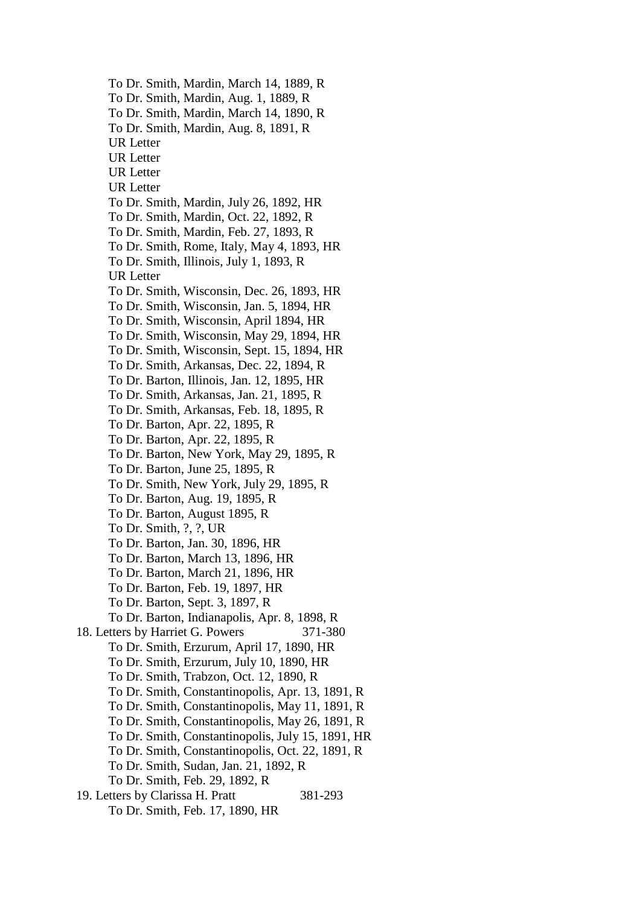To Dr. Smith, Mardin, March 14, 1889, R To Dr. Smith, Mardin, Aug. 1, 1889, R To Dr. Smith, Mardin, March 14, 1890, R To Dr. Smith, Mardin, Aug. 8, 1891, R UR Letter UR Letter UR Letter UR Letter To Dr. Smith, Mardin, July 26, 1892, HR To Dr. Smith, Mardin, Oct. 22, 1892, R To Dr. Smith, Mardin, Feb. 27, 1893, R To Dr. Smith, Rome, Italy, May 4, 1893, HR To Dr. Smith, Illinois, July 1, 1893, R UR Letter To Dr. Smith, Wisconsin, Dec. 26, 1893, HR To Dr. Smith, Wisconsin, Jan. 5, 1894, HR To Dr. Smith, Wisconsin, April 1894, HR To Dr. Smith, Wisconsin, May 29, 1894, HR To Dr. Smith, Wisconsin, Sept. 15, 1894, HR To Dr. Smith, Arkansas, Dec. 22, 1894, R To Dr. Barton, Illinois, Jan. 12, 1895, HR To Dr. Smith, Arkansas, Jan. 21, 1895, R To Dr. Smith, Arkansas, Feb. 18, 1895, R To Dr. Barton, Apr. 22, 1895, R To Dr. Barton, Apr. 22, 1895, R To Dr. Barton, New York, May 29, 1895, R To Dr. Barton, June 25, 1895, R To Dr. Smith, New York, July 29, 1895, R To Dr. Barton, Aug. 19, 1895, R To Dr. Barton, August 1895, R To Dr. Smith, ?, ?, UR To Dr. Barton, Jan. 30, 1896, HR To Dr. Barton, March 13, 1896, HR To Dr. Barton, March 21, 1896, HR To Dr. Barton, Feb. 19, 1897, HR To Dr. Barton, Sept. 3, 1897, R To Dr. Barton, Indianapolis, Apr. 8, 1898, R 18. Letters by Harriet G. Powers 371-380 To Dr. Smith, Erzurum, April 17, 1890, HR To Dr. Smith, Erzurum, July 10, 1890, HR To Dr. Smith, Trabzon, Oct. 12, 1890, R To Dr. Smith, Constantinopolis, Apr. 13, 1891, R To Dr. Smith, Constantinopolis, May 11, 1891, R To Dr. Smith, Constantinopolis, May 26, 1891, R To Dr. Smith, Constantinopolis, July 15, 1891, HR To Dr. Smith, Constantinopolis, Oct. 22, 1891, R To Dr. Smith, Sudan, Jan. 21, 1892, R To Dr. Smith, Feb. 29, 1892, R 19. Letters by Clarissa H. Pratt 381-293 To Dr. Smith, Feb. 17, 1890, HR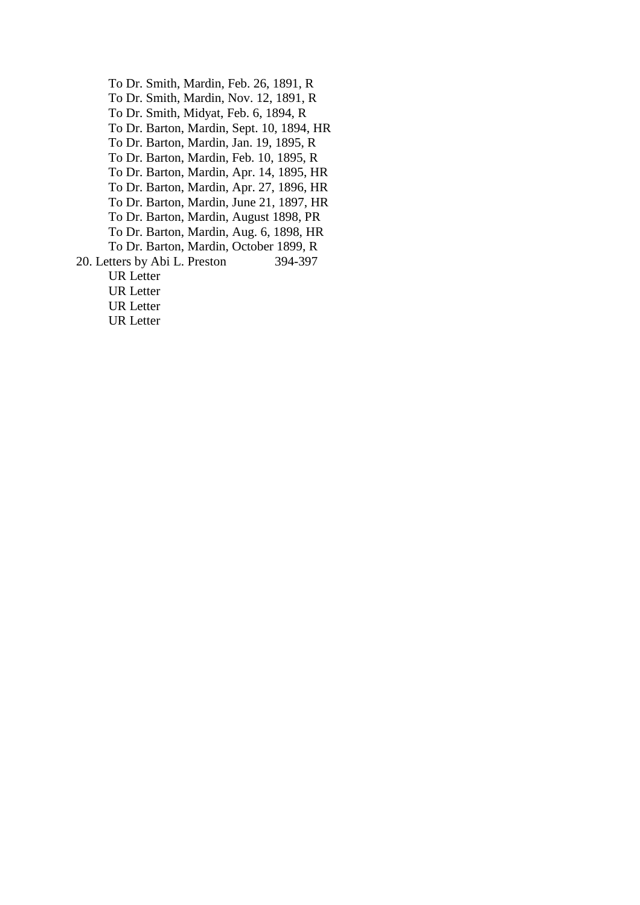To Dr. Smith, Mardin, Feb. 26, 1891, R To Dr. Smith, Mardin, Nov. 12, 1891, R To Dr. Smith, Midyat, Feb. 6, 1894, R To Dr. Barton, Mardin, Sept. 10, 1894, HR To Dr. Barton, Mardin, Jan. 19, 1895, R To Dr. Barton, Mardin, Feb. 10, 1895, R To Dr. Barton, Mardin, Apr. 14, 1895, HR To Dr. Barton, Mardin, Apr. 27, 1896, HR To Dr. Barton, Mardin, June 21, 1897, HR To Dr. Barton, Mardin, August 1898, PR To Dr. Barton, Mardin, Aug. 6, 1898, HR To Dr. Barton, Mardin, October 1899, R 20. Letters by Abi L. Preston 394-397 UR Letter UR Letter UR Letter UR Letter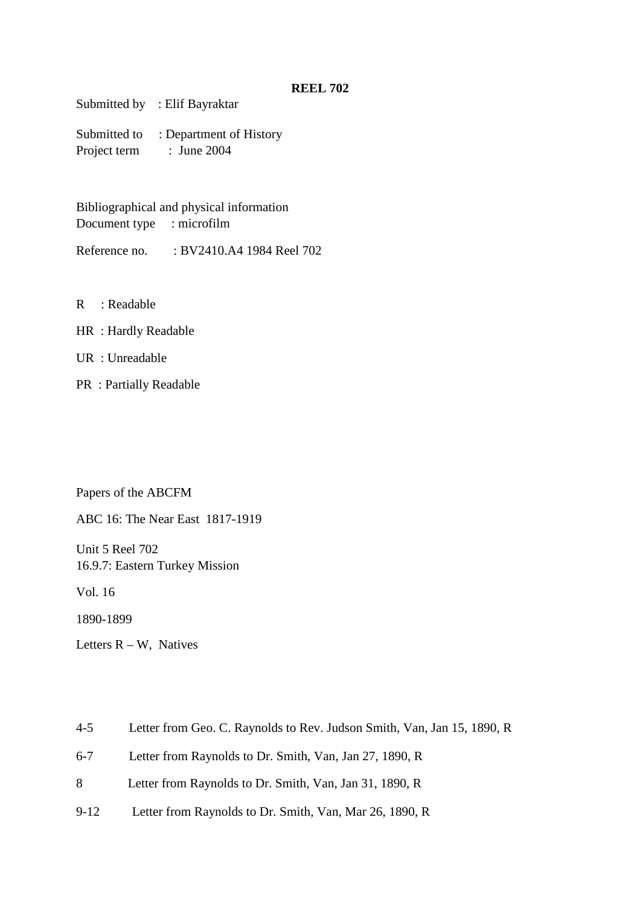Submitted by : Elif Bayraktar

Submitted to : Department of History Project term : June 2004

Bibliographical and physical information Document type : microfilm

Reference no. : BV2410.A4 1984 Reel 702

R : Readable

- HR : Hardly Readable
- UR : Unreadable
- PR : Partially Readable

Papers of the ABCFM

ABC 16: The Near East 1817-1919

Unit 5 Reel 702 16.9.7: Eastern Turkey Mission

Vol. 16

1890-1899

Letters  $R - W$ , Natives

- 4-5 Letter from Geo. C. Raynolds to Rev. Judson Smith, Van, Jan 15, 1890, R
- 6-7 Letter from Raynolds to Dr. Smith, Van, Jan 27, 1890, R
- 8 Letter from Raynolds to Dr. Smith, Van, Jan 31, 1890, R
- 9-12 Letter from Raynolds to Dr. Smith, Van, Mar 26, 1890, R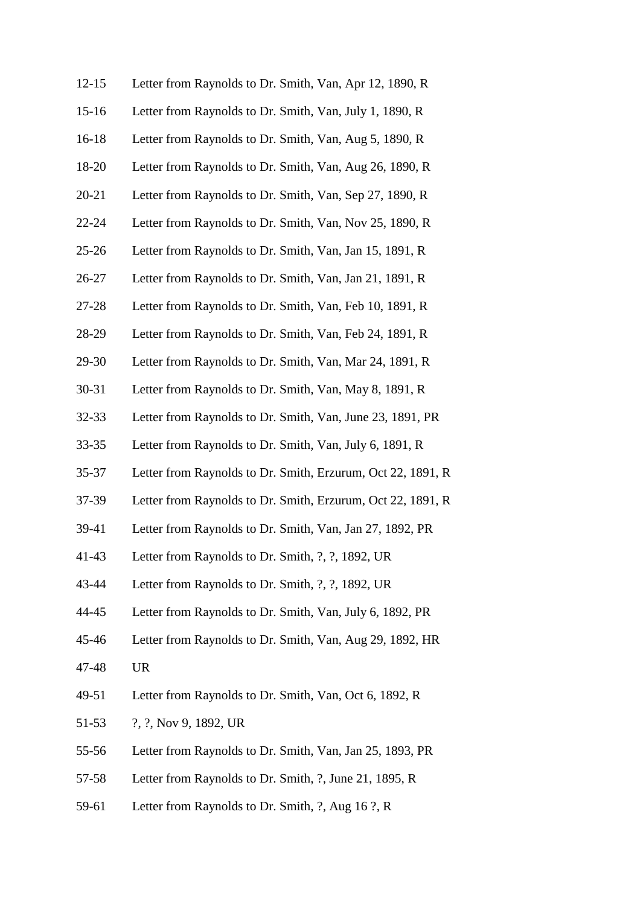| $12 - 15$ | Letter from Raynolds to Dr. Smith, Van, Apr 12, 1890, R     |
|-----------|-------------------------------------------------------------|
| $15 - 16$ | Letter from Raynolds to Dr. Smith, Van, July 1, 1890, R     |
| $16-18$   | Letter from Raynolds to Dr. Smith, Van, Aug 5, 1890, R      |
| 18-20     | Letter from Raynolds to Dr. Smith, Van, Aug 26, 1890, R     |
| $20 - 21$ | Letter from Raynolds to Dr. Smith, Van, Sep 27, 1890, R     |
| $22 - 24$ | Letter from Raynolds to Dr. Smith, Van, Nov 25, 1890, R     |
| $25 - 26$ | Letter from Raynolds to Dr. Smith, Van, Jan 15, 1891, R     |
| $26 - 27$ | Letter from Raynolds to Dr. Smith, Van, Jan 21, 1891, R     |
| 27-28     | Letter from Raynolds to Dr. Smith, Van, Feb 10, 1891, R     |
| 28-29     | Letter from Raynolds to Dr. Smith, Van, Feb 24, 1891, R     |
| 29-30     | Letter from Raynolds to Dr. Smith, Van, Mar 24, 1891, R     |
| 30-31     | Letter from Raynolds to Dr. Smith, Van, May 8, 1891, R      |
| $32 - 33$ | Letter from Raynolds to Dr. Smith, Van, June 23, 1891, PR   |
| $33 - 35$ | Letter from Raynolds to Dr. Smith, Van, July 6, 1891, R     |
| $35 - 37$ | Letter from Raynolds to Dr. Smith, Erzurum, Oct 22, 1891, R |
| 37-39     | Letter from Raynolds to Dr. Smith, Erzurum, Oct 22, 1891, R |
| 39-41     | Letter from Raynolds to Dr. Smith, Van, Jan 27, 1892, PR    |
| $41 - 43$ | Letter from Raynolds to Dr. Smith, ?, ?, 1892, UR           |
| 43-44     | Letter from Raynolds to Dr. Smith, ?, ?, 1892, UR           |
| 44-45     | Letter from Raynolds to Dr. Smith, Van, July 6, 1892, PR    |
| 45-46     | Letter from Raynolds to Dr. Smith, Van, Aug 29, 1892, HR    |
| 47-48     | <b>UR</b>                                                   |
| 49-51     | Letter from Raynolds to Dr. Smith, Van, Oct 6, 1892, R      |
| 51-53     | ?, ?, Nov 9, 1892, UR                                       |
| 55-56     | Letter from Raynolds to Dr. Smith, Van, Jan 25, 1893, PR    |
| 57-58     | Letter from Raynolds to Dr. Smith, ?, June 21, 1895, R      |
|           |                                                             |

59-61 Letter from Raynolds to Dr. Smith, ?, Aug 16 ?, R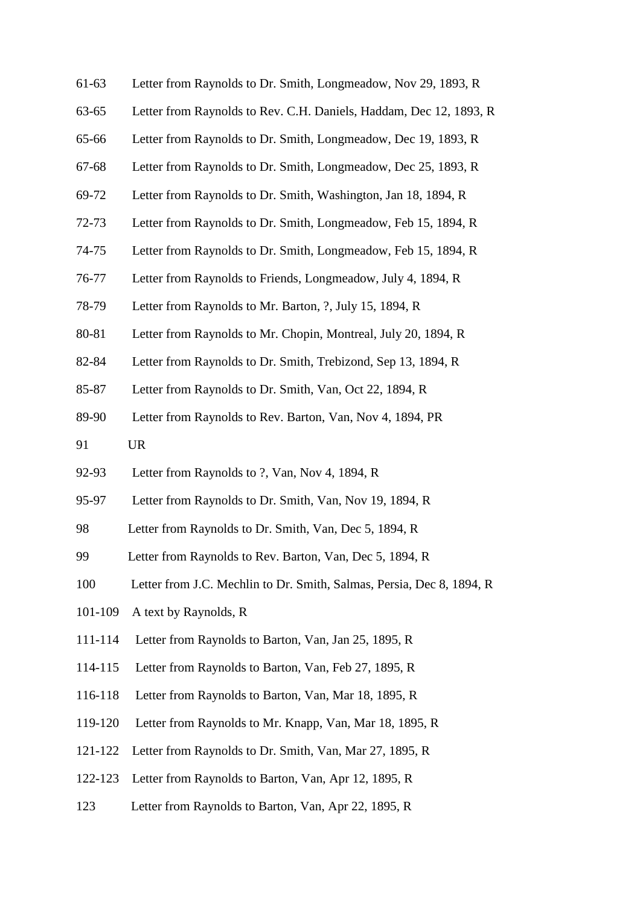| $61-63$ | Letter from Raynolds to Dr. Smith, Longmeadow, Nov 29, 1893, R        |
|---------|-----------------------------------------------------------------------|
| 63-65   | Letter from Raynolds to Rev. C.H. Daniels, Haddam, Dec 12, 1893, R    |
| 65-66   | Letter from Raynolds to Dr. Smith, Longmeadow, Dec 19, 1893, R        |
| 67-68   | Letter from Raynolds to Dr. Smith, Longmeadow, Dec 25, 1893, R        |
| 69-72   | Letter from Raynolds to Dr. Smith, Washington, Jan 18, 1894, R        |
| 72-73   | Letter from Raynolds to Dr. Smith, Longmeadow, Feb 15, 1894, R        |
| 74-75   | Letter from Raynolds to Dr. Smith, Longmeadow, Feb 15, 1894, R        |
| 76-77   | Letter from Raynolds to Friends, Longmeadow, July 4, 1894, R          |
| 78-79   | Letter from Raynolds to Mr. Barton, ?, July 15, 1894, R               |
| 80-81   | Letter from Raynolds to Mr. Chopin, Montreal, July 20, 1894, R        |
| 82-84   | Letter from Raynolds to Dr. Smith, Trebizond, Sep 13, 1894, R         |
| 85-87   | Letter from Raynolds to Dr. Smith, Van, Oct 22, 1894, R               |
| 89-90   | Letter from Raynolds to Rev. Barton, Van, Nov 4, 1894, PR             |
| 91      | <b>UR</b>                                                             |
| 92-93   | Letter from Raynolds to ?, Van, Nov 4, 1894, R                        |
| 95-97   | Letter from Raynolds to Dr. Smith, Van, Nov 19, 1894, R               |
| 98      | Letter from Raynolds to Dr. Smith, Van, Dec 5, 1894, R                |
| 99      | Letter from Raynolds to Rev. Barton, Van, Dec 5, 1894, R              |
| 100     | Letter from J.C. Mechlin to Dr. Smith, Salmas, Persia, Dec 8, 1894, R |
| 101-109 | A text by Raynolds, R                                                 |
| 111-114 | Letter from Raynolds to Barton, Van, Jan 25, 1895, R                  |
| 114-115 | Letter from Raynolds to Barton, Van, Feb 27, 1895, R                  |
| 116-118 | Letter from Raynolds to Barton, Van, Mar 18, 1895, R                  |
| 119-120 | Letter from Raynolds to Mr. Knapp, Van, Mar 18, 1895, R               |
| 121-122 | Letter from Raynolds to Dr. Smith, Van, Mar 27, 1895, R               |
| 122-123 | Letter from Raynolds to Barton, Van, Apr 12, 1895, R                  |
| 123     | Letter from Raynolds to Barton, Van, Apr 22, 1895, R                  |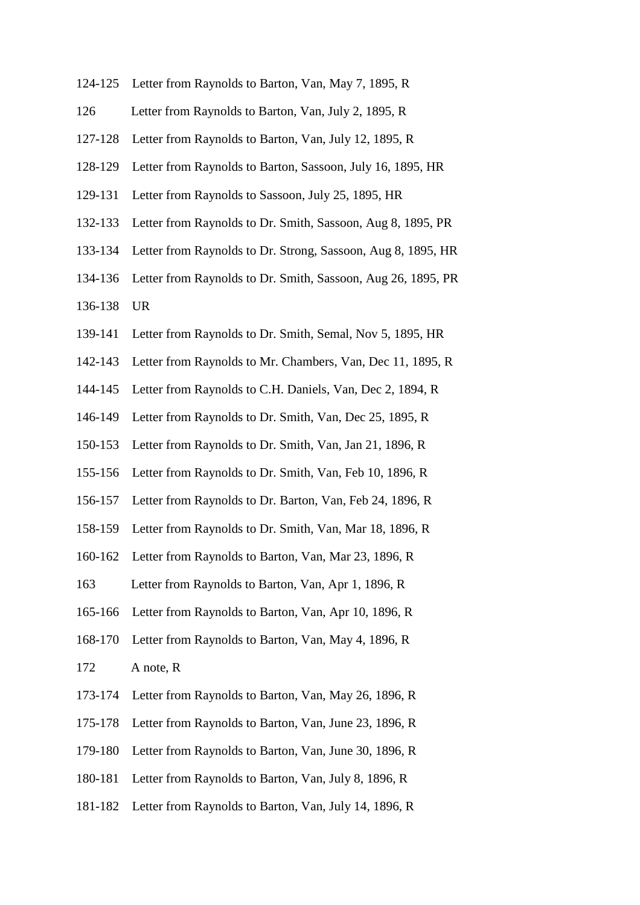- 124-125 Letter from Raynolds to Barton, Van, May 7, 1895, R
- 126 Letter from Raynolds to Barton, Van, July 2, 1895, R
- 127-128 Letter from Raynolds to Barton, Van, July 12, 1895, R
- 128-129 Letter from Raynolds to Barton, Sassoon, July 16, 1895, HR
- 129-131 Letter from Raynolds to Sassoon, July 25, 1895, HR
- 132-133 Letter from Raynolds to Dr. Smith, Sassoon, Aug 8, 1895, PR
- 133-134 Letter from Raynolds to Dr. Strong, Sassoon, Aug 8, 1895, HR
- 134-136 Letter from Raynolds to Dr. Smith, Sassoon, Aug 26, 1895, PR
- 136-138 UR
- 139-141 Letter from Raynolds to Dr. Smith, Semal, Nov 5, 1895, HR
- 142-143 Letter from Raynolds to Mr. Chambers, Van, Dec 11, 1895, R
- 144-145 Letter from Raynolds to C.H. Daniels, Van, Dec 2, 1894, R
- 146-149 Letter from Raynolds to Dr. Smith, Van, Dec 25, 1895, R
- 150-153 Letter from Raynolds to Dr. Smith, Van, Jan 21, 1896, R
- 155-156 Letter from Raynolds to Dr. Smith, Van, Feb 10, 1896, R
- 156-157 Letter from Raynolds to Dr. Barton, Van, Feb 24, 1896, R
- 158-159 Letter from Raynolds to Dr. Smith, Van, Mar 18, 1896, R
- 160-162 Letter from Raynolds to Barton, Van, Mar 23, 1896, R
- 163 Letter from Raynolds to Barton, Van, Apr 1, 1896, R
- 165-166 Letter from Raynolds to Barton, Van, Apr 10, 1896, R
- 168-170 Letter from Raynolds to Barton, Van, May 4, 1896, R
- 172 A note, R
- 173-174 Letter from Raynolds to Barton, Van, May 26, 1896, R
- 175-178 Letter from Raynolds to Barton, Van, June 23, 1896, R
- 179-180 Letter from Raynolds to Barton, Van, June 30, 1896, R
- 180-181 Letter from Raynolds to Barton, Van, July 8, 1896, R
- 181-182 Letter from Raynolds to Barton, Van, July 14, 1896, R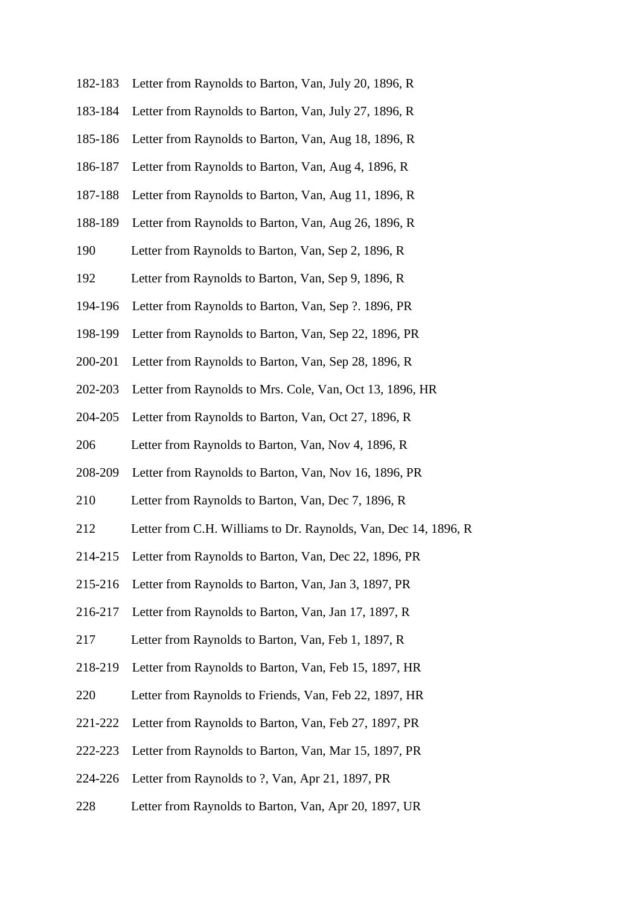| 182-183 | Letter from Raynolds to Barton, Van, July 20, 1896, R           |
|---------|-----------------------------------------------------------------|
| 183-184 | Letter from Raynolds to Barton, Van, July 27, 1896, R           |
| 185-186 | Letter from Raynolds to Barton, Van, Aug 18, 1896, R            |
| 186-187 | Letter from Raynolds to Barton, Van, Aug 4, 1896, R             |
| 187-188 | Letter from Raynolds to Barton, Van, Aug 11, 1896, R            |
| 188-189 | Letter from Raynolds to Barton, Van, Aug 26, 1896, R            |
| 190     | Letter from Raynolds to Barton, Van, Sep 2, 1896, R             |
| 192     | Letter from Raynolds to Barton, Van, Sep 9, 1896, R             |
| 194-196 | Letter from Raynolds to Barton, Van, Sep ?. 1896, PR            |
| 198-199 | Letter from Raynolds to Barton, Van, Sep 22, 1896, PR           |
| 200-201 | Letter from Raynolds to Barton, Van, Sep 28, 1896, R            |
| 202-203 | Letter from Raynolds to Mrs. Cole, Van, Oct 13, 1896, HR        |
| 204-205 | Letter from Raynolds to Barton, Van, Oct 27, 1896, R            |
| 206     | Letter from Raynolds to Barton, Van, Nov 4, 1896, R             |
| 208-209 | Letter from Raynolds to Barton, Van, Nov 16, 1896, PR           |
| 210     | Letter from Raynolds to Barton, Van, Dec 7, 1896, R             |
| 212     | Letter from C.H. Williams to Dr. Raynolds, Van, Dec 14, 1896, R |
|         | 214-215 Letter from Raynolds to Barton, Van, Dec 22, 1896, PR   |
| 215-216 | Letter from Raynolds to Barton, Van, Jan 3, 1897, PR            |
| 216-217 | Letter from Raynolds to Barton, Van, Jan 17, 1897, R            |
| 217     | Letter from Raynolds to Barton, Van, Feb 1, 1897, R             |
| 218-219 | Letter from Raynolds to Barton, Van, Feb 15, 1897, HR           |
| 220     | Letter from Raynolds to Friends, Van, Feb 22, 1897, HR          |
| 221-222 | Letter from Raynolds to Barton, Van, Feb 27, 1897, PR           |
| 222-223 | Letter from Raynolds to Barton, Van, Mar 15, 1897, PR           |
| 224-226 | Letter from Raynolds to ?, Van, Apr 21, 1897, PR                |
|         |                                                                 |

228 Letter from Raynolds to Barton, Van, Apr 20, 1897, UR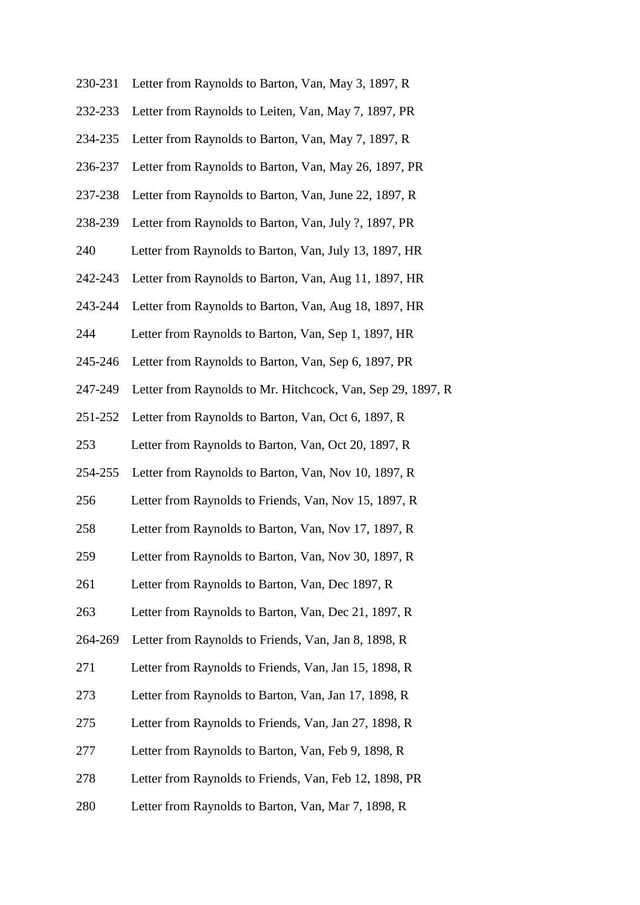| 230-231 | Letter from Raynolds to Barton, Van, May 3, 1897, R         |
|---------|-------------------------------------------------------------|
| 232-233 | Letter from Raynolds to Leiten, Van, May 7, 1897, PR        |
| 234-235 | Letter from Raynolds to Barton, Van, May 7, 1897, R         |
| 236-237 | Letter from Raynolds to Barton, Van, May 26, 1897, PR       |
| 237-238 | Letter from Raynolds to Barton, Van, June 22, 1897, R       |
| 238-239 | Letter from Raynolds to Barton, Van, July ?, 1897, PR       |
| 240     | Letter from Raynolds to Barton, Van, July 13, 1897, HR      |
| 242-243 | Letter from Raynolds to Barton, Van, Aug 11, 1897, HR       |
| 243-244 | Letter from Raynolds to Barton, Van, Aug 18, 1897, HR       |
| 244     | Letter from Raynolds to Barton, Van, Sep 1, 1897, HR        |
| 245-246 | Letter from Raynolds to Barton, Van, Sep 6, 1897, PR        |
| 247-249 | Letter from Raynolds to Mr. Hitchcock, Van, Sep 29, 1897, R |
| 251-252 | Letter from Raynolds to Barton, Van, Oct 6, 1897, R         |
| 253     | Letter from Raynolds to Barton, Van, Oct 20, 1897, R        |
| 254-255 | Letter from Raynolds to Barton, Van, Nov 10, 1897, R        |
| 256     | Letter from Raynolds to Friends, Van, Nov 15, 1897, R       |
| 258     | Letter from Raynolds to Barton, Van, Nov 17, 1897, R        |
| 259     | Letter from Raynolds to Barton, Van, Nov 30, 1897, R        |
| 261     | Letter from Raynolds to Barton, Van, Dec 1897, R            |
| 263     | Letter from Raynolds to Barton, Van, Dec 21, 1897, R        |
| 264-269 | Letter from Raynolds to Friends, Van, Jan 8, 1898, R        |
| 271     | Letter from Raynolds to Friends, Van, Jan 15, 1898, R       |
| 273     | Letter from Raynolds to Barton, Van, Jan 17, 1898, R        |
| 275     | Letter from Raynolds to Friends, Van, Jan 27, 1898, R       |
| 277     | Letter from Raynolds to Barton, Van, Feb 9, 1898, R         |
| 278     | Letter from Raynolds to Friends, Van, Feb 12, 1898, PR      |
| 280     | Letter from Raynolds to Barton, Van, Mar 7, 1898, R         |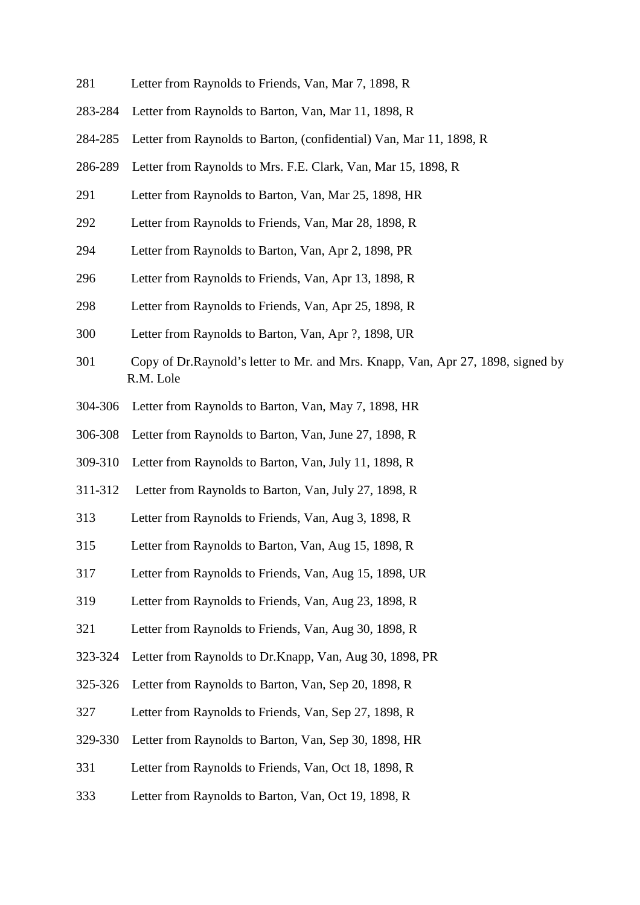- 281 Letter from Raynolds to Friends, Van, Mar 7, 1898, R
- 283-284 Letter from Raynolds to Barton, Van, Mar 11, 1898, R
- 284-285 Letter from Raynolds to Barton, (confidential) Van, Mar 11, 1898, R
- 286-289 Letter from Raynolds to Mrs. F.E. Clark, Van, Mar 15, 1898, R
- 291 Letter from Raynolds to Barton, Van, Mar 25, 1898, HR
- 292 Letter from Raynolds to Friends, Van, Mar 28, 1898, R
- 294 Letter from Raynolds to Barton, Van, Apr 2, 1898, PR
- 296 Letter from Raynolds to Friends, Van, Apr 13, 1898, R
- 298 Letter from Raynolds to Friends, Van, Apr 25, 1898, R
- 300 Letter from Raynolds to Barton, Van, Apr ?, 1898, UR
- 301 Copy of Dr.Raynold's letter to Mr. and Mrs. Knapp, Van, Apr 27, 1898, signed by R.M. Lole
- 304-306 Letter from Raynolds to Barton, Van, May 7, 1898, HR
- 306-308 Letter from Raynolds to Barton, Van, June 27, 1898, R
- 309-310 Letter from Raynolds to Barton, Van, July 11, 1898, R
- 311-312 Letter from Raynolds to Barton, Van, July 27, 1898, R
- 313 Letter from Raynolds to Friends, Van, Aug 3, 1898, R
- 315 Letter from Raynolds to Barton, Van, Aug 15, 1898, R
- 317 Letter from Raynolds to Friends, Van, Aug 15, 1898, UR
- 319 Letter from Raynolds to Friends, Van, Aug 23, 1898, R
- 321 Letter from Raynolds to Friends, Van, Aug 30, 1898, R
- 323-324 Letter from Raynolds to Dr.Knapp, Van, Aug 30, 1898, PR
- 325-326 Letter from Raynolds to Barton, Van, Sep 20, 1898, R
- 327 Letter from Raynolds to Friends, Van, Sep 27, 1898, R
- 329-330 Letter from Raynolds to Barton, Van, Sep 30, 1898, HR
- 331 Letter from Raynolds to Friends, Van, Oct 18, 1898, R
- 333 Letter from Raynolds to Barton, Van, Oct 19, 1898, R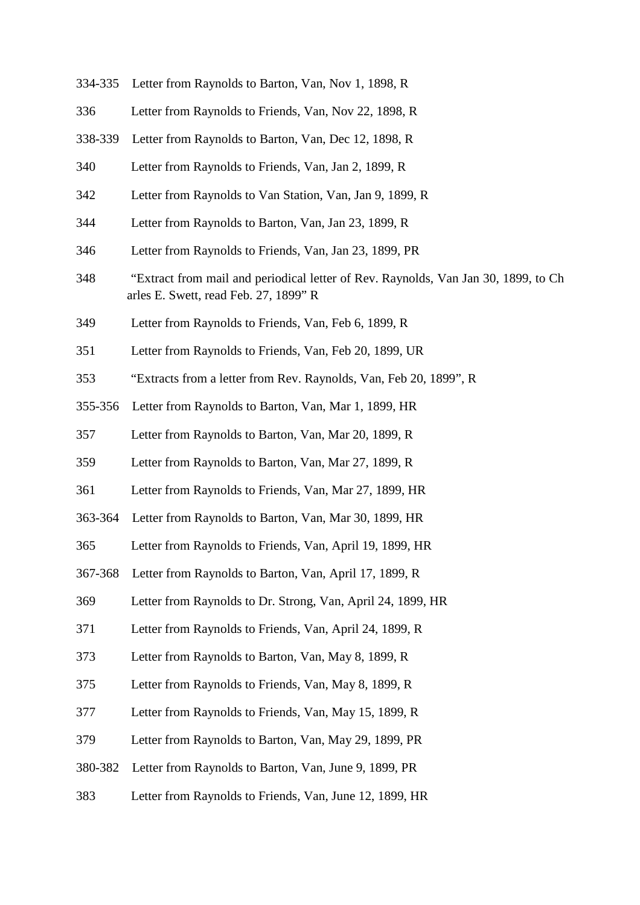| 334-335 | Letter from Raynolds to Barton, Van, Nov 1, 1898, R                                                                         |
|---------|-----------------------------------------------------------------------------------------------------------------------------|
| 336     | Letter from Raynolds to Friends, Van, Nov 22, 1898, R                                                                       |
| 338-339 | Letter from Raynolds to Barton, Van, Dec 12, 1898, R                                                                        |
| 340     | Letter from Raynolds to Friends, Van, Jan 2, 1899, R                                                                        |
| 342     | Letter from Raynolds to Van Station, Van, Jan 9, 1899, R                                                                    |
| 344     | Letter from Raynolds to Barton, Van, Jan 23, 1899, R                                                                        |
| 346     | Letter from Raynolds to Friends, Van, Jan 23, 1899, PR                                                                      |
| 348     | "Extract from mail and periodical letter of Rev. Raynolds, Van Jan 30, 1899, to Ch<br>arles E. Swett, read Feb. 27, 1899" R |
| 349     | Letter from Raynolds to Friends, Van, Feb 6, 1899, R                                                                        |
| 351     | Letter from Raynolds to Friends, Van, Feb 20, 1899, UR                                                                      |
| 353     | "Extracts from a letter from Rev. Raynolds, Van, Feb 20, 1899", R                                                           |
| 355-356 | Letter from Raynolds to Barton, Van, Mar 1, 1899, HR                                                                        |
| 357     | Letter from Raynolds to Barton, Van, Mar 20, 1899, R                                                                        |
| 359     | Letter from Raynolds to Barton, Van, Mar 27, 1899, R                                                                        |
| 361     | Letter from Raynolds to Friends, Van, Mar 27, 1899, HR                                                                      |
| 363-364 | Letter from Raynolds to Barton, Van, Mar 30, 1899, HR                                                                       |
| 365     | Letter from Raynolds to Friends, Van, April 19, 1899, HR                                                                    |
| 367-368 | Letter from Raynolds to Barton, Van, April 17, 1899, R                                                                      |
| 369     | Letter from Raynolds to Dr. Strong, Van, April 24, 1899, HR                                                                 |
| 371     | Letter from Raynolds to Friends, Van, April 24, 1899, R                                                                     |
| 373     | Letter from Raynolds to Barton, Van, May 8, 1899, R                                                                         |
| 375     | Letter from Raynolds to Friends, Van, May 8, 1899, R                                                                        |
| 377     | Letter from Raynolds to Friends, Van, May 15, 1899, R                                                                       |
| 379     | Letter from Raynolds to Barton, Van, May 29, 1899, PR                                                                       |
| 380-382 | Letter from Raynolds to Barton, Van, June 9, 1899, PR                                                                       |
| 383     | Letter from Raynolds to Friends, Van, June 12, 1899, HR                                                                     |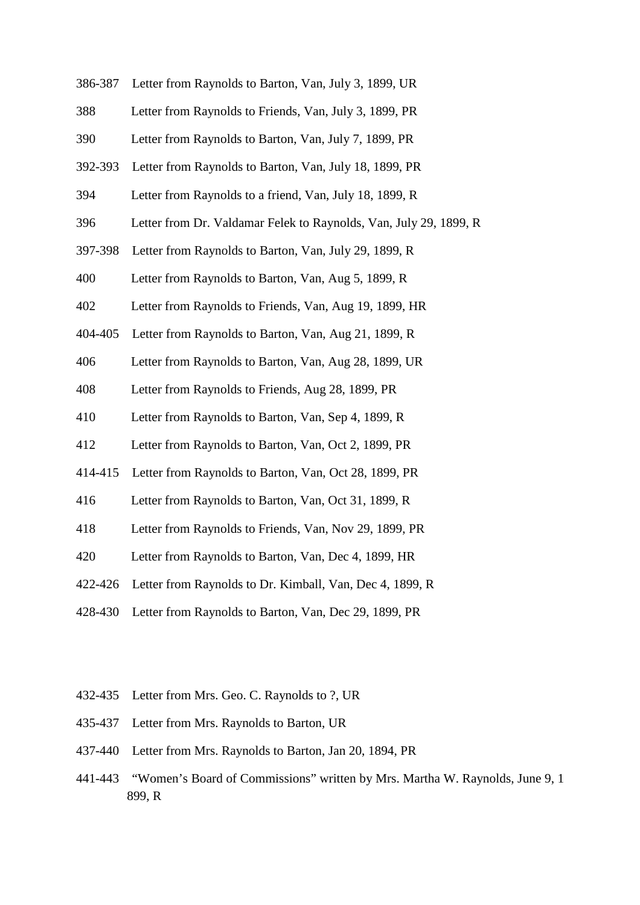| 386-387 | Letter from Raynolds to Barton, Van, July 3, 1899, UR             |
|---------|-------------------------------------------------------------------|
| 388     | Letter from Raynolds to Friends, Van, July 3, 1899, PR            |
| 390     | Letter from Raynolds to Barton, Van, July 7, 1899, PR             |
| 392-393 | Letter from Raynolds to Barton, Van, July 18, 1899, PR            |
| 394     | Letter from Raynolds to a friend, Van, July 18, 1899, R           |
| 396     | Letter from Dr. Valdamar Felek to Raynolds, Van, July 29, 1899, R |
| 397-398 | Letter from Raynolds to Barton, Van, July 29, 1899, R             |
| 400     | Letter from Raynolds to Barton, Van, Aug 5, 1899, R               |
| 402     | Letter from Raynolds to Friends, Van, Aug 19, 1899, HR            |
| 404-405 | Letter from Raynolds to Barton, Van, Aug 21, 1899, R              |
| 406     | Letter from Raynolds to Barton, Van, Aug 28, 1899, UR             |
| 408     | Letter from Raynolds to Friends, Aug 28, 1899, PR                 |
| 410     | Letter from Raynolds to Barton, Van, Sep 4, 1899, R               |
| 412     | Letter from Raynolds to Barton, Van, Oct 2, 1899, PR              |
| 414-415 | Letter from Raynolds to Barton, Van, Oct 28, 1899, PR             |
| 416     | Letter from Raynolds to Barton, Van, Oct 31, 1899, R              |
| 418     | Letter from Raynolds to Friends, Van, Nov 29, 1899, PR            |
| 420     | Letter from Raynolds to Barton, Van, Dec 4, 1899, HR              |
| 422-426 | Letter from Raynolds to Dr. Kimball, Van, Dec 4, 1899, R          |
| 428-430 | Letter from Raynolds to Barton, Van, Dec 29, 1899, PR             |

- 432-435 Letter from Mrs. Geo. C. Raynolds to ?, UR
- 435-437 Letter from Mrs. Raynolds to Barton, UR
- 437-440 Letter from Mrs. Raynolds to Barton, Jan 20, 1894, PR
- 441-443 "Women's Board of Commissions" written by Mrs. Martha W. Raynolds, June 9, 1 899, R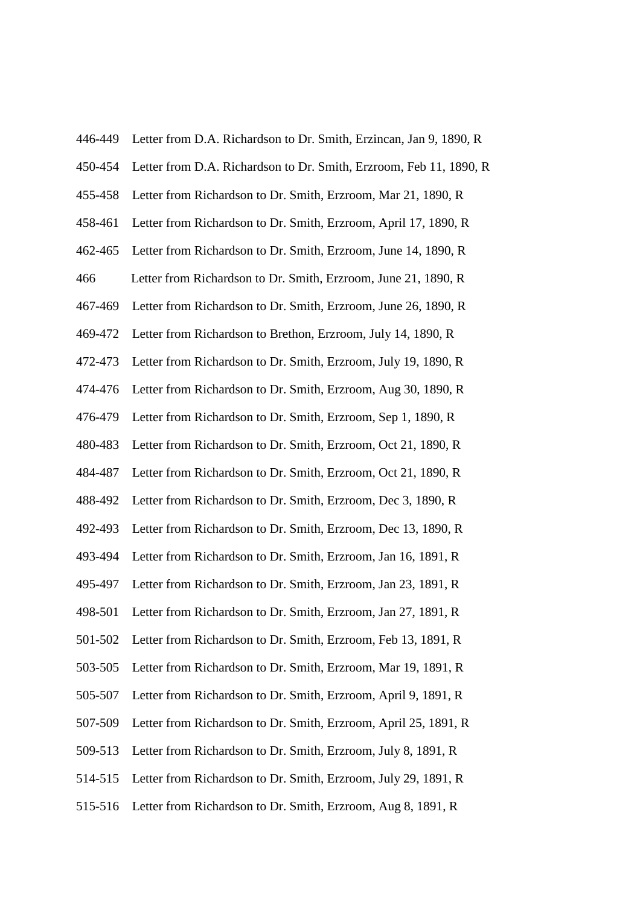| 446-449 | Letter from D.A. Richardson to Dr. Smith, Erzincan, Jan 9, 1890, R |
|---------|--------------------------------------------------------------------|
| 450-454 | Letter from D.A. Richardson to Dr. Smith, Erzroom, Feb 11, 1890, R |
| 455-458 | Letter from Richardson to Dr. Smith, Erzroom, Mar 21, 1890, R      |
| 458-461 | Letter from Richardson to Dr. Smith, Erzroom, April 17, 1890, R    |
| 462-465 | Letter from Richardson to Dr. Smith, Erzroom, June 14, 1890, R     |
| 466     | Letter from Richardson to Dr. Smith, Erzroom, June 21, 1890, R     |
| 467-469 | Letter from Richardson to Dr. Smith, Erzroom, June 26, 1890, R     |
| 469-472 | Letter from Richardson to Brethon, Erzroom, July 14, 1890, R       |
| 472-473 | Letter from Richardson to Dr. Smith, Erzroom, July 19, 1890, R     |
| 474-476 | Letter from Richardson to Dr. Smith, Erzroom, Aug 30, 1890, R      |
| 476-479 | Letter from Richardson to Dr. Smith, Erzroom, Sep 1, 1890, R       |
| 480-483 | Letter from Richardson to Dr. Smith, Erzroom, Oct 21, 1890, R      |
| 484-487 | Letter from Richardson to Dr. Smith, Erzroom, Oct 21, 1890, R      |
| 488-492 | Letter from Richardson to Dr. Smith, Erzroom, Dec 3, 1890, R       |
| 492-493 | Letter from Richardson to Dr. Smith, Erzroom, Dec 13, 1890, R      |
| 493-494 | Letter from Richardson to Dr. Smith, Erzroom, Jan 16, 1891, R      |
| 495-497 | Letter from Richardson to Dr. Smith, Erzroom, Jan 23, 1891, R      |
| 498-501 | Letter from Richardson to Dr. Smith, Erzroom, Jan 27, 1891, R      |
| 501-502 | Letter from Richardson to Dr. Smith, Erzroom, Feb 13, 1891, R      |
| 503-505 | Letter from Richardson to Dr. Smith, Erzroom, Mar 19, 1891, R      |
| 505-507 | Letter from Richardson to Dr. Smith, Erzroom, April 9, 1891, R     |
| 507-509 | Letter from Richardson to Dr. Smith, Erzroom, April 25, 1891, R    |
| 509-513 | Letter from Richardson to Dr. Smith, Erzroom, July 8, 1891, R      |
| 514-515 | Letter from Richardson to Dr. Smith, Erzroom, July 29, 1891, R     |
| 515-516 | Letter from Richardson to Dr. Smith, Erzroom, Aug 8, 1891, R       |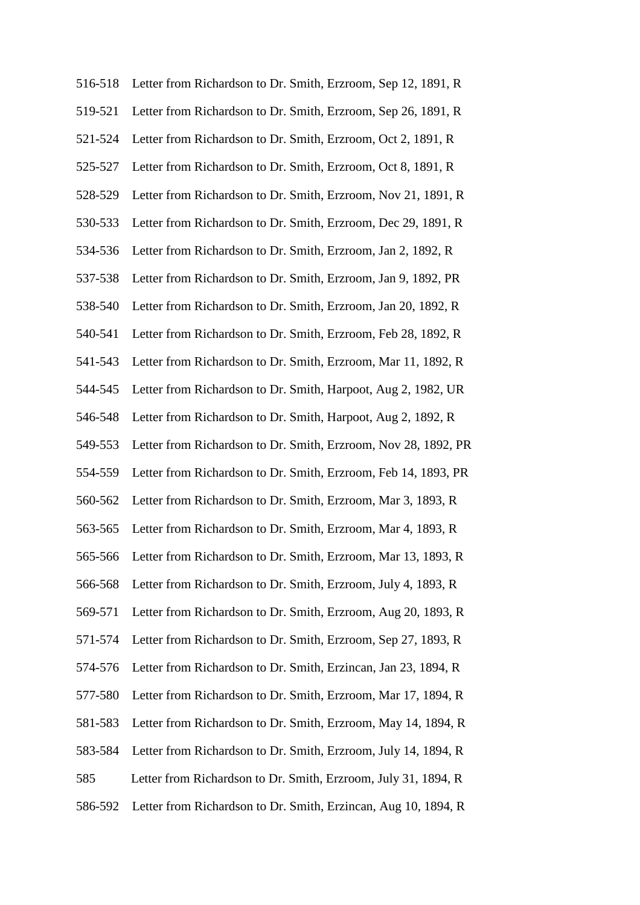| 516-518 | Letter from Richardson to Dr. Smith, Erzroom, Sep 12, 1891, R         |
|---------|-----------------------------------------------------------------------|
| 519-521 | Letter from Richardson to Dr. Smith, Erzroom, Sep 26, 1891, R         |
| 521-524 | Letter from Richardson to Dr. Smith, Erzroom, Oct 2, 1891, R          |
| 525-527 | Letter from Richardson to Dr. Smith, Erzroom, Oct 8, 1891, R          |
| 528-529 | Letter from Richardson to Dr. Smith, Erzroom, Nov 21, 1891, R         |
| 530-533 | Letter from Richardson to Dr. Smith, Erzroom, Dec 29, 1891, R         |
| 534-536 | Letter from Richardson to Dr. Smith, Erzroom, Jan 2, 1892, R          |
| 537-538 | Letter from Richardson to Dr. Smith, Erzroom, Jan 9, 1892, PR         |
| 538-540 | Letter from Richardson to Dr. Smith, Erzroom, Jan 20, 1892, R         |
| 540-541 | Letter from Richardson to Dr. Smith, Erzroom, Feb 28, 1892, R         |
| 541-543 | Letter from Richardson to Dr. Smith, Erzroom, Mar 11, 1892, R         |
| 544-545 | Letter from Richardson to Dr. Smith, Harpoot, Aug 2, 1982, UR         |
| 546-548 | Letter from Richardson to Dr. Smith, Harpoot, Aug 2, 1892, R          |
| 549-553 | Letter from Richardson to Dr. Smith, Erzroom, Nov 28, 1892, PR        |
| 554-559 | Letter from Richardson to Dr. Smith, Erzroom, Feb 14, 1893, PR        |
| 560-562 | Letter from Richardson to Dr. Smith, Erzroom, Mar 3, 1893, R          |
| 563-565 | Letter from Richardson to Dr. Smith, Erzroom, Mar 4, 1893, R          |
|         | 565-566 Letter from Richardson to Dr. Smith, Erzroom, Mar 13, 1893, R |
| 566-568 | Letter from Richardson to Dr. Smith, Erzroom, July 4, 1893, R         |
| 569-571 | Letter from Richardson to Dr. Smith, Erzroom, Aug 20, 1893, R         |
| 571-574 | Letter from Richardson to Dr. Smith, Erzroom, Sep 27, 1893, R         |
| 574-576 | Letter from Richardson to Dr. Smith, Erzincan, Jan 23, 1894, R        |
| 577-580 | Letter from Richardson to Dr. Smith, Erzroom, Mar 17, 1894, R         |
| 581-583 | Letter from Richardson to Dr. Smith, Erzroom, May 14, 1894, R         |
| 583-584 | Letter from Richardson to Dr. Smith, Erzroom, July 14, 1894, R        |
| 585     | Letter from Richardson to Dr. Smith, Erzroom, July 31, 1894, R        |
| 586-592 | Letter from Richardson to Dr. Smith, Erzincan, Aug 10, 1894, R        |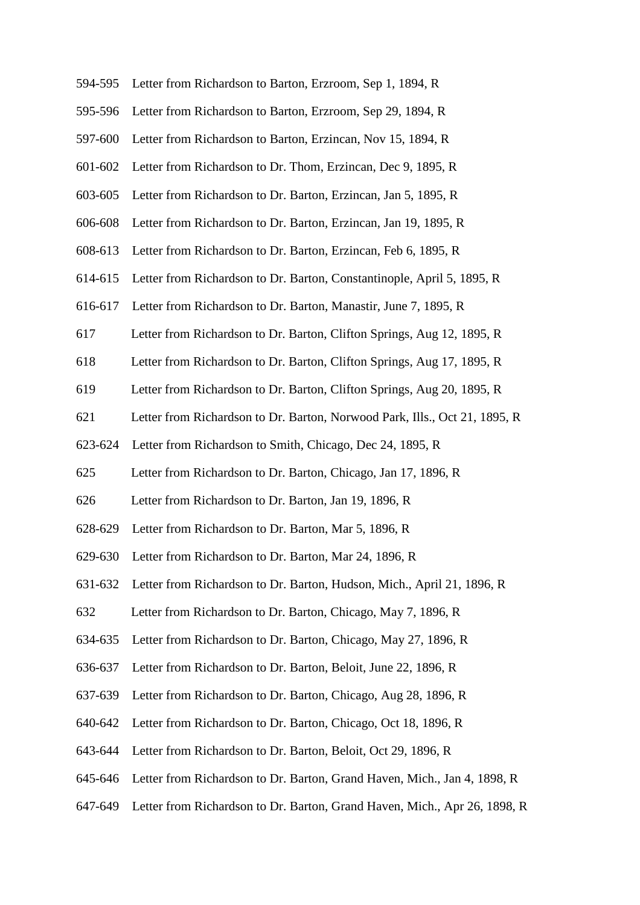| 594-595 | Letter from Richardson to Barton, Erzroom, Sep 1, 1894, R                  |
|---------|----------------------------------------------------------------------------|
| 595-596 | Letter from Richardson to Barton, Erzroom, Sep 29, 1894, R                 |
| 597-600 | Letter from Richardson to Barton, Erzincan, Nov 15, 1894, R                |
| 601-602 | Letter from Richardson to Dr. Thom, Erzincan, Dec 9, 1895, R               |
| 603-605 | Letter from Richardson to Dr. Barton, Erzincan, Jan 5, 1895, R             |
| 606-608 | Letter from Richardson to Dr. Barton, Erzincan, Jan 19, 1895, R            |
| 608-613 | Letter from Richardson to Dr. Barton, Erzincan, Feb 6, 1895, R             |
| 614-615 | Letter from Richardson to Dr. Barton, Constantinople, April 5, 1895, R     |
| 616-617 | Letter from Richardson to Dr. Barton, Manastir, June 7, 1895, R            |
| 617     | Letter from Richardson to Dr. Barton, Clifton Springs, Aug 12, 1895, R     |
| 618     | Letter from Richardson to Dr. Barton, Clifton Springs, Aug 17, 1895, R     |
| 619     | Letter from Richardson to Dr. Barton, Clifton Springs, Aug 20, 1895, R     |
| 621     | Letter from Richardson to Dr. Barton, Norwood Park, Ills., Oct 21, 1895, R |
| 623-624 | Letter from Richardson to Smith, Chicago, Dec 24, 1895, R                  |
| 625     | Letter from Richardson to Dr. Barton, Chicago, Jan 17, 1896, R             |
| 626     | Letter from Richardson to Dr. Barton, Jan 19, 1896, R                      |
| 628-629 | Letter from Richardson to Dr. Barton, Mar 5, 1896, R                       |
|         | 629-630 Letter from Richardson to Dr. Barton, Mar 24, 1896, R              |
| 631-632 | Letter from Richardson to Dr. Barton, Hudson, Mich., April 21, 1896, R     |
| 632     | Letter from Richardson to Dr. Barton, Chicago, May 7, 1896, R              |
| 634-635 | Letter from Richardson to Dr. Barton, Chicago, May 27, 1896, R             |
| 636-637 | Letter from Richardson to Dr. Barton, Beloit, June 22, 1896, R             |
| 637-639 | Letter from Richardson to Dr. Barton, Chicago, Aug 28, 1896, R             |
| 640-642 | Letter from Richardson to Dr. Barton, Chicago, Oct 18, 1896, R             |
| 643-644 | Letter from Richardson to Dr. Barton, Beloit, Oct 29, 1896, R              |
| 645-646 | Letter from Richardson to Dr. Barton, Grand Haven, Mich., Jan 4, 1898, R   |
| 647-649 | Letter from Richardson to Dr. Barton, Grand Haven, Mich., Apr 26, 1898, R  |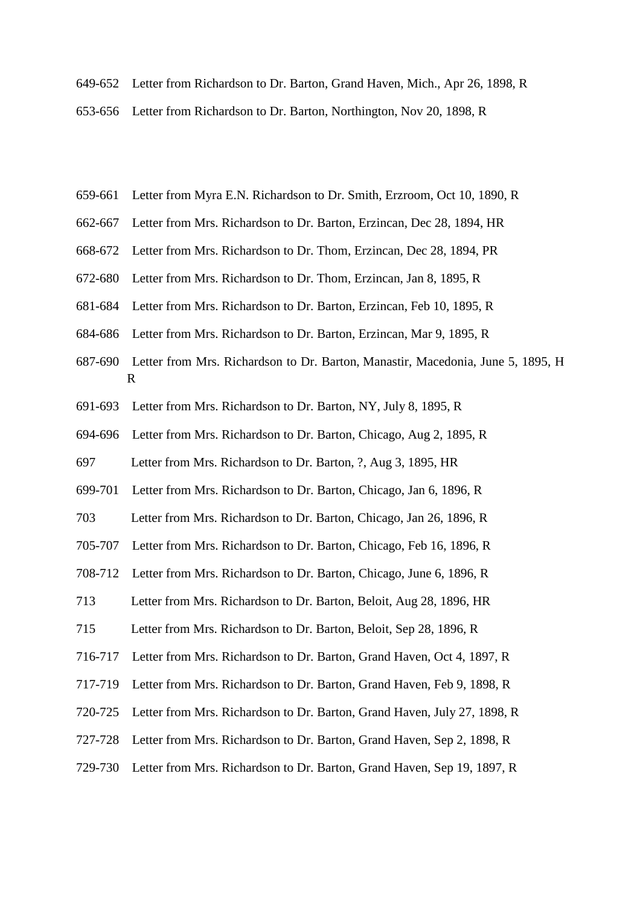- 649-652 Letter from Richardson to Dr. Barton, Grand Haven, Mich., Apr 26, 1898, R
- 653-656 Letter from Richardson to Dr. Barton, Northington, Nov 20, 1898, R
- 659-661 Letter from Myra E.N. Richardson to Dr. Smith, Erzroom, Oct 10, 1890, R
- 662-667 Letter from Mrs. Richardson to Dr. Barton, Erzincan, Dec 28, 1894, HR
- 668-672 Letter from Mrs. Richardson to Dr. Thom, Erzincan, Dec 28, 1894, PR
- 672-680 Letter from Mrs. Richardson to Dr. Thom, Erzincan, Jan 8, 1895, R
- 681-684 Letter from Mrs. Richardson to Dr. Barton, Erzincan, Feb 10, 1895, R
- 684-686 Letter from Mrs. Richardson to Dr. Barton, Erzincan, Mar 9, 1895, R
- 687-690 Letter from Mrs. Richardson to Dr. Barton, Manastir, Macedonia, June 5, 1895, H R
- 691-693 Letter from Mrs. Richardson to Dr. Barton, NY, July 8, 1895, R
- 694-696 Letter from Mrs. Richardson to Dr. Barton, Chicago, Aug 2, 1895, R
- 697 Letter from Mrs. Richardson to Dr. Barton, ?, Aug 3, 1895, HR
- 699-701 Letter from Mrs. Richardson to Dr. Barton, Chicago, Jan 6, 1896, R
- 703 Letter from Mrs. Richardson to Dr. Barton, Chicago, Jan 26, 1896, R
- 705-707 Letter from Mrs. Richardson to Dr. Barton, Chicago, Feb 16, 1896, R
- 708-712 Letter from Mrs. Richardson to Dr. Barton, Chicago, June 6, 1896, R
- 713 Letter from Mrs. Richardson to Dr. Barton, Beloit, Aug 28, 1896, HR
- 715 Letter from Mrs. Richardson to Dr. Barton, Beloit, Sep 28, 1896, R
- 716-717 Letter from Mrs. Richardson to Dr. Barton, Grand Haven, Oct 4, 1897, R
- 717-719 Letter from Mrs. Richardson to Dr. Barton, Grand Haven, Feb 9, 1898, R
- 720-725 Letter from Mrs. Richardson to Dr. Barton, Grand Haven, July 27, 1898, R
- 727-728 Letter from Mrs. Richardson to Dr. Barton, Grand Haven, Sep 2, 1898, R
- 729-730 Letter from Mrs. Richardson to Dr. Barton, Grand Haven, Sep 19, 1897, R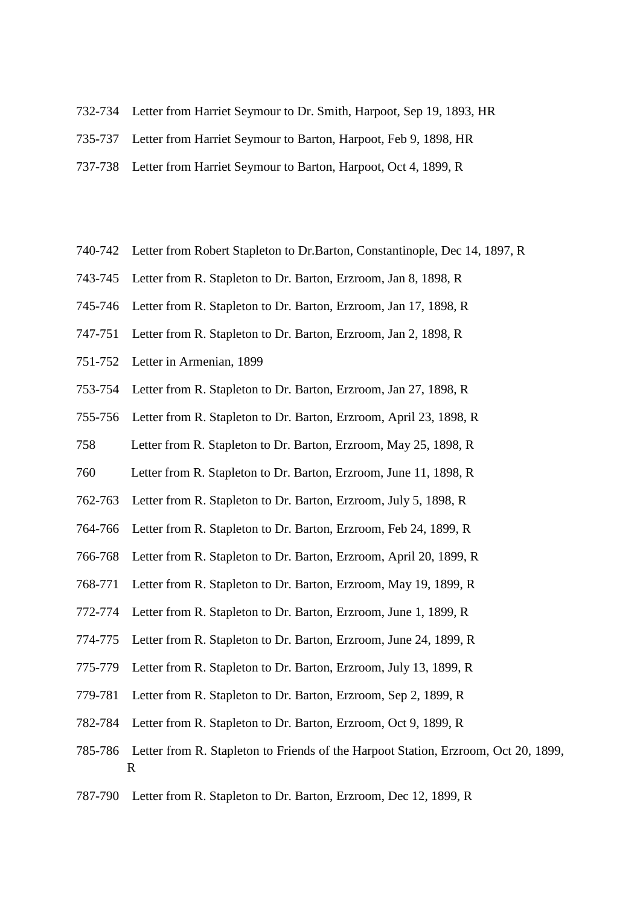- 732-734 Letter from Harriet Seymour to Dr. Smith, Harpoot, Sep 19, 1893, HR
- 735-737 Letter from Harriet Seymour to Barton, Harpoot, Feb 9, 1898, HR
- 737-738 Letter from Harriet Seymour to Barton, Harpoot, Oct 4, 1899, R
- 740-742 Letter from Robert Stapleton to Dr.Barton, Constantinople, Dec 14, 1897, R
- 743-745 Letter from R. Stapleton to Dr. Barton, Erzroom, Jan 8, 1898, R
- 745-746 Letter from R. Stapleton to Dr. Barton, Erzroom, Jan 17, 1898, R
- 747-751 Letter from R. Stapleton to Dr. Barton, Erzroom, Jan 2, 1898, R
- 751-752 Letter in Armenian, 1899
- 753-754 Letter from R. Stapleton to Dr. Barton, Erzroom, Jan 27, 1898, R
- 755-756 Letter from R. Stapleton to Dr. Barton, Erzroom, April 23, 1898, R
- 758 Letter from R. Stapleton to Dr. Barton, Erzroom, May 25, 1898, R
- 760 Letter from R. Stapleton to Dr. Barton, Erzroom, June 11, 1898, R
- 762-763 Letter from R. Stapleton to Dr. Barton, Erzroom, July 5, 1898, R
- 764-766 Letter from R. Stapleton to Dr. Barton, Erzroom, Feb 24, 1899, R
- 766-768 Letter from R. Stapleton to Dr. Barton, Erzroom, April 20, 1899, R
- 768-771 Letter from R. Stapleton to Dr. Barton, Erzroom, May 19, 1899, R
- 772-774 Letter from R. Stapleton to Dr. Barton, Erzroom, June 1, 1899, R
- 774-775 Letter from R. Stapleton to Dr. Barton, Erzroom, June 24, 1899, R
- 775-779 Letter from R. Stapleton to Dr. Barton, Erzroom, July 13, 1899, R
- 779-781 Letter from R. Stapleton to Dr. Barton, Erzroom, Sep 2, 1899, R
- 782-784 Letter from R. Stapleton to Dr. Barton, Erzroom, Oct 9, 1899, R
- 785-786 Letter from R. Stapleton to Friends of the Harpoot Station, Erzroom, Oct 20, 1899, R
- 787-790 Letter from R. Stapleton to Dr. Barton, Erzroom, Dec 12, 1899, R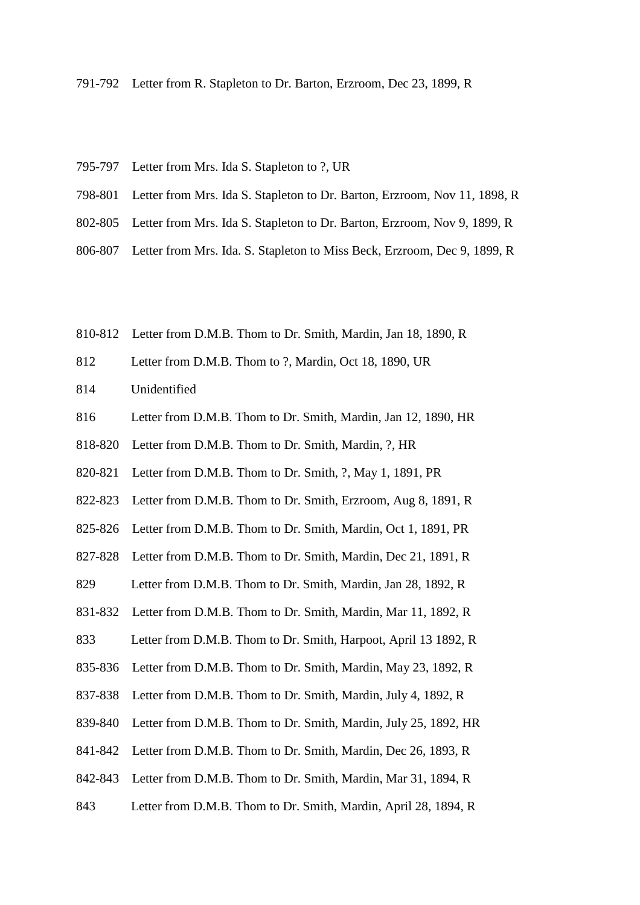- 791-792 Letter from R. Stapleton to Dr. Barton, Erzroom, Dec 23, 1899, R
- 795-797 Letter from Mrs. Ida S. Stapleton to ?, UR
- 798-801 Letter from Mrs. Ida S. Stapleton to Dr. Barton, Erzroom, Nov 11, 1898, R
- 802-805 Letter from Mrs. Ida S. Stapleton to Dr. Barton, Erzroom, Nov 9, 1899, R
- 806-807 Letter from Mrs. Ida. S. Stapleton to Miss Beck, Erzroom, Dec 9, 1899, R
- 810-812 Letter from D.M.B. Thom to Dr. Smith, Mardin, Jan 18, 1890, R
- 812 Letter from D.M.B. Thom to ?, Mardin, Oct 18, 1890, UR
- 814 Unidentified
- 816 Letter from D.M.B. Thom to Dr. Smith, Mardin, Jan 12, 1890, HR
- 818-820 Letter from D.M.B. Thom to Dr. Smith, Mardin, ?, HR
- 820-821 Letter from D.M.B. Thom to Dr. Smith, ?, May 1, 1891, PR
- 822-823 Letter from D.M.B. Thom to Dr. Smith, Erzroom, Aug 8, 1891, R
- 825-826 Letter from D.M.B. Thom to Dr. Smith, Mardin, Oct 1, 1891, PR
- 827-828 Letter from D.M.B. Thom to Dr. Smith, Mardin, Dec 21, 1891, R
- 829 Letter from D.M.B. Thom to Dr. Smith, Mardin, Jan 28, 1892, R
- 831-832 Letter from D.M.B. Thom to Dr. Smith, Mardin, Mar 11, 1892, R
- 833 Letter from D.M.B. Thom to Dr. Smith, Harpoot, April 13 1892, R
- 835-836 Letter from D.M.B. Thom to Dr. Smith, Mardin, May 23, 1892, R
- 837-838 Letter from D.M.B. Thom to Dr. Smith, Mardin, July 4, 1892, R
- 839-840 Letter from D.M.B. Thom to Dr. Smith, Mardin, July 25, 1892, HR
- 841-842 Letter from D.M.B. Thom to Dr. Smith, Mardin, Dec 26, 1893, R
- 842-843 Letter from D.M.B. Thom to Dr. Smith, Mardin, Mar 31, 1894, R
- 843 Letter from D.M.B. Thom to Dr. Smith, Mardin, April 28, 1894, R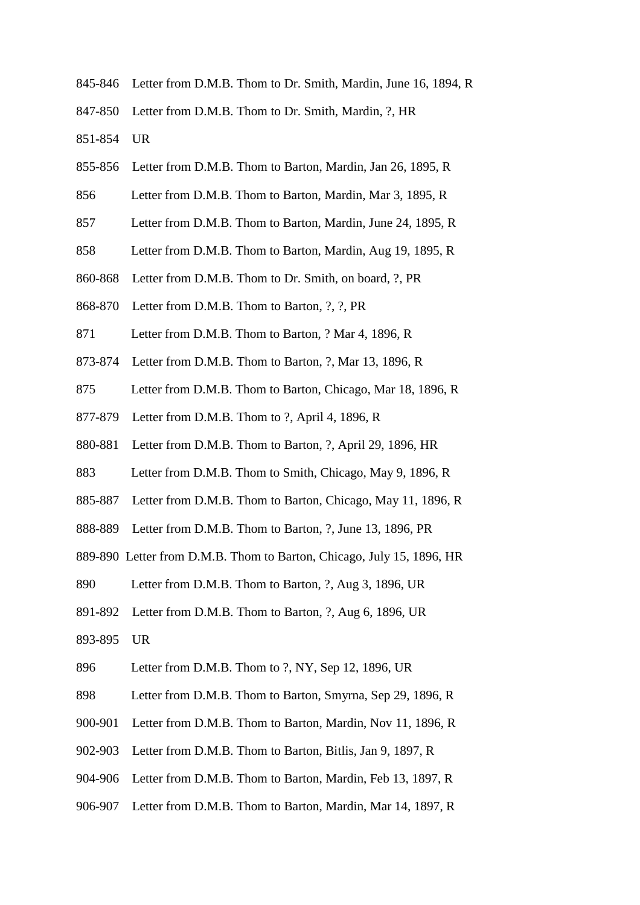- 845-846 Letter from D.M.B. Thom to Dr. Smith, Mardin, June 16, 1894, R
- 847-850 Letter from D.M.B. Thom to Dr. Smith, Mardin, ?, HR
- 851-854 UR
- 855-856 Letter from D.M.B. Thom to Barton, Mardin, Jan 26, 1895, R
- 856 Letter from D.M.B. Thom to Barton, Mardin, Mar 3, 1895, R
- 857 Letter from D.M.B. Thom to Barton, Mardin, June 24, 1895, R
- 858 Letter from D.M.B. Thom to Barton, Mardin, Aug 19, 1895, R
- 860-868 Letter from D.M.B. Thom to Dr. Smith, on board, ?, PR
- 868-870 Letter from D.M.B. Thom to Barton, ?, ?, PR
- 871 Letter from D.M.B. Thom to Barton, ? Mar 4, 1896, R
- 873-874 Letter from D.M.B. Thom to Barton, ?, Mar 13, 1896, R
- 875 Letter from D.M.B. Thom to Barton, Chicago, Mar 18, 1896, R
- 877-879 Letter from D.M.B. Thom to ?, April 4, 1896, R
- 880-881 Letter from D.M.B. Thom to Barton, ?, April 29, 1896, HR
- 883 Letter from D.M.B. Thom to Smith, Chicago, May 9, 1896, R
- 885-887 Letter from D.M.B. Thom to Barton, Chicago, May 11, 1896, R
- 888-889 Letter from D.M.B. Thom to Barton, ?, June 13, 1896, PR
- 889-890 Letter from D.M.B. Thom to Barton, Chicago, July 15, 1896, HR
- 890 Letter from D.M.B. Thom to Barton, ?, Aug 3, 1896, UR
- 891-892 Letter from D.M.B. Thom to Barton, ?, Aug 6, 1896, UR
- 893-895 UR
- 896 Letter from D.M.B. Thom to ?, NY, Sep 12, 1896, UR
- 898 Letter from D.M.B. Thom to Barton, Smyrna, Sep 29, 1896, R
- 900-901 Letter from D.M.B. Thom to Barton, Mardin, Nov 11, 1896, R
- 902-903 Letter from D.M.B. Thom to Barton, Bitlis, Jan 9, 1897, R
- 904-906 Letter from D.M.B. Thom to Barton, Mardin, Feb 13, 1897, R
- 906-907 Letter from D.M.B. Thom to Barton, Mardin, Mar 14, 1897, R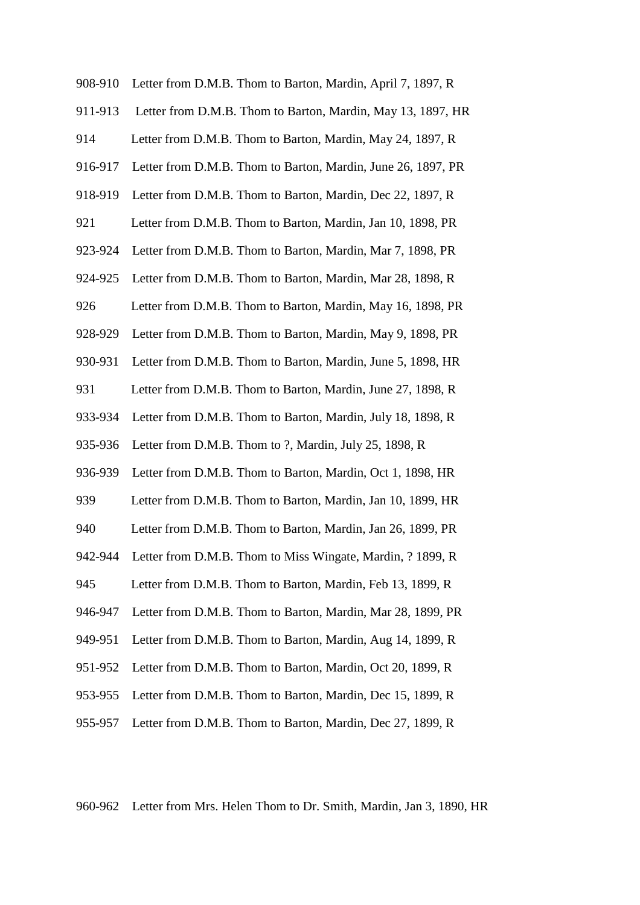| 908-910 | Letter from D.M.B. Thom to Barton, Mardin, April 7, 1897, R  |
|---------|--------------------------------------------------------------|
| 911-913 | Letter from D.M.B. Thom to Barton, Mardin, May 13, 1897, HR  |
| 914     | Letter from D.M.B. Thom to Barton, Mardin, May 24, 1897, R   |
| 916-917 | Letter from D.M.B. Thom to Barton, Mardin, June 26, 1897, PR |
| 918-919 | Letter from D.M.B. Thom to Barton, Mardin, Dec 22, 1897, R   |
| 921     | Letter from D.M.B. Thom to Barton, Mardin, Jan 10, 1898, PR  |
| 923-924 | Letter from D.M.B. Thom to Barton, Mardin, Mar 7, 1898, PR   |
| 924-925 | Letter from D.M.B. Thom to Barton, Mardin, Mar 28, 1898, R   |
| 926     | Letter from D.M.B. Thom to Barton, Mardin, May 16, 1898, PR  |
| 928-929 | Letter from D.M.B. Thom to Barton, Mardin, May 9, 1898, PR   |
| 930-931 | Letter from D.M.B. Thom to Barton, Mardin, June 5, 1898, HR  |
| 931     | Letter from D.M.B. Thom to Barton, Mardin, June 27, 1898, R  |
| 933-934 | Letter from D.M.B. Thom to Barton, Mardin, July 18, 1898, R  |
| 935-936 | Letter from D.M.B. Thom to ?, Mardin, July 25, 1898, R       |
| 936-939 | Letter from D.M.B. Thom to Barton, Mardin, Oct 1, 1898, HR   |
| 939     | Letter from D.M.B. Thom to Barton, Mardin, Jan 10, 1899, HR  |
| 940     | Letter from D.M.B. Thom to Barton, Mardin, Jan 26, 1899, PR  |
| 942-944 | Letter from D.M.B. Thom to Miss Wingate, Mardin, ? 1899, R   |
| 945     | Letter from D.M.B. Thom to Barton, Mardin, Feb 13, 1899, R   |
| 946-947 | Letter from D.M.B. Thom to Barton, Mardin, Mar 28, 1899, PR  |
| 949-951 | Letter from D.M.B. Thom to Barton, Mardin, Aug 14, 1899, R   |
| 951-952 | Letter from D.M.B. Thom to Barton, Mardin, Oct 20, 1899, R   |
|         |                                                              |

- 953-955 Letter from D.M.B. Thom to Barton, Mardin, Dec 15, 1899, R
- 955-957 Letter from D.M.B. Thom to Barton, Mardin, Dec 27, 1899, R

960-962 Letter from Mrs. Helen Thom to Dr. Smith, Mardin, Jan 3, 1890, HR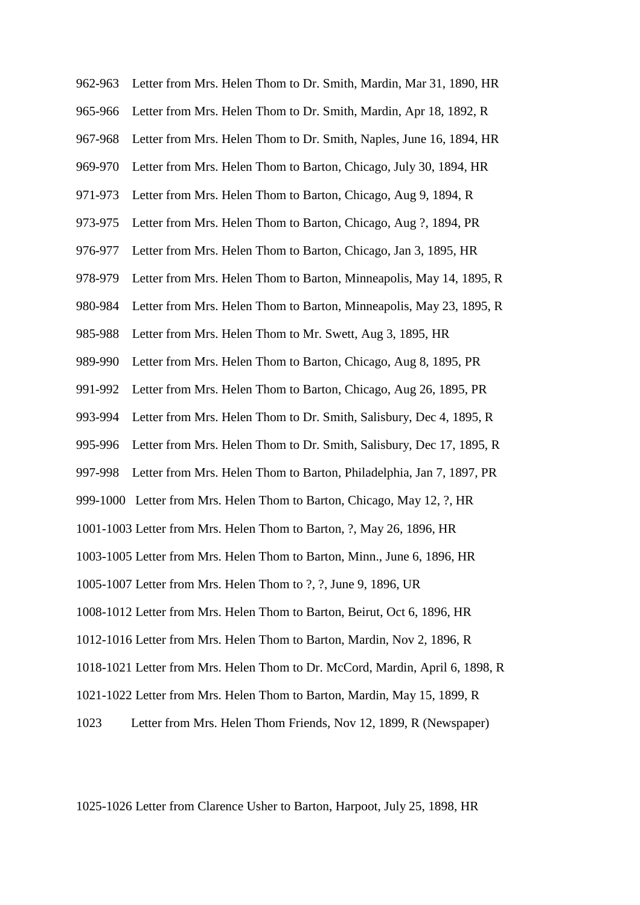962-963 Letter from Mrs. Helen Thom to Dr. Smith, Mardin, Mar 31, 1890, HR 965-966 Letter from Mrs. Helen Thom to Dr. Smith, Mardin, Apr 18, 1892, R 967-968 Letter from Mrs. Helen Thom to Dr. Smith, Naples, June 16, 1894, HR 969-970 Letter from Mrs. Helen Thom to Barton, Chicago, July 30, 1894, HR 971-973 Letter from Mrs. Helen Thom to Barton, Chicago, Aug 9, 1894, R 973-975 Letter from Mrs. Helen Thom to Barton, Chicago, Aug ?, 1894, PR 976-977 Letter from Mrs. Helen Thom to Barton, Chicago, Jan 3, 1895, HR 978-979 Letter from Mrs. Helen Thom to Barton, Minneapolis, May 14, 1895, R 980-984 Letter from Mrs. Helen Thom to Barton, Minneapolis, May 23, 1895, R 985-988 Letter from Mrs. Helen Thom to Mr. Swett, Aug 3, 1895, HR 989-990 Letter from Mrs. Helen Thom to Barton, Chicago, Aug 8, 1895, PR 991-992 Letter from Mrs. Helen Thom to Barton, Chicago, Aug 26, 1895, PR 993-994 Letter from Mrs. Helen Thom to Dr. Smith, Salisbury, Dec 4, 1895, R 995-996 Letter from Mrs. Helen Thom to Dr. Smith, Salisbury, Dec 17, 1895, R 997-998 Letter from Mrs. Helen Thom to Barton, Philadelphia, Jan 7, 1897, PR 999-1000 Letter from Mrs. Helen Thom to Barton, Chicago, May 12, ?, HR 1001-1003 Letter from Mrs. Helen Thom to Barton, ?, May 26, 1896, HR 1003-1005 Letter from Mrs. Helen Thom to Barton, Minn., June 6, 1896, HR 1005-1007 Letter from Mrs. Helen Thom to ?, ?, June 9, 1896, UR 1008-1012 Letter from Mrs. Helen Thom to Barton, Beirut, Oct 6, 1896, HR 1012-1016 Letter from Mrs. Helen Thom to Barton, Mardin, Nov 2, 1896, R 1018-1021 Letter from Mrs. Helen Thom to Dr. McCord, Mardin, April 6, 1898, R 1021-1022 Letter from Mrs. Helen Thom to Barton, Mardin, May 15, 1899, R

1023 Letter from Mrs. Helen Thom Friends, Nov 12, 1899, R (Newspaper)

1025-1026 Letter from Clarence Usher to Barton, Harpoot, July 25, 1898, HR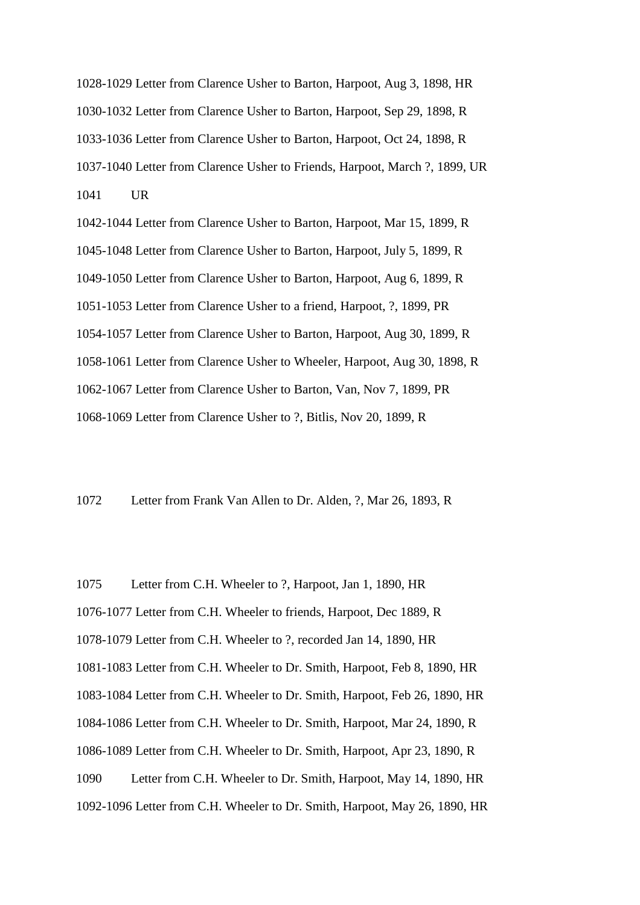1028-1029 Letter from Clarence Usher to Barton, Harpoot, Aug 3, 1898, HR 1030-1032 Letter from Clarence Usher to Barton, Harpoot, Sep 29, 1898, R 1033-1036 Letter from Clarence Usher to Barton, Harpoot, Oct 24, 1898, R 1037-1040 Letter from Clarence Usher to Friends, Harpoot, March ?, 1899, UR 1041 UR

1042-1044 Letter from Clarence Usher to Barton, Harpoot, Mar 15, 1899, R 1045-1048 Letter from Clarence Usher to Barton, Harpoot, July 5, 1899, R 1049-1050 Letter from Clarence Usher to Barton, Harpoot, Aug 6, 1899, R 1051-1053 Letter from Clarence Usher to a friend, Harpoot, ?, 1899, PR 1054-1057 Letter from Clarence Usher to Barton, Harpoot, Aug 30, 1899, R 1058-1061 Letter from Clarence Usher to Wheeler, Harpoot, Aug 30, 1898, R 1062-1067 Letter from Clarence Usher to Barton, Van, Nov 7, 1899, PR 1068-1069 Letter from Clarence Usher to ?, Bitlis, Nov 20, 1899, R

1072 Letter from Frank Van Allen to Dr. Alden, ?, Mar 26, 1893, R

1075 Letter from C.H. Wheeler to ?, Harpoot, Jan 1, 1890, HR

1076-1077 Letter from C.H. Wheeler to friends, Harpoot, Dec 1889, R

1078-1079 Letter from C.H. Wheeler to ?, recorded Jan 14, 1890, HR

1081-1083 Letter from C.H. Wheeler to Dr. Smith, Harpoot, Feb 8, 1890, HR

1083-1084 Letter from C.H. Wheeler to Dr. Smith, Harpoot, Feb 26, 1890, HR

1084-1086 Letter from C.H. Wheeler to Dr. Smith, Harpoot, Mar 24, 1890, R

1086-1089 Letter from C.H. Wheeler to Dr. Smith, Harpoot, Apr 23, 1890, R

1090 Letter from C.H. Wheeler to Dr. Smith, Harpoot, May 14, 1890, HR

1092-1096 Letter from C.H. Wheeler to Dr. Smith, Harpoot, May 26, 1890, HR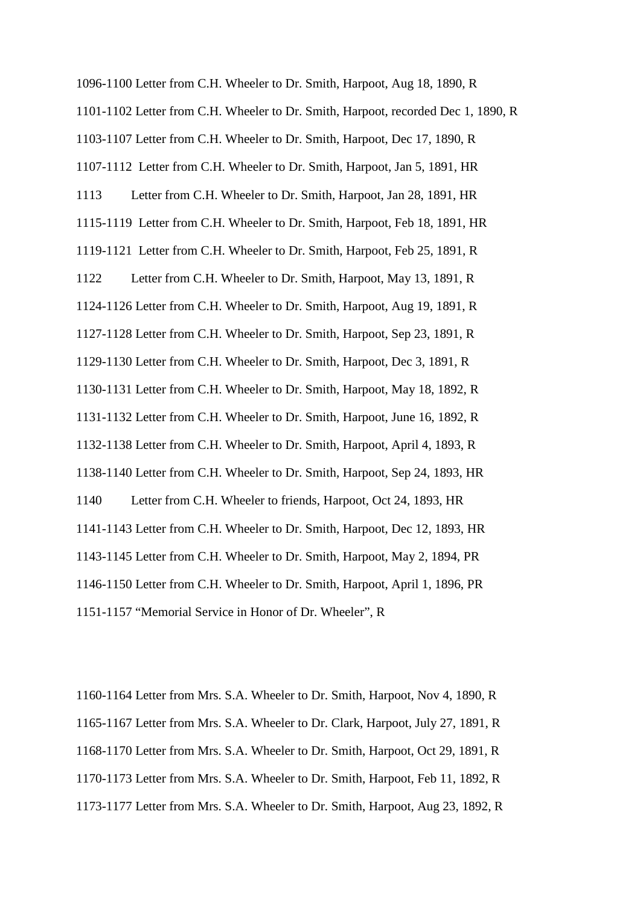1096-1100 Letter from C.H. Wheeler to Dr. Smith, Harpoot, Aug 18, 1890, R 1101-1102 Letter from C.H. Wheeler to Dr. Smith, Harpoot, recorded Dec 1, 1890, R 1103-1107 Letter from C.H. Wheeler to Dr. Smith, Harpoot, Dec 17, 1890, R 1107-1112 Letter from C.H. Wheeler to Dr. Smith, Harpoot, Jan 5, 1891, HR 1113 Letter from C.H. Wheeler to Dr. Smith, Harpoot, Jan 28, 1891, HR 1115-1119 Letter from C.H. Wheeler to Dr. Smith, Harpoot, Feb 18, 1891, HR 1119-1121 Letter from C.H. Wheeler to Dr. Smith, Harpoot, Feb 25, 1891, R 1122 Letter from C.H. Wheeler to Dr. Smith, Harpoot, May 13, 1891, R 1124-1126 Letter from C.H. Wheeler to Dr. Smith, Harpoot, Aug 19, 1891, R 1127-1128 Letter from C.H. Wheeler to Dr. Smith, Harpoot, Sep 23, 1891, R 1129-1130 Letter from C.H. Wheeler to Dr. Smith, Harpoot, Dec 3, 1891, R 1130-1131 Letter from C.H. Wheeler to Dr. Smith, Harpoot, May 18, 1892, R 1131-1132 Letter from C.H. Wheeler to Dr. Smith, Harpoot, June 16, 1892, R 1132-1138 Letter from C.H. Wheeler to Dr. Smith, Harpoot, April 4, 1893, R 1138-1140 Letter from C.H. Wheeler to Dr. Smith, Harpoot, Sep 24, 1893, HR 1140 Letter from C.H. Wheeler to friends, Harpoot, Oct 24, 1893, HR 1141-1143 Letter from C.H. Wheeler to Dr. Smith, Harpoot, Dec 12, 1893, HR 1143-1145 Letter from C.H. Wheeler to Dr. Smith, Harpoot, May 2, 1894, PR 1146-1150 Letter from C.H. Wheeler to Dr. Smith, Harpoot, April 1, 1896, PR 1151-1157 "Memorial Service in Honor of Dr. Wheeler", R

1160-1164 Letter from Mrs. S.A. Wheeler to Dr. Smith, Harpoot, Nov 4, 1890, R 1165-1167 Letter from Mrs. S.A. Wheeler to Dr. Clark, Harpoot, July 27, 1891, R 1168-1170 Letter from Mrs. S.A. Wheeler to Dr. Smith, Harpoot, Oct 29, 1891, R 1170-1173 Letter from Mrs. S.A. Wheeler to Dr. Smith, Harpoot, Feb 11, 1892, R 1173-1177 Letter from Mrs. S.A. Wheeler to Dr. Smith, Harpoot, Aug 23, 1892, R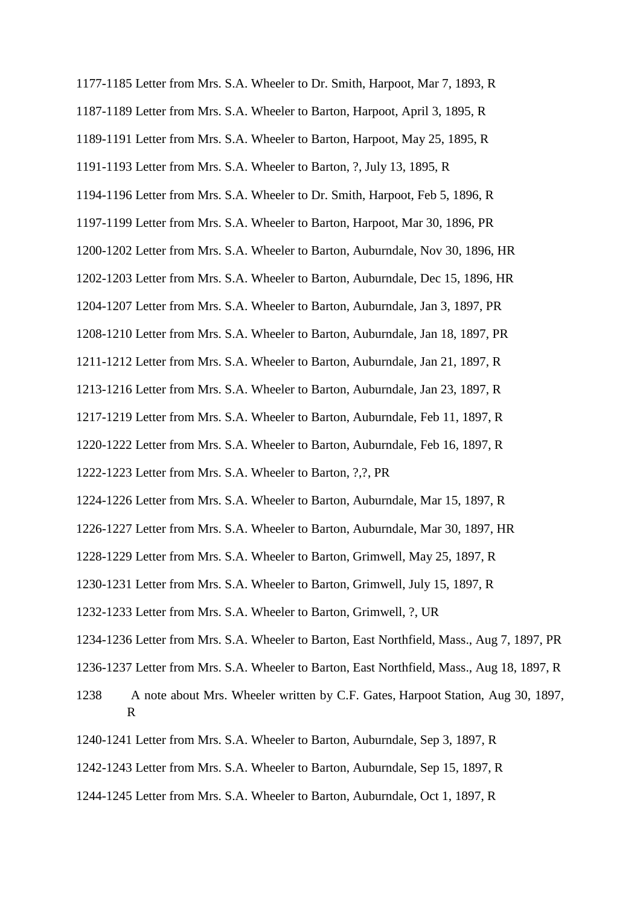- 1177-1185 Letter from Mrs. S.A. Wheeler to Dr. Smith, Harpoot, Mar 7, 1893, R
- 1187-1189 Letter from Mrs. S.A. Wheeler to Barton, Harpoot, April 3, 1895, R
- 1189-1191 Letter from Mrs. S.A. Wheeler to Barton, Harpoot, May 25, 1895, R
- 1191-1193 Letter from Mrs. S.A. Wheeler to Barton, ?, July 13, 1895, R
- 1194-1196 Letter from Mrs. S.A. Wheeler to Dr. Smith, Harpoot, Feb 5, 1896, R
- 1197-1199 Letter from Mrs. S.A. Wheeler to Barton, Harpoot, Mar 30, 1896, PR
- 1200-1202 Letter from Mrs. S.A. Wheeler to Barton, Auburndale, Nov 30, 1896, HR
- 1202-1203 Letter from Mrs. S.A. Wheeler to Barton, Auburndale, Dec 15, 1896, HR
- 1204-1207 Letter from Mrs. S.A. Wheeler to Barton, Auburndale, Jan 3, 1897, PR
- 1208-1210 Letter from Mrs. S.A. Wheeler to Barton, Auburndale, Jan 18, 1897, PR
- 1211-1212 Letter from Mrs. S.A. Wheeler to Barton, Auburndale, Jan 21, 1897, R
- 1213-1216 Letter from Mrs. S.A. Wheeler to Barton, Auburndale, Jan 23, 1897, R
- 1217-1219 Letter from Mrs. S.A. Wheeler to Barton, Auburndale, Feb 11, 1897, R
- 1220-1222 Letter from Mrs. S.A. Wheeler to Barton, Auburndale, Feb 16, 1897, R
- 1222-1223 Letter from Mrs. S.A. Wheeler to Barton, ?,?, PR
- 1224-1226 Letter from Mrs. S.A. Wheeler to Barton, Auburndale, Mar 15, 1897, R
- 1226-1227 Letter from Mrs. S.A. Wheeler to Barton, Auburndale, Mar 30, 1897, HR
- 1228-1229 Letter from Mrs. S.A. Wheeler to Barton, Grimwell, May 25, 1897, R
- 1230-1231 Letter from Mrs. S.A. Wheeler to Barton, Grimwell, July 15, 1897, R
- 1232-1233 Letter from Mrs. S.A. Wheeler to Barton, Grimwell, ?, UR
- 1234-1236 Letter from Mrs. S.A. Wheeler to Barton, East Northfield, Mass., Aug 7, 1897, PR
- 1236-1237 Letter from Mrs. S.A. Wheeler to Barton, East Northfield, Mass., Aug 18, 1897, R
- 1238 A note about Mrs. Wheeler written by C.F. Gates, Harpoot Station, Aug 30, 1897, R
- 1240-1241 Letter from Mrs. S.A. Wheeler to Barton, Auburndale, Sep 3, 1897, R
- 1242-1243 Letter from Mrs. S.A. Wheeler to Barton, Auburndale, Sep 15, 1897, R
- 1244-1245 Letter from Mrs. S.A. Wheeler to Barton, Auburndale, Oct 1, 1897, R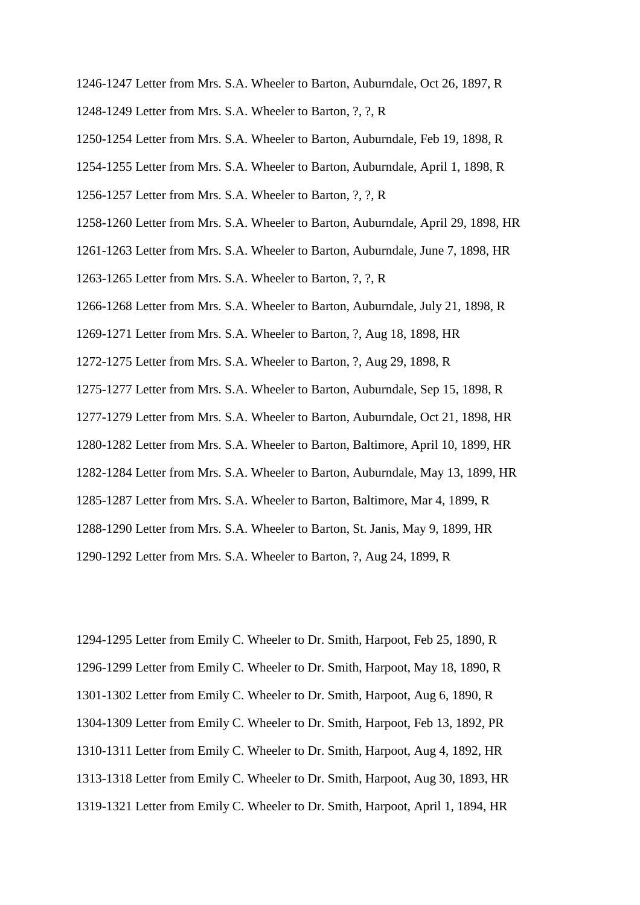- 1246-1247 Letter from Mrs. S.A. Wheeler to Barton, Auburndale, Oct 26, 1897, R
- 1248-1249 Letter from Mrs. S.A. Wheeler to Barton, ?, ?, R
- 1250-1254 Letter from Mrs. S.A. Wheeler to Barton, Auburndale, Feb 19, 1898, R
- 1254-1255 Letter from Mrs. S.A. Wheeler to Barton, Auburndale, April 1, 1898, R
- 1256-1257 Letter from Mrs. S.A. Wheeler to Barton, ?, ?, R
- 1258-1260 Letter from Mrs. S.A. Wheeler to Barton, Auburndale, April 29, 1898, HR
- 1261-1263 Letter from Mrs. S.A. Wheeler to Barton, Auburndale, June 7, 1898, HR
- 1263-1265 Letter from Mrs. S.A. Wheeler to Barton, ?, ?, R
- 1266-1268 Letter from Mrs. S.A. Wheeler to Barton, Auburndale, July 21, 1898, R
- 1269-1271 Letter from Mrs. S.A. Wheeler to Barton, ?, Aug 18, 1898, HR
- 1272-1275 Letter from Mrs. S.A. Wheeler to Barton, ?, Aug 29, 1898, R
- 1275-1277 Letter from Mrs. S.A. Wheeler to Barton, Auburndale, Sep 15, 1898, R
- 1277-1279 Letter from Mrs. S.A. Wheeler to Barton, Auburndale, Oct 21, 1898, HR
- 1280-1282 Letter from Mrs. S.A. Wheeler to Barton, Baltimore, April 10, 1899, HR
- 1282-1284 Letter from Mrs. S.A. Wheeler to Barton, Auburndale, May 13, 1899, HR
- 1285-1287 Letter from Mrs. S.A. Wheeler to Barton, Baltimore, Mar 4, 1899, R
- 1288-1290 Letter from Mrs. S.A. Wheeler to Barton, St. Janis, May 9, 1899, HR
- 1290-1292 Letter from Mrs. S.A. Wheeler to Barton, ?, Aug 24, 1899, R

1294-1295 Letter from Emily C. Wheeler to Dr. Smith, Harpoot, Feb 25, 1890, R 1296-1299 Letter from Emily C. Wheeler to Dr. Smith, Harpoot, May 18, 1890, R 1301-1302 Letter from Emily C. Wheeler to Dr. Smith, Harpoot, Aug 6, 1890, R 1304-1309 Letter from Emily C. Wheeler to Dr. Smith, Harpoot, Feb 13, 1892, PR 1310-1311 Letter from Emily C. Wheeler to Dr. Smith, Harpoot, Aug 4, 1892, HR 1313-1318 Letter from Emily C. Wheeler to Dr. Smith, Harpoot, Aug 30, 1893, HR 1319-1321 Letter from Emily C. Wheeler to Dr. Smith, Harpoot, April 1, 1894, HR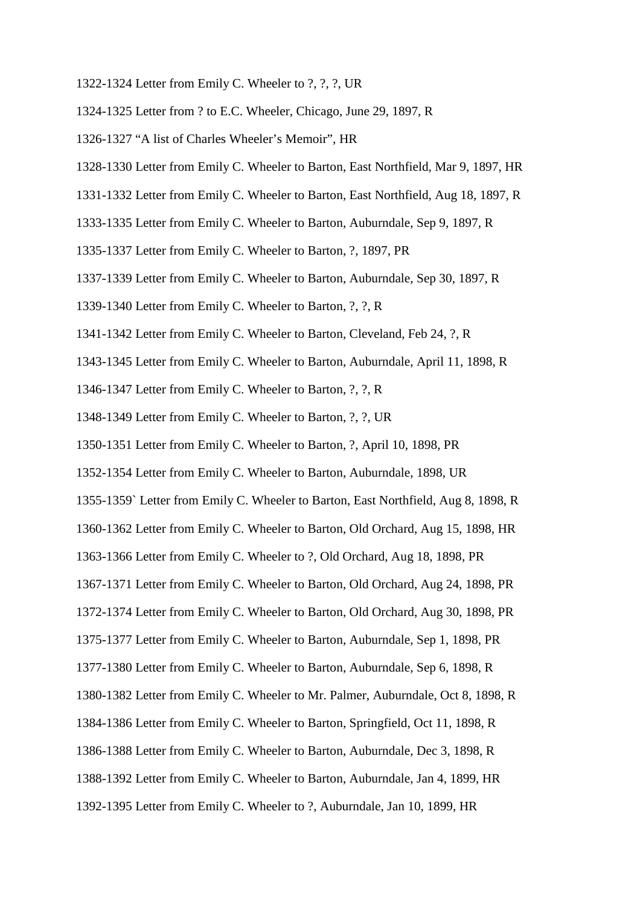- 1322-1324 Letter from Emily C. Wheeler to ?, ?, ?, UR
- 1324-1325 Letter from ? to E.C. Wheeler, Chicago, June 29, 1897, R
- 1326-1327 "A list of Charles Wheeler's Memoir", HR
- 1328-1330 Letter from Emily C. Wheeler to Barton, East Northfield, Mar 9, 1897, HR
- 1331-1332 Letter from Emily C. Wheeler to Barton, East Northfield, Aug 18, 1897, R
- 1333-1335 Letter from Emily C. Wheeler to Barton, Auburndale, Sep 9, 1897, R
- 1335-1337 Letter from Emily C. Wheeler to Barton, ?, 1897, PR
- 1337-1339 Letter from Emily C. Wheeler to Barton, Auburndale, Sep 30, 1897, R
- 1339-1340 Letter from Emily C. Wheeler to Barton, ?, ?, R
- 1341-1342 Letter from Emily C. Wheeler to Barton, Cleveland, Feb 24, ?, R
- 1343-1345 Letter from Emily C. Wheeler to Barton, Auburndale, April 11, 1898, R
- 1346-1347 Letter from Emily C. Wheeler to Barton, ?, ?, R
- 1348-1349 Letter from Emily C. Wheeler to Barton, ?, ?, UR
- 1350-1351 Letter from Emily C. Wheeler to Barton, ?, April 10, 1898, PR
- 1352-1354 Letter from Emily C. Wheeler to Barton, Auburndale, 1898, UR
- 1355-1359` Letter from Emily C. Wheeler to Barton, East Northfield, Aug 8, 1898, R
- 1360-1362 Letter from Emily C. Wheeler to Barton, Old Orchard, Aug 15, 1898, HR
- 1363-1366 Letter from Emily C. Wheeler to ?, Old Orchard, Aug 18, 1898, PR
- 1367-1371 Letter from Emily C. Wheeler to Barton, Old Orchard, Aug 24, 1898, PR
- 1372-1374 Letter from Emily C. Wheeler to Barton, Old Orchard, Aug 30, 1898, PR
- 1375-1377 Letter from Emily C. Wheeler to Barton, Auburndale, Sep 1, 1898, PR
- 1377-1380 Letter from Emily C. Wheeler to Barton, Auburndale, Sep 6, 1898, R
- 1380-1382 Letter from Emily C. Wheeler to Mr. Palmer, Auburndale, Oct 8, 1898, R
- 1384-1386 Letter from Emily C. Wheeler to Barton, Springfield, Oct 11, 1898, R
- 1386-1388 Letter from Emily C. Wheeler to Barton, Auburndale, Dec 3, 1898, R
- 1388-1392 Letter from Emily C. Wheeler to Barton, Auburndale, Jan 4, 1899, HR
- 1392-1395 Letter from Emily C. Wheeler to ?, Auburndale, Jan 10, 1899, HR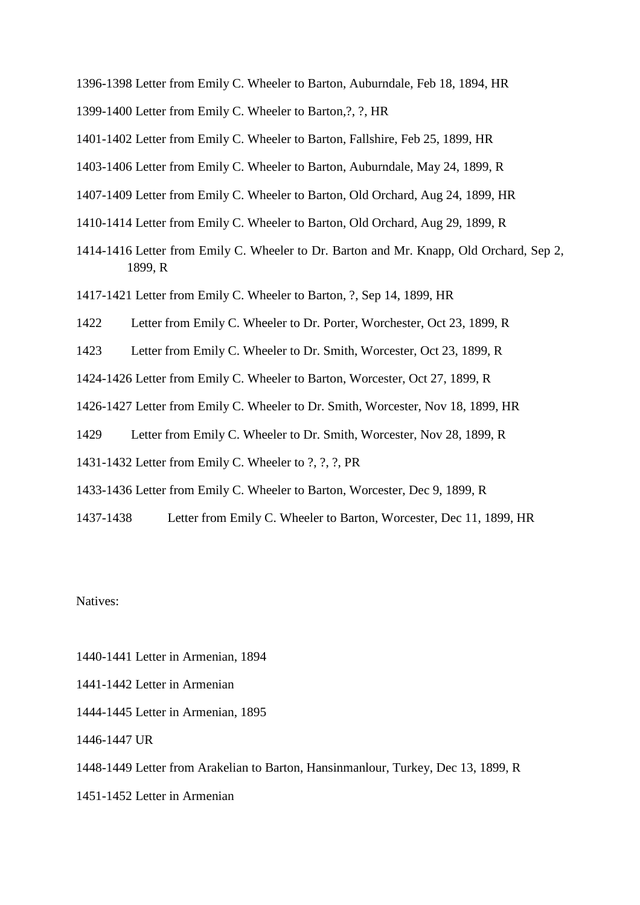- 1396-1398 Letter from Emily C. Wheeler to Barton, Auburndale, Feb 18, 1894, HR
- 1399-1400 Letter from Emily C. Wheeler to Barton,?, ?, HR
- 1401-1402 Letter from Emily C. Wheeler to Barton, Fallshire, Feb 25, 1899, HR
- 1403-1406 Letter from Emily C. Wheeler to Barton, Auburndale, May 24, 1899, R
- 1407-1409 Letter from Emily C. Wheeler to Barton, Old Orchard, Aug 24, 1899, HR
- 1410-1414 Letter from Emily C. Wheeler to Barton, Old Orchard, Aug 29, 1899, R
- 1414-1416 Letter from Emily C. Wheeler to Dr. Barton and Mr. Knapp, Old Orchard, Sep 2, 1899, R
- 1417-1421 Letter from Emily C. Wheeler to Barton, ?, Sep 14, 1899, HR
- 1422 Letter from Emily C. Wheeler to Dr. Porter, Worchester, Oct 23, 1899, R
- 1423 Letter from Emily C. Wheeler to Dr. Smith, Worcester, Oct 23, 1899, R
- 1424-1426 Letter from Emily C. Wheeler to Barton, Worcester, Oct 27, 1899, R
- 1426-1427 Letter from Emily C. Wheeler to Dr. Smith, Worcester, Nov 18, 1899, HR
- 1429 Letter from Emily C. Wheeler to Dr. Smith, Worcester, Nov 28, 1899, R
- 1431-1432 Letter from Emily C. Wheeler to ?, ?, ?, PR
- 1433-1436 Letter from Emily C. Wheeler to Barton, Worcester, Dec 9, 1899, R
- 1437-1438 Letter from Emily C. Wheeler to Barton, Worcester, Dec 11, 1899, HR

Natives:

- 1440-1441 Letter in Armenian, 1894
- 1441-1442 Letter in Armenian
- 1444-1445 Letter in Armenian, 1895
- 1446-1447 UR
- 1448-1449 Letter from Arakelian to Barton, Hansinmanlour, Turkey, Dec 13, 1899, R
- 1451-1452 Letter in Armenian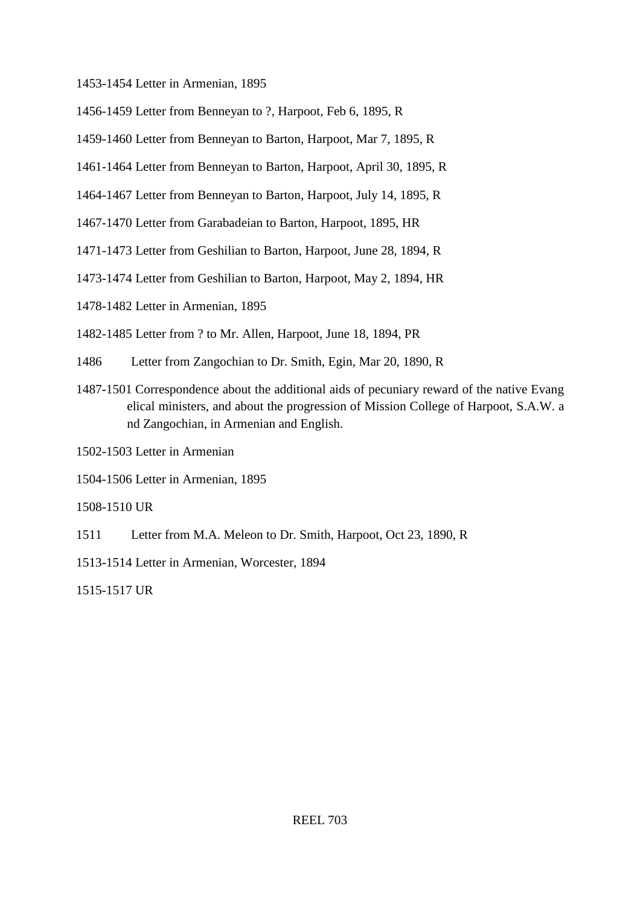1453-1454 Letter in Armenian, 1895

1456-1459 Letter from Benneyan to ?, Harpoot, Feb 6, 1895, R

1459-1460 Letter from Benneyan to Barton, Harpoot, Mar 7, 1895, R

1461-1464 Letter from Benneyan to Barton, Harpoot, April 30, 1895, R

1464-1467 Letter from Benneyan to Barton, Harpoot, July 14, 1895, R

1467-1470 Letter from Garabadeian to Barton, Harpoot, 1895, HR

1471-1473 Letter from Geshilian to Barton, Harpoot, June 28, 1894, R

1473-1474 Letter from Geshilian to Barton, Harpoot, May 2, 1894, HR

1478-1482 Letter in Armenian, 1895

1482-1485 Letter from ? to Mr. Allen, Harpoot, June 18, 1894, PR

1486 Letter from Zangochian to Dr. Smith, Egin, Mar 20, 1890, R

1487-1501 Correspondence about the additional aids of pecuniary reward of the native Evang elical ministers, and about the progression of Mission College of Harpoot, S.A.W. a nd Zangochian, in Armenian and English.

1502-1503 Letter in Armenian

1504-1506 Letter in Armenian, 1895

1508-1510 UR

1511 Letter from M.A. Meleon to Dr. Smith, Harpoot, Oct 23, 1890, R

1513-1514 Letter in Armenian, Worcester, 1894

1515-1517 UR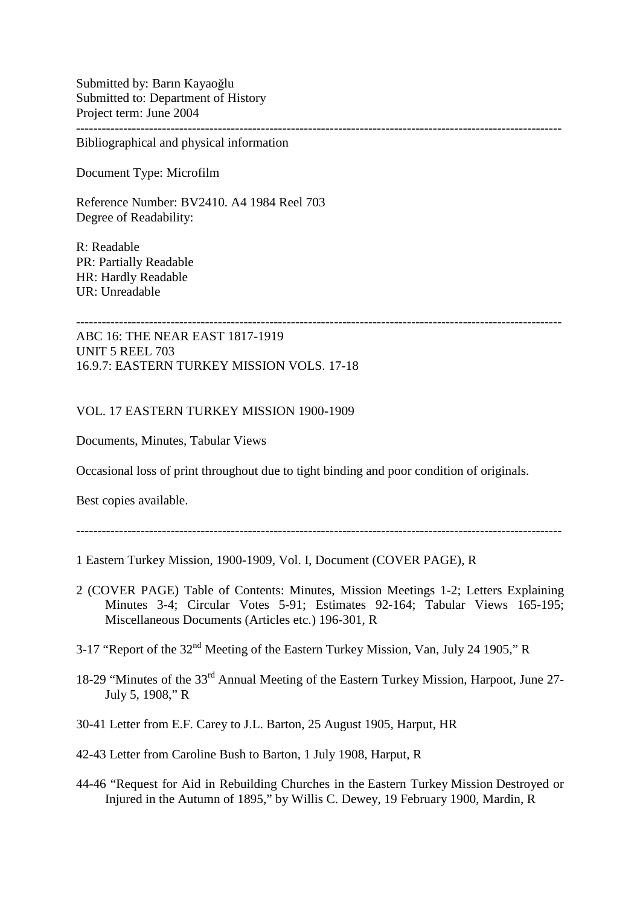Submitted by: Barın Kayaoğlu Submitted to: Department of History Project term: June 2004 -----------------------------------------------------------------------------------------------------------------

Bibliographical and physical information

Document Type: Microfilm

Reference Number: BV2410. A4 1984 Reel 703 Degree of Readability:

R: Readable PR: Partially Readable HR: Hardly Readable UR: Unreadable

ABC 16: THE NEAR EAST 1817-1919 UNIT 5 REEL 703 16.9.7: EASTERN TURKEY MISSION VOLS. 17-18

VOL. 17 EASTERN TURKEY MISSION 1900-1909

Documents, Minutes, Tabular Views

Occasional loss of print throughout due to tight binding and poor condition of originals.

Best copies available.

-----------------------------------------------------------------------------------------------------------------

1 Eastern Turkey Mission, 1900-1909, Vol. I, Document (COVER PAGE), R

- 2 (COVER PAGE) Table of Contents: Minutes, Mission Meetings 1-2; Letters Explaining Minutes 3-4; Circular Votes 5-91; Estimates 92-164; Tabular Views 165-195; Miscellaneous Documents (Articles etc.) 196-301, R
- 3-17 "Report of the 32nd Meeting of the Eastern Turkey Mission, Van, July 24 1905," R
- 18-29 "Minutes of the 33rd Annual Meeting of the Eastern Turkey Mission, Harpoot, June 27- July 5, 1908," R
- 30-41 Letter from E.F. Carey to J.L. Barton, 25 August 1905, Harput, HR
- 42-43 Letter from Caroline Bush to Barton, 1 July 1908, Harput, R
- 44-46 "Request for Aid in Rebuilding Churches in the Eastern Turkey Mission Destroyed or Injured in the Autumn of 1895," by Willis C. Dewey, 19 February 1900, Mardin, R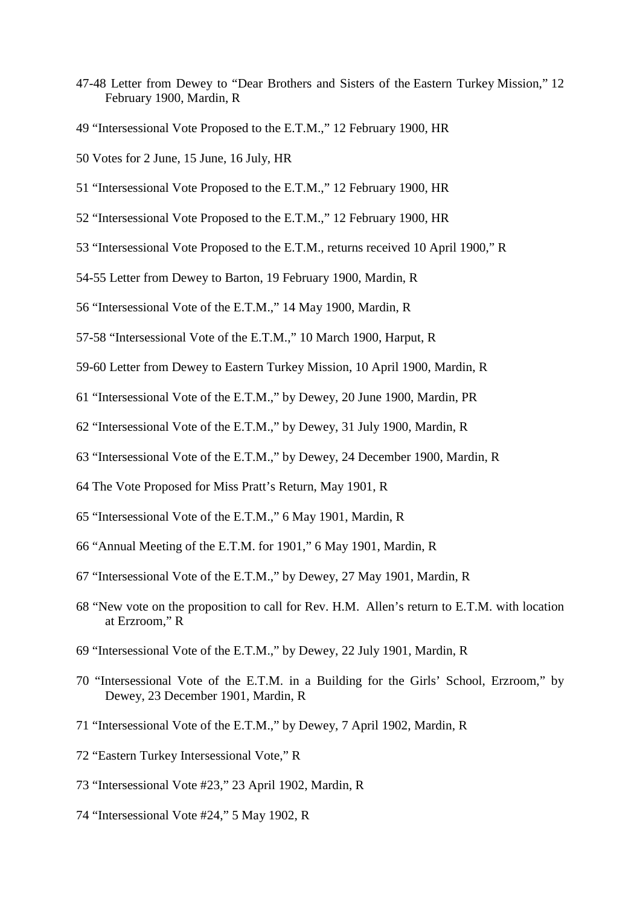- 47-48 Letter from Dewey to "Dear Brothers and Sisters of the Eastern Turkey Mission," 12 February 1900, Mardin, R
- 49 "Intersessional Vote Proposed to the E.T.M.," 12 February 1900, HR
- 50 Votes for 2 June, 15 June, 16 July, HR
- 51 "Intersessional Vote Proposed to the E.T.M.," 12 February 1900, HR
- 52 "Intersessional Vote Proposed to the E.T.M.," 12 February 1900, HR
- 53 "Intersessional Vote Proposed to the E.T.M., returns received 10 April 1900," R
- 54-55 Letter from Dewey to Barton, 19 February 1900, Mardin, R
- 56 "Intersessional Vote of the E.T.M.," 14 May 1900, Mardin, R
- 57-58 "Intersessional Vote of the E.T.M.," 10 March 1900, Harput, R
- 59-60 Letter from Dewey to Eastern Turkey Mission, 10 April 1900, Mardin, R
- 61 "Intersessional Vote of the E.T.M.," by Dewey, 20 June 1900, Mardin, PR
- 62 "Intersessional Vote of the E.T.M.," by Dewey, 31 July 1900, Mardin, R
- 63 "Intersessional Vote of the E.T.M.," by Dewey, 24 December 1900, Mardin, R
- 64 The Vote Proposed for Miss Pratt's Return, May 1901, R
- 65 "Intersessional Vote of the E.T.M.," 6 May 1901, Mardin, R
- 66 "Annual Meeting of the E.T.M. for 1901," 6 May 1901, Mardin, R
- 67 "Intersessional Vote of the E.T.M.," by Dewey, 27 May 1901, Mardin, R
- 68 "New vote on the proposition to call for Rev. H.M. Allen's return to E.T.M. with location at Erzroom," R
- 69 "Intersessional Vote of the E.T.M.," by Dewey, 22 July 1901, Mardin, R
- 70 "Intersessional Vote of the E.T.M. in a Building for the Girls' School, Erzroom," by Dewey, 23 December 1901, Mardin, R
- 71 "Intersessional Vote of the E.T.M.," by Dewey, 7 April 1902, Mardin, R
- 72 "Eastern Turkey Intersessional Vote," R
- 73 "Intersessional Vote #23," 23 April 1902, Mardin, R
- 74 "Intersessional Vote #24," 5 May 1902, R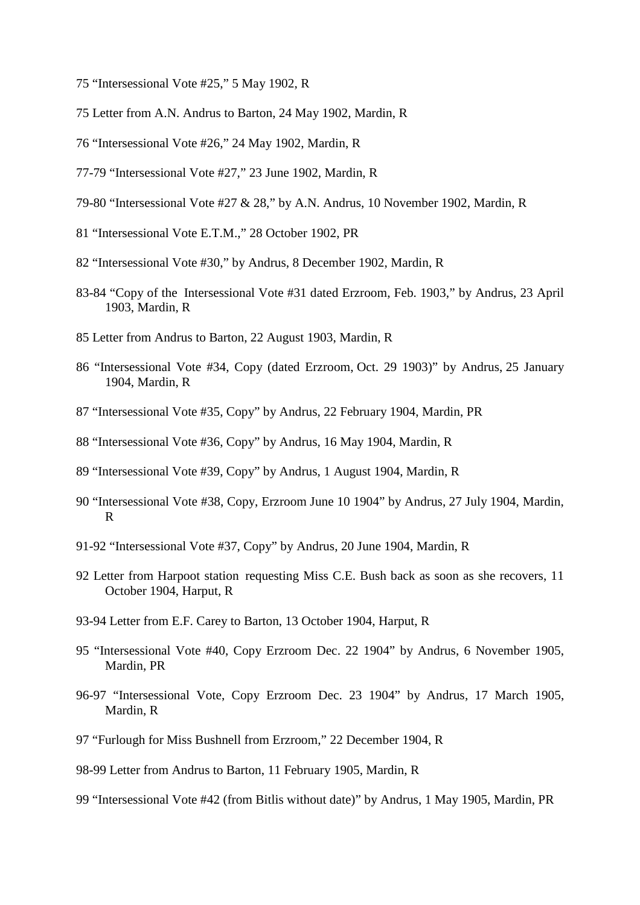- 75 "Intersessional Vote #25," 5 May 1902, R
- 75 Letter from A.N. Andrus to Barton, 24 May 1902, Mardin, R
- 76 "Intersessional Vote #26," 24 May 1902, Mardin, R
- 77-79 "Intersessional Vote #27," 23 June 1902, Mardin, R
- 79-80 "Intersessional Vote #27 & 28," by A.N. Andrus, 10 November 1902, Mardin, R
- 81 "Intersessional Vote E.T.M.," 28 October 1902, PR
- 82 "Intersessional Vote #30," by Andrus, 8 December 1902, Mardin, R
- 83-84 "Copy of the Intersessional Vote #31 dated Erzroom, Feb. 1903," by Andrus, 23 April 1903, Mardin, R
- 85 Letter from Andrus to Barton, 22 August 1903, Mardin, R
- 86 "Intersessional Vote #34, Copy (dated Erzroom, Oct. 29 1903)" by Andrus, 25 January 1904, Mardin, R
- 87 "Intersessional Vote #35, Copy" by Andrus, 22 February 1904, Mardin, PR
- 88 "Intersessional Vote #36, Copy" by Andrus, 16 May 1904, Mardin, R
- 89 "Intersessional Vote #39, Copy" by Andrus, 1 August 1904, Mardin, R
- 90 "Intersessional Vote #38, Copy, Erzroom June 10 1904" by Andrus, 27 July 1904, Mardin, R
- 91-92 "Intersessional Vote #37, Copy" by Andrus, 20 June 1904, Mardin, R
- 92 Letter from Harpoot station requesting Miss C.E. Bush back as soon as she recovers, 11 October 1904, Harput, R
- 93-94 Letter from E.F. Carey to Barton, 13 October 1904, Harput, R
- 95 "Intersessional Vote #40, Copy Erzroom Dec. 22 1904" by Andrus, 6 November 1905, Mardin, PR
- 96-97 "Intersessional Vote, Copy Erzroom Dec. 23 1904" by Andrus, 17 March 1905, Mardin, R
- 97 "Furlough for Miss Bushnell from Erzroom," 22 December 1904, R
- 98-99 Letter from Andrus to Barton, 11 February 1905, Mardin, R
- 99 "Intersessional Vote #42 (from Bitlis without date)" by Andrus, 1 May 1905, Mardin, PR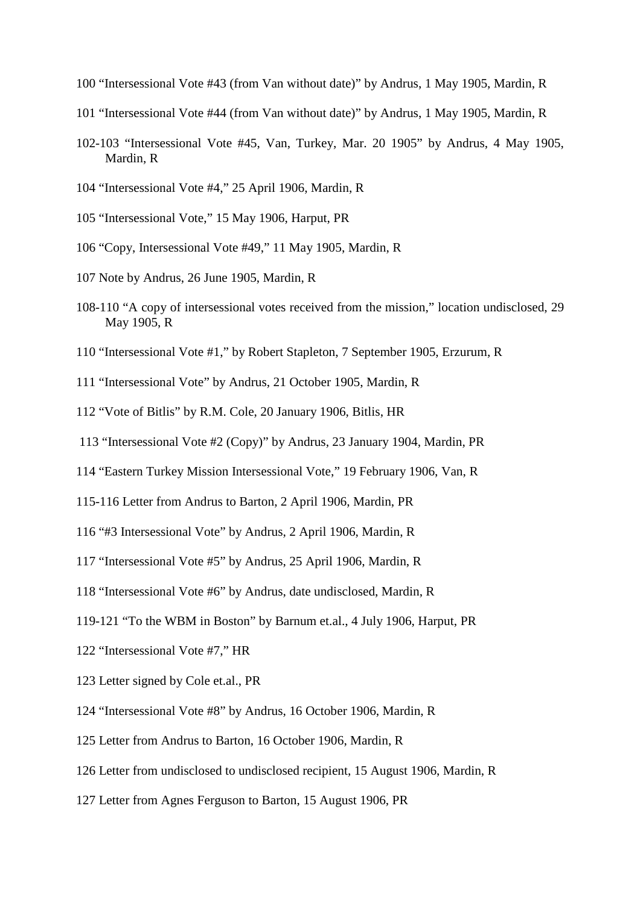- 100 "Intersessional Vote #43 (from Van without date)" by Andrus, 1 May 1905, Mardin, R
- 101 "Intersessional Vote #44 (from Van without date)" by Andrus, 1 May 1905, Mardin, R
- 102-103 "Intersessional Vote #45, Van, Turkey, Mar. 20 1905" by Andrus, 4 May 1905, Mardin, R
- 104 "Intersessional Vote #4," 25 April 1906, Mardin, R
- 105 "Intersessional Vote," 15 May 1906, Harput, PR
- 106 "Copy, Intersessional Vote #49," 11 May 1905, Mardin, R
- 107 Note by Andrus, 26 June 1905, Mardin, R
- 108-110 "A copy of intersessional votes received from the mission," location undisclosed, 29 May 1905, R
- 110 "Intersessional Vote #1," by Robert Stapleton, 7 September 1905, Erzurum, R
- 111 "Intersessional Vote" by Andrus, 21 October 1905, Mardin, R
- 112 "Vote of Bitlis" by R.M. Cole, 20 January 1906, Bitlis, HR
- 113 "Intersessional Vote #2 (Copy)" by Andrus, 23 January 1904, Mardin, PR
- 114 "Eastern Turkey Mission Intersessional Vote," 19 February 1906, Van, R
- 115-116 Letter from Andrus to Barton, 2 April 1906, Mardin, PR
- 116 "#3 Intersessional Vote" by Andrus, 2 April 1906, Mardin, R
- 117 "Intersessional Vote #5" by Andrus, 25 April 1906, Mardin, R
- 118 "Intersessional Vote #6" by Andrus, date undisclosed, Mardin, R
- 119-121 "To the WBM in Boston" by Barnum et.al., 4 July 1906, Harput, PR
- 122 "Intersessional Vote #7," HR
- 123 Letter signed by Cole et.al., PR
- 124 "Intersessional Vote #8" by Andrus, 16 October 1906, Mardin, R
- 125 Letter from Andrus to Barton, 16 October 1906, Mardin, R
- 126 Letter from undisclosed to undisclosed recipient, 15 August 1906, Mardin, R
- 127 Letter from Agnes Ferguson to Barton, 15 August 1906, PR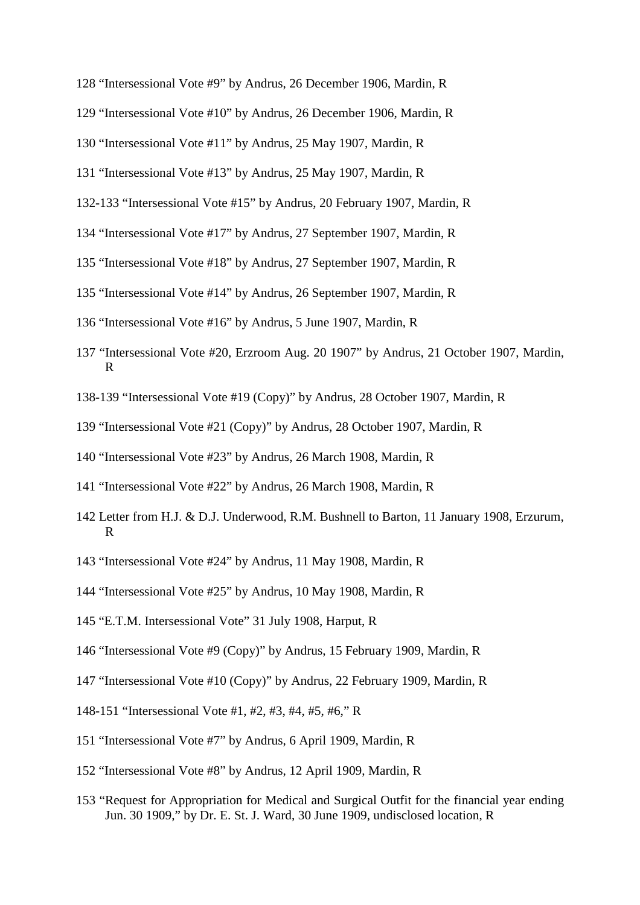- 128 "Intersessional Vote #9" by Andrus, 26 December 1906, Mardin, R
- 129 "Intersessional Vote #10" by Andrus, 26 December 1906, Mardin, R
- 130 "Intersessional Vote #11" by Andrus, 25 May 1907, Mardin, R
- 131 "Intersessional Vote #13" by Andrus, 25 May 1907, Mardin, R
- 132-133 "Intersessional Vote #15" by Andrus, 20 February 1907, Mardin, R
- 134 "Intersessional Vote #17" by Andrus, 27 September 1907, Mardin, R
- 135 "Intersessional Vote #18" by Andrus, 27 September 1907, Mardin, R
- 135 "Intersessional Vote #14" by Andrus, 26 September 1907, Mardin, R
- 136 "Intersessional Vote #16" by Andrus, 5 June 1907, Mardin, R
- 137 "Intersessional Vote #20, Erzroom Aug. 20 1907" by Andrus, 21 October 1907, Mardin, R
- 138-139 "Intersessional Vote #19 (Copy)" by Andrus, 28 October 1907, Mardin, R
- 139 "Intersessional Vote #21 (Copy)" by Andrus, 28 October 1907, Mardin, R
- 140 "Intersessional Vote #23" by Andrus, 26 March 1908, Mardin, R
- 141 "Intersessional Vote #22" by Andrus, 26 March 1908, Mardin, R
- 142 Letter from H.J. & D.J. Underwood, R.M. Bushnell to Barton, 11 January 1908, Erzurum, R
- 143 "Intersessional Vote #24" by Andrus, 11 May 1908, Mardin, R
- 144 "Intersessional Vote #25" by Andrus, 10 May 1908, Mardin, R
- 145 "E.T.M. Intersessional Vote" 31 July 1908, Harput, R
- 146 "Intersessional Vote #9 (Copy)" by Andrus, 15 February 1909, Mardin, R
- 147 "Intersessional Vote #10 (Copy)" by Andrus, 22 February 1909, Mardin, R
- 148-151 "Intersessional Vote #1, #2, #3, #4, #5, #6," R
- 151 "Intersessional Vote #7" by Andrus, 6 April 1909, Mardin, R
- 152 "Intersessional Vote #8" by Andrus, 12 April 1909, Mardin, R
- 153 "Request for Appropriation for Medical and Surgical Outfit for the financial year ending Jun. 30 1909," by Dr. E. St. J. Ward, 30 June 1909, undisclosed location, R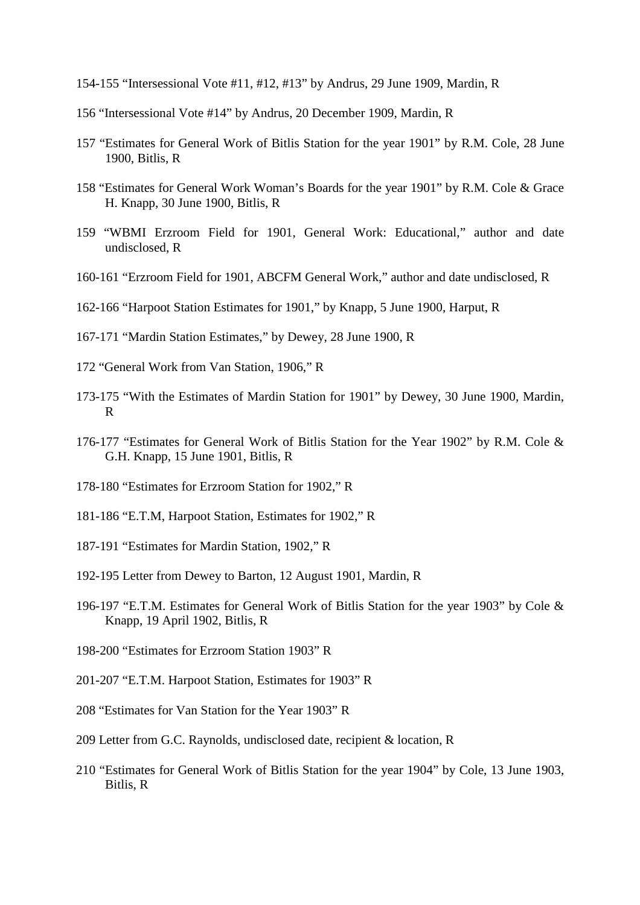- 154-155 "Intersessional Vote #11, #12, #13" by Andrus, 29 June 1909, Mardin, R
- 156 "Intersessional Vote #14" by Andrus, 20 December 1909, Mardin, R
- 157 "Estimates for General Work of Bitlis Station for the year 1901" by R.M. Cole, 28 June 1900, Bitlis, R
- 158 "Estimates for General Work Woman's Boards for the year 1901" by R.M. Cole & Grace H. Knapp, 30 June 1900, Bitlis, R
- 159 "WBMI Erzroom Field for 1901, General Work: Educational," author and date undisclosed, R
- 160-161 "Erzroom Field for 1901, ABCFM General Work," author and date undisclosed, R
- 162-166 "Harpoot Station Estimates for 1901," by Knapp, 5 June 1900, Harput, R
- 167-171 "Mardin Station Estimates," by Dewey, 28 June 1900, R
- 172 "General Work from Van Station, 1906," R
- 173-175 "With the Estimates of Mardin Station for 1901" by Dewey, 30 June 1900, Mardin, R
- 176-177 "Estimates for General Work of Bitlis Station for the Year 1902" by R.M. Cole & G.H. Knapp, 15 June 1901, Bitlis, R
- 178-180 "Estimates for Erzroom Station for 1902," R
- 181-186 "E.T.M, Harpoot Station, Estimates for 1902," R
- 187-191 "Estimates for Mardin Station, 1902," R
- 192-195 Letter from Dewey to Barton, 12 August 1901, Mardin, R
- 196-197 "E.T.M. Estimates for General Work of Bitlis Station for the year 1903" by Cole & Knapp, 19 April 1902, Bitlis, R
- 198-200 "Estimates for Erzroom Station 1903" R
- 201-207 "E.T.M. Harpoot Station, Estimates for 1903" R
- 208 "Estimates for Van Station for the Year 1903" R
- 209 Letter from G.C. Raynolds, undisclosed date, recipient & location, R
- 210 "Estimates for General Work of Bitlis Station for the year 1904" by Cole, 13 June 1903, Bitlis, R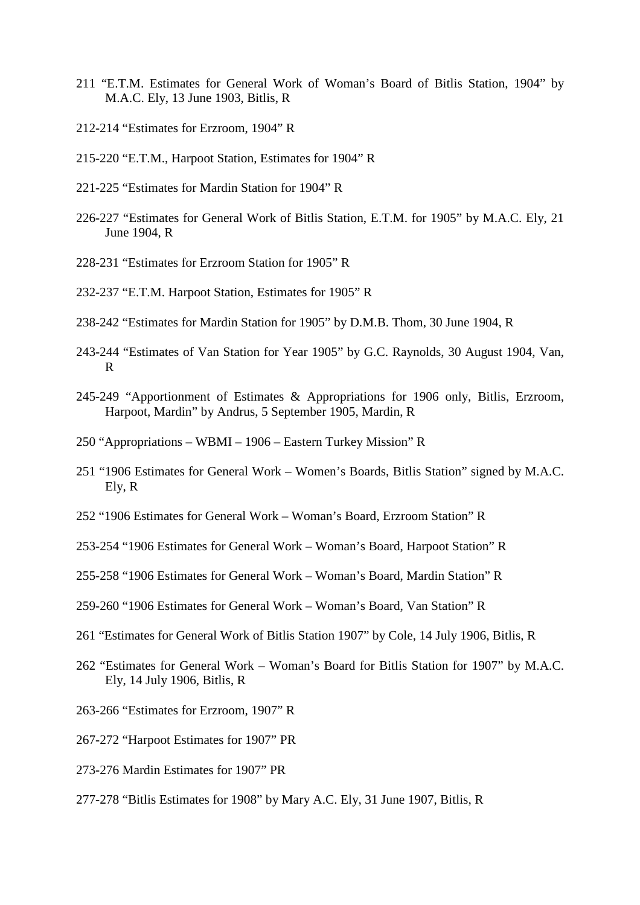- 211 "E.T.M. Estimates for General Work of Woman's Board of Bitlis Station, 1904" by M.A.C. Ely, 13 June 1903, Bitlis, R
- 212-214 "Estimates for Erzroom, 1904" R
- 215-220 "E.T.M., Harpoot Station, Estimates for 1904" R
- 221-225 "Estimates for Mardin Station for 1904" R
- 226-227 "Estimates for General Work of Bitlis Station, E.T.M. for 1905" by M.A.C. Ely, 21 June 1904, R
- 228-231 "Estimates for Erzroom Station for 1905" R
- 232-237 "E.T.M. Harpoot Station, Estimates for 1905" R
- 238-242 "Estimates for Mardin Station for 1905" by D.M.B. Thom, 30 June 1904, R
- 243-244 "Estimates of Van Station for Year 1905" by G.C. Raynolds, 30 August 1904, Van, R
- 245-249 "Apportionment of Estimates & Appropriations for 1906 only, Bitlis, Erzroom, Harpoot, Mardin" by Andrus, 5 September 1905, Mardin, R
- 250 "Appropriations WBMI 1906 Eastern Turkey Mission" R
- 251 "1906 Estimates for General Work Women's Boards, Bitlis Station" signed by M.A.C. Ely, R
- 252 "1906 Estimates for General Work Woman's Board, Erzroom Station" R
- 253-254 "1906 Estimates for General Work Woman's Board, Harpoot Station" R
- 255-258 "1906 Estimates for General Work Woman's Board, Mardin Station" R
- 259-260 "1906 Estimates for General Work Woman's Board, Van Station" R
- 261 "Estimates for General Work of Bitlis Station 1907" by Cole, 14 July 1906, Bitlis, R
- 262 "Estimates for General Work Woman's Board for Bitlis Station for 1907" by M.A.C. Ely, 14 July 1906, Bitlis, R
- 263-266 "Estimates for Erzroom, 1907" R
- 267-272 "Harpoot Estimates for 1907" PR
- 273-276 Mardin Estimates for 1907" PR
- 277-278 "Bitlis Estimates for 1908" by Mary A.C. Ely, 31 June 1907, Bitlis, R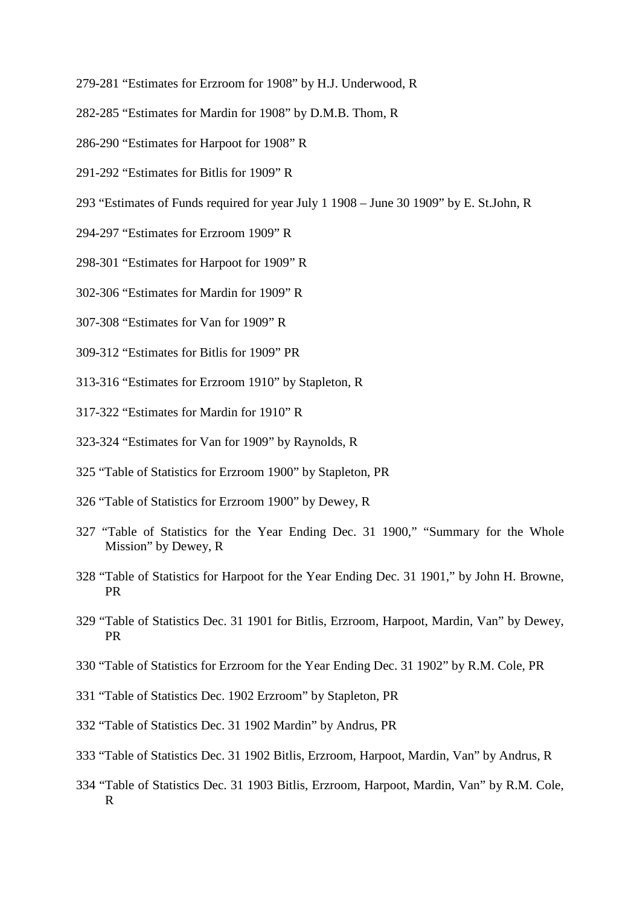- 279-281 "Estimates for Erzroom for 1908" by H.J. Underwood, R
- 282-285 "Estimates for Mardin for 1908" by D.M.B. Thom, R
- 286-290 "Estimates for Harpoot for 1908" R
- 291-292 "Estimates for Bitlis for 1909" R
- 293 "Estimates of Funds required for year July 1 1908 June 30 1909" by E. St.John, R
- 294-297 "Estimates for Erzroom 1909" R
- 298-301 "Estimates for Harpoot for 1909" R
- 302-306 "Estimates for Mardin for 1909" R
- 307-308 "Estimates for Van for 1909" R
- 309-312 "Estimates for Bitlis for 1909" PR
- 313-316 "Estimates for Erzroom 1910" by Stapleton, R
- 317-322 "Estimates for Mardin for 1910" R
- 323-324 "Estimates for Van for 1909" by Raynolds, R
- 325 "Table of Statistics for Erzroom 1900" by Stapleton, PR
- 326 "Table of Statistics for Erzroom 1900" by Dewey, R
- 327 "Table of Statistics for the Year Ending Dec. 31 1900," "Summary for the Whole Mission" by Dewey, R
- 328 "Table of Statistics for Harpoot for the Year Ending Dec. 31 1901," by John H. Browne, PR
- 329 "Table of Statistics Dec. 31 1901 for Bitlis, Erzroom, Harpoot, Mardin, Van" by Dewey, PR
- 330 "Table of Statistics for Erzroom for the Year Ending Dec. 31 1902" by R.M. Cole, PR
- 331 "Table of Statistics Dec. 1902 Erzroom" by Stapleton, PR
- 332 "Table of Statistics Dec. 31 1902 Mardin" by Andrus, PR
- 333 "Table of Statistics Dec. 31 1902 Bitlis, Erzroom, Harpoot, Mardin, Van" by Andrus, R
- 334 "Table of Statistics Dec. 31 1903 Bitlis, Erzroom, Harpoot, Mardin, Van" by R.M. Cole, R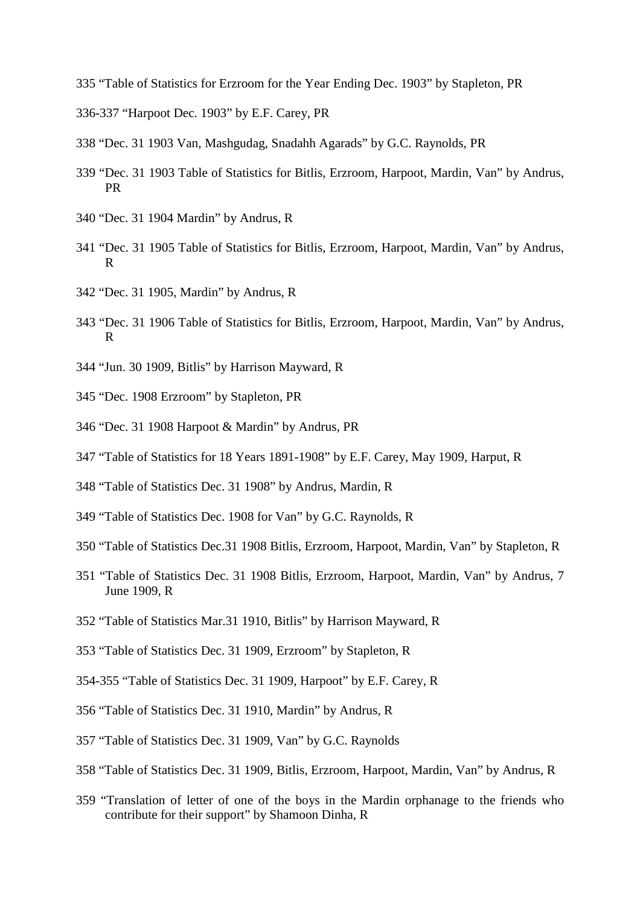- 335 "Table of Statistics for Erzroom for the Year Ending Dec. 1903" by Stapleton, PR
- 336-337 "Harpoot Dec. 1903" by E.F. Carey, PR
- 338 "Dec. 31 1903 Van, Mashgudag, Snadahh Agarads" by G.C. Raynolds, PR
- 339 "Dec. 31 1903 Table of Statistics for Bitlis, Erzroom, Harpoot, Mardin, Van" by Andrus, PR
- 340 "Dec. 31 1904 Mardin" by Andrus, R
- 341 "Dec. 31 1905 Table of Statistics for Bitlis, Erzroom, Harpoot, Mardin, Van" by Andrus, R
- 342 "Dec. 31 1905, Mardin" by Andrus, R
- 343 "Dec. 31 1906 Table of Statistics for Bitlis, Erzroom, Harpoot, Mardin, Van" by Andrus, R
- 344 "Jun. 30 1909, Bitlis" by Harrison Mayward, R
- 345 "Dec. 1908 Erzroom" by Stapleton, PR
- 346 "Dec. 31 1908 Harpoot & Mardin" by Andrus, PR
- 347 "Table of Statistics for 18 Years 1891-1908" by E.F. Carey, May 1909, Harput, R
- 348 "Table of Statistics Dec. 31 1908" by Andrus, Mardin, R
- 349 "Table of Statistics Dec. 1908 for Van" by G.C. Raynolds, R
- 350 "Table of Statistics Dec.31 1908 Bitlis, Erzroom, Harpoot, Mardin, Van" by Stapleton, R
- 351 "Table of Statistics Dec. 31 1908 Bitlis, Erzroom, Harpoot, Mardin, Van" by Andrus, 7 June 1909, R
- 352 "Table of Statistics Mar.31 1910, Bitlis" by Harrison Mayward, R
- 353 "Table of Statistics Dec. 31 1909, Erzroom" by Stapleton, R
- 354-355 "Table of Statistics Dec. 31 1909, Harpoot" by E.F. Carey, R
- 356 "Table of Statistics Dec. 31 1910, Mardin" by Andrus, R
- 357 "Table of Statistics Dec. 31 1909, Van" by G.C. Raynolds
- 358 "Table of Statistics Dec. 31 1909, Bitlis, Erzroom, Harpoot, Mardin, Van" by Andrus, R
- 359 "Translation of letter of one of the boys in the Mardin orphanage to the friends who contribute for their support" by Shamoon Dinha, R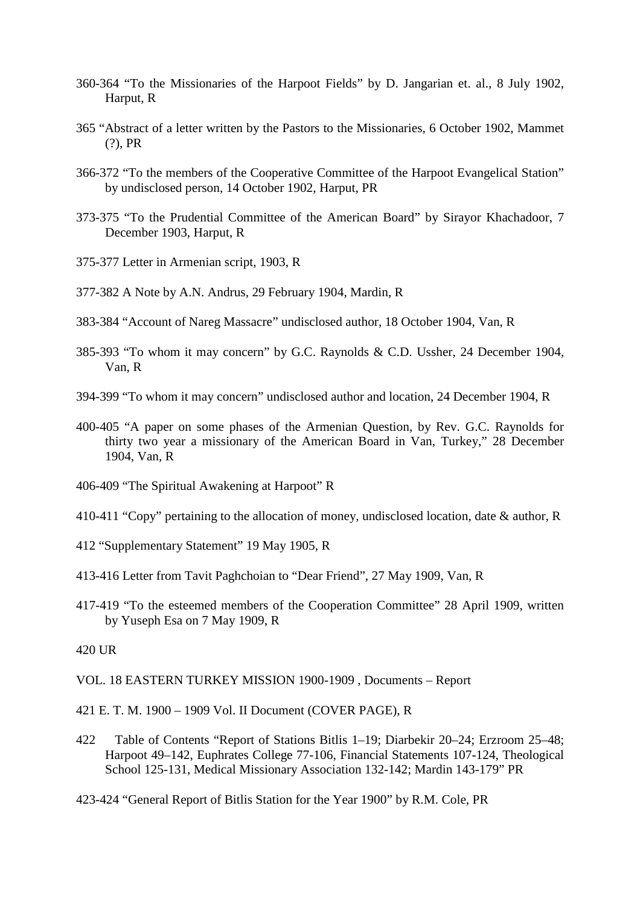- 360-364 "To the Missionaries of the Harpoot Fields" by D. Jangarian et. al., 8 July 1902, Harput, R
- 365 "Abstract of a letter written by the Pastors to the Missionaries, 6 October 1902, Mammet (?), PR
- 366-372 "To the members of the Cooperative Committee of the Harpoot Evangelical Station" by undisclosed person, 14 October 1902, Harput, PR
- 373-375 "To the Prudential Committee of the American Board" by Sirayor Khachadoor, 7 December 1903, Harput, R
- 375-377 Letter in Armenian script, 1903, R
- 377-382 A Note by A.N. Andrus, 29 February 1904, Mardin, R
- 383-384 "Account of Nareg Massacre" undisclosed author, 18 October 1904, Van, R
- 385-393 "To whom it may concern" by G.C. Raynolds & C.D. Ussher, 24 December 1904, Van, R
- 394-399 "To whom it may concern" undisclosed author and location, 24 December 1904, R
- 400-405 "A paper on some phases of the Armenian Question, by Rev. G.C. Raynolds for thirty two year a missionary of the American Board in Van, Turkey," 28 December 1904, Van, R
- 406-409 "The Spiritual Awakening at Harpoot" R
- 410-411 "Copy" pertaining to the allocation of money, undisclosed location, date & author, R
- 412 "Supplementary Statement" 19 May 1905, R
- 413-416 Letter from Tavit Paghchoian to "Dear Friend", 27 May 1909, Van, R
- 417-419 "To the esteemed members of the Cooperation Committee" 28 April 1909, written by Yuseph Esa on 7 May 1909, R

#### 420 UR

- VOL. 18 EASTERN TURKEY MISSION 1900-1909 , Documents Report
- 421 E. T. M. 1900 1909 Vol. II Document (COVER PAGE), R
- 422 Table of Contents "Report of Stations Bitlis 1–19; Diarbekir 20–24; Erzroom 25–48; Harpoot 49–142, Euphrates College 77-106, Financial Statements 107-124, Theological School 125-131, Medical Missionary Association 132-142; Mardin 143-179" PR
- 423-424 "General Report of Bitlis Station for the Year 1900" by R.M. Cole, PR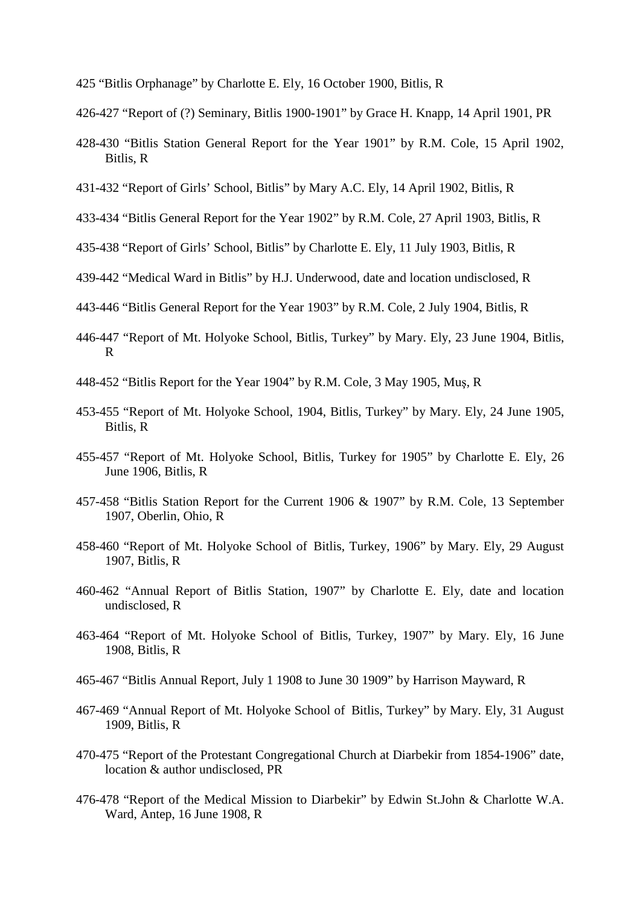- 425 "Bitlis Orphanage" by Charlotte E. Ely, 16 October 1900, Bitlis, R
- 426-427 "Report of (?) Seminary, Bitlis 1900-1901" by Grace H. Knapp, 14 April 1901, PR
- 428-430 "Bitlis Station General Report for the Year 1901" by R.M. Cole, 15 April 1902, Bitlis, R
- 431-432 "Report of Girls' School, Bitlis" by Mary A.C. Ely, 14 April 1902, Bitlis, R
- 433-434 "Bitlis General Report for the Year 1902" by R.M. Cole, 27 April 1903, Bitlis, R
- 435-438 "Report of Girls' School, Bitlis" by Charlotte E. Ely, 11 July 1903, Bitlis, R
- 439-442 "Medical Ward in Bitlis" by H.J. Underwood, date and location undisclosed, R
- 443-446 "Bitlis General Report for the Year 1903" by R.M. Cole, 2 July 1904, Bitlis, R
- 446-447 "Report of Mt. Holyoke School, Bitlis, Turkey" by Mary. Ely, 23 June 1904, Bitlis, R
- 448-452 "Bitlis Report for the Year 1904" by R.M. Cole, 3 May 1905, Muş, R
- 453-455 "Report of Mt. Holyoke School, 1904, Bitlis, Turkey" by Mary. Ely, 24 June 1905, Bitlis, R
- 455-457 "Report of Mt. Holyoke School, Bitlis, Turkey for 1905" by Charlotte E. Ely, 26 June 1906, Bitlis, R
- 457-458 "Bitlis Station Report for the Current 1906 & 1907" by R.M. Cole, 13 September 1907, Oberlin, Ohio, R
- 458-460 "Report of Mt. Holyoke School of Bitlis, Turkey, 1906" by Mary. Ely, 29 August 1907, Bitlis, R
- 460-462 "Annual Report of Bitlis Station, 1907" by Charlotte E. Ely, date and location undisclosed, R
- 463-464 "Report of Mt. Holyoke School of Bitlis, Turkey, 1907" by Mary. Ely, 16 June 1908, Bitlis, R
- 465-467 "Bitlis Annual Report, July 1 1908 to June 30 1909" by Harrison Mayward, R
- 467-469 "Annual Report of Mt. Holyoke School of Bitlis, Turkey" by Mary. Ely, 31 August 1909, Bitlis, R
- 470-475 "Report of the Protestant Congregational Church at Diarbekir from 1854-1906" date, location & author undisclosed, PR
- 476-478 "Report of the Medical Mission to Diarbekir" by Edwin St.John & Charlotte W.A. Ward, Antep, 16 June 1908, R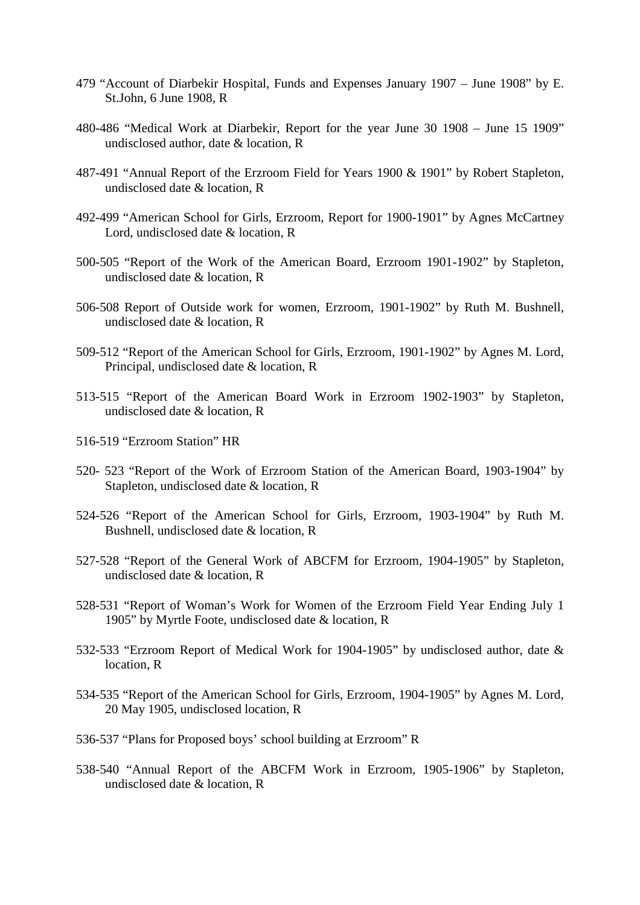- 479 "Account of Diarbekir Hospital, Funds and Expenses January 1907 June 1908" by E. St.John, 6 June 1908, R
- 480-486 "Medical Work at Diarbekir, Report for the year June 30 1908 June 15 1909" undisclosed author, date & location, R
- 487-491 "Annual Report of the Erzroom Field for Years 1900 & 1901" by Robert Stapleton, undisclosed date & location, R
- 492-499 "American School for Girls, Erzroom, Report for 1900-1901" by Agnes McCartney Lord, undisclosed date & location, R
- 500-505 "Report of the Work of the American Board, Erzroom 1901-1902" by Stapleton, undisclosed date & location, R
- 506-508 Report of Outside work for women, Erzroom, 1901-1902" by Ruth M. Bushnell, undisclosed date & location, R
- 509-512 "Report of the American School for Girls, Erzroom, 1901-1902" by Agnes M. Lord, Principal, undisclosed date & location, R
- 513-515 "Report of the American Board Work in Erzroom 1902-1903" by Stapleton, undisclosed date & location, R
- 516-519 "Erzroom Station" HR
- 520- 523 "Report of the Work of Erzroom Station of the American Board, 1903-1904" by Stapleton, undisclosed date & location, R
- 524-526 "Report of the American School for Girls, Erzroom, 1903-1904" by Ruth M. Bushnell, undisclosed date & location, R
- 527-528 "Report of the General Work of ABCFM for Erzroom, 1904-1905" by Stapleton, undisclosed date & location, R
- 528-531 "Report of Woman's Work for Women of the Erzroom Field Year Ending July 1 1905" by Myrtle Foote, undisclosed date & location, R
- 532-533 "Erzroom Report of Medical Work for 1904-1905" by undisclosed author, date & location, R
- 534-535 "Report of the American School for Girls, Erzroom, 1904-1905" by Agnes M. Lord, 20 May 1905, undisclosed location, R
- 536-537 "Plans for Proposed boys' school building at Erzroom" R
- 538-540 "Annual Report of the ABCFM Work in Erzroom, 1905-1906" by Stapleton, undisclosed date & location, R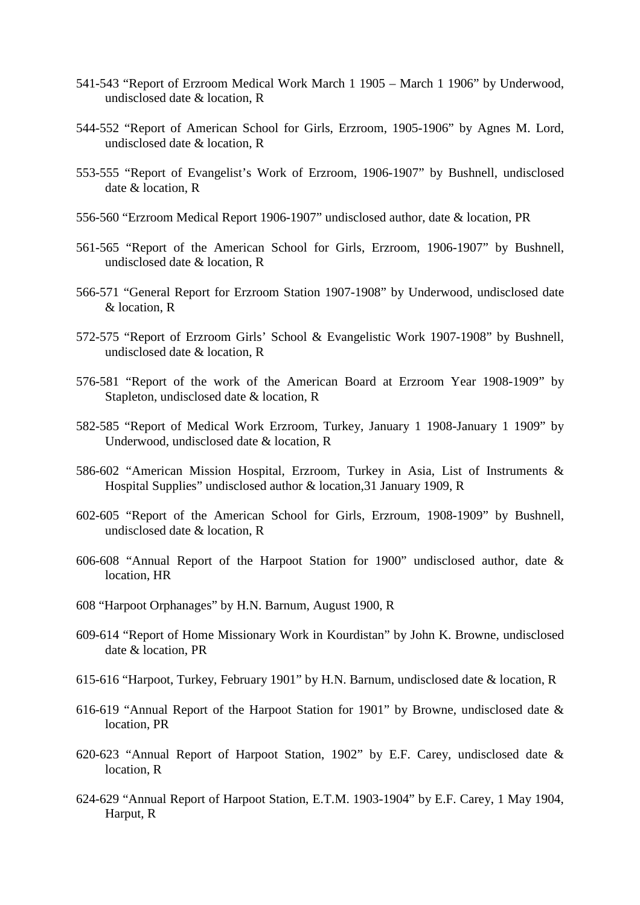- 541-543 "Report of Erzroom Medical Work March 1 1905 March 1 1906" by Underwood, undisclosed date & location, R
- 544-552 "Report of American School for Girls, Erzroom, 1905-1906" by Agnes M. Lord, undisclosed date & location, R
- 553-555 "Report of Evangelist's Work of Erzroom, 1906-1907" by Bushnell, undisclosed date & location, R
- 556-560 "Erzroom Medical Report 1906-1907" undisclosed author, date & location, PR
- 561-565 "Report of the American School for Girls, Erzroom, 1906-1907" by Bushnell, undisclosed date & location, R
- 566-571 "General Report for Erzroom Station 1907-1908" by Underwood, undisclosed date & location, R
- 572-575 "Report of Erzroom Girls' School & Evangelistic Work 1907-1908" by Bushnell, undisclosed date & location, R
- 576-581 "Report of the work of the American Board at Erzroom Year 1908-1909" by Stapleton, undisclosed date & location, R
- 582-585 "Report of Medical Work Erzroom, Turkey, January 1 1908-January 1 1909" by Underwood, undisclosed date & location, R
- 586-602 "American Mission Hospital, Erzroom, Turkey in Asia, List of Instruments & Hospital Supplies" undisclosed author & location,31 January 1909, R
- 602-605 "Report of the American School for Girls, Erzroum, 1908-1909" by Bushnell, undisclosed date & location, R
- 606-608 "Annual Report of the Harpoot Station for 1900" undisclosed author, date & location, HR
- 608 "Harpoot Orphanages" by H.N. Barnum, August 1900, R
- 609-614 "Report of Home Missionary Work in Kourdistan" by John K. Browne, undisclosed date & location, PR
- 615-616 "Harpoot, Turkey, February 1901" by H.N. Barnum, undisclosed date & location, R
- 616-619 "Annual Report of the Harpoot Station for 1901" by Browne, undisclosed date & location, PR
- 620-623 "Annual Report of Harpoot Station, 1902" by E.F. Carey, undisclosed date & location, R
- 624-629 "Annual Report of Harpoot Station, E.T.M. 1903-1904" by E.F. Carey, 1 May 1904, Harput, R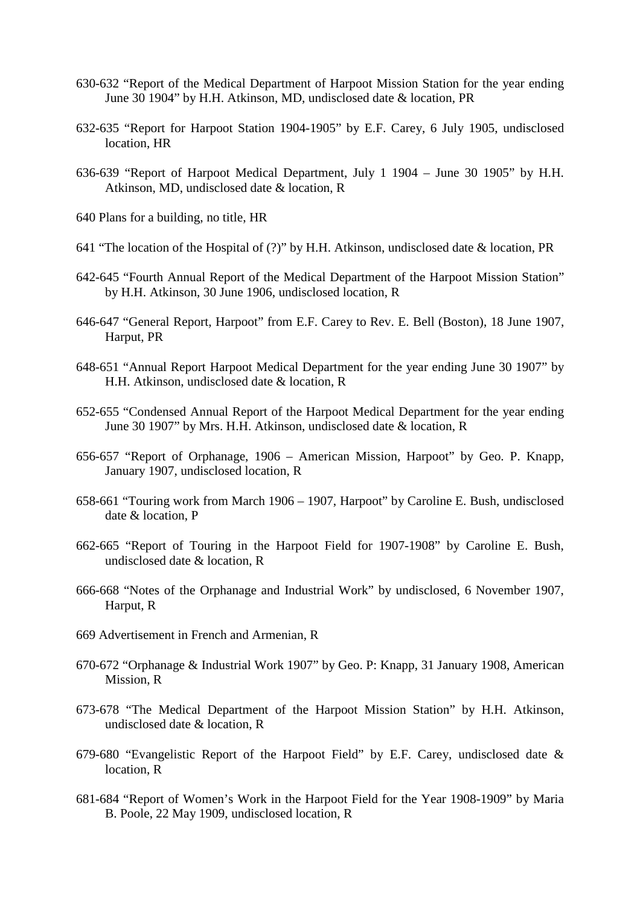- 630-632 "Report of the Medical Department of Harpoot Mission Station for the year ending June 30 1904" by H.H. Atkinson, MD, undisclosed date & location, PR
- 632-635 "Report for Harpoot Station 1904-1905" by E.F. Carey, 6 July 1905, undisclosed location, HR
- 636-639 "Report of Harpoot Medical Department, July 1 1904 June 30 1905" by H.H. Atkinson, MD, undisclosed date & location, R
- 640 Plans for a building, no title, HR
- 641 "The location of the Hospital of (?)" by H.H. Atkinson, undisclosed date & location, PR
- 642-645 "Fourth Annual Report of the Medical Department of the Harpoot Mission Station" by H.H. Atkinson, 30 June 1906, undisclosed location, R
- 646-647 "General Report, Harpoot" from E.F. Carey to Rev. E. Bell (Boston), 18 June 1907, Harput, PR
- 648-651 "Annual Report Harpoot Medical Department for the year ending June 30 1907" by H.H. Atkinson, undisclosed date & location, R
- 652-655 "Condensed Annual Report of the Harpoot Medical Department for the year ending June 30 1907" by Mrs. H.H. Atkinson, undisclosed date & location, R
- 656-657 "Report of Orphanage, 1906 American Mission, Harpoot" by Geo. P. Knapp, January 1907, undisclosed location, R
- 658-661 "Touring work from March 1906 1907, Harpoot" by Caroline E. Bush, undisclosed date & location, P
- 662-665 "Report of Touring in the Harpoot Field for 1907-1908" by Caroline E. Bush, undisclosed date & location, R
- 666-668 "Notes of the Orphanage and Industrial Work" by undisclosed, 6 November 1907, Harput, R
- 669 Advertisement in French and Armenian, R
- 670-672 "Orphanage & Industrial Work 1907" by Geo. P: Knapp, 31 January 1908, American Mission, R
- 673-678 "The Medical Department of the Harpoot Mission Station" by H.H. Atkinson, undisclosed date & location, R
- 679-680 "Evangelistic Report of the Harpoot Field" by E.F. Carey, undisclosed date & location, R
- 681-684 "Report of Women's Work in the Harpoot Field for the Year 1908-1909" by Maria B. Poole, 22 May 1909, undisclosed location, R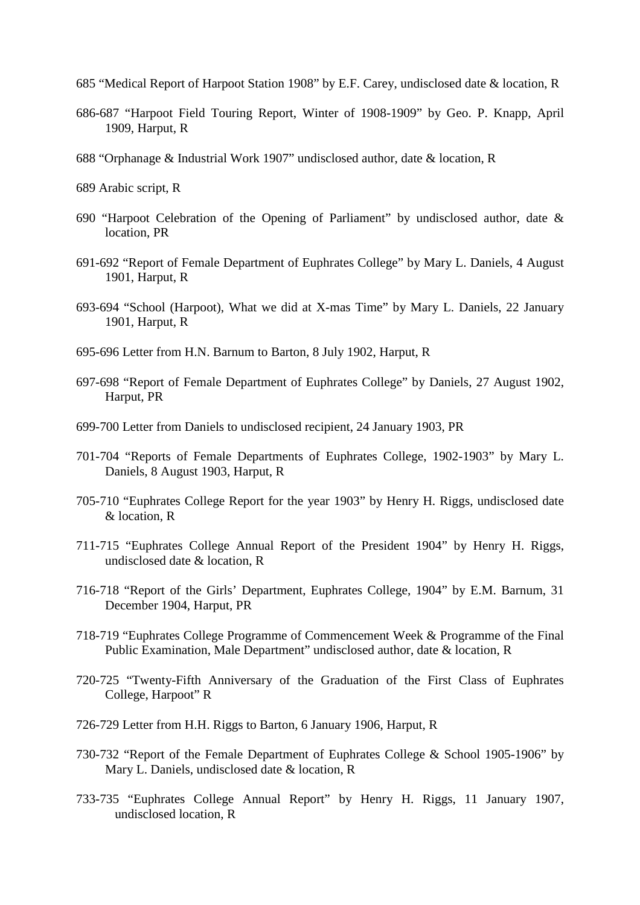- 685 "Medical Report of Harpoot Station 1908" by E.F. Carey, undisclosed date & location, R
- 686-687 "Harpoot Field Touring Report, Winter of 1908-1909" by Geo. P. Knapp, April 1909, Harput, R
- 688 "Orphanage & Industrial Work 1907" undisclosed author, date & location, R
- 689 Arabic script, R
- 690 "Harpoot Celebration of the Opening of Parliament" by undisclosed author, date & location, PR
- 691-692 "Report of Female Department of Euphrates College" by Mary L. Daniels, 4 August 1901, Harput, R
- 693-694 "School (Harpoot), What we did at X-mas Time" by Mary L. Daniels, 22 January 1901, Harput, R
- 695-696 Letter from H.N. Barnum to Barton, 8 July 1902, Harput, R
- 697-698 "Report of Female Department of Euphrates College" by Daniels, 27 August 1902, Harput, PR
- 699-700 Letter from Daniels to undisclosed recipient, 24 January 1903, PR
- 701-704 "Reports of Female Departments of Euphrates College, 1902-1903" by Mary L. Daniels, 8 August 1903, Harput, R
- 705-710 "Euphrates College Report for the year 1903" by Henry H. Riggs, undisclosed date & location, R
- 711-715 "Euphrates College Annual Report of the President 1904" by Henry H. Riggs, undisclosed date & location, R
- 716-718 "Report of the Girls' Department, Euphrates College, 1904" by E.M. Barnum, 31 December 1904, Harput, PR
- 718-719 "Euphrates College Programme of Commencement Week & Programme of the Final Public Examination, Male Department" undisclosed author, date & location, R
- 720-725 "Twenty-Fifth Anniversary of the Graduation of the First Class of Euphrates College, Harpoot" R
- 726-729 Letter from H.H. Riggs to Barton, 6 January 1906, Harput, R
- 730-732 "Report of the Female Department of Euphrates College & School 1905-1906" by Mary L. Daniels, undisclosed date & location, R
- 733-735 "Euphrates College Annual Report" by Henry H. Riggs, 11 January 1907, undisclosed location, R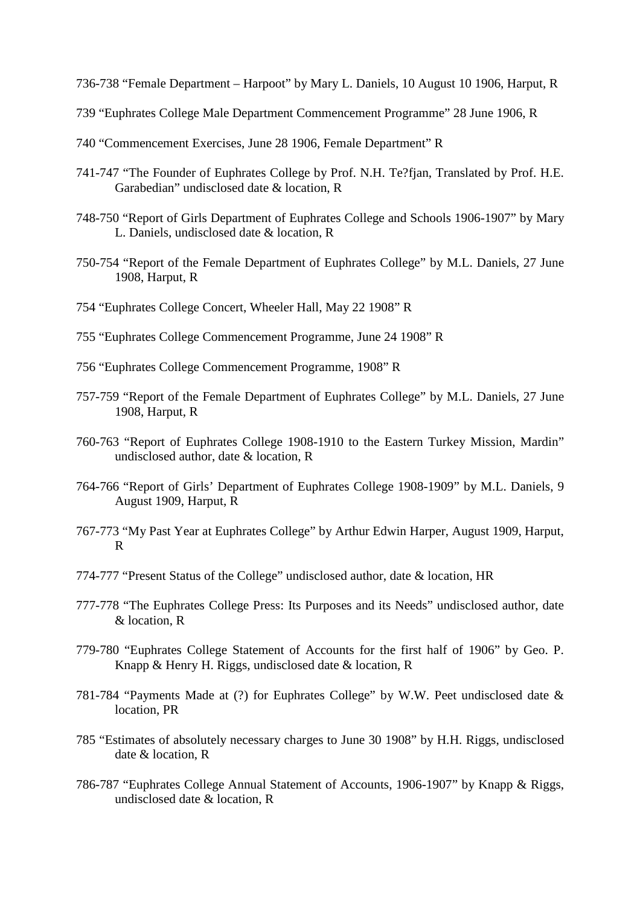- 736-738 "Female Department Harpoot" by Mary L. Daniels, 10 August 10 1906, Harput, R
- 739 "Euphrates College Male Department Commencement Programme" 28 June 1906, R
- 740 "Commencement Exercises, June 28 1906, Female Department" R
- 741-747 "The Founder of Euphrates College by Prof. N.H. Te?fjan, Translated by Prof. H.E. Garabedian" undisclosed date & location, R
- 748-750 "Report of Girls Department of Euphrates College and Schools 1906-1907" by Mary L. Daniels, undisclosed date & location, R
- 750-754 "Report of the Female Department of Euphrates College" by M.L. Daniels, 27 June 1908, Harput, R
- 754 "Euphrates College Concert, Wheeler Hall, May 22 1908" R
- 755 "Euphrates College Commencement Programme, June 24 1908" R
- 756 "Euphrates College Commencement Programme, 1908" R
- 757-759 "Report of the Female Department of Euphrates College" by M.L. Daniels, 27 June 1908, Harput, R
- 760-763 "Report of Euphrates College 1908-1910 to the Eastern Turkey Mission, Mardin" undisclosed author, date & location, R
- 764-766 "Report of Girls' Department of Euphrates College 1908-1909" by M.L. Daniels, 9 August 1909, Harput, R
- 767-773 "My Past Year at Euphrates College" by Arthur Edwin Harper, August 1909, Harput, R
- 774-777 "Present Status of the College" undisclosed author, date & location, HR
- 777-778 "The Euphrates College Press: Its Purposes and its Needs" undisclosed author, date & location, R
- 779-780 "Euphrates College Statement of Accounts for the first half of 1906" by Geo. P. Knapp & Henry H. Riggs, undisclosed date & location, R
- 781-784 "Payments Made at (?) for Euphrates College" by W.W. Peet undisclosed date & location, PR
- 785 "Estimates of absolutely necessary charges to June 30 1908" by H.H. Riggs, undisclosed date & location, R
- 786-787 "Euphrates College Annual Statement of Accounts, 1906-1907" by Knapp & Riggs, undisclosed date & location, R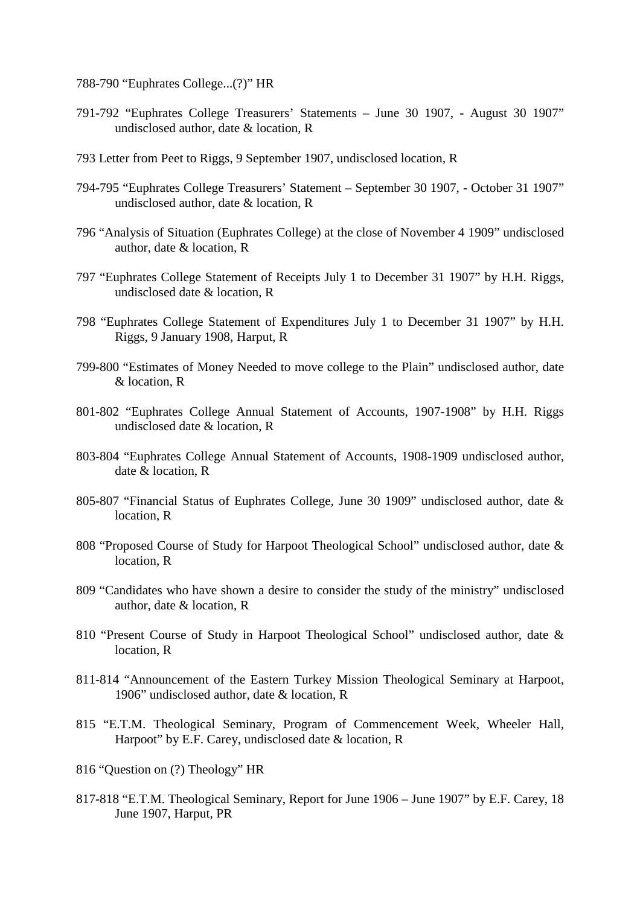788-790 "Euphrates College...(?)" HR

- 791-792 "Euphrates College Treasurers' Statements June 30 1907, August 30 1907" undisclosed author, date & location, R
- 793 Letter from Peet to Riggs, 9 September 1907, undisclosed location, R
- 794-795 "Euphrates College Treasurers' Statement September 30 1907, October 31 1907" undisclosed author, date & location, R
- 796 "Analysis of Situation (Euphrates College) at the close of November 4 1909" undisclosed author, date & location, R
- 797 "Euphrates College Statement of Receipts July 1 to December 31 1907" by H.H. Riggs, undisclosed date & location, R
- 798 "Euphrates College Statement of Expenditures July 1 to December 31 1907" by H.H. Riggs, 9 January 1908, Harput, R
- 799-800 "Estimates of Money Needed to move college to the Plain" undisclosed author, date & location, R
- 801-802 "Euphrates College Annual Statement of Accounts, 1907-1908" by H.H. Riggs undisclosed date & location, R
- 803-804 "Euphrates College Annual Statement of Accounts, 1908-1909 undisclosed author, date & location, R
- 805-807 "Financial Status of Euphrates College, June 30 1909" undisclosed author, date & location, R
- 808 "Proposed Course of Study for Harpoot Theological School" undisclosed author, date & location, R
- 809 "Candidates who have shown a desire to consider the study of the ministry" undisclosed author, date & location, R
- 810 "Present Course of Study in Harpoot Theological School" undisclosed author, date & location, R
- 811-814 "Announcement of the Eastern Turkey Mission Theological Seminary at Harpoot, 1906" undisclosed author, date & location, R
- 815 "E.T.M. Theological Seminary, Program of Commencement Week, Wheeler Hall, Harpoot" by E.F. Carey, undisclosed date & location, R
- 816 "Question on (?) Theology" HR
- 817-818 "E.T.M. Theological Seminary, Report for June 1906 June 1907" by E.F. Carey, 18 June 1907, Harput, PR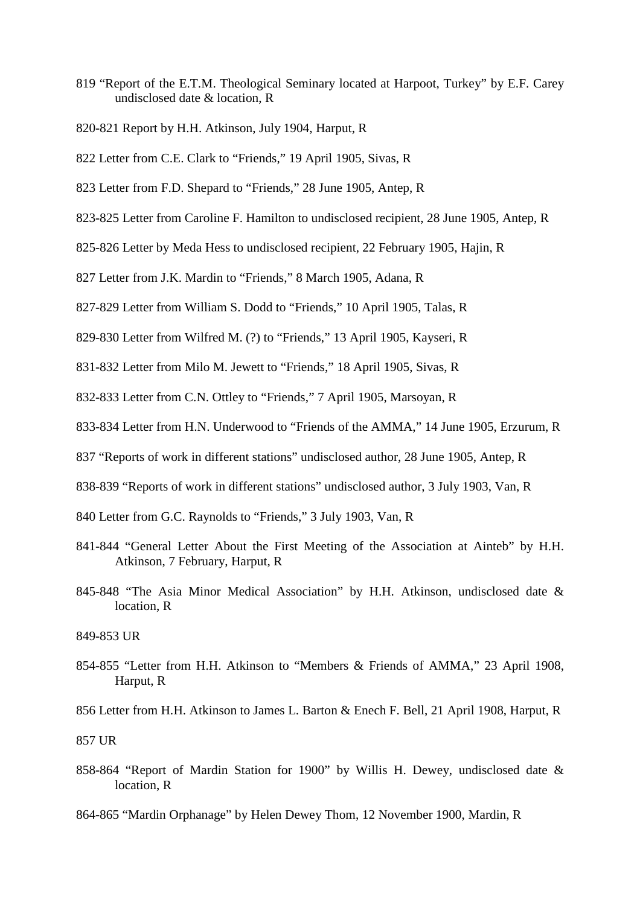- 819 "Report of the E.T.M. Theological Seminary located at Harpoot, Turkey" by E.F. Carey undisclosed date & location, R
- 820-821 Report by H.H. Atkinson, July 1904, Harput, R
- 822 Letter from C.E. Clark to "Friends," 19 April 1905, Sivas, R
- 823 Letter from F.D. Shepard to "Friends," 28 June 1905, Antep, R
- 823-825 Letter from Caroline F. Hamilton to undisclosed recipient, 28 June 1905, Antep, R
- 825-826 Letter by Meda Hess to undisclosed recipient, 22 February 1905, Hajin, R
- 827 Letter from J.K. Mardin to "Friends," 8 March 1905, Adana, R
- 827-829 Letter from William S. Dodd to "Friends," 10 April 1905, Talas, R
- 829-830 Letter from Wilfred M. (?) to "Friends," 13 April 1905, Kayseri, R
- 831-832 Letter from Milo M. Jewett to "Friends," 18 April 1905, Sivas, R
- 832-833 Letter from C.N. Ottley to "Friends," 7 April 1905, Marsoyan, R
- 833-834 Letter from H.N. Underwood to "Friends of the AMMA," 14 June 1905, Erzurum, R
- 837 "Reports of work in different stations" undisclosed author, 28 June 1905, Antep, R
- 838-839 "Reports of work in different stations" undisclosed author, 3 July 1903, Van, R
- 840 Letter from G.C. Raynolds to "Friends," 3 July 1903, Van, R
- 841-844 "General Letter About the First Meeting of the Association at Ainteb" by H.H. Atkinson, 7 February, Harput, R
- 845-848 "The Asia Minor Medical Association" by H.H. Atkinson, undisclosed date & location, R

- 854-855 "Letter from H.H. Atkinson to "Members & Friends of AMMA," 23 April 1908, Harput, R
- 856 Letter from H.H. Atkinson to James L. Barton & Enech F. Bell, 21 April 1908, Harput, R

857 UR

- 858-864 "Report of Mardin Station for 1900" by Willis H. Dewey, undisclosed date & location, R
- 864-865 "Mardin Orphanage" by Helen Dewey Thom, 12 November 1900, Mardin, R

<sup>849-853</sup> UR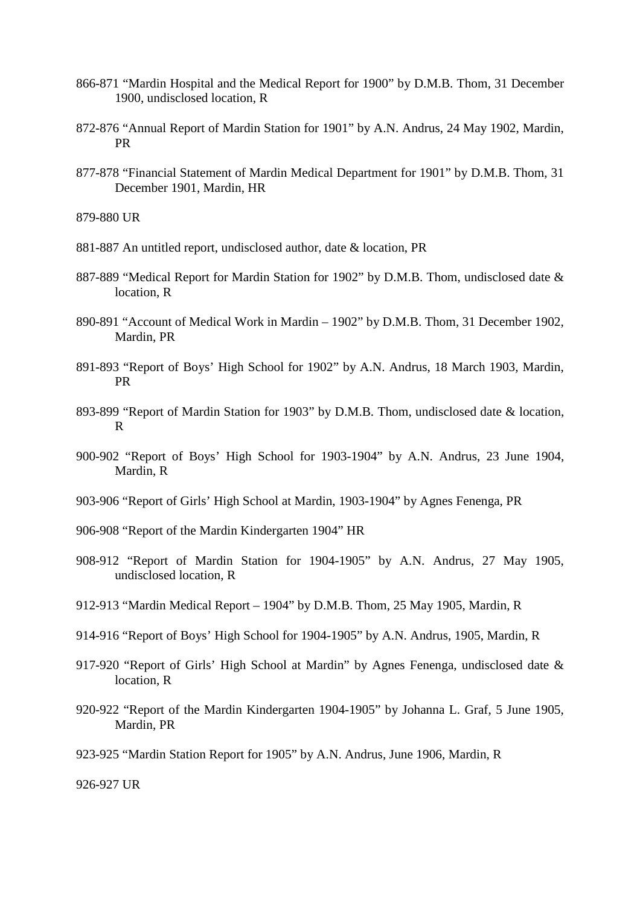- 866-871 "Mardin Hospital and the Medical Report for 1900" by D.M.B. Thom, 31 December 1900, undisclosed location, R
- 872-876 "Annual Report of Mardin Station for 1901" by A.N. Andrus, 24 May 1902, Mardin, PR
- 877-878 "Financial Statement of Mardin Medical Department for 1901" by D.M.B. Thom, 31 December 1901, Mardin, HR

879-880 UR

- 881-887 An untitled report, undisclosed author, date & location, PR
- 887-889 "Medical Report for Mardin Station for 1902" by D.M.B. Thom, undisclosed date & location, R
- 890-891 "Account of Medical Work in Mardin 1902" by D.M.B. Thom, 31 December 1902, Mardin, PR
- 891-893 "Report of Boys' High School for 1902" by A.N. Andrus, 18 March 1903, Mardin, PR
- 893-899 "Report of Mardin Station for 1903" by D.M.B. Thom, undisclosed date & location, R
- 900-902 "Report of Boys' High School for 1903-1904" by A.N. Andrus, 23 June 1904, Mardin, R
- 903-906 "Report of Girls' High School at Mardin, 1903-1904" by Agnes Fenenga, PR
- 906-908 "Report of the Mardin Kindergarten 1904" HR
- 908-912 "Report of Mardin Station for 1904-1905" by A.N. Andrus, 27 May 1905, undisclosed location, R
- 912-913 "Mardin Medical Report 1904" by D.M.B. Thom, 25 May 1905, Mardin, R
- 914-916 "Report of Boys' High School for 1904-1905" by A.N. Andrus, 1905, Mardin, R
- 917-920 "Report of Girls' High School at Mardin" by Agnes Fenenga, undisclosed date & location, R
- 920-922 "Report of the Mardin Kindergarten 1904-1905" by Johanna L. Graf, 5 June 1905, Mardin, PR
- 923-925 "Mardin Station Report for 1905" by A.N. Andrus, June 1906, Mardin, R

926-927 UR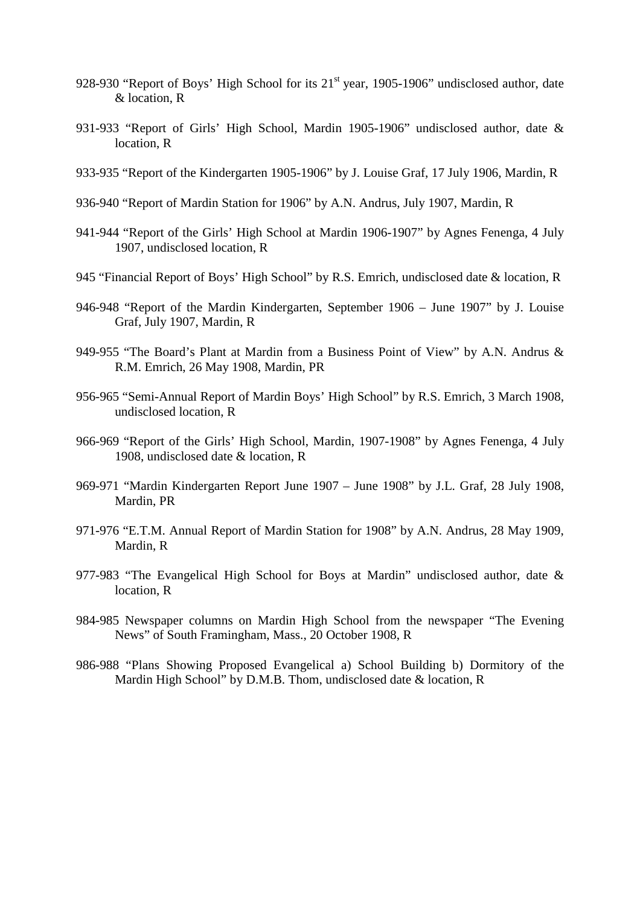- 928-930 "Report of Boys' High School for its 21<sup>st</sup> year, 1905-1906" undisclosed author, date & location, R
- 931-933 "Report of Girls' High School, Mardin 1905-1906" undisclosed author, date & location, R
- 933-935 "Report of the Kindergarten 1905-1906" by J. Louise Graf, 17 July 1906, Mardin, R
- 936-940 "Report of Mardin Station for 1906" by A.N. Andrus, July 1907, Mardin, R
- 941-944 "Report of the Girls' High School at Mardin 1906-1907" by Agnes Fenenga, 4 July 1907, undisclosed location, R
- 945 "Financial Report of Boys' High School" by R.S. Emrich, undisclosed date & location, R
- 946-948 "Report of the Mardin Kindergarten, September 1906 June 1907" by J. Louise Graf, July 1907, Mardin, R
- 949-955 "The Board's Plant at Mardin from a Business Point of View" by A.N. Andrus & R.M. Emrich, 26 May 1908, Mardin, PR
- 956-965 "Semi-Annual Report of Mardin Boys' High School" by R.S. Emrich, 3 March 1908, undisclosed location, R
- 966-969 "Report of the Girls' High School, Mardin, 1907-1908" by Agnes Fenenga, 4 July 1908, undisclosed date & location, R
- 969-971 "Mardin Kindergarten Report June 1907 June 1908" by J.L. Graf, 28 July 1908, Mardin, PR
- 971-976 "E.T.M. Annual Report of Mardin Station for 1908" by A.N. Andrus, 28 May 1909, Mardin, R
- 977-983 "The Evangelical High School for Boys at Mardin" undisclosed author, date & location, R
- 984-985 Newspaper columns on Mardin High School from the newspaper "The Evening News" of South Framingham, Mass., 20 October 1908, R
- 986-988 "Plans Showing Proposed Evangelical a) School Building b) Dormitory of the Mardin High School" by D.M.B. Thom, undisclosed date & location, R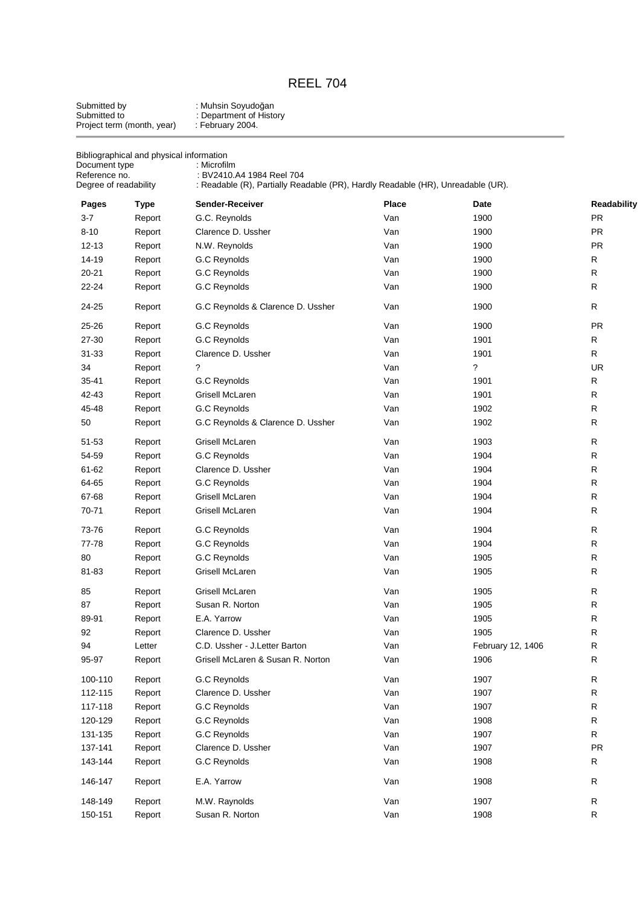# REEL 704

| Submitted by               | : Muhsin Soyudoğan      |
|----------------------------|-------------------------|
| Submitted to               | : Department of History |
| Project term (month, year) | : February 2004.        |

| Document type<br>Reference no.<br>Degree of readability | Bibliographical and physical information | : Microfilm<br>: BV2410.A4 1984 Reel 704<br>: Readable (R), Partially Readable (PR), Hardly Readable (HR), Unreadable (UR). |              |                   |                          |
|---------------------------------------------------------|------------------------------------------|-----------------------------------------------------------------------------------------------------------------------------|--------------|-------------------|--------------------------|
|                                                         |                                          |                                                                                                                             |              |                   |                          |
| Pages<br>$3 - 7$                                        | <b>Type</b>                              | Sender-Receiver                                                                                                             | Place<br>Van | Date<br>1900      | Readability<br><b>PR</b> |
| $8 - 10$                                                | Report                                   | G.C. Reynolds<br>Clarence D. Ussher                                                                                         | Van          | 1900              | PR                       |
|                                                         | Report                                   |                                                                                                                             |              |                   | PR                       |
| $12 - 13$                                               | Report                                   | N.W. Reynolds                                                                                                               | Van          | 1900              |                          |
| 14-19                                                   | Report                                   | G.C Reynolds                                                                                                                | Van          | 1900              | R                        |
| $20 - 21$<br>22-24                                      | Report<br>Report                         | G.C Reynolds<br>G.C Reynolds                                                                                                | Van<br>Van   | 1900<br>1900      | R<br>R                   |
|                                                         |                                          |                                                                                                                             |              |                   |                          |
| 24-25                                                   | Report                                   | G.C Reynolds & Clarence D. Ussher                                                                                           | Van          | 1900              | R                        |
| 25-26                                                   | Report                                   | G.C Reynolds                                                                                                                | Van          | 1900              | <b>PR</b>                |
| 27-30                                                   | Report                                   | G.C Reynolds                                                                                                                | Van          | 1901              | R                        |
| 31-33                                                   | Report                                   | Clarence D. Ussher                                                                                                          | Van          | 1901              | R                        |
| 34                                                      | Report                                   | ?                                                                                                                           | Van          | $\tilde{?}$       | <b>UR</b>                |
| 35-41                                                   | Report                                   | G.C Reynolds                                                                                                                | Van          | 1901              | $\mathsf{R}$             |
| 42-43                                                   | Report                                   | Grisell McLaren                                                                                                             | Van          | 1901              | R                        |
| 45-48                                                   | Report                                   | G.C Reynolds                                                                                                                | Van          | 1902              | $\mathsf R$              |
| 50                                                      | Report                                   | G.C Reynolds & Clarence D. Ussher                                                                                           | Van          | 1902              | ${\sf R}$                |
| 51-53                                                   | Report                                   | Grisell McLaren                                                                                                             | Van          | 1903              | $\mathsf R$              |
| 54-59                                                   | Report                                   | G.C Reynolds                                                                                                                | Van          | 1904              | $\mathsf R$              |
| 61-62                                                   | Report                                   | Clarence D. Ussher                                                                                                          | Van          | 1904              | $\mathsf R$              |
| 64-65                                                   | Report                                   | G.C Reynolds                                                                                                                | Van          | 1904              | $\mathsf R$              |
| 67-68                                                   | Report                                   | Grisell McLaren                                                                                                             | Van          | 1904              | $\mathsf R$              |
| 70-71                                                   | Report                                   | Grisell McLaren                                                                                                             | Van          | 1904              | R                        |
| 73-76                                                   | Report                                   | G.C Reynolds                                                                                                                | Van          | 1904              | R                        |
| 77-78                                                   | Report                                   | G.C Reynolds                                                                                                                | Van          | 1904              | $\mathsf R$              |
| 80                                                      | Report                                   | G.C Reynolds                                                                                                                | Van          | 1905              | $\mathsf R$              |
| 81-83                                                   | Report                                   | Grisell McLaren                                                                                                             | Van          | 1905              | R                        |
| 85                                                      | Report                                   | Grisell McLaren                                                                                                             | Van          | 1905              | $\mathsf R$              |
| 87                                                      | Report                                   | Susan R. Norton                                                                                                             | Van          | 1905              | R                        |
| 89-91                                                   | Report                                   | E.A. Yarrow                                                                                                                 | Van          | 1905              | $\mathsf{R}$             |
| 92                                                      | Report                                   | Clarence D. Ussher                                                                                                          | Van          | 1905              | R                        |
| 94                                                      | Letter                                   | C.D. Ussher - J.Letter Barton                                                                                               | Van          | February 12, 1406 | R                        |
| 95-97                                                   | Report                                   | Grisell McLaren & Susan R. Norton                                                                                           | Van          | 1906              | $\mathsf R$              |
| 100-110                                                 | Report                                   | G.C Reynolds                                                                                                                | Van          | 1907              | $\mathsf R$              |
| 112-115                                                 | Report                                   | Clarence D. Ussher                                                                                                          | Van          | 1907              | ${\sf R}$                |
| 117-118                                                 | Report                                   | G.C Reynolds                                                                                                                | Van          | 1907              | R                        |
| 120-129                                                 | Report                                   | G.C Reynolds                                                                                                                | Van          | 1908              | R                        |
| 131-135                                                 | Report                                   | G.C Reynolds                                                                                                                | Van          | 1907              | R                        |
| 137-141                                                 | Report                                   | Clarence D. Ussher                                                                                                          | Van          | 1907              | PR                       |
| 143-144                                                 | Report                                   | G.C Reynolds                                                                                                                | Van          | 1908              | R                        |
| 146-147                                                 | Report                                   | E.A. Yarrow                                                                                                                 | Van          | 1908              | R                        |
| 148-149                                                 | Report                                   | M.W. Raynolds                                                                                                               | Van          | 1907              | R                        |
| 150-151                                                 | Report                                   | Susan R. Norton                                                                                                             | Van          | 1908              | $\mathsf R$              |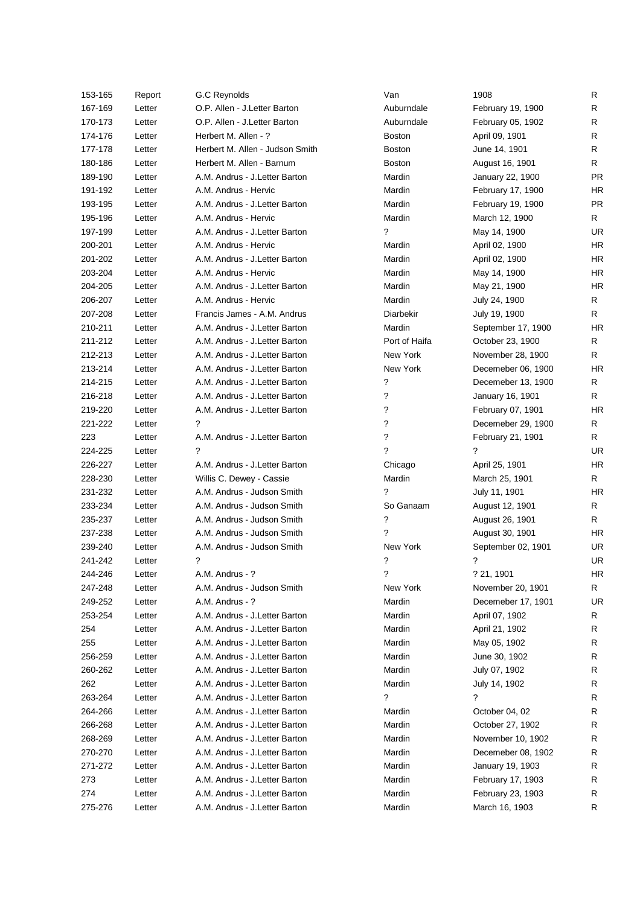| 153-165 | Report | G.C Reynolds                    | Van           | 1908               | R         |
|---------|--------|---------------------------------|---------------|--------------------|-----------|
| 167-169 | Letter | O.P. Allen - J.Letter Barton    | Auburndale    | February 19, 1900  | R         |
| 170-173 | Letter | O.P. Allen - J.Letter Barton    | Auburndale    | February 05, 1902  | R         |
| 174-176 | Letter | Herbert M. Allen - ?            | <b>Boston</b> | April 09, 1901     | R         |
| 177-178 | Letter | Herbert M. Allen - Judson Smith | <b>Boston</b> | June 14, 1901      | R         |
| 180-186 | Letter | Herbert M. Allen - Barnum       | <b>Boston</b> | August 16, 1901    | R.        |
| 189-190 | Letter | A.M. Andrus - J.Letter Barton   | Mardin        | January 22, 1900   | <b>PR</b> |
| 191-192 | Letter | A.M. Andrus - Hervic            | Mardin        | February 17, 1900  | <b>HR</b> |
| 193-195 | Letter | A.M. Andrus - J.Letter Barton   | Mardin        | February 19, 1900  | <b>PR</b> |
| 195-196 | Letter | A.M. Andrus - Hervic            | Mardin        | March 12, 1900     | R.        |
| 197-199 | Letter | A.M. Andrus - J.Letter Barton   | ?             | May 14, 1900       | <b>UR</b> |
| 200-201 | Letter | A.M. Andrus - Hervic            | Mardin        | April 02, 1900     | <b>HR</b> |
| 201-202 | Letter | A.M. Andrus - J.Letter Barton   | Mardin        | April 02, 1900     | <b>HR</b> |
| 203-204 | Letter | A.M. Andrus - Hervic            | Mardin        | May 14, 1900       | <b>HR</b> |
| 204-205 | Letter | A.M. Andrus - J.Letter Barton   | Mardin        | May 21, 1900       | <b>HR</b> |
| 206-207 | Letter | A.M. Andrus - Hervic            | Mardin        | July 24, 1900      | R         |
| 207-208 | Letter | Francis James - A.M. Andrus     | Diarbekir     | July 19, 1900      | R         |
| 210-211 | Letter | A.M. Andrus - J.Letter Barton   | Mardin        | September 17, 1900 | HR        |
| 211-212 | Letter | A.M. Andrus - J.Letter Barton   | Port of Haifa | October 23, 1900   | R         |
| 212-213 | Letter | A.M. Andrus - J.Letter Barton   | New York      | November 28, 1900  | R         |
| 213-214 | Letter | A.M. Andrus - J.Letter Barton   | New York      | Decemeber 06, 1900 | HR        |
| 214-215 | Letter | A.M. Andrus - J.Letter Barton   | ?             | Decemeber 13, 1900 | R         |
| 216-218 | Letter | A.M. Andrus - J.Letter Barton   | ?             | January 16, 1901   | R         |
| 219-220 | Letter | A.M. Andrus - J.Letter Barton   | ?             | February 07, 1901  | HR        |
| 221-222 | Letter | ?                               | S.            | Decemeber 29, 1900 | R         |
| 223     | Letter | A.M. Andrus - J.Letter Barton   | ?             | February 21, 1901  | R         |
| 224-225 | Letter | ?                               | 2             | ?                  | <b>UR</b> |
| 226-227 | Letter | A.M. Andrus - J.Letter Barton   | Chicago       | April 25, 1901     | <b>HR</b> |
| 228-230 | Letter | Willis C. Dewey - Cassie        | Mardin        | March 25, 1901     | R         |
| 231-232 | Letter | A.M. Andrus - Judson Smith      | ?             | July 11, 1901      | HR        |
| 233-234 | Letter | A.M. Andrus - Judson Smith      | So Ganaam     | August 12, 1901    | R         |
| 235-237 | Letter | A.M. Andrus - Judson Smith      | ?             | August 26, 1901    | R.        |
| 237-238 | Letter | A.M. Andrus - Judson Smith      | ?             | August 30, 1901    | HR        |
| 239-240 | Letter | A.M. Andrus - Judson Smith      | New York      | September 02, 1901 | UR.       |
| 241-242 | Letter | ?                               | ?             | ?                  | <b>UR</b> |
| 244-246 | Letter | A.M. Andrus - ?                 | ?             | ? 21, 1901         | HR        |
| 247-248 | Letter | A.M. Andrus - Judson Smith      | New York      | November 20, 1901  | R         |
| 249-252 | Letter | A.M. Andrus - ?                 | Mardin        | Decemeber 17, 1901 | UR        |
| 253-254 | Letter | A.M. Andrus - J.Letter Barton   | Mardin        | April 07, 1902     | R         |
| 254     | Letter | A.M. Andrus - J.Letter Barton   | Mardin        | April 21, 1902     | R         |
| 255     | Letter | A.M. Andrus - J.Letter Barton   | Mardin        | May 05, 1902       | R         |
| 256-259 | Letter | A.M. Andrus - J.Letter Barton   | Mardin        | June 30, 1902      | R         |
| 260-262 | Letter | A.M. Andrus - J.Letter Barton   | Mardin        | July 07, 1902      | R         |
| 262     | Letter | A.M. Andrus - J.Letter Barton   | Mardin        | July 14, 1902      | R         |
| 263-264 | Letter | A.M. Andrus - J.Letter Barton   | ?             | ?                  | R         |
| 264-266 | Letter | A.M. Andrus - J.Letter Barton   | Mardin        | October 04, 02     | R         |
| 266-268 | Letter | A.M. Andrus - J.Letter Barton   | Mardin        | October 27, 1902   | R         |
| 268-269 | Letter | A.M. Andrus - J.Letter Barton   | Mardin        | November 10, 1902  | R         |
| 270-270 | Letter | A.M. Andrus - J.Letter Barton   | Mardin        | Decemeber 08, 1902 | R         |
| 271-272 | Letter | A.M. Andrus - J.Letter Barton   | Mardin        | January 19, 1903   | R         |
| 273     | Letter | A.M. Andrus - J.Letter Barton   | Mardin        | February 17, 1903  | R         |
| 274     | Letter | A.M. Andrus - J.Letter Barton   | Mardin        | February 23, 1903  | R         |
| 275-276 | Letter | A.M. Andrus - J.Letter Barton   | Mardin        | March 16, 1903     | R         |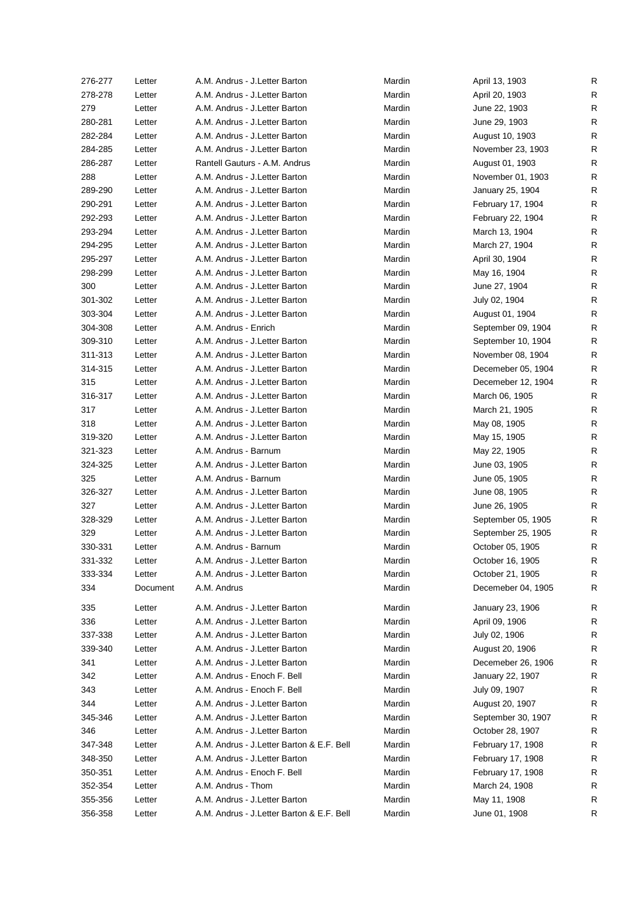| 276-277 | Letter   | A.M. Andrus - J.Letter Barton             | Mardin | April 13, 1903     | R            |
|---------|----------|-------------------------------------------|--------|--------------------|--------------|
| 278-278 | Letter   | A.M. Andrus - J.Letter Barton             | Mardin | April 20, 1903     | R            |
| 279     | Letter   | A.M. Andrus - J.Letter Barton             | Mardin | June 22, 1903      | R            |
| 280-281 | Letter   | A.M. Andrus - J.Letter Barton             | Mardin | June 29, 1903      | R            |
| 282-284 | Letter   | A.M. Andrus - J.Letter Barton             | Mardin | August 10, 1903    | R            |
| 284-285 | Letter   | A.M. Andrus - J.Letter Barton             | Mardin | November 23, 1903  | R            |
| 286-287 | Letter   | Rantell Gauturs - A.M. Andrus             | Mardin | August 01, 1903    | R            |
| 288     | Letter   | A.M. Andrus - J.Letter Barton             | Mardin | November 01, 1903  | R            |
| 289-290 | Letter   | A.M. Andrus - J.Letter Barton             | Mardin | January 25, 1904   | R            |
| 290-291 | Letter   | A.M. Andrus - J.Letter Barton             | Mardin | February 17, 1904  | R            |
| 292-293 | Letter   | A.M. Andrus - J.Letter Barton             | Mardin | February 22, 1904  | R            |
| 293-294 | Letter   | A.M. Andrus - J.Letter Barton             | Mardin | March 13, 1904     | R            |
| 294-295 | Letter   | A.M. Andrus - J.Letter Barton             | Mardin | March 27, 1904     | $\mathsf{R}$ |
| 295-297 | Letter   | A.M. Andrus - J.Letter Barton             | Mardin | April 30, 1904     | R            |
| 298-299 | Letter   | A.M. Andrus - J.Letter Barton             | Mardin | May 16, 1904       | R            |
| 300     | Letter   | A.M. Andrus - J.Letter Barton             | Mardin | June 27, 1904      | R            |
| 301-302 | Letter   | A.M. Andrus - J.Letter Barton             | Mardin | July 02, 1904      | R            |
| 303-304 | Letter   | A.M. Andrus - J.Letter Barton             | Mardin | August 01, 1904    | R            |
| 304-308 | Letter   | A.M. Andrus - Enrich                      | Mardin | September 09, 1904 | R            |
| 309-310 | Letter   | A.M. Andrus - J.Letter Barton             | Mardin | September 10, 1904 | R            |
| 311-313 | Letter   | A.M. Andrus - J.Letter Barton             | Mardin | November 08, 1904  | R            |
| 314-315 | Letter   | A.M. Andrus - J.Letter Barton             | Mardin | Decemeber 05, 1904 | R            |
| 315     | Letter   | A.M. Andrus - J.Letter Barton             | Mardin | Decemeber 12, 1904 | R            |
| 316-317 | Letter   | A.M. Andrus - J.Letter Barton             | Mardin | March 06, 1905     | R            |
| 317     | Letter   | A.M. Andrus - J.Letter Barton             | Mardin | March 21, 1905     | R            |
| 318     | Letter   | A.M. Andrus - J.Letter Barton             | Mardin | May 08, 1905       | R            |
| 319-320 | Letter   | A.M. Andrus - J.Letter Barton             | Mardin | May 15, 1905       | R            |
| 321-323 | Letter   | A.M. Andrus - Barnum                      | Mardin | May 22, 1905       | R            |
| 324-325 | Letter   | A.M. Andrus - J.Letter Barton             | Mardin | June 03, 1905      | $\mathsf R$  |
| 325     | Letter   | A.M. Andrus - Barnum                      | Mardin | June 05, 1905      | R            |
| 326-327 | Letter   | A.M. Andrus - J.Letter Barton             | Mardin | June 08, 1905      | R            |
| 327     | Letter   | A.M. Andrus - J.Letter Barton             | Mardin | June 26, 1905      | R            |
| 328-329 | Letter   | A.M. Andrus - J.Letter Barton             | Mardin | September 05, 1905 | R            |
| 329     | Letter   | A.M. Andrus - J.Letter Barton             | Mardin | September 25, 1905 | R            |
| 330-331 | Letter   | A.M. Andrus - Barnum                      | Mardin | October 05, 1905   | R            |
| 331-332 | Letter   | A.M. Andrus - J.Letter Barton             | Mardin | October 16, 1905   | R            |
| 333-334 | Letter   | A.M. Andrus - J.Letter Barton             | Mardin | October 21, 1905   | R            |
| 334     | Document | A.M. Andrus                               | Mardin | Decemeber 04, 1905 | R            |
|         |          |                                           |        |                    |              |
| 335     | Letter   | A.M. Andrus - J.Letter Barton             | Mardin | January 23, 1906   | R            |
| 336     | Letter   | A.M. Andrus - J.Letter Barton             | Mardin | April 09, 1906     | R            |
| 337-338 | Letter   | A.M. Andrus - J.Letter Barton             | Mardin | July 02, 1906      | R            |
| 339-340 | Letter   | A.M. Andrus - J.Letter Barton             | Mardin | August 20, 1906    | R            |
| 341     | Letter   | A.M. Andrus - J.Letter Barton             | Mardin | Decemeber 26, 1906 | R            |
| 342     | Letter   | A.M. Andrus - Enoch F. Bell               | Mardin | January 22, 1907   | R            |
| 343     | Letter   | A.M. Andrus - Enoch F. Bell               | Mardin | July 09, 1907      | R            |
| 344     | Letter   | A.M. Andrus - J.Letter Barton             | Mardin | August 20, 1907    | R            |
| 345-346 | Letter   | A.M. Andrus - J.Letter Barton             | Mardin | September 30, 1907 | R            |
| 346     | Letter   | A.M. Andrus - J.Letter Barton             | Mardin | October 28, 1907   | R            |
| 347-348 | Letter   | A.M. Andrus - J.Letter Barton & E.F. Bell | Mardin | February 17, 1908  | R            |
| 348-350 | Letter   | A.M. Andrus - J.Letter Barton             | Mardin | February 17, 1908  | R            |
| 350-351 | Letter   | A.M. Andrus - Enoch F. Bell               | Mardin | February 17, 1908  | R            |
| 352-354 | Letter   | A.M. Andrus - Thom                        | Mardin | March 24, 1908     | R            |
| 355-356 | Letter   | A.M. Andrus - J.Letter Barton             | Mardin | May 11, 1908       | R            |
| 356-358 | Letter   | A.M. Andrus - J.Letter Barton & E.F. Bell | Mardin | June 01, 1908      | R            |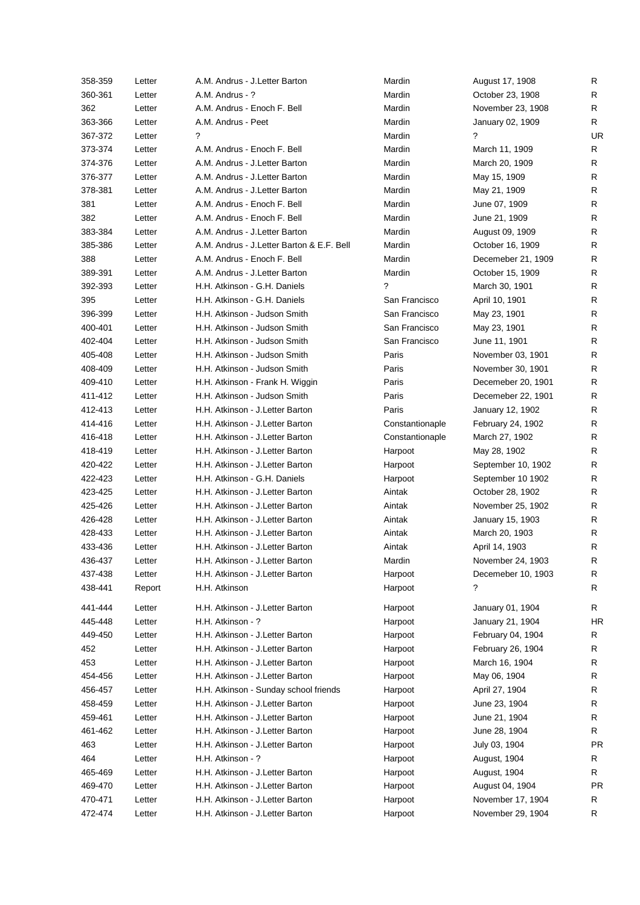| 358-359 | Letter | A.M. Andrus - J.Letter Barton              | Mardin          | August 17, 1908    | R         |
|---------|--------|--------------------------------------------|-----------------|--------------------|-----------|
| 360-361 | Letter | A.M. Andrus - ?                            | Mardin          | October 23, 1908   | R         |
| 362     | Letter | A.M. Andrus - Enoch F. Bell                | Mardin          | November 23, 1908  | R         |
| 363-366 | Letter | A.M. Andrus - Peet                         | Mardin          | January 02, 1909   | R.        |
| 367-372 | Letter | ?                                          | Mardin          | ?                  | UR        |
| 373-374 | Letter | A.M. Andrus - Enoch F. Bell                | Mardin          | March 11, 1909     | R         |
| 374-376 | Letter | A.M. Andrus - J.Letter Barton              | Mardin          | March 20, 1909     | R         |
| 376-377 | Letter | A.M. Andrus - J.Letter Barton              | Mardin          | May 15, 1909       | R         |
| 378-381 | Letter | A.M. Andrus - J.Letter Barton              | Mardin          | May 21, 1909       | R         |
| 381     | Letter | A.M. Andrus - Enoch F. Bell                | Mardin          | June 07, 1909      | R         |
| 382     | Letter | A.M. Andrus - Enoch F. Bell                | Mardin          | June 21, 1909      | R         |
| 383-384 | Letter | A.M. Andrus - J.Letter Barton              | Mardin          | August 09, 1909    | R         |
| 385-386 | Letter | A.M. Andrus - J. Letter Barton & E.F. Bell | Mardin          | October 16, 1909   | R         |
| 388     | Letter | A.M. Andrus - Enoch F. Bell                | Mardin          | Decemeber 21, 1909 | R         |
| 389-391 | Letter | A.M. Andrus - J.Letter Barton              | Mardin          | October 15, 1909   | R         |
| 392-393 | Letter | H.H. Atkinson - G.H. Daniels               | ?               | March 30, 1901     | R         |
| 395     | Letter | H.H. Atkinson - G.H. Daniels               | San Francisco   | April 10, 1901     | R         |
| 396-399 | Letter | H.H. Atkinson - Judson Smith               | San Francisco   | May 23, 1901       | R         |
| 400-401 | Letter | H.H. Atkinson - Judson Smith               | San Francisco   | May 23, 1901       | R         |
| 402-404 | Letter | H.H. Atkinson - Judson Smith               | San Francisco   | June 11, 1901      | R         |
| 405-408 | Letter | H.H. Atkinson - Judson Smith               | Paris           | November 03, 1901  | R         |
| 408-409 |        | H.H. Atkinson - Judson Smith               | Paris           | November 30, 1901  | R         |
|         | Letter |                                            | Paris           |                    | R         |
| 409-410 | Letter | H.H. Atkinson - Frank H. Wiggin            |                 | Decemeber 20, 1901 |           |
| 411-412 | Letter | H.H. Atkinson - Judson Smith               | Paris           | Decemeber 22, 1901 | R         |
| 412-413 | Letter | H.H. Atkinson - J. Letter Barton           | Paris           | January 12, 1902   | R         |
| 414-416 | Letter | H.H. Atkinson - J. Letter Barton           | Constantionaple | February 24, 1902  | R         |
| 416-418 | Letter | H.H. Atkinson - J. Letter Barton           | Constantionaple | March 27, 1902     | R         |
| 418-419 | Letter | H.H. Atkinson - J. Letter Barton           | Harpoot         | May 28, 1902       | R         |
| 420-422 | Letter | H.H. Atkinson - J. Letter Barton           | Harpoot         | September 10, 1902 | R         |
| 422-423 | Letter | H.H. Atkinson - G.H. Daniels               | Harpoot         | September 10 1902  | R         |
| 423-425 | Letter | H.H. Atkinson - J. Letter Barton           | Aintak          | October 28, 1902   | R         |
| 425-426 | Letter | H.H. Atkinson - J. Letter Barton           | Aintak          | November 25, 1902  | R         |
| 426-428 | Letter | H.H. Atkinson - J. Letter Barton           | Aintak          | January 15, 1903   | R         |
| 428-433 | Letter | H.H. Atkinson - J. Letter Barton           | Aintak          | March 20, 1903     | R         |
| 433-436 | Letter | H.H. Atkinson - J.Letter Barton            | Aintak          | April 14, 1903     | R         |
| 436-437 | Letter | H.H. Atkinson - J. Letter Barton           | Mardin          | November 24, 1903  | R         |
| 437-438 | Letter | H.H. Atkinson - J. Letter Barton           | Harpoot         | Decemeber 10, 1903 | R         |
| 438-441 | Report | H.H. Atkinson                              | Harpoot         | ?                  | R         |
| 441-444 | Letter | H.H. Atkinson - J. Letter Barton           | Harpoot         | January 01, 1904   | R         |
| 445-448 | Letter | H.H. Atkinson - ?                          | Harpoot         | January 21, 1904   | <b>HR</b> |
| 449-450 | Letter | H.H. Atkinson - J. Letter Barton           | Harpoot         | February 04, 1904  | R         |
| 452     | Letter | H.H. Atkinson - J.Letter Barton            | Harpoot         | February 26, 1904  | R         |
| 453     | Letter | H.H. Atkinson - J. Letter Barton           | Harpoot         | March 16, 1904     | R         |
| 454-456 | Letter | H.H. Atkinson - J. Letter Barton           | Harpoot         | May 06, 1904       | R         |
| 456-457 | Letter | H.H. Atkinson - Sunday school friends      | Harpoot         | April 27, 1904     | R         |
| 458-459 | Letter | H.H. Atkinson - J.Letter Barton            | Harpoot         | June 23, 1904      | R         |
| 459-461 | Letter | H.H. Atkinson - J. Letter Barton           | Harpoot         | June 21, 1904      | R         |
| 461-462 | Letter | H.H. Atkinson - J.Letter Barton            | Harpoot         | June 28, 1904      | R         |
| 463     | Letter | H.H. Atkinson - J.Letter Barton            | Harpoot         | July 03, 1904      | PR        |
| 464     | Letter | H.H. Atkinson - ?                          | Harpoot         | August, 1904       | R         |
| 465-469 | Letter | H.H. Atkinson - J. Letter Barton           | Harpoot         | August, 1904       | R         |
|         |        | H.H. Atkinson - J.Letter Barton            |                 |                    | PR        |
| 469-470 | Letter |                                            | Harpoot         | August 04, 1904    |           |
| 470-471 | Letter | H.H. Atkinson - J. Letter Barton           | Harpoot         | November 17, 1904  | R.        |
| 472-474 | Letter | H.H. Atkinson - J. Letter Barton           | Harpoot         | November 29, 1904  | R         |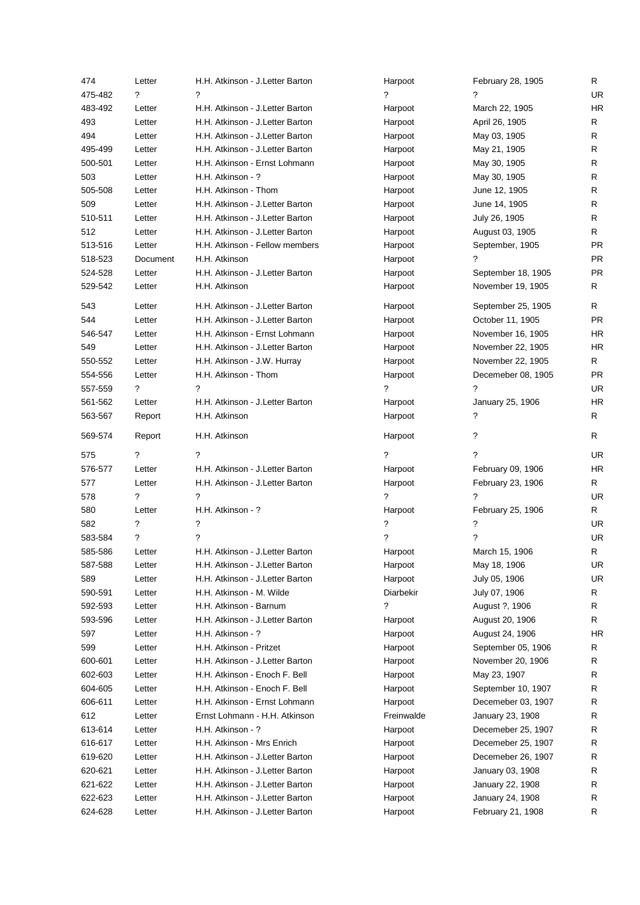| 474     | Letter   | H.H. Atkinson - J.Letter Barton  | Harpoot                  | February 28, 1905  | R         |
|---------|----------|----------------------------------|--------------------------|--------------------|-----------|
| 475-482 | ?        | ?                                | ?                        | ?                  | <b>UR</b> |
| 483-492 | Letter   | H.H. Atkinson - J.Letter Barton  | Harpoot                  | March 22, 1905     | <b>HR</b> |
| 493     | Letter   | H.H. Atkinson - J.Letter Barton  | Harpoot                  | April 26, 1905     | R         |
| 494     | Letter   | H.H. Atkinson - J.Letter Barton  | Harpoot                  | May 03, 1905       | R         |
| 495-499 | Letter   | H.H. Atkinson - J.Letter Barton  | Harpoot                  | May 21, 1905       | R         |
| 500-501 | Letter   | H.H. Atkinson - Ernst Lohmann    | Harpoot                  | May 30, 1905       | R         |
| 503     | Letter   | H.H. Atkinson - ?                | Harpoot                  | May 30, 1905       | R         |
| 505-508 | Letter   | H.H. Atkinson - Thom             | Harpoot                  | June 12, 1905      | R.        |
| 509     | Letter   | H.H. Atkinson - J.Letter Barton  | Harpoot                  | June 14, 1905      | R         |
| 510-511 | Letter   | H.H. Atkinson - J.Letter Barton  | Harpoot                  | July 26, 1905      | R         |
| 512     | Letter   | H.H. Atkinson - J.Letter Barton  | Harpoot                  | August 03, 1905    | R.        |
| 513-516 | Letter   | H.H. Atkinson - Fellow members   | Harpoot                  | September, 1905    | <b>PR</b> |
| 518-523 | Document | H.H. Atkinson                    | Harpoot                  | ?                  | <b>PR</b> |
| 524-528 | Letter   | H.H. Atkinson - J. Letter Barton | Harpoot                  | September 18, 1905 | <b>PR</b> |
| 529-542 | Letter   | H.H. Atkinson                    | Harpoot                  | November 19, 1905  | R.        |
| 543     | Letter   | H.H. Atkinson - J. Letter Barton | Harpoot                  | September 25, 1905 | R.        |
| 544     | Letter   | H.H. Atkinson - J.Letter Barton  | Harpoot                  | October 11, 1905   | <b>PR</b> |
| 546-547 | Letter   | H.H. Atkinson - Ernst Lohmann    | Harpoot                  | November 16, 1905  | HR        |
| 549     | Letter   | H.H. Atkinson - J.Letter Barton  | Harpoot                  | November 22, 1905  | <b>HR</b> |
| 550-552 | Letter   | H.H. Atkinson - J.W. Hurray      | Harpoot                  | November 22, 1905  | R         |
| 554-556 | Letter   | H.H. Atkinson - Thom             | Harpoot                  | Decemeber 08, 1905 | <b>PR</b> |
| 557-559 | ?        | ?                                | ?                        | ?                  | <b>UR</b> |
| 561-562 | Letter   | H.H. Atkinson - J.Letter Barton  | Harpoot                  | January 25, 1906   | <b>HR</b> |
| 563-567 | Report   | H.H. Atkinson                    | Harpoot                  | ?                  | R.        |
| 569-574 | Report   | H.H. Atkinson                    | Harpoot                  | ?                  | R.        |
| 575     | ?        | 2                                | ?                        | ?                  | <b>UR</b> |
| 576-577 | Letter   | H.H. Atkinson - J.Letter Barton  | Harpoot                  | February 09, 1906  | <b>HR</b> |
| 577     | Letter   | H.H. Atkinson - J.Letter Barton  | Harpoot                  | February 23, 1906  | R.        |
| 578     | ?        | ?                                | ?                        | ?                  | UR.       |
| 580     | Letter   | H.H. Atkinson - ?                | Harpoot                  | February 25, 1906  | R         |
| 582     | ?        | ?                                | ?                        | ?                  | <b>UR</b> |
| 583-584 | ?        | ?                                | $\overline{\phantom{0}}$ | ?                  | <b>UR</b> |
| 585-586 | Letter   | H.H. Atkinson - J. Letter Barton | Harpoot                  | March 15, 1906     | R         |
| 587-588 | Letter   | H.H. Atkinson - J.Letter Barton  | Harpoot                  | May 18, 1906       | UR        |
| 589     | Letter   | H.H. Atkinson - J.Letter Barton  | Harpoot                  | July 05, 1906      | <b>UR</b> |
| 590-591 | Letter   | H.H. Atkinson - M. Wilde         | Diarbekir                | July 07, 1906      | R         |
| 592-593 | Letter   | H.H. Atkinson - Barnum           | ?                        | August ?, 1906     | R         |
| 593-596 | Letter   | H.H. Atkinson - J.Letter Barton  | Harpoot                  | August 20, 1906    | R         |
| 597     | Letter   | H.H. Atkinson - ?                | Harpoot                  | August 24, 1906    | HR        |
| 599     | Letter   | H.H. Atkinson - Pritzet          | Harpoot                  | September 05, 1906 | R         |
| 600-601 | Letter   | H.H. Atkinson - J.Letter Barton  | Harpoot                  | November 20, 1906  | R         |
| 602-603 | Letter   | H.H. Atkinson - Enoch F. Bell    | Harpoot                  | May 23, 1907       | R         |
| 604-605 | Letter   | H.H. Atkinson - Enoch F. Bell    | Harpoot                  | September 10, 1907 | R         |
| 606-611 | Letter   | H.H. Atkinson - Ernst Lohmann    | Harpoot                  | Decemeber 03, 1907 | R         |
| 612     | Letter   | Ernst Lohmann - H.H. Atkinson    | Freinwalde               | January 23, 1908   | R         |
| 613-614 | Letter   | H.H. Atkinson - ?                | Harpoot                  | Decemeber 25, 1907 | R         |
| 616-617 | Letter   | H.H. Atkinson - Mrs Enrich       | Harpoot                  | Decemeber 25, 1907 | R         |
| 619-620 | Letter   | H.H. Atkinson - J.Letter Barton  | Harpoot                  | Decemeber 26, 1907 | R         |
| 620-621 | Letter   | H.H. Atkinson - J.Letter Barton  | Harpoot                  | January 03, 1908   | R         |
| 621-622 | Letter   | H.H. Atkinson - J.Letter Barton  | Harpoot                  | January 22, 1908   | R         |
| 622-623 | Letter   | H.H. Atkinson - J.Letter Barton  | Harpoot                  | January 24, 1908   | R         |
|         |          | H.H. Atkinson - J.Letter Barton  | Harpoot                  | February 21, 1908  | R         |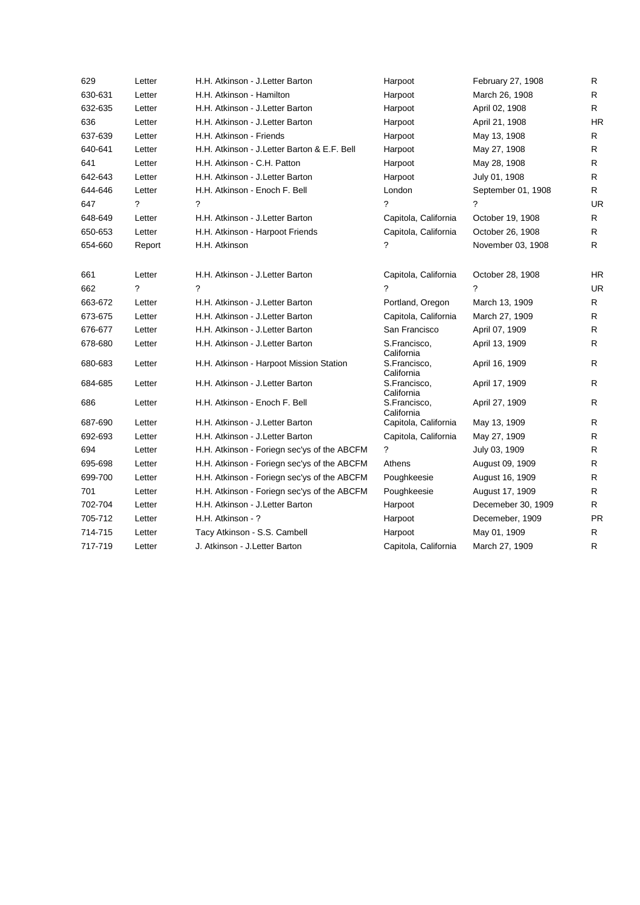| 629     | Letter | H.H. Atkinson - J.Letter Barton              | Harpoot                                  | February 27, 1908  | R         |
|---------|--------|----------------------------------------------|------------------------------------------|--------------------|-----------|
| 630-631 | Letter | H.H. Atkinson - Hamilton                     | Harpoot                                  | March 26, 1908     | R         |
| 632-635 | Letter | H.H. Atkinson - J.Letter Barton              | Harpoot                                  | April 02, 1908     | R         |
| 636     | Letter | H.H. Atkinson - J.Letter Barton              | Harpoot                                  | April 21, 1908     | <b>HR</b> |
| 637-639 | Letter | H.H. Atkinson - Friends                      | Harpoot                                  | May 13, 1908       | R         |
| 640-641 | Letter | H.H. Atkinson - J. Letter Barton & E.F. Bell | Harpoot                                  | May 27, 1908       | R.        |
| 641     | Letter | H.H. Atkinson - C.H. Patton                  | Harpoot                                  | May 28, 1908       | R         |
| 642-643 | Letter | H.H. Atkinson - J.Letter Barton              | Harpoot                                  | July 01, 1908      | R         |
| 644-646 | Letter | H.H. Atkinson - Enoch F. Bell                | London                                   | September 01, 1908 | R         |
| 647     | ?      | ?                                            | ?                                        | ?                  | <b>UR</b> |
| 648-649 | Letter | H.H. Atkinson - J.Letter Barton              | Capitola, California                     | October 19, 1908   | R         |
| 650-653 | Letter | H.H. Atkinson - Harpoot Friends              | Capitola, California                     | October 26, 1908   | R         |
| 654-660 | Report | H.H. Atkinson                                | ?                                        | November 03, 1908  | R.        |
| 661     | Letter | H.H. Atkinson - J.Letter Barton              | Capitola, California                     | October 28, 1908   | <b>HR</b> |
| 662     | ?      | ?                                            | ?                                        | ?                  | <b>UR</b> |
| 663-672 | Letter | H.H. Atkinson - J.Letter Barton              | Portland, Oregon                         | March 13, 1909     | R         |
| 673-675 | Letter | H.H. Atkinson - J. Letter Barton             | Capitola, California                     | March 27, 1909     | R         |
| 676-677 | Letter | H.H. Atkinson - J. Letter Barton             | San Francisco                            | April 07, 1909     | R         |
| 678-680 | Letter | H.H. Atkinson - J.Letter Barton              | S.Francisco,                             | April 13, 1909     | R.        |
| 680-683 | Letter | H.H. Atkinson - Harpoot Mission Station      | California<br>S.Francisco,               | April 16, 1909     | R         |
| 684-685 | Letter | H.H. Atkinson - J. Letter Barton             | California<br>S.Francisco,<br>California | April 17, 1909     | R         |
| 686     | Letter | H.H. Atkinson - Enoch F. Bell                | S.Francisco,<br>California               | April 27, 1909     | R         |
| 687-690 | Letter | H.H. Atkinson - J. Letter Barton             | Capitola, California                     | May 13, 1909       | R         |
| 692-693 | Letter | H.H. Atkinson - J.Letter Barton              | Capitola, California                     | May 27, 1909       | R         |
| 694     | Letter | H.H. Atkinson - Foriegn sec'ys of the ABCFM  | ?                                        | July 03, 1909      | R         |
| 695-698 | Letter | H.H. Atkinson - Foriegn sec'ys of the ABCFM  | Athens                                   | August 09, 1909    | R.        |
| 699-700 | Letter | H.H. Atkinson - Foriegn sec'ys of the ABCFM  | Poughkeesie                              | August 16, 1909    | R         |
| 701     | Letter | H.H. Atkinson - Foriegn sec'ys of the ABCFM  | Poughkeesie                              | August 17, 1909    | R         |
| 702-704 | Letter | H.H. Atkinson - J.Letter Barton              | Harpoot                                  | Decemeber 30, 1909 | R         |
| 705-712 | Letter | H.H. Atkinson - ?                            | Harpoot                                  | Decemeber, 1909    | <b>PR</b> |
| 714-715 | Letter | Tacy Atkinson - S.S. Cambell                 | Harpoot                                  | May 01, 1909       | R.        |
| 717-719 | Letter | J. Atkinson - J. Letter Barton               | Capitola, California                     | March 27, 1909     | R         |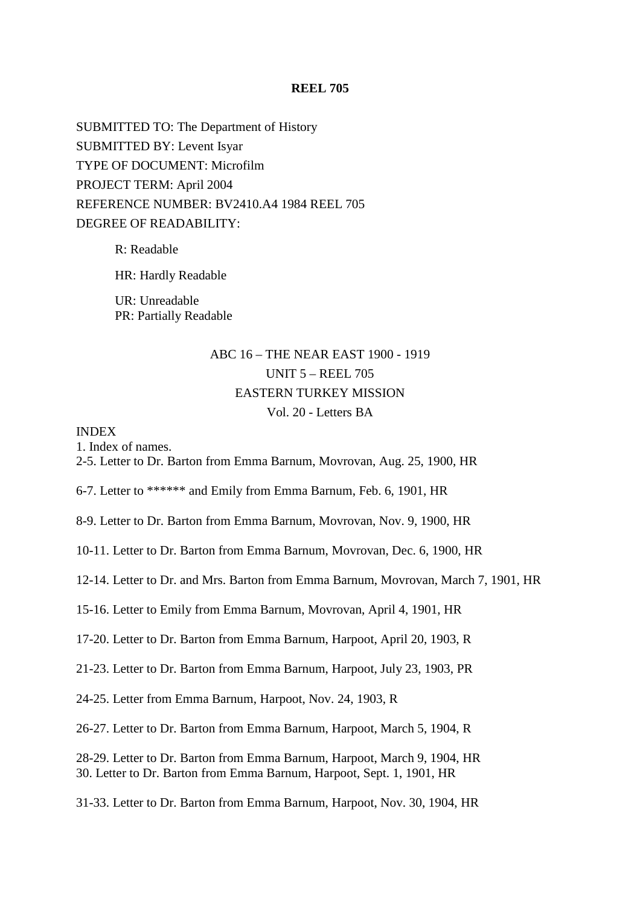### **REEL 705**

SUBMITTED TO: The Department of History SUBMITTED BY: Levent Isyar TYPE OF DOCUMENT: Microfilm PROJECT TERM: April 2004 REFERENCE NUMBER: BV2410.A4 1984 REEL 705 DEGREE OF READABILITY:

> R: Readable HR: Hardly Readable UR: Unreadable PR: Partially Readable

# ABC 16 – THE NEAR EAST 1900 - 1919 UNIT 5 – REEL 705 EASTERN TURKEY MISSION Vol. 20 - Letters BA

### INDEX

1. Index of names.

2-5. Letter to Dr. Barton from Emma Barnum, Movrovan, Aug. 25, 1900, HR

6-7. Letter to \*\*\*\*\*\* and Emily from Emma Barnum, Feb. 6, 1901, HR

8-9. Letter to Dr. Barton from Emma Barnum, Movrovan, Nov. 9, 1900, HR

10-11. Letter to Dr. Barton from Emma Barnum, Movrovan, Dec. 6, 1900, HR

12-14. Letter to Dr. and Mrs. Barton from Emma Barnum, Movrovan, March 7, 1901, HR

15-16. Letter to Emily from Emma Barnum, Movrovan, April 4, 1901, HR

17-20. Letter to Dr. Barton from Emma Barnum, Harpoot, April 20, 1903, R

21-23. Letter to Dr. Barton from Emma Barnum, Harpoot, July 23, 1903, PR

24-25. Letter from Emma Barnum, Harpoot, Nov. 24, 1903, R

26-27. Letter to Dr. Barton from Emma Barnum, Harpoot, March 5, 1904, R

28-29. Letter to Dr. Barton from Emma Barnum, Harpoot, March 9, 1904, HR 30. Letter to Dr. Barton from Emma Barnum, Harpoot, Sept. 1, 1901, HR

31-33. Letter to Dr. Barton from Emma Barnum, Harpoot, Nov. 30, 1904, HR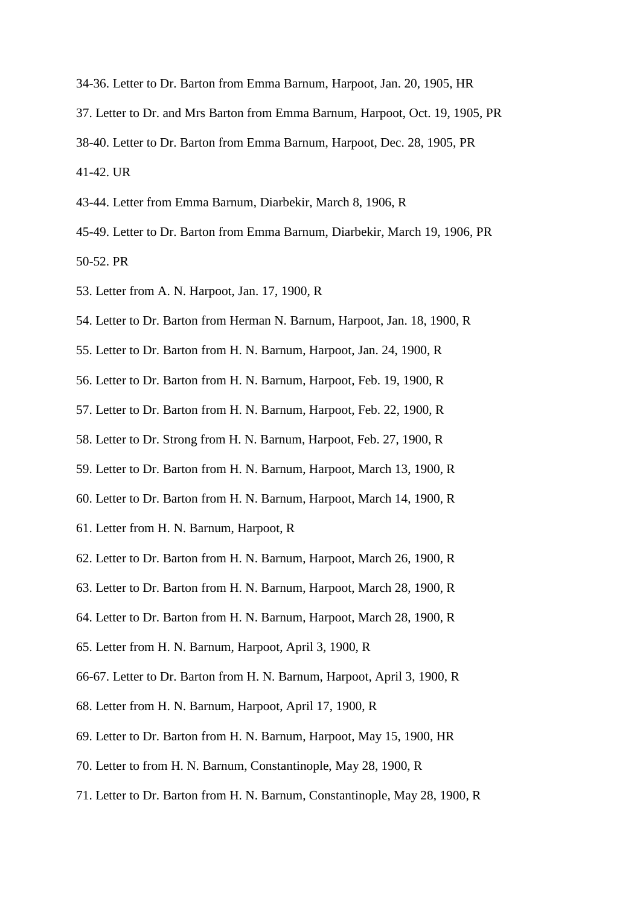- 34-36. Letter to Dr. Barton from Emma Barnum, Harpoot, Jan. 20, 1905, HR
- 37. Letter to Dr. and Mrs Barton from Emma Barnum, Harpoot, Oct. 19, 1905, PR
- 38-40. Letter to Dr. Barton from Emma Barnum, Harpoot, Dec. 28, 1905, PR

41-42. UR

- 43-44. Letter from Emma Barnum, Diarbekir, March 8, 1906, R
- 45-49. Letter to Dr. Barton from Emma Barnum, Diarbekir, March 19, 1906, PR 50-52. PR
- 53. Letter from A. N. Harpoot, Jan. 17, 1900, R
- 54. Letter to Dr. Barton from Herman N. Barnum, Harpoot, Jan. 18, 1900, R
- 55. Letter to Dr. Barton from H. N. Barnum, Harpoot, Jan. 24, 1900, R
- 56. Letter to Dr. Barton from H. N. Barnum, Harpoot, Feb. 19, 1900, R
- 57. Letter to Dr. Barton from H. N. Barnum, Harpoot, Feb. 22, 1900, R
- 58. Letter to Dr. Strong from H. N. Barnum, Harpoot, Feb. 27, 1900, R
- 59. Letter to Dr. Barton from H. N. Barnum, Harpoot, March 13, 1900, R
- 60. Letter to Dr. Barton from H. N. Barnum, Harpoot, March 14, 1900, R
- 61. Letter from H. N. Barnum, Harpoot, R
- 62. Letter to Dr. Barton from H. N. Barnum, Harpoot, March 26, 1900, R
- 63. Letter to Dr. Barton from H. N. Barnum, Harpoot, March 28, 1900, R
- 64. Letter to Dr. Barton from H. N. Barnum, Harpoot, March 28, 1900, R
- 65. Letter from H. N. Barnum, Harpoot, April 3, 1900, R
- 66-67. Letter to Dr. Barton from H. N. Barnum, Harpoot, April 3, 1900, R
- 68. Letter from H. N. Barnum, Harpoot, April 17, 1900, R
- 69. Letter to Dr. Barton from H. N. Barnum, Harpoot, May 15, 1900, HR
- 70. Letter to from H. N. Barnum, Constantinople, May 28, 1900, R
- 71. Letter to Dr. Barton from H. N. Barnum, Constantinople, May 28, 1900, R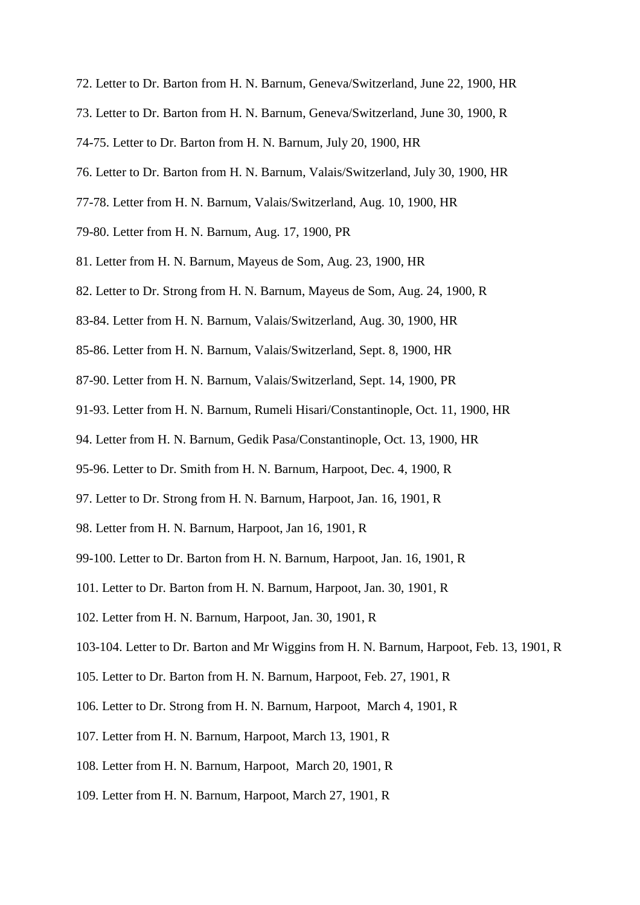- 72. Letter to Dr. Barton from H. N. Barnum, Geneva/Switzerland, June 22, 1900, HR
- 73. Letter to Dr. Barton from H. N. Barnum, Geneva/Switzerland, June 30, 1900, R
- 74-75. Letter to Dr. Barton from H. N. Barnum, July 20, 1900, HR
- 76. Letter to Dr. Barton from H. N. Barnum, Valais/Switzerland, July 30, 1900, HR
- 77-78. Letter from H. N. Barnum, Valais/Switzerland, Aug. 10, 1900, HR
- 79-80. Letter from H. N. Barnum, Aug. 17, 1900, PR
- 81. Letter from H. N. Barnum, Mayeus de Som, Aug. 23, 1900, HR
- 82. Letter to Dr. Strong from H. N. Barnum, Mayeus de Som, Aug. 24, 1900, R
- 83-84. Letter from H. N. Barnum, Valais/Switzerland, Aug. 30, 1900, HR
- 85-86. Letter from H. N. Barnum, Valais/Switzerland, Sept. 8, 1900, HR
- 87-90. Letter from H. N. Barnum, Valais/Switzerland, Sept. 14, 1900, PR
- 91-93. Letter from H. N. Barnum, Rumeli Hisari/Constantinople, Oct. 11, 1900, HR
- 94. Letter from H. N. Barnum, Gedik Pasa/Constantinople, Oct. 13, 1900, HR
- 95-96. Letter to Dr. Smith from H. N. Barnum, Harpoot, Dec. 4, 1900, R
- 97. Letter to Dr. Strong from H. N. Barnum, Harpoot, Jan. 16, 1901, R
- 98. Letter from H. N. Barnum, Harpoot, Jan 16, 1901, R
- 99-100. Letter to Dr. Barton from H. N. Barnum, Harpoot, Jan. 16, 1901, R
- 101. Letter to Dr. Barton from H. N. Barnum, Harpoot, Jan. 30, 1901, R
- 102. Letter from H. N. Barnum, Harpoot, Jan. 30, 1901, R
- 103-104. Letter to Dr. Barton and Mr Wiggins from H. N. Barnum, Harpoot, Feb. 13, 1901, R
- 105. Letter to Dr. Barton from H. N. Barnum, Harpoot, Feb. 27, 1901, R
- 106. Letter to Dr. Strong from H. N. Barnum, Harpoot, March 4, 1901, R
- 107. Letter from H. N. Barnum, Harpoot, March 13, 1901, R
- 108. Letter from H. N. Barnum, Harpoot, March 20, 1901, R
- 109. Letter from H. N. Barnum, Harpoot, March 27, 1901, R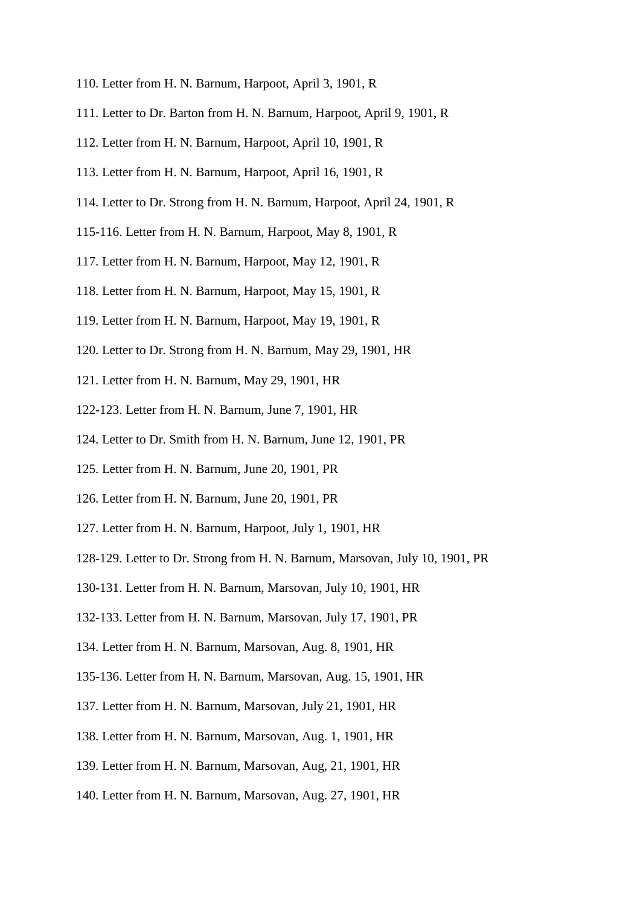- 110. Letter from H. N. Barnum, Harpoot, April 3, 1901, R
- 111. Letter to Dr. Barton from H. N. Barnum, Harpoot, April 9, 1901, R
- 112. Letter from H. N. Barnum, Harpoot, April 10, 1901, R
- 113. Letter from H. N. Barnum, Harpoot, April 16, 1901, R
- 114. Letter to Dr. Strong from H. N. Barnum, Harpoot, April 24, 1901, R
- 115-116. Letter from H. N. Barnum, Harpoot, May 8, 1901, R
- 117. Letter from H. N. Barnum, Harpoot, May 12, 1901, R
- 118. Letter from H. N. Barnum, Harpoot, May 15, 1901, R
- 119. Letter from H. N. Barnum, Harpoot, May 19, 1901, R
- 120. Letter to Dr. Strong from H. N. Barnum, May 29, 1901, HR
- 121. Letter from H. N. Barnum, May 29, 1901, HR
- 122-123. Letter from H. N. Barnum, June 7, 1901, HR
- 124. Letter to Dr. Smith from H. N. Barnum, June 12, 1901, PR
- 125. Letter from H. N. Barnum, June 20, 1901, PR
- 126. Letter from H. N. Barnum, June 20, 1901, PR
- 127. Letter from H. N. Barnum, Harpoot, July 1, 1901, HR
- 128-129. Letter to Dr. Strong from H. N. Barnum, Marsovan, July 10, 1901, PR
- 130-131. Letter from H. N. Barnum, Marsovan, July 10, 1901, HR
- 132-133. Letter from H. N. Barnum, Marsovan, July 17, 1901, PR
- 134. Letter from H. N. Barnum, Marsovan, Aug. 8, 1901, HR
- 135-136. Letter from H. N. Barnum, Marsovan, Aug. 15, 1901, HR
- 137. Letter from H. N. Barnum, Marsovan, July 21, 1901, HR
- 138. Letter from H. N. Barnum, Marsovan, Aug. 1, 1901, HR
- 139. Letter from H. N. Barnum, Marsovan, Aug, 21, 1901, HR
- 140. Letter from H. N. Barnum, Marsovan, Aug. 27, 1901, HR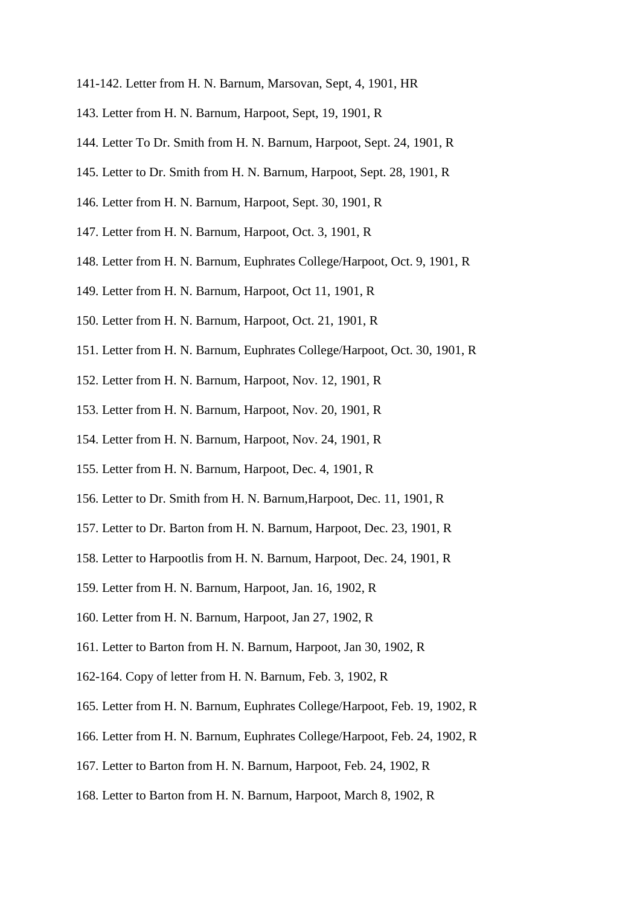- 141-142. Letter from H. N. Barnum, Marsovan, Sept, 4, 1901, HR
- 143. Letter from H. N. Barnum, Harpoot, Sept, 19, 1901, R
- 144. Letter To Dr. Smith from H. N. Barnum, Harpoot, Sept. 24, 1901, R
- 145. Letter to Dr. Smith from H. N. Barnum, Harpoot, Sept. 28, 1901, R
- 146. Letter from H. N. Barnum, Harpoot, Sept. 30, 1901, R
- 147. Letter from H. N. Barnum, Harpoot, Oct. 3, 1901, R
- 148. Letter from H. N. Barnum, Euphrates College/Harpoot, Oct. 9, 1901, R
- 149. Letter from H. N. Barnum, Harpoot, Oct 11, 1901, R
- 150. Letter from H. N. Barnum, Harpoot, Oct. 21, 1901, R
- 151. Letter from H. N. Barnum, Euphrates College/Harpoot, Oct. 30, 1901, R
- 152. Letter from H. N. Barnum, Harpoot, Nov. 12, 1901, R
- 153. Letter from H. N. Barnum, Harpoot, Nov. 20, 1901, R
- 154. Letter from H. N. Barnum, Harpoot, Nov. 24, 1901, R
- 155. Letter from H. N. Barnum, Harpoot, Dec. 4, 1901, R
- 156. Letter to Dr. Smith from H. N. Barnum,Harpoot, Dec. 11, 1901, R
- 157. Letter to Dr. Barton from H. N. Barnum, Harpoot, Dec. 23, 1901, R
- 158. Letter to Harpootlis from H. N. Barnum, Harpoot, Dec. 24, 1901, R
- 159. Letter from H. N. Barnum, Harpoot, Jan. 16, 1902, R
- 160. Letter from H. N. Barnum, Harpoot, Jan 27, 1902, R
- 161. Letter to Barton from H. N. Barnum, Harpoot, Jan 30, 1902, R
- 162-164. Copy of letter from H. N. Barnum, Feb. 3, 1902, R
- 165. Letter from H. N. Barnum, Euphrates College/Harpoot, Feb. 19, 1902, R
- 166. Letter from H. N. Barnum, Euphrates College/Harpoot, Feb. 24, 1902, R
- 167. Letter to Barton from H. N. Barnum, Harpoot, Feb. 24, 1902, R
- 168. Letter to Barton from H. N. Barnum, Harpoot, March 8, 1902, R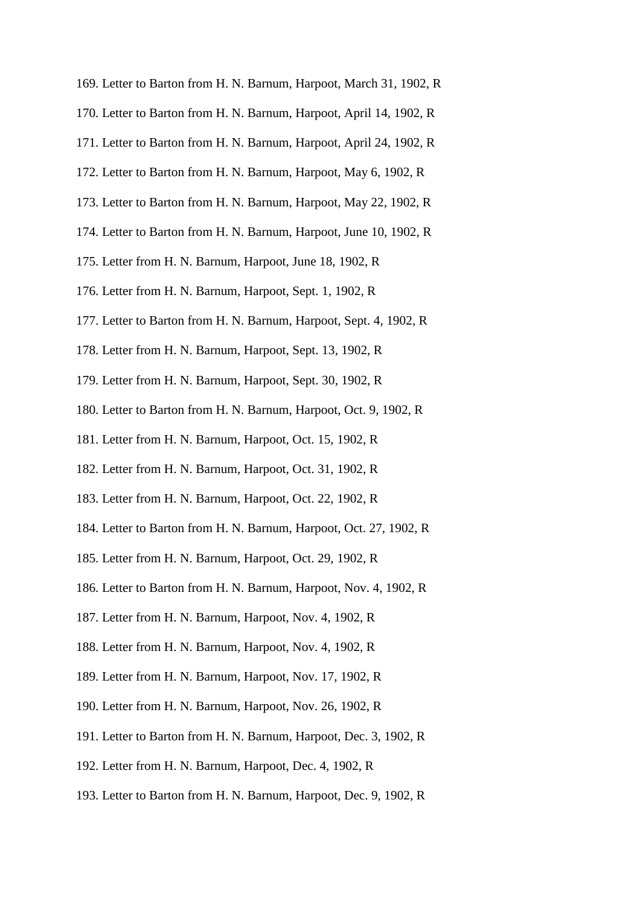- 169. Letter to Barton from H. N. Barnum, Harpoot, March 31, 1902, R
- 170. Letter to Barton from H. N. Barnum, Harpoot, April 14, 1902, R
- 171. Letter to Barton from H. N. Barnum, Harpoot, April 24, 1902, R
- 172. Letter to Barton from H. N. Barnum, Harpoot, May 6, 1902, R
- 173. Letter to Barton from H. N. Barnum, Harpoot, May 22, 1902, R
- 174. Letter to Barton from H. N. Barnum, Harpoot, June 10, 1902, R
- 175. Letter from H. N. Barnum, Harpoot, June 18, 1902, R
- 176. Letter from H. N. Barnum, Harpoot, Sept. 1, 1902, R
- 177. Letter to Barton from H. N. Barnum, Harpoot, Sept. 4, 1902, R
- 178. Letter from H. N. Barnum, Harpoot, Sept. 13, 1902, R
- 179. Letter from H. N. Barnum, Harpoot, Sept. 30, 1902, R
- 180. Letter to Barton from H. N. Barnum, Harpoot, Oct. 9, 1902, R
- 181. Letter from H. N. Barnum, Harpoot, Oct. 15, 1902, R
- 182. Letter from H. N. Barnum, Harpoot, Oct. 31, 1902, R
- 183. Letter from H. N. Barnum, Harpoot, Oct. 22, 1902, R
- 184. Letter to Barton from H. N. Barnum, Harpoot, Oct. 27, 1902, R
- 185. Letter from H. N. Barnum, Harpoot, Oct. 29, 1902, R
- 186. Letter to Barton from H. N. Barnum, Harpoot, Nov. 4, 1902, R
- 187. Letter from H. N. Barnum, Harpoot, Nov. 4, 1902, R
- 188. Letter from H. N. Barnum, Harpoot, Nov. 4, 1902, R
- 189. Letter from H. N. Barnum, Harpoot, Nov. 17, 1902, R
- 190. Letter from H. N. Barnum, Harpoot, Nov. 26, 1902, R
- 191. Letter to Barton from H. N. Barnum, Harpoot, Dec. 3, 1902, R
- 192. Letter from H. N. Barnum, Harpoot, Dec. 4, 1902, R
- 193. Letter to Barton from H. N. Barnum, Harpoot, Dec. 9, 1902, R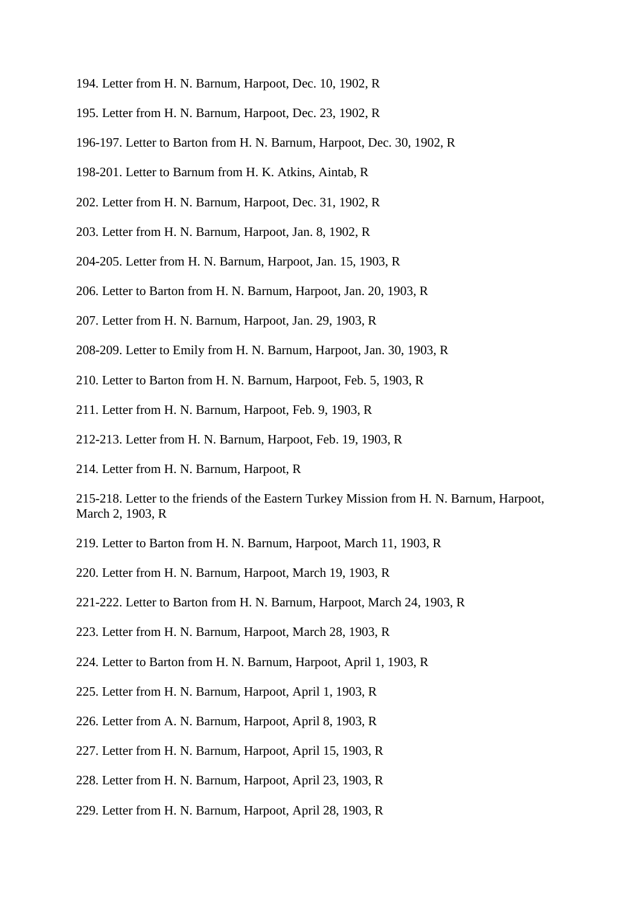- 194. Letter from H. N. Barnum, Harpoot, Dec. 10, 1902, R
- 195. Letter from H. N. Barnum, Harpoot, Dec. 23, 1902, R
- 196-197. Letter to Barton from H. N. Barnum, Harpoot, Dec. 30, 1902, R
- 198-201. Letter to Barnum from H. K. Atkins, Aintab, R
- 202. Letter from H. N. Barnum, Harpoot, Dec. 31, 1902, R
- 203. Letter from H. N. Barnum, Harpoot, Jan. 8, 1902, R
- 204-205. Letter from H. N. Barnum, Harpoot, Jan. 15, 1903, R
- 206. Letter to Barton from H. N. Barnum, Harpoot, Jan. 20, 1903, R
- 207. Letter from H. N. Barnum, Harpoot, Jan. 29, 1903, R
- 208-209. Letter to Emily from H. N. Barnum, Harpoot, Jan. 30, 1903, R
- 210. Letter to Barton from H. N. Barnum, Harpoot, Feb. 5, 1903, R
- 211. Letter from H. N. Barnum, Harpoot, Feb. 9, 1903, R
- 212-213. Letter from H. N. Barnum, Harpoot, Feb. 19, 1903, R
- 214. Letter from H. N. Barnum, Harpoot, R
- 215-218. Letter to the friends of the Eastern Turkey Mission from H. N. Barnum, Harpoot, March 2, 1903, R
- 219. Letter to Barton from H. N. Barnum, Harpoot, March 11, 1903, R
- 220. Letter from H. N. Barnum, Harpoot, March 19, 1903, R
- 221-222. Letter to Barton from H. N. Barnum, Harpoot, March 24, 1903, R
- 223. Letter from H. N. Barnum, Harpoot, March 28, 1903, R
- 224. Letter to Barton from H. N. Barnum, Harpoot, April 1, 1903, R
- 225. Letter from H. N. Barnum, Harpoot, April 1, 1903, R
- 226. Letter from A. N. Barnum, Harpoot, April 8, 1903, R
- 227. Letter from H. N. Barnum, Harpoot, April 15, 1903, R
- 228. Letter from H. N. Barnum, Harpoot, April 23, 1903, R
- 229. Letter from H. N. Barnum, Harpoot, April 28, 1903, R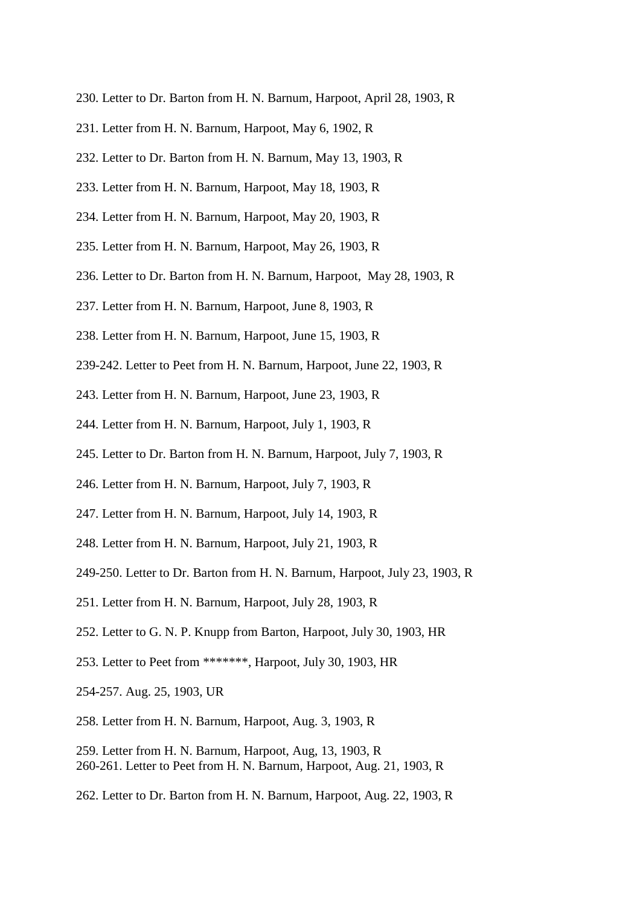- 230. Letter to Dr. Barton from H. N. Barnum, Harpoot, April 28, 1903, R
- 231. Letter from H. N. Barnum, Harpoot, May 6, 1902, R
- 232. Letter to Dr. Barton from H. N. Barnum, May 13, 1903, R
- 233. Letter from H. N. Barnum, Harpoot, May 18, 1903, R
- 234. Letter from H. N. Barnum, Harpoot, May 20, 1903, R
- 235. Letter from H. N. Barnum, Harpoot, May 26, 1903, R
- 236. Letter to Dr. Barton from H. N. Barnum, Harpoot, May 28, 1903, R
- 237. Letter from H. N. Barnum, Harpoot, June 8, 1903, R
- 238. Letter from H. N. Barnum, Harpoot, June 15, 1903, R
- 239-242. Letter to Peet from H. N. Barnum, Harpoot, June 22, 1903, R
- 243. Letter from H. N. Barnum, Harpoot, June 23, 1903, R
- 244. Letter from H. N. Barnum, Harpoot, July 1, 1903, R
- 245. Letter to Dr. Barton from H. N. Barnum, Harpoot, July 7, 1903, R
- 246. Letter from H. N. Barnum, Harpoot, July 7, 1903, R
- 247. Letter from H. N. Barnum, Harpoot, July 14, 1903, R
- 248. Letter from H. N. Barnum, Harpoot, July 21, 1903, R
- 249-250. Letter to Dr. Barton from H. N. Barnum, Harpoot, July 23, 1903, R
- 251. Letter from H. N. Barnum, Harpoot, July 28, 1903, R
- 252. Letter to G. N. P. Knupp from Barton, Harpoot, July 30, 1903, HR
- 253. Letter to Peet from \*\*\*\*\*\*\*, Harpoot, July 30, 1903, HR
- 254-257. Aug. 25, 1903, UR
- 258. Letter from H. N. Barnum, Harpoot, Aug. 3, 1903, R
- 259. Letter from H. N. Barnum, Harpoot, Aug, 13, 1903, R 260-261. Letter to Peet from H. N. Barnum, Harpoot, Aug. 21, 1903, R
- 262. Letter to Dr. Barton from H. N. Barnum, Harpoot, Aug. 22, 1903, R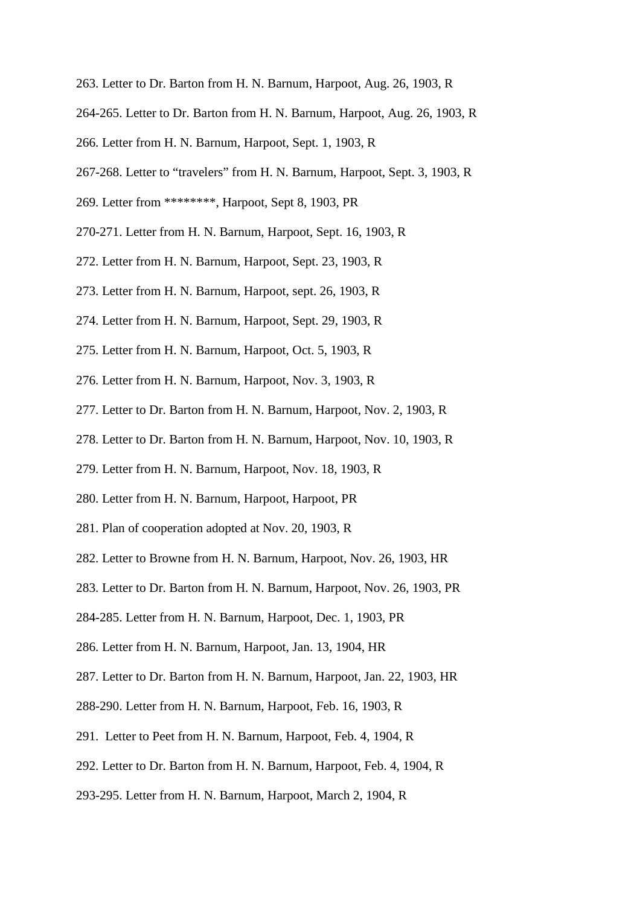- 263. Letter to Dr. Barton from H. N. Barnum, Harpoot, Aug. 26, 1903, R
- 264-265. Letter to Dr. Barton from H. N. Barnum, Harpoot, Aug. 26, 1903, R
- 266. Letter from H. N. Barnum, Harpoot, Sept. 1, 1903, R
- 267-268. Letter to "travelers" from H. N. Barnum, Harpoot, Sept. 3, 1903, R
- 269. Letter from \*\*\*\*\*\*\*\*, Harpoot, Sept 8, 1903, PR
- 270-271. Letter from H. N. Barnum, Harpoot, Sept. 16, 1903, R
- 272. Letter from H. N. Barnum, Harpoot, Sept. 23, 1903, R
- 273. Letter from H. N. Barnum, Harpoot, sept. 26, 1903, R
- 274. Letter from H. N. Barnum, Harpoot, Sept. 29, 1903, R
- 275. Letter from H. N. Barnum, Harpoot, Oct. 5, 1903, R
- 276. Letter from H. N. Barnum, Harpoot, Nov. 3, 1903, R
- 277. Letter to Dr. Barton from H. N. Barnum, Harpoot, Nov. 2, 1903, R
- 278. Letter to Dr. Barton from H. N. Barnum, Harpoot, Nov. 10, 1903, R
- 279. Letter from H. N. Barnum, Harpoot, Nov. 18, 1903, R
- 280. Letter from H. N. Barnum, Harpoot, Harpoot, PR
- 281. Plan of cooperation adopted at Nov. 20, 1903, R
- 282. Letter to Browne from H. N. Barnum, Harpoot, Nov. 26, 1903, HR
- 283. Letter to Dr. Barton from H. N. Barnum, Harpoot, Nov. 26, 1903, PR
- 284-285. Letter from H. N. Barnum, Harpoot, Dec. 1, 1903, PR
- 286. Letter from H. N. Barnum, Harpoot, Jan. 13, 1904, HR
- 287. Letter to Dr. Barton from H. N. Barnum, Harpoot, Jan. 22, 1903, HR
- 288-290. Letter from H. N. Barnum, Harpoot, Feb. 16, 1903, R
- 291. Letter to Peet from H. N. Barnum, Harpoot, Feb. 4, 1904, R
- 292. Letter to Dr. Barton from H. N. Barnum, Harpoot, Feb. 4, 1904, R
- 293-295. Letter from H. N. Barnum, Harpoot, March 2, 1904, R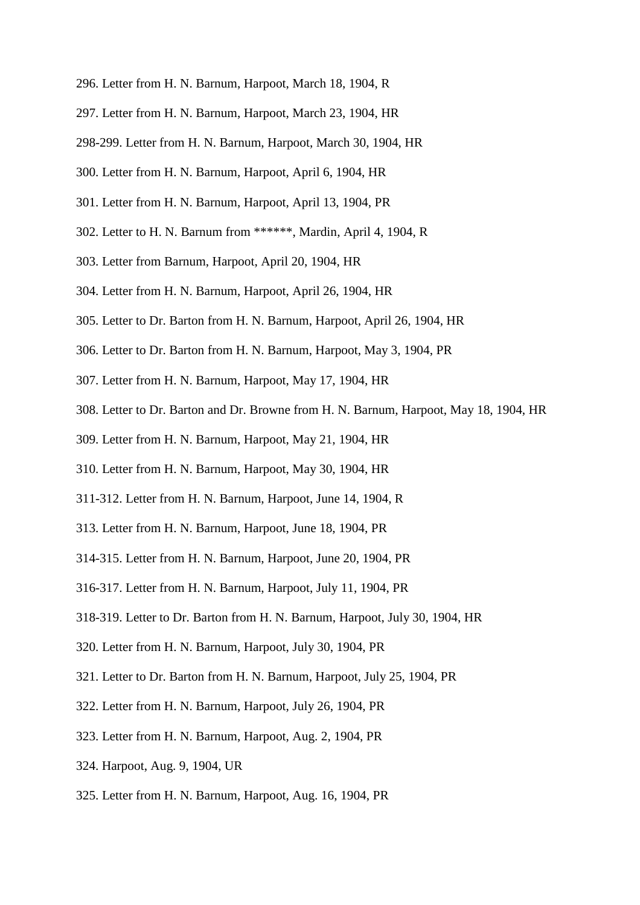- 296. Letter from H. N. Barnum, Harpoot, March 18, 1904, R
- 297. Letter from H. N. Barnum, Harpoot, March 23, 1904, HR
- 298-299. Letter from H. N. Barnum, Harpoot, March 30, 1904, HR
- 300. Letter from H. N. Barnum, Harpoot, April 6, 1904, HR
- 301. Letter from H. N. Barnum, Harpoot, April 13, 1904, PR
- 302. Letter to H. N. Barnum from \*\*\*\*\*\*, Mardin, April 4, 1904, R
- 303. Letter from Barnum, Harpoot, April 20, 1904, HR
- 304. Letter from H. N. Barnum, Harpoot, April 26, 1904, HR
- 305. Letter to Dr. Barton from H. N. Barnum, Harpoot, April 26, 1904, HR
- 306. Letter to Dr. Barton from H. N. Barnum, Harpoot, May 3, 1904, PR
- 307. Letter from H. N. Barnum, Harpoot, May 17, 1904, HR
- 308. Letter to Dr. Barton and Dr. Browne from H. N. Barnum, Harpoot, May 18, 1904, HR
- 309. Letter from H. N. Barnum, Harpoot, May 21, 1904, HR
- 310. Letter from H. N. Barnum, Harpoot, May 30, 1904, HR
- 311-312. Letter from H. N. Barnum, Harpoot, June 14, 1904, R
- 313. Letter from H. N. Barnum, Harpoot, June 18, 1904, PR
- 314-315. Letter from H. N. Barnum, Harpoot, June 20, 1904, PR
- 316-317. Letter from H. N. Barnum, Harpoot, July 11, 1904, PR
- 318-319. Letter to Dr. Barton from H. N. Barnum, Harpoot, July 30, 1904, HR
- 320. Letter from H. N. Barnum, Harpoot, July 30, 1904, PR
- 321. Letter to Dr. Barton from H. N. Barnum, Harpoot, July 25, 1904, PR
- 322. Letter from H. N. Barnum, Harpoot, July 26, 1904, PR
- 323. Letter from H. N. Barnum, Harpoot, Aug. 2, 1904, PR
- 324. Harpoot, Aug. 9, 1904, UR
- 325. Letter from H. N. Barnum, Harpoot, Aug. 16, 1904, PR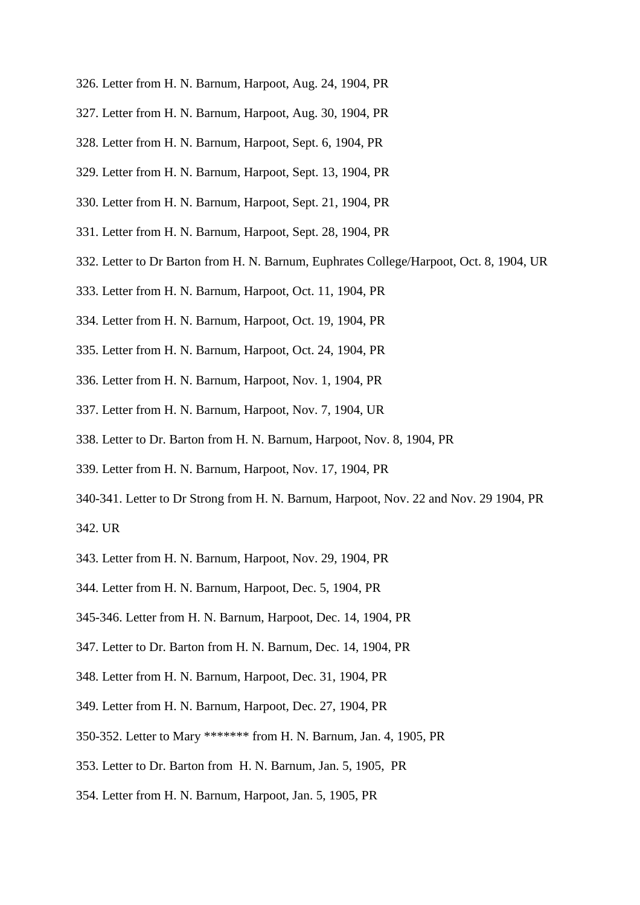- 326. Letter from H. N. Barnum, Harpoot, Aug. 24, 1904, PR
- 327. Letter from H. N. Barnum, Harpoot, Aug. 30, 1904, PR
- 328. Letter from H. N. Barnum, Harpoot, Sept. 6, 1904, PR
- 329. Letter from H. N. Barnum, Harpoot, Sept. 13, 1904, PR
- 330. Letter from H. N. Barnum, Harpoot, Sept. 21, 1904, PR
- 331. Letter from H. N. Barnum, Harpoot, Sept. 28, 1904, PR
- 332. Letter to Dr Barton from H. N. Barnum, Euphrates College/Harpoot, Oct. 8, 1904, UR
- 333. Letter from H. N. Barnum, Harpoot, Oct. 11, 1904, PR
- 334. Letter from H. N. Barnum, Harpoot, Oct. 19, 1904, PR
- 335. Letter from H. N. Barnum, Harpoot, Oct. 24, 1904, PR
- 336. Letter from H. N. Barnum, Harpoot, Nov. 1, 1904, PR
- 337. Letter from H. N. Barnum, Harpoot, Nov. 7, 1904, UR
- 338. Letter to Dr. Barton from H. N. Barnum, Harpoot, Nov. 8, 1904, PR
- 339. Letter from H. N. Barnum, Harpoot, Nov. 17, 1904, PR
- 340-341. Letter to Dr Strong from H. N. Barnum, Harpoot, Nov. 22 and Nov. 29 1904, PR 342. UR
- 343. Letter from H. N. Barnum, Harpoot, Nov. 29, 1904, PR
- 344. Letter from H. N. Barnum, Harpoot, Dec. 5, 1904, PR
- 345-346. Letter from H. N. Barnum, Harpoot, Dec. 14, 1904, PR
- 347. Letter to Dr. Barton from H. N. Barnum, Dec. 14, 1904, PR
- 348. Letter from H. N. Barnum, Harpoot, Dec. 31, 1904, PR
- 349. Letter from H. N. Barnum, Harpoot, Dec. 27, 1904, PR
- 350-352. Letter to Mary \*\*\*\*\*\*\* from H. N. Barnum, Jan. 4, 1905, PR
- 353. Letter to Dr. Barton from H. N. Barnum, Jan. 5, 1905, PR
- 354. Letter from H. N. Barnum, Harpoot, Jan. 5, 1905, PR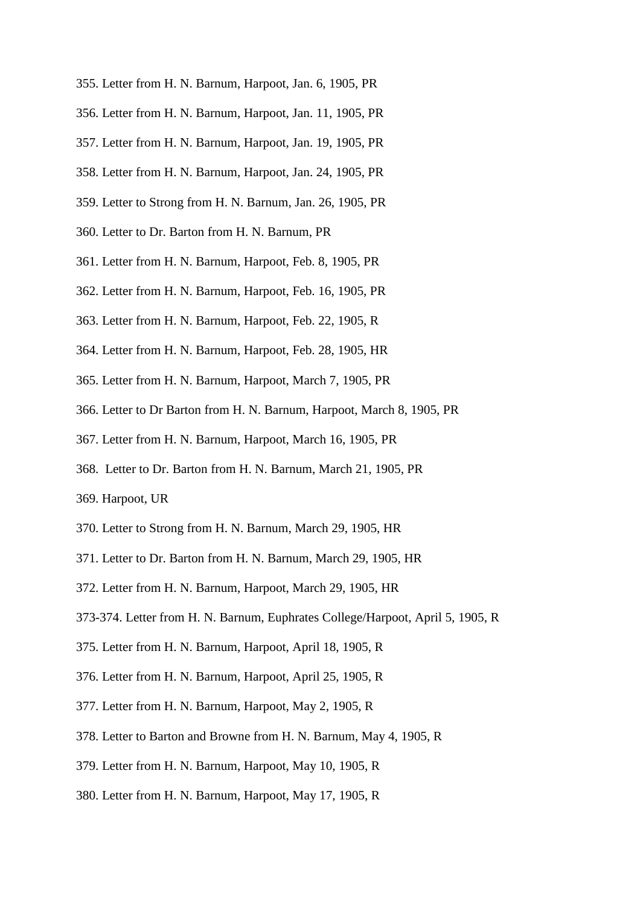- 355. Letter from H. N. Barnum, Harpoot, Jan. 6, 1905, PR
- 356. Letter from H. N. Barnum, Harpoot, Jan. 11, 1905, PR
- 357. Letter from H. N. Barnum, Harpoot, Jan. 19, 1905, PR
- 358. Letter from H. N. Barnum, Harpoot, Jan. 24, 1905, PR
- 359. Letter to Strong from H. N. Barnum, Jan. 26, 1905, PR
- 360. Letter to Dr. Barton from H. N. Barnum, PR
- 361. Letter from H. N. Barnum, Harpoot, Feb. 8, 1905, PR
- 362. Letter from H. N. Barnum, Harpoot, Feb. 16, 1905, PR
- 363. Letter from H. N. Barnum, Harpoot, Feb. 22, 1905, R
- 364. Letter from H. N. Barnum, Harpoot, Feb. 28, 1905, HR
- 365. Letter from H. N. Barnum, Harpoot, March 7, 1905, PR
- 366. Letter to Dr Barton from H. N. Barnum, Harpoot, March 8, 1905, PR
- 367. Letter from H. N. Barnum, Harpoot, March 16, 1905, PR
- 368. Letter to Dr. Barton from H. N. Barnum, March 21, 1905, PR
- 369. Harpoot, UR
- 370. Letter to Strong from H. N. Barnum, March 29, 1905, HR
- 371. Letter to Dr. Barton from H. N. Barnum, March 29, 1905, HR
- 372. Letter from H. N. Barnum, Harpoot, March 29, 1905, HR
- 373-374. Letter from H. N. Barnum, Euphrates College/Harpoot, April 5, 1905, R
- 375. Letter from H. N. Barnum, Harpoot, April 18, 1905, R
- 376. Letter from H. N. Barnum, Harpoot, April 25, 1905, R
- 377. Letter from H. N. Barnum, Harpoot, May 2, 1905, R
- 378. Letter to Barton and Browne from H. N. Barnum, May 4, 1905, R
- 379. Letter from H. N. Barnum, Harpoot, May 10, 1905, R
- 380. Letter from H. N. Barnum, Harpoot, May 17, 1905, R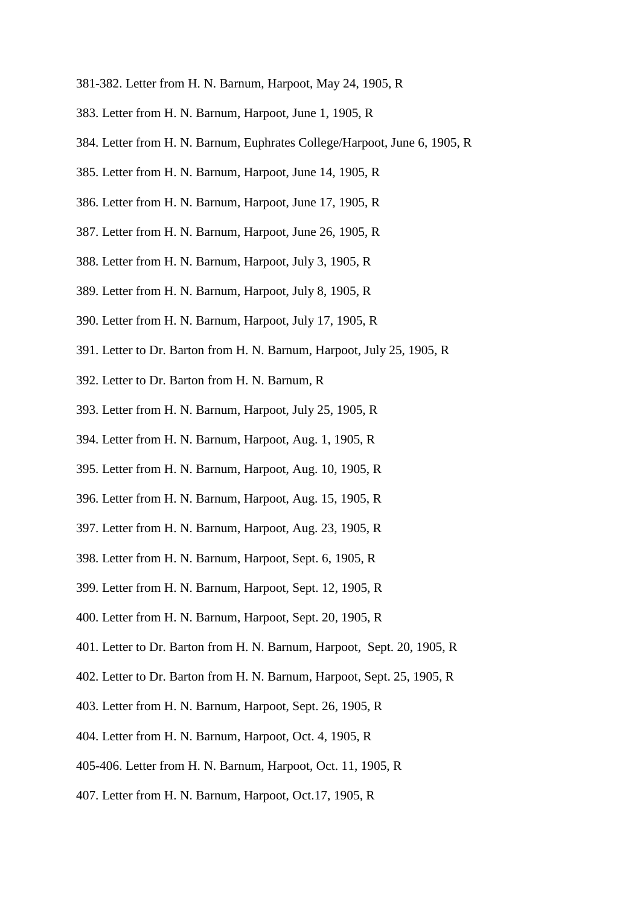- 381-382. Letter from H. N. Barnum, Harpoot, May 24, 1905, R
- 383. Letter from H. N. Barnum, Harpoot, June 1, 1905, R
- 384. Letter from H. N. Barnum, Euphrates College/Harpoot, June 6, 1905, R
- 385. Letter from H. N. Barnum, Harpoot, June 14, 1905, R
- 386. Letter from H. N. Barnum, Harpoot, June 17, 1905, R
- 387. Letter from H. N. Barnum, Harpoot, June 26, 1905, R
- 388. Letter from H. N. Barnum, Harpoot, July 3, 1905, R
- 389. Letter from H. N. Barnum, Harpoot, July 8, 1905, R
- 390. Letter from H. N. Barnum, Harpoot, July 17, 1905, R
- 391. Letter to Dr. Barton from H. N. Barnum, Harpoot, July 25, 1905, R
- 392. Letter to Dr. Barton from H. N. Barnum, R
- 393. Letter from H. N. Barnum, Harpoot, July 25, 1905, R
- 394. Letter from H. N. Barnum, Harpoot, Aug. 1, 1905, R
- 395. Letter from H. N. Barnum, Harpoot, Aug. 10, 1905, R
- 396. Letter from H. N. Barnum, Harpoot, Aug. 15, 1905, R
- 397. Letter from H. N. Barnum, Harpoot, Aug. 23, 1905, R
- 398. Letter from H. N. Barnum, Harpoot, Sept. 6, 1905, R
- 399. Letter from H. N. Barnum, Harpoot, Sept. 12, 1905, R
- 400. Letter from H. N. Barnum, Harpoot, Sept. 20, 1905, R
- 401. Letter to Dr. Barton from H. N. Barnum, Harpoot, Sept. 20, 1905, R
- 402. Letter to Dr. Barton from H. N. Barnum, Harpoot, Sept. 25, 1905, R
- 403. Letter from H. N. Barnum, Harpoot, Sept. 26, 1905, R
- 404. Letter from H. N. Barnum, Harpoot, Oct. 4, 1905, R
- 405-406. Letter from H. N. Barnum, Harpoot, Oct. 11, 1905, R
- 407. Letter from H. N. Barnum, Harpoot, Oct.17, 1905, R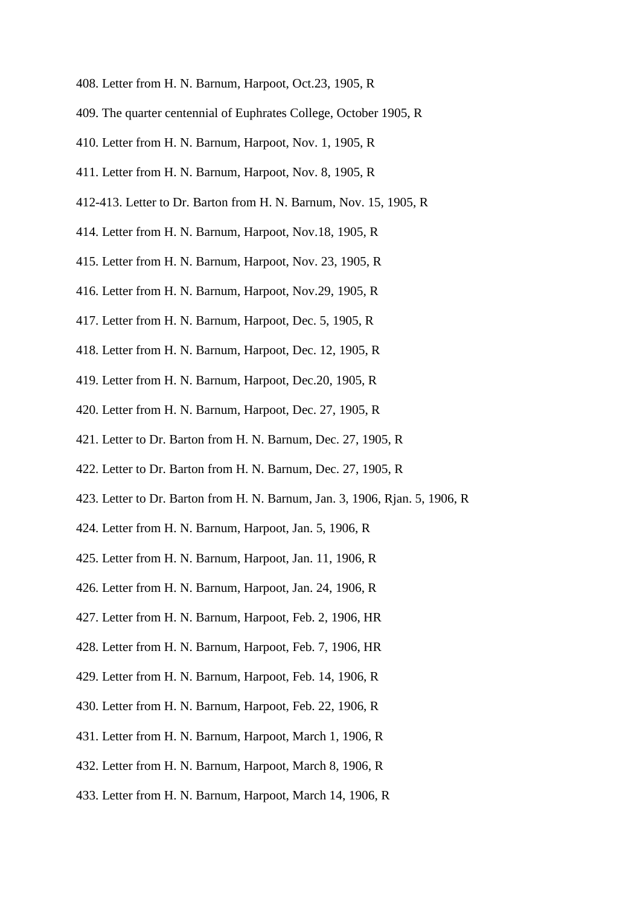- 408. Letter from H. N. Barnum, Harpoot, Oct.23, 1905, R
- 409. The quarter centennial of Euphrates College, October 1905, R
- 410. Letter from H. N. Barnum, Harpoot, Nov. 1, 1905, R
- 411. Letter from H. N. Barnum, Harpoot, Nov. 8, 1905, R
- 412-413. Letter to Dr. Barton from H. N. Barnum, Nov. 15, 1905, R
- 414. Letter from H. N. Barnum, Harpoot, Nov.18, 1905, R
- 415. Letter from H. N. Barnum, Harpoot, Nov. 23, 1905, R
- 416. Letter from H. N. Barnum, Harpoot, Nov.29, 1905, R
- 417. Letter from H. N. Barnum, Harpoot, Dec. 5, 1905, R
- 418. Letter from H. N. Barnum, Harpoot, Dec. 12, 1905, R
- 419. Letter from H. N. Barnum, Harpoot, Dec.20, 1905, R
- 420. Letter from H. N. Barnum, Harpoot, Dec. 27, 1905, R
- 421. Letter to Dr. Barton from H. N. Barnum, Dec. 27, 1905, R
- 422. Letter to Dr. Barton from H. N. Barnum, Dec. 27, 1905, R
- 423. Letter to Dr. Barton from H. N. Barnum, Jan. 3, 1906, Rjan. 5, 1906, R
- 424. Letter from H. N. Barnum, Harpoot, Jan. 5, 1906, R
- 425. Letter from H. N. Barnum, Harpoot, Jan. 11, 1906, R
- 426. Letter from H. N. Barnum, Harpoot, Jan. 24, 1906, R
- 427. Letter from H. N. Barnum, Harpoot, Feb. 2, 1906, HR
- 428. Letter from H. N. Barnum, Harpoot, Feb. 7, 1906, HR
- 429. Letter from H. N. Barnum, Harpoot, Feb. 14, 1906, R
- 430. Letter from H. N. Barnum, Harpoot, Feb. 22, 1906, R
- 431. Letter from H. N. Barnum, Harpoot, March 1, 1906, R
- 432. Letter from H. N. Barnum, Harpoot, March 8, 1906, R
- 433. Letter from H. N. Barnum, Harpoot, March 14, 1906, R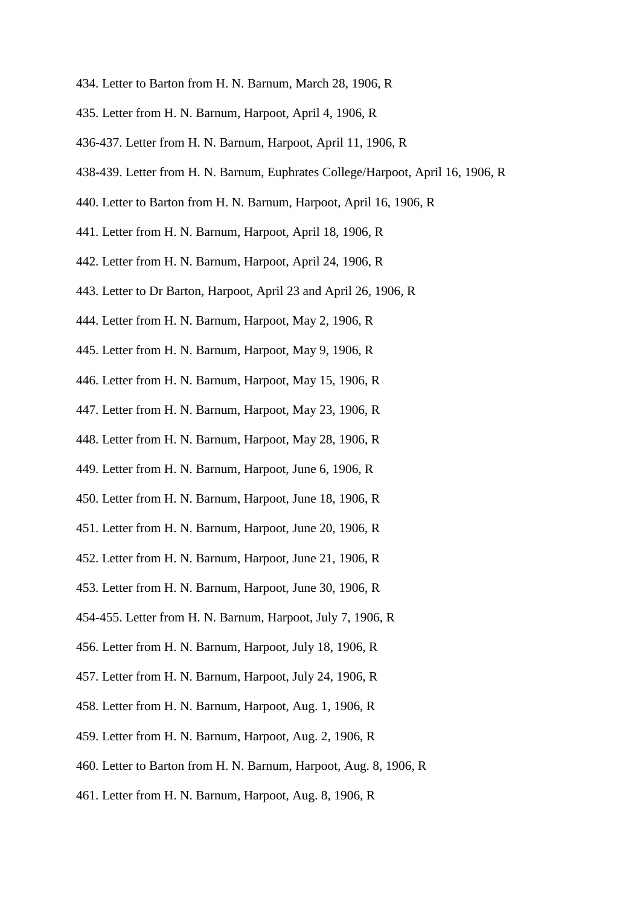- 434. Letter to Barton from H. N. Barnum, March 28, 1906, R
- 435. Letter from H. N. Barnum, Harpoot, April 4, 1906, R
- 436-437. Letter from H. N. Barnum, Harpoot, April 11, 1906, R
- 438-439. Letter from H. N. Barnum, Euphrates College/Harpoot, April 16, 1906, R
- 440. Letter to Barton from H. N. Barnum, Harpoot, April 16, 1906, R
- 441. Letter from H. N. Barnum, Harpoot, April 18, 1906, R
- 442. Letter from H. N. Barnum, Harpoot, April 24, 1906, R
- 443. Letter to Dr Barton, Harpoot, April 23 and April 26, 1906, R
- 444. Letter from H. N. Barnum, Harpoot, May 2, 1906, R
- 445. Letter from H. N. Barnum, Harpoot, May 9, 1906, R
- 446. Letter from H. N. Barnum, Harpoot, May 15, 1906, R
- 447. Letter from H. N. Barnum, Harpoot, May 23, 1906, R
- 448. Letter from H. N. Barnum, Harpoot, May 28, 1906, R
- 449. Letter from H. N. Barnum, Harpoot, June 6, 1906, R
- 450. Letter from H. N. Barnum, Harpoot, June 18, 1906, R
- 451. Letter from H. N. Barnum, Harpoot, June 20, 1906, R
- 452. Letter from H. N. Barnum, Harpoot, June 21, 1906, R
- 453. Letter from H. N. Barnum, Harpoot, June 30, 1906, R
- 454-455. Letter from H. N. Barnum, Harpoot, July 7, 1906, R
- 456. Letter from H. N. Barnum, Harpoot, July 18, 1906, R
- 457. Letter from H. N. Barnum, Harpoot, July 24, 1906, R
- 458. Letter from H. N. Barnum, Harpoot, Aug. 1, 1906, R
- 459. Letter from H. N. Barnum, Harpoot, Aug. 2, 1906, R
- 460. Letter to Barton from H. N. Barnum, Harpoot, Aug. 8, 1906, R
- 461. Letter from H. N. Barnum, Harpoot, Aug. 8, 1906, R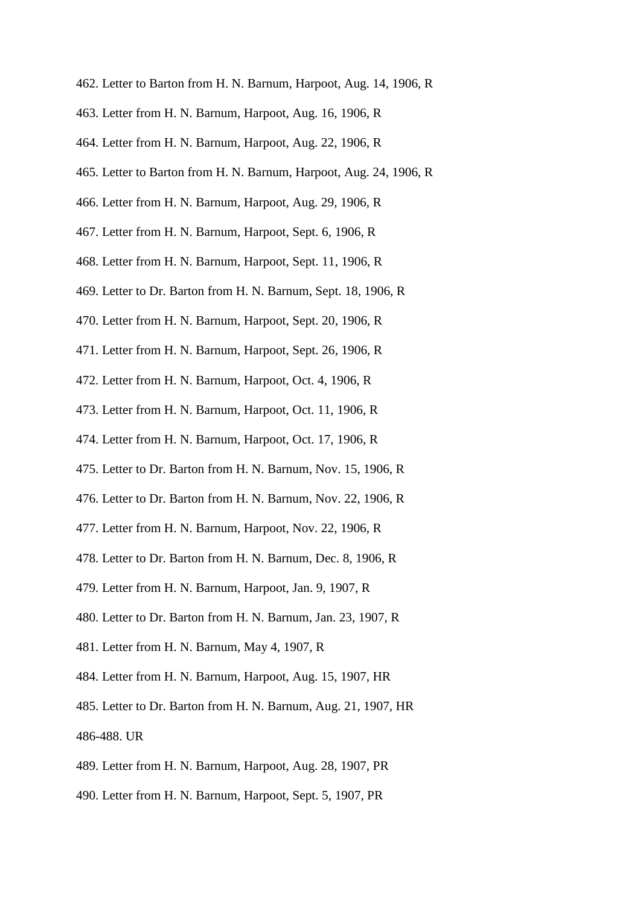- 462. Letter to Barton from H. N. Barnum, Harpoot, Aug. 14, 1906, R
- 463. Letter from H. N. Barnum, Harpoot, Aug. 16, 1906, R
- 464. Letter from H. N. Barnum, Harpoot, Aug. 22, 1906, R
- 465. Letter to Barton from H. N. Barnum, Harpoot, Aug. 24, 1906, R
- 466. Letter from H. N. Barnum, Harpoot, Aug. 29, 1906, R
- 467. Letter from H. N. Barnum, Harpoot, Sept. 6, 1906, R
- 468. Letter from H. N. Barnum, Harpoot, Sept. 11, 1906, R
- 469. Letter to Dr. Barton from H. N. Barnum, Sept. 18, 1906, R
- 470. Letter from H. N. Barnum, Harpoot, Sept. 20, 1906, R
- 471. Letter from H. N. Barnum, Harpoot, Sept. 26, 1906, R
- 472. Letter from H. N. Barnum, Harpoot, Oct. 4, 1906, R
- 473. Letter from H. N. Barnum, Harpoot, Oct. 11, 1906, R
- 474. Letter from H. N. Barnum, Harpoot, Oct. 17, 1906, R
- 475. Letter to Dr. Barton from H. N. Barnum, Nov. 15, 1906, R
- 476. Letter to Dr. Barton from H. N. Barnum, Nov. 22, 1906, R
- 477. Letter from H. N. Barnum, Harpoot, Nov. 22, 1906, R
- 478. Letter to Dr. Barton from H. N. Barnum, Dec. 8, 1906, R
- 479. Letter from H. N. Barnum, Harpoot, Jan. 9, 1907, R
- 480. Letter to Dr. Barton from H. N. Barnum, Jan. 23, 1907, R
- 481. Letter from H. N. Barnum, May 4, 1907, R
- 484. Letter from H. N. Barnum, Harpoot, Aug. 15, 1907, HR
- 485. Letter to Dr. Barton from H. N. Barnum, Aug. 21, 1907, HR 486-488. UR
- 489. Letter from H. N. Barnum, Harpoot, Aug. 28, 1907, PR
- 490. Letter from H. N. Barnum, Harpoot, Sept. 5, 1907, PR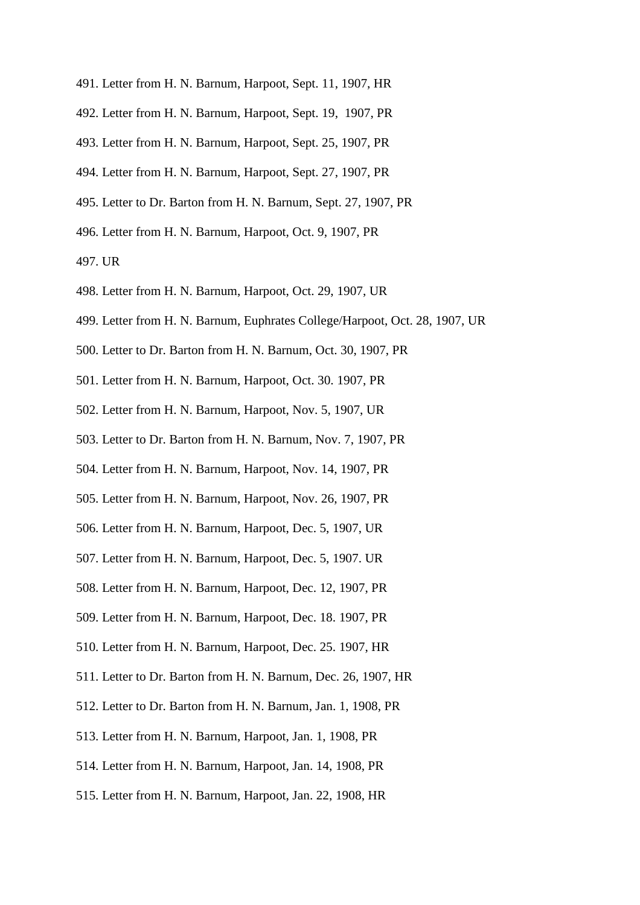- 491. Letter from H. N. Barnum, Harpoot, Sept. 11, 1907, HR
- 492. Letter from H. N. Barnum, Harpoot, Sept. 19, 1907, PR
- 493. Letter from H. N. Barnum, Harpoot, Sept. 25, 1907, PR
- 494. Letter from H. N. Barnum, Harpoot, Sept. 27, 1907, PR
- 495. Letter to Dr. Barton from H. N. Barnum, Sept. 27, 1907, PR
- 496. Letter from H. N. Barnum, Harpoot, Oct. 9, 1907, PR
- 497. UR
- 498. Letter from H. N. Barnum, Harpoot, Oct. 29, 1907, UR
- 499. Letter from H. N. Barnum, Euphrates College/Harpoot, Oct. 28, 1907, UR
- 500. Letter to Dr. Barton from H. N. Barnum, Oct. 30, 1907, PR
- 501. Letter from H. N. Barnum, Harpoot, Oct. 30. 1907, PR
- 502. Letter from H. N. Barnum, Harpoot, Nov. 5, 1907, UR
- 503. Letter to Dr. Barton from H. N. Barnum, Nov. 7, 1907, PR
- 504. Letter from H. N. Barnum, Harpoot, Nov. 14, 1907, PR
- 505. Letter from H. N. Barnum, Harpoot, Nov. 26, 1907, PR
- 506. Letter from H. N. Barnum, Harpoot, Dec. 5, 1907, UR
- 507. Letter from H. N. Barnum, Harpoot, Dec. 5, 1907. UR
- 508. Letter from H. N. Barnum, Harpoot, Dec. 12, 1907, PR
- 509. Letter from H. N. Barnum, Harpoot, Dec. 18. 1907, PR
- 510. Letter from H. N. Barnum, Harpoot, Dec. 25. 1907, HR
- 511. Letter to Dr. Barton from H. N. Barnum, Dec. 26, 1907, HR
- 512. Letter to Dr. Barton from H. N. Barnum, Jan. 1, 1908, PR
- 513. Letter from H. N. Barnum, Harpoot, Jan. 1, 1908, PR
- 514. Letter from H. N. Barnum, Harpoot, Jan. 14, 1908, PR
- 515. Letter from H. N. Barnum, Harpoot, Jan. 22, 1908, HR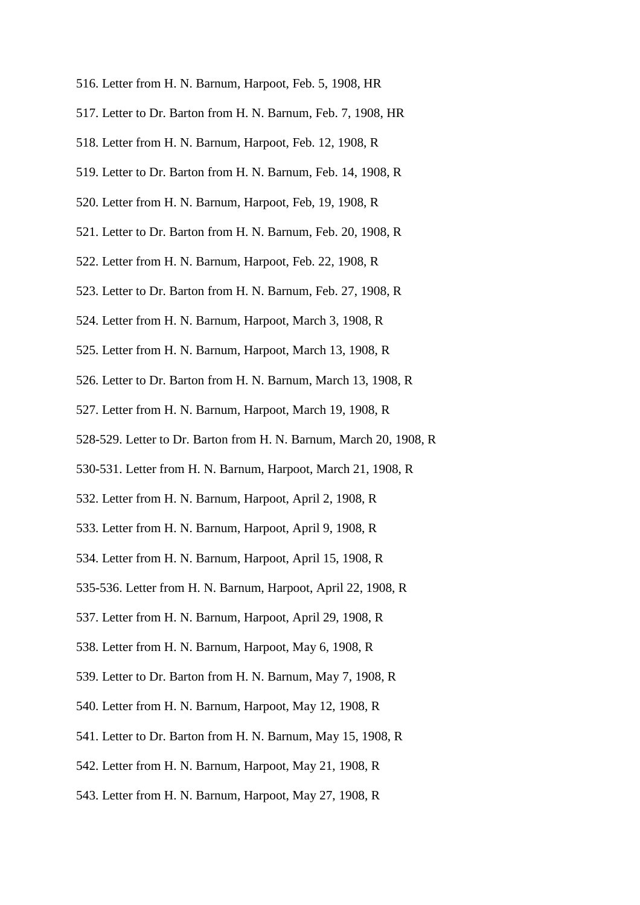- 516. Letter from H. N. Barnum, Harpoot, Feb. 5, 1908, HR
- 517. Letter to Dr. Barton from H. N. Barnum, Feb. 7, 1908, HR
- 518. Letter from H. N. Barnum, Harpoot, Feb. 12, 1908, R
- 519. Letter to Dr. Barton from H. N. Barnum, Feb. 14, 1908, R
- 520. Letter from H. N. Barnum, Harpoot, Feb, 19, 1908, R
- 521. Letter to Dr. Barton from H. N. Barnum, Feb. 20, 1908, R
- 522. Letter from H. N. Barnum, Harpoot, Feb. 22, 1908, R
- 523. Letter to Dr. Barton from H. N. Barnum, Feb. 27, 1908, R
- 524. Letter from H. N. Barnum, Harpoot, March 3, 1908, R
- 525. Letter from H. N. Barnum, Harpoot, March 13, 1908, R
- 526. Letter to Dr. Barton from H. N. Barnum, March 13, 1908, R
- 527. Letter from H. N. Barnum, Harpoot, March 19, 1908, R
- 528-529. Letter to Dr. Barton from H. N. Barnum, March 20, 1908, R
- 530-531. Letter from H. N. Barnum, Harpoot, March 21, 1908, R
- 532. Letter from H. N. Barnum, Harpoot, April 2, 1908, R
- 533. Letter from H. N. Barnum, Harpoot, April 9, 1908, R
- 534. Letter from H. N. Barnum, Harpoot, April 15, 1908, R
- 535-536. Letter from H. N. Barnum, Harpoot, April 22, 1908, R
- 537. Letter from H. N. Barnum, Harpoot, April 29, 1908, R
- 538. Letter from H. N. Barnum, Harpoot, May 6, 1908, R
- 539. Letter to Dr. Barton from H. N. Barnum, May 7, 1908, R
- 540. Letter from H. N. Barnum, Harpoot, May 12, 1908, R
- 541. Letter to Dr. Barton from H. N. Barnum, May 15, 1908, R
- 542. Letter from H. N. Barnum, Harpoot, May 21, 1908, R
- 543. Letter from H. N. Barnum, Harpoot, May 27, 1908, R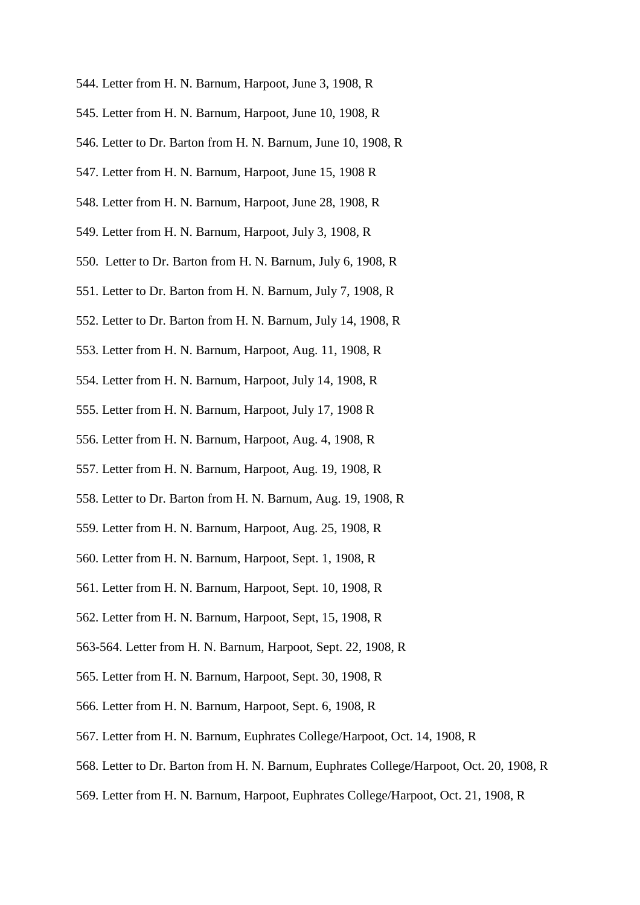- 544. Letter from H. N. Barnum, Harpoot, June 3, 1908, R
- 545. Letter from H. N. Barnum, Harpoot, June 10, 1908, R
- 546. Letter to Dr. Barton from H. N. Barnum, June 10, 1908, R
- 547. Letter from H. N. Barnum, Harpoot, June 15, 1908 R
- 548. Letter from H. N. Barnum, Harpoot, June 28, 1908, R
- 549. Letter from H. N. Barnum, Harpoot, July 3, 1908, R
- 550. Letter to Dr. Barton from H. N. Barnum, July 6, 1908, R
- 551. Letter to Dr. Barton from H. N. Barnum, July 7, 1908, R
- 552. Letter to Dr. Barton from H. N. Barnum, July 14, 1908, R
- 553. Letter from H. N. Barnum, Harpoot, Aug. 11, 1908, R
- 554. Letter from H. N. Barnum, Harpoot, July 14, 1908, R
- 555. Letter from H. N. Barnum, Harpoot, July 17, 1908 R
- 556. Letter from H. N. Barnum, Harpoot, Aug. 4, 1908, R
- 557. Letter from H. N. Barnum, Harpoot, Aug. 19, 1908, R
- 558. Letter to Dr. Barton from H. N. Barnum, Aug. 19, 1908, R
- 559. Letter from H. N. Barnum, Harpoot, Aug. 25, 1908, R
- 560. Letter from H. N. Barnum, Harpoot, Sept. 1, 1908, R
- 561. Letter from H. N. Barnum, Harpoot, Sept. 10, 1908, R
- 562. Letter from H. N. Barnum, Harpoot, Sept, 15, 1908, R
- 563-564. Letter from H. N. Barnum, Harpoot, Sept. 22, 1908, R
- 565. Letter from H. N. Barnum, Harpoot, Sept. 30, 1908, R
- 566. Letter from H. N. Barnum, Harpoot, Sept. 6, 1908, R
- 567. Letter from H. N. Barnum, Euphrates College/Harpoot, Oct. 14, 1908, R
- 568. Letter to Dr. Barton from H. N. Barnum, Euphrates College/Harpoot, Oct. 20, 1908, R
- 569. Letter from H. N. Barnum, Harpoot, Euphrates College/Harpoot, Oct. 21, 1908, R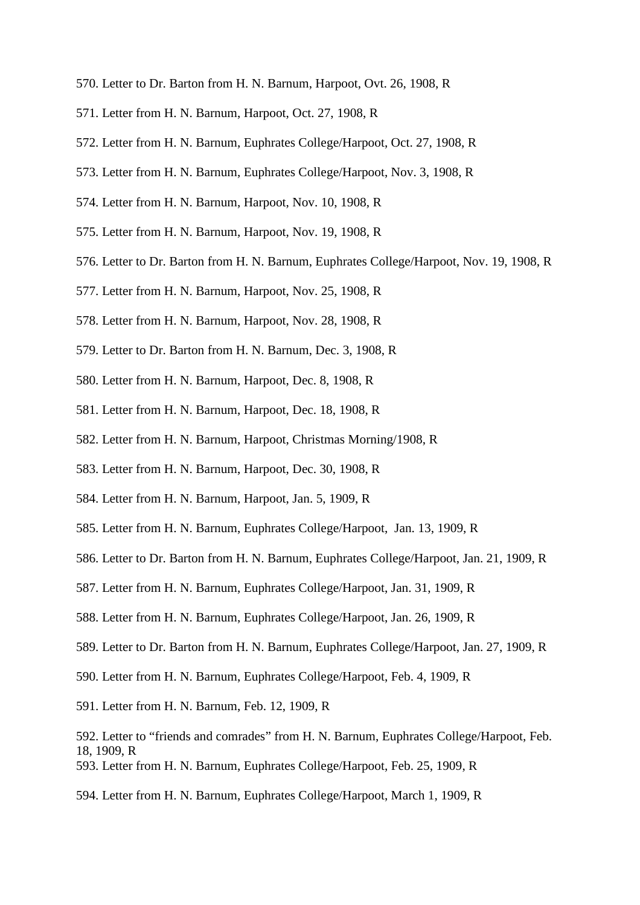- 570. Letter to Dr. Barton from H. N. Barnum, Harpoot, Ovt. 26, 1908, R
- 571. Letter from H. N. Barnum, Harpoot, Oct. 27, 1908, R
- 572. Letter from H. N. Barnum, Euphrates College/Harpoot, Oct. 27, 1908, R
- 573. Letter from H. N. Barnum, Euphrates College/Harpoot, Nov. 3, 1908, R
- 574. Letter from H. N. Barnum, Harpoot, Nov. 10, 1908, R
- 575. Letter from H. N. Barnum, Harpoot, Nov. 19, 1908, R
- 576. Letter to Dr. Barton from H. N. Barnum, Euphrates College/Harpoot, Nov. 19, 1908, R
- 577. Letter from H. N. Barnum, Harpoot, Nov. 25, 1908, R
- 578. Letter from H. N. Barnum, Harpoot, Nov. 28, 1908, R
- 579. Letter to Dr. Barton from H. N. Barnum, Dec. 3, 1908, R
- 580. Letter from H. N. Barnum, Harpoot, Dec. 8, 1908, R
- 581. Letter from H. N. Barnum, Harpoot, Dec. 18, 1908, R
- 582. Letter from H. N. Barnum, Harpoot, Christmas Morning/1908, R
- 583. Letter from H. N. Barnum, Harpoot, Dec. 30, 1908, R
- 584. Letter from H. N. Barnum, Harpoot, Jan. 5, 1909, R
- 585. Letter from H. N. Barnum, Euphrates College/Harpoot, Jan. 13, 1909, R
- 586. Letter to Dr. Barton from H. N. Barnum, Euphrates College/Harpoot, Jan. 21, 1909, R
- 587. Letter from H. N. Barnum, Euphrates College/Harpoot, Jan. 31, 1909, R
- 588. Letter from H. N. Barnum, Euphrates College/Harpoot, Jan. 26, 1909, R
- 589. Letter to Dr. Barton from H. N. Barnum, Euphrates College/Harpoot, Jan. 27, 1909, R
- 590. Letter from H. N. Barnum, Euphrates College/Harpoot, Feb. 4, 1909, R
- 591. Letter from H. N. Barnum, Feb. 12, 1909, R
- 592. Letter to "friends and comrades" from H. N. Barnum, Euphrates College/Harpoot, Feb. 18, 1909, R
- 593. Letter from H. N. Barnum, Euphrates College/Harpoot, Feb. 25, 1909, R
- 594. Letter from H. N. Barnum, Euphrates College/Harpoot, March 1, 1909, R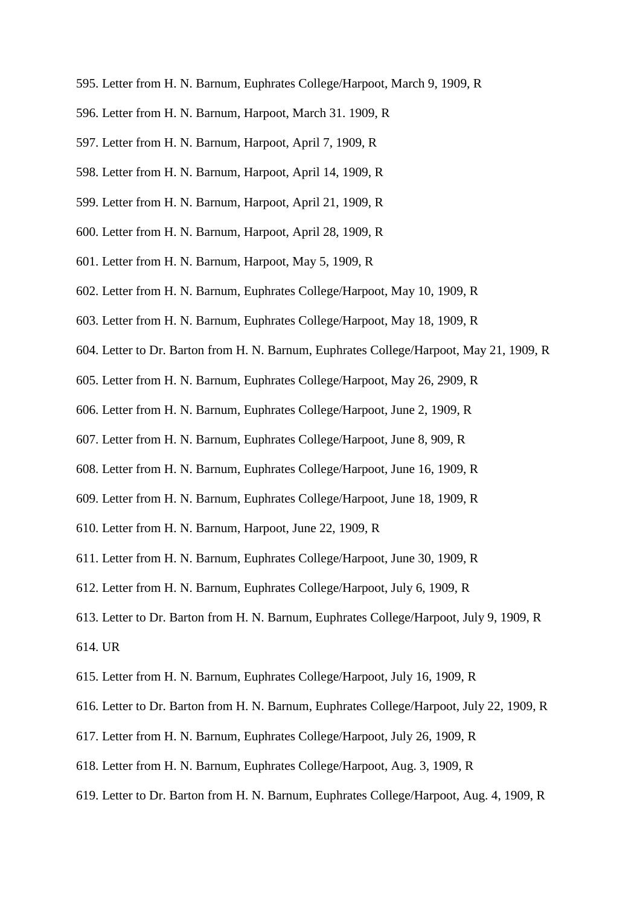- 595. Letter from H. N. Barnum, Euphrates College/Harpoot, March 9, 1909, R
- 596. Letter from H. N. Barnum, Harpoot, March 31. 1909, R
- 597. Letter from H. N. Barnum, Harpoot, April 7, 1909, R
- 598. Letter from H. N. Barnum, Harpoot, April 14, 1909, R
- 599. Letter from H. N. Barnum, Harpoot, April 21, 1909, R
- 600. Letter from H. N. Barnum, Harpoot, April 28, 1909, R
- 601. Letter from H. N. Barnum, Harpoot, May 5, 1909, R
- 602. Letter from H. N. Barnum, Euphrates College/Harpoot, May 10, 1909, R
- 603. Letter from H. N. Barnum, Euphrates College/Harpoot, May 18, 1909, R
- 604. Letter to Dr. Barton from H. N. Barnum, Euphrates College/Harpoot, May 21, 1909, R
- 605. Letter from H. N. Barnum, Euphrates College/Harpoot, May 26, 2909, R
- 606. Letter from H. N. Barnum, Euphrates College/Harpoot, June 2, 1909, R
- 607. Letter from H. N. Barnum, Euphrates College/Harpoot, June 8, 909, R
- 608. Letter from H. N. Barnum, Euphrates College/Harpoot, June 16, 1909, R
- 609. Letter from H. N. Barnum, Euphrates College/Harpoot, June 18, 1909, R
- 610. Letter from H. N. Barnum, Harpoot, June 22, 1909, R
- 611. Letter from H. N. Barnum, Euphrates College/Harpoot, June 30, 1909, R
- 612. Letter from H. N. Barnum, Euphrates College/Harpoot, July 6, 1909, R
- 613. Letter to Dr. Barton from H. N. Barnum, Euphrates College/Harpoot, July 9, 1909, R 614. UR
- 615. Letter from H. N. Barnum, Euphrates College/Harpoot, July 16, 1909, R
- 616. Letter to Dr. Barton from H. N. Barnum, Euphrates College/Harpoot, July 22, 1909, R
- 617. Letter from H. N. Barnum, Euphrates College/Harpoot, July 26, 1909, R
- 618. Letter from H. N. Barnum, Euphrates College/Harpoot, Aug. 3, 1909, R
- 619. Letter to Dr. Barton from H. N. Barnum, Euphrates College/Harpoot, Aug. 4, 1909, R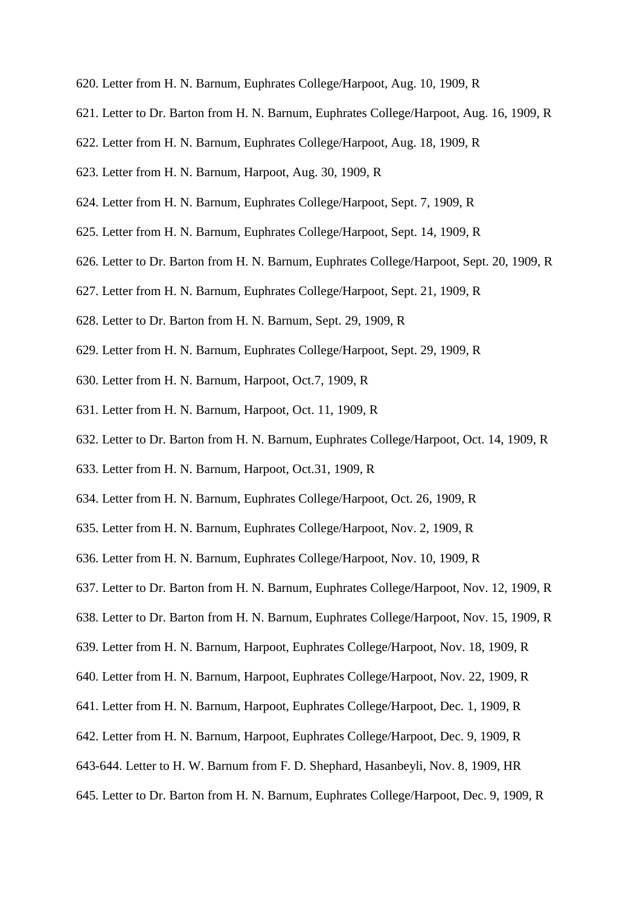- 620. Letter from H. N. Barnum, Euphrates College/Harpoot, Aug. 10, 1909, R
- 621. Letter to Dr. Barton from H. N. Barnum, Euphrates College/Harpoot, Aug. 16, 1909, R
- 622. Letter from H. N. Barnum, Euphrates College/Harpoot, Aug. 18, 1909, R
- 623. Letter from H. N. Barnum, Harpoot, Aug. 30, 1909, R
- 624. Letter from H. N. Barnum, Euphrates College/Harpoot, Sept. 7, 1909, R
- 625. Letter from H. N. Barnum, Euphrates College/Harpoot, Sept. 14, 1909, R
- 626. Letter to Dr. Barton from H. N. Barnum, Euphrates College/Harpoot, Sept. 20, 1909, R
- 627. Letter from H. N. Barnum, Euphrates College/Harpoot, Sept. 21, 1909, R
- 628. Letter to Dr. Barton from H. N. Barnum, Sept. 29, 1909, R
- 629. Letter from H. N. Barnum, Euphrates College/Harpoot, Sept. 29, 1909, R
- 630. Letter from H. N. Barnum, Harpoot, Oct.7, 1909, R
- 631. Letter from H. N. Barnum, Harpoot, Oct. 11, 1909, R
- 632. Letter to Dr. Barton from H. N. Barnum, Euphrates College/Harpoot, Oct. 14, 1909, R
- 633. Letter from H. N. Barnum, Harpoot, Oct.31, 1909, R
- 634. Letter from H. N. Barnum, Euphrates College/Harpoot, Oct. 26, 1909, R
- 635. Letter from H. N. Barnum, Euphrates College/Harpoot, Nov. 2, 1909, R
- 636. Letter from H. N. Barnum, Euphrates College/Harpoot, Nov. 10, 1909, R
- 637. Letter to Dr. Barton from H. N. Barnum, Euphrates College/Harpoot, Nov. 12, 1909, R
- 638. Letter to Dr. Barton from H. N. Barnum, Euphrates College/Harpoot, Nov. 15, 1909, R
- 639. Letter from H. N. Barnum, Harpoot, Euphrates College/Harpoot, Nov. 18, 1909, R
- 640. Letter from H. N. Barnum, Harpoot, Euphrates College/Harpoot, Nov. 22, 1909, R
- 641. Letter from H. N. Barnum, Harpoot, Euphrates College/Harpoot, Dec. 1, 1909, R
- 642. Letter from H. N. Barnum, Harpoot, Euphrates College/Harpoot, Dec. 9, 1909, R
- 643-644. Letter to H. W. Barnum from F. D. Shephard, Hasanbeyli, Nov. 8, 1909, HR
- 645. Letter to Dr. Barton from H. N. Barnum, Euphrates College/Harpoot, Dec. 9, 1909, R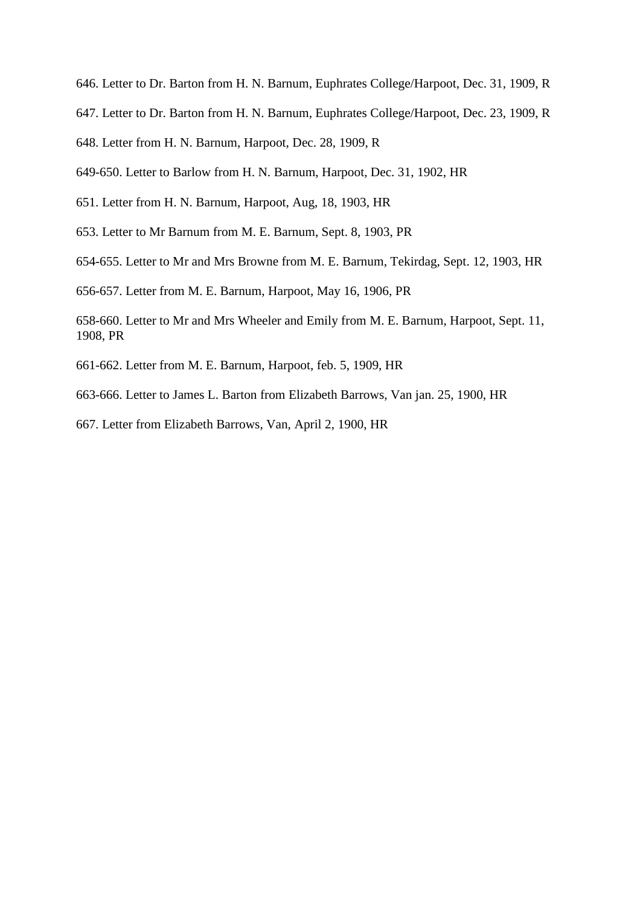646. Letter to Dr. Barton from H. N. Barnum, Euphrates College/Harpoot, Dec. 31, 1909, R

- 647. Letter to Dr. Barton from H. N. Barnum, Euphrates College/Harpoot, Dec. 23, 1909, R
- 648. Letter from H. N. Barnum, Harpoot, Dec. 28, 1909, R

649-650. Letter to Barlow from H. N. Barnum, Harpoot, Dec. 31, 1902, HR

- 651. Letter from H. N. Barnum, Harpoot, Aug, 18, 1903, HR
- 653. Letter to Mr Barnum from M. E. Barnum, Sept. 8, 1903, PR
- 654-655. Letter to Mr and Mrs Browne from M. E. Barnum, Tekirdag, Sept. 12, 1903, HR

656-657. Letter from M. E. Barnum, Harpoot, May 16, 1906, PR

658-660. Letter to Mr and Mrs Wheeler and Emily from M. E. Barnum, Harpoot, Sept. 11, 1908, PR

- 661-662. Letter from M. E. Barnum, Harpoot, feb. 5, 1909, HR
- 663-666. Letter to James L. Barton from Elizabeth Barrows, Van jan. 25, 1900, HR
- 667. Letter from Elizabeth Barrows, Van, April 2, 1900, HR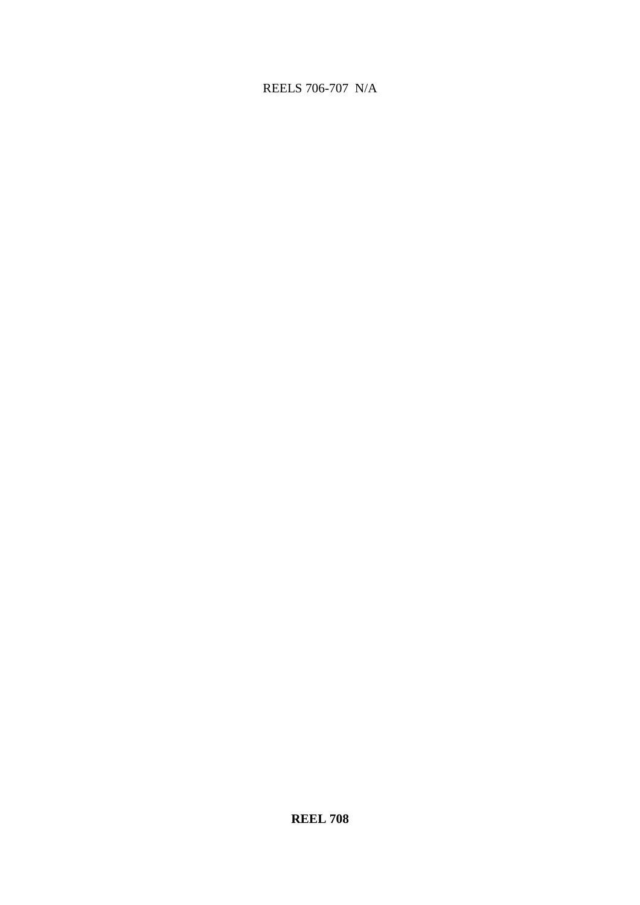# REELS 706-707 N/A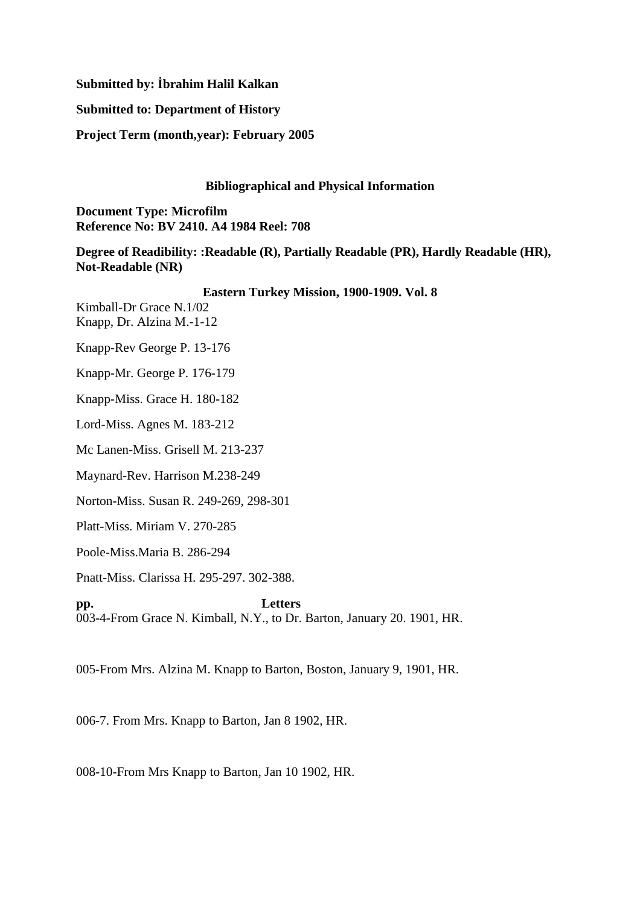## **Submitted by: İbrahim Halil Kalkan**

#### **Submitted to: Department of History**

**Project Term (month,year): February 2005**

#### **Bibliographical and Physical Information**

**Document Type: Microfilm Reference No: BV 2410. A4 1984 Reel: 708**

# **Degree of Readibility: :Readable (R), Partially Readable (PR), Hardly Readable (HR), Not-Readable (NR)**

## **Eastern Turkey Mission, 1900-1909. Vol. 8**

Kimball-Dr Grace N.1/02 Knapp, Dr. Alzina M.-1-12

Knapp-Rev George P. 13-176

Knapp-Mr. George P. 176-179

Knapp-Miss. Grace H. 180-182

Lord-Miss. Agnes M. 183-212

Mc Lanen-Miss. Grisell M. 213-237

Maynard-Rev. Harrison M.238-249

Norton-Miss. Susan R. 249-269, 298-301

Platt-Miss. Miriam V. 270-285

Poole-Miss.Maria B. 286-294

Pnatt-Miss. Clarissa H. 295-297. 302-388.

**pp. Letters**  003-4-From Grace N. Kimball, N.Y., to Dr. Barton, January 20. 1901, HR.

005-From Mrs. Alzina M. Knapp to Barton, Boston, January 9, 1901, HR.

006-7. From Mrs. Knapp to Barton, Jan 8 1902, HR.

008-10-From Mrs Knapp to Barton, Jan 10 1902, HR.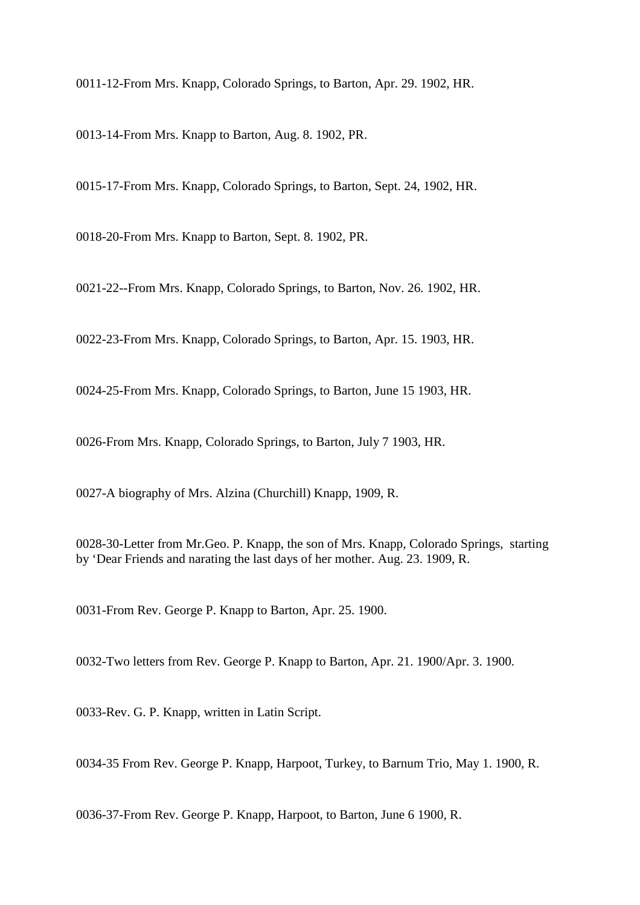0011-12-From Mrs. Knapp, Colorado Springs, to Barton, Apr. 29. 1902, HR.

0013-14-From Mrs. Knapp to Barton, Aug. 8. 1902, PR.

0015-17-From Mrs. Knapp, Colorado Springs, to Barton, Sept. 24, 1902, HR.

0018-20-From Mrs. Knapp to Barton, Sept. 8. 1902, PR.

0021-22--From Mrs. Knapp, Colorado Springs, to Barton, Nov. 26. 1902, HR.

0022-23-From Mrs. Knapp, Colorado Springs, to Barton, Apr. 15. 1903, HR.

0024-25-From Mrs. Knapp, Colorado Springs, to Barton, June 15 1903, HR.

0026-From Mrs. Knapp, Colorado Springs, to Barton, July 7 1903, HR.

0027-A biography of Mrs. Alzina (Churchill) Knapp, 1909, R.

0028-30-Letter from Mr.Geo. P. Knapp, the son of Mrs. Knapp, Colorado Springs, starting by 'Dear Friends and narating the last days of her mother. Aug. 23. 1909, R.

0031-From Rev. George P. Knapp to Barton, Apr. 25. 1900.

0032-Two letters from Rev. George P. Knapp to Barton, Apr. 21. 1900/Apr. 3. 1900.

0033-Rev. G. P. Knapp, written in Latin Script.

0034-35 From Rev. George P. Knapp, Harpoot, Turkey, to Barnum Trio, May 1. 1900, R.

0036-37-From Rev. George P. Knapp, Harpoot, to Barton, June 6 1900, R.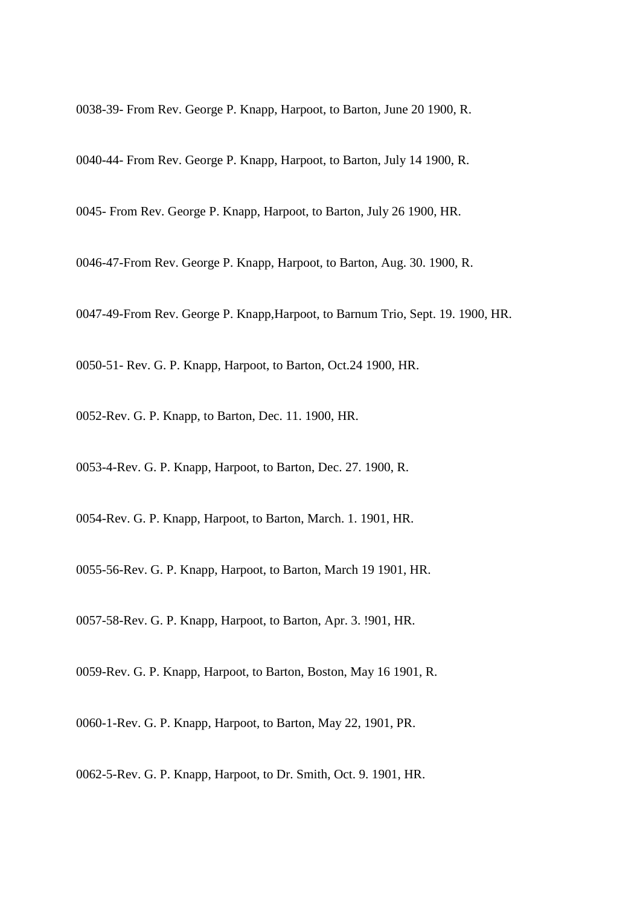0038-39- From Rev. George P. Knapp, Harpoot, to Barton, June 20 1900, R.

0040-44- From Rev. George P. Knapp, Harpoot, to Barton, July 14 1900, R.

0045- From Rev. George P. Knapp, Harpoot, to Barton, July 26 1900, HR.

0046-47-From Rev. George P. Knapp, Harpoot, to Barton, Aug. 30. 1900, R.

0047-49-From Rev. George P. Knapp,Harpoot, to Barnum Trio, Sept. 19. 1900, HR.

0050-51- Rev. G. P. Knapp, Harpoot, to Barton, Oct.24 1900, HR.

0052-Rev. G. P. Knapp, to Barton, Dec. 11. 1900, HR.

0053-4-Rev. G. P. Knapp, Harpoot, to Barton, Dec. 27. 1900, R.

0054-Rev. G. P. Knapp, Harpoot, to Barton, March. 1. 1901, HR.

0055-56-Rev. G. P. Knapp, Harpoot, to Barton, March 19 1901, HR.

0057-58-Rev. G. P. Knapp, Harpoot, to Barton, Apr. 3. !901, HR.

0059-Rev. G. P. Knapp, Harpoot, to Barton, Boston, May 16 1901, R.

0060-1-Rev. G. P. Knapp, Harpoot, to Barton, May 22, 1901, PR.

0062-5-Rev. G. P. Knapp, Harpoot, to Dr. Smith, Oct. 9. 1901, HR.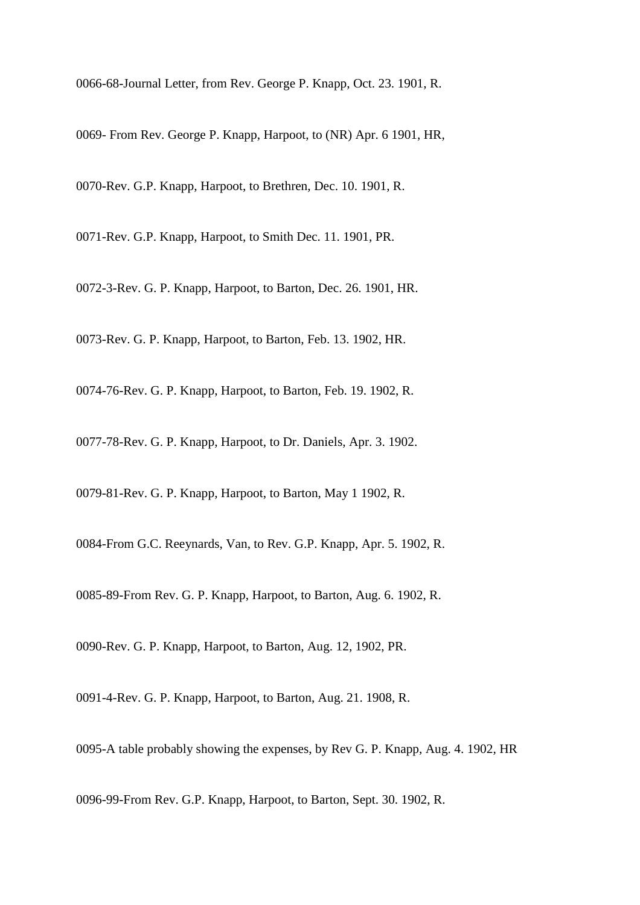0066-68-Journal Letter, from Rev. George P. Knapp, Oct. 23. 1901, R.

0069- From Rev. George P. Knapp, Harpoot, to (NR) Apr. 6 1901, HR,

0070-Rev. G.P. Knapp, Harpoot, to Brethren, Dec. 10. 1901, R.

0071-Rev. G.P. Knapp, Harpoot, to Smith Dec. 11. 1901, PR.

0072-3-Rev. G. P. Knapp, Harpoot, to Barton, Dec. 26. 1901, HR.

0073-Rev. G. P. Knapp, Harpoot, to Barton, Feb. 13. 1902, HR.

0074-76-Rev. G. P. Knapp, Harpoot, to Barton, Feb. 19. 1902, R.

0077-78-Rev. G. P. Knapp, Harpoot, to Dr. Daniels, Apr. 3. 1902.

0079-81-Rev. G. P. Knapp, Harpoot, to Barton, May 1 1902, R.

0084-From G.C. Reeynards, Van, to Rev. G.P. Knapp, Apr. 5. 1902, R.

0085-89-From Rev. G. P. Knapp, Harpoot, to Barton, Aug. 6. 1902, R.

0090-Rev. G. P. Knapp, Harpoot, to Barton, Aug. 12, 1902, PR.

0091-4-Rev. G. P. Knapp, Harpoot, to Barton, Aug. 21. 1908, R.

0095-A table probably showing the expenses, by Rev G. P. Knapp, Aug. 4. 1902, HR

0096-99-From Rev. G.P. Knapp, Harpoot, to Barton, Sept. 30. 1902, R.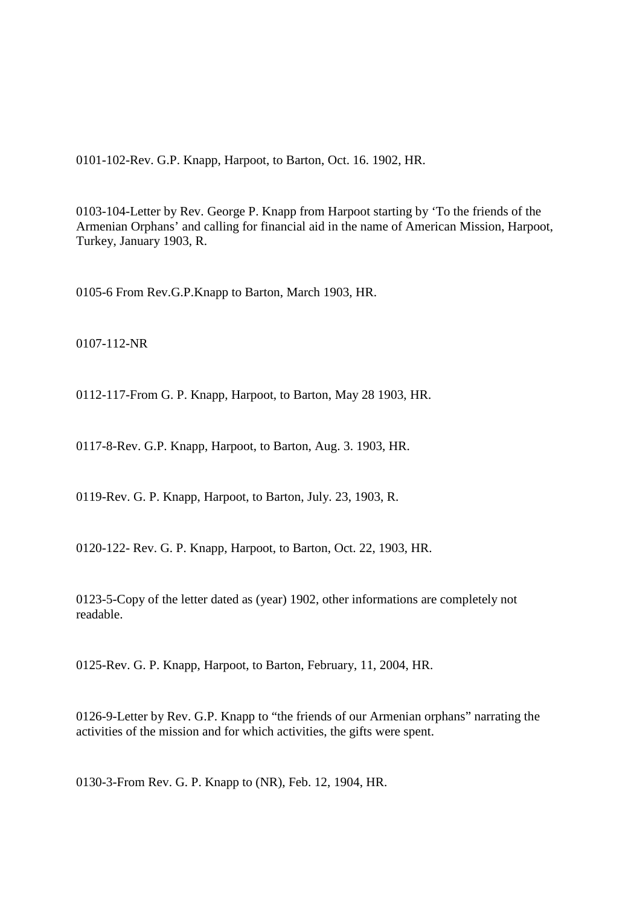0101-102-Rev. G.P. Knapp, Harpoot, to Barton, Oct. 16. 1902, HR.

0103-104-Letter by Rev. George P. Knapp from Harpoot starting by 'To the friends of the Armenian Orphans' and calling for financial aid in the name of American Mission, Harpoot, Turkey, January 1903, R.

0105-6 From Rev.G.P.Knapp to Barton, March 1903, HR.

0107-112-NR

0112-117-From G. P. Knapp, Harpoot, to Barton, May 28 1903, HR.

0117-8-Rev. G.P. Knapp, Harpoot, to Barton, Aug. 3. 1903, HR.

0119-Rev. G. P. Knapp, Harpoot, to Barton, July. 23, 1903, R.

0120-122- Rev. G. P. Knapp, Harpoot, to Barton, Oct. 22, 1903, HR.

0123-5-Copy of the letter dated as (year) 1902, other informations are completely not readable.

0125-Rev. G. P. Knapp, Harpoot, to Barton, February, 11, 2004, HR.

0126-9-Letter by Rev. G.P. Knapp to "the friends of our Armenian orphans" narrating the activities of the mission and for which activities, the gifts were spent.

0130-3-From Rev. G. P. Knapp to (NR), Feb. 12, 1904, HR.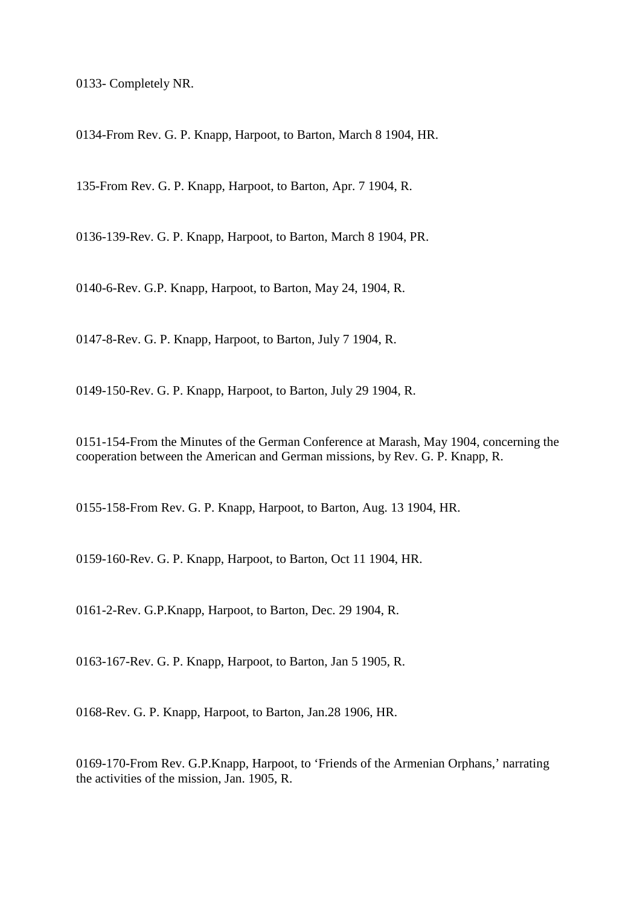0133- Completely NR.

0134-From Rev. G. P. Knapp, Harpoot, to Barton, March 8 1904, HR.

135-From Rev. G. P. Knapp, Harpoot, to Barton, Apr. 7 1904, R.

0136-139-Rev. G. P. Knapp, Harpoot, to Barton, March 8 1904, PR.

0140-6-Rev. G.P. Knapp, Harpoot, to Barton, May 24, 1904, R.

0147-8-Rev. G. P. Knapp, Harpoot, to Barton, July 7 1904, R.

0149-150-Rev. G. P. Knapp, Harpoot, to Barton, July 29 1904, R.

0151-154-From the Minutes of the German Conference at Marash, May 1904, concerning the cooperation between the American and German missions, by Rev. G. P. Knapp, R.

0155-158-From Rev. G. P. Knapp, Harpoot, to Barton, Aug. 13 1904, HR.

0159-160-Rev. G. P. Knapp, Harpoot, to Barton, Oct 11 1904, HR.

0161-2-Rev. G.P.Knapp, Harpoot, to Barton, Dec. 29 1904, R.

0163-167-Rev. G. P. Knapp, Harpoot, to Barton, Jan 5 1905, R.

0168-Rev. G. P. Knapp, Harpoot, to Barton, Jan.28 1906, HR.

0169-170-From Rev. G.P.Knapp, Harpoot, to 'Friends of the Armenian Orphans,' narrating the activities of the mission, Jan. 1905, R.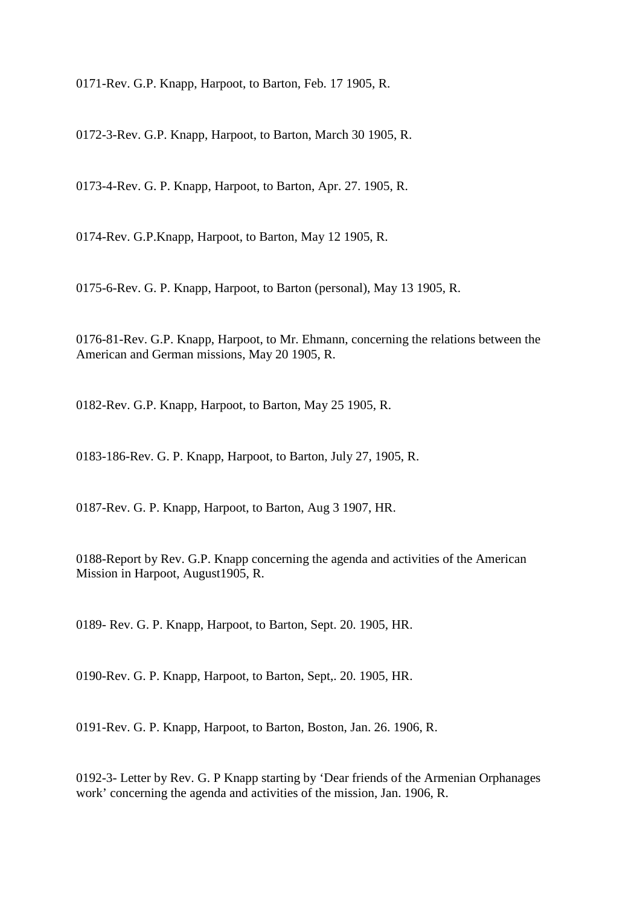0171-Rev. G.P. Knapp, Harpoot, to Barton, Feb. 17 1905, R.

0172-3-Rev. G.P. Knapp, Harpoot, to Barton, March 30 1905, R.

0173-4-Rev. G. P. Knapp, Harpoot, to Barton, Apr. 27. 1905, R.

0174-Rev. G.P.Knapp, Harpoot, to Barton, May 12 1905, R.

0175-6-Rev. G. P. Knapp, Harpoot, to Barton (personal), May 13 1905, R.

0176-81-Rev. G.P. Knapp, Harpoot, to Mr. Ehmann, concerning the relations between the American and German missions, May 20 1905, R.

0182-Rev. G.P. Knapp, Harpoot, to Barton, May 25 1905, R.

0183-186-Rev. G. P. Knapp, Harpoot, to Barton, July 27, 1905, R.

0187-Rev. G. P. Knapp, Harpoot, to Barton, Aug 3 1907, HR.

0188-Report by Rev. G.P. Knapp concerning the agenda and activities of the American Mission in Harpoot, August1905, R.

0189- Rev. G. P. Knapp, Harpoot, to Barton, Sept. 20. 1905, HR.

0190-Rev. G. P. Knapp, Harpoot, to Barton, Sept,. 20. 1905, HR.

0191-Rev. G. P. Knapp, Harpoot, to Barton, Boston, Jan. 26. 1906, R.

0192-3- Letter by Rev. G. P Knapp starting by 'Dear friends of the Armenian Orphanages work' concerning the agenda and activities of the mission, Jan. 1906, R.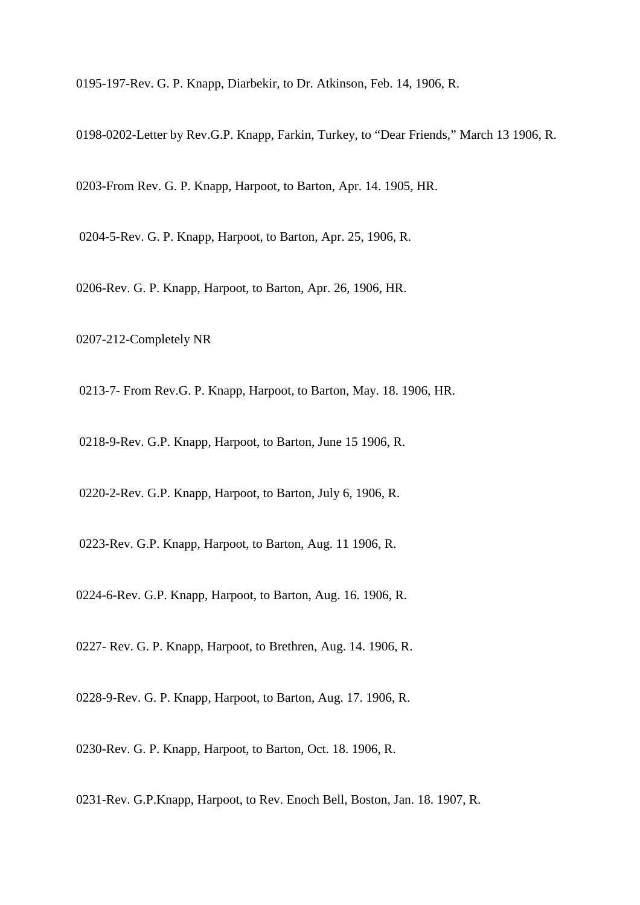0195-197-Rev. G. P. Knapp, Diarbekir, to Dr. Atkinson, Feb. 14, 1906, R.

0198-0202-Letter by Rev.G.P. Knapp, Farkin, Turkey, to "Dear Friends," March 13 1906, R.

0203-From Rev. G. P. Knapp, Harpoot, to Barton, Apr. 14. 1905, HR.

0204-5-Rev. G. P. Knapp, Harpoot, to Barton, Apr. 25, 1906, R.

0206-Rev. G. P. Knapp, Harpoot, to Barton, Apr. 26, 1906, HR.

0207-212-Completely NR

0213-7- From Rev.G. P. Knapp, Harpoot, to Barton, May. 18. 1906, HR.

0218-9-Rev. G.P. Knapp, Harpoot, to Barton, June 15 1906, R.

0220-2-Rev. G.P. Knapp, Harpoot, to Barton, July 6, 1906, R.

0223-Rev. G.P. Knapp, Harpoot, to Barton, Aug. 11 1906, R.

0224-6-Rev. G.P. Knapp, Harpoot, to Barton, Aug. 16. 1906, R.

0227- Rev. G. P. Knapp, Harpoot, to Brethren, Aug. 14. 1906, R.

0228-9-Rev. G. P. Knapp, Harpoot, to Barton, Aug. 17. 1906, R.

0230-Rev. G. P. Knapp, Harpoot, to Barton, Oct. 18. 1906, R.

0231-Rev. G.P.Knapp, Harpoot, to Rev. Enoch Bell, Boston, Jan. 18. 1907, R.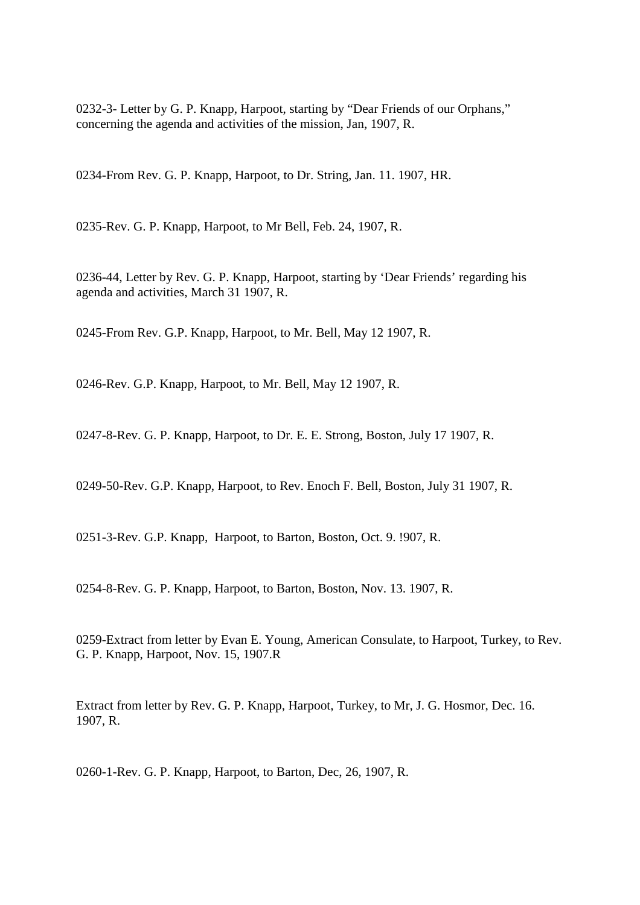0232-3- Letter by G. P. Knapp, Harpoot, starting by "Dear Friends of our Orphans," concerning the agenda and activities of the mission, Jan, 1907, R.

0234-From Rev. G. P. Knapp, Harpoot, to Dr. String, Jan. 11. 1907, HR.

0235-Rev. G. P. Knapp, Harpoot, to Mr Bell, Feb. 24, 1907, R.

0236-44, Letter by Rev. G. P. Knapp, Harpoot, starting by 'Dear Friends' regarding his agenda and activities, March 31 1907, R.

0245-From Rev. G.P. Knapp, Harpoot, to Mr. Bell, May 12 1907, R.

0246-Rev. G.P. Knapp, Harpoot, to Mr. Bell, May 12 1907, R.

0247-8-Rev. G. P. Knapp, Harpoot, to Dr. E. E. Strong, Boston, July 17 1907, R.

0249-50-Rev. G.P. Knapp, Harpoot, to Rev. Enoch F. Bell, Boston, July 31 1907, R.

0251-3-Rev. G.P. Knapp, Harpoot, to Barton, Boston, Oct. 9. !907, R.

0254-8-Rev. G. P. Knapp, Harpoot, to Barton, Boston, Nov. 13. 1907, R.

0259-Extract from letter by Evan E. Young, American Consulate, to Harpoot, Turkey, to Rev. G. P. Knapp, Harpoot, Nov. 15, 1907.R

Extract from letter by Rev. G. P. Knapp, Harpoot, Turkey, to Mr, J. G. Hosmor, Dec. 16. 1907, R.

0260-1-Rev. G. P. Knapp, Harpoot, to Barton, Dec, 26, 1907, R.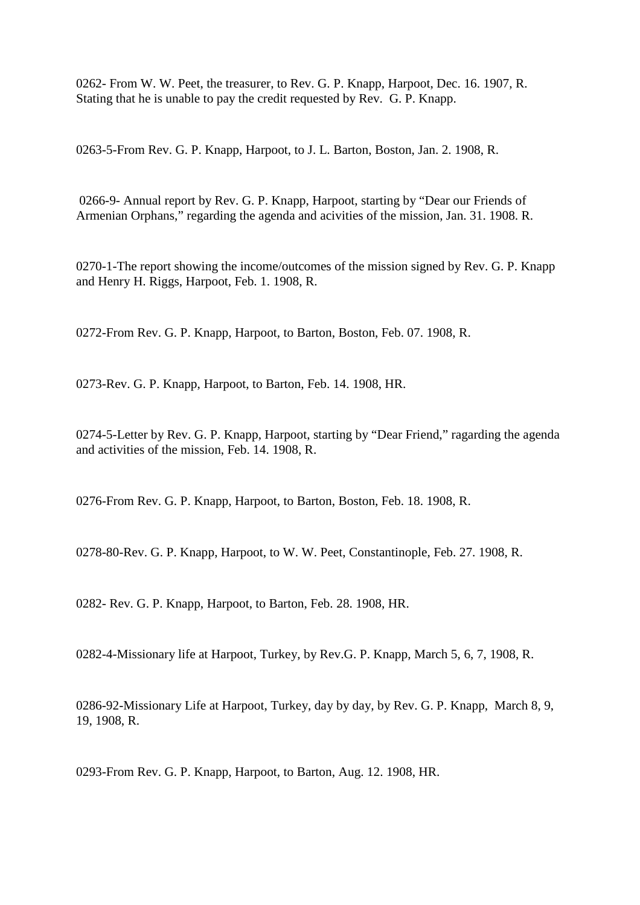0262- From W. W. Peet, the treasurer, to Rev. G. P. Knapp, Harpoot, Dec. 16. 1907, R. Stating that he is unable to pay the credit requested by Rev. G. P. Knapp.

0263-5-From Rev. G. P. Knapp, Harpoot, to J. L. Barton, Boston, Jan. 2. 1908, R.

 0266-9- Annual report by Rev. G. P. Knapp, Harpoot, starting by "Dear our Friends of Armenian Orphans," regarding the agenda and acivities of the mission, Jan. 31. 1908. R.

0270-1-The report showing the income/outcomes of the mission signed by Rev. G. P. Knapp and Henry H. Riggs, Harpoot, Feb. 1. 1908, R.

0272-From Rev. G. P. Knapp, Harpoot, to Barton, Boston, Feb. 07. 1908, R.

0273-Rev. G. P. Knapp, Harpoot, to Barton, Feb. 14. 1908, HR.

0274-5-Letter by Rev. G. P. Knapp, Harpoot, starting by "Dear Friend," ragarding the agenda and activities of the mission, Feb. 14. 1908, R.

0276-From Rev. G. P. Knapp, Harpoot, to Barton, Boston, Feb. 18. 1908, R.

0278-80-Rev. G. P. Knapp, Harpoot, to W. W. Peet, Constantinople, Feb. 27. 1908, R.

0282- Rev. G. P. Knapp, Harpoot, to Barton, Feb. 28. 1908, HR.

0282-4-Missionary life at Harpoot, Turkey, by Rev.G. P. Knapp, March 5, 6, 7, 1908, R.

0286-92-Missionary Life at Harpoot, Turkey, day by day, by Rev. G. P. Knapp, March 8, 9, 19, 1908, R.

0293-From Rev. G. P. Knapp, Harpoot, to Barton, Aug. 12. 1908, HR.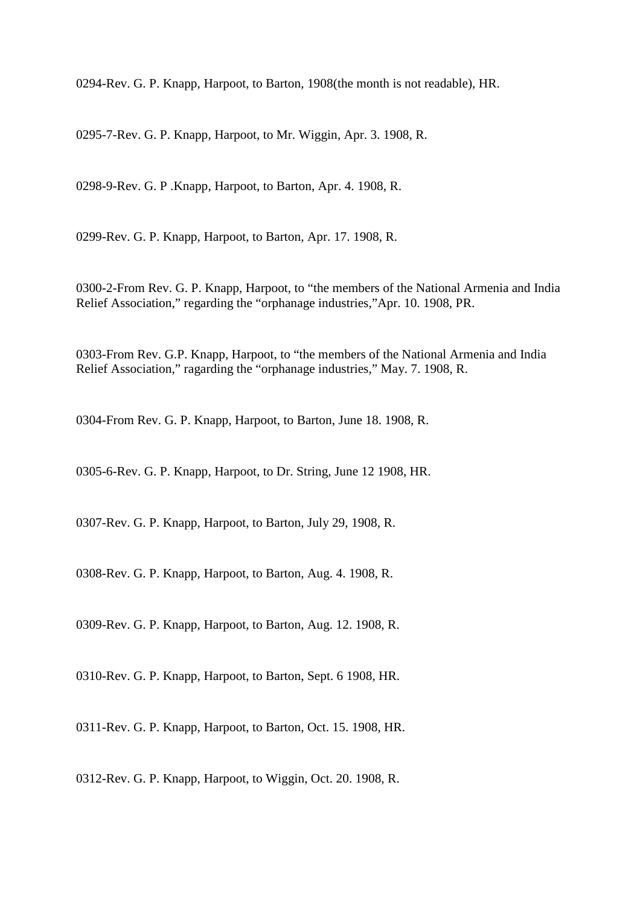0294-Rev. G. P. Knapp, Harpoot, to Barton, 1908(the month is not readable), HR.

0295-7-Rev. G. P. Knapp, Harpoot, to Mr. Wiggin, Apr. 3. 1908, R.

0298-9-Rev. G. P .Knapp, Harpoot, to Barton, Apr. 4. 1908, R.

0299-Rev. G. P. Knapp, Harpoot, to Barton, Apr. 17. 1908, R.

0300-2-From Rev. G. P. Knapp, Harpoot, to "the members of the National Armenia and India Relief Association," regarding the "orphanage industries,"Apr. 10. 1908, PR.

0303-From Rev. G.P. Knapp, Harpoot, to "the members of the National Armenia and India Relief Association," ragarding the "orphanage industries," May. 7. 1908, R.

0304-From Rev. G. P. Knapp, Harpoot, to Barton, June 18. 1908, R.

0305-6-Rev. G. P. Knapp, Harpoot, to Dr. String, June 12 1908, HR.

0307-Rev. G. P. Knapp, Harpoot, to Barton, July 29, 1908, R.

0308-Rev. G. P. Knapp, Harpoot, to Barton, Aug. 4. 1908, R.

0309-Rev. G. P. Knapp, Harpoot, to Barton, Aug. 12. 1908, R.

0310-Rev. G. P. Knapp, Harpoot, to Barton, Sept. 6 1908, HR.

0311-Rev. G. P. Knapp, Harpoot, to Barton, Oct. 15. 1908, HR.

0312-Rev. G. P. Knapp, Harpoot, to Wiggin, Oct. 20. 1908, R.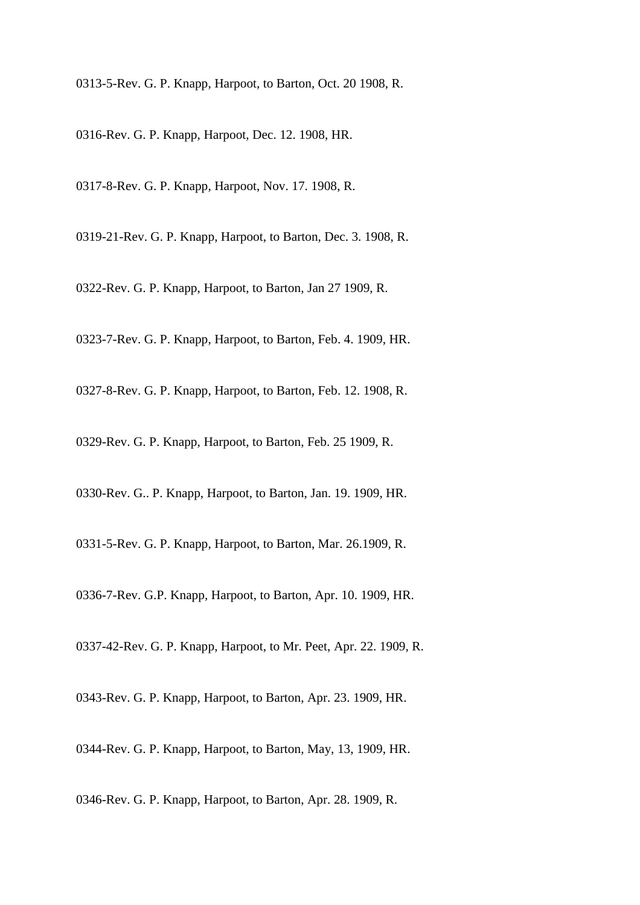0313-5-Rev. G. P. Knapp, Harpoot, to Barton, Oct. 20 1908, R.

0316-Rev. G. P. Knapp, Harpoot, Dec. 12. 1908, HR.

0317-8-Rev. G. P. Knapp, Harpoot, Nov. 17. 1908, R.

0319-21-Rev. G. P. Knapp, Harpoot, to Barton, Dec. 3. 1908, R.

0322-Rev. G. P. Knapp, Harpoot, to Barton, Jan 27 1909, R.

0323-7-Rev. G. P. Knapp, Harpoot, to Barton, Feb. 4. 1909, HR.

0327-8-Rev. G. P. Knapp, Harpoot, to Barton, Feb. 12. 1908, R.

0329-Rev. G. P. Knapp, Harpoot, to Barton, Feb. 25 1909, R.

0330-Rev. G.. P. Knapp, Harpoot, to Barton, Jan. 19. 1909, HR.

0331-5-Rev. G. P. Knapp, Harpoot, to Barton, Mar. 26.1909, R.

0336-7-Rev. G.P. Knapp, Harpoot, to Barton, Apr. 10. 1909, HR.

0337-42-Rev. G. P. Knapp, Harpoot, to Mr. Peet, Apr. 22. 1909, R.

0343-Rev. G. P. Knapp, Harpoot, to Barton, Apr. 23. 1909, HR.

0344-Rev. G. P. Knapp, Harpoot, to Barton, May, 13, 1909, HR.

0346-Rev. G. P. Knapp, Harpoot, to Barton, Apr. 28. 1909, R.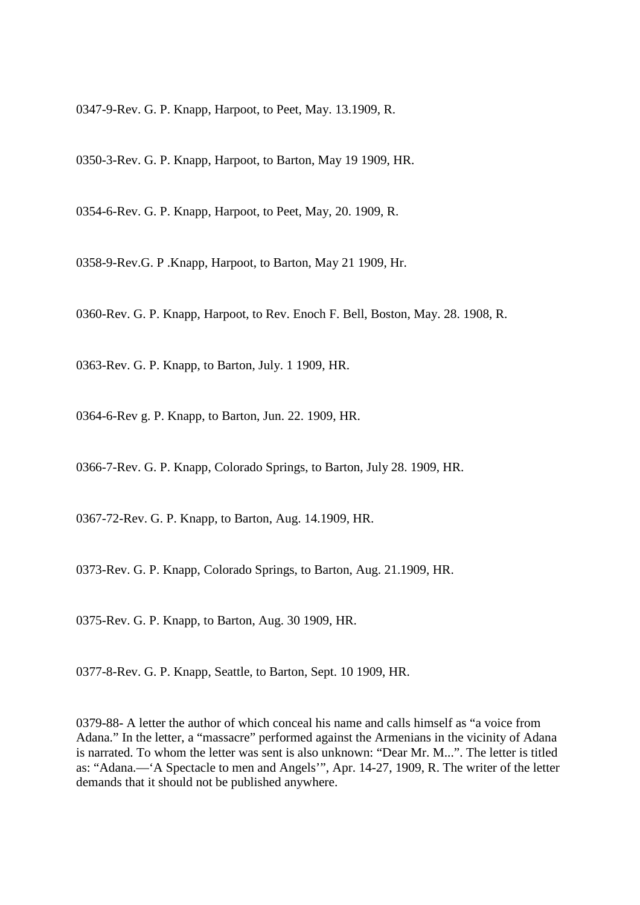0347-9-Rev. G. P. Knapp, Harpoot, to Peet, May. 13.1909, R.

0350-3-Rev. G. P. Knapp, Harpoot, to Barton, May 19 1909, HR.

0354-6-Rev. G. P. Knapp, Harpoot, to Peet, May, 20. 1909, R.

0358-9-Rev.G. P .Knapp, Harpoot, to Barton, May 21 1909, Hr.

0360-Rev. G. P. Knapp, Harpoot, to Rev. Enoch F. Bell, Boston, May. 28. 1908, R.

0363-Rev. G. P. Knapp, to Barton, July. 1 1909, HR.

0364-6-Rev g. P. Knapp, to Barton, Jun. 22. 1909, HR.

0366-7-Rev. G. P. Knapp, Colorado Springs, to Barton, July 28. 1909, HR.

0367-72-Rev. G. P. Knapp, to Barton, Aug. 14.1909, HR.

0373-Rev. G. P. Knapp, Colorado Springs, to Barton, Aug. 21.1909, HR.

0375-Rev. G. P. Knapp, to Barton, Aug. 30 1909, HR.

0377-8-Rev. G. P. Knapp, Seattle, to Barton, Sept. 10 1909, HR.

0379-88- A letter the author of which conceal his name and calls himself as "a voice from Adana." In the letter, a "massacre" performed against the Armenians in the vicinity of Adana is narrated. To whom the letter was sent is also unknown: "Dear Mr. M...". The letter is titled as: "Adana.—'A Spectacle to men and Angels'", Apr. 14-27, 1909, R. The writer of the letter demands that it should not be published anywhere.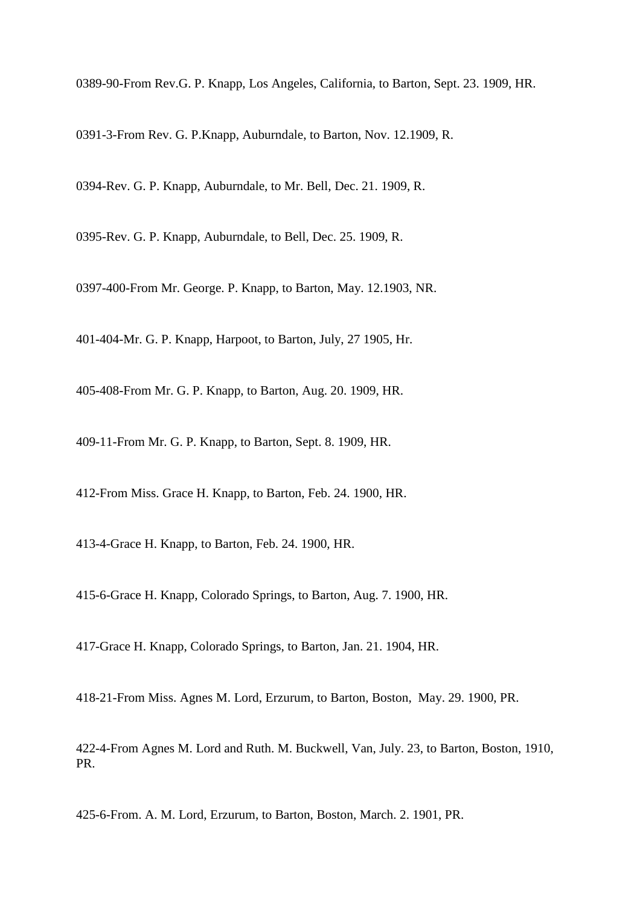0389-90-From Rev.G. P. Knapp, Los Angeles, California, to Barton, Sept. 23. 1909, HR.

0391-3-From Rev. G. P.Knapp, Auburndale, to Barton, Nov. 12.1909, R.

0394-Rev. G. P. Knapp, Auburndale, to Mr. Bell, Dec. 21. 1909, R.

0395-Rev. G. P. Knapp, Auburndale, to Bell, Dec. 25. 1909, R.

0397-400-From Mr. George. P. Knapp, to Barton, May. 12.1903, NR.

401-404-Mr. G. P. Knapp, Harpoot, to Barton, July, 27 1905, Hr.

405-408-From Mr. G. P. Knapp, to Barton, Aug. 20. 1909, HR.

409-11-From Mr. G. P. Knapp, to Barton, Sept. 8. 1909, HR.

412-From Miss. Grace H. Knapp, to Barton, Feb. 24. 1900, HR.

413-4-Grace H. Knapp, to Barton, Feb. 24. 1900, HR.

415-6-Grace H. Knapp, Colorado Springs, to Barton, Aug. 7. 1900, HR.

417-Grace H. Knapp, Colorado Springs, to Barton, Jan. 21. 1904, HR.

418-21-From Miss. Agnes M. Lord, Erzurum, to Barton, Boston, May. 29. 1900, PR.

422-4-From Agnes M. Lord and Ruth. M. Buckwell, Van, July. 23, to Barton, Boston, 1910, PR.

425-6-From. A. M. Lord, Erzurum, to Barton, Boston, March. 2. 1901, PR.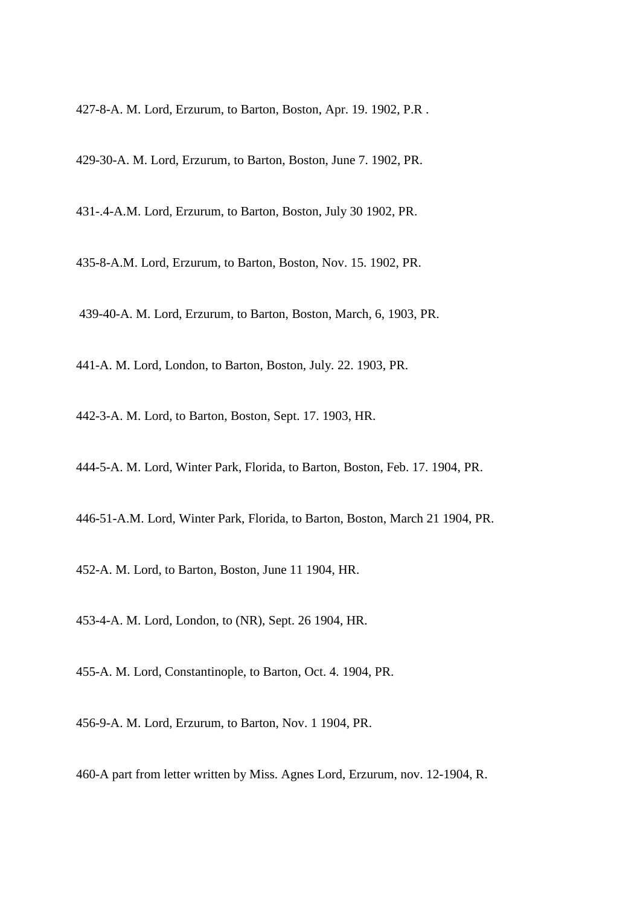427-8-A. M. Lord, Erzurum, to Barton, Boston, Apr. 19. 1902, P.R .

429-30-A. M. Lord, Erzurum, to Barton, Boston, June 7. 1902, PR.

431-.4-A.M. Lord, Erzurum, to Barton, Boston, July 30 1902, PR.

435-8-A.M. Lord, Erzurum, to Barton, Boston, Nov. 15. 1902, PR.

439-40-A. M. Lord, Erzurum, to Barton, Boston, March, 6, 1903, PR.

441-A. M. Lord, London, to Barton, Boston, July. 22. 1903, PR.

442-3-A. M. Lord, to Barton, Boston, Sept. 17. 1903, HR.

444-5-A. M. Lord, Winter Park, Florida, to Barton, Boston, Feb. 17. 1904, PR.

446-51-A.M. Lord, Winter Park, Florida, to Barton, Boston, March 21 1904, PR.

452-A. M. Lord, to Barton, Boston, June 11 1904, HR.

453-4-A. M. Lord, London, to (NR), Sept. 26 1904, HR.

455-A. M. Lord, Constantinople, to Barton, Oct. 4. 1904, PR.

456-9-A. M. Lord, Erzurum, to Barton, Nov. 1 1904, PR.

460-A part from letter written by Miss. Agnes Lord, Erzurum, nov. 12-1904, R.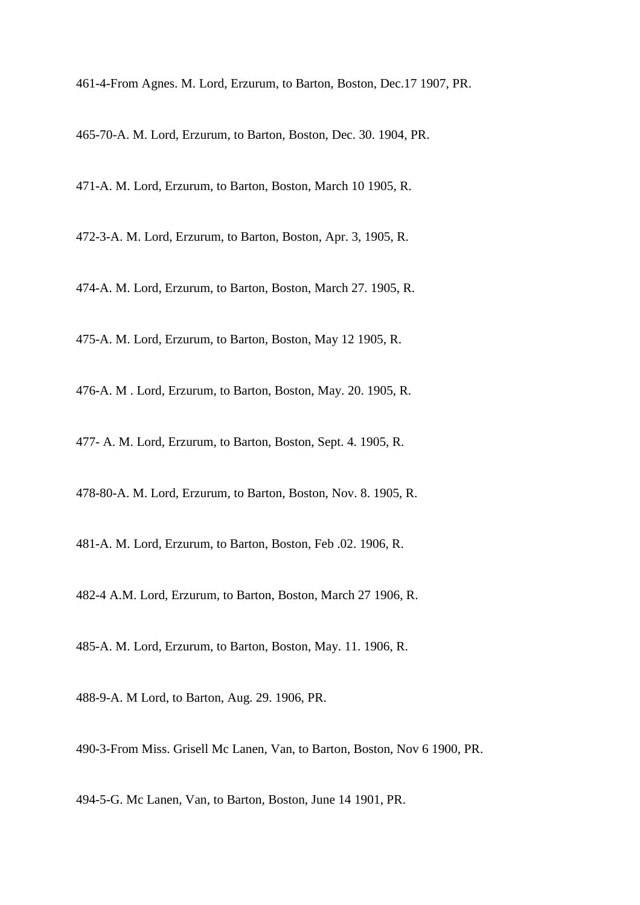461-4-From Agnes. M. Lord, Erzurum, to Barton, Boston, Dec.17 1907, PR.

465-70-A. M. Lord, Erzurum, to Barton, Boston, Dec. 30. 1904, PR.

471-A. M. Lord, Erzurum, to Barton, Boston, March 10 1905, R.

472-3-A. M. Lord, Erzurum, to Barton, Boston, Apr. 3, 1905, R.

474-A. M. Lord, Erzurum, to Barton, Boston, March 27. 1905, R.

475-A. M. Lord, Erzurum, to Barton, Boston, May 12 1905, R.

476-A. M . Lord, Erzurum, to Barton, Boston, May. 20. 1905, R.

477- A. M. Lord, Erzurum, to Barton, Boston, Sept. 4. 1905, R.

478-80-A. M. Lord, Erzurum, to Barton, Boston, Nov. 8. 1905, R.

481-A. M. Lord, Erzurum, to Barton, Boston, Feb .02. 1906, R.

482-4 A.M. Lord, Erzurum, to Barton, Boston, March 27 1906, R.

485-A. M. Lord, Erzurum, to Barton, Boston, May. 11. 1906, R.

488-9-A. M Lord, to Barton, Aug. 29. 1906, PR.

490-3-From Miss. Grisell Mc Lanen, Van, to Barton, Boston, Nov 6 1900, PR.

494-5-G. Mc Lanen, Van, to Barton, Boston, June 14 1901, PR.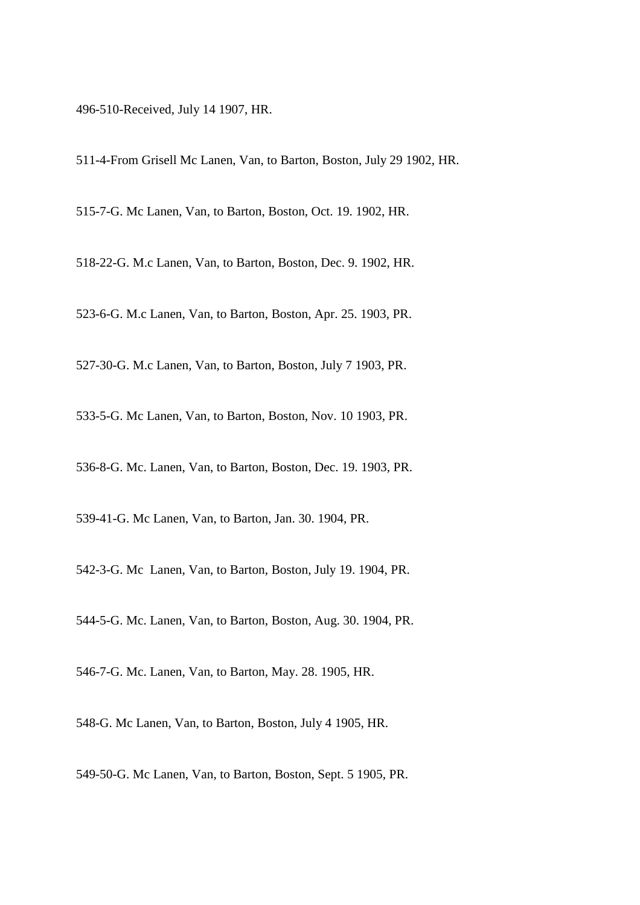496-510-Received, July 14 1907, HR.

511-4-From Grisell Mc Lanen, Van, to Barton, Boston, July 29 1902, HR.

515-7-G. Mc Lanen, Van, to Barton, Boston, Oct. 19. 1902, HR.

518-22-G. M.c Lanen, Van, to Barton, Boston, Dec. 9. 1902, HR.

523-6-G. M.c Lanen, Van, to Barton, Boston, Apr. 25. 1903, PR.

527-30-G. M.c Lanen, Van, to Barton, Boston, July 7 1903, PR.

533-5-G. Mc Lanen, Van, to Barton, Boston, Nov. 10 1903, PR.

536-8-G. Mc. Lanen, Van, to Barton, Boston, Dec. 19. 1903, PR.

539-41-G. Mc Lanen, Van, to Barton, Jan. 30. 1904, PR.

542-3-G. Mc Lanen, Van, to Barton, Boston, July 19. 1904, PR.

544-5-G. Mc. Lanen, Van, to Barton, Boston, Aug. 30. 1904, PR.

546-7-G. Mc. Lanen, Van, to Barton, May. 28. 1905, HR.

548-G. Mc Lanen, Van, to Barton, Boston, July 4 1905, HR.

549-50-G. Mc Lanen, Van, to Barton, Boston, Sept. 5 1905, PR.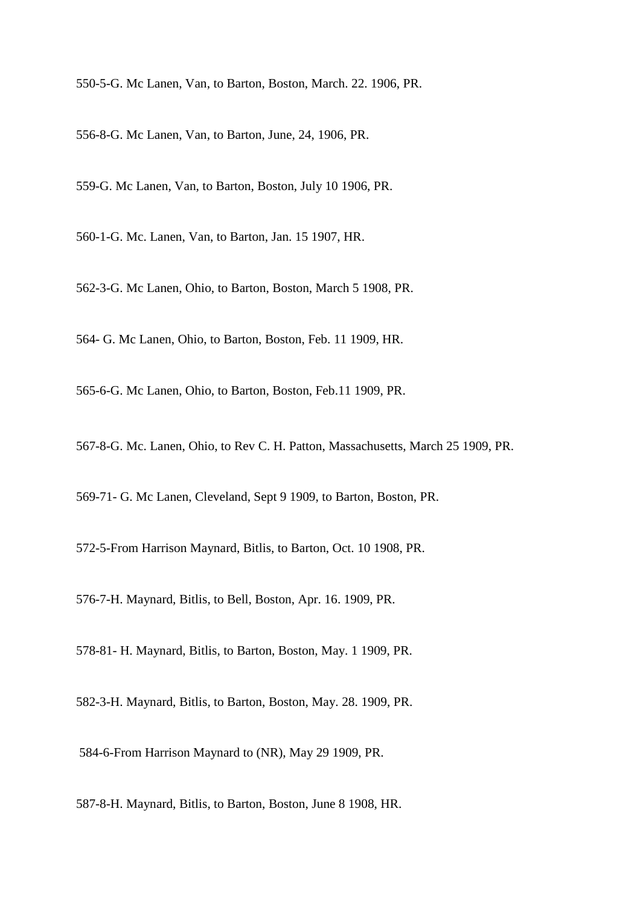550-5-G. Mc Lanen, Van, to Barton, Boston, March. 22. 1906, PR.

556-8-G. Mc Lanen, Van, to Barton, June, 24, 1906, PR.

559-G. Mc Lanen, Van, to Barton, Boston, July 10 1906, PR.

560-1-G. Mc. Lanen, Van, to Barton, Jan. 15 1907, HR.

562-3-G. Mc Lanen, Ohio, to Barton, Boston, March 5 1908, PR.

564- G. Mc Lanen, Ohio, to Barton, Boston, Feb. 11 1909, HR.

565-6-G. Mc Lanen, Ohio, to Barton, Boston, Feb.11 1909, PR.

567-8-G. Mc. Lanen, Ohio, to Rev C. H. Patton, Massachusetts, March 25 1909, PR.

569-71- G. Mc Lanen, Cleveland, Sept 9 1909, to Barton, Boston, PR.

572-5-From Harrison Maynard, Bitlis, to Barton, Oct. 10 1908, PR.

576-7-H. Maynard, Bitlis, to Bell, Boston, Apr. 16. 1909, PR.

578-81- H. Maynard, Bitlis, to Barton, Boston, May. 1 1909, PR.

582-3-H. Maynard, Bitlis, to Barton, Boston, May. 28. 1909, PR.

584-6-From Harrison Maynard to (NR), May 29 1909, PR.

587-8-H. Maynard, Bitlis, to Barton, Boston, June 8 1908, HR.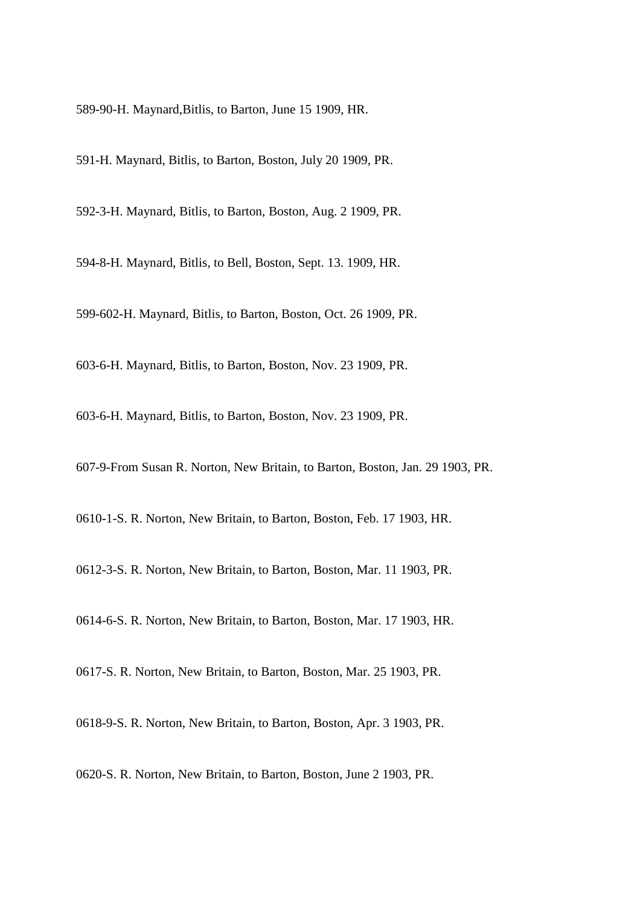589-90-H. Maynard,Bitlis, to Barton, June 15 1909, HR.

591-H. Maynard, Bitlis, to Barton, Boston, July 20 1909, PR.

592-3-H. Maynard, Bitlis, to Barton, Boston, Aug. 2 1909, PR.

594-8-H. Maynard, Bitlis, to Bell, Boston, Sept. 13. 1909, HR.

599-602-H. Maynard, Bitlis, to Barton, Boston, Oct. 26 1909, PR.

603-6-H. Maynard, Bitlis, to Barton, Boston, Nov. 23 1909, PR.

603-6-H. Maynard, Bitlis, to Barton, Boston, Nov. 23 1909, PR.

607-9-From Susan R. Norton, New Britain, to Barton, Boston, Jan. 29 1903, PR.

0610-1-S. R. Norton, New Britain, to Barton, Boston, Feb. 17 1903, HR.

0612-3-S. R. Norton, New Britain, to Barton, Boston, Mar. 11 1903, PR.

0614-6-S. R. Norton, New Britain, to Barton, Boston, Mar. 17 1903, HR.

0617-S. R. Norton, New Britain, to Barton, Boston, Mar. 25 1903, PR.

0618-9-S. R. Norton, New Britain, to Barton, Boston, Apr. 3 1903, PR.

0620-S. R. Norton, New Britain, to Barton, Boston, June 2 1903, PR.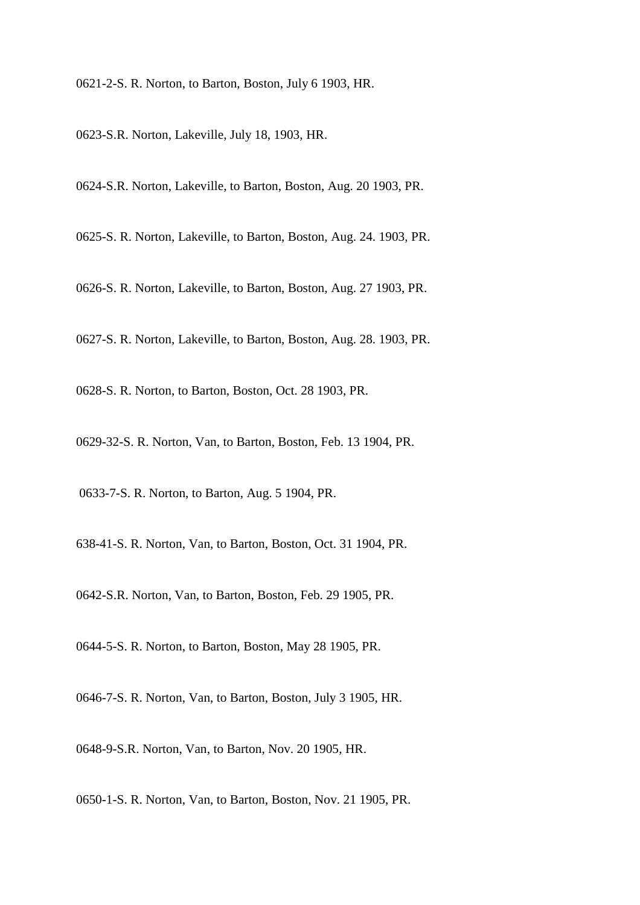0621-2-S. R. Norton, to Barton, Boston, July 6 1903, HR.

0623-S.R. Norton, Lakeville, July 18, 1903, HR.

0624-S.R. Norton, Lakeville, to Barton, Boston, Aug. 20 1903, PR.

0625-S. R. Norton, Lakeville, to Barton, Boston, Aug. 24. 1903, PR.

0626-S. R. Norton, Lakeville, to Barton, Boston, Aug. 27 1903, PR.

0627-S. R. Norton, Lakeville, to Barton, Boston, Aug. 28. 1903, PR.

0628-S. R. Norton, to Barton, Boston, Oct. 28 1903, PR.

0629-32-S. R. Norton, Van, to Barton, Boston, Feb. 13 1904, PR.

0633-7-S. R. Norton, to Barton, Aug. 5 1904, PR.

638-41-S. R. Norton, Van, to Barton, Boston, Oct. 31 1904, PR.

0642-S.R. Norton, Van, to Barton, Boston, Feb. 29 1905, PR.

0644-5-S. R. Norton, to Barton, Boston, May 28 1905, PR.

0646-7-S. R. Norton, Van, to Barton, Boston, July 3 1905, HR.

0648-9-S.R. Norton, Van, to Barton, Nov. 20 1905, HR.

0650-1-S. R. Norton, Van, to Barton, Boston, Nov. 21 1905, PR.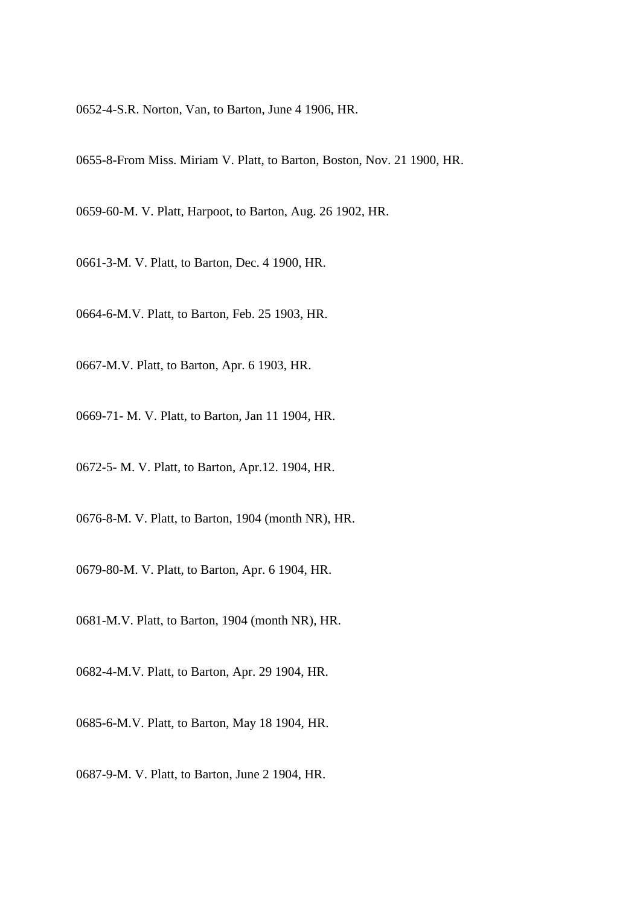0652-4-S.R. Norton, Van, to Barton, June 4 1906, HR.

0655-8-From Miss. Miriam V. Platt, to Barton, Boston, Nov. 21 1900, HR.

0659-60-M. V. Platt, Harpoot, to Barton, Aug. 26 1902, HR.

0661-3-M. V. Platt, to Barton, Dec. 4 1900, HR.

0664-6-M.V. Platt, to Barton, Feb. 25 1903, HR.

0667-M.V. Platt, to Barton, Apr. 6 1903, HR.

0669-71- M. V. Platt, to Barton, Jan 11 1904, HR.

0672-5- M. V. Platt, to Barton, Apr.12. 1904, HR.

0676-8-M. V. Platt, to Barton, 1904 (month NR), HR.

0679-80-M. V. Platt, to Barton, Apr. 6 1904, HR.

0681-M.V. Platt, to Barton, 1904 (month NR), HR.

0682-4-M.V. Platt, to Barton, Apr. 29 1904, HR.

0685-6-M.V. Platt, to Barton, May 18 1904, HR.

0687-9-M. V. Platt, to Barton, June 2 1904, HR.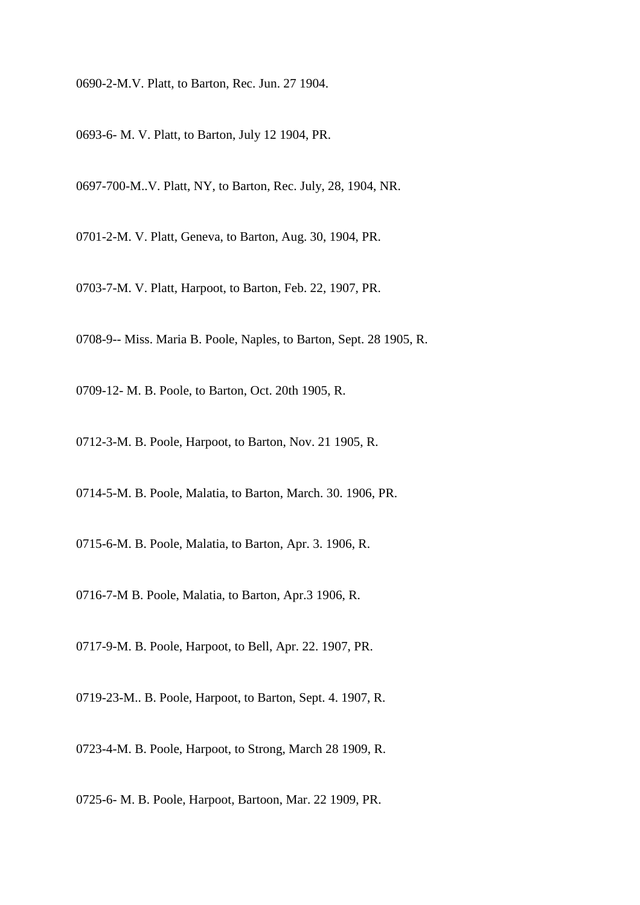0690-2-M.V. Platt, to Barton, Rec. Jun. 27 1904.

0693-6- M. V. Platt, to Barton, July 12 1904, PR.

0697-700-M..V. Platt, NY, to Barton, Rec. July, 28, 1904, NR.

0701-2-M. V. Platt, Geneva, to Barton, Aug. 30, 1904, PR.

0703-7-M. V. Platt, Harpoot, to Barton, Feb. 22, 1907, PR.

0708-9-- Miss. Maria B. Poole, Naples, to Barton, Sept. 28 1905, R.

0709-12- M. B. Poole, to Barton, Oct. 20th 1905, R.

0712-3-M. B. Poole, Harpoot, to Barton, Nov. 21 1905, R.

0714-5-M. B. Poole, Malatia, to Barton, March. 30. 1906, PR.

0715-6-M. B. Poole, Malatia, to Barton, Apr. 3. 1906, R.

0716-7-M B. Poole, Malatia, to Barton, Apr.3 1906, R.

0717-9-M. B. Poole, Harpoot, to Bell, Apr. 22. 1907, PR.

0719-23-M.. B. Poole, Harpoot, to Barton, Sept. 4. 1907, R.

0723-4-M. B. Poole, Harpoot, to Strong, March 28 1909, R.

0725-6- M. B. Poole, Harpoot, Bartoon, Mar. 22 1909, PR.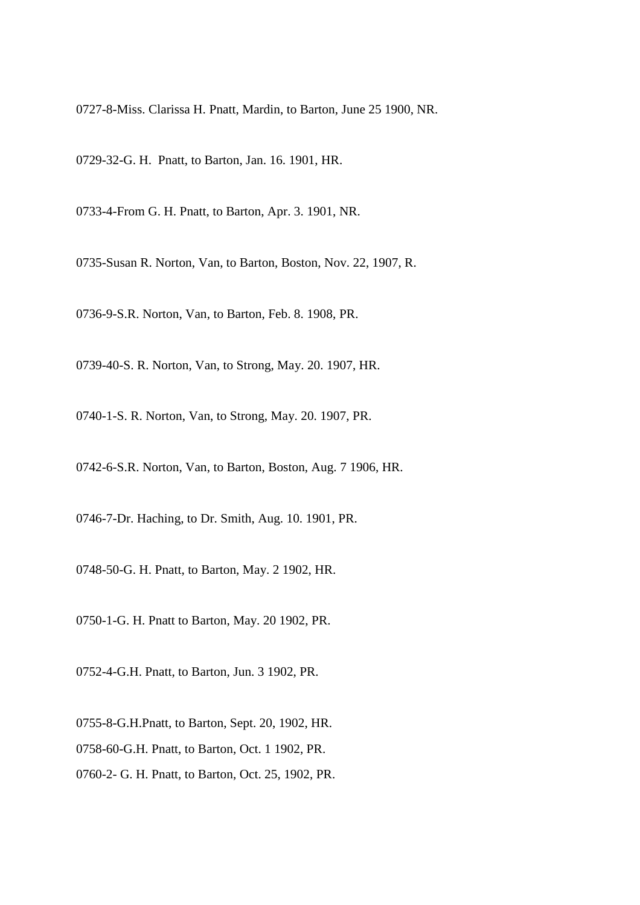0727-8-Miss. Clarissa H. Pnatt, Mardin, to Barton, June 25 1900, NR.

0729-32-G. H. Pnatt, to Barton, Jan. 16. 1901, HR.

0733-4-From G. H. Pnatt, to Barton, Apr. 3. 1901, NR.

0735-Susan R. Norton, Van, to Barton, Boston, Nov. 22, 1907, R.

0736-9-S.R. Norton, Van, to Barton, Feb. 8. 1908, PR.

0739-40-S. R. Norton, Van, to Strong, May. 20. 1907, HR.

0740-1-S. R. Norton, Van, to Strong, May. 20. 1907, PR.

0742-6-S.R. Norton, Van, to Barton, Boston, Aug. 7 1906, HR.

0746-7-Dr. Haching, to Dr. Smith, Aug. 10. 1901, PR.

0748-50-G. H. Pnatt, to Barton, May. 2 1902, HR.

0750-1-G. H. Pnatt to Barton, May. 20 1902, PR.

0752-4-G.H. Pnatt, to Barton, Jun. 3 1902, PR.

0755-8-G.H.Pnatt, to Barton, Sept. 20, 1902, HR. 0758-60-G.H. Pnatt, to Barton, Oct. 1 1902, PR. 0760-2- G. H. Pnatt, to Barton, Oct. 25, 1902, PR.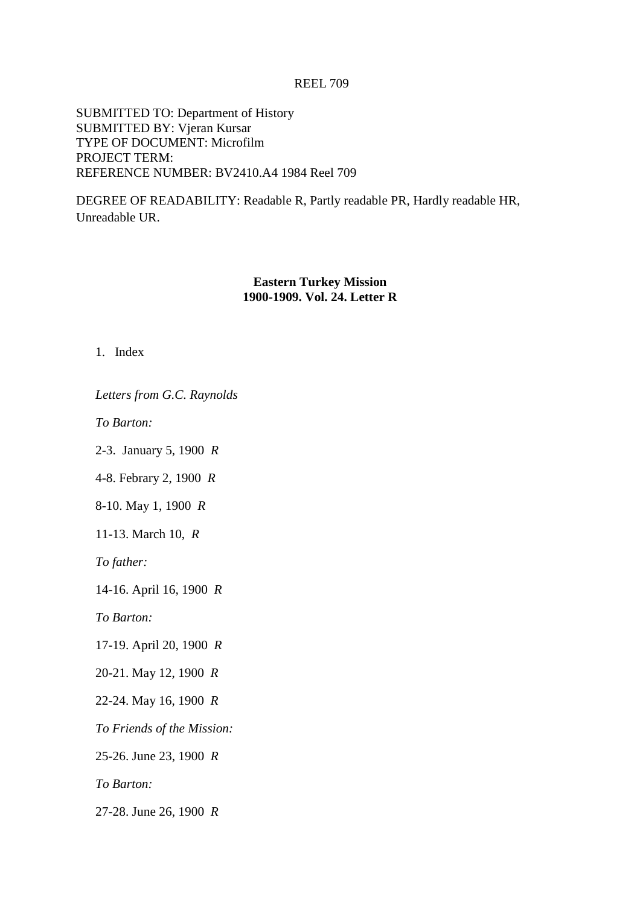#### REEL 709

SUBMITTED TO: Department of History SUBMITTED BY: Vjeran Kursar TYPE OF DOCUMENT: Microfilm PROJECT TERM: REFERENCE NUMBER: BV2410.A4 1984 Reel 709

DEGREE OF READABILITY: Readable R, Partly readable PR, Hardly readable HR, Unreadable UR.

## **Eastern Turkey Mission 1900-1909. Vol. 24. Letter R**

1. Index

*Letters from G.C. Raynolds*

*To Barton:*

2-3. January 5, 1900 *R*

4-8. Febrary 2, 1900 *R*

8-10. May 1, 1900 *R*

11-13. March 10, *R*

*To father:*

14-16. April 16, 1900 *R*

*To Barton:*

17-19. April 20, 1900 *R*

20-21. May 12, 1900 *R*

22-24. May 16, 1900 *R*

*To Friends of the Mission:*

25-26. June 23, 1900 *R*

*To Barton:*

27-28. June 26, 1900 *R*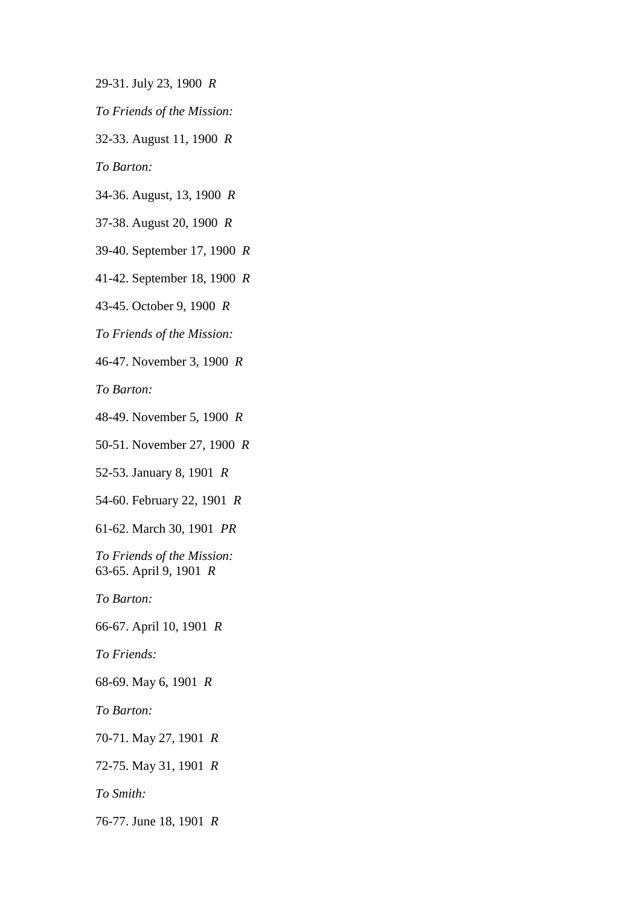- 29-31. July 23, 1900 *R*
- *To Friends of the Mission:*
- 32-33. August 11, 1900 *R*

*To Barton:*

- 34-36. August, 13, 1900 *R*
- 37-38. August 20, 1900 *R*
- 39-40. September 17, 1900 *R*
- 41-42. September 18, 1900 *R*

43-45. October 9, 1900 *R*

*To Friends of the Mission:*

46-47. November 3, 1900 *R*

*To Barton:*

48-49. November 5, 1900 *R*

50-51. November 27, 1900 *R*

52-53. January 8, 1901 *R*

54-60. February 22, 1901 *R*

61-62. March 30, 1901 *PR*

*To Friends of the Mission:*  63-65. April 9, 1901 *R*

*To Barton:*

66-67. April 10, 1901 *R*

*To Friends:*

68-69. May 6, 1901 *R*

*To Barton:*

70-71. May 27, 1901 *R*

72-75. May 31, 1901 *R*

*To Smith:*

76-77. June 18, 1901 *R*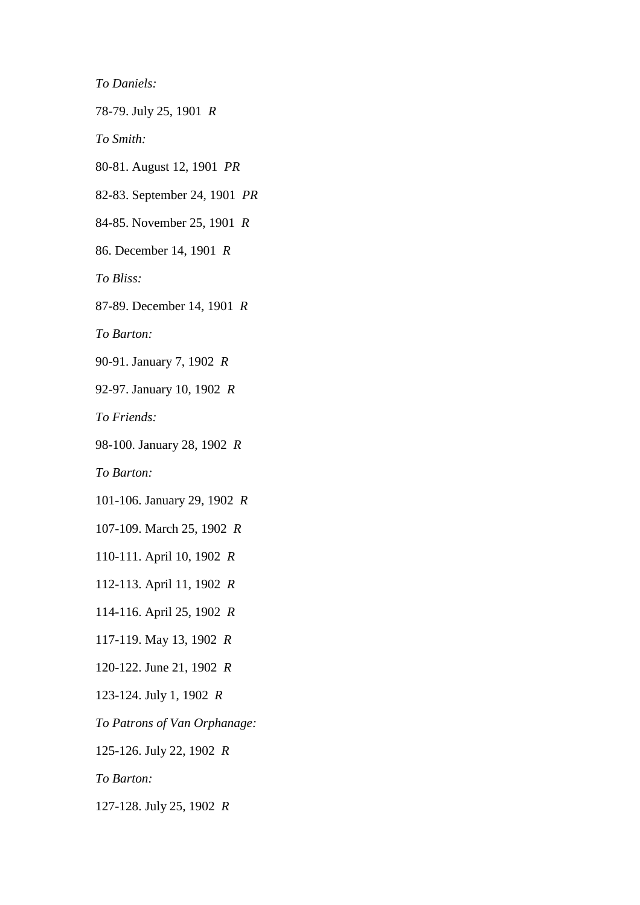*To Daniels:*

78-79. July 25, 1901 *R*

*To Smith:*

80-81. August 12, 1901 *PR*

82-83. September 24, 1901 *PR*

84-85. November 25, 1901 *R*

86. December 14, 1901 *R*

*To Bliss:*

87-89. December 14, 1901 *R*

*To Barton:*

90-91. January 7, 1902 *R*

92-97. January 10, 1902 *R*

*To Friends:*

98-100. January 28, 1902 *R*

*To Barton:*

101-106. January 29, 1902 *R*

107-109. March 25, 1902 *R*

110-111. April 10, 1902 *R*

112-113. April 11, 1902 *R*

114-116. April 25, 1902 *R*

117-119. May 13, 1902 *R*

120-122. June 21, 1902 *R*

123-124. July 1, 1902 *R*

*To Patrons of Van Orphanage:*

125-126. July 22, 1902 *R*

*To Barton:*

127-128. July 25, 1902 *R*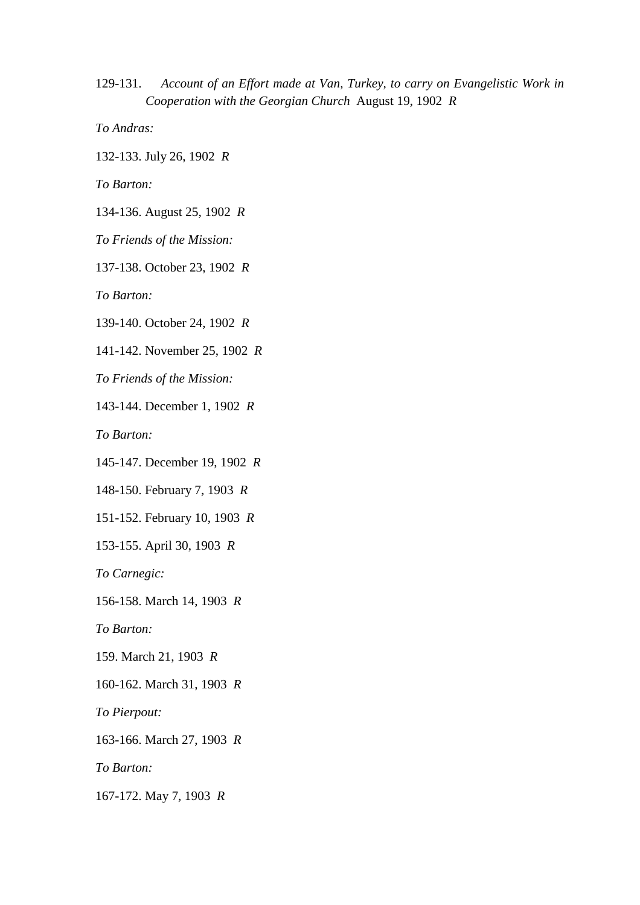129-131. *Account of an Effort made at Van, Turkey, to carry on Evangelistic Work in Cooperation with the Georgian Church* August 19, 1902 *R*

*To Andras:*

132-133. July 26, 1902 *R*

*To Barton:*

134-136. August 25, 1902 *R*

*To Friends of the Mission:*

137-138. October 23, 1902 *R*

*To Barton:*

139-140. October 24, 1902 *R*

141-142. November 25, 1902 *R*

*To Friends of the Mission:*

143-144. December 1, 1902 *R*

*To Barton:*

145-147. December 19, 1902 *R*

148-150. February 7, 1903 *R*

151-152. February 10, 1903 *R*

153-155. April 30, 1903 *R*

*To Carnegic:*

156-158. March 14, 1903 *R*

*To Barton:*

159. March 21, 1903 *R*

160-162. March 31, 1903 *R*

*To Pierpout:*

163-166. March 27, 1903 *R*

*To Barton:*

167-172. May 7, 1903 *R*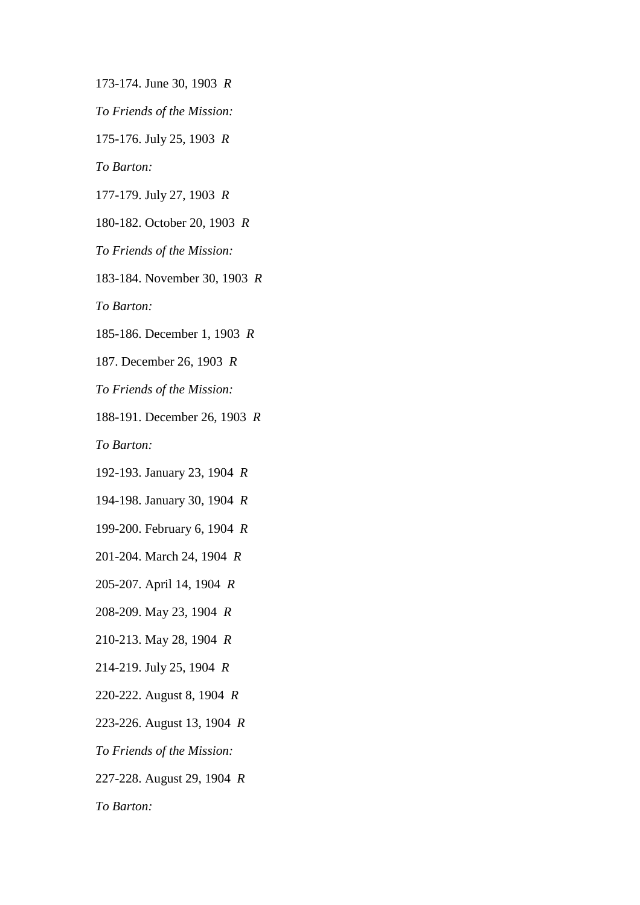173-174. June 30, 1903 *R*

*To Friends of the Mission:*

175-176. July 25, 1903 *R*

*To Barton:*

177-179. July 27, 1903 *R*

180-182. October 20, 1903 *R*

*To Friends of the Mission:*

183-184. November 30, 1903 *R*

*To Barton:*

185-186. December 1, 1903 *R*

187. December 26, 1903 *R*

*To Friends of the Mission:*

188-191. December 26, 1903 *R*

*To Barton:*

192-193. January 23, 1904 *R*

194-198. January 30, 1904 *R*

199-200. February 6, 1904 *R*

201-204. March 24, 1904 *R*

205-207. April 14, 1904 *R*

208-209. May 23, 1904 *R*

210-213. May 28, 1904 *R*

214-219. July 25, 1904 *R*

220-222. August 8, 1904 *R*

223-226. August 13, 1904 *R*

*To Friends of the Mission:*

227-228. August 29, 1904 *R*

*To Barton:*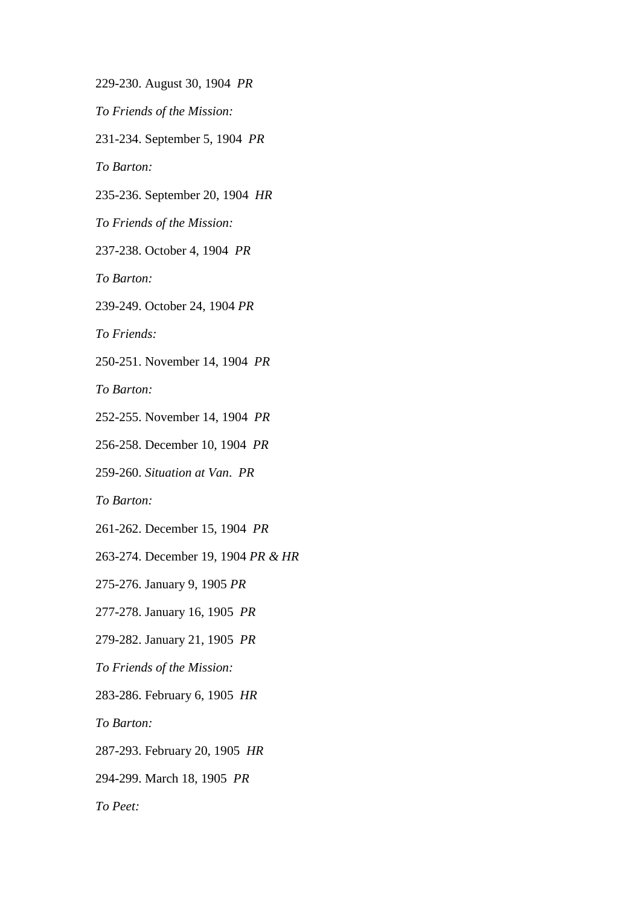229-230. August 30, 1904 *PR*

*To Friends of the Mission:*

231-234. September 5, 1904 *PR*

*To Barton:*

235-236. September 20, 1904 *HR*

*To Friends of the Mission:*

237-238. October 4, 1904 *PR*

*To Barton:*

239-249. October 24, 1904 *PR*

*To Friends:*

250-251. November 14, 1904 *PR*

*To Barton:*

252-255. November 14, 1904 *PR*

256-258. December 10, 1904 *PR*

259-260. *Situation at Van*. *PR*

*To Barton:*

261-262. December 15, 1904 *PR*

263-274. December 19, 1904 *PR & HR*

275-276. January 9, 1905 *PR*

277-278. January 16, 1905 *PR*

279-282. January 21, 1905 *PR*

*To Friends of the Mission:*

283-286. February 6, 1905 *HR*

*To Barton:*

287-293. February 20, 1905 *HR*

294-299. March 18, 1905 *PR*

*To Peet:*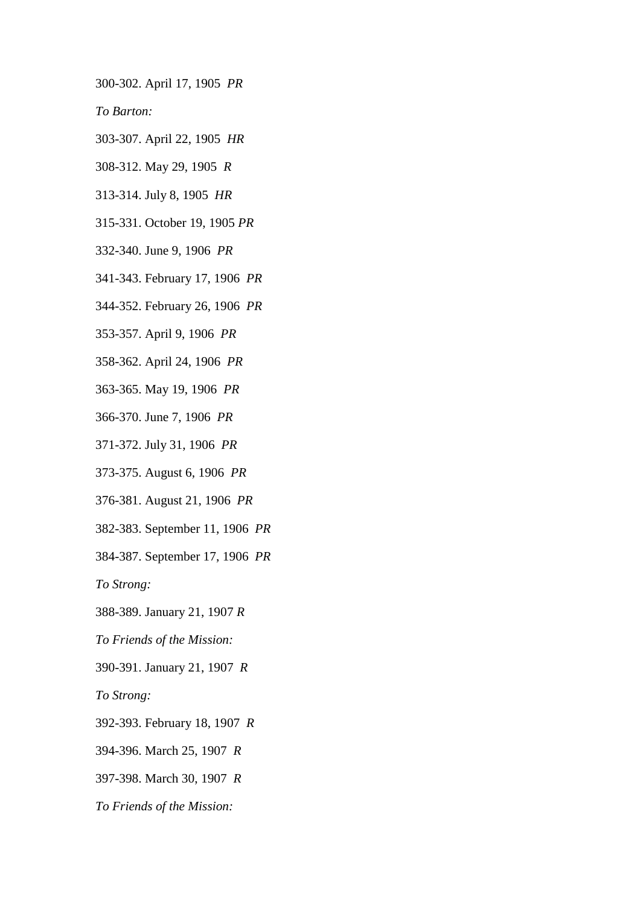300-302. April 17, 1905 *PR*

*To Barton:*

- 303-307. April 22, 1905 *HR*
- 308-312. May 29, 1905 *R*
- 313-314. July 8, 1905 *HR*
- 315-331. October 19, 1905 *PR*
- 332-340. June 9, 1906 *PR*
- 341-343. February 17, 1906 *PR*
- 344-352. February 26, 1906 *PR*
- 353-357. April 9, 1906 *PR*
- 358-362. April 24, 1906 *PR*
- 363-365. May 19, 1906 *PR*
- 366-370. June 7, 1906 *PR*
- 371-372. July 31, 1906 *PR*
- 373-375. August 6, 1906 *PR*
- 376-381. August 21, 1906 *PR*
- 382-383. September 11, 1906 *PR*
- 384-387. September 17, 1906 *PR*

*To Strong:*

- 388-389. January 21, 1907 *R*
- *To Friends of the Mission:*
- 390-391. January 21, 1907 *R*

*To Strong:*

- 392-393. February 18, 1907 *R*
- 394-396. March 25, 1907 *R*
- 397-398. March 30, 1907 *R*
- *To Friends of the Mission:*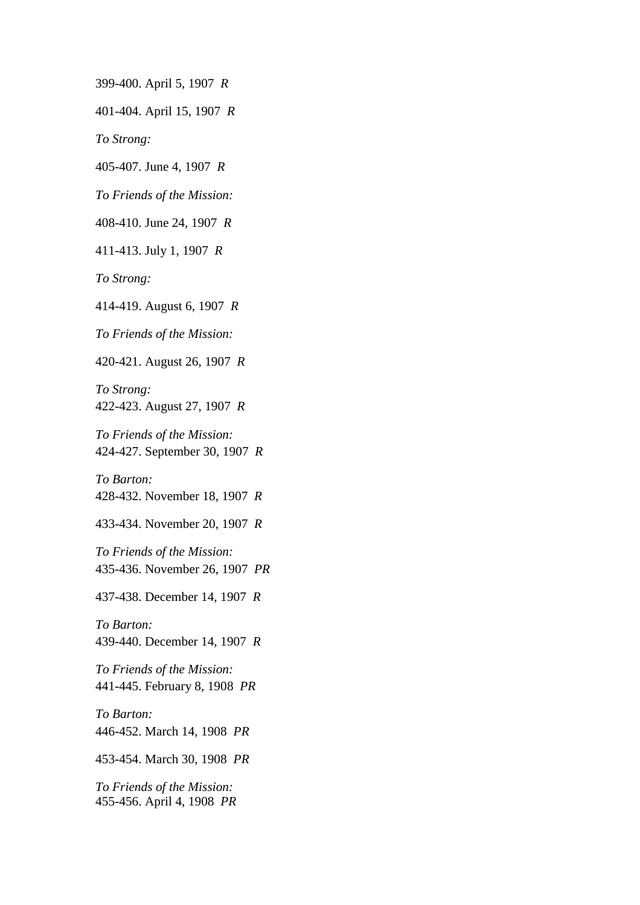399-400. April 5, 1907 *R*

401-404. April 15, 1907 *R*

*To Strong:*

405-407. June 4, 1907 *R*

*To Friends of the Mission:*

408-410. June 24, 1907 *R*

411-413. July 1, 1907 *R*

*To Strong:*

414-419. August 6, 1907 *R*

*To Friends of the Mission:*

420-421. August 26, 1907 *R*

*To Strong:*  422-423. August 27, 1907 *R*

*To Friends of the Mission:*  424-427. September 30, 1907 *R*

*To Barton:*  428-432. November 18, 1907 *R*

433-434. November 20, 1907 *R*

*To Friends of the Mission:*  435-436. November 26, 1907 *PR*

437-438. December 14, 1907 *R*

*To Barton:*  439-440. December 14, 1907 *R*

*To Friends of the Mission:*  441-445. February 8, 1908 *PR*

*To Barton:*  446-452. March 14, 1908 *PR*

453-454. March 30, 1908 *PR*

*To Friends of the Mission:*  455-456. April 4, 1908 *PR*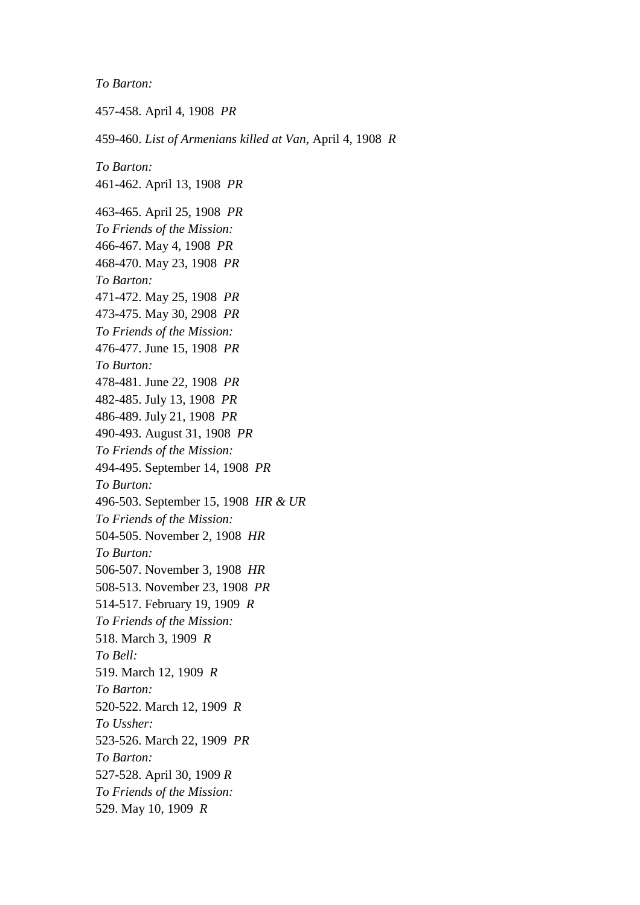*To Barton:*

457-458. April 4, 1908 *PR* 459-460. *List of Armenians killed at Van*, April 4, 1908 *R To Barton:*  461-462. April 13, 1908 *PR* 463-465. April 25, 1908 *PR To Friends of the Mission:*  466-467. May 4, 1908 *PR*  468-470. May 23, 1908 *PR To Barton:*  471-472. May 25, 1908 *PR*  473-475. May 30, 2908 *PR To Friends of the Mission:*  476-477. June 15, 1908 *PR To Burton:*  478-481. June 22, 1908 *PR*  482-485. July 13, 1908 *PR*  486-489. July 21, 1908 *PR*  490-493. August 31, 1908 *PR To Friends of the Mission:*  494-495. September 14, 1908 *PR To Burton:*  496-503. September 15, 1908 *HR & UR To Friends of the Mission:*  504-505. November 2, 1908 *HR To Burton:*  506-507. November 3, 1908 *HR*  508-513. November 23, 1908 *PR*  514-517. February 19, 1909 *R To Friends of the Mission:*  518. March 3, 1909 *R To Bell:*  519. March 12, 1909 *R To Barton:*  520-522. March 12, 1909 *R To Ussher:*  523-526. March 22, 1909 *PR To Barton:*  527-528. April 30, 1909 *R To Friends of the Mission:*  529. May 10, 1909 *R*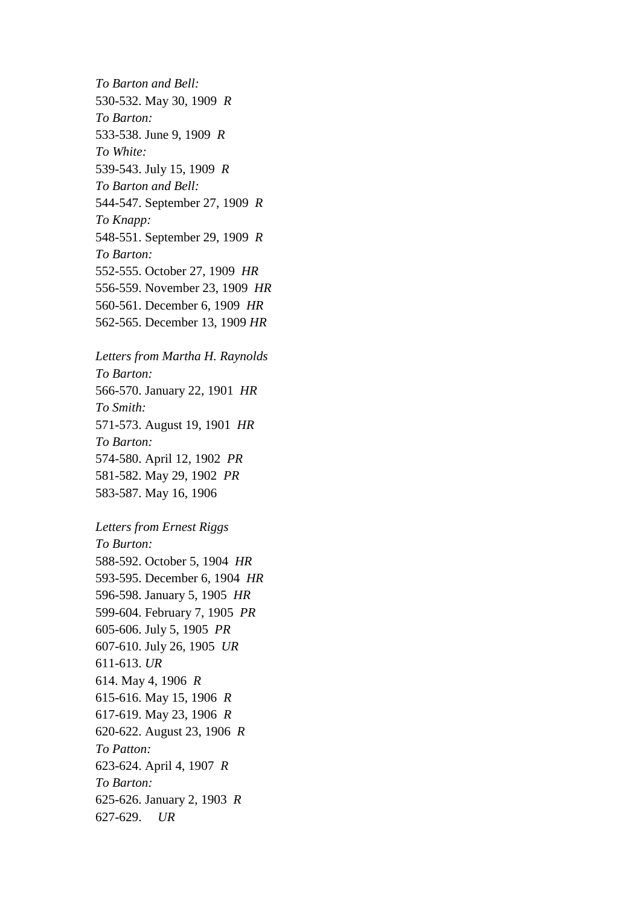*To Barton and Bell:*  530-532. May 30, 1909 *R To Barton:*  533-538. June 9, 1909 *R To White:*  539-543. July 15, 1909 *R To Barton and Bell:*  544-547. September 27, 1909 *R To Knapp:*  548-551. September 29, 1909 *R To Barton:*  552-555. October 27, 1909 *HR*  556-559. November 23, 1909 *HR*  560-561. December 6, 1909 *HR*  562-565. December 13, 1909 *HR* 

*Letters from Martha H. Raynolds To Barton:*  566-570. January 22, 1901 *HR To Smith:*  571-573. August 19, 1901 *HR To Barton:*  574-580. April 12, 1902 *PR*  581-582. May 29, 1902 *PR*  583-587. May 16, 1906

*Letters from Ernest Riggs To Burton:*  588-592. October 5, 1904 *HR*  593-595. December 6, 1904 *HR*  596-598. January 5, 1905 *HR*  599-604. February 7, 1905 *PR*  605-606. July 5, 1905 *PR*  607-610. July 26, 1905 *UR*  611-613. *UR*  614. May 4, 1906 *R*  615-616. May 15, 1906 *R*  617-619. May 23, 1906 *R*  620-622. August 23, 1906 *R To Patton:*  623-624. April 4, 1907 *R To Barton:*  625-626. January 2, 1903 *R*  627-629. *UR*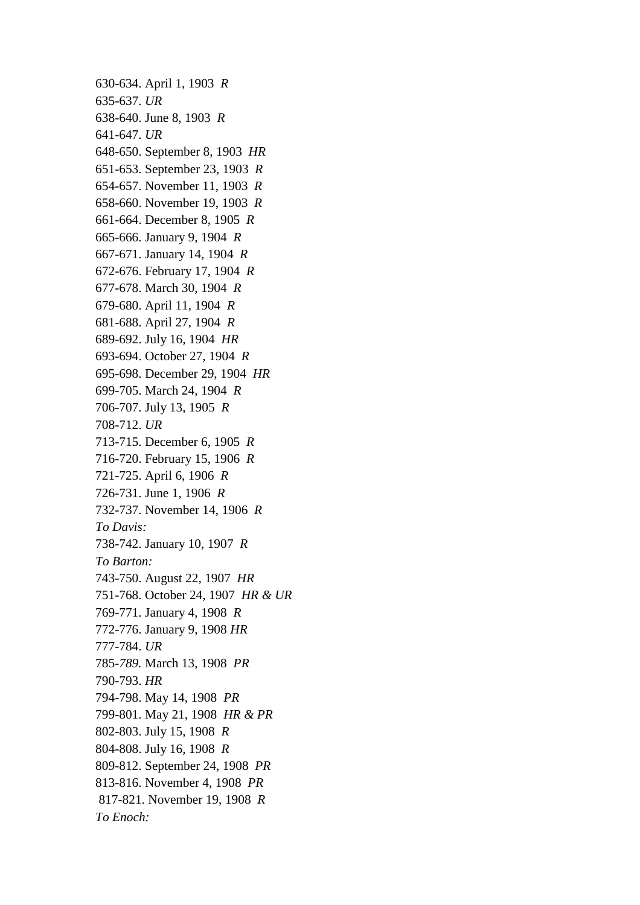630-634. April 1, 1903 *R*  635-637. *UR*  638-640. June 8, 1903 *R*  641-647. *UR*  648-650. September 8, 1903 *HR*  651-653. September 23, 1903 *R*  654-657. November 11, 1903 *R*  658-660. November 19, 1903 *R*  661-664. December 8, 1905 *R*  665-666. January 9, 1904 *R*  667-671. January 14, 1904 *R*  672-676. February 17, 1904 *R*  677-678. March 30, 1904 *R*  679-680. April 11, 1904 *R*  681-688. April 27, 1904 *R*  689-692. July 16, 1904 *HR*  693-694. October 27, 1904 *R*  695-698. December 29, 1904 *HR*  699-705. March 24, 1904 *R*  706-707. July 13, 1905 *R*  708-712. *UR*  713-715. December 6, 1905 *R*  716-720. February 15, 1906 *R*  721-725. April 6, 1906 *R*  726-731. June 1, 1906 *R*  732-737. November 14, 1906 *R To Davis:*  738-742. January 10, 1907 *R To Barton:*  743-750. August 22, 1907 *HR*  751-768. October 24, 1907 *HR & UR*  769-771. January 4, 1908 *R*  772-776. January 9, 1908 *HR*  777-784. *UR*  785-*789.* March 13, 1908 *PR*  790-793. *HR*  794-798. May 14, 1908 *PR*  799-801. May 21, 1908 *HR & PR*  802-803. July 15, 1908 *R*  804-808. July 16, 1908 *R*  809-812. September 24, 1908 *PR*  813-816. November 4, 1908 *PR*  817-821. November 19, 1908 *R To Enoch:*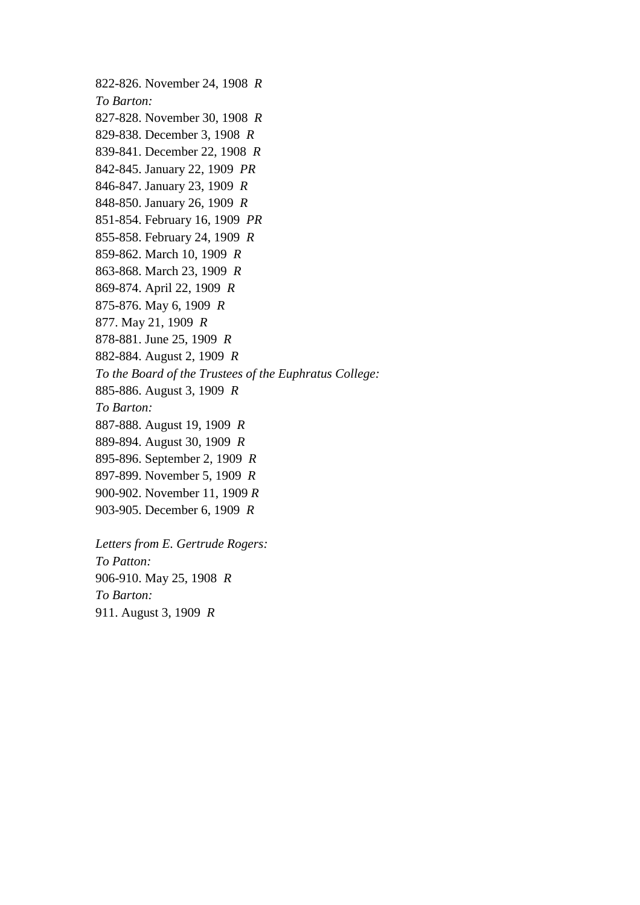822-826. November 24, 1908 *R To Barton:*  827-828. November 30, 1908 *R*  829-838. December 3, 1908 *R*  839-841. December 22, 1908 *R*  842-845. January 22, 1909 *PR*  846-847. January 23, 1909 *R*  848-850. January 26, 1909 *R*  851-854. February 16, 1909 *PR*  855-858. February 24, 1909 *R*  859-862. March 10, 1909 *R*  863-868. March 23, 1909 *R*  869-874. April 22, 1909 *R*  875-876. May 6, 1909 *R*  877. May 21, 1909 *R*  878-881. June 25, 1909 *R*  882-884. August 2, 1909 *R To the Board of the Trustees of the Euphratus College:*  885-886. August 3, 1909 *R To Barton:*  887-888. August 19, 1909 *R*  889-894. August 30, 1909 *R*  895-896. September 2, 1909 *R*  897-899. November 5, 1909 *R*  900-902. November 11, 1909 *R*  903-905. December 6, 1909 *R* 

*Letters from E. Gertrude Rogers: To Patton:*  906-910. May 25, 1908 *R To Barton:*  911. August 3, 1909 *R*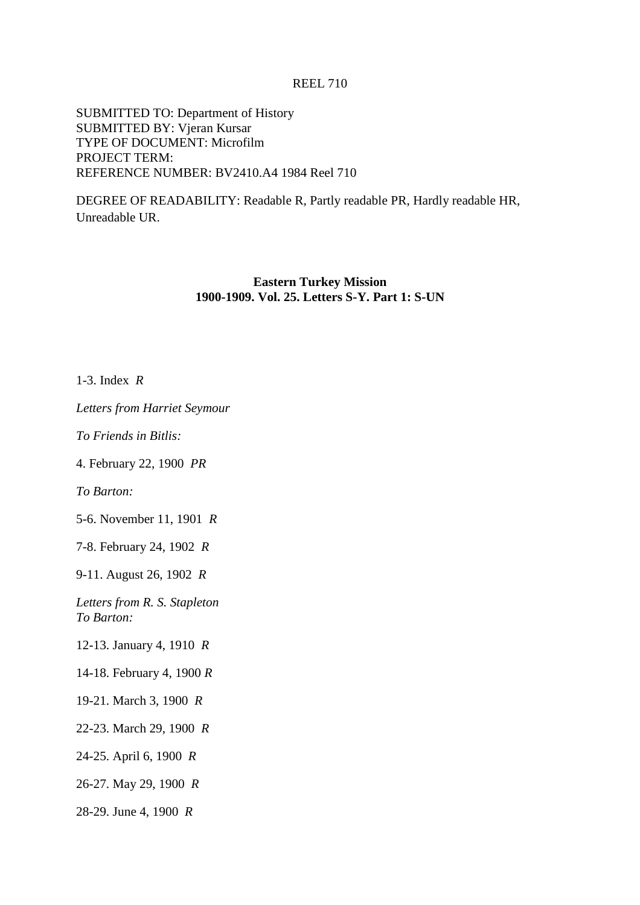# REEL 710

SUBMITTED TO: Department of History SUBMITTED BY: Vjeran Kursar TYPE OF DOCUMENT: Microfilm PROJECT TERM: REFERENCE NUMBER: BV2410.A4 1984 Reel 710

DEGREE OF READABILITY: Readable R, Partly readable PR, Hardly readable HR, Unreadable UR.

### **Eastern Turkey Mission 1900-1909. Vol. 25. Letters S-Y. Part 1: S-UN**

1-3. Index *R*

*Letters from Harriet Seymour*

*To Friends in Bitlis:*

4. February 22, 1900 *PR*

*To Barton:*

5-6. November 11, 1901 *R*

7-8. February 24, 1902 *R*

9-11. August 26, 1902 *R*

*Letters from R. S. Stapleton To Barton:*

12-13. January 4, 1910 *R*

14-18. February 4, 1900 *R*

19-21. March 3, 1900 *R*

22-23. March 29, 1900 *R*

24-25. April 6, 1900 *R*

26-27. May 29, 1900 *R*

28-29. June 4, 1900 *R*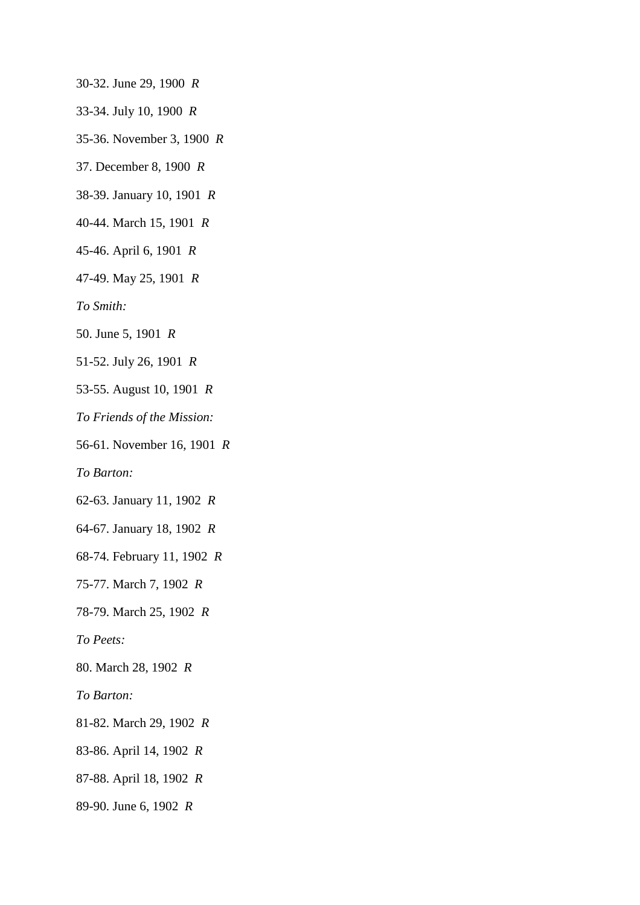30-32. June 29, 1900 *R*

33-34. July 10, 1900 *R*

35-36. November 3, 1900 *R*

37. December 8, 1900 *R*

38-39. January 10, 1901 *R*

40-44. March 15, 1901 *R*

45-46. April 6, 1901 *R*

47-49. May 25, 1901 *R*

*To Smith:*

50. June 5, 1901 *R*

51-52. July 26, 1901 *R*

53-55. August 10, 1901 *R*

*To Friends of the Mission:*

56-61. November 16, 1901 *R*

*To Barton:*

62-63. January 11, 1902 *R*

64-67. January 18, 1902 *R*

68-74. February 11, 1902 *R*

75-77. March 7, 1902 *R*

78-79. March 25, 1902 *R*

*To Peets:*

80. March 28, 1902 *R*

*To Barton:*

81-82. March 29, 1902 *R*

83-86. April 14, 1902 *R*

87-88. April 18, 1902 *R*

89-90. June 6, 1902 *R*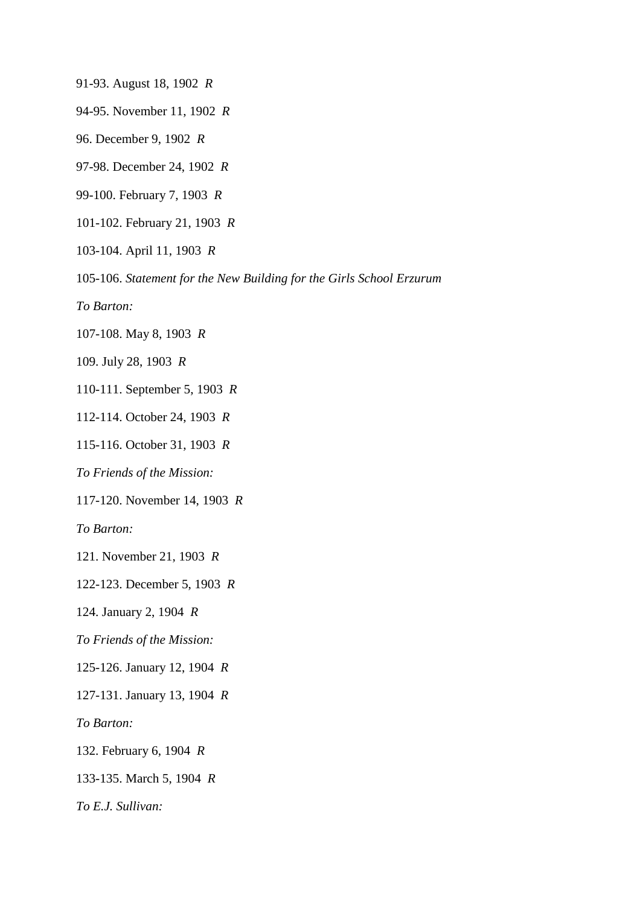91-93. August 18, 1902 *R*

94-95. November 11, 1902 *R*

96. December 9, 1902 *R*

97-98. December 24, 1902 *R*

99-100. February 7, 1903 *R*

101-102. February 21, 1903 *R*

103-104. April 11, 1903 *R*

105-106. *Statement for the New Building for the Girls School Erzurum*

*To Barton:*

107-108. May 8, 1903 *R*

109. July 28, 1903 *R*

110-111. September 5, 1903 *R*

112-114. October 24, 1903 *R*

115-116. October 31, 1903 *R*

*To Friends of the Mission:*

117-120. November 14, 1903 *R*

*To Barton:*

121. November 21, 1903 *R*

122-123. December 5, 1903 *R*

124. January 2, 1904 *R*

*To Friends of the Mission:*

125-126. January 12, 1904 *R*

127-131. January 13, 1904 *R*

*To Barton:*

132. February 6, 1904 *R*

133-135. March 5, 1904 *R*

*To E.J. Sullivan:*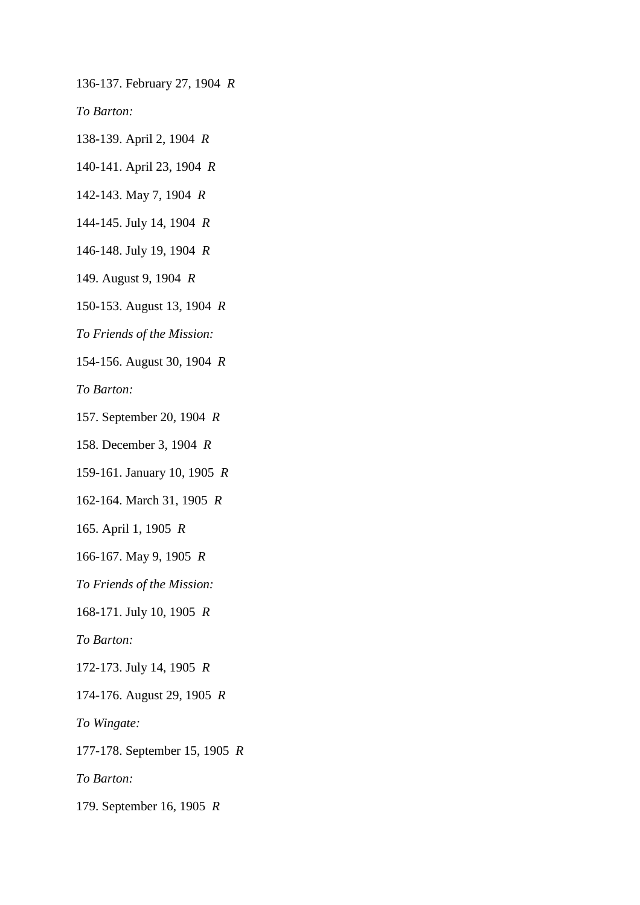136-137. February 27, 1904 *R*

*To Barton:*

138-139. April 2, 1904 *R*

140-141. April 23, 1904 *R*

142-143. May 7, 1904 *R*

144-145. July 14, 1904 *R*

146-148. July 19, 1904 *R*

149. August 9, 1904 *R*

150-153. August 13, 1904 *R*

*To Friends of the Mission:*

154-156. August 30, 1904 *R*

*To Barton:*

157. September 20, 1904 *R*

158. December 3, 1904 *R*

159-161. January 10, 1905 *R*

162-164. March 31, 1905 *R*

165. April 1, 1905 *R*

166-167. May 9, 1905 *R*

*To Friends of the Mission:*

168-171. July 10, 1905 *R*

*To Barton:*

172-173. July 14, 1905 *R*

174-176. August 29, 1905 *R*

*To Wingate:*

177-178. September 15, 1905 *R*

*To Barton:*

179. September 16, 1905 *R*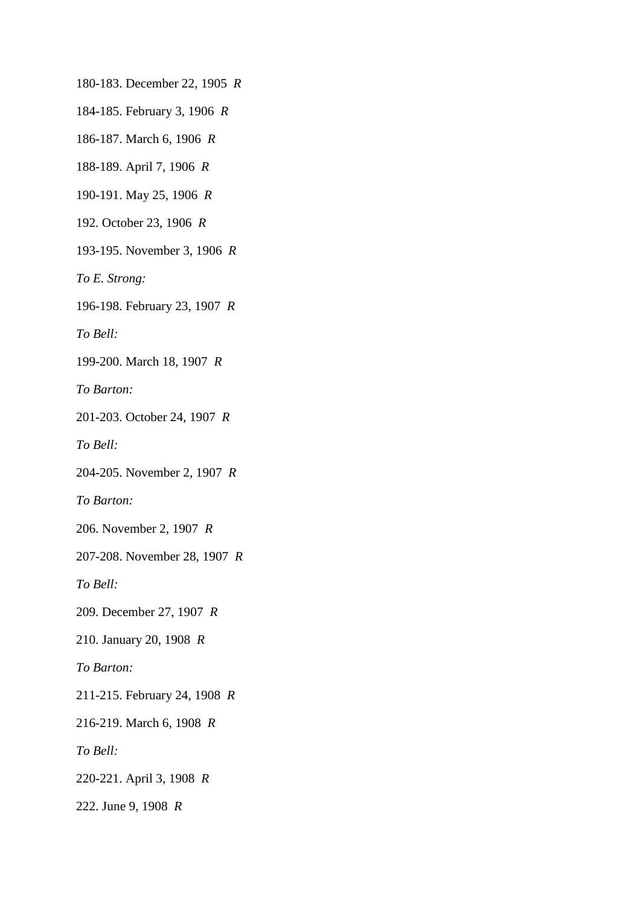180-183. December 22, 1905 *R*

184-185. February 3, 1906 *R*

186-187. March 6, 1906 *R*

188-189. April 7, 1906 *R*

190-191. May 25, 1906 *R*

192. October 23, 1906 *R*

193-195. November 3, 1906 *R*

*To E. Strong:*

196-198. February 23, 1907 *R*

*To Bell:*

199-200. March 18, 1907 *R*

*To Barton:*

201-203. October 24, 1907 *R*

*To Bell:*

204-205. November 2, 1907 *R*

*To Barton:*

206. November 2, 1907 *R*

207-208. November 28, 1907 *R*

*To Bell:*

209. December 27, 1907 *R*

210. January 20, 1908 *R*

*To Barton:*

211-215. February 24, 1908 *R*

216-219. March 6, 1908 *R*

*To Bell:*

220-221. April 3, 1908 *R*

222. June 9, 1908 *R*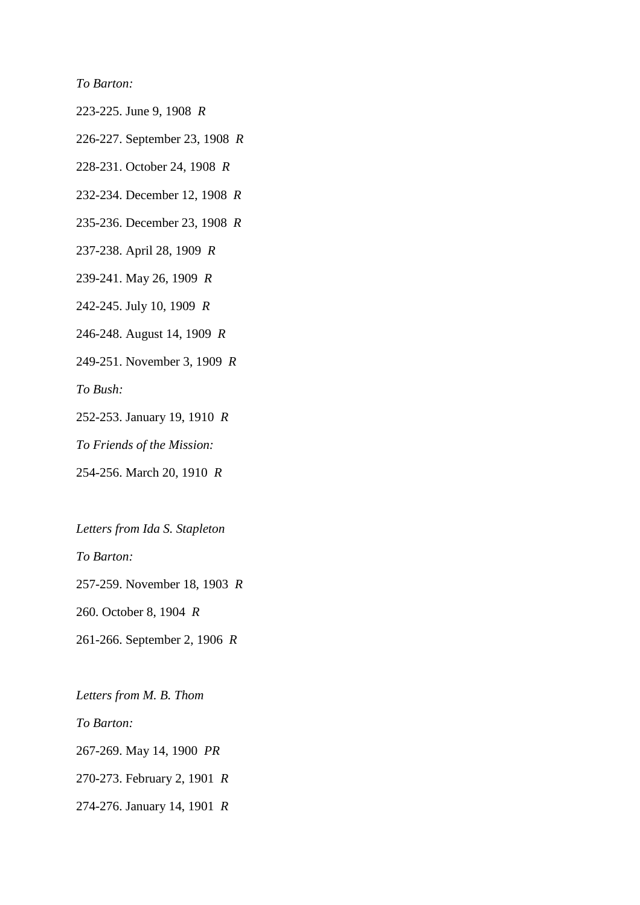*To Barton:*

223-225. June 9, 1908 *R*

226-227. September 23, 1908 *R*

228-231. October 24, 1908 *R*

232-234. December 12, 1908 *R*

235-236. December 23, 1908 *R*

237-238. April 28, 1909 *R*

239-241. May 26, 1909 *R*

242-245. July 10, 1909 *R*

246-248. August 14, 1909 *R*

249-251. November 3, 1909 *R*

*To Bush:*

252-253. January 19, 1910 *R*

*To Friends of the Mission:*

254-256. March 20, 1910 *R*

*Letters from Ida S. Stapleton*

*To Barton:*

257-259. November 18, 1903 *R*

260. October 8, 1904 *R*

261-266. September 2, 1906 *R*

*Letters from M. B. Thom To Barton:* 267-269. May 14, 1900 *PR* 270-273. February 2, 1901 *R* 274-276. January 14, 1901 *R*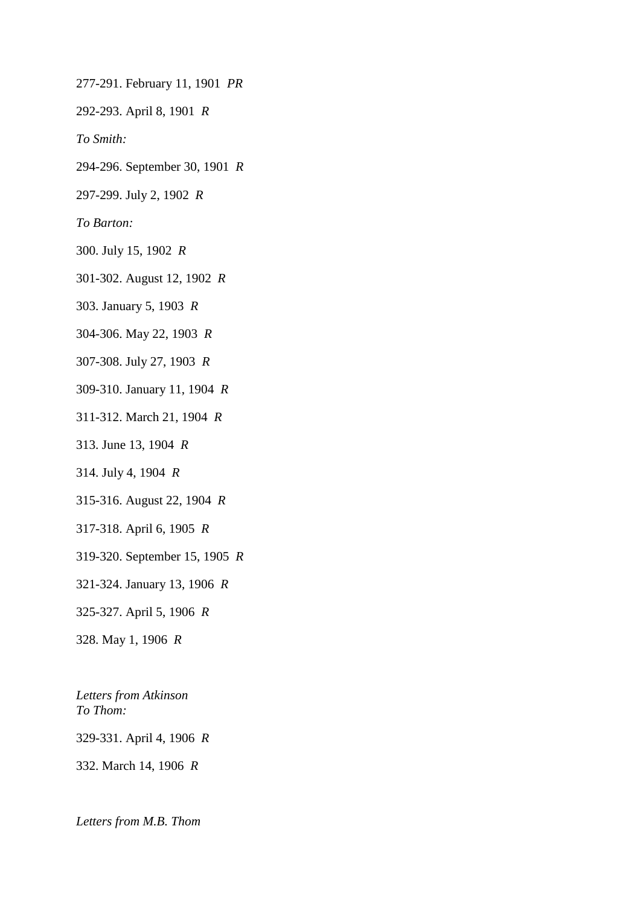277-291. February 11, 1901 *PR*

292-293. April 8, 1901 *R*

*To Smith:*

294-296. September 30, 1901 *R*

297-299. July 2, 1902 *R*

*To Barton:*

300. July 15, 1902 *R*

301-302. August 12, 1902 *R*

303. January 5, 1903 *R*

304-306. May 22, 1903 *R*

307-308. July 27, 1903 *R*

309-310. January 11, 1904 *R*

311-312. March 21, 1904 *R*

313. June 13, 1904 *R*

314. July 4, 1904 *R*

315-316. August 22, 1904 *R*

317-318. April 6, 1905 *R*

319-320. September 15, 1905 *R*

321-324. January 13, 1906 *R*

325-327. April 5, 1906 *R*

328. May 1, 1906 *R*

*Letters from Atkinson To Thom:*

329-331. April 4, 1906 *R*

332. March 14, 1906 *R*

*Letters from M.B. Thom*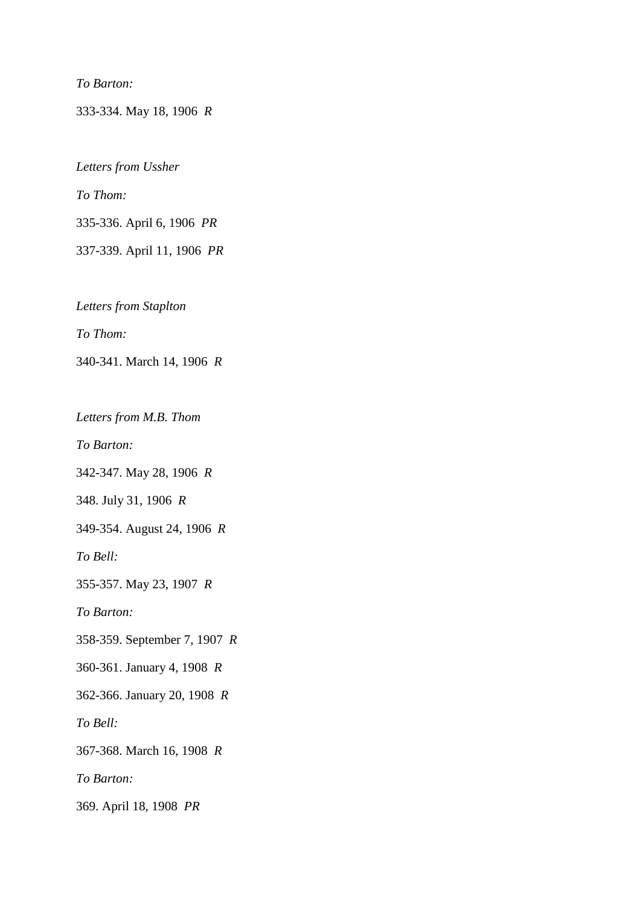*To Barton:*

333-334. May 18, 1906 *R*

*Letters from Ussher To Thom:* 335-336. April 6, 1906 *PR* 337-339. April 11, 1906 *PR*

*Letters from Staplton*

*To Thom:*

340-341. March 14, 1906 *R*

*Letters from M.B. Thom*

*To Barton:*

342-347. May 28, 1906 *R*

348. July 31, 1906 *R*

349-354. August 24, 1906 *R*

*To Bell:*

355-357. May 23, 1907 *R*

*To Barton:*

358-359. September 7, 1907 *R*

360-361. January 4, 1908 *R*

362-366. January 20, 1908 *R*

*To Bell:*

367-368. March 16, 1908 *R*

*To Barton:*

369. April 18, 1908 *PR*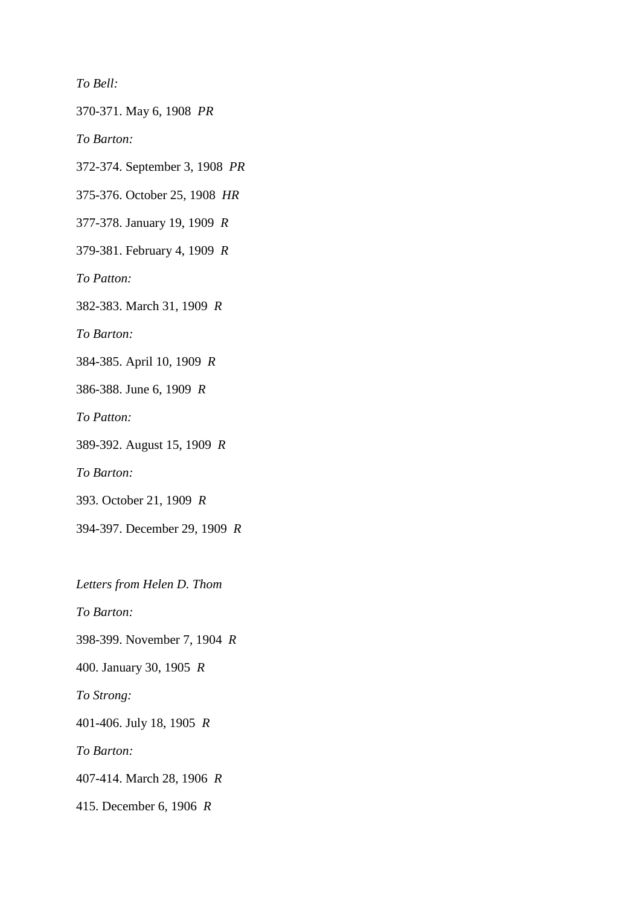*To Bell:*

370-371. May 6, 1908 *PR*

*To Barton:*

372-374. September 3, 1908 *PR*

375-376. October 25, 1908 *HR*

377-378. January 19, 1909 *R*

379-381. February 4, 1909 *R*

*To Patton:*

382-383. March 31, 1909 *R*

*To Barton:*

384-385. April 10, 1909 *R*

386-388. June 6, 1909 *R*

*To Patton:*

389-392. August 15, 1909 *R*

*To Barton:*

393. October 21, 1909 *R*

394-397. December 29, 1909 *R*

*Letters from Helen D. Thom*

*To Barton:*

398-399. November 7, 1904 *R*

400. January 30, 1905 *R*

*To Strong:*

401-406. July 18, 1905 *R*

*To Barton:*

407-414. March 28, 1906 *R*

415. December 6, 1906 *R*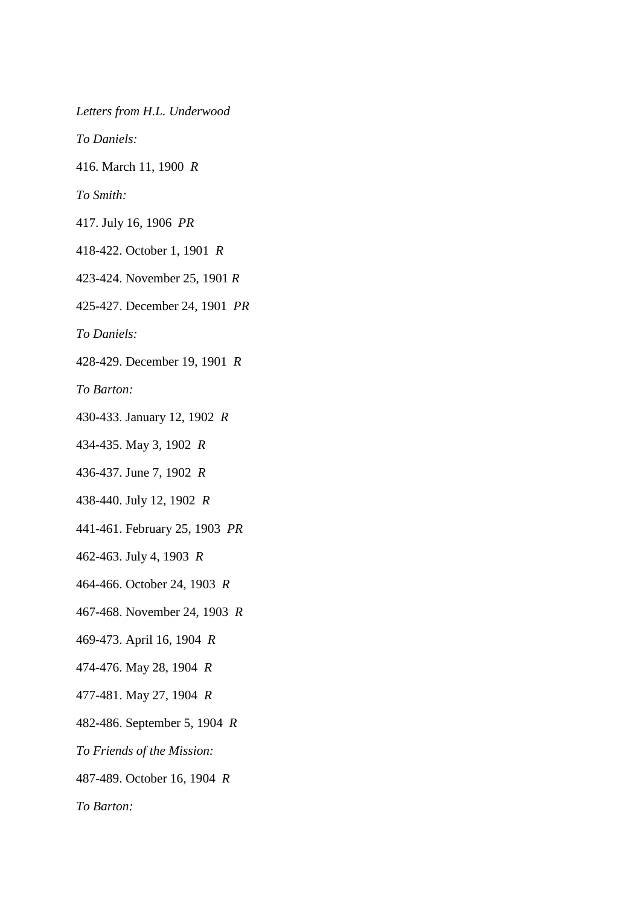*Letters from H.L. Underwood*

*To Daniels:*

416. March 11, 1900 *R*

*To Smith:*

417. July 16, 1906 *PR*

418-422. October 1, 1901 *R*

423-424. November 25, 1901 *R*

425-427. December 24, 1901 *PR*

*To Daniels:*

428-429. December 19, 1901 *R*

*To Barton:*

430-433. January 12, 1902 *R*

434-435. May 3, 1902 *R*

436-437. June 7, 1902 *R*

438-440. July 12, 1902 *R*

441-461. February 25, 1903 *PR*

462-463. July 4, 1903 *R*

464-466. October 24, 1903 *R*

467-468. November 24, 1903 *R*

469-473. April 16, 1904 *R*

474-476. May 28, 1904 *R*

477-481. May 27, 1904 *R*

482-486. September 5, 1904 *R*

*To Friends of the Mission:*

487-489. October 16, 1904 *R*

*To Barton:*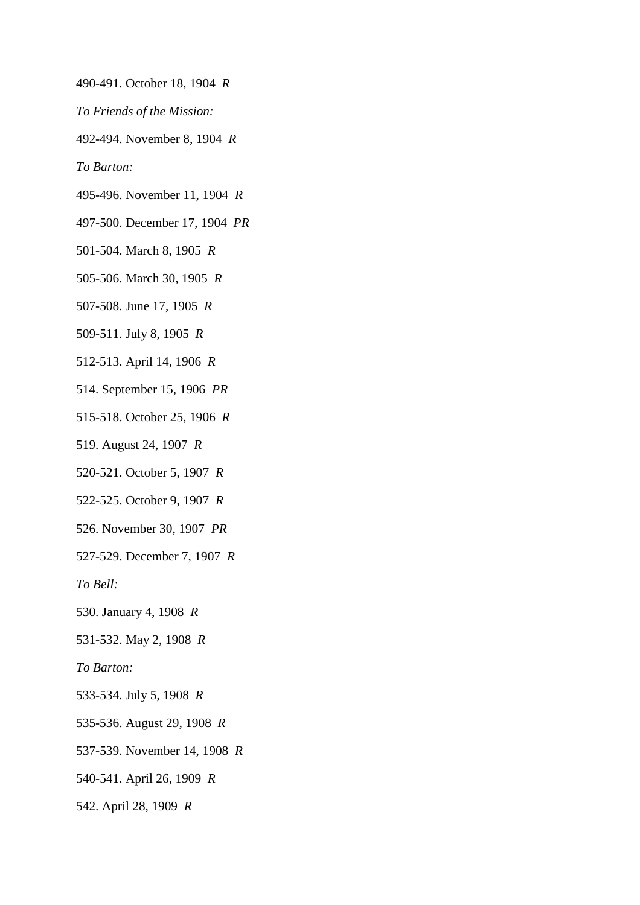- 490-491. October 18, 1904 *R*
- *To Friends of the Mission:*
- 492-494. November 8, 1904 *R*

*To Barton:*

- 495-496. November 11, 1904 *R*
- 497-500. December 17, 1904 *PR*

501-504. March 8, 1905 *R*

- 505-506. March 30, 1905 *R*
- 507-508. June 17, 1905 *R*
- 509-511. July 8, 1905 *R*
- 512-513. April 14, 1906 *R*
- 514. September 15, 1906 *PR*
- 515-518. October 25, 1906 *R*
- 519. August 24, 1907 *R*
- 520-521. October 5, 1907 *R*
- 522-525. October 9, 1907 *R*
- 526. November 30, 1907 *PR*
- 527-529. December 7, 1907 *R*

*To Bell:*

- 530. January 4, 1908 *R*
- 531-532. May 2, 1908 *R*
- *To Barton:*
- 533-534. July 5, 1908 *R*
- 535-536. August 29, 1908 *R*
- 537-539. November 14, 1908 *R*
- 540-541. April 26, 1909 *R*
- 542. April 28, 1909 *R*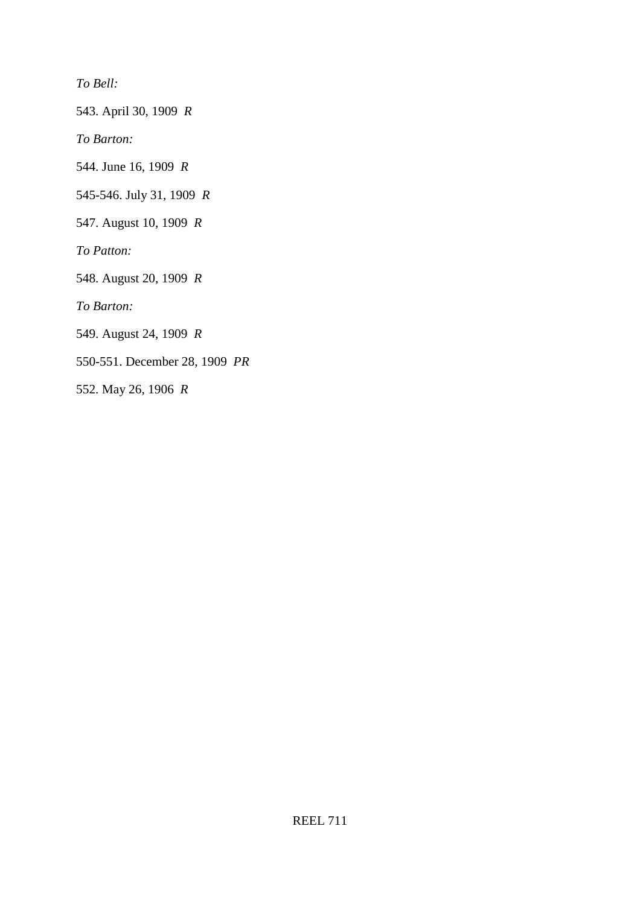*To Bell:*

543. April 30, 1909 *R*

*To Barton:*

544. June 16, 1909 *R*

545-546. July 31, 1909 *R*

547. August 10, 1909 *R*

*To Patton:*

548. August 20, 1909 *R*

*To Barton:*

549. August 24, 1909 *R*

550-551. December 28, 1909 *PR*

552. May 26, 1906 *R*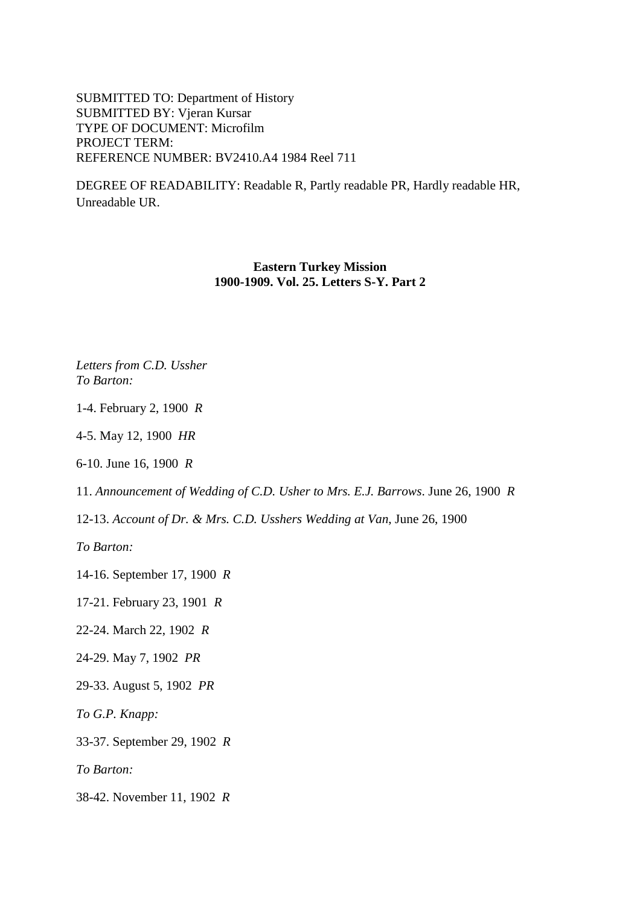SUBMITTED TO: Department of History SUBMITTED BY: Vjeran Kursar TYPE OF DOCUMENT: Microfilm PROJECT TERM: REFERENCE NUMBER: BV2410.A4 1984 Reel 711

DEGREE OF READABILITY: Readable R, Partly readable PR, Hardly readable HR, Unreadable UR.

## **Eastern Turkey Mission 1900-1909. Vol. 25. Letters S-Y. Part 2**

*Letters from C.D. Ussher To Barton:*

1-4. February 2, 1900 *R*

4-5. May 12, 1900 *HR*

6-10. June 16, 1900 *R*

11. *Announcement of Wedding of C.D. Usher to Mrs. E.J. Barrows*. June 26, 1900 *R*

12-13. *Account of Dr. & Mrs. C.D. Usshers Wedding at Van*, June 26, 1900

*To Barton:*

14-16. September 17, 1900 *R*

17-21. February 23, 1901 *R*

22-24. March 22, 1902 *R*

24-29. May 7, 1902 *PR*

29-33. August 5, 1902 *PR*

*To G.P. Knapp:*

33-37. September 29, 1902 *R*

*To Barton:*

38-42. November 11, 1902 *R*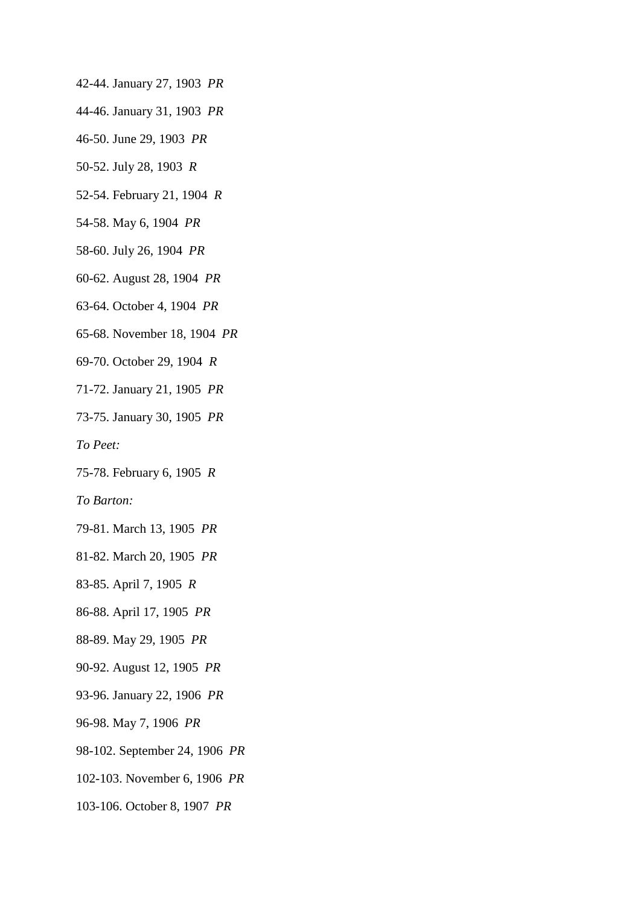- 42-44. January 27, 1903 *PR*
- 44-46. January 31, 1903 *PR*
- 46-50. June 29, 1903 *PR*
- 50-52. July 28, 1903 *R*
- 52-54. February 21, 1904 *R*
- 54-58. May 6, 1904 *PR*
- 58-60. July 26, 1904 *PR*
- 60-62. August 28, 1904 *PR*
- 63-64. October 4, 1904 *PR*
- 65-68. November 18, 1904 *PR*
- 69-70. October 29, 1904 *R*
- 71-72. January 21, 1905 *PR*
- 73-75. January 30, 1905 *PR*
- *To Peet:*
- 75-78. February 6, 1905 *R*
- *To Barton:*
- 79-81. March 13, 1905 *PR*
- 81-82. March 20, 1905 *PR*
- 83-85. April 7, 1905 *R*
- 86-88. April 17, 1905 *PR*
- 88-89. May 29, 1905 *PR*
- 90-92. August 12, 1905 *PR*
- 93-96. January 22, 1906 *PR*
- 96-98. May 7, 1906 *PR*
- 98-102. September 24, 1906 *PR*
- 102-103. November 6, 1906 *PR*
- 103-106. October 8, 1907 *PR*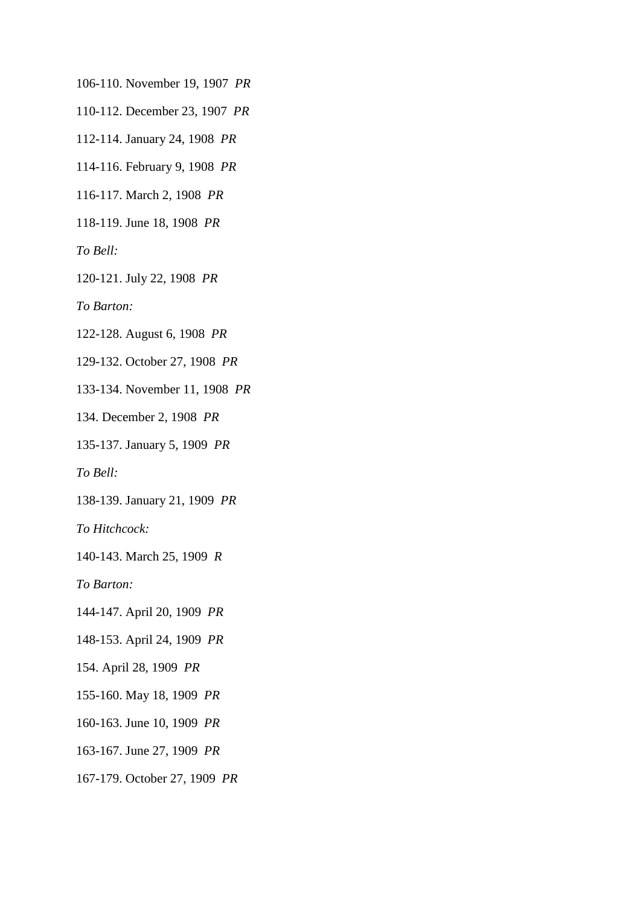106-110. November 19, 1907 *PR*

110-112. December 23, 1907 *PR*

112-114. January 24, 1908 *PR*

114-116. February 9, 1908 *PR*

116-117. March 2, 1908 *PR*

118-119. June 18, 1908 *PR*

*To Bell:*

120-121. July 22, 1908 *PR*

*To Barton:*

122-128. August 6, 1908 *PR*

129-132. October 27, 1908 *PR*

133-134. November 11, 1908 *PR*

134. December 2, 1908 *PR*

135-137. January 5, 1909 *PR*

*To Bell:*

138-139. January 21, 1909 *PR*

*To Hitchcock:*

140-143. March 25, 1909 *R*

*To Barton:*

144-147. April 20, 1909 *PR*

148-153. April 24, 1909 *PR*

154. April 28, 1909 *PR*

155-160. May 18, 1909 *PR*

160-163. June 10, 1909 *PR*

163-167. June 27, 1909 *PR*

167-179. October 27, 1909 *PR*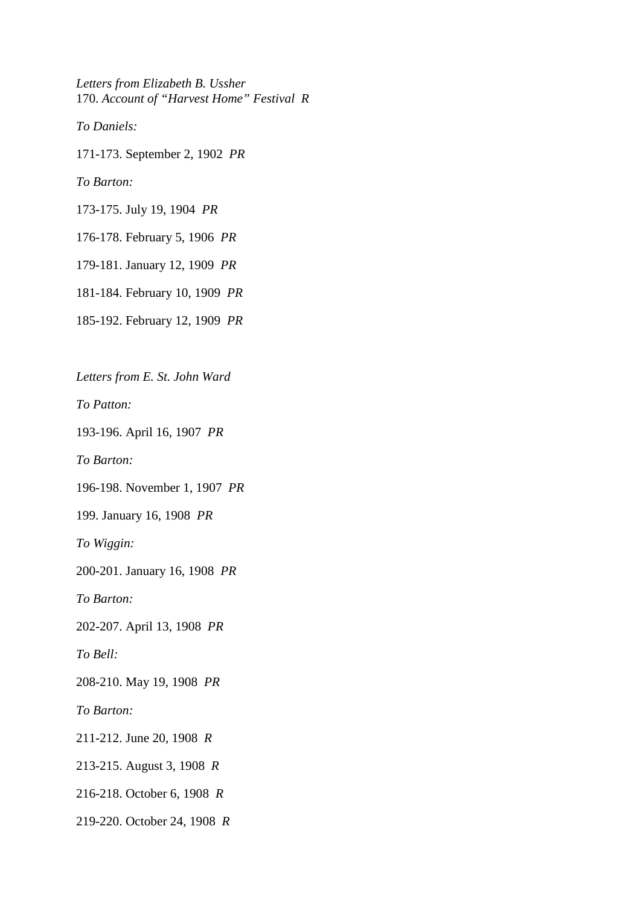*Letters from Elizabeth B. Ussher*  170. *Account of "Harvest Home" Festival R*

*To Daniels:*

171-173. September 2, 1902 *PR*

*To Barton:*

173-175. July 19, 1904 *PR*

176-178. February 5, 1906 *PR*

179-181. January 12, 1909 *PR*

181-184. February 10, 1909 *PR*

185-192. February 12, 1909 *PR*

*Letters from E. St. John Ward*

*To Patton:*

193-196. April 16, 1907 *PR*

*To Barton:*

196-198. November 1, 1907 *PR*

199. January 16, 1908 *PR*

*To Wiggin:*

200-201. January 16, 1908 *PR*

*To Barton:*

202-207. April 13, 1908 *PR*

*To Bell:*

208-210. May 19, 1908 *PR*

*To Barton:*

211-212. June 20, 1908 *R*

213-215. August 3, 1908 *R*

216-218. October 6, 1908 *R*

219-220. October 24, 1908 *R*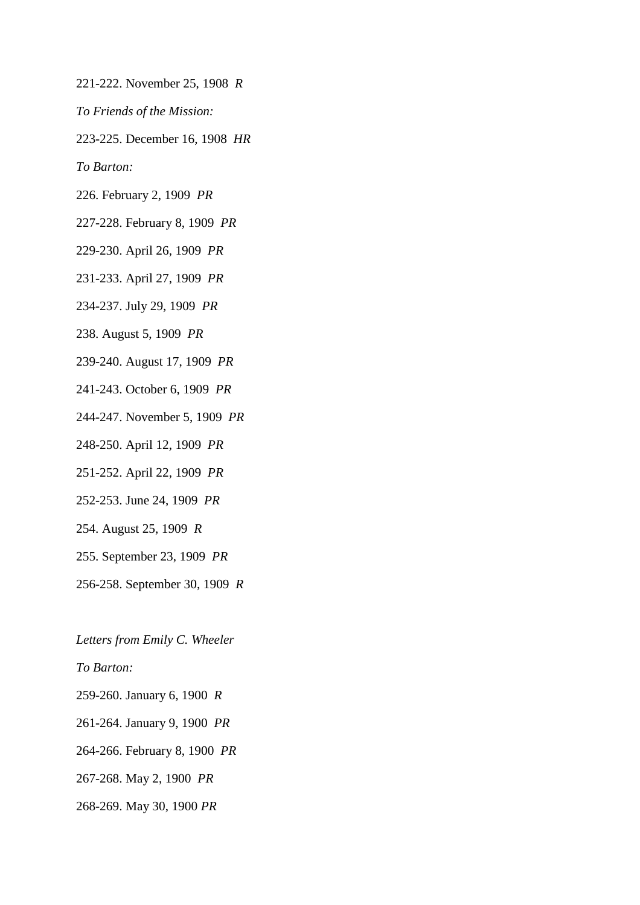- 221-222. November 25, 1908 *R*
- *To Friends of the Mission:*
- 223-225. December 16, 1908 *HR*

*To Barton:*

- 226. February 2, 1909 *PR*
- 227-228. February 8, 1909 *PR*
- 229-230. April 26, 1909 *PR*
- 231-233. April 27, 1909 *PR*
- 234-237. July 29, 1909 *PR*
- 238. August 5, 1909 *PR*
- 239-240. August 17, 1909 *PR*
- 241-243. October 6, 1909 *PR*
- 244-247. November 5, 1909 *PR*
- 248-250. April 12, 1909 *PR*
- 251-252. April 22, 1909 *PR*
- 252-253. June 24, 1909 *PR*
- 254. August 25, 1909 *R*
- 255. September 23, 1909 *PR*
- 256-258. September 30, 1909 *R*

*Letters from Emily C. Wheeler*

*To Barton:*

259-260. January 6, 1900 *R*

261-264. January 9, 1900 *PR*

264-266. February 8, 1900 *PR*

267-268. May 2, 1900 *PR*

268-269. May 30, 1900 *PR*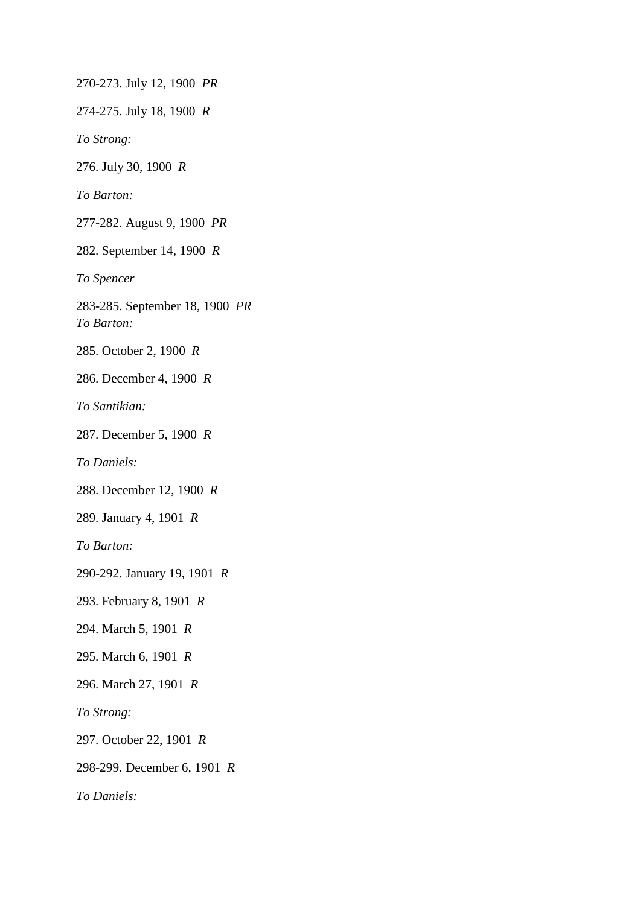270-273. July 12, 1900 *PR* 274-275. July 18, 1900 *R To Strong:* 276. July 30, 1900 *R To Barton:* 277-282. August 9, 1900 *PR* 282. September 14, 1900 *R To Spencer* 283-285. September 18, 1900 *PR To Barton:* 285. October 2, 1900 *R* 286. December 4, 1900 *R To Santikian:* 287. December 5, 1900 *R To Daniels:* 288. December 12, 1900 *R* 289. January 4, 1901 *R To Barton:* 290-292. January 19, 1901 *R* 293. February 8, 1901 *R* 294. March 5, 1901 *R* 295. March 6, 1901 *R* 296. March 27, 1901 *R To Strong:* 297. October 22, 1901 *R* 298-299. December 6, 1901 *R To Daniels:*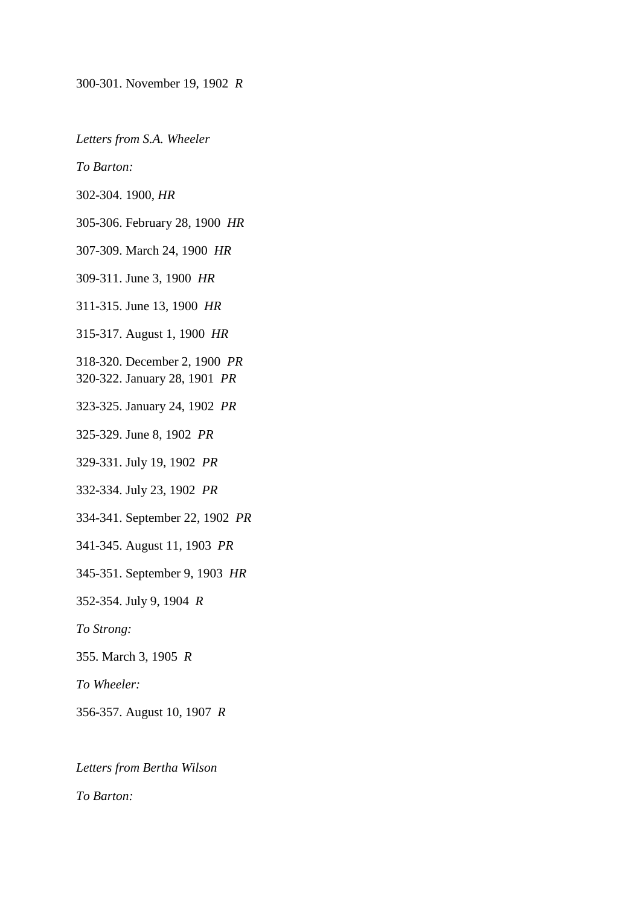300-301. November 19, 1902 *R*

*Letters from S.A. Wheeler*

*To Barton:*

302-304. 1900, *HR*

305-306. February 28, 1900 *HR*

307-309. March 24, 1900 *HR*

309-311. June 3, 1900 *HR*

311-315. June 13, 1900 *HR*

315-317. August 1, 1900 *HR*

318-320. December 2, 1900 *PR* 

320-322. January 28, 1901 *PR*

323-325. January 24, 1902 *PR*

325-329. June 8, 1902 *PR*

329-331. July 19, 1902 *PR*

332-334. July 23, 1902 *PR*

334-341. September 22, 1902 *PR*

341-345. August 11, 1903 *PR*

345-351. September 9, 1903 *HR*

352-354. July 9, 1904 *R*

*To Strong:*

355. March 3, 1905 *R*

*To Wheeler:*

356-357. August 10, 1907 *R*

*Letters from Bertha Wilson*

*To Barton:*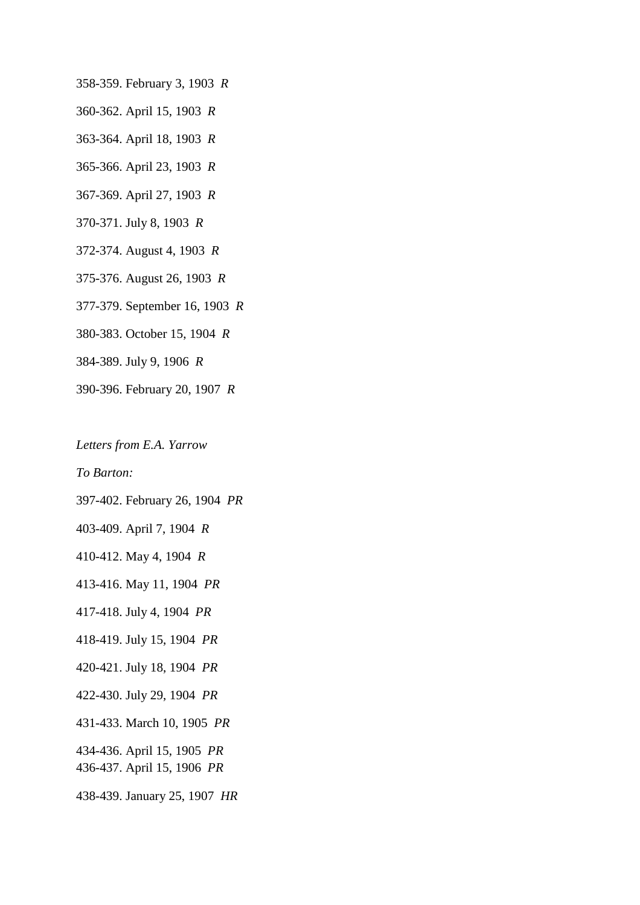358-359. February 3, 1903 *R*

- 360-362. April 15, 1903 *R*
- 363-364. April 18, 1903 *R*
- 365-366. April 23, 1903 *R*
- 367-369. April 27, 1903 *R*
- 370-371. July 8, 1903 *R*
- 372-374. August 4, 1903 *R*
- 375-376. August 26, 1903 *R*
- 377-379. September 16, 1903 *R*
- 380-383. October 15, 1904 *R*
- 384-389. July 9, 1906 *R*
- 390-396. February 20, 1907 *R*

*Letters from E.A. Yarrow*

*To Barton:*

397-402. February 26, 1904 *PR*

403-409. April 7, 1904 *R*

410-412. May 4, 1904 *R*

413-416. May 11, 1904 *PR*

417-418. July 4, 1904 *PR*

418-419. July 15, 1904 *PR*

- 420-421. July 18, 1904 *PR*
- 422-430. July 29, 1904 *PR*
- 431-433. March 10, 1905 *PR*

434-436. April 15, 1905 *PR*  436-437. April 15, 1906 *PR*

438-439. January 25, 1907 *HR*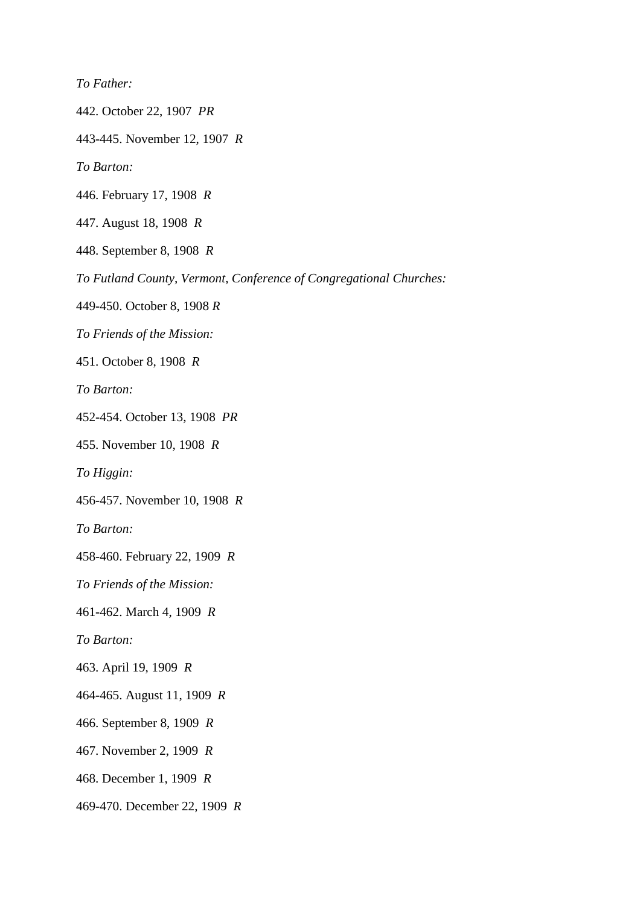*To Father:*

442. October 22, 1907 *PR*

443-445. November 12, 1907 *R*

*To Barton:*

446. February 17, 1908 *R*

447. August 18, 1908 *R*

448. September 8, 1908 *R*

*To Futland County, Vermont, Conference of Congregational Churches:*

449-450. October 8, 1908 *R*

*To Friends of the Mission:*

451. October 8, 1908 *R*

*To Barton:*

452-454. October 13, 1908 *PR*

455. November 10, 1908 *R*

*To Higgin:*

456-457. November 10, 1908 *R*

*To Barton:*

458-460. February 22, 1909 *R*

*To Friends of the Mission:*

461-462. March 4, 1909 *R*

*To Barton:*

463. April 19, 1909 *R*

464-465. August 11, 1909 *R*

466. September 8, 1909 *R*

467. November 2, 1909 *R*

468. December 1, 1909 *R*

469-470. December 22, 1909 *R*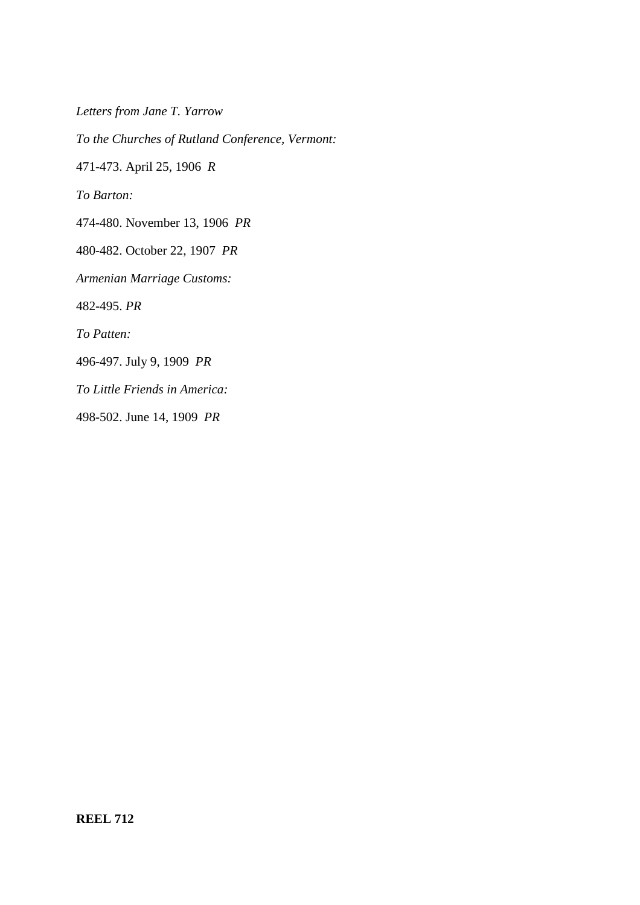*Letters from Jane T. Yarrow*

*To the Churches of Rutland Conference, Vermont:*

471-473. April 25, 1906 *R*

*To Barton:*

474-480. November 13, 1906 *PR*

480-482. October 22, 1907 *PR*

*Armenian Marriage Customs:*

482-495. *PR*

*To Patten:*

496-497. July 9, 1909 *PR*

*To Little Friends in America:*

498-502. June 14, 1909 *PR*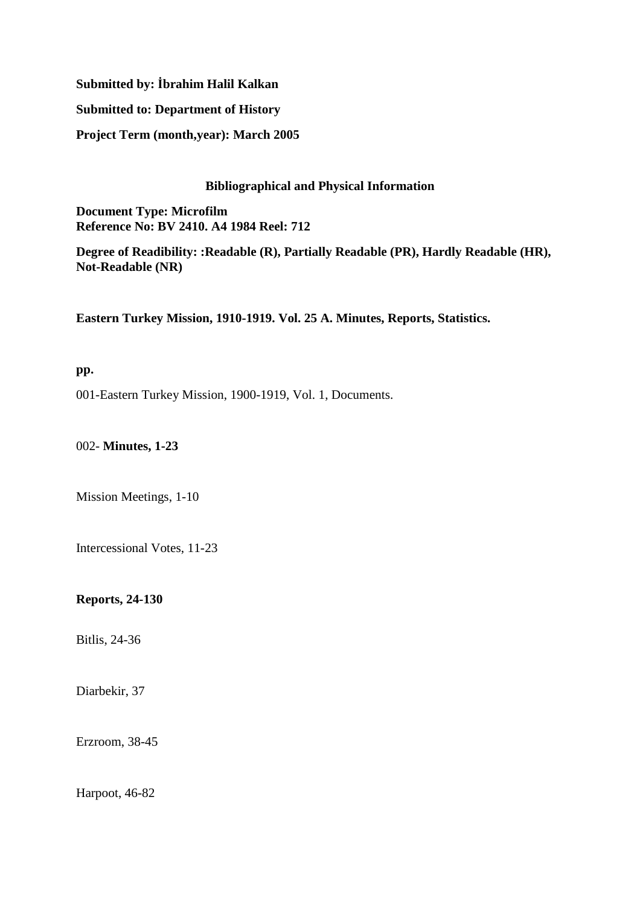# **Submitted by: İbrahim Halil Kalkan**

## **Submitted to: Department of History**

**Project Term (month,year): March 2005**

## **Bibliographical and Physical Information**

**Document Type: Microfilm Reference No: BV 2410. A4 1984 Reel: 712**

**Degree of Readibility: :Readable (R), Partially Readable (PR), Hardly Readable (HR), Not-Readable (NR)**

**Eastern Turkey Mission, 1910-1919. Vol. 25 A. Minutes, Reports, Statistics.**

## **pp.**

001-Eastern Turkey Mission, 1900-1919, Vol. 1, Documents.

002- **Minutes, 1-23**

Mission Meetings, 1-10

Intercessional Votes, 11-23

**Reports, 24-130** 

Bitlis, 24-36

Diarbekir, 37

Erzroom, 38-45

Harpoot, 46-82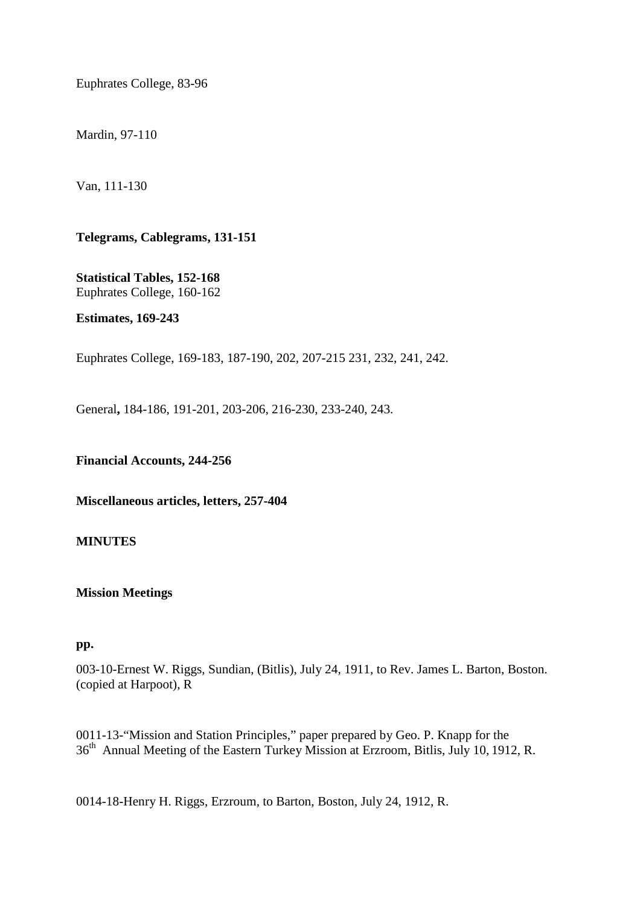Euphrates College, 83-96

Mardin, 97-110

Van, 111-130

**Telegrams, Cablegrams, 131-151** 

**Statistical Tables, 152-168**  Euphrates College, 160-162

**Estimates, 169-243** 

Euphrates College, 169-183, 187-190, 202, 207-215 231, 232, 241, 242.

General**,** 184-186, 191-201, 203-206, 216-230, 233-240, 243.

**Financial Accounts, 244-256** 

**Miscellaneous articles, letters, 257-404** 

#### **MINUTES**

### **Mission Meetings**

#### **pp.**

003-10-Ernest W. Riggs, Sundian, (Bitlis), July 24, 1911, to Rev. James L. Barton, Boston. (copied at Harpoot), R

0011-13-"Mission and Station Principles," paper prepared by Geo. P. Knapp for the 36th Annual Meeting of the Eastern Turkey Mission at Erzroom, Bitlis, July 10, 1912, R.

0014-18-Henry H. Riggs, Erzroum, to Barton, Boston, July 24, 1912, R.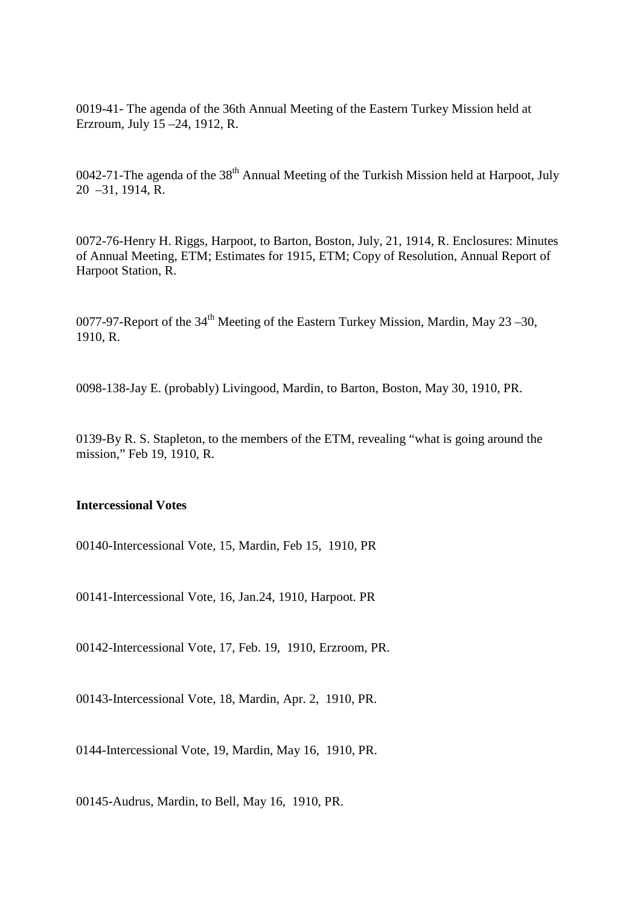0019-41- The agenda of the 36th Annual Meeting of the Eastern Turkey Mission held at Erzroum, July 15 –24, 1912, R.

0042-71-The agenda of the  $38<sup>th</sup>$  Annual Meeting of the Turkish Mission held at Harpoot, July 20 –31, 1914, R.

0072-76-Henry H. Riggs, Harpoot, to Barton, Boston, July, 21, 1914, R. Enclosures: Minutes of Annual Meeting, ETM; Estimates for 1915, ETM; Copy of Resolution, Annual Report of Harpoot Station, R.

0077-97-Report of the  $34<sup>th</sup>$  Meeting of the Eastern Turkey Mission, Mardin, May 23 – 30, 1910, R.

0098-138-Jay E. (probably) Livingood, Mardin, to Barton, Boston, May 30, 1910, PR.

0139-By R. S. Stapleton, to the members of the ETM, revealing "what is going around the mission," Feb 19, 1910, R.

### **Intercessional Votes**

00140-Intercessional Vote, 15, Mardin, Feb 15, 1910, PR

00141-Intercessional Vote, 16, Jan.24, 1910, Harpoot. PR

00142-Intercessional Vote, 17, Feb. 19, 1910, Erzroom, PR.

00143-Intercessional Vote, 18, Mardin, Apr. 2, 1910, PR.

0144-Intercessional Vote, 19, Mardin, May 16, 1910, PR.

00145-Audrus, Mardin, to Bell, May 16, 1910, PR.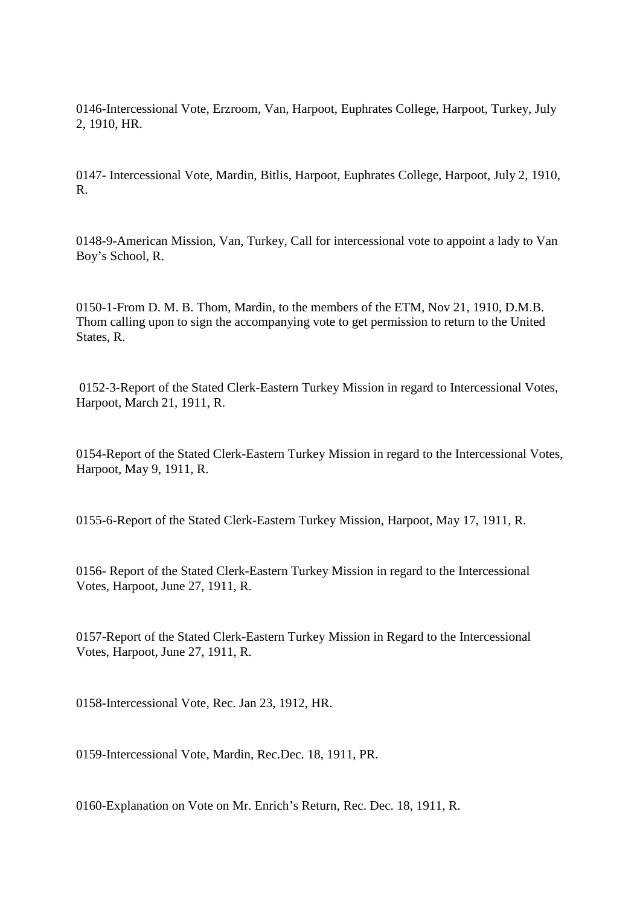0146-Intercessional Vote, Erzroom, Van, Harpoot, Euphrates College, Harpoot, Turkey, July 2, 1910, HR.

0147- Intercessional Vote, Mardin, Bitlis, Harpoot, Euphrates College, Harpoot, July 2, 1910, R.

0148-9-American Mission, Van, Turkey, Call for intercessional vote to appoint a lady to Van Boy's School, R.

0150-1-From D. M. B. Thom, Mardin, to the members of the ETM, Nov 21, 1910, D.M.B. Thom calling upon to sign the accompanying vote to get permission to return to the United States, R.

 0152-3-Report of the Stated Clerk-Eastern Turkey Mission in regard to Intercessional Votes, Harpoot, March 21, 1911, R.

0154-Report of the Stated Clerk-Eastern Turkey Mission in regard to the Intercessional Votes, Harpoot, May 9, 1911, R.

0155-6-Report of the Stated Clerk-Eastern Turkey Mission, Harpoot, May 17, 1911, R.

0156- Report of the Stated Clerk-Eastern Turkey Mission in regard to the Intercessional Votes, Harpoot, June 27, 1911, R.

0157-Report of the Stated Clerk-Eastern Turkey Mission in Regard to the Intercessional Votes, Harpoot, June 27, 1911, R.

0158-Intercessional Vote, Rec. Jan 23, 1912, HR.

0159-Intercessional Vote, Mardin, Rec.Dec. 18, 1911, PR.

0160-Explanation on Vote on Mr. Enrich's Return, Rec. Dec. 18, 1911, R.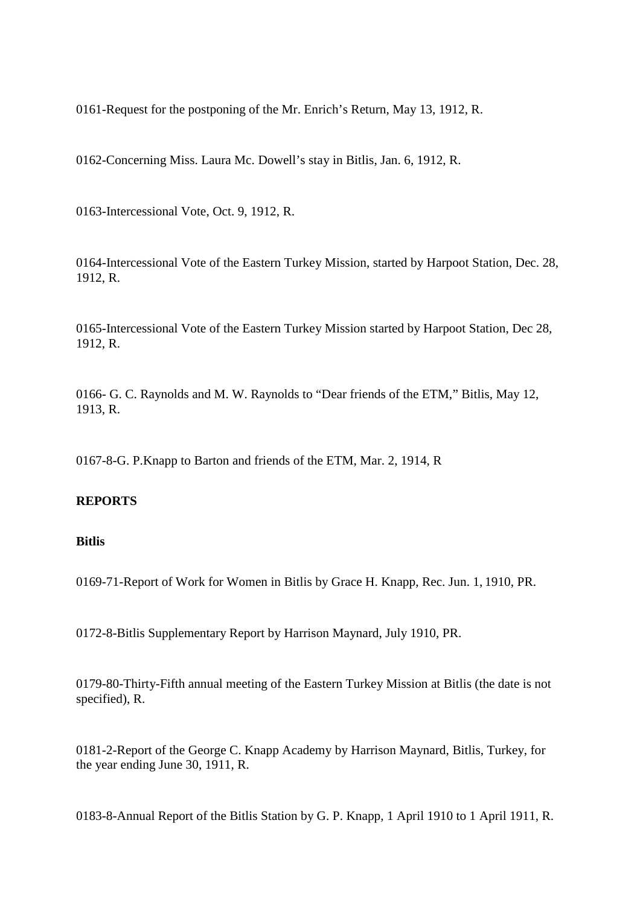0161-Request for the postponing of the Mr. Enrich's Return, May 13, 1912, R.

0162-Concerning Miss. Laura Mc. Dowell's stay in Bitlis, Jan. 6, 1912, R.

0163-Intercessional Vote, Oct. 9, 1912, R.

0164-Intercessional Vote of the Eastern Turkey Mission, started by Harpoot Station, Dec. 28, 1912, R.

0165-Intercessional Vote of the Eastern Turkey Mission started by Harpoot Station, Dec 28, 1912, R.

0166- G. C. Raynolds and M. W. Raynolds to "Dear friends of the ETM," Bitlis, May 12, 1913, R.

0167-8-G. P.Knapp to Barton and friends of the ETM, Mar. 2, 1914, R

### **REPORTS**

#### **Bitlis**

0169-71-Report of Work for Women in Bitlis by Grace H. Knapp, Rec. Jun. 1, 1910, PR.

0172-8-Bitlis Supplementary Report by Harrison Maynard, July 1910, PR.

0179-80-Thirty-Fifth annual meeting of the Eastern Turkey Mission at Bitlis (the date is not specified), R.

0181-2-Report of the George C. Knapp Academy by Harrison Maynard, Bitlis, Turkey, for the year ending June 30, 1911, R.

0183-8-Annual Report of the Bitlis Station by G. P. Knapp, 1 April 1910 to 1 April 1911, R.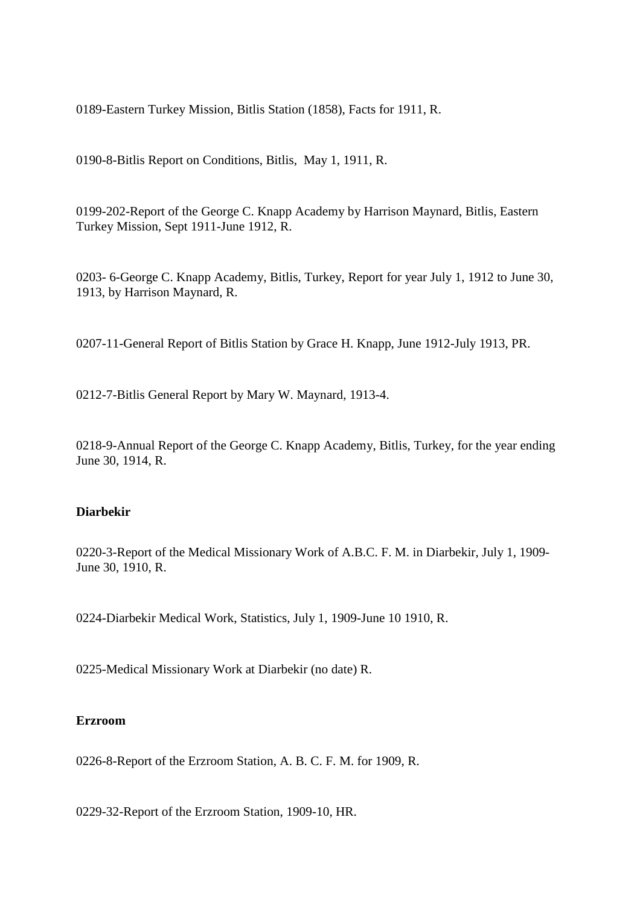0189-Eastern Turkey Mission, Bitlis Station (1858), Facts for 1911, R.

0190-8-Bitlis Report on Conditions, Bitlis, May 1, 1911, R.

0199-202-Report of the George C. Knapp Academy by Harrison Maynard, Bitlis, Eastern Turkey Mission, Sept 1911-June 1912, R.

0203- 6-George C. Knapp Academy, Bitlis, Turkey, Report for year July 1, 1912 to June 30, 1913, by Harrison Maynard, R.

0207-11-General Report of Bitlis Station by Grace H. Knapp, June 1912-July 1913, PR.

0212-7-Bitlis General Report by Mary W. Maynard, 1913-4.

0218-9-Annual Report of the George C. Knapp Academy, Bitlis, Turkey, for the year ending June 30, 1914, R.

## **Diarbekir**

0220-3-Report of the Medical Missionary Work of A.B.C. F. M. in Diarbekir, July 1, 1909- June 30, 1910, R.

0224-Diarbekir Medical Work, Statistics, July 1, 1909-June 10 1910, R.

0225-Medical Missionary Work at Diarbekir (no date) R.

#### **Erzroom**

0226-8-Report of the Erzroom Station, A. B. C. F. M. for 1909, R.

0229-32-Report of the Erzroom Station, 1909-10, HR.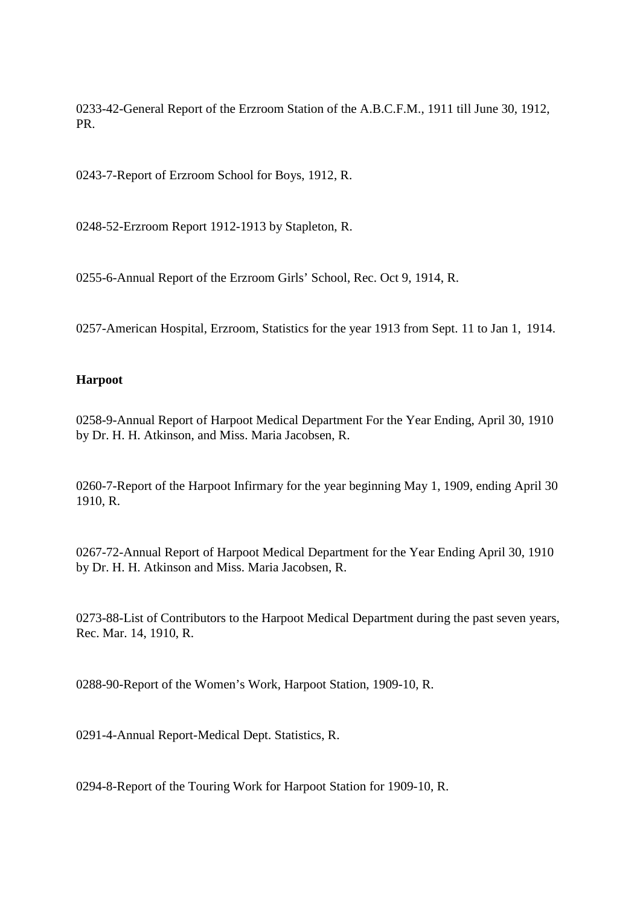0233-42-General Report of the Erzroom Station of the A.B.C.F.M., 1911 till June 30, 1912, PR.

0243-7-Report of Erzroom School for Boys, 1912, R.

0248-52-Erzroom Report 1912-1913 by Stapleton, R.

0255-6-Annual Report of the Erzroom Girls' School, Rec. Oct 9, 1914, R.

0257-American Hospital, Erzroom, Statistics for the year 1913 from Sept. 11 to Jan 1, 1914.

## **Harpoot**

0258-9-Annual Report of Harpoot Medical Department For the Year Ending, April 30, 1910 by Dr. H. H. Atkinson, and Miss. Maria Jacobsen, R.

0260-7-Report of the Harpoot Infirmary for the year beginning May 1, 1909, ending April 30 1910, R.

0267-72-Annual Report of Harpoot Medical Department for the Year Ending April 30, 1910 by Dr. H. H. Atkinson and Miss. Maria Jacobsen, R.

0273-88-List of Contributors to the Harpoot Medical Department during the past seven years, Rec. Mar. 14, 1910, R.

0288-90-Report of the Women's Work, Harpoot Station, 1909-10, R.

0291-4-Annual Report-Medical Dept. Statistics, R.

0294-8-Report of the Touring Work for Harpoot Station for 1909-10, R.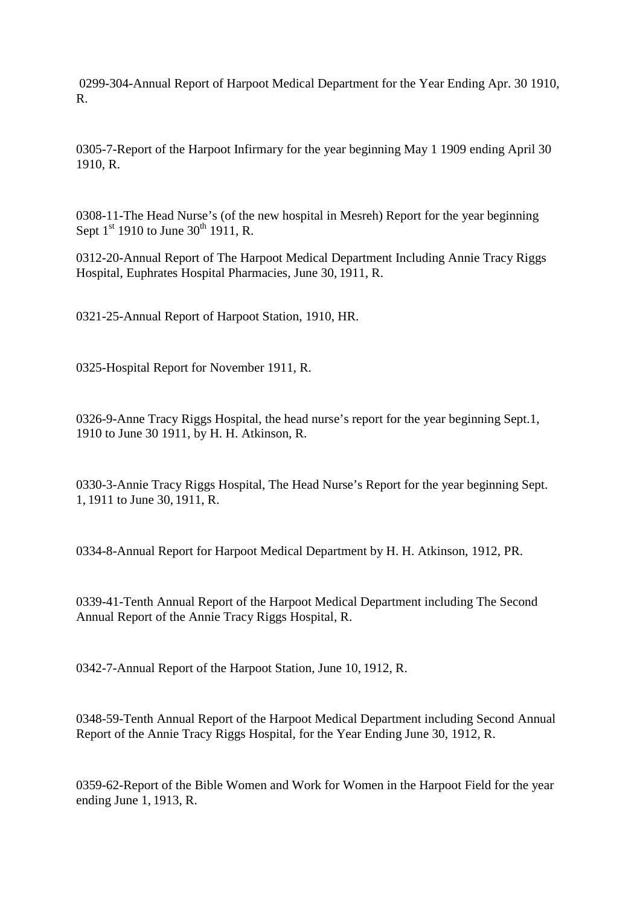0299-304-Annual Report of Harpoot Medical Department for the Year Ending Apr. 30 1910, R.

0305-7-Report of the Harpoot Infirmary for the year beginning May 1 1909 ending April 30 1910, R.

0308-11-The Head Nurse's (of the new hospital in Mesreh) Report for the year beginning Sept  $1^{st}$  1910 to June 30<sup>th</sup> 1911, R.

0312-20-Annual Report of The Harpoot Medical Department Including Annie Tracy Riggs Hospital, Euphrates Hospital Pharmacies, June 30, 1911, R.

0321-25-Annual Report of Harpoot Station, 1910, HR.

0325-Hospital Report for November 1911, R.

0326-9-Anne Tracy Riggs Hospital, the head nurse's report for the year beginning Sept.1, 1910 to June 30 1911, by H. H. Atkinson, R.

0330-3-Annie Tracy Riggs Hospital, The Head Nurse's Report for the year beginning Sept. 1, 1911 to June 30, 1911, R.

0334-8-Annual Report for Harpoot Medical Department by H. H. Atkinson, 1912, PR.

0339-41-Tenth Annual Report of the Harpoot Medical Department including The Second Annual Report of the Annie Tracy Riggs Hospital, R.

0342-7-Annual Report of the Harpoot Station, June 10, 1912, R.

0348-59-Tenth Annual Report of the Harpoot Medical Department including Second Annual Report of the Annie Tracy Riggs Hospital, for the Year Ending June 30, 1912, R.

0359-62-Report of the Bible Women and Work for Women in the Harpoot Field for the year ending June 1, 1913, R.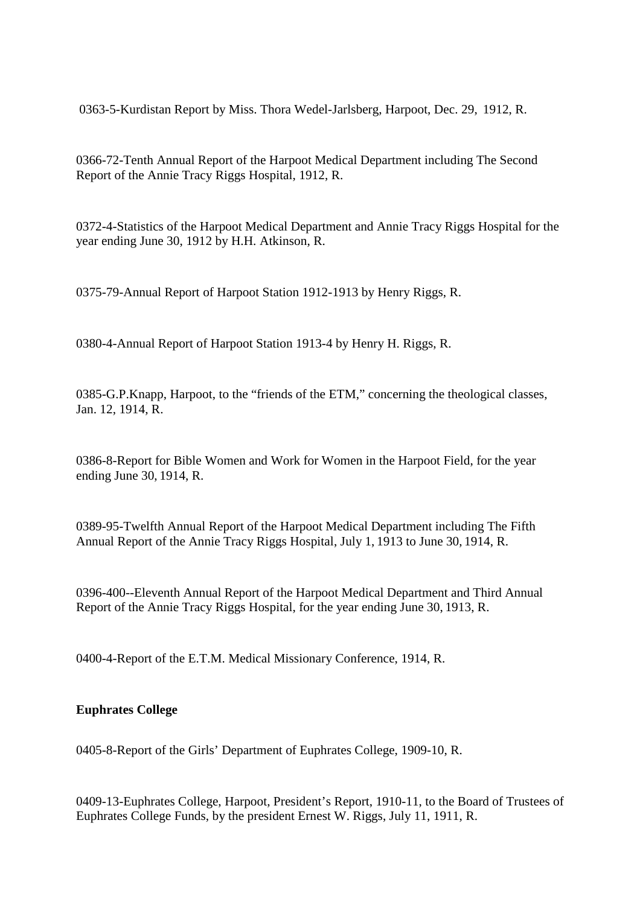0363-5-Kurdistan Report by Miss. Thora Wedel-Jarlsberg, Harpoot, Dec. 29, 1912, R.

0366-72-Tenth Annual Report of the Harpoot Medical Department including The Second Report of the Annie Tracy Riggs Hospital, 1912, R.

0372-4-Statistics of the Harpoot Medical Department and Annie Tracy Riggs Hospital for the year ending June 30, 1912 by H.H. Atkinson, R.

0375-79-Annual Report of Harpoot Station 1912-1913 by Henry Riggs, R.

0380-4-Annual Report of Harpoot Station 1913-4 by Henry H. Riggs, R.

0385-G.P.Knapp, Harpoot, to the "friends of the ETM," concerning the theological classes, Jan. 12, 1914, R.

0386-8-Report for Bible Women and Work for Women in the Harpoot Field, for the year ending June 30, 1914, R.

0389-95-Twelfth Annual Report of the Harpoot Medical Department including The Fifth Annual Report of the Annie Tracy Riggs Hospital, July 1, 1913 to June 30, 1914, R.

0396-400--Eleventh Annual Report of the Harpoot Medical Department and Third Annual Report of the Annie Tracy Riggs Hospital, for the year ending June 30, 1913, R.

0400-4-Report of the E.T.M. Medical Missionary Conference, 1914, R.

# **Euphrates College**

0405-8-Report of the Girls' Department of Euphrates College, 1909-10, R.

0409-13-Euphrates College, Harpoot, President's Report, 1910-11, to the Board of Trustees of Euphrates College Funds, by the president Ernest W. Riggs, July 11, 1911, R.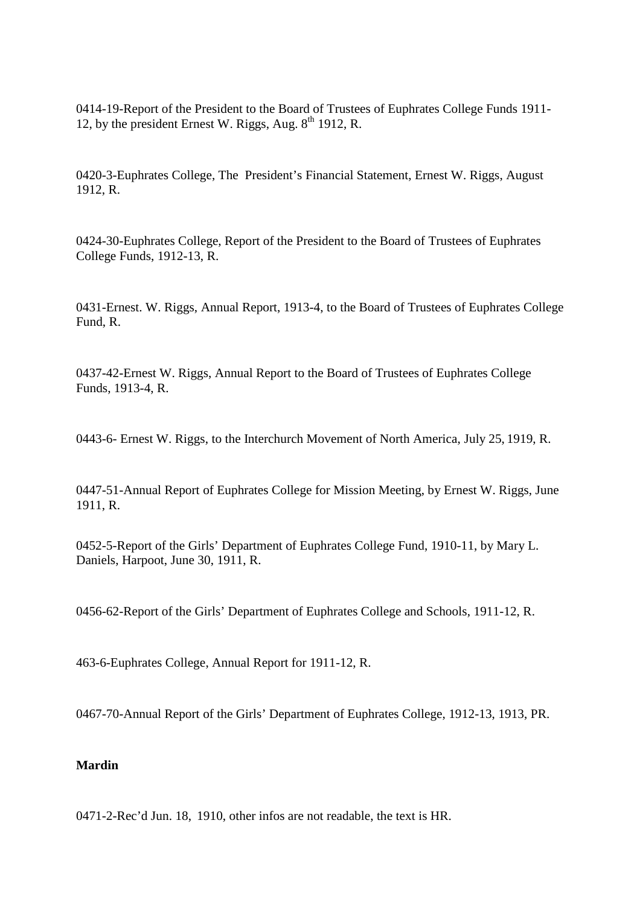0414-19-Report of the President to the Board of Trustees of Euphrates College Funds 1911- 12, by the president Ernest W. Riggs, Aug.  $8<sup>th</sup>$  1912, R.

0420-3-Euphrates College, The President's Financial Statement, Ernest W. Riggs, August 1912, R.

0424-30-Euphrates College, Report of the President to the Board of Trustees of Euphrates College Funds, 1912-13, R.

0431-Ernest. W. Riggs, Annual Report, 1913-4, to the Board of Trustees of Euphrates College Fund, R.

0437-42-Ernest W. Riggs, Annual Report to the Board of Trustees of Euphrates College Funds, 1913-4, R.

0443-6- Ernest W. Riggs, to the Interchurch Movement of North America, July 25, 1919, R.

0447-51-Annual Report of Euphrates College for Mission Meeting, by Ernest W. Riggs, June 1911, R.

0452-5-Report of the Girls' Department of Euphrates College Fund, 1910-11, by Mary L. Daniels, Harpoot, June 30, 1911, R.

0456-62-Report of the Girls' Department of Euphrates College and Schools, 1911-12, R.

463-6-Euphrates College, Annual Report for 1911-12, R.

0467-70-Annual Report of the Girls' Department of Euphrates College, 1912-13, 1913, PR.

### **Mardin**

0471-2-Rec'd Jun. 18, 1910, other infos are not readable, the text is HR.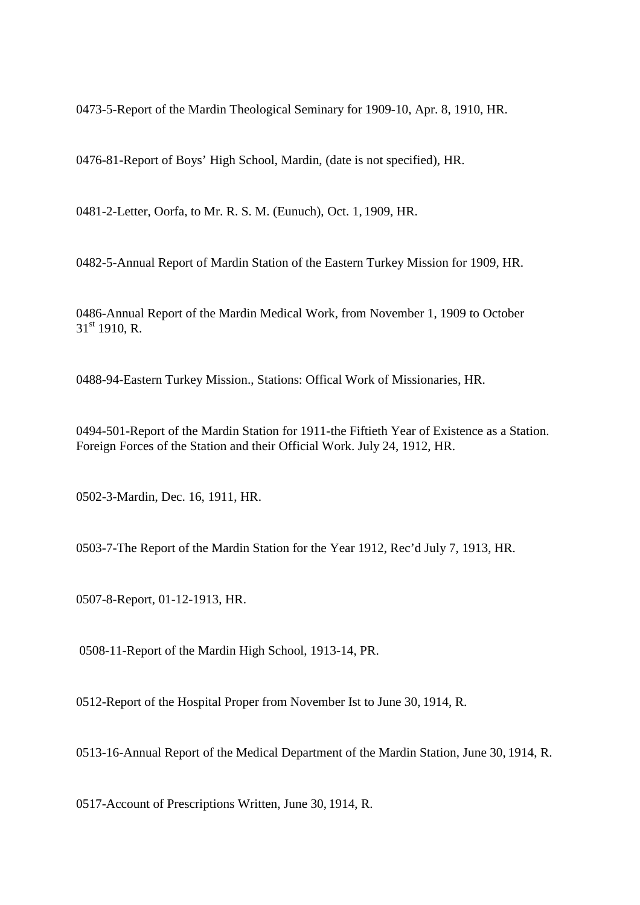0473-5-Report of the Mardin Theological Seminary for 1909-10, Apr. 8, 1910, HR.

0476-81-Report of Boys' High School, Mardin, (date is not specified), HR.

0481-2-Letter, Oorfa, to Mr. R. S. M. (Eunuch), Oct. 1, 1909, HR.

0482-5-Annual Report of Mardin Station of the Eastern Turkey Mission for 1909, HR.

0486-Annual Report of the Mardin Medical Work, from November 1, 1909 to October  $31<sup>st</sup> 1910$ , R.

0488-94-Eastern Turkey Mission., Stations: Offical Work of Missionaries, HR.

0494-501-Report of the Mardin Station for 1911-the Fiftieth Year of Existence as a Station. Foreign Forces of the Station and their Official Work. July 24, 1912, HR.

0502-3-Mardin, Dec. 16, 1911, HR.

0503-7-The Report of the Mardin Station for the Year 1912, Rec'd July 7, 1913, HR.

0507-8-Report, 01-12-1913, HR.

0508-11-Report of the Mardin High School, 1913-14, PR.

0512-Report of the Hospital Proper from November Ist to June 30, 1914, R.

0513-16-Annual Report of the Medical Department of the Mardin Station, June 30, 1914, R.

0517-Account of Prescriptions Written, June 30, 1914, R.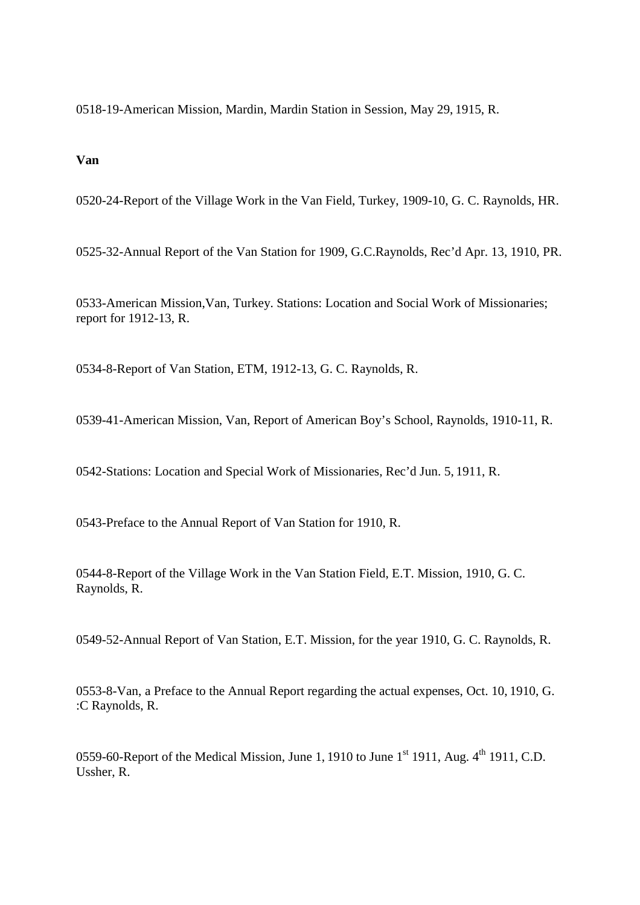0518-19-American Mission, Mardin, Mardin Station in Session, May 29, 1915, R.

## **Van**

0520-24-Report of the Village Work in the Van Field, Turkey, 1909-10, G. C. Raynolds, HR.

0525-32-Annual Report of the Van Station for 1909, G.C.Raynolds, Rec'd Apr. 13, 1910, PR.

0533-American Mission,Van, Turkey. Stations: Location and Social Work of Missionaries; report for 1912-13, R.

0534-8-Report of Van Station, ETM, 1912-13, G. C. Raynolds, R.

0539-41-American Mission, Van, Report of American Boy's School, Raynolds, 1910-11, R.

0542-Stations: Location and Special Work of Missionaries, Rec'd Jun. 5, 1911, R.

0543-Preface to the Annual Report of Van Station for 1910, R.

0544-8-Report of the Village Work in the Van Station Field, E.T. Mission, 1910, G. C. Raynolds, R.

0549-52-Annual Report of Van Station, E.T. Mission, for the year 1910, G. C. Raynolds, R.

0553-8-Van, a Preface to the Annual Report regarding the actual expenses, Oct. 10, 1910, G. :C Raynolds, R.

0559-60-Report of the Medical Mission, June 1, 1910 to June  $1^{st}$  1911, Aug.  $4^{th}$  1911, C.D. Ussher, R.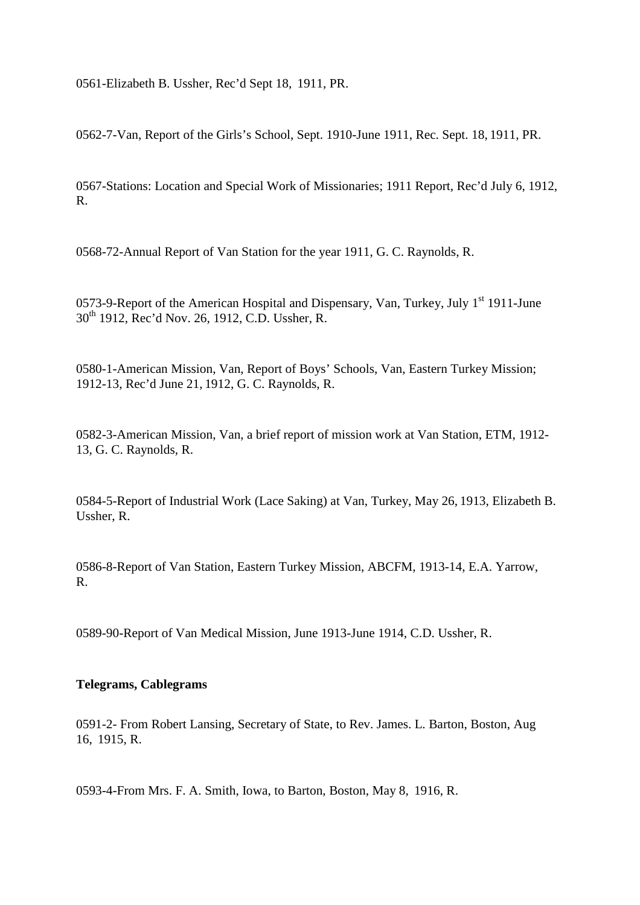0561-Elizabeth B. Ussher, Rec'd Sept 18, 1911, PR.

0562-7-Van, Report of the Girls's School, Sept. 1910-June 1911, Rec. Sept. 18, 1911, PR.

0567-Stations: Location and Special Work of Missionaries; 1911 Report, Rec'd July 6, 1912, R.

0568-72-Annual Report of Van Station for the year 1911, G. C. Raynolds, R.

0573-9-Report of the American Hospital and Dispensary, Van, Turkey, July 1<sup>st</sup> 1911-June 30th 1912, Rec'd Nov. 26, 1912, C.D. Ussher, R.

0580-1-American Mission, Van, Report of Boys' Schools, Van, Eastern Turkey Mission; 1912-13, Rec'd June 21, 1912, G. C. Raynolds, R.

0582-3-American Mission, Van, a brief report of mission work at Van Station, ETM, 1912- 13, G. C. Raynolds, R.

0584-5-Report of Industrial Work (Lace Saking) at Van, Turkey, May 26, 1913, Elizabeth B. Ussher, R.

0586-8-Report of Van Station, Eastern Turkey Mission, ABCFM, 1913-14, E.A. Yarrow, R.

0589-90-Report of Van Medical Mission, June 1913-June 1914, C.D. Ussher, R.

### **Telegrams, Cablegrams**

0591-2- From Robert Lansing, Secretary of State, to Rev. James. L. Barton, Boston, Aug 16, 1915, R.

0593-4-From Mrs. F. A. Smith, Iowa, to Barton, Boston, May 8, 1916, R.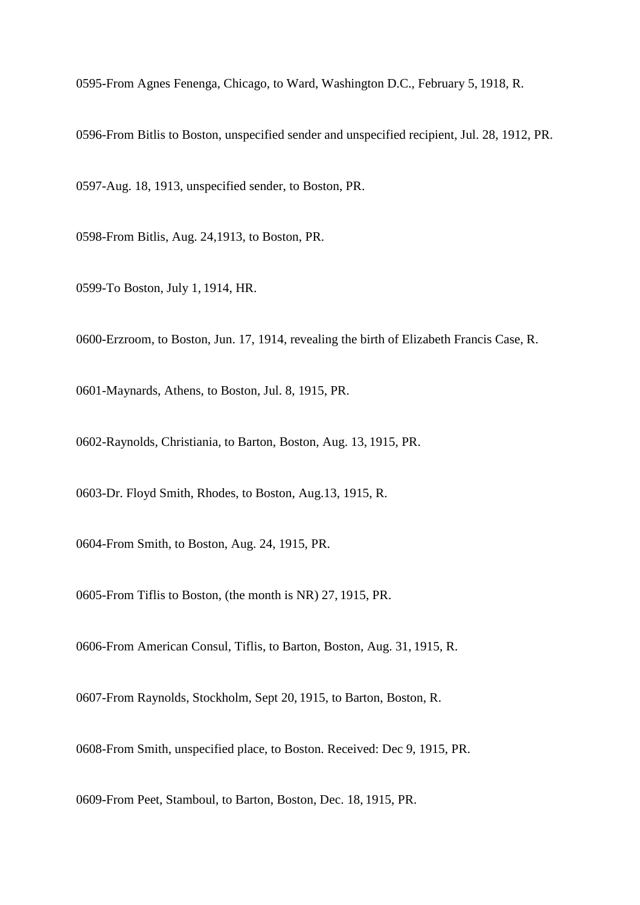0595-From Agnes Fenenga, Chicago, to Ward, Washington D.C., February 5, 1918, R.

0596-From Bitlis to Boston, unspecified sender and unspecified recipient, Jul. 28, 1912, PR.

0597-Aug. 18, 1913, unspecified sender, to Boston, PR.

0598-From Bitlis, Aug. 24,1913, to Boston, PR.

0599-To Boston, July 1, 1914, HR.

0600-Erzroom, to Boston, Jun. 17, 1914, revealing the birth of Elizabeth Francis Case, R.

0601-Maynards, Athens, to Boston, Jul. 8, 1915, PR.

0602-Raynolds, Christiania, to Barton, Boston, Aug. 13, 1915, PR.

0603-Dr. Floyd Smith, Rhodes, to Boston, Aug.13, 1915, R.

0604-From Smith, to Boston, Aug. 24, 1915, PR.

0605-From Tiflis to Boston, (the month is NR) 27, 1915, PR.

0606-From American Consul, Tiflis, to Barton, Boston, Aug. 31, 1915, R.

0607-From Raynolds, Stockholm, Sept 20, 1915, to Barton, Boston, R.

0608-From Smith, unspecified place, to Boston. Received: Dec 9, 1915, PR.

0609-From Peet, Stamboul, to Barton, Boston, Dec. 18, 1915, PR.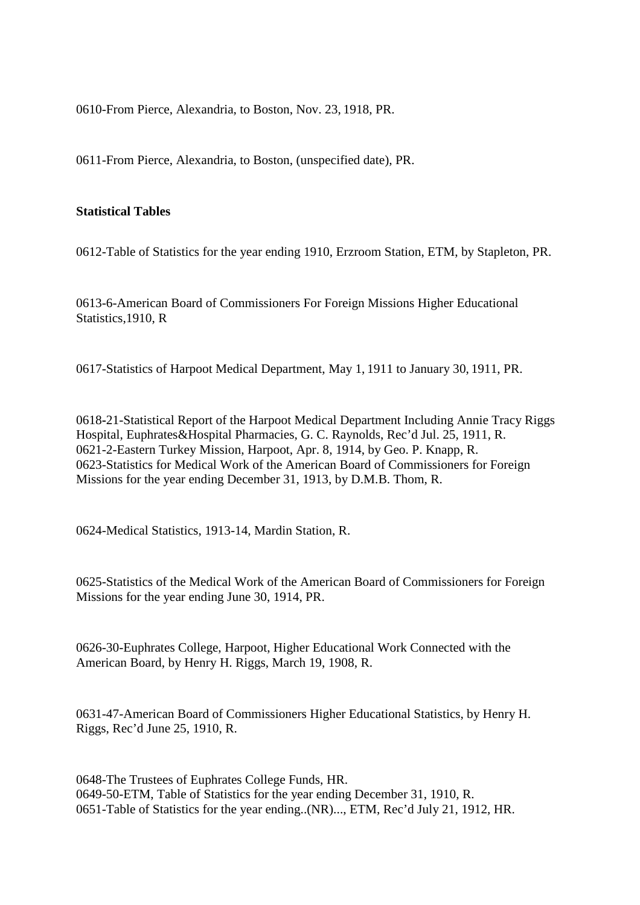0610-From Pierce, Alexandria, to Boston, Nov. 23, 1918, PR.

0611-From Pierce, Alexandria, to Boston, (unspecified date), PR.

## **Statistical Tables**

0612-Table of Statistics for the year ending 1910, Erzroom Station, ETM, by Stapleton, PR.

0613-6-American Board of Commissioners For Foreign Missions Higher Educational Statistics, 1910, R

0617-Statistics of Harpoot Medical Department, May 1, 1911 to January 30, 1911, PR.

0618**-**21-Statistical Report of the Harpoot Medical Department Including Annie Tracy Riggs Hospital, Euphrates&Hospital Pharmacies, G. C. Raynolds, Rec'd Jul. 25, 1911, R. 0621-2-Eastern Turkey Mission, Harpoot, Apr. 8, 1914, by Geo. P. Knapp, R. 0623-Statistics for Medical Work of the American Board of Commissioners for Foreign Missions for the year ending December 31, 1913, by D.M.B. Thom, R.

0624-Medical Statistics, 1913-14, Mardin Station, R.

0625-Statistics of the Medical Work of the American Board of Commissioners for Foreign Missions for the year ending June 30, 1914, PR.

0626-30-Euphrates College, Harpoot, Higher Educational Work Connected with the American Board, by Henry H. Riggs, March 19, 1908, R.

0631-47-American Board of Commissioners Higher Educational Statistics, by Henry H. Riggs, Rec'd June 25, 1910, R.

0648-The Trustees of Euphrates College Funds, HR. 0649-50-ETM, Table of Statistics for the year ending December 31, 1910, R. 0651-Table of Statistics for the year ending..(NR)..., ETM, Rec'd July 21, 1912, HR.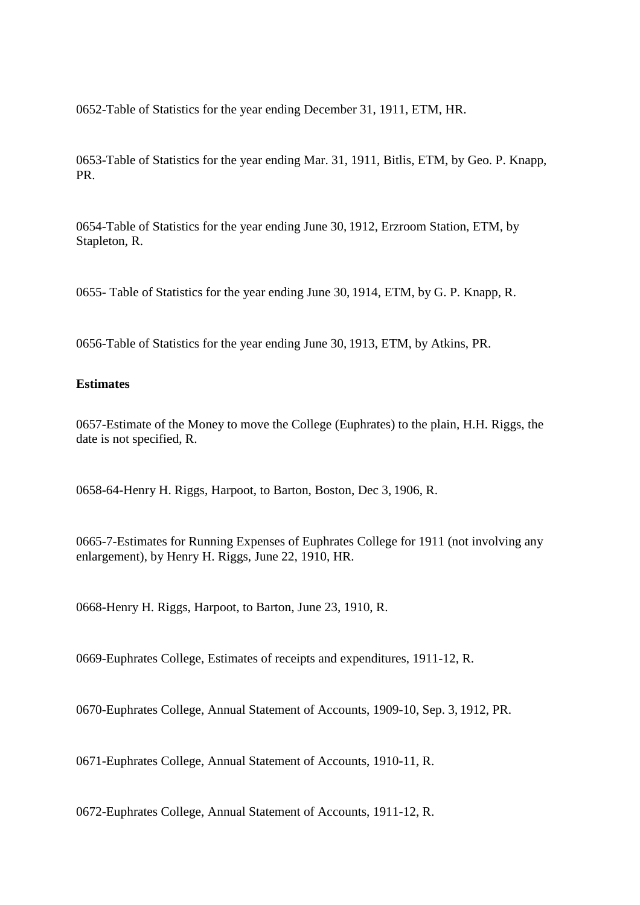0652-Table of Statistics for the year ending December 31, 1911, ETM, HR.

0653-Table of Statistics for the year ending Mar. 31, 1911, Bitlis, ETM, by Geo. P. Knapp, PR.

0654-Table of Statistics for the year ending June 30, 1912, Erzroom Station, ETM, by Stapleton, R.

0655- Table of Statistics for the year ending June 30, 1914, ETM, by G. P. Knapp, R.

0656-Table of Statistics for the year ending June 30, 1913, ETM, by Atkins, PR.

## **Estimates**

0657-Estimate of the Money to move the College (Euphrates) to the plain, H.H. Riggs, the date is not specified, R.

0658-64-Henry H. Riggs, Harpoot, to Barton, Boston, Dec 3, 1906, R.

0665-7-Estimates for Running Expenses of Euphrates College for 1911 (not involving any enlargement), by Henry H. Riggs, June 22, 1910, HR.

0668-Henry H. Riggs, Harpoot, to Barton, June 23, 1910, R.

0669-Euphrates College, Estimates of receipts and expenditures, 1911-12, R.

0670-Euphrates College, Annual Statement of Accounts, 1909-10, Sep. 3, 1912, PR.

0671-Euphrates College, Annual Statement of Accounts, 1910-11, R.

0672-Euphrates College, Annual Statement of Accounts, 1911-12, R.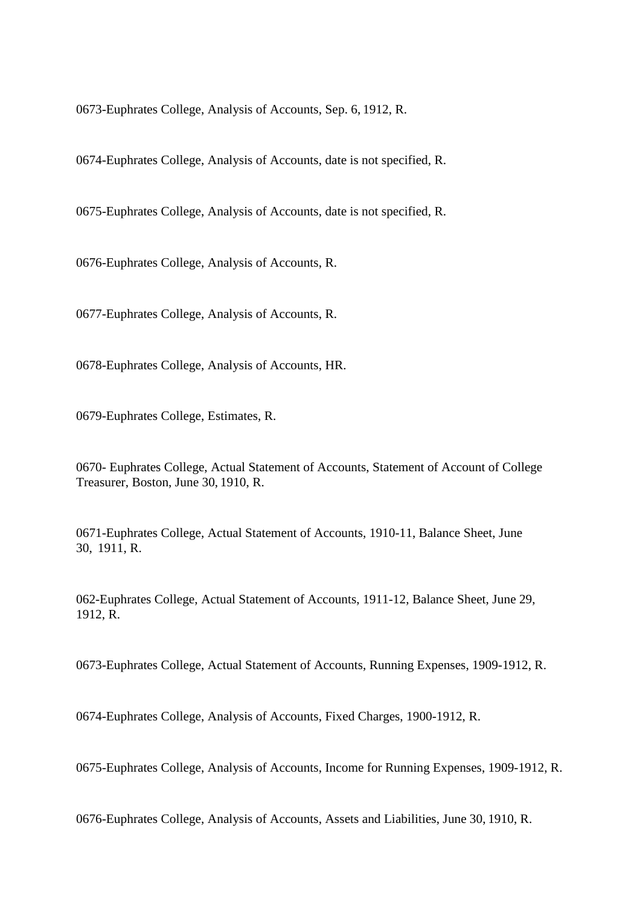0673-Euphrates College, Analysis of Accounts, Sep. 6, 1912, R.

0674-Euphrates College, Analysis of Accounts, date is not specified, R.

0675-Euphrates College, Analysis of Accounts, date is not specified, R.

0676-Euphrates College, Analysis of Accounts, R.

0677-Euphrates College, Analysis of Accounts, R.

0678-Euphrates College, Analysis of Accounts, HR.

0679-Euphrates College, Estimates, R.

0670- Euphrates College, Actual Statement of Accounts, Statement of Account of College Treasurer, Boston, June 30, 1910, R.

0671-Euphrates College, Actual Statement of Accounts, 1910-11, Balance Sheet, June 30, 1911, R.

062-Euphrates College, Actual Statement of Accounts, 1911-12, Balance Sheet, June 29, 1912, R.

0673-Euphrates College, Actual Statement of Accounts, Running Expenses, 1909-1912, R.

0674-Euphrates College, Analysis of Accounts, Fixed Charges, 1900-1912, R.

0675-Euphrates College, Analysis of Accounts, Income for Running Expenses, 1909-1912, R.

0676-Euphrates College, Analysis of Accounts, Assets and Liabilities, June 30, 1910, R.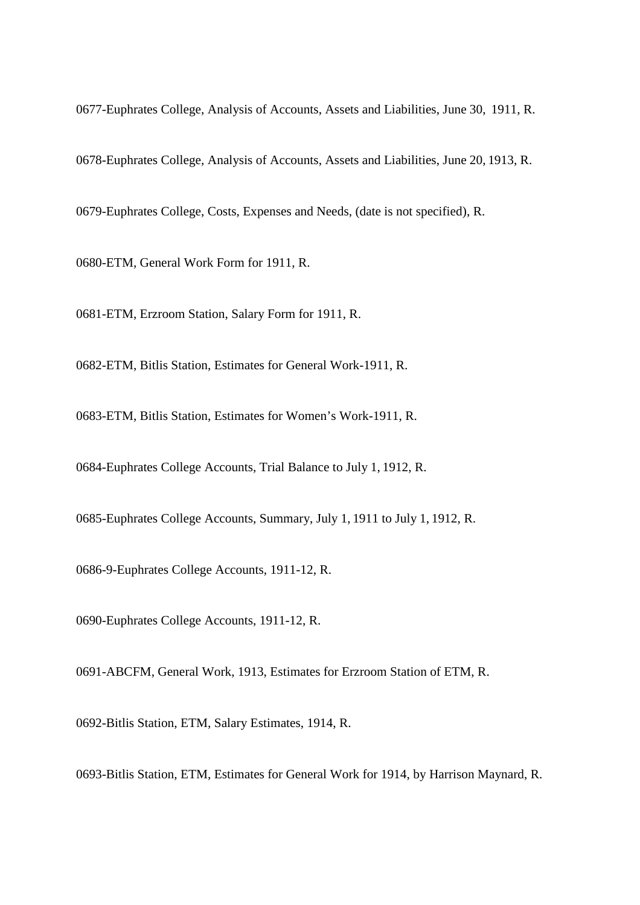0677-Euphrates College, Analysis of Accounts, Assets and Liabilities, June 30, 1911, R.

0678-Euphrates College, Analysis of Accounts, Assets and Liabilities, June 20, 1913, R.

0679-Euphrates College, Costs, Expenses and Needs, (date is not specified), R.

0680-ETM, General Work Form for 1911, R.

0681-ETM, Erzroom Station, Salary Form for 1911, R.

0682-ETM, Bitlis Station, Estimates for General Work-1911, R.

0683-ETM, Bitlis Station, Estimates for Women's Work-1911, R.

0684-Euphrates College Accounts, Trial Balance to July 1, 1912, R.

0685-Euphrates College Accounts, Summary, July 1, 1911 to July 1, 1912, R.

0686-9-Euphrates College Accounts, 1911-12, R.

0690-Euphrates College Accounts, 1911-12, R.

0691-ABCFM, General Work, 1913, Estimates for Erzroom Station of ETM, R.

0692-Bitlis Station, ETM, Salary Estimates, 1914, R.

0693-Bitlis Station, ETM, Estimates for General Work for 1914, by Harrison Maynard, R.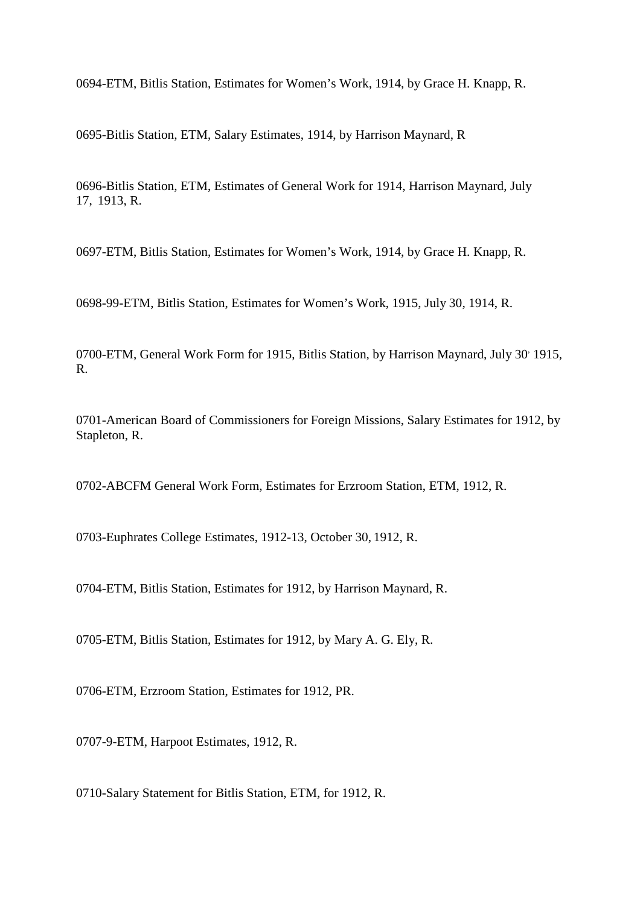0694-ETM, Bitlis Station, Estimates for Women's Work, 1914, by Grace H. Knapp, R.

0695-Bitlis Station, ETM, Salary Estimates, 1914, by Harrison Maynard, R

0696-Bitlis Station, ETM, Estimates of General Work for 1914, Harrison Maynard, July 17, 1913, R.

0697-ETM, Bitlis Station, Estimates for Women's Work, 1914, by Grace H. Knapp, R.

0698-99-ETM, Bitlis Station, Estimates for Women's Work, 1915, July 30, 1914, R.

0700-ETM, General Work Form for 1915, Bitlis Station, by Harrison Maynard, July 30' 1915, R.

0701-American Board of Commissioners for Foreign Missions, Salary Estimates for 1912, by Stapleton, R.

0702-ABCFM General Work Form, Estimates for Erzroom Station, ETM, 1912, R.

0703-Euphrates College Estimates, 1912-13, October 30, 1912, R.

0704-ETM, Bitlis Station, Estimates for 1912, by Harrison Maynard, R.

0705-ETM, Bitlis Station, Estimates for 1912, by Mary A. G. Ely, R.

0706-ETM, Erzroom Station, Estimates for 1912, PR.

0707-9-ETM, Harpoot Estimates, 1912, R.

0710-Salary Statement for Bitlis Station, ETM, for 1912, R.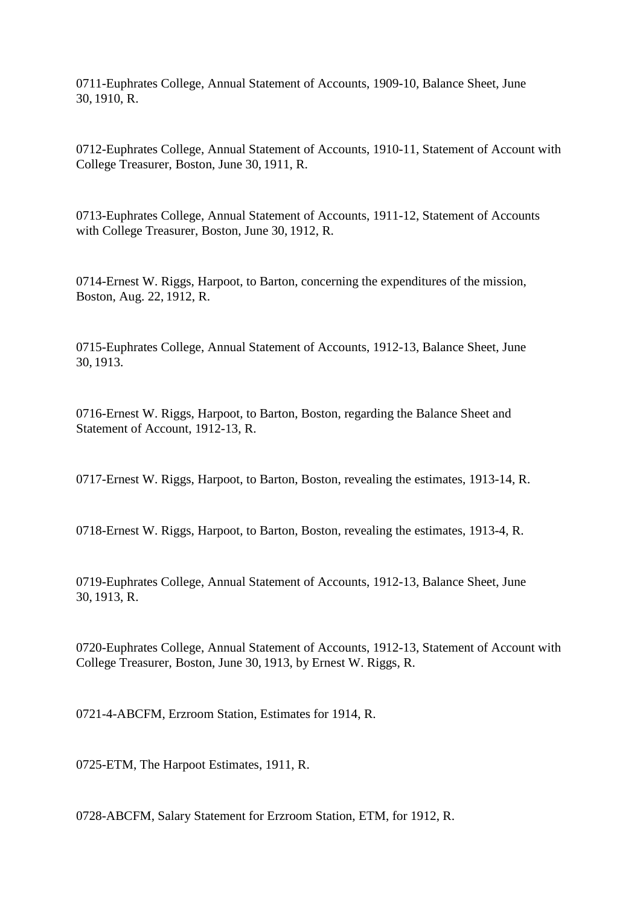0711-Euphrates College, Annual Statement of Accounts, 1909-10, Balance Sheet, June 30, 1910, R.

0712-Euphrates College, Annual Statement of Accounts, 1910-11, Statement of Account with College Treasurer, Boston, June 30, 1911, R.

0713-Euphrates College, Annual Statement of Accounts, 1911-12, Statement of Accounts with College Treasurer, Boston, June 30, 1912, R.

0714-Ernest W. Riggs, Harpoot, to Barton, concerning the expenditures of the mission, Boston, Aug. 22, 1912, R.

0715-Euphrates College, Annual Statement of Accounts, 1912-13, Balance Sheet, June 30, 1913.

0716-Ernest W. Riggs, Harpoot, to Barton, Boston, regarding the Balance Sheet and Statement of Account, 1912-13, R.

0717-Ernest W. Riggs, Harpoot, to Barton, Boston, revealing the estimates, 1913-14, R.

0718-Ernest W. Riggs, Harpoot, to Barton, Boston, revealing the estimates, 1913-4, R.

0719-Euphrates College, Annual Statement of Accounts, 1912-13, Balance Sheet, June 30, 1913, R.

0720-Euphrates College, Annual Statement of Accounts, 1912-13, Statement of Account with College Treasurer, Boston, June 30, 1913, by Ernest W. Riggs, R.

0721-4-ABCFM, Erzroom Station, Estimates for 1914, R.

0725-ETM, The Harpoot Estimates, 1911, R.

0728-ABCFM, Salary Statement for Erzroom Station, ETM, for 1912, R.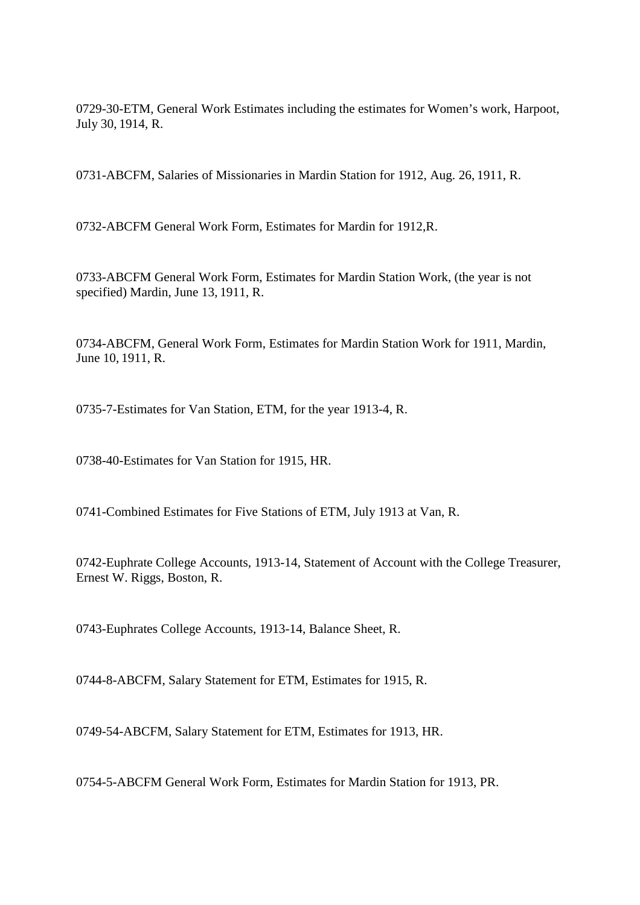0729-30-ETM, General Work Estimates including the estimates for Women's work, Harpoot, July 30, 1914, R.

0731-ABCFM, Salaries of Missionaries in Mardin Station for 1912, Aug. 26, 1911, R.

0732-ABCFM General Work Form, Estimates for Mardin for 1912,R.

0733-ABCFM General Work Form, Estimates for Mardin Station Work, (the year is not specified) Mardin, June 13, 1911, R.

0734-ABCFM, General Work Form, Estimates for Mardin Station Work for 1911, Mardin, June 10, 1911, R.

0735-7-Estimates for Van Station, ETM, for the year 1913-4, R.

0738-40-Estimates for Van Station for 1915, HR.

0741-Combined Estimates for Five Stations of ETM, July 1913 at Van, R.

0742-Euphrate College Accounts, 1913-14, Statement of Account with the College Treasurer, Ernest W. Riggs, Boston, R.

0743-Euphrates College Accounts, 1913-14, Balance Sheet, R.

0744-8-ABCFM, Salary Statement for ETM, Estimates for 1915, R.

0749-54-ABCFM, Salary Statement for ETM, Estimates for 1913, HR.

0754-5-ABCFM General Work Form, Estimates for Mardin Station for 1913, PR.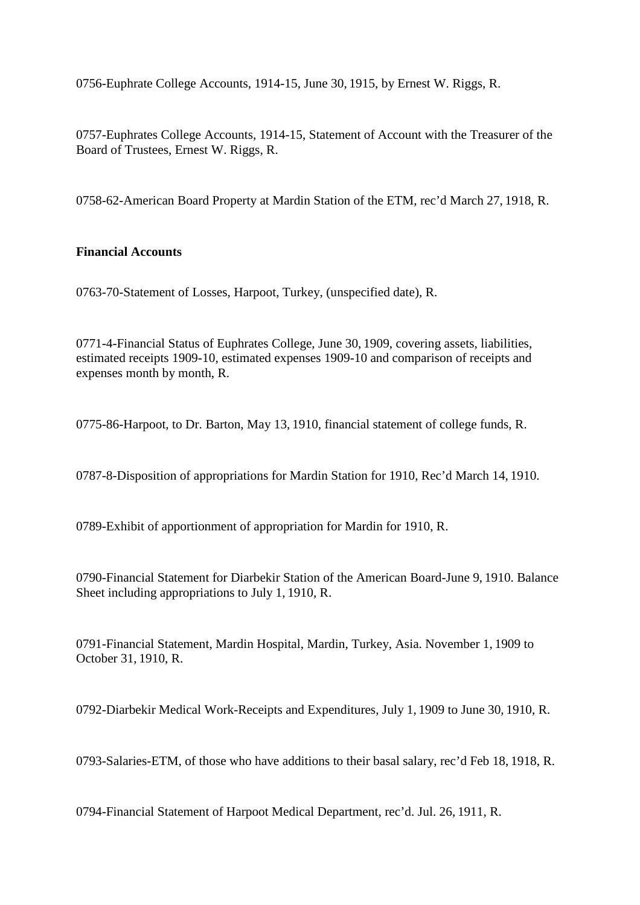0756-Euphrate College Accounts, 1914-15, June 30, 1915, by Ernest W. Riggs, R.

0757-Euphrates College Accounts, 1914-15, Statement of Account with the Treasurer of the Board of Trustees, Ernest W. Riggs, R.

0758-62-American Board Property at Mardin Station of the ETM, rec'd March 27, 1918, R.

# **Financial Accounts**

0763-70-Statement of Losses, Harpoot, Turkey, (unspecified date), R.

0771-4-Financial Status of Euphrates College, June 30, 1909, covering assets, liabilities, estimated receipts 1909-10, estimated expenses 1909-10 and comparison of receipts and expenses month by month, R.

0775-86-Harpoot, to Dr. Barton, May 13, 1910, financial statement of college funds, R.

0787-8-Disposition of appropriations for Mardin Station for 1910, Rec'd March 14, 1910.

0789-Exhibit of apportionment of appropriation for Mardin for 1910, R.

0790-Financial Statement for Diarbekir Station of the American Board-June 9, 1910. Balance Sheet including appropriations to July 1, 1910, R.

0791-Financial Statement, Mardin Hospital, Mardin, Turkey, Asia. November 1, 1909 to October 31, 1910, R.

0792-Diarbekir Medical Work-Receipts and Expenditures, July 1, 1909 to June 30, 1910, R.

0793-Salaries-ETM, of those who have additions to their basal salary, rec'd Feb 18, 1918, R.

0794-Financial Statement of Harpoot Medical Department, rec'd. Jul. 26, 1911, R.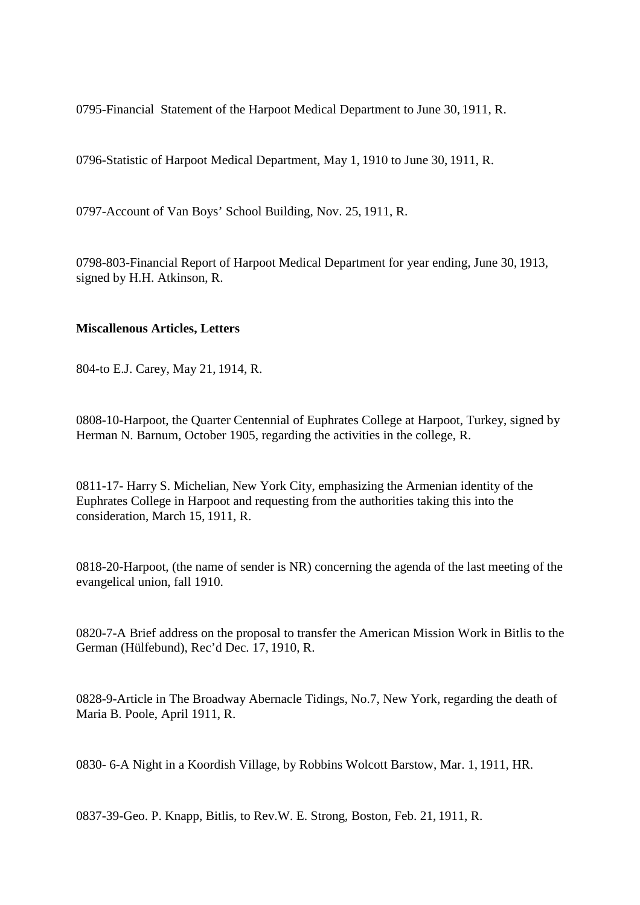0795-Financial Statement of the Harpoot Medical Department to June 30, 1911, R.

0796-Statistic of Harpoot Medical Department, May 1, 1910 to June 30, 1911, R.

0797-Account of Van Boys' School Building, Nov. 25, 1911, R.

0798-803-Financial Report of Harpoot Medical Department for year ending, June 30, 1913, signed by H.H. Atkinson, R.

### **Miscallenous Articles, Letters**

804-to E.J. Carey, May 21, 1914, R.

0808-10-Harpoot, the Quarter Centennial of Euphrates College at Harpoot, Turkey, signed by Herman N. Barnum, October 1905, regarding the activities in the college, R.

0811-17- Harry S. Michelian, New York City, emphasizing the Armenian identity of the Euphrates College in Harpoot and requesting from the authorities taking this into the consideration, March 15, 1911, R.

0818-20-Harpoot, (the name of sender is NR) concerning the agenda of the last meeting of the evangelical union, fall 1910.

0820-7-A Brief address on the proposal to transfer the American Mission Work in Bitlis to the German (Hülfebund), Rec'd Dec. 17, 1910, R.

0828-9-Article in The Broadway Abernacle Tidings, No.7, New York, regarding the death of Maria B. Poole, April 1911, R.

0830- 6-A Night in a Koordish Village, by Robbins Wolcott Barstow, Mar. 1, 1911, HR.

0837-39-Geo. P. Knapp, Bitlis, to Rev.W. E. Strong, Boston, Feb. 21, 1911, R.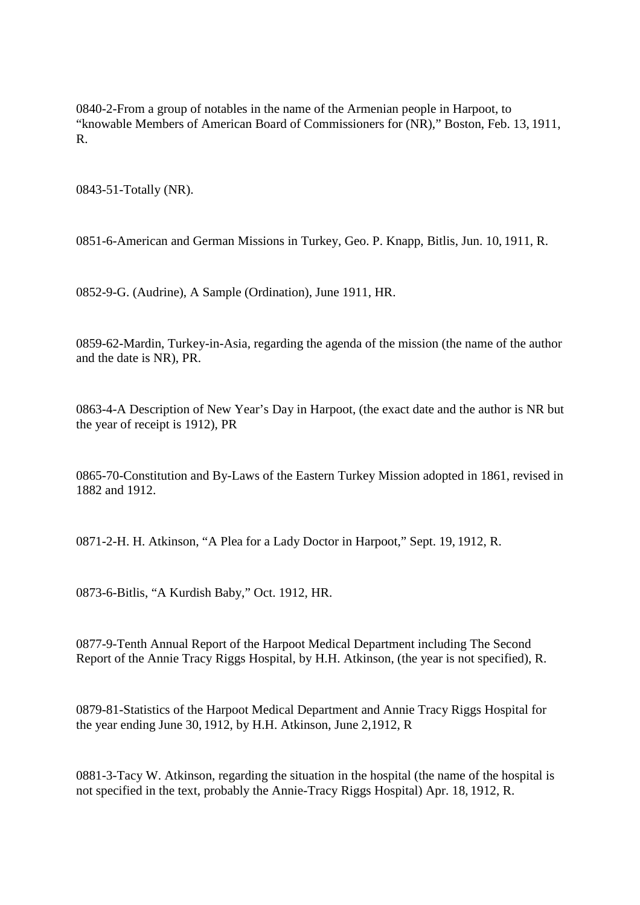0840-2-From a group of notables in the name of the Armenian people in Harpoot, to "knowable Members of American Board of Commissioners for (NR)," Boston, Feb. 13, 1911, R.

0843-51-Totally (NR).

0851-6-American and German Missions in Turkey, Geo. P. Knapp, Bitlis, Jun. 10, 1911, R.

0852-9-G. (Audrine), A Sample (Ordination), June 1911, HR.

0859-62-Mardin, Turkey-in-Asia, regarding the agenda of the mission (the name of the author and the date is NR), PR.

0863-4-A Description of New Year's Day in Harpoot, (the exact date and the author is NR but the year of receipt is 1912), PR

0865-70-Constitution and By-Laws of the Eastern Turkey Mission adopted in 1861, revised in 1882 and 1912.

0871-2-H. H. Atkinson, "A Plea for a Lady Doctor in Harpoot," Sept. 19, 1912, R.

0873-6-Bitlis, "A Kurdish Baby," Oct. 1912, HR.

0877-9-Tenth Annual Report of the Harpoot Medical Department including The Second Report of the Annie Tracy Riggs Hospital, by H.H. Atkinson, (the year is not specified), R.

0879-81-Statistics of the Harpoot Medical Department and Annie Tracy Riggs Hospital for the year ending June 30, 1912, by H.H. Atkinson, June 2,1912, R

0881-3-Tacy W. Atkinson, regarding the situation in the hospital (the name of the hospital is not specified in the text, probably the Annie-Tracy Riggs Hospital) Apr. 18, 1912, R.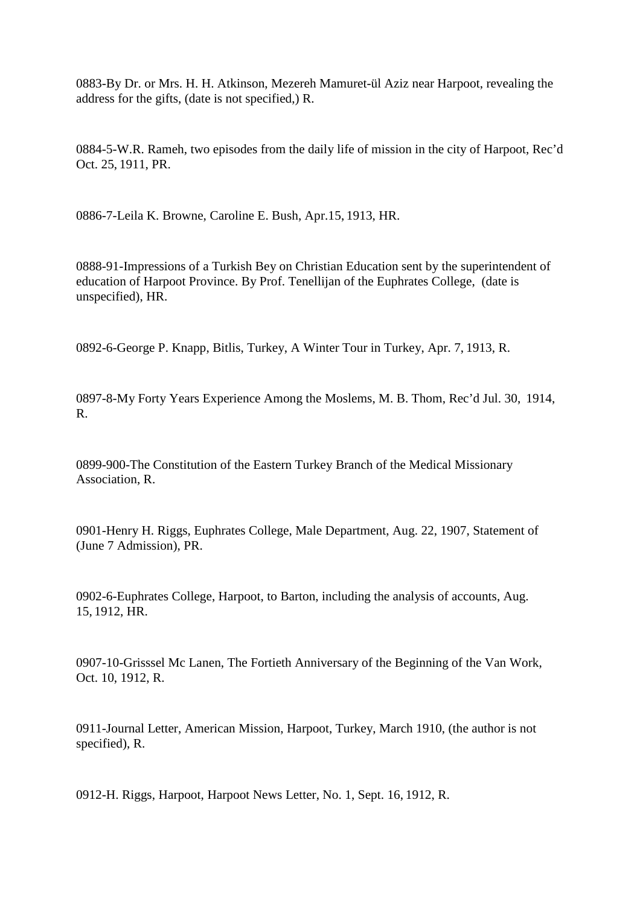0883-By Dr. or Mrs. H. H. Atkinson, Mezereh Mamuret-ül Aziz near Harpoot, revealing the address for the gifts, (date is not specified,) R.

0884-5-W.R. Rameh, two episodes from the daily life of mission in the city of Harpoot, Rec'd Oct. 25, 1911, PR.

0886-7-Leila K. Browne, Caroline E. Bush, Apr.15, 1913, HR.

0888-91-Impressions of a Turkish Bey on Christian Education sent by the superintendent of education of Harpoot Province. By Prof. Tenellijan of the Euphrates College, (date is unspecified), HR.

0892-6-George P. Knapp, Bitlis, Turkey, A Winter Tour in Turkey, Apr. 7, 1913, R.

0897-8-My Forty Years Experience Among the Moslems, M. B. Thom, Rec'd Jul. 30, 1914, R.

0899-900-The Constitution of the Eastern Turkey Branch of the Medical Missionary Association, R.

0901-Henry H. Riggs, Euphrates College, Male Department, Aug. 22, 1907, Statement of (June 7 Admission), PR.

0902-6-Euphrates College, Harpoot, to Barton, including the analysis of accounts, Aug. 15, 1912, HR.

0907-10-Grisssel Mc Lanen, The Fortieth Anniversary of the Beginning of the Van Work, Oct. 10, 1912, R.

0911-Journal Letter, American Mission, Harpoot, Turkey, March 1910, (the author is not specified), R.

0912-H. Riggs, Harpoot, Harpoot News Letter, No. 1, Sept. 16, 1912, R.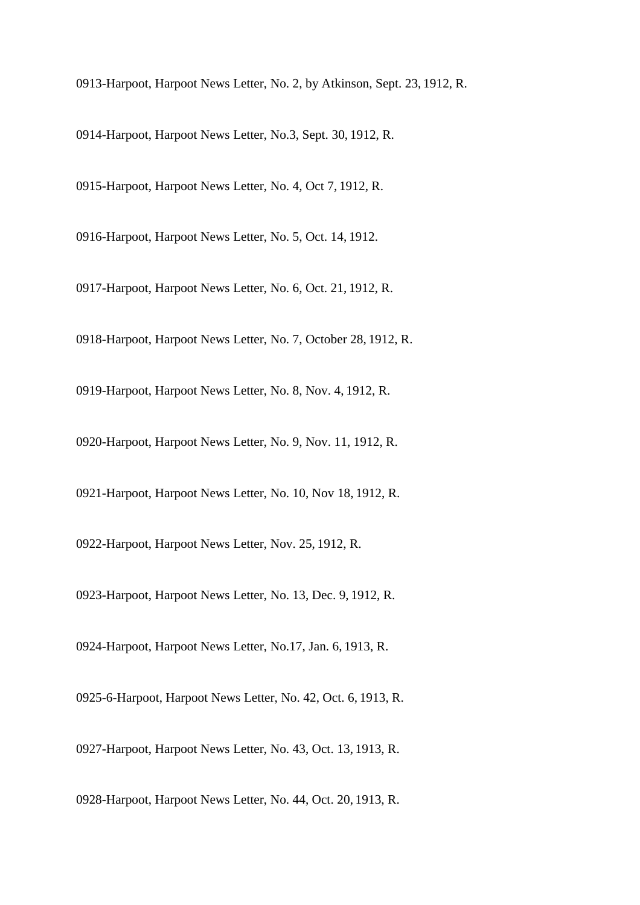0913-Harpoot, Harpoot News Letter, No. 2, by Atkinson, Sept. 23, 1912, R.

0914-Harpoot, Harpoot News Letter, No.3, Sept. 30, 1912, R.

0915-Harpoot, Harpoot News Letter, No. 4, Oct 7, 1912, R.

0916-Harpoot, Harpoot News Letter, No. 5, Oct. 14, 1912.

0917-Harpoot, Harpoot News Letter, No. 6, Oct. 21, 1912, R.

0918-Harpoot, Harpoot News Letter, No. 7, October 28, 1912, R.

0919-Harpoot, Harpoot News Letter, No. 8, Nov. 4, 1912, R.

0920-Harpoot, Harpoot News Letter, No. 9, Nov. 11, 1912, R.

0921-Harpoot, Harpoot News Letter, No. 10, Nov 18, 1912, R.

0922-Harpoot, Harpoot News Letter, Nov. 25, 1912, R.

0923-Harpoot, Harpoot News Letter, No. 13, Dec. 9, 1912, R.

0924-Harpoot, Harpoot News Letter, No.17, Jan. 6, 1913, R.

0925-6-Harpoot, Harpoot News Letter, No. 42, Oct. 6, 1913, R.

0927-Harpoot, Harpoot News Letter, No. 43, Oct. 13, 1913, R.

0928-Harpoot, Harpoot News Letter, No. 44, Oct. 20, 1913, R.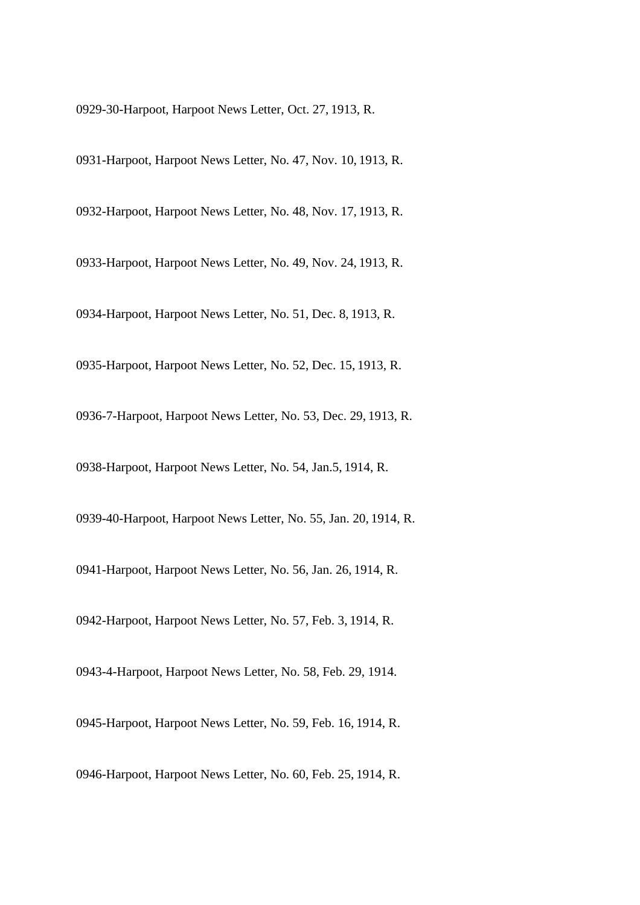0929-30-Harpoot, Harpoot News Letter, Oct. 27, 1913, R.

0931-Harpoot, Harpoot News Letter, No. 47, Nov. 10, 1913, R.

0932-Harpoot, Harpoot News Letter, No. 48, Nov. 17, 1913, R.

0933-Harpoot, Harpoot News Letter, No. 49, Nov. 24, 1913, R.

0934-Harpoot, Harpoot News Letter, No. 51, Dec. 8, 1913, R.

0935-Harpoot, Harpoot News Letter, No. 52, Dec. 15, 1913, R.

0936-7-Harpoot, Harpoot News Letter, No. 53, Dec. 29, 1913, R.

0938-Harpoot, Harpoot News Letter, No. 54, Jan.5, 1914, R.

0939-40-Harpoot, Harpoot News Letter, No. 55, Jan. 20, 1914, R.

0941-Harpoot, Harpoot News Letter, No. 56, Jan. 26, 1914, R.

0942-Harpoot, Harpoot News Letter, No. 57, Feb. 3, 1914, R.

0943-4-Harpoot, Harpoot News Letter, No. 58, Feb. 29, 1914.

0945-Harpoot, Harpoot News Letter, No. 59, Feb. 16, 1914, R.

0946-Harpoot, Harpoot News Letter, No. 60, Feb. 25, 1914, R.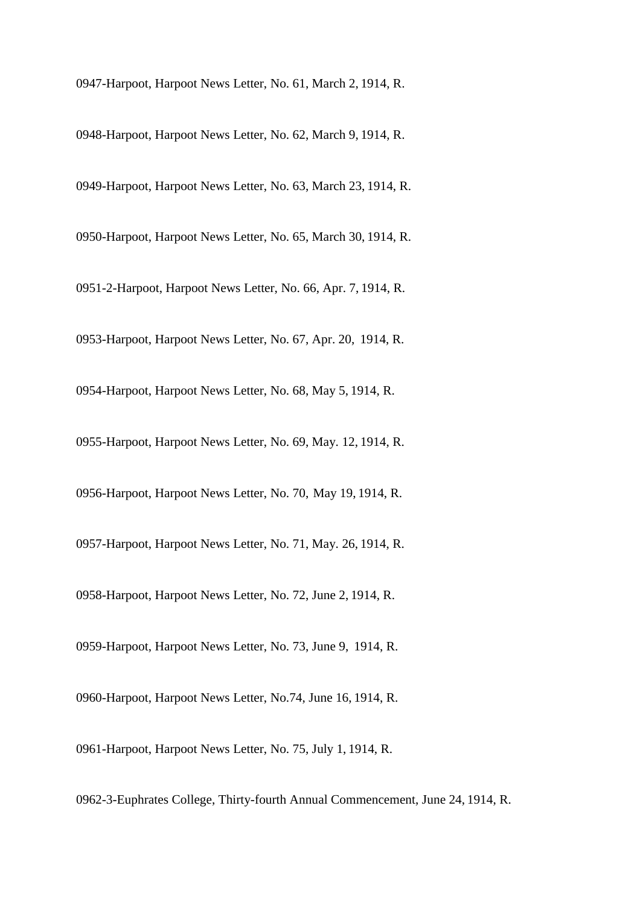0947-Harpoot, Harpoot News Letter, No. 61, March 2, 1914, R.

0948-Harpoot, Harpoot News Letter, No. 62, March 9, 1914, R.

0949-Harpoot, Harpoot News Letter, No. 63, March 23, 1914, R.

0950-Harpoot, Harpoot News Letter, No. 65, March 30, 1914, R.

0951-2-Harpoot, Harpoot News Letter, No. 66, Apr. 7, 1914, R.

0953-Harpoot, Harpoot News Letter, No. 67, Apr. 20, 1914, R.

0954-Harpoot, Harpoot News Letter, No. 68, May 5, 1914, R.

0955-Harpoot, Harpoot News Letter, No. 69, May. 12, 1914, R.

0956-Harpoot, Harpoot News Letter, No. 70, May 19, 1914, R.

0957-Harpoot, Harpoot News Letter, No. 71, May. 26, 1914, R.

0958-Harpoot, Harpoot News Letter, No. 72, June 2, 1914, R.

0959-Harpoot, Harpoot News Letter, No. 73, June 9, 1914, R.

0960-Harpoot, Harpoot News Letter, No.74, June 16, 1914, R.

0961-Harpoot, Harpoot News Letter, No. 75, July 1, 1914, R.

0962-3-Euphrates College, Thirty-fourth Annual Commencement, June 24, 1914, R.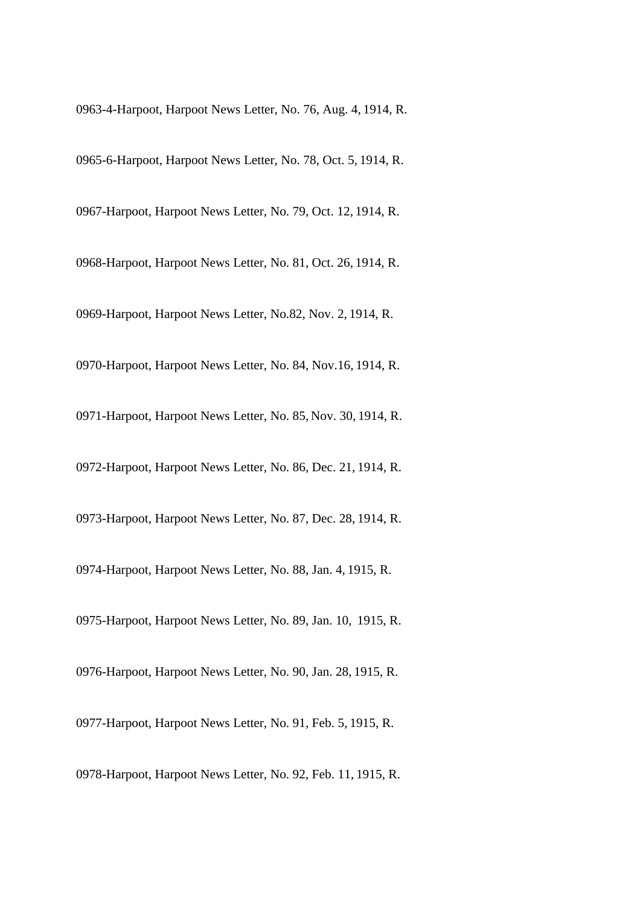0963-4-Harpoot, Harpoot News Letter, No. 76, Aug. 4, 1914, R.

0965-6-Harpoot, Harpoot News Letter, No. 78, Oct. 5, 1914, R.

0967-Harpoot, Harpoot News Letter, No. 79, Oct. 12, 1914, R.

0968-Harpoot, Harpoot News Letter, No. 81, Oct. 26, 1914, R.

0969-Harpoot, Harpoot News Letter, No.82, Nov. 2, 1914, R.

0970-Harpoot, Harpoot News Letter, No. 84, Nov.16, 1914, R.

0971-Harpoot, Harpoot News Letter, No. 85, Nov. 30, 1914, R.

0972-Harpoot, Harpoot News Letter, No. 86, Dec. 21, 1914, R.

0973-Harpoot, Harpoot News Letter, No. 87, Dec. 28, 1914, R.

0974-Harpoot, Harpoot News Letter, No. 88, Jan. 4, 1915, R.

0975-Harpoot, Harpoot News Letter, No. 89, Jan. 10, 1915, R.

0976-Harpoot, Harpoot News Letter, No. 90, Jan. 28, 1915, R.

0977-Harpoot, Harpoot News Letter, No. 91, Feb. 5, 1915, R.

0978-Harpoot, Harpoot News Letter, No. 92, Feb. 11, 1915, R.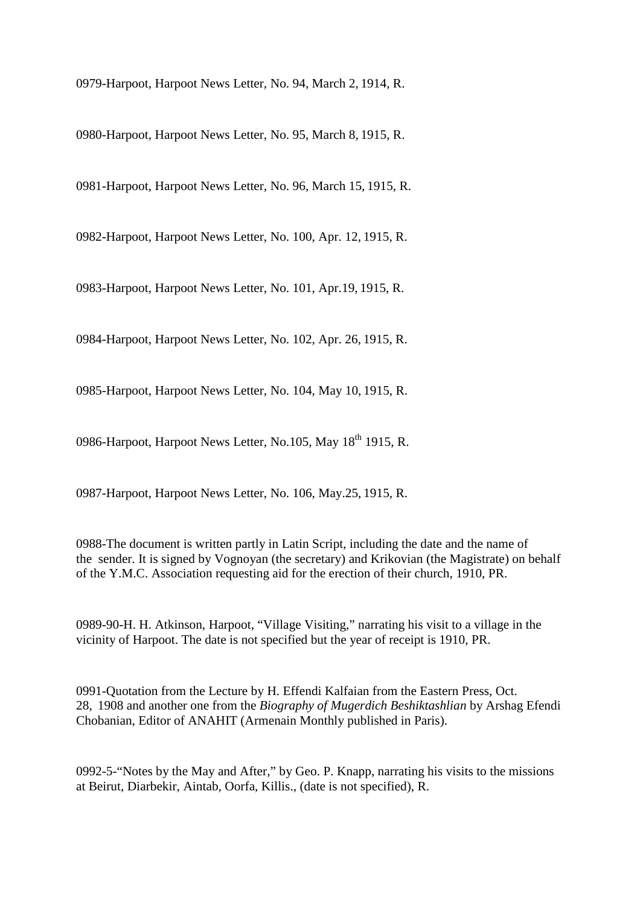0979-Harpoot, Harpoot News Letter, No. 94, March 2, 1914, R.

0980-Harpoot, Harpoot News Letter, No. 95, March 8, 1915, R.

0981-Harpoot, Harpoot News Letter, No. 96, March 15, 1915, R.

0982-Harpoot, Harpoot News Letter, No. 100, Apr. 12, 1915, R.

0983-Harpoot, Harpoot News Letter, No. 101, Apr.19, 1915, R.

0984-Harpoot, Harpoot News Letter, No. 102, Apr. 26, 1915, R.

0985-Harpoot, Harpoot News Letter, No. 104, May 10, 1915, R.

0986-Harpoot, Harpoot News Letter, No.105, May 18<sup>th</sup> 1915, R.

0987-Harpoot, Harpoot News Letter, No. 106, May.25, 1915, R.

0988-The document is written partly in Latin Script, including the date and the name of the sender. It is signed by Vognoyan (the secretary) and Krikovian (the Magistrate) on behalf of the Y.M.C. Association requesting aid for the erection of their church, 1910, PR.

0989-90-H. H. Atkinson, Harpoot, "Village Visiting," narrating his visit to a village in the vicinity of Harpoot. The date is not specified but the year of receipt is 1910, PR.

0991-Quotation from the Lecture by H. Effendi Kalfaian from the Eastern Press, Oct. 28, 1908 and another one from the *Biography of Mugerdich Beshiktashlian* by Arshag Efendi Chobanian, Editor of ANAHIT (Armenain Monthly published in Paris).

0992-5-"Notes by the May and After," by Geo. P. Knapp, narrating his visits to the missions at Beirut, Diarbekir, Aintab, Oorfa, Killis., (date is not specified), R.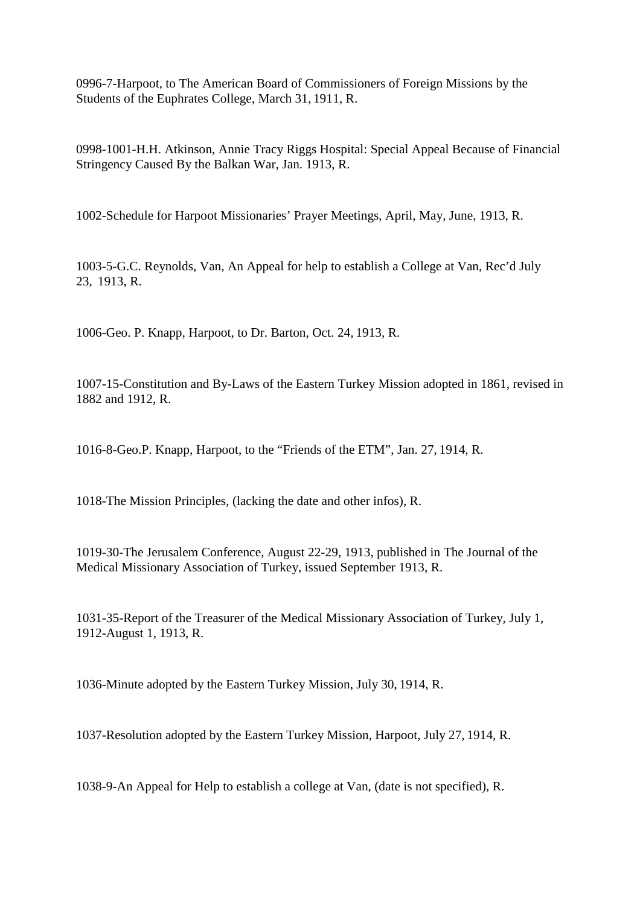0996-7-Harpoot, to The American Board of Commissioners of Foreign Missions by the Students of the Euphrates College, March 31, 1911, R.

0998-1001-H.H. Atkinson, Annie Tracy Riggs Hospital: Special Appeal Because of Financial Stringency Caused By the Balkan War, Jan. 1913, R.

1002-Schedule for Harpoot Missionaries' Prayer Meetings, April, May, June, 1913, R.

1003-5-G.C. Reynolds, Van, An Appeal for help to establish a College at Van, Rec'd July 23, 1913, R.

1006-Geo. P. Knapp, Harpoot, to Dr. Barton, Oct. 24, 1913, R.

1007-15-Constitution and By-Laws of the Eastern Turkey Mission adopted in 1861, revised in 1882 and 1912, R.

1016-8-Geo.P. Knapp, Harpoot, to the "Friends of the ETM", Jan. 27, 1914, R.

1018-The Mission Principles, (lacking the date and other infos), R.

1019-30-The Jerusalem Conference, August 22-29, 1913, published in The Journal of the Medical Missionary Association of Turkey, issued September 1913, R.

1031-35-Report of the Treasurer of the Medical Missionary Association of Turkey, July 1, 1912-August 1, 1913, R.

1036-Minute adopted by the Eastern Turkey Mission, July 30, 1914, R.

1037-Resolution adopted by the Eastern Turkey Mission, Harpoot, July 27, 1914, R.

1038-9-An Appeal for Help to establish a college at Van, (date is not specified), R.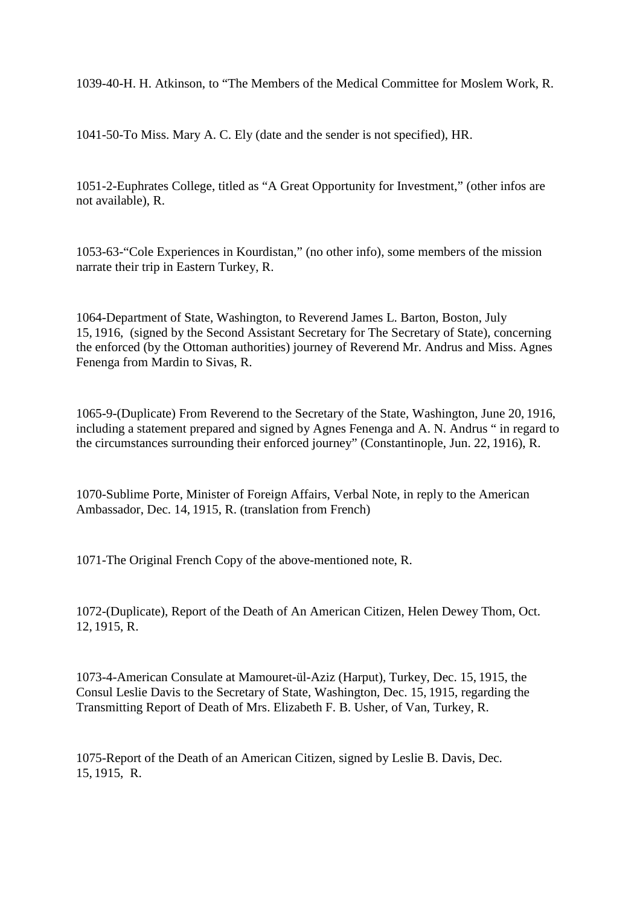1039-40-H. H. Atkinson, to "The Members of the Medical Committee for Moslem Work, R.

1041-50-To Miss. Mary A. C. Ely (date and the sender is not specified), HR.

1051-2-Euphrates College, titled as "A Great Opportunity for Investment," (other infos are not available), R.

1053-63-"Cole Experiences in Kourdistan," (no other info), some members of the mission narrate their trip in Eastern Turkey, R.

1064-Department of State, Washington, to Reverend James L. Barton, Boston, July 15, 1916, (signed by the Second Assistant Secretary for The Secretary of State), concerning the enforced (by the Ottoman authorities) journey of Reverend Mr. Andrus and Miss. Agnes Fenenga from Mardin to Sivas, R.

1065-9-(Duplicate) From Reverend to the Secretary of the State, Washington, June 20, 1916, including a statement prepared and signed by Agnes Fenenga and A. N. Andrus " in regard to the circumstances surrounding their enforced journey" (Constantinople, Jun. 22, 1916), R.

1070-Sublime Porte, Minister of Foreign Affairs, Verbal Note, in reply to the American Ambassador, Dec. 14, 1915, R. (translation from French)

1071-The Original French Copy of the above-mentioned note, R.

1072-(Duplicate), Report of the Death of An American Citizen, Helen Dewey Thom, Oct. 12, 1915, R.

1073-4-American Consulate at Mamouret-ül-Aziz (Harput), Turkey, Dec. 15, 1915, the Consul Leslie Davis to the Secretary of State, Washington, Dec. 15, 1915, regarding the Transmitting Report of Death of Mrs. Elizabeth F. B. Usher, of Van, Turkey, R.

1075-Report of the Death of an American Citizen, signed by Leslie B. Davis, Dec. 15, 1915, R.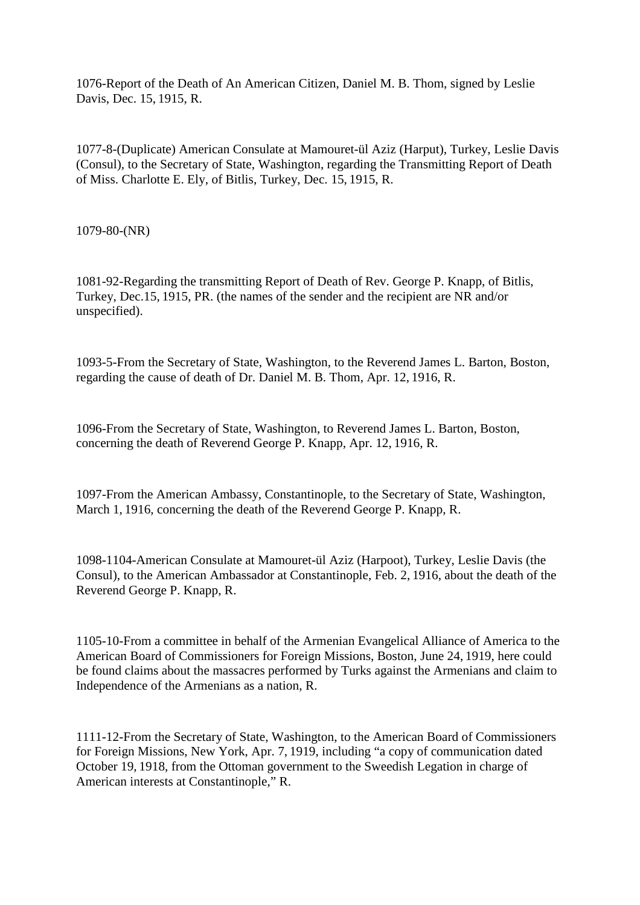1076-Report of the Death of An American Citizen, Daniel M. B. Thom, signed by Leslie Davis, Dec. 15, 1915, R.

1077-8-(Duplicate) American Consulate at Mamouret-ül Aziz (Harput), Turkey, Leslie Davis (Consul), to the Secretary of State, Washington, regarding the Transmitting Report of Death of Miss. Charlotte E. Ely, of Bitlis, Turkey, Dec. 15, 1915, R.

1079-80-(NR)

1081-92-Regarding the transmitting Report of Death of Rev. George P. Knapp, of Bitlis, Turkey, Dec.15, 1915, PR. (the names of the sender and the recipient are NR and/or unspecified).

1093-5-From the Secretary of State, Washington, to the Reverend James L. Barton, Boston, regarding the cause of death of Dr. Daniel M. B. Thom, Apr. 12, 1916, R.

1096-From the Secretary of State, Washington, to Reverend James L. Barton, Boston, concerning the death of Reverend George P. Knapp, Apr. 12, 1916, R.

1097-From the American Ambassy, Constantinople, to the Secretary of State, Washington, March 1, 1916, concerning the death of the Reverend George P. Knapp, R.

1098-1104-American Consulate at Mamouret-ül Aziz (Harpoot), Turkey, Leslie Davis (the Consul), to the American Ambassador at Constantinople, Feb. 2, 1916, about the death of the Reverend George P. Knapp, R.

1105-10-From a committee in behalf of the Armenian Evangelical Alliance of America to the American Board of Commissioners for Foreign Missions, Boston, June 24, 1919, here could be found claims about the massacres performed by Turks against the Armenians and claim to Independence of the Armenians as a nation, R.

1111-12-From the Secretary of State, Washington, to the American Board of Commissioners for Foreign Missions, New York, Apr. 7, 1919, including "a copy of communication dated October 19, 1918, from the Ottoman government to the Sweedish Legation in charge of American interests at Constantinople," R.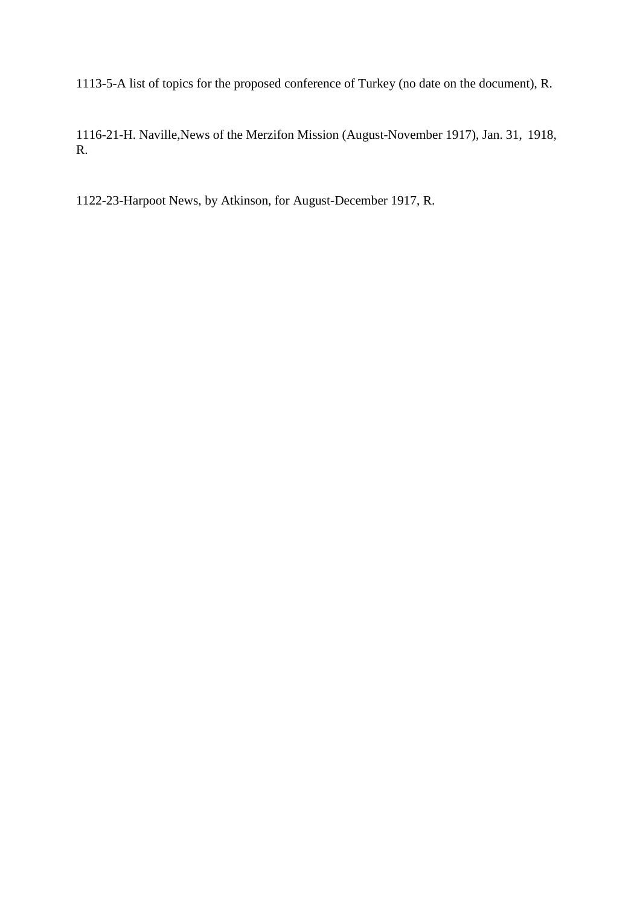1113-5-A list of topics for the proposed conference of Turkey (no date on the document), R.

1116-21-H. Naville,News of the Merzifon Mission (August-November 1917), Jan. 31, 1918, R.

1122-23-Harpoot News, by Atkinson, for August-December 1917, R.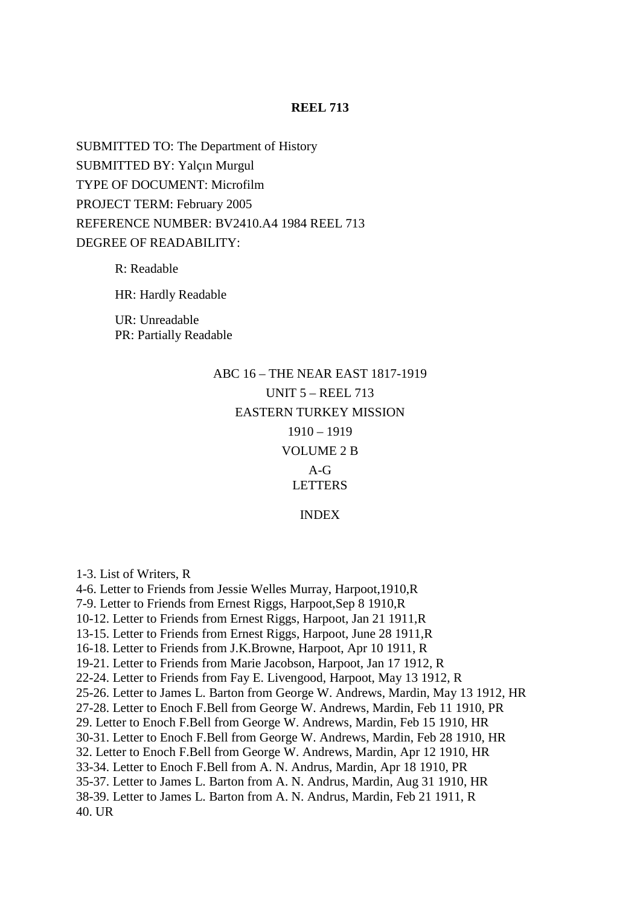#### **REEL 713**

SUBMITTED TO: The Department of History SUBMITTED BY: Yalçın Murgul TYPE OF DOCUMENT: Microfilm PROJECT TERM: February 2005 REFERENCE NUMBER: BV2410.A4 1984 REEL 713 DEGREE OF READABILITY:

R: Readable

HR: Hardly Readable

UR: Unreadable PR: Partially Readable

> ABC 16 – THE NEAR EAST 1817-1919 UNIT 5 – REEL 713 EASTERN TURKEY MISSION 1910 – 1919 VOLUME 2 B  $A - G$ **LETTERS** INDEX

1-3. List of Writers, R 4-6. Letter to Friends from Jessie Welles Murray, Harpoot,1910,R 7-9. Letter to Friends from Ernest Riggs, Harpoot,Sep 8 1910,R 10-12. Letter to Friends from Ernest Riggs, Harpoot, Jan 21 1911,R 13-15. Letter to Friends from Ernest Riggs, Harpoot, June 28 1911,R 16-18. Letter to Friends from J.K.Browne, Harpoot, Apr 10 1911, R 19-21. Letter to Friends from Marie Jacobson, Harpoot, Jan 17 1912, R 22-24. Letter to Friends from Fay E. Livengood, Harpoot, May 13 1912, R 25-26. Letter to James L. Barton from George W. Andrews, Mardin, May 13 1912, HR 27-28. Letter to Enoch F.Bell from George W. Andrews, Mardin, Feb 11 1910, PR 29. Letter to Enoch F.Bell from George W. Andrews, Mardin, Feb 15 1910, HR 30-31. Letter to Enoch F.Bell from George W. Andrews, Mardin, Feb 28 1910, HR 32. Letter to Enoch F.Bell from George W. Andrews, Mardin, Apr 12 1910, HR 33-34. Letter to Enoch F.Bell from A. N. Andrus, Mardin, Apr 18 1910, PR 35-37. Letter to James L. Barton from A. N. Andrus, Mardin, Aug 31 1910, HR 38-39. Letter to James L. Barton from A. N. Andrus, Mardin, Feb 21 1911, R 40. UR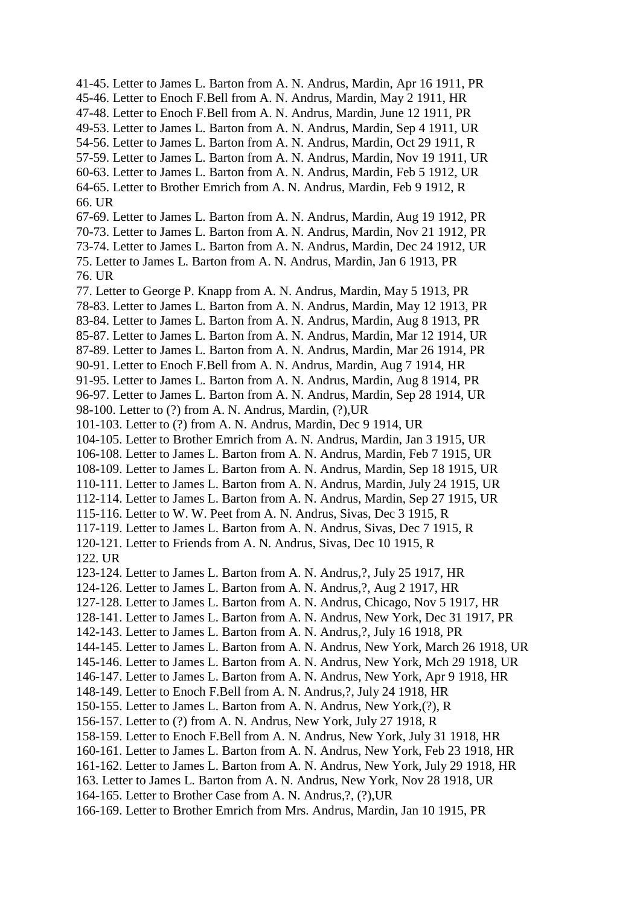41-45. Letter to James L. Barton from A. N. Andrus, Mardin, Apr 16 1911, PR 45-46. Letter to Enoch F.Bell from A. N. Andrus, Mardin, May 2 1911, HR 47-48. Letter to Enoch F.Bell from A. N. Andrus, Mardin, June 12 1911, PR 49-53. Letter to James L. Barton from A. N. Andrus, Mardin, Sep 4 1911, UR 54-56. Letter to James L. Barton from A. N. Andrus, Mardin, Oct 29 1911, R 57-59. Letter to James L. Barton from A. N. Andrus, Mardin, Nov 19 1911, UR 60-63. Letter to James L. Barton from A. N. Andrus, Mardin, Feb 5 1912, UR 64-65. Letter to Brother Emrich from A. N. Andrus, Mardin, Feb 9 1912, R 66. UR 67-69. Letter to James L. Barton from A. N. Andrus, Mardin, Aug 19 1912, PR 70-73. Letter to James L. Barton from A. N. Andrus, Mardin, Nov 21 1912, PR 73-74. Letter to James L. Barton from A. N. Andrus, Mardin, Dec 24 1912, UR 75. Letter to James L. Barton from A. N. Andrus, Mardin, Jan 6 1913, PR 76. UR 77. Letter to George P. Knapp from A. N. Andrus, Mardin, May 5 1913, PR 78-83. Letter to James L. Barton from A. N. Andrus, Mardin, May 12 1913, PR 83-84. Letter to James L. Barton from A. N. Andrus, Mardin, Aug 8 1913, PR 85-87. Letter to James L. Barton from A. N. Andrus, Mardin, Mar 12 1914, UR 87-89. Letter to James L. Barton from A. N. Andrus, Mardin, Mar 26 1914, PR 90-91. Letter to Enoch F.Bell from A. N. Andrus, Mardin, Aug 7 1914, HR 91-95. Letter to James L. Barton from A. N. Andrus, Mardin, Aug 8 1914, PR 96-97. Letter to James L. Barton from A. N. Andrus, Mardin, Sep 28 1914, UR 98-100. Letter to (?) from A. N. Andrus, Mardin, (?),UR 101-103. Letter to (?) from A. N. Andrus, Mardin, Dec 9 1914, UR 104-105. Letter to Brother Emrich from A. N. Andrus, Mardin, Jan 3 1915, UR 106-108. Letter to James L. Barton from A. N. Andrus, Mardin, Feb 7 1915, UR 108-109. Letter to James L. Barton from A. N. Andrus, Mardin, Sep 18 1915, UR 110-111. Letter to James L. Barton from A. N. Andrus, Mardin, July 24 1915, UR 112-114. Letter to James L. Barton from A. N. Andrus, Mardin, Sep 27 1915, UR 115-116. Letter to W. W. Peet from A. N. Andrus, Sivas, Dec 3 1915, R 117-119. Letter to James L. Barton from A. N. Andrus, Sivas, Dec 7 1915, R 120-121. Letter to Friends from A. N. Andrus, Sivas, Dec 10 1915, R 122. UR 123-124. Letter to James L. Barton from A. N. Andrus,?, July 25 1917, HR 124-126. Letter to James L. Barton from A. N. Andrus,?, Aug 2 1917, HR 127-128. Letter to James L. Barton from A. N. Andrus, Chicago, Nov 5 1917, HR 128-141. Letter to James L. Barton from A. N. Andrus, New York, Dec 31 1917, PR 142-143. Letter to James L. Barton from A. N. Andrus,?, July 16 1918, PR 144-145. Letter to James L. Barton from A. N. Andrus, New York, March 26 1918, UR 145-146. Letter to James L. Barton from A. N. Andrus, New York, Mch 29 1918, UR 146-147. Letter to James L. Barton from A. N. Andrus, New York, Apr 9 1918, HR 148-149. Letter to Enoch F.Bell from A. N. Andrus,?, July 24 1918, HR 150-155. Letter to James L. Barton from A. N. Andrus, New York,(?), R 156-157. Letter to (?) from A. N. Andrus, New York, July 27 1918, R 158-159. Letter to Enoch F.Bell from A. N. Andrus, New York, July 31 1918, HR 160-161. Letter to James L. Barton from A. N. Andrus, New York, Feb 23 1918, HR 161-162. Letter to James L. Barton from A. N. Andrus, New York, July 29 1918, HR 163. Letter to James L. Barton from A. N. Andrus, New York, Nov 28 1918, UR 164-165. Letter to Brother Case from A. N. Andrus,?, (?),UR

166-169. Letter to Brother Emrich from Mrs. Andrus, Mardin, Jan 10 1915, PR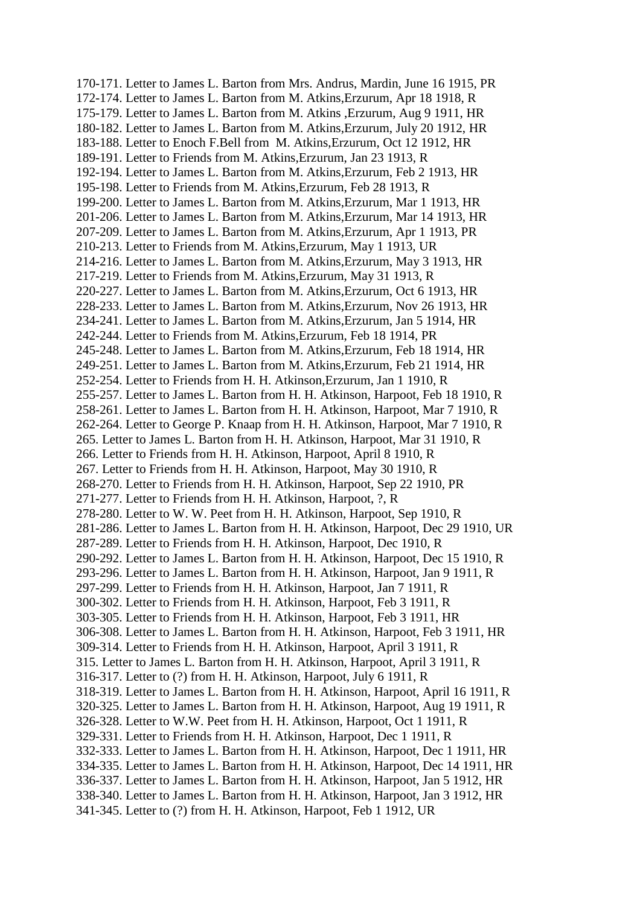170-171. Letter to James L. Barton from Mrs. Andrus, Mardin, June 16 1915, PR 172-174. Letter to James L. Barton from M. Atkins,Erzurum, Apr 18 1918, R 175-179. Letter to James L. Barton from M. Atkins ,Erzurum, Aug 9 1911, HR 180-182. Letter to James L. Barton from M. Atkins,Erzurum, July 20 1912, HR 183-188. Letter to Enoch F.Bell from M. Atkins,Erzurum, Oct 12 1912, HR 189-191. Letter to Friends from M. Atkins,Erzurum, Jan 23 1913, R 192-194. Letter to James L. Barton from M. Atkins,Erzurum, Feb 2 1913, HR 195-198. Letter to Friends from M. Atkins,Erzurum, Feb 28 1913, R 199-200. Letter to James L. Barton from M. Atkins,Erzurum, Mar 1 1913, HR 201-206. Letter to James L. Barton from M. Atkins,Erzurum, Mar 14 1913, HR 207-209. Letter to James L. Barton from M. Atkins,Erzurum, Apr 1 1913, PR 210-213. Letter to Friends from M. Atkins,Erzurum, May 1 1913, UR 214-216. Letter to James L. Barton from M. Atkins,Erzurum, May 3 1913, HR 217-219. Letter to Friends from M. Atkins,Erzurum, May 31 1913, R 220-227. Letter to James L. Barton from M. Atkins,Erzurum, Oct 6 1913, HR 228-233. Letter to James L. Barton from M. Atkins,Erzurum, Nov 26 1913, HR 234-241. Letter to James L. Barton from M. Atkins,Erzurum, Jan 5 1914, HR 242-244. Letter to Friends from M. Atkins,Erzurum, Feb 18 1914, PR 245-248. Letter to James L. Barton from M. Atkins,Erzurum, Feb 18 1914, HR 249-251. Letter to James L. Barton from M. Atkins,Erzurum, Feb 21 1914, HR 252-254. Letter to Friends from H. H. Atkinson,Erzurum, Jan 1 1910, R 255-257. Letter to James L. Barton from H. H. Atkinson, Harpoot, Feb 18 1910, R 258-261. Letter to James L. Barton from H. H. Atkinson, Harpoot, Mar 7 1910, R 262-264. Letter to George P. Knaap from H. H. Atkinson, Harpoot, Mar 7 1910, R 265. Letter to James L. Barton from H. H. Atkinson, Harpoot, Mar 31 1910, R 266. Letter to Friends from H. H. Atkinson, Harpoot, April 8 1910, R 267. Letter to Friends from H. H. Atkinson, Harpoot, May 30 1910, R 268-270. Letter to Friends from H. H. Atkinson, Harpoot, Sep 22 1910, PR 271-277. Letter to Friends from H. H. Atkinson, Harpoot, ?, R 278-280. Letter to W. W. Peet from H. H. Atkinson, Harpoot, Sep 1910, R 281-286. Letter to James L. Barton from H. H. Atkinson, Harpoot, Dec 29 1910, UR 287-289. Letter to Friends from H. H. Atkinson, Harpoot, Dec 1910, R 290-292. Letter to James L. Barton from H. H. Atkinson, Harpoot, Dec 15 1910, R 293-296. Letter to James L. Barton from H. H. Atkinson, Harpoot, Jan 9 1911, R 297-299. Letter to Friends from H. H. Atkinson, Harpoot, Jan 7 1911, R 300-302. Letter to Friends from H. H. Atkinson, Harpoot, Feb 3 1911, R 303-305. Letter to Friends from H. H. Atkinson, Harpoot, Feb 3 1911, HR 306-308. Letter to James L. Barton from H. H. Atkinson, Harpoot, Feb 3 1911, HR 309-314. Letter to Friends from H. H. Atkinson, Harpoot, April 3 1911, R 315. Letter to James L. Barton from H. H. Atkinson, Harpoot, April 3 1911, R 316-317. Letter to (?) from H. H. Atkinson, Harpoot, July 6 1911, R 318-319. Letter to James L. Barton from H. H. Atkinson, Harpoot, April 16 1911, R 320-325. Letter to James L. Barton from H. H. Atkinson, Harpoot, Aug 19 1911, R 326-328. Letter to W.W. Peet from H. H. Atkinson, Harpoot, Oct 1 1911, R 329-331. Letter to Friends from H. H. Atkinson, Harpoot, Dec 1 1911, R 332-333. Letter to James L. Barton from H. H. Atkinson, Harpoot, Dec 1 1911, HR 334-335. Letter to James L. Barton from H. H. Atkinson, Harpoot, Dec 14 1911, HR 336-337. Letter to James L. Barton from H. H. Atkinson, Harpoot, Jan 5 1912, HR 338-340. Letter to James L. Barton from H. H. Atkinson, Harpoot, Jan 3 1912, HR 341-345. Letter to (?) from H. H. Atkinson, Harpoot, Feb 1 1912, UR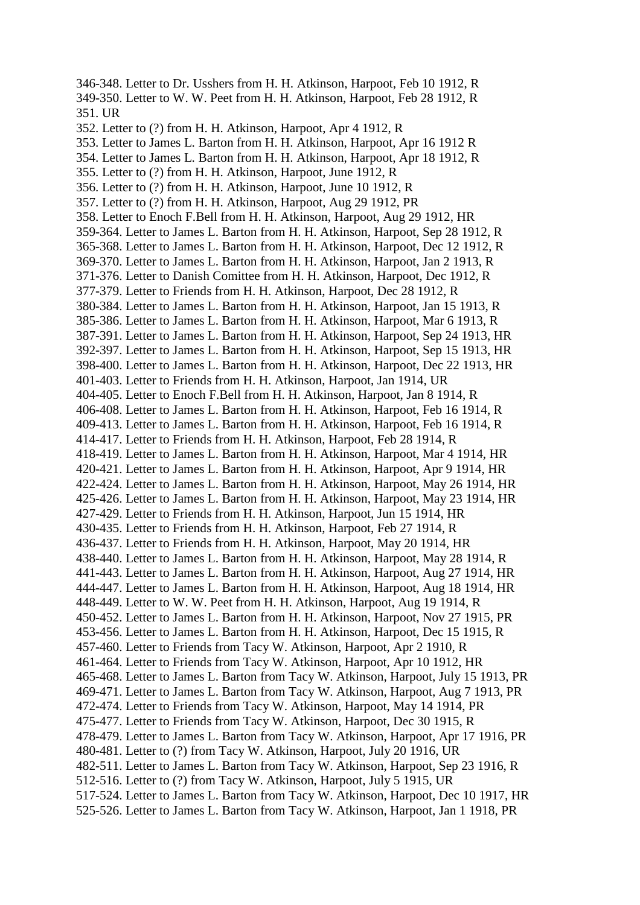346-348. Letter to Dr. Usshers from H. H. Atkinson, Harpoot, Feb 10 1912, R 349-350. Letter to W. W. Peet from H. H. Atkinson, Harpoot, Feb 28 1912, R 351. UR 352. Letter to (?) from H. H. Atkinson, Harpoot, Apr 4 1912, R 353. Letter to James L. Barton from H. H. Atkinson, Harpoot, Apr 16 1912 R 354. Letter to James L. Barton from H. H. Atkinson, Harpoot, Apr 18 1912, R 355. Letter to (?) from H. H. Atkinson, Harpoot, June 1912, R 356. Letter to (?) from H. H. Atkinson, Harpoot, June 10 1912, R 357. Letter to (?) from H. H. Atkinson, Harpoot, Aug 29 1912, PR 358. Letter to Enoch F.Bell from H. H. Atkinson, Harpoot, Aug 29 1912, HR 359-364. Letter to James L. Barton from H. H. Atkinson, Harpoot, Sep 28 1912, R 365-368. Letter to James L. Barton from H. H. Atkinson, Harpoot, Dec 12 1912, R 369-370. Letter to James L. Barton from H. H. Atkinson, Harpoot, Jan 2 1913, R 371-376. Letter to Danish Comittee from H. H. Atkinson, Harpoot, Dec 1912, R 377-379. Letter to Friends from H. H. Atkinson, Harpoot, Dec 28 1912, R 380-384. Letter to James L. Barton from H. H. Atkinson, Harpoot, Jan 15 1913, R 385-386. Letter to James L. Barton from H. H. Atkinson, Harpoot, Mar 6 1913, R 387-391. Letter to James L. Barton from H. H. Atkinson, Harpoot, Sep 24 1913, HR 392-397. Letter to James L. Barton from H. H. Atkinson, Harpoot, Sep 15 1913, HR 398-400. Letter to James L. Barton from H. H. Atkinson, Harpoot, Dec 22 1913, HR 401-403. Letter to Friends from H. H. Atkinson, Harpoot, Jan 1914, UR 404-405. Letter to Enoch F.Bell from H. H. Atkinson, Harpoot, Jan 8 1914, R 406-408. Letter to James L. Barton from H. H. Atkinson, Harpoot, Feb 16 1914, R 409-413. Letter to James L. Barton from H. H. Atkinson, Harpoot, Feb 16 1914, R 414-417. Letter to Friends from H. H. Atkinson, Harpoot, Feb 28 1914, R 418-419. Letter to James L. Barton from H. H. Atkinson, Harpoot, Mar 4 1914, HR 420-421. Letter to James L. Barton from H. H. Atkinson, Harpoot, Apr 9 1914, HR 422-424. Letter to James L. Barton from H. H. Atkinson, Harpoot, May 26 1914, HR 425-426. Letter to James L. Barton from H. H. Atkinson, Harpoot, May 23 1914, HR 427-429. Letter to Friends from H. H. Atkinson, Harpoot, Jun 15 1914, HR 430-435. Letter to Friends from H. H. Atkinson, Harpoot, Feb 27 1914, R 436-437. Letter to Friends from H. H. Atkinson, Harpoot, May 20 1914, HR 438-440. Letter to James L. Barton from H. H. Atkinson, Harpoot, May 28 1914, R 441-443. Letter to James L. Barton from H. H. Atkinson, Harpoot, Aug 27 1914, HR 444-447. Letter to James L. Barton from H. H. Atkinson, Harpoot, Aug 18 1914, HR 448-449. Letter to W. W. Peet from H. H. Atkinson, Harpoot, Aug 19 1914, R 450-452. Letter to James L. Barton from H. H. Atkinson, Harpoot, Nov 27 1915, PR 453-456. Letter to James L. Barton from H. H. Atkinson, Harpoot, Dec 15 1915, R 457-460. Letter to Friends from Tacy W. Atkinson, Harpoot, Apr 2 1910, R 461-464. Letter to Friends from Tacy W. Atkinson, Harpoot, Apr 10 1912, HR 465-468. Letter to James L. Barton from Tacy W. Atkinson, Harpoot, July 15 1913, PR 469-471. Letter to James L. Barton from Tacy W. Atkinson, Harpoot, Aug 7 1913, PR 472-474. Letter to Friends from Tacy W. Atkinson, Harpoot, May 14 1914, PR 475-477. Letter to Friends from Tacy W. Atkinson, Harpoot, Dec 30 1915, R 478-479. Letter to James L. Barton from Tacy W. Atkinson, Harpoot, Apr 17 1916, PR 480-481. Letter to (?) from Tacy W. Atkinson, Harpoot, July 20 1916, UR 482-511. Letter to James L. Barton from Tacy W. Atkinson, Harpoot, Sep 23 1916, R 512-516. Letter to (?) from Tacy W. Atkinson, Harpoot, July 5 1915, UR 517-524. Letter to James L. Barton from Tacy W. Atkinson, Harpoot, Dec 10 1917, HR 525-526. Letter to James L. Barton from Tacy W. Atkinson, Harpoot, Jan 1 1918, PR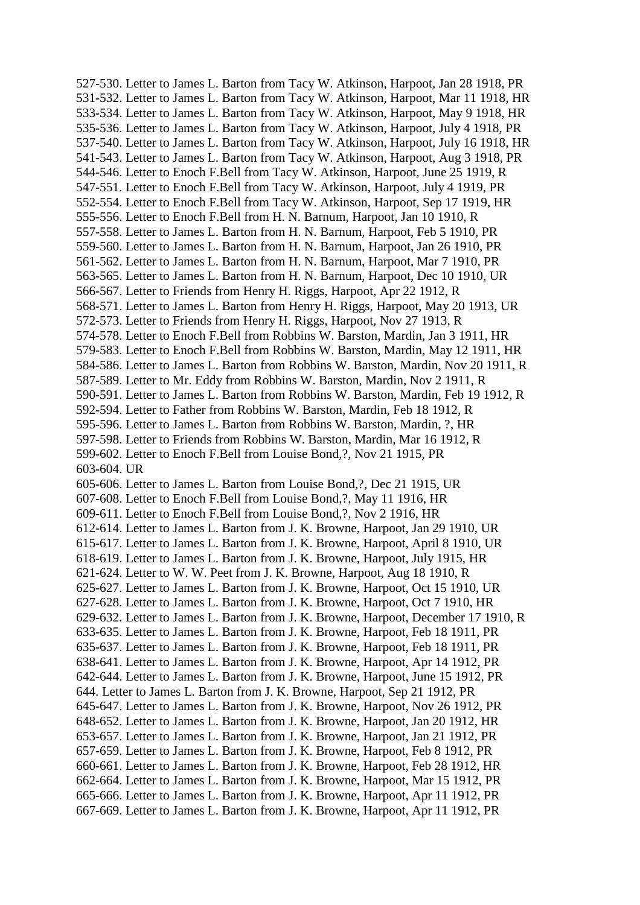527-530. Letter to James L. Barton from Tacy W. Atkinson, Harpoot, Jan 28 1918, PR 531-532. Letter to James L. Barton from Tacy W. Atkinson, Harpoot, Mar 11 1918, HR 533-534. Letter to James L. Barton from Tacy W. Atkinson, Harpoot, May 9 1918, HR 535-536. Letter to James L. Barton from Tacy W. Atkinson, Harpoot, July 4 1918, PR 537-540. Letter to James L. Barton from Tacy W. Atkinson, Harpoot, July 16 1918, HR 541-543. Letter to James L. Barton from Tacy W. Atkinson, Harpoot, Aug 3 1918, PR 544-546. Letter to Enoch F.Bell from Tacy W. Atkinson, Harpoot, June 25 1919, R 547-551. Letter to Enoch F.Bell from Tacy W. Atkinson, Harpoot, July 4 1919, PR 552-554. Letter to Enoch F.Bell from Tacy W. Atkinson, Harpoot, Sep 17 1919, HR 555-556. Letter to Enoch F.Bell from H. N. Barnum, Harpoot, Jan 10 1910, R 557-558. Letter to James L. Barton from H. N. Barnum, Harpoot, Feb 5 1910, PR 559-560. Letter to James L. Barton from H. N. Barnum, Harpoot, Jan 26 1910, PR 561-562. Letter to James L. Barton from H. N. Barnum, Harpoot, Mar 7 1910, PR 563-565. Letter to James L. Barton from H. N. Barnum, Harpoot, Dec 10 1910, UR 566-567. Letter to Friends from Henry H. Riggs, Harpoot, Apr 22 1912, R 568-571. Letter to James L. Barton from Henry H. Riggs, Harpoot, May 20 1913, UR 572-573. Letter to Friends from Henry H. Riggs, Harpoot, Nov 27 1913, R 574-578. Letter to Enoch F.Bell from Robbins W. Barston, Mardin, Jan 3 1911, HR 579-583. Letter to Enoch F.Bell from Robbins W. Barston, Mardin, May 12 1911, HR 584-586. Letter to James L. Barton from Robbins W. Barston, Mardin, Nov 20 1911, R 587-589. Letter to Mr. Eddy from Robbins W. Barston, Mardin, Nov 2 1911, R 590-591. Letter to James L. Barton from Robbins W. Barston, Mardin, Feb 19 1912, R 592-594. Letter to Father from Robbins W. Barston, Mardin, Feb 18 1912, R 595-596. Letter to James L. Barton from Robbins W. Barston, Mardin, ?, HR 597-598. Letter to Friends from Robbins W. Barston, Mardin, Mar 16 1912, R 599-602. Letter to Enoch F.Bell from Louise Bond,?, Nov 21 1915, PR 603-604. UR 605-606. Letter to James L. Barton from Louise Bond,?, Dec 21 1915, UR 607-608. Letter to Enoch F.Bell from Louise Bond,?, May 11 1916, HR 609-611. Letter to Enoch F.Bell from Louise Bond,?, Nov 2 1916, HR 612-614. Letter to James L. Barton from J. K. Browne, Harpoot, Jan 29 1910, UR 615-617. Letter to James L. Barton from J. K. Browne, Harpoot, April 8 1910, UR 618-619. Letter to James L. Barton from J. K. Browne, Harpoot, July 1915, HR 621-624. Letter to W. W. Peet from J. K. Browne, Harpoot, Aug 18 1910, R 625-627. Letter to James L. Barton from J. K. Browne, Harpoot, Oct 15 1910, UR 627-628. Letter to James L. Barton from J. K. Browne, Harpoot, Oct 7 1910, HR 629-632. Letter to James L. Barton from J. K. Browne, Harpoot, December 17 1910, R 633-635. Letter to James L. Barton from J. K. Browne, Harpoot, Feb 18 1911, PR 635-637. Letter to James L. Barton from J. K. Browne, Harpoot, Feb 18 1911, PR 638-641. Letter to James L. Barton from J. K. Browne, Harpoot, Apr 14 1912, PR 642-644. Letter to James L. Barton from J. K. Browne, Harpoot, June 15 1912, PR 644. Letter to James L. Barton from J. K. Browne, Harpoot, Sep 21 1912, PR 645-647. Letter to James L. Barton from J. K. Browne, Harpoot, Nov 26 1912, PR 648-652. Letter to James L. Barton from J. K. Browne, Harpoot, Jan 20 1912, HR 653-657. Letter to James L. Barton from J. K. Browne, Harpoot, Jan 21 1912, PR 657-659. Letter to James L. Barton from J. K. Browne, Harpoot, Feb 8 1912, PR 660-661. Letter to James L. Barton from J. K. Browne, Harpoot, Feb 28 1912, HR 662-664. Letter to James L. Barton from J. K. Browne, Harpoot, Mar 15 1912, PR 665-666. Letter to James L. Barton from J. K. Browne, Harpoot, Apr 11 1912, PR 667-669. Letter to James L. Barton from J. K. Browne, Harpoot, Apr 11 1912, PR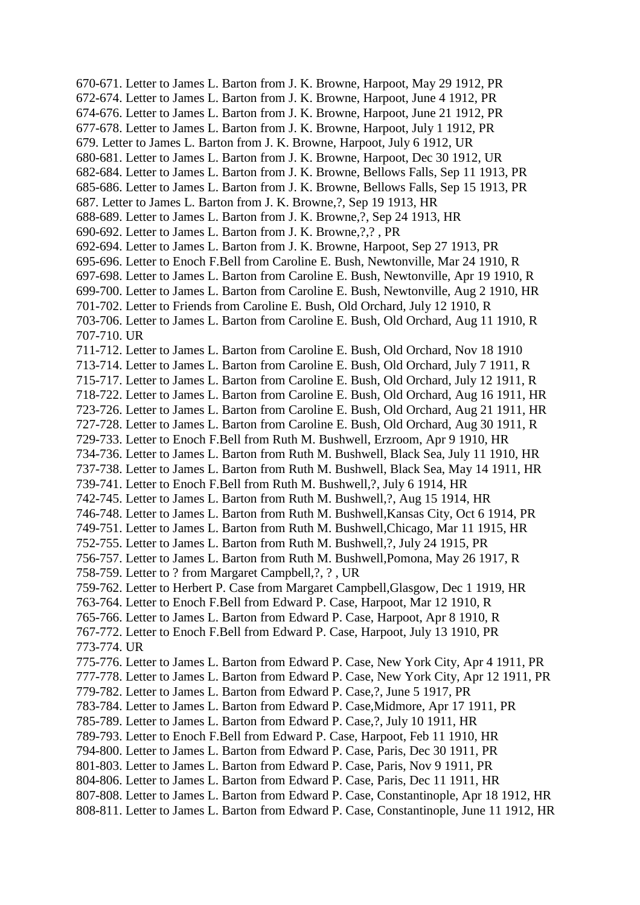670-671. Letter to James L. Barton from J. K. Browne, Harpoot, May 29 1912, PR 672-674. Letter to James L. Barton from J. K. Browne, Harpoot, June 4 1912, PR 674-676. Letter to James L. Barton from J. K. Browne, Harpoot, June 21 1912, PR 677-678. Letter to James L. Barton from J. K. Browne, Harpoot, July 1 1912, PR 679. Letter to James L. Barton from J. K. Browne, Harpoot, July 6 1912, UR 680-681. Letter to James L. Barton from J. K. Browne, Harpoot, Dec 30 1912, UR 682-684. Letter to James L. Barton from J. K. Browne, Bellows Falls, Sep 11 1913, PR 685-686. Letter to James L. Barton from J. K. Browne, Bellows Falls, Sep 15 1913, PR 687. Letter to James L. Barton from J. K. Browne,?, Sep 19 1913, HR 688-689. Letter to James L. Barton from J. K. Browne,?, Sep 24 1913, HR 690-692. Letter to James L. Barton from J. K. Browne,?,? , PR 692-694. Letter to James L. Barton from J. K. Browne, Harpoot, Sep 27 1913, PR 695-696. Letter to Enoch F.Bell from Caroline E. Bush, Newtonville, Mar 24 1910, R 697-698. Letter to James L. Barton from Caroline E. Bush, Newtonville, Apr 19 1910, R 699-700. Letter to James L. Barton from Caroline E. Bush, Newtonville, Aug 2 1910, HR 701-702. Letter to Friends from Caroline E. Bush, Old Orchard, July 12 1910, R 703-706. Letter to James L. Barton from Caroline E. Bush, Old Orchard, Aug 11 1910, R 707-710. UR 711-712. Letter to James L. Barton from Caroline E. Bush, Old Orchard, Nov 18 1910 713-714. Letter to James L. Barton from Caroline E. Bush, Old Orchard, July 7 1911, R 715-717. Letter to James L. Barton from Caroline E. Bush, Old Orchard, July 12 1911, R 718-722. Letter to James L. Barton from Caroline E. Bush, Old Orchard, Aug 16 1911, HR 723-726. Letter to James L. Barton from Caroline E. Bush, Old Orchard, Aug 21 1911, HR 727-728. Letter to James L. Barton from Caroline E. Bush, Old Orchard, Aug 30 1911, R 729-733. Letter to Enoch F.Bell from Ruth M. Bushwell, Erzroom, Apr 9 1910, HR 734-736. Letter to James L. Barton from Ruth M. Bushwell, Black Sea, July 11 1910, HR 737-738. Letter to James L. Barton from Ruth M. Bushwell, Black Sea, May 14 1911, HR 739-741. Letter to Enoch F.Bell from Ruth M. Bushwell,?, July 6 1914, HR 742-745. Letter to James L. Barton from Ruth M. Bushwell,?, Aug 15 1914, HR 746-748. Letter to James L. Barton from Ruth M. Bushwell,Kansas City, Oct 6 1914, PR 749-751. Letter to James L. Barton from Ruth M. Bushwell,Chicago, Mar 11 1915, HR 752-755. Letter to James L. Barton from Ruth M. Bushwell,?, July 24 1915, PR 756-757. Letter to James L. Barton from Ruth M. Bushwell,Pomona, May 26 1917, R 758-759. Letter to ? from Margaret Campbell,?, ? , UR 759-762. Letter to Herbert P. Case from Margaret Campbell,Glasgow, Dec 1 1919, HR 763-764. Letter to Enoch F.Bell from Edward P. Case, Harpoot, Mar 12 1910, R 765-766. Letter to James L. Barton from Edward P. Case, Harpoot, Apr 8 1910, R 767-772. Letter to Enoch F.Bell from Edward P. Case, Harpoot, July 13 1910, PR 773-774. UR 775-776. Letter to James L. Barton from Edward P. Case, New York City, Apr 4 1911, PR 777-778. Letter to James L. Barton from Edward P. Case, New York City, Apr 12 1911, PR 779-782. Letter to James L. Barton from Edward P. Case,?, June 5 1917, PR 783-784. Letter to James L. Barton from Edward P. Case,Midmore, Apr 17 1911, PR 785-789. Letter to James L. Barton from Edward P. Case,?, July 10 1911, HR 789-793. Letter to Enoch F.Bell from Edward P. Case, Harpoot, Feb 11 1910, HR 794-800. Letter to James L. Barton from Edward P. Case, Paris, Dec 30 1911, PR 801-803. Letter to James L. Barton from Edward P. Case, Paris, Nov 9 1911, PR 804-806. Letter to James L. Barton from Edward P. Case, Paris, Dec 11 1911, HR 807-808. Letter to James L. Barton from Edward P. Case, Constantinople, Apr 18 1912, HR 808-811. Letter to James L. Barton from Edward P. Case, Constantinople, June 11 1912, HR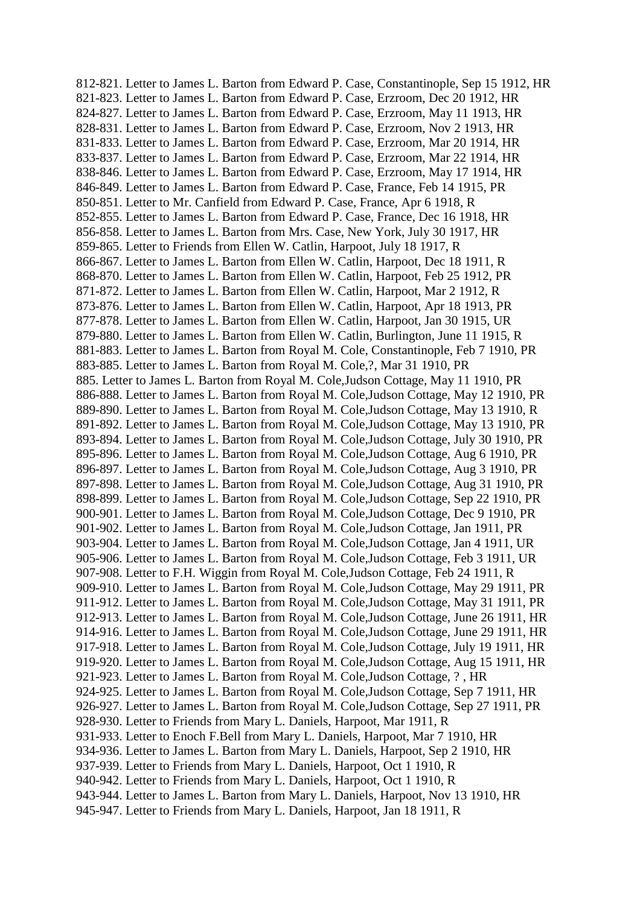812-821. Letter to James L. Barton from Edward P. Case, Constantinople, Sep 15 1912, HR 821-823. Letter to James L. Barton from Edward P. Case, Erzroom, Dec 20 1912, HR 824-827. Letter to James L. Barton from Edward P. Case, Erzroom, May 11 1913, HR 828-831. Letter to James L. Barton from Edward P. Case, Erzroom, Nov 2 1913, HR 831-833. Letter to James L. Barton from Edward P. Case, Erzroom, Mar 20 1914, HR 833-837. Letter to James L. Barton from Edward P. Case, Erzroom, Mar 22 1914, HR 838-846. Letter to James L. Barton from Edward P. Case, Erzroom, May 17 1914, HR 846-849. Letter to James L. Barton from Edward P. Case, France, Feb 14 1915, PR 850-851. Letter to Mr. Canfield from Edward P. Case, France, Apr 6 1918, R 852-855. Letter to James L. Barton from Edward P. Case, France, Dec 16 1918, HR 856-858. Letter to James L. Barton from Mrs. Case, New York, July 30 1917, HR 859-865. Letter to Friends from Ellen W. Catlin, Harpoot, July 18 1917, R 866-867. Letter to James L. Barton from Ellen W. Catlin, Harpoot, Dec 18 1911, R 868-870. Letter to James L. Barton from Ellen W. Catlin, Harpoot, Feb 25 1912, PR 871-872. Letter to James L. Barton from Ellen W. Catlin, Harpoot, Mar 2 1912, R 873-876. Letter to James L. Barton from Ellen W. Catlin, Harpoot, Apr 18 1913, PR 877-878. Letter to James L. Barton from Ellen W. Catlin, Harpoot, Jan 30 1915, UR 879-880. Letter to James L. Barton from Ellen W. Catlin, Burlington, June 11 1915, R 881-883. Letter to James L. Barton from Royal M. Cole, Constantinople, Feb 7 1910, PR 883-885. Letter to James L. Barton from Royal M. Cole,?, Mar 31 1910, PR 885. Letter to James L. Barton from Royal M. Cole,Judson Cottage, May 11 1910, PR 886-888. Letter to James L. Barton from Royal M. Cole,Judson Cottage, May 12 1910, PR 889-890. Letter to James L. Barton from Royal M. Cole,Judson Cottage, May 13 1910, R 891-892. Letter to James L. Barton from Royal M. Cole,Judson Cottage, May 13 1910, PR 893-894. Letter to James L. Barton from Royal M. Cole,Judson Cottage, July 30 1910, PR 895-896. Letter to James L. Barton from Royal M. Cole,Judson Cottage, Aug 6 1910, PR 896-897. Letter to James L. Barton from Royal M. Cole,Judson Cottage, Aug 3 1910, PR 897-898. Letter to James L. Barton from Royal M. Cole,Judson Cottage, Aug 31 1910, PR 898-899. Letter to James L. Barton from Royal M. Cole,Judson Cottage, Sep 22 1910, PR 900-901. Letter to James L. Barton from Royal M. Cole,Judson Cottage, Dec 9 1910, PR 901-902. Letter to James L. Barton from Royal M. Cole,Judson Cottage, Jan 1911, PR 903-904. Letter to James L. Barton from Royal M. Cole,Judson Cottage, Jan 4 1911, UR 905-906. Letter to James L. Barton from Royal M. Cole,Judson Cottage, Feb 3 1911, UR 907-908. Letter to F.H. Wiggin from Royal M. Cole,Judson Cottage, Feb 24 1911, R 909-910. Letter to James L. Barton from Royal M. Cole,Judson Cottage, May 29 1911, PR 911-912. Letter to James L. Barton from Royal M. Cole,Judson Cottage, May 31 1911, PR 912-913. Letter to James L. Barton from Royal M. Cole,Judson Cottage, June 26 1911, HR 914-916. Letter to James L. Barton from Royal M. Cole,Judson Cottage, June 29 1911, HR 917-918. Letter to James L. Barton from Royal M. Cole,Judson Cottage, July 19 1911, HR 919-920. Letter to James L. Barton from Royal M. Cole,Judson Cottage, Aug 15 1911, HR 921-923. Letter to James L. Barton from Royal M. Cole,Judson Cottage, ? , HR 924-925. Letter to James L. Barton from Royal M. Cole,Judson Cottage, Sep 7 1911, HR 926-927. Letter to James L. Barton from Royal M. Cole,Judson Cottage, Sep 27 1911, PR 928-930. Letter to Friends from Mary L. Daniels, Harpoot, Mar 1911, R 931-933. Letter to Enoch F.Bell from Mary L. Daniels, Harpoot, Mar 7 1910, HR 934-936. Letter to James L. Barton from Mary L. Daniels, Harpoot, Sep 2 1910, HR 937-939. Letter to Friends from Mary L. Daniels, Harpoot, Oct 1 1910, R 940-942. Letter to Friends from Mary L. Daniels, Harpoot, Oct 1 1910, R 943-944. Letter to James L. Barton from Mary L. Daniels, Harpoot, Nov 13 1910, HR 945-947. Letter to Friends from Mary L. Daniels, Harpoot, Jan 18 1911, R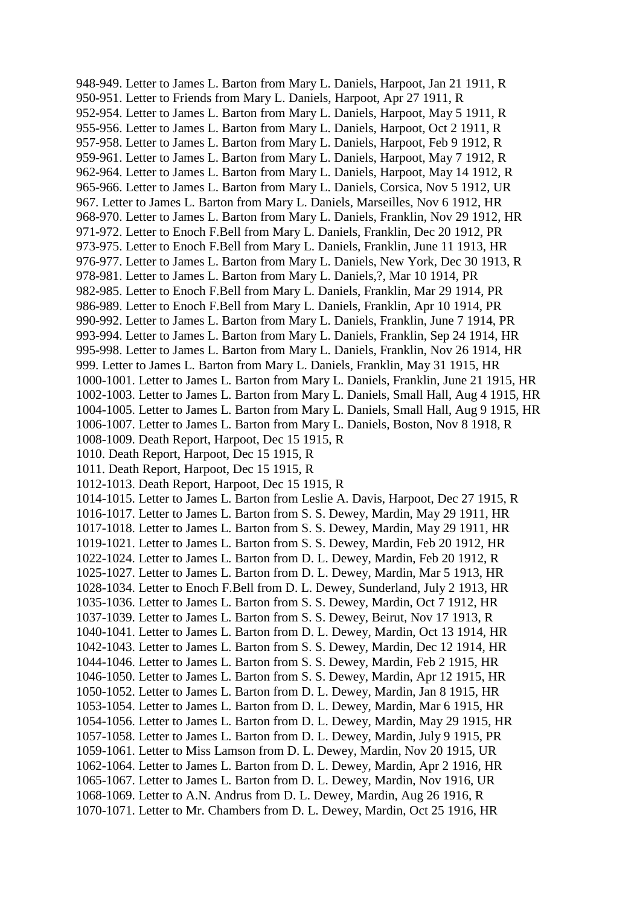948-949. Letter to James L. Barton from Mary L. Daniels, Harpoot, Jan 21 1911, R 950-951. Letter to Friends from Mary L. Daniels, Harpoot, Apr 27 1911, R 952-954. Letter to James L. Barton from Mary L. Daniels, Harpoot, May 5 1911, R 955-956. Letter to James L. Barton from Mary L. Daniels, Harpoot, Oct 2 1911, R 957-958. Letter to James L. Barton from Mary L. Daniels, Harpoot, Feb 9 1912, R 959-961. Letter to James L. Barton from Mary L. Daniels, Harpoot, May 7 1912, R 962-964. Letter to James L. Barton from Mary L. Daniels, Harpoot, May 14 1912, R 965-966. Letter to James L. Barton from Mary L. Daniels, Corsica, Nov 5 1912, UR 967. Letter to James L. Barton from Mary L. Daniels, Marseilles, Nov 6 1912, HR 968-970. Letter to James L. Barton from Mary L. Daniels, Franklin, Nov 29 1912, HR 971-972. Letter to Enoch F.Bell from Mary L. Daniels, Franklin, Dec 20 1912, PR 973-975. Letter to Enoch F.Bell from Mary L. Daniels, Franklin, June 11 1913, HR 976-977. Letter to James L. Barton from Mary L. Daniels, New York, Dec 30 1913, R 978-981. Letter to James L. Barton from Mary L. Daniels,?, Mar 10 1914, PR 982-985. Letter to Enoch F.Bell from Mary L. Daniels, Franklin, Mar 29 1914, PR 986-989. Letter to Enoch F.Bell from Mary L. Daniels, Franklin, Apr 10 1914, PR 990-992. Letter to James L. Barton from Mary L. Daniels, Franklin, June 7 1914, PR 993-994. Letter to James L. Barton from Mary L. Daniels, Franklin, Sep 24 1914, HR 995-998. Letter to James L. Barton from Mary L. Daniels, Franklin, Nov 26 1914, HR 999. Letter to James L. Barton from Mary L. Daniels, Franklin, May 31 1915, HR 1000-1001. Letter to James L. Barton from Mary L. Daniels, Franklin, June 21 1915, HR 1002-1003. Letter to James L. Barton from Mary L. Daniels, Small Hall, Aug 4 1915, HR 1004-1005. Letter to James L. Barton from Mary L. Daniels, Small Hall, Aug 9 1915, HR 1006-1007. Letter to James L. Barton from Mary L. Daniels, Boston, Nov 8 1918, R 1008-1009. Death Report, Harpoot, Dec 15 1915, R 1010. Death Report, Harpoot, Dec 15 1915, R 1011. Death Report, Harpoot, Dec 15 1915, R 1012-1013. Death Report, Harpoot, Dec 15 1915, R 1014-1015. Letter to James L. Barton from Leslie A. Davis, Harpoot, Dec 27 1915, R 1016-1017. Letter to James L. Barton from S. S. Dewey, Mardin, May 29 1911, HR 1017-1018. Letter to James L. Barton from S. S. Dewey, Mardin, May 29 1911, HR 1019-1021. Letter to James L. Barton from S. S. Dewey, Mardin, Feb 20 1912, HR 1022-1024. Letter to James L. Barton from D. L. Dewey, Mardin, Feb 20 1912, R 1025-1027. Letter to James L. Barton from D. L. Dewey, Mardin, Mar 5 1913, HR 1028-1034. Letter to Enoch F.Bell from D. L. Dewey, Sunderland, July 2 1913, HR 1035-1036. Letter to James L. Barton from S. S. Dewey, Mardin, Oct 7 1912, HR 1037-1039. Letter to James L. Barton from S. S. Dewey, Beirut, Nov 17 1913, R 1040-1041. Letter to James L. Barton from D. L. Dewey, Mardin, Oct 13 1914, HR 1042-1043. Letter to James L. Barton from S. S. Dewey, Mardin, Dec 12 1914, HR 1044-1046. Letter to James L. Barton from S. S. Dewey, Mardin, Feb 2 1915, HR 1046-1050. Letter to James L. Barton from S. S. Dewey, Mardin, Apr 12 1915, HR 1050-1052. Letter to James L. Barton from D. L. Dewey, Mardin, Jan 8 1915, HR 1053-1054. Letter to James L. Barton from D. L. Dewey, Mardin, Mar 6 1915, HR 1054-1056. Letter to James L. Barton from D. L. Dewey, Mardin, May 29 1915, HR 1057-1058. Letter to James L. Barton from D. L. Dewey, Mardin, July 9 1915, PR 1059-1061. Letter to Miss Lamson from D. L. Dewey, Mardin, Nov 20 1915, UR 1062-1064. Letter to James L. Barton from D. L. Dewey, Mardin, Apr 2 1916, HR 1065-1067. Letter to James L. Barton from D. L. Dewey, Mardin, Nov 1916, UR 1068-1069. Letter to A.N. Andrus from D. L. Dewey, Mardin, Aug 26 1916, R 1070-1071. Letter to Mr. Chambers from D. L. Dewey, Mardin, Oct 25 1916, HR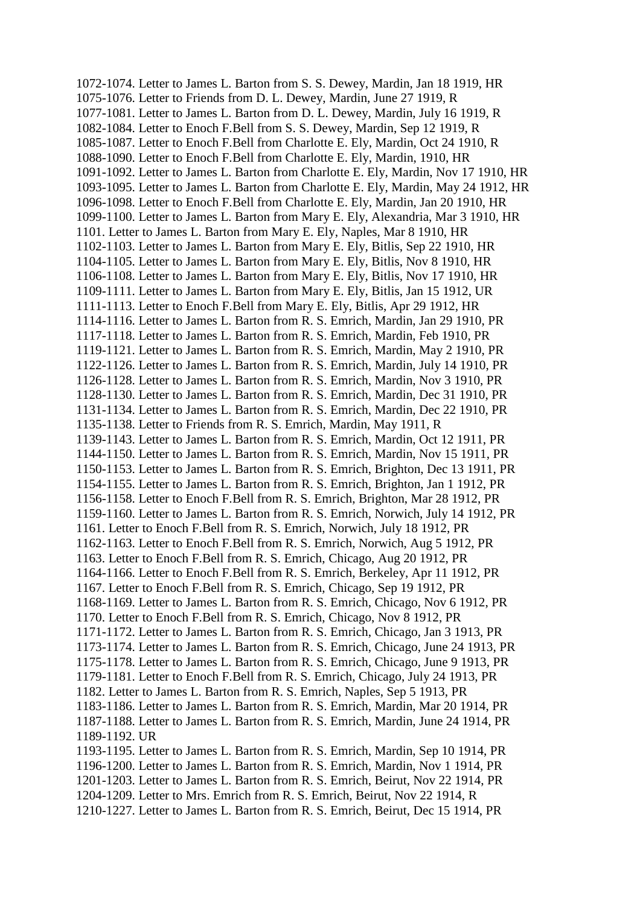1072-1074. Letter to James L. Barton from S. S. Dewey, Mardin, Jan 18 1919, HR 1075-1076. Letter to Friends from D. L. Dewey, Mardin, June 27 1919, R 1077-1081. Letter to James L. Barton from D. L. Dewey, Mardin, July 16 1919, R 1082-1084. Letter to Enoch F.Bell from S. S. Dewey, Mardin, Sep 12 1919, R 1085-1087. Letter to Enoch F.Bell from Charlotte E. Ely, Mardin, Oct 24 1910, R 1088-1090. Letter to Enoch F.Bell from Charlotte E. Ely, Mardin, 1910, HR 1091-1092. Letter to James L. Barton from Charlotte E. Ely, Mardin, Nov 17 1910, HR 1093-1095. Letter to James L. Barton from Charlotte E. Ely, Mardin, May 24 1912, HR 1096-1098. Letter to Enoch F.Bell from Charlotte E. Ely, Mardin, Jan 20 1910, HR 1099-1100. Letter to James L. Barton from Mary E. Ely, Alexandria, Mar 3 1910, HR 1101. Letter to James L. Barton from Mary E. Ely, Naples, Mar 8 1910, HR 1102-1103. Letter to James L. Barton from Mary E. Ely, Bitlis, Sep 22 1910, HR 1104-1105. Letter to James L. Barton from Mary E. Ely, Bitlis, Nov 8 1910, HR 1106-1108. Letter to James L. Barton from Mary E. Ely, Bitlis, Nov 17 1910, HR 1109-1111. Letter to James L. Barton from Mary E. Ely, Bitlis, Jan 15 1912, UR 1111-1113. Letter to Enoch F.Bell from Mary E. Ely, Bitlis, Apr 29 1912, HR 1114-1116. Letter to James L. Barton from R. S. Emrich, Mardin, Jan 29 1910, PR 1117-1118. Letter to James L. Barton from R. S. Emrich, Mardin, Feb 1910, PR 1119-1121. Letter to James L. Barton from R. S. Emrich, Mardin, May 2 1910, PR 1122-1126. Letter to James L. Barton from R. S. Emrich, Mardin, July 14 1910, PR 1126-1128. Letter to James L. Barton from R. S. Emrich, Mardin, Nov 3 1910, PR 1128-1130. Letter to James L. Barton from R. S. Emrich, Mardin, Dec 31 1910, PR 1131-1134. Letter to James L. Barton from R. S. Emrich, Mardin, Dec 22 1910, PR 1135-1138. Letter to Friends from R. S. Emrich, Mardin, May 1911, R 1139-1143. Letter to James L. Barton from R. S. Emrich, Mardin, Oct 12 1911, PR 1144-1150. Letter to James L. Barton from R. S. Emrich, Mardin, Nov 15 1911, PR 1150-1153. Letter to James L. Barton from R. S. Emrich, Brighton, Dec 13 1911, PR 1154-1155. Letter to James L. Barton from R. S. Emrich, Brighton, Jan 1 1912, PR 1156-1158. Letter to Enoch F.Bell from R. S. Emrich, Brighton, Mar 28 1912, PR 1159-1160. Letter to James L. Barton from R. S. Emrich, Norwich, July 14 1912, PR 1161. Letter to Enoch F.Bell from R. S. Emrich, Norwich, July 18 1912, PR 1162-1163. Letter to Enoch F.Bell from R. S. Emrich, Norwich, Aug 5 1912, PR 1163. Letter to Enoch F.Bell from R. S. Emrich, Chicago, Aug 20 1912, PR 1164-1166. Letter to Enoch F.Bell from R. S. Emrich, Berkeley, Apr 11 1912, PR 1167. Letter to Enoch F.Bell from R. S. Emrich, Chicago, Sep 19 1912, PR 1168-1169. Letter to James L. Barton from R. S. Emrich, Chicago, Nov 6 1912, PR 1170. Letter to Enoch F.Bell from R. S. Emrich, Chicago, Nov 8 1912, PR 1171-1172. Letter to James L. Barton from R. S. Emrich, Chicago, Jan 3 1913, PR 1173-1174. Letter to James L. Barton from R. S. Emrich, Chicago, June 24 1913, PR 1175-1178. Letter to James L. Barton from R. S. Emrich, Chicago, June 9 1913, PR 1179-1181. Letter to Enoch F.Bell from R. S. Emrich, Chicago, July 24 1913, PR 1182. Letter to James L. Barton from R. S. Emrich, Naples, Sep 5 1913, PR 1183-1186. Letter to James L. Barton from R. S. Emrich, Mardin, Mar 20 1914, PR 1187-1188. Letter to James L. Barton from R. S. Emrich, Mardin, June 24 1914, PR 1189-1192. UR 1193-1195. Letter to James L. Barton from R. S. Emrich, Mardin, Sep 10 1914, PR 1196-1200. Letter to James L. Barton from R. S. Emrich, Mardin, Nov 1 1914, PR 1201-1203. Letter to James L. Barton from R. S. Emrich, Beirut, Nov 22 1914, PR 1204-1209. Letter to Mrs. Emrich from R. S. Emrich, Beirut, Nov 22 1914, R 1210-1227. Letter to James L. Barton from R. S. Emrich, Beirut, Dec 15 1914, PR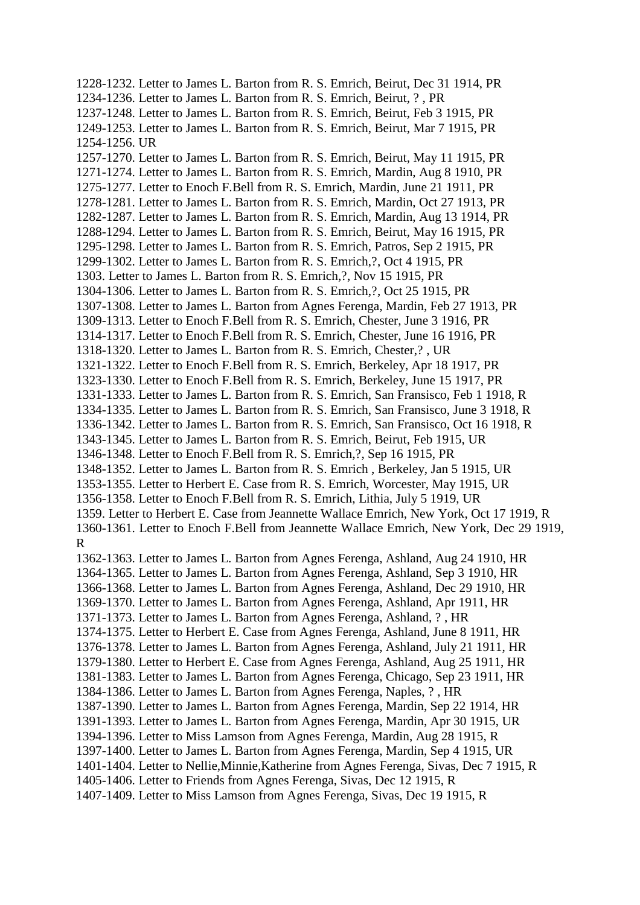1228-1232. Letter to James L. Barton from R. S. Emrich, Beirut, Dec 31 1914, PR 1234-1236. Letter to James L. Barton from R. S. Emrich, Beirut, ? , PR 1237-1248. Letter to James L. Barton from R. S. Emrich, Beirut, Feb 3 1915, PR 1249-1253. Letter to James L. Barton from R. S. Emrich, Beirut, Mar 7 1915, PR 1254-1256. UR 1257-1270. Letter to James L. Barton from R. S. Emrich, Beirut, May 11 1915, PR 1271-1274. Letter to James L. Barton from R. S. Emrich, Mardin, Aug 8 1910, PR 1275-1277. Letter to Enoch F.Bell from R. S. Emrich, Mardin, June 21 1911, PR 1278-1281. Letter to James L. Barton from R. S. Emrich, Mardin, Oct 27 1913, PR 1282-1287. Letter to James L. Barton from R. S. Emrich, Mardin, Aug 13 1914, PR 1288-1294. Letter to James L. Barton from R. S. Emrich, Beirut, May 16 1915, PR 1295-1298. Letter to James L. Barton from R. S. Emrich, Patros, Sep 2 1915, PR 1299-1302. Letter to James L. Barton from R. S. Emrich,?, Oct 4 1915, PR 1303. Letter to James L. Barton from R. S. Emrich,?, Nov 15 1915, PR 1304-1306. Letter to James L. Barton from R. S. Emrich,?, Oct 25 1915, PR 1307-1308. Letter to James L. Barton from Agnes Ferenga, Mardin, Feb 27 1913, PR 1309-1313. Letter to Enoch F.Bell from R. S. Emrich, Chester, June 3 1916, PR 1314-1317. Letter to Enoch F.Bell from R. S. Emrich, Chester, June 16 1916, PR 1318-1320. Letter to James L. Barton from R. S. Emrich, Chester,? , UR 1321-1322. Letter to Enoch F.Bell from R. S. Emrich, Berkeley, Apr 18 1917, PR 1323-1330. Letter to Enoch F.Bell from R. S. Emrich, Berkeley, June 15 1917, PR 1331-1333. Letter to James L. Barton from R. S. Emrich, San Fransisco, Feb 1 1918, R 1334-1335. Letter to James L. Barton from R. S. Emrich, San Fransisco, June 3 1918, R 1336-1342. Letter to James L. Barton from R. S. Emrich, San Fransisco, Oct 16 1918, R 1343-1345. Letter to James L. Barton from R. S. Emrich, Beirut, Feb 1915, UR 1346-1348. Letter to Enoch F.Bell from R. S. Emrich,?, Sep 16 1915, PR 1348-1352. Letter to James L. Barton from R. S. Emrich , Berkeley, Jan 5 1915, UR 1353-1355. Letter to Herbert E. Case from R. S. Emrich, Worcester, May 1915, UR 1356-1358. Letter to Enoch F.Bell from R. S. Emrich, Lithia, July 5 1919, UR 1359. Letter to Herbert E. Case from Jeannette Wallace Emrich, New York, Oct 17 1919, R 1360-1361. Letter to Enoch F.Bell from Jeannette Wallace Emrich, New York, Dec 29 1919, R 1362-1363. Letter to James L. Barton from Agnes Ferenga, Ashland, Aug 24 1910, HR 1364-1365. Letter to James L. Barton from Agnes Ferenga, Ashland, Sep 3 1910, HR 1366-1368. Letter to James L. Barton from Agnes Ferenga, Ashland, Dec 29 1910, HR 1369-1370. Letter to James L. Barton from Agnes Ferenga, Ashland, Apr 1911, HR 1371-1373. Letter to James L. Barton from Agnes Ferenga, Ashland, ? , HR 1374-1375. Letter to Herbert E. Case from Agnes Ferenga, Ashland, June 8 1911, HR 1376-1378. Letter to James L. Barton from Agnes Ferenga, Ashland, July 21 1911, HR 1379-1380. Letter to Herbert E. Case from Agnes Ferenga, Ashland, Aug 25 1911, HR 1381-1383. Letter to James L. Barton from Agnes Ferenga, Chicago, Sep 23 1911, HR 1384-1386. Letter to James L. Barton from Agnes Ferenga, Naples, ? , HR 1387-1390. Letter to James L. Barton from Agnes Ferenga, Mardin, Sep 22 1914, HR 1391-1393. Letter to James L. Barton from Agnes Ferenga, Mardin, Apr 30 1915, UR 1394-1396. Letter to Miss Lamson from Agnes Ferenga, Mardin, Aug 28 1915, R 1397-1400. Letter to James L. Barton from Agnes Ferenga, Mardin, Sep 4 1915, UR 1401-1404. Letter to Nellie,Minnie,Katherine from Agnes Ferenga, Sivas, Dec 7 1915, R 1405-1406. Letter to Friends from Agnes Ferenga, Sivas, Dec 12 1915, R 1407-1409. Letter to Miss Lamson from Agnes Ferenga, Sivas, Dec 19 1915, R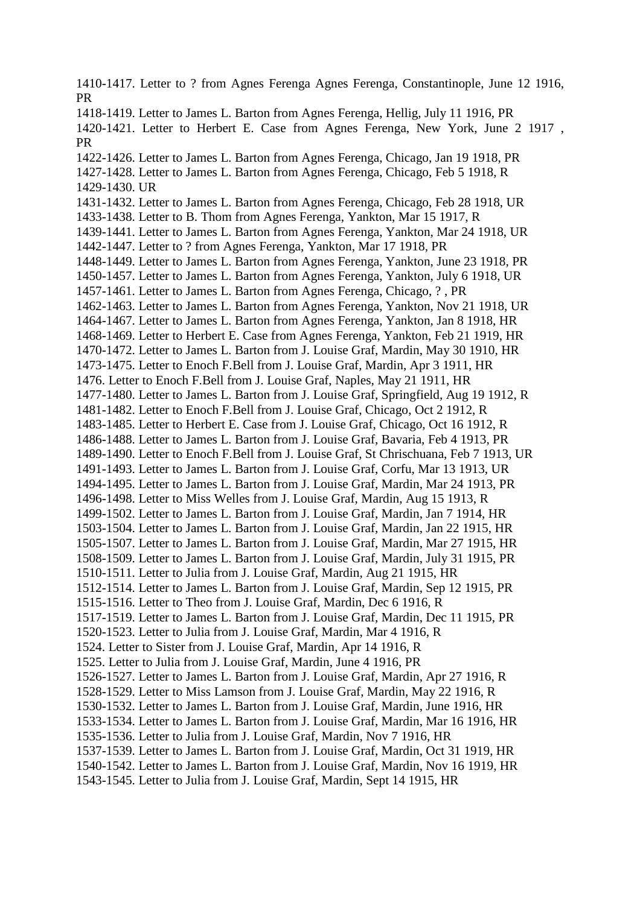1410-1417. Letter to ? from Agnes Ferenga Agnes Ferenga, Constantinople, June 12 1916, PR 1418-1419. Letter to James L. Barton from Agnes Ferenga, Hellig, July 11 1916, PR 1420-1421. Letter to Herbert E. Case from Agnes Ferenga, New York, June 2 1917 , PR 1422-1426. Letter to James L. Barton from Agnes Ferenga, Chicago, Jan 19 1918, PR 1427-1428. Letter to James L. Barton from Agnes Ferenga, Chicago, Feb 5 1918, R 1429-1430. UR 1431-1432. Letter to James L. Barton from Agnes Ferenga, Chicago, Feb 28 1918, UR 1433-1438. Letter to B. Thom from Agnes Ferenga, Yankton, Mar 15 1917, R 1439-1441. Letter to James L. Barton from Agnes Ferenga, Yankton, Mar 24 1918, UR 1442-1447. Letter to ? from Agnes Ferenga, Yankton, Mar 17 1918, PR 1448-1449. Letter to James L. Barton from Agnes Ferenga, Yankton, June 23 1918, PR 1450-1457. Letter to James L. Barton from Agnes Ferenga, Yankton, July 6 1918, UR 1457-1461. Letter to James L. Barton from Agnes Ferenga, Chicago, ? , PR 1462-1463. Letter to James L. Barton from Agnes Ferenga, Yankton, Nov 21 1918, UR 1464-1467. Letter to James L. Barton from Agnes Ferenga, Yankton, Jan 8 1918, HR 1468-1469. Letter to Herbert E. Case from Agnes Ferenga, Yankton, Feb 21 1919, HR 1470-1472. Letter to James L. Barton from J. Louise Graf, Mardin, May 30 1910, HR 1473-1475. Letter to Enoch F.Bell from J. Louise Graf, Mardin, Apr 3 1911, HR 1476. Letter to Enoch F.Bell from J. Louise Graf, Naples, May 21 1911, HR 1477-1480. Letter to James L. Barton from J. Louise Graf, Springfield, Aug 19 1912, R 1481-1482. Letter to Enoch F.Bell from J. Louise Graf, Chicago, Oct 2 1912, R 1483-1485. Letter to Herbert E. Case from J. Louise Graf, Chicago, Oct 16 1912, R 1486-1488. Letter to James L. Barton from J. Louise Graf, Bavaria, Feb 4 1913, PR 1489-1490. Letter to Enoch F.Bell from J. Louise Graf, St Chrischuana, Feb 7 1913, UR 1491-1493. Letter to James L. Barton from J. Louise Graf, Corfu, Mar 13 1913, UR 1494-1495. Letter to James L. Barton from J. Louise Graf, Mardin, Mar 24 1913, PR 1496-1498. Letter to Miss Welles from J. Louise Graf, Mardin, Aug 15 1913, R 1499-1502. Letter to James L. Barton from J. Louise Graf, Mardin, Jan 7 1914, HR 1503-1504. Letter to James L. Barton from J. Louise Graf, Mardin, Jan 22 1915, HR 1505-1507. Letter to James L. Barton from J. Louise Graf, Mardin, Mar 27 1915, HR 1508-1509. Letter to James L. Barton from J. Louise Graf, Mardin, July 31 1915, PR 1510-1511. Letter to Julia from J. Louise Graf, Mardin, Aug 21 1915, HR 1512-1514. Letter to James L. Barton from J. Louise Graf, Mardin, Sep 12 1915, PR 1515-1516. Letter to Theo from J. Louise Graf, Mardin, Dec 6 1916, R 1517-1519. Letter to James L. Barton from J. Louise Graf, Mardin, Dec 11 1915, PR 1520-1523. Letter to Julia from J. Louise Graf, Mardin, Mar 4 1916, R 1524. Letter to Sister from J. Louise Graf, Mardin, Apr 14 1916, R 1525. Letter to Julia from J. Louise Graf, Mardin, June 4 1916, PR 1526-1527. Letter to James L. Barton from J. Louise Graf, Mardin, Apr 27 1916, R 1528-1529. Letter to Miss Lamson from J. Louise Graf, Mardin, May 22 1916, R 1530-1532. Letter to James L. Barton from J. Louise Graf, Mardin, June 1916, HR 1533-1534. Letter to James L. Barton from J. Louise Graf, Mardin, Mar 16 1916, HR 1535-1536. Letter to Julia from J. Louise Graf, Mardin, Nov 7 1916, HR 1537-1539. Letter to James L. Barton from J. Louise Graf, Mardin, Oct 31 1919, HR 1540-1542. Letter to James L. Barton from J. Louise Graf, Mardin, Nov 16 1919, HR 1543-1545. Letter to Julia from J. Louise Graf, Mardin, Sept 14 1915, HR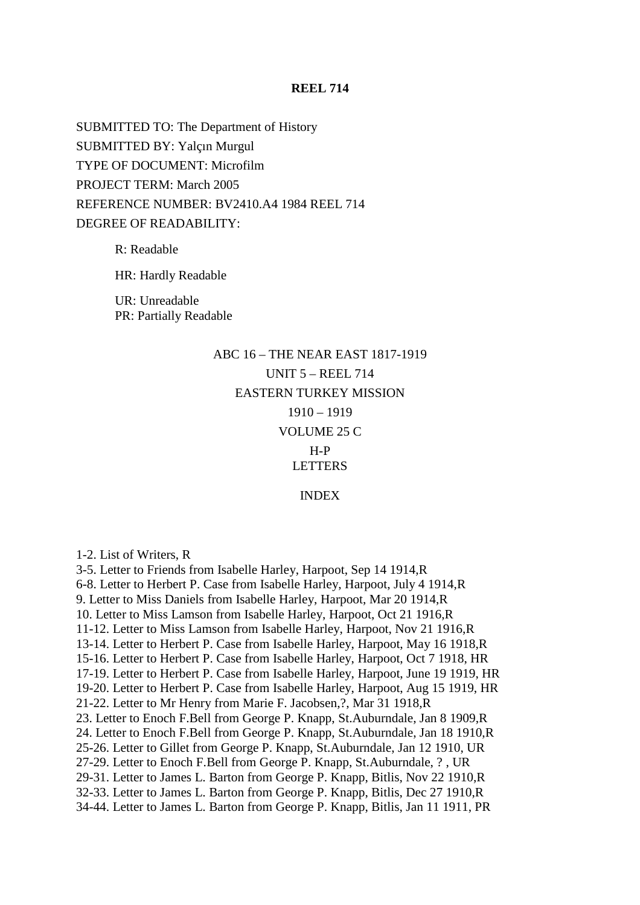### **REEL 714**

SUBMITTED TO: The Department of History SUBMITTED BY: Yalçın Murgul TYPE OF DOCUMENT: Microfilm PROJECT TERM: March 2005 REFERENCE NUMBER: BV2410.A4 1984 REEL 714 DEGREE OF READABILITY:

R: Readable

HR: Hardly Readable

UR: Unreadable PR: Partially Readable

# ABC 16 – THE NEAR EAST 1817-1919 UNIT 5 – REEL 714 EASTERN TURKEY MISSION 1910 – 1919 VOLUME 25 C H-P LETTERS INDEX

1-2. List of Writers, R

3-5. Letter to Friends from Isabelle Harley, Harpoot, Sep 14 1914,R 6-8. Letter to Herbert P. Case from Isabelle Harley, Harpoot, July 4 1914,R 9. Letter to Miss Daniels from Isabelle Harley, Harpoot, Mar 20 1914,R 10. Letter to Miss Lamson from Isabelle Harley, Harpoot, Oct 21 1916,R 11-12. Letter to Miss Lamson from Isabelle Harley, Harpoot, Nov 21 1916,R 13-14. Letter to Herbert P. Case from Isabelle Harley, Harpoot, May 16 1918,R 15-16. Letter to Herbert P. Case from Isabelle Harley, Harpoot, Oct 7 1918, HR 17-19. Letter to Herbert P. Case from Isabelle Harley, Harpoot, June 19 1919, HR 19-20. Letter to Herbert P. Case from Isabelle Harley, Harpoot, Aug 15 1919, HR 21-22. Letter to Mr Henry from Marie F. Jacobsen,?, Mar 31 1918,R 23. Letter to Enoch F.Bell from George P. Knapp, St.Auburndale, Jan 8 1909,R 24. Letter to Enoch F.Bell from George P. Knapp, St.Auburndale, Jan 18 1910,R 25-26. Letter to Gillet from George P. Knapp, St.Auburndale, Jan 12 1910, UR 27-29. Letter to Enoch F.Bell from George P. Knapp, St.Auburndale, ? , UR 29-31. Letter to James L. Barton from George P. Knapp, Bitlis, Nov 22 1910,R 32-33. Letter to James L. Barton from George P. Knapp, Bitlis, Dec 27 1910,R 34-44. Letter to James L. Barton from George P. Knapp, Bitlis, Jan 11 1911, PR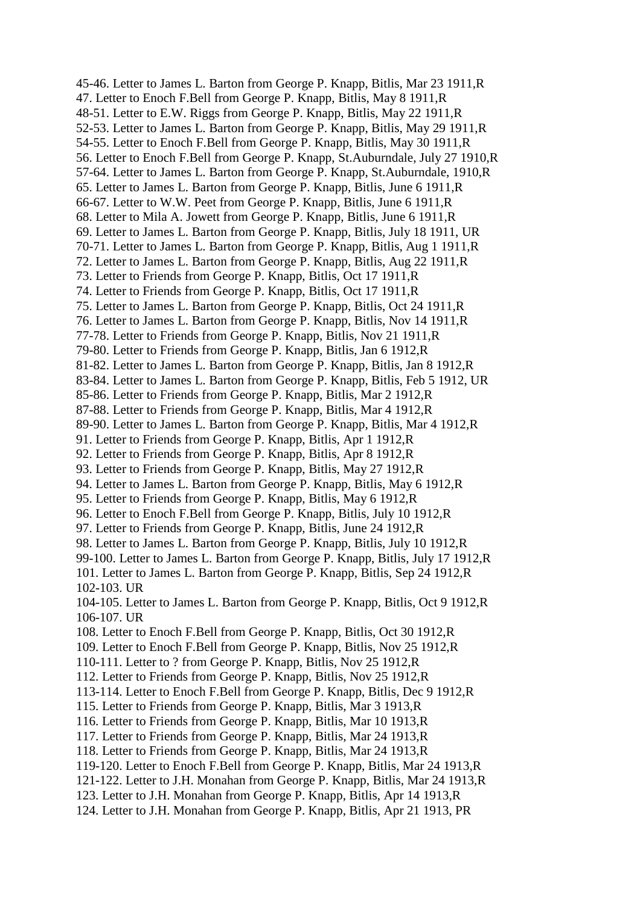45-46. Letter to James L. Barton from George P. Knapp, Bitlis, Mar 23 1911,R 47. Letter to Enoch F.Bell from George P. Knapp, Bitlis, May 8 1911,R 48-51. Letter to E.W. Riggs from George P. Knapp, Bitlis, May 22 1911,R 52-53. Letter to James L. Barton from George P. Knapp, Bitlis, May 29 1911,R 54-55. Letter to Enoch F.Bell from George P. Knapp, Bitlis, May 30 1911,R 56. Letter to Enoch F.Bell from George P. Knapp, St.Auburndale, July 27 1910,R 57-64. Letter to James L. Barton from George P. Knapp, St.Auburndale, 1910,R 65. Letter to James L. Barton from George P. Knapp, Bitlis, June 6 1911,R 66-67. Letter to W.W. Peet from George P. Knapp, Bitlis, June 6 1911,R 68. Letter to Mila A. Jowett from George P. Knapp, Bitlis, June 6 1911,R 69. Letter to James L. Barton from George P. Knapp, Bitlis, July 18 1911, UR 70-71. Letter to James L. Barton from George P. Knapp, Bitlis, Aug 1 1911,R 72. Letter to James L. Barton from George P. Knapp, Bitlis, Aug 22 1911,R 73. Letter to Friends from George P. Knapp, Bitlis, Oct 17 1911,R 74. Letter to Friends from George P. Knapp, Bitlis, Oct 17 1911,R 75. Letter to James L. Barton from George P. Knapp, Bitlis, Oct 24 1911,R 76. Letter to James L. Barton from George P. Knapp, Bitlis, Nov 14 1911,R 77-78. Letter to Friends from George P. Knapp, Bitlis, Nov 21 1911,R 79-80. Letter to Friends from George P. Knapp, Bitlis, Jan 6 1912,R 81-82. Letter to James L. Barton from George P. Knapp, Bitlis, Jan 8 1912,R 83-84. Letter to James L. Barton from George P. Knapp, Bitlis, Feb 5 1912, UR 85-86. Letter to Friends from George P. Knapp, Bitlis, Mar 2 1912,R 87-88. Letter to Friends from George P. Knapp, Bitlis, Mar 4 1912,R 89-90. Letter to James L. Barton from George P. Knapp, Bitlis, Mar 4 1912,R 91. Letter to Friends from George P. Knapp, Bitlis, Apr 1 1912,R 92. Letter to Friends from George P. Knapp, Bitlis, Apr 8 1912,R 93. Letter to Friends from George P. Knapp, Bitlis, May 27 1912,R 94. Letter to James L. Barton from George P. Knapp, Bitlis, May 6 1912,R 95. Letter to Friends from George P. Knapp, Bitlis, May 6 1912,R 96. Letter to Enoch F.Bell from George P. Knapp, Bitlis, July 10 1912,R 97. Letter to Friends from George P. Knapp, Bitlis, June 24 1912,R 98. Letter to James L. Barton from George P. Knapp, Bitlis, July 10 1912,R 99-100. Letter to James L. Barton from George P. Knapp, Bitlis, July 17 1912,R 101. Letter to James L. Barton from George P. Knapp, Bitlis, Sep 24 1912,R 102-103. UR 104-105. Letter to James L. Barton from George P. Knapp, Bitlis, Oct 9 1912,R 106-107. UR 108. Letter to Enoch F.Bell from George P. Knapp, Bitlis, Oct 30 1912,R 109. Letter to Enoch F.Bell from George P. Knapp, Bitlis, Nov 25 1912,R 110-111. Letter to ? from George P. Knapp, Bitlis, Nov 25 1912,R 112. Letter to Friends from George P. Knapp, Bitlis, Nov 25 1912,R 113-114. Letter to Enoch F.Bell from George P. Knapp, Bitlis, Dec 9 1912,R 115. Letter to Friends from George P. Knapp, Bitlis, Mar 3 1913,R 116. Letter to Friends from George P. Knapp, Bitlis, Mar 10 1913,R 117. Letter to Friends from George P. Knapp, Bitlis, Mar 24 1913,R 118. Letter to Friends from George P. Knapp, Bitlis, Mar 24 1913,R 119-120. Letter to Enoch F.Bell from George P. Knapp, Bitlis, Mar 24 1913,R 121-122. Letter to J.H. Monahan from George P. Knapp, Bitlis, Mar 24 1913,R 123. Letter to J.H. Monahan from George P. Knapp, Bitlis, Apr 14 1913,R 124. Letter to J.H. Monahan from George P. Knapp, Bitlis, Apr 21 1913, PR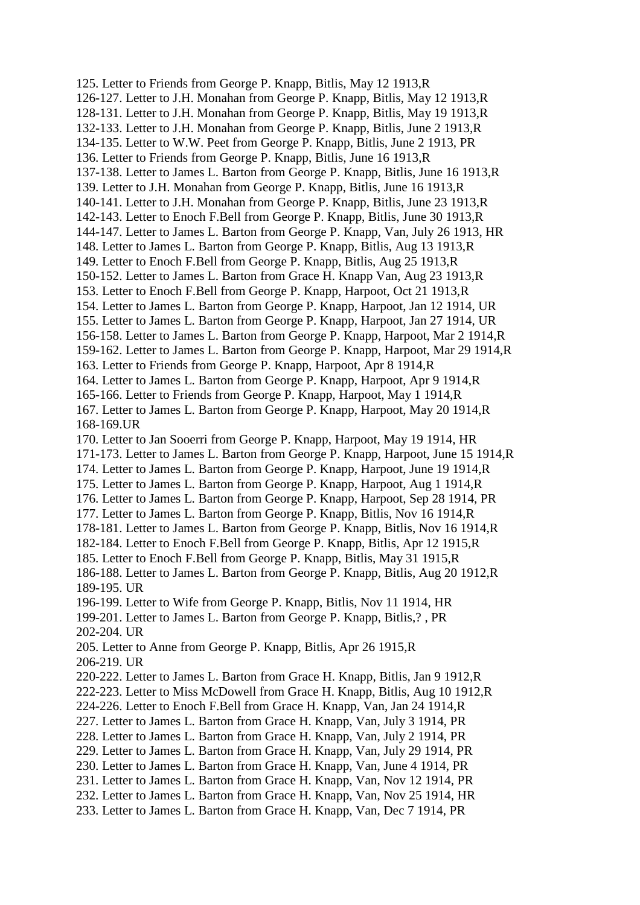125. Letter to Friends from George P. Knapp, Bitlis, May 12 1913,R 126-127. Letter to J.H. Monahan from George P. Knapp, Bitlis, May 12 1913,R 128-131. Letter to J.H. Monahan from George P. Knapp, Bitlis, May 19 1913,R 132-133. Letter to J.H. Monahan from George P. Knapp, Bitlis, June 2 1913,R 134-135. Letter to W.W. Peet from George P. Knapp, Bitlis, June 2 1913, PR 136. Letter to Friends from George P. Knapp, Bitlis, June 16 1913,R 137-138. Letter to James L. Barton from George P. Knapp, Bitlis, June 16 1913,R 139. Letter to J.H. Monahan from George P. Knapp, Bitlis, June 16 1913,R 140-141. Letter to J.H. Monahan from George P. Knapp, Bitlis, June 23 1913,R 142-143. Letter to Enoch F.Bell from George P. Knapp, Bitlis, June 30 1913,R 144-147. Letter to James L. Barton from George P. Knapp, Van, July 26 1913, HR 148. Letter to James L. Barton from George P. Knapp, Bitlis, Aug 13 1913,R 149. Letter to Enoch F.Bell from George P. Knapp, Bitlis, Aug 25 1913,R 150-152. Letter to James L. Barton from Grace H. Knapp Van, Aug 23 1913,R 153. Letter to Enoch F.Bell from George P. Knapp, Harpoot, Oct 21 1913,R 154. Letter to James L. Barton from George P. Knapp, Harpoot, Jan 12 1914, UR 155. Letter to James L. Barton from George P. Knapp, Harpoot, Jan 27 1914, UR 156-158. Letter to James L. Barton from George P. Knapp, Harpoot, Mar 2 1914,R 159-162. Letter to James L. Barton from George P. Knapp, Harpoot, Mar 29 1914,R 163. Letter to Friends from George P. Knapp, Harpoot, Apr 8 1914,R 164. Letter to James L. Barton from George P. Knapp, Harpoot, Apr 9 1914,R 165-166. Letter to Friends from George P. Knapp, Harpoot, May 1 1914,R 167. Letter to James L. Barton from George P. Knapp, Harpoot, May 20 1914,R 168-169.UR 170. Letter to Jan Sooerri from George P. Knapp, Harpoot, May 19 1914, HR 171-173. Letter to James L. Barton from George P. Knapp, Harpoot, June 15 1914,R 174. Letter to James L. Barton from George P. Knapp, Harpoot, June 19 1914,R 175. Letter to James L. Barton from George P. Knapp, Harpoot, Aug 1 1914,R 176. Letter to James L. Barton from George P. Knapp, Harpoot, Sep 28 1914, PR 177. Letter to James L. Barton from George P. Knapp, Bitlis, Nov 16 1914,R 178-181. Letter to James L. Barton from George P. Knapp, Bitlis, Nov 16 1914,R 182-184. Letter to Enoch F.Bell from George P. Knapp, Bitlis, Apr 12 1915,R 185. Letter to Enoch F.Bell from George P. Knapp, Bitlis, May 31 1915,R 186-188. Letter to James L. Barton from George P. Knapp, Bitlis, Aug 20 1912,R 189-195. UR 196-199. Letter to Wife from George P. Knapp, Bitlis, Nov 11 1914, HR 199-201. Letter to James L. Barton from George P. Knapp, Bitlis,? , PR 202-204. UR 205. Letter to Anne from George P. Knapp, Bitlis, Apr 26 1915,R 206-219. UR 220-222. Letter to James L. Barton from Grace H. Knapp, Bitlis, Jan 9 1912,R 222-223. Letter to Miss McDowell from Grace H. Knapp, Bitlis, Aug 10 1912,R 224-226. Letter to Enoch F.Bell from Grace H. Knapp, Van, Jan 24 1914,R 227. Letter to James L. Barton from Grace H. Knapp, Van, July 3 1914, PR 228. Letter to James L. Barton from Grace H. Knapp, Van, July 2 1914, PR 229. Letter to James L. Barton from Grace H. Knapp, Van, July 29 1914, PR 230. Letter to James L. Barton from Grace H. Knapp, Van, June 4 1914, PR 231. Letter to James L. Barton from Grace H. Knapp, Van, Nov 12 1914, PR 232. Letter to James L. Barton from Grace H. Knapp, Van, Nov 25 1914, HR 233. Letter to James L. Barton from Grace H. Knapp, Van, Dec 7 1914, PR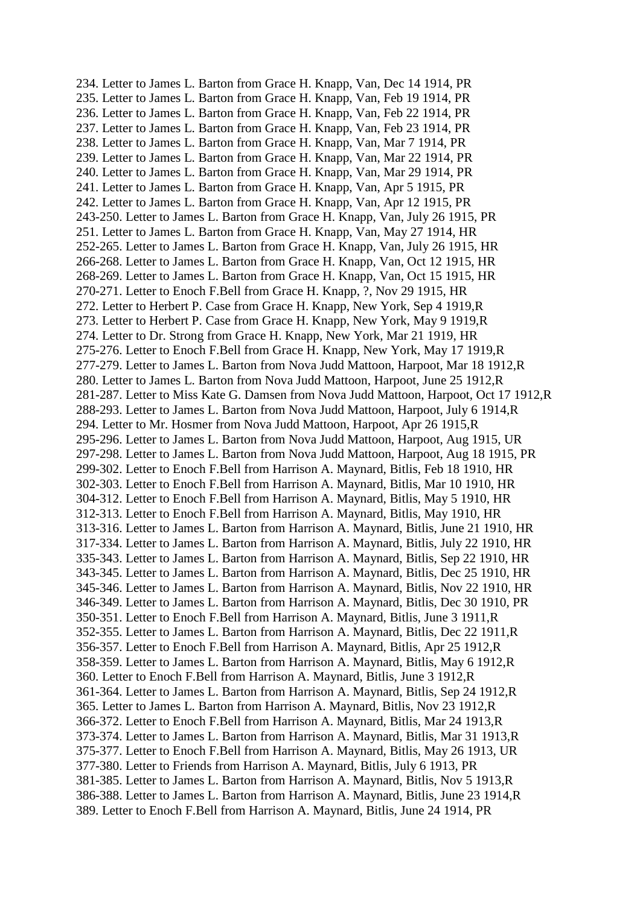234. Letter to James L. Barton from Grace H. Knapp, Van, Dec 14 1914, PR 235. Letter to James L. Barton from Grace H. Knapp, Van, Feb 19 1914, PR 236. Letter to James L. Barton from Grace H. Knapp, Van, Feb 22 1914, PR 237. Letter to James L. Barton from Grace H. Knapp, Van, Feb 23 1914, PR 238. Letter to James L. Barton from Grace H. Knapp, Van, Mar 7 1914, PR 239. Letter to James L. Barton from Grace H. Knapp, Van, Mar 22 1914, PR 240. Letter to James L. Barton from Grace H. Knapp, Van, Mar 29 1914, PR 241. Letter to James L. Barton from Grace H. Knapp, Van, Apr 5 1915, PR 242. Letter to James L. Barton from Grace H. Knapp, Van, Apr 12 1915, PR 243-250. Letter to James L. Barton from Grace H. Knapp, Van, July 26 1915, PR 251. Letter to James L. Barton from Grace H. Knapp, Van, May 27 1914, HR 252-265. Letter to James L. Barton from Grace H. Knapp, Van, July 26 1915, HR 266-268. Letter to James L. Barton from Grace H. Knapp, Van, Oct 12 1915, HR 268-269. Letter to James L. Barton from Grace H. Knapp, Van, Oct 15 1915, HR 270-271. Letter to Enoch F.Bell from Grace H. Knapp, ?, Nov 29 1915, HR 272. Letter to Herbert P. Case from Grace H. Knapp, New York, Sep 4 1919,R 273. Letter to Herbert P. Case from Grace H. Knapp, New York, May 9 1919,R 274. Letter to Dr. Strong from Grace H. Knapp, New York, Mar 21 1919, HR 275-276. Letter to Enoch F.Bell from Grace H. Knapp, New York, May 17 1919,R 277-279. Letter to James L. Barton from Nova Judd Mattoon, Harpoot, Mar 18 1912,R 280. Letter to James L. Barton from Nova Judd Mattoon, Harpoot, June 25 1912,R 281-287. Letter to Miss Kate G. Damsen from Nova Judd Mattoon, Harpoot, Oct 17 1912,R 288-293. Letter to James L. Barton from Nova Judd Mattoon, Harpoot, July 6 1914,R 294. Letter to Mr. Hosmer from Nova Judd Mattoon, Harpoot, Apr 26 1915,R 295-296. Letter to James L. Barton from Nova Judd Mattoon, Harpoot, Aug 1915, UR 297-298. Letter to James L. Barton from Nova Judd Mattoon, Harpoot, Aug 18 1915, PR 299-302. Letter to Enoch F.Bell from Harrison A. Maynard, Bitlis, Feb 18 1910, HR 302-303. Letter to Enoch F.Bell from Harrison A. Maynard, Bitlis, Mar 10 1910, HR 304-312. Letter to Enoch F.Bell from Harrison A. Maynard, Bitlis, May 5 1910, HR 312-313. Letter to Enoch F.Bell from Harrison A. Maynard, Bitlis, May 1910, HR 313-316. Letter to James L. Barton from Harrison A. Maynard, Bitlis, June 21 1910, HR 317-334. Letter to James L. Barton from Harrison A. Maynard, Bitlis, July 22 1910, HR 335-343. Letter to James L. Barton from Harrison A. Maynard, Bitlis, Sep 22 1910, HR 343-345. Letter to James L. Barton from Harrison A. Maynard, Bitlis, Dec 25 1910, HR 345-346. Letter to James L. Barton from Harrison A. Maynard, Bitlis, Nov 22 1910, HR 346-349. Letter to James L. Barton from Harrison A. Maynard, Bitlis, Dec 30 1910, PR 350-351. Letter to Enoch F.Bell from Harrison A. Maynard, Bitlis, June 3 1911,R 352-355. Letter to James L. Barton from Harrison A. Maynard, Bitlis, Dec 22 1911,R 356-357. Letter to Enoch F.Bell from Harrison A. Maynard, Bitlis, Apr 25 1912,R 358-359. Letter to James L. Barton from Harrison A. Maynard, Bitlis, May 6 1912,R 360. Letter to Enoch F.Bell from Harrison A. Maynard, Bitlis, June 3 1912,R 361-364. Letter to James L. Barton from Harrison A. Maynard, Bitlis, Sep 24 1912,R 365. Letter to James L. Barton from Harrison A. Maynard, Bitlis, Nov 23 1912,R 366-372. Letter to Enoch F.Bell from Harrison A. Maynard, Bitlis, Mar 24 1913,R 373-374. Letter to James L. Barton from Harrison A. Maynard, Bitlis, Mar 31 1913,R 375-377. Letter to Enoch F.Bell from Harrison A. Maynard, Bitlis, May 26 1913, UR 377-380. Letter to Friends from Harrison A. Maynard, Bitlis, July 6 1913, PR 381-385. Letter to James L. Barton from Harrison A. Maynard, Bitlis, Nov 5 1913,R 386-388. Letter to James L. Barton from Harrison A. Maynard, Bitlis, June 23 1914,R 389. Letter to Enoch F.Bell from Harrison A. Maynard, Bitlis, June 24 1914, PR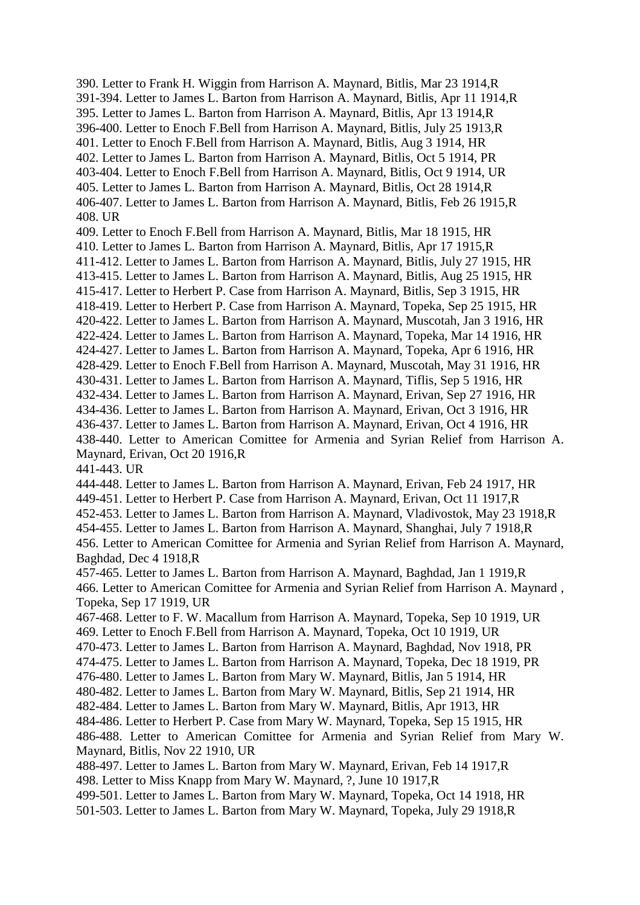390. Letter to Frank H. Wiggin from Harrison A. Maynard, Bitlis, Mar 23 1914,R 391-394. Letter to James L. Barton from Harrison A. Maynard, Bitlis, Apr 11 1914,R 395. Letter to James L. Barton from Harrison A. Maynard, Bitlis, Apr 13 1914,R 396-400. Letter to Enoch F.Bell from Harrison A. Maynard, Bitlis, July 25 1913,R 401. Letter to Enoch F.Bell from Harrison A. Maynard, Bitlis, Aug 3 1914, HR 402. Letter to James L. Barton from Harrison A. Maynard, Bitlis, Oct 5 1914, PR 403-404. Letter to Enoch F.Bell from Harrison A. Maynard, Bitlis, Oct 9 1914, UR 405. Letter to James L. Barton from Harrison A. Maynard, Bitlis, Oct 28 1914,R 406-407. Letter to James L. Barton from Harrison A. Maynard, Bitlis, Feb 26 1915,R 408. UR 409. Letter to Enoch F.Bell from Harrison A. Maynard, Bitlis, Mar 18 1915, HR 410. Letter to James L. Barton from Harrison A. Maynard, Bitlis, Apr 17 1915,R 411-412. Letter to James L. Barton from Harrison A. Maynard, Bitlis, July 27 1915, HR 413-415. Letter to James L. Barton from Harrison A. Maynard, Bitlis, Aug 25 1915, HR 415-417. Letter to Herbert P. Case from Harrison A. Maynard, Bitlis, Sep 3 1915, HR 418-419. Letter to Herbert P. Case from Harrison A. Maynard, Topeka, Sep 25 1915, HR 420-422. Letter to James L. Barton from Harrison A. Maynard, Muscotah, Jan 3 1916, HR 422-424. Letter to James L. Barton from Harrison A. Maynard, Topeka, Mar 14 1916, HR 424-427. Letter to James L. Barton from Harrison A. Maynard, Topeka, Apr 6 1916, HR 428-429. Letter to Enoch F.Bell from Harrison A. Maynard, Muscotah, May 31 1916, HR 430-431. Letter to James L. Barton from Harrison A. Maynard, Tiflis, Sep 5 1916, HR 432-434. Letter to James L. Barton from Harrison A. Maynard, Erivan, Sep 27 1916, HR 434-436. Letter to James L. Barton from Harrison A. Maynard, Erivan, Oct 3 1916, HR 436-437. Letter to James L. Barton from Harrison A. Maynard, Erivan, Oct 4 1916, HR 438-440. Letter to American Comittee for Armenia and Syrian Relief from Harrison A. Maynard, Erivan, Oct 20 1916,R 441-443. UR 444-448. Letter to James L. Barton from Harrison A. Maynard, Erivan, Feb 24 1917, HR 449-451. Letter to Herbert P. Case from Harrison A. Maynard, Erivan, Oct 11 1917,R 452-453. Letter to James L. Barton from Harrison A. Maynard, Vladivostok, May 23 1918,R 454-455. Letter to James L. Barton from Harrison A. Maynard, Shanghai, July 7 1918,R 456. Letter to American Comittee for Armenia and Syrian Relief from Harrison A. Maynard, Baghdad, Dec 4 1918,R 457-465. Letter to James L. Barton from Harrison A. Maynard, Baghdad, Jan 1 1919,R 466. Letter to American Comittee for Armenia and Syrian Relief from Harrison A. Maynard , Topeka, Sep 17 1919, UR 467-468. Letter to F. W. Macallum from Harrison A. Maynard, Topeka, Sep 10 1919, UR 469. Letter to Enoch F.Bell from Harrison A. Maynard, Topeka, Oct 10 1919, UR 470-473. Letter to James L. Barton from Harrison A. Maynard, Baghdad, Nov 1918, PR 474-475. Letter to James L. Barton from Harrison A. Maynard, Topeka, Dec 18 1919, PR 476-480. Letter to James L. Barton from Mary W. Maynard, Bitlis, Jan 5 1914, HR 480-482. Letter to James L. Barton from Mary W. Maynard, Bitlis, Sep 21 1914, HR 482-484. Letter to James L. Barton from Mary W. Maynard, Bitlis, Apr 1913, HR 484-486. Letter to Herbert P. Case from Mary W. Maynard, Topeka, Sep 15 1915, HR 486-488. Letter to American Comittee for Armenia and Syrian Relief from Mary W. Maynard, Bitlis, Nov 22 1910, UR 488-497. Letter to James L. Barton from Mary W. Maynard, Erivan, Feb 14 1917,R 498. Letter to Miss Knapp from Mary W. Maynard, ?, June 10 1917,R 499-501. Letter to James L. Barton from Mary W. Maynard, Topeka, Oct 14 1918, HR 501-503. Letter to James L. Barton from Mary W. Maynard, Topeka, July 29 1918,R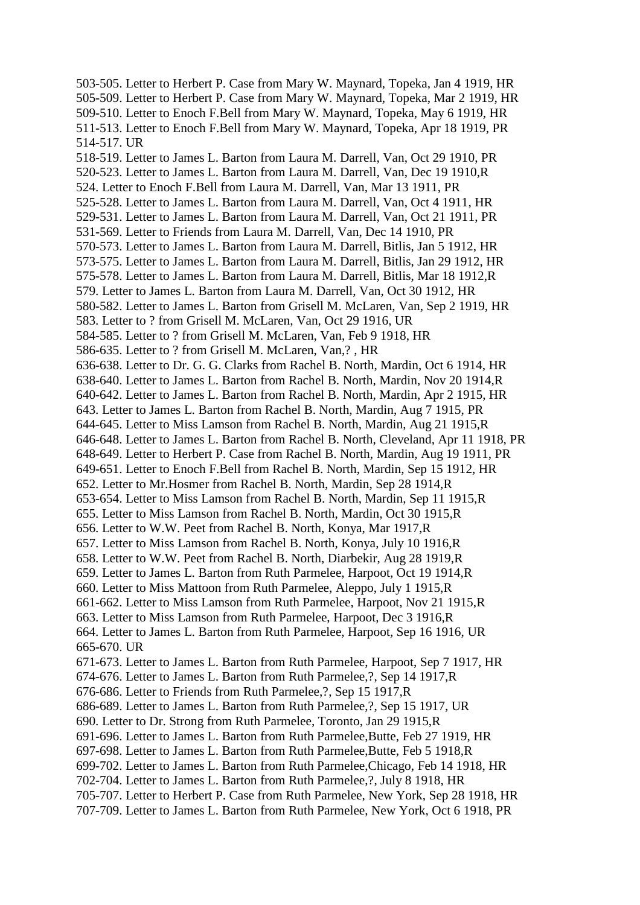503-505. Letter to Herbert P. Case from Mary W. Maynard, Topeka, Jan 4 1919, HR 505-509. Letter to Herbert P. Case from Mary W. Maynard, Topeka, Mar 2 1919, HR 509-510. Letter to Enoch F.Bell from Mary W. Maynard, Topeka, May 6 1919, HR 511-513. Letter to Enoch F.Bell from Mary W. Maynard, Topeka, Apr 18 1919, PR 514-517. UR 518-519. Letter to James L. Barton from Laura M. Darrell, Van, Oct 29 1910, PR 520-523. Letter to James L. Barton from Laura M. Darrell, Van, Dec 19 1910,R 524. Letter to Enoch F.Bell from Laura M. Darrell, Van, Mar 13 1911, PR 525-528. Letter to James L. Barton from Laura M. Darrell, Van, Oct 4 1911, HR 529-531. Letter to James L. Barton from Laura M. Darrell, Van, Oct 21 1911, PR 531-569. Letter to Friends from Laura M. Darrell, Van, Dec 14 1910, PR 570-573. Letter to James L. Barton from Laura M. Darrell, Bitlis, Jan 5 1912, HR 573-575. Letter to James L. Barton from Laura M. Darrell, Bitlis, Jan 29 1912, HR 575-578. Letter to James L. Barton from Laura M. Darrell, Bitlis, Mar 18 1912,R 579. Letter to James L. Barton from Laura M. Darrell, Van, Oct 30 1912, HR 580-582. Letter to James L. Barton from Grisell M. McLaren, Van, Sep 2 1919, HR 583. Letter to ? from Grisell M. McLaren, Van, Oct 29 1916, UR 584-585. Letter to ? from Grisell M. McLaren, Van, Feb 9 1918, HR 586-635. Letter to ? from Grisell M. McLaren, Van,? , HR 636-638. Letter to Dr. G. G. Clarks from Rachel B. North, Mardin, Oct 6 1914, HR 638-640. Letter to James L. Barton from Rachel B. North, Mardin, Nov 20 1914,R 640-642. Letter to James L. Barton from Rachel B. North, Mardin, Apr 2 1915, HR 643. Letter to James L. Barton from Rachel B. North, Mardin, Aug 7 1915, PR 644-645. Letter to Miss Lamson from Rachel B. North, Mardin, Aug 21 1915,R 646-648. Letter to James L. Barton from Rachel B. North, Cleveland, Apr 11 1918, PR 648-649. Letter to Herbert P. Case from Rachel B. North, Mardin, Aug 19 1911, PR 649-651. Letter to Enoch F.Bell from Rachel B. North, Mardin, Sep 15 1912, HR 652. Letter to Mr.Hosmer from Rachel B. North, Mardin, Sep 28 1914,R 653-654. Letter to Miss Lamson from Rachel B. North, Mardin, Sep 11 1915,R 655. Letter to Miss Lamson from Rachel B. North, Mardin, Oct 30 1915,R 656. Letter to W.W. Peet from Rachel B. North, Konya, Mar 1917,R 657. Letter to Miss Lamson from Rachel B. North, Konya, July 10 1916,R 658. Letter to W.W. Peet from Rachel B. North, Diarbekir, Aug 28 1919,R 659. Letter to James L. Barton from Ruth Parmelee, Harpoot, Oct 19 1914,R 660. Letter to Miss Mattoon from Ruth Parmelee, Aleppo, July 1 1915,R 661-662. Letter to Miss Lamson from Ruth Parmelee, Harpoot, Nov 21 1915,R 663. Letter to Miss Lamson from Ruth Parmelee, Harpoot, Dec 3 1916,R 664. Letter to James L. Barton from Ruth Parmelee, Harpoot, Sep 16 1916, UR 665-670. UR 671-673. Letter to James L. Barton from Ruth Parmelee, Harpoot, Sep 7 1917, HR 674-676. Letter to James L. Barton from Ruth Parmelee,?, Sep 14 1917,R 676-686. Letter to Friends from Ruth Parmelee,?, Sep 15 1917,R 686-689. Letter to James L. Barton from Ruth Parmelee,?, Sep 15 1917, UR 690. Letter to Dr. Strong from Ruth Parmelee, Toronto, Jan 29 1915,R 691-696. Letter to James L. Barton from Ruth Parmelee,Butte, Feb 27 1919, HR 697-698. Letter to James L. Barton from Ruth Parmelee,Butte, Feb 5 1918,R 699-702. Letter to James L. Barton from Ruth Parmelee,Chicago, Feb 14 1918, HR 702-704. Letter to James L. Barton from Ruth Parmelee,?, July 8 1918, HR 705-707. Letter to Herbert P. Case from Ruth Parmelee, New York, Sep 28 1918, HR 707-709. Letter to James L. Barton from Ruth Parmelee, New York, Oct 6 1918, PR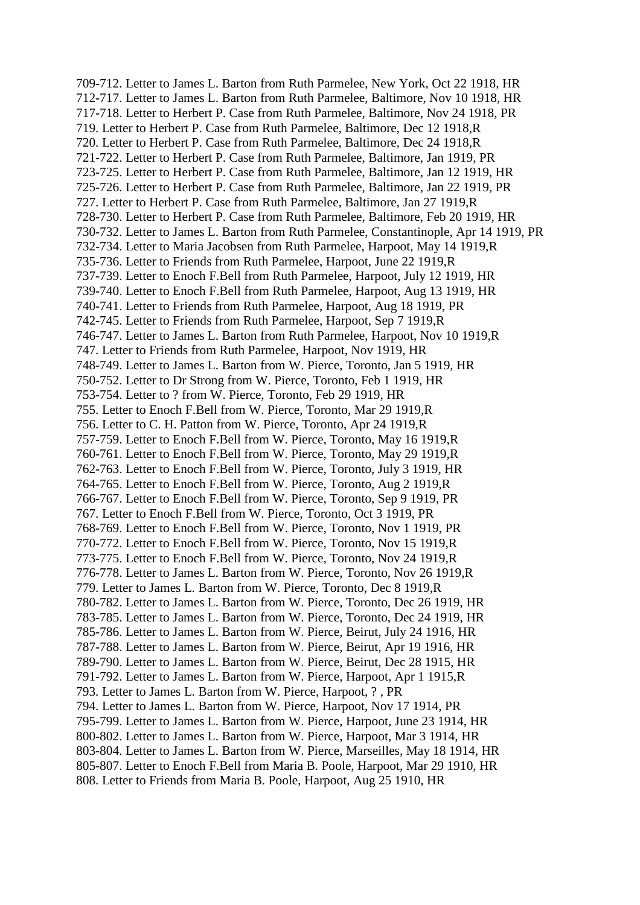709-712. Letter to James L. Barton from Ruth Parmelee, New York, Oct 22 1918, HR 712-717. Letter to James L. Barton from Ruth Parmelee, Baltimore, Nov 10 1918, HR 717-718. Letter to Herbert P. Case from Ruth Parmelee, Baltimore, Nov 24 1918, PR 719. Letter to Herbert P. Case from Ruth Parmelee, Baltimore, Dec 12 1918,R 720. Letter to Herbert P. Case from Ruth Parmelee, Baltimore, Dec 24 1918,R 721-722. Letter to Herbert P. Case from Ruth Parmelee, Baltimore, Jan 1919, PR 723-725. Letter to Herbert P. Case from Ruth Parmelee, Baltimore, Jan 12 1919, HR 725-726. Letter to Herbert P. Case from Ruth Parmelee, Baltimore, Jan 22 1919, PR 727. Letter to Herbert P. Case from Ruth Parmelee, Baltimore, Jan 27 1919,R 728-730. Letter to Herbert P. Case from Ruth Parmelee, Baltimore, Feb 20 1919, HR 730-732. Letter to James L. Barton from Ruth Parmelee, Constantinople, Apr 14 1919, PR 732-734. Letter to Maria Jacobsen from Ruth Parmelee, Harpoot, May 14 1919,R 735-736. Letter to Friends from Ruth Parmelee, Harpoot, June 22 1919,R 737-739. Letter to Enoch F.Bell from Ruth Parmelee, Harpoot, July 12 1919, HR 739-740. Letter to Enoch F.Bell from Ruth Parmelee, Harpoot, Aug 13 1919, HR 740-741. Letter to Friends from Ruth Parmelee, Harpoot, Aug 18 1919, PR 742-745. Letter to Friends from Ruth Parmelee, Harpoot, Sep 7 1919,R 746-747. Letter to James L. Barton from Ruth Parmelee, Harpoot, Nov 10 1919,R 747. Letter to Friends from Ruth Parmelee, Harpoot, Nov 1919, HR 748-749. Letter to James L. Barton from W. Pierce, Toronto, Jan 5 1919, HR 750-752. Letter to Dr Strong from W. Pierce, Toronto, Feb 1 1919, HR 753-754. Letter to ? from W. Pierce, Toronto, Feb 29 1919, HR 755. Letter to Enoch F.Bell from W. Pierce, Toronto, Mar 29 1919,R 756. Letter to C. H. Patton from W. Pierce, Toronto, Apr 24 1919,R 757-759. Letter to Enoch F.Bell from W. Pierce, Toronto, May 16 1919,R 760-761. Letter to Enoch F.Bell from W. Pierce, Toronto, May 29 1919,R 762-763. Letter to Enoch F.Bell from W. Pierce, Toronto, July 3 1919, HR 764-765. Letter to Enoch F.Bell from W. Pierce, Toronto, Aug 2 1919,R 766-767. Letter to Enoch F.Bell from W. Pierce, Toronto, Sep 9 1919, PR 767. Letter to Enoch F.Bell from W. Pierce, Toronto, Oct 3 1919, PR 768-769. Letter to Enoch F.Bell from W. Pierce, Toronto, Nov 1 1919, PR 770-772. Letter to Enoch F.Bell from W. Pierce, Toronto, Nov 15 1919,R 773-775. Letter to Enoch F.Bell from W. Pierce, Toronto, Nov 24 1919,R 776-778. Letter to James L. Barton from W. Pierce, Toronto, Nov 26 1919,R 779. Letter to James L. Barton from W. Pierce, Toronto, Dec 8 1919,R 780-782. Letter to James L. Barton from W. Pierce, Toronto, Dec 26 1919, HR 783-785. Letter to James L. Barton from W. Pierce, Toronto, Dec 24 1919, HR 785-786. Letter to James L. Barton from W. Pierce, Beirut, July 24 1916, HR 787-788. Letter to James L. Barton from W. Pierce, Beirut, Apr 19 1916, HR 789-790. Letter to James L. Barton from W. Pierce, Beirut, Dec 28 1915, HR 791-792. Letter to James L. Barton from W. Pierce, Harpoot, Apr 1 1915,R 793. Letter to James L. Barton from W. Pierce, Harpoot, ? , PR 794. Letter to James L. Barton from W. Pierce, Harpoot, Nov 17 1914, PR 795-799. Letter to James L. Barton from W. Pierce, Harpoot, June 23 1914, HR 800-802. Letter to James L. Barton from W. Pierce, Harpoot, Mar 3 1914, HR 803-804. Letter to James L. Barton from W. Pierce, Marseilles, May 18 1914, HR 805-807. Letter to Enoch F.Bell from Maria B. Poole, Harpoot, Mar 29 1910, HR 808. Letter to Friends from Maria B. Poole, Harpoot, Aug 25 1910, HR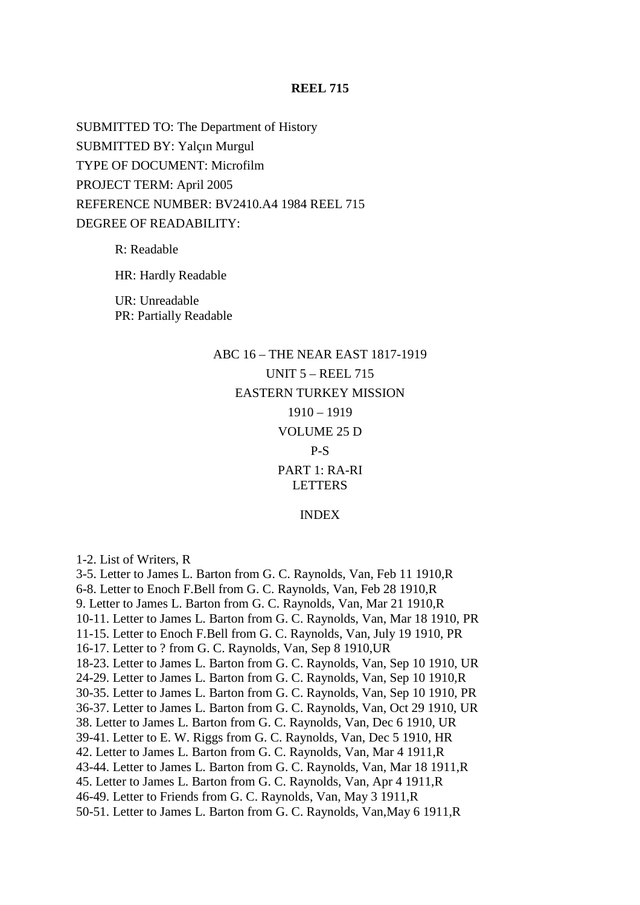## **REEL 715**

SUBMITTED TO: The Department of History SUBMITTED BY: Yalçın Murgul TYPE OF DOCUMENT: Microfilm PROJECT TERM: April 2005 REFERENCE NUMBER: BV2410.A4 1984 REEL 715 DEGREE OF READABILITY:

R: Readable

HR: Hardly Readable

UR: Unreadable PR: Partially Readable

# ABC 16 – THE NEAR EAST 1817-1919 UNIT 5 – REEL 715 EASTERN TURKEY MISSION 1910 – 1919 VOLUME 25 D

#### P-S

#### PART 1: RA-RI LETTERS

#### INDEX

1-2. List of Writers, R

3-5. Letter to James L. Barton from G. C. Raynolds, Van, Feb 11 1910,R 6-8. Letter to Enoch F.Bell from G. C. Raynolds, Van, Feb 28 1910,R 9. Letter to James L. Barton from G. C. Raynolds, Van, Mar 21 1910,R 10-11. Letter to James L. Barton from G. C. Raynolds, Van, Mar 18 1910, PR 11-15. Letter to Enoch F.Bell from G. C. Raynolds, Van, July 19 1910, PR 16-17. Letter to ? from G. C. Raynolds, Van, Sep 8 1910,UR 18-23. Letter to James L. Barton from G. C. Raynolds, Van, Sep 10 1910, UR 24-29. Letter to James L. Barton from G. C. Raynolds, Van, Sep 10 1910,R 30-35. Letter to James L. Barton from G. C. Raynolds, Van, Sep 10 1910, PR 36-37. Letter to James L. Barton from G. C. Raynolds, Van, Oct 29 1910, UR 38. Letter to James L. Barton from G. C. Raynolds, Van, Dec 6 1910, UR 39-41. Letter to E. W. Riggs from G. C. Raynolds, Van, Dec 5 1910, HR 42. Letter to James L. Barton from G. C. Raynolds, Van, Mar 4 1911,R 43-44. Letter to James L. Barton from G. C. Raynolds, Van, Mar 18 1911,R 45. Letter to James L. Barton from G. C. Raynolds, Van, Apr 4 1911,R 46-49. Letter to Friends from G. C. Raynolds, Van, May 3 1911,R 50-51. Letter to James L. Barton from G. C. Raynolds, Van,May 6 1911,R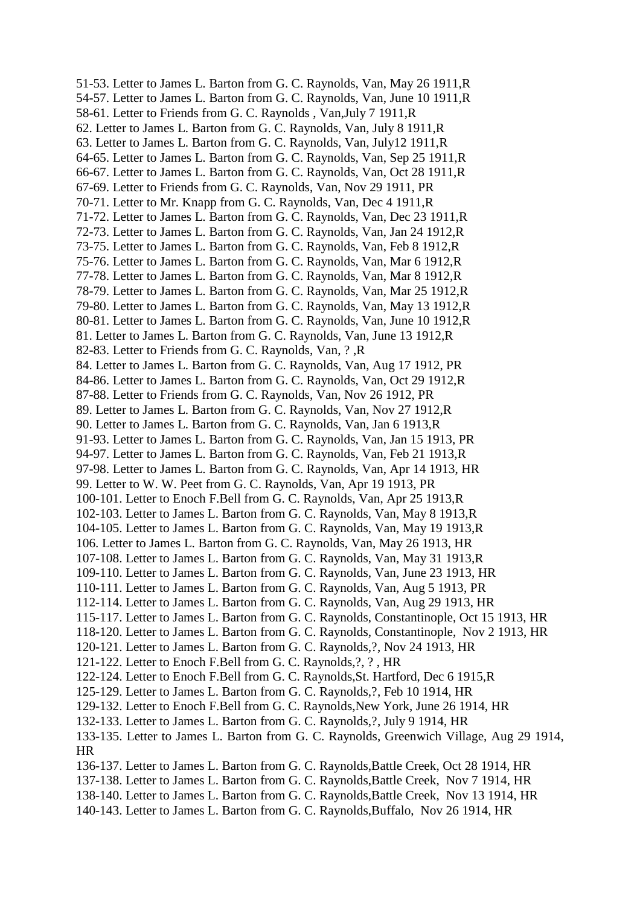51-53. Letter to James L. Barton from G. C. Raynolds, Van, May 26 1911,R 54-57. Letter to James L. Barton from G. C. Raynolds, Van, June 10 1911,R 58-61. Letter to Friends from G. C. Raynolds , Van,July 7 1911,R 62. Letter to James L. Barton from G. C. Raynolds, Van, July 8 1911,R 63. Letter to James L. Barton from G. C. Raynolds, Van, July12 1911,R 64-65. Letter to James L. Barton from G. C. Raynolds, Van, Sep 25 1911,R 66-67. Letter to James L. Barton from G. C. Raynolds, Van, Oct 28 1911,R 67-69. Letter to Friends from G. C. Raynolds, Van, Nov 29 1911, PR 70-71. Letter to Mr. Knapp from G. C. Raynolds, Van, Dec 4 1911,R 71-72. Letter to James L. Barton from G. C. Raynolds, Van, Dec 23 1911,R 72-73. Letter to James L. Barton from G. C. Raynolds, Van, Jan 24 1912,R 73-75. Letter to James L. Barton from G. C. Raynolds, Van, Feb 8 1912,R 75-76. Letter to James L. Barton from G. C. Raynolds, Van, Mar 6 1912,R 77-78. Letter to James L. Barton from G. C. Raynolds, Van, Mar 8 1912,R 78-79. Letter to James L. Barton from G. C. Raynolds, Van, Mar 25 1912,R 79-80. Letter to James L. Barton from G. C. Raynolds, Van, May 13 1912,R 80-81. Letter to James L. Barton from G. C. Raynolds, Van, June 10 1912,R 81. Letter to James L. Barton from G. C. Raynolds, Van, June 13 1912,R 82-83. Letter to Friends from G. C. Raynolds, Van, ? ,R 84. Letter to James L. Barton from G. C. Raynolds, Van, Aug 17 1912, PR 84-86. Letter to James L. Barton from G. C. Raynolds, Van, Oct 29 1912,R 87-88. Letter to Friends from G. C. Raynolds, Van, Nov 26 1912, PR 89. Letter to James L. Barton from G. C. Raynolds, Van, Nov 27 1912,R 90. Letter to James L. Barton from G. C. Raynolds, Van, Jan 6 1913,R 91-93. Letter to James L. Barton from G. C. Raynolds, Van, Jan 15 1913, PR 94-97. Letter to James L. Barton from G. C. Raynolds, Van, Feb 21 1913,R 97-98. Letter to James L. Barton from G. C. Raynolds, Van, Apr 14 1913, HR 99. Letter to W. W. Peet from G. C. Raynolds, Van, Apr 19 1913, PR 100-101. Letter to Enoch F.Bell from G. C. Raynolds, Van, Apr 25 1913,R 102-103. Letter to James L. Barton from G. C. Raynolds, Van, May 8 1913,R 104-105. Letter to James L. Barton from G. C. Raynolds, Van, May 19 1913,R 106. Letter to James L. Barton from G. C. Raynolds, Van, May 26 1913, HR 107-108. Letter to James L. Barton from G. C. Raynolds, Van, May 31 1913,R 109-110. Letter to James L. Barton from G. C. Raynolds, Van, June 23 1913, HR 110-111. Letter to James L. Barton from G. C. Raynolds, Van, Aug 5 1913, PR 112-114. Letter to James L. Barton from G. C. Raynolds, Van, Aug 29 1913, HR 115-117. Letter to James L. Barton from G. C. Raynolds, Constantinople, Oct 15 1913, HR 118-120. Letter to James L. Barton from G. C. Raynolds, Constantinople, Nov 2 1913, HR 120-121. Letter to James L. Barton from G. C. Raynolds,?, Nov 24 1913, HR 121-122. Letter to Enoch F.Bell from G. C. Raynolds,?, ? , HR 122-124. Letter to Enoch F.Bell from G. C. Raynolds,St. Hartford, Dec 6 1915,R 125-129. Letter to James L. Barton from G. C. Raynolds,?, Feb 10 1914, HR 129-132. Letter to Enoch F.Bell from G. C. Raynolds,New York, June 26 1914, HR 132-133. Letter to James L. Barton from G. C. Raynolds,?, July 9 1914, HR 133-135. Letter to James L. Barton from G. C. Raynolds, Greenwich Village, Aug 29 1914, HR 136-137. Letter to James L. Barton from G. C. Raynolds,Battle Creek, Oct 28 1914, HR 137-138. Letter to James L. Barton from G. C. Raynolds,Battle Creek, Nov 7 1914, HR 138-140. Letter to James L. Barton from G. C. Raynolds,Battle Creek, Nov 13 1914, HR 140-143. Letter to James L. Barton from G. C. Raynolds,Buffalo, Nov 26 1914, HR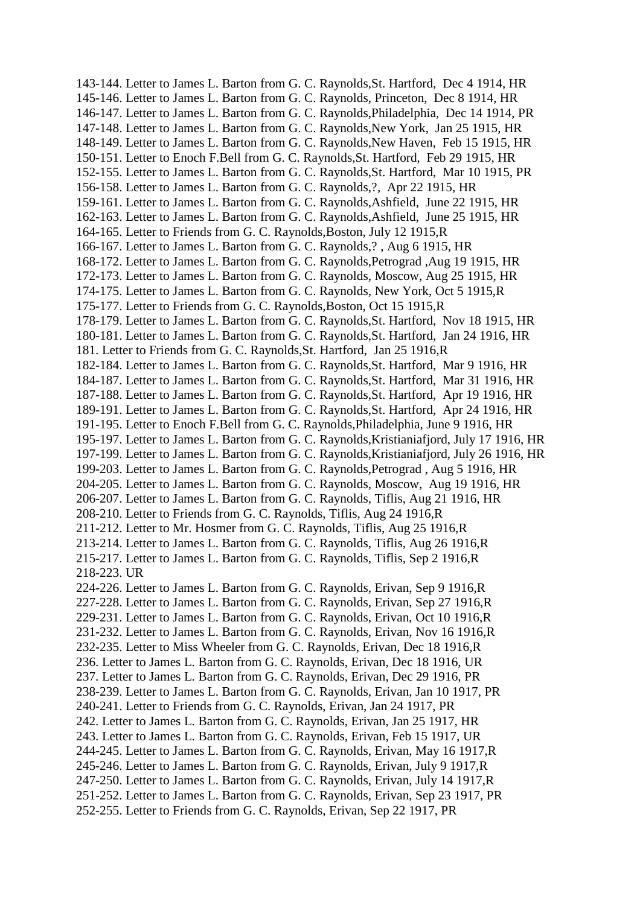143-144. Letter to James L. Barton from G. C. Raynolds,St. Hartford, Dec 4 1914, HR 145-146. Letter to James L. Barton from G. C. Raynolds, Princeton, Dec 8 1914, HR 146-147. Letter to James L. Barton from G. C. Raynolds,Philadelphia, Dec 14 1914, PR 147-148. Letter to James L. Barton from G. C. Raynolds,New York, Jan 25 1915, HR 148-149. Letter to James L. Barton from G. C. Raynolds,New Haven, Feb 15 1915, HR 150-151. Letter to Enoch F.Bell from G. C. Raynolds,St. Hartford, Feb 29 1915, HR 152-155. Letter to James L. Barton from G. C. Raynolds,St. Hartford, Mar 10 1915, PR 156-158. Letter to James L. Barton from G. C. Raynolds,?, Apr 22 1915, HR 159-161. Letter to James L. Barton from G. C. Raynolds,Ashfield, June 22 1915, HR 162-163. Letter to James L. Barton from G. C. Raynolds,Ashfield, June 25 1915, HR 164-165. Letter to Friends from G. C. Raynolds,Boston, July 12 1915,R 166-167. Letter to James L. Barton from G. C. Raynolds,? , Aug 6 1915, HR 168-172. Letter to James L. Barton from G. C. Raynolds,Petrograd ,Aug 19 1915, HR 172-173. Letter to James L. Barton from G. C. Raynolds, Moscow, Aug 25 1915, HR 174-175. Letter to James L. Barton from G. C. Raynolds, New York, Oct 5 1915,R 175-177. Letter to Friends from G. C. Raynolds,Boston, Oct 15 1915,R 178-179. Letter to James L. Barton from G. C. Raynolds,St. Hartford, Nov 18 1915, HR 180-181. Letter to James L. Barton from G. C. Raynolds,St. Hartford, Jan 24 1916, HR 181. Letter to Friends from G. C. Raynolds,St. Hartford, Jan 25 1916,R 182-184. Letter to James L. Barton from G. C. Raynolds,St. Hartford, Mar 9 1916, HR 184-187. Letter to James L. Barton from G. C. Raynolds,St. Hartford, Mar 31 1916, HR 187-188. Letter to James L. Barton from G. C. Raynolds,St. Hartford, Apr 19 1916, HR 189-191. Letter to James L. Barton from G. C. Raynolds,St. Hartford, Apr 24 1916, HR 191-195. Letter to Enoch F.Bell from G. C. Raynolds,Philadelphia, June 9 1916, HR 195-197. Letter to James L. Barton from G. C. Raynolds,Kristianiafjord, July 17 1916, HR 197-199. Letter to James L. Barton from G. C. Raynolds,Kristianiafjord, July 26 1916, HR 199-203. Letter to James L. Barton from G. C. Raynolds,Petrograd , Aug 5 1916, HR 204-205. Letter to James L. Barton from G. C. Raynolds, Moscow, Aug 19 1916, HR 206-207. Letter to James L. Barton from G. C. Raynolds, Tiflis, Aug 21 1916, HR 208-210. Letter to Friends from G. C. Raynolds, Tiflis, Aug 24 1916,R 211-212. Letter to Mr. Hosmer from G. C. Raynolds, Tiflis, Aug 25 1916,R 213-214. Letter to James L. Barton from G. C. Raynolds, Tiflis, Aug 26 1916,R 215-217. Letter to James L. Barton from G. C. Raynolds, Tiflis, Sep 2 1916,R 218-223. UR 224-226. Letter to James L. Barton from G. C. Raynolds, Erivan, Sep 9 1916,R 227-228. Letter to James L. Barton from G. C. Raynolds, Erivan, Sep 27 1916,R 229-231. Letter to James L. Barton from G. C. Raynolds, Erivan, Oct 10 1916,R 231-232. Letter to James L. Barton from G. C. Raynolds, Erivan, Nov 16 1916,R 232-235. Letter to Miss Wheeler from G. C. Raynolds, Erivan, Dec 18 1916,R 236. Letter to James L. Barton from G. C. Raynolds, Erivan, Dec 18 1916, UR 237. Letter to James L. Barton from G. C. Raynolds, Erivan, Dec 29 1916, PR 238-239. Letter to James L. Barton from G. C. Raynolds, Erivan, Jan 10 1917, PR 240-241. Letter to Friends from G. C. Raynolds, Erivan, Jan 24 1917, PR 242. Letter to James L. Barton from G. C. Raynolds, Erivan, Jan 25 1917, HR 243. Letter to James L. Barton from G. C. Raynolds, Erivan, Feb 15 1917, UR 244-245. Letter to James L. Barton from G. C. Raynolds, Erivan, May 16 1917,R 245-246. Letter to James L. Barton from G. C. Raynolds, Erivan, July 9 1917,R 247-250. Letter to James L. Barton from G. C. Raynolds, Erivan, July 14 1917,R 251-252. Letter to James L. Barton from G. C. Raynolds, Erivan, Sep 23 1917, PR 252-255. Letter to Friends from G. C. Raynolds, Erivan, Sep 22 1917, PR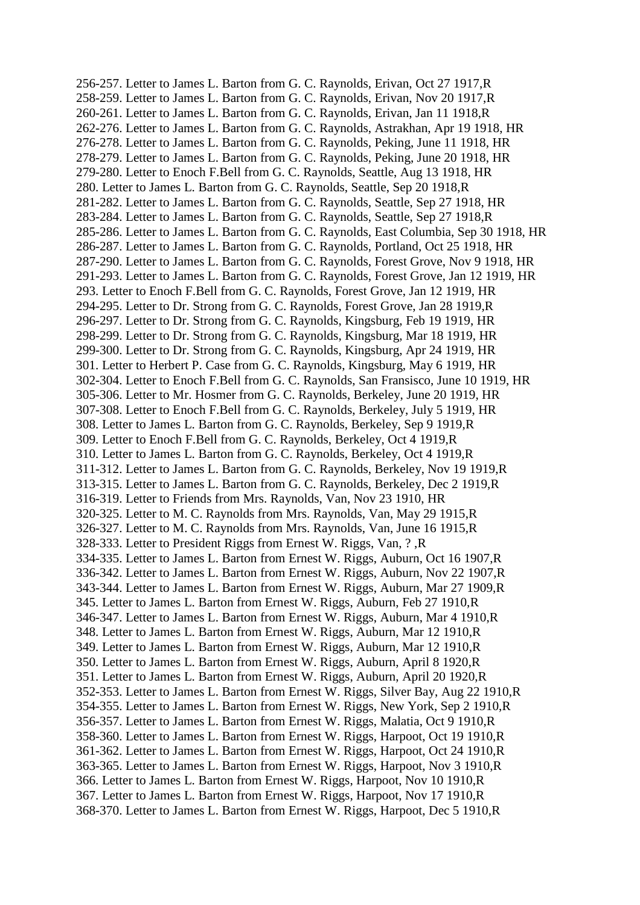256-257. Letter to James L. Barton from G. C. Raynolds, Erivan, Oct 27 1917,R 258-259. Letter to James L. Barton from G. C. Raynolds, Erivan, Nov 20 1917,R 260-261. Letter to James L. Barton from G. C. Raynolds, Erivan, Jan 11 1918,R 262-276. Letter to James L. Barton from G. C. Raynolds, Astrakhan, Apr 19 1918, HR 276-278. Letter to James L. Barton from G. C. Raynolds, Peking, June 11 1918, HR 278-279. Letter to James L. Barton from G. C. Raynolds, Peking, June 20 1918, HR 279-280. Letter to Enoch F.Bell from G. C. Raynolds, Seattle, Aug 13 1918, HR 280. Letter to James L. Barton from G. C. Raynolds, Seattle, Sep 20 1918,R 281-282. Letter to James L. Barton from G. C. Raynolds, Seattle, Sep 27 1918, HR 283-284. Letter to James L. Barton from G. C. Raynolds, Seattle, Sep 27 1918,R 285-286. Letter to James L. Barton from G. C. Raynolds, East Columbia, Sep 30 1918, HR 286-287. Letter to James L. Barton from G. C. Raynolds, Portland, Oct 25 1918, HR 287-290. Letter to James L. Barton from G. C. Raynolds, Forest Grove, Nov 9 1918, HR 291-293. Letter to James L. Barton from G. C. Raynolds, Forest Grove, Jan 12 1919, HR 293. Letter to Enoch F.Bell from G. C. Raynolds, Forest Grove, Jan 12 1919, HR 294-295. Letter to Dr. Strong from G. C. Raynolds, Forest Grove, Jan 28 1919,R 296-297. Letter to Dr. Strong from G. C. Raynolds, Kingsburg, Feb 19 1919, HR 298-299. Letter to Dr. Strong from G. C. Raynolds, Kingsburg, Mar 18 1919, HR 299-300. Letter to Dr. Strong from G. C. Raynolds, Kingsburg, Apr 24 1919, HR 301. Letter to Herbert P. Case from G. C. Raynolds, Kingsburg, May 6 1919, HR 302-304. Letter to Enoch F.Bell from G. C. Raynolds, San Fransisco, June 10 1919, HR 305-306. Letter to Mr. Hosmer from G. C. Raynolds, Berkeley, June 20 1919, HR 307-308. Letter to Enoch F.Bell from G. C. Raynolds, Berkeley, July 5 1919, HR 308. Letter to James L. Barton from G. C. Raynolds, Berkeley, Sep 9 1919,R 309. Letter to Enoch F.Bell from G. C. Raynolds, Berkeley, Oct 4 1919,R 310. Letter to James L. Barton from G. C. Raynolds, Berkeley, Oct 4 1919,R 311-312. Letter to James L. Barton from G. C. Raynolds, Berkeley, Nov 19 1919,R 313-315. Letter to James L. Barton from G. C. Raynolds, Berkeley, Dec 2 1919,R 316-319. Letter to Friends from Mrs. Raynolds, Van, Nov 23 1910, HR 320-325. Letter to M. C. Raynolds from Mrs. Raynolds, Van, May 29 1915,R 326-327. Letter to M. C. Raynolds from Mrs. Raynolds, Van, June 16 1915,R 328-333. Letter to President Riggs from Ernest W. Riggs, Van, ? ,R 334-335. Letter to James L. Barton from Ernest W. Riggs, Auburn, Oct 16 1907,R 336-342. Letter to James L. Barton from Ernest W. Riggs, Auburn, Nov 22 1907,R 343-344. Letter to James L. Barton from Ernest W. Riggs, Auburn, Mar 27 1909,R 345. Letter to James L. Barton from Ernest W. Riggs, Auburn, Feb 27 1910,R 346-347. Letter to James L. Barton from Ernest W. Riggs, Auburn, Mar 4 1910,R 348. Letter to James L. Barton from Ernest W. Riggs, Auburn, Mar 12 1910,R 349. Letter to James L. Barton from Ernest W. Riggs, Auburn, Mar 12 1910,R 350. Letter to James L. Barton from Ernest W. Riggs, Auburn, April 8 1920,R 351. Letter to James L. Barton from Ernest W. Riggs, Auburn, April 20 1920,R 352-353. Letter to James L. Barton from Ernest W. Riggs, Silver Bay, Aug 22 1910,R 354-355. Letter to James L. Barton from Ernest W. Riggs, New York, Sep 2 1910,R 356-357. Letter to James L. Barton from Ernest W. Riggs, Malatia, Oct 9 1910,R 358-360. Letter to James L. Barton from Ernest W. Riggs, Harpoot, Oct 19 1910,R 361-362. Letter to James L. Barton from Ernest W. Riggs, Harpoot, Oct 24 1910,R 363-365. Letter to James L. Barton from Ernest W. Riggs, Harpoot, Nov 3 1910,R 366. Letter to James L. Barton from Ernest W. Riggs, Harpoot, Nov 10 1910,R 367. Letter to James L. Barton from Ernest W. Riggs, Harpoot, Nov 17 1910,R 368-370. Letter to James L. Barton from Ernest W. Riggs, Harpoot, Dec 5 1910,R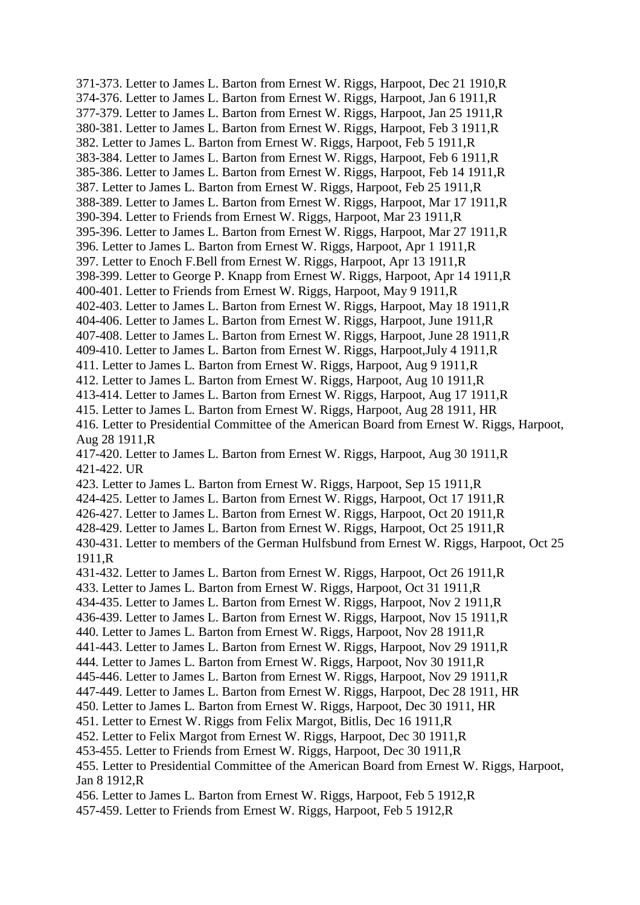371-373. Letter to James L. Barton from Ernest W. Riggs, Harpoot, Dec 21 1910,R 374-376. Letter to James L. Barton from Ernest W. Riggs, Harpoot, Jan 6 1911,R 377-379. Letter to James L. Barton from Ernest W. Riggs, Harpoot, Jan 25 1911,R 380-381. Letter to James L. Barton from Ernest W. Riggs, Harpoot, Feb 3 1911,R 382. Letter to James L. Barton from Ernest W. Riggs, Harpoot, Feb 5 1911,R 383-384. Letter to James L. Barton from Ernest W. Riggs, Harpoot, Feb 6 1911,R 385-386. Letter to James L. Barton from Ernest W. Riggs, Harpoot, Feb 14 1911,R 387. Letter to James L. Barton from Ernest W. Riggs, Harpoot, Feb 25 1911,R 388-389. Letter to James L. Barton from Ernest W. Riggs, Harpoot, Mar 17 1911,R 390-394. Letter to Friends from Ernest W. Riggs, Harpoot, Mar 23 1911,R 395-396. Letter to James L. Barton from Ernest W. Riggs, Harpoot, Mar 27 1911,R 396. Letter to James L. Barton from Ernest W. Riggs, Harpoot, Apr 1 1911,R 397. Letter to Enoch F.Bell from Ernest W. Riggs, Harpoot, Apr 13 1911,R 398-399. Letter to George P. Knapp from Ernest W. Riggs, Harpoot, Apr 14 1911,R 400-401. Letter to Friends from Ernest W. Riggs, Harpoot, May 9 1911,R 402-403. Letter to James L. Barton from Ernest W. Riggs, Harpoot, May 18 1911,R 404-406. Letter to James L. Barton from Ernest W. Riggs, Harpoot, June 1911,R 407-408. Letter to James L. Barton from Ernest W. Riggs, Harpoot, June 28 1911,R 409-410. Letter to James L. Barton from Ernest W. Riggs, Harpoot,July 4 1911,R 411. Letter to James L. Barton from Ernest W. Riggs, Harpoot, Aug 9 1911,R 412. Letter to James L. Barton from Ernest W. Riggs, Harpoot, Aug 10 1911,R 413-414. Letter to James L. Barton from Ernest W. Riggs, Harpoot, Aug 17 1911,R 415. Letter to James L. Barton from Ernest W. Riggs, Harpoot, Aug 28 1911, HR 416. Letter to Presidential Committee of the American Board from Ernest W. Riggs, Harpoot, Aug 28 1911,R 417-420. Letter to James L. Barton from Ernest W. Riggs, Harpoot, Aug 30 1911,R 421-422. UR 423. Letter to James L. Barton from Ernest W. Riggs, Harpoot, Sep 15 1911,R 424-425. Letter to James L. Barton from Ernest W. Riggs, Harpoot, Oct 17 1911,R 426-427. Letter to James L. Barton from Ernest W. Riggs, Harpoot, Oct 20 1911,R 428-429. Letter to James L. Barton from Ernest W. Riggs, Harpoot, Oct 25 1911,R 430-431. Letter to members of the German Hulfsbund from Ernest W. Riggs, Harpoot, Oct 25 1911,R 431-432. Letter to James L. Barton from Ernest W. Riggs, Harpoot, Oct 26 1911,R 433. Letter to James L. Barton from Ernest W. Riggs, Harpoot, Oct 31 1911,R 434-435. Letter to James L. Barton from Ernest W. Riggs, Harpoot, Nov 2 1911,R 436-439. Letter to James L. Barton from Ernest W. Riggs, Harpoot, Nov 15 1911,R 440. Letter to James L. Barton from Ernest W. Riggs, Harpoot, Nov 28 1911,R 441-443. Letter to James L. Barton from Ernest W. Riggs, Harpoot, Nov 29 1911,R 444. Letter to James L. Barton from Ernest W. Riggs, Harpoot, Nov 30 1911,R 445-446. Letter to James L. Barton from Ernest W. Riggs, Harpoot, Nov 29 1911,R 447-449. Letter to James L. Barton from Ernest W. Riggs, Harpoot, Dec 28 1911, HR 450. Letter to James L. Barton from Ernest W. Riggs, Harpoot, Dec 30 1911, HR 451. Letter to Ernest W. Riggs from Felix Margot, Bitlis, Dec 16 1911,R 452. Letter to Felix Margot from Ernest W. Riggs, Harpoot, Dec 30 1911,R 453-455. Letter to Friends from Ernest W. Riggs, Harpoot, Dec 30 1911,R 455. Letter to Presidential Committee of the American Board from Ernest W. Riggs, Harpoot, Jan 8 1912,R 456. Letter to James L. Barton from Ernest W. Riggs, Harpoot, Feb 5 1912,R 457-459. Letter to Friends from Ernest W. Riggs, Harpoot, Feb 5 1912,R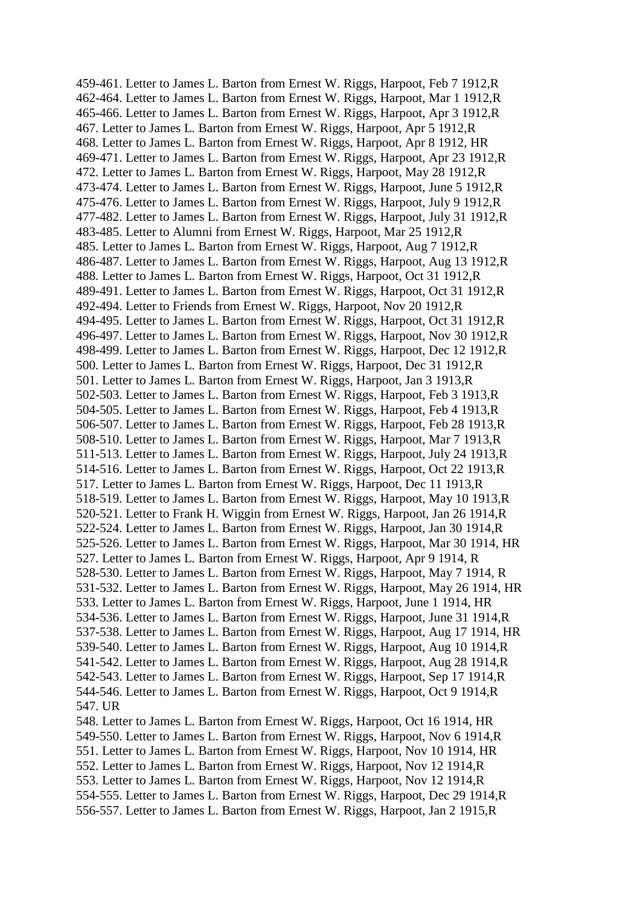459-461. Letter to James L. Barton from Ernest W. Riggs, Harpoot, Feb 7 1912,R 462-464. Letter to James L. Barton from Ernest W. Riggs, Harpoot, Mar 1 1912,R 465-466. Letter to James L. Barton from Ernest W. Riggs, Harpoot, Apr 3 1912,R 467. Letter to James L. Barton from Ernest W. Riggs, Harpoot, Apr 5 1912,R 468. Letter to James L. Barton from Ernest W. Riggs, Harpoot, Apr 8 1912, HR 469-471. Letter to James L. Barton from Ernest W. Riggs, Harpoot, Apr 23 1912,R 472. Letter to James L. Barton from Ernest W. Riggs, Harpoot, May 28 1912,R 473-474. Letter to James L. Barton from Ernest W. Riggs, Harpoot, June 5 1912,R 475-476. Letter to James L. Barton from Ernest W. Riggs, Harpoot, July 9 1912,R 477-482. Letter to James L. Barton from Ernest W. Riggs, Harpoot, July 31 1912,R 483-485. Letter to Alumni from Ernest W. Riggs, Harpoot, Mar 25 1912,R 485. Letter to James L. Barton from Ernest W. Riggs, Harpoot, Aug 7 1912,R 486-487. Letter to James L. Barton from Ernest W. Riggs, Harpoot, Aug 13 1912,R 488. Letter to James L. Barton from Ernest W. Riggs, Harpoot, Oct 31 1912,R 489-491. Letter to James L. Barton from Ernest W. Riggs, Harpoot, Oct 31 1912,R 492-494. Letter to Friends from Ernest W. Riggs, Harpoot, Nov 20 1912,R 494-495. Letter to James L. Barton from Ernest W. Riggs, Harpoot, Oct 31 1912,R 496-497. Letter to James L. Barton from Ernest W. Riggs, Harpoot, Nov 30 1912,R 498-499. Letter to James L. Barton from Ernest W. Riggs, Harpoot, Dec 12 1912,R 500. Letter to James L. Barton from Ernest W. Riggs, Harpoot, Dec 31 1912,R 501. Letter to James L. Barton from Ernest W. Riggs, Harpoot, Jan 3 1913,R 502-503. Letter to James L. Barton from Ernest W. Riggs, Harpoot, Feb 3 1913,R 504-505. Letter to James L. Barton from Ernest W. Riggs, Harpoot, Feb 4 1913,R 506-507. Letter to James L. Barton from Ernest W. Riggs, Harpoot, Feb 28 1913,R 508-510. Letter to James L. Barton from Ernest W. Riggs, Harpoot, Mar 7 1913,R 511-513. Letter to James L. Barton from Ernest W. Riggs, Harpoot, July 24 1913,R 514-516. Letter to James L. Barton from Ernest W. Riggs, Harpoot, Oct 22 1913,R 517. Letter to James L. Barton from Ernest W. Riggs, Harpoot, Dec 11 1913,R 518-519. Letter to James L. Barton from Ernest W. Riggs, Harpoot, May 10 1913,R 520-521. Letter to Frank H. Wiggin from Ernest W. Riggs, Harpoot, Jan 26 1914,R 522-524. Letter to James L. Barton from Ernest W. Riggs, Harpoot, Jan 30 1914,R 525-526. Letter to James L. Barton from Ernest W. Riggs, Harpoot, Mar 30 1914, HR 527. Letter to James L. Barton from Ernest W. Riggs, Harpoot, Apr 9 1914, R 528-530. Letter to James L. Barton from Ernest W. Riggs, Harpoot, May 7 1914, R 531-532. Letter to James L. Barton from Ernest W. Riggs, Harpoot, May 26 1914, HR 533. Letter to James L. Barton from Ernest W. Riggs, Harpoot, June 1 1914, HR 534-536. Letter to James L. Barton from Ernest W. Riggs, Harpoot, June 31 1914,R 537-538. Letter to James L. Barton from Ernest W. Riggs, Harpoot, Aug 17 1914, HR 539-540. Letter to James L. Barton from Ernest W. Riggs, Harpoot, Aug 10 1914,R 541-542. Letter to James L. Barton from Ernest W. Riggs, Harpoot, Aug 28 1914,R 542-543. Letter to James L. Barton from Ernest W. Riggs, Harpoot, Sep 17 1914,R 544-546. Letter to James L. Barton from Ernest W. Riggs, Harpoot, Oct 9 1914,R 547. UR 548. Letter to James L. Barton from Ernest W. Riggs, Harpoot, Oct 16 1914, HR 549-550. Letter to James L. Barton from Ernest W. Riggs, Harpoot, Nov 6 1914,R 551. Letter to James L. Barton from Ernest W. Riggs, Harpoot, Nov 10 1914, HR 552. Letter to James L. Barton from Ernest W. Riggs, Harpoot, Nov 12 1914,R

553. Letter to James L. Barton from Ernest W. Riggs, Harpoot, Nov 12 1914,R 554-555. Letter to James L. Barton from Ernest W. Riggs, Harpoot, Dec 29 1914,R 556-557. Letter to James L. Barton from Ernest W. Riggs, Harpoot, Jan 2 1915,R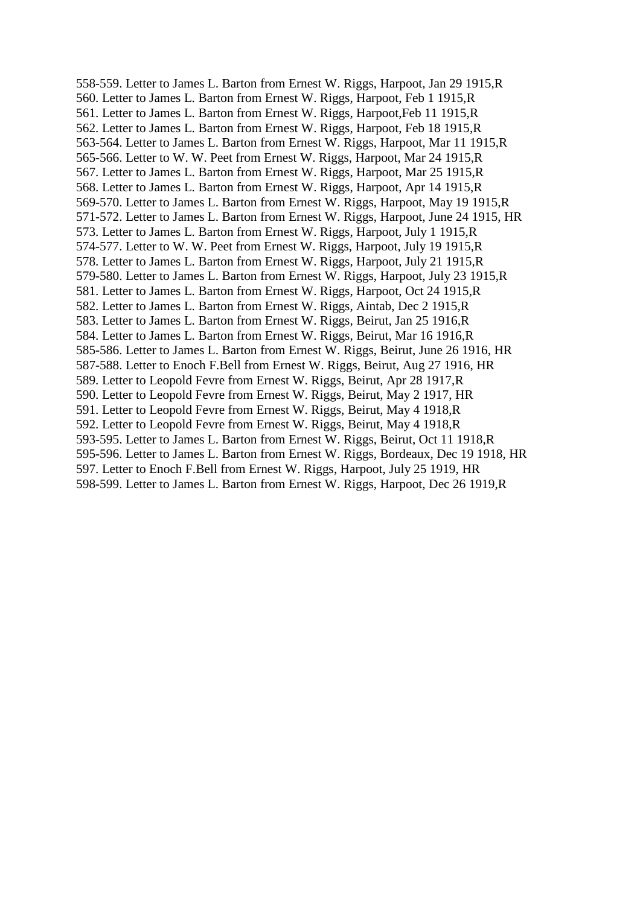558-559. Letter to James L. Barton from Ernest W. Riggs, Harpoot, Jan 29 1915,R 560. Letter to James L. Barton from Ernest W. Riggs, Harpoot, Feb 1 1915,R 561. Letter to James L. Barton from Ernest W. Riggs, Harpoot,Feb 11 1915,R 562. Letter to James L. Barton from Ernest W. Riggs, Harpoot, Feb 18 1915,R 563-564. Letter to James L. Barton from Ernest W. Riggs, Harpoot, Mar 11 1915,R 565-566. Letter to W. W. Peet from Ernest W. Riggs, Harpoot, Mar 24 1915,R 567. Letter to James L. Barton from Ernest W. Riggs, Harpoot, Mar 25 1915,R 568. Letter to James L. Barton from Ernest W. Riggs, Harpoot, Apr 14 1915,R 569-570. Letter to James L. Barton from Ernest W. Riggs, Harpoot, May 19 1915,R 571-572. Letter to James L. Barton from Ernest W. Riggs, Harpoot, June 24 1915, HR 573. Letter to James L. Barton from Ernest W. Riggs, Harpoot, July 1 1915,R 574-577. Letter to W. W. Peet from Ernest W. Riggs, Harpoot, July 19 1915,R 578. Letter to James L. Barton from Ernest W. Riggs, Harpoot, July 21 1915,R 579-580. Letter to James L. Barton from Ernest W. Riggs, Harpoot, July 23 1915,R 581. Letter to James L. Barton from Ernest W. Riggs, Harpoot, Oct 24 1915,R 582. Letter to James L. Barton from Ernest W. Riggs, Aintab, Dec 2 1915,R 583. Letter to James L. Barton from Ernest W. Riggs, Beirut, Jan 25 1916,R 584. Letter to James L. Barton from Ernest W. Riggs, Beirut, Mar 16 1916,R 585-586. Letter to James L. Barton from Ernest W. Riggs, Beirut, June 26 1916, HR 587-588. Letter to Enoch F.Bell from Ernest W. Riggs, Beirut, Aug 27 1916, HR 589. Letter to Leopold Fevre from Ernest W. Riggs, Beirut, Apr 28 1917,R 590. Letter to Leopold Fevre from Ernest W. Riggs, Beirut, May 2 1917, HR 591. Letter to Leopold Fevre from Ernest W. Riggs, Beirut, May 4 1918,R 592. Letter to Leopold Fevre from Ernest W. Riggs, Beirut, May 4 1918,R 593-595. Letter to James L. Barton from Ernest W. Riggs, Beirut, Oct 11 1918,R 595-596. Letter to James L. Barton from Ernest W. Riggs, Bordeaux, Dec 19 1918, HR 597. Letter to Enoch F.Bell from Ernest W. Riggs, Harpoot, July 25 1919, HR 598-599. Letter to James L. Barton from Ernest W. Riggs, Harpoot, Dec 26 1919,R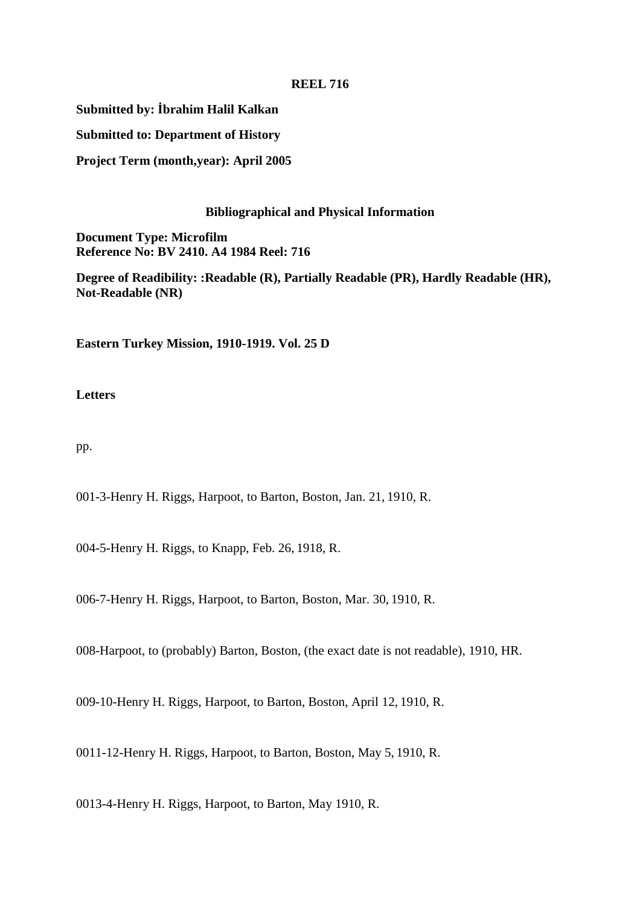### **REEL 716**

**Submitted by: İbrahim Halil Kalkan**

**Submitted to: Department of History**

**Project Term (month,year): April 2005**

## **Bibliographical and Physical Information**

**Document Type: Microfilm Reference No: BV 2410. A4 1984 Reel: 716**

**Degree of Readibility: :Readable (R), Partially Readable (PR), Hardly Readable (HR), Not-Readable (NR)**

**Eastern Turkey Mission, 1910-1919. Vol. 25 D**

## **Letters**

pp.

001-3-Henry H. Riggs, Harpoot, to Barton, Boston, Jan. 21, 1910, R.

004-5-Henry H. Riggs, to Knapp, Feb. 26, 1918, R.

006-7-Henry H. Riggs, Harpoot, to Barton, Boston, Mar. 30, 1910, R.

008-Harpoot, to (probably) Barton, Boston, (the exact date is not readable), 1910, HR.

009-10-Henry H. Riggs, Harpoot, to Barton, Boston, April 12, 1910, R.

0011-12-Henry H. Riggs, Harpoot, to Barton, Boston, May 5, 1910, R.

0013-4-Henry H. Riggs, Harpoot, to Barton, May 1910, R.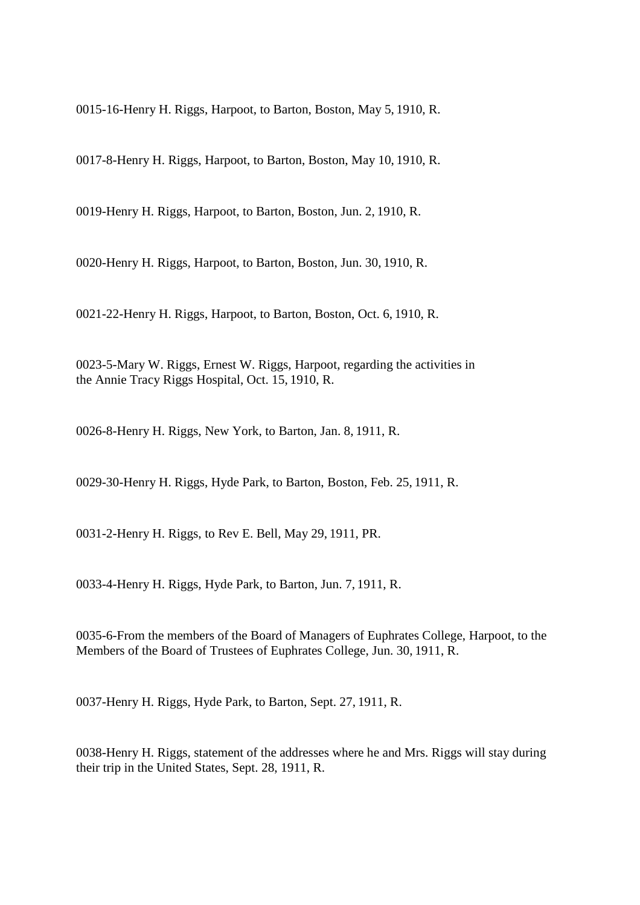0015-16-Henry H. Riggs, Harpoot, to Barton, Boston, May 5, 1910, R.

0017-8-Henry H. Riggs, Harpoot, to Barton, Boston, May 10, 1910, R.

0019-Henry H. Riggs, Harpoot, to Barton, Boston, Jun. 2, 1910, R.

0020-Henry H. Riggs, Harpoot, to Barton, Boston, Jun. 30, 1910, R.

0021-22-Henry H. Riggs, Harpoot, to Barton, Boston, Oct. 6, 1910, R.

0023-5-Mary W. Riggs, Ernest W. Riggs, Harpoot, regarding the activities in the Annie Tracy Riggs Hospital, Oct. 15, 1910, R.

0026-8-Henry H. Riggs, New York, to Barton, Jan. 8, 1911, R.

0029-30-Henry H. Riggs, Hyde Park, to Barton, Boston, Feb. 25, 1911, R.

0031-2-Henry H. Riggs, to Rev E. Bell, May 29, 1911, PR.

0033-4-Henry H. Riggs, Hyde Park, to Barton, Jun. 7, 1911, R.

0035-6-From the members of the Board of Managers of Euphrates College, Harpoot, to the Members of the Board of Trustees of Euphrates College, Jun. 30, 1911, R.

0037-Henry H. Riggs, Hyde Park, to Barton, Sept. 27, 1911, R.

0038-Henry H. Riggs, statement of the addresses where he and Mrs. Riggs will stay during their trip in the United States, Sept. 28, 1911, R.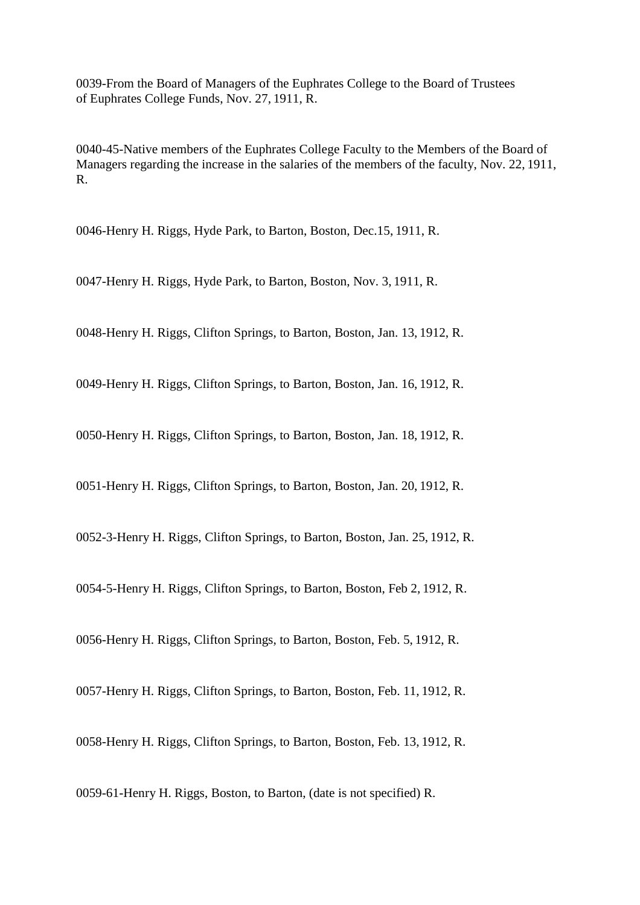0039-From the Board of Managers of the Euphrates College to the Board of Trustees of Euphrates College Funds, Nov. 27, 1911, R.

0040-45-Native members of the Euphrates College Faculty to the Members of the Board of Managers regarding the increase in the salaries of the members of the faculty, Nov. 22, 1911, R.

0046-Henry H. Riggs, Hyde Park, to Barton, Boston, Dec.15, 1911, R.

0047-Henry H. Riggs, Hyde Park, to Barton, Boston, Nov. 3, 1911, R.

0048-Henry H. Riggs, Clifton Springs, to Barton, Boston, Jan. 13, 1912, R.

0049-Henry H. Riggs, Clifton Springs, to Barton, Boston, Jan. 16, 1912, R.

0050-Henry H. Riggs, Clifton Springs, to Barton, Boston, Jan. 18, 1912, R.

0051-Henry H. Riggs, Clifton Springs, to Barton, Boston, Jan. 20, 1912, R.

0052-3-Henry H. Riggs, Clifton Springs, to Barton, Boston, Jan. 25, 1912, R.

0054-5-Henry H. Riggs, Clifton Springs, to Barton, Boston, Feb 2, 1912, R.

0056-Henry H. Riggs, Clifton Springs, to Barton, Boston, Feb. 5, 1912, R.

0057-Henry H. Riggs, Clifton Springs, to Barton, Boston, Feb. 11, 1912, R.

0058-Henry H. Riggs, Clifton Springs, to Barton, Boston, Feb. 13, 1912, R.

0059-61-Henry H. Riggs, Boston, to Barton, (date is not specified) R.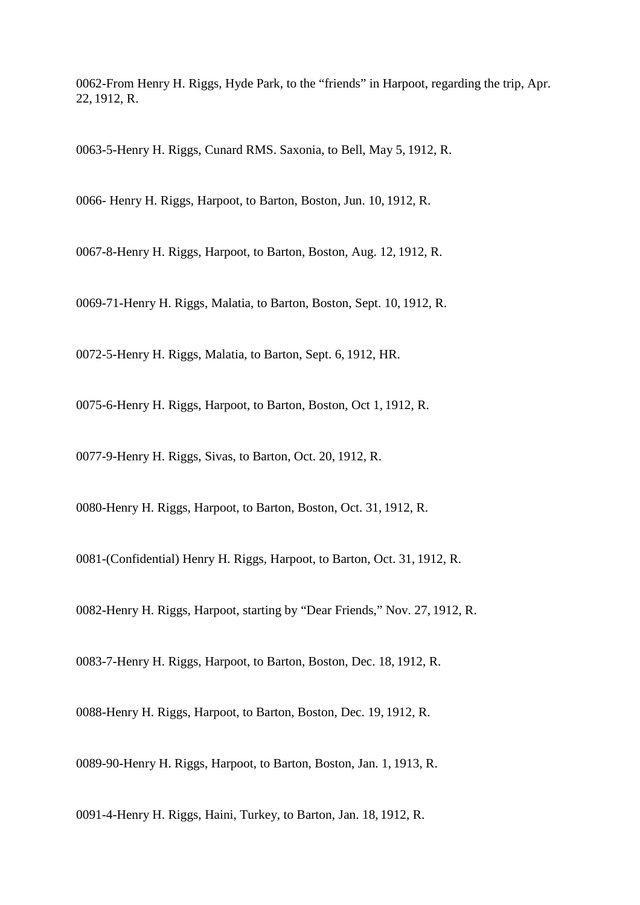0062-From Henry H. Riggs, Hyde Park, to the "friends" in Harpoot, regarding the trip, Apr. 22, 1912, R.

0063-5-Henry H. Riggs, Cunard RMS. Saxonia, to Bell, May 5, 1912, R.

0066- Henry H. Riggs, Harpoot, to Barton, Boston, Jun. 10, 1912, R.

0067-8-Henry H. Riggs, Harpoot, to Barton, Boston, Aug. 12, 1912, R.

0069-71-Henry H. Riggs, Malatia, to Barton, Boston, Sept. 10, 1912, R.

0072-5-Henry H. Riggs, Malatia, to Barton, Sept. 6, 1912, HR.

0075-6-Henry H. Riggs, Harpoot, to Barton, Boston, Oct 1, 1912, R.

0077-9-Henry H. Riggs, Sivas, to Barton, Oct. 20, 1912, R.

0080-Henry H. Riggs, Harpoot, to Barton, Boston, Oct. 31, 1912, R.

0081-(Confidential) Henry H. Riggs, Harpoot, to Barton, Oct. 31, 1912, R.

0082-Henry H. Riggs, Harpoot, starting by "Dear Friends," Nov. 27, 1912, R.

0083-7-Henry H. Riggs, Harpoot, to Barton, Boston, Dec. 18, 1912, R.

0088-Henry H. Riggs, Harpoot, to Barton, Boston, Dec. 19, 1912, R.

0089-90-Henry H. Riggs, Harpoot, to Barton, Boston, Jan. 1, 1913, R.

0091-4-Henry H. Riggs, Haini, Turkey, to Barton, Jan. 18, 1912, R.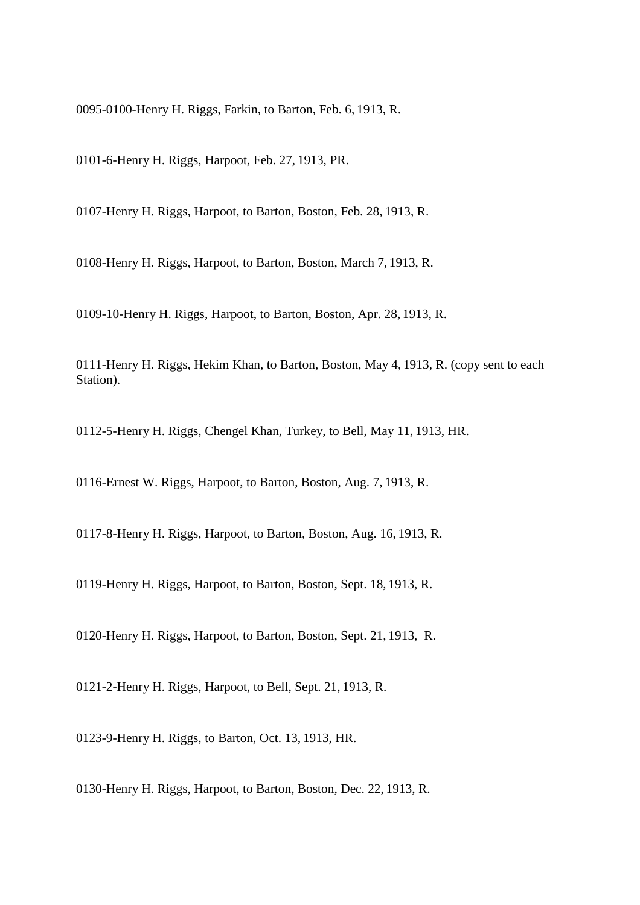0095-0100-Henry H. Riggs, Farkin, to Barton, Feb. 6, 1913, R.

0101-6-Henry H. Riggs, Harpoot, Feb. 27, 1913, PR.

0107-Henry H. Riggs, Harpoot, to Barton, Boston, Feb. 28, 1913, R.

0108-Henry H. Riggs, Harpoot, to Barton, Boston, March 7, 1913, R.

0109-10-Henry H. Riggs, Harpoot, to Barton, Boston, Apr. 28, 1913, R.

0111-Henry H. Riggs, Hekim Khan, to Barton, Boston, May 4, 1913, R. (copy sent to each Station).

0112-5-Henry H. Riggs, Chengel Khan, Turkey, to Bell, May 11, 1913, HR.

0116-Ernest W. Riggs, Harpoot, to Barton, Boston, Aug. 7, 1913, R.

0117-8-Henry H. Riggs, Harpoot, to Barton, Boston, Aug. 16, 1913, R.

0119-Henry H. Riggs, Harpoot, to Barton, Boston, Sept. 18, 1913, R.

0120-Henry H. Riggs, Harpoot, to Barton, Boston, Sept. 21, 1913, R.

0121-2-Henry H. Riggs, Harpoot, to Bell, Sept. 21, 1913, R.

0123-9-Henry H. Riggs, to Barton, Oct. 13, 1913, HR.

0130-Henry H. Riggs, Harpoot, to Barton, Boston, Dec. 22, 1913, R.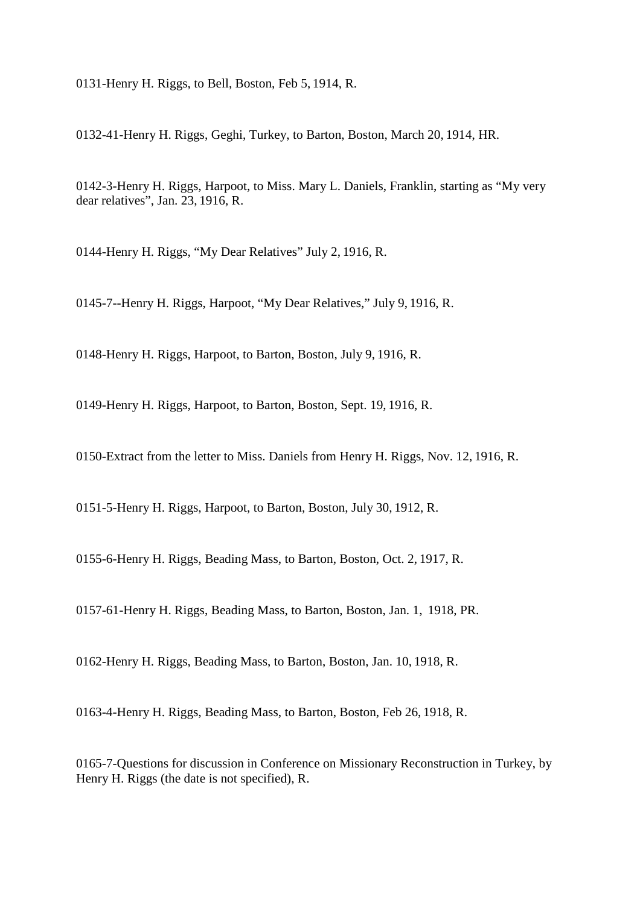0131-Henry H. Riggs, to Bell, Boston, Feb 5, 1914, R.

0132-41-Henry H. Riggs, Geghi, Turkey, to Barton, Boston, March 20, 1914, HR.

0142-3-Henry H. Riggs, Harpoot, to Miss. Mary L. Daniels, Franklin, starting as "My very dear relatives", Jan. 23, 1916, R.

0144-Henry H. Riggs, "My Dear Relatives" July 2, 1916, R.

0145-7--Henry H. Riggs, Harpoot, "My Dear Relatives," July 9, 1916, R.

0148-Henry H. Riggs, Harpoot, to Barton, Boston, July 9, 1916, R.

0149-Henry H. Riggs, Harpoot, to Barton, Boston, Sept. 19, 1916, R.

0150-Extract from the letter to Miss. Daniels from Henry H. Riggs, Nov. 12, 1916, R.

0151-5-Henry H. Riggs, Harpoot, to Barton, Boston, July 30, 1912, R.

0155-6-Henry H. Riggs, Beading Mass, to Barton, Boston, Oct. 2, 1917, R.

0157-61-Henry H. Riggs, Beading Mass, to Barton, Boston, Jan. 1, 1918, PR.

0162-Henry H. Riggs, Beading Mass, to Barton, Boston, Jan. 10, 1918, R.

0163-4-Henry H. Riggs, Beading Mass, to Barton, Boston, Feb 26, 1918, R.

0165-7-Questions for discussion in Conference on Missionary Reconstruction in Turkey, by Henry H. Riggs (the date is not specified), R.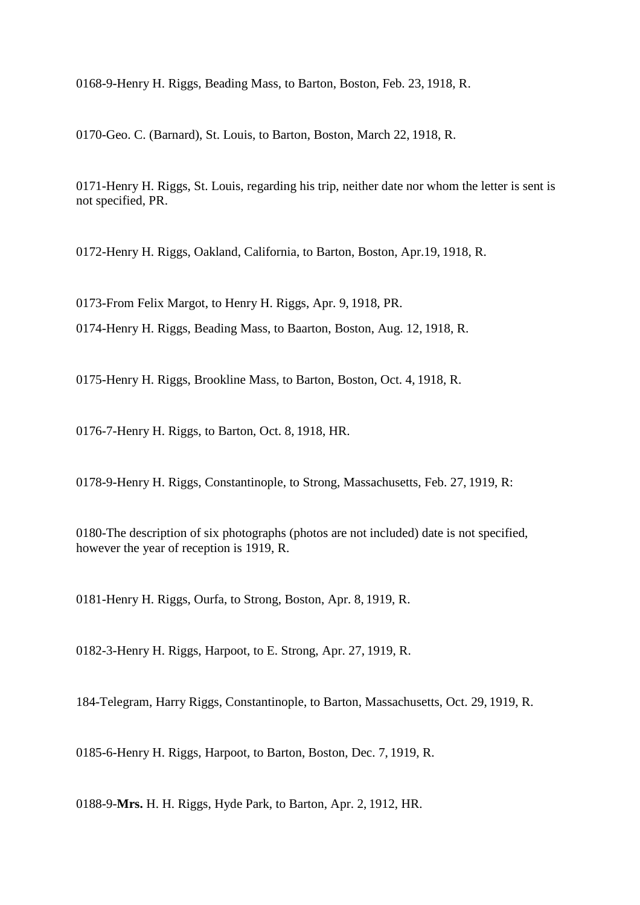0168-9-Henry H. Riggs, Beading Mass, to Barton, Boston, Feb. 23, 1918, R.

0170-Geo. C. (Barnard), St. Louis, to Barton, Boston, March 22, 1918, R.

0171-Henry H. Riggs, St. Louis, regarding his trip, neither date nor whom the letter is sent is not specified, PR.

0172-Henry H. Riggs, Oakland, California, to Barton, Boston, Apr.19, 1918, R.

0173-From Felix Margot, to Henry H. Riggs, Apr. 9, 1918, PR.

0174-Henry H. Riggs, Beading Mass, to Baarton, Boston, Aug. 12, 1918, R.

0175-Henry H. Riggs, Brookline Mass, to Barton, Boston, Oct. 4, 1918, R.

0176-7-Henry H. Riggs, to Barton, Oct. 8, 1918, HR.

0178-9-Henry H. Riggs, Constantinople, to Strong, Massachusetts, Feb. 27, 1919, R:

0180-The description of six photographs (photos are not included) date is not specified, however the year of reception is 1919, R.

0181-Henry H. Riggs, Ourfa, to Strong, Boston, Apr. 8, 1919, R.

0182-3-Henry H. Riggs, Harpoot, to E. Strong, Apr. 27, 1919, R.

184-Telegram, Harry Riggs, Constantinople, to Barton, Massachusetts, Oct. 29, 1919, R.

0185-6-Henry H. Riggs, Harpoot, to Barton, Boston, Dec. 7, 1919, R.

0188-9-**Mrs.** H. H. Riggs, Hyde Park, to Barton, Apr. 2, 1912, HR.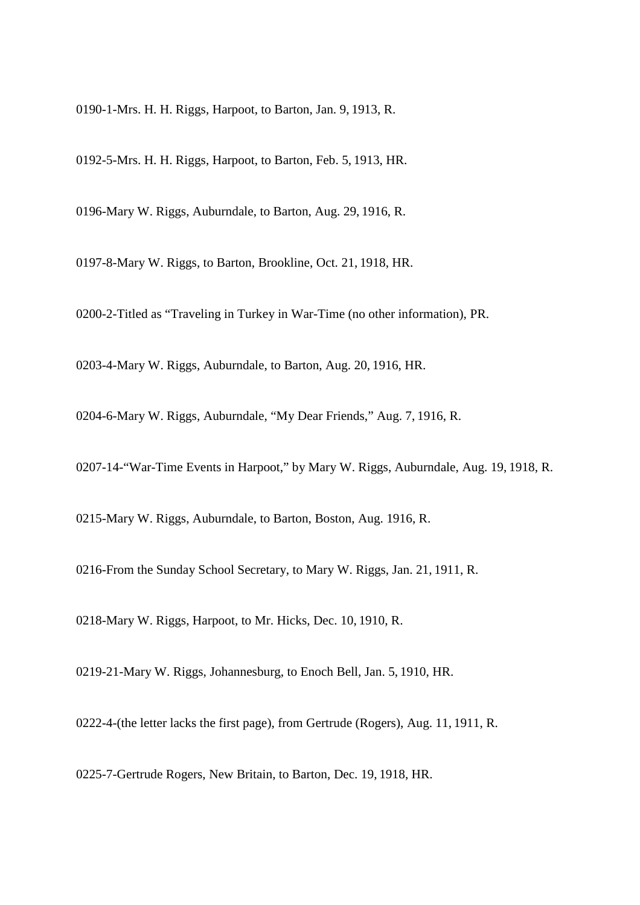0190-1-Mrs. H. H. Riggs, Harpoot, to Barton, Jan. 9, 1913, R.

0192-5-Mrs. H. H. Riggs, Harpoot, to Barton, Feb. 5, 1913, HR.

0196-Mary W. Riggs, Auburndale, to Barton, Aug. 29, 1916, R.

0197-8-Mary W. Riggs, to Barton, Brookline, Oct. 21, 1918, HR.

0200-2-Titled as "Traveling in Turkey in War-Time (no other information), PR.

0203-4-Mary W. Riggs, Auburndale, to Barton, Aug. 20, 1916, HR.

0204-6-Mary W. Riggs, Auburndale, "My Dear Friends," Aug. 7, 1916, R.

0207-14-"War-Time Events in Harpoot," by Mary W. Riggs, Auburndale, Aug. 19, 1918, R.

0215-Mary W. Riggs, Auburndale, to Barton, Boston, Aug. 1916, R.

0216-From the Sunday School Secretary, to Mary W. Riggs, Jan. 21, 1911, R.

0218-Mary W. Riggs, Harpoot, to Mr. Hicks, Dec. 10, 1910, R.

0219-21-Mary W. Riggs, Johannesburg, to Enoch Bell, Jan. 5, 1910, HR.

0222-4-(the letter lacks the first page), from Gertrude (Rogers), Aug. 11, 1911, R.

0225-7-Gertrude Rogers, New Britain, to Barton, Dec. 19, 1918, HR.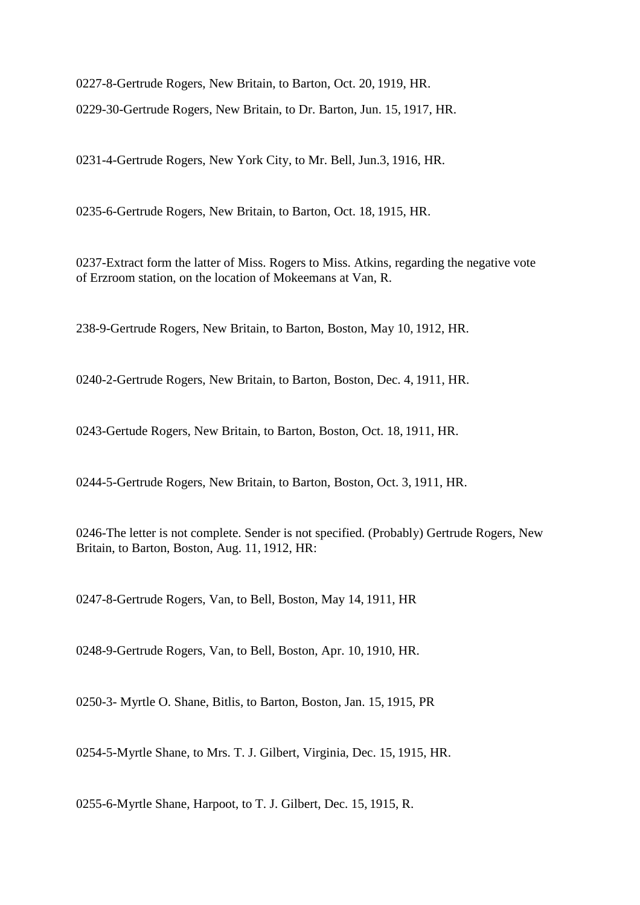0227-8-Gertrude Rogers, New Britain, to Barton, Oct. 20, 1919, HR. 0229-30-Gertrude Rogers, New Britain, to Dr. Barton, Jun. 15, 1917, HR.

0231-4-Gertrude Rogers, New York City, to Mr. Bell, Jun.3, 1916, HR.

0235-6-Gertrude Rogers, New Britain, to Barton, Oct. 18, 1915, HR.

0237-Extract form the latter of Miss. Rogers to Miss. Atkins, regarding the negative vote of Erzroom station, on the location of Mokeemans at Van, R.

238-9-Gertrude Rogers, New Britain, to Barton, Boston, May 10, 1912, HR.

0240-2-Gertrude Rogers, New Britain, to Barton, Boston, Dec. 4, 1911, HR.

0243-Gertude Rogers, New Britain, to Barton, Boston, Oct. 18, 1911, HR.

0244-5-Gertrude Rogers, New Britain, to Barton, Boston, Oct. 3, 1911, HR.

0246-The letter is not complete. Sender is not specified. (Probably) Gertrude Rogers, New Britain, to Barton, Boston, Aug. 11, 1912, HR:

0247-8-Gertrude Rogers, Van, to Bell, Boston, May 14, 1911, HR

0248-9-Gertrude Rogers, Van, to Bell, Boston, Apr. 10, 1910, HR.

0250-3- Myrtle O. Shane, Bitlis, to Barton, Boston, Jan. 15, 1915, PR

0254-5-Myrtle Shane, to Mrs. T. J. Gilbert, Virginia, Dec. 15, 1915, HR.

0255-6-Myrtle Shane, Harpoot, to T. J. Gilbert, Dec. 15, 1915, R.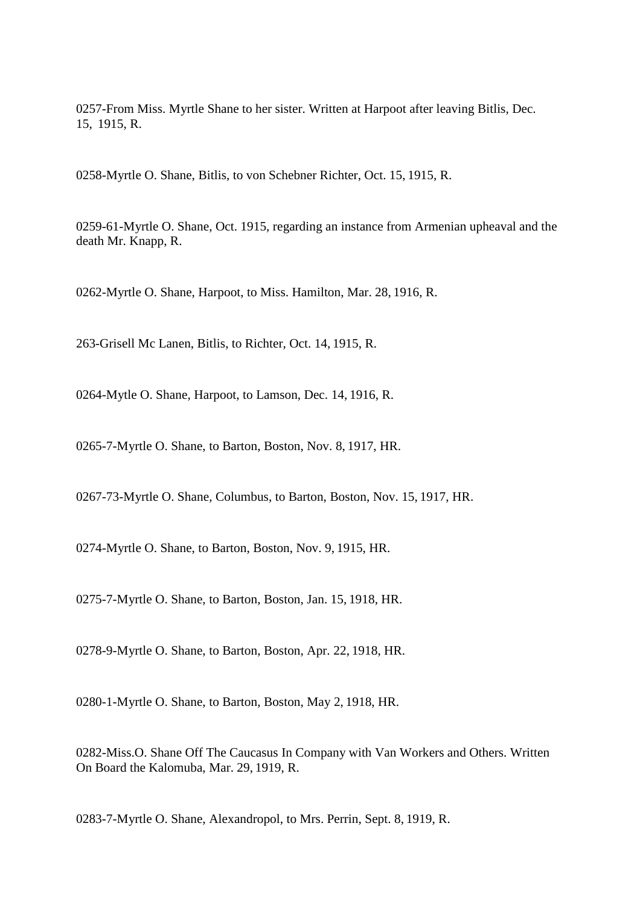0257-From Miss. Myrtle Shane to her sister. Written at Harpoot after leaving Bitlis, Dec. 15, 1915, R.

0258-Myrtle O. Shane, Bitlis, to von Schebner Richter, Oct. 15, 1915, R.

0259-61-Myrtle O. Shane, Oct. 1915, regarding an instance from Armenian upheaval and the death Mr. Knapp, R.

0262-Myrtle O. Shane, Harpoot, to Miss. Hamilton, Mar. 28, 1916, R.

263-Grisell Mc Lanen, Bitlis, to Richter, Oct. 14, 1915, R.

0264-Mytle O. Shane, Harpoot, to Lamson, Dec. 14, 1916, R.

0265-7-Myrtle O. Shane, to Barton, Boston, Nov. 8, 1917, HR.

0267-73-Myrtle O. Shane, Columbus, to Barton, Boston, Nov. 15, 1917, HR.

0274-Myrtle O. Shane, to Barton, Boston, Nov. 9, 1915, HR.

0275-7-Myrtle O. Shane, to Barton, Boston, Jan. 15, 1918, HR.

0278-9-Myrtle O. Shane, to Barton, Boston, Apr. 22, 1918, HR.

0280-1-Myrtle O. Shane, to Barton, Boston, May 2, 1918, HR.

0282-Miss.O. Shane Off The Caucasus In Company with Van Workers and Others. Written On Board the Kalomuba, Mar. 29, 1919, R.

0283-7-Myrtle O. Shane, Alexandropol, to Mrs. Perrin, Sept. 8, 1919, R.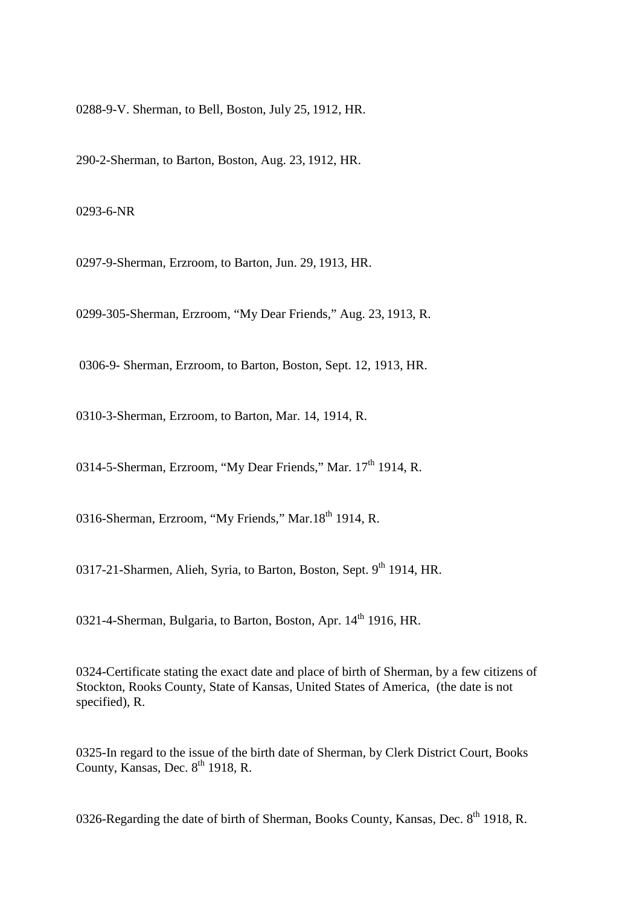0288-9-V. Sherman, to Bell, Boston, July 25, 1912, HR.

290-2-Sherman, to Barton, Boston, Aug. 23, 1912, HR.

0293-6-NR

0297-9-Sherman, Erzroom, to Barton, Jun. 29, 1913, HR.

0299-305-Sherman, Erzroom, "My Dear Friends," Aug. 23, 1913, R.

0306-9- Sherman, Erzroom, to Barton, Boston, Sept. 12, 1913, HR.

0310-3-Sherman, Erzroom, to Barton, Mar. 14, 1914, R.

0314-5-Sherman, Erzroom, "My Dear Friends," Mar. 17<sup>th</sup> 1914, R.

0316-Sherman, Erzroom, "My Friends," Mar.18<sup>th</sup> 1914, R.

0317-21-Sharmen, Alieh, Syria, to Barton, Boston, Sept. 9<sup>th</sup> 1914, HR.

0321-4-Sherman, Bulgaria, to Barton, Boston, Apr. 14<sup>th</sup> 1916, HR.

0324-Certificate stating the exact date and place of birth of Sherman, by a few citizens of Stockton, Rooks County, State of Kansas, United States of America, (the date is not specified), R.

0325-In regard to the issue of the birth date of Sherman, by Clerk District Court, Books County, Kansas, Dec.  $8^{th}$  1918, R.

0326-Regarding the date of birth of Sherman, Books County, Kansas, Dec.  $8<sup>th</sup>$  1918, R.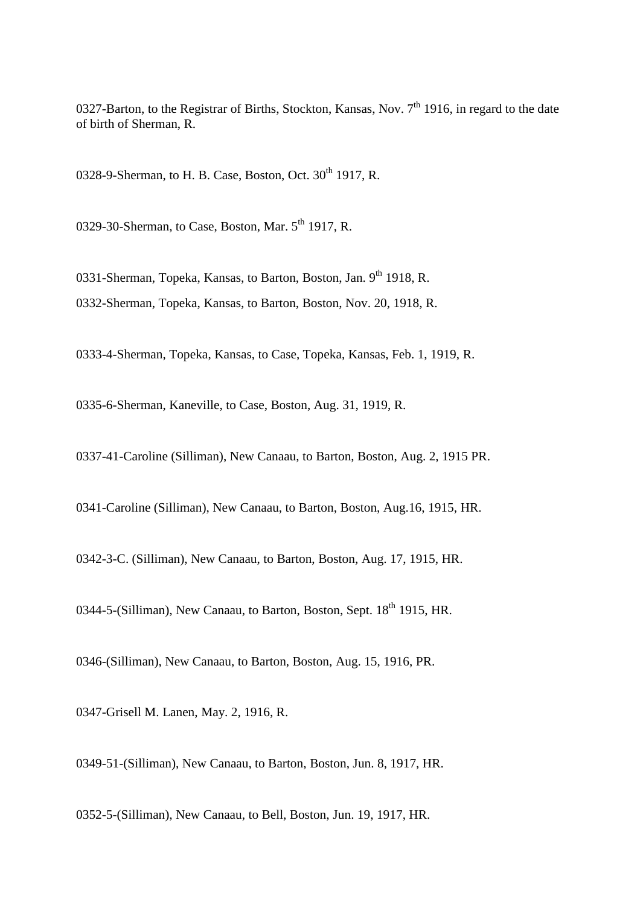0327-Barton, to the Registrar of Births, Stockton, Kansas, Nov.  $7<sup>th</sup>$  1916, in regard to the date of birth of Sherman, R.

0328-9-Sherman, to H. B. Case, Boston, Oct.  $30<sup>th</sup>$  1917, R.

0329-30-Sherman, to Case, Boston, Mar.  $5<sup>th</sup>$  1917, R.

0331-Sherman, Topeka, Kansas, to Barton, Boston, Jan. 9th 1918, R. 0332-Sherman, Topeka, Kansas, to Barton, Boston, Nov. 20, 1918, R.

0333-4-Sherman, Topeka, Kansas, to Case, Topeka, Kansas, Feb. 1, 1919, R.

0335-6-Sherman, Kaneville, to Case, Boston, Aug. 31, 1919, R.

0337-41-Caroline (Silliman), New Canaau, to Barton, Boston, Aug. 2, 1915 PR.

0341-Caroline (Silliman), New Canaau, to Barton, Boston, Aug.16, 1915, HR.

0342-3-C. (Silliman), New Canaau, to Barton, Boston, Aug. 17, 1915, HR.

0344-5-(Silliman), New Canaau, to Barton, Boston, Sept. 18<sup>th</sup> 1915, HR.

0346-(Silliman), New Canaau, to Barton, Boston, Aug. 15, 1916, PR.

0347-Grisell M. Lanen, May. 2, 1916, R.

0349-51-(Silliman), New Canaau, to Barton, Boston, Jun. 8, 1917, HR.

0352-5-(Silliman), New Canaau, to Bell, Boston, Jun. 19, 1917, HR.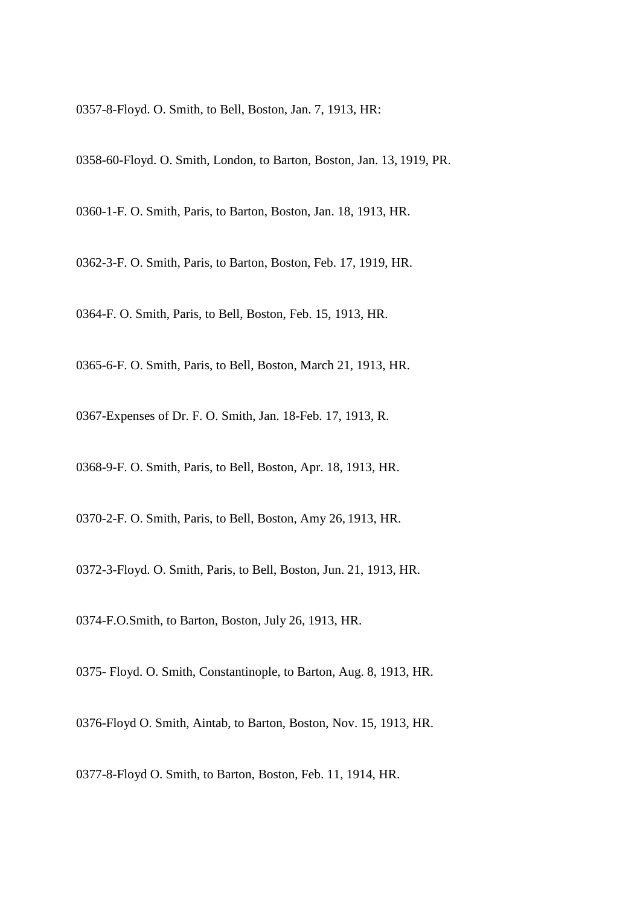0357-8-Floyd. O. Smith, to Bell, Boston, Jan. 7, 1913, HR:

0358-60-Floyd. O. Smith, London, to Barton, Boston, Jan. 13, 1919, PR.

0360-1-F. O. Smith, Paris, to Barton, Boston, Jan. 18, 1913, HR.

0362-3-F. O. Smith, Paris, to Barton, Boston, Feb. 17, 1919, HR.

0364-F. O. Smith, Paris, to Bell, Boston, Feb. 15, 1913, HR.

0365-6-F. O. Smith, Paris, to Bell, Boston, March 21, 1913, HR.

0367-Expenses of Dr. F. O. Smith, Jan. 18-Feb. 17, 1913, R.

0368-9-F. O. Smith, Paris, to Bell, Boston, Apr. 18, 1913, HR.

0370-2-F. O. Smith, Paris, to Bell, Boston, Amy 26, 1913, HR.

0372-3-Floyd. O. Smith, Paris, to Bell, Boston, Jun. 21, 1913, HR.

0374-F.O.Smith, to Barton, Boston, July 26, 1913, HR.

0375- Floyd. O. Smith, Constantinople, to Barton, Aug. 8, 1913, HR.

0376-Floyd O. Smith, Aintab, to Barton, Boston, Nov. 15, 1913, HR.

0377-8-Floyd O. Smith, to Barton, Boston, Feb. 11, 1914, HR.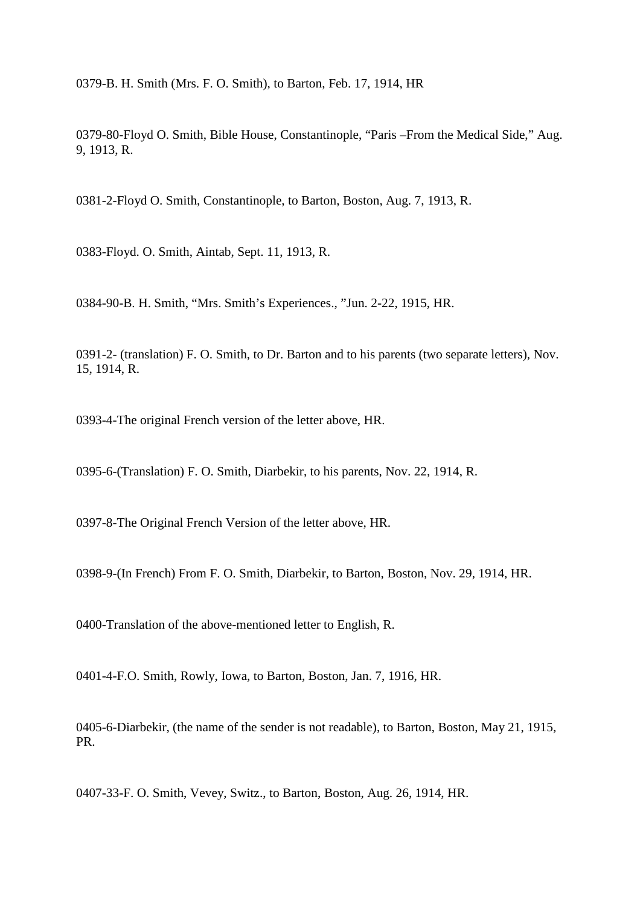0379-B. H. Smith (Mrs. F. O. Smith), to Barton, Feb. 17, 1914, HR

0379-80-Floyd O. Smith, Bible House, Constantinople, "Paris –From the Medical Side," Aug. 9, 1913, R.

0381-2-Floyd O. Smith, Constantinople, to Barton, Boston, Aug. 7, 1913, R.

0383-Floyd. O. Smith, Aintab, Sept. 11, 1913, R.

0384-90-B. H. Smith, "Mrs. Smith's Experiences., "Jun. 2-22, 1915, HR.

0391-2- (translation) F. O. Smith, to Dr. Barton and to his parents (two separate letters), Nov. 15, 1914, R.

0393-4-The original French version of the letter above, HR.

0395-6-(Translation) F. O. Smith, Diarbekir, to his parents, Nov. 22, 1914, R.

0397-8-The Original French Version of the letter above, HR.

0398-9-(In French) From F. O. Smith, Diarbekir, to Barton, Boston, Nov. 29, 1914, HR.

0400-Translation of the above-mentioned letter to English, R.

0401-4-F.O. Smith, Rowly, Iowa, to Barton, Boston, Jan. 7, 1916, HR.

0405-6-Diarbekir, (the name of the sender is not readable), to Barton, Boston, May 21, 1915, PR.

0407-33-F. O. Smith, Vevey, Switz., to Barton, Boston, Aug. 26, 1914, HR.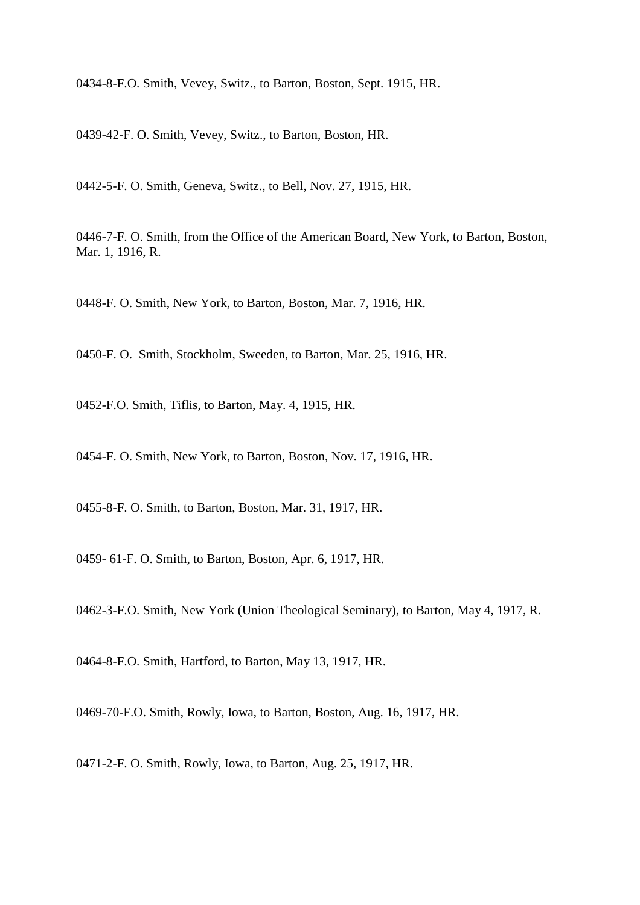0434-8-F.O. Smith, Vevey, Switz., to Barton, Boston, Sept. 1915, HR.

0439-42-F. O. Smith, Vevey, Switz., to Barton, Boston, HR.

0442-5-F. O. Smith, Geneva, Switz., to Bell, Nov. 27, 1915, HR.

0446-7-F. O. Smith, from the Office of the American Board, New York, to Barton, Boston, Mar. 1, 1916, R.

0448-F. O. Smith, New York, to Barton, Boston, Mar. 7, 1916, HR.

0450-F. O. Smith, Stockholm, Sweeden, to Barton, Mar. 25, 1916, HR.

0452-F.O. Smith, Tiflis, to Barton, May. 4, 1915, HR.

0454-F. O. Smith, New York, to Barton, Boston, Nov. 17, 1916, HR.

0455-8-F. O. Smith, to Barton, Boston, Mar. 31, 1917, HR.

0459- 61-F. O. Smith, to Barton, Boston, Apr. 6, 1917, HR.

0462-3-F.O. Smith, New York (Union Theological Seminary), to Barton, May 4, 1917, R.

0464-8-F.O. Smith, Hartford, to Barton, May 13, 1917, HR.

0469-70-F.O. Smith, Rowly, Iowa, to Barton, Boston, Aug. 16, 1917, HR.

0471-2-F. O. Smith, Rowly, Iowa, to Barton, Aug. 25, 1917, HR.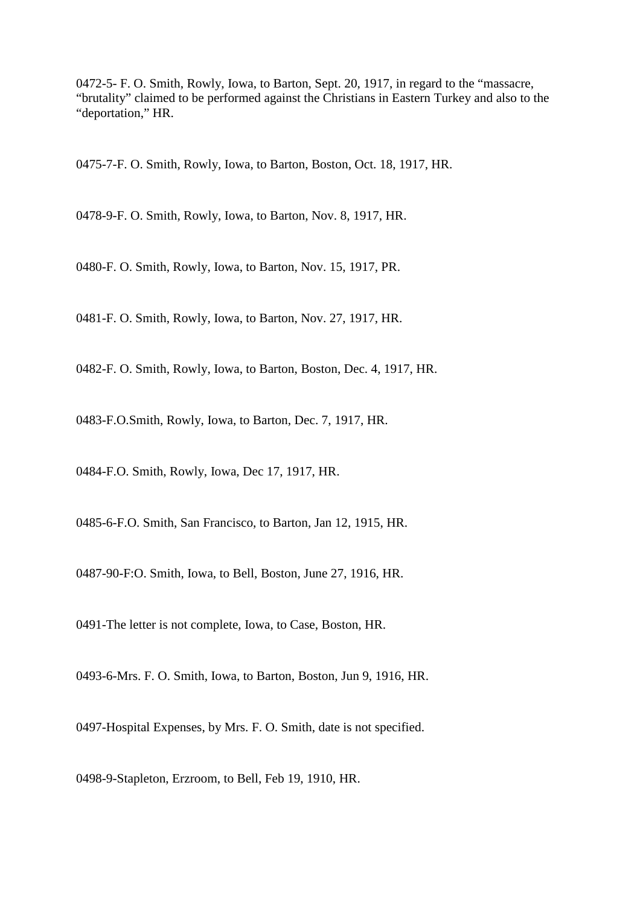0472-5- F. O. Smith, Rowly, Iowa, to Barton, Sept. 20, 1917, in regard to the "massacre, "brutality" claimed to be performed against the Christians in Eastern Turkey and also to the "deportation," HR.

0475-7-F. O. Smith, Rowly, Iowa, to Barton, Boston, Oct. 18, 1917, HR.

0478-9-F. O. Smith, Rowly, Iowa, to Barton, Nov. 8, 1917, HR.

0480-F. O. Smith, Rowly, Iowa, to Barton, Nov. 15, 1917, PR.

0481-F. O. Smith, Rowly, Iowa, to Barton, Nov. 27, 1917, HR.

0482-F. O. Smith, Rowly, Iowa, to Barton, Boston, Dec. 4, 1917, HR.

0483-F.O.Smith, Rowly, Iowa, to Barton, Dec. 7, 1917, HR.

0484-F.O. Smith, Rowly, Iowa, Dec 17, 1917, HR.

0485-6-F.O. Smith, San Francisco, to Barton, Jan 12, 1915, HR.

0487-90-F:O. Smith, Iowa, to Bell, Boston, June 27, 1916, HR.

0491-The letter is not complete, Iowa, to Case, Boston, HR.

0493-6-Mrs. F. O. Smith, Iowa, to Barton, Boston, Jun 9, 1916, HR.

0497-Hospital Expenses, by Mrs. F. O. Smith, date is not specified.

0498-9-Stapleton, Erzroom, to Bell, Feb 19, 1910, HR.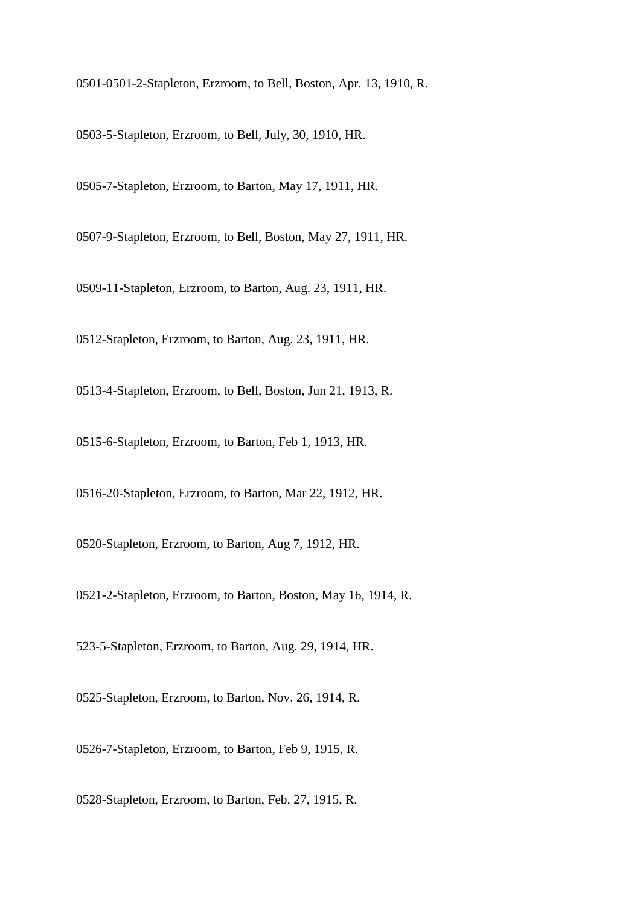0501-0501-2-Stapleton, Erzroom, to Bell, Boston, Apr. 13, 1910, R.

0503-5-Stapleton, Erzroom, to Bell, July, 30, 1910, HR.

0505-7-Stapleton, Erzroom, to Barton, May 17, 1911, HR.

0507-9-Stapleton, Erzroom, to Bell, Boston, May 27, 1911, HR.

0509-11-Stapleton, Erzroom, to Barton, Aug. 23, 1911, HR.

0512-Stapleton, Erzroom, to Barton, Aug. 23, 1911, HR.

0513-4-Stapleton, Erzroom, to Bell, Boston, Jun 21, 1913, R.

0515-6-Stapleton, Erzroom, to Barton, Feb 1, 1913, HR.

0516-20-Stapleton, Erzroom, to Barton, Mar 22, 1912, HR.

0520-Stapleton, Erzroom, to Barton, Aug 7, 1912, HR.

0521-2-Stapleton, Erzroom, to Barton, Boston, May 16, 1914, R.

523-5-Stapleton, Erzroom, to Barton, Aug. 29, 1914, HR.

0525-Stapleton, Erzroom, to Barton, Nov. 26, 1914, R.

0526-7-Stapleton, Erzroom, to Barton, Feb 9, 1915, R.

0528-Stapleton, Erzroom, to Barton, Feb. 27, 1915, R.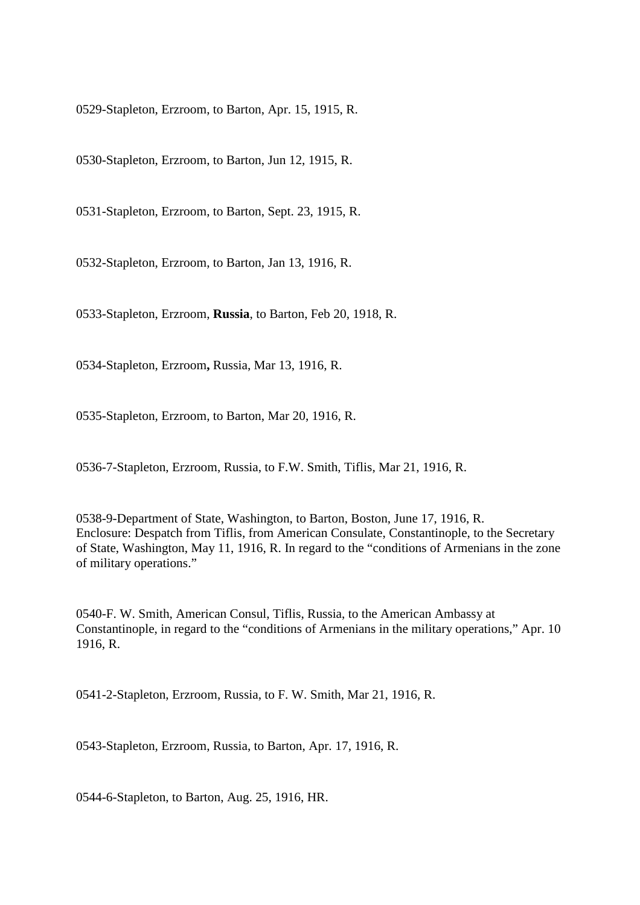0529-Stapleton, Erzroom, to Barton, Apr. 15, 1915, R.

0530-Stapleton, Erzroom, to Barton, Jun 12, 1915, R.

0531-Stapleton, Erzroom, to Barton, Sept. 23, 1915, R.

0532-Stapleton, Erzroom, to Barton, Jan 13, 1916, R.

0533-Stapleton, Erzroom, **Russia**, to Barton, Feb 20, 1918, R.

0534-Stapleton, Erzroom**,** Russia, Mar 13, 1916, R.

0535-Stapleton, Erzroom, to Barton, Mar 20, 1916, R.

0536-7-Stapleton, Erzroom, Russia, to F.W. Smith, Tiflis, Mar 21, 1916, R.

0538-9-Department of State, Washington, to Barton, Boston, June 17, 1916, R. Enclosure: Despatch from Tiflis, from American Consulate, Constantinople, to the Secretary of State, Washington, May 11, 1916, R. In regard to the "conditions of Armenians in the zone of military operations."

0540-F. W. Smith, American Consul, Tiflis, Russia, to the American Ambassy at Constantinople, in regard to the "conditions of Armenians in the military operations," Apr. 10 1916, R.

0541-2-Stapleton, Erzroom, Russia, to F. W. Smith, Mar 21, 1916, R.

0543-Stapleton, Erzroom, Russia, to Barton, Apr. 17, 1916, R.

0544-6-Stapleton, to Barton, Aug. 25, 1916, HR.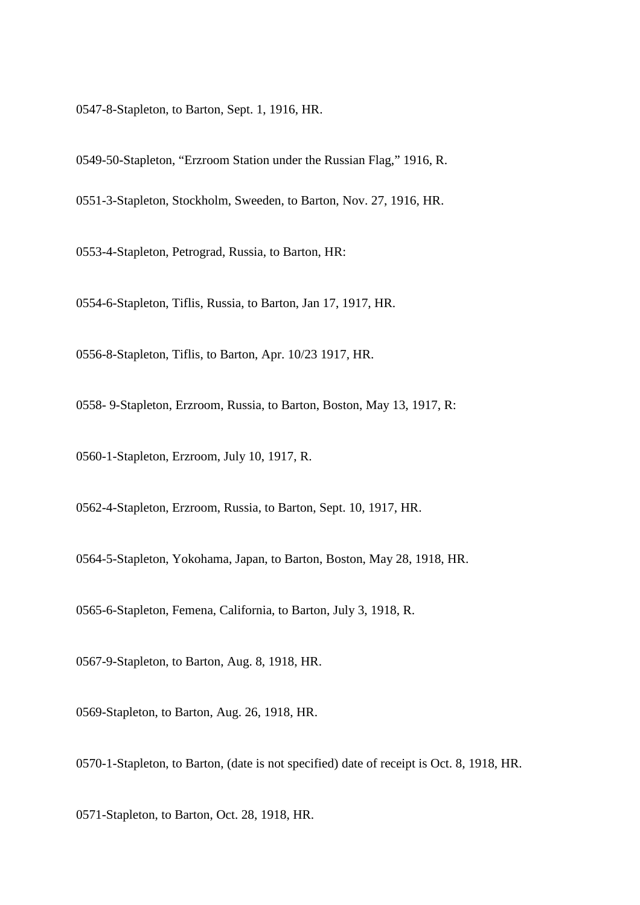0547-8-Stapleton, to Barton, Sept. 1, 1916, HR.

0549-50-Stapleton, "Erzroom Station under the Russian Flag," 1916, R. 0551-3-Stapleton, Stockholm, Sweeden, to Barton, Nov. 27, 1916, HR.

0553-4-Stapleton, Petrograd, Russia, to Barton, HR:

0554-6-Stapleton, Tiflis, Russia, to Barton, Jan 17, 1917, HR.

0556-8-Stapleton, Tiflis, to Barton, Apr. 10/23 1917, HR.

0558- 9-Stapleton, Erzroom, Russia, to Barton, Boston, May 13, 1917, R:

0560-1-Stapleton, Erzroom, July 10, 1917, R.

0562-4-Stapleton, Erzroom, Russia, to Barton, Sept. 10, 1917, HR.

0564-5-Stapleton, Yokohama, Japan, to Barton, Boston, May 28, 1918, HR.

0565-6-Stapleton, Femena, California, to Barton, July 3, 1918, R.

0567-9-Stapleton, to Barton, Aug. 8, 1918, HR.

0569-Stapleton, to Barton, Aug. 26, 1918, HR.

0570-1-Stapleton, to Barton, (date is not specified) date of receipt is Oct. 8, 1918, HR.

0571-Stapleton, to Barton, Oct. 28, 1918, HR.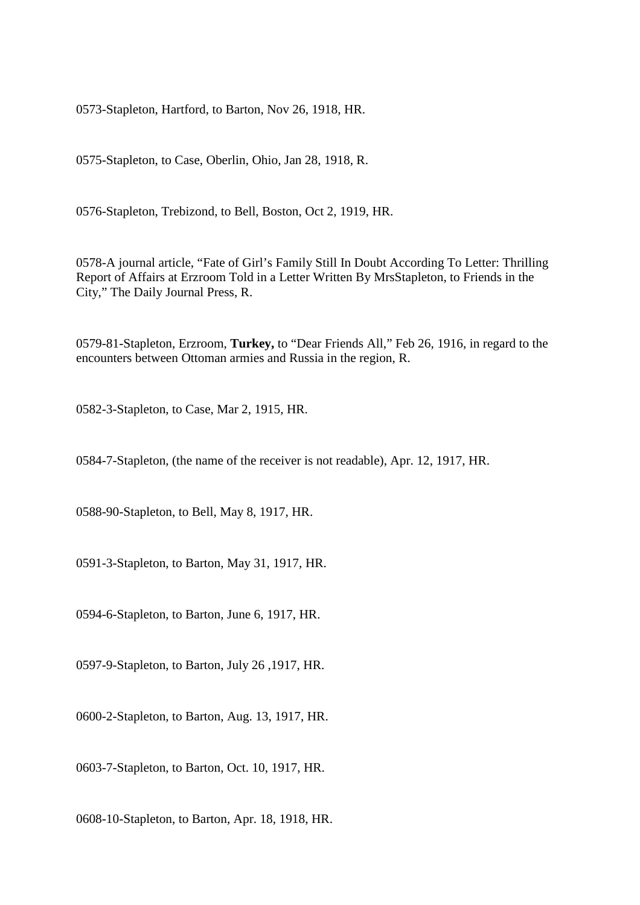0573-Stapleton, Hartford, to Barton, Nov 26, 1918, HR.

0575-Stapleton, to Case, Oberlin, Ohio, Jan 28, 1918, R.

0576-Stapleton, Trebizond, to Bell, Boston, Oct 2, 1919, HR.

0578-A journal article, "Fate of Girl's Family Still In Doubt According To Letter: Thrilling Report of Affairs at Erzroom Told in a Letter Written By MrsStapleton, to Friends in the City," The Daily Journal Press, R.

0579-81-Stapleton, Erzroom, **Turkey,** to "Dear Friends All," Feb 26, 1916, in regard to the encounters between Ottoman armies and Russia in the region, R.

0582-3-Stapleton, to Case, Mar 2, 1915, HR.

0584-7-Stapleton, (the name of the receiver is not readable), Apr. 12, 1917, HR.

0588-90-Stapleton, to Bell, May 8, 1917, HR.

0591-3-Stapleton, to Barton, May 31, 1917, HR.

0594-6-Stapleton, to Barton, June 6, 1917, HR.

0597-9-Stapleton, to Barton, July 26 ,1917, HR.

0600-2-Stapleton, to Barton, Aug. 13, 1917, HR.

0603-7-Stapleton, to Barton, Oct. 10, 1917, HR.

0608-10-Stapleton, to Barton, Apr. 18, 1918, HR.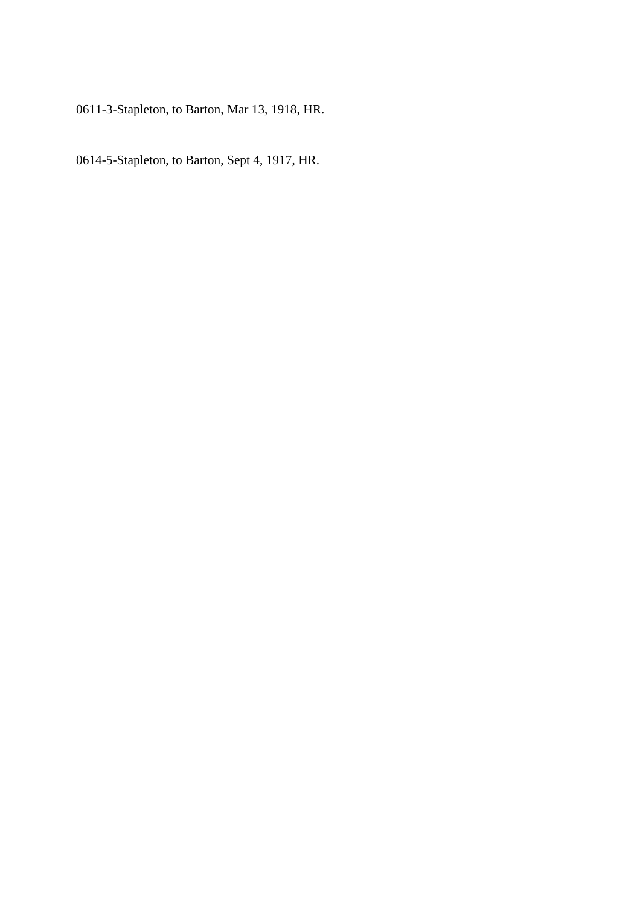0611-3-Stapleton, to Barton, Mar 13, 1918, HR.

0614-5-Stapleton, to Barton, Sept 4, 1917, HR.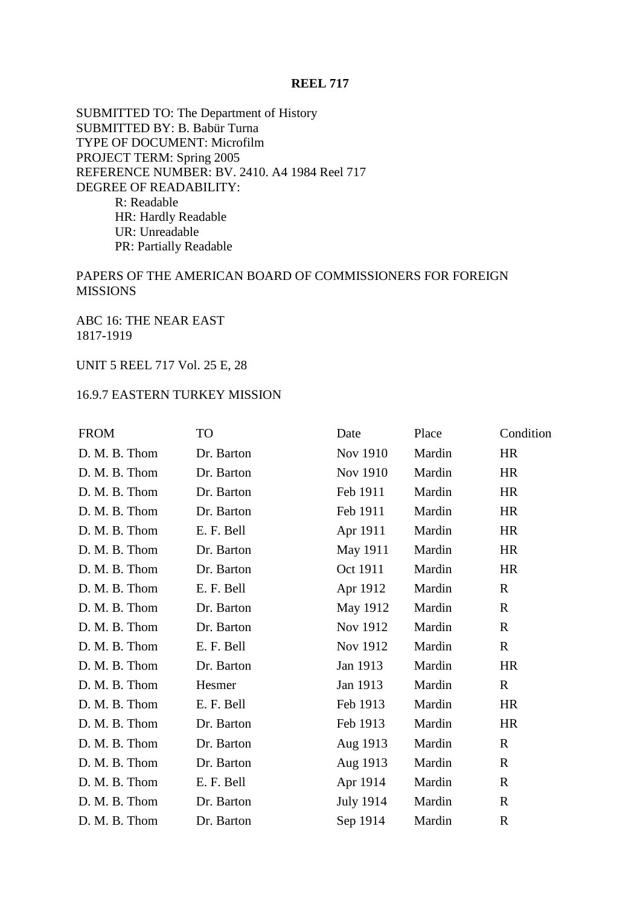## **REEL 717**

SUBMITTED TO: The Department of History SUBMITTED BY: B. Babür Turna TYPE OF DOCUMENT: Microfilm PROJECT TERM: Spring 2005 REFERENCE NUMBER: BV. 2410. A4 1984 Reel 717 DEGREE OF READABILITY: R: Readable HR: Hardly Readable UR: Unreadable PR: Partially Readable

## PAPERS OF THE AMERICAN BOARD OF COMMISSIONERS FOR FOREIGN MISSIONS

ABC 16: THE NEAR EAST 1817-1919

## UNIT 5 REEL 717 Vol. 25 E, 28

## 16.9.7 EASTERN TURKEY MISSION

| <b>FROM</b>   | TO         | Date      | Place  | Condition    |
|---------------|------------|-----------|--------|--------------|
| D. M. B. Thom | Dr. Barton | Nov 1910  | Mardin | <b>HR</b>    |
| D. M. B. Thom | Dr. Barton | Nov 1910  | Mardin | HR           |
| D. M. B. Thom | Dr. Barton | Feb 1911  | Mardin | <b>HR</b>    |
| D. M. B. Thom | Dr. Barton | Feb 1911  | Mardin | <b>HR</b>    |
| D. M. B. Thom | E. F. Bell | Apr 1911  | Mardin | <b>HR</b>    |
| D. M. B. Thom | Dr. Barton | May 1911  | Mardin | HR           |
| D. M. B. Thom | Dr. Barton | Oct 1911  | Mardin | <b>HR</b>    |
| D. M. B. Thom | E. F. Bell | Apr 1912  | Mardin | $\mathbf R$  |
| D. M. B. Thom | Dr. Barton | May 1912  | Mardin | $\mathbf{R}$ |
| D. M. B. Thom | Dr. Barton | Nov 1912  | Mardin | $\mathbf R$  |
| D. M. B. Thom | E. F. Bell | Nov 1912  | Mardin | $\mathbf R$  |
| D. M. B. Thom | Dr. Barton | Jan 1913  | Mardin | <b>HR</b>    |
| D. M. B. Thom | Hesmer     | Jan 1913  | Mardin | $\mathbf R$  |
| D. M. B. Thom | E. F. Bell | Feb 1913  | Mardin | <b>HR</b>    |
| D. M. B. Thom | Dr. Barton | Feb 1913  | Mardin | <b>HR</b>    |
| D. M. B. Thom | Dr. Barton | Aug 1913  | Mardin | $\mathbf{R}$ |
| D. M. B. Thom | Dr. Barton | Aug 1913  | Mardin | $\mathbf R$  |
| D. M. B. Thom | E. F. Bell | Apr 1914  | Mardin | $\mathbf R$  |
| D. M. B. Thom | Dr. Barton | July 1914 | Mardin | $\mathbf{R}$ |
| D. M. B. Thom | Dr. Barton | Sep 1914  | Mardin | $\mathbf R$  |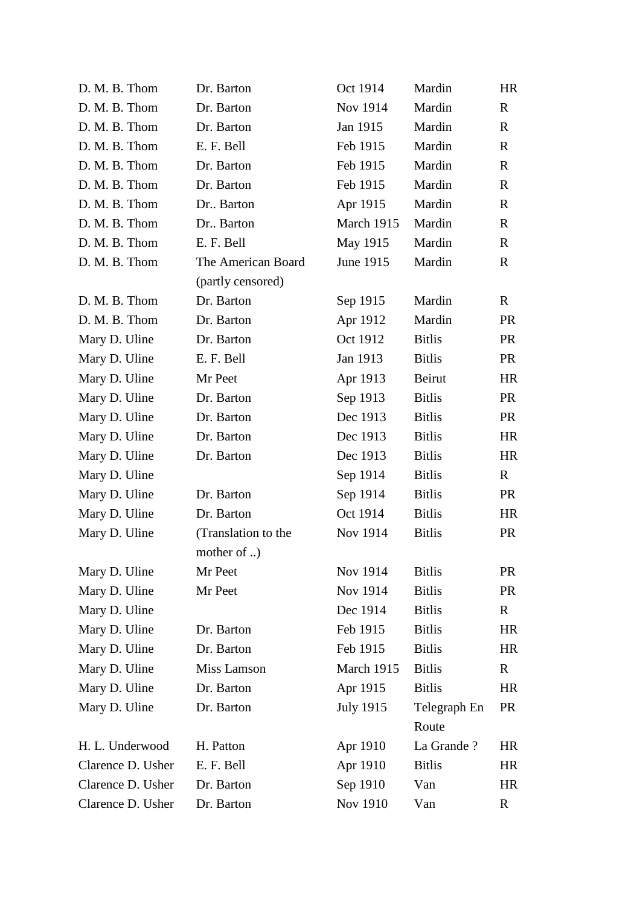| D. M. B. Thom     | Dr. Barton          | Oct 1914   | Mardin        | <b>HR</b>    |
|-------------------|---------------------|------------|---------------|--------------|
| D. M. B. Thom     | Dr. Barton          | Nov 1914   | Mardin        | $\mathbf{R}$ |
| D. M. B. Thom     | Dr. Barton          | Jan 1915   | Mardin        | $\mathbf R$  |
| D. M. B. Thom     | E. F. Bell          | Feb 1915   | Mardin        | $\mathbf{R}$ |
| D. M. B. Thom     | Dr. Barton          | Feb 1915   | Mardin        | $\mathbf R$  |
| D. M. B. Thom     | Dr. Barton          | Feb 1915   | Mardin        | $\mathbf{R}$ |
| D. M. B. Thom     | Dr., Barton         | Apr 1915   | Mardin        | $\mathbf R$  |
| D. M. B. Thom     | Dr., Barton         | March 1915 | Mardin        | $\mathbf{R}$ |
| D. M. B. Thom     | E. F. Bell          | May 1915   | Mardin        | $\mathbf{R}$ |
| D. M. B. Thom     | The American Board  | June 1915  | Mardin        | $\mathbf{R}$ |
|                   | (partly censored)   |            |               |              |
| D. M. B. Thom     | Dr. Barton          | Sep 1915   | Mardin        | $\mathbf{R}$ |
| D. M. B. Thom     | Dr. Barton          | Apr 1912   | Mardin        | <b>PR</b>    |
| Mary D. Uline     | Dr. Barton          | Oct 1912   | <b>Bitlis</b> | <b>PR</b>    |
| Mary D. Uline     | E. F. Bell          | Jan 1913   | <b>Bitlis</b> | <b>PR</b>    |
| Mary D. Uline     | Mr Peet             | Apr 1913   | Beirut        | <b>HR</b>    |
| Mary D. Uline     | Dr. Barton          | Sep 1913   | <b>Bitlis</b> | <b>PR</b>    |
| Mary D. Uline     | Dr. Barton          | Dec 1913   | <b>Bitlis</b> | <b>PR</b>    |
| Mary D. Uline     | Dr. Barton          | Dec 1913   | <b>Bitlis</b> | <b>HR</b>    |
| Mary D. Uline     | Dr. Barton          | Dec 1913   | <b>Bitlis</b> | <b>HR</b>    |
| Mary D. Uline     |                     | Sep 1914   | <b>Bitlis</b> | $\mathbf R$  |
| Mary D. Uline     | Dr. Barton          | Sep 1914   | <b>Bitlis</b> | <b>PR</b>    |
| Mary D. Uline     | Dr. Barton          | Oct 1914   | <b>Bitlis</b> | <b>HR</b>    |
| Mary D. Uline     | (Translation to the | Nov 1914   | <b>Bitlis</b> | <b>PR</b>    |
|                   | mother of )         |            |               |              |
| Mary D. Uline     | Mr Peet             | Nov 1914   | <b>Bitlis</b> | <b>PR</b>    |
| Mary D. Uline     | Mr Peet             | Nov 1914   | <b>Bitlis</b> | <b>PR</b>    |
| Mary D. Uline     |                     | Dec 1914   | <b>Bitlis</b> | $\mathbf{R}$ |
| Mary D. Uline     | Dr. Barton          | Feb 1915   | <b>Bitlis</b> | <b>HR</b>    |
| Mary D. Uline     | Dr. Barton          | Feb 1915   | <b>Bitlis</b> | <b>HR</b>    |
| Mary D. Uline     | Miss Lamson         | March 1915 | <b>Bitlis</b> | $\mathbf{R}$ |
| Mary D. Uline     | Dr. Barton          | Apr 1915   | <b>Bitlis</b> | <b>HR</b>    |
| Mary D. Uline     | Dr. Barton          | July 1915  | Telegraph En  | <b>PR</b>    |
|                   |                     |            | Route         |              |
| H. L. Underwood   | H. Patton           | Apr 1910   | La Grande?    | HR.          |
| Clarence D. Usher | E. F. Bell          | Apr 1910   | <b>Bitlis</b> | <b>HR</b>    |
| Clarence D. Usher | Dr. Barton          | Sep 1910   | Van           | <b>HR</b>    |
| Clarence D. Usher | Dr. Barton          | Nov 1910   | Van           | $\mathbf R$  |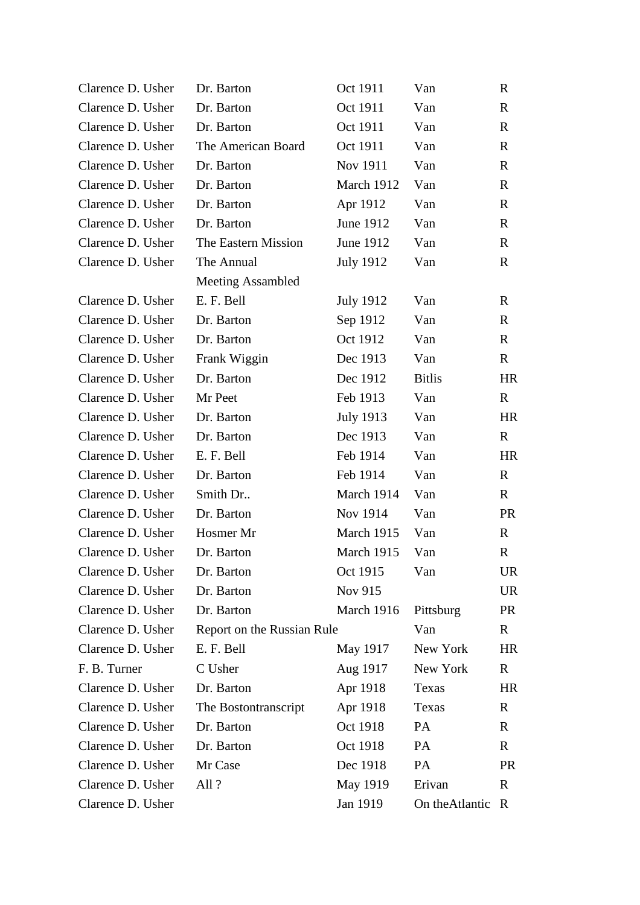| Clarence D. Usher | Dr. Barton                 | Oct 1911         | Van             | R            |
|-------------------|----------------------------|------------------|-----------------|--------------|
| Clarence D. Usher | Dr. Barton                 | Oct 1911         | Van             | $\mathbf R$  |
| Clarence D. Usher | Dr. Barton                 | Oct 1911         | Van             | $\mathbf{R}$ |
| Clarence D. Usher | The American Board         | Oct 1911         | Van             | $\mathbf{R}$ |
| Clarence D. Usher | Dr. Barton                 | Nov 1911         | Van             | $\mathbf{R}$ |
| Clarence D. Usher | Dr. Barton                 | March 1912       | Van             | $\mathbf{R}$ |
| Clarence D. Usher | Dr. Barton                 | Apr 1912         | Van             | $\mathbf{R}$ |
| Clarence D. Usher | Dr. Barton                 | June 1912        | Van             | $\mathbf{R}$ |
| Clarence D. Usher | The Eastern Mission        | June 1912        | Van             | $\mathbf{R}$ |
| Clarence D. Usher | The Annual                 | <b>July 1912</b> | Van             | $\mathbf R$  |
|                   | <b>Meeting Assambled</b>   |                  |                 |              |
| Clarence D. Usher | E. F. Bell                 | <b>July 1912</b> | Van             | $\mathbf R$  |
| Clarence D. Usher | Dr. Barton                 | Sep 1912         | Van             | $\mathbf{R}$ |
| Clarence D. Usher | Dr. Barton                 | Oct 1912         | Van             | $\mathbf{R}$ |
| Clarence D. Usher | Frank Wiggin               | Dec 1913         | Van             | $\mathbf{R}$ |
| Clarence D. Usher | Dr. Barton                 | Dec 1912         | <b>Bitlis</b>   | HR           |
| Clarence D. Usher | Mr Peet                    | Feb 1913         | Van             | $\mathbf{R}$ |
| Clarence D. Usher | Dr. Barton                 | July 1913        | Van             | HR           |
| Clarence D. Usher | Dr. Barton                 | Dec 1913         | Van             | $\mathbf{R}$ |
| Clarence D. Usher | E. F. Bell                 | Feb 1914         | Van             | <b>HR</b>    |
| Clarence D. Usher | Dr. Barton                 | Feb 1914         | Van             | $\mathbf{R}$ |
| Clarence D. Usher | Smith Dr                   | March 1914       | Van             | $\mathbf{R}$ |
| Clarence D. Usher | Dr. Barton                 | Nov 1914         | Van             | <b>PR</b>    |
| Clarence D. Usher | Hosmer Mr                  | March 1915       | Van             | $\mathbf{R}$ |
| Clarence D. Usher | Dr. Barton                 | March 1915       | Van             | $\mathbb{R}$ |
| Clarence D. Usher | Dr. Barton                 | Oct 1915         | Van             | <b>UR</b>    |
| Clarence D. Usher | Dr. Barton                 | Nov 915          |                 | <b>UR</b>    |
| Clarence D. Usher | Dr. Barton                 | March 1916       | Pittsburg       | PR           |
| Clarence D. Usher | Report on the Russian Rule |                  | Van             | $\mathbf R$  |
| Clarence D. Usher | E. F. Bell                 | May 1917         | New York        | HR.          |
| F. B. Turner      | C Usher                    | Aug 1917         | New York        | $\mathbf{R}$ |
| Clarence D. Usher | Dr. Barton                 | Apr 1918         | Texas           | HR.          |
| Clarence D. Usher | The Bostontranscript       | Apr 1918         | Texas           | $\mathbf{R}$ |
| Clarence D. Usher | Dr. Barton                 | Oct 1918         | PA              | R            |
| Clarence D. Usher | Dr. Barton                 | Oct 1918         | PA              | $\mathbf{R}$ |
| Clarence D. Usher | Mr Case                    | Dec 1918         | PA              | <b>PR</b>    |
| Clarence D. Usher | All?                       | May 1919         | Erivan          | $\mathbf R$  |
| Clarence D. Usher |                            | Jan 1919         | On the Atlantic | $\mathbb{R}$ |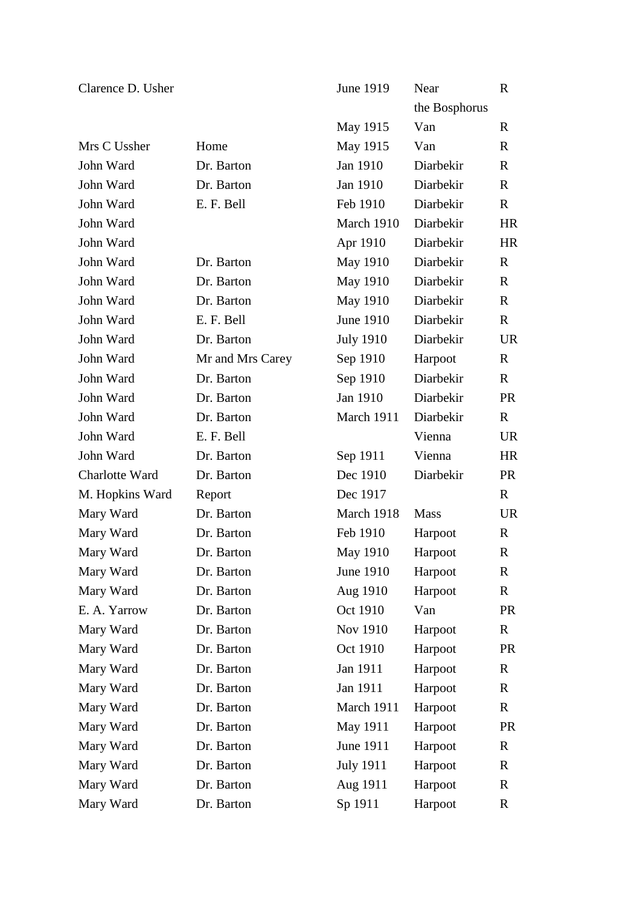| Clarence D. Usher |                  | June 1919        | Near          | $\mathbf R$  |
|-------------------|------------------|------------------|---------------|--------------|
|                   |                  |                  | the Bosphorus |              |
|                   |                  | May 1915         | Van           | $\mathbf R$  |
| Mrs C Ussher      | Home             | May 1915         | Van           | $\mathbf R$  |
| John Ward         | Dr. Barton       | Jan 1910         | Diarbekir     | $\mathbf R$  |
| John Ward         | Dr. Barton       | Jan 1910         | Diarbekir     | $\mathbf R$  |
| John Ward         | E. F. Bell       | Feb 1910         | Diarbekir     | $\mathbf R$  |
| John Ward         |                  | March 1910       | Diarbekir     | <b>HR</b>    |
| John Ward         |                  | Apr 1910         | Diarbekir     | <b>HR</b>    |
| John Ward         | Dr. Barton       | May 1910         | Diarbekir     | $\mathbf R$  |
| John Ward         | Dr. Barton       | May 1910         | Diarbekir     | $\mathbf R$  |
| John Ward         | Dr. Barton       | May 1910         | Diarbekir     | $\mathbf R$  |
| John Ward         | E. F. Bell       | <b>June 1910</b> | Diarbekir     | $\mathbf R$  |
| John Ward         | Dr. Barton       | <b>July 1910</b> | Diarbekir     | <b>UR</b>    |
| John Ward         | Mr and Mrs Carey | Sep 1910         | Harpoot       | $\mathbf R$  |
| John Ward         | Dr. Barton       | Sep 1910         | Diarbekir     | $\mathbf R$  |
| John Ward         | Dr. Barton       | Jan 1910         | Diarbekir     | <b>PR</b>    |
| John Ward         | Dr. Barton       | March 1911       | Diarbekir     | $\mathbf R$  |
| John Ward         | E. F. Bell       |                  | Vienna        | <b>UR</b>    |
| John Ward         | Dr. Barton       | Sep 1911         | Vienna        | <b>HR</b>    |
| Charlotte Ward    | Dr. Barton       | Dec 1910         | Diarbekir     | <b>PR</b>    |
| M. Hopkins Ward   | Report           | Dec 1917         |               | $\mathbf R$  |
| Mary Ward         | Dr. Barton       | March 1918       | <b>Mass</b>   | <b>UR</b>    |
| Mary Ward         | Dr. Barton       | Feb 1910         | Harpoot       | $\mathbf R$  |
| Mary Ward         | Dr. Barton       | May 1910         | Harpoot       | $\mathbf R$  |
| Mary Ward         | Dr. Barton       | June 1910        | Harpoot       | $\mathbf R$  |
| Mary Ward         | Dr. Barton       | Aug 1910         | Harpoot       | $\mathbf R$  |
| E. A. Yarrow      | Dr. Barton       | Oct 1910         | Van           | PR           |
| Mary Ward         | Dr. Barton       | Nov 1910         | Harpoot       | $\mathbf R$  |
| Mary Ward         | Dr. Barton       | Oct 1910         | Harpoot       | <b>PR</b>    |
| Mary Ward         | Dr. Barton       | Jan 1911         | Harpoot       | $\mathbf R$  |
| Mary Ward         | Dr. Barton       | Jan 1911         | Harpoot       | $\mathbf{R}$ |
| Mary Ward         | Dr. Barton       | March 1911       | Harpoot       | $\mathbf R$  |
| Mary Ward         | Dr. Barton       | May 1911         | Harpoot       | PR           |
| Mary Ward         | Dr. Barton       | June 1911        | Harpoot       | $\mathbf R$  |
| Mary Ward         | Dr. Barton       | <b>July 1911</b> | Harpoot       | $\mathbf R$  |
| Mary Ward         | Dr. Barton       | Aug 1911         | Harpoot       | $\mathbf R$  |
| Mary Ward         | Dr. Barton       | Sp 1911          | Harpoot       | $\mathbf R$  |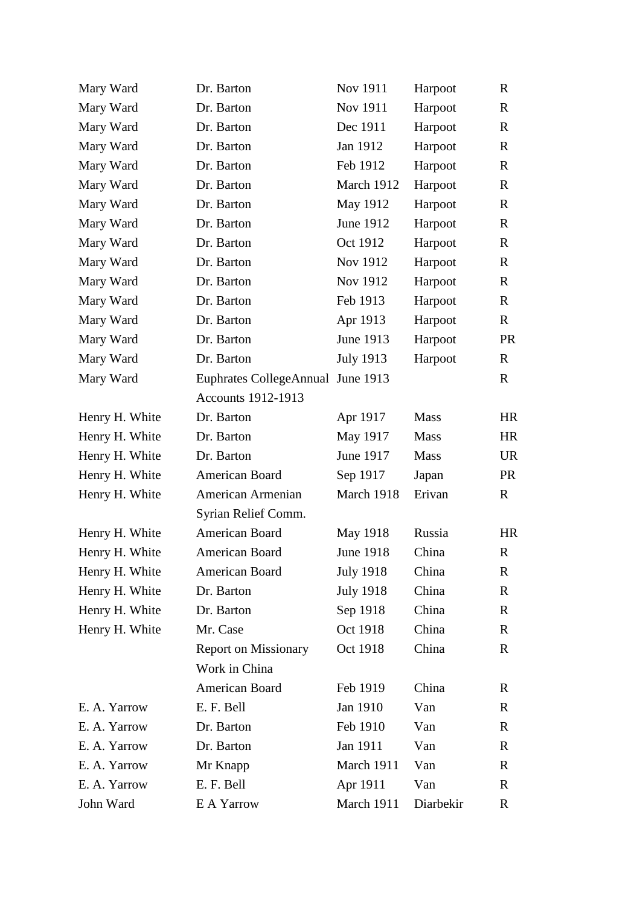| Mary Ward      | Dr. Barton                        | Nov 1911         | Harpoot     | $\mathbf R$  |
|----------------|-----------------------------------|------------------|-------------|--------------|
| Mary Ward      | Dr. Barton                        | Nov 1911         | Harpoot     | $\mathbf R$  |
| Mary Ward      | Dr. Barton                        | Dec 1911         | Harpoot     | $\mathbf R$  |
| Mary Ward      | Dr. Barton                        | Jan 1912         | Harpoot     | $\mathbf R$  |
| Mary Ward      | Dr. Barton                        | Feb 1912         | Harpoot     | $\mathbf R$  |
| Mary Ward      | Dr. Barton                        | March 1912       | Harpoot     | $\mathbf R$  |
| Mary Ward      | Dr. Barton                        | May 1912         | Harpoot     | $\mathbf R$  |
| Mary Ward      | Dr. Barton                        | June 1912        | Harpoot     | $\mathbf R$  |
| Mary Ward      | Dr. Barton                        | Oct 1912         | Harpoot     | $\mathbf R$  |
| Mary Ward      | Dr. Barton                        | Nov 1912         | Harpoot     | $\mathbf R$  |
| Mary Ward      | Dr. Barton                        | Nov 1912         | Harpoot     | $\mathbf R$  |
| Mary Ward      | Dr. Barton                        | Feb 1913         | Harpoot     | $\mathbf R$  |
| Mary Ward      | Dr. Barton                        | Apr 1913         | Harpoot     | $\mathbf R$  |
| Mary Ward      | Dr. Barton                        | June 1913        | Harpoot     | <b>PR</b>    |
| Mary Ward      | Dr. Barton                        | <b>July 1913</b> | Harpoot     | $\mathbf{R}$ |
| Mary Ward      | Euphrates CollegeAnnual June 1913 |                  |             | $\mathbf R$  |
|                | <b>Accounts 1912-1913</b>         |                  |             |              |
| Henry H. White | Dr. Barton                        | Apr 1917         | <b>Mass</b> | <b>HR</b>    |
| Henry H. White | Dr. Barton                        | May 1917         | <b>Mass</b> | <b>HR</b>    |
| Henry H. White | Dr. Barton                        | June 1917        | <b>Mass</b> | <b>UR</b>    |
| Henry H. White | American Board                    | Sep 1917         | Japan       | <b>PR</b>    |
| Henry H. White | American Armenian                 | March 1918       | Erivan      | $\mathbf R$  |
|                | Syrian Relief Comm.               |                  |             |              |
| Henry H. White | <b>American Board</b>             | May 1918         | Russia      | <b>HR</b>    |
| Henry H. White | American Board                    | <b>June 1918</b> | China       | $\mathbf R$  |
| Henry H. White | American Board                    | <b>July 1918</b> | China       | R            |
| Henry H. White | Dr. Barton                        | <b>July 1918</b> | China       | $\mathbf R$  |
| Henry H. White | Dr. Barton                        | Sep 1918         | China       | R            |
| Henry H. White | Mr. Case                          | Oct 1918         | China       | R            |
|                | <b>Report on Missionary</b>       | Oct 1918         | China       | R            |
|                | Work in China                     |                  |             |              |
|                | American Board                    | Feb 1919         | China       | R            |
| E. A. Yarrow   | E. F. Bell                        | Jan 1910         | Van         | $\mathbf R$  |
| E. A. Yarrow   | Dr. Barton                        | Feb 1910         | Van         | R            |
| E. A. Yarrow   | Dr. Barton                        | Jan 1911         | Van         | R            |
| E. A. Yarrow   | Mr Knapp                          | March 1911       | Van         | R            |
| E. A. Yarrow   | E. F. Bell                        | Apr 1911         | Van         | R            |
| John Ward      | E A Yarrow                        | March 1911       | Diarbekir   | $\mathbf R$  |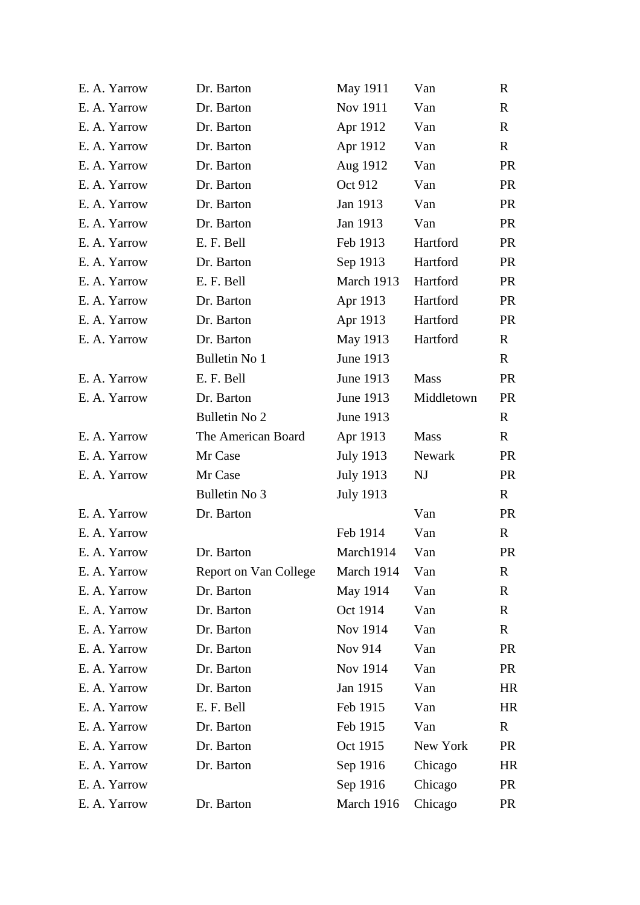| E. A. Yarrow | Dr. Barton            | May 1911         | Van         | R            |
|--------------|-----------------------|------------------|-------------|--------------|
| E. A. Yarrow | Dr. Barton            | Nov 1911         | Van         | $\mathbf R$  |
| E. A. Yarrow | Dr. Barton            | Apr 1912         | Van         | $\mathbf{R}$ |
| E. A. Yarrow | Dr. Barton            | Apr 1912         | Van         | $\mathbf{R}$ |
| E. A. Yarrow | Dr. Barton            | Aug 1912         | Van         | <b>PR</b>    |
| E. A. Yarrow | Dr. Barton            | Oct 912          | Van         | <b>PR</b>    |
| E. A. Yarrow | Dr. Barton            | Jan 1913         | Van         | <b>PR</b>    |
| E. A. Yarrow | Dr. Barton            | Jan 1913         | Van         | <b>PR</b>    |
| E. A. Yarrow | E. F. Bell            | Feb 1913         | Hartford    | <b>PR</b>    |
| E. A. Yarrow | Dr. Barton            | Sep 1913         | Hartford    | <b>PR</b>    |
| E. A. Yarrow | E. F. Bell            | March 1913       | Hartford    | <b>PR</b>    |
| E. A. Yarrow | Dr. Barton            | Apr 1913         | Hartford    | <b>PR</b>    |
| E. A. Yarrow | Dr. Barton            | Apr 1913         | Hartford    | <b>PR</b>    |
| E. A. Yarrow | Dr. Barton            | May 1913         | Hartford    | $\mathbf{R}$ |
|              | <b>Bulletin No 1</b>  | June 1913        |             | $\mathbf{R}$ |
| E. A. Yarrow | E. F. Bell            | <b>June 1913</b> | <b>Mass</b> | <b>PR</b>    |
| E. A. Yarrow | Dr. Barton            | June 1913        | Middletown  | <b>PR</b>    |
|              | Bulletin No 2         | June 1913        |             | $\mathbf{R}$ |
| E. A. Yarrow | The American Board    | Apr 1913         | <b>Mass</b> | $\mathbf{R}$ |
| E. A. Yarrow | Mr Case               | July 1913        | Newark      | <b>PR</b>    |
| E. A. Yarrow | Mr Case               | July 1913        | NJ          | <b>PR</b>    |
|              | Bulletin No 3         | July 1913        |             | $\mathbf{R}$ |
| E. A. Yarrow | Dr. Barton            |                  | Van         | <b>PR</b>    |
| E. A. Yarrow |                       | Feb 1914         | Van         | $\mathbf{R}$ |
| E. A. Yarrow | Dr. Barton            | March1914        | Van         | <b>PR</b>    |
| E. A. Yarrow | Report on Van College | March 1914       | Van         | R            |
| E. A. Yarrow | Dr. Barton            | May 1914         | Van         | R            |
| E. A. Yarrow | Dr. Barton            | Oct 1914         | Van         | R            |
| E. A. Yarrow | Dr. Barton            | Nov 1914         | Van         | R            |
| E. A. Yarrow | Dr. Barton            | Nov 914          | Van         | <b>PR</b>    |
| E. A. Yarrow | Dr. Barton            | <b>Nov 1914</b>  | Van         | <b>PR</b>    |
| E. A. Yarrow | Dr. Barton            | Jan 1915         | Van         | HR           |
| E. A. Yarrow | E. F. Bell            | Feb 1915         | Van         | HR           |
| E. A. Yarrow | Dr. Barton            | Feb 1915         | Van         | R            |
| E. A. Yarrow | Dr. Barton            | Oct 1915         | New York    | <b>PR</b>    |
| E. A. Yarrow | Dr. Barton            | Sep 1916         | Chicago     | HR           |
| E. A. Yarrow |                       | Sep 1916         | Chicago     | <b>PR</b>    |
| E. A. Yarrow | Dr. Barton            | March 1916       | Chicago     | <b>PR</b>    |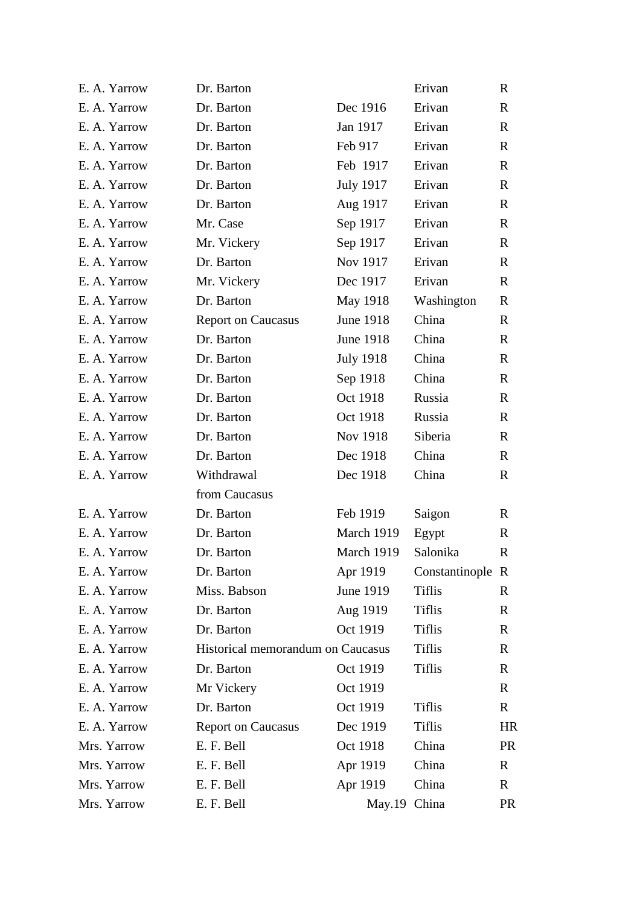| E. A. Yarrow | Dr. Barton                        |                  | Erivan           | $\mathbf R$  |
|--------------|-----------------------------------|------------------|------------------|--------------|
| E. A. Yarrow | Dr. Barton                        | Dec 1916         | Erivan           | $\mathbf R$  |
| E. A. Yarrow | Dr. Barton                        | Jan 1917         | Erivan           | $\mathbf{R}$ |
| E. A. Yarrow | Dr. Barton                        | Feb 917          | Erivan           | $\mathbf{R}$ |
| E. A. Yarrow | Dr. Barton                        | Feb 1917         | Erivan           | $\mathbf{R}$ |
| E. A. Yarrow | Dr. Barton                        | <b>July 1917</b> | Erivan           | $\mathbf{R}$ |
| E. A. Yarrow | Dr. Barton                        | Aug 1917         | Erivan           | $\mathbf{R}$ |
| E. A. Yarrow | Mr. Case                          | Sep 1917         | Erivan           | $\mathbf{R}$ |
| E. A. Yarrow | Mr. Vickery                       | Sep 1917         | Erivan           | $\mathbf{R}$ |
| E. A. Yarrow | Dr. Barton                        | Nov 1917         | Erivan           | $\mathbf{R}$ |
| E. A. Yarrow | Mr. Vickery                       | Dec 1917         | Erivan           | $\mathbf{R}$ |
| E. A. Yarrow | Dr. Barton                        | May 1918         | Washington       | $\mathbf R$  |
| E. A. Yarrow | <b>Report on Caucasus</b>         | <b>June 1918</b> | China            | $\mathbf{R}$ |
| E. A. Yarrow | Dr. Barton                        | June 1918        | China            | $\mathbf{R}$ |
| E. A. Yarrow | Dr. Barton                        | <b>July 1918</b> | China            | $\mathbf{R}$ |
| E. A. Yarrow | Dr. Barton                        | Sep 1918         | China            | $\mathbf{R}$ |
| E. A. Yarrow | Dr. Barton                        | Oct 1918         | Russia           | $\mathbf{R}$ |
| E. A. Yarrow | Dr. Barton                        | Oct 1918         | Russia           | $\mathbf{R}$ |
| E. A. Yarrow | Dr. Barton                        | Nov 1918         | Siberia          | $\mathbf{R}$ |
| E. A. Yarrow | Dr. Barton                        | Dec 1918         | China            | $\mathbf{R}$ |
| E. A. Yarrow | Withdrawal                        | Dec 1918         | China            | $\mathbf R$  |
|              | from Caucasus                     |                  |                  |              |
| E. A. Yarrow | Dr. Barton                        | Feb 1919         | Saigon           | $\mathbf{R}$ |
| E. A. Yarrow | Dr. Barton                        | March 1919       | Egypt            | $\mathbf{R}$ |
| E. A. Yarrow | Dr. Barton                        | March 1919       | Salonika         | $\mathbb{R}$ |
| E. A. Yarrow | Dr. Barton                        | Apr 1919         | Constantinople R |              |
| E. A. Yarrow | Miss. Babson                      | <b>June 1919</b> | <b>Tiflis</b>    | R            |
| E. A. Yarrow | Dr. Barton                        | Aug 1919         | <b>Tiflis</b>    | R            |
| E. A. Yarrow | Dr. Barton                        | Oct 1919         | <b>Tiflis</b>    | $\mathbf R$  |
| E. A. Yarrow | Historical memorandum on Caucasus |                  | <b>Tiflis</b>    | R            |
| E. A. Yarrow | Dr. Barton                        | Oct 1919         | <b>Tiflis</b>    | $\mathbf R$  |
| E. A. Yarrow | Mr Vickery                        | Oct 1919         |                  | R            |
| E. A. Yarrow | Dr. Barton                        | Oct 1919         | <b>Tiflis</b>    | $\mathbf{R}$ |
| E. A. Yarrow | <b>Report on Caucasus</b>         | Dec 1919         | <b>Tiflis</b>    | HR           |
| Mrs. Yarrow  | E. F. Bell                        | Oct 1918         | China            | <b>PR</b>    |
| Mrs. Yarrow  | E. F. Bell                        | Apr 1919         | China            | R            |
| Mrs. Yarrow  | E. F. Bell                        | Apr 1919         | China            | R            |
| Mrs. Yarrow  | E. F. Bell                        | May.19 China     |                  | <b>PR</b>    |